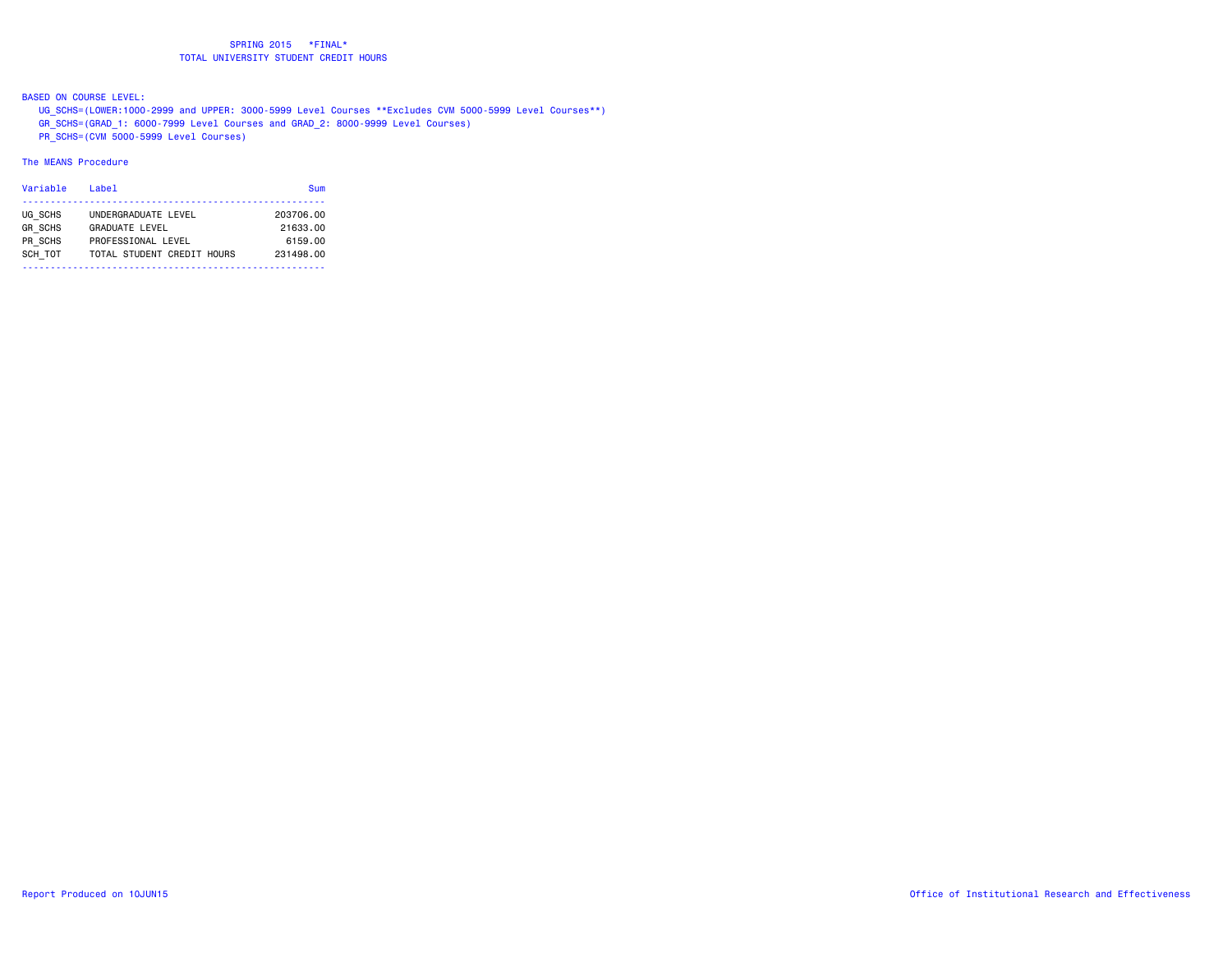BASED ON COURSE LEVEL:

UG\_SCHS=(LOWER:1000-2999 and UPPER: 3000-5999 Level Courses \*\*Excludes CVM 5000-5999 Level Courses\*\*)

GR\_SCHS=(GRAD\_1: 6000-7999 Level Courses and GRAD\_2: 8000-9999 Level Courses)

PR\_SCHS=(CVM 5000-5999 Level Courses)

# The MEANS Procedure

| Variable       | Label                      | Sum       |
|----------------|----------------------------|-----------|
|                |                            |           |
| UG SCHS        | UNDERGRADUATE LEVEL        | 203706.00 |
| <b>GR SCHS</b> | <b>GRADUATE LEVEL</b>      | 21633.00  |
| PR SCHS        | PROFESSIONAL LEVEL         | 6159.00   |
| SCH TOT        | TOTAL STUDENT CREDIT HOURS | 231498.00 |
|                |                            |           |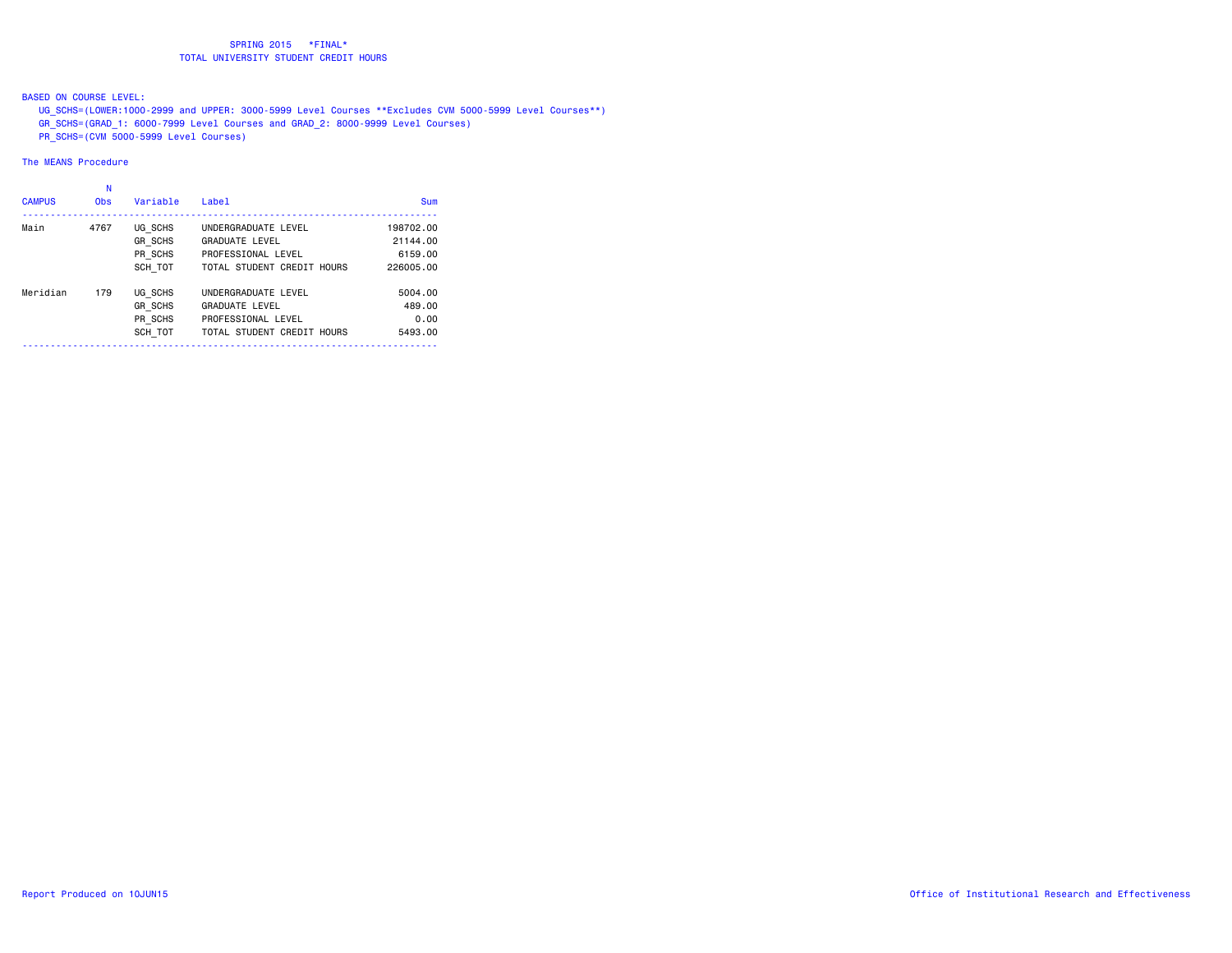BASED ON COURSE LEVEL:

UG\_SCHS=(LOWER:1000-2999 and UPPER: 3000-5999 Level Courses \*\*Excludes CVM 5000-5999 Level Courses\*\*)

GR\_SCHS=(GRAD\_1: 6000-7999 Level Courses and GRAD\_2: 8000-9999 Level Courses)

PR\_SCHS=(CVM 5000-5999 Level Courses)

# The MEANS Procedure

#### na na kaominina amin'ny fivondronan-kaominin'i No

| <b>CAMPUS</b> | <b>Obs</b> | Variable       | Label                      | Sum       |
|---------------|------------|----------------|----------------------------|-----------|
| Main          | 4767       | UG SCHS        | UNDERGRADUATE LEVEL        | 198702.00 |
|               |            | <b>GR SCHS</b> | <b>GRADUATE LEVEL</b>      | 21144.00  |
|               |            | PR SCHS        | PROFESSIONAL LEVEL         | 6159.00   |
|               |            | SCH TOT        | TOTAL STUDENT CREDIT HOURS | 226005.00 |
| Meridian      | 179        | UG SCHS        | UNDERGRADUATE LEVEL        | 5004.00   |
|               |            | <b>GR SCHS</b> | <b>GRADUATE LEVEL</b>      | 489.00    |
|               |            | PR SCHS        | PROFESSIONAL LEVEL         | 0.00      |
|               |            | SCH TOT        | TOTAL STUDENT CREDIT HOURS | 5493.00   |
|               |            |                |                            |           |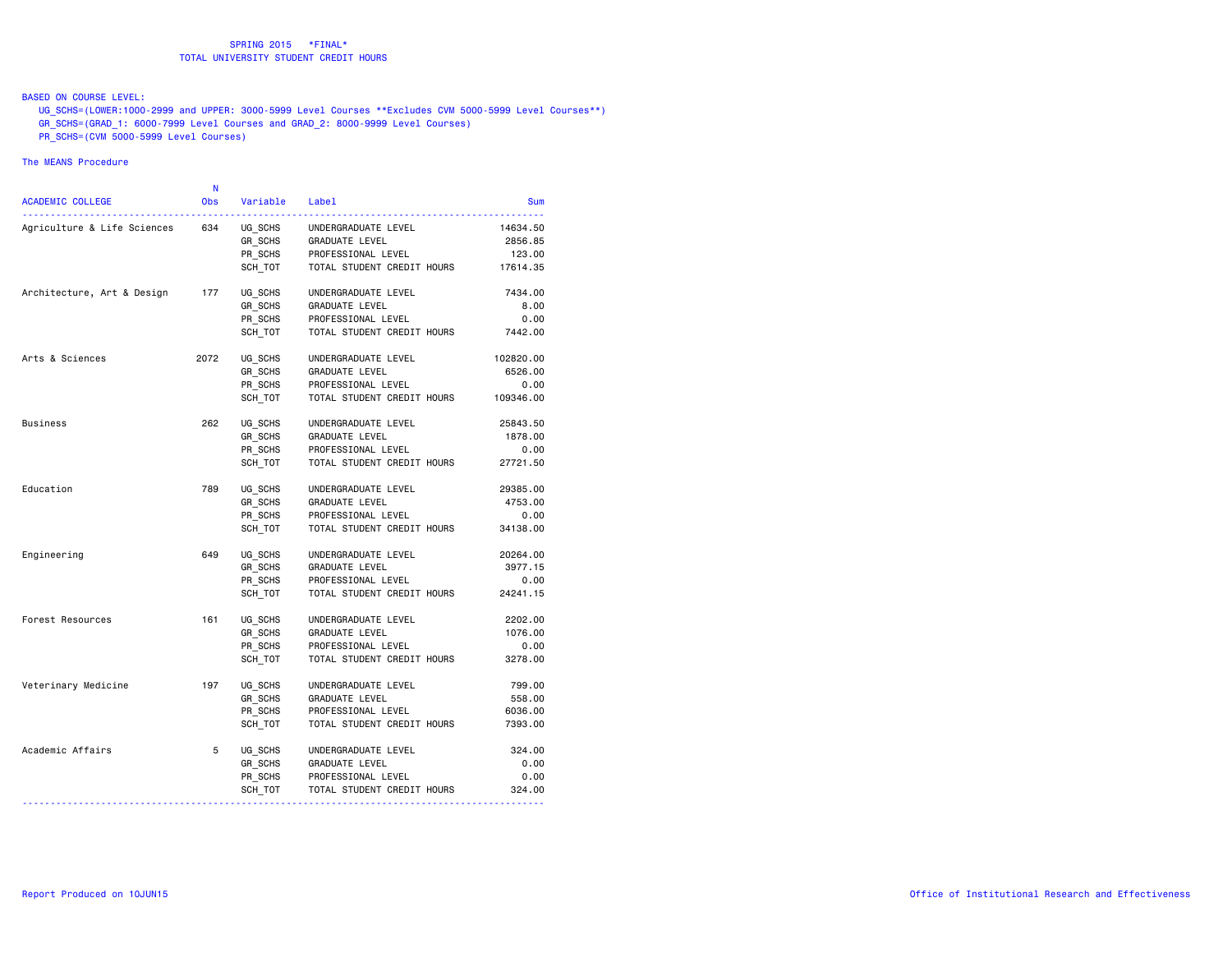BASED ON COURSE LEVEL:

 UG\_SCHS=(LOWER:1000-2999 and UPPER: 3000-5999 Level Courses \*\*Excludes CVM 5000-5999 Level Courses\*\*) GR\_SCHS=(GRAD\_1: 6000-7999 Level Courses and GRAD\_2: 8000-9999 Level Courses)

PR\_SCHS=(CVM 5000-5999 Level Courses)

#### The MEANS Procedure

| <b>ACADEMIC COLLEGE</b>     | N<br><b>Obs</b> | Variable                      | Label                                                       | <b>Sum</b>                    |
|-----------------------------|-----------------|-------------------------------|-------------------------------------------------------------|-------------------------------|
| Agriculture & Life Sciences | 634             | UG SCHS<br>GR_SCHS<br>PR_SCHS | UNDERGRADUATE LEVEL<br>GRADUATE LEVEL<br>PROFESSIONAL LEVEL | 14634.50<br>2856.85<br>123.00 |
|                             |                 | SCH TOT                       | TOTAL STUDENT CREDIT HOURS 17614.35                         |                               |
| Architecture, Art & Design  | 177             | UG SCHS                       | UNDERGRADUATE LEVEL                                         | 7434.00                       |
|                             |                 | GR SCHS                       | <b>GRADUATE LEVEL</b>                                       | 8.00                          |
|                             |                 | PR SCHS<br>SCH TOT            | PROFESSIONAL LEVEL<br>TOTAL STUDENT CREDIT HOURS            | 0.00<br>7442.00               |
|                             |                 |                               |                                                             |                               |
| Arts & Sciences             | 2072            | UG SCHS                       | UNDERGRADUATE LEVEL                                         | 102820.00                     |
|                             |                 | GR SCHS                       | GRADUATE LEVEL                                              | 6526.00                       |
|                             |                 | PR_SCHS                       | PROFESSIONAL LEVEL                                          | 0.00                          |
|                             |                 | SCH TOT                       | TOTAL STUDENT CREDIT HOURS                                  | 109346.00                     |
| Business                    | 262             | UG SCHS                       | UNDERGRADUATE LEVEL                                         | 25843.50                      |
|                             |                 | GR SCHS                       | GRADUATE LEVEL                                              | 1878.00                       |
|                             |                 | PR SCHS                       | PROFESSIONAL LEVEL                                          | 0.00                          |
|                             |                 | SCH TOT                       | TOTAL STUDENT CREDIT HOURS                                  | 27721.50                      |
| Education                   | 789             | UG SCHS                       | UNDERGRADUATE LEVEL                                         | 29385.00                      |
|                             |                 | GR SCHS                       | GRADUATE LEVEL                                              | 4753.00                       |
|                             |                 | PR SCHS                       | PROFESSIONAL LEVEL                                          | 0.00                          |
|                             |                 | SCH TOT                       | TOTAL STUDENT CREDIT HOURS                                  | 34138.00                      |
| Engineering                 | 649             | UG SCHS                       | UNDERGRADUATE LEVEL                                         | 20264.00                      |
|                             |                 | GR SCHS                       | GRADUATE LEVEL                                              | 3977.15                       |
|                             |                 | PR SCHS                       | PROFESSIONAL LEVEL                                          | 0.00                          |
|                             |                 | SCH TOT                       | TOTAL STUDENT CREDIT HOURS                                  | 24241.15                      |
| Forest Resources            | 161             | UG SCHS                       | UNDERGRADUATE LEVEL                                         | 2202.00                       |
|                             |                 | GR_SCHS                       | GRADUATE LEVEL                                              | 1076.00                       |
|                             |                 | PR SCHS                       | PROFESSIONAL LEVEL                                          | 0.00                          |
|                             |                 | SCH TOT                       | TOTAL STUDENT CREDIT HOURS                                  | 3278.00                       |
| Veterinary Medicine         | 197             | UG SCHS                       | UNDERGRADUATE LEVEL                                         | 799.00                        |
|                             |                 | GR SCHS                       | GRADUATE LEVEL                                              | 558.00                        |
|                             |                 | PR SCHS                       | PROFESSIONAL LEVEL                                          | 6036.00                       |
|                             |                 | SCH TOT                       | TOTAL STUDENT CREDIT HOURS                                  | 7393.00                       |
| Academic Affairs            | 5               | UG SCHS                       | UNDERGRADUATE LEVEL                                         | 324.00                        |
|                             |                 | GR SCHS                       | GRADUATE LEVEL                                              | 0.00                          |
|                             |                 | PR_SCHS                       | PROFESSIONAL LEVEL                                          | 0.00                          |
|                             |                 | SCH_TOT                       | TOTAL STUDENT CREDIT HOURS                                  | 324.00                        |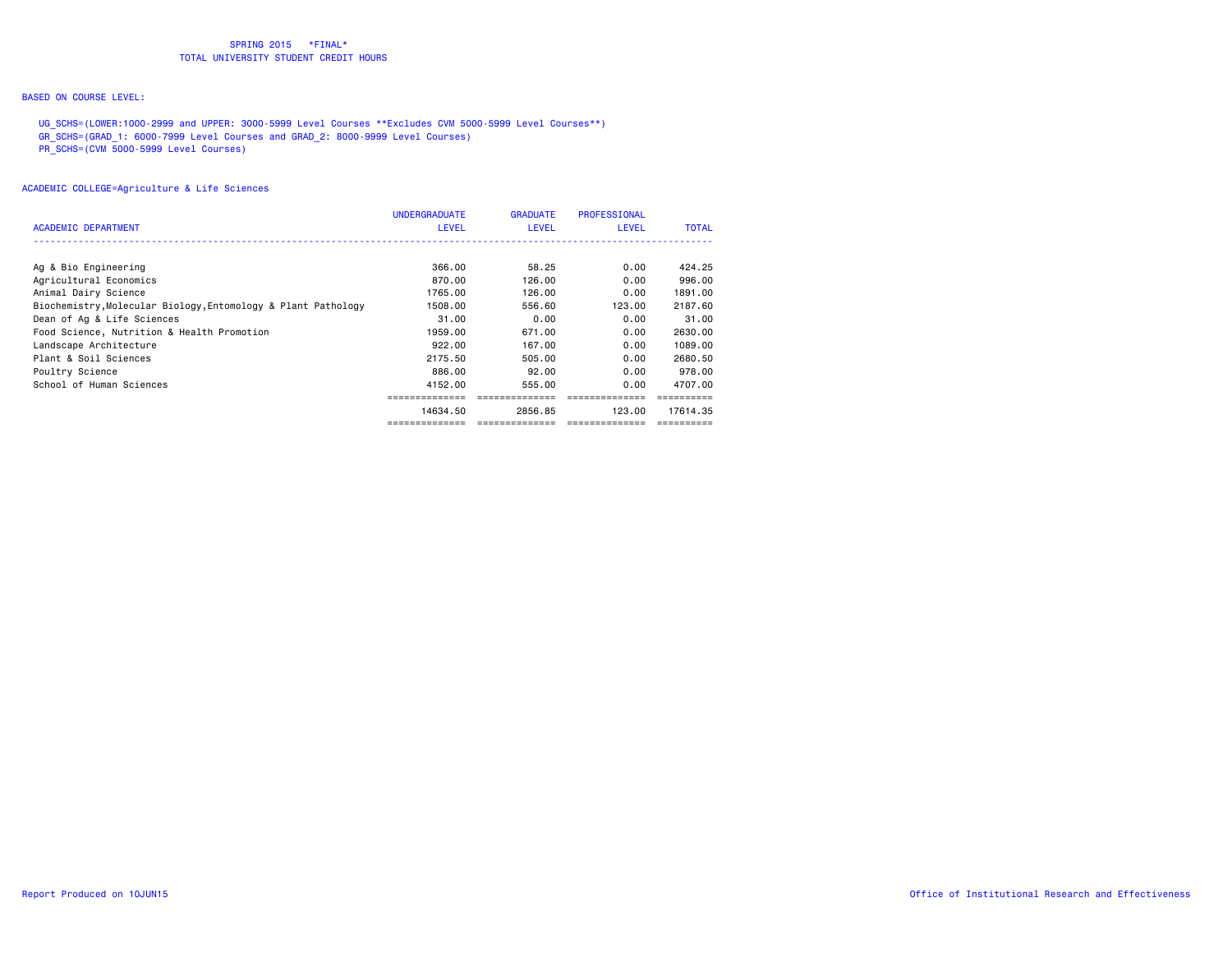# BASED ON COURSE LEVEL:

 UG\_SCHS=(LOWER:1000-2999 and UPPER: 3000-5999 Level Courses \*\*Excludes CVM 5000-5999 Level Courses\*\*) GR\_SCHS=(GRAD\_1: 6000-7999 Level Courses and GRAD\_2: 8000-9999 Level Courses) PR\_SCHS=(CVM 5000-5999 Level Courses)

| <b>ACADEMIC DEPARTMENT</b>                                    | <b>UNDERGRADUATE</b><br><b>LEVEL</b> | <b>GRADUATE</b><br><b>LEVEL</b> | PROFESSIONAL<br><b>LEVEL</b> | <b>TOTAL</b> |
|---------------------------------------------------------------|--------------------------------------|---------------------------------|------------------------------|--------------|
|                                                               |                                      |                                 |                              |              |
| Ag & Bio Engineering                                          | 366.00                               | 58.25                           | 0.00                         | 424.25       |
| Agricultural Economics                                        | 870.00                               | 126.00                          | 0.00                         | 996,00       |
| Animal Dairy Science                                          | 1765.00                              | 126,00                          | 0.00                         | 1891.00      |
| Biochemistry, Molecular Biology, Entomology & Plant Pathology | 1508.00                              | 556.60                          | 123.00                       | 2187.60      |
| Dean of Ag & Life Sciences                                    | 31.00                                | 0.00                            | 0.00                         | 31,00        |
| Food Science, Nutrition & Health Promotion                    | 1959.00                              | 671.00                          | 0.00                         | 2630.00      |
| Landscape Architecture                                        | 922.00                               | 167.00                          | 0.00                         | 1089.00      |
| Plant & Soil Sciences                                         | 2175.50                              | 505,00                          | 0.00                         | 2680.50      |
| Poultry Science                                               | 886.00                               | 92.00                           | 0.00                         | 978,00       |
| School of Human Sciences                                      | 4152.00                              | 555.00                          | 0.00                         | 4707.00      |
|                                                               |                                      |                                 |                              |              |
|                                                               | 14634.50                             | 2856.85                         | 123.00                       | 17614.35     |
|                                                               |                                      |                                 |                              |              |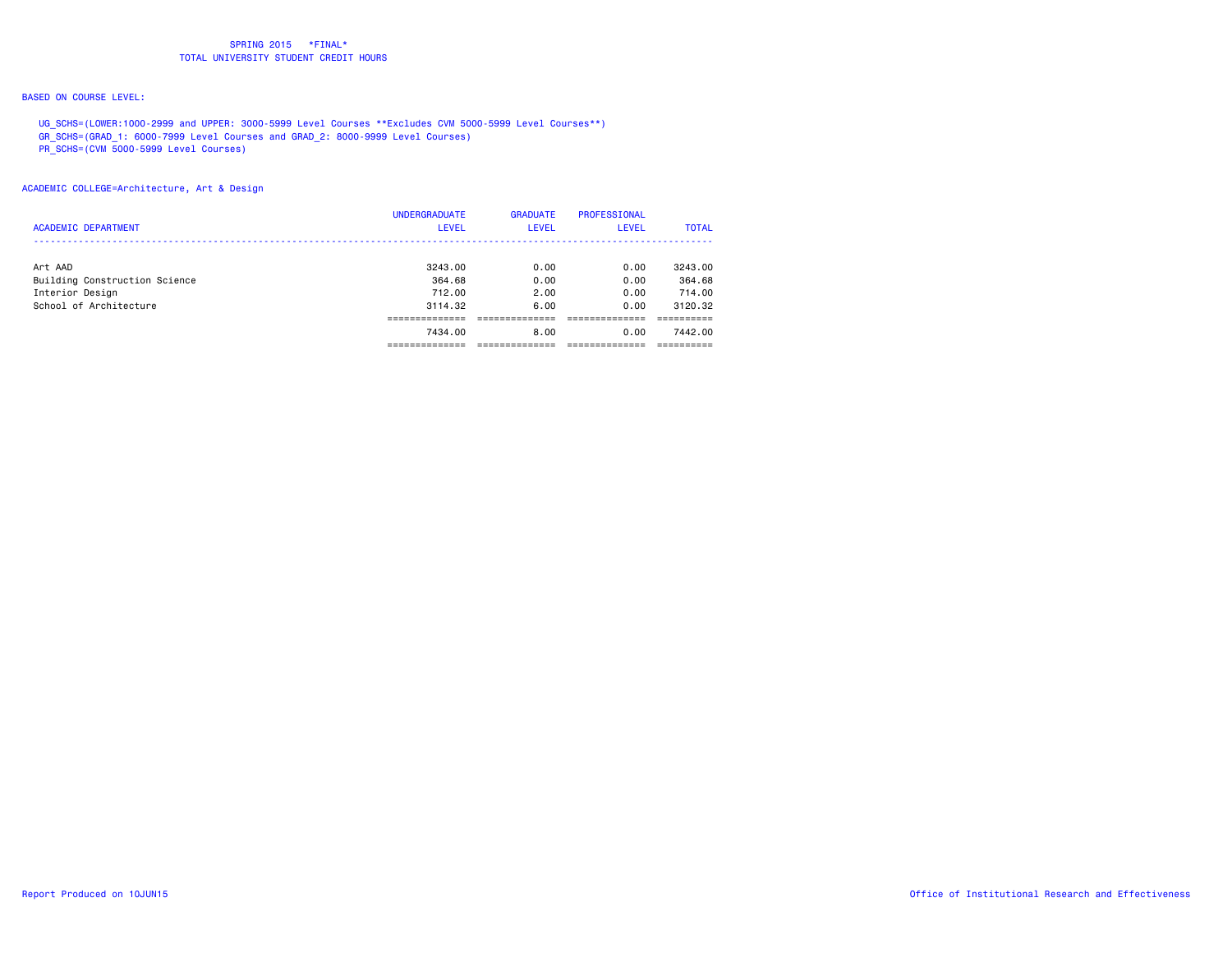# BASED ON COURSE LEVEL:

 UG\_SCHS=(LOWER:1000-2999 and UPPER: 3000-5999 Level Courses \*\*Excludes CVM 5000-5999 Level Courses\*\*) GR\_SCHS=(GRAD\_1: 6000-7999 Level Courses and GRAD\_2: 8000-9999 Level Courses)

PR\_SCHS=(CVM 5000-5999 Level Courses)

ACADEMIC COLLEGE=Architecture, Art & Design

| <b>ACADEMIC DEPARTMENT</b>                                                            | <b>UNDERGRADUATE</b><br><b>LEVEL</b>              | <b>GRADUATE</b><br><b>LEVEL</b>      | PROFESSIONAL<br>LEVEL                | <b>TOTAL</b>                                      |
|---------------------------------------------------------------------------------------|---------------------------------------------------|--------------------------------------|--------------------------------------|---------------------------------------------------|
| Art AAD<br>Building Construction Science<br>Interior Design<br>School of Architecture | 3243.00<br>364.68<br>712.00<br>3114.32<br>7434.00 | 0.00<br>0.00<br>2.00<br>6.00<br>8.00 | 0.00<br>0.00<br>0.00<br>0.00<br>0.00 | 3243.00<br>364.68<br>714.00<br>3120.32<br>7442.00 |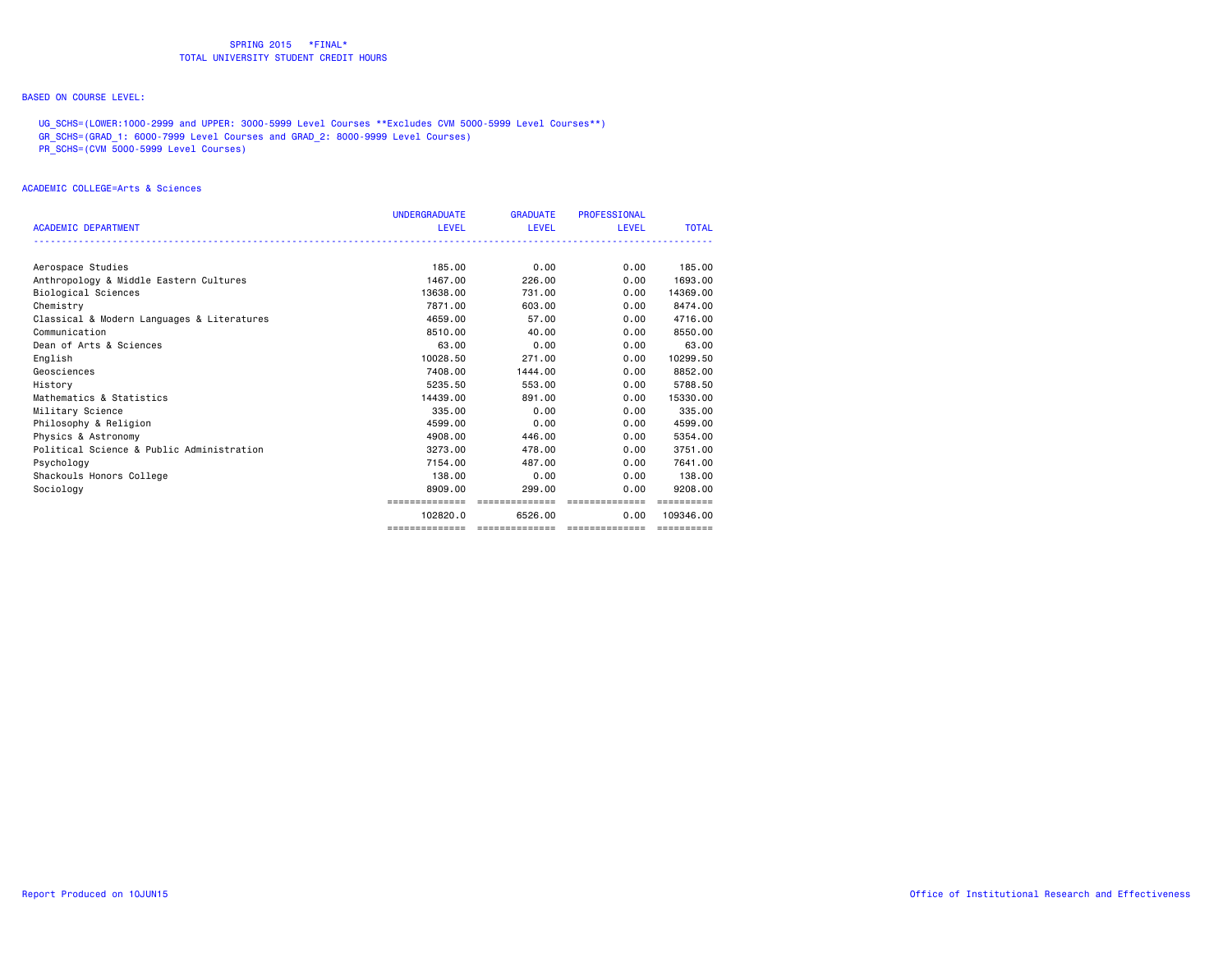# BASED ON COURSE LEVEL:

 UG\_SCHS=(LOWER:1000-2999 and UPPER: 3000-5999 Level Courses \*\*Excludes CVM 5000-5999 Level Courses\*\*) GR\_SCHS=(GRAD\_1: 6000-7999 Level Courses and GRAD\_2: 8000-9999 Level Courses) PR\_SCHS=(CVM 5000-5999 Level Courses)

#### ACADEMIC COLLEGE=Arts & Sciences

|                                            | <b>UNDERGRADUATE</b> | <b>GRADUATE</b> | PROFESSIONAL                   |              |
|--------------------------------------------|----------------------|-----------------|--------------------------------|--------------|
| <b>ACADEMIC DEPARTMENT</b>                 | <b>LEVEL</b>         | <b>LEVEL</b>    | <b>LEVEL</b>                   | <b>TOTAL</b> |
|                                            |                      |                 |                                |              |
| Aerospace Studies                          | 185.00               | 0.00            | 0.00                           | 185,00       |
| Anthropology & Middle Eastern Cultures     | 1467.00              | 226,00          | 0.00                           | 1693.00      |
| Biological Sciences                        | 13638,00             | 731.00          | 0.00                           | 14369,00     |
| Chemistry                                  | 7871.00              | 603,00          | 0.00                           | 8474.00      |
| Classical & Modern Languages & Literatures | 4659.00              | 57.00           | 0.00                           | 4716.00      |
| Communication                              | 8510.00              | 40.00           | 0.00                           | 8550.00      |
| Dean of Arts & Sciences                    | 63.00                | 0.00            | 0.00                           | 63.00        |
| English                                    | 10028.50             | 271.00          | 0.00                           | 10299.50     |
| Geosciences                                | 7408.00              | 1444.00         | 0.00                           | 8852.00      |
| History                                    | 5235.50              | 553,00          | 0.00                           | 5788.50      |
| Mathematics & Statistics                   | 14439.00             | 891,00          | 0.00                           | 15330.00     |
| Military Science                           | 335,00               | 0.00            | 0.00                           | 335.00       |
| Philosophy & Religion                      | 4599.00              | 0.00            | 0.00                           | 4599.00      |
| Physics & Astronomy                        | 4908.00              | 446.00          | 0.00                           | 5354.00      |
| Political Science & Public Administration  | 3273.00              | 478.00          | 0.00                           | 3751.00      |
| Psychology                                 | 7154.00              | 487.00          | 0.00                           | 7641.00      |
| Shackouls Honors College                   | 138,00               | 0.00            | 0.00                           | 138,00       |
| Sociology                                  | 8909.00              | 299,00          | 0.00                           | 9208,00      |
|                                            | ==============       | ==============  | ---------------                | ==========   |
|                                            | 102820.0             | 6526.00         | 0.00                           | 109346.00    |
|                                            | ==============       |                 | ============================== | ==========   |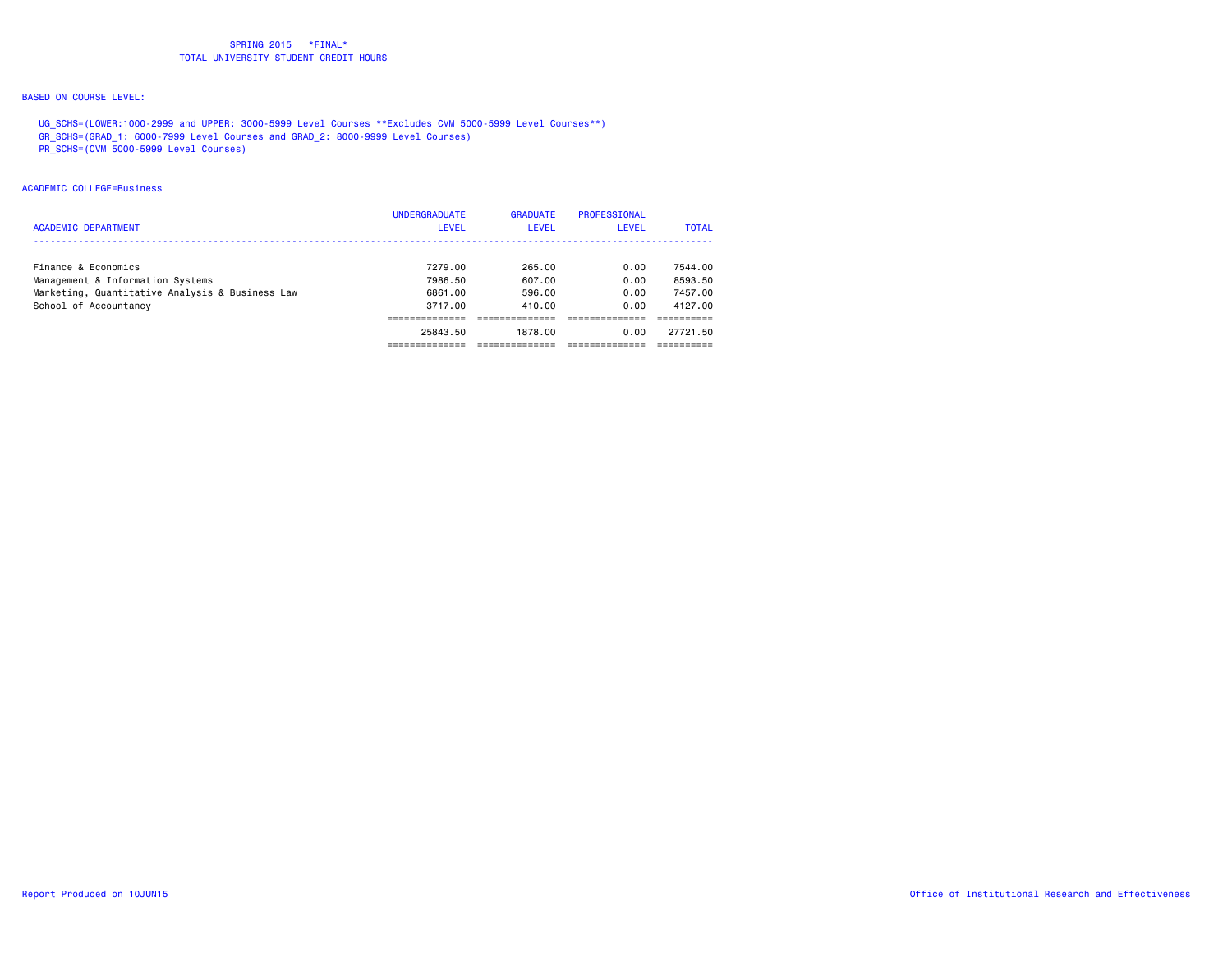# BASED ON COURSE LEVEL:

 UG\_SCHS=(LOWER:1000-2999 and UPPER: 3000-5999 Level Courses \*\*Excludes CVM 5000-5999 Level Courses\*\*) GR\_SCHS=(GRAD\_1: 6000-7999 Level Courses and GRAD\_2: 8000-9999 Level Courses)

PR\_SCHS=(CVM 5000-5999 Level Courses)

### ACADEMIC COLLEGE=Business

| Finance & Economics<br>7279.00<br>Management & Information Systems<br>7986.50<br>Marketing, Quantitative Analysis & Business Law<br>6861.00<br>School of Accountancy<br>3717.00<br>25843.50 | 265.00<br>607.00<br>596.00<br>410.00<br>1878.00 | 0.00<br>0.00<br>0.00<br>0.00<br>0.00 | 7544.00<br>8593.50<br>7457.00<br>4127.00<br>27721.50 |
|---------------------------------------------------------------------------------------------------------------------------------------------------------------------------------------------|-------------------------------------------------|--------------------------------------|------------------------------------------------------|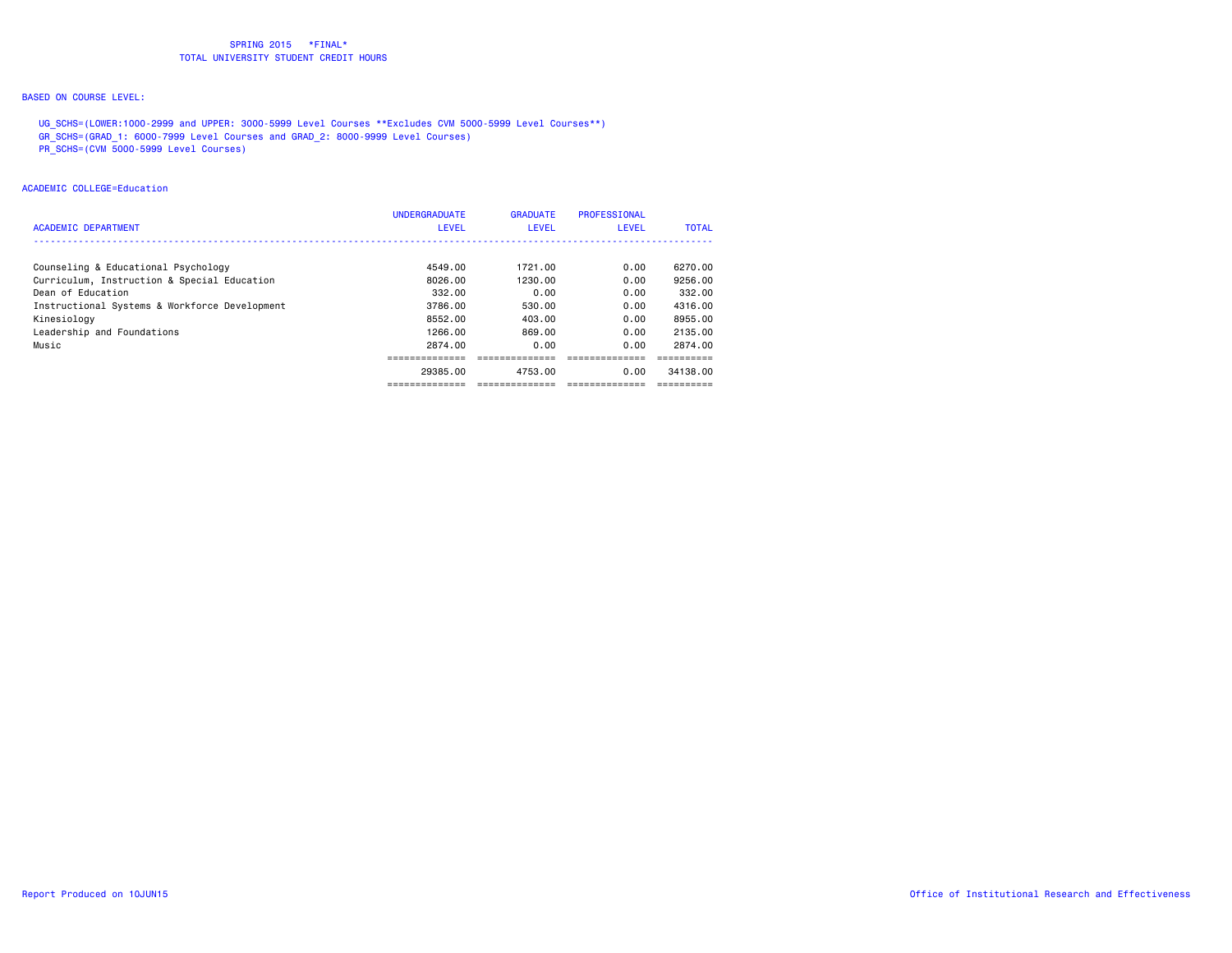# BASED ON COURSE LEVEL:

 UG\_SCHS=(LOWER:1000-2999 and UPPER: 3000-5999 Level Courses \*\*Excludes CVM 5000-5999 Level Courses\*\*) GR\_SCHS=(GRAD\_1: 6000-7999 Level Courses and GRAD\_2: 8000-9999 Level Courses)

PR\_SCHS=(CVM 5000-5999 Level Courses)

#### ACADEMIC COLLEGE=Education

| <b>ACADEMIC DEPARTMENT</b>                    | <b>UNDERGRADUATE</b><br><b>LEVEL</b> | <b>GRADUATE</b><br><b>LEVEL</b> | PROFESSIONAL<br>LEVEL | <b>TOTAL</b> |
|-----------------------------------------------|--------------------------------------|---------------------------------|-----------------------|--------------|
| Counseling & Educational Psychology           | 4549.00                              | 1721.00                         | 0.00                  | 6270.00      |
| Curriculum, Instruction & Special Education   | 8026.00                              | 1230.00                         | 0.00                  | 9256.00      |
| Dean of Education                             | 332.00                               | 0.00                            | 0.00                  | 332.00       |
| Instructional Systems & Workforce Development | 3786.00                              | 530.00                          | 0.00                  | 4316.00      |
| Kinesiology                                   | 8552.00                              | 403.00                          | 0.00                  | 8955.00      |
| Leadership and Foundations                    | 1266.00                              | 869.00                          | 0.00                  | 2135.00      |
| Music                                         | 2874.00                              | 0.00                            | 0.00                  | 2874.00      |
|                                               |                                      |                                 |                       |              |
|                                               | 29385.00                             | 4753.00                         | 0.00                  | 34138.00     |
|                                               | --------------                       | -------------                   |                       |              |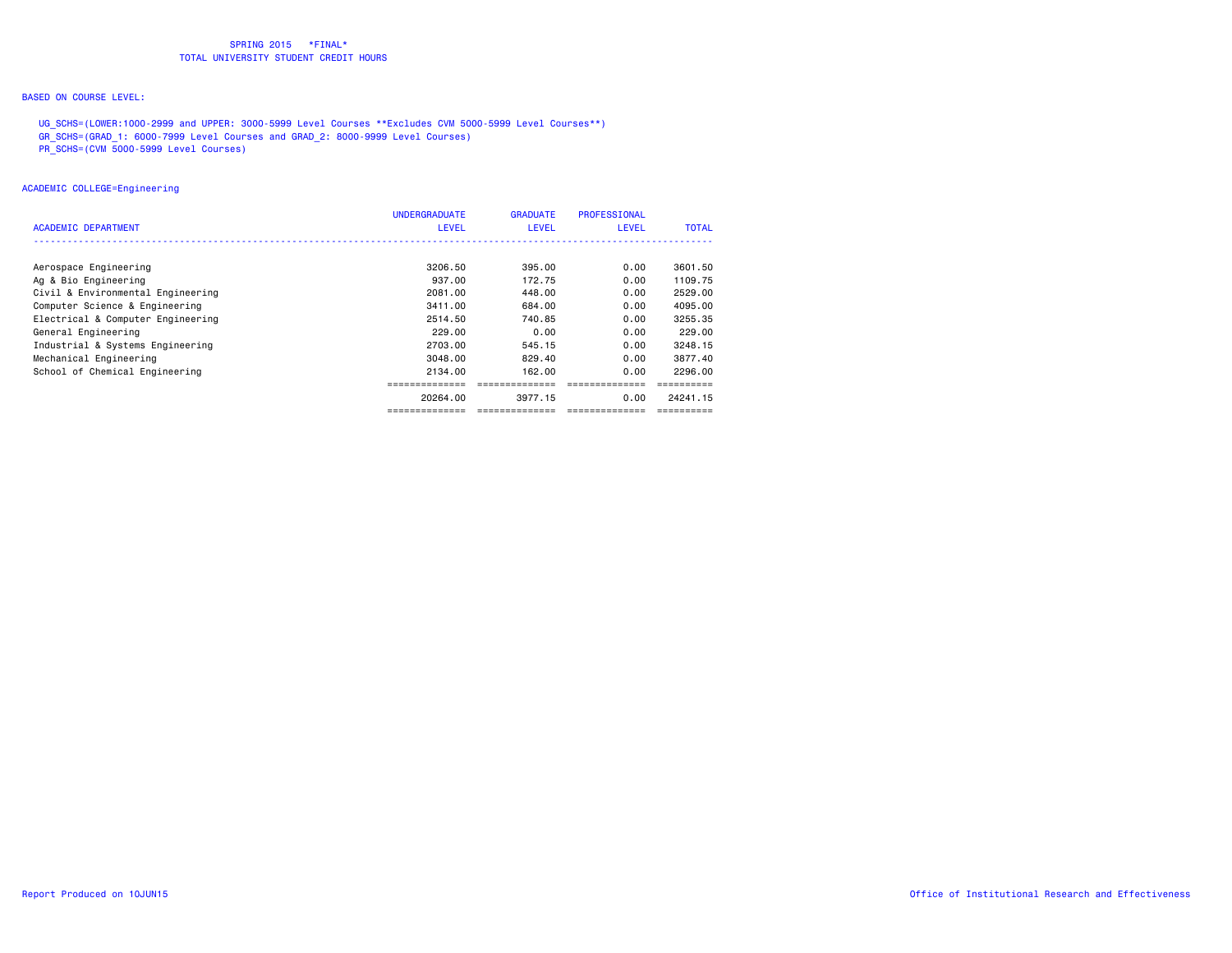# BASED ON COURSE LEVEL:

 UG\_SCHS=(LOWER:1000-2999 and UPPER: 3000-5999 Level Courses \*\*Excludes CVM 5000-5999 Level Courses\*\*) GR\_SCHS=(GRAD\_1: 6000-7999 Level Courses and GRAD\_2: 8000-9999 Level Courses)

PR\_SCHS=(CVM 5000-5999 Level Courses)

### ACADEMIC COLLEGE=Engineering

| ACADEMIC DEPARTMENT               | <b>UNDERGRADUATE</b><br><b>LEVEL</b> | <b>GRADUATE</b><br>LEVEL | PROFESSIONAL<br><b>LEVEL</b> | <b>TOTAL</b> |
|-----------------------------------|--------------------------------------|--------------------------|------------------------------|--------------|
|                                   |                                      |                          |                              |              |
| Aerospace Engineering             | 3206.50                              | 395.00                   | 0.00                         | 3601.50      |
| Ag & Bio Engineering              | 937.00                               | 172.75                   | 0.00                         | 1109.75      |
| Civil & Environmental Engineering | 2081.00                              | 448.00                   | 0.00                         | 2529.00      |
| Computer Science & Engineering    | 3411.00                              | 684.00                   | 0.00                         | 4095.00      |
| Electrical & Computer Engineering | 2514.50                              | 740.85                   | 0.00                         | 3255.35      |
| General Engineering               | 229.00                               | 0.00                     | 0.00                         | 229,00       |
| Industrial & Systems Engineering  | 2703.00                              | 545.15                   | 0.00                         | 3248.15      |
| Mechanical Engineering            | 3048.00                              | 829.40                   | 0.00                         | 3877.40      |
| School of Chemical Engineering    | 2134.00                              | 162,00                   | 0.00                         | 2296.00      |
|                                   |                                      |                          |                              |              |
|                                   | 20264.00                             | 3977.15                  | 0.00                         | 24241.15     |
|                                   |                                      | ==============           |                              |              |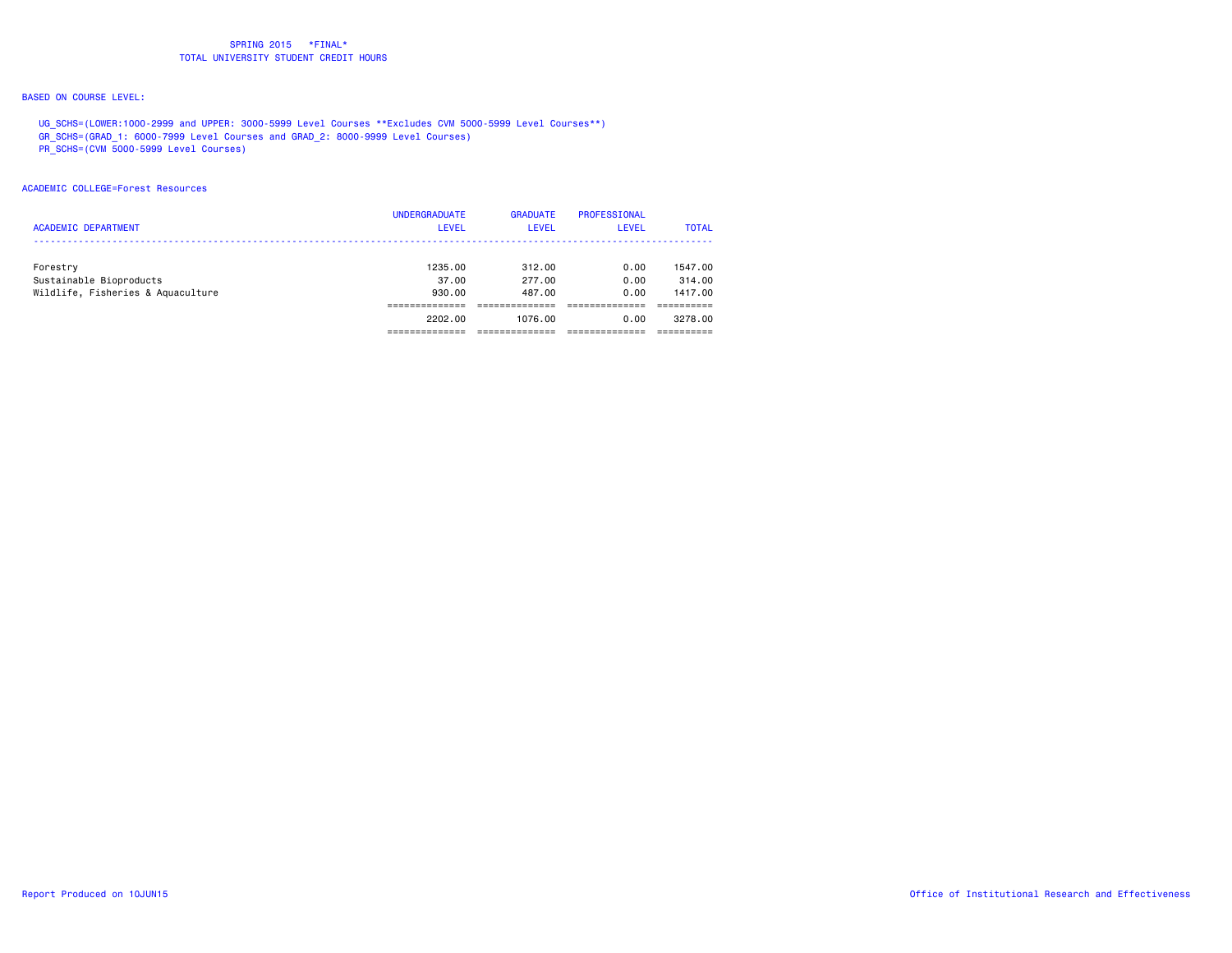# BASED ON COURSE LEVEL:

 UG\_SCHS=(LOWER:1000-2999 and UPPER: 3000-5999 Level Courses \*\*Excludes CVM 5000-5999 Level Courses\*\*) GR\_SCHS=(GRAD\_1: 6000-7999 Level Courses and GRAD\_2: 8000-9999 Level Courses)

PR\_SCHS=(CVM 5000-5999 Level Courses)

#### ACADEMIC COLLEGE=Forest Resources

| <b>ACADEMIC DEPARTMENT</b>        | <b>UNDERGRADUATE</b><br><b>LEVEL</b> | <b>GRADUATE</b><br><b>LEVEL</b> | <b>PROFESSIONAL</b><br>LEVEL | <b>TOTAL</b> |
|-----------------------------------|--------------------------------------|---------------------------------|------------------------------|--------------|
| Forestry                          | 1235.00                              | 312.00                          | 0.00                         | 1547.00      |
| Sustainable Bioproducts           | 37.00                                | 277.00                          | 0.00                         | 314,00       |
| Wildlife, Fisheries & Aquaculture | 930.00                               | 487.00                          | 0.00                         | 1417.00      |
|                                   |                                      |                                 |                              |              |
|                                   | 2202.00                              | 1076.00                         | 0.00                         | 3278.00      |
|                                   |                                      |                                 |                              |              |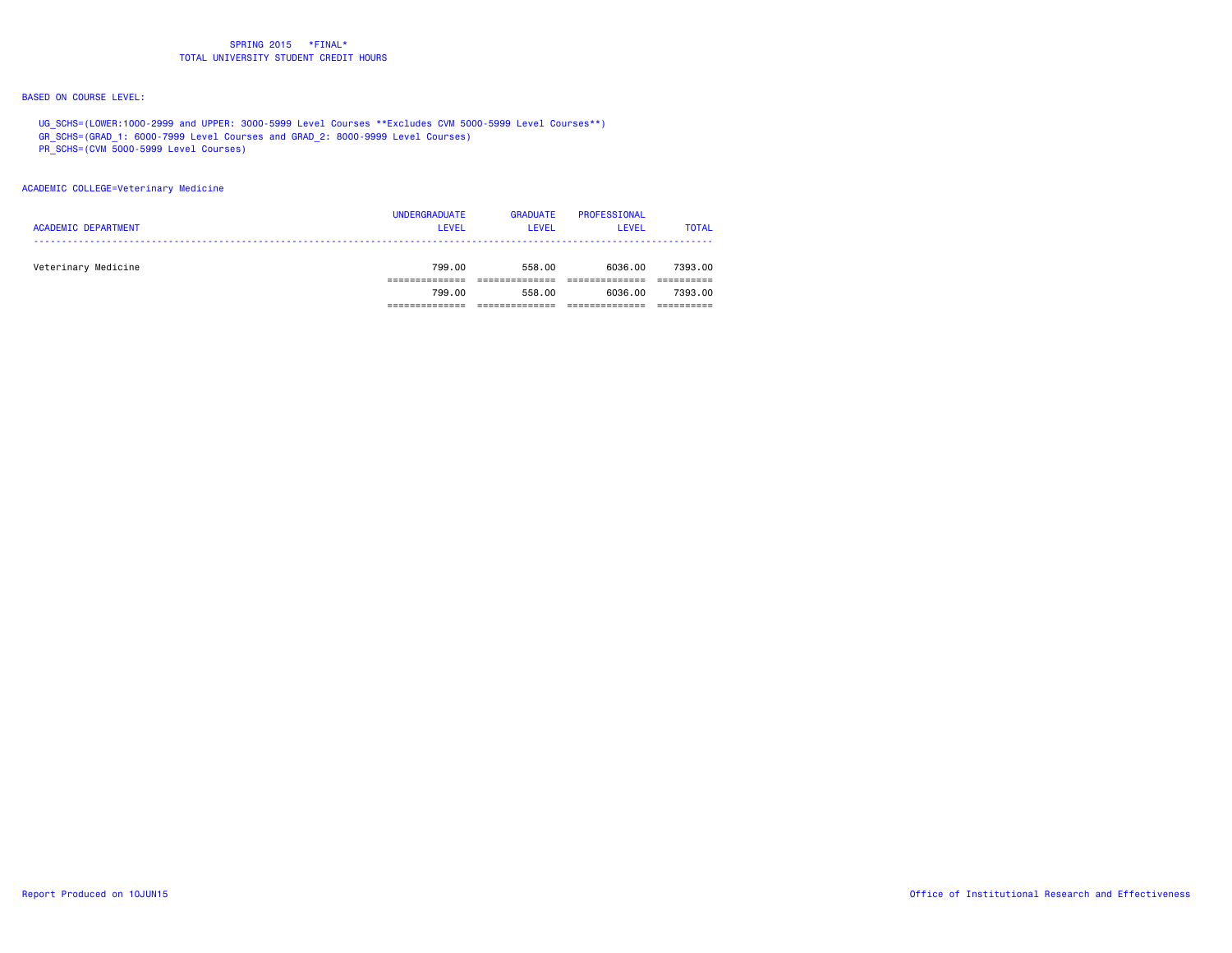# BASED ON COURSE LEVEL:

 UG\_SCHS=(LOWER:1000-2999 and UPPER: 3000-5999 Level Courses \*\*Excludes CVM 5000-5999 Level Courses\*\*) GR\_SCHS=(GRAD\_1: 6000-7999 Level Courses and GRAD\_2: 8000-9999 Level Courses)

- 
- PR\_SCHS=(CVM 5000-5999 Level Courses)

### ACADEMIC COLLEGE=Veterinary Medicine

| <b>ACADEMIC DEPARTMENT</b> | <b>UNDERGRADUATE</b><br><b>LEVEL</b> | <b>GRADUATE</b><br><b>LEVEL</b> | PROFESSIONAL<br>LEVEL | <b>TOTAL</b> |
|----------------------------|--------------------------------------|---------------------------------|-----------------------|--------------|
| Veterinary Medicine        | 799.00                               | 558.00                          | 6036.00               | 7393.00      |
|                            | 799.00                               | 558.00                          | 6036.00               | 7393.00      |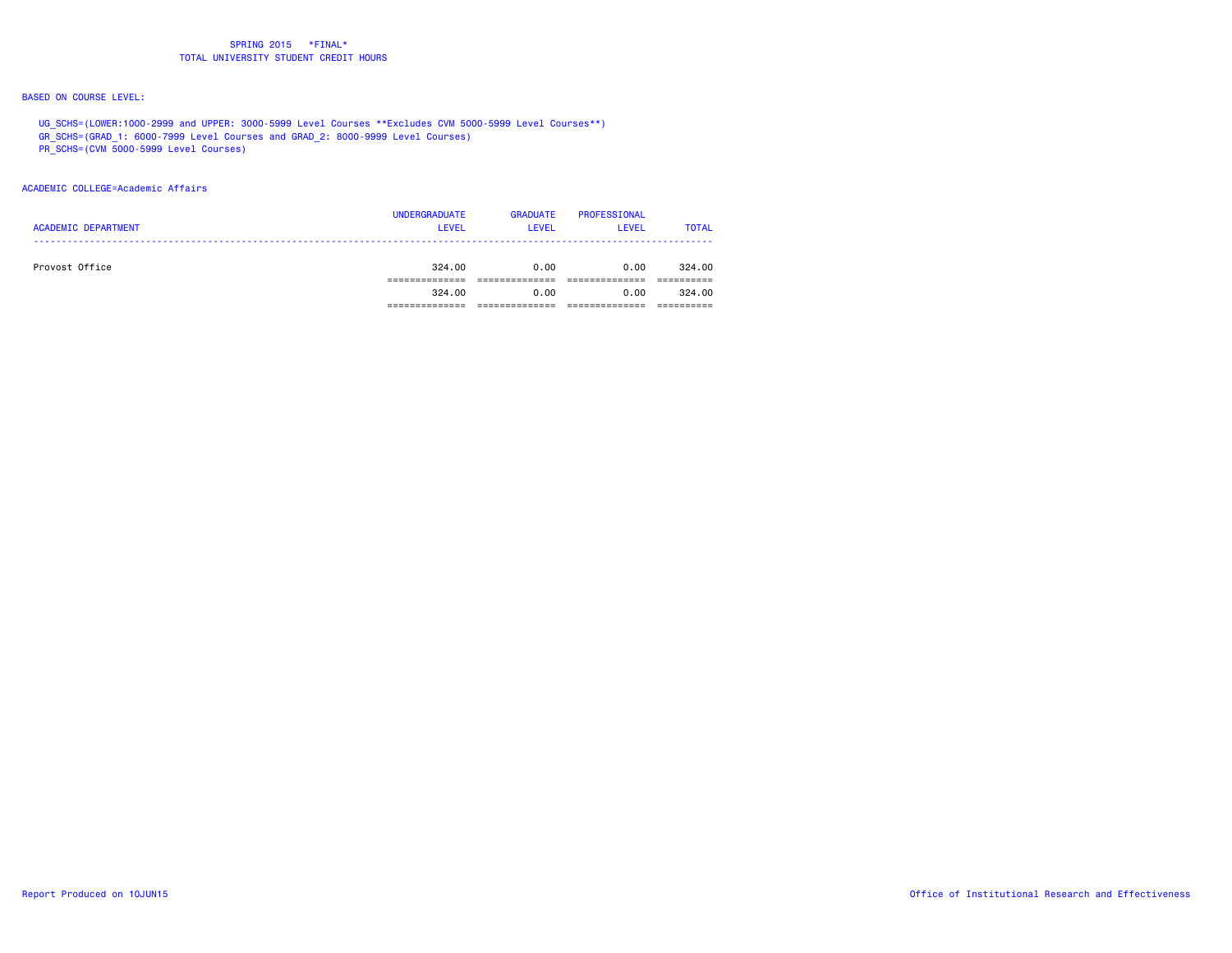# BASED ON COURSE LEVEL:

 UG\_SCHS=(LOWER:1000-2999 and UPPER: 3000-5999 Level Courses \*\*Excludes CVM 5000-5999 Level Courses\*\*) GR\_SCHS=(GRAD\_1: 6000-7999 Level Courses and GRAD\_2: 8000-9999 Level Courses)

PR\_SCHS=(CVM 5000-5999 Level Courses)

### ACADEMIC COLLEGE=Academic Affairs

| <b>ACADEMIC DEPARTMENT</b> | <b>UNDERGRADUATE</b><br>LEVEL | <b>GRADUATE</b><br><b>LEVEL</b> | PROFESSIONAL<br><b>LEVEL</b> | <b>TOTAL</b> |
|----------------------------|-------------------------------|---------------------------------|------------------------------|--------------|
| Provost Office             | 324.00                        | 0.00                            | 0.00                         | 324.00       |
|                            | 324.00                        | 0.00                            | 0.00                         | 324.00       |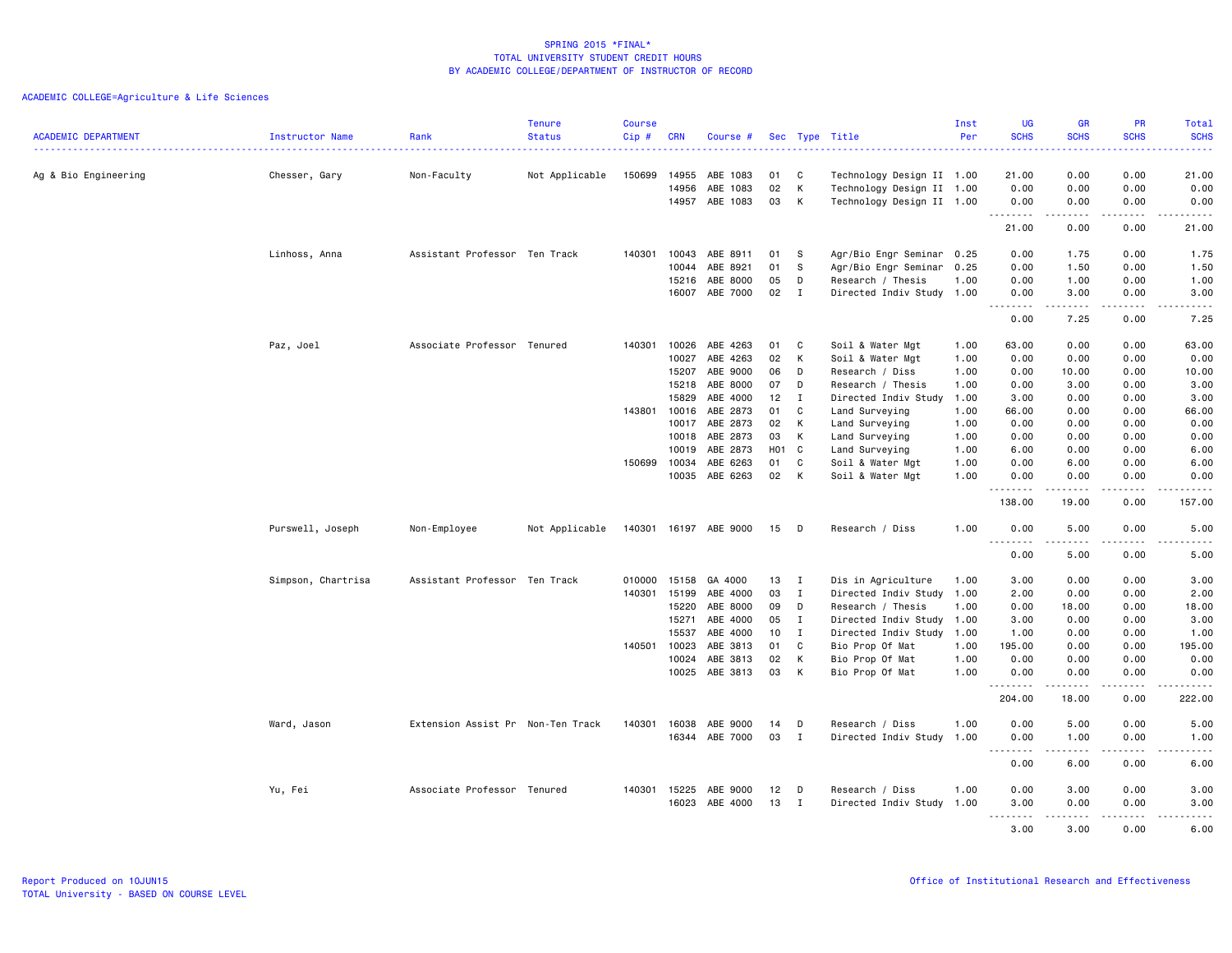|                            |                    |                                   | <b>Tenure</b>  | <b>Course</b> |                |                      |              |                  |                                           | Inst         | <b>UG</b>                                            | <b>GR</b>                                                                                                                                                    | PR           | Total                      |
|----------------------------|--------------------|-----------------------------------|----------------|---------------|----------------|----------------------|--------------|------------------|-------------------------------------------|--------------|------------------------------------------------------|--------------------------------------------------------------------------------------------------------------------------------------------------------------|--------------|----------------------------|
| <b>ACADEMIC DEPARTMENT</b> | Instructor Name    | Rank                              | <b>Status</b>  | Cip#          | <b>CRN</b>     | Course #             |              |                  | Sec Type Title                            | Per          | <b>SCHS</b>                                          | <b>SCHS</b>                                                                                                                                                  | <b>SCHS</b>  | <b>SCHS</b><br>$2 - 2 - 1$ |
| Ag & Bio Engineering       | Chesser, Gary      | Non-Faculty                       | Not Applicable | 150699        | 14955          | ABE 1083             | 01           | C                | Technology Design II 1.00                 |              | 21.00                                                | 0.00                                                                                                                                                         | 0.00         | 21.00                      |
|                            |                    |                                   |                |               | 14956          | ABE 1083             | 02           | К                | Technology Design II 1.00                 |              | 0.00                                                 | 0.00                                                                                                                                                         | 0.00         | 0.00                       |
|                            |                    |                                   |                |               |                | 14957 ABE 1083       | 03           | К                | Technology Design II 1.00                 |              | 0.00                                                 | 0.00                                                                                                                                                         | 0.00         | 0.00                       |
|                            |                    |                                   |                |               |                |                      |              |                  |                                           |              | <u>.</u><br>21.00                                    | $- - - - -$<br>0.00                                                                                                                                          | .<br>0.00    | .<br>21.00                 |
|                            | Linhoss, Anna      | Assistant Professor Ten Track     |                | 140301        | 10043          | ABE 8911             | 01           | -S               | Agr/Bio Engr Seminar                      | 0.25         | 0.00                                                 | 1.75                                                                                                                                                         | 0.00         | 1.75                       |
|                            |                    |                                   |                |               | 10044          | ABE 8921             | 01           | S                | Agr/Bio Engr Seminar                      | 0.25         | 0.00                                                 | 1.50                                                                                                                                                         | 0.00         | 1.50                       |
|                            |                    |                                   |                |               | 15216          | ABE 8000             | 05           | D                | Research / Thesis                         | 1.00         | 0.00                                                 | 1.00                                                                                                                                                         | 0.00         | 1.00                       |
|                            |                    |                                   |                |               |                | 16007 ABE 7000       | $02 \quad I$ |                  | Directed Indiv Study 1.00                 |              | 0.00<br>$- - - - -$<br>$\sim$ $\sim$ $\sim$          | 3.00<br>$\frac{1}{2} \left( \frac{1}{2} \right) \left( \frac{1}{2} \right) \left( \frac{1}{2} \right) \left( \frac{1}{2} \right) \left( \frac{1}{2} \right)$ | 0.00<br>.    | 3.00<br>$- - - - -$        |
|                            |                    |                                   |                |               |                |                      |              |                  |                                           |              | 0.00                                                 | 7.25                                                                                                                                                         | 0.00         | 7.25                       |
|                            | Paz, Joel          | Associate Professor Tenured       |                | 140301        | 10026          | ABE 4263             | 01           | C                | Soil & Water Mgt                          | 1.00         | 63.00                                                | 0.00                                                                                                                                                         | 0.00         | 63.00                      |
|                            |                    |                                   |                |               | 10027          | ABE 4263             | 02           | К                | Soil & Water Mgt                          | 1.00         | 0.00                                                 | 0.00                                                                                                                                                         | 0.00         | 0.00                       |
|                            |                    |                                   |                |               | 15207          | ABE 9000             | 06           | D                | Research / Diss                           | 1.00         | 0.00                                                 | 10.00                                                                                                                                                        | 0.00         | 10.00                      |
|                            |                    |                                   |                |               | 15218<br>15829 | ABE 8000<br>ABE 4000 | 07<br>12     | D<br>$\mathbf I$ | Research / Thesis<br>Directed Indiv Study | 1.00         | 0.00<br>3.00                                         | 3.00                                                                                                                                                         | 0.00<br>0.00 | 3.00<br>3.00               |
|                            |                    |                                   |                | 143801        | 10016          | ABE 2873             | 01           | C                | Land Surveying                            | 1.00<br>1.00 | 66.00                                                | 0.00<br>0.00                                                                                                                                                 | 0.00         | 66.00                      |
|                            |                    |                                   |                |               | 10017          | ABE 2873             | 02           | К                | Land Surveying                            | 1.00         | 0.00                                                 | 0.00                                                                                                                                                         | 0.00         | 0.00                       |
|                            |                    |                                   |                |               | 10018          | ABE 2873             | 03           | K                | Land Surveying                            | 1.00         | 0.00                                                 | 0.00                                                                                                                                                         | 0.00         | 0.00                       |
|                            |                    |                                   |                |               | 10019          | ABE 2873             | H01          | $\mathbf{C}$     | Land Surveying                            | 1.00         | 6.00                                                 | 0.00                                                                                                                                                         | 0.00         | 6.00                       |
|                            |                    |                                   |                | 150699        | 10034          | ABE 6263             | 01           | C                | Soil & Water Mgt                          | 1.00         | 0.00                                                 | 6.00                                                                                                                                                         | 0.00         | 6.00                       |
|                            |                    |                                   |                |               | 10035          | ABE 6263             | 02           | K                | Soil & Water Mgt                          | 1.00         | 0.00                                                 | 0.00                                                                                                                                                         | 0.00         | 0.00                       |
|                            |                    |                                   |                |               |                |                      |              |                  |                                           |              | .<br>138.00                                          | .<br>19.00                                                                                                                                                   | .<br>0.00    | .<br>157.00                |
|                            | Purswell, Joseph   | Non-Employee                      | Not Applicable | 140301        |                | 16197 ABE 9000       | 15           | D                | Research / Diss                           | 1.00         | 0.00                                                 | 5.00                                                                                                                                                         | 0.00         | 5.00                       |
|                            |                    |                                   |                |               |                |                      |              |                  |                                           |              | $\sim$ $\sim$<br>$\sim$ $\sim$ $\sim$ $\sim$<br>0.00 | .<br>5.00                                                                                                                                                    | .<br>0.00    | -----<br>5.00              |
|                            | Simpson, Chartrisa | Assistant Professor Ten Track     |                | 010000        | 15158          | GA 4000              | 13           | $\mathbf I$      | Dis in Agriculture                        | 1.00         | 3.00                                                 | 0.00                                                                                                                                                         | 0.00         | 3.00                       |
|                            |                    |                                   |                | 140301        | 15199          | ABE 4000             | 03           | $\mathbf{I}$     | Directed Indiv Study 1.00                 |              | 2.00                                                 | 0.00                                                                                                                                                         | 0.00         | 2.00                       |
|                            |                    |                                   |                |               | 15220          | ABE 8000             | 09           | D                | Research / Thesis                         | 1.00         | 0.00                                                 | 18.00                                                                                                                                                        | 0.00         | 18.00                      |
|                            |                    |                                   |                |               | 15271          | ABE 4000             | 05           | $\mathbf{I}$     | Directed Indiv Study 1.00                 |              | 3.00                                                 | 0.00                                                                                                                                                         | 0.00         | 3.00                       |
|                            |                    |                                   |                |               | 15537          | ABE 4000             | 10           | $\mathbf{I}$     | Directed Indiv Study                      | 1.00         | 1.00                                                 | 0.00                                                                                                                                                         | 0.00         | 1.00                       |
|                            |                    |                                   |                | 140501        | 10023          | ABE 3813             | 01           | C                | Bio Prop Of Mat                           | 1.00         | 195.00                                               | 0.00                                                                                                                                                         | 0.00         | 195.00                     |
|                            |                    |                                   |                |               | 10024<br>10025 | ABE 3813<br>ABE 3813 | 02<br>03     | К<br>К           | Bio Prop Of Mat<br>Bio Prop Of Mat        | 1.00<br>1.00 | 0.00<br>0.00                                         | 0.00<br>0.00                                                                                                                                                 | 0.00<br>0.00 | 0.00<br>0.00               |
|                            |                    |                                   |                |               |                |                      |              |                  |                                           |              | .<br>204.00                                          | $- - - - -$<br>18.00                                                                                                                                         | .<br>0.00    | .<br>222.00                |
|                            | Ward, Jason        | Extension Assist Pr Non-Ten Track |                | 140301        | 16038          | ABE 9000             | 14           | D                | Research / Diss                           | 1.00         | 0.00                                                 | 5.00                                                                                                                                                         | 0.00         | 5.00                       |
|                            |                    |                                   |                |               | 16344          | ABE 7000             | 03           | $\mathbf{I}$     | Directed Indiv Study 1.00                 |              | 0.00<br><u>.</u>                                     | 1.00<br>. <u>.</u>                                                                                                                                           | 0.00<br>.    | 1.00<br>.<br>$  -$         |
|                            |                    |                                   |                |               |                |                      |              |                  |                                           |              | 0.00                                                 | 6.00                                                                                                                                                         | 0.00         | 6.00                       |
|                            | Yu, Fei            | Associate Professor Tenured       |                | 140301        | 15225          | ABE 9000             | 12           | D                | Research / Diss                           | 1.00         | 0.00                                                 | 3.00                                                                                                                                                         | 0.00         | 3.00                       |
|                            |                    |                                   |                |               | 16023          | ABE 4000             | 13           | $\mathbf{I}$     | Directed Indiv Study 1.00                 |              | 3.00<br>-----<br>$-$                                 | 0.00<br>$- - - - -$                                                                                                                                          | 0.00<br>.    | 3.00<br>.                  |
|                            |                    |                                   |                |               |                |                      |              |                  |                                           |              | 3.00                                                 | 3.00                                                                                                                                                         | 0.00         | 6.00                       |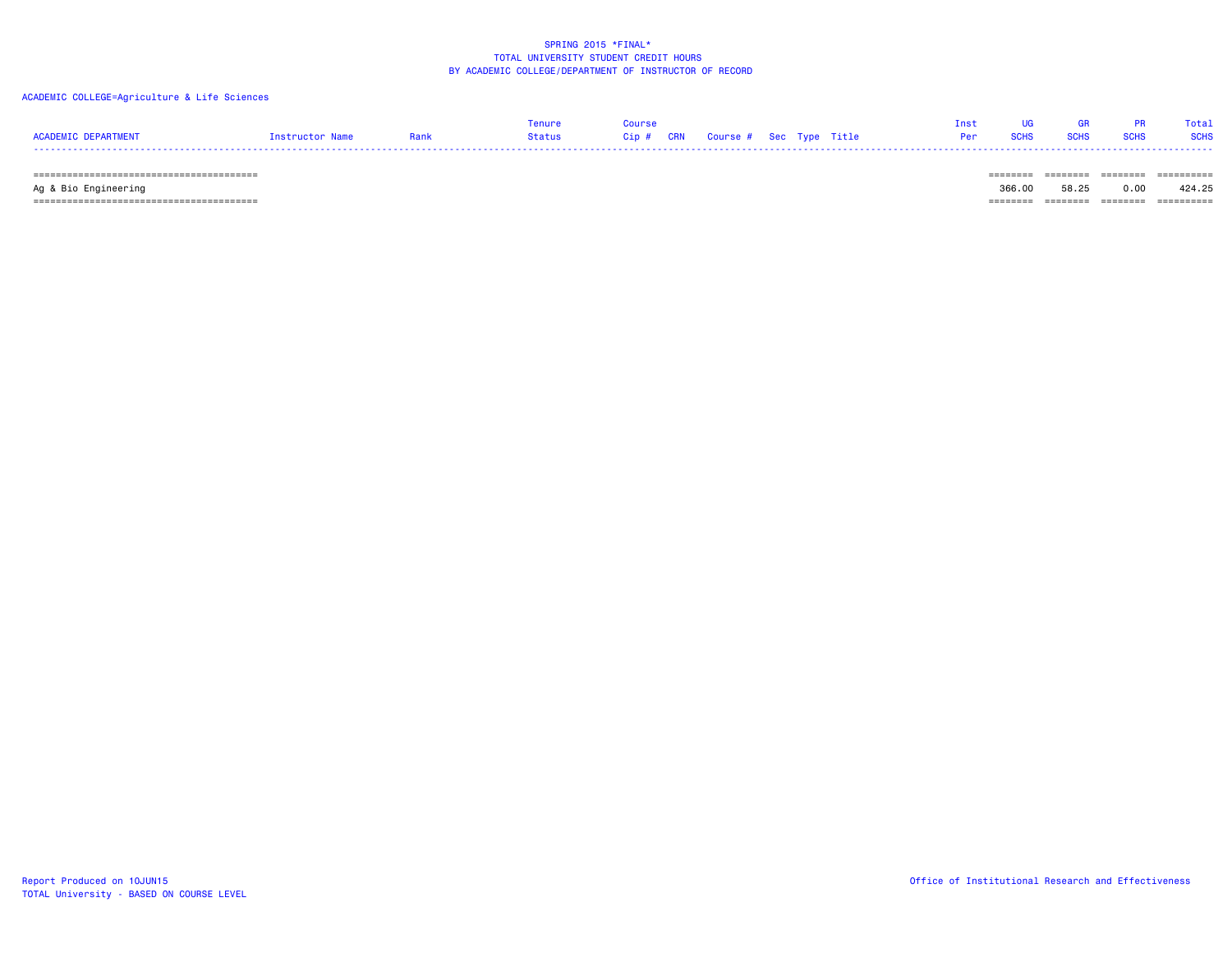## ACADEMIC COLLEGE=Agriculture & Life Sciences

|                     |                        |      |        |  |                                   |  | Tnet |               |           | Total |
|---------------------|------------------------|------|--------|--|-----------------------------------|--|------|---------------|-----------|-------|
| ACADEMIC DEPARTMENT | <b>Tnstructor Name</b> | Rank | Status |  | Cip # CRN Course # Sec Type Title |  |      | Per SCHS SCHS | SCHS SCHS |       |
|                     |                        |      |        |  |                                   |  |      |               |           |       |

======================================== ======== ======== ======== ==========

 Ag & Bio Engineering 366.00 58.25 0.00 424.25 ======================================== ======== ======== ======== ==========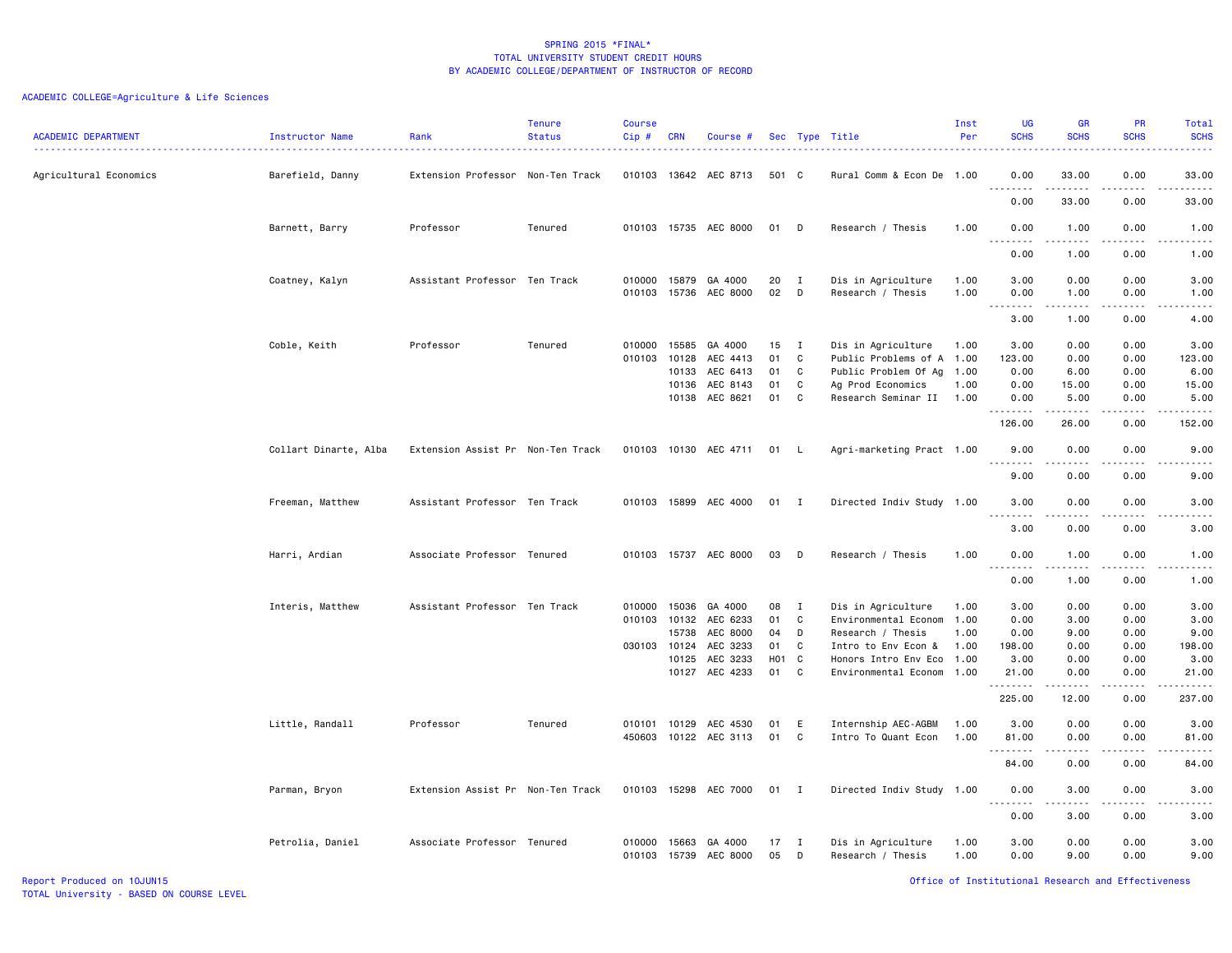| Agricultural Economics<br>Barefield, Danny<br>Extension Professor Non-Ten Track<br>010103 13642 AEC 8713<br>501 C<br>Rural Comm & Econ De 1.00<br>0.00<br>33.00<br>0.00<br>33.00<br>.<br>.<br>.<br>.<br>0.00<br>33.00<br>0.00<br>33.00<br>010103 15735 AEC 8000<br>0.00<br>1.00<br>Barnett, Barry<br>Professor<br>Tenured<br>01<br>D<br>Research / Thesis<br>1.00<br>0.00<br>1.00<br>.<br>0.00<br>1.00<br>0.00<br>1.00<br>Assistant Professor Ten Track<br>20<br>3.00<br>0.00<br>010000<br>GA 4000<br>Dis in Agriculture<br>1.00<br>0.00<br>3.00<br>Coatney, Kalyn<br>15879<br>I<br>02<br>010103<br>15736<br>AEC 8000<br>D<br>Research / Thesis<br>1.00<br>0.00<br>1.00<br>0.00<br>1.00<br>.<br>.<br>$\sim$ $\sim$ $\sim$<br>.<br>3.00<br>1.00<br>0.00<br>4.00<br>Professor<br>Tenured<br>010000<br>15585<br>GA 4000<br>15<br>Dis in Agriculture<br>1.00<br>3.00<br>0.00<br>0.00<br>3.00<br>Coble, Keith<br>$\mathbf{I}$<br>01<br>Public Problems of A 1.00<br>123.00<br>010103 10128<br>AEC 4413<br>C<br>123.00<br>0.00<br>0.00<br>10133<br>AEC 6413<br>01<br>C<br>Public Problem Of Ag 1.00<br>0.00<br>6.00<br>0.00<br>6.00<br>10136<br>AEC 8143<br>01<br>C<br>Ag Prod Economics<br>0.00<br>0.00<br>15.00<br>1.00<br>15.00<br>10138 AEC 8621<br>01<br>C<br>Research Seminar II 1.00<br>0.00<br>5.00<br>0.00<br>5.00<br>.<br>.<br>.<br>.<br>126.00<br>26.00<br>0.00<br>152.00<br>Collart Dinarte, Alba<br>Extension Assist Pr Non-Ten Track<br>010103 10130 AEC 4711<br>Agri-marketing Pract 1.00<br>9.00<br>0.00<br>0.00<br>9.00<br>01 L<br>$\sim$ $\sim$ $\sim$<br>$\frac{1}{2} \left( \frac{1}{2} \right) \left( \frac{1}{2} \right) \left( \frac{1}{2} \right) \left( \frac{1}{2} \right) \left( \frac{1}{2} \right) \left( \frac{1}{2} \right)$<br>. <b>.</b> .<br>-----<br><u>.</u><br>9.00<br>0.00<br>0.00<br>9.00<br>Freeman, Matthew<br>Assistant Professor Ten Track<br>010103 15899 AEC 4000<br>01 I<br>Directed Indiv Study 1.00<br>3.00<br>0.00<br>0.00<br>3.00<br>.<br>.<br>.<br>$\sim$ $\sim$ $\sim$<br>3.00<br>0.00<br>0.00<br>3.00<br>010103 15737 AEC 8000<br>Harri, Ardian<br>Associate Professor Tenured<br>03<br>D<br>Research / Thesis<br>1.00<br>0.00<br>1.00<br>0.00<br>1.00<br>.<br>$\sim$ $\sim$ $\sim$<br>.<br>0.00<br>1.00<br>0.00<br>1.00<br>Assistant Professor Ten Track<br>GA 4000<br>08<br>Dis in Agriculture<br>3.00<br>0.00<br>0.00<br>3.00<br>Interis, Matthew<br>010000<br>15036<br>$\mathbf{I}$<br>1.00<br>01<br>1.00<br>0.00<br>010103 10132<br>AEC 6233<br>C<br>Environmental Econom<br>0.00<br>3.00<br>3.00<br>15738<br>AEC 8000<br>04<br>D<br>Research / Thesis<br>1.00<br>0.00<br>9.00<br>0.00<br>9.00<br>030103 10124<br>AEC 3233<br>01<br>C<br>198.00<br>0.00<br>198.00<br>Intro to Env Econ &<br>1.00<br>0.00<br>AEC 3233<br>H01<br>3.00<br>10125<br>$\mathbf{C}$<br>Honors Intro Env Eco 1.00<br>3.00<br>0.00<br>0.00<br>AEC 4233<br>01<br>C<br>10127<br>Environmental Econom 1.00<br>21.00<br>0.00<br>0.00<br>21.00<br>.<br>.<br>.<br>225.00<br>12.00<br>0.00<br>237.00<br>Little, Randall<br>Professor<br>Tenured<br>010101<br>10129<br>AEC 4530<br>01<br>E<br>Internship AEC-AGBM<br>1.00<br>3.00<br>0.00<br>0.00<br>3.00<br>C<br>450603<br>10122 AEC 3113<br>01<br>Intro To Quant Econ<br>1.00<br>81.00<br>0.00<br>0.00<br>81.00<br>-----<br>84.00<br>0.00<br>0.00<br>84.00<br>3.00<br>Parman, Bryon<br>Extension Assist Pr Non-Ten Track<br>010103 15298 AEC 7000<br>01<br>$\blacksquare$<br>Directed Indiv Study 1.00<br>0.00<br>0.00<br>3.00<br>.<br>$- - - -$<br>.<br>0.00<br>3.00<br>0.00<br>3.00<br>Associate Professor Tenured<br>3.00<br>Petrolia, Daniel<br>010000<br>GA 4000<br>17<br>Dis in Agriculture<br>1.00<br>0.00<br>0.00<br>3.00<br>15663<br>$\mathbf{I}$ | <b>ACADEMIC DEPARTMENT</b> | Instructor Name | Rank | Tenure<br><b>Status</b> | <b>Course</b><br>$Cip \#$ | CRN   | Course # |    |   | Sec Type Title    | Inst<br>Per | UG<br><b>SCHS</b><br>222 L | <b>GR</b><br><b>SCHS</b> | PR<br><b>SCHS</b> | Total<br><b>SCHS</b><br>$- - - - -$ |
|---------------------------------------------------------------------------------------------------------------------------------------------------------------------------------------------------------------------------------------------------------------------------------------------------------------------------------------------------------------------------------------------------------------------------------------------------------------------------------------------------------------------------------------------------------------------------------------------------------------------------------------------------------------------------------------------------------------------------------------------------------------------------------------------------------------------------------------------------------------------------------------------------------------------------------------------------------------------------------------------------------------------------------------------------------------------------------------------------------------------------------------------------------------------------------------------------------------------------------------------------------------------------------------------------------------------------------------------------------------------------------------------------------------------------------------------------------------------------------------------------------------------------------------------------------------------------------------------------------------------------------------------------------------------------------------------------------------------------------------------------------------------------------------------------------------------------------------------------------------------------------------------------------------------------------------------------------------------------------------------------------------------------------------------------------------------------------------------------------------------------------------------------------------------------------------------------------------------------------------------------------------------------------------------------------------------------------------------------------------------------------------------------------------------------------------------------------------------------------------------------------------------------------------------------------------------------------------------------------------------------------------------------------------------------------------------------------------------------------------------------------------------------------------------------------------------------------------------------------------------------------------------------------------------------------------------------------------------------------------------------------------------------------------------------------------------------------------------------------------------------------------------------------------------------------------------------------------------------------------------------------------------------------------------------------------------------------------------------------------------------------------------------------------------------------------------------------------------------------------------------------------------------------------------------------------------------------------------------------------------------------------------------------------------------------------------------------------------------------|----------------------------|-----------------|------|-------------------------|---------------------------|-------|----------|----|---|-------------------|-------------|----------------------------|--------------------------|-------------------|-------------------------------------|
|                                                                                                                                                                                                                                                                                                                                                                                                                                                                                                                                                                                                                                                                                                                                                                                                                                                                                                                                                                                                                                                                                                                                                                                                                                                                                                                                                                                                                                                                                                                                                                                                                                                                                                                                                                                                                                                                                                                                                                                                                                                                                                                                                                                                                                                                                                                                                                                                                                                                                                                                                                                                                                                                                                                                                                                                                                                                                                                                                                                                                                                                                                                                                                                                                                                                                                                                                                                                                                                                                                                                                                                                                                                                                                                                 |                            |                 |      |                         |                           |       |          |    |   |                   |             |                            |                          |                   |                                     |
|                                                                                                                                                                                                                                                                                                                                                                                                                                                                                                                                                                                                                                                                                                                                                                                                                                                                                                                                                                                                                                                                                                                                                                                                                                                                                                                                                                                                                                                                                                                                                                                                                                                                                                                                                                                                                                                                                                                                                                                                                                                                                                                                                                                                                                                                                                                                                                                                                                                                                                                                                                                                                                                                                                                                                                                                                                                                                                                                                                                                                                                                                                                                                                                                                                                                                                                                                                                                                                                                                                                                                                                                                                                                                                                                 |                            |                 |      |                         |                           |       |          |    |   |                   |             |                            |                          |                   |                                     |
|                                                                                                                                                                                                                                                                                                                                                                                                                                                                                                                                                                                                                                                                                                                                                                                                                                                                                                                                                                                                                                                                                                                                                                                                                                                                                                                                                                                                                                                                                                                                                                                                                                                                                                                                                                                                                                                                                                                                                                                                                                                                                                                                                                                                                                                                                                                                                                                                                                                                                                                                                                                                                                                                                                                                                                                                                                                                                                                                                                                                                                                                                                                                                                                                                                                                                                                                                                                                                                                                                                                                                                                                                                                                                                                                 |                            |                 |      |                         |                           |       |          |    |   |                   |             |                            |                          |                   |                                     |
|                                                                                                                                                                                                                                                                                                                                                                                                                                                                                                                                                                                                                                                                                                                                                                                                                                                                                                                                                                                                                                                                                                                                                                                                                                                                                                                                                                                                                                                                                                                                                                                                                                                                                                                                                                                                                                                                                                                                                                                                                                                                                                                                                                                                                                                                                                                                                                                                                                                                                                                                                                                                                                                                                                                                                                                                                                                                                                                                                                                                                                                                                                                                                                                                                                                                                                                                                                                                                                                                                                                                                                                                                                                                                                                                 |                            |                 |      |                         |                           |       |          |    |   |                   |             |                            |                          |                   |                                     |
|                                                                                                                                                                                                                                                                                                                                                                                                                                                                                                                                                                                                                                                                                                                                                                                                                                                                                                                                                                                                                                                                                                                                                                                                                                                                                                                                                                                                                                                                                                                                                                                                                                                                                                                                                                                                                                                                                                                                                                                                                                                                                                                                                                                                                                                                                                                                                                                                                                                                                                                                                                                                                                                                                                                                                                                                                                                                                                                                                                                                                                                                                                                                                                                                                                                                                                                                                                                                                                                                                                                                                                                                                                                                                                                                 |                            |                 |      |                         |                           |       |          |    |   |                   |             |                            |                          |                   |                                     |
|                                                                                                                                                                                                                                                                                                                                                                                                                                                                                                                                                                                                                                                                                                                                                                                                                                                                                                                                                                                                                                                                                                                                                                                                                                                                                                                                                                                                                                                                                                                                                                                                                                                                                                                                                                                                                                                                                                                                                                                                                                                                                                                                                                                                                                                                                                                                                                                                                                                                                                                                                                                                                                                                                                                                                                                                                                                                                                                                                                                                                                                                                                                                                                                                                                                                                                                                                                                                                                                                                                                                                                                                                                                                                                                                 |                            |                 |      |                         |                           |       |          |    |   |                   |             |                            |                          |                   |                                     |
|                                                                                                                                                                                                                                                                                                                                                                                                                                                                                                                                                                                                                                                                                                                                                                                                                                                                                                                                                                                                                                                                                                                                                                                                                                                                                                                                                                                                                                                                                                                                                                                                                                                                                                                                                                                                                                                                                                                                                                                                                                                                                                                                                                                                                                                                                                                                                                                                                                                                                                                                                                                                                                                                                                                                                                                                                                                                                                                                                                                                                                                                                                                                                                                                                                                                                                                                                                                                                                                                                                                                                                                                                                                                                                                                 |                            |                 |      |                         |                           |       |          |    |   |                   |             |                            |                          |                   |                                     |
|                                                                                                                                                                                                                                                                                                                                                                                                                                                                                                                                                                                                                                                                                                                                                                                                                                                                                                                                                                                                                                                                                                                                                                                                                                                                                                                                                                                                                                                                                                                                                                                                                                                                                                                                                                                                                                                                                                                                                                                                                                                                                                                                                                                                                                                                                                                                                                                                                                                                                                                                                                                                                                                                                                                                                                                                                                                                                                                                                                                                                                                                                                                                                                                                                                                                                                                                                                                                                                                                                                                                                                                                                                                                                                                                 |                            |                 |      |                         |                           |       |          |    |   |                   |             |                            |                          |                   |                                     |
|                                                                                                                                                                                                                                                                                                                                                                                                                                                                                                                                                                                                                                                                                                                                                                                                                                                                                                                                                                                                                                                                                                                                                                                                                                                                                                                                                                                                                                                                                                                                                                                                                                                                                                                                                                                                                                                                                                                                                                                                                                                                                                                                                                                                                                                                                                                                                                                                                                                                                                                                                                                                                                                                                                                                                                                                                                                                                                                                                                                                                                                                                                                                                                                                                                                                                                                                                                                                                                                                                                                                                                                                                                                                                                                                 |                            |                 |      |                         |                           |       |          |    |   |                   |             |                            |                          |                   |                                     |
|                                                                                                                                                                                                                                                                                                                                                                                                                                                                                                                                                                                                                                                                                                                                                                                                                                                                                                                                                                                                                                                                                                                                                                                                                                                                                                                                                                                                                                                                                                                                                                                                                                                                                                                                                                                                                                                                                                                                                                                                                                                                                                                                                                                                                                                                                                                                                                                                                                                                                                                                                                                                                                                                                                                                                                                                                                                                                                                                                                                                                                                                                                                                                                                                                                                                                                                                                                                                                                                                                                                                                                                                                                                                                                                                 |                            |                 |      |                         |                           |       |          |    |   |                   |             |                            |                          |                   |                                     |
|                                                                                                                                                                                                                                                                                                                                                                                                                                                                                                                                                                                                                                                                                                                                                                                                                                                                                                                                                                                                                                                                                                                                                                                                                                                                                                                                                                                                                                                                                                                                                                                                                                                                                                                                                                                                                                                                                                                                                                                                                                                                                                                                                                                                                                                                                                                                                                                                                                                                                                                                                                                                                                                                                                                                                                                                                                                                                                                                                                                                                                                                                                                                                                                                                                                                                                                                                                                                                                                                                                                                                                                                                                                                                                                                 |                            |                 |      |                         |                           |       |          |    |   |                   |             |                            |                          |                   |                                     |
|                                                                                                                                                                                                                                                                                                                                                                                                                                                                                                                                                                                                                                                                                                                                                                                                                                                                                                                                                                                                                                                                                                                                                                                                                                                                                                                                                                                                                                                                                                                                                                                                                                                                                                                                                                                                                                                                                                                                                                                                                                                                                                                                                                                                                                                                                                                                                                                                                                                                                                                                                                                                                                                                                                                                                                                                                                                                                                                                                                                                                                                                                                                                                                                                                                                                                                                                                                                                                                                                                                                                                                                                                                                                                                                                 |                            |                 |      |                         |                           |       |          |    |   |                   |             |                            |                          |                   |                                     |
|                                                                                                                                                                                                                                                                                                                                                                                                                                                                                                                                                                                                                                                                                                                                                                                                                                                                                                                                                                                                                                                                                                                                                                                                                                                                                                                                                                                                                                                                                                                                                                                                                                                                                                                                                                                                                                                                                                                                                                                                                                                                                                                                                                                                                                                                                                                                                                                                                                                                                                                                                                                                                                                                                                                                                                                                                                                                                                                                                                                                                                                                                                                                                                                                                                                                                                                                                                                                                                                                                                                                                                                                                                                                                                                                 |                            |                 |      |                         |                           |       |          |    |   |                   |             |                            |                          |                   |                                     |
|                                                                                                                                                                                                                                                                                                                                                                                                                                                                                                                                                                                                                                                                                                                                                                                                                                                                                                                                                                                                                                                                                                                                                                                                                                                                                                                                                                                                                                                                                                                                                                                                                                                                                                                                                                                                                                                                                                                                                                                                                                                                                                                                                                                                                                                                                                                                                                                                                                                                                                                                                                                                                                                                                                                                                                                                                                                                                                                                                                                                                                                                                                                                                                                                                                                                                                                                                                                                                                                                                                                                                                                                                                                                                                                                 |                            |                 |      |                         |                           |       |          |    |   |                   |             |                            |                          |                   |                                     |
|                                                                                                                                                                                                                                                                                                                                                                                                                                                                                                                                                                                                                                                                                                                                                                                                                                                                                                                                                                                                                                                                                                                                                                                                                                                                                                                                                                                                                                                                                                                                                                                                                                                                                                                                                                                                                                                                                                                                                                                                                                                                                                                                                                                                                                                                                                                                                                                                                                                                                                                                                                                                                                                                                                                                                                                                                                                                                                                                                                                                                                                                                                                                                                                                                                                                                                                                                                                                                                                                                                                                                                                                                                                                                                                                 |                            |                 |      |                         |                           |       |          |    |   |                   |             |                            |                          |                   |                                     |
|                                                                                                                                                                                                                                                                                                                                                                                                                                                                                                                                                                                                                                                                                                                                                                                                                                                                                                                                                                                                                                                                                                                                                                                                                                                                                                                                                                                                                                                                                                                                                                                                                                                                                                                                                                                                                                                                                                                                                                                                                                                                                                                                                                                                                                                                                                                                                                                                                                                                                                                                                                                                                                                                                                                                                                                                                                                                                                                                                                                                                                                                                                                                                                                                                                                                                                                                                                                                                                                                                                                                                                                                                                                                                                                                 |                            |                 |      |                         |                           |       |          |    |   |                   |             |                            |                          |                   |                                     |
|                                                                                                                                                                                                                                                                                                                                                                                                                                                                                                                                                                                                                                                                                                                                                                                                                                                                                                                                                                                                                                                                                                                                                                                                                                                                                                                                                                                                                                                                                                                                                                                                                                                                                                                                                                                                                                                                                                                                                                                                                                                                                                                                                                                                                                                                                                                                                                                                                                                                                                                                                                                                                                                                                                                                                                                                                                                                                                                                                                                                                                                                                                                                                                                                                                                                                                                                                                                                                                                                                                                                                                                                                                                                                                                                 |                            |                 |      |                         |                           |       |          |    |   |                   |             |                            |                          |                   |                                     |
|                                                                                                                                                                                                                                                                                                                                                                                                                                                                                                                                                                                                                                                                                                                                                                                                                                                                                                                                                                                                                                                                                                                                                                                                                                                                                                                                                                                                                                                                                                                                                                                                                                                                                                                                                                                                                                                                                                                                                                                                                                                                                                                                                                                                                                                                                                                                                                                                                                                                                                                                                                                                                                                                                                                                                                                                                                                                                                                                                                                                                                                                                                                                                                                                                                                                                                                                                                                                                                                                                                                                                                                                                                                                                                                                 |                            |                 |      |                         |                           |       |          |    |   |                   |             |                            |                          |                   |                                     |
|                                                                                                                                                                                                                                                                                                                                                                                                                                                                                                                                                                                                                                                                                                                                                                                                                                                                                                                                                                                                                                                                                                                                                                                                                                                                                                                                                                                                                                                                                                                                                                                                                                                                                                                                                                                                                                                                                                                                                                                                                                                                                                                                                                                                                                                                                                                                                                                                                                                                                                                                                                                                                                                                                                                                                                                                                                                                                                                                                                                                                                                                                                                                                                                                                                                                                                                                                                                                                                                                                                                                                                                                                                                                                                                                 |                            |                 |      |                         |                           |       |          |    |   |                   |             |                            |                          |                   |                                     |
|                                                                                                                                                                                                                                                                                                                                                                                                                                                                                                                                                                                                                                                                                                                                                                                                                                                                                                                                                                                                                                                                                                                                                                                                                                                                                                                                                                                                                                                                                                                                                                                                                                                                                                                                                                                                                                                                                                                                                                                                                                                                                                                                                                                                                                                                                                                                                                                                                                                                                                                                                                                                                                                                                                                                                                                                                                                                                                                                                                                                                                                                                                                                                                                                                                                                                                                                                                                                                                                                                                                                                                                                                                                                                                                                 |                            |                 |      |                         |                           |       |          |    |   |                   |             |                            |                          |                   |                                     |
|                                                                                                                                                                                                                                                                                                                                                                                                                                                                                                                                                                                                                                                                                                                                                                                                                                                                                                                                                                                                                                                                                                                                                                                                                                                                                                                                                                                                                                                                                                                                                                                                                                                                                                                                                                                                                                                                                                                                                                                                                                                                                                                                                                                                                                                                                                                                                                                                                                                                                                                                                                                                                                                                                                                                                                                                                                                                                                                                                                                                                                                                                                                                                                                                                                                                                                                                                                                                                                                                                                                                                                                                                                                                                                                                 |                            |                 |      |                         |                           |       |          |    |   |                   |             |                            |                          |                   |                                     |
|                                                                                                                                                                                                                                                                                                                                                                                                                                                                                                                                                                                                                                                                                                                                                                                                                                                                                                                                                                                                                                                                                                                                                                                                                                                                                                                                                                                                                                                                                                                                                                                                                                                                                                                                                                                                                                                                                                                                                                                                                                                                                                                                                                                                                                                                                                                                                                                                                                                                                                                                                                                                                                                                                                                                                                                                                                                                                                                                                                                                                                                                                                                                                                                                                                                                                                                                                                                                                                                                                                                                                                                                                                                                                                                                 |                            |                 |      |                         |                           |       |          |    |   |                   |             |                            |                          |                   |                                     |
|                                                                                                                                                                                                                                                                                                                                                                                                                                                                                                                                                                                                                                                                                                                                                                                                                                                                                                                                                                                                                                                                                                                                                                                                                                                                                                                                                                                                                                                                                                                                                                                                                                                                                                                                                                                                                                                                                                                                                                                                                                                                                                                                                                                                                                                                                                                                                                                                                                                                                                                                                                                                                                                                                                                                                                                                                                                                                                                                                                                                                                                                                                                                                                                                                                                                                                                                                                                                                                                                                                                                                                                                                                                                                                                                 |                            |                 |      |                         |                           |       |          |    |   |                   |             |                            |                          |                   |                                     |
|                                                                                                                                                                                                                                                                                                                                                                                                                                                                                                                                                                                                                                                                                                                                                                                                                                                                                                                                                                                                                                                                                                                                                                                                                                                                                                                                                                                                                                                                                                                                                                                                                                                                                                                                                                                                                                                                                                                                                                                                                                                                                                                                                                                                                                                                                                                                                                                                                                                                                                                                                                                                                                                                                                                                                                                                                                                                                                                                                                                                                                                                                                                                                                                                                                                                                                                                                                                                                                                                                                                                                                                                                                                                                                                                 |                            |                 |      |                         |                           |       |          |    |   |                   |             |                            |                          |                   |                                     |
|                                                                                                                                                                                                                                                                                                                                                                                                                                                                                                                                                                                                                                                                                                                                                                                                                                                                                                                                                                                                                                                                                                                                                                                                                                                                                                                                                                                                                                                                                                                                                                                                                                                                                                                                                                                                                                                                                                                                                                                                                                                                                                                                                                                                                                                                                                                                                                                                                                                                                                                                                                                                                                                                                                                                                                                                                                                                                                                                                                                                                                                                                                                                                                                                                                                                                                                                                                                                                                                                                                                                                                                                                                                                                                                                 |                            |                 |      |                         |                           |       |          |    |   |                   |             |                            |                          |                   |                                     |
|                                                                                                                                                                                                                                                                                                                                                                                                                                                                                                                                                                                                                                                                                                                                                                                                                                                                                                                                                                                                                                                                                                                                                                                                                                                                                                                                                                                                                                                                                                                                                                                                                                                                                                                                                                                                                                                                                                                                                                                                                                                                                                                                                                                                                                                                                                                                                                                                                                                                                                                                                                                                                                                                                                                                                                                                                                                                                                                                                                                                                                                                                                                                                                                                                                                                                                                                                                                                                                                                                                                                                                                                                                                                                                                                 |                            |                 |      |                         |                           |       |          |    |   |                   |             |                            |                          |                   |                                     |
|                                                                                                                                                                                                                                                                                                                                                                                                                                                                                                                                                                                                                                                                                                                                                                                                                                                                                                                                                                                                                                                                                                                                                                                                                                                                                                                                                                                                                                                                                                                                                                                                                                                                                                                                                                                                                                                                                                                                                                                                                                                                                                                                                                                                                                                                                                                                                                                                                                                                                                                                                                                                                                                                                                                                                                                                                                                                                                                                                                                                                                                                                                                                                                                                                                                                                                                                                                                                                                                                                                                                                                                                                                                                                                                                 |                            |                 |      |                         |                           |       |          |    |   |                   |             |                            |                          |                   |                                     |
|                                                                                                                                                                                                                                                                                                                                                                                                                                                                                                                                                                                                                                                                                                                                                                                                                                                                                                                                                                                                                                                                                                                                                                                                                                                                                                                                                                                                                                                                                                                                                                                                                                                                                                                                                                                                                                                                                                                                                                                                                                                                                                                                                                                                                                                                                                                                                                                                                                                                                                                                                                                                                                                                                                                                                                                                                                                                                                                                                                                                                                                                                                                                                                                                                                                                                                                                                                                                                                                                                                                                                                                                                                                                                                                                 |                            |                 |      |                         |                           |       |          |    |   |                   |             |                            |                          |                   |                                     |
|                                                                                                                                                                                                                                                                                                                                                                                                                                                                                                                                                                                                                                                                                                                                                                                                                                                                                                                                                                                                                                                                                                                                                                                                                                                                                                                                                                                                                                                                                                                                                                                                                                                                                                                                                                                                                                                                                                                                                                                                                                                                                                                                                                                                                                                                                                                                                                                                                                                                                                                                                                                                                                                                                                                                                                                                                                                                                                                                                                                                                                                                                                                                                                                                                                                                                                                                                                                                                                                                                                                                                                                                                                                                                                                                 |                            |                 |      |                         |                           |       |          |    |   |                   |             |                            |                          |                   |                                     |
|                                                                                                                                                                                                                                                                                                                                                                                                                                                                                                                                                                                                                                                                                                                                                                                                                                                                                                                                                                                                                                                                                                                                                                                                                                                                                                                                                                                                                                                                                                                                                                                                                                                                                                                                                                                                                                                                                                                                                                                                                                                                                                                                                                                                                                                                                                                                                                                                                                                                                                                                                                                                                                                                                                                                                                                                                                                                                                                                                                                                                                                                                                                                                                                                                                                                                                                                                                                                                                                                                                                                                                                                                                                                                                                                 |                            |                 |      |                         |                           |       |          |    |   |                   |             |                            |                          |                   |                                     |
|                                                                                                                                                                                                                                                                                                                                                                                                                                                                                                                                                                                                                                                                                                                                                                                                                                                                                                                                                                                                                                                                                                                                                                                                                                                                                                                                                                                                                                                                                                                                                                                                                                                                                                                                                                                                                                                                                                                                                                                                                                                                                                                                                                                                                                                                                                                                                                                                                                                                                                                                                                                                                                                                                                                                                                                                                                                                                                                                                                                                                                                                                                                                                                                                                                                                                                                                                                                                                                                                                                                                                                                                                                                                                                                                 |                            |                 |      |                         | 010103                    | 15739 | AEC 8000 | 05 | D | Research / Thesis | 1.00        | 0.00                       | 9.00                     | 0.00              | 9.00                                |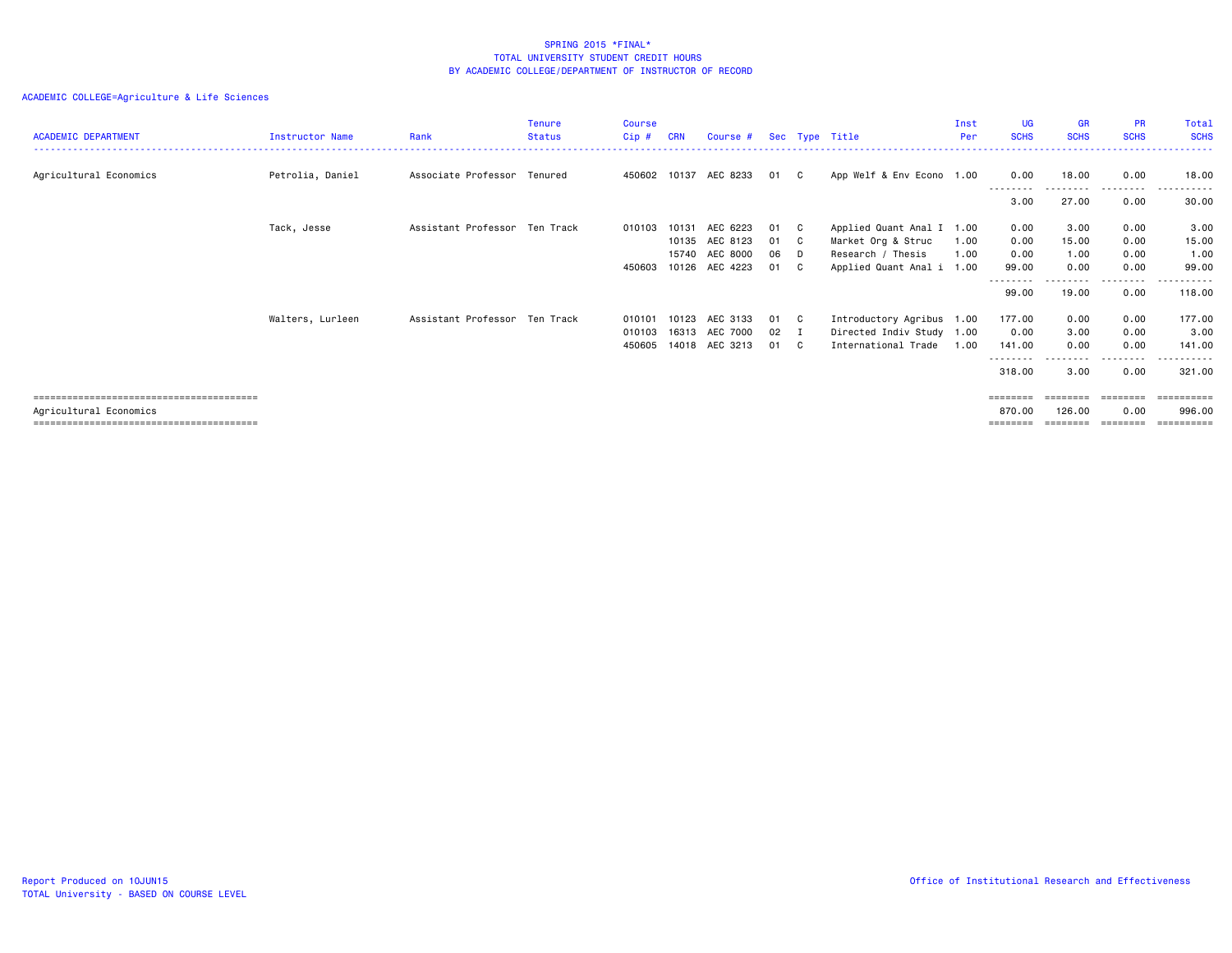| <b>ACADEMIC DEPARTMENT</b> | <b>Instructor Name</b> | Rank                          | <b>Tenure</b><br><b>Status</b> | <b>Course</b><br>$Cip$ # | <b>CRN</b> | Course #       |      |              | Sec Type Title            | Inst<br>Per | <b>UG</b><br><b>SCHS</b> | <b>GR</b><br><b>SCHS</b> | <b>PR</b><br><b>SCHS</b> | Total<br><b>SCHS</b> |
|----------------------------|------------------------|-------------------------------|--------------------------------|--------------------------|------------|----------------|------|--------------|---------------------------|-------------|--------------------------|--------------------------|--------------------------|----------------------|
|                            |                        |                               |                                |                          |            |                |      |              |                           |             |                          |                          |                          |                      |
| Agricultural Economics     | Petrolia, Daniel       | Associate Professor Tenured   |                                | 450602                   |            | 10137 AEC 8233 | 01   | $\mathbf{C}$ | App Welf & Env Econo 1.00 |             | 0.00                     | 18.00                    | 0.00                     | 18.00                |
|                            |                        |                               |                                |                          |            |                |      |              |                           |             | 3.00                     | 27.00                    | 0.00                     | 30.00                |
|                            | Tack, Jesse            | Assistant Professor Ten Track |                                | 010103                   | 10131      | AEC 6223       | 01   | C C          | Applied Quant Anal I 1.00 |             | 0.00                     | 3.00                     | 0.00                     | 3.00                 |
|                            |                        |                               |                                |                          | 10135      | AEC 8123       | 01   | $\mathbf{C}$ | Market Org & Struc        | 1.00        | 0.00                     | 15.00                    | 0.00                     | 15.00                |
|                            |                        |                               |                                |                          |            | 15740 AEC 8000 | 06   | D.           | Research / Thesis         | 1.00        | 0.00                     | 1.00                     | 0.00                     | 1.00                 |
|                            |                        |                               |                                | 450603                   |            | 10126 AEC 4223 | 01   | C C          | Applied Quant Anal i 1.00 |             | 99.00                    | 0.00                     | 0.00                     | 99.00                |
|                            |                        |                               |                                |                          |            |                |      |              |                           |             | --------                 |                          | -----                    |                      |
|                            |                        |                               |                                |                          |            |                |      |              |                           |             | 99.00                    | 19.00                    | 0.00                     | 118.00               |
|                            | Walters, Lurleen       | Assistant Professor Ten Track |                                | 010101                   |            | 10123 AEC 3133 | 01   | $\mathbf{C}$ | Introductory Agribus 1.00 |             | 177.00                   | 0.00                     | 0.00                     | 177.00               |
|                            |                        |                               |                                | 010103                   |            | 16313 AEC 7000 | 02 I |              | Directed Indiv Study 1.00 |             | 0.00                     | 3.00                     | 0.00                     | 3.00                 |
|                            |                        |                               |                                | 450605                   |            | 14018 AEC 3213 | 01   | C.           | International Trade       | 1.00        | 141.00                   | 0.00                     | 0.00                     | 141.00               |
|                            |                        |                               |                                |                          |            |                |      |              |                           |             | --------                 |                          | .                        | -------              |
|                            |                        |                               |                                |                          |            |                |      |              |                           |             | 318.00                   | 3.00                     | 0.00                     | 321.00               |
|                            |                        |                               |                                |                          |            |                |      |              |                           |             | $=$ = = = = = = =        | ========                 | ========                 | ==========           |
| Agricultural Economics     |                        |                               |                                |                          |            |                |      |              |                           |             | 870.00                   | 126.00                   | 0.00                     | 996.00               |
|                            |                        |                               |                                |                          |            |                |      |              |                           |             | ========                 | ========                 | --------                 | ==========           |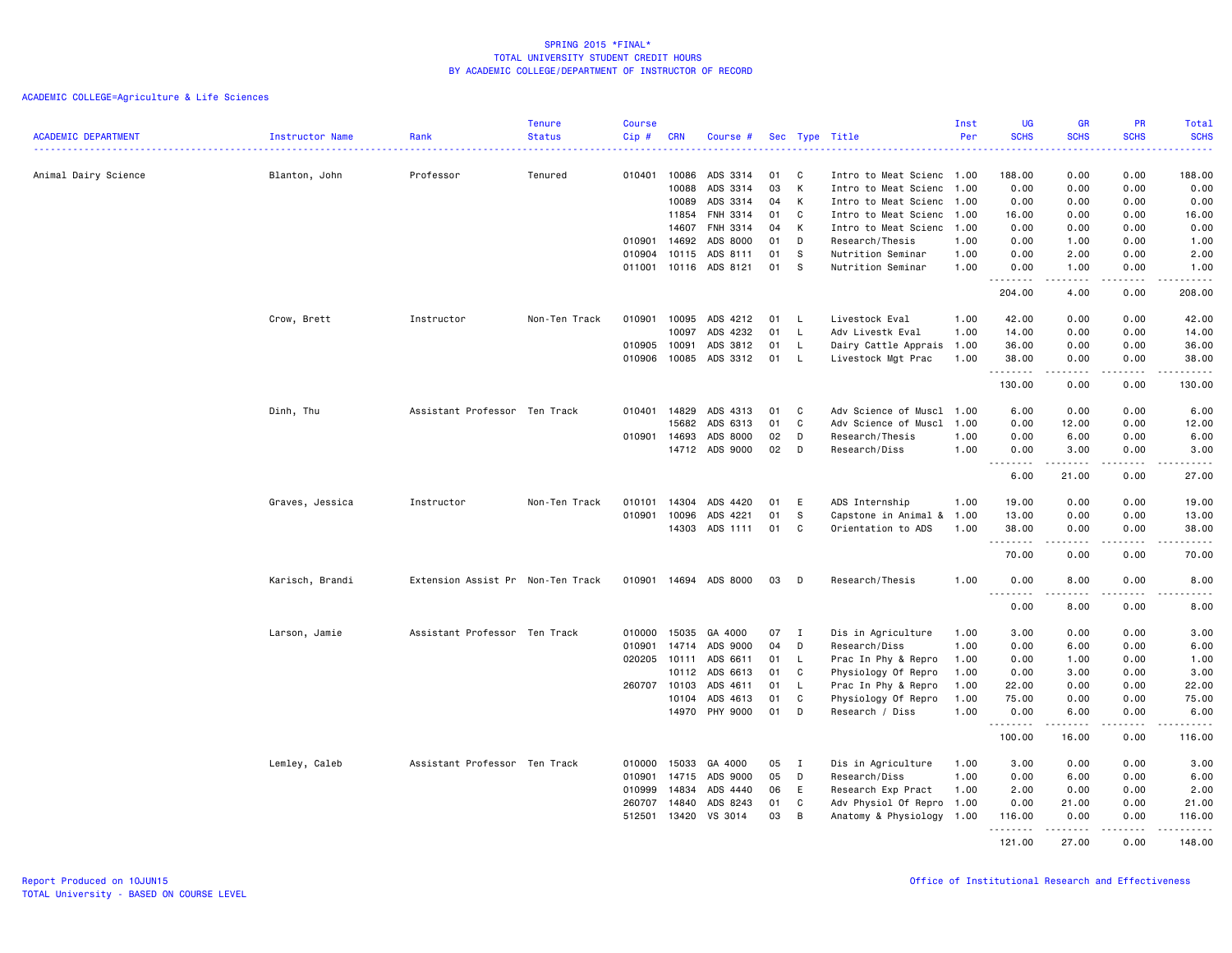| <b>ACADEMIC DEPARTMENT</b> | Instructor Name | Rank                              | <b>Tenure</b><br><b>Status</b> | <b>Course</b><br>Cip# | <b>CRN</b>   | Course #              |    |              | Sec Type Title            | Inst<br>Per | <b>UG</b><br><b>SCHS</b> | <b>GR</b><br><b>SCHS</b>                                                                                                                                     | PR<br><b>SCHS</b>     | Total<br><b>SCHS</b>                                                                                                      |
|----------------------------|-----------------|-----------------------------------|--------------------------------|-----------------------|--------------|-----------------------|----|--------------|---------------------------|-------------|--------------------------|--------------------------------------------------------------------------------------------------------------------------------------------------------------|-----------------------|---------------------------------------------------------------------------------------------------------------------------|
|                            |                 |                                   |                                |                       |              |                       |    |              |                           |             |                          |                                                                                                                                                              |                       | $\frac{1}{2} \left( \frac{1}{2} \right) \left( \frac{1}{2} \right) \left( \frac{1}{2} \right) \left( \frac{1}{2} \right)$ |
| Animal Dairy Science       | Blanton, John   | Professor                         | Tenured                        | 010401                | 10086        | ADS 3314              | 01 | C            | Intro to Meat Scienc 1.00 |             | 188.00                   | 0.00                                                                                                                                                         | 0.00                  | 188.00                                                                                                                    |
|                            |                 |                                   |                                |                       | 10088        | ADS 3314              | 03 | K            | Intro to Meat Scienc 1.00 |             | 0.00                     | 0.00                                                                                                                                                         | 0.00                  | 0.00                                                                                                                      |
|                            |                 |                                   |                                |                       | 10089        | ADS 3314              | 04 | к            | Intro to Meat Scienc 1.00 |             | 0.00                     | 0.00                                                                                                                                                         | 0.00                  | 0.00                                                                                                                      |
|                            |                 |                                   |                                |                       | 11854        | FNH 3314              | 01 | C            | Intro to Meat Scienc 1.00 |             | 16.00                    | 0.00                                                                                                                                                         | 0.00                  | 16.00                                                                                                                     |
|                            |                 |                                   |                                |                       | 14607        | FNH 3314              | 04 | К            | Intro to Meat Scienc 1.00 |             | 0.00                     | 0.00                                                                                                                                                         | 0.00                  | 0.00                                                                                                                      |
|                            |                 |                                   |                                | 010901                | 14692        | ADS 8000              | 01 | D            | Research/Thesis           | 1.00        | 0.00                     | 1.00                                                                                                                                                         | 0.00                  | 1.00                                                                                                                      |
|                            |                 |                                   |                                | 010904                | 10115        | ADS 8111              | 01 | s            | Nutrition Seminar         | 1.00        | 0.00                     | 2.00                                                                                                                                                         | 0.00                  | 2.00                                                                                                                      |
|                            |                 |                                   |                                |                       |              | 011001 10116 ADS 8121 | 01 | S.           | Nutrition Seminar         | 1.00        | 0.00<br>.                | 1.00<br>$\frac{1}{2} \left( \frac{1}{2} \right) \left( \frac{1}{2} \right) \left( \frac{1}{2} \right) \left( \frac{1}{2} \right) \left( \frac{1}{2} \right)$ | 0.00<br>.             | 1.00<br>.                                                                                                                 |
|                            |                 |                                   |                                |                       |              |                       |    |              |                           |             | 204.00                   | 4.00                                                                                                                                                         | 0.00                  | 208.00                                                                                                                    |
|                            | Crow, Brett     | Instructor                        | Non-Ten Track                  | 010901                | 10095        | ADS 4212              | 01 | - L          | Livestock Eval            | 1.00        | 42.00                    | 0.00                                                                                                                                                         | 0.00                  | 42.00                                                                                                                     |
|                            |                 |                                   |                                |                       | 10097        | ADS 4232              | 01 | L.           | Adv Livestk Eval          | 1.00        | 14.00                    | 0.00                                                                                                                                                         | 0.00                  | 14.00                                                                                                                     |
|                            |                 |                                   |                                | 010905                | 10091        | ADS 3812              | 01 | L.           | Dairy Cattle Apprais      | 1.00        | 36.00                    | 0.00                                                                                                                                                         | 0.00                  | 36.00                                                                                                                     |
|                            |                 |                                   |                                | 010906                | 10085        | ADS 3312              | 01 | - L          | Livestock Mgt Prac        | 1.00        | 38.00                    | 0.00                                                                                                                                                         | 0.00                  | 38.00                                                                                                                     |
|                            |                 |                                   |                                |                       |              |                       |    |              |                           |             | .<br>130.00              | .<br>0.00                                                                                                                                                    | .<br>0.00             | د د د د د<br>130.00                                                                                                       |
|                            | Dinh, Thu       | Assistant Professor Ten Track     |                                | 010401                | 14829        | ADS 4313              | 01 | C            | Adv Science of Muscl      | 1.00        | 6.00                     | 0.00                                                                                                                                                         | 0.00                  | 6.00                                                                                                                      |
|                            |                 |                                   |                                |                       | 15682        | ADS 6313              | 01 | C            | Adv Science of Muscl      | 1.00        | 0.00                     | 12.00                                                                                                                                                        | 0.00                  | 12.00                                                                                                                     |
|                            |                 |                                   |                                | 010901                | 14693        | ADS 8000              | 02 | D            | Research/Thesis           | 1.00        | 0.00                     | 6.00                                                                                                                                                         | 0.00                  | 6.00                                                                                                                      |
|                            |                 |                                   |                                |                       |              | 14712 ADS 9000        | 02 | D            | Research/Diss             | 1.00        | 0.00                     | 3.00                                                                                                                                                         | 0.00                  | 3.00                                                                                                                      |
|                            |                 |                                   |                                |                       |              |                       |    |              |                           |             | .<br>6.00                | .<br>21.00                                                                                                                                                   | -----<br>0.00         | .<br>27.00                                                                                                                |
|                            | Graves, Jessica | Instructor                        | Non-Ten Track                  | 010101                | 14304        | ADS 4420              | 01 | E            | ADS Internship            | 1.00        | 19.00                    | 0.00                                                                                                                                                         | 0.00                  | 19.00                                                                                                                     |
|                            |                 |                                   |                                | 010901                | 10096        | ADS 4221              | 01 | S            | Capstone in Animal &      | 1.00        | 13.00                    | 0.00                                                                                                                                                         | 0.00                  | 13.00                                                                                                                     |
|                            |                 |                                   |                                |                       | 14303        | ADS 1111              | 01 | C            | Orientation to ADS        | 1.00        | 38.00                    | 0.00                                                                                                                                                         | 0.00                  | 38.00                                                                                                                     |
|                            |                 |                                   |                                |                       |              |                       |    |              |                           |             | .<br>70.00               | 0.00                                                                                                                                                         | $\frac{1}{2}$<br>0.00 | .<br>70.00                                                                                                                |
|                            | Karisch, Brandi | Extension Assist Pr Non-Ten Track |                                |                       |              | 010901 14694 ADS 8000 | 03 | D            | Research/Thesis           | 1.00        | 0.00<br>.                | 8.00                                                                                                                                                         | 0.00<br>.             | 8.00<br>والأمام                                                                                                           |
|                            |                 |                                   |                                |                       |              |                       |    |              |                           |             | 0.00                     | 8.00                                                                                                                                                         | 0.00                  | 8.00                                                                                                                      |
|                            | Larson, Jamie   | Assistant Professor Ten Track     |                                | 010000                | 15035        | GA 4000               | 07 | $\mathbf{I}$ | Dis in Agriculture        | 1.00        | 3.00                     | 0.00                                                                                                                                                         | 0.00                  | 3.00                                                                                                                      |
|                            |                 |                                   |                                | 010901                | 14714        | ADS 9000              | 04 | D            | Research/Diss             | 1.00        | 0.00                     | 6.00                                                                                                                                                         | 0.00                  | 6.00                                                                                                                      |
|                            |                 |                                   |                                | 020205                | 10111        | ADS 6611              | 01 | L            | Prac In Phy & Repro       | 1.00        | 0.00                     | 1.00                                                                                                                                                         | 0.00                  | 1.00                                                                                                                      |
|                            |                 |                                   |                                |                       | 10112        | ADS 6613              | 01 | C            | Physiology Of Repro       | 1.00        | 0.00                     | 3.00                                                                                                                                                         | 0.00                  | 3.00                                                                                                                      |
|                            |                 |                                   |                                |                       | 260707 10103 | ADS 4611              | 01 | L.           | Prac In Phy & Repro       | 1.00        | 22.00                    | 0.00                                                                                                                                                         | 0.00                  | 22.00                                                                                                                     |
|                            |                 |                                   |                                |                       | 10104        | ADS 4613              | 01 | C            | Physiology Of Repro       | 1.00        | 75.00                    | 0.00                                                                                                                                                         | 0.00                  | 75.00                                                                                                                     |
|                            |                 |                                   |                                |                       |              | 14970 PHY 9000        | 01 | D            | Research / Diss           | 1.00        | 0.00<br><u>.</u>         | 6.00<br>-----                                                                                                                                                | 0.00<br>.             | 6.00<br>.                                                                                                                 |
|                            |                 |                                   |                                |                       |              |                       |    |              |                           |             | 100.00                   | 16.00                                                                                                                                                        | 0.00                  | 116.00                                                                                                                    |
|                            | Lemley, Caleb   | Assistant Professor Ten Track     |                                | 010000                | 15033        | GA 4000               | 05 | $\mathbf{I}$ | Dis in Agriculture        | 1.00        | 3.00                     | 0.00                                                                                                                                                         | 0.00                  | 3.00                                                                                                                      |
|                            |                 |                                   |                                | 010901                |              | 14715 ADS 9000        | 05 | D            | Research/Diss             | 1.00        | 0.00                     | 6.00                                                                                                                                                         | 0.00                  | 6.00                                                                                                                      |
|                            |                 |                                   |                                | 010999                | 14834        | ADS 4440              | 06 | E            | Research Exp Pract        | 1.00        | 2.00                     | 0.00                                                                                                                                                         | 0.00                  | 2.00                                                                                                                      |
|                            |                 |                                   |                                | 260707                | 14840        | ADS 8243              | 01 | C            | Adv Physiol Of Repro      | 1.00        | 0.00                     | 21.00                                                                                                                                                        | 0.00                  | 21.00                                                                                                                     |
|                            |                 |                                   |                                | 512501                | 13420        | VS 3014               | 03 | B            | Anatomy & Physiology 1.00 |             | 116.00<br>.              | 0.00<br>.                                                                                                                                                    | 0.00<br>.             | 116.00<br><u>.</u>                                                                                                        |
|                            |                 |                                   |                                |                       |              |                       |    |              |                           |             | 121.00                   | 27.00                                                                                                                                                        | 0.00                  | 148.00                                                                                                                    |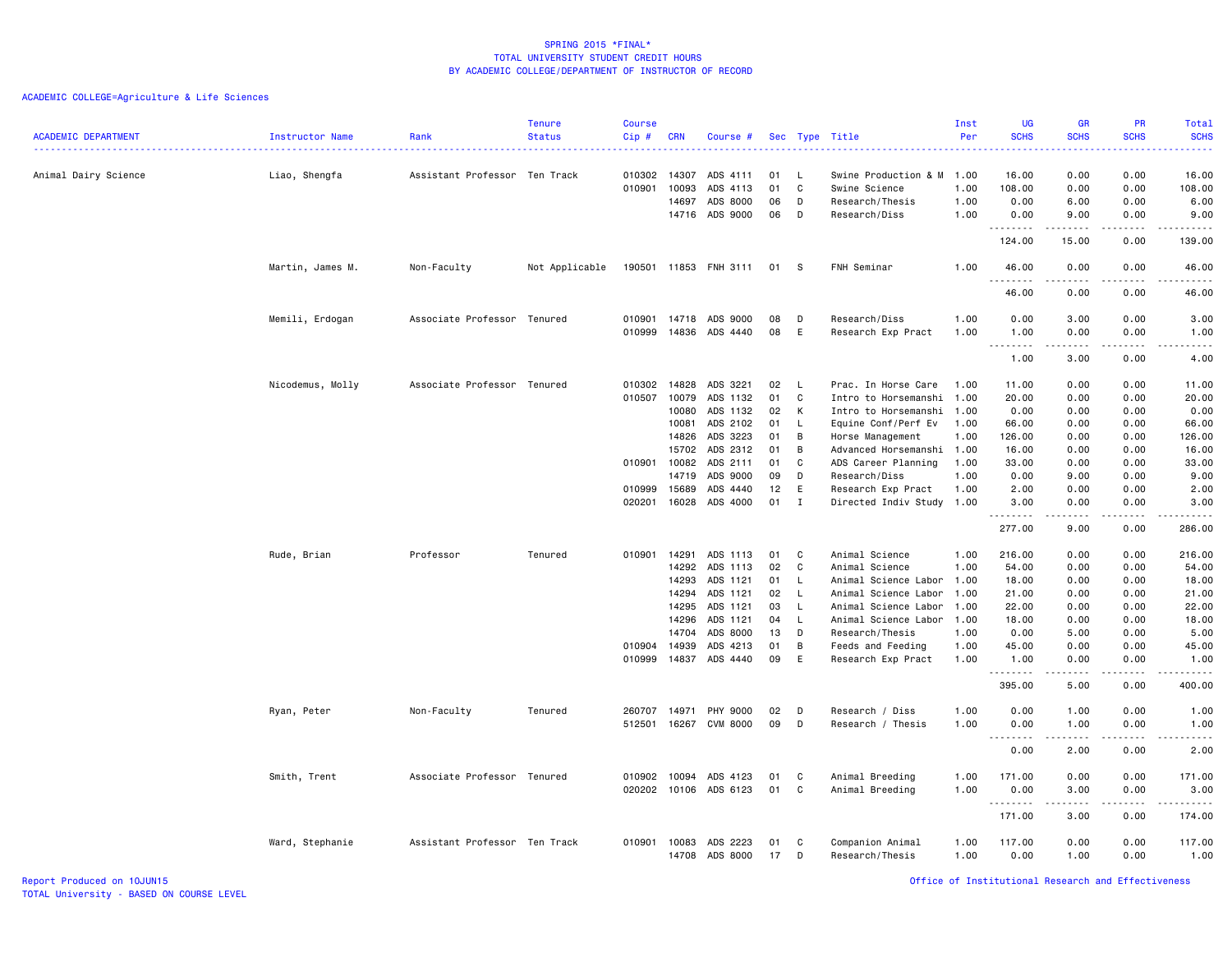## ACADEMIC COLLEGE=Agriculture & Life Sciences

|                            |                  |                               | <b>Tenure</b>  | <b>Course</b> |              |                       |     |              |                           | Inst | <b>UG</b>                                                                                                                                                                | <b>GR</b>                                                                                                                                                    | PR                                                                                                                                | <b>Total</b>                                                                                                                             |
|----------------------------|------------------|-------------------------------|----------------|---------------|--------------|-----------------------|-----|--------------|---------------------------|------|--------------------------------------------------------------------------------------------------------------------------------------------------------------------------|--------------------------------------------------------------------------------------------------------------------------------------------------------------|-----------------------------------------------------------------------------------------------------------------------------------|------------------------------------------------------------------------------------------------------------------------------------------|
| <b>ACADEMIC DEPARTMENT</b> | Instructor Name  | Rank                          | <b>Status</b>  | Cip#          | <b>CRN</b>   | Course #              | Sec |              | Type Title                | Per  | <b>SCHS</b>                                                                                                                                                              | <b>SCHS</b>                                                                                                                                                  | <b>SCHS</b>                                                                                                                       | <b>SCHS</b><br>$\frac{1}{2} \left( \frac{1}{2} \right) \left( \frac{1}{2} \right) \left( \frac{1}{2} \right) \left( \frac{1}{2} \right)$ |
| Animal Dairy Science       | Liao, Shengfa    | Assistant Professor Ten Track |                | 010302        | 14307        | ADS 4111              | 01  | -L           | Swine Production & M      | 1.00 | 16.00                                                                                                                                                                    | 0.00                                                                                                                                                         | 0.00                                                                                                                              | 16.00                                                                                                                                    |
|                            |                  |                               |                | 010901        | 10093        | ADS 4113              | 01  | C            | Swine Science             | 1.00 | 108.00                                                                                                                                                                   | 0.00                                                                                                                                                         | 0.00                                                                                                                              | 108.00                                                                                                                                   |
|                            |                  |                               |                |               | 14697        | ADS 8000              | 06  | D            | Research/Thesis           | 1.00 | 0.00                                                                                                                                                                     | 6.00                                                                                                                                                         | 0.00                                                                                                                              | 6.00                                                                                                                                     |
|                            |                  |                               |                |               | 14716        | ADS 9000              | 06  | D            | Research/Diss             | 1.00 | 0.00                                                                                                                                                                     | 9.00                                                                                                                                                         | 0.00                                                                                                                              | 9.00                                                                                                                                     |
|                            |                  |                               |                |               |              |                       |     |              |                           |      | .                                                                                                                                                                        |                                                                                                                                                              |                                                                                                                                   | .                                                                                                                                        |
|                            |                  |                               |                |               |              |                       |     |              |                           |      | 124.00                                                                                                                                                                   | 15.00                                                                                                                                                        | 0.00                                                                                                                              | 139.00                                                                                                                                   |
|                            | Martin, James M. | Non-Faculty                   | Not Applicable |               |              | 190501 11853 FNH 3111 | 01  | -S           | FNH Seminar               | 1.00 | 46.00<br>.                                                                                                                                                               | 0.00<br>.                                                                                                                                                    | 0.00                                                                                                                              | 46.00<br>.                                                                                                                               |
|                            |                  |                               |                |               |              |                       |     |              |                           |      | 46.00                                                                                                                                                                    | 0.00                                                                                                                                                         | 0.00                                                                                                                              | 46.00                                                                                                                                    |
|                            | Memili, Erdogan  | Associate Professor Tenured   |                | 010901        | 14718        | ADS 9000              | 08  | D            | Research/Diss             | 1.00 | 0.00                                                                                                                                                                     | 3.00                                                                                                                                                         | 0.00                                                                                                                              | 3.00                                                                                                                                     |
|                            |                  |                               |                | 010999        | 14836        | ADS 4440              | 08  | E            | Research Exp Pract        | 1.00 | 1.00                                                                                                                                                                     | 0.00                                                                                                                                                         | 0.00                                                                                                                              | 1.00                                                                                                                                     |
|                            |                  |                               |                |               |              |                       |     |              |                           |      | $\frac{1}{2} \left( \frac{1}{2} \right) \left( \frac{1}{2} \right) \left( \frac{1}{2} \right) \left( \frac{1}{2} \right) \left( \frac{1}{2} \right)$<br>$\cdots$<br>1.00 | .<br>3.00                                                                                                                                                    | $\sim$ $\sim$ $\sim$<br>0.00                                                                                                      | .<br>4.00                                                                                                                                |
|                            | Nicodemus, Molly | Associate Professor Tenured   |                | 010302        | 14828        | ADS 3221              | 02  | L            | Prac. In Horse Care       | 1.00 | 11.00                                                                                                                                                                    | 0.00                                                                                                                                                         | 0.00                                                                                                                              | 11.00                                                                                                                                    |
|                            |                  |                               |                | 010507        | 10079        | ADS 1132              | 01  | C            | Intro to Horsemanshi      | 1.00 | 20.00                                                                                                                                                                    | 0.00                                                                                                                                                         | 0.00                                                                                                                              | 20.00                                                                                                                                    |
|                            |                  |                               |                |               | 10080        | ADS 1132              | 02  | К            | Intro to Horsemanshi 1.00 |      | 0.00                                                                                                                                                                     | 0.00                                                                                                                                                         | 0.00                                                                                                                              | 0.00                                                                                                                                     |
|                            |                  |                               |                |               | 10081        | ADS 2102              | 01  | L            | Equine Conf/Perf Ev       | 1.00 | 66.00                                                                                                                                                                    | 0.00                                                                                                                                                         | 0.00                                                                                                                              | 66.00                                                                                                                                    |
|                            |                  |                               |                |               | 14826        | ADS 3223              | 01  | B            | Horse Management          | 1.00 | 126.00                                                                                                                                                                   | 0.00                                                                                                                                                         | 0.00                                                                                                                              | 126.00                                                                                                                                   |
|                            |                  |                               |                |               | 15702        | ADS 2312              | 01  | B            | Advanced Horsemanshi 1.00 |      | 16.00                                                                                                                                                                    | 0.00                                                                                                                                                         | 0.00                                                                                                                              | 16.00                                                                                                                                    |
|                            |                  |                               |                |               | 010901 10082 | ADS 2111              | 01  | C            | ADS Career Planning       | 1.00 | 33.00                                                                                                                                                                    | 0.00                                                                                                                                                         | 0.00                                                                                                                              | 33.00                                                                                                                                    |
|                            |                  |                               |                |               | 14719        | ADS 9000              | 09  | D            | Research/Diss             | 1.00 | 0.00                                                                                                                                                                     | 9.00                                                                                                                                                         | 0.00                                                                                                                              | 9.00                                                                                                                                     |
|                            |                  |                               |                | 010999        | 15689        | ADS 4440              | 12  | E            | Research Exp Pract        | 1.00 | 2.00                                                                                                                                                                     | 0.00                                                                                                                                                         | 0.00                                                                                                                              | 2.00                                                                                                                                     |
|                            |                  |                               |                | 020201        | 16028        | ADS 4000              | 01  | $\mathbf I$  | Directed Indiv Study 1.00 |      | 3.00                                                                                                                                                                     | 0.00                                                                                                                                                         | 0.00                                                                                                                              | 3.00                                                                                                                                     |
|                            |                  |                               |                |               |              |                       |     |              |                           |      | . <b>.</b><br>277.00                                                                                                                                                     | $\frac{1}{2} \left( \frac{1}{2} \right) \left( \frac{1}{2} \right) \left( \frac{1}{2} \right) \left( \frac{1}{2} \right) \left( \frac{1}{2} \right)$<br>9.00 | المستبد<br>0.00                                                                                                                   | .<br>286.00                                                                                                                              |
|                            |                  |                               |                |               |              |                       |     |              |                           |      |                                                                                                                                                                          |                                                                                                                                                              |                                                                                                                                   |                                                                                                                                          |
|                            | Rude, Brian      | Professor                     | Tenured        | 010901        | 14291        | ADS 1113              | 01  | C            | Animal Science            | 1.00 | 216.00                                                                                                                                                                   | 0.00                                                                                                                                                         | 0.00                                                                                                                              | 216.00                                                                                                                                   |
|                            |                  |                               |                |               | 14292        | ADS 1113              | 02  | C            | Animal Science            | 1.00 | 54.00                                                                                                                                                                    | 0.00                                                                                                                                                         | 0.00                                                                                                                              | 54.00                                                                                                                                    |
|                            |                  |                               |                |               | 14293        | ADS 1121              | 01  | L.           | Animal Science Labor 1.00 |      | 18.00                                                                                                                                                                    | 0.00                                                                                                                                                         | 0.00                                                                                                                              | 18.00                                                                                                                                    |
|                            |                  |                               |                |               | 14294        | ADS 1121              | 02  | L.           | Animal Science Labor 1.00 |      | 21.00                                                                                                                                                                    | 0.00                                                                                                                                                         | 0.00                                                                                                                              | 21.00                                                                                                                                    |
|                            |                  |                               |                |               | 14295        | ADS 1121              | 03  | $\mathsf{L}$ | Animal Science Labor 1.00 |      | 22.00                                                                                                                                                                    | 0.00                                                                                                                                                         | 0.00                                                                                                                              | 22.00                                                                                                                                    |
|                            |                  |                               |                |               | 14296        | ADS 1121              | 04  | L.           | Animal Science Labor 1.00 |      | 18.00                                                                                                                                                                    | 0.00                                                                                                                                                         | 0.00                                                                                                                              | 18.00                                                                                                                                    |
|                            |                  |                               |                |               | 14704        | ADS 8000              | 13  | D            | Research/Thesis           | 1.00 | 0.00                                                                                                                                                                     | 5.00                                                                                                                                                         | 0.00                                                                                                                              | 5.00                                                                                                                                     |
|                            |                  |                               |                | 010904 14939  |              | ADS 4213              | 01  | B            | Feeds and Feeding         | 1.00 | 45.00                                                                                                                                                                    | 0.00                                                                                                                                                         | 0.00                                                                                                                              | 45.00                                                                                                                                    |
|                            |                  |                               |                | 010999        | 14837        | ADS 4440              | 09  | E            | Research Exp Pract        | 1.00 | 1.00<br>.                                                                                                                                                                | 0.00<br>د د د د                                                                                                                                              | 0.00<br>----                                                                                                                      | 1.00<br>.                                                                                                                                |
|                            |                  |                               |                |               |              |                       |     |              |                           |      | 395.00                                                                                                                                                                   | 5.00                                                                                                                                                         | 0.00                                                                                                                              | 400.00                                                                                                                                   |
|                            | Ryan, Peter      | Non-Faculty                   | Tenured        |               | 260707 14971 | PHY 9000              | 02  | D            | Research / Diss           | 1.00 | 0.00                                                                                                                                                                     | 1.00                                                                                                                                                         | 0.00                                                                                                                              | 1.00                                                                                                                                     |
|                            |                  |                               |                | 512501        | 16267        | CVM 8000              | 09  | D            | Research / Thesis         | 1.00 | 0.00<br>$\sim$ $\sim$ $\sim$<br>.                                                                                                                                        | 1.00<br>-----                                                                                                                                                | 0.00<br>$\frac{1}{2} \left( \frac{1}{2} \right) \left( \frac{1}{2} \right) \left( \frac{1}{2} \right) \left( \frac{1}{2} \right)$ | 1.00<br>.                                                                                                                                |
|                            |                  |                               |                |               |              |                       |     |              |                           |      | 0.00                                                                                                                                                                     | 2.00                                                                                                                                                         | 0.00                                                                                                                              | 2.00                                                                                                                                     |
|                            | Smith, Trent     | Associate Professor Tenured   |                | 010902        | 10094        | ADS 4123              | 01  | C            | Animal Breeding           | 1.00 | 171.00                                                                                                                                                                   | 0.00                                                                                                                                                         | 0.00                                                                                                                              | 171.00                                                                                                                                   |
|                            |                  |                               |                |               |              | 020202 10106 ADS 6123 | 01  | C            | Animal Breeding           | 1.00 | 0.00                                                                                                                                                                     | 3.00                                                                                                                                                         | 0.00                                                                                                                              | 3.00                                                                                                                                     |
|                            |                  |                               |                |               |              |                       |     |              |                           |      |                                                                                                                                                                          | .                                                                                                                                                            | بالأباد                                                                                                                           | ------                                                                                                                                   |
|                            |                  |                               |                |               |              |                       |     |              |                           |      | 171.00                                                                                                                                                                   | 3.00                                                                                                                                                         | 0.00                                                                                                                              | 174.00                                                                                                                                   |
|                            | Ward, Stephanie  | Assistant Professor Ten Track |                | 010901        | 10083        | ADS 2223              | 01  | C            | Companion Animal          | 1.00 | 117.00                                                                                                                                                                   | 0.00                                                                                                                                                         | 0.00                                                                                                                              | 117.00                                                                                                                                   |
|                            |                  |                               |                |               | 14708        | ADS 8000              | 17  | D            | Research/Thesis           | 1.00 | 0.00                                                                                                                                                                     | 1.00                                                                                                                                                         | 0.00                                                                                                                              | 1.00                                                                                                                                     |

Report Produced on 10JUN15 Office of Institutional Research and Effectiveness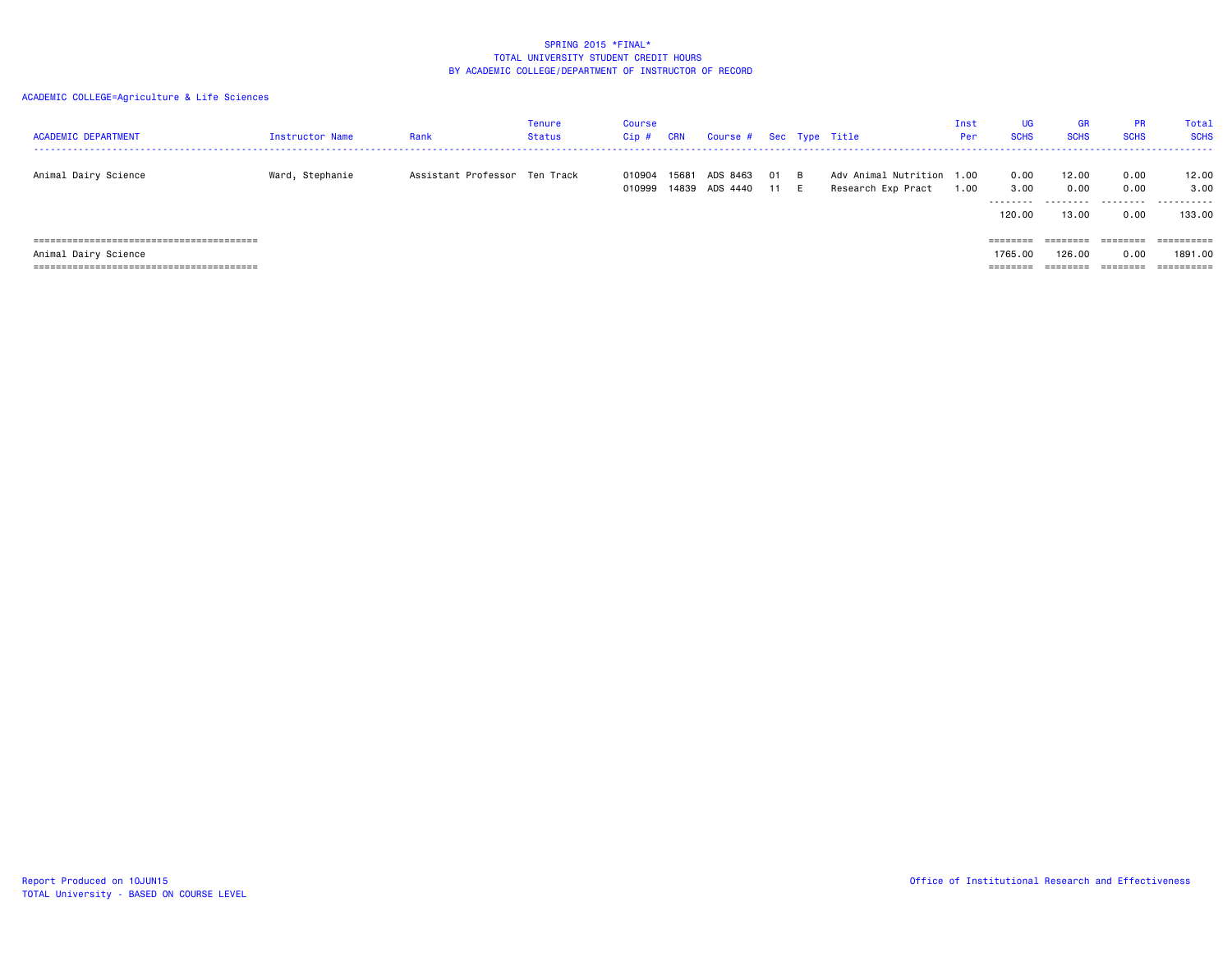| <b>ACADEMIC DEPARTMENT</b>           | <b>Instructor Name</b> | Rank                          | Tenure<br>Status | Course<br>Cip #  | <b>CRN</b> | Course # Sec Type Title    |          |            |                                                 | Inst<br><b>Per</b> | <b>UG</b><br><b>SCHS</b>    | <b>GR</b><br><b>SCHS</b>    | <b>PR</b><br><b>SCHS</b>  | Total<br><b>SCHS</b>         |
|--------------------------------------|------------------------|-------------------------------|------------------|------------------|------------|----------------------------|----------|------------|-------------------------------------------------|--------------------|-----------------------------|-----------------------------|---------------------------|------------------------------|
| Animal Dairy Science                 | Ward, Stephanie        | Assistant Professor Ten Track |                  | 010904<br>010999 | 15681      | ADS 8463<br>14839 ADS 4440 | 01<br>11 | - B<br>- F | Adv Animal Nutrition 1.00<br>Research Exp Pract | 1.00               | 0.00<br>3.00<br>.<br>120.00 | 12.00<br>0.00<br>.<br>13.00 | 0.00<br>0.00<br>.<br>0.00 | 12.00<br>3,00<br>.<br>133.00 |
| Animal Dairy Science                 |                        |                               |                  |                  |            |                            |          |            |                                                 |                    | ========<br>1765.00         | ========<br>126.00          | 0.00                      | ==========<br>1891.00        |
| ==================================== |                        |                               |                  |                  |            |                            |          |            |                                                 |                    | ========                    | ========                    | ========                  | ==========                   |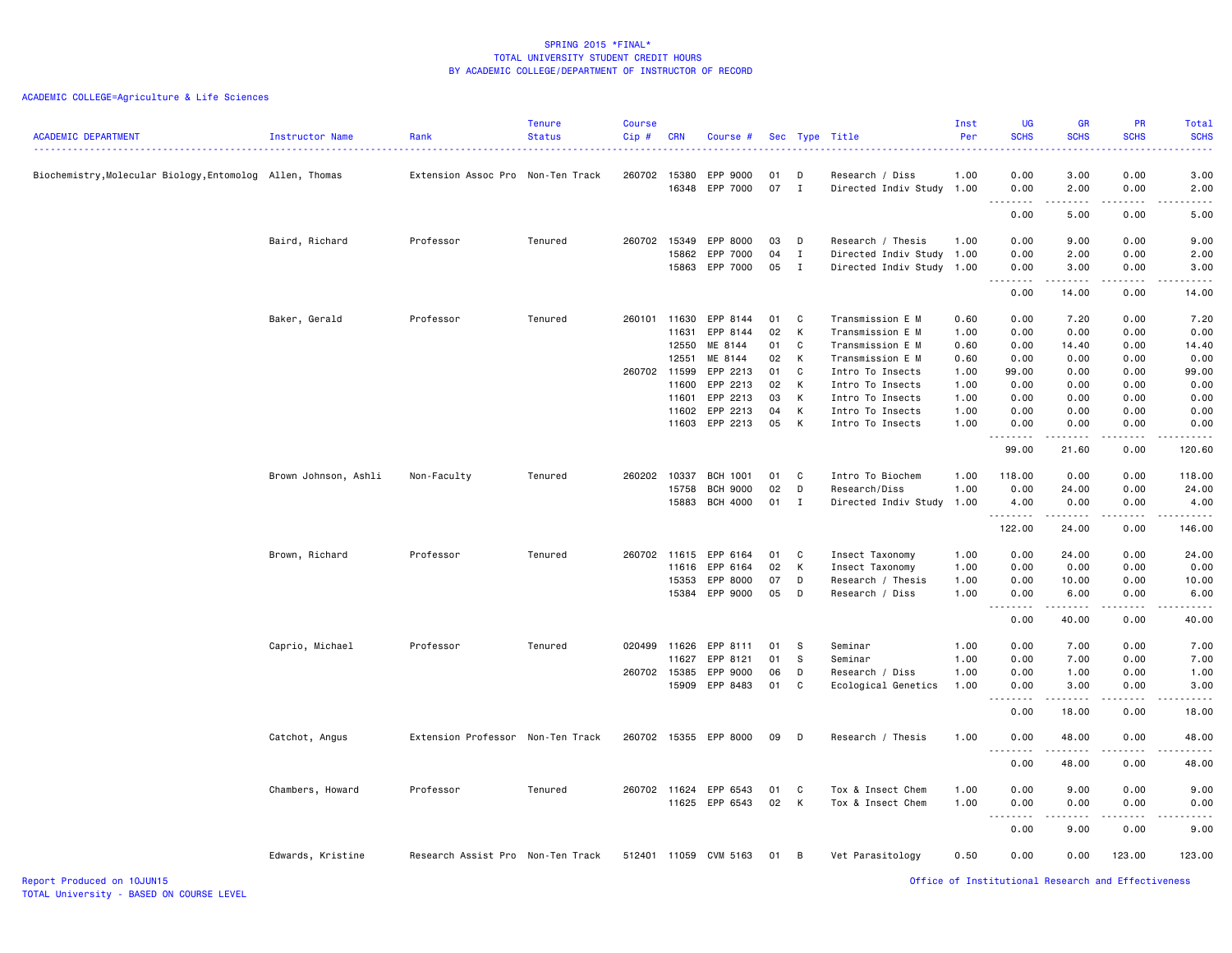## ACADEMIC COLLEGE=Agriculture & Life Sciences

| <b>ACADEMIC DEPARTMENT</b>                               | Instructor Name      | Rank                              | <b>Tenure</b><br><b>Status</b> | Course<br>Cip# | <b>CRN</b> | Course #             |          |              | Sec Type Title                       | Inst<br>Per  | <b>UG</b><br><b>SCHS</b><br>$\frac{1}{2} \left( \frac{1}{2} \right) \left( \frac{1}{2} \right) \left( \frac{1}{2} \right) \left( \frac{1}{2} \right)$ | <b>GR</b><br><b>SCHS</b> | <b>PR</b><br><b>SCHS</b>                                                                                                          | Total<br><b>SCHS</b><br>$\frac{1}{2}$                                                                                             |
|----------------------------------------------------------|----------------------|-----------------------------------|--------------------------------|----------------|------------|----------------------|----------|--------------|--------------------------------------|--------------|-------------------------------------------------------------------------------------------------------------------------------------------------------|--------------------------|-----------------------------------------------------------------------------------------------------------------------------------|-----------------------------------------------------------------------------------------------------------------------------------|
| Biochemistry, Molecular Biology, Entomolog Allen, Thomas |                      | Extension Assoc Pro Non-Ten Track |                                | 260702 15380   |            | EPP 9000             | 01       | D            | Research / Diss                      | 1.00         | 0.00                                                                                                                                                  | 3.00                     | 0.00                                                                                                                              | 3.00                                                                                                                              |
|                                                          |                      |                                   |                                |                | 16348      | EPP 7000             | 07       | $\mathbf{I}$ | Directed Indiv Study 1.00            |              | 0.00<br>$\sim$ $\sim$ $\sim$                                                                                                                          | 2.00<br>.                | 0.00<br>$\sim$ $\sim$ $\sim$ $\sim$                                                                                               | 2.00<br>.                                                                                                                         |
|                                                          |                      |                                   |                                |                |            |                      |          |              |                                      |              | 0.00                                                                                                                                                  | 5.00                     | 0.00                                                                                                                              | 5.00                                                                                                                              |
|                                                          | Baird, Richard       | Professor                         | Tenured                        | 260702         | 15349      | EPP 8000             | 03       | D            | Research / Thesis                    | 1.00         | 0.00                                                                                                                                                  | 9.00                     | 0.00                                                                                                                              | 9.00                                                                                                                              |
|                                                          |                      |                                   |                                |                | 15862      | EPP 7000             | 04       | $\mathbf{I}$ | Directed Indiv Study                 | 1.00         | 0.00                                                                                                                                                  | 2.00                     | 0.00                                                                                                                              | 2.00                                                                                                                              |
|                                                          |                      |                                   |                                |                | 15863      | EPP 7000             | 05       | $\mathbf{I}$ | Directed Indiv Study 1.00            |              | 0.00                                                                                                                                                  | 3.00<br>.                | 0.00<br>.                                                                                                                         | 3.00<br>.                                                                                                                         |
|                                                          |                      |                                   |                                |                |            |                      |          |              |                                      |              | 0.00                                                                                                                                                  | 14.00                    | 0.00                                                                                                                              | 14.00                                                                                                                             |
|                                                          | Baker, Gerald        | Professor                         | Tenured                        | 260101         | 11630      | EPP 8144             | 01       | C            | Transmission E M                     | 0.60         | 0.00                                                                                                                                                  | 7.20                     | 0.00                                                                                                                              | 7.20                                                                                                                              |
|                                                          |                      |                                   |                                |                | 11631      | EPP 8144             | 02       | К            | Transmission E M                     | 1.00         | 0.00                                                                                                                                                  | 0.00                     | 0.00                                                                                                                              | 0.00                                                                                                                              |
|                                                          |                      |                                   |                                |                | 12550      | ME 8144              | 01       | $\mathbf c$  | Transmission E M                     | 0.60         | 0.00                                                                                                                                                  | 14.40                    | 0.00                                                                                                                              | 14.40                                                                                                                             |
|                                                          |                      |                                   |                                |                | 12551      | ME 8144              | 02       | K            | Transmission E M                     | 0.60         | 0.00                                                                                                                                                  | 0.00                     | 0.00                                                                                                                              | 0.00                                                                                                                              |
|                                                          |                      |                                   |                                | 260702 11599   | 11600      | EPP 2213<br>EPP 2213 | 01<br>02 | C<br>K       | Intro To Insects<br>Intro To Insects | 1.00<br>1.00 | 99.00<br>0.00                                                                                                                                         | 0.00<br>0.00             | 0.00<br>0.00                                                                                                                      | 99.00<br>0.00                                                                                                                     |
|                                                          |                      |                                   |                                |                | 11601      | EPP 2213             | 03       | к            | Intro To Insects                     | 1.00         | 0.00                                                                                                                                                  | 0.00                     | 0.00                                                                                                                              | 0.00                                                                                                                              |
|                                                          |                      |                                   |                                |                | 11602      | EPP 2213             | 04       | К            | Intro To Insects                     | 1.00         | 0.00                                                                                                                                                  | 0.00                     | 0.00                                                                                                                              | 0.00                                                                                                                              |
|                                                          |                      |                                   |                                |                | 11603      | EPP 2213             | 05       | K            | Intro To Insects                     | 1.00         | 0.00                                                                                                                                                  | 0.00                     | 0.00                                                                                                                              | 0.00                                                                                                                              |
|                                                          |                      |                                   |                                |                |            |                      |          |              |                                      |              | .<br>99.00                                                                                                                                            | .<br>21.60               | .<br>0.00                                                                                                                         | .<br>120.60                                                                                                                       |
|                                                          |                      |                                   |                                |                |            |                      |          |              |                                      |              |                                                                                                                                                       |                          |                                                                                                                                   |                                                                                                                                   |
|                                                          | Brown Johnson, Ashli | Non-Faculty                       | Tenured                        | 260202 10337   |            | <b>BCH 1001</b>      | 01       | C            | Intro To Biochem                     | 1.00         | 118.00                                                                                                                                                | 0.00                     | 0.00                                                                                                                              | 118.00                                                                                                                            |
|                                                          |                      |                                   |                                |                | 15758      | <b>BCH 9000</b>      | 02       | D            | Research/Diss                        | 1.00         | 0.00                                                                                                                                                  | 24.00                    | 0.00                                                                                                                              | 24.00                                                                                                                             |
|                                                          |                      |                                   |                                |                | 15883      | <b>BCH 4000</b>      | 01       | $\mathbf{I}$ | Directed Indiv Study                 | 1.00         | 4.00<br>.                                                                                                                                             | 0.00<br>.                | 0.00<br>$- - - -$                                                                                                                 | 4.00<br>$\begin{array}{cccccccccccccc} \bullet & \bullet & \bullet & \bullet & \bullet & \bullet & \bullet & \bullet \end{array}$ |
|                                                          |                      |                                   |                                |                |            |                      |          |              |                                      |              | 122.00                                                                                                                                                | 24.00                    | 0.00                                                                                                                              | 146.00                                                                                                                            |
|                                                          | Brown, Richard       | Professor                         | Tenured                        | 260702 11615   |            | EPP 6164             | 01       | C            | Insect Taxonomy                      | 1.00         | 0.00                                                                                                                                                  | 24.00                    | 0.00                                                                                                                              | 24.00                                                                                                                             |
|                                                          |                      |                                   |                                |                | 11616      | EPP 6164             | 02       | K            | Insect Taxonomy                      | 1.00         | 0.00                                                                                                                                                  | 0.00                     | 0.00                                                                                                                              | 0.00                                                                                                                              |
|                                                          |                      |                                   |                                |                | 15353      | EPP 8000             | 07       | D            | Research / Thesis                    | 1.00         | 0.00                                                                                                                                                  | 10.00                    | 0.00                                                                                                                              | 10.00                                                                                                                             |
|                                                          |                      |                                   |                                |                | 15384      | EPP 9000             | 05       | D            | Research / Diss                      | 1.00         | 0.00<br>$\sim$ $\sim$ $\sim$<br>-----                                                                                                                 | 6.00<br>.                | 0.00<br>.                                                                                                                         | 6.00<br>.                                                                                                                         |
|                                                          |                      |                                   |                                |                |            |                      |          |              |                                      |              | 0.00                                                                                                                                                  | 40.00                    | 0.00                                                                                                                              | 40.00                                                                                                                             |
|                                                          | Caprio, Michael      | Professor                         | Tenured                        | 020499         | 11626      | EPP 8111             | 01       | s.           | Seminar                              | 1.00         | 0.00                                                                                                                                                  | 7.00                     | 0.00                                                                                                                              | 7.00                                                                                                                              |
|                                                          |                      |                                   |                                |                | 11627      | EPP 8121             | 01       | - S          | Seminar                              | 1.00         | 0.00                                                                                                                                                  | 7.00                     | 0.00                                                                                                                              | 7.00                                                                                                                              |
|                                                          |                      |                                   |                                | 260702 15385   |            | EPP 9000             | 06       | D            | Research / Diss                      | 1.00         | 0.00                                                                                                                                                  | 1.00                     | 0.00                                                                                                                              | 1.00                                                                                                                              |
|                                                          |                      |                                   |                                |                | 15909      | EPP 8483             | 01       | C            | Ecological Genetics                  | 1.00         | 0.00<br>. <b>.</b>                                                                                                                                    | 3.00<br>.                | 0.00<br>.                                                                                                                         | 3.00<br>.                                                                                                                         |
|                                                          |                      |                                   |                                |                |            |                      |          |              |                                      |              | 0.00                                                                                                                                                  | 18.00                    | 0.00                                                                                                                              | 18.00                                                                                                                             |
|                                                          | Catchot, Angus       | Extension Professor Non-Ten Track |                                | 260702         |            | 15355 EPP 8000       | 09       | D            | Research / Thesis                    | 1.00         | 0.00                                                                                                                                                  | 48.00                    | 0.00                                                                                                                              | 48.00                                                                                                                             |
|                                                          |                      |                                   |                                |                |            |                      |          |              |                                      |              | $\sim$ $\sim$<br>$\frac{1}{2} \left( \frac{1}{2} \right) \left( \frac{1}{2} \right) \left( \frac{1}{2} \right) \left( \frac{1}{2} \right)$<br>0.00    | .<br>48.00               | $\frac{1}{2} \left( \frac{1}{2} \right) \left( \frac{1}{2} \right) \left( \frac{1}{2} \right) \left( \frac{1}{2} \right)$<br>0.00 | وعاعات<br>48.00                                                                                                                   |
|                                                          | Chambers, Howard     | Professor                         | Tenured                        | 260702 11624   |            | EPP 6543             | 01       | C            | Tox & Insect Chem                    | 1.00         | 0.00                                                                                                                                                  | 9.00                     | 0.00                                                                                                                              | 9.00                                                                                                                              |
|                                                          |                      |                                   |                                |                | 11625      | EPP 6543             | 02       | К            | Tox & Insect Chem                    | 1.00         | 0.00                                                                                                                                                  | 0.00                     | 0.00                                                                                                                              | 0.00                                                                                                                              |
|                                                          |                      |                                   |                                |                |            |                      |          |              |                                      |              | $  -$<br>0.00                                                                                                                                         | 9.00                     | 0.00                                                                                                                              | .<br>9.00                                                                                                                         |
|                                                          |                      |                                   |                                |                |            |                      |          |              |                                      |              |                                                                                                                                                       |                          |                                                                                                                                   |                                                                                                                                   |
|                                                          | Edwards, Kristine    | Research Assist Pro Non-Ten Track |                                | 512401         | 11059      | CVM 5163             | 01       | B            | Vet Parasitology                     | 0.50         | 0.00                                                                                                                                                  | 0.00                     | 123.00                                                                                                                            | 123.00                                                                                                                            |

Report Produced on 10JUN15 Office of Institutional Research and Effectiveness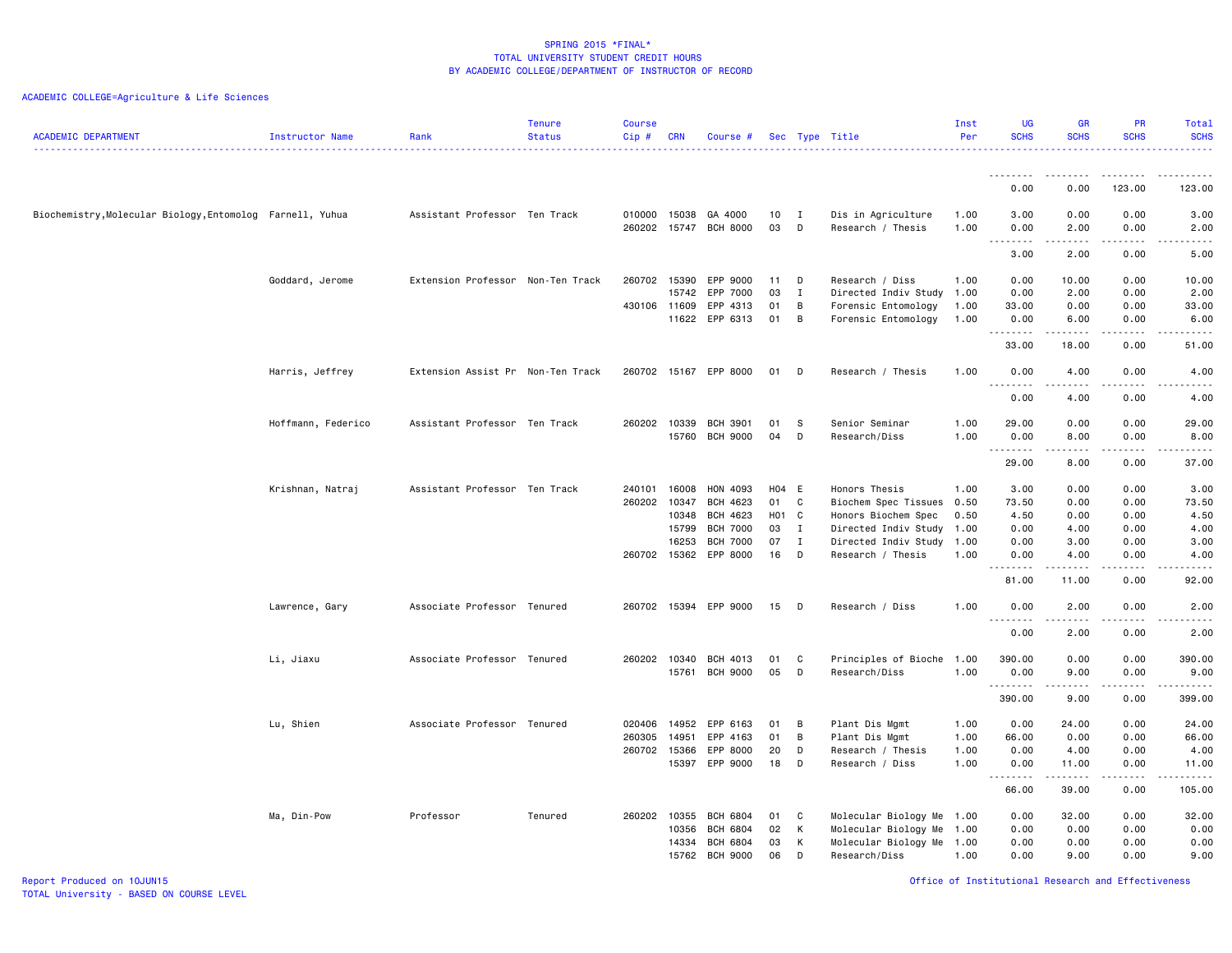| <b>ACADEMIC DEPARTMENT</b>                                | Instructor Name    | Rank                              | <b>Tenure</b><br><b>Status</b> | <b>Course</b><br>Cip# | <b>CRN</b> | Course #                  |          |                   | Sec Type Title                          | Inst<br>Per  | <b>UG</b><br><b>SCHS</b>   | <b>GR</b><br><b>SCHS</b>                                                                                                                                     | <b>PR</b><br><b>SCHS</b> | Total<br><b>SCHS</b><br><u>.</u>           |
|-----------------------------------------------------------|--------------------|-----------------------------------|--------------------------------|-----------------------|------------|---------------------------|----------|-------------------|-----------------------------------------|--------------|----------------------------|--------------------------------------------------------------------------------------------------------------------------------------------------------------|--------------------------|--------------------------------------------|
|                                                           |                    |                                   |                                |                       |            |                           |          |                   |                                         |              | .                          |                                                                                                                                                              |                          |                                            |
|                                                           |                    |                                   |                                |                       |            |                           |          |                   |                                         |              | 0.00                       | 0.00                                                                                                                                                         | 123.00                   | 123.00                                     |
| Biochemistry, Molecular Biology, Entomolog Farnell, Yuhua |                    | Assistant Professor Ten Track     |                                | 010000<br>260202      | 15038      | GA 4000<br>15747 BCH 8000 | 10<br>03 | $\mathbf{I}$<br>D | Dis in Agriculture<br>Research / Thesis | 1.00<br>1.00 | 3.00<br>0.00               | 0.00<br>2.00                                                                                                                                                 | 0.00<br>0.00             | 3.00<br>2.00                               |
|                                                           |                    |                                   |                                |                       |            |                           |          |                   |                                         |              | .<br>$\sim$ $\sim$<br>3.00 | $\frac{1}{2} \left( \frac{1}{2} \right) \left( \frac{1}{2} \right) \left( \frac{1}{2} \right) \left( \frac{1}{2} \right) \left( \frac{1}{2} \right)$<br>2.00 | .<br>0.00                | .<br>5.00                                  |
|                                                           | Goddard, Jerome    | Extension Professor Non-Ten Track |                                | 260702                | 15390      | EPP 9000                  | 11       | D                 | Research / Diss                         | 1.00         | 0.00                       | 10.00                                                                                                                                                        | 0.00                     | 10.00                                      |
|                                                           |                    |                                   |                                |                       | 15742      | EPP 7000                  | 03       | I                 | Directed Indiv Study 1.00               |              | 0.00                       | 2.00                                                                                                                                                         | 0.00                     | 2.00                                       |
|                                                           |                    |                                   |                                | 430106 11609          |            | EPP 4313                  | 01       | B                 | Forensic Entomology                     | 1.00         | 33.00                      | 0.00                                                                                                                                                         | 0.00                     | 33.00                                      |
|                                                           |                    |                                   |                                |                       | 11622      | EPP 6313                  | 01       | B                 | Forensic Entomology                     | 1.00         | 0.00<br>.                  | 6.00<br>$- - - - -$                                                                                                                                          | 0.00<br>.                | 6.00<br>$\frac{1}{2}$                      |
|                                                           |                    |                                   |                                |                       |            |                           |          |                   |                                         |              | 33.00                      | 18.00                                                                                                                                                        | 0.00                     | 51.00                                      |
|                                                           | Harris, Jeffrey    | Extension Assist Pr Non-Ten Track |                                | 260702                |            | 15167 EPP 8000            | 01       | D                 | Research / Thesis                       | 1.00         | 0.00<br>.                  | 4.00<br>.                                                                                                                                                    | 0.00<br>$\frac{1}{2}$    | 4.00<br>-----                              |
|                                                           |                    |                                   |                                |                       |            |                           |          |                   |                                         |              | 0.00                       | 4.00                                                                                                                                                         | 0.00                     | 4.00                                       |
|                                                           | Hoffmann, Federico | Assistant Professor Ten Track     |                                | 260202                | 10339      | <b>BCH 3901</b>           | 01       | - S               | Senior Seminar                          | 1.00         | 29.00                      | 0.00                                                                                                                                                         | 0.00                     | 29.00                                      |
|                                                           |                    |                                   |                                |                       | 15760      | <b>BCH 9000</b>           | 04       | D                 | Research/Diss                           | 1.00         | 0.00<br>.                  | 8.00<br>----                                                                                                                                                 | 0.00<br>.                | 8.00<br>-----                              |
|                                                           |                    |                                   |                                |                       |            |                           |          |                   |                                         |              | 29.00                      | 8.00                                                                                                                                                         | 0.00                     | 37.00                                      |
|                                                           | Krishnan, Natraj   | Assistant Professor Ten Track     |                                | 240101                | 16008      | HON 4093                  | H04 E    |                   | Honors Thesis                           | 1.00         | 3.00                       | 0.00                                                                                                                                                         | 0.00                     | 3.00                                       |
|                                                           |                    |                                   |                                | 260202                | 10347      | BCH 4623                  | 01       | C                 | Biochem Spec Tissues                    | 0.50         | 73.50                      | 0.00                                                                                                                                                         | 0.00                     | 73.50                                      |
|                                                           |                    |                                   |                                |                       | 10348      | BCH 4623                  | H01 C    |                   | Honors Biochem Spec                     | 0.50         | 4.50                       | 0.00                                                                                                                                                         | 0.00                     | 4.50                                       |
|                                                           |                    |                                   |                                |                       | 15799      | <b>BCH 7000</b>           | 03       | I                 | Directed Indiv Study 1.00               |              | 0.00                       | 4.00                                                                                                                                                         | 0.00                     | 4.00                                       |
|                                                           |                    |                                   |                                |                       | 16253      | <b>BCH 7000</b>           | 07       | $\mathbf{I}$      | Directed Indiv Study 1.00               |              | 0.00                       | 3.00                                                                                                                                                         | 0.00                     | 3.00                                       |
|                                                           |                    |                                   |                                | 260702                | 15362      | EPP 8000                  | 16       | D                 | Research / Thesis                       | 1.00         | 0.00<br>.                  | 4.00<br>$\frac{1}{2} \left( \frac{1}{2} \right) \left( \frac{1}{2} \right) \left( \frac{1}{2} \right) \left( \frac{1}{2} \right) \left( \frac{1}{2} \right)$ | 0.00<br>د د د د          | 4.00<br>$\sim$ $\sim$ $\sim$ $\sim$ $\sim$ |
|                                                           |                    |                                   |                                |                       |            |                           |          |                   |                                         |              | 81.00                      | 11.00                                                                                                                                                        | 0.00                     | 92.00                                      |
|                                                           | Lawrence, Gary     | Associate Professor Tenured       |                                | 260702                |            | 15394 EPP 9000            | 15       | D                 | Research / Diss                         | 1.00         | 0.00<br>.                  | 2.00<br>.                                                                                                                                                    | 0.00<br>$- - - -$        | 2.00<br>.                                  |
|                                                           |                    |                                   |                                |                       |            |                           |          |                   |                                         |              | 0.00                       | 2.00                                                                                                                                                         | 0.00                     | 2.00                                       |
|                                                           | Li, Jiaxu          | Associate Professor Tenured       |                                | 260202                | 10340      | BCH 4013                  | 01       | C                 | Principles of Bioche                    | 1.00         | 390.00                     | 0.00                                                                                                                                                         | 0.00                     | 390.00                                     |
|                                                           |                    |                                   |                                |                       | 15761      | <b>BCH 9000</b>           | 05       | D                 | Research/Diss                           | 1.00         | 0.00                       | 9.00                                                                                                                                                         | 0.00<br>.                | 9.00<br>$\frac{1}{2}$                      |
|                                                           |                    |                                   |                                |                       |            |                           |          |                   |                                         |              | .<br>390.00                | 9.00                                                                                                                                                         | 0.00                     | 399.00                                     |
|                                                           | Lu, Shien          | Associate Professor Tenured       |                                | 020406                | 14952      | EPP 6163                  | 01       | B                 | Plant Dis Mgmt                          | 1.00         | 0.00                       | 24.00                                                                                                                                                        | 0.00                     | 24.00                                      |
|                                                           |                    |                                   |                                | 260305                | 14951      | EPP 4163                  | 01       | B                 | Plant Dis Mgmt                          | 1.00         | 66.00                      | 0.00                                                                                                                                                         | 0.00                     | 66.00                                      |
|                                                           |                    |                                   |                                | 260702                | 15366      | EPP 8000                  | 20       | D                 | Research / Thesis                       | 1.00         | 0.00                       | 4.00                                                                                                                                                         | 0.00                     | 4.00                                       |
|                                                           |                    |                                   |                                |                       | 15397      | EPP 9000                  | 18       | D                 | Research / Diss                         | 1.00         | 0.00                       | 11.00                                                                                                                                                        | 0.00                     | 11.00                                      |
|                                                           |                    |                                   |                                |                       |            |                           |          |                   |                                         |              | .<br>66.00                 | .<br>39.00                                                                                                                                                   | .<br>0.00                | .<br>105.00                                |
|                                                           | Ma, Din-Pow        | Professor                         | Tenured                        | 260202                | 10355      | <b>BCH 6804</b>           | 01       | C                 | Molecular Biology Me 1.00               |              | 0.00                       | 32.00                                                                                                                                                        | 0.00                     | 32.00                                      |
|                                                           |                    |                                   |                                |                       | 10356      | <b>BCH 6804</b>           | 02       | K                 | Molecular Biology Me 1.00               |              | 0.00                       | 0.00                                                                                                                                                         | 0.00                     | 0.00                                       |
|                                                           |                    |                                   |                                |                       | 14334      | <b>BCH 6804</b>           | 03       | K                 | Molecular Biology Me 1.00               |              | 0.00                       | 0.00                                                                                                                                                         | 0.00                     | 0.00                                       |
|                                                           |                    |                                   |                                |                       | 15762      | <b>BCH 9000</b>           | 06       | D                 | Research/Diss                           | 1.00         | 0.00                       | 9.00                                                                                                                                                         | 0.00                     | 9.00                                       |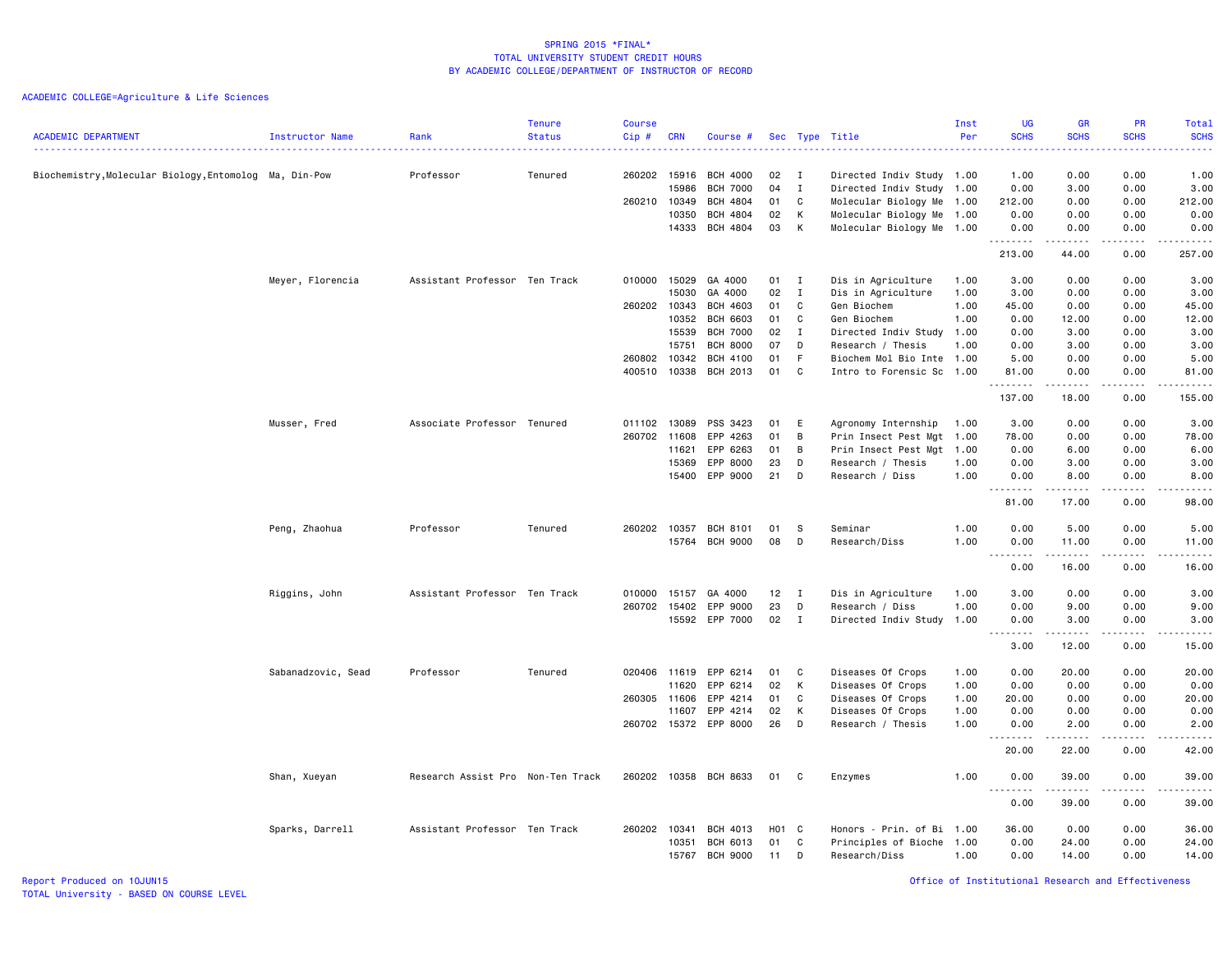| <b>ACADEMIC DEPARTMENT</b>                             | Instructor Name    | Rank                              | <b>Tenure</b><br><b>Status</b> | <b>Course</b><br>Cip# | <b>CRN</b> | Course #              |       |              | Sec Type Title            | Inst<br>Per | <b>UG</b><br><b>SCHS</b><br>$\sim$ $\sim$ $\sim$ $\sim$ | <b>GR</b><br><b>SCHS</b> | <b>PR</b><br><b>SCHS</b> | <b>Total</b><br><b>SCHS</b><br>$\frac{1}{2} \left( \frac{1}{2} \right) \left( \frac{1}{2} \right) \left( \frac{1}{2} \right) \left( \frac{1}{2} \right)$      |
|--------------------------------------------------------|--------------------|-----------------------------------|--------------------------------|-----------------------|------------|-----------------------|-------|--------------|---------------------------|-------------|---------------------------------------------------------|--------------------------|--------------------------|---------------------------------------------------------------------------------------------------------------------------------------------------------------|
| Biochemistry, Molecular Biology, Entomolog Ma, Din-Pow |                    | Professor                         | Tenured                        | 260202                | 15916      | <b>BCH 4000</b>       | 02    | $\mathbf{I}$ | Directed Indiv Study 1.00 |             | 1.00                                                    | 0.00                     | 0.00                     | 1.00                                                                                                                                                          |
|                                                        |                    |                                   |                                |                       | 15986      | <b>BCH 7000</b>       | 04    | $\mathbf I$  | Directed Indiv Study 1.00 |             | 0.00                                                    | 3.00                     | 0.00                     | 3.00                                                                                                                                                          |
|                                                        |                    |                                   |                                | 260210 10349          |            | <b>BCH 4804</b>       | 01    | C            | Molecular Biology Me 1.00 |             | 212.00                                                  | 0.00                     | 0.00                     | 212.00                                                                                                                                                        |
|                                                        |                    |                                   |                                |                       | 10350      | BCH 4804              | 02    | К            | Molecular Biology Me 1.00 |             | 0.00                                                    | 0.00                     | 0.00                     | 0.00                                                                                                                                                          |
|                                                        |                    |                                   |                                |                       | 14333      | BCH 4804              | 03    | К            | Molecular Biology Me 1.00 |             | 0.00<br>.                                               | 0.00<br>-----            | 0.00<br>.                | 0.00<br>.                                                                                                                                                     |
|                                                        |                    |                                   |                                |                       |            |                       |       |              |                           |             | 213.00                                                  | 44.00                    | 0.00                     | 257.00                                                                                                                                                        |
|                                                        | Meyer, Florencia   | Assistant Professor Ten Track     |                                | 010000                | 15029      | GA 4000               | 01 I  |              | Dis in Agriculture        | 1.00        | 3.00                                                    | 0.00                     | 0.00                     | 3.00                                                                                                                                                          |
|                                                        |                    |                                   |                                |                       | 15030      | GA 4000               | 02    | $\mathbf{I}$ | Dis in Agriculture        | 1.00        | 3.00                                                    | 0.00                     | 0.00                     | 3.00                                                                                                                                                          |
|                                                        |                    |                                   |                                | 260202 10343          |            | <b>BCH 4603</b>       | 01    | C            | Gen Biochem               | 1.00        | 45.00                                                   | 0.00                     | 0.00                     | 45.00                                                                                                                                                         |
|                                                        |                    |                                   |                                |                       | 10352      | <b>BCH 6603</b>       | 01    | C            | Gen Biochem               | 1.00        | 0.00                                                    | 12.00                    | 0.00                     | 12.00                                                                                                                                                         |
|                                                        |                    |                                   |                                |                       | 15539      | <b>BCH 7000</b>       | 02    | $\mathbf{I}$ | Directed Indiv Study      | 1.00        | 0.00                                                    | 3.00                     | 0.00                     | 3.00                                                                                                                                                          |
|                                                        |                    |                                   |                                |                       | 15751      | <b>BCH 8000</b>       | 07    | D            | Research / Thesis         | 1.00        | 0.00                                                    | 3.00                     | 0.00                     | 3.00                                                                                                                                                          |
|                                                        |                    |                                   |                                | 260802                | 10342      | <b>BCH 4100</b>       | 01    | F            | Biochem Mol Bio Inte      | 1.00        | 5.00                                                    | 0.00                     | 0.00                     | 5.00                                                                                                                                                          |
|                                                        |                    |                                   |                                | 400510                | 10338      | BCH 2013              | 01    | C            | Intro to Forensic Sc 1.00 |             | 81.00<br>.                                              | 0.00<br>.                | 0.00<br>.                | 81.00<br>.                                                                                                                                                    |
|                                                        |                    |                                   |                                |                       |            |                       |       |              |                           |             | 137.00                                                  | 18.00                    | 0.00                     | 155.00                                                                                                                                                        |
|                                                        | Musser, Fred       | Associate Professor Tenured       |                                | 011102                | 13089      | PSS 3423              | 01    | E            | Agronomy Internship       | 1.00        | 3.00                                                    | 0.00                     | 0.00                     | 3.00                                                                                                                                                          |
|                                                        |                    |                                   |                                | 260702                | 11608      | EPP 4263              | 01    | B            | Prin Insect Pest Mgt 1.00 |             | 78.00                                                   | 0.00                     | 0.00                     | 78.00                                                                                                                                                         |
|                                                        |                    |                                   |                                |                       | 11621      | EPP 6263              | 01    | B            | Prin Insect Pest Mgt 1.00 |             | 0.00                                                    | 6.00                     | 0.00                     | 6.00                                                                                                                                                          |
|                                                        |                    |                                   |                                |                       | 15369      | EPP 8000              | 23    | D            | Research / Thesis         | 1.00        | 0.00                                                    | 3.00                     | 0.00                     | 3.00                                                                                                                                                          |
|                                                        |                    |                                   |                                |                       | 15400      | EPP 9000              | 21    | D            | Research / Diss           | 1.00        | 0.00                                                    | 8.00                     | 0.00                     | 8.00                                                                                                                                                          |
|                                                        |                    |                                   |                                |                       |            |                       |       |              |                           |             | 81.00                                                   | 17.00                    | 0.00                     | 98.00                                                                                                                                                         |
|                                                        | Peng, Zhaohua      | Professor                         | Tenured                        | 260202 10357          |            | BCH 8101              | 01    | S            | Seminar                   | 1.00        | 0.00                                                    | 5.00                     | 0.00                     | 5.00                                                                                                                                                          |
|                                                        |                    |                                   |                                |                       |            | 15764 BCH 9000        | 08    | D            | Research/Diss             | 1.00        | 0.00                                                    | 11.00                    | 0.00                     | 11.00                                                                                                                                                         |
|                                                        |                    |                                   |                                |                       |            |                       |       |              |                           |             | 0.00                                                    | 16.00                    | 2.2.2.2.2<br>0.00        | .<br>16.00                                                                                                                                                    |
|                                                        | Riggins, John      | Assistant Professor Ten Track     |                                | 010000                | 15157      | GA 4000               | 12    | $\mathbf{I}$ | Dis in Agriculture        | 1.00        | 3.00                                                    | 0.00                     | 0.00                     | 3.00                                                                                                                                                          |
|                                                        |                    |                                   |                                | 260702                | 15402      | EPP 9000              | 23    | D            | Research / Diss           | 1.00        | 0.00                                                    | 9.00                     | 0.00                     | 9.00                                                                                                                                                          |
|                                                        |                    |                                   |                                |                       |            | 15592 EPP 7000        | 02    | $\mathbf{I}$ | Directed Indiv Study      | 1.00        | 0.00                                                    | 3.00                     | 0.00                     | 3.00                                                                                                                                                          |
|                                                        |                    |                                   |                                |                       |            |                       |       |              |                           |             | -----<br>$  -$<br>3.00                                  | ------<br>12.00          | .<br>0.00                | $\frac{1}{2} \left( \frac{1}{2} \right) \left( \frac{1}{2} \right) \left( \frac{1}{2} \right) \left( \frac{1}{2} \right) \left( \frac{1}{2} \right)$<br>15.00 |
|                                                        | Sabanadzovic, Sead | Professor                         | Tenured                        | 020406 11619          |            | EPP 6214              | 01    | C            | Diseases Of Crops         | 1.00        | 0.00                                                    | 20.00                    | 0.00                     | 20.00                                                                                                                                                         |
|                                                        |                    |                                   |                                |                       | 11620      | EPP 6214              | 02    | К            | Diseases Of Crops         | 1.00        | 0.00                                                    | 0.00                     | 0.00                     | 0.00                                                                                                                                                          |
|                                                        |                    |                                   |                                | 260305 11606          |            | EPP 4214              | 01    | C            | Diseases Of Crops         | 1.00        | 20.00                                                   | 0.00                     | 0.00                     | 20.00                                                                                                                                                         |
|                                                        |                    |                                   |                                |                       | 11607      | EPP 4214              | 02    | K            | Diseases Of Crops         | 1.00        | 0.00                                                    | 0.00                     | 0.00                     | 0.00                                                                                                                                                          |
|                                                        |                    |                                   |                                | 260702 15372          |            | EPP 8000              | 26    | D            | Research / Thesis         | 1.00        | 0.00                                                    | 2.00                     | 0.00                     | 2.00                                                                                                                                                          |
|                                                        |                    |                                   |                                |                       |            |                       |       |              |                           |             | $\frac{1}{2}$<br>20.00                                  | -----<br>22.00           | .<br>0.00                | $\frac{1}{2}$<br>42.00                                                                                                                                        |
|                                                        | Shan, Xueyan       | Research Assist Pro Non-Ten Track |                                |                       |            | 260202 10358 BCH 8633 | 01    | C            | Enzymes                   | 1.00        | 0.00                                                    | 39.00                    | 0.00                     | 39.00                                                                                                                                                         |
|                                                        |                    |                                   |                                |                       |            |                       |       |              |                           |             | $- - - - - - -$<br>0.00                                 | 39.00                    | 0.00                     | 39.00                                                                                                                                                         |
|                                                        | Sparks, Darrell    | Assistant Professor Ten Track     |                                | 260202 10341          |            | <b>BCH 4013</b>       | H01 C |              | Honors - Prin. of Bi 1.00 |             | 36,00                                                   | 0.00                     | 0.00                     | 36.00                                                                                                                                                         |
|                                                        |                    |                                   |                                |                       | 10351      | BCH 6013              | 01    | C            | Principles of Bioche      | 1.00        | 0.00                                                    | 24.00                    | 0.00                     | 24.00                                                                                                                                                         |
|                                                        |                    |                                   |                                |                       | 15767      | <b>BCH 9000</b>       | 11    | D            | Research/Diss             | 1.00        | 0.00                                                    | 14.00                    | 0.00                     | 14.00                                                                                                                                                         |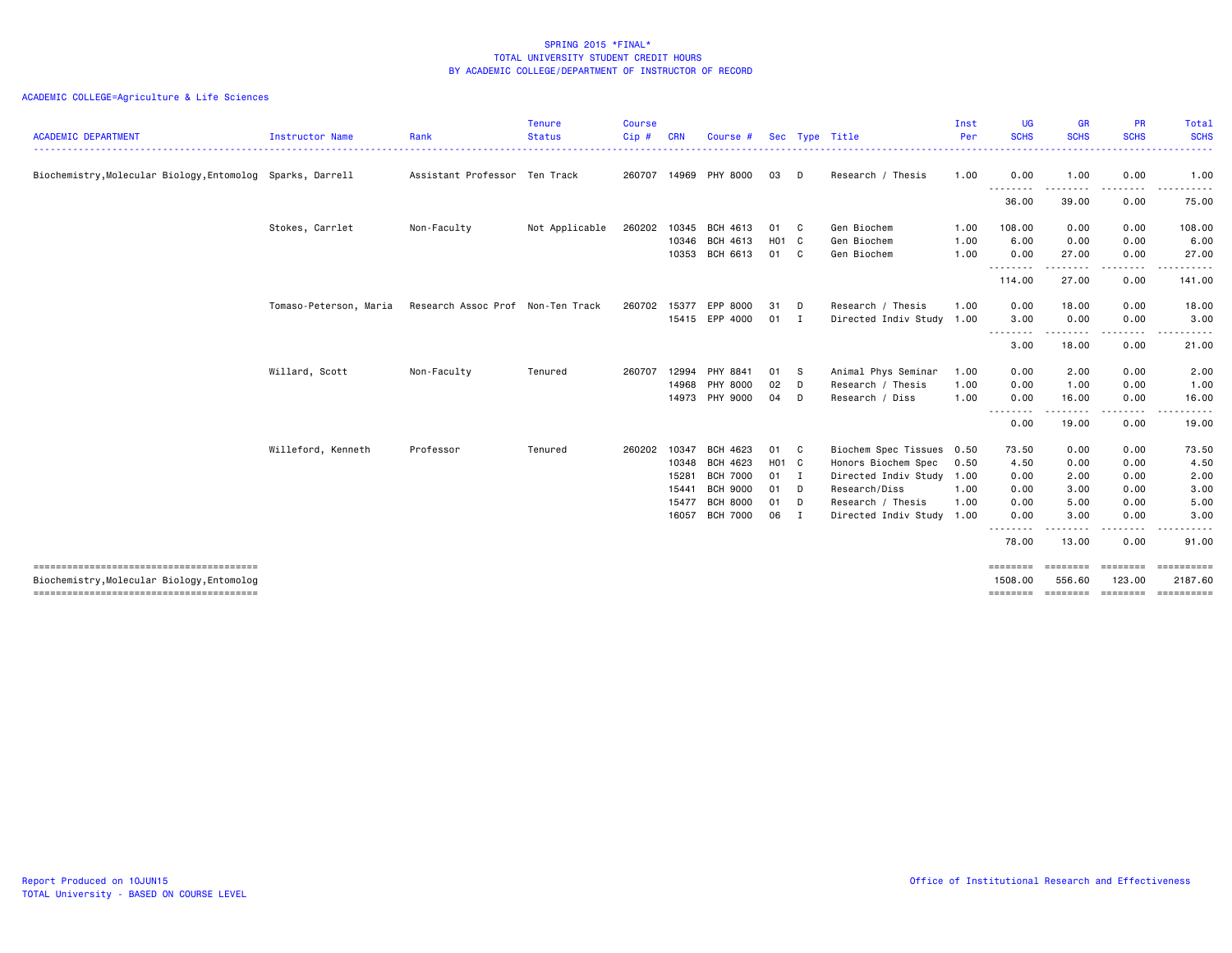| <b>ACADEMIC DEPARTMENT</b>                                 | Instructor Name        | Rank                              | Tenure<br><b>Status</b> | <b>Course</b><br>Cip# | <b>CRN</b>                                         | Course #                                                                                         | Sec                                 |                                  | Type Title                                                                                                                                  | Inst<br>Per                  | <b>UG</b><br><b>SCHS</b>                               | <b>GR</b><br><b>SCHS</b>                              | <b>PR</b><br><b>SCHS</b>                                     | Total<br><b>SCHS</b><br>.                                                                                                                                      |
|------------------------------------------------------------|------------------------|-----------------------------------|-------------------------|-----------------------|----------------------------------------------------|--------------------------------------------------------------------------------------------------|-------------------------------------|----------------------------------|---------------------------------------------------------------------------------------------------------------------------------------------|------------------------------|--------------------------------------------------------|-------------------------------------------------------|--------------------------------------------------------------|----------------------------------------------------------------------------------------------------------------------------------------------------------------|
| Biochemistry, Molecular Biology, Entomolog Sparks, Darrell |                        | Assistant Professor Ten Track     |                         | 260707                | 14969                                              | PHY 8000                                                                                         | 03                                  | D                                | Research / Thesis                                                                                                                           | 1.00                         | 0.00                                                   | 1.00                                                  | 0.00                                                         | 1.00                                                                                                                                                           |
|                                                            |                        |                                   |                         |                       |                                                    |                                                                                                  |                                     |                                  |                                                                                                                                             |                              | .<br>36.00                                             | 39.00                                                 | 0.00                                                         | 75.00                                                                                                                                                          |
|                                                            | Stokes, Carrlet        | Non-Faculty                       | Not Applicable          | 260202                | 10345                                              | BCH 4613                                                                                         | 01 C                                |                                  | Gen Biochem                                                                                                                                 | 1.00                         | 108.00                                                 | 0.00                                                  | 0.00                                                         | 108.00                                                                                                                                                         |
|                                                            |                        |                                   |                         |                       | 10346<br>10353                                     | BCH 4613<br>BCH 6613                                                                             | H01 C<br>01                         | C                                | Gen Biochem<br>Gen Biochem                                                                                                                  | 1.00<br>1.00                 | 6.00<br>0.00                                           | 0.00<br>27.00                                         | 0.00<br>0.00                                                 | 6.00<br>27.00                                                                                                                                                  |
|                                                            |                        |                                   |                         |                       |                                                    |                                                                                                  |                                     |                                  |                                                                                                                                             |                              | <u> - - - - - - - -</u><br>114.00                      | .<br>27.00                                            | .<br>0.00                                                    | $\frac{1}{2} \left( \frac{1}{2} \right) \left( \frac{1}{2} \right) \left( \frac{1}{2} \right) \left( \frac{1}{2} \right) \left( \frac{1}{2} \right)$<br>141.00 |
|                                                            | Tomaso-Peterson, Maria | Research Assoc Prof Non-Ten Track |                         | 260702                | 15377                                              | EPP 8000<br>15415 EPP 4000                                                                       | 31<br>01                            | D<br>$\mathbf{I}$                | Research / Thesis<br>Directed Indiv Study 1.00                                                                                              | 1.00                         | 0.00<br>3.00                                           | 18.00<br>0.00                                         | 0.00<br>0.00                                                 | 18.00<br>3.00                                                                                                                                                  |
|                                                            |                        |                                   |                         |                       |                                                    |                                                                                                  |                                     |                                  |                                                                                                                                             |                              | .<br>3.00                                              | 18.00                                                 | .<br>0.00                                                    | -----<br>21.00                                                                                                                                                 |
|                                                            | Willard, Scott         | Non-Faculty                       | Tenured                 | 260707                | 12994<br>14968<br>14973                            | PHY 8841<br>PHY 8000<br>PHY 9000                                                                 | 01<br>02<br>04                      | - S<br>D<br>D                    | Animal Phys Seminar<br>Research / Thesis<br>Research / Diss                                                                                 | 1.00<br>1.00<br>1.00         | 0.00<br>0.00<br>0.00                                   | 2.00<br>1.00<br>16.00                                 | 0.00<br>0.00<br>0.00                                         | 2.00<br>1.00<br>16.00                                                                                                                                          |
|                                                            |                        |                                   |                         |                       |                                                    |                                                                                                  |                                     |                                  |                                                                                                                                             |                              | .<br>0.00                                              | 19.00                                                 | .<br>0.00                                                    | 19.00                                                                                                                                                          |
|                                                            | Willeford, Kenneth     | Professor                         | Tenured                 | 260202                | 10347<br>10348<br>15281<br>15441<br>15477<br>16057 | BCH 4623<br>BCH 4623<br><b>BCH 7000</b><br><b>BCH 9000</b><br><b>BCH 8000</b><br><b>BCH 7000</b> | 01<br>H01 C<br>01<br>01<br>01<br>06 | $\mathbf{C}$<br>I<br>D<br>D<br>I | Biochem Spec Tissues 0.50<br>Honors Biochem Spec<br>Directed Indiv Study<br>Research/Diss<br>Research / Thesis<br>Directed Indiv Study 1.00 | 0.50<br>1.00<br>1.00<br>1.00 | 73.50<br>4.50<br>0.00<br>0.00<br>0.00<br>0.00<br>78.00 | 0.00<br>0.00<br>2.00<br>3.00<br>5.00<br>3.00<br>13.00 | 0.00<br>0.00<br>0.00<br>0.00<br>0.00<br>0.00<br>----<br>0.00 | 73.50<br>4.50<br>2.00<br>3.00<br>5.00<br>3.00<br>91.00                                                                                                         |
| Biochemistry, Molecular Biology, Entomolog                 |                        |                                   |                         |                       |                                                    |                                                                                                  |                                     |                                  |                                                                                                                                             |                              | ========<br>1508,00<br>========                        | ========<br>556.60<br>========                        | 123.00<br>========                                           | $=$ ==========<br>2187.60<br>==========                                                                                                                        |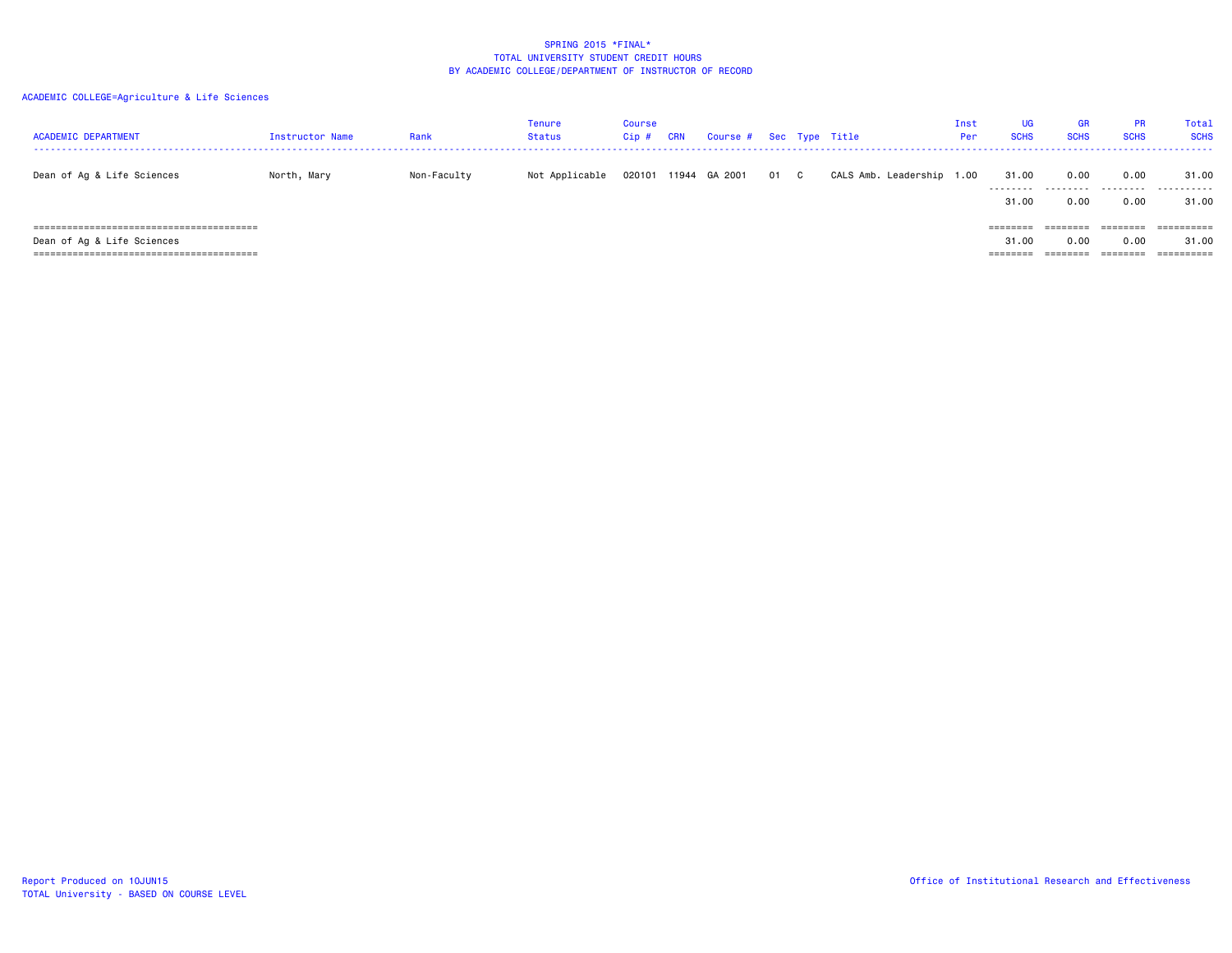| <b>ACADEMIC DEPARTMENT</b> | Instructor Name | Rank        | Tenure<br>Status | Course<br>Cip# | CRN | Course # Sec Type Title |      |                           | Inst<br>Per | <b>UG</b><br><b>SCHS</b> | <b>GR</b><br><b>SCHS</b> | <b>PR</b><br><b>SCHS</b>          | Total<br><b>SCHS</b> |
|----------------------------|-----------------|-------------|------------------|----------------|-----|-------------------------|------|---------------------------|-------------|--------------------------|--------------------------|-----------------------------------|----------------------|
| Dean of Ag & Life Sciences | North, Mary     | Non-Faculty | Not Applicable   | 020101         |     | 11944 GA 2001           | 01 C | CALS Amb. Leadership 1.00 |             | 31.00<br>.<br>31.00      | 0.00<br>.<br>0.00        | 0.00<br>- - - - - - - - -<br>0.00 | 31.00<br>.<br>31.00  |
|                            |                 |             |                  |                |     |                         |      |                           |             | ========                 | ========                 | ========                          | ==========           |
| Dean of Ag & Life Sciences |                 |             |                  |                |     |                         |      |                           |             | 31.00<br>--------        | 0.00<br>--------         | 0.00<br>========                  | 31.00<br>==========  |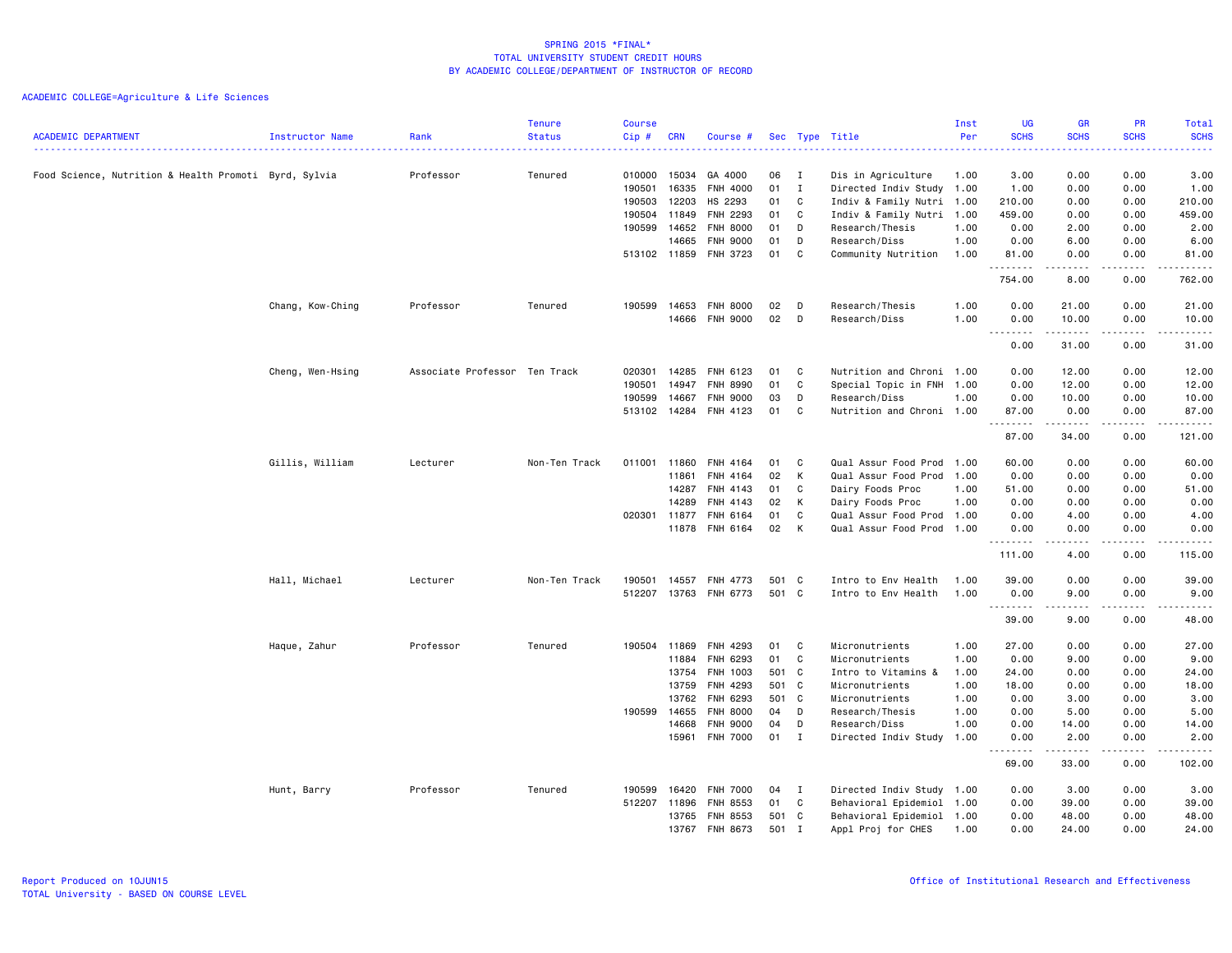|                                                       |                  |                               | <b>Tenure</b> | <b>Course</b> |              |                 |       |              |                           | Inst | <b>UG</b>                     | GR                                                                                                                                                            | PR                                                                                                                                | <b>Total</b>                                                                                                                                                  |
|-------------------------------------------------------|------------------|-------------------------------|---------------|---------------|--------------|-----------------|-------|--------------|---------------------------|------|-------------------------------|---------------------------------------------------------------------------------------------------------------------------------------------------------------|-----------------------------------------------------------------------------------------------------------------------------------|---------------------------------------------------------------------------------------------------------------------------------------------------------------|
| <b>ACADEMIC DEPARTMENT</b>                            | Instructor Name  | Rank<br>.                     | <b>Status</b> | Cip#          | <b>CRN</b>   | Course #        |       |              | Sec Type Title            | Per  | <b>SCHS</b><br>الدائد الدائد  | <b>SCHS</b>                                                                                                                                                   | <b>SCHS</b><br>.                                                                                                                  | <b>SCHS</b><br>.                                                                                                                                              |
| Food Science, Nutrition & Health Promoti Byrd, Sylvia |                  | Professor                     | Tenured       | 010000        | 15034        | GA 4000         | 06    | I            | Dis in Agriculture        | 1.00 | 3.00                          | 0.00                                                                                                                                                          | 0.00                                                                                                                              | 3.00                                                                                                                                                          |
|                                                       |                  |                               |               | 190501        | 16335        | <b>FNH 4000</b> | 01    | I            | Directed Indiv Study 1.00 |      | 1.00                          | 0.00                                                                                                                                                          | 0.00                                                                                                                              | 1.00                                                                                                                                                          |
|                                                       |                  |                               |               | 190503        | 12203        | HS 2293         | 01    | C            | Indiv & Family Nutri 1.00 |      | 210.00                        | 0.00                                                                                                                                                          | 0.00                                                                                                                              | 210.00                                                                                                                                                        |
|                                                       |                  |                               |               |               | 190504 11849 | FNH 2293        | 01    | C            | Indiv & Family Nutri 1.00 |      | 459.00                        | 0.00                                                                                                                                                          | 0.00                                                                                                                              | 459.00                                                                                                                                                        |
|                                                       |                  |                               |               | 190599        | 14652        | FNH 8000        | 01    | D            | Research/Thesis           | 1.00 | 0.00                          | 2.00                                                                                                                                                          | 0.00                                                                                                                              | 2.00                                                                                                                                                          |
|                                                       |                  |                               |               |               | 14665        | <b>FNH 9000</b> | 01    | D            | Research/Diss             | 1.00 | 0.00                          | 6.00                                                                                                                                                          | 0.00                                                                                                                              | 6.00                                                                                                                                                          |
|                                                       |                  |                               |               |               | 513102 11859 | FNH 3723        | 01    | C            | Community Nutrition       | 1.00 | 81.00<br>.                    | 0.00<br>.                                                                                                                                                     | 0.00<br>.                                                                                                                         | 81.00                                                                                                                                                         |
|                                                       |                  |                               |               |               |              |                 |       |              |                           |      | 754.00                        | 8.00                                                                                                                                                          | 0.00                                                                                                                              | 762.00                                                                                                                                                        |
|                                                       | Chang, Kow-Ching | Professor                     | Tenured       | 190599        | 14653        | <b>FNH 8000</b> | 02    | D            | Research/Thesis           | 1.00 | 0.00                          | 21.00                                                                                                                                                         | 0.00                                                                                                                              | 21.00                                                                                                                                                         |
|                                                       |                  |                               |               |               | 14666        | <b>FNH 9000</b> | 02    | D            | Research/Diss             | 1.00 | 0.00<br>$\sim$ $\sim$<br>---- | 10.00<br>$\frac{1}{2} \left( \frac{1}{2} \right) \left( \frac{1}{2} \right) \left( \frac{1}{2} \right) \left( \frac{1}{2} \right) \left( \frac{1}{2} \right)$ | 0.00<br>$\frac{1}{2} \left( \frac{1}{2} \right) \left( \frac{1}{2} \right) \left( \frac{1}{2} \right) \left( \frac{1}{2} \right)$ | 10.00<br>-----                                                                                                                                                |
|                                                       |                  |                               |               |               |              |                 |       |              |                           |      | 0.00                          | 31.00                                                                                                                                                         | 0.00                                                                                                                              | 31.00                                                                                                                                                         |
|                                                       | Cheng, Wen-Hsing | Associate Professor Ten Track |               | 020301        | 14285        | FNH 6123        | 01    | C            | Nutrition and Chroni 1.00 |      | 0.00                          | 12.00                                                                                                                                                         | 0.00                                                                                                                              | 12.00                                                                                                                                                         |
|                                                       |                  |                               |               | 190501        | 14947        | FNH 8990        | 01    | C            | Special Topic in FNH 1.00 |      | 0.00                          | 12.00                                                                                                                                                         | 0.00                                                                                                                              | 12.00                                                                                                                                                         |
|                                                       |                  |                               |               | 190599        | 14667        | <b>FNH 9000</b> | 03    | D            | Research/Diss             | 1.00 | 0.00                          | 10.00                                                                                                                                                         | 0.00                                                                                                                              | 10.00                                                                                                                                                         |
|                                                       |                  |                               |               |               | 513102 14284 | FNH 4123        | 01    | C            | Nutrition and Chroni 1.00 |      | 87.00<br>.                    | 0.00<br>$\frac{1}{2} \left( \frac{1}{2} \right) \left( \frac{1}{2} \right) \left( \frac{1}{2} \right) \left( \frac{1}{2} \right) \left( \frac{1}{2} \right)$  | 0.00<br>د د د د                                                                                                                   | 87.00<br>.                                                                                                                                                    |
|                                                       |                  |                               |               |               |              |                 |       |              |                           |      | 87.00                         | 34.00                                                                                                                                                         | 0.00                                                                                                                              | 121.00                                                                                                                                                        |
|                                                       | Gillis, William  | Lecturer                      | Non-Ten Track | 011001        | 11860        | FNH 4164        | 01    | C            | Qual Assur Food Prod 1.00 |      | 60.00                         | 0.00                                                                                                                                                          | 0.00                                                                                                                              | 60.00                                                                                                                                                         |
|                                                       |                  |                               |               |               | 11861        | FNH 4164        | 02    | К            | Qual Assur Food Prod 1.00 |      | 0.00                          | 0.00                                                                                                                                                          | 0.00                                                                                                                              | 0.00                                                                                                                                                          |
|                                                       |                  |                               |               |               | 14287        | FNH 4143        | 01    | C            | Dairy Foods Proc          | 1.00 | 51.00                         | 0.00                                                                                                                                                          | 0.00                                                                                                                              | 51.00                                                                                                                                                         |
|                                                       |                  |                               |               |               | 14289        | FNH 4143        | 02    | К            | Dairy Foods Proc          | 1.00 | 0.00                          | 0.00                                                                                                                                                          | 0.00                                                                                                                              | 0.00                                                                                                                                                          |
|                                                       |                  |                               |               |               | 020301 11877 | FNH 6164        | 01    | C            | Qual Assur Food Prod 1.00 |      | 0.00                          | 4.00                                                                                                                                                          | 0.00                                                                                                                              | 4.00                                                                                                                                                          |
|                                                       |                  |                               |               |               | 11878        | FNH 6164        | 02    | К            | Qual Assur Food Prod 1.00 |      | 0.00<br>.                     | 0.00<br>-----                                                                                                                                                 | 0.00<br>.                                                                                                                         | 0.00<br>د د د د د                                                                                                                                             |
|                                                       |                  |                               |               |               |              |                 |       |              |                           |      | 111.00                        | 4.00                                                                                                                                                          | 0.00                                                                                                                              | 115.00                                                                                                                                                        |
|                                                       | Hall, Michael    | Lecturer                      | Non-Ten Track | 190501        | 14557        | FNH 4773        | 501 C |              | Intro to Env Health       | 1.00 | 39.00                         | 0.00                                                                                                                                                          | 0.00                                                                                                                              | 39.00                                                                                                                                                         |
|                                                       |                  |                               |               | 512207        | 13763        | FNH 6773        | 501 C |              | Intro to Env Health       | 1.00 | 0.00                          | 9.00                                                                                                                                                          | 0.00                                                                                                                              | 9.00                                                                                                                                                          |
|                                                       |                  |                               |               |               |              |                 |       |              |                           |      | .<br>39.00                    | 9.00                                                                                                                                                          | 0.00                                                                                                                              | $\frac{1}{2} \left( \frac{1}{2} \right) \left( \frac{1}{2} \right) \left( \frac{1}{2} \right) \left( \frac{1}{2} \right) \left( \frac{1}{2} \right)$<br>48.00 |
|                                                       | Haque, Zahur     | Professor                     | Tenured       |               | 190504 11869 | FNH 4293        | 01    | C            | Micronutrients            | 1.00 | 27.00                         | 0.00                                                                                                                                                          | 0.00                                                                                                                              | 27.00                                                                                                                                                         |
|                                                       |                  |                               |               |               | 11884        | FNH 6293        | 01    | C            | Micronutrients            | 1.00 | 0.00                          | 9.00                                                                                                                                                          | 0.00                                                                                                                              | 9.00                                                                                                                                                          |
|                                                       |                  |                               |               |               | 13754        | FNH 1003        | 501 C |              | Intro to Vitamins &       | 1.00 | 24.00                         | 0.00                                                                                                                                                          | 0.00                                                                                                                              | 24.00                                                                                                                                                         |
|                                                       |                  |                               |               |               | 13759        | FNH 4293        | 501 C |              | Micronutrients            | 1.00 | 18.00                         | 0.00                                                                                                                                                          | 0.00                                                                                                                              | 18.00                                                                                                                                                         |
|                                                       |                  |                               |               |               | 13762        | FNH 6293        | 501 C |              | Micronutrients            | 1.00 | 0.00                          | 3.00                                                                                                                                                          | 0.00                                                                                                                              | 3.00                                                                                                                                                          |
|                                                       |                  |                               |               | 190599        | 14655        | <b>FNH 8000</b> | 04    | D            | Research/Thesis           | 1.00 | 0.00                          | 5.00                                                                                                                                                          | 0.00                                                                                                                              | 5.00                                                                                                                                                          |
|                                                       |                  |                               |               |               | 14668        | FNH 9000        | 04    | D            | Research/Diss             | 1.00 | 0.00                          | 14.00                                                                                                                                                         | 0.00                                                                                                                              | 14.00                                                                                                                                                         |
|                                                       |                  |                               |               |               | 15961        | <b>FNH 7000</b> | 01    | I            | Directed Indiv Study      | 1.00 | 0.00                          | 2.00<br>.                                                                                                                                                     | 0.00<br>-----                                                                                                                     | 2.00<br>.                                                                                                                                                     |
|                                                       |                  |                               |               |               |              |                 |       |              |                           |      | 69.00                         | 33.00                                                                                                                                                         | 0.00                                                                                                                              | 102.00                                                                                                                                                        |
|                                                       | Hunt, Barry      | Professor                     | Tenured       | 190599        | 16420        | FNH 7000        | 04    | Ι            | Directed Indiv Study 1.00 |      | 0.00                          | 3.00                                                                                                                                                          | 0.00                                                                                                                              | 3.00                                                                                                                                                          |
|                                                       |                  |                               |               | 512207        | 11896        | FNH 8553        | 01    | C            | Behavioral Epidemiol 1.00 |      | 0.00                          | 39.00                                                                                                                                                         | 0.00                                                                                                                              | 39.00                                                                                                                                                         |
|                                                       |                  |                               |               |               | 13765        | FNH 8553        | 501   | $\mathbf{C}$ | Behavioral Epidemiol 1.00 |      | 0.00                          | 48.00                                                                                                                                                         | 0.00                                                                                                                              | 48.00                                                                                                                                                         |
|                                                       |                  |                               |               |               | 13767        | FNH 8673        | 501   | I            | Appl Proj for CHES        | 1.00 | 0.00                          | 24.00                                                                                                                                                         | 0.00                                                                                                                              | 24,00                                                                                                                                                         |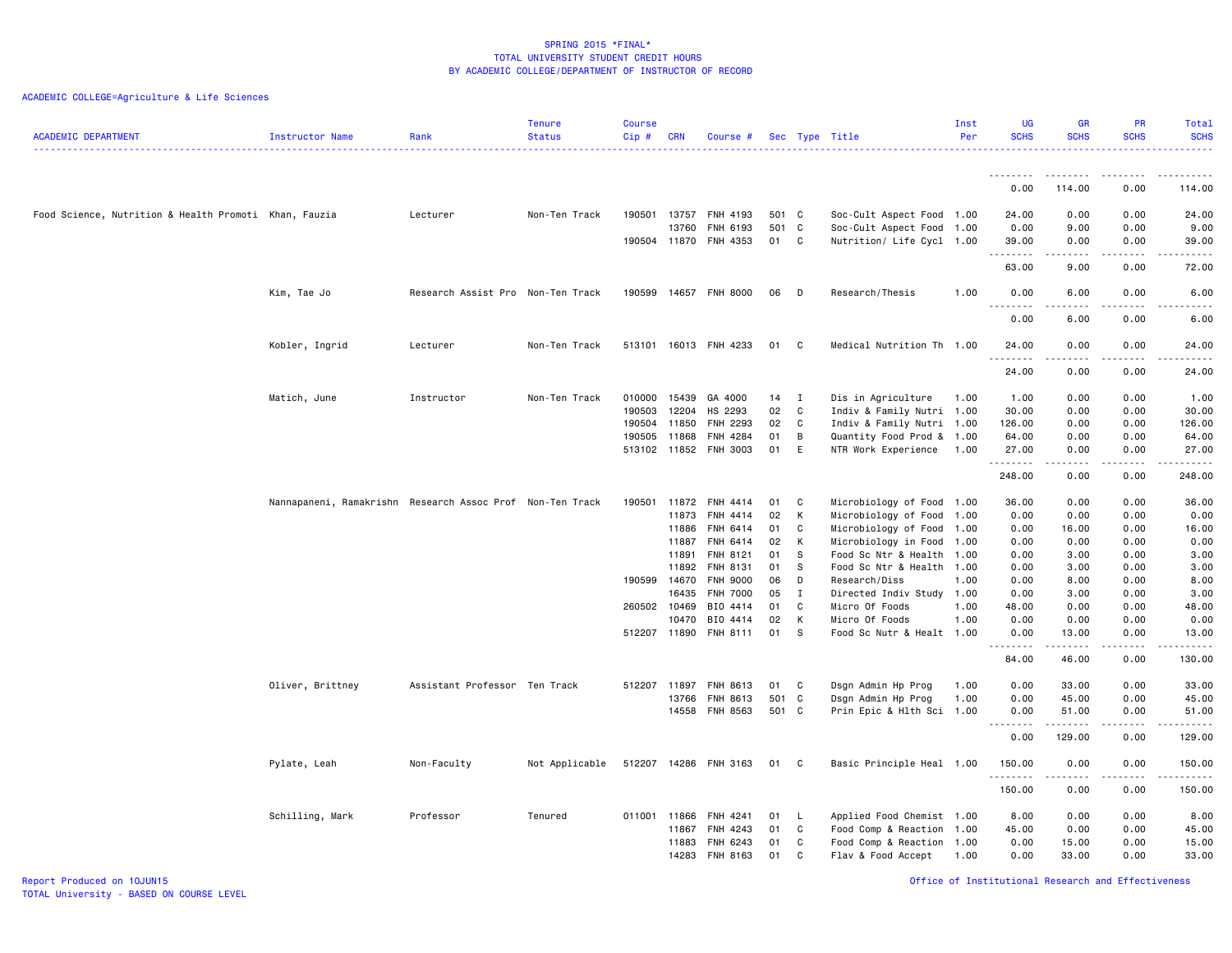|                                                       |                                                           |                                   | <b>Tenure</b>  | <b>Course</b> |                |                             |          |                |                                            | Inst | <b>UG</b>                           | <b>GR</b>                                                                                                                                                    | <b>PR</b>             | <b>Total</b>            |
|-------------------------------------------------------|-----------------------------------------------------------|-----------------------------------|----------------|---------------|----------------|-----------------------------|----------|----------------|--------------------------------------------|------|-------------------------------------|--------------------------------------------------------------------------------------------------------------------------------------------------------------|-----------------------|-------------------------|
| <b>ACADEMIC DEPARTMENT</b>                            | Instructor Name                                           | Rank                              | <b>Status</b>  | Cip#          | <b>CRN</b>     | Course #                    |          |                | Sec Type Title                             | Per  | <b>SCHS</b>                         | <b>SCHS</b>                                                                                                                                                  | <b>SCHS</b>           | <b>SCHS</b><br><u>.</u> |
|                                                       |                                                           |                                   |                |               |                |                             |          |                |                                            |      |                                     |                                                                                                                                                              |                       |                         |
|                                                       |                                                           |                                   |                |               |                |                             |          |                |                                            |      | --------<br>0.00                    | --------<br>114.00                                                                                                                                           | <u>.</u><br>0.00      | . <u>.</u><br>114.00    |
| Food Science, Nutrition & Health Promoti Khan, Fauzia |                                                           | Lecturer                          | Non-Ten Track  | 190501        | 13757          | FNH 4193                    | 501 C    |                | Soc-Cult Aspect Food 1.00                  |      | 24.00                               | 0.00                                                                                                                                                         | 0.00                  | 24.00                   |
|                                                       |                                                           |                                   |                |               | 13760          | FNH 6193                    | 501 C    |                | Soc-Cult Aspect Food 1.00                  |      | 0.00                                | 9.00                                                                                                                                                         | 0.00                  | 9.00                    |
|                                                       |                                                           |                                   |                | 190504 11870  |                | FNH 4353                    | 01       | C              | Nutrition/ Life Cycl 1.00                  |      | 39.00                               | 0.00                                                                                                                                                         | 0.00                  | 39.00                   |
|                                                       |                                                           |                                   |                |               |                |                             |          |                |                                            |      | .<br>63.00                          | $\frac{1}{2} \left( \frac{1}{2} \right) \left( \frac{1}{2} \right) \left( \frac{1}{2} \right) \left( \frac{1}{2} \right) \left( \frac{1}{2} \right)$<br>9.00 | .<br>0.00             | .<br>72.00              |
|                                                       | Kim, Tae Jo                                               | Research Assist Pro Non-Ten Track |                | 190599        |                | 14657 FNH 8000              | 06       | D              | Research/Thesis                            | 1.00 | 0.00                                | 6.00                                                                                                                                                         | 0.00                  | 6.00                    |
|                                                       |                                                           |                                   |                |               |                |                             |          |                |                                            |      | . .<br>$\sim$ $\sim$ $\sim$<br>0.00 | 6.00                                                                                                                                                         | 0.00                  | .<br>6.00               |
|                                                       | Kobler, Ingrid                                            | Lecturer                          | Non-Ten Track  |               |                | 513101 16013 FNH 4233       | 01       | C <sub>c</sub> | Medical Nutrition Th 1.00                  |      | 24.00                               | 0.00                                                                                                                                                         | 0.00                  | 24.00                   |
|                                                       |                                                           |                                   |                |               |                |                             |          |                |                                            |      | - - -<br>24.00                      | 0.00                                                                                                                                                         | 0.00                  | $- - - -$<br>24.00      |
|                                                       | Matich, June                                              | Instructor                        | Non-Ten Track  | 010000        | 15439          | GA 4000                     | 14       | I              | Dis in Agriculture                         | 1.00 | 1.00                                | 0.00                                                                                                                                                         | 0.00                  | 1.00                    |
|                                                       |                                                           |                                   |                | 190503        | 12204          | HS 2293                     | 02       | C              | Indiv & Family Nutri 1.00                  |      | 30.00                               | 0.00                                                                                                                                                         | 0.00                  | 30.00                   |
|                                                       |                                                           |                                   |                | 190504        | 11850          | FNH 2293                    | 02       | C              | Indiv & Family Nutri 1.00                  |      | 126.00                              | 0.00                                                                                                                                                         | 0.00                  | 126.00                  |
|                                                       |                                                           |                                   |                | 190505        | 11868          | FNH 4284                    | 01       | B              | Quantity Food Prod & 1.00                  |      | 64.00                               | 0.00                                                                                                                                                         | 0.00                  | 64.00                   |
|                                                       |                                                           |                                   |                |               |                | 513102 11852 FNH 3003       | 01       | E              | NTR Work Experience 1.00                   |      | 27.00<br>.                          | 0.00<br>$\frac{1}{2} \left( \frac{1}{2} \right) \left( \frac{1}{2} \right) \left( \frac{1}{2} \right) \left( \frac{1}{2} \right) \left( \frac{1}{2} \right)$ | 0.00<br>.             | 27.00<br>------         |
|                                                       |                                                           |                                   |                |               |                |                             |          |                |                                            |      | 248.00                              | 0.00                                                                                                                                                         | 0.00                  | 248.00                  |
|                                                       | Nannapaneni, Ramakrishn Research Assoc Prof Non-Ten Track |                                   |                | 190501        | 11872          | FNH 4414                    | 01       | C              | Microbiology of Food 1.00                  |      | 36.00                               | 0.00                                                                                                                                                         | 0.00                  | 36.00                   |
|                                                       |                                                           |                                   |                |               | 11873          | FNH 4414                    | 02       | K              | Microbiology of Food 1.00                  |      | 0.00                                | 0.00                                                                                                                                                         | 0.00                  | 0.00                    |
|                                                       |                                                           |                                   |                |               | 11886          | FNH 6414                    | 01       | C              | Microbiology of Food 1.00                  |      | 0.00                                | 16.00                                                                                                                                                        | 0.00                  | 16.00                   |
|                                                       |                                                           |                                   |                |               | 11887          | FNH 6414                    | 02       | K              | Microbiology in Food 1.00                  |      | 0.00                                | 0.00                                                                                                                                                         | 0.00                  | 0.00                    |
|                                                       |                                                           |                                   |                |               | 11891          | FNH 8121                    | 01       | - S            | Food Sc Ntr & Health 1.00                  |      | 0.00                                | 3.00                                                                                                                                                         | 0.00                  | 3.00                    |
|                                                       |                                                           |                                   |                | 190599        | 11892<br>14670 | FNH 8131<br><b>FNH 9000</b> | 01<br>06 | S<br>D         | Food Sc Ntr & Health 1.00<br>Research/Diss | 1.00 | 0.00<br>0.00                        | 3.00<br>8.00                                                                                                                                                 | 0.00<br>0.00          | 3.00<br>8.00            |
|                                                       |                                                           |                                   |                |               | 16435          | <b>FNH 7000</b>             | 05       | $\mathbf I$    | Directed Indiv Study 1.00                  |      | 0.00                                | 3.00                                                                                                                                                         | 0.00                  | 3.00                    |
|                                                       |                                                           |                                   |                | 260502 10469  |                | BIO 4414                    | 01       | C              | Micro Of Foods                             | 1.00 | 48.00                               | 0.00                                                                                                                                                         | 0.00                  | 48.00                   |
|                                                       |                                                           |                                   |                |               | 10470          | BIO 4414                    | 02       | K              | Micro Of Foods                             | 1.00 | 0.00                                | 0.00                                                                                                                                                         | 0.00                  | 0.00                    |
|                                                       |                                                           |                                   |                | 512207        | 11890          | <b>FNH 8111</b>             | 01       | -S             | Food Sc Nutr & Healt 1.00                  |      | 0.00                                | 13.00                                                                                                                                                        | 0.00                  | 13.00                   |
|                                                       |                                                           |                                   |                |               |                |                             |          |                |                                            |      | .<br>84.00                          | $- - - - -$<br>46.00                                                                                                                                         | .<br>0.00             | .<br>130.00             |
|                                                       | Oliver, Brittney                                          | Assistant Professor Ten Track     |                | 512207        | 11897          | FNH 8613                    | 01       | C.             | Dsgn Admin Hp Prog                         | 1.00 | 0.00                                | 33.00                                                                                                                                                        | 0.00                  | 33.00                   |
|                                                       |                                                           |                                   |                |               | 13766          | FNH 8613                    | 501 C    |                | Dsgn Admin Hp Prog                         | 1.00 | 0.00                                | 45.00                                                                                                                                                        | 0.00                  | 45.00                   |
|                                                       |                                                           |                                   |                |               | 14558          | FNH 8563                    | 501 C    |                | Prin Epic & Hlth Sci 1.00                  |      | 0.00<br>.                           | 51.00<br>$- - - - -$                                                                                                                                         | 0.00<br>$\frac{1}{2}$ | 51.00<br>.              |
|                                                       |                                                           |                                   |                |               |                |                             |          |                |                                            |      | 0.00                                | 129.00                                                                                                                                                       | 0.00                  | 129.00                  |
|                                                       | Pylate, Leah                                              | Non-Faculty                       | Not Applicable | 512207        |                | 14286 FNH 3163              | 01       | C              | Basic Principle Heal 1.00                  |      | 150.00<br>.                         | 0.00                                                                                                                                                         | 0.00                  | 150.00<br>------        |
|                                                       |                                                           |                                   |                |               |                |                             |          |                |                                            |      | 150.00                              | 0.00                                                                                                                                                         | 0.00                  | 150.00                  |
|                                                       | Schilling, Mark                                           | Professor                         | Tenured        | 011001 11866  |                | FNH 4241                    | 01       | - L            | Applied Food Chemist 1.00                  |      | 8.00                                | 0.00                                                                                                                                                         | 0.00                  | 8.00                    |
|                                                       |                                                           |                                   |                |               | 11867          | FNH 4243                    | 01       | C              | Food Comp & Reaction 1.00                  |      | 45.00                               | 0.00                                                                                                                                                         | 0.00                  | 45.00                   |
|                                                       |                                                           |                                   |                |               | 11883          | FNH 6243                    | 01       | C              | Food Comp & Reaction 1.00                  |      | 0.00                                | 15.00                                                                                                                                                        | 0.00                  | 15.00                   |
|                                                       |                                                           |                                   |                |               | 14283          | FNH 8163                    | 01       | C              | Flav & Food Accept                         | 1.00 | 0.00                                | 33.00                                                                                                                                                        | 0.00                  | 33.00                   |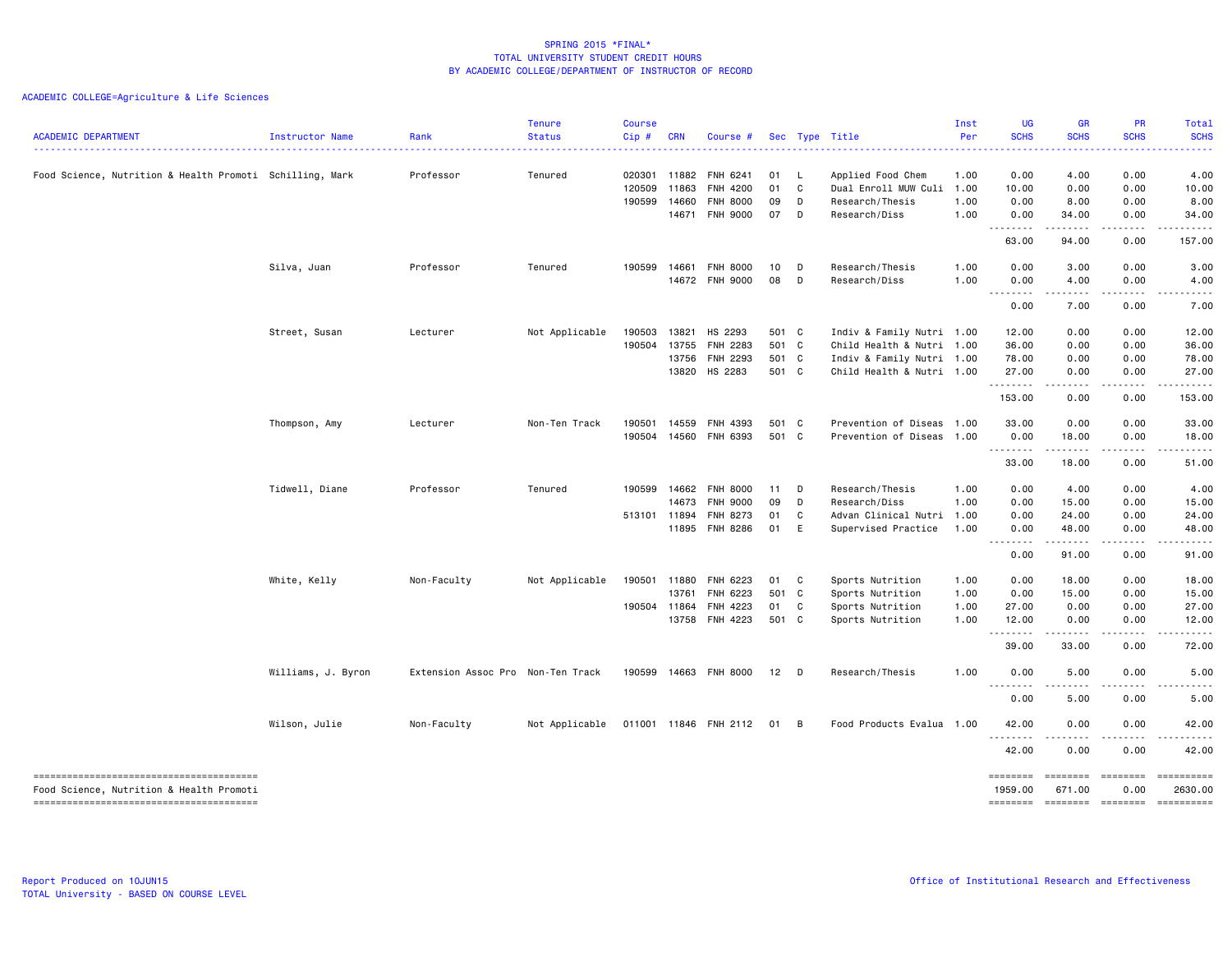| <b>ACADEMIC DEPARTMENT</b>                               | Instructor Name    | Rank<br>.                         | <b>Tenure</b><br><b>Status</b> | <b>Course</b><br>Cip# | <b>CRN</b>   | Course #              |       |              | Sec Type Title            | Inst<br>Per | <b>UG</b><br><b>SCHS</b> | <b>GR</b><br><b>SCHS</b><br>.                                                                                                     | PR<br><b>SCHS</b>                                                                                                                 | Total<br><b>SCHS</b>                                                                                                               |
|----------------------------------------------------------|--------------------|-----------------------------------|--------------------------------|-----------------------|--------------|-----------------------|-------|--------------|---------------------------|-------------|--------------------------|-----------------------------------------------------------------------------------------------------------------------------------|-----------------------------------------------------------------------------------------------------------------------------------|------------------------------------------------------------------------------------------------------------------------------------|
| Food Science, Nutrition & Health Promoti Schilling, Mark |                    | Professor                         | Tenured                        | 020301                | 11882        | FNH 6241              | 01    | $\mathsf{L}$ | Applied Food Chem         | 1.00        | 0.00                     | 4.00                                                                                                                              | 0.00                                                                                                                              | 4.00                                                                                                                               |
|                                                          |                    |                                   |                                | 120509                | 11863        | FNH 4200              | 01    | $\mathbf{C}$ | Dual Enroll MUW Culi      | 1.00        | 10.00                    | 0.00                                                                                                                              | 0.00                                                                                                                              | 10.00                                                                                                                              |
|                                                          |                    |                                   |                                | 190599                | 14660        | <b>FNH 8000</b>       | 09    | D            | Research/Thesis           | 1.00        | 0.00                     | 8.00                                                                                                                              | 0.00                                                                                                                              | 8.00                                                                                                                               |
|                                                          |                    |                                   |                                |                       | 14671        | <b>FNH 9000</b>       | 07    | D            | Research/Diss             | 1.00        | 0.00<br>.                | 34.00<br>.                                                                                                                        | 0.00<br>.                                                                                                                         | 34.00<br>.                                                                                                                         |
|                                                          |                    |                                   |                                |                       |              |                       |       |              |                           |             | 63.00                    | 94.00                                                                                                                             | 0.00                                                                                                                              | 157.00                                                                                                                             |
|                                                          | Silva, Juan        | Professor                         | Tenured                        | 190599                | 14661        | FNH 8000              | 10    | D            | Research/Thesis           | 1.00        | 0.00                     | 3.00                                                                                                                              | 0.00                                                                                                                              | 3.00                                                                                                                               |
|                                                          |                    |                                   |                                |                       |              | 14672 FNH 9000        | 08    | D            | Research/Diss             | 1.00        | 0.00<br><u>.</u>         | 4.00<br>.                                                                                                                         | 0.00<br>.                                                                                                                         | 4.00<br>.                                                                                                                          |
|                                                          |                    |                                   |                                |                       |              |                       |       |              |                           |             | 0.00                     | 7.00                                                                                                                              | 0.00                                                                                                                              | 7.00                                                                                                                               |
|                                                          | Street, Susan      | Lecturer                          | Not Applicable                 | 190503                | 13821        | HS 2293               | 501 C |              | Indiv & Family Nutri 1.00 |             | 12.00                    | 0.00                                                                                                                              | 0.00                                                                                                                              | 12.00                                                                                                                              |
|                                                          |                    |                                   |                                | 190504                |              | 13755 FNH 2283        | 501 C |              | Child Health & Nutri 1.00 |             | 36.00                    | 0.00                                                                                                                              | 0.00                                                                                                                              | 36.00                                                                                                                              |
|                                                          |                    |                                   |                                |                       |              | 13756 FNH 2293        | 501 C |              | Indiv & Family Nutri 1.00 |             | 78.00                    | 0.00                                                                                                                              | 0.00                                                                                                                              | 78.00                                                                                                                              |
|                                                          |                    |                                   |                                |                       |              | 13820 HS 2283         | 501 C |              | Child Health & Nutri 1.00 |             | 27.00<br>.               | 0.00<br>- - - - -                                                                                                                 | 0.00<br>-----                                                                                                                     | 27.00                                                                                                                              |
|                                                          |                    |                                   |                                |                       |              |                       |       |              |                           |             | 153.00                   | 0.00                                                                                                                              | 0.00                                                                                                                              | 153.00                                                                                                                             |
|                                                          | Thompson, Amy      | Lecturer                          | Non-Ten Track                  | 190501                | 14559        | FNH 4393              | 501 C |              | Prevention of Diseas 1.00 |             | 33.00                    | 0.00                                                                                                                              | 0.00                                                                                                                              | 33.00                                                                                                                              |
|                                                          |                    |                                   |                                |                       |              | 190504 14560 FNH 6393 | 501 C |              | Prevention of Diseas 1.00 |             | 0.00                     | 18.00                                                                                                                             | 0.00                                                                                                                              | 18.00                                                                                                                              |
|                                                          |                    |                                   |                                |                       |              |                       |       |              |                           |             | --------<br>33.00        | $\sim$ $\sim$ $\sim$ $\sim$ $\sim$<br>18.00                                                                                       | .<br>0.00                                                                                                                         | .<br>51.00                                                                                                                         |
|                                                          | Tidwell, Diane     | Professor                         | Tenured                        | 190599                | 14662        | <b>FNH 8000</b>       | 11    | D            | Research/Thesis           | 1.00        | 0.00                     | 4.00                                                                                                                              | 0.00                                                                                                                              | 4.00                                                                                                                               |
|                                                          |                    |                                   |                                |                       | 14673        | <b>FNH 9000</b>       | 09    | D            | Research/Diss             | 1.00        | 0.00                     | 15.00                                                                                                                             | 0.00                                                                                                                              | 15.00                                                                                                                              |
|                                                          |                    |                                   |                                | 513101 11894          |              | FNH 8273              | 01    | C            | Advan Clinical Nutri      | 1.00        | 0.00                     | 24.00                                                                                                                             | 0.00                                                                                                                              | 24.00                                                                                                                              |
|                                                          |                    |                                   |                                |                       |              | 11895 FNH 8286        | 01 E  |              | Supervised Practice       | 1.00        | 0.00<br>.                | 48.00<br>.                                                                                                                        | 0.00                                                                                                                              | 48.00<br>. <b>.</b> .                                                                                                              |
|                                                          |                    |                                   |                                |                       |              |                       |       |              |                           |             | 0.00                     | 91.00                                                                                                                             | .<br>0.00                                                                                                                         | 91.00                                                                                                                              |
|                                                          | White, Kelly       | Non-Faculty                       | Not Applicable                 |                       | 190501 11880 | FNH 6223              | 01 C  |              | Sports Nutrition          | 1.00        | 0.00                     | 18.00                                                                                                                             | 0.00                                                                                                                              | 18.00                                                                                                                              |
|                                                          |                    |                                   |                                |                       | 13761        | FNH 6223              | 501 C |              | Sports Nutrition          | 1.00        | 0.00                     | 15.00                                                                                                                             | 0.00                                                                                                                              | 15.00                                                                                                                              |
|                                                          |                    |                                   |                                | 190504 11864          |              | FNH 4223              | 01 C  |              | Sports Nutrition          | 1.00        | 27.00                    | 0.00                                                                                                                              | 0.00                                                                                                                              | 27.00                                                                                                                              |
|                                                          |                    |                                   |                                |                       |              | 13758 FNH 4223        | 501 C |              | Sports Nutrition          | 1.00        | 12.00<br>.               | 0.00<br>.                                                                                                                         | 0.00<br>$\frac{1}{2} \left( \frac{1}{2} \right) \left( \frac{1}{2} \right) \left( \frac{1}{2} \right) \left( \frac{1}{2} \right)$ | 12.00<br>$\frac{1}{2} \left( \frac{1}{2} \right) \left( \frac{1}{2} \right) \left( \frac{1}{2} \right) \left( \frac{1}{2} \right)$ |
|                                                          |                    |                                   |                                |                       |              |                       |       |              |                           |             | 39.00                    | 33.00                                                                                                                             | 0.00                                                                                                                              | 72.00                                                                                                                              |
|                                                          | Williams, J. Byron | Extension Assoc Pro Non-Ten Track |                                | 190599                |              | 14663 FNH 8000        | 12    | D D          | Research/Thesis           | 1.00        | 0.00<br>.                | 5.00                                                                                                                              | 0.00                                                                                                                              | 5.00                                                                                                                               |
|                                                          |                    |                                   |                                |                       |              |                       |       |              |                           |             | 0.00                     | 5.00                                                                                                                              | 0.00                                                                                                                              | 5.00                                                                                                                               |
|                                                          | Wilson, Julie      | Non-Faculty                       | Not Applicable                 |                       |              | 011001 11846 FNH 2112 | 01 B  |              | Food Products Evalua 1.00 |             | 42.00<br><u>.</u>        | 0.00                                                                                                                              | 0.00                                                                                                                              | 42.00                                                                                                                              |
|                                                          |                    |                                   |                                |                       |              |                       |       |              |                           |             | 42.00                    | $\frac{1}{2} \left( \frac{1}{2} \right) \left( \frac{1}{2} \right) \left( \frac{1}{2} \right) \left( \frac{1}{2} \right)$<br>0.00 | 0.00                                                                                                                              | .<br>42.00                                                                                                                         |
| Food Science, Nutrition & Health Promoti                 |                    |                                   |                                |                       |              |                       |       |              |                           |             | ========<br>1959.00      | ========<br>671.00                                                                                                                | ========<br>0.00                                                                                                                  | ==========<br>2630.00                                                                                                              |
|                                                          |                    |                                   |                                |                       |              |                       |       |              |                           |             | <b>EDESSES</b>           | ========                                                                                                                          | ========                                                                                                                          | ==========                                                                                                                         |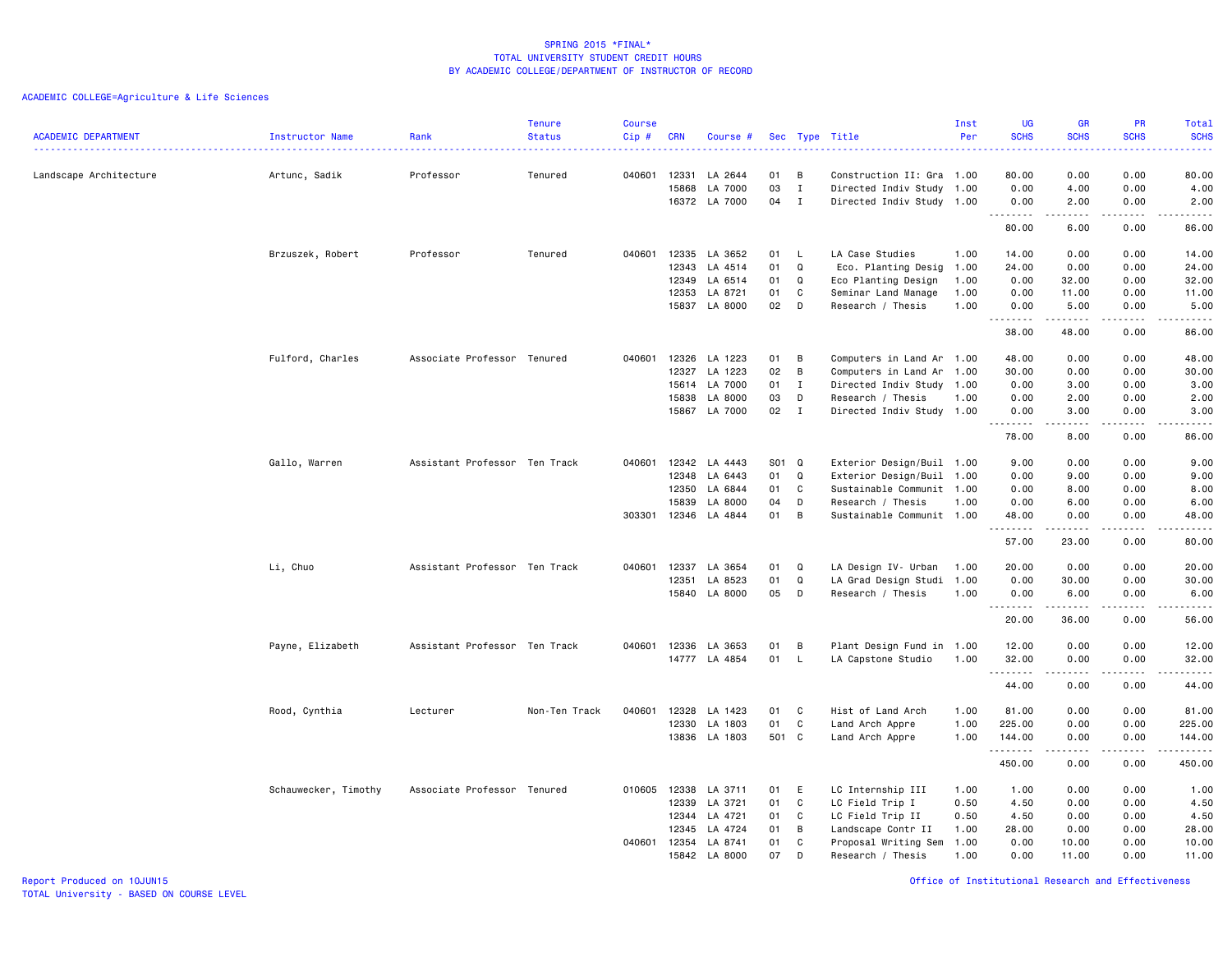| <b>ACADEMIC DEPARTMENT</b> | <b>Instructor Name</b> | Rank                          | <b>Tenure</b><br><b>Status</b> | <b>Course</b><br>$Cip \#$ | <b>CRN</b>                                | Course #                                            |                            |                                             | Sec Type Title                                                                                                                        | Inst<br>Per          | <b>UG</b><br><b>SCHS</b>               | <b>GR</b><br><b>SCHS</b>             | PR<br><b>SCHS</b><br>2222.           | Total<br><b>SCHS</b><br>$\omega = \omega = \omega$                                                                                                            |
|----------------------------|------------------------|-------------------------------|--------------------------------|---------------------------|-------------------------------------------|-----------------------------------------------------|----------------------------|---------------------------------------------|---------------------------------------------------------------------------------------------------------------------------------------|----------------------|----------------------------------------|--------------------------------------|--------------------------------------|---------------------------------------------------------------------------------------------------------------------------------------------------------------|
| Landscape Architecture     | Artunc, Sadik          | Professor                     | Tenured                        | 040601                    | 12331<br>15868<br>16372                   | LA 2644<br>LA 7000<br>LA 7000                       | 01<br>03<br>04             | в<br>$\mathbf I$<br>I                       | Construction II: Gra 1.00<br>Directed Indiv Study 1.00<br>Directed Indiv Study 1.00                                                   |                      | 80.00<br>0.00<br>0.00                  | 0.00<br>4.00<br>2.00                 | 0.00<br>0.00<br>0.00                 | 80.00<br>4.00<br>2.00                                                                                                                                         |
|                            |                        |                               |                                |                           |                                           |                                                     |                            |                                             |                                                                                                                                       |                      | .<br>80.00                             | .<br>6.00                            | .<br>0.00                            | د د د د د<br>86.00                                                                                                                                            |
|                            | Brzuszek, Robert       | Professor                     | Tenured                        | 040601                    | 12335<br>12343<br>12349                   | LA 3652<br>LA 4514<br>LA 6514                       | 01<br>01<br>01             | L.<br>Q<br>Q                                | LA Case Studies<br>Eco. Planting Desig<br>Eco Planting Design                                                                         | 1.00<br>1.00<br>1.00 | 14.00<br>24.00<br>0.00                 | 0.00<br>0.00<br>32.00                | 0.00<br>0.00<br>0.00                 | 14.00<br>24.00<br>32.00                                                                                                                                       |
|                            |                        |                               |                                |                           | 12353                                     | LA 8721<br>15837 LA 8000                            | 01<br>02                   | C<br>D                                      | Seminar Land Manage<br>Research / Thesis                                                                                              | 1.00<br>1.00         | 0.00<br>0.00<br>.                      | 11.00<br>5.00<br>$- - - - - -$       | 0.00<br>0.00<br>.                    | 11.00<br>5.00<br>.                                                                                                                                            |
|                            |                        |                               |                                |                           |                                           |                                                     |                            |                                             |                                                                                                                                       |                      | 38.00                                  | 48.00                                | 0.00                                 | 86.00                                                                                                                                                         |
|                            | Fulford, Charles       | Associate Professor Tenured   |                                | 040601                    | 12326<br>12327<br>15614<br>15838<br>15867 | LA 1223<br>LA 1223<br>LA 7000<br>LA 8000<br>LA 7000 | 01<br>02<br>01<br>03<br>02 | В<br>В<br>$\mathbf{I}$<br>D<br>$\mathbf{I}$ | Computers in Land Ar 1.00<br>Computers in Land Ar 1.00<br>Directed Indiv Study 1.00<br>Research / Thesis<br>Directed Indiv Study 1.00 | 1.00                 | 48.00<br>30.00<br>0.00<br>0.00<br>0.00 | 0.00<br>0.00<br>3.00<br>2.00<br>3.00 | 0.00<br>0.00<br>0.00<br>0.00<br>0.00 | 48.00<br>30.00<br>3.00<br>2.00<br>3.00                                                                                                                        |
|                            |                        |                               |                                |                           |                                           |                                                     |                            |                                             |                                                                                                                                       |                      | .<br>78.00                             | .<br>8.00                            | $\omega$ is a $\omega$<br>0.00       | $- - - - -$<br>86.00                                                                                                                                          |
|                            | Gallo, Warren          | Assistant Professor Ten Track |                                | 040601                    | 12342<br>12348                            | LA 4443<br>LA 6443                                  | S01<br>01                  | Q<br>Q                                      | Exterior Design/Buil 1.00<br>Exterior Design/Buil 1.00                                                                                |                      | 9.00<br>0.00                           | 0.00<br>9.00                         | 0.00<br>0.00                         | 9.00<br>9.00                                                                                                                                                  |
|                            |                        |                               |                                | 303301                    | 12350<br>15839<br>12346                   | LA 6844<br>LA 8000<br>LA 4844                       | 01<br>04<br>01             | C<br>D<br>B                                 | Sustainable Communit 1.00<br>Research / Thesis<br>Sustainable Communit 1.00                                                           | 1.00                 | 0.00<br>0.00<br>48.00                  | 8.00<br>6.00<br>0.00                 | 0.00<br>0.00<br>0.00                 | 8.00<br>6.00<br>48.00                                                                                                                                         |
|                            |                        |                               |                                |                           |                                           |                                                     |                            |                                             |                                                                                                                                       |                      | . <b>.</b><br>57.00                    | 23.00                                | $\sim$ $\sim$ $\sim$<br>0.00         | $\sim$ $\sim$ $\sim$ $\sim$ $\sim$<br>80.00                                                                                                                   |
|                            | Li, Chuo               | Assistant Professor Ten Track |                                |                           | 040601 12337<br>12351<br>15840            | LA 3654<br>LA 8523<br>LA 8000                       | 01<br>01<br>05             | Q<br>Q<br>D                                 | LA Design IV- Urban<br>LA Grad Design Studi<br>Research / Thesis                                                                      | 1.00<br>1.00<br>1.00 | 20.00<br>0.00<br>0.00                  | 0.00<br>30.00<br>6.00                | 0.00<br>0.00<br>0.00                 | 20.00<br>30.00<br>6.00                                                                                                                                        |
|                            |                        |                               |                                |                           |                                           |                                                     |                            |                                             |                                                                                                                                       |                      | <u>.</u><br>20.00                      | 36.00                                | 0.00                                 | $\frac{1}{2} \left( \frac{1}{2} \right) \left( \frac{1}{2} \right) \left( \frac{1}{2} \right) \left( \frac{1}{2} \right) \left( \frac{1}{2} \right)$<br>56.00 |
|                            | Payne, Elizabeth       | Assistant Professor Ten Track |                                |                           | 040601 12336                              | LA 3653<br>14777 LA 4854                            | 01<br>01                   | В<br>L.                                     | Plant Design Fund in 1.00<br>LA Capstone Studio                                                                                       | 1.00                 | 12.00<br>32.00<br>.                    | 0.00<br>0.00<br>.                    | 0.00<br>0.00<br>.                    | 12.00<br>32.00<br>.                                                                                                                                           |
|                            |                        |                               |                                |                           |                                           |                                                     |                            |                                             |                                                                                                                                       |                      | 44.00                                  | 0.00                                 | 0.00                                 | 44.00                                                                                                                                                         |
|                            | Rood, Cynthia          | Lecturer                      | Non-Ten Track                  | 040601                    | 12328<br>12330                            | LA 1423<br>LA 1803<br>13836 LA 1803                 | 01<br>01<br>501 C          | C<br>C                                      | Hist of Land Arch<br>Land Arch Appre<br>Land Arch Appre                                                                               | 1.00<br>1.00<br>1.00 | 81.00<br>225.00<br>144.00              | 0.00<br>0.00<br>0.00                 | 0.00<br>0.00<br>0.00                 | 81.00<br>225.00<br>144.00                                                                                                                                     |
|                            |                        |                               |                                |                           |                                           |                                                     |                            |                                             |                                                                                                                                       |                      | .<br>450.00                            | 0.00                                 | .<br>0.00                            | .<br>450.00                                                                                                                                                   |
|                            | Schauwecker, Timothy   | Associate Professor Tenured   |                                |                           | 010605 12338<br>12339                     | LA 3711<br>LA 3721                                  | 01<br>01                   | Ε<br>C                                      | LC Internship III<br>LC Field Trip I                                                                                                  | 1.00<br>0.50         | 1.00<br>4.50                           | 0.00<br>0.00                         | 0.00<br>0.00                         | 1.00<br>4.50                                                                                                                                                  |
|                            |                        |                               |                                | 040601                    | 12344<br>12345<br>12354                   | LA 4721<br>LA 4724<br>LA 8741                       | 01<br>01<br>01             | C<br>B<br>C                                 | LC Field Trip II<br>Landscape Contr II<br>Proposal Writing Sem                                                                        | 0.50<br>1.00<br>1.00 | 4.50<br>28.00<br>0.00                  | 0.00<br>0.00<br>10.00                | 0.00<br>0.00<br>0.00                 | 4.50<br>28.00<br>10.00                                                                                                                                        |
|                            |                        |                               |                                |                           | 15842                                     | LA 8000                                             | 07                         | D                                           | Research / Thesis                                                                                                                     | 1.00                 | 0.00                                   | 11.00                                | 0.00                                 | 11.00                                                                                                                                                         |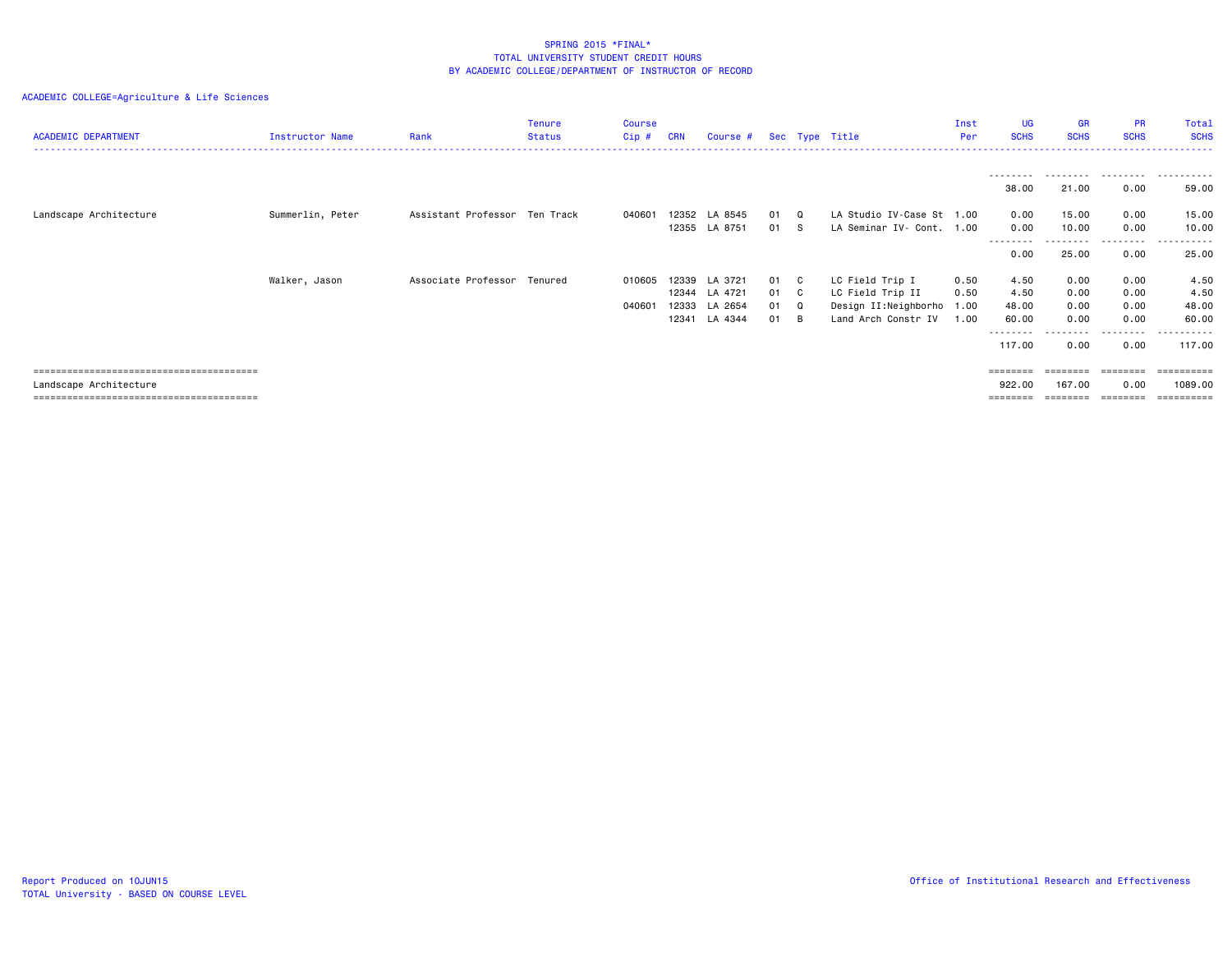| <b>ACADEMIC DEPARTMENT</b> | Instructor Name  | Rank                          | <b>Tenure</b><br>Status | <b>Course</b><br>$Cip$ # | <b>CRN</b> | Course #      |      | Sec Type Title            | Inst<br>Per | <b>UG</b><br><b>SCHS</b> | <b>GR</b><br><b>SCHS</b> | <b>PR</b><br><b>SCHS</b> | Total<br><b>SCHS</b> |
|----------------------------|------------------|-------------------------------|-------------------------|--------------------------|------------|---------------|------|---------------------------|-------------|--------------------------|--------------------------|--------------------------|----------------------|
|                            |                  |                               |                         |                          |            |               |      |                           |             |                          |                          |                          |                      |
|                            |                  |                               |                         |                          |            |               |      |                           |             | ---------<br>38.00       | .<br>21.00               | .<br>0.00                | .<br>59.00           |
| Landscape Architecture     | Summerlin, Peter | Assistant Professor Ten Track |                         | 040601                   | 12352      | LA 8545       | 01 Q | LA Studio IV-Case St 1.00 |             | 0.00                     | 15.00                    | 0.00                     | 15.00                |
|                            |                  |                               |                         |                          | 12355      | LA 8751       | 01 S | LA Seminar IV- Cont.      | 1.00        | 0.00<br>--------         | 10.00                    | 0.00<br>--------         | 10.00<br>------      |
|                            |                  |                               |                         |                          |            |               |      |                           |             | 0.00                     | 25.00                    | 0.00                     | 25.00                |
|                            | Walker, Jason    | Associate Professor Tenured   |                         | 010605                   | 12339      | LA 3721       | 01 C | LC Field Trip I           | 0.50        | 4.50                     | 0.00                     | 0.00                     | 4.50                 |
|                            |                  |                               |                         |                          |            | 12344 LA 4721 | 01 C | LC Field Trip II          | 0.50        | 4.50                     | 0.00                     | 0.00                     | 4.50                 |
|                            |                  |                               |                         | 040601                   | 12333      | LA 2654       | 01 Q | Design II:Neighborho 1.00 |             | 48.00                    | 0.00                     | 0.00                     | 48.00                |
|                            |                  |                               |                         |                          | 12341      | LA 4344       | 01 B | Land Arch Constr IV       | 1.00        | 60.00<br>--------        | 0.00                     | 0.00<br>.                | 60.00<br>------      |
|                            |                  |                               |                         |                          |            |               |      |                           |             | 117.00                   | 0.00                     | 0.00                     | 117.00               |
|                            |                  |                               |                         |                          |            |               |      |                           |             | <b>ESSESSES</b>          | $=$ = = = = = = =        |                          | ==========           |
| Landscape Architecture     |                  |                               |                         |                          |            |               |      |                           |             | 922.00                   | 167.00                   | 0.00                     | 1089.00              |
|                            |                  |                               |                         |                          |            |               |      |                           |             |                          |                          |                          |                      |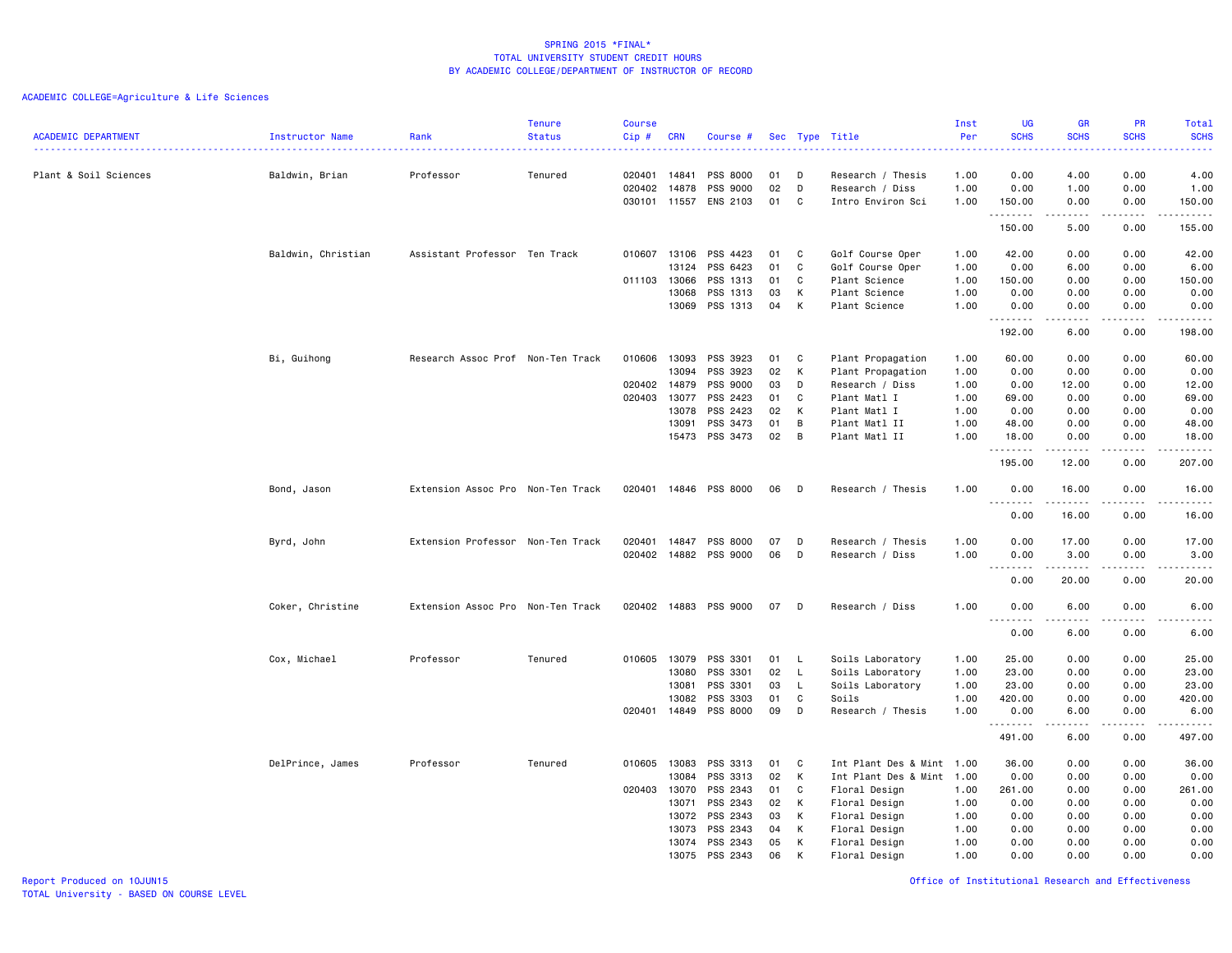| <b>ACADEMIC DEPARTMENT</b> | Instructor Name    | Rank                              | <b>Tenure</b><br><b>Status</b> | <b>Course</b><br>Cip#                  | <b>CRN</b>                                         | Course #                                                             |                                  |                            | Sec Type Title                                                                                                             | Inst<br>Per<br>.                             | <b>UG</b><br><b>SCHS</b><br>$\frac{1}{2} \left( \frac{1}{2} \right) \left( \frac{1}{2} \right) \left( \frac{1}{2} \right) \left( \frac{1}{2} \right)$ | <b>GR</b><br><b>SCHS</b>                      | PR<br><b>SCHS</b><br>2222.                   | Total<br><b>SCHS</b><br>.                                                                                                           |
|----------------------------|--------------------|-----------------------------------|--------------------------------|----------------------------------------|----------------------------------------------------|----------------------------------------------------------------------|----------------------------------|----------------------------|----------------------------------------------------------------------------------------------------------------------------|----------------------------------------------|-------------------------------------------------------------------------------------------------------------------------------------------------------|-----------------------------------------------|----------------------------------------------|-------------------------------------------------------------------------------------------------------------------------------------|
| Plant & Soil Sciences      | Baldwin, Brian     | Professor                         | Tenured                        | 020401 14841<br>020402<br>030101 11557 | 14878                                              | PSS 8000<br>PSS 9000<br>ENS 2103                                     | 01<br>02<br>01                   | D<br>D<br>C                | Research / Thesis<br>Research / Diss<br>Intro Environ Sci                                                                  | 1.00<br>1.00<br>1.00                         | 0.00<br>0.00<br>150.00                                                                                                                                | 4.00<br>1.00<br>0.00                          | 0.00<br>0.00<br>0.00                         | 4.00<br>1.00<br>150.00                                                                                                              |
|                            |                    |                                   |                                |                                        |                                                    |                                                                      |                                  |                            |                                                                                                                            |                                              | .<br>150.00                                                                                                                                           | .<br>5.00                                     | $\sim$ $\sim$ $\sim$ $\sim$<br>0.00          | .<br>155.00                                                                                                                         |
|                            | Baldwin, Christian | Assistant Professor Ten Track     |                                | 010607<br>011103 13066                 | 13106<br>13124                                     | PSS 4423<br>PSS 6423<br>PSS 1313                                     | 01<br>01<br>01                   | C<br>C<br>C                | Golf Course Oper<br>Golf Course Oper<br>Plant Science                                                                      | 1.00<br>1.00<br>1.00                         | 42.00<br>0.00<br>150.00                                                                                                                               | 0.00<br>6.00<br>0.00                          | 0.00<br>0.00<br>0.00                         | 42.00<br>6.00<br>150.00                                                                                                             |
|                            |                    |                                   |                                |                                        | 13068<br>13069                                     | PSS 1313<br>PSS 1313                                                 | 03<br>04                         | к<br>К                     | Plant Science<br>Plant Science                                                                                             | 1.00<br>1.00                                 | 0.00<br>0.00<br>.                                                                                                                                     | 0.00<br>0.00<br>.                             | 0.00<br>0.00<br>.                            | 0.00<br>0.00<br>.                                                                                                                   |
|                            |                    |                                   |                                |                                        |                                                    |                                                                      |                                  |                            |                                                                                                                            |                                              | 192.00                                                                                                                                                | 6.00                                          | 0.00                                         | 198.00                                                                                                                              |
|                            | Bi, Guihong        | Research Assoc Prof Non-Ten Track |                                | 010606<br>020402<br>020403             | 13093<br>13094<br>14879<br>13077<br>13078<br>13091 | PSS 3923<br>PSS 3923<br>PSS 9000<br>PSS 2423<br>PSS 2423<br>PSS 3473 | 01<br>02<br>03<br>01<br>02<br>01 | C<br>К<br>D<br>C<br>К<br>B | Plant Propagation<br>Plant Propagation<br>Research / Diss<br>Plant Matl I<br>Plant Matl I<br>Plant Matl II                 | 1.00<br>1.00<br>1.00<br>1.00<br>1.00<br>1.00 | 60.00<br>0.00<br>0.00<br>69.00<br>0.00<br>48.00                                                                                                       | 0.00<br>0.00<br>12.00<br>0.00<br>0.00<br>0.00 | 0.00<br>0.00<br>0.00<br>0.00<br>0.00<br>0.00 | 60.00<br>0.00<br>12.00<br>69.00<br>0.00<br>48.00                                                                                    |
|                            |                    |                                   |                                |                                        | 15473                                              | PSS 3473                                                             | 02                               | B                          | Plant Matl II                                                                                                              | 1.00                                         | 18.00<br>.<br>195.00                                                                                                                                  | 0.00<br>12.00                                 | 0.00<br>$\sim$ $\sim$ $\sim$ $\sim$<br>0.00  | 18.00<br>.<br>207.00                                                                                                                |
|                            | Bond, Jason        | Extension Assoc Pro Non-Ten Track |                                | 020401                                 |                                                    | 14846 PSS 8000                                                       | 06                               | D                          | Research / Thesis                                                                                                          | 1.00                                         | 0.00                                                                                                                                                  | 16.00                                         | 0.00                                         | 16.00                                                                                                                               |
|                            |                    |                                   |                                |                                        |                                                    |                                                                      |                                  |                            |                                                                                                                            |                                              | .<br>0.00                                                                                                                                             | .<br>16.00                                    | .<br>0.00                                    | المتمالين<br>16.00                                                                                                                  |
|                            | Byrd, John         | Extension Professor Non-Ten Track |                                | 020401<br>020402                       | 14847<br>14882                                     | PSS 8000<br>PSS 9000                                                 | 07<br>06                         | D<br>D                     | Research / Thesis<br>Research / Diss                                                                                       | 1.00<br>1.00                                 | 0.00<br>0.00<br>.                                                                                                                                     | 17.00<br>3.00                                 | 0.00<br>0.00<br>.                            | 17.00<br>3.00<br>$\sim$ $\sim$ $\sim$ $\sim$ $\sim$                                                                                 |
|                            |                    |                                   |                                |                                        |                                                    |                                                                      |                                  |                            |                                                                                                                            |                                              | 0.00                                                                                                                                                  | 20.00                                         | 0.00                                         | 20.00                                                                                                                               |
|                            | Coker, Christine   | Extension Assoc Pro Non-Ten Track |                                | 020402 14883                           |                                                    | PSS 9000                                                             | 07                               | D                          | Research / Diss                                                                                                            | 1.00                                         | 0.00<br>$\sim$ $\sim$ $\sim$<br>$\sim$ $\sim$ $\sim$<br>0.00                                                                                          | 6.00<br>6.00                                  | 0.00<br>.<br>0.00                            | 6.00<br>.<br>6.00                                                                                                                   |
|                            | Cox, Michael       | Professor                         | Tenured                        | 010605                                 | 13079<br>13080                                     | PSS 3301<br>PSS 3301                                                 | 01<br>02                         | L.<br>L.                   | Soils Laboratory<br>Soils Laboratory                                                                                       | 1.00<br>1.00                                 | 25.00<br>23.00                                                                                                                                        | 0.00<br>0.00                                  | 0.00<br>0.00                                 | 25.00<br>23.00                                                                                                                      |
|                            |                    |                                   |                                | 020401                                 | 13081<br>13082<br>14849                            | PSS 3301<br>PSS 3303<br>PSS 8000                                     | 03<br>01<br>09                   | L<br>C<br>D                | Soils Laboratory<br>Soils<br>Research / Thesis                                                                             | 1.00<br>1.00<br>1.00                         | 23.00<br>420.00<br>0.00                                                                                                                               | 0.00<br>0.00<br>6.00                          | 0.00<br>0.00<br>0.00                         | 23.00<br>420.00<br>6.00                                                                                                             |
|                            |                    |                                   |                                |                                        |                                                    |                                                                      |                                  |                            |                                                                                                                            |                                              | .<br>491.00                                                                                                                                           | .<br>6.00                                     | .<br>0.00                                    | $\begin{array}{cccccccccccccc} \bullet & \bullet & \bullet & \bullet & \bullet & \bullet & \bullet & \bullet \end{array}$<br>497.00 |
|                            | DelPrince, James   | Professor                         | Tenured                        | 010605<br>020403 13070                 | 13083<br>13084<br>13071<br>13072<br>13073          | PSS 3313<br>PSS 3313<br>PSS 2343<br>PSS 2343<br>PSS 2343<br>PSS 2343 | 01<br>02<br>01<br>02<br>03<br>04 | C<br>К<br>C<br>К<br>Κ<br>K | Int Plant Des & Mint 1.00<br>Int Plant Des & Mint 1.00<br>Floral Design<br>Floral Design<br>Floral Design<br>Floral Design | 1.00<br>1.00<br>1.00<br>1.00                 | 36.00<br>0.00<br>261.00<br>0.00<br>0.00<br>0.00                                                                                                       | 0.00<br>0.00<br>0.00<br>0.00<br>0.00<br>0.00  | 0.00<br>0.00<br>0.00<br>0.00<br>0.00<br>0.00 | 36.00<br>0.00<br>261.00<br>0.00<br>0.00<br>0.00                                                                                     |
|                            |                    |                                   |                                |                                        | 13074<br>13075                                     | PSS 2343<br>PSS 2343                                                 | 05<br>06                         | К<br>K                     | Floral Design<br>Floral Design                                                                                             | 1.00<br>1.00                                 | 0.00<br>0.00                                                                                                                                          | 0.00<br>0.00                                  | 0.00<br>0.00                                 | 0.00<br>0.00                                                                                                                        |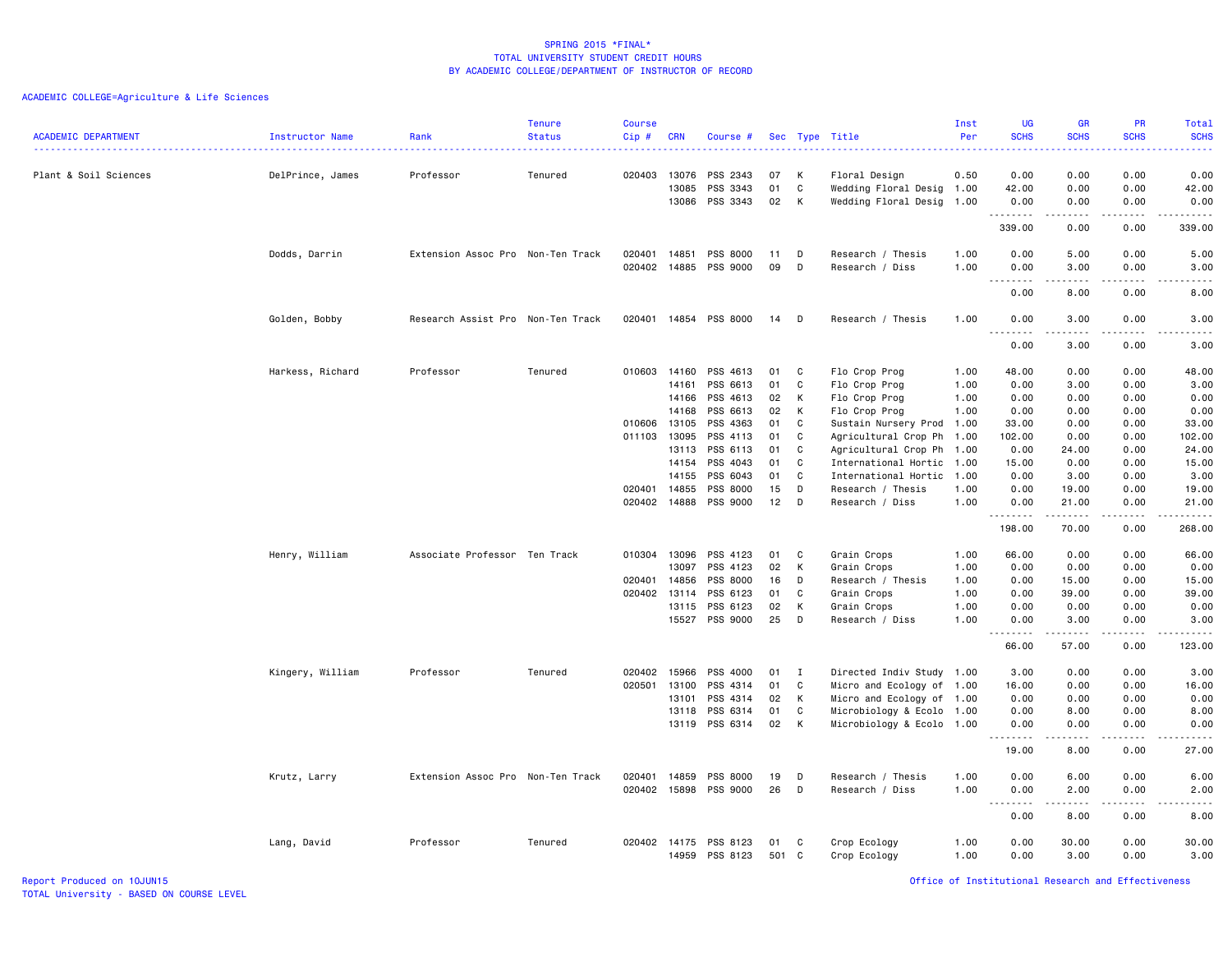|                            |                  |                                   | <b>Tenure</b> | <b>Course</b> |            |                       |     |              |                           | Inst | <b>UG</b>                                                                                                                                                         | <b>GR</b>                                                                                                                                                    | <b>PR</b>                                  | <b>Total</b>                                                                                                                             |
|----------------------------|------------------|-----------------------------------|---------------|---------------|------------|-----------------------|-----|--------------|---------------------------|------|-------------------------------------------------------------------------------------------------------------------------------------------------------------------|--------------------------------------------------------------------------------------------------------------------------------------------------------------|--------------------------------------------|------------------------------------------------------------------------------------------------------------------------------------------|
| <b>ACADEMIC DEPARTMENT</b> | Instructor Name  | Rank                              | <b>Status</b> | Cip#          | <b>CRN</b> | Course #              |     |              | Sec Type Title            | Per  | <b>SCHS</b>                                                                                                                                                       | <b>SCHS</b>                                                                                                                                                  | <b>SCHS</b><br>$\sim$ $\sim$ $\sim$ $\sim$ | <b>SCHS</b><br>$\frac{1}{2} \left( \frac{1}{2} \right) \left( \frac{1}{2} \right) \left( \frac{1}{2} \right) \left( \frac{1}{2} \right)$ |
| Plant & Soil Sciences      | DelPrince, James | Professor                         | Tenured       | 020403        | 13076      | PSS 2343              | 07  | K            | Floral Design             | 0.50 | 0.00                                                                                                                                                              | 0.00                                                                                                                                                         | 0.00                                       | 0.00                                                                                                                                     |
|                            |                  |                                   |               |               | 13085      | PSS 3343              | 01  | C            | Wedding Floral Desig 1.00 |      | 42.00                                                                                                                                                             | 0.00                                                                                                                                                         | 0.00                                       | 42.00                                                                                                                                    |
|                            |                  |                                   |               |               | 13086      | PSS 3343              | 02  | K            | Wedding Floral Desig 1.00 |      | 0.00                                                                                                                                                              | 0.00                                                                                                                                                         | 0.00                                       | 0.00                                                                                                                                     |
|                            |                  |                                   |               |               |            |                       |     |              |                           |      | --------                                                                                                                                                          | $\frac{1}{2} \left( \frac{1}{2} \right) \left( \frac{1}{2} \right) \left( \frac{1}{2} \right) \left( \frac{1}{2} \right) \left( \frac{1}{2} \right)$         | .                                          | .                                                                                                                                        |
|                            |                  |                                   |               |               |            |                       |     |              |                           |      | 339.00                                                                                                                                                            | 0.00                                                                                                                                                         | 0.00                                       | 339.00                                                                                                                                   |
|                            | Dodds, Darrin    | Extension Assoc Pro Non-Ten Track |               | 020401        | 14851      | PSS 8000              | 11  | D            | Research / Thesis         | 1.00 | 0.00                                                                                                                                                              | 5.00                                                                                                                                                         | 0.00                                       | 5.00                                                                                                                                     |
|                            |                  |                                   |               | 020402        | 14885      | PSS 9000              | 09  | D            | Research / Diss           | 1.00 | 0.00<br>$\sim$ $\sim$<br>$\sim$ $\sim$ $\sim$ $\sim$ $\sim$                                                                                                       | 3.00<br>.                                                                                                                                                    | 0.00<br>د د د د                            | 3.00<br>.                                                                                                                                |
|                            |                  |                                   |               |               |            |                       |     |              |                           |      | 0.00                                                                                                                                                              | 8.00                                                                                                                                                         | 0.00                                       | 8.00                                                                                                                                     |
|                            | Golden, Bobby    | Research Assist Pro Non-Ten Track |               |               |            | 020401 14854 PSS 8000 | 14  | D            | Research / Thesis         | 1.00 | 0.00<br>$\sim$ $\sim$ $\sim$<br>.                                                                                                                                 | 3.00<br>.                                                                                                                                                    | 0.00<br>.                                  | 3.00<br>.                                                                                                                                |
|                            |                  |                                   |               |               |            |                       |     |              |                           |      | 0.00                                                                                                                                                              | 3.00                                                                                                                                                         | 0.00                                       | 3.00                                                                                                                                     |
|                            | Harkess, Richard | Professor                         | Tenured       | 010603 14160  |            | PSS 4613              | 01  | C            | Flo Crop Prog             | 1.00 | 48.00                                                                                                                                                             | 0.00                                                                                                                                                         | 0.00                                       | 48.00                                                                                                                                    |
|                            |                  |                                   |               |               | 14161      | PSS 6613              | 01  | C            | Flo Crop Prog             | 1.00 | 0.00                                                                                                                                                              | 3.00                                                                                                                                                         | 0.00                                       | 3.00                                                                                                                                     |
|                            |                  |                                   |               |               | 14166      | PSS 4613              | 02  | K            | Flo Crop Prog             | 1.00 | 0.00                                                                                                                                                              | 0.00                                                                                                                                                         | 0.00                                       | 0.00                                                                                                                                     |
|                            |                  |                                   |               |               | 14168      | PSS 6613              | 02  | K            | Flo Crop Prog             | 1.00 | 0.00                                                                                                                                                              | 0.00                                                                                                                                                         | 0.00                                       | 0.00                                                                                                                                     |
|                            |                  |                                   |               | 010606        | 13105      | PSS 4363              | 01  | C            | Sustain Nursery Prod 1.00 |      | 33.00                                                                                                                                                             | 0.00                                                                                                                                                         | 0.00                                       | 33.00                                                                                                                                    |
|                            |                  |                                   |               | 011103        | 13095      | PSS 4113              | 01  | C            | Agricultural Crop Ph 1.00 |      | 102.00                                                                                                                                                            | 0.00                                                                                                                                                         | 0.00                                       | 102.00                                                                                                                                   |
|                            |                  |                                   |               |               | 13113      | PSS 6113              | 01  | C            | Agricultural Crop Ph 1.00 |      | 0.00                                                                                                                                                              | 24.00                                                                                                                                                        | 0.00                                       | 24.00                                                                                                                                    |
|                            |                  |                                   |               |               | 14154      | PSS 4043              | 01  | C            | International Hortic 1.00 |      | 15.00                                                                                                                                                             | 0.00                                                                                                                                                         | 0.00                                       | 15.00                                                                                                                                    |
|                            |                  |                                   |               |               | 14155      | PSS 6043              | 01  | C.           | International Hortic      | 1.00 | 0.00                                                                                                                                                              | 3.00                                                                                                                                                         | 0.00                                       | 3.00                                                                                                                                     |
|                            |                  |                                   |               | 020401 14855  |            | PSS 8000              | 15  | D            | Research / Thesis         | 1.00 | 0.00                                                                                                                                                              | 19.00                                                                                                                                                        | 0.00                                       | 19.00                                                                                                                                    |
|                            |                  |                                   |               | 020402        | 14888      | PSS 9000              | 12  | D            | Research / Diss           | 1.00 | 0.00<br>.                                                                                                                                                         | 21.00<br>.                                                                                                                                                   | 0.00<br>.                                  | 21.00<br>.                                                                                                                               |
|                            |                  |                                   |               |               |            |                       |     |              |                           |      | 198.00                                                                                                                                                            | 70.00                                                                                                                                                        | 0.00                                       | 268.00                                                                                                                                   |
|                            | Henry, William   | Associate Professor Ten Track     |               | 010304        | 13096      | PSS 4123              | 01  | C            | Grain Crops               | 1.00 | 66.00                                                                                                                                                             | 0.00                                                                                                                                                         | 0.00                                       | 66.00                                                                                                                                    |
|                            |                  |                                   |               |               | 13097      | PSS 4123              | 02  | К            | Grain Crops               | 1.00 | 0.00                                                                                                                                                              | 0.00                                                                                                                                                         | 0.00                                       | 0.00                                                                                                                                     |
|                            |                  |                                   |               | 020401 14856  |            | PSS 8000              | 16  | D            | Research / Thesis         | 1.00 | 0.00                                                                                                                                                              | 15.00                                                                                                                                                        | 0.00                                       | 15.00                                                                                                                                    |
|                            |                  |                                   |               | 020402 13114  |            | PSS 6123              | 01  | C            | Grain Crops               | 1.00 | 0.00                                                                                                                                                              | 39.00                                                                                                                                                        | 0.00                                       | 39.00                                                                                                                                    |
|                            |                  |                                   |               |               | 13115      | PSS 6123              | 02  | K            | Grain Crops               | 1.00 | 0.00                                                                                                                                                              | 0.00                                                                                                                                                         | 0.00                                       | 0.00                                                                                                                                     |
|                            |                  |                                   |               |               |            | 15527 PSS 9000        | 25  | D            | Research / Diss           | 1.00 | 0.00<br>$\frac{1}{2} \left( \frac{1}{2} \right) \left( \frac{1}{2} \right) \left( \frac{1}{2} \right) \left( \frac{1}{2} \right) \left( \frac{1}{2} \right)$      | 3.00<br>$\frac{1}{2} \left( \frac{1}{2} \right) \left( \frac{1}{2} \right) \left( \frac{1}{2} \right) \left( \frac{1}{2} \right) \left( \frac{1}{2} \right)$ | 0.00<br>د د د د                            | 3.00<br>.                                                                                                                                |
|                            |                  |                                   |               |               |            |                       |     |              |                           |      | 66.00                                                                                                                                                             | 57.00                                                                                                                                                        | 0.00                                       | 123.00                                                                                                                                   |
|                            | Kingery, William | Professor                         | Tenured       | 020402        | 15966      | PSS 4000              | 01  | $\mathbf{I}$ | Directed Indiv Study 1.00 |      | 3.00                                                                                                                                                              | 0.00                                                                                                                                                         | 0.00                                       | 3.00                                                                                                                                     |
|                            |                  |                                   |               | 020501        | 13100      | PSS 4314              | 01  | C            | Micro and Ecology of 1.00 |      | 16.00                                                                                                                                                             | 0.00                                                                                                                                                         | 0.00                                       | 16.00                                                                                                                                    |
|                            |                  |                                   |               |               | 13101      | PSS 4314              | 02  | K            | Micro and Ecology of 1.00 |      | 0.00                                                                                                                                                              | 0.00                                                                                                                                                         | 0.00                                       | 0.00                                                                                                                                     |
|                            |                  |                                   |               |               | 13118      | PSS 6314              | 01  | C            | Microbiology & Ecolo 1.00 |      | 0.00                                                                                                                                                              | 8.00                                                                                                                                                         | 0.00                                       | 8.00                                                                                                                                     |
|                            |                  |                                   |               |               | 13119      | PSS 6314              | 02  | K            | Microbiology & Ecolo 1.00 |      | 0.00<br>$\frac{1}{2} \left( \frac{1}{2} \right) \left( \frac{1}{2} \right) \left( \frac{1}{2} \right) \left( \frac{1}{2} \right) \left( \frac{1}{2} \right)$<br>. | 0.00<br>.                                                                                                                                                    | 0.00<br>$- - -$                            | 0.00<br>$- - - - -$                                                                                                                      |
|                            |                  |                                   |               |               |            |                       |     |              |                           |      | 19.00                                                                                                                                                             | 8.00                                                                                                                                                         | 0.00                                       | 27.00                                                                                                                                    |
|                            | Krutz, Larry     | Extension Assoc Pro Non-Ten Track |               | 020401        | 14859      | PSS 8000              | 19  | D            | Research / Thesis         | 1.00 | 0.00                                                                                                                                                              | 6.00                                                                                                                                                         | 0.00                                       | 6.00                                                                                                                                     |
|                            |                  |                                   |               | 020402        | 15898      | PSS 9000              | 26  | D            | Research / Diss           | 1.00 | 0.00                                                                                                                                                              | 2.00                                                                                                                                                         | 0.00                                       | 2.00                                                                                                                                     |
|                            |                  |                                   |               |               |            |                       |     |              |                           |      | $\sim$ $\sim$ $\sim$<br>.<br>0.00                                                                                                                                 | .<br>8.00                                                                                                                                                    | $\sim$ $\sim$ $\sim$ $\sim$<br>0.00        | .<br>8.00                                                                                                                                |
|                            | Lang, David      | Professor                         | Tenured       | 020402 14175  |            | PSS 8123              | 01  | C            | Crop Ecology              | 1.00 | 0.00                                                                                                                                                              | 30.00                                                                                                                                                        | 0.00                                       | 30.00                                                                                                                                    |
|                            |                  |                                   |               |               | 14959      | PSS 8123              | 501 | C            | Crop Ecology              | 1.00 | 0.00                                                                                                                                                              | 3.00                                                                                                                                                         | 0.00                                       | 3.00                                                                                                                                     |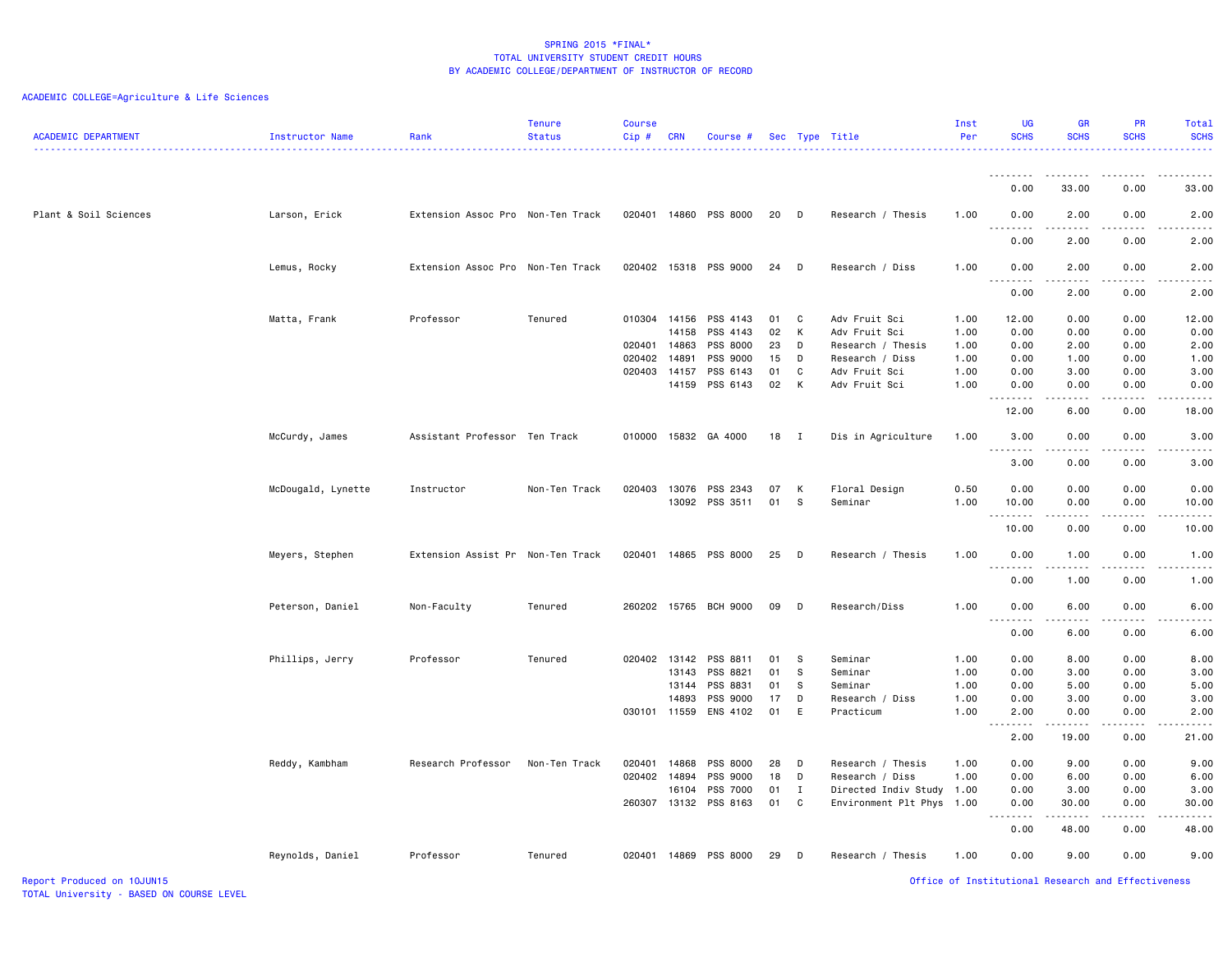# ACADEMIC COLLEGE=Agriculture & Life Sciences

| <b>ACADEMIC DEPARTMENT</b> | Instructor Name    | Rank                              | <b>Tenure</b><br><b>Status</b> | <b>Course</b><br>Cip# | <b>CRN</b> | Course #              |          |              | Sec Type Title                 | Inst<br>Per  | <b>UG</b><br><b>SCHS</b>                             | <b>GR</b><br><b>SCHS</b>                                                                                                                                     | <b>PR</b><br><b>SCHS</b> | Total<br><b>SCHS</b> |
|----------------------------|--------------------|-----------------------------------|--------------------------------|-----------------------|------------|-----------------------|----------|--------------|--------------------------------|--------------|------------------------------------------------------|--------------------------------------------------------------------------------------------------------------------------------------------------------------|--------------------------|----------------------|
|                            |                    |                                   |                                |                       |            |                       |          |              |                                |              | <b></b>                                              | . <b>.</b>                                                                                                                                                   | -----                    | .                    |
|                            |                    |                                   |                                |                       |            |                       |          |              |                                |              | 0.00                                                 | 33.00                                                                                                                                                        | 0.00                     | 33.00                |
| Plant & Soil Sciences      | Larson, Erick      | Extension Assoc Pro Non-Ten Track |                                | 020401                |            | 14860 PSS 8000        | 20       | D            | Research / Thesis              | 1.00         | 0.00<br>$\sim$ $\sim$<br>$\sim$ $\sim$ $\sim$ $\sim$ | 2.00                                                                                                                                                         | 0.00                     | 2.00                 |
|                            |                    |                                   |                                |                       |            |                       |          |              |                                |              | 0.00                                                 | 2.00                                                                                                                                                         | 0.00                     | 2.00                 |
|                            | Lemus, Rocky       | Extension Assoc Pro Non-Ten Track |                                |                       |            | 020402 15318 PSS 9000 | 24       | D            | Research / Diss                | 1.00         | 0.00                                                 | 2.00                                                                                                                                                         | 0.00                     | 2.00                 |
|                            |                    |                                   |                                |                       |            |                       |          |              |                                |              | 0.00                                                 | 2.00                                                                                                                                                         | 0.00                     | 2.00                 |
|                            | Matta, Frank       | Professor                         | Tenured                        | 010304 14156          | 14158      | PSS 4143<br>PSS 4143  | 01<br>02 | C<br>K       | Adv Fruit Sci<br>Adv Fruit Sci | 1.00<br>1.00 | 12.00<br>0.00                                        | 0.00<br>0.00                                                                                                                                                 | 0.00<br>0.00             | 12.00<br>0.00        |
|                            |                    |                                   |                                | 020401 14863          |            | PSS 8000              | 23       | D            | Research / Thesis              | 1.00         | 0.00                                                 | 2.00                                                                                                                                                         | 0.00                     | 2.00                 |
|                            |                    |                                   |                                |                       |            |                       |          |              |                                |              |                                                      |                                                                                                                                                              |                          |                      |
|                            |                    |                                   |                                | 020402                | 14891      | PSS 9000              | 15       | D            | Research / Diss                | 1.00         | 0.00                                                 | 1.00                                                                                                                                                         | 0.00                     | 1.00                 |
|                            |                    |                                   |                                | 020403 14157          |            | PSS 6143              | 01       | C            | Adv Fruit Sci                  | 1.00         | 0.00                                                 | 3.00                                                                                                                                                         | 0.00                     | 3.00                 |
|                            |                    |                                   |                                |                       | 14159      | PSS 6143              | 02       | К            | Adv Fruit Sci                  | 1.00         | 0.00                                                 | 0.00<br>$\frac{1}{2} \left( \frac{1}{2} \right) \left( \frac{1}{2} \right) \left( \frac{1}{2} \right) \left( \frac{1}{2} \right) \left( \frac{1}{2} \right)$ | 0.00<br>.                | 0.00<br>د د د د د    |
|                            |                    |                                   |                                |                       |            |                       |          |              |                                |              | 12.00                                                | 6.00                                                                                                                                                         | 0.00                     | 18,00                |
|                            | McCurdy, James     | Assistant Professor Ten Track     |                                |                       |            | 010000 15832 GA 4000  | 18       | $\mathbf{I}$ | Dis in Agriculture             | 1.00         | 3.00<br>-----<br>$\sim$ $\sim$ $\sim$                | 0.00<br>.                                                                                                                                                    | 0.00<br>د د د د          | 3.00<br>-----        |
|                            |                    |                                   |                                |                       |            |                       |          |              |                                |              | 3.00                                                 | 0.00                                                                                                                                                         | 0.00                     | 3.00                 |
|                            | McDougald, Lynette | Instructor                        | Non-Ten Track                  | 020403                | 13076      | PSS 2343              | 07       | K            | Floral Design                  | 0.50         | 0.00                                                 | 0.00                                                                                                                                                         | 0.00                     | 0.00                 |
|                            |                    |                                   |                                |                       |            | 13092 PSS 3511        | 01       | s.           | Seminar                        | 1.00         | 10.00                                                | 0.00                                                                                                                                                         | 0.00                     | 10.00                |
|                            |                    |                                   |                                |                       |            |                       |          |              |                                |              |                                                      | $\frac{1}{2} \left( \frac{1}{2} \right) \left( \frac{1}{2} \right) \left( \frac{1}{2} \right) \left( \frac{1}{2} \right) \left( \frac{1}{2} \right)$         | $\sim$ $\sim$ $\sim$     | .                    |
|                            |                    |                                   |                                |                       |            |                       |          |              |                                |              | 10.00                                                | 0.00                                                                                                                                                         | 0.00                     | 10.00                |
|                            | Meyers, Stephen    | Extension Assist Pr Non-Ten Track |                                | 020401                |            | 14865 PSS 8000        | 25       | D            | Research / Thesis              | 1.00         | 0.00                                                 | 1.00                                                                                                                                                         | 0.00                     | 1.00                 |
|                            |                    |                                   |                                |                       |            |                       |          |              |                                |              | 0.00                                                 | 1.00                                                                                                                                                         | 0.00                     | 1.00                 |
|                            | Peterson, Daniel   | Non-Faculty                       | Tenured                        |                       |            | 260202 15765 BCH 9000 | 09       | D            | Research/Diss                  | 1.00         | 0.00<br>$\sim$ $\sim$<br>.                           | 6.00<br>$\frac{1}{2} \left( \frac{1}{2} \right) \left( \frac{1}{2} \right) \left( \frac{1}{2} \right) \left( \frac{1}{2} \right) \left( \frac{1}{2} \right)$ | 0.00<br>.                | 6.00<br>.            |
|                            |                    |                                   |                                |                       |            |                       |          |              |                                |              | 0.00                                                 | 6.00                                                                                                                                                         | 0.00                     | 6.00                 |
|                            | Phillips, Jerry    | Professor                         | Tenured                        | 020402 13142          |            | PSS 8811              | 01       | s            | Seminar                        | 1.00         | 0.00                                                 | 8.00                                                                                                                                                         | 0.00                     | 8.00                 |
|                            |                    |                                   |                                |                       | 13143      | PSS 8821              | 01       | -S           | Seminar                        | 1.00         | 0.00                                                 | 3.00                                                                                                                                                         | 0.00                     | 3.00                 |
|                            |                    |                                   |                                |                       | 13144      | PSS 8831              | 01       | s            | Seminar                        | 1.00         | 0.00                                                 | 5.00                                                                                                                                                         | 0.00                     | 5.00                 |
|                            |                    |                                   |                                |                       | 14893      | PSS 9000              | 17       | D            | Research / Diss                | 1.00         | 0.00                                                 | 3.00                                                                                                                                                         | 0.00                     | 3.00                 |
|                            |                    |                                   |                                | 030101 11559          |            | ENS 4102              | 01       | E            | Practicum                      | 1.00         | 2.00                                                 | 0.00                                                                                                                                                         | 0.00                     | 2.00                 |
|                            |                    |                                   |                                |                       |            |                       |          |              |                                |              |                                                      | . <b>.</b>                                                                                                                                                   | .                        | .                    |
|                            |                    |                                   |                                |                       |            |                       |          |              |                                |              | 2.00                                                 | 19.00                                                                                                                                                        | 0.00                     | 21.00                |
|                            | Reddy, Kambham     | Research Professor                | Non-Ten Track                  | 020401                | 14868      | PSS 8000              | 28       | D            | Research / Thesis              | 1.00         | 0.00                                                 | 9.00                                                                                                                                                         | 0.00                     | 9.00                 |
|                            |                    |                                   |                                | 020402 14894          |            | PSS 9000              | 18       | D            | Research / Diss                | 1.00         | 0.00                                                 | 6.00                                                                                                                                                         | 0.00                     | 6.00                 |
|                            |                    |                                   |                                |                       | 16104      | PSS 7000              | 01       | $\mathbf I$  | Directed Indiv Study 1.00      |              | 0.00                                                 | 3.00                                                                                                                                                         | 0.00                     | 3.00                 |
|                            |                    |                                   |                                | 260307                | 13132      | PSS 8163              | 01       | C            | Environment Plt Phys           | 1.00         | 0.00<br>.<br>$\frac{1}{2}$                           | 30.00<br>.                                                                                                                                                   | 0.00<br>.                | 30.00<br>.           |
|                            |                    |                                   |                                |                       |            |                       |          |              |                                |              | 0.00                                                 | 48.00                                                                                                                                                        | 0.00                     | 48.00                |
|                            | Reynolds, Daniel   | Professor                         | Tenured                        | 020401                |            | 14869 PSS 8000        | 29       | D            | Research / Thesis              | 1.00         | 0.00                                                 | 9.00                                                                                                                                                         | 0.00                     | 9.00                 |

Report Produced on 10JUN15 Office of Institutional Research and Effectiveness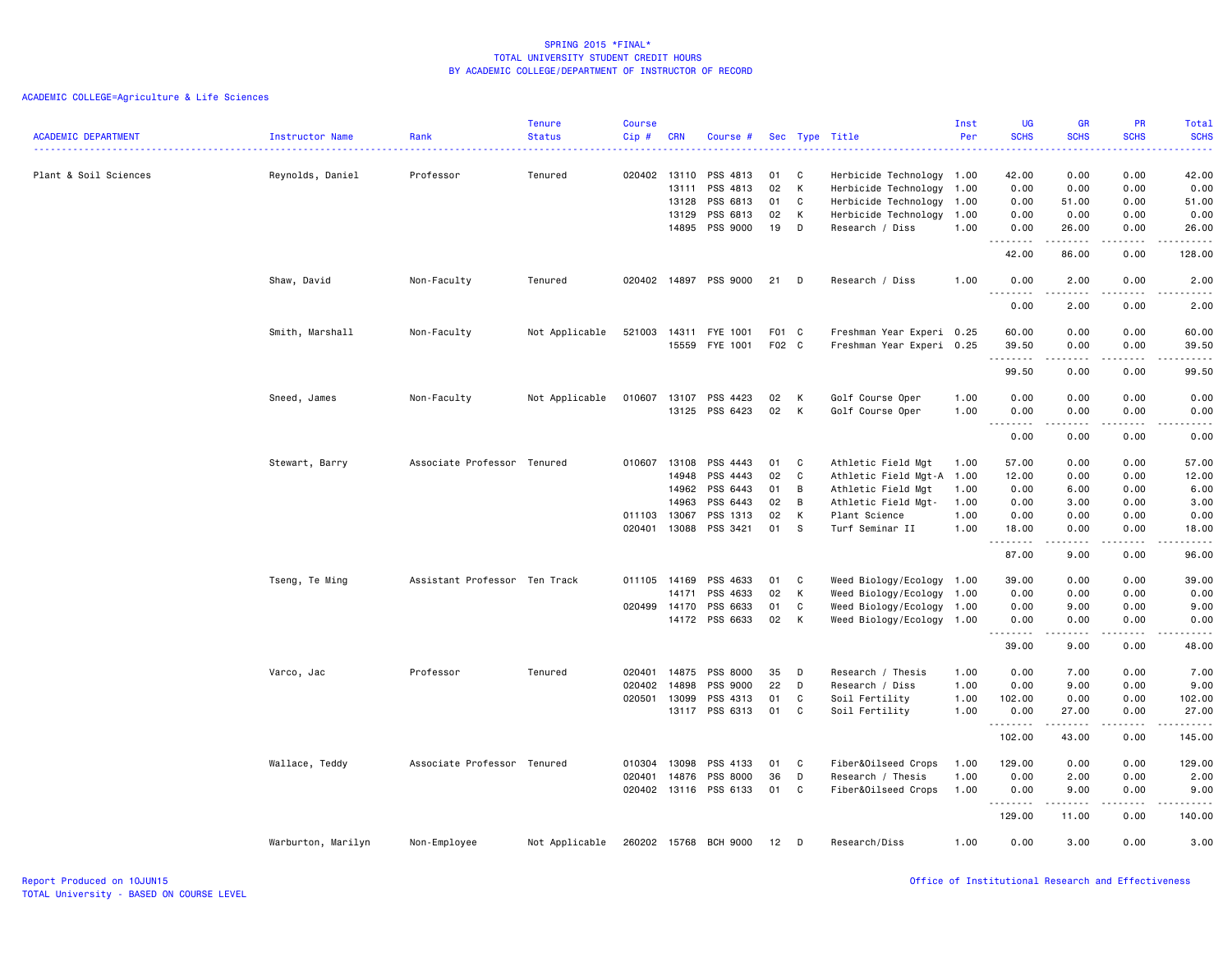|                            |                    |                               | <b>Tenure</b>  | <b>Course</b> |            |                       |       |          |                           | Inst | <b>UG</b>                                                                                                                                                         | <b>GR</b>                                                                                                                                                    | PR                                                                                                                                | Total                                                                                                                                                         |
|----------------------------|--------------------|-------------------------------|----------------|---------------|------------|-----------------------|-------|----------|---------------------------|------|-------------------------------------------------------------------------------------------------------------------------------------------------------------------|--------------------------------------------------------------------------------------------------------------------------------------------------------------|-----------------------------------------------------------------------------------------------------------------------------------|---------------------------------------------------------------------------------------------------------------------------------------------------------------|
| <b>ACADEMIC DEPARTMENT</b> | Instructor Name    | Rank                          | <b>Status</b>  | Cip#          | <b>CRN</b> | Course #              |       |          | Sec Type Title            | Per  | <b>SCHS</b>                                                                                                                                                       | <b>SCHS</b>                                                                                                                                                  | <b>SCHS</b>                                                                                                                       | <b>SCHS</b><br>.                                                                                                                                              |
| Plant & Soil Sciences      | Reynolds, Daniel   | Professor                     | Tenured        | 020402        | 13110      | PSS 4813              | 01    | C        | Herbicide Technology 1.00 |      | 42.00                                                                                                                                                             | 0.00                                                                                                                                                         | 0.00                                                                                                                              | 42.00                                                                                                                                                         |
|                            |                    |                               |                |               | 13111      | PSS 4813              | 02    | K        | Herbicide Technology 1.00 |      | 0.00                                                                                                                                                              | 0.00                                                                                                                                                         | 0.00                                                                                                                              | 0.00                                                                                                                                                          |
|                            |                    |                               |                |               | 13128      | PSS 6813              | 01    | C        | Herbicide Technology 1.00 |      | 0.00                                                                                                                                                              | 51.00                                                                                                                                                        | 0.00                                                                                                                              | 51.00                                                                                                                                                         |
|                            |                    |                               |                |               | 13129      | PSS 6813              | 02    | K        | Herbicide Technology      | 1.00 | 0.00                                                                                                                                                              | 0.00                                                                                                                                                         | 0.00                                                                                                                              | 0.00                                                                                                                                                          |
|                            |                    |                               |                |               | 14895      | PSS 9000              | 19    | D        | Research / Diss           | 1.00 | 0.00<br>$\frac{1}{2} \left( \frac{1}{2} \right) \left( \frac{1}{2} \right) \left( \frac{1}{2} \right) \left( \frac{1}{2} \right) \left( \frac{1}{2} \right)$<br>. | 26.00<br>.                                                                                                                                                   | 0.00<br>.                                                                                                                         | 26.00<br>$\frac{1}{2}$                                                                                                                                        |
|                            |                    |                               |                |               |            |                       |       |          |                           |      | 42.00                                                                                                                                                             | 86.00                                                                                                                                                        | 0.00                                                                                                                              | 128.00                                                                                                                                                        |
|                            | Shaw, David        | Non-Faculty                   | Tenured        | 020402        |            | 14897 PSS 9000        | 21    | D        | Research / Diss           | 1.00 | 0.00<br>.                                                                                                                                                         | 2.00<br>$\frac{1}{2} \left( \frac{1}{2} \right) \left( \frac{1}{2} \right) \left( \frac{1}{2} \right) \left( \frac{1}{2} \right) \left( \frac{1}{2} \right)$ | 0.00<br>المتماما                                                                                                                  | 2.00<br>$\frac{1}{2} \left( \frac{1}{2} \right) \left( \frac{1}{2} \right) \left( \frac{1}{2} \right) \left( \frac{1}{2} \right) \left( \frac{1}{2} \right)$  |
|                            |                    |                               |                |               |            |                       |       |          |                           |      | 0.00                                                                                                                                                              | 2.00                                                                                                                                                         | 0.00                                                                                                                              | 2.00                                                                                                                                                          |
|                            | Smith, Marshall    | Non-Faculty                   | Not Applicable | 521003        | 14311      | FYE 1001              | F01 C |          | Freshman Year Experi 0.25 |      | 60.00                                                                                                                                                             | 0.00                                                                                                                                                         | 0.00                                                                                                                              | 60.00                                                                                                                                                         |
|                            |                    |                               |                |               | 15559      | FYE 1001              | F02 C |          | Freshman Year Experi 0.25 |      | 39.50<br>.                                                                                                                                                        | 0.00                                                                                                                                                         | 0.00<br>$\frac{1}{2} \left( \frac{1}{2} \right) \left( \frac{1}{2} \right) \left( \frac{1}{2} \right) \left( \frac{1}{2} \right)$ | 39.50<br>$\frac{1}{2} \left( \frac{1}{2} \right) \left( \frac{1}{2} \right) \left( \frac{1}{2} \right) \left( \frac{1}{2} \right) \left( \frac{1}{2} \right)$ |
|                            |                    |                               |                |               |            |                       |       |          |                           |      | 99.50                                                                                                                                                             | 0.00                                                                                                                                                         | 0.00                                                                                                                              | 99.50                                                                                                                                                         |
|                            | Sneed, James       | Non-Faculty                   | Not Applicable | 010607        | 13107      | PSS 4423              | 02    | K        | Golf Course Oper          | 1.00 | 0.00                                                                                                                                                              | 0.00                                                                                                                                                         | 0.00                                                                                                                              | 0.00                                                                                                                                                          |
|                            |                    |                               |                |               | 13125      | PSS 6423              | 02    | K        | Golf Course Oper          | 1.00 | 0.00<br>$\sim$ $\sim$ $\sim$<br>$\sim$ $\sim$ $\sim$ $\sim$ $\sim$                                                                                                | 0.00                                                                                                                                                         | 0.00                                                                                                                              | 0.00<br>-----                                                                                                                                                 |
|                            |                    |                               |                |               |            |                       |       |          |                           |      | 0.00                                                                                                                                                              | 0.00                                                                                                                                                         | 0.00                                                                                                                              | 0.00                                                                                                                                                          |
|                            | Stewart, Barry     | Associate Professor Tenured   |                | 010607        | 13108      | PSS 4443              | 01    | C        | Athletic Field Mgt        | 1.00 | 57.00                                                                                                                                                             | 0.00                                                                                                                                                         | 0.00                                                                                                                              | 57.00                                                                                                                                                         |
|                            |                    |                               |                |               | 14948      | PSS 4443              | 02    | <b>C</b> | Athletic Field Mgt-A 1.00 |      | 12.00                                                                                                                                                             | 0.00                                                                                                                                                         | 0.00                                                                                                                              | 12.00                                                                                                                                                         |
|                            |                    |                               |                |               | 14962      | PSS 6443              | 01    | B        | Athletic Field Mgt        | 1.00 | 0.00                                                                                                                                                              | 6.00                                                                                                                                                         | 0.00                                                                                                                              | 6.00                                                                                                                                                          |
|                            |                    |                               |                |               | 14963      | PSS 6443              | 02    | B        | Athletic Field Mgt-       | 1.00 | 0.00                                                                                                                                                              | 3.00                                                                                                                                                         | 0.00                                                                                                                              | 3.00                                                                                                                                                          |
|                            |                    |                               |                | 011103        | 13067      | PSS 1313              | 02    | K        | Plant Science             | 1.00 | 0.00                                                                                                                                                              | 0.00                                                                                                                                                         | 0.00                                                                                                                              | 0.00                                                                                                                                                          |
|                            |                    |                               |                | 020401        | 13088      | PSS 3421              | 01    | <b>S</b> | Turf Seminar II           | 1.00 | 18.00<br>.                                                                                                                                                        | 0.00                                                                                                                                                         | 0.00                                                                                                                              | 18.00<br>-----                                                                                                                                                |
|                            |                    |                               |                |               |            |                       |       |          |                           |      | 87.00                                                                                                                                                             | 9.00                                                                                                                                                         | 0.00                                                                                                                              | 96.00                                                                                                                                                         |
|                            | Tseng, Te Ming     | Assistant Professor Ten Track |                | 011105        | 14169      | PSS 4633              | 01    | C        | Weed Biology/Ecology 1.00 |      | 39.00                                                                                                                                                             | 0.00                                                                                                                                                         | 0.00                                                                                                                              | 39.00                                                                                                                                                         |
|                            |                    |                               |                |               | 14171      | PSS 4633              | 02    | K        | Weed Biology/Ecology 1.00 |      | 0.00                                                                                                                                                              | 0.00                                                                                                                                                         | 0.00                                                                                                                              | 0.00                                                                                                                                                          |
|                            |                    |                               |                | 020499        | 14170      | PSS 6633              | 01    | C        | Weed Biology/Ecology 1.00 |      | 0.00                                                                                                                                                              | 9.00                                                                                                                                                         | 0.00                                                                                                                              | 9.00                                                                                                                                                          |
|                            |                    |                               |                |               |            | 14172 PSS 6633        | 02    | K        | Weed Biology/Ecology 1.00 |      | 0.00<br>.                                                                                                                                                         | 0.00<br>.                                                                                                                                                    | 0.00<br>$\sim$ $\sim$ $\sim$                                                                                                      | 0.00<br>$\frac{1}{2} \left( \frac{1}{2} \right) \left( \frac{1}{2} \right) \left( \frac{1}{2} \right) \left( \frac{1}{2} \right) \left( \frac{1}{2} \right)$  |
|                            |                    |                               |                |               |            |                       |       |          |                           |      | 39.00                                                                                                                                                             | 9.00                                                                                                                                                         | 0.00                                                                                                                              | 48.00                                                                                                                                                         |
|                            | Varco, Jac         | Professor                     | Tenured        | 020401        | 14875      | PSS 8000              | 35    | D        | Research / Thesis         | 1.00 | 0.00                                                                                                                                                              | 7.00                                                                                                                                                         | 0.00                                                                                                                              | 7.00                                                                                                                                                          |
|                            |                    |                               |                | 020402        | 14898      | PSS 9000              | 22    | D        | Research / Diss           | 1.00 | 0.00                                                                                                                                                              | 9.00                                                                                                                                                         | 0.00                                                                                                                              | 9.00                                                                                                                                                          |
|                            |                    |                               |                | 020501 13099  |            | PSS 4313              | 01    | C        | Soil Fertility            | 1.00 | 102.00                                                                                                                                                            | 0.00                                                                                                                                                         | 0.00                                                                                                                              | 102.00                                                                                                                                                        |
|                            |                    |                               |                |               |            | 13117 PSS 6313        | 01    | C        | Soil Fertility            | 1.00 | 0.00<br>.                                                                                                                                                         | 27.00<br>.                                                                                                                                                   | 0.00<br>.                                                                                                                         | 27.00                                                                                                                                                         |
|                            |                    |                               |                |               |            |                       |       |          |                           |      | 102.00                                                                                                                                                            | 43.00                                                                                                                                                        | 0.00                                                                                                                              | 145.00                                                                                                                                                        |
|                            | Wallace, Teddy     | Associate Professor Tenured   |                | 010304        | 13098      | PSS 4133              | 01    | C        | Fiber&Oilseed Crops       | 1.00 | 129.00                                                                                                                                                            | 0.00                                                                                                                                                         | 0.00                                                                                                                              | 129.00                                                                                                                                                        |
|                            |                    |                               |                | 020401        | 14876      | PSS 8000              | 36    | D        | Research / Thesis         | 1.00 | 0.00                                                                                                                                                              | 2.00                                                                                                                                                         | 0.00                                                                                                                              | 2.00                                                                                                                                                          |
|                            |                    |                               |                |               |            | 020402 13116 PSS 6133 | 01    | C        | Fiber&Oilseed Crops       | 1.00 | 0.00<br>.                                                                                                                                                         | 9.00<br>.                                                                                                                                                    | 0.00<br>.                                                                                                                         | 9.00<br>------                                                                                                                                                |
|                            |                    |                               |                |               |            |                       |       |          |                           |      | 129.00                                                                                                                                                            | 11.00                                                                                                                                                        | 0.00                                                                                                                              | 140.00                                                                                                                                                        |
|                            | Warburton, Marilyn | Non-Employee                  | Not Applicable | 260202        |            | 15768 BCH 9000        | 12    | D        | Research/Diss             | 1.00 | 0.00                                                                                                                                                              | 3.00                                                                                                                                                         | 0.00                                                                                                                              | 3.00                                                                                                                                                          |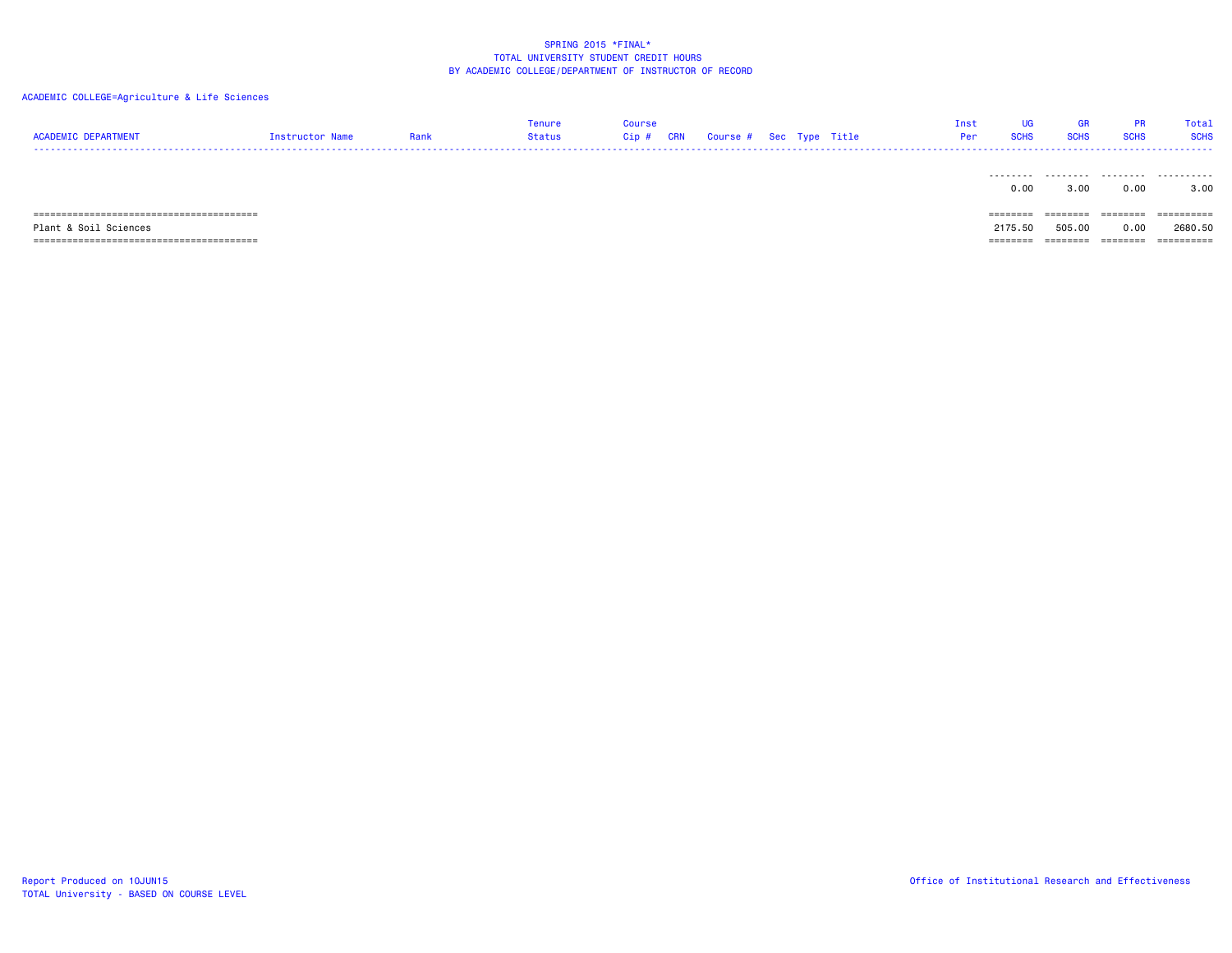| <b>ACADEMIC DEPARTMENT</b> | Instructor Name | Rank | Tenure<br>Status | Course<br>$Cip$ # | <b>CRN</b> | Course # Sec Type Title |  | Inst<br>Per | <b>UG</b><br><b>SCHS</b> | <b>GR</b><br><b>SCHS</b> | <b>PR</b><br><b>SCHS</b> | Total<br><b>SCHS</b> |
|----------------------------|-----------------|------|------------------|-------------------|------------|-------------------------|--|-------------|--------------------------|--------------------------|--------------------------|----------------------|
|                            |                 |      |                  |                   |            |                         |  |             | .<br>0.00                | 3.00                     | 0.00                     | 3.00                 |
|                            |                 |      |                  |                   |            |                         |  |             | $=$ = = = = = = =        | ========                 | ========                 | ==========           |
| Plant & Soil Sciences      |                 |      |                  |                   |            |                         |  |             | 2175.50                  | 505.00                   | 0.00                     | 2680.50              |
|                            |                 |      |                  |                   |            |                         |  |             | --------<br>--------     | ---------<br>--------    | ========                 |                      |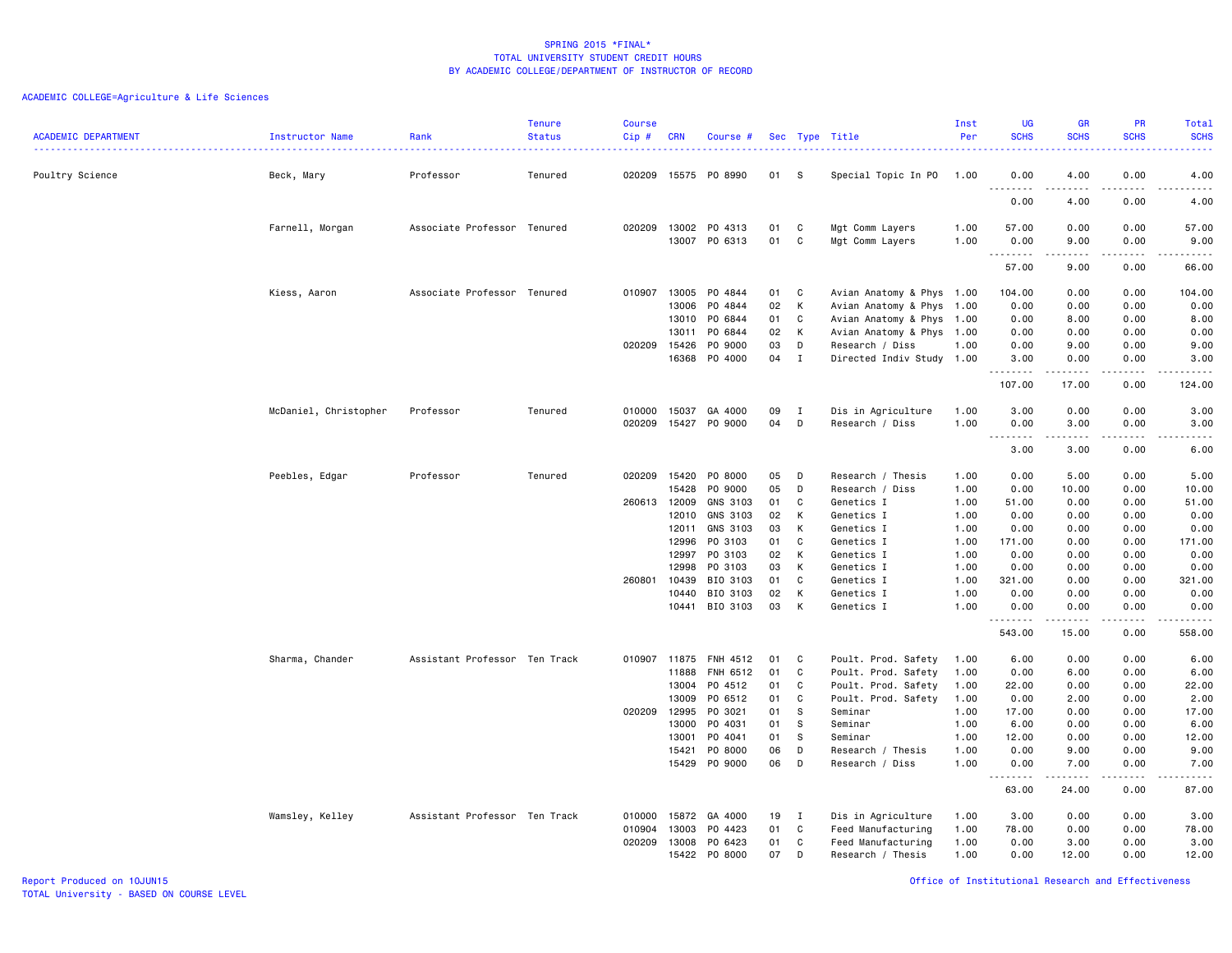| <b>ACADEMIC DEPARTMENT</b> | Instructor Name       | Rank                          | <b>Tenure</b><br><b>Status</b> | <b>Course</b><br>Cip# | <b>CRN</b>     | Course #                 |          |              | Sec Type Title                                         | Inst<br>Per  | <b>UG</b><br><b>SCHS</b> | <b>GR</b><br><b>SCHS</b>                                                                                                                                      | PR<br><b>SCHS</b>                   | Total<br><b>SCHS</b>                                                                                                                                         |
|----------------------------|-----------------------|-------------------------------|--------------------------------|-----------------------|----------------|--------------------------|----------|--------------|--------------------------------------------------------|--------------|--------------------------|---------------------------------------------------------------------------------------------------------------------------------------------------------------|-------------------------------------|--------------------------------------------------------------------------------------------------------------------------------------------------------------|
|                            |                       |                               |                                |                       |                |                          |          |              |                                                        |              |                          |                                                                                                                                                               |                                     | $\frac{1}{2} \left( \frac{1}{2} \right) \left( \frac{1}{2} \right) \left( \frac{1}{2} \right) \left( \frac{1}{2} \right)$                                    |
| Poultry Science            | Beck, Mary            | Professor                     | Tenured                        | 020209                |                | 15575 PO 8990            | 01 S     |              | Special Topic In PO                                    | 1.00         | 0.00                     | 4.00<br>$\frac{1}{2} \left( \frac{1}{2} \right) \left( \frac{1}{2} \right) \left( \frac{1}{2} \right) \left( \frac{1}{2} \right) \left( \frac{1}{2} \right)$  | 0.00<br>$\sim$ $\sim$ $\sim$ $\sim$ | 4.00<br>$\frac{1}{2} \left( \frac{1}{2} \right) \left( \frac{1}{2} \right) \left( \frac{1}{2} \right) \left( \frac{1}{2} \right) \left( \frac{1}{2} \right)$ |
|                            |                       |                               |                                |                       |                |                          |          |              |                                                        |              | 0.00                     | 4.00                                                                                                                                                          | 0.00                                | 4.00                                                                                                                                                         |
|                            | Farnell, Morgan       | Associate Professor Tenured   |                                | 020209                | 13002          | PO 4313                  | 01       | C            | Mgt Comm Layers                                        | 1.00         | 57.00                    | 0.00                                                                                                                                                          | 0.00                                | 57.00                                                                                                                                                        |
|                            |                       |                               |                                |                       |                | 13007 PO 6313            | 01       | C            | Mgt Comm Layers                                        | 1.00         | 0.00<br>.                | 9.00<br>$\frac{1}{2} \left( \frac{1}{2} \right) \left( \frac{1}{2} \right) \left( \frac{1}{2} \right) \left( \frac{1}{2} \right) \left( \frac{1}{2} \right)$  | 0.00<br>الأعامات                    | 9.00<br>$\frac{1}{2} \left( \frac{1}{2} \right) \left( \frac{1}{2} \right) \left( \frac{1}{2} \right) \left( \frac{1}{2} \right) \left( \frac{1}{2} \right)$ |
|                            |                       |                               |                                |                       |                |                          |          |              |                                                        |              | 57.00                    | 9.00                                                                                                                                                          | 0.00                                | 66.00                                                                                                                                                        |
|                            | Kiess, Aaron          | Associate Professor Tenured   |                                | 010907                | 13005          | P0 4844                  | 01       | C            | Avian Anatomy & Phys 1.00                              |              | 104.00                   | 0.00                                                                                                                                                          | 0.00                                | 104.00                                                                                                                                                       |
|                            |                       |                               |                                |                       | 13006          | P0 4844                  | 02       | K            | Avian Anatomy & Phys 1.00                              |              | 0.00                     | 0.00                                                                                                                                                          | 0.00                                | 0.00                                                                                                                                                         |
|                            |                       |                               |                                |                       | 13010<br>13011 | PO 6844<br>PO 6844       | 01<br>02 | C<br>K       | Avian Anatomy & Phys 1.00<br>Avian Anatomy & Phys 1.00 |              | 0.00<br>0.00             | 8.00<br>0.00                                                                                                                                                  | 0.00<br>0.00                        | 8.00<br>0.00                                                                                                                                                 |
|                            |                       |                               |                                | 020209                | 15426          | PO 9000                  | 03       | D            | Research / Diss                                        | 1.00         | 0.00                     | 9.00                                                                                                                                                          | 0.00                                | 9.00                                                                                                                                                         |
|                            |                       |                               |                                |                       | 16368          | PO 4000                  | 04       | $\mathbf I$  | Directed Indiv Study 1.00                              |              | 3.00                     | 0.00                                                                                                                                                          | 0.00                                | 3.00                                                                                                                                                         |
|                            |                       |                               |                                |                       |                |                          |          |              |                                                        |              | .<br>107.00              | .<br>17.00                                                                                                                                                    | .<br>0.00                           | .<br>124.00                                                                                                                                                  |
|                            | McDaniel, Christopher | Professor                     | Tenured                        | 010000                | 15037          | GA 4000                  | 09       | $\mathbf{I}$ | Dis in Agriculture                                     | 1.00         | 3.00                     | 0.00                                                                                                                                                          | 0.00                                | 3.00                                                                                                                                                         |
|                            |                       |                               |                                | 020209                |                | 15427 PO 9000            | 04       | D            | Research / Diss                                        | 1.00         | 0.00                     | 3.00                                                                                                                                                          | 0.00                                | 3.00                                                                                                                                                         |
|                            |                       |                               |                                |                       |                |                          |          |              |                                                        |              | .<br>3.00                | $\frac{1}{2} \left( \frac{1}{2} \right) \left( \frac{1}{2} \right) \left( \frac{1}{2} \right) \left( \frac{1}{2} \right) \left( \frac{1}{2} \right)$<br>3.00  | .<br>0.00                           | $\frac{1}{2} \left( \frac{1}{2} \right) \left( \frac{1}{2} \right) \left( \frac{1}{2} \right) \left( \frac{1}{2} \right) \left( \frac{1}{2} \right)$<br>6.00 |
|                            | Peebles, Edgar        | Professor                     | Tenured                        | 020209                | 15420          | PO 8000                  | 05       | D            | Research / Thesis                                      | 1.00         | 0.00                     | 5.00                                                                                                                                                          | 0.00                                | 5.00                                                                                                                                                         |
|                            |                       |                               |                                |                       | 15428          | PO 9000                  | 05       | D            | Research / Diss                                        | 1.00         | 0.00                     | 10.00                                                                                                                                                         | 0.00                                | 10.00                                                                                                                                                        |
|                            |                       |                               |                                | 260613                | 12009          | GNS 3103                 | 01       | C            | Genetics I                                             | 1.00         | 51.00                    | 0.00                                                                                                                                                          | 0.00                                | 51.00                                                                                                                                                        |
|                            |                       |                               |                                |                       | 12010          | GNS 3103                 | 02       | K            | Genetics I                                             | 1.00         | 0.00                     | 0.00                                                                                                                                                          | 0.00                                | 0.00                                                                                                                                                         |
|                            |                       |                               |                                |                       | 12011          | GNS 3103                 | 03       | K            | Genetics I                                             | 1.00         | 0.00                     | 0.00                                                                                                                                                          | 0.00                                | 0.00                                                                                                                                                         |
|                            |                       |                               |                                |                       | 12996          | PO 3103                  | 01       | C            | Genetics I                                             | 1.00         | 171.00                   | 0.00                                                                                                                                                          | 0.00                                | 171.00                                                                                                                                                       |
|                            |                       |                               |                                |                       | 12997<br>12998 | PO 3103<br>PO 3103       | 02       | K<br>K       | Genetics I<br>Genetics I                               | 1.00<br>1.00 | 0.00                     | 0.00<br>0.00                                                                                                                                                  | 0.00                                | 0.00<br>0.00                                                                                                                                                 |
|                            |                       |                               |                                | 260801                | 10439          | BIO 3103                 | 03<br>01 | C            | Genetics I                                             | 1.00         | 0.00<br>321.00           | 0.00                                                                                                                                                          | 0.00<br>0.00                        | 321.00                                                                                                                                                       |
|                            |                       |                               |                                |                       | 10440          | BIO 3103                 | 02       | K            | Genetics I                                             | 1.00         | 0.00                     | 0.00                                                                                                                                                          | 0.00                                | 0.00                                                                                                                                                         |
|                            |                       |                               |                                |                       |                | 10441 BIO 3103           | 03       | К            | Genetics I                                             | 1.00         | 0.00                     | 0.00                                                                                                                                                          | 0.00                                | 0.00                                                                                                                                                         |
|                            |                       |                               |                                |                       |                |                          |          |              |                                                        |              | .<br>543.00              | $\frac{1}{2} \left( \frac{1}{2} \right) \left( \frac{1}{2} \right) \left( \frac{1}{2} \right) \left( \frac{1}{2} \right) \left( \frac{1}{2} \right)$<br>15.00 | $\sim$ $\sim$ $\sim$<br>0.00        | .<br>558.00                                                                                                                                                  |
|                            | Sharma, Chander       | Assistant Professor Ten Track |                                | 010907                | 11875          | FNH 4512                 | 01       | C            | Poult. Prod. Safety                                    | 1.00         | 6.00                     | 0.00                                                                                                                                                          | 0.00                                | 6.00                                                                                                                                                         |
|                            |                       |                               |                                |                       | 11888          | FNH 6512                 | 01       | C            | Poult. Prod. Safety                                    | 1.00         | 0.00                     | 6.00                                                                                                                                                          | 0.00                                | 6.00                                                                                                                                                         |
|                            |                       |                               |                                |                       |                | 13004 PO 4512            | 01       | C            | Poult. Prod. Safety                                    | 1.00         | 22.00                    | 0.00                                                                                                                                                          | 0.00                                | 22.00                                                                                                                                                        |
|                            |                       |                               |                                |                       | 13009          | PO 6512                  | 01       | C            | Poult. Prod. Safety                                    | 1.00         | 0.00                     | 2.00                                                                                                                                                          | 0.00                                | 2.00                                                                                                                                                         |
|                            |                       |                               |                                | 020209                | 12995          | PO 3021                  | 01       | - S          | Seminar                                                | 1.00         | 17.00                    | 0.00                                                                                                                                                          | 0.00                                | 17.00                                                                                                                                                        |
|                            |                       |                               |                                |                       | 13000          | PO 4031                  | 01       | <b>S</b>     | Seminar                                                | 1.00         | 6.00                     | 0.00                                                                                                                                                          | 0.00                                | 6.00                                                                                                                                                         |
|                            |                       |                               |                                |                       | 13001<br>15421 | P0 4041<br>PO 8000       | 01       | s<br>D       | Seminar                                                | 1.00<br>1.00 | 12.00<br>0.00            | 0.00                                                                                                                                                          | 0.00<br>0.00                        | 12.00                                                                                                                                                        |
|                            |                       |                               |                                |                       |                | 15429 PO 9000            | 06<br>06 | D            | Research / Thesis<br>Research / Diss                   | 1.00         | 0.00                     | 9.00<br>7.00                                                                                                                                                  | 0.00                                | 9.00<br>7.00                                                                                                                                                 |
|                            |                       |                               |                                |                       |                |                          |          |              |                                                        |              | .                        | $\frac{1}{2} \left( \frac{1}{2} \right) \left( \frac{1}{2} \right) \left( \frac{1}{2} \right) \left( \frac{1}{2} \right) \left( \frac{1}{2} \right)$          | د د د د                             | $-$ - - - - - $-$                                                                                                                                            |
|                            |                       |                               |                                |                       |                |                          |          |              |                                                        |              | 63.00                    | 24.00                                                                                                                                                         | 0.00                                | 87.00                                                                                                                                                        |
|                            | Wamsley, Kelley       | Assistant Professor Ten Track |                                | 010000                | 15872          | GA 4000                  | 19       | $\mathbf{I}$ | Dis in Agriculture                                     | 1.00         | 3.00                     | 0.00                                                                                                                                                          | 0.00                                | 3.00                                                                                                                                                         |
|                            |                       |                               |                                | 010904                | 13003          | P0 4423                  | 01       | C            | Feed Manufacturing                                     | 1.00         | 78.00                    | 0.00                                                                                                                                                          | 0.00                                | 78.00                                                                                                                                                        |
|                            |                       |                               |                                | 020209                | 13008          | PO 6423<br>15422 PO 8000 | 01<br>07 | C<br>D       | Feed Manufacturing<br>Research / Thesis                | 1.00<br>1.00 | 0.00<br>0.00             | 3.00<br>12.00                                                                                                                                                 | 0.00<br>0.00                        | 3.00<br>12.00                                                                                                                                                |
|                            |                       |                               |                                |                       |                |                          |          |              |                                                        |              |                          |                                                                                                                                                               |                                     |                                                                                                                                                              |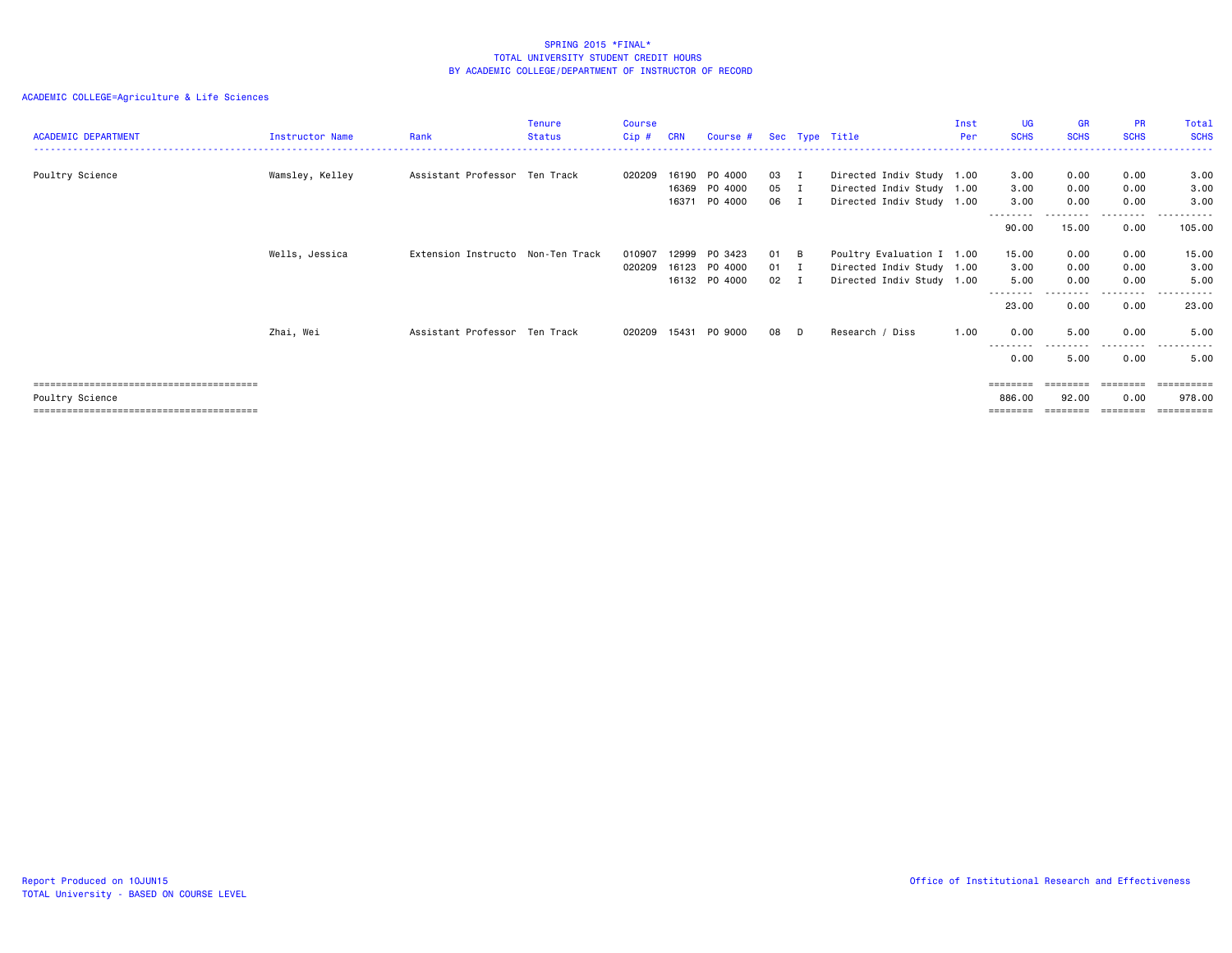| <b>ACADEMIC DEPARTMENT</b> | Instructor Name | Rank                              | <b>Tenure</b><br><b>Status</b> | <b>Course</b><br>Cip # | <b>CRN</b>              | Course #                            |                    |                    | Sec Type Title                                                                      | Inst<br>Per | <b>UG</b><br><b>SCHS</b>  | <b>GR</b><br><b>SCHS</b> | <b>PR</b><br><b>SCHS</b> | Total<br><b>SCHS</b>  |
|----------------------------|-----------------|-----------------------------------|--------------------------------|------------------------|-------------------------|-------------------------------------|--------------------|--------------------|-------------------------------------------------------------------------------------|-------------|---------------------------|--------------------------|--------------------------|-----------------------|
| Poultry Science            | Wamsley, Kelley | Assistant Professor Ten Track     |                                | 020209                 | 16190<br>16369<br>16371 | PO 4000<br>PO 4000<br>PO 4000       | 03 I<br>05<br>06   | $\mathbf I$<br>- I | Directed Indiv Study 1.00<br>Directed Indiv Study 1.00<br>Directed Indiv Study 1.00 |             | 3.00<br>3.00<br>3.00      | 0.00<br>0.00<br>0.00     | 0.00<br>0.00<br>0.00     | 3.00<br>3.00<br>3.00  |
|                            |                 |                                   |                                |                        |                         |                                     |                    |                    |                                                                                     |             | ---------<br>90.00        | .<br>15.00               | .<br>0.00                | .<br>105.00           |
|                            | Wells, Jessica  | Extension Instructo Non-Ten Track |                                | 010907<br>020209       | 12999<br>16123          | PO 3423<br>PO 4000<br>16132 PO 4000 | 01 B<br>01<br>02 I | $\mathbf I$        | Poultry Evaluation I 1.00<br>Directed Indiv Study 1.00<br>Directed Indiv Study 1.00 |             | 15.00<br>3.00<br>5.00     | 0.00<br>0.00<br>0.00     | 0.00<br>0.00<br>0.00     | 15.00<br>3.00<br>5.00 |
|                            |                 |                                   |                                |                        |                         |                                     |                    |                    |                                                                                     |             | 23.00                     | 0.00                     | -----<br>0.00            | 23.00                 |
|                            | Zhai, Wei       | Assistant Professor Ten Track     |                                | 020209                 | 15431                   | PO 9000                             | 08                 | D                  | Research / Diss                                                                     | 1.00        | 0.00<br>---------<br>0.00 | 5.00<br>.<br>5.00        | 0.00<br>.<br>0.00        | 5.00<br>.<br>5.00     |
| Poultry Science            |                 |                                   |                                |                        |                         |                                     |                    |                    |                                                                                     |             | 886.00<br>========        | 92.00<br>========        | 0.00<br>========         | 978.00                |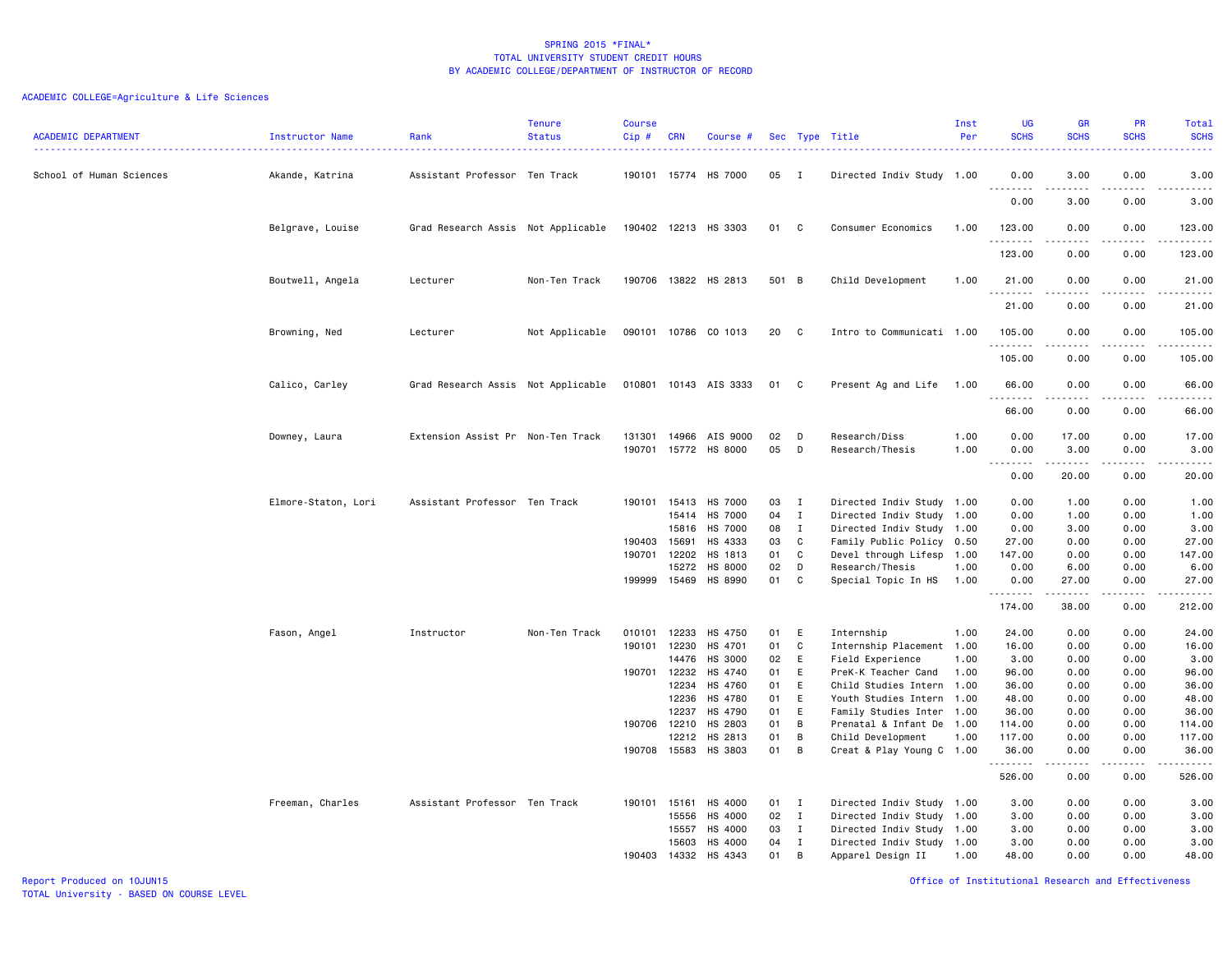| <b>ACADEMIC DEPARTMENT</b> | Instructor Name     | Rank                               | <b>Tenure</b><br><b>Status</b> | <b>Course</b><br>Cip# | <b>CRN</b>     | Course #                  |          |                             | Sec Type Title                                         | Inst<br>Per  | <b>UG</b><br><b>SCHS</b> | <b>GR</b><br><b>SCHS</b> | <b>PR</b><br><b>SCHS</b> | <b>Total</b><br><b>SCHS</b><br>. |
|----------------------------|---------------------|------------------------------------|--------------------------------|-----------------------|----------------|---------------------------|----------|-----------------------------|--------------------------------------------------------|--------------|--------------------------|--------------------------|--------------------------|----------------------------------|
| School of Human Sciences   | Akande, Katrina     | Assistant Professor Ten Track      |                                |                       | 190101 15774   | HS 7000                   | 05       | $\mathbf{I}$                | Directed Indiv Study 1.00                              |              | 0.00<br>.                | 3.00                     | 0.00                     | 3.00<br>.                        |
|                            |                     |                                    |                                |                       |                |                           |          |                             |                                                        |              | 0.00                     | 3.00                     | 0.00                     | 3.00                             |
|                            | Belgrave, Louise    | Grad Research Assis Not Applicable |                                |                       |                | 190402 12213 HS 3303      | 01 C     |                             | Consumer Economics                                     | 1.00         | 123.00                   | 0.00                     | 0.00                     | 123.00                           |
|                            |                     |                                    |                                |                       |                |                           |          |                             |                                                        |              | 123.00                   | 0.00                     | 0.00                     | 123.00                           |
|                            | Boutwell, Angela    | Lecturer                           | Non-Ten Track                  |                       |                | 190706 13822 HS 2813      | 501 B    |                             | Child Development                                      | 1.00         | 21.00<br>.               | 0.00<br>.                | 0.00                     | 21.00<br>.                       |
|                            |                     |                                    |                                |                       |                |                           |          |                             |                                                        |              | 21.00                    | 0.00                     | 0.00                     | 21.00                            |
|                            | Browning, Ned       | Lecturer                           | Not Applicable                 |                       |                | 090101 10786 CO 1013      | 20       | C                           | Intro to Communicati 1.00                              |              | 105.00<br>. <b>.</b>     | 0.00                     | 0.00                     | 105.00<br>.                      |
|                            |                     |                                    |                                |                       |                |                           |          |                             |                                                        |              | 105.00                   | 0.00                     | 0.00                     | 105.00                           |
|                            | Calico, Carley      | Grad Research Assis Not Applicable |                                |                       |                | 010801 10143 AIS 3333     | 01 C     |                             | Present Ag and Life                                    | 1.00         | 66.00                    | 0.00                     | 0.00                     | 66.00<br>-----                   |
|                            |                     |                                    |                                |                       |                |                           |          |                             |                                                        |              | 66.00                    | 0.00                     | 0.00                     | 66.00                            |
|                            | Downey, Laura       | Extension Assist Pr Non-Ten Track  |                                | 131301<br>190701      | 14966          | AIS 9000<br>15772 HS 8000 | 02<br>05 | D<br>D                      | Research/Diss<br>Research/Thesis                       | 1.00<br>1.00 | 0.00<br>0.00             | 17.00<br>3.00            | 0.00<br>0.00             | 17.00<br>3.00                    |
|                            |                     |                                    |                                |                       |                |                           |          |                             |                                                        |              | $- - - -$<br>0.00        | -----<br>20.00           | $\frac{1}{2}$<br>0.00    | -----<br>20.00                   |
|                            | Elmore-Staton, Lori | Assistant Professor Ten Track      |                                | 190101                | 15413          | HS 7000                   | 03       | I                           | Directed Indiv Study 1.00                              |              | 0.00                     | 1.00                     | 0.00                     | 1.00                             |
|                            |                     |                                    |                                |                       | 15414<br>15816 | HS 7000<br>HS 7000        | 04<br>08 | $\mathbf I$<br>$\mathbf{I}$ | Directed Indiv Study 1.00<br>Directed Indiv Study 1.00 |              | 0.00<br>0.00             | 1.00<br>3.00             | 0.00<br>0.00             | 1.00<br>3.00                     |
|                            |                     |                                    |                                | 190403                | 15691          | HS 4333                   | 03       | C                           | Family Public Policy 0.50                              |              | 27.00                    | 0.00                     | 0.00                     | 27.00                            |
|                            |                     |                                    |                                | 190701                | 12202          | HS 1813                   | 01       | C                           | Devel through Lifesp 1.00                              |              | 147.00                   | 0.00                     | 0.00                     | 147.00                           |
|                            |                     |                                    |                                |                       | 15272          | <b>HS 8000</b>            | 02       | D                           | Research/Thesis                                        | 1.00         | 0.00                     | 6.00                     | 0.00                     | 6.00                             |
|                            |                     |                                    |                                |                       | 199999 15469   | HS 8990                   | 01       | C                           | Special Topic In HS                                    | 1.00         | 0.00<br>.                | 27.00<br>.               | 0.00<br>.                | 27.00<br>.                       |
|                            |                     |                                    |                                |                       |                |                           |          |                             |                                                        |              | 174.00                   | 38.00                    | 0.00                     | 212.00                           |
|                            | Fason, Angel        | Instructor                         | Non-Ten Track                  | 010101                | 12233          | HS 4750                   | 01       | E                           | Internship                                             | 1.00         | 24.00                    | 0.00                     | 0.00                     | 24.00                            |
|                            |                     |                                    |                                | 190101                | 12230          | HS 4701                   | 01       | C                           | Internship Placement 1.00                              |              | 16.00                    | 0.00                     | 0.00                     | 16.00                            |
|                            |                     |                                    |                                |                       | 14476          | HS 3000                   | 02       | E                           | Field Experience                                       | 1.00         | 3.00                     | 0.00                     | 0.00                     | 3.00                             |
|                            |                     |                                    |                                | 190701                | 12232          | HS 4740                   | 01       | E                           | PreK-K Teacher Cand                                    | 1.00         | 96.00                    | 0.00                     | 0.00                     | 96.00                            |
|                            |                     |                                    |                                |                       | 12234          | HS 4760                   | 01       | E                           | Child Studies Intern                                   | 1.00         | 36.00                    | 0.00                     | 0.00                     | 36.00                            |
|                            |                     |                                    |                                |                       | 12236          | HS 4780                   | 01<br>01 | E                           | Youth Studies Intern 1.00                              |              | 48.00                    | 0.00                     | 0.00                     | 48.00                            |
|                            |                     |                                    |                                | 190706                | 12237<br>12210 | HS 4790<br>HS 2803        | 01       | E<br>B                      | Family Studies Inter 1.00<br>Prenatal & Infant De 1.00 |              | 36.00<br>114.00          | 0.00<br>0.00             | 0.00<br>0.00             | 36.00<br>114.00                  |
|                            |                     |                                    |                                |                       | 12212          | HS 2813                   | 01       | В                           | Child Development                                      | 1.00         | 117.00                   | 0.00                     | 0.00                     | 117.00                           |
|                            |                     |                                    |                                | 190708                | 15583          | HS 3803                   | 01       | B                           | Creat & Play Young C 1.00                              |              | 36.00                    | 0.00                     | 0.00                     | 36.00                            |
|                            |                     |                                    |                                |                       |                |                           |          |                             |                                                        |              | .<br>526.00              | .<br>0.00                | .<br>0.00                | <u>.</u><br>526.00               |
|                            | Freeman, Charles    | Assistant Professor Ten Track      |                                | 190101                | 15161          | HS 4000                   | 01       | $\mathbf{I}$                | Directed Indiv Study 1.00                              |              | 3.00                     | 0.00                     | 0.00                     | 3.00                             |
|                            |                     |                                    |                                |                       | 15556          | HS 4000                   | 02       | $\mathbf{I}$                | Directed Indiv Study 1.00                              |              | 3.00                     | 0.00                     | 0.00                     | 3.00                             |
|                            |                     |                                    |                                |                       | 15557          | HS 4000                   | 03       | $\mathbf{I}$                | Directed Indiv Study 1.00                              |              | 3.00                     | 0.00                     | 0.00                     | 3.00                             |
|                            |                     |                                    |                                |                       | 15603          | HS 4000                   | 04       | $\mathbf{I}$                | Directed Indiv Study 1.00                              |              | 3.00                     | 0.00                     | 0.00                     | 3.00                             |
|                            |                     |                                    |                                | 190403                | 14332          | HS 4343                   | 01       | B                           | Apparel Design II                                      | 1.00         | 48.00                    | 0.00                     | 0.00                     | 48.00                            |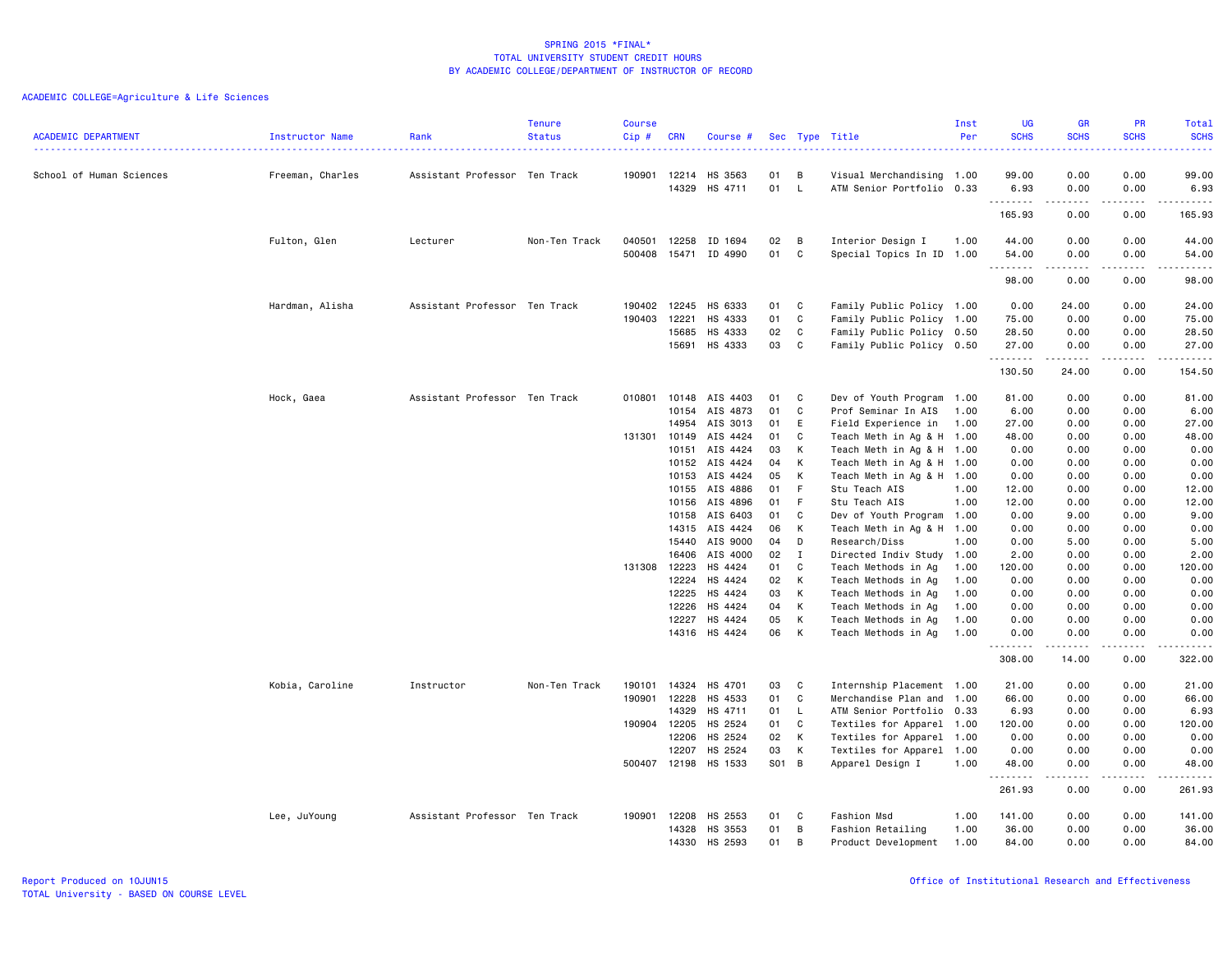|                            |                  |                               | <b>Tenure</b> | Course       |                |                      |          |              |                                                        | Inst | <b>UG</b>    | GR            | PR                | <b>Total</b>         |
|----------------------------|------------------|-------------------------------|---------------|--------------|----------------|----------------------|----------|--------------|--------------------------------------------------------|------|--------------|---------------|-------------------|----------------------|
| <b>ACADEMIC DEPARTMENT</b> | Instructor Name  | Rank                          | <b>Status</b> | Cip#         | <b>CRN</b>     | Course #             |          |              | Sec Type Title                                         | Per  | <b>SCHS</b>  | <b>SCHS</b>   | <b>SCHS</b>       | <b>SCHS</b><br>22222 |
|                            |                  |                               |               |              |                |                      |          |              |                                                        |      |              |               |                   |                      |
| School of Human Sciences   | Freeman, Charles | Assistant Professor Ten Track |               | 190901       | 12214          | HS 3563              | 01       | в            | Visual Merchandising 1.00                              |      | 99.00        | 0.00          | 0.00              | 99.00                |
|                            |                  |                               |               |              | 14329          | HS 4711              | 01       | $\mathsf{L}$ | ATM Senior Portfolio 0.33                              |      | 6.93         | 0.00          | 0.00              | 6.93                 |
|                            |                  |                               |               |              |                |                      |          |              |                                                        |      | .            | $- - - - -$   | .                 | .                    |
|                            |                  |                               |               |              |                |                      |          |              |                                                        |      | 165.93       | 0.00          | 0.00              | 165.93               |
|                            | Fulton, Glen     | Lecturer                      | Non-Ten Track | 040501       | 12258          | ID 1694              | 02       | B            | Interior Design I                                      | 1.00 | 44.00        | 0.00          | 0.00              | 44.00                |
|                            |                  |                               |               | 500408       | 15471          | ID 4990              | 01       | C            | Special Topics In ID 1.00                              |      | 54.00        | 0.00          | 0.00              | 54.00                |
|                            |                  |                               |               |              |                |                      |          |              |                                                        |      | .            | <u>.</u>      | .                 | $\sim$               |
|                            |                  |                               |               |              |                |                      |          |              |                                                        |      | 98.00        | 0.00          | 0.00              | 98.00                |
|                            |                  |                               |               |              |                |                      |          |              |                                                        |      |              |               |                   |                      |
|                            | Hardman, Alisha  | Assistant Professor Ten Track |               | 190402       | 12245          | HS 6333              | 01       | C            | Family Public Policy 1.00                              |      | 0.00         | 24.00         | 0.00              | 24.00                |
|                            |                  |                               |               | 190403       | 12221          | HS 4333              | 01       | C            | Family Public Policy 1.00                              |      | 75.00        | 0.00          | 0.00              | 75.00                |
|                            |                  |                               |               |              | 15685          | HS 4333              | 02       | C            | Family Public Policy 0.50                              |      | 28.50        | 0.00          | 0.00              | 28.50                |
|                            |                  |                               |               |              | 15691          | HS 4333              | 03       | C            | Family Public Policy 0.50                              |      | 27.00<br>.   | 0.00<br>.     | 0.00<br>.         | 27.00<br>.           |
|                            |                  |                               |               |              |                |                      |          |              |                                                        |      | 130.50       | 24.00         | 0.00              | 154.50               |
|                            |                  |                               |               |              |                |                      |          |              |                                                        |      |              |               |                   |                      |
|                            | Hock, Gaea       | Assistant Professor Ten Track |               | 010801       | 10148          | AIS 4403             | 01       | C            | Dev of Youth Program                                   | 1.00 | 81.00        | 0.00          | 0.00              | 81.00                |
|                            |                  |                               |               |              | 10154          | AIS 4873             | 01       | C            | Prof Seminar In AIS                                    | 1.00 | 6.00         | 0.00          | 0.00              | 6.00                 |
|                            |                  |                               |               |              | 14954          | AIS 3013             | 01       | E            | Field Experience in                                    | 1.00 | 27.00        | 0.00          | 0.00              | 27.00                |
|                            |                  |                               |               | 131301       | 10149          | AIS 4424             | 01       | C            | Teach Meth in Ag & H 1.00                              |      | 48.00        | 0.00          | 0.00              | 48.00                |
|                            |                  |                               |               |              | 10151          | AIS 4424             | 03       | К            | Teach Meth in Ag & H 1.00                              |      | 0.00         | 0.00          | 0.00              | 0.00                 |
|                            |                  |                               |               |              | 10152          | AIS 4424             | 04       | К            | Teach Meth in Ag & H 1.00                              |      | 0.00         | 0.00          | 0.00              | 0.00                 |
|                            |                  |                               |               |              | 10153          | AIS 4424             | 05       | К            | Teach Meth in Ag & H 1.00                              |      | 0.00         | 0.00          | 0.00              | 0.00                 |
|                            |                  |                               |               |              | 10155          | AIS 4886             | 01       | -F<br>F      | Stu Teach AIS                                          | 1.00 | 12.00        | 0.00          | 0.00              | 12.00                |
|                            |                  |                               |               |              | 10156          | AIS 4896<br>AIS 6403 | 01       | C            | Stu Teach AIS                                          | 1.00 | 12.00        | 0.00          | 0.00              | 12.00<br>9.00        |
|                            |                  |                               |               |              | 10158<br>14315 | AIS 4424             | 01<br>06 | К            | Dev of Youth Program 1.00<br>Teach Meth in Ag & H 1.00 |      | 0.00<br>0.00 | 9.00<br>0.00  | 0.00<br>0.00      | 0.00                 |
|                            |                  |                               |               |              | 15440          | AIS 9000             | 04       | D            | Research/Diss                                          | 1.00 | 0.00         | 5.00          | 0.00              | 5.00                 |
|                            |                  |                               |               |              | 16406          | AIS 4000             | 02       | $\mathbf I$  | Directed Indiv Study                                   | 1.00 | 2.00         | 0.00          | 0.00              | 2.00                 |
|                            |                  |                               |               | 131308 12223 |                | HS 4424              | 01       | C            | Teach Methods in Ag                                    | 1.00 | 120.00       | 0.00          | 0.00              | 120.00               |
|                            |                  |                               |               |              | 12224          | HS 4424              | 02       | К            | Teach Methods in Ag                                    | 1.00 | 0.00         | 0.00          | 0.00              | 0.00                 |
|                            |                  |                               |               |              | 12225          | HS 4424              | 03       | К            | Teach Methods in Ag                                    | 1.00 | 0.00         | 0.00          | 0.00              | 0.00                 |
|                            |                  |                               |               |              | 12226          | HS 4424              | 04       | К            | Teach Methods in Ag                                    | 1.00 | 0.00         | 0.00          | 0.00              | 0.00                 |
|                            |                  |                               |               |              | 12227          | HS 4424              | 05       | К            | Teach Methods in Ag                                    | 1.00 | 0.00         | 0.00          | 0.00              | 0.00                 |
|                            |                  |                               |               |              |                | 14316 HS 4424        | 06       | К            | Teach Methods in Ag                                    | 1.00 | 0.00         | 0.00          | 0.00              | 0.00                 |
|                            |                  |                               |               |              |                |                      |          |              |                                                        |      | --------     | $\frac{1}{2}$ | .                 | .                    |
|                            |                  |                               |               |              |                |                      |          |              |                                                        |      | 308.00       | 14.00         | 0.00              | 322.00               |
|                            | Kobia, Caroline  | Instructor                    | Non-Ten Track | 190101       | 14324          | HS 4701              | 03       | C            | Internship Placement 1.00                              |      | 21.00        | 0.00          | 0.00              | 21.00                |
|                            |                  |                               |               | 190901       | 12228          | HS 4533              | 01       | C            | Merchandise Plan and 1.00                              |      | 66.00        | 0.00          | 0.00              | 66.00                |
|                            |                  |                               |               |              | 14329          | HS 4711              | 01       | L.           | ATM Senior Portfolio 0.33                              |      | 6.93         | 0.00          | 0.00              | 6.93                 |
|                            |                  |                               |               | 190904 12205 |                | HS 2524              | 01       | C            | Textiles for Apparel 1.00                              |      | 120.00       | 0.00          | 0.00              | 120.00               |
|                            |                  |                               |               |              | 12206          | HS 2524              | 02       | К            | Textiles for Apparel 1.00                              |      | 0.00         | 0.00          | 0.00              | 0.00                 |
|                            |                  |                               |               |              | 12207          | HS 2524              | 03       | К            | Textiles for Apparel 1.00                              |      | 0.00         | 0.00          | 0.00              | 0.00                 |
|                            |                  |                               |               | 500407 12198 |                | HS 1533              | S01 B    |              | Apparel Design I                                       | 1.00 | 48.00<br>.   | 0.00          | 0.00<br>$- - - -$ | 48.00<br>$- - - - -$ |
|                            |                  |                               |               |              |                |                      |          |              |                                                        |      | 261.93       | 0.00          | 0.00              | 261.93               |
|                            | Lee, JuYoung     | Assistant Professor Ten Track |               | 190901       | 12208          | HS 2553              | 01       | C.           | Fashion Msd                                            | 1.00 | 141.00       | 0.00          | 0.00              | 141.00               |
|                            |                  |                               |               |              | 14328          | HS 3553              | 01       | B            | Fashion Retailing                                      | 1.00 | 36.00        | 0.00          | 0.00              | 36.00                |
|                            |                  |                               |               |              | 14330          | HS 2593              | 01       | B            | Product Development                                    | 1.00 | 84.00        | 0.00          | 0.00              | 84.00                |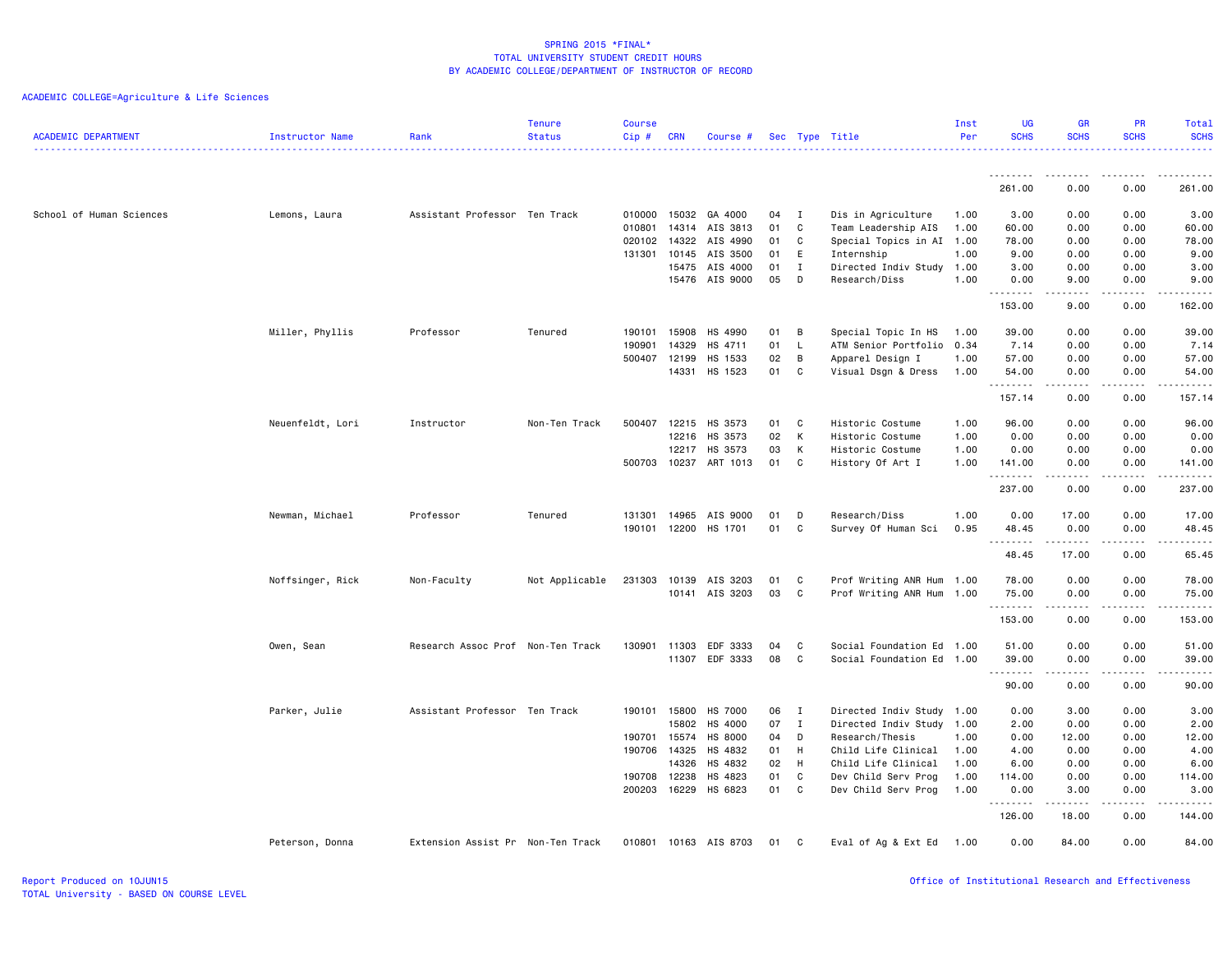| <b>ACADEMIC DEPARTMENT</b> | Instructor Name  | Rank                              | <b>Tenure</b><br><b>Status</b> | <b>Course</b><br>Cip# | <b>CRN</b>   | Course #             |    |              | Sec Type Title            | Inst<br>Per | <b>UG</b><br><b>SCHS</b> | <b>GR</b><br><b>SCHS</b>                                                                                                                                     | PR<br><b>SCHS</b>                                                                                                         | <b>Total</b><br><b>SCHS</b><br><u>.</u>                                                                                                                      |
|----------------------------|------------------|-----------------------------------|--------------------------------|-----------------------|--------------|----------------------|----|--------------|---------------------------|-------------|--------------------------|--------------------------------------------------------------------------------------------------------------------------------------------------------------|---------------------------------------------------------------------------------------------------------------------------|--------------------------------------------------------------------------------------------------------------------------------------------------------------|
|                            |                  |                                   |                                |                       |              |                      |    |              |                           |             | .                        | .                                                                                                                                                            | $\frac{1}{2} \left( \frac{1}{2} \right) \left( \frac{1}{2} \right) \left( \frac{1}{2} \right) \left( \frac{1}{2} \right)$ | .                                                                                                                                                            |
|                            |                  |                                   |                                |                       |              |                      |    |              |                           |             | 261.00                   | 0.00                                                                                                                                                         | 0.00                                                                                                                      | 261.00                                                                                                                                                       |
| School of Human Sciences   | Lemons, Laura    | Assistant Professor Ten Track     |                                | 010000                | 15032        | GA 4000              | 04 | $\mathbf{I}$ | Dis in Agriculture        | 1.00        | 3.00                     | 0.00                                                                                                                                                         | 0.00                                                                                                                      | 3.00                                                                                                                                                         |
|                            |                  |                                   |                                | 010801                |              | 14314 AIS 3813       | 01 | C            | Team Leadership AIS       | 1.00        | 60.00                    | 0.00                                                                                                                                                         | 0.00                                                                                                                      | 60.00                                                                                                                                                        |
|                            |                  |                                   |                                | 020102                | 14322        | AIS 4990             | 01 | C            | Special Topics in AI 1.00 |             | 78.00                    | 0.00                                                                                                                                                         | 0.00                                                                                                                      | 78.00                                                                                                                                                        |
|                            |                  |                                   |                                |                       | 131301 10145 | AIS 3500             | 01 | E            | Internship                | 1.00        | 9.00                     | 0.00                                                                                                                                                         | 0.00                                                                                                                      | 9.00                                                                                                                                                         |
|                            |                  |                                   |                                |                       | 15475        | AIS 4000<br>AIS 9000 | 01 | $\mathbf I$  | Directed Indiv Study 1.00 |             | 3.00                     | 0.00                                                                                                                                                         | 0.00                                                                                                                      | 3.00                                                                                                                                                         |
|                            |                  |                                   |                                |                       | 15476        |                      | 05 | D            | Research/Diss             | 1.00        | 0.00<br>.                | 9.00                                                                                                                                                         | 0.00<br>$\sim$ $\sim$ $\sim$ $\sim$                                                                                       | 9.00<br>$\frac{1}{2} \left( \frac{1}{2} \right) \left( \frac{1}{2} \right) \left( \frac{1}{2} \right) \left( \frac{1}{2} \right) \left( \frac{1}{2} \right)$ |
|                            |                  |                                   |                                |                       |              |                      |    |              |                           |             | 153.00                   | 9.00                                                                                                                                                         | 0.00                                                                                                                      | 162.00                                                                                                                                                       |
|                            | Miller, Phyllis  | Professor                         | Tenured                        | 190101                | 15908        | HS 4990              | 01 | B            | Special Topic In HS       | 1.00        | 39.00                    | 0.00                                                                                                                                                         | 0.00                                                                                                                      | 39.00                                                                                                                                                        |
|                            |                  |                                   |                                | 190901                | 14329        | HS 4711              | 01 | L.           | ATM Senior Portfolio 0.34 |             | 7.14                     | 0.00                                                                                                                                                         | 0.00                                                                                                                      | 7.14                                                                                                                                                         |
|                            |                  |                                   |                                | 500407                | 12199        | HS 1533              | 02 | B            | Apparel Design I          | 1.00        | 57.00                    | 0.00                                                                                                                                                         | 0.00                                                                                                                      | 57.00                                                                                                                                                        |
|                            |                  |                                   |                                |                       | 14331        | HS 1523              | 01 | C            | Visual Dsgn & Dress       | 1.00        | 54.00<br>.               | 0.00<br>$- - - - -$                                                                                                                                          | 0.00<br>.                                                                                                                 | 54.00<br>.                                                                                                                                                   |
|                            |                  |                                   |                                |                       |              |                      |    |              |                           |             | 157.14                   | 0.00                                                                                                                                                         | 0.00                                                                                                                      | 157.14                                                                                                                                                       |
|                            | Neuenfeldt, Lori | Instructor                        | Non-Ten Track                  | 500407                | 12215        | HS 3573              | 01 | <b>C</b>     | Historic Costume          | 1.00        | 96.00                    | 0.00                                                                                                                                                         | 0.00                                                                                                                      | 96.00                                                                                                                                                        |
|                            |                  |                                   |                                |                       | 12216        | HS 3573              | 02 | K            | Historic Costume          | 1.00        | 0.00                     | 0.00                                                                                                                                                         | 0.00                                                                                                                      | 0.00                                                                                                                                                         |
|                            |                  |                                   |                                |                       | 12217        | HS 3573              | 03 | K            | Historic Costume          | 1.00        | 0.00                     | 0.00                                                                                                                                                         | 0.00                                                                                                                      | 0.00                                                                                                                                                         |
|                            |                  |                                   |                                |                       | 500703 10237 | ART 1013             | 01 | C            | History Of Art I          | 1.00        | 141.00<br>.              | 0.00<br>$\frac{1}{2} \left( \frac{1}{2} \right) \left( \frac{1}{2} \right) \left( \frac{1}{2} \right) \left( \frac{1}{2} \right) \left( \frac{1}{2} \right)$ | 0.00<br>د د د د                                                                                                           | 141.00<br>$\begin{array}{cccccccccc} \bullet & \bullet & \bullet & \bullet & \bullet & \bullet & \bullet \end{array}$                                        |
|                            |                  |                                   |                                |                       |              |                      |    |              |                           |             | 237.00                   | 0.00                                                                                                                                                         | 0.00                                                                                                                      | 237.00                                                                                                                                                       |
|                            | Newman, Michael  | Professor                         | Tenured                        | 131301                | 14965        | AIS 9000             | 01 | D            | Research/Diss             | 1.00        | 0.00                     | 17.00                                                                                                                                                        | 0.00                                                                                                                      | 17.00                                                                                                                                                        |
|                            |                  |                                   |                                | 190101                | 12200        | HS 1701              | 01 | C            | Survey Of Human Sci       | 0.95        | 48.45                    | 0.00                                                                                                                                                         | 0.00                                                                                                                      | 48.45                                                                                                                                                        |
|                            |                  |                                   |                                |                       |              |                      |    |              |                           |             | <u>.</u><br>48.45        | $- - - - -$<br>17.00                                                                                                                                         | $\frac{1}{2}$<br>0.00                                                                                                     | $- - - - -$<br>65.45                                                                                                                                         |
|                            |                  |                                   |                                |                       |              |                      |    |              |                           |             |                          |                                                                                                                                                              |                                                                                                                           |                                                                                                                                                              |
|                            | Noffsinger, Rick | Non-Faculty                       | Not Applicable                 | 231303                | 10139        | AIS 3203             | 01 | C            | Prof Writing ANR Hum 1.00 |             | 78.00                    | 0.00                                                                                                                                                         | 0.00                                                                                                                      | 78.00                                                                                                                                                        |
|                            |                  |                                   |                                |                       |              | 10141 AIS 3203       | 03 | C.           | Prof Writing ANR Hum 1.00 |             | 75.00<br>.               | 0.00<br>. <b>.</b> .                                                                                                                                         | 0.00<br>.                                                                                                                 | 75.00<br>.                                                                                                                                                   |
|                            |                  |                                   |                                |                       |              |                      |    |              |                           |             | 153.00                   | 0.00                                                                                                                                                         | 0.00                                                                                                                      | 153.00                                                                                                                                                       |
|                            | Owen, Sean       | Research Assoc Prof Non-Ten Track |                                | 130901                | 11303        | EDF 3333             | 04 | C            | Social Foundation Ed      | 1.00        | 51.00                    | 0.00                                                                                                                                                         | 0.00                                                                                                                      | 51.00                                                                                                                                                        |
|                            |                  |                                   |                                |                       |              | 11307 EDF 3333       | 08 | C            | Social Foundation Ed 1.00 |             | 39.00                    | 0.00                                                                                                                                                         | 0.00                                                                                                                      | 39.00                                                                                                                                                        |
|                            |                  |                                   |                                |                       |              |                      |    |              |                           |             | .<br>90.00               | -----<br>0.00                                                                                                                                                | $\sim$ $\sim$ $\sim$<br>0.00                                                                                              | $\sim$ $\sim$ $\sim$ $\sim$ $\sim$<br>90.00                                                                                                                  |
|                            | Parker, Julie    | Assistant Professor Ten Track     |                                | 190101                | 15800        | HS 7000              | 06 | $\mathbf{I}$ | Directed Indiv Study 1.00 |             | 0.00                     | 3.00                                                                                                                                                         | 0.00                                                                                                                      | 3.00                                                                                                                                                         |
|                            |                  |                                   |                                |                       | 15802        | HS 4000              | 07 | $\mathbf{I}$ | Directed Indiv Study 1.00 |             | 2.00                     | 0.00                                                                                                                                                         | 0.00                                                                                                                      | 2.00                                                                                                                                                         |
|                            |                  |                                   |                                | 190701                | 15574        | HS 8000              | 04 | D            | Research/Thesis           | 1.00        | 0.00                     | 12.00                                                                                                                                                        | 0.00                                                                                                                      | 12.00                                                                                                                                                        |
|                            |                  |                                   |                                | 190706                | 14325        | HS 4832              | 01 | H            | Child Life Clinical       | 1.00        | 4.00                     | 0.00                                                                                                                                                         | 0.00                                                                                                                      | 4.00                                                                                                                                                         |
|                            |                  |                                   |                                |                       | 14326        | HS 4832              | 02 | H            | Child Life Clinical       | 1.00        | 6.00                     | 0.00                                                                                                                                                         | 0.00                                                                                                                      | 6.00                                                                                                                                                         |
|                            |                  |                                   |                                | 190708                | 12238        | HS 4823              | 01 | C            | Dev Child Serv Prog       | 1.00        | 114.00                   | 0.00                                                                                                                                                         | 0.00                                                                                                                      | 114.00                                                                                                                                                       |
|                            |                  |                                   |                                | 200203                | 16229        | HS 6823              | 01 | C            | Dev Child Serv Prog       | 1.00        | 0.00<br>--------         | 3.00<br>.                                                                                                                                                    | 0.00<br>.                                                                                                                 | 3.00<br>------                                                                                                                                               |
|                            |                  |                                   |                                |                       |              |                      |    |              |                           |             | 126.00                   | 18.00                                                                                                                                                        | 0.00                                                                                                                      | 144.00                                                                                                                                                       |
|                            | Peterson, Donna  | Extension Assist Pr Non-Ten Track |                                | 010801                |              | 10163 AIS 8703       | 01 | C            | Eval of Ag & Ext Ed       | 1.00        | 0.00                     | 84.00                                                                                                                                                        | 0.00                                                                                                                      | 84.00                                                                                                                                                        |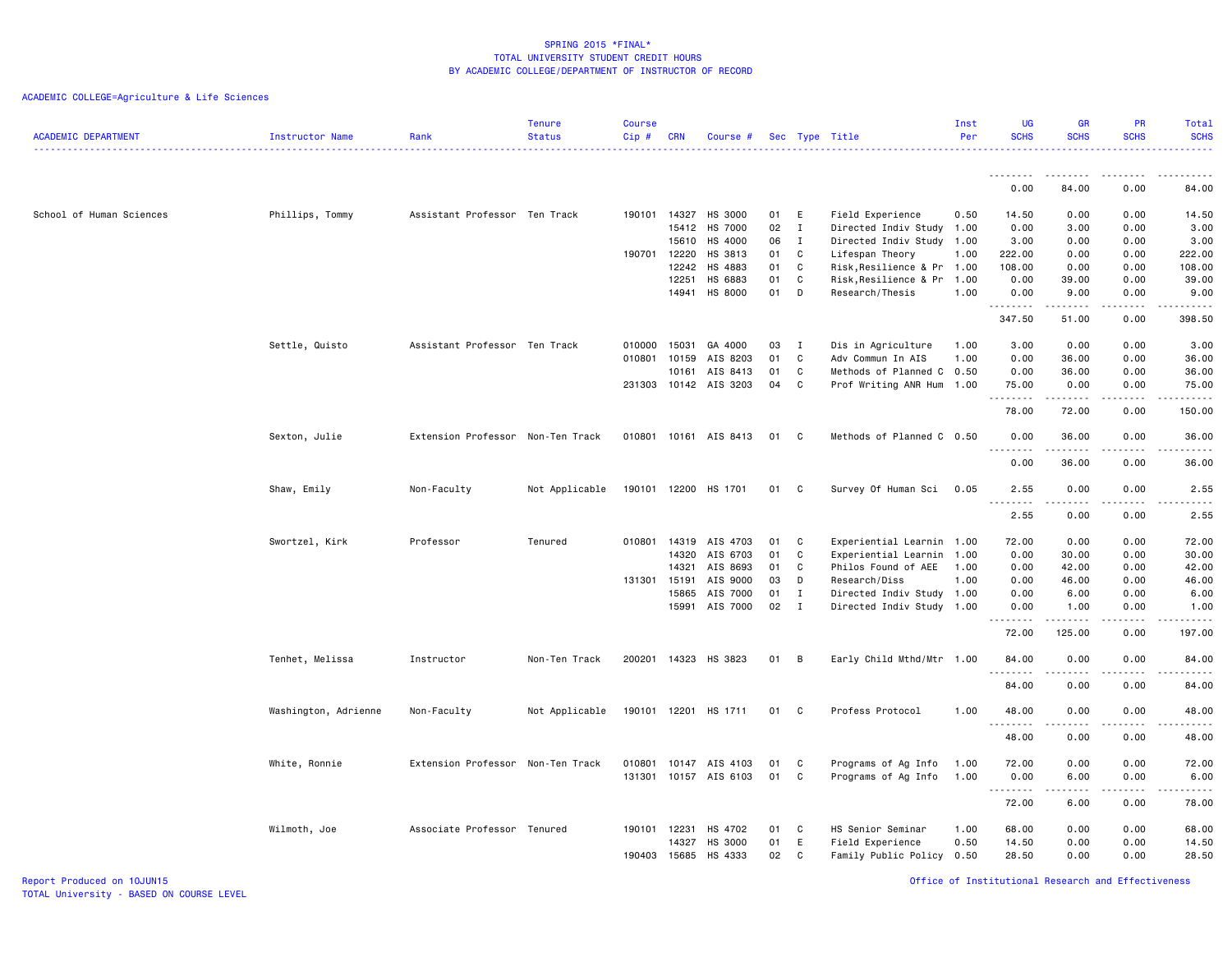# ACADEMIC COLLEGE=Agriculture & Life Sciences

| <b>ACADEMIC DEPARTMENT</b> | Instructor Name      | Rank                              | <b>Tenure</b><br><b>Status</b> | <b>Course</b><br>Cip# | <b>CRN</b>     | Course #                   |          |                   | Sec Type Title                                           | Inst<br>Per  | <b>UG</b><br><b>SCHS</b>                                                                                                                                                                                                                                                                                                                                                                                                                                                               | <b>GR</b><br><b>SCHS</b> | <b>PR</b><br><b>SCHS</b>            | <b>Total</b><br><b>SCHS</b>                                                                                                                                   |
|----------------------------|----------------------|-----------------------------------|--------------------------------|-----------------------|----------------|----------------------------|----------|-------------------|----------------------------------------------------------|--------------|----------------------------------------------------------------------------------------------------------------------------------------------------------------------------------------------------------------------------------------------------------------------------------------------------------------------------------------------------------------------------------------------------------------------------------------------------------------------------------------|--------------------------|-------------------------------------|---------------------------------------------------------------------------------------------------------------------------------------------------------------|
|                            |                      |                                   |                                |                       |                |                            |          |                   |                                                          |              | 0.00                                                                                                                                                                                                                                                                                                                                                                                                                                                                                   | 84.00                    | 0.00                                | 84.00                                                                                                                                                         |
|                            |                      |                                   |                                |                       |                |                            |          |                   |                                                          |              |                                                                                                                                                                                                                                                                                                                                                                                                                                                                                        |                          |                                     |                                                                                                                                                               |
| School of Human Sciences   | Phillips, Tommy      | Assistant Professor Ten Track     |                                | 190101                | 14327          | HS 3000                    | 01       | E                 | Field Experience                                         | 0.50         | 14.50                                                                                                                                                                                                                                                                                                                                                                                                                                                                                  | 0.00                     | 0.00                                | 14.50                                                                                                                                                         |
|                            |                      |                                   |                                |                       | 15412          | HS 7000                    | 02       | $\mathbf{I}$      | Directed Indiv Study 1.00                                |              | 0.00                                                                                                                                                                                                                                                                                                                                                                                                                                                                                   | 3.00                     | 0.00                                | 3.00                                                                                                                                                          |
|                            |                      |                                   |                                |                       | 15610          | HS 4000                    | 06       | $\mathbf{I}$      | Directed Indiv Study 1.00                                |              | 3.00                                                                                                                                                                                                                                                                                                                                                                                                                                                                                   | 0.00                     | 0.00                                | 3.00                                                                                                                                                          |
|                            |                      |                                   |                                | 190701                | 12220<br>12242 | HS 3813<br>HS 4883         | 01<br>01 | C<br>C            | Lifespan Theory                                          | 1.00         | 222.00<br>108.00                                                                                                                                                                                                                                                                                                                                                                                                                                                                       | 0.00<br>0.00             | 0.00<br>0.00                        | 222.00<br>108.00                                                                                                                                              |
|                            |                      |                                   |                                |                       | 12251          | HS 6883                    | 01       | C                 | Risk, Resilience & Pr 1.00<br>Risk, Resilience & Pr 1.00 |              | 0.00                                                                                                                                                                                                                                                                                                                                                                                                                                                                                   | 39.00                    | 0.00                                | 39.00                                                                                                                                                         |
|                            |                      |                                   |                                |                       | 14941          | HS 8000                    | 01       | D                 | Research/Thesis                                          | 1.00         | 0.00                                                                                                                                                                                                                                                                                                                                                                                                                                                                                   | 9.00                     | 0.00                                | 9.00                                                                                                                                                          |
|                            |                      |                                   |                                |                       |                |                            |          |                   |                                                          |              | $\begin{array}{cccccccccccccc} \multicolumn{2}{c}{} & \multicolumn{2}{c}{} & \multicolumn{2}{c}{} & \multicolumn{2}{c}{} & \multicolumn{2}{c}{} & \multicolumn{2}{c}{} & \multicolumn{2}{c}{} & \multicolumn{2}{c}{} & \multicolumn{2}{c}{} & \multicolumn{2}{c}{} & \multicolumn{2}{c}{} & \multicolumn{2}{c}{} & \multicolumn{2}{c}{} & \multicolumn{2}{c}{} & \multicolumn{2}{c}{} & \multicolumn{2}{c}{} & \multicolumn{2}{c}{} & \multicolumn{2}{c}{} & \multicolumn{2}{c}{} & \$ |                          | .                                   | $\frac{1}{2} \left( \frac{1}{2} \right) \left( \frac{1}{2} \right) \left( \frac{1}{2} \right) \left( \frac{1}{2} \right)$                                     |
|                            |                      |                                   |                                |                       |                |                            |          |                   |                                                          |              | 347.50                                                                                                                                                                                                                                                                                                                                                                                                                                                                                 | 51.00                    | 0.00                                | 398.50                                                                                                                                                        |
|                            | Settle, Quisto       | Assistant Professor Ten Track     |                                | 010000                | 15031          | GA 4000                    | 03       | $\mathbf{I}$      | Dis in Agriculture                                       | 1.00         | 3.00                                                                                                                                                                                                                                                                                                                                                                                                                                                                                   | 0.00                     | 0.00                                | 3.00                                                                                                                                                          |
|                            |                      |                                   |                                | 010801                | 10159          | AIS 8203                   | 01       | C                 | Adv Commun In AIS                                        | 1.00         | 0.00                                                                                                                                                                                                                                                                                                                                                                                                                                                                                   | 36.00                    | 0.00                                | 36.00                                                                                                                                                         |
|                            |                      |                                   |                                |                       | 10161          | AIS 8413                   | 01       | C                 | Methods of Planned C 0.50                                |              | 0.00                                                                                                                                                                                                                                                                                                                                                                                                                                                                                   | 36.00                    | 0.00                                | 36.00                                                                                                                                                         |
|                            |                      |                                   |                                |                       |                | 231303 10142 AIS 3203      | 04       | C                 | Prof Writing ANR Hum                                     | 1.00         | 75.00                                                                                                                                                                                                                                                                                                                                                                                                                                                                                  | 0.00                     | 0.00                                | 75.00                                                                                                                                                         |
|                            |                      |                                   |                                |                       |                |                            |          |                   |                                                          |              | .<br>78.00                                                                                                                                                                                                                                                                                                                                                                                                                                                                             | .<br>72.00               | 0.00                                | .<br>150.00                                                                                                                                                   |
|                            | Sexton, Julie        | Extension Professor Non-Ten Track |                                | 010801                |                | 10161 AIS 8413             | 01       | C                 | Methods of Planned C 0.50                                |              | 0.00                                                                                                                                                                                                                                                                                                                                                                                                                                                                                   | 36.00                    | 0.00                                | 36.00                                                                                                                                                         |
|                            |                      |                                   |                                |                       |                |                            |          |                   |                                                          |              | 0.00                                                                                                                                                                                                                                                                                                                                                                                                                                                                                   | 36.00                    | 0.00                                | $\frac{1}{2} \left( \frac{1}{2} \right) \left( \frac{1}{2} \right) \left( \frac{1}{2} \right) \left( \frac{1}{2} \right) \left( \frac{1}{2} \right)$<br>36.00 |
|                            | Shaw, Emily          | Non-Faculty                       | Not Applicable                 | 190101                |                | 12200 HS 1701              | 01       | C                 | Survey Of Human Sci                                      | 0.05         | 2.55                                                                                                                                                                                                                                                                                                                                                                                                                                                                                   | 0.00                     | 0.00                                | 2.55                                                                                                                                                          |
|                            |                      |                                   |                                |                       |                |                            |          |                   |                                                          |              | $\sim$ $\sim$ $\sim$<br>$\frac{1}{2} \left( \frac{1}{2} \right) \left( \frac{1}{2} \right) \left( \frac{1}{2} \right) \left( \frac{1}{2} \right) \left( \frac{1}{2} \right)$<br>2.55                                                                                                                                                                                                                                                                                                   | .<br>0.00                | $\sim$ $\sim$ $\sim$ $\sim$<br>0.00 | $\frac{1}{2} \left( \frac{1}{2} \right) \left( \frac{1}{2} \right) \left( \frac{1}{2} \right) \left( \frac{1}{2} \right) \left( \frac{1}{2} \right)$<br>2.55  |
|                            | Swortzel, Kirk       | Professor                         | Tenured                        | 010801                | 14319          | AIS 4703                   | 01       | C                 | Experiential Learnin 1.00                                |              | 72.00                                                                                                                                                                                                                                                                                                                                                                                                                                                                                  | 0.00                     | 0.00                                | 72.00                                                                                                                                                         |
|                            |                      |                                   |                                |                       | 14320          | AIS 6703                   | 01       | C                 | Experiential Learnin                                     | 1.00         | 0.00                                                                                                                                                                                                                                                                                                                                                                                                                                                                                   | 30.00                    | 0.00                                | 30.00                                                                                                                                                         |
|                            |                      |                                   |                                |                       | 14321          | AIS 8693                   | 01       | C                 | Philos Found of AEE                                      | 1.00         | 0.00                                                                                                                                                                                                                                                                                                                                                                                                                                                                                   | 42.00                    | 0.00                                | 42.00                                                                                                                                                         |
|                            |                      |                                   |                                | 131301 15191          |                | AIS 9000                   | 03       | D                 | Research/Diss                                            | 1.00         | 0.00                                                                                                                                                                                                                                                                                                                                                                                                                                                                                   | 46.00                    | 0.00                                | 46.00                                                                                                                                                         |
|                            |                      |                                   |                                |                       | 15865          | AIS 7000                   | 01       | $\mathbf{I}$      | Directed Indiv Study 1.00                                |              | 0.00                                                                                                                                                                                                                                                                                                                                                                                                                                                                                   | 6.00                     | 0.00                                | 6.00                                                                                                                                                          |
|                            |                      |                                   |                                |                       | 15991          | AIS 7000                   | 02       | $\mathbf{I}$      | Directed Indiv Study 1.00                                |              | 0.00                                                                                                                                                                                                                                                                                                                                                                                                                                                                                   | 1.00                     | 0.00                                | 1.00                                                                                                                                                          |
|                            |                      |                                   |                                |                       |                |                            |          |                   |                                                          |              | 72.00                                                                                                                                                                                                                                                                                                                                                                                                                                                                                  | د د د د د<br>125.00      | $\sim$ $\sim$ $\sim$ $\sim$<br>0.00 | .<br>197.00                                                                                                                                                   |
|                            | Tenhet, Melissa      | Instructor                        | Non-Ten Track                  | 200201                |                | 14323 HS 3823              | 01       | B                 | Early Child Mthd/Mtr 1.00                                |              | 84.00                                                                                                                                                                                                                                                                                                                                                                                                                                                                                  | 0.00                     | 0.00                                | 84.00                                                                                                                                                         |
|                            |                      |                                   |                                |                       |                |                            |          |                   |                                                          |              | 1.1.1.1.1.1.1<br>84.00                                                                                                                                                                                                                                                                                                                                                                                                                                                                 | 0.00                     | 0.00                                | $\frac{1}{2} \left( \frac{1}{2} \right) \left( \frac{1}{2} \right) \left( \frac{1}{2} \right) \left( \frac{1}{2} \right)$<br>84.00                            |
|                            | Washington, Adrienne | Non-Faculty                       | Not Applicable                 | 190101                |                | 12201 HS 1711              | 01       | C                 | Profess Protocol                                         | 1.00         | 48.00                                                                                                                                                                                                                                                                                                                                                                                                                                                                                  | 0.00                     | 0.00                                | 48.00                                                                                                                                                         |
|                            |                      |                                   |                                |                       |                |                            |          |                   |                                                          |              | 48.00                                                                                                                                                                                                                                                                                                                                                                                                                                                                                  | $- - - - -$<br>0.00      | .<br>0.00                           | .<br>48.00                                                                                                                                                    |
|                            |                      |                                   |                                |                       |                |                            |          |                   |                                                          |              |                                                                                                                                                                                                                                                                                                                                                                                                                                                                                        |                          |                                     |                                                                                                                                                               |
|                            | White, Ronnie        | Extension Professor Non-Ten Track |                                | 010801<br>131301      | 10147          | AIS 4103<br>10157 AIS 6103 | 01<br>01 | C<br>$\mathbf{C}$ | Programs of Ag Info<br>Programs of Ag Info               | 1.00<br>1.00 | 72.00<br>0.00                                                                                                                                                                                                                                                                                                                                                                                                                                                                          | 0.00<br>6.00             | 0.00<br>0.00                        | 72.00<br>6.00                                                                                                                                                 |
|                            |                      |                                   |                                |                       |                |                            |          |                   |                                                          |              |                                                                                                                                                                                                                                                                                                                                                                                                                                                                                        |                          |                                     | .                                                                                                                                                             |
|                            |                      |                                   |                                |                       |                |                            |          |                   |                                                          |              | 72.00                                                                                                                                                                                                                                                                                                                                                                                                                                                                                  | 6.00                     | 0.00                                | 78.00                                                                                                                                                         |
|                            | Wilmoth, Joe         | Associate Professor Tenured       |                                | 190101                | 12231          | HS 4702                    | 01       | C                 | HS Senior Seminar                                        | 1.00         | 68.00                                                                                                                                                                                                                                                                                                                                                                                                                                                                                  | 0.00                     | 0.00                                | 68.00                                                                                                                                                         |
|                            |                      |                                   |                                |                       | 14327          | HS 3000                    | 01       | E                 | Field Experience                                         | 0.50         | 14.50                                                                                                                                                                                                                                                                                                                                                                                                                                                                                  | 0.00                     | 0.00                                | 14.50                                                                                                                                                         |
|                            |                      |                                   |                                | 190403                | 15685          | HS 4333                    | 02       | С                 | Family Public Policy                                     | 0.50         | 28.50                                                                                                                                                                                                                                                                                                                                                                                                                                                                                  | 0.00                     | 0.00                                | 28.50                                                                                                                                                         |

Report Produced on 10JUN15 Office of Institutional Research and Effectiveness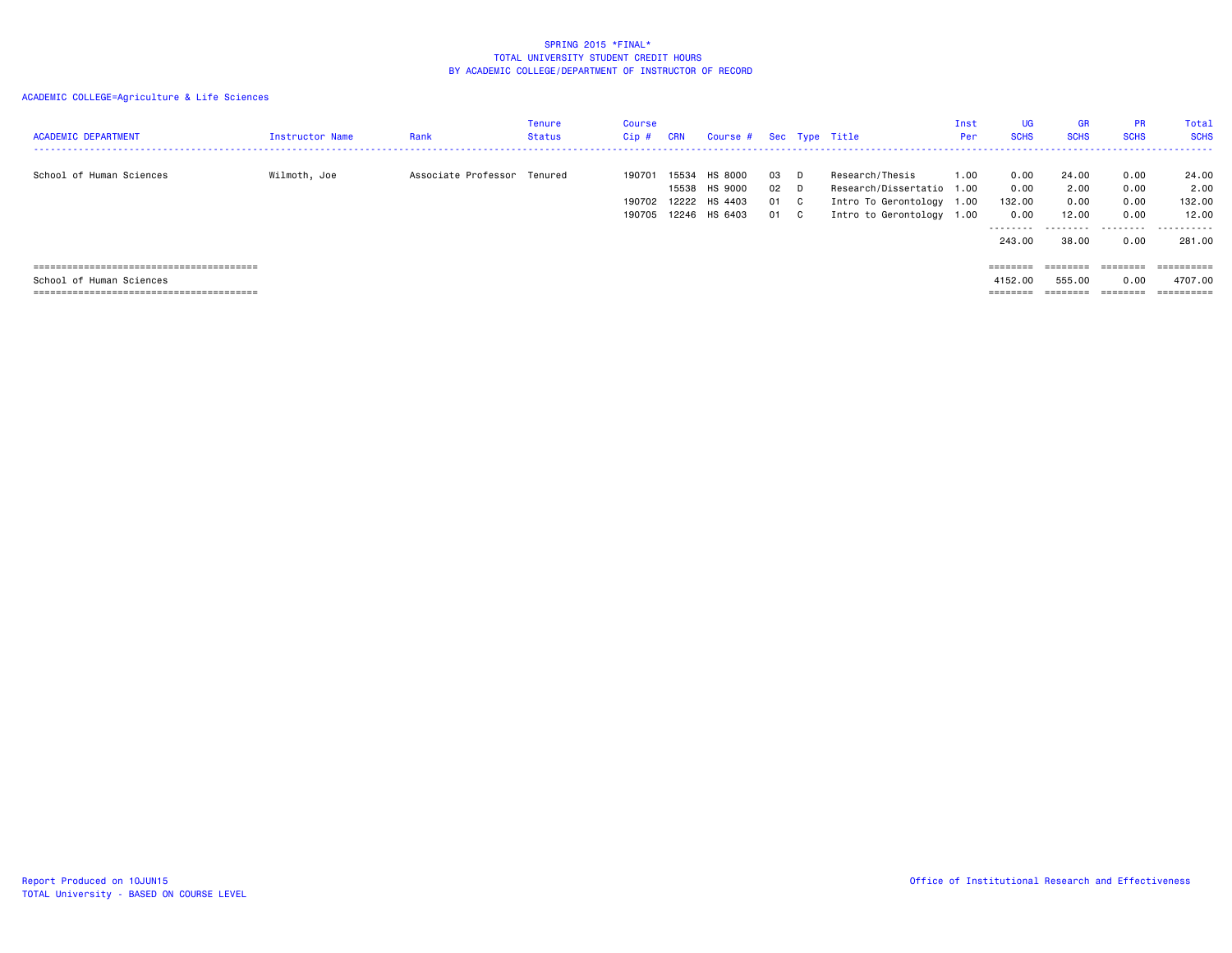| <b>ACADEMIC DEPARTMENT</b> | <b>Instructor Name</b> | Rank                        | Tenure<br>Status | Course<br>Cip#             | <b>CRN</b>              | Course #                                       |                        |                          | Sec Type Title                                                                                         | Inst<br>Per: | UG.<br><b>SCHS</b>                                    | <b>GR</b><br><b>SCHS</b>                     | <b>PR</b><br><b>SCHS</b>                  | Total<br><b>SCHS</b>                            |
|----------------------------|------------------------|-----------------------------|------------------|----------------------------|-------------------------|------------------------------------------------|------------------------|--------------------------|--------------------------------------------------------------------------------------------------------|--------------|-------------------------------------------------------|----------------------------------------------|-------------------------------------------|-------------------------------------------------|
| School of Human Sciences   | Wilmoth, Joe           | Associate Professor Tenured |                  | 190701<br>190702<br>190705 | 15534<br>15538<br>12222 | HS 8000<br>HS 9000<br>HS 4403<br>12246 HS 6403 | 03<br>02 D<br>01<br>01 | D.<br>C.<br>$\mathbf{C}$ | Research/Thesis<br>Research/Dissertatio 1.00<br>Intro To Gerontology 1.00<br>Intro to Gerontology 1.00 | 1.00         | 0.00<br>0.00<br>132.00<br>0.00<br>---------<br>243.00 | 24.00<br>2.00<br>0.00<br>12.00<br>.<br>38.00 | 0.00<br>0.00<br>0.00<br>0.00<br>.<br>0.00 | 24.00<br>2.00<br>132.00<br>12.00<br>.<br>281.00 |
|                            |                        |                             |                  |                            |                         |                                                |                        |                          |                                                                                                        |              | $=$ = = = = = = =                                     | $=$ = = = = = = =                            | ========                                  | ==========                                      |
| School of Human Sciences   |                        |                             |                  |                            |                         |                                                |                        |                          |                                                                                                        |              | 4152.00                                               | 555.00                                       | 0.00                                      | 4707.00                                         |
|                            |                        |                             |                  |                            |                         |                                                |                        |                          |                                                                                                        |              | $=$ = = = = = = =                                     |                                              | ========                                  |                                                 |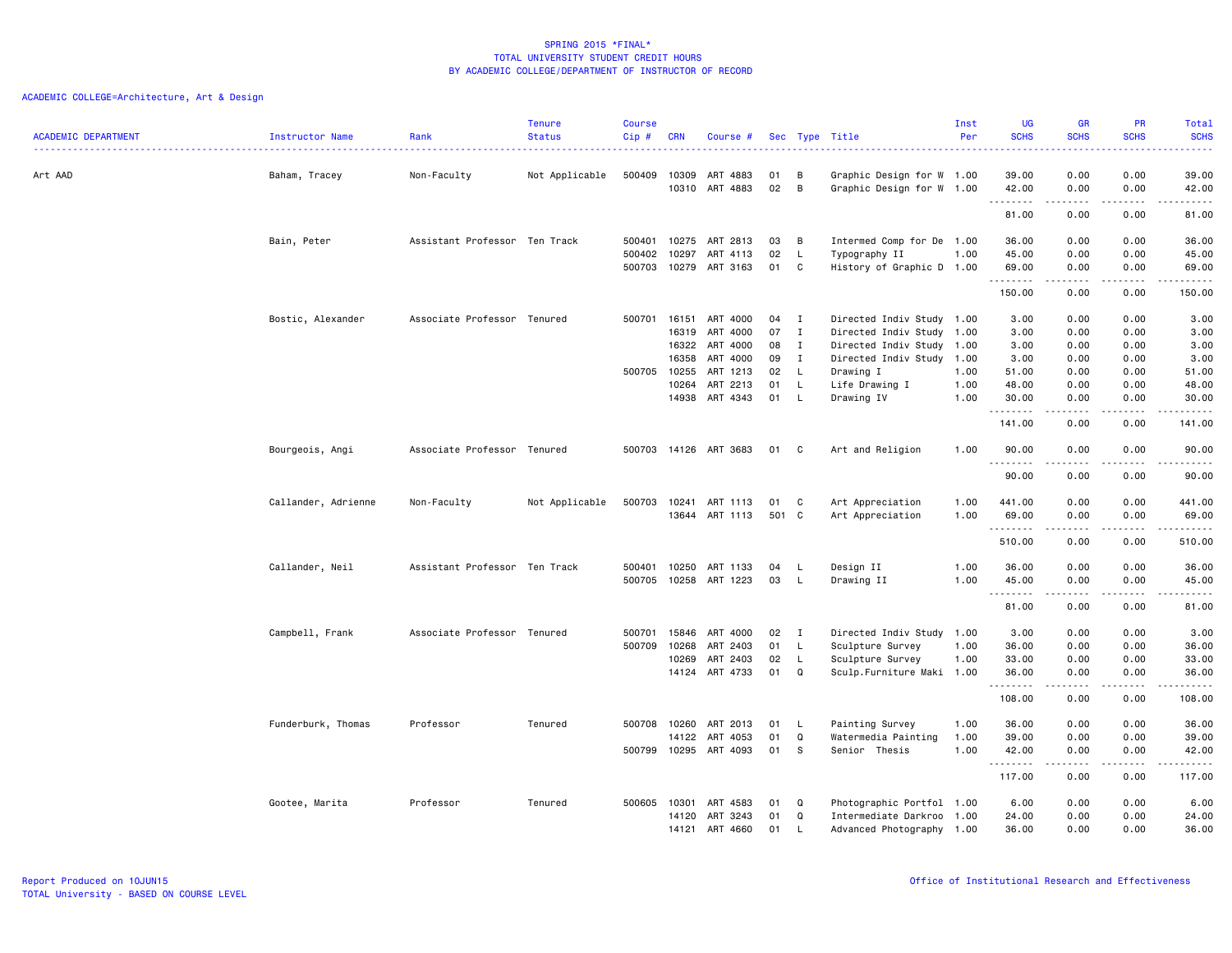| <b>ACADEMIC DEPARTMENT</b> | Instructor Name     | Rank                          | <b>Tenure</b><br><b>Status</b> | <b>Course</b><br>Cip# | <b>CRN</b>     | Course #              |          |              | Sec Type Title                                         | Inst<br>Per | <b>UG</b><br><b>SCHS</b> | <b>GR</b><br><b>SCHS</b> | PR<br><b>SCHS</b><br>.                                                                                                            | Total<br><b>SCHS</b><br>22222                                                                                                  |
|----------------------------|---------------------|-------------------------------|--------------------------------|-----------------------|----------------|-----------------------|----------|--------------|--------------------------------------------------------|-------------|--------------------------|--------------------------|-----------------------------------------------------------------------------------------------------------------------------------|--------------------------------------------------------------------------------------------------------------------------------|
| Art AAD                    | Baham, Tracey       | Non-Faculty                   | Not Applicable                 | 500409                | 10309<br>10310 | ART 4883<br>ART 4883  | 01<br>02 | в<br>В       | Graphic Design for W 1.00<br>Graphic Design for W 1.00 |             | 39.00<br>42.00           | 0.00<br>0.00             | 0.00<br>0.00                                                                                                                      | 39.00<br>42.00                                                                                                                 |
|                            |                     |                               |                                |                       |                |                       |          |              |                                                        |             | .<br>81.00               | .<br>0.00                | $\frac{1}{2}$<br>0.00                                                                                                             | .<br>81.00                                                                                                                     |
|                            | Bain, Peter         | Assistant Professor Ten Track |                                | 500401                | 10275          | ART 2813              | 03       | B            | Intermed Comp for De 1.00                              |             | 36.00                    | 0.00                     | 0.00                                                                                                                              | 36.00                                                                                                                          |
|                            |                     |                               |                                | 500402<br>500703      | 10297<br>10279 | ART 4113<br>ART 3163  | 02<br>01 | L<br>C       | Typography II<br>History of Graphic D 1.00             | 1.00        | 45.00<br>69.00           | 0.00<br>0.00             | 0.00<br>0.00                                                                                                                      | 45.00<br>69.00                                                                                                                 |
|                            |                     |                               |                                |                       |                |                       |          |              |                                                        |             | .<br>150.00              | .<br>0.00                | $\sim$ $\sim$ $\sim$ $\sim$<br>0.00                                                                                               | .<br>150.00                                                                                                                    |
|                            | Bostic, Alexander   | Associate Professor Tenured   |                                |                       | 500701 16151   | ART 4000              | 04       | I            | Directed Indiv Study 1.00                              |             | 3.00                     | 0.00                     | 0.00                                                                                                                              | 3.00                                                                                                                           |
|                            |                     |                               |                                |                       | 16319          | ART 4000              | 07       | $\mathbf{I}$ | Directed Indiv Study 1.00                              |             | 3.00                     | 0.00                     | 0.00                                                                                                                              | 3.00                                                                                                                           |
|                            |                     |                               |                                |                       | 16322          | ART 4000              | 08       | $\mathbf I$  | Directed Indiv Study 1.00                              |             | 3.00                     | 0.00                     | 0.00                                                                                                                              | 3.00                                                                                                                           |
|                            |                     |                               |                                |                       | 16358          | ART 4000              | 09       | $\mathbf I$  | Directed Indiv Study 1.00                              |             | 3.00                     | 0.00                     | 0.00                                                                                                                              | 3.00                                                                                                                           |
|                            |                     |                               |                                |                       | 500705 10255   | ART 1213              | 02       | L.           | Drawing I                                              | 1.00        | 51.00                    | 0.00                     | 0.00                                                                                                                              | 51.00                                                                                                                          |
|                            |                     |                               |                                |                       | 10264          | ART 2213              | 01       | L            | Life Drawing I                                         | 1.00        | 48.00                    | 0.00                     | 0.00                                                                                                                              | 48.00                                                                                                                          |
|                            |                     |                               |                                |                       | 14938          | ART 4343              | 01       | L            | Drawing IV                                             | 1.00        | 30.00<br>.               | 0.00<br>.                | 0.00<br>$\cdots$                                                                                                                  | 30.00<br>. <u>.</u>                                                                                                            |
|                            |                     |                               |                                |                       |                |                       |          |              |                                                        |             | 141.00                   | 0.00                     | 0.00                                                                                                                              | 141.00                                                                                                                         |
|                            | Bourgeois, Angi     | Associate Professor Tenured   |                                |                       |                | 500703 14126 ART 3683 | 01       | C.           | Art and Religion                                       | 1.00        | 90.00<br>.               | 0.00<br>.                | 0.00<br>$- - - -$                                                                                                                 | 90.00<br>د د د د د                                                                                                             |
|                            |                     |                               |                                |                       |                |                       |          |              |                                                        |             | 90.00                    | 0.00                     | 0.00                                                                                                                              | 90.00                                                                                                                          |
|                            | Callander, Adrienne | Non-Faculty                   | Not Applicable                 | 500703                | 10241          | ART 1113              | 01       | C            | Art Appreciation                                       | 1.00        | 441.00                   | 0.00                     | 0.00                                                                                                                              | 441.00                                                                                                                         |
|                            |                     |                               |                                |                       | 13644          | ART 1113              | 501      | $\mathbf{C}$ | Art Appreciation                                       | 1.00        | 69.00<br>.               | 0.00<br>.                | 0.00<br>$\sim$ $\sim$ $\sim$ $\sim$                                                                                               | 69.00<br>$\begin{array}{cccccccccc} \bullet & \bullet & \bullet & \bullet & \bullet & \bullet & \bullet & \bullet \end{array}$ |
|                            |                     |                               |                                |                       |                |                       |          |              |                                                        |             | 510.00                   | 0.00                     | 0.00                                                                                                                              | 510.00                                                                                                                         |
|                            | Callander, Neil     | Assistant Professor Ten Track |                                | 500401                | 10250          | ART 1133              | 04       | L.           | Design II                                              | 1.00        | 36.00                    | 0.00                     | 0.00                                                                                                                              | 36.00                                                                                                                          |
|                            |                     |                               |                                |                       | 500705 10258   | ART 1223              | 03       | L.           | Drawing II                                             | 1.00        | 45.00<br>.               | 0.00<br>.                | 0.00<br>$\frac{1}{2} \left( \frac{1}{2} \right) \left( \frac{1}{2} \right) \left( \frac{1}{2} \right) \left( \frac{1}{2} \right)$ | 45.00<br>-----                                                                                                                 |
|                            |                     |                               |                                |                       |                |                       |          |              |                                                        |             | 81.00                    | 0.00                     | 0.00                                                                                                                              | 81.00                                                                                                                          |
|                            | Campbell, Frank     | Associate Professor Tenured   |                                | 500701                | 15846          | ART 4000              | 02       | $\mathbf{I}$ | Directed Indiv Study 1.00                              |             | 3.00                     | 0.00                     | 0.00                                                                                                                              | 3.00                                                                                                                           |
|                            |                     |                               |                                | 500709                | 10268          | ART 2403              | 01       | L            | Sculpture Survey                                       | 1.00        | 36.00                    | 0.00                     | 0.00                                                                                                                              | 36.00                                                                                                                          |
|                            |                     |                               |                                |                       | 10269          | ART 2403              | 02       | L.           | Sculpture Survey                                       | 1.00        | 33.00                    | 0.00                     | 0.00                                                                                                                              | 33.00                                                                                                                          |
|                            |                     |                               |                                |                       | 14124          | ART 4733              | 01       | Q            | Sculp.Furniture Maki 1.00                              |             | 36.00<br>.               | 0.00                     | 0.00                                                                                                                              | 36.00<br>.                                                                                                                     |
|                            |                     |                               |                                |                       |                |                       |          |              |                                                        |             | 108.00                   | 0.00                     | 0.00                                                                                                                              | 108.00                                                                                                                         |
|                            | Funderburk, Thomas  | Professor                     | Tenured                        |                       | 500708 10260   | ART 2013              | 01       | L            | Painting Survey                                        | 1.00        | 36.00                    | 0.00                     | 0.00                                                                                                                              | 36.00                                                                                                                          |
|                            |                     |                               |                                |                       | 14122          | ART 4053              | 01       | Q            | Watermedia Painting                                    | 1.00        | 39.00                    | 0.00                     | 0.00                                                                                                                              | 39.00                                                                                                                          |
|                            |                     |                               |                                | 500799                | 10295          | ART 4093              | 01       | S.           | Senior Thesis                                          | 1.00        | 42.00<br>--------        | 0.00<br>.                | 0.00<br>.                                                                                                                         | 42.00<br>------                                                                                                                |
|                            |                     |                               |                                |                       |                |                       |          |              |                                                        |             | 117.00                   | 0.00                     | 0.00                                                                                                                              | 117.00                                                                                                                         |
|                            | Gootee, Marita      | Professor                     | Tenured                        |                       | 500605 10301   | ART 4583              | 01       | Q            | Photographic Portfol 1.00                              |             | 6.00                     | 0.00                     | 0.00                                                                                                                              | 6.00                                                                                                                           |
|                            |                     |                               |                                |                       | 14120          | ART 3243              | 01       | Q            | Intermediate Darkroo 1.00                              |             | 24.00                    | 0.00                     | 0.00                                                                                                                              | 24.00                                                                                                                          |
|                            |                     |                               |                                |                       |                | 14121 ART 4660        | 01       | L.           | Advanced Photography 1.00                              |             | 36.00                    | 0.00                     | 0.00                                                                                                                              | 36.00                                                                                                                          |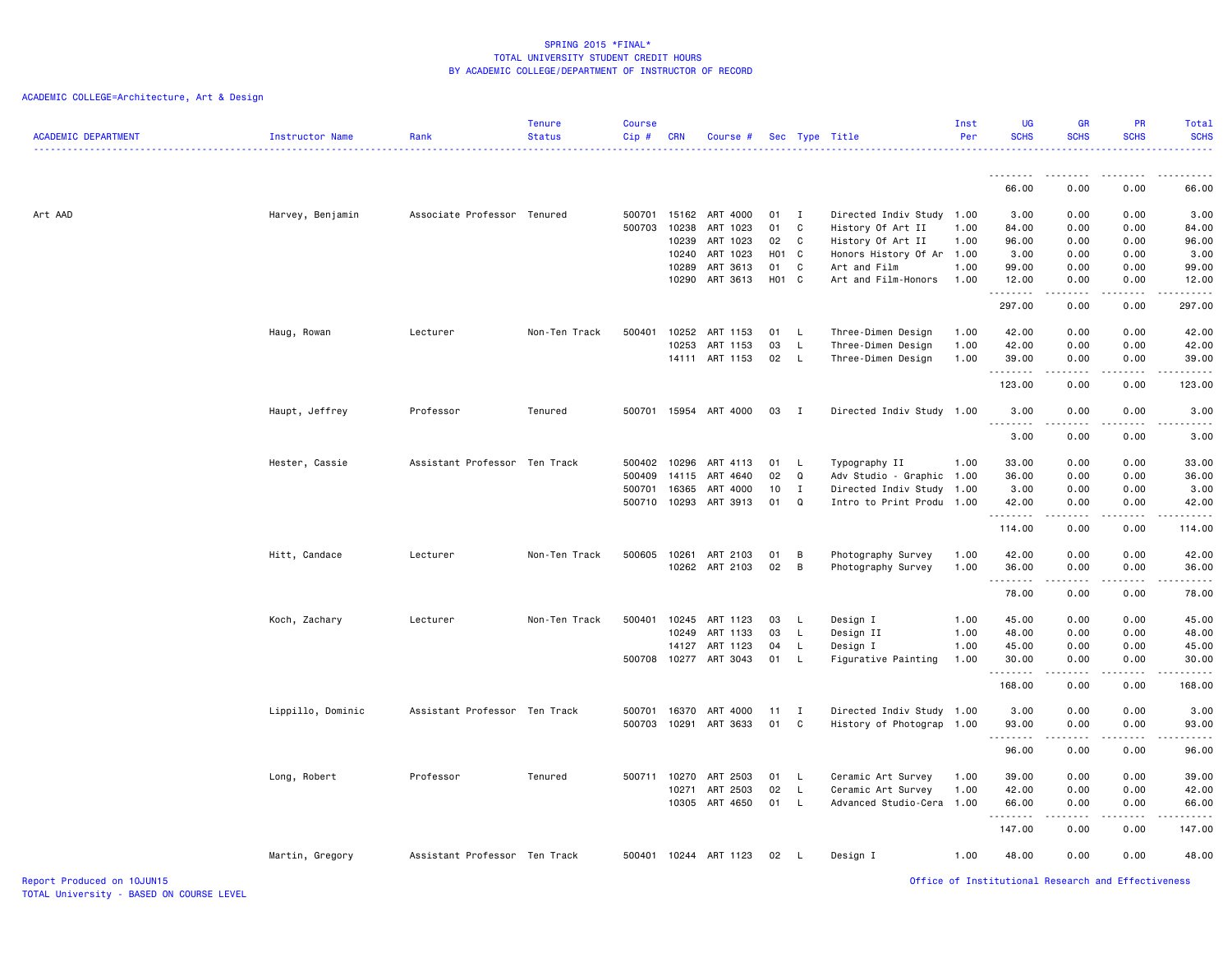| <b>ACADEMIC DEPARTMENT</b><br>Instructor Name | Rank                          | <b>Tenure</b><br><b>Status</b> | <b>Course</b><br>Cip# | <b>CRN</b> | Course #              |                         |              | Sec Type Title                      | Inst<br>Per  | <b>UG</b><br><b>SCHS</b> | <b>GR</b><br><b>SCHS</b>                                                                                                                                     | PR<br><b>SCHS</b>     | Total<br><b>SCHS</b><br><u>.</u> |
|-----------------------------------------------|-------------------------------|--------------------------------|-----------------------|------------|-----------------------|-------------------------|--------------|-------------------------------------|--------------|--------------------------|--------------------------------------------------------------------------------------------------------------------------------------------------------------|-----------------------|----------------------------------|
|                                               |                               |                                |                       |            |                       |                         |              |                                     |              | <u>.</u>                 | $  -$                                                                                                                                                        |                       |                                  |
|                                               |                               |                                |                       |            |                       |                         |              |                                     |              | 66.00                    | 0.00                                                                                                                                                         | 0.00                  | 66.00                            |
| Art AAD<br>Harvey, Benjamin                   | Associate Professor Tenured   |                                | 500701                | 15162      | ART 4000              | 01                      | $\mathbf{I}$ | Directed Indiv Study 1.00           |              | 3.00                     | 0.00                                                                                                                                                         | 0.00                  | 3.00                             |
|                                               |                               |                                | 500703                | 10238      | ART 1023              | 01                      | C            | History Of Art II                   | 1.00         | 84.00                    | 0.00                                                                                                                                                         | 0.00                  | 84.00                            |
|                                               |                               |                                |                       | 10239      | ART 1023              | 02                      | $\mathbf{C}$ | History Of Art II                   | 1.00         | 96.00                    | 0.00                                                                                                                                                         | 0.00                  | 96.00                            |
|                                               |                               |                                |                       | 10240      | ART 1023              | <b>HO1</b>              | $\mathbf{C}$ | Honors History Of Ar 1.00           |              | 3.00                     | 0.00                                                                                                                                                         | 0.00                  | 3.00                             |
|                                               |                               |                                |                       | 10289      | ART 3613<br>ART 3613  | 01<br>H <sub>01</sub> C | C            | Art and Film<br>Art and Film-Honors | 1.00<br>1.00 | 99.00                    | 0.00<br>0.00                                                                                                                                                 | 0.00<br>0.00          | 99.00<br>12.00                   |
|                                               |                               |                                |                       | 10290      |                       |                         |              |                                     |              | 12.00<br>.               |                                                                                                                                                              |                       | .                                |
|                                               |                               |                                |                       |            |                       |                         |              |                                     |              | 297.00                   | 0.00                                                                                                                                                         | 0.00                  | 297.00                           |
| Haug, Rowan                                   | Lecturer                      | Non-Ten Track                  | 500401                | 10252      | ART 1153              | 01 L                    |              | Three-Dimen Design                  | 1.00         | 42.00                    | 0.00                                                                                                                                                         | 0.00                  | 42.00                            |
|                                               |                               |                                |                       | 10253      | ART 1153              | 03                      | L.           | Three-Dimen Design                  | 1.00         | 42.00                    | 0.00                                                                                                                                                         | 0.00                  | 42.00                            |
|                                               |                               |                                |                       | 14111      | ART 1153              | 02                      | L.           | Three-Dimen Design                  | 1.00         | 39.00<br>.               | 0.00                                                                                                                                                         | 0.00                  | 39.00<br>.                       |
|                                               |                               |                                |                       |            |                       |                         |              |                                     |              | 123.00                   | 0.00                                                                                                                                                         | 0.00                  | 123.00                           |
| Haupt, Jeffrey                                | Professor                     | Tenured                        |                       |            | 500701 15954 ART 4000 | 03                      | $\mathbf{I}$ | Directed Indiv Study 1.00           |              | 3.00<br><u>.</u>         | 0.00<br>.                                                                                                                                                    | 0.00<br>$- - - -$     | 3.00<br>-----                    |
|                                               |                               |                                |                       |            |                       |                         |              |                                     |              | 3.00                     | 0.00                                                                                                                                                         | 0.00                  | 3.00                             |
| Hester, Cassie                                | Assistant Professor Ten Track |                                | 500402                | 10296      | ART 4113              | 01                      | L.           | Typography II                       | 1.00         | 33.00                    | 0.00                                                                                                                                                         | 0.00                  | 33.00                            |
|                                               |                               |                                | 500409                | 14115      | ART 4640              | 02                      | Q            | Adv Studio - Graphic 1.00           |              | 36.00                    | 0.00                                                                                                                                                         | 0.00                  | 36.00                            |
|                                               |                               |                                | 500701                | 16365      | ART 4000              | 10                      | $\mathbf{I}$ | Directed Indiv Study 1.00           |              | 3.00                     | 0.00                                                                                                                                                         | 0.00                  | 3.00                             |
|                                               |                               |                                | 500710                | 10293      | ART 3913              | 01                      | Q            | Intro to Print Produ 1.00           |              | 42.00<br>.               | 0.00<br>$\frac{1}{2} \left( \frac{1}{2} \right) \left( \frac{1}{2} \right) \left( \frac{1}{2} \right) \left( \frac{1}{2} \right) \left( \frac{1}{2} \right)$ | 0.00<br>د د د د       | 42.00<br>.                       |
|                                               |                               |                                |                       |            |                       |                         |              |                                     |              | 114.00                   | 0.00                                                                                                                                                         | 0.00                  | 114.00                           |
| Hitt, Candace                                 | Lecturer                      | Non-Ten Track                  | 500605                | 10261      | ART 2103              | 01                      | B            | Photography Survey                  | 1.00         | 42.00                    | 0.00                                                                                                                                                         | 0.00                  | 42.00                            |
|                                               |                               |                                |                       |            | 10262 ART 2103        | 02                      | B            | Photography Survey                  | 1.00         | 36.00                    | 0.00                                                                                                                                                         | 0.00                  | 36.00                            |
|                                               |                               |                                |                       |            |                       |                         |              |                                     |              | .<br>78.00               | $\frac{1}{2} \left( \frac{1}{2} \right) \left( \frac{1}{2} \right) \left( \frac{1}{2} \right) \left( \frac{1}{2} \right) \left( \frac{1}{2} \right)$<br>0.00 | .<br>0.00             | .<br>78.00                       |
| Koch, Zachary                                 | Lecturer                      | Non-Ten Track                  | 500401                | 10245      | ART 1123              | 03                      | L.           | Design I                            | 1.00         | 45.00                    | 0.00                                                                                                                                                         | 0.00                  | 45.00                            |
|                                               |                               |                                |                       | 10249      | ART 1133              | 03                      | L            | Design II                           | 1.00         | 48.00                    | 0.00                                                                                                                                                         | 0.00                  | 48.00                            |
|                                               |                               |                                |                       | 14127      | ART 1123              | 04                      | L.           | Design I                            | 1.00         | 45.00                    | 0.00                                                                                                                                                         | 0.00                  | 45.00                            |
|                                               |                               |                                | 500708                | 10277      | ART 3043              | 01                      | L.           | Figurative Painting                 | 1.00         | 30.00                    | 0.00                                                                                                                                                         | 0.00                  | 30.00                            |
|                                               |                               |                                |                       |            |                       |                         |              |                                     |              | .<br>168.00              | $- - - - -$<br>0.00                                                                                                                                          | .<br>0.00             | .<br>168.00                      |
| Lippillo, Dominic                             | Assistant Professor Ten Track |                                | 500701                | 16370      | ART 4000              | 11                      | $\mathbf{I}$ | Directed Indiv Study 1.00           |              | 3.00                     | 0.00                                                                                                                                                         | 0.00                  | 3.00                             |
|                                               |                               |                                | 500703                | 10291      | ART 3633              | 01                      | C            | History of Photograp 1.00           |              | 93.00                    | 0.00                                                                                                                                                         | 0.00                  | 93.00                            |
|                                               |                               |                                |                       |            |                       |                         |              |                                     |              | .<br>96.00               | .<br>0.00                                                                                                                                                    | $\frac{1}{2}$<br>0.00 | .<br>96.00                       |
| Long, Robert                                  | Professor                     | Tenured                        | 500711 10270          |            | ART 2503              | 01                      | L.           | Ceramic Art Survey                  | 1.00         | 39.00                    | 0.00                                                                                                                                                         | 0.00                  | 39.00                            |
|                                               |                               |                                |                       | 10271      | ART 2503              | 02                      | $\mathsf{L}$ | Ceramic Art Survey                  | 1.00         | 42.00                    | 0.00                                                                                                                                                         | 0.00                  | 42.00                            |
|                                               |                               |                                |                       | 10305      | ART 4650              | 01                      | L.           | Advanced Studio-Cera                | 1.00         | 66.00                    | 0.00                                                                                                                                                         | 0.00                  | 66.00                            |
|                                               |                               |                                |                       |            |                       |                         |              |                                     |              | .<br>147.00              | 0.00                                                                                                                                                         | 0.00                  | .<br>147.00                      |
| Martin, Gregory                               | Assistant Professor Ten Track |                                |                       |            | 500401 10244 ART 1123 | 02                      | L.           | Design I                            | 1.00         | 48.00                    | 0.00                                                                                                                                                         | 0.00                  | 48.00                            |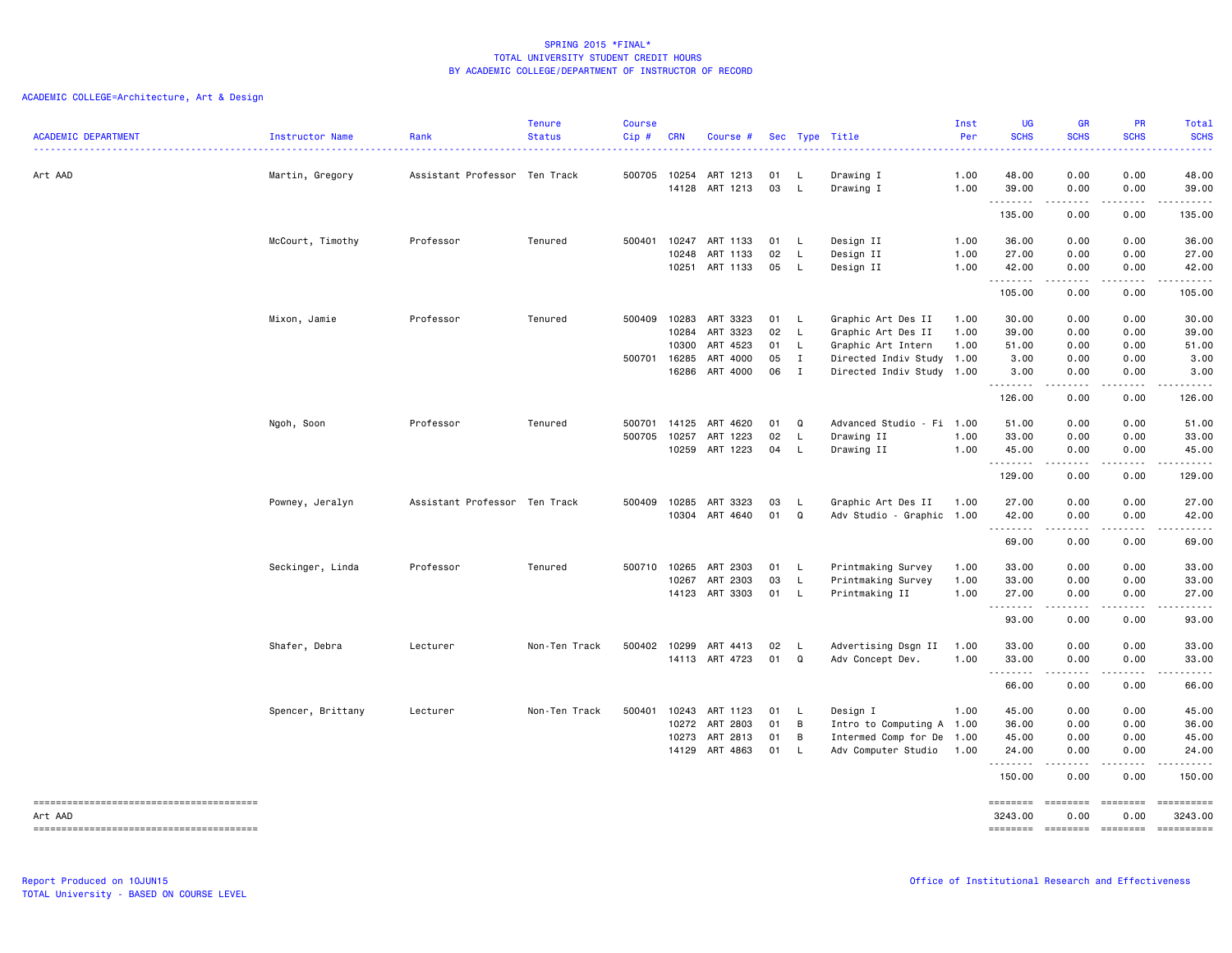| <b>ACADEMIC DEPARTMENT</b> | Instructor Name   | Rank                          | <b>Tenure</b><br><b>Status</b> | <b>Course</b><br>Cip# | <b>CRN</b>     | Course #             |          |                | Sec Type Title            | Inst<br>Per<br>$\cdots$ | <b>UG</b><br><b>SCHS</b> | <b>GR</b><br><b>SCHS</b><br>.       | PR<br><b>SCHS</b>  | Total<br><b>SCHS</b><br>.                                                                                           |
|----------------------------|-------------------|-------------------------------|--------------------------------|-----------------------|----------------|----------------------|----------|----------------|---------------------------|-------------------------|--------------------------|-------------------------------------|--------------------|---------------------------------------------------------------------------------------------------------------------|
| Art AAD                    | Martin, Gregory   | Assistant Professor Ten Track |                                | 500705                | 10254<br>14128 | ART 1213<br>ART 1213 | 01<br>03 | L.<br>L        | Drawing I<br>Drawing I    | 1.00<br>1.00            | 48.00<br>39.00           | 0.00<br>0.00                        | 0.00<br>0.00       | 48.00<br>39.00                                                                                                      |
|                            |                   |                               |                                |                       |                |                      |          |                |                           |                         | .<br>135.00              | $\sim$ $\sim$ $\sim$ $\sim$<br>0.00 | .<br>0.00          | .<br>135.00                                                                                                         |
|                            | McCourt, Timothy  | Professor                     | Tenured                        | 500401                | 10247          | ART 1133             | 01       | - L            | Design II                 | 1.00                    | 36.00                    | 0.00                                | 0.00               | 36.00                                                                                                               |
|                            |                   |                               |                                |                       | 10248          | ART 1133             | 02       | - L            | Design II                 | 1.00                    | 27.00                    | 0.00                                | 0.00               | 27.00                                                                                                               |
|                            |                   |                               |                                |                       | 10251          | ART 1133             | 05       | L.             | Design II                 | 1.00                    | 42.00<br>.               | 0.00<br>$\sim$ $\sim$ $\sim$ $\sim$ | 0.00<br>.          | 42.00<br>.                                                                                                          |
|                            |                   |                               |                                |                       |                |                      |          |                |                           |                         | 105.00                   | 0.00                                | 0.00               | 105.00                                                                                                              |
|                            | Mixon, Jamie      | Professor                     | Tenured                        | 500409                | 10283          | ART 3323             | 01       | - L            | Graphic Art Des II        | 1.00                    | 30.00                    | 0.00                                | 0.00               | 30.00                                                                                                               |
|                            |                   |                               |                                |                       |                | 10284 ART 3323       | 02       | $\mathsf{L}$   | Graphic Art Des II        | 1.00                    | 39.00                    | 0.00                                | 0.00               | 39.00                                                                                                               |
|                            |                   |                               |                                |                       | 10300          | ART 4523             | 01       | L.             | Graphic Art Intern        | 1.00                    | 51.00                    | 0.00                                | 0.00               | 51.00                                                                                                               |
|                            |                   |                               |                                | 500701                | 16285          | ART 4000             | 05       | I              | Directed Indiv Study 1.00 |                         | 3.00                     | 0.00                                | 0.00               | 3.00                                                                                                                |
|                            |                   |                               |                                |                       | 16286          | ART 4000             | 06       | $\mathbf{I}$   | Directed Indiv Study 1.00 |                         | 3.00<br>.                | 0.00<br>.                           | 0.00<br>-----      | 3.00<br>$\begin{array}{cccccccccc} \bullet & \bullet & \bullet & \bullet & \bullet & \bullet & \bullet \end{array}$ |
|                            |                   |                               |                                |                       |                |                      |          |                |                           |                         | 126.00                   | 0.00                                | 0.00               | 126.00                                                                                                              |
|                            | Ngoh, Soon        | Professor                     | Tenured                        | 500701                | 14125          | ART 4620             | 01       | Q              | Advanced Studio - Fi 1.00 |                         | 51.00                    | 0.00                                | 0.00               | 51.00                                                                                                               |
|                            |                   |                               |                                | 500705                | 10257          | ART 1223             | 02       | L              | Drawing II                | 1.00                    | 33.00                    | 0.00                                | 0.00               | 33.00                                                                                                               |
|                            |                   |                               |                                |                       | 10259          | ART 1223             | 04       | L.             | Drawing II                | 1.00                    | 45.00<br>.               | 0.00<br>.                           | 0.00<br>. <b>.</b> | 45.00<br>.                                                                                                          |
|                            |                   |                               |                                |                       |                |                      |          |                |                           |                         | 129.00                   | 0.00                                | 0.00               | 129.00                                                                                                              |
|                            | Powney, Jeralyn   | Assistant Professor Ten Track |                                | 500409                | 10285          | ART 3323             | 03       | - L            | Graphic Art Des II        | 1.00                    | 27.00                    | 0.00                                | 0.00               | 27.00                                                                                                               |
|                            |                   |                               |                                |                       |                | 10304 ART 4640       | 01 Q     |                | Adv Studio - Graphic 1.00 |                         | 42.00                    | 0.00                                | 0.00               | 42.00                                                                                                               |
|                            |                   |                               |                                |                       |                |                      |          |                |                           |                         | .<br>69.00               | $\sim$ $\sim$ $\sim$ $\sim$<br>0.00 | .<br>0.00          | .<br>69.00                                                                                                          |
|                            | Seckinger, Linda  | Professor                     | Tenured                        | 500710                | 10265          | ART 2303             | 01       | - L            | Printmaking Survey        | 1.00                    | 33.00                    | 0.00                                | 0.00               | 33.00                                                                                                               |
|                            |                   |                               |                                |                       | 10267          | ART 2303             | 03       | L              | Printmaking Survey        | 1.00                    | 33.00                    | 0.00                                | 0.00               | 33.00                                                                                                               |
|                            |                   |                               |                                |                       |                | 14123 ART 3303       | 01       | - L            | Printmaking II            | 1.00                    | 27.00                    | 0.00                                | 0.00               | 27.00                                                                                                               |
|                            |                   |                               |                                |                       |                |                      |          |                |                           |                         | .<br>93.00               | .<br>0.00                           | .<br>0.00          | .<br>93.00                                                                                                          |
|                            | Shafer, Debra     | Lecturer                      | Non-Ten Track                  | 500402                | 10299          | ART 4413             | 02       | - L            | Advertising Dsgn II       | 1.00                    | 33.00                    | 0.00                                | 0.00               | 33.00                                                                                                               |
|                            |                   |                               |                                |                       |                | 14113 ART 4723       | 01       | $\mathbf{Q}$   | Adv Concept Dev.          | 1.00                    | 33.00                    | 0.00                                | 0.00               | 33.00                                                                                                               |
|                            |                   |                               |                                |                       |                |                      |          |                |                           |                         | .<br>66.00               | .<br>0.00                           | .<br>0.00          | .<br>66.00                                                                                                          |
|                            | Spencer, Brittany | Lecturer                      | Non-Ten Track                  | 500401                |                | 10243 ART 1123       | 01       | - L            | Design I                  | 1.00                    | 45.00                    | 0.00                                | 0.00               | 45.00                                                                                                               |
|                            |                   |                               |                                |                       | 10272          | ART 2803             | 01       | B              | Intro to Computing A 1.00 |                         | 36.00                    | 0.00                                | 0.00               | 36.00                                                                                                               |
|                            |                   |                               |                                |                       | 10273          | ART 2813             | 01       | $\overline{B}$ | Intermed Comp for De      | 1.00                    | 45.00                    | 0.00                                | 0.00               | 45.00                                                                                                               |
|                            |                   |                               |                                |                       |                | 14129 ART 4863       | 01       | $\mathsf{L}$   | Adv Computer Studio       | 1.00                    | 24.00<br>.               | 0.00<br>.                           | 0.00<br>-----      | 24.00                                                                                                               |
|                            |                   |                               |                                |                       |                |                      |          |                |                           |                         | 150.00                   | 0.00                                | 0.00               | 150.00                                                                                                              |
| Art AAD                    |                   |                               |                                |                       |                |                      |          |                |                           |                         | ========<br>3243.00      | ========<br>0.00                    | ========<br>0.00   | ==========<br>3243.00                                                                                               |
|                            |                   |                               |                                |                       |                |                      |          |                |                           |                         | ========                 | <b>ESSESSE</b>                      | $=$                |                                                                                                                     |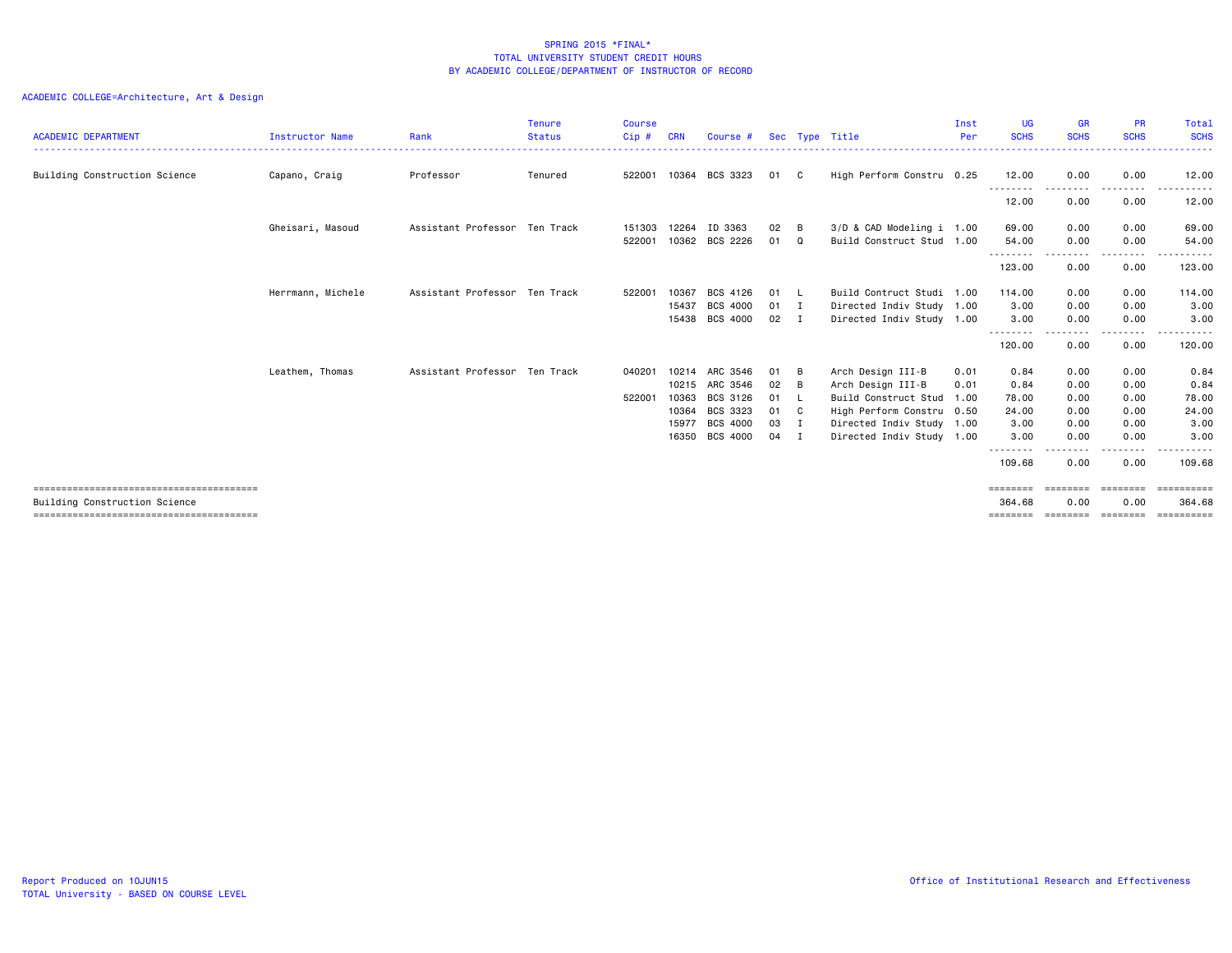| <b>ACADEMIC DEPARTMENT</b>    | Instructor Name   | Rank                          | <b>Tenure</b><br><b>Status</b> | <b>Course</b><br>Cip# | <b>CRN</b> | Course # |              |                | Sec Type Title            | Inst<br>Per | <b>UG</b><br><b>SCHS</b> | <b>GR</b><br><b>SCHS</b> | <b>PR</b><br><b>SCHS</b> | Total<br><b>SCHS</b>       |
|-------------------------------|-------------------|-------------------------------|--------------------------------|-----------------------|------------|----------|--------------|----------------|---------------------------|-------------|--------------------------|--------------------------|--------------------------|----------------------------|
|                               |                   |                               |                                |                       |            |          |              |                |                           |             |                          |                          |                          |                            |
| Building Construction Science | Capano, Craig     | Professor                     | Tenured                        | 522001                | 10364      | BCS 3323 | 01 C         |                | High Perform Constru 0.25 |             | 12.00<br>.               | 0.00                     | 0.00<br>.                | 12.00                      |
|                               |                   |                               |                                |                       |            |          |              |                |                           |             | 12.00                    | 0.00                     | 0.00                     | 12.00                      |
|                               | Gheisari, Masoud  | Assistant Professor Ten Track |                                | 151303                | 12264      | ID 3363  | 02           | B              | 3/D & CAD Modeling i 1.00 |             | 69.00                    | 0.00                     | 0.00                     | 69.00                      |
|                               |                   |                               |                                | 522001                | 10362      | BCS 2226 | 01           | Q              | Build Construct Stud 1.00 |             | 54.00                    | 0.00                     | 0.00                     | 54.00                      |
|                               |                   |                               |                                |                       |            |          |              |                |                           |             | --------<br>123.00       | 0.00                     | $- - - -$<br>0.00        | $\cdots$<br>123.00         |
|                               | Herrmann, Michele | Assistant Professor Ten Track |                                | 522001                | 10367      | BCS 4126 | 01 L         |                | Build Contruct Studi 1.00 |             | 114,00                   | 0.00                     | 0.00                     | 114.00                     |
|                               |                   |                               |                                |                       | 15437      | BCS 4000 | 01 I         |                | Directed Indiv Study 1.00 |             | 3.00                     | 0.00                     | 0.00                     | 3.00                       |
|                               |                   |                               |                                |                       | 15438      | BCS 4000 | $02 \quad I$ |                | Directed Indiv Study 1.00 |             | 3.00                     | 0.00                     | 0.00                     | 3.00                       |
|                               |                   |                               |                                |                       |            |          |              |                |                           |             | --------<br>120.00       | 0.00                     | ----<br>0.00             | .<br>120.00                |
|                               | Leathem, Thomas   | Assistant Professor Ten Track |                                | 040201                | 10214      | ARC 3546 | 01 B         |                | Arch Design III-B         | 0.01        | 0.84                     | 0.00                     | 0.00                     | 0.84                       |
|                               |                   |                               |                                |                       | 10215      | ARC 3546 | 02           | - B            | Arch Design III-B         | 0.01        | 0.84                     | 0.00                     | 0.00                     | 0.84                       |
|                               |                   |                               |                                | 522001                | 10363      | BCS 3126 | 01           | - L            | Build Construct Stud      | 1.00        | 78.00                    | 0.00                     | 0.00                     | 78.00                      |
|                               |                   |                               |                                |                       | 10364      | BCS 3323 | 01 C         |                | High Perform Constru 0.50 |             | 24.00                    | 0.00                     | 0.00                     | 24.00                      |
|                               |                   |                               |                                |                       | 15977      | BCS 4000 | 03 I         |                | Directed Indiv Study 1.00 |             | 3.00                     | 0.00                     | 0.00                     | 3.00                       |
|                               |                   |                               |                                |                       | 16350      | BCS 4000 | 04           | $\blacksquare$ | Directed Indiv Study 1.00 |             | 3.00                     | 0.00                     | 0.00                     | 3.00                       |
|                               |                   |                               |                                |                       |            |          |              |                |                           |             | $\cdots$<br>109.68       | 0.00                     | 0.00                     | 109.68                     |
|                               |                   |                               |                                |                       |            |          |              |                |                           |             | ========                 | ---------                | ========                 |                            |
| Building Construction Science |                   |                               |                                |                       |            |          |              |                |                           |             | 364,68<br>========       | 0.00<br>========         | 0.00<br>========         | 364.68<br><b>CONSESSED</b> |
|                               |                   |                               |                                |                       |            |          |              |                |                           |             |                          |                          |                          |                            |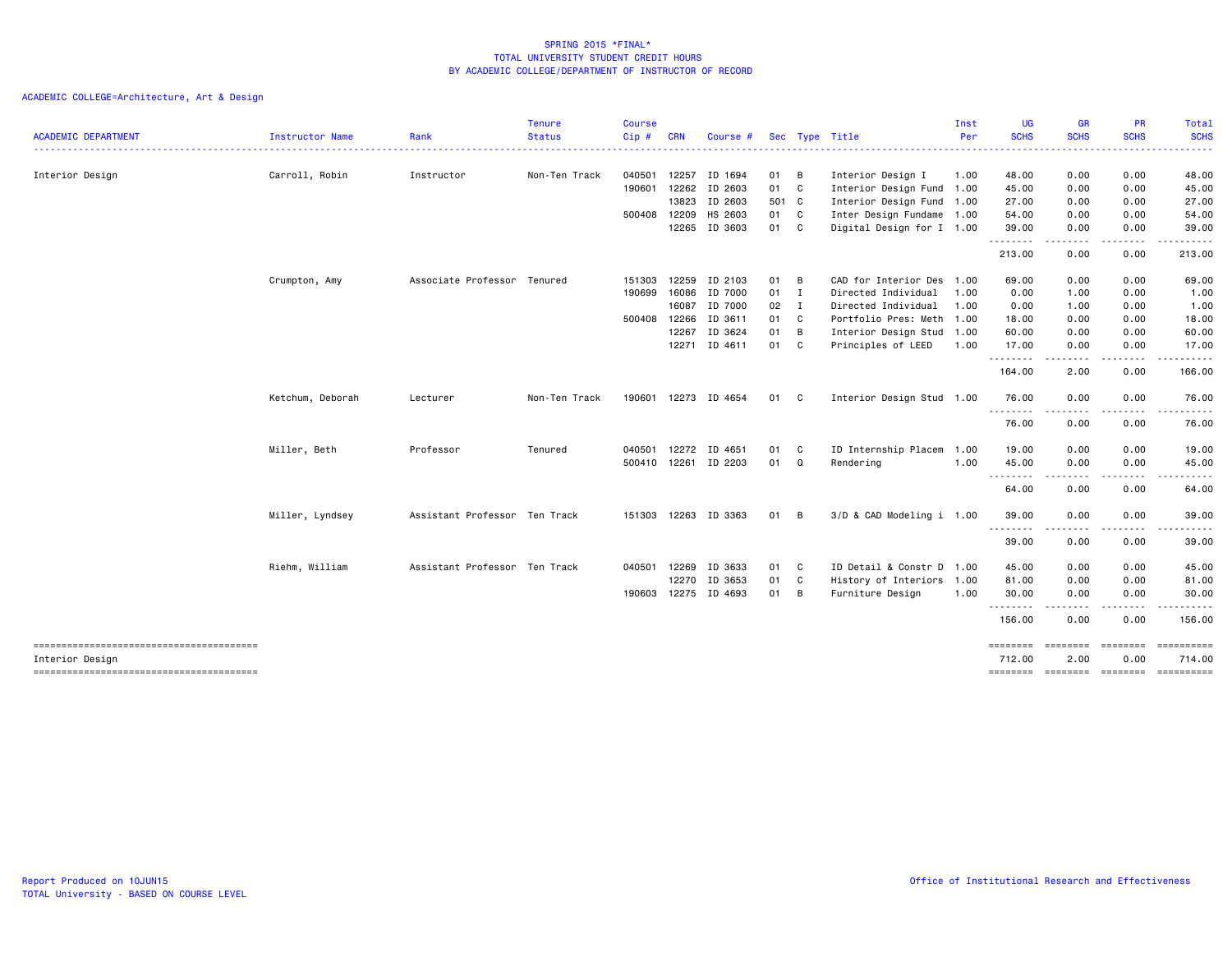| <b>ACADEMIC DEPARTMENT</b> | <b>Instructor Name</b> | Rank                          | <b>Tenure</b><br><b>Status</b> | Course<br>Cip# | <b>CRN</b>   | Course #      |               |   | Sec Type Title            | Inst<br>Per | <b>UG</b><br><b>SCHS</b> | <b>GR</b><br><b>SCHS</b>                                                                                                          | <b>PR</b><br><b>SCHS</b>                                                                                                | Total<br><b>SCHS</b>                                                                                                                                 |
|----------------------------|------------------------|-------------------------------|--------------------------------|----------------|--------------|---------------|---------------|---|---------------------------|-------------|--------------------------|-----------------------------------------------------------------------------------------------------------------------------------|-------------------------------------------------------------------------------------------------------------------------|------------------------------------------------------------------------------------------------------------------------------------------------------|
|                            |                        |                               |                                |                |              |               |               |   |                           |             |                          | ----                                                                                                                              |                                                                                                                         | $\frac{1}{2} \left( \frac{1}{2} \right) \left( \frac{1}{2} \right) \left( \frac{1}{2} \right) \left( \frac{1}{2} \right) \left( \frac{1}{2} \right)$ |
| Interior Design            | Carroll, Robin         | Instructor                    | Non-Ten Track                  | 040501         | 12257        | ID 1694       | 01 B          |   | Interior Design I         | 1.00        | 48.00                    | 0.00                                                                                                                              | 0.00                                                                                                                    | 48.00                                                                                                                                                |
|                            |                        |                               |                                | 190601         | 12262        | ID 2603       | 01 C          |   | Interior Design Fund 1.00 |             | 45.00                    | 0.00                                                                                                                              | 0.00                                                                                                                    | 45.00                                                                                                                                                |
|                            |                        |                               |                                |                | 13823        | ID 2603       | 501 C         |   | Interior Design Fund 1.00 |             | 27.00                    | 0.00                                                                                                                              | 0.00                                                                                                                    | 27.00                                                                                                                                                |
|                            |                        |                               |                                |                | 500408 12209 | HS 2603       | 01 C          |   | Inter Design Fundame 1.00 |             | 54.00                    | 0.00                                                                                                                              | 0.00                                                                                                                    | 54.00                                                                                                                                                |
|                            |                        |                               |                                |                | 12265        | ID 3603       | 01 C          |   | Digital Design for I 1.00 |             | 39.00<br>.               | 0.00<br>----                                                                                                                      | 0.00<br>-----                                                                                                           | 39.00<br>------                                                                                                                                      |
|                            |                        |                               |                                |                |              |               |               |   |                           |             | 213.00                   | 0.00                                                                                                                              | 0.00                                                                                                                    | 213.00                                                                                                                                               |
|                            | Crumpton, Amy          | Associate Professor Tenured   |                                | 151303         | 12259        | ID 2103       | 01 B          |   | CAD for Interior Des 1.00 |             | 69.00                    | 0.00                                                                                                                              | 0.00                                                                                                                    | 69.00                                                                                                                                                |
|                            |                        |                               |                                | 190699         | 16086        | ID 7000       | 01 I          |   | Directed Individual       | 1.00        | 0.00                     | 1.00                                                                                                                              | 0.00                                                                                                                    | 1.00                                                                                                                                                 |
|                            |                        |                               |                                |                | 16087        | ID 7000       | $02 \qquad I$ |   | Directed Individual       | 1.00        | 0.00                     | 1.00                                                                                                                              | 0.00                                                                                                                    | 1.00                                                                                                                                                 |
|                            |                        |                               |                                | 500408         | 12266        | ID 3611       | 01 C          |   | Portfolio Pres: Meth 1.00 |             | 18.00                    | 0.00                                                                                                                              | 0.00                                                                                                                    | 18.00                                                                                                                                                |
|                            |                        |                               |                                |                | 12267        | ID 3624       | 01            | B | Interior Design Stud 1.00 |             | 60.00                    | 0.00                                                                                                                              | 0.00                                                                                                                    | 60.00                                                                                                                                                |
|                            |                        |                               |                                |                |              | 12271 ID 4611 | 01 C          |   | Principles of LEED        | 1.00        | 17.00<br>.               | 0.00<br>$\frac{1}{2} \left( \frac{1}{2} \right) \left( \frac{1}{2} \right) \left( \frac{1}{2} \right) \left( \frac{1}{2} \right)$ | 0.00<br>. <b>.</b>                                                                                                      | 17.00<br>.                                                                                                                                           |
|                            |                        |                               |                                |                |              |               |               |   |                           |             | 164.00                   | 2.00                                                                                                                              | 0.00                                                                                                                    | 166.00                                                                                                                                               |
|                            | Ketchum, Deborah       | Lecturer                      | Non-Ten Track                  | 190601         |              | 12273 ID 4654 | 01 C          |   | Interior Design Stud 1.00 |             | 76.00<br>.               | 0.00                                                                                                                              | 0.00                                                                                                                    | 76.00                                                                                                                                                |
|                            |                        |                               |                                |                |              |               |               |   |                           |             | 76.00                    | $\frac{1}{2} \left( \frac{1}{2} \right) \left( \frac{1}{2} \right) \left( \frac{1}{2} \right) \left( \frac{1}{2} \right)$<br>0.00 | -----<br>0.00                                                                                                           | .<br>76.00                                                                                                                                           |
|                            | Miller, Beth           | Professor                     | Tenured                        | 040501         | 12272        | ID 4651       | 01            | C | ID Internship Placem      | 1.00        | 19.00                    | 0.00                                                                                                                              | 0.00                                                                                                                    | 19.00                                                                                                                                                |
|                            |                        |                               |                                | 500410         |              | 12261 ID 2203 | 01 Q          |   | Rendering                 | 1.00        | 45.00<br>--------        | 0.00<br>.                                                                                                                         | 0.00                                                                                                                    | 45.00                                                                                                                                                |
|                            |                        |                               |                                |                |              |               |               |   |                           |             | 64.00                    | 0.00                                                                                                                              | 0.00                                                                                                                    | 64.00                                                                                                                                                |
|                            | Miller, Lyndsey        | Assistant Professor Ten Track |                                | 151303         |              | 12263 ID 3363 | 01            | B | 3/D & CAD Modeling i 1.00 |             | 39.00                    | 0.00                                                                                                                              | 0.00                                                                                                                    | 39.00                                                                                                                                                |
|                            |                        |                               |                                |                |              |               |               |   |                           |             | .<br>39.00               | $\frac{1}{2} \left( \frac{1}{2} \right) \left( \frac{1}{2} \right) \left( \frac{1}{2} \right) \left( \frac{1}{2} \right)$<br>0.00 | .<br>0.00                                                                                                               | 39.00                                                                                                                                                |
|                            | Riehm, William         | Assistant Professor Ten Track |                                | 040501         | 12269        | ID 3633       | 01 C          |   | ID Detail & Constr D 1.00 |             | 45.00                    | 0.00                                                                                                                              | 0.00                                                                                                                    | 45.00                                                                                                                                                |
|                            |                        |                               |                                |                | 12270        | ID 3653       | 01            | C | History of Interiors      | 1.00        | 81.00                    | 0.00                                                                                                                              | 0.00                                                                                                                    | 81.00                                                                                                                                                |
|                            |                        |                               |                                | 190603         |              | 12275 ID 4693 | 01 B          |   | Furniture Design          | 1.00        | 30.00                    | 0.00                                                                                                                              | 0.00                                                                                                                    | 30.00                                                                                                                                                |
|                            |                        |                               |                                |                |              |               |               |   |                           |             | .<br>156.00              | .<br>0.00                                                                                                                         | $\begin{array}{cccccccccccccc} \bullet & \bullet & \bullet & \bullet & \bullet & \bullet & \bullet \end{array}$<br>0.00 | ------<br>156.00                                                                                                                                     |
|                            |                        |                               |                                |                |              |               |               |   |                           |             | ========                 | <b>ESSESSE</b>                                                                                                                    | ========                                                                                                                | ==========                                                                                                                                           |
| Interior Design            |                        |                               |                                |                |              |               |               |   |                           |             | 712.00                   | 2.00                                                                                                                              | 0.00                                                                                                                    | 714.00<br>-------- ------- -------- ---------                                                                                                        |
|                            |                        |                               |                                |                |              |               |               |   |                           |             |                          |                                                                                                                                   |                                                                                                                         |                                                                                                                                                      |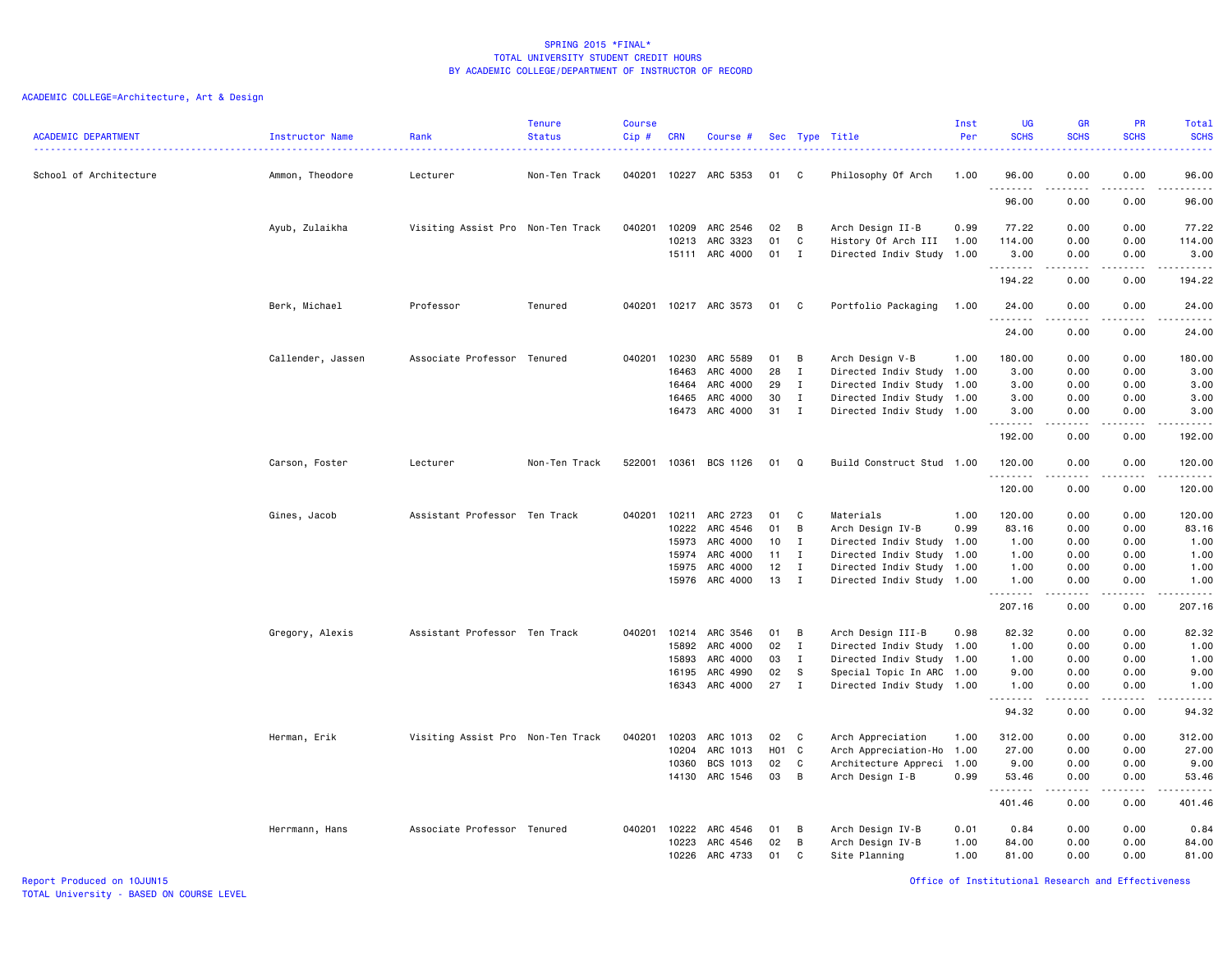| <b>ACADEMIC DEPARTMENT</b> | <b>Instructor Name</b> | Rank                              | <b>Tenure</b><br><b>Status</b> | <b>Course</b><br>Cip# | <b>CRN</b> | Course #                   |          |             | Sec Type Title                                   | Inst<br>Per | <b>UG</b><br><b>SCHS</b> | <b>GR</b><br><b>SCHS</b> | PR<br><b>SCHS</b><br>.              | Total<br><b>SCHS</b><br>$\frac{1}{2} \left( \frac{1}{2} \right) \left( \frac{1}{2} \right) \left( \frac{1}{2} \right) \left( \frac{1}{2} \right)$            |
|----------------------------|------------------------|-----------------------------------|--------------------------------|-----------------------|------------|----------------------------|----------|-------------|--------------------------------------------------|-------------|--------------------------|--------------------------|-------------------------------------|--------------------------------------------------------------------------------------------------------------------------------------------------------------|
| School of Architecture     | Ammon, Theodore        | Lecturer                          | Non-Ten Track                  |                       |            | 040201 10227 ARC 5353      | 01       | C           | Philosophy Of Arch                               | 1.00        | 96.00<br>.               | 0.00<br>.                | 0.00<br>.                           | 96.00<br>$\omega$ is a $\omega$ in $\omega$                                                                                                                  |
|                            |                        |                                   |                                |                       |            |                            |          |             |                                                  |             | 96.00                    | 0.00                     | 0.00                                | 96.00                                                                                                                                                        |
|                            | Ayub, Zulaikha         | Visiting Assist Pro Non-Ten Track |                                | 040201                | 10209      | ARC 2546                   | 02       | B           | Arch Design II-B                                 | 0.99        | 77.22                    | 0.00                     | 0.00                                | 77.22                                                                                                                                                        |
|                            |                        |                                   |                                |                       | 10213      | ARC 3323<br>15111 ARC 4000 | 01<br>01 | C<br>Ι.     | History Of Arch III<br>Directed Indiv Study 1.00 | 1.00        | 114.00<br>3.00           | 0.00<br>0.00             | 0.00<br>0.00                        | 114.00<br>3,00                                                                                                                                               |
|                            |                        |                                   |                                |                       |            |                            |          |             |                                                  |             | .<br>194.22              | .<br>0.00                | .<br>0.00                           | .<br>194.22                                                                                                                                                  |
|                            | Berk, Michael          | Professor                         | Tenured                        |                       |            | 040201 10217 ARC 3573      | 01       | C           | Portfolio Packaging                              | 1.00        | 24.00                    | 0.00                     | 0.00                                | 24.00                                                                                                                                                        |
|                            |                        |                                   |                                |                       |            |                            |          |             |                                                  |             | .<br>24.00               | .<br>0.00                | $\frac{1}{2}$<br>0.00               | .<br>24.00                                                                                                                                                   |
|                            | Callender, Jassen      | Associate Professor Tenured       |                                | 040201                | 10230      | ARC 5589                   | 01       | В           | Arch Design V-B                                  | 1.00        | 180.00                   | 0.00                     | 0.00                                | 180.00                                                                                                                                                       |
|                            |                        |                                   |                                |                       | 16463      | ARC 4000                   | 28       | $\mathbf I$ | Directed Indiv Study 1.00                        |             | 3.00                     | 0.00                     | 0.00                                | 3.00                                                                                                                                                         |
|                            |                        |                                   |                                |                       | 16464      | ARC 4000                   | 29       | I           | Directed Indiv Study 1.00                        |             | 3.00                     | 0.00                     | 0.00                                | 3.00                                                                                                                                                         |
|                            |                        |                                   |                                |                       | 16465      | ARC 4000                   | 30       | $\mathbf I$ | Directed Indiv Study 1.00                        |             | 3.00                     | 0.00                     | 0.00                                | 3.00                                                                                                                                                         |
|                            |                        |                                   |                                |                       | 16473      | ARC 4000                   | 31       | I           | Directed Indiv Study 1.00                        |             | 3.00<br>.                | 0.00<br>.                | 0.00<br>.                           | 3.00<br>.                                                                                                                                                    |
|                            |                        |                                   |                                |                       |            |                            |          |             |                                                  |             | 192.00                   | 0.00                     | 0.00                                | 192.00                                                                                                                                                       |
|                            | Carson, Foster         | Lecturer                          | Non-Ten Track                  | 522001                | 10361      | BCS 1126                   | 01       | Q           | Build Construct Stud 1.00                        |             | 120.00<br>.              | 0.00                     | 0.00<br>$- - - -$                   | 120.00<br>.                                                                                                                                                  |
|                            |                        |                                   |                                |                       |            |                            |          |             |                                                  |             | 120.00                   | 0.00                     | 0.00                                | 120.00                                                                                                                                                       |
|                            | Gines, Jacob           | Assistant Professor Ten Track     |                                | 040201                | 10211      | ARC 2723                   | 01       | C           | Materials                                        | 1.00        | 120.00                   | 0.00                     | 0.00                                | 120.00                                                                                                                                                       |
|                            |                        |                                   |                                |                       | 10222      | ARC 4546                   | 01       | В           | Arch Design IV-B                                 | 0.99        | 83.16                    | 0.00                     | 0.00                                | 83.16                                                                                                                                                        |
|                            |                        |                                   |                                |                       | 15973      | ARC 4000                   | 10       | I           | Directed Indiv Study 1.00                        |             | 1.00                     | 0.00                     | 0.00                                | 1.00                                                                                                                                                         |
|                            |                        |                                   |                                |                       | 15974      | ARC 4000                   | 11       | I           | Directed Indiv Study 1.00                        |             | 1.00                     | 0.00                     | 0.00                                | 1.00                                                                                                                                                         |
|                            |                        |                                   |                                |                       | 15975      | ARC 4000                   | 12       | Ι.          | Directed Indiv Study 1.00                        |             | 1.00                     | 0.00                     | 0.00                                | 1.00                                                                                                                                                         |
|                            |                        |                                   |                                |                       | 15976      | ARC 4000                   | 13       | I           | Directed Indiv Study 1.00                        |             | 1.00<br>.                | 0.00<br>2.2.2.2.2        | 0.00<br>.                           | 1.00<br>.                                                                                                                                                    |
|                            |                        |                                   |                                |                       |            |                            |          |             |                                                  |             | 207.16                   | 0.00                     | 0.00                                | 207.16                                                                                                                                                       |
|                            | Gregory, Alexis        | Assistant Professor Ten Track     |                                | 040201                | 10214      | ARC 3546                   | 01       | в           | Arch Design III-B                                | 0.98        | 82.32                    | 0.00                     | 0.00                                | 82.32                                                                                                                                                        |
|                            |                        |                                   |                                |                       | 15892      | ARC 4000                   | 02       | Ι.          | Directed Indiv Study 1.00                        |             | 1.00                     | 0.00                     | 0.00                                | 1.00                                                                                                                                                         |
|                            |                        |                                   |                                |                       | 15893      | ARC 4000                   | 03       | T           | Directed Indiv Study 1.00                        |             | 1.00                     | 0.00                     | 0.00                                | 1.00                                                                                                                                                         |
|                            |                        |                                   |                                |                       | 16195      | ARC 4990                   | 02       | S           | Special Topic In ARC 1.00                        |             | 9.00                     | 0.00                     | 0.00                                | 9.00                                                                                                                                                         |
|                            |                        |                                   |                                |                       |            | 16343 ARC 4000             | 27       | $\mathbf I$ | Directed Indiv Study 1.00                        |             | 1.00<br>.                | 0.00<br>.                | 0.00<br>.                           | 1.00<br>$\frac{1}{2} \left( \frac{1}{2} \right) \left( \frac{1}{2} \right) \left( \frac{1}{2} \right) \left( \frac{1}{2} \right) \left( \frac{1}{2} \right)$ |
|                            |                        |                                   |                                |                       |            |                            |          |             |                                                  |             | 94.32                    | 0.00                     | 0.00                                | 94.32                                                                                                                                                        |
|                            | Herman, Erik           | Visiting Assist Pro Non-Ten Track |                                | 040201                | 10203      | ARC 1013                   | 02       | C           | Arch Appreciation                                | 1.00        | 312.00                   | 0.00                     | 0.00                                | 312.00                                                                                                                                                       |
|                            |                        |                                   |                                |                       | 10204      | ARC 1013                   | H01      | C           | Arch Appreciation-Ho 1.00                        |             | 27.00                    | 0.00                     | 0.00                                | 27.00                                                                                                                                                        |
|                            |                        |                                   |                                |                       | 10360      | BCS 1013                   | 02       | C           | Architecture Appreci                             | 1.00        | 9.00                     | 0.00                     | 0.00                                | 9.00                                                                                                                                                         |
|                            |                        |                                   |                                |                       |            | 14130 ARC 1546             | 03       | В           | Arch Design I-B                                  | 0.99        | 53.46<br>.               | 0.00<br>.                | 0.00<br>$\sim$ $\sim$ $\sim$ $\sim$ | 53.46<br>.                                                                                                                                                   |
|                            |                        |                                   |                                |                       |            |                            |          |             |                                                  |             | 401.46                   | 0.00                     | 0.00                                | 401.46                                                                                                                                                       |
|                            | Herrmann, Hans         | Associate Professor Tenured       |                                | 040201 10222          |            | ARC 4546                   | 01       | В           | Arch Design IV-B                                 | 0.01        | 0.84                     | 0.00                     | 0.00                                | 0.84                                                                                                                                                         |
|                            |                        |                                   |                                |                       | 10223      | ARC 4546                   | 02       | B           | Arch Design IV-B                                 | 1.00        | 84.00                    | 0.00                     | 0.00                                | 84.00                                                                                                                                                        |
|                            |                        |                                   |                                |                       | 10226      | ARC 4733                   | 01       | C           | Site Planning                                    | 1.00        | 81.00                    | 0.00                     | 0.00                                | 81.00                                                                                                                                                        |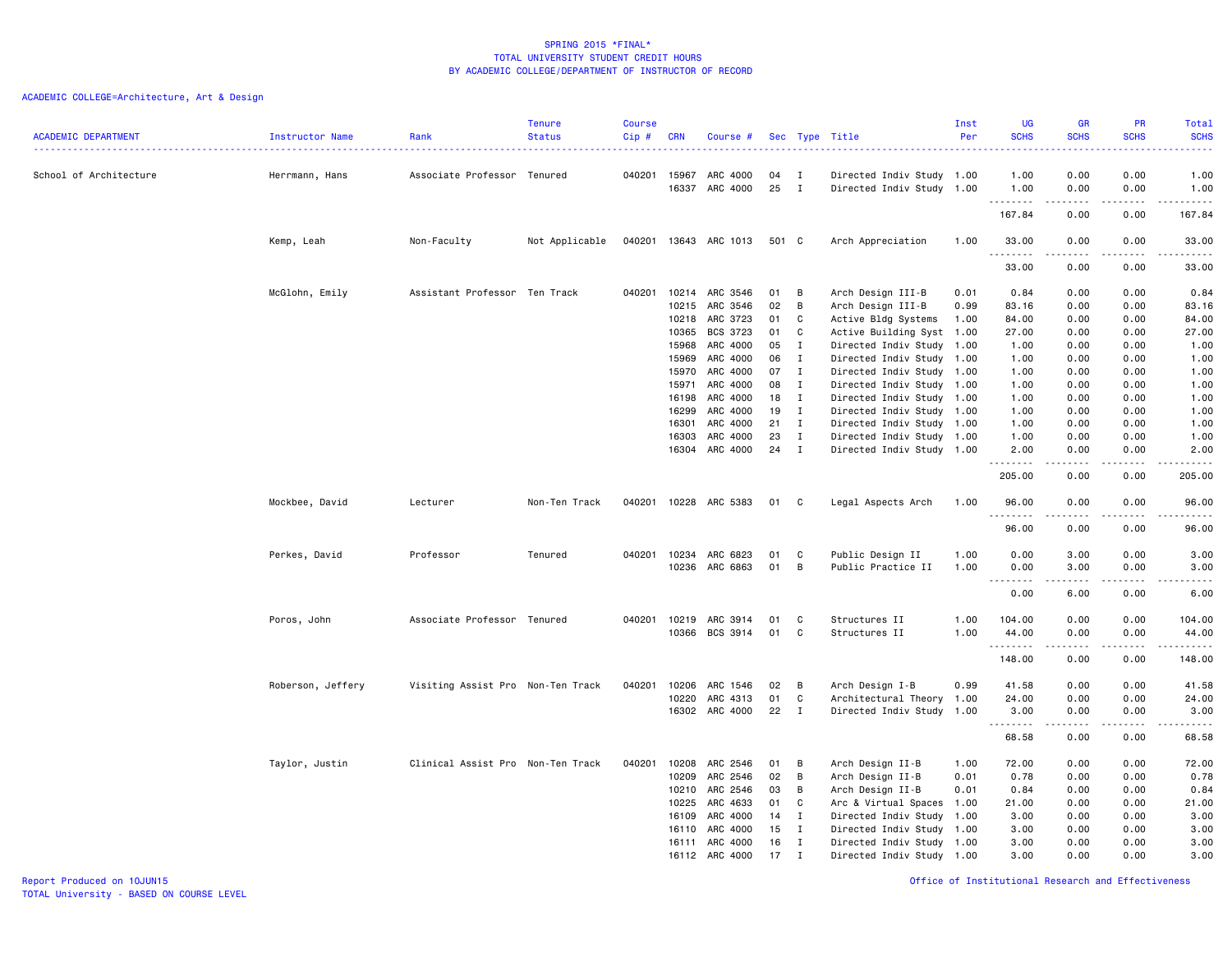| <b>ACADEMIC DEPARTMENT</b> | <b>Instructor Name</b> | Rank                              | <b>Tenure</b><br><b>Status</b> | <b>Course</b><br>$Cip \#$ | <b>CRN</b>            | Course #              |          |                   | Sec Type Title                                         | Inst<br>Per | <b>UG</b><br><b>SCHS</b><br>المتمالين               | <b>GR</b><br><b>SCHS</b> | PR<br><b>SCHS</b>           | Total<br><b>SCHS</b><br>.                                                                                                                                     |
|----------------------------|------------------------|-----------------------------------|--------------------------------|---------------------------|-----------------------|-----------------------|----------|-------------------|--------------------------------------------------------|-------------|-----------------------------------------------------|--------------------------|-----------------------------|---------------------------------------------------------------------------------------------------------------------------------------------------------------|
| School of Architecture     | Herrmann, Hans         | Associate Professor Tenured       |                                |                           | 040201 15967<br>16337 | ARC 4000<br>ARC 4000  | 04<br>25 | Ι.<br>$\mathbf I$ | Directed Indiv Study 1.00<br>Directed Indiv Study 1.00 |             | 1.00<br>1.00                                        | 0.00<br>0.00             | 0.00<br>0.00                | 1.00<br>1.00                                                                                                                                                  |
|                            |                        |                                   |                                |                           |                       |                       |          |                   |                                                        |             | .<br>167.84                                         | 0.00                     | $- - - -$<br>0.00           | .<br>167.84                                                                                                                                                   |
|                            | Kemp, Leah             | Non-Faculty                       | Not Applicable                 |                           |                       | 040201 13643 ARC 1013 | 501 C    |                   | Arch Appreciation                                      | 1.00        | 33.00                                               | 0.00                     | 0.00                        | 33.00                                                                                                                                                         |
|                            |                        |                                   |                                |                           |                       |                       |          |                   |                                                        |             | .<br>33.00                                          | .<br>0.00                | .<br>0.00                   | .<br>33.00                                                                                                                                                    |
|                            | McGlohn, Emily         | Assistant Professor Ten Track     |                                | 040201                    | 10214                 | ARC 3546              | 01       | в                 | Arch Design III-B                                      | 0.01        | 0.84                                                | 0.00                     | 0.00                        | 0.84                                                                                                                                                          |
|                            |                        |                                   |                                |                           | 10215                 | ARC 3546              | 02       | B                 | Arch Design III-B                                      | 0.99        | 83.16                                               | 0.00                     | 0.00                        | 83.16                                                                                                                                                         |
|                            |                        |                                   |                                |                           | 10218                 | ARC 3723              | 01       | C                 | Active Bldg Systems                                    | 1.00        | 84.00                                               | 0.00                     | 0.00                        | 84.00                                                                                                                                                         |
|                            |                        |                                   |                                |                           | 10365                 | BCS 3723              | 01       | C                 | Active Building Syst 1.00                              |             | 27.00                                               | 0.00                     | 0.00                        | 27.00                                                                                                                                                         |
|                            |                        |                                   |                                |                           | 15968                 | ARC 4000              | 05       | I                 | Directed Indiv Study 1.00                              |             | 1.00                                                | 0.00                     | 0.00                        | 1.00                                                                                                                                                          |
|                            |                        |                                   |                                |                           | 15969                 | ARC 4000              | 06       | T                 | Directed Indiv Study 1.00                              |             | 1.00                                                | 0.00                     | 0.00                        | 1.00                                                                                                                                                          |
|                            |                        |                                   |                                |                           | 15970                 | ARC 4000              | 07       | $\mathbf{I}$      | Directed Indiv Study 1.00                              |             | 1.00                                                | 0.00                     | 0.00                        | 1.00                                                                                                                                                          |
|                            |                        |                                   |                                |                           | 15971                 | ARC 4000              | 08       | $\mathbf I$       | Directed Indiv Study 1.00                              |             | 1.00                                                | 0.00                     | 0.00                        | 1.00                                                                                                                                                          |
|                            |                        |                                   |                                |                           | 16198                 | ARC 4000              | 18       | $\mathbf I$       | Directed Indiv Study 1.00                              |             | 1.00                                                | 0.00                     | 0.00                        | 1.00                                                                                                                                                          |
|                            |                        |                                   |                                |                           | 16299                 | ARC 4000              | 19       | $\mathbf I$       | Directed Indiv Study 1.00                              |             | 1.00                                                | 0.00                     | 0.00                        | 1.00                                                                                                                                                          |
|                            |                        |                                   |                                |                           | 16301                 | ARC 4000              | 21       | $\mathbf I$       | Directed Indiv Study 1.00                              |             | 1.00                                                | 0.00                     | 0.00                        | 1.00                                                                                                                                                          |
|                            |                        |                                   |                                |                           | 16303                 | ARC 4000              | 23       | I                 | Directed Indiv Study 1.00                              |             | 1.00                                                | 0.00                     | 0.00                        | 1.00                                                                                                                                                          |
|                            |                        |                                   |                                |                           | 16304                 | ARC 4000              | 24       | $\mathbf I$       | Directed Indiv Study 1.00                              |             | 2.00<br>.                                           | 0.00                     | 0.00<br>$\frac{1}{2}$       | 2.00<br>-----                                                                                                                                                 |
|                            |                        |                                   |                                |                           |                       |                       |          |                   |                                                        |             | 205.00                                              | 0.00                     | 0.00                        | 205.00                                                                                                                                                        |
|                            | Mockbee, David         | Lecturer                          | Non-Ten Track                  | 040201                    |                       | 10228 ARC 5383        | 01       | C                 | Legal Aspects Arch                                     | 1.00        | 96.00<br>.                                          | 0.00                     | 0.00                        | 96.00<br>$\frac{1}{2} \left( \frac{1}{2} \right) \left( \frac{1}{2} \right) \left( \frac{1}{2} \right) \left( \frac{1}{2} \right) \left( \frac{1}{2} \right)$ |
|                            |                        |                                   |                                |                           |                       |                       |          |                   |                                                        |             | 96.00                                               | 0.00                     | 0.00                        | 96.00                                                                                                                                                         |
|                            | Perkes, David          | Professor                         | Tenured                        | 040201                    | 10234                 | ARC 6823              | 01       | C                 | Public Design II                                       | 1.00        | 0.00                                                | 3.00                     | 0.00                        | 3.00                                                                                                                                                          |
|                            |                        |                                   |                                |                           | 10236                 | ARC 6863              | 01       | B                 | Public Practice II                                     | 1.00        | 0.00                                                | 3.00                     | 0.00                        | 3.00                                                                                                                                                          |
|                            |                        |                                   |                                |                           |                       |                       |          |                   |                                                        |             | $\sim$ $\sim$ $\sim$<br>$\sim$ $\sim$ $\sim$ $\sim$ | .                        | $\sim$ $\sim$ $\sim$ $\sim$ | د د د د                                                                                                                                                       |
|                            |                        |                                   |                                |                           |                       |                       |          |                   |                                                        |             | 0.00                                                | 6.00                     | 0.00                        | 6.00                                                                                                                                                          |
|                            | Poros, John            | Associate Professor Tenured       |                                | 040201                    | 10219                 | ARC 3914              | 01       | C                 | Structures II                                          | 1.00        | 104.00                                              | 0.00                     | 0.00                        | 104.00                                                                                                                                                        |
|                            |                        |                                   |                                |                           | 10366                 | BCS 3914              | 01       | C                 | Structures II                                          | 1.00        | 44.00<br>.                                          | 0.00                     | 0.00                        | 44.00<br>د د د د د                                                                                                                                            |
|                            |                        |                                   |                                |                           |                       |                       |          |                   |                                                        |             | 148.00                                              | 0.00                     | 0.00                        | 148.00                                                                                                                                                        |
|                            | Roberson, Jeffery      | Visiting Assist Pro Non-Ten Track |                                | 040201                    | 10206                 | ARC 1546              | 02       | B                 | Arch Design I-B                                        | 0.99        | 41.58                                               | 0.00                     | 0.00                        | 41.58                                                                                                                                                         |
|                            |                        |                                   |                                |                           | 10220                 | ARC 4313              | 01       | C                 | Architectural Theory 1.00                              |             | 24.00                                               | 0.00                     | 0.00                        | 24.00                                                                                                                                                         |
|                            |                        |                                   |                                |                           | 16302                 | ARC 4000              | 22       | I                 | Directed Indiv Study 1.00                              |             | 3.00                                                | 0.00                     | 0.00                        | 3.00                                                                                                                                                          |
|                            |                        |                                   |                                |                           |                       |                       |          |                   |                                                        |             | <u>.</u>                                            | .                        | $\cdots$                    | $\frac{1}{2} \left( \frac{1}{2} \right) \left( \frac{1}{2} \right) \left( \frac{1}{2} \right) \left( \frac{1}{2} \right) \left( \frac{1}{2} \right)$          |
|                            |                        |                                   |                                |                           |                       |                       |          |                   |                                                        |             | 68.58                                               | 0.00                     | 0.00                        | 68.58                                                                                                                                                         |
|                            | Taylor, Justin         | Clinical Assist Pro Non-Ten Track |                                | 040201                    | 10208                 | ARC 2546              | 01       | В                 | Arch Design II-B                                       | 1.00        | 72.00                                               | 0.00                     | 0.00                        | 72.00                                                                                                                                                         |
|                            |                        |                                   |                                |                           | 10209                 | ARC 2546              | 02       | в                 | Arch Design II-B                                       | 0.01        | 0.78                                                | 0.00                     | 0.00                        | 0.78                                                                                                                                                          |
|                            |                        |                                   |                                |                           | 10210                 | ARC 2546              | 03       | В                 | Arch Design II-B                                       | 0.01        | 0.84                                                | 0.00                     | 0.00                        | 0.84                                                                                                                                                          |
|                            |                        |                                   |                                |                           | 10225                 | ARC 4633              | 01       | C                 | Arc & Virtual Spaces                                   | 1.00        | 21.00                                               | 0.00                     | 0.00                        | 21.00                                                                                                                                                         |
|                            |                        |                                   |                                |                           | 16109                 | ARC 4000              | 14       | Ι.                | Directed Indiv Study 1.00                              |             | 3.00                                                | 0.00                     | 0.00                        | 3.00                                                                                                                                                          |
|                            |                        |                                   |                                |                           | 16110                 | ARC 4000              | 15       | I                 | Directed Indiv Study 1.00                              |             | 3.00                                                | 0.00                     | 0.00                        | 3.00                                                                                                                                                          |
|                            |                        |                                   |                                |                           | 16111                 | ARC 4000              | 16       | Ι.                | Directed Indiv Study 1.00                              |             | 3.00                                                | 0.00                     | 0.00                        | 3.00                                                                                                                                                          |
|                            |                        |                                   |                                |                           | 16112                 | ARC 4000              | 17       | Ι.                | Directed Indiv Study 1.00                              |             | 3.00                                                | 0.00                     | 0.00                        | 3.00                                                                                                                                                          |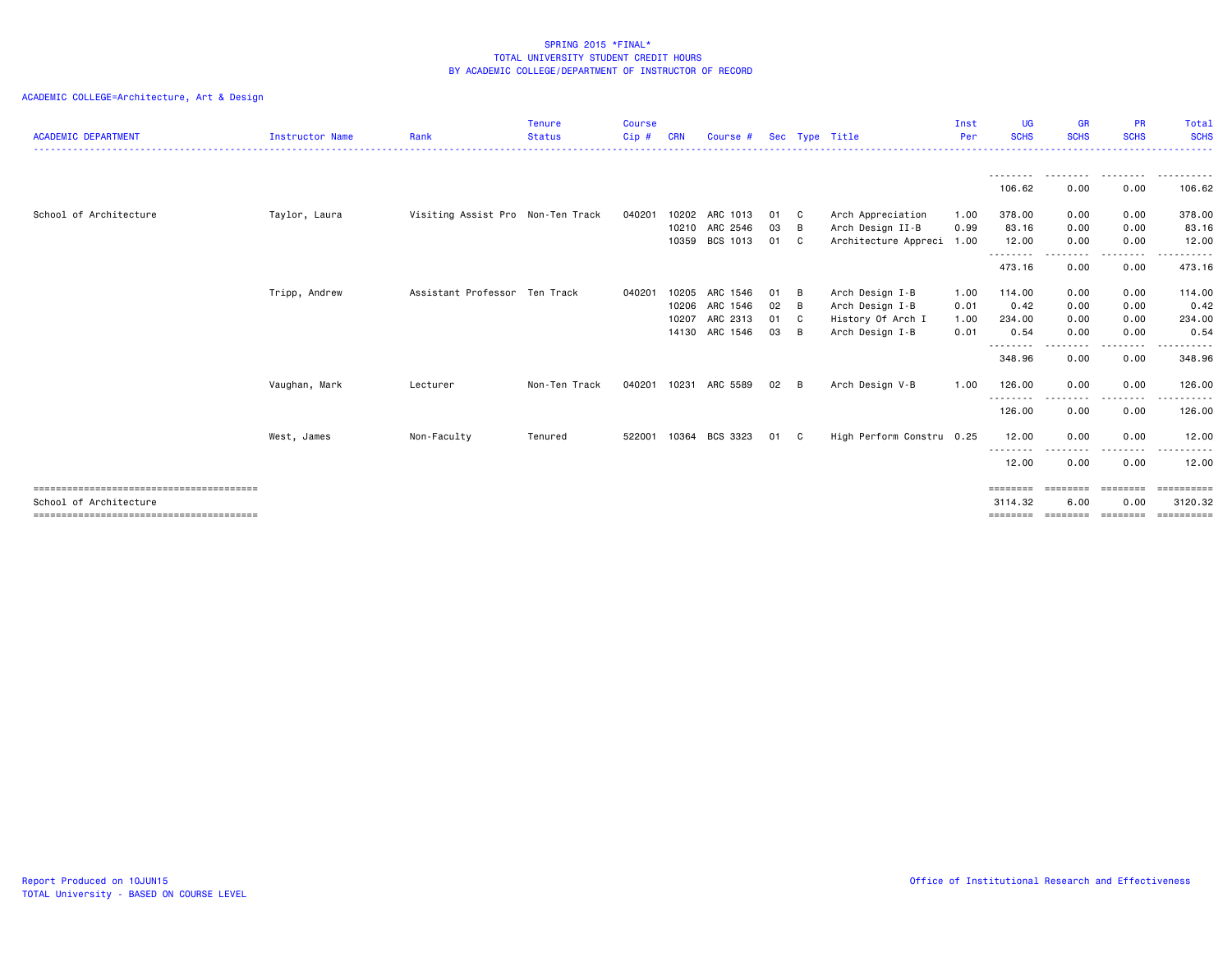| <b>ACADEMIC DEPARTMENT</b> | <b>Instructor Name</b> | Rank                              | <b>Tenure</b><br><b>Status</b> | <b>Course</b><br>$Cip$ # | CRN   | Course #       |    |                | Sec Type Title            | Inst<br>Per | <b>UG</b><br><b>SCHS</b> | <b>GR</b><br><b>SCHS</b> | <b>PR</b><br><b>SCHS</b> | Total<br><b>SCHS</b> |
|----------------------------|------------------------|-----------------------------------|--------------------------------|--------------------------|-------|----------------|----|----------------|---------------------------|-------------|--------------------------|--------------------------|--------------------------|----------------------|
|                            |                        |                                   |                                |                          |       |                |    |                |                           |             |                          |                          |                          |                      |
|                            |                        |                                   |                                |                          |       |                |    |                |                           |             | <br>106.62               | 0.00                     | 0.00                     | .<br>106.62          |
| School of Architecture     | Taylor, Laura          | Visiting Assist Pro Non-Ten Track |                                | 040201                   | 10202 | ARC 1013       | 01 | - C            | Arch Appreciation         | 1.00        | 378.00                   | 0.00                     | 0.00                     | 378.00               |
|                            |                        |                                   |                                |                          |       | 10210 ARC 2546 | 03 | B              | Arch Design II-B          | 0.99        | 83.16                    | 0.00                     | 0.00                     | 83.16                |
|                            |                        |                                   |                                |                          | 10359 | BCS 1013       | 01 | - C            | Architecture Appreci 1.00 |             | 12.00<br>---------       | 0.00                     | 0.00                     | 12.00                |
|                            |                        |                                   |                                |                          |       |                |    |                |                           |             | 473.16                   | 0.00                     | 0.00                     | 473.16               |
|                            | Tripp, Andrew          | Assistant Professor Ten Track     |                                | 040201                   | 10205 | ARC 1546       | 01 | B              | Arch Design I-B           | 1.00        | 114.00                   | 0.00                     | 0.00                     | 114.00               |
|                            |                        |                                   |                                |                          | 10206 | ARC 1546       | 02 | B              | Arch Design I-B           | 0.01        | 0.42                     | 0.00                     | 0.00                     | 0.42                 |
|                            |                        |                                   |                                |                          | 10207 | ARC 2313       | 01 | - C            | History Of Arch I         | 1.00        | 234.00                   | 0.00                     | 0.00                     | 234.00               |
|                            |                        |                                   |                                |                          |       | 14130 ARC 1546 | 03 | B              | Arch Design I-B           | 0.01        | 0.54                     | 0.00                     | 0.00                     | 0.54                 |
|                            |                        |                                   |                                |                          |       |                |    |                |                           |             | ---------<br>348.96      | 0.00                     | 0.00                     | 348.96               |
|                            | Vaughan, Mark          | Lecturer                          | Non-Ten Track                  | 040201                   | 10231 | ARC 5589       | 02 | B              | Arch Design V-B           | 1.00        | 126.00                   | 0.00                     | 0.00                     | 126.00               |
|                            |                        |                                   |                                |                          |       |                |    |                |                           |             | --------<br>126.00       | -----<br>0.00            | .<br>0.00                | .<br>126.00          |
|                            | West, James            | Non-Faculty                       | Tenured                        | 522001                   |       | 10364 BCS 3323 | 01 | C <sub>1</sub> | High Perform Constru 0.25 |             | 12.00                    | 0.00                     | 0.00                     | 12.00                |
|                            |                        |                                   |                                |                          |       |                |    |                |                           |             | --------<br>12.00        | .<br>0.00                | -----<br>0.00            | ------<br>12.00      |
|                            |                        |                                   |                                |                          |       |                |    |                |                           |             | ========                 | ========                 | ========                 | ==========           |
| School of Architecture     |                        |                                   |                                |                          |       |                |    |                |                           |             | 3114.32                  | 6.00                     | 0.00                     | 3120.32              |
|                            |                        |                                   |                                |                          |       |                |    |                |                           |             | ========                 | ========                 | ========                 | ==========           |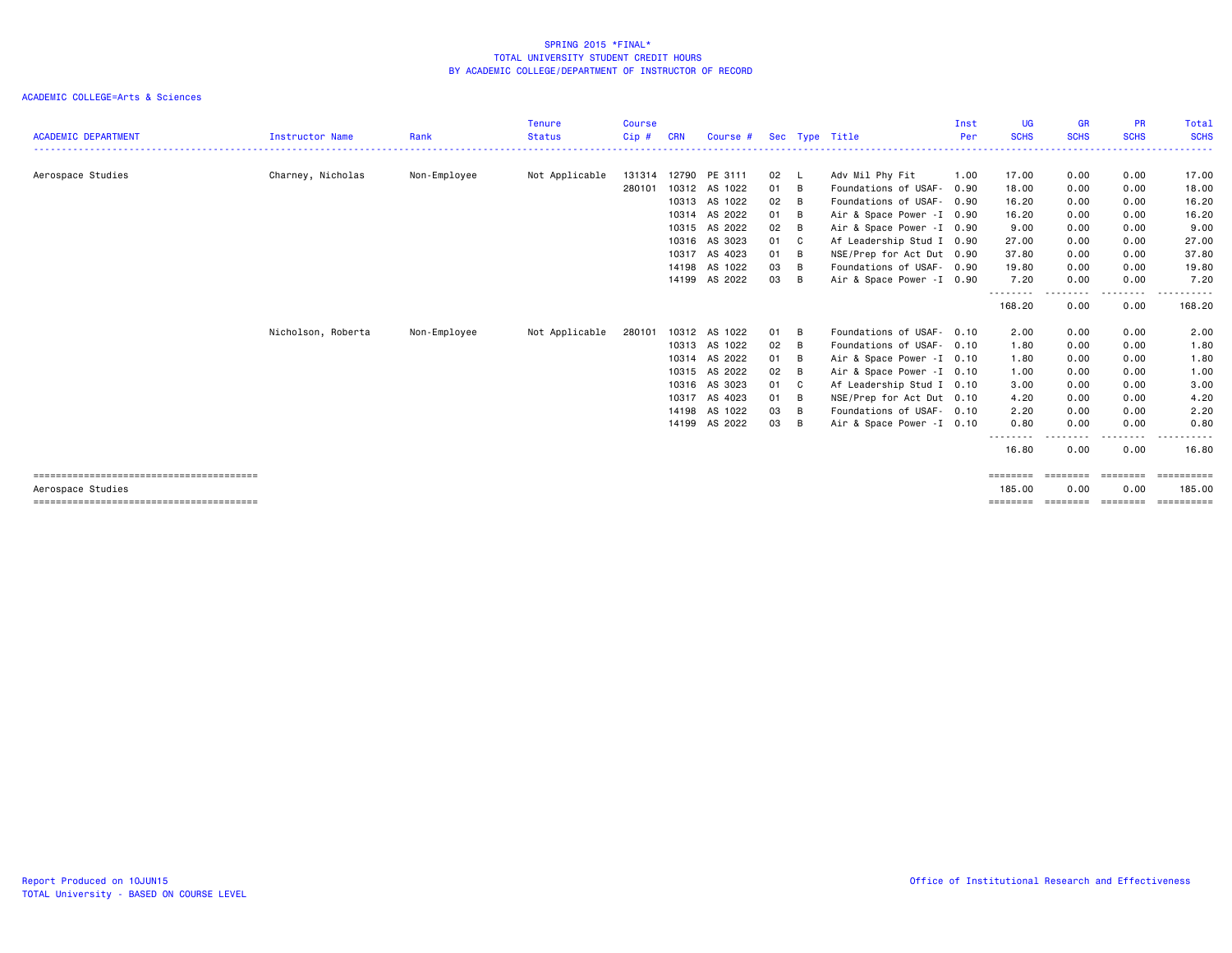|                            |                        |              | <b>Tenure</b>  | Course |            |               |      |                         |                            | Inst | <b>UG</b>                | <b>GR</b>      | <b>PR</b>      | <b>Total</b>       |
|----------------------------|------------------------|--------------|----------------|--------|------------|---------------|------|-------------------------|----------------------------|------|--------------------------|----------------|----------------|--------------------|
| <b>ACADEMIC DEPARTMENT</b> | <b>Instructor Name</b> | Rank         | <b>Status</b>  | Cip#   | <b>CRN</b> | Course #      |      |                         | Sec Type Title             | Per  | <b>SCHS</b>              | <b>SCHS</b>    | <b>SCHS</b>    | <b>SCHS</b>        |
|                            |                        |              |                |        |            |               |      |                         |                            |      |                          |                |                |                    |
| Aerospace Studies          | Charney, Nicholas      | Non-Employee | Not Applicable | 131314 |            | 12790 PE 3111 | 02   | - L                     | Adv Mil Phy Fit            | 1.00 | 17.00                    | 0.00           | 0.00           | 17.00              |
|                            |                        |              |                | 280101 |            | 10312 AS 1022 | 01   | - в                     | Foundations of USAF-       | 0.90 | 18.00                    | 0.00           | 0.00           | 18.00              |
|                            |                        |              |                |        |            | 10313 AS 1022 | 02   | B                       | Foundations of USAF-       | 0.90 | 16.20                    | 0.00           | 0.00           | 16.20              |
|                            |                        |              |                |        |            | 10314 AS 2022 | 01   | B                       | Air & Space Power -I 0.90  |      | 16.20                    | 0.00           | 0.00           | 16.20              |
|                            |                        |              |                |        |            | 10315 AS 2022 | 02   | - B                     | Air & Space Power - I 0.90 |      | 9.00                     | 0.00           | 0.00           | 9.00               |
|                            |                        |              |                |        |            | 10316 AS 3023 | 01   | $\overline{\mathbf{C}}$ | Af Leadership Stud I 0.90  |      | 27.00                    | 0.00           | 0.00           | 27.00              |
|                            |                        |              |                |        |            | 10317 AS 4023 | 01   | B                       | NSE/Prep for Act Dut 0.90  |      | 37.80                    | 0.00           | 0.00           | 37.80              |
|                            |                        |              |                |        | 14198      | AS 1022       | 03   | B                       | Foundations of USAF- 0.90  |      | 19.80                    | 0.00           | 0.00           | 19.80              |
|                            |                        |              |                |        |            | 14199 AS 2022 | 03   | B                       | Air & Space Power -I 0.90  |      | 7.20                     | 0.00           | 0.00           | 7.20               |
|                            |                        |              |                |        |            |               |      |                         |                            |      | 168.20                   | -----<br>0.00  | .<br>0.00      | $\cdots$<br>168.20 |
|                            |                        |              |                |        |            |               |      |                         |                            |      |                          |                |                |                    |
|                            | Nicholson, Roberta     | Non-Employee | Not Applicable | 280101 |            | 10312 AS 1022 | 01 B |                         | Foundations of USAF- 0.10  |      | 2.00                     | 0.00           | 0.00           | 2.00               |
|                            |                        |              |                |        |            | 10313 AS 1022 | 02   | - B                     | Foundations of USAF- 0.10  |      | 1.80                     | 0.00           | 0.00           | 1.80               |
|                            |                        |              |                |        |            | 10314 AS 2022 | 01   | B                       | Air & Space Power - I 0.10 |      | 1.80                     | 0.00           | 0.00           | 1.80               |
|                            |                        |              |                |        |            | 10315 AS 2022 | 02   | B                       | Air & Space Power - I 0.10 |      | 1.00                     | 0.00           | 0.00           | 1.00               |
|                            |                        |              |                |        |            | 10316 AS 3023 | 01   | C <sub>c</sub>          | Af Leadership Stud I 0.10  |      | 3.00                     | 0.00           | 0.00           | 3.00               |
|                            |                        |              |                |        |            | 10317 AS 4023 | 01   | B                       | NSE/Prep for Act Dut 0.10  |      | 4.20                     | 0.00           | 0.00           | 4.20               |
|                            |                        |              |                |        |            | 14198 AS 1022 | 03   | - B                     | Foundations of USAF- 0.10  |      | 2.20                     | 0.00           | 0.00           | 2.20               |
|                            |                        |              |                |        |            | 14199 AS 2022 | 03   | - B                     | Air & Space Power - I 0.10 |      | 0.80                     | 0.00           | 0.00           | 0.80               |
|                            |                        |              |                |        |            |               |      |                         |                            |      | - - - - - - - -<br>16.80 | 0.00           | 0.00           | 16.80              |
|                            |                        |              |                |        |            |               |      |                         |                            |      | ========                 | <b>ESSESSE</b> | ========       | ==========         |
| Aerospace Studies          |                        |              |                |        |            |               |      |                         |                            |      | 185,00                   | 0.00           | 0.00           | 185.00             |
|                            |                        |              |                |        |            |               |      |                         |                            |      | ========                 | ========       | <b>ESSESSE</b> | $= 22222222222$    |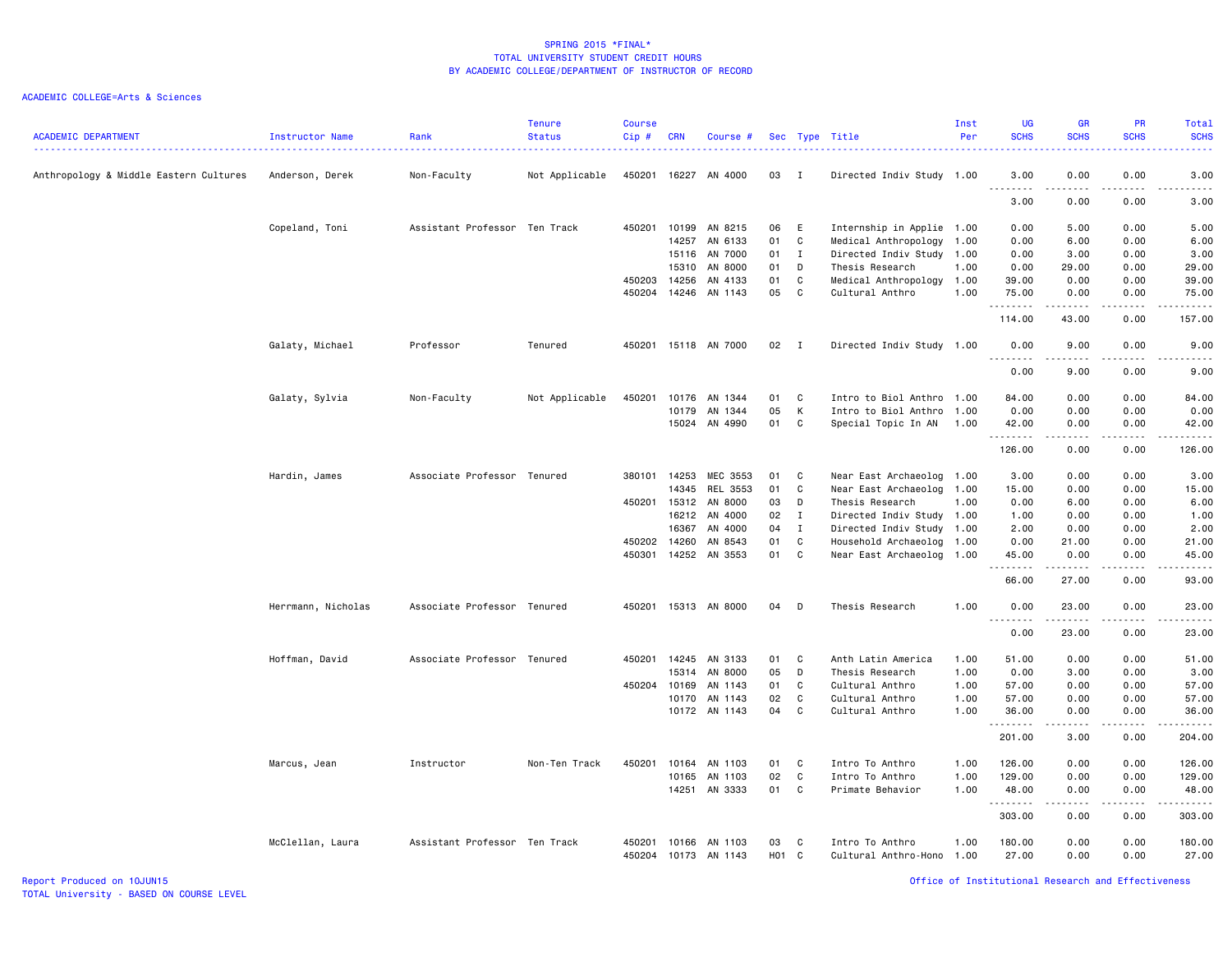# ACADEMIC COLLEGE=Arts & Sciences

| <b>ACADEMIC DEPARTMENT</b>             | Instructor Name    | Rank                          | <b>Tenure</b><br><b>Status</b> | <b>Course</b><br>Cip# | <b>CRN</b> | Course #             |                   |              | Sec Type Title            | Inst<br>Per | <b>UG</b><br><b>SCHS</b>                                                                                                                                                        | <b>GR</b><br><b>SCHS</b> | PR<br><b>SCHS</b>            | Total<br><b>SCHS</b>  |
|----------------------------------------|--------------------|-------------------------------|--------------------------------|-----------------------|------------|----------------------|-------------------|--------------|---------------------------|-------------|---------------------------------------------------------------------------------------------------------------------------------------------------------------------------------|--------------------------|------------------------------|-----------------------|
|                                        |                    |                               |                                |                       |            |                      |                   |              |                           |             |                                                                                                                                                                                 |                          |                              | والمستناب             |
| Anthropology & Middle Eastern Cultures | Anderson, Derek    | Non-Faculty                   | Not Applicable                 |                       |            | 450201 16227 AN 4000 | 03 I              |              | Directed Indiv Study 1.00 |             | 3.00<br>$\sim$ $\sim$ .<br>$\frac{1}{2} \left( \frac{1}{2} \right) \left( \frac{1}{2} \right) \left( \frac{1}{2} \right) \left( \frac{1}{2} \right) \left( \frac{1}{2} \right)$ | 0.00                     | 0.00                         | 3.00<br>$\frac{1}{2}$ |
|                                        |                    |                               |                                |                       |            |                      |                   |              |                           |             | 3.00                                                                                                                                                                            | 0.00                     | 0.00                         | 3.00                  |
|                                        | Copeland, Toni     | Assistant Professor Ten Track |                                | 450201                | 10199      | AN 8215              | 06                | E            | Internship in Applie 1.00 |             | 0.00                                                                                                                                                                            | 5.00                     | 0.00                         | 5.00                  |
|                                        |                    |                               |                                |                       | 14257      | AN 6133              | 01                | C            | Medical Anthropology      | 1.00        | 0.00                                                                                                                                                                            | 6.00                     | 0.00                         | 6.00                  |
|                                        |                    |                               |                                |                       | 15116      | AN 7000              | 01                | $\mathbf{I}$ | Directed Indiv Study      | 1.00        | 0.00                                                                                                                                                                            | 3.00                     | 0.00                         | 3.00                  |
|                                        |                    |                               |                                |                       | 15310      | AN 8000              | 01                | D            | Thesis Research           | 1.00        | 0.00                                                                                                                                                                            | 29.00                    | 0.00                         | 29.00                 |
|                                        |                    |                               |                                | 450203                | 14256      | AN 4133              | 01                | C            | Medical Anthropology      | 1.00        | 39.00                                                                                                                                                                           | 0.00                     | 0.00                         | 39.00                 |
|                                        |                    |                               |                                | 450204                | 14246      | AN 1143              | 05                | C            | Cultural Anthro           | 1.00        | 75.00<br>.                                                                                                                                                                      | 0.00<br>.                | 0.00<br>.                    | 75.00<br>.            |
|                                        |                    |                               |                                |                       |            |                      |                   |              |                           |             | 114.00                                                                                                                                                                          | 43.00                    | 0.00                         | 157.00                |
|                                        | Galaty, Michael    | Professor                     | Tenured                        | 450201                | 15118      | AN 7000              | 02 I              |              | Directed Indiv Study 1.00 |             | 0.00<br><u>.</u>                                                                                                                                                                | 9.00<br>-----            | 0.00                         | 9.00<br>$- - - - -$   |
|                                        |                    |                               |                                |                       |            |                      |                   |              |                           |             | 0.00                                                                                                                                                                            | 9.00                     | 0.00                         | 9.00                  |
|                                        | Galaty, Sylvia     | Non-Faculty                   | Not Applicable                 | 450201                | 10176      | AN 1344              | 01                | C            | Intro to Biol Anthro 1.00 |             | 84.00                                                                                                                                                                           | 0.00                     | 0.00                         | 84.00                 |
|                                        |                    |                               |                                |                       | 10179      | AN 1344              | 05                | K            | Intro to Biol Anthro      | 1.00        | 0.00                                                                                                                                                                            | 0.00                     | 0.00                         | 0.00                  |
|                                        |                    |                               |                                |                       | 15024      | AN 4990              | 01                | C            | Special Topic In AN       | 1.00        | 42.00<br>.                                                                                                                                                                      | 0.00<br><b>.</b>         | 0.00<br>.                    | 42.00<br>.            |
|                                        |                    |                               |                                |                       |            |                      |                   |              |                           |             | 126.00                                                                                                                                                                          | 0.00                     | 0.00                         | 126.00                |
|                                        | Hardin, James      | Associate Professor Tenured   |                                | 380101                | 14253      | MEC 3553             | 01                | C            | Near East Archaeolog 1.00 |             | 3.00                                                                                                                                                                            | 0.00                     | 0.00                         | 3.00                  |
|                                        |                    |                               |                                |                       | 14345      | REL 3553             | 01                | C            | Near East Archaeolog 1.00 |             | 15.00                                                                                                                                                                           | 0.00                     | 0.00                         | 15.00                 |
|                                        |                    |                               |                                | 450201 15312          |            | AN 8000              | 03                | D            | Thesis Research           | 1.00        | 0.00                                                                                                                                                                            | 6.00                     | 0.00                         | 6.00                  |
|                                        |                    |                               |                                |                       | 16212      | AN 4000              | 02                | $\mathbf{I}$ | Directed Indiv Study 1.00 |             | 1.00                                                                                                                                                                            | 0.00                     | 0.00                         | 1.00                  |
|                                        |                    |                               |                                |                       | 16367      | AN 4000              | 04                | $\mathbf{I}$ | Directed Indiv Study 1.00 |             | 2.00                                                                                                                                                                            | 0.00                     | 0.00                         | 2.00                  |
|                                        |                    |                               |                                | 450202 14260          |            | AN 8543              | 01                | C            | Household Archaeolog 1.00 |             | 0.00                                                                                                                                                                            | 21.00                    | 0.00                         | 21.00                 |
|                                        |                    |                               |                                | 450301 14252          |            | AN 3553              | 01                | C            | Near East Archaeolog 1.00 |             | 45.00<br>.                                                                                                                                                                      | 0.00<br>د د د د د        | 0.00<br>$\sim$ $\sim$ $\sim$ | 45.00<br>د د د د د    |
|                                        |                    |                               |                                |                       |            |                      |                   |              |                           |             | 66.00                                                                                                                                                                           | 27.00                    | 0.00                         | 93.00                 |
|                                        | Herrmann, Nicholas | Associate Professor Tenured   |                                | 450201                |            | 15313 AN 8000        | 04                | D            | Thesis Research           | 1.00        | 0.00                                                                                                                                                                            | 23.00                    | 0.00                         | 23.00                 |
|                                        |                    |                               |                                |                       |            |                      |                   |              |                           |             | $\sim$ $\sim$<br>0.00                                                                                                                                                           | 23.00                    | 0.00                         | .<br>23.00            |
|                                        | Hoffman, David     | Associate Professor Tenured   |                                | 450201                | 14245      | AN 3133              | 01                | C            | Anth Latin America        | 1.00        | 51.00                                                                                                                                                                           | 0.00                     | 0.00                         | 51.00                 |
|                                        |                    |                               |                                |                       | 15314      | AN 8000              | 05                | D            | Thesis Research           | 1.00        | 0.00                                                                                                                                                                            | 3.00                     | 0.00                         | 3.00                  |
|                                        |                    |                               |                                | 450204                | 10169      | AN 1143              | 01                | C            | Cultural Anthro           | 1.00        | 57.00                                                                                                                                                                           | 0.00                     | 0.00                         | 57.00                 |
|                                        |                    |                               |                                |                       | 10170      | AN 1143              | 02                | C            | Cultural Anthro           | 1.00        | 57.00                                                                                                                                                                           | 0.00                     | 0.00                         | 57.00                 |
|                                        |                    |                               |                                |                       |            | 10172 AN 1143        | 04                | C            | Cultural Anthro           | 1.00        | 36.00<br>.                                                                                                                                                                      | 0.00                     | 0.00                         | 36.00<br>.            |
|                                        |                    |                               |                                |                       |            |                      |                   |              |                           |             | 201.00                                                                                                                                                                          | 3.00                     | 0.00                         | 204.00                |
|                                        | Marcus, Jean       | Instructor                    | Non-Ten Track                  | 450201                | 10164      | AN 1103              | 01                | C            | Intro To Anthro           | 1.00        | 126.00                                                                                                                                                                          | 0.00                     | 0.00                         | 126.00                |
|                                        |                    |                               |                                |                       | 10165      | AN 1103              | 02                | C            | Intro To Anthro           | 1.00        | 129.00                                                                                                                                                                          | 0.00                     | 0.00                         | 129.00                |
|                                        |                    |                               |                                |                       |            | 14251 AN 3333        | 01                | C            | Primate Behavior          | 1.00        | 48.00<br>.                                                                                                                                                                      | 0.00<br>.                | 0.00<br>.                    | 48.00<br>.            |
|                                        |                    |                               |                                |                       |            |                      |                   |              |                           |             | 303.00                                                                                                                                                                          | 0.00                     | 0.00                         | 303.00                |
|                                        | McClellan, Laura   | Assistant Professor Ten Track |                                | 450201                | 10166      | AN 1103              | 03                | C            | Intro To Anthro           | 1.00        | 180.00                                                                                                                                                                          | 0.00                     | 0.00                         | 180.00                |
|                                        |                    |                               |                                | 450204                | 10173      | AN 1143              | H <sub>01</sub> C |              | Cultural Anthro-Hono      | 1.00        | 27.00                                                                                                                                                                           | 0.00                     | 0.00                         | 27.00                 |

Report Produced on 10JUN15 Office of Institutional Research and Effectiveness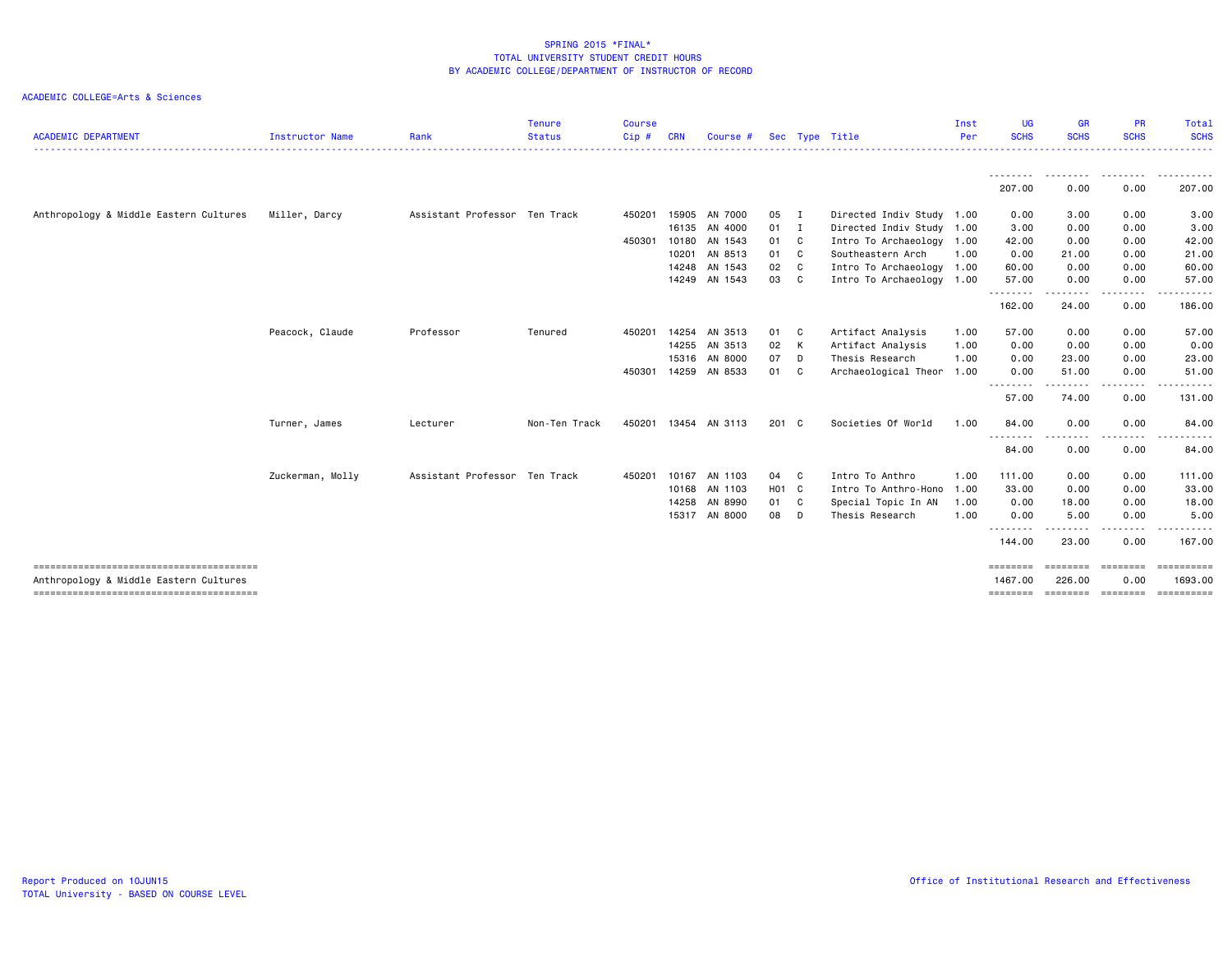| <b>ACADEMIC DEPARTMENT</b>             | <b>Instructor Name</b> | Rank                          | <b>Tenure</b><br><b>Status</b> | <b>Course</b><br>$C$ ip $#$ | <b>CRN</b> | Course #      |        |              | Sec Type Title            | Inst<br>Per | <b>UG</b><br><b>SCHS</b>   | <b>GR</b><br><b>SCHS</b> | <b>PR</b><br><b>SCHS</b> | Total<br><b>SCHS</b>  |
|----------------------------------------|------------------------|-------------------------------|--------------------------------|-----------------------------|------------|---------------|--------|--------------|---------------------------|-------------|----------------------------|--------------------------|--------------------------|-----------------------|
|                                        |                        |                               |                                |                             |            |               |        |              |                           |             |                            |                          |                          |                       |
|                                        |                        |                               |                                |                             |            |               |        |              |                           |             | <u>.</u><br>207.00         | 0.00                     | 0.00                     | 207.00                |
| Anthropology & Middle Eastern Cultures | Miller, Darcy          | Assistant Professor Ten Track |                                | 450201                      |            | 15905 AN 7000 | 05 I   |              | Directed Indiv Study 1.00 |             | 0.00                       | 3.00                     | 0.00                     | 3.00                  |
|                                        |                        |                               |                                |                             |            | 16135 AN 4000 | $01$ I |              | Directed Indiv Study 1.00 |             | 3.00                       | 0.00                     | 0.00                     | 3.00                  |
|                                        |                        |                               |                                | 450301                      |            | 10180 AN 1543 | 01 C   |              | Intro To Archaeology 1.00 |             | 42.00                      | 0.00                     | 0.00                     | 42.00                 |
|                                        |                        |                               |                                |                             |            | 10201 AN 8513 | 01 C   |              | Southeastern Arch         | 1.00        | 0.00                       | 21.00                    | 0.00                     | 21.00                 |
|                                        |                        |                               |                                |                             |            | 14248 AN 1543 | 02 C   |              | Intro To Archaeology 1.00 |             | 60.00                      | 0.00                     | 0.00                     | 60.00                 |
|                                        |                        |                               |                                |                             |            | 14249 AN 1543 | 03 C   |              | Intro To Archaeology 1.00 |             | 57.00                      | 0.00                     | 0.00                     | 57.00                 |
|                                        |                        |                               |                                |                             |            |               |        |              |                           |             | <u>.</u>                   |                          |                          |                       |
|                                        |                        |                               |                                |                             |            |               |        |              |                           |             | 162.00                     | 24.00                    | 0.00                     | 186.00                |
|                                        | Peacock, Claude        | Professor                     | Tenured                        | 450201                      | 14254      | AN 3513       | 01 C   |              | Artifact Analysis         | 1.00        | 57.00                      | 0.00                     | 0.00                     | 57.00                 |
|                                        |                        |                               |                                |                             |            | 14255 AN 3513 | 02 K   |              | Artifact Analysis         | 1.00        | 0.00                       | 0.00                     | 0.00                     | 0.00                  |
|                                        |                        |                               |                                |                             |            | 15316 AN 8000 | 07 D   |              | Thesis Research           | 1.00        | 0.00                       | 23.00                    | 0.00                     | 23.00                 |
|                                        |                        |                               |                                | 450301                      |            | 14259 AN 8533 | 01     | $\mathbf{C}$ | Archaeological Theor 1.00 |             | 0.00                       | 51.00                    | 0.00                     | 51.00                 |
|                                        |                        |                               |                                |                             |            |               |        |              |                           |             | 57.00                      | 74.00                    | 0.00                     | 131.00                |
|                                        | Turner, James          | Lecturer                      | Non-Ten Track                  | 450201                      |            | 13454 AN 3113 | 201 C  |              | Societies Of World        | 1.00        | 84.00                      | 0.00                     | 0.00                     | 84.00                 |
|                                        |                        |                               |                                |                             |            |               |        |              |                           |             | - - - - - - - - -<br>84.00 | 0.00                     | 0.00                     | 84.00                 |
|                                        | Zuckerman, Molly       | Assistant Professor Ten Track |                                | 450201                      |            | 10167 AN 1103 | 04 C   |              | Intro To Anthro           | 1.00        | 111.00                     | 0.00                     | 0.00                     | 111.00                |
|                                        |                        |                               |                                |                             |            | 10168 AN 1103 | H01 C  |              | Intro To Anthro-Hono      | 1.00        | 33,00                      | 0.00                     | 0.00                     | 33.00                 |
|                                        |                        |                               |                                |                             |            | 14258 AN 8990 | 01 C   |              | Special Topic In AN       | 1.00        | 0.00                       | 18.00                    | 0.00                     | 18.00                 |
|                                        |                        |                               |                                |                             |            | 15317 AN 8000 | 08     | D            | Thesis Research           | 1.00        | 0.00                       | 5.00                     | 0.00                     | 5.00                  |
|                                        |                        |                               |                                |                             |            |               |        |              |                           |             | .<br>144.00                | 23.00                    | 0.00                     | 167.00                |
|                                        |                        |                               |                                |                             |            |               |        |              |                           |             |                            |                          |                          |                       |
| Anthropology & Middle Eastern Cultures |                        |                               |                                |                             |            |               |        |              |                           |             | ========<br>1467.00        | ========<br>226.00       | ========<br>0.00         | ==========<br>1693.00 |
|                                        |                        |                               |                                |                             |            |               |        |              |                           |             |                            |                          |                          | <b>CONSESSED</b>      |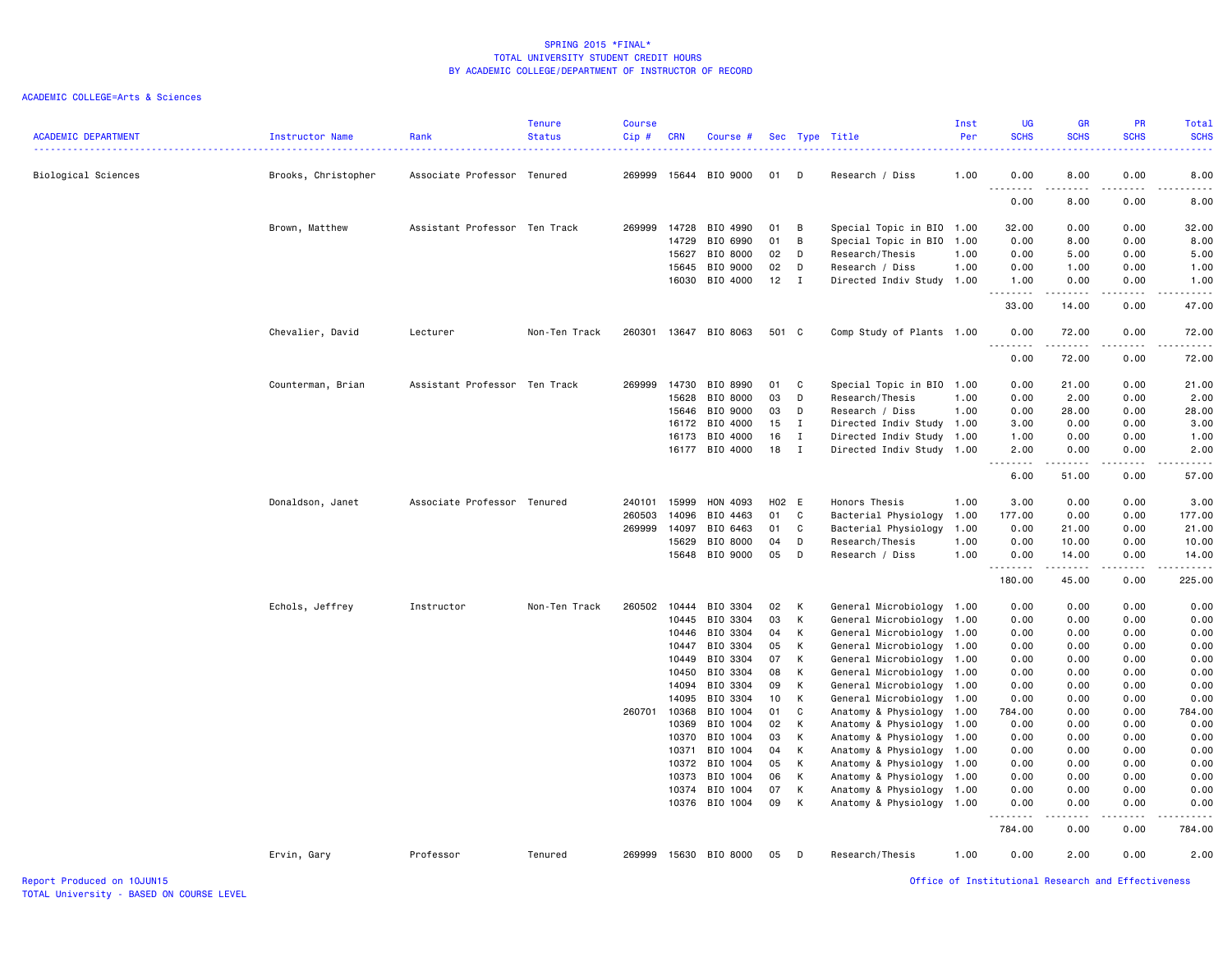# ACADEMIC COLLEGE=Arts & Sciences

| <b>ACADEMIC DEPARTMENT</b> | Instructor Name     | Rank                          | <b>Tenure</b><br><b>Status</b> | <b>Course</b><br>Cip# | <b>CRN</b>     | Course #             |          |              | Sec Type Title            | Inst<br>Per | <b>UG</b><br><b>SCHS</b>         | <b>GR</b><br><b>SCHS</b> | PR<br><b>SCHS</b>                   | Total<br><b>SCHS</b><br>.                                                                                                                                    |
|----------------------------|---------------------|-------------------------------|--------------------------------|-----------------------|----------------|----------------------|----------|--------------|---------------------------|-------------|----------------------------------|--------------------------|-------------------------------------|--------------------------------------------------------------------------------------------------------------------------------------------------------------|
| Biological Sciences        | Brooks, Christopher | Associate Professor Tenured   |                                | 269999                | 15644          | BIO 9000             | 01       | - D          | Research / Diss           | 1.00        | 0.00<br>$\sim$ $\sim$            | 8.00                     | 0.00                                | 8.00                                                                                                                                                         |
|                            |                     |                               |                                |                       |                |                      |          |              |                           |             | 0.00                             | 8.00                     | 0.00                                | 8.00                                                                                                                                                         |
|                            | Brown, Matthew      | Assistant Professor Ten Track |                                | 269999                | 14728          | BIO 4990             | 01       | B            | Special Topic in BIO 1.00 |             | 32.00                            | 0.00                     | 0.00                                | 32.00                                                                                                                                                        |
|                            |                     |                               |                                |                       | 14729          | BIO 6990             | 01       | B            | Special Topic in BIO      | 1.00        | 0.00                             | 8.00                     | 0.00                                | 8.00                                                                                                                                                         |
|                            |                     |                               |                                |                       | 15627          | BIO 8000             | 02       | D            | Research/Thesis           | 1.00        | 0.00                             | 5.00                     | 0.00                                | 5.00                                                                                                                                                         |
|                            |                     |                               |                                |                       | 15645          | BIO 9000             | 02       | D            | Research / Diss           | 1.00        | 0.00                             | 1.00                     | 0.00                                | 1.00                                                                                                                                                         |
|                            |                     |                               |                                |                       | 16030          | BIO 4000             | 12       | $\mathbf{I}$ | Directed Indiv Study 1.00 |             | 1.00<br>$- - -$                  | 0.00                     | 0.00<br>$\sim$ $\sim$ $\sim$ $\sim$ | 1.00                                                                                                                                                         |
|                            |                     |                               |                                |                       |                |                      |          |              |                           |             | 33.00                            | 14.00                    | 0.00                                | 47.00                                                                                                                                                        |
|                            | Chevalier, David    | Lecturer                      | Non-Ten Track                  | 260301                |                | 13647 BIO 8063       | 501 C    |              | Comp Study of Plants 1.00 |             | 0.00<br>$\sim$ $\sim$ .<br>----- | 72.00<br>.               | 0.00<br>.                           | 72.00<br>.                                                                                                                                                   |
|                            |                     |                               |                                |                       |                |                      |          |              |                           |             | 0.00                             | 72.00                    | 0.00                                | 72.00                                                                                                                                                        |
|                            | Counterman, Brian   | Assistant Professor Ten Track |                                | 269999                | 14730          | BIO 8990             | 01       | C            | Special Topic in BIO 1.00 |             | 0.00                             | 21.00                    | 0.00                                | 21.00                                                                                                                                                        |
|                            |                     |                               |                                |                       | 15628          | BIO 8000             | 03       | D            | Research/Thesis           | 1.00        | 0.00                             | 2.00                     | 0.00                                | 2.00                                                                                                                                                         |
|                            |                     |                               |                                |                       | 15646          | BIO 9000             | 03       | D            | Research / Diss           | 1.00        | 0.00                             | 28.00                    | 0.00                                | 28.00                                                                                                                                                        |
|                            |                     |                               |                                |                       | 16172          | BIO 4000             | 15       | $\mathbf{I}$ | Directed Indiv Study 1.00 |             | 3.00                             | 0.00                     | 0.00                                | 3.00                                                                                                                                                         |
|                            |                     |                               |                                |                       | 16173          | BIO 4000             | 16       | $\mathbf{I}$ | Directed Indiv Study 1.00 |             | 1.00                             | 0.00                     | 0.00                                | 1.00                                                                                                                                                         |
|                            |                     |                               |                                |                       |                | 16177 BIO 4000       | 18       | $\mathbf{I}$ | Directed Indiv Study 1.00 |             | 2.00<br>.                        | 0.00<br>.                | 0.00<br>.                           | 2.00<br>$\frac{1}{2} \left( \frac{1}{2} \right) \left( \frac{1}{2} \right) \left( \frac{1}{2} \right) \left( \frac{1}{2} \right) \left( \frac{1}{2} \right)$ |
|                            |                     |                               |                                |                       |                |                      |          |              |                           |             | 6.00                             | 51.00                    | 0.00                                | 57.00                                                                                                                                                        |
|                            | Donaldson, Janet    | Associate Professor Tenured   |                                | 240101                | 15999          | HON 4093             | H02 E    |              | Honors Thesis             | 1.00        | 3.00                             | 0.00                     | 0.00                                | 3.00                                                                                                                                                         |
|                            |                     |                               |                                | 260503                | 14096          | BIO 4463             | 01       | C            | Bacterial Physiology      | 1.00        | 177.00                           | 0.00                     | 0.00                                | 177.00                                                                                                                                                       |
|                            |                     |                               |                                | 269999                | 14097          | BIO 6463             | 01       | C            | Bacterial Physiology      | 1.00        | 0.00                             | 21.00                    | 0.00                                | 21.00                                                                                                                                                        |
|                            |                     |                               |                                |                       | 15629          | BIO 8000             | 04       | D            | Research/Thesis           | 1.00        | 0.00                             | 10.00                    | 0.00                                | 10.00                                                                                                                                                        |
|                            |                     |                               |                                |                       | 15648          | BIO 9000             | 05       | D            | Research / Diss           | 1.00        | 0.00<br>-----                    | 14.00<br>.               | 0.00<br>.                           | 14.00<br>.                                                                                                                                                   |
|                            |                     |                               |                                |                       |                |                      |          |              |                           |             | 180.00                           | 45.00                    | 0.00                                | 225.00                                                                                                                                                       |
|                            | Echols, Jeffrey     | Instructor                    | Non-Ten Track                  | 260502                | 10444          | BIO 3304             | 02       | K            | General Microbiology 1.00 |             | 0.00                             | 0.00                     | 0.00                                | 0.00                                                                                                                                                         |
|                            |                     |                               |                                |                       | 10445          | BIO 3304             | 03       | K            | General Microbiology 1.00 |             | 0.00                             | 0.00                     | 0.00                                | 0.00                                                                                                                                                         |
|                            |                     |                               |                                |                       | 10446          | BIO 3304             | 04       | к            | General Microbiology 1.00 |             | 0.00                             | 0.00                     | 0.00                                | 0.00                                                                                                                                                         |
|                            |                     |                               |                                |                       | 10447          | BIO 3304             | 05       | K            | General Microbiology 1.00 |             | 0.00                             | 0.00                     | 0.00                                | 0.00                                                                                                                                                         |
|                            |                     |                               |                                |                       | 10449          | BIO 3304             | 07       | K            | General Microbiology      | 1.00        | 0.00                             | 0.00                     | 0.00                                | 0.00                                                                                                                                                         |
|                            |                     |                               |                                |                       | 10450          | BIO 3304             | 08       | K            | General Microbiology 1.00 |             | 0.00                             | 0.00                     | 0.00                                | 0.00                                                                                                                                                         |
|                            |                     |                               |                                |                       | 14094          | BIO 3304             | 09       | K            | General Microbiology 1.00 |             | 0.00                             | 0.00                     | 0.00                                | 0.00                                                                                                                                                         |
|                            |                     |                               |                                |                       | 14095          | BIO 3304             | 10       | K            | General Microbiology 1.00 |             | 0.00                             | 0.00                     | 0.00                                | 0.00                                                                                                                                                         |
|                            |                     |                               |                                | 260701                | 10368          | BIO 1004             | 01       | C            | Anatomy & Physiology 1.00 |             | 784.00                           | 0.00                     | 0.00                                | 784.00                                                                                                                                                       |
|                            |                     |                               |                                |                       | 10369          | BIO 1004             | 02       | К            | Anatomy & Physiology      | 1.00        | 0.00                             | 0.00                     | 0.00                                | 0.00                                                                                                                                                         |
|                            |                     |                               |                                |                       | 10370          | BIO 1004             | 03       | K            | Anatomy & Physiology 1.00 |             | 0.00                             | 0.00                     | 0.00                                | 0.00                                                                                                                                                         |
|                            |                     |                               |                                |                       | 10371          | BIO 1004             | 04       | K            | Anatomy & Physiology      | 1.00        | 0.00                             | 0.00                     | 0.00                                | 0.00                                                                                                                                                         |
|                            |                     |                               |                                |                       | 10372          | BIO 1004             | 05       | K            | Anatomy & Physiology 1.00 |             | 0.00                             | 0.00                     | 0.00                                | 0.00                                                                                                                                                         |
|                            |                     |                               |                                |                       | 10373          | BIO 1004             | 06       | K            | Anatomy & Physiology 1.00 |             | 0.00                             | 0.00                     | 0.00                                | 0.00                                                                                                                                                         |
|                            |                     |                               |                                |                       | 10374<br>10376 | BIO 1004<br>BIO 1004 | 07<br>09 | K<br>K       | Anatomy & Physiology      | 1.00        | 0.00<br>0.00                     | 0.00<br>0.00             | 0.00<br>0.00                        | 0.00<br>0.00                                                                                                                                                 |
|                            |                     |                               |                                |                       |                |                      |          |              | Anatomy & Physiology 1.00 |             |                                  | .                        |                                     | .                                                                                                                                                            |
|                            |                     |                               |                                |                       |                |                      |          |              |                           |             | 784.00                           | 0.00                     | 0.00                                | 784.00                                                                                                                                                       |
|                            | Ervin, Gary         | Professor                     | Tenured                        | 269999                |                | 15630 BIO 8000       | 05       | D            | Research/Thesis           | 1.00        | 0.00                             | 2.00                     | 0.00                                | 2.00                                                                                                                                                         |

Report Produced on 10JUN15 Office of Institutional Research and Effectiveness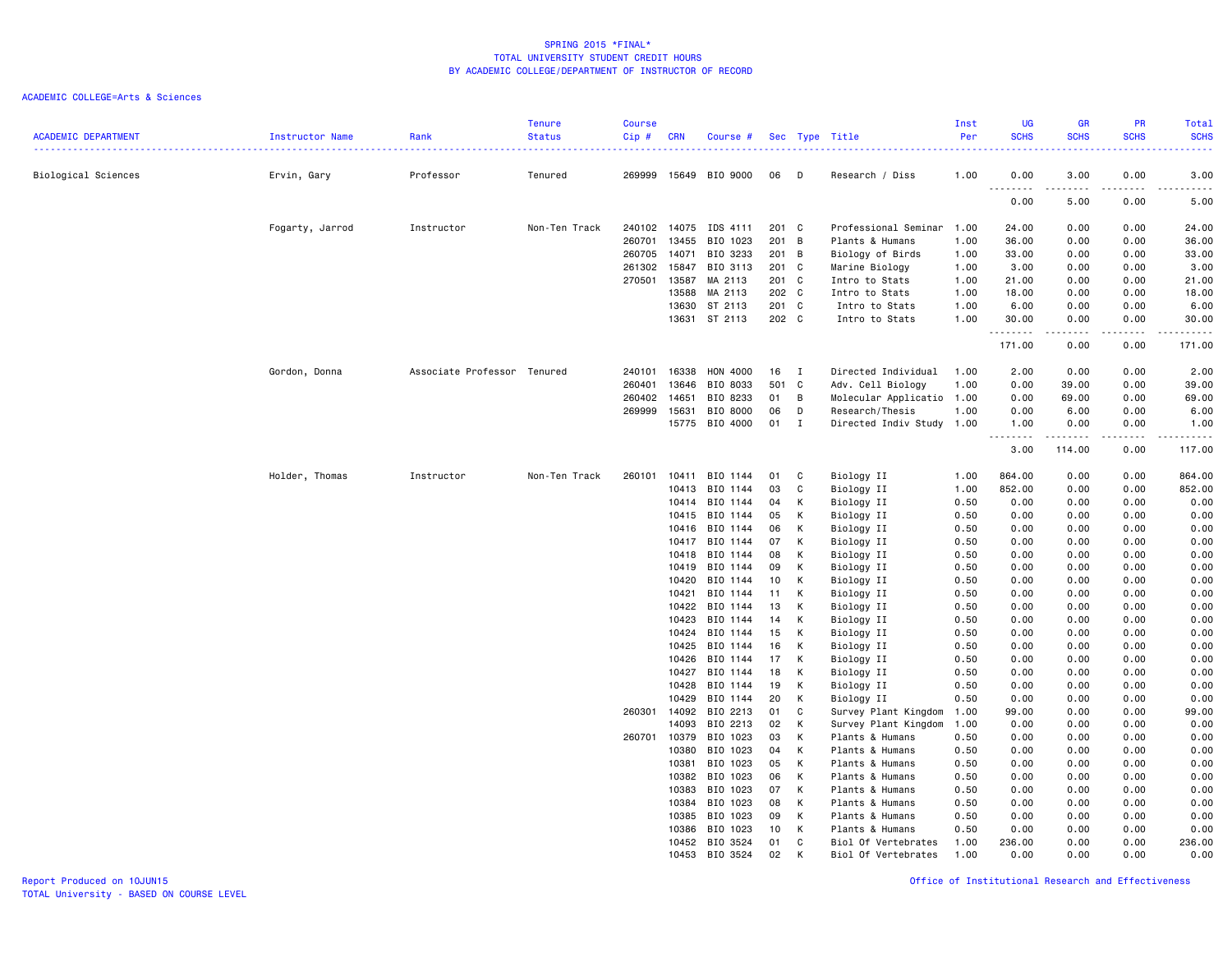# ACADEMIC COLLEGE=Arts & Sciences

| <b>ACADEMIC DEPARTMENT</b> | Instructor Name | Rank                        | <b>Tenure</b><br><b>Status</b> | <b>Course</b><br>Cip# | <b>CRN</b> | Course #       |       |              | Sec Type Title            | Inst<br>Per | <b>UG</b><br><b>SCHS</b>           | <b>GR</b><br><b>SCHS</b> | <b>PR</b><br><b>SCHS</b> | Total<br><b>SCHS</b>                                                                                                                                           |
|----------------------------|-----------------|-----------------------------|--------------------------------|-----------------------|------------|----------------|-------|--------------|---------------------------|-------------|------------------------------------|--------------------------|--------------------------|----------------------------------------------------------------------------------------------------------------------------------------------------------------|
| Biological Sciences        | Ervin, Gary     | Professor                   | Tenured                        | 269999                |            | 15649 BIO 9000 | 06    | D            | Research / Diss           | 1.00        | 0.00                               | 3.00                     | 0.00                     | 3.00                                                                                                                                                           |
|                            |                 |                             |                                |                       |            |                |       |              |                           |             | $\sim$ $\sim$<br>$- - - -$<br>0.00 | $- - - -$<br>5.00        | $\frac{1}{2}$<br>0.00    | .<br>5.00                                                                                                                                                      |
|                            | Fogarty, Jarrod | Instructor                  | Non-Ten Track                  | 240102 14075          |            | IDS 4111       | 201 C |              | Professional Seminar      | 1.00        | 24.00                              | 0.00                     | 0.00                     | 24.00                                                                                                                                                          |
|                            |                 |                             |                                | 260701                | 13455      | BIO 1023       | 201 B |              | Plants & Humans           | 1.00        | 36.00                              | 0.00                     | 0.00                     | 36.00                                                                                                                                                          |
|                            |                 |                             |                                | 260705                | 14071      | BIO 3233       | 201 B |              | Biology of Birds          | 1.00        | 33.00                              | 0.00                     | 0.00                     | 33.00                                                                                                                                                          |
|                            |                 |                             |                                | 261302                | 15847      | BIO 3113       | 201 C |              | Marine Biology            | 1.00        | 3.00                               | 0.00                     | 0.00                     | 3.00                                                                                                                                                           |
|                            |                 |                             |                                | 270501                | 13587      | MA 2113        | 201 C |              | Intro to Stats            | 1.00        | 21.00                              | 0.00                     | 0.00                     | 21.00                                                                                                                                                          |
|                            |                 |                             |                                |                       | 13588      | MA 2113        | 202 C |              | Intro to Stats            | 1.00        | 18.00                              | 0.00                     | 0.00                     | 18.00                                                                                                                                                          |
|                            |                 |                             |                                |                       | 13630      | ST 2113        | 201 C |              | Intro to Stats            | 1.00        | 6.00                               | 0.00                     | 0.00                     | 6.00                                                                                                                                                           |
|                            |                 |                             |                                |                       | 13631      | ST 2113        | 202 C |              | Intro to Stats            | 1.00        | 30.00<br>.                         | 0.00<br>$- - - - -$      | 0.00<br>.                | 30.00<br>.                                                                                                                                                     |
|                            |                 |                             |                                |                       |            |                |       |              |                           |             | 171.00                             | 0.00                     | 0.00                     | 171.00                                                                                                                                                         |
|                            | Gordon, Donna   | Associate Professor Tenured |                                | 240101                | 16338      | HON 4000       | 16    | $\mathbf{I}$ | Directed Individual       | 1.00        | 2.00                               | 0.00                     | 0.00                     | 2.00                                                                                                                                                           |
|                            |                 |                             |                                | 260401                | 13646      | BIO 8033       | 501 C |              | Adv. Cell Biology         | 1.00        | 0.00                               | 39.00                    | 0.00                     | 39.00                                                                                                                                                          |
|                            |                 |                             |                                | 260402                | 14651      | BIO 8233       | 01    | B            | Molecular Applicatio 1.00 |             | 0.00                               | 69.00                    | 0.00                     | 69.00                                                                                                                                                          |
|                            |                 |                             |                                | 269999                | 15631      | BIO 8000       | 06    | D            | Research/Thesis           | 1.00        | 0.00                               | 6.00                     | 0.00                     | 6.00                                                                                                                                                           |
|                            |                 |                             |                                |                       | 15775      | BIO 4000       | 01    | $\mathbf{I}$ | Directed Indiv Study 1.00 |             | 1.00                               | 0.00                     | 0.00                     | 1.00                                                                                                                                                           |
|                            |                 |                             |                                |                       |            |                |       |              |                           |             | .<br>3.00                          | .<br>114.00              | .<br>0.00                | $\frac{1}{2} \left( \frac{1}{2} \right) \left( \frac{1}{2} \right) \left( \frac{1}{2} \right) \left( \frac{1}{2} \right) \left( \frac{1}{2} \right)$<br>117.00 |
|                            |                 |                             |                                |                       |            |                |       |              |                           |             |                                    |                          |                          |                                                                                                                                                                |
|                            | Holder, Thomas  | Instructor                  | Non-Ten Track                  | 260101                | 10411      | BIO 1144       | 01    | C            | Biology II                | 1.00        | 864.00                             | 0.00                     | 0.00                     | 864.00                                                                                                                                                         |
|                            |                 |                             |                                |                       | 10413      | BIO 1144       | 03    | C            | Biology II                | 1.00        | 852.00                             | 0.00                     | 0.00                     | 852.00                                                                                                                                                         |
|                            |                 |                             |                                |                       | 10414      | BIO 1144       | 04    | K            | Biology II                | 0.50        | 0.00                               | 0.00                     | 0.00                     | 0.00                                                                                                                                                           |
|                            |                 |                             |                                |                       | 10415      | BIO 1144       | 05    | К            | Biology II                | 0.50        | 0.00                               | 0.00                     | 0.00                     | 0.00                                                                                                                                                           |
|                            |                 |                             |                                |                       | 10416      | BIO 1144       | 06    | K            | Biology II                | 0.50        | 0.00                               | 0.00                     | 0.00                     | 0.00                                                                                                                                                           |
|                            |                 |                             |                                |                       | 10417      | BIO 1144       | 07    | K            | Biology II                | 0.50        | 0.00                               | 0.00                     | 0.00                     | 0.00                                                                                                                                                           |
|                            |                 |                             |                                |                       | 10418      | BIO 1144       | 08    | К            | Biology II                | 0.50        | 0.00                               | 0.00                     | 0.00                     | 0.00                                                                                                                                                           |
|                            |                 |                             |                                |                       | 10419      | BIO 1144       | 09    | K            | Biology II                | 0.50        | 0.00                               | 0.00                     | 0.00                     | 0.00                                                                                                                                                           |
|                            |                 |                             |                                |                       | 10420      | BIO 1144       | 10    | K            | Biology II                | 0.50        | 0.00                               | 0.00                     | 0.00                     | 0.00                                                                                                                                                           |
|                            |                 |                             |                                |                       | 10421      | BIO 1144       | 11    | К            | Biology II                | 0.50        | 0.00                               | 0.00                     | 0.00                     | 0.00                                                                                                                                                           |
|                            |                 |                             |                                |                       | 10422      | BIO 1144       | 13    | К            | Biology II                | 0.50        | 0.00                               | 0.00                     | 0.00                     | 0.00                                                                                                                                                           |
|                            |                 |                             |                                |                       | 10423      | BIO 1144       | 14    | K            | Biology II                | 0.50        | 0.00                               | 0.00                     | 0.00                     | 0.00                                                                                                                                                           |
|                            |                 |                             |                                |                       | 10424      | BIO 1144       | 15    | К            | Biology II                | 0.50        | 0.00                               | 0.00                     | 0.00                     | 0.00                                                                                                                                                           |
|                            |                 |                             |                                |                       | 10425      | BIO 1144       | 16    | K            | Biology II                | 0.50        | 0.00                               | 0.00                     | 0.00                     | 0.00                                                                                                                                                           |
|                            |                 |                             |                                |                       | 10426      | BIO 1144       | 17    | K            | Biology II                | 0.50        | 0.00                               | 0.00                     | 0.00                     | 0.00                                                                                                                                                           |
|                            |                 |                             |                                |                       | 10427      | BIO 1144       | 18    | К            | Biology II                | 0.50        | 0.00                               | 0.00                     | 0.00                     | 0.00                                                                                                                                                           |
|                            |                 |                             |                                |                       | 10428      | BIO 1144       | 19    | К            | Biology II                | 0.50        | 0.00                               | 0.00                     | 0.00                     | 0.00                                                                                                                                                           |
|                            |                 |                             |                                |                       | 10429      | BIO 1144       | 20    | K            | Biology II                | 0.50        | 0.00                               | 0.00                     | 0.00                     | 0.00                                                                                                                                                           |
|                            |                 |                             |                                | 260301                | 14092      | BIO 2213       | 01    | $\mathbb C$  | Survey Plant Kingdom      | 1.00        | 99.00                              | 0.00                     | 0.00                     | 99.00                                                                                                                                                          |
|                            |                 |                             |                                |                       | 14093      | BIO 2213       | 02    | К            | Survey Plant Kingdom      | 1.00        | 0.00                               | 0.00                     | 0.00                     | 0.00                                                                                                                                                           |
|                            |                 |                             |                                | 260701                | 10379      | BIO 1023       | 03    | K            | Plants & Humans           | 0.50        | 0.00                               | 0.00                     | 0.00                     | 0.00                                                                                                                                                           |
|                            |                 |                             |                                |                       | 10380      | BIO 1023       | 04    | K            | Plants & Humans           | 0.50        | 0.00                               | 0.00                     | 0.00                     | 0.00                                                                                                                                                           |
|                            |                 |                             |                                |                       | 10381      | BIO 1023       | 05    | К            | Plants & Humans           | 0.50        | 0.00                               | 0.00                     | 0.00                     | 0.00                                                                                                                                                           |
|                            |                 |                             |                                |                       | 10382      | BIO 1023       | 06    | K            | Plants & Humans           | 0.50        | 0.00                               | 0.00                     | 0.00                     | 0.00                                                                                                                                                           |
|                            |                 |                             |                                |                       | 10383      | BIO 1023       | 07    | K            | Plants & Humans           | 0.50        | 0.00                               | 0.00                     | 0.00                     | 0.00                                                                                                                                                           |
|                            |                 |                             |                                |                       | 10384      | BIO 1023       | 08    | K            | Plants & Humans           | 0.50        | 0.00                               | 0.00                     | 0.00                     | 0.00                                                                                                                                                           |
|                            |                 |                             |                                |                       | 10385      | BIO 1023       | 09    | K            | Plants & Humans           | 0.50        | 0.00                               | 0.00                     | 0.00                     | 0.00                                                                                                                                                           |
|                            |                 |                             |                                |                       | 10386      | BIO 1023       | 10    | К            | Plants & Humans           | 0.50        | 0.00                               | 0.00                     | 0.00                     | 0.00                                                                                                                                                           |
|                            |                 |                             |                                |                       | 10452      | BIO 3524       | 01    | C            | Biol Of Vertebrates       | 1.00        | 236.00                             | 0.00                     | 0.00                     | 236.00                                                                                                                                                         |
|                            |                 |                             |                                |                       | 10453      | BIO 3524       | 02    | к            | Biol Of Vertebrates       | 1.00        | 0.00                               | 0.00                     | 0.00                     | 0.00                                                                                                                                                           |

Report Produced on 10JUN15 Office of Institutional Research and Effectiveness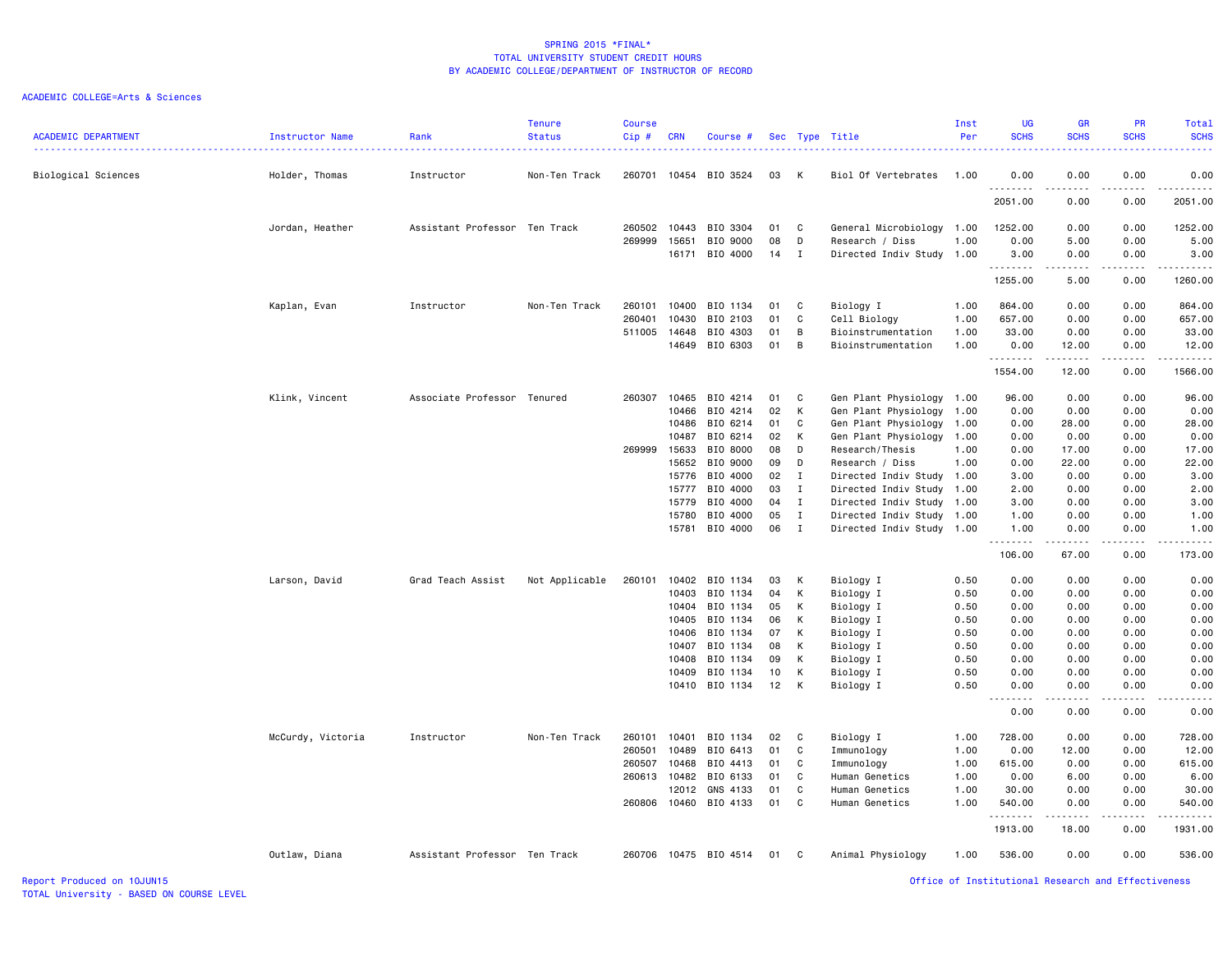|                            |                   |                               | <b>Tenure</b>  | <b>Course</b> |                |                      |          |                              |                                                   | Inst | <b>UG</b>          | <b>GR</b>        | PR                           | Total                                   |
|----------------------------|-------------------|-------------------------------|----------------|---------------|----------------|----------------------|----------|------------------------------|---------------------------------------------------|------|--------------------|------------------|------------------------------|-----------------------------------------|
| <b>ACADEMIC DEPARTMENT</b> | Instructor Name   | Rank                          | <b>Status</b>  | Cip#          | <b>CRN</b>     | Course #             |          |                              | Sec Type Title                                    | Per  | <b>SCHS</b>        | <b>SCHS</b>      | <b>SCHS</b>                  | <b>SCHS</b><br>$\omega = \omega/\omega$ |
| Biological Sciences        | Holder, Thomas    | Instructor                    | Non-Ten Track  | 260701        |                | 10454 BIO 3524       | 03       | K                            | Biol Of Vertebrates                               | 1.00 | 0.00               | 0.00             | 0.00                         | 0.00                                    |
|                            |                   |                               |                |               |                |                      |          |                              |                                                   |      | .<br>2051.00       | 0.00             | 0.00                         | .<br>2051.00                            |
|                            | Jordan, Heather   | Assistant Professor Ten Track |                | 260502        | 10443          | BIO 3304             | 01       | C                            | General Microbiology                              | 1.00 | 1252.00            | 0.00             | 0.00                         | 1252.00                                 |
|                            |                   |                               |                | 269999        | 15651          | BIO 9000             | 08       | D                            | Research / Diss                                   | 1.00 | 0.00               | 5.00             | 0.00                         | 5.00                                    |
|                            |                   |                               |                |               | 16171          | BIO 4000             | 14       | $\mathbf{I}$                 | Directed Indiv Study 1.00                         |      | 3.00<br>.          | 0.00<br><b>.</b> | 0.00<br>.                    | 3.00<br>1.1.1.1.1.1                     |
|                            |                   |                               |                |               |                |                      |          |                              |                                                   |      | 1255.00            | 5.00             | 0.00                         | 1260.00                                 |
|                            | Kaplan, Evan      | Instructor                    | Non-Ten Track  | 260101        | 10400          | BIO 1134             | 01       | C                            | Biology I                                         | 1.00 | 864.00             | 0.00             | 0.00                         | 864.00                                  |
|                            |                   |                               |                | 260401        | 10430          | BIO 2103             | 01       | C                            | Cell Biology                                      | 1.00 | 657.00             | 0.00             | 0.00                         | 657.00                                  |
|                            |                   |                               |                | 511005        | 14648          | BIO 4303             | 01       | B                            | Bioinstrumentation                                | 1.00 | 33.00              | 0.00             | 0.00                         | 33.00                                   |
|                            |                   |                               |                |               | 14649          | BIO 6303             | 01       | B                            | Bioinstrumentation                                | 1.00 | 0.00<br>.          | 12.00<br>.       | 0.00<br>.                    | 12.00<br>.                              |
|                            |                   |                               |                |               |                |                      |          |                              |                                                   |      | 1554.00            | 12.00            | 0.00                         | 1566.00                                 |
|                            | Klink, Vincent    | Associate Professor Tenured   |                | 260307        | 10465          | BIO 4214             | 01       | C                            | Gen Plant Physiology 1.00                         |      | 96.00              | 0.00             | 0.00                         | 96.00                                   |
|                            |                   |                               |                |               | 10466          | BIO 4214             | 02       | К                            | Gen Plant Physiology                              | 1.00 | 0.00               | 0.00             | 0.00                         | 0.00                                    |
|                            |                   |                               |                |               | 10486          | BIO 6214             | 01       | C                            | Gen Plant Physiology                              | 1.00 | 0.00               | 28.00            | 0.00                         | 28.00                                   |
|                            |                   |                               |                |               | 10487          | BIO 6214             | 02       | K                            | Gen Plant Physiology 1.00                         |      | 0.00               | 0.00             | 0.00                         | 0.00                                    |
|                            |                   |                               |                | 269999        | 15633          | BIO 8000             | 08       | D                            | Research/Thesis                                   | 1.00 | 0.00               | 17.00            | 0.00                         | 17.00                                   |
|                            |                   |                               |                |               | 15652<br>15776 | BIO 9000<br>BIO 4000 | 09<br>02 | D                            | Research / Diss                                   | 1.00 | 0.00               | 22.00            | 0.00<br>0.00                 | 22.00                                   |
|                            |                   |                               |                |               | 15777          | BIO 4000             | 03       | $\mathbf{I}$<br>$\mathbf{I}$ | Directed Indiv Study 1.00<br>Directed Indiv Study | 1.00 | 3.00<br>2.00       | 0.00<br>0.00     | 0.00                         | 3.00<br>2.00                            |
|                            |                   |                               |                |               | 15779          | BIO 4000             | 04       | $\mathbf{I}$                 | Directed Indiv Study 1.00                         |      | 3.00               | 0.00             | 0.00                         | 3.00                                    |
|                            |                   |                               |                |               | 15780          | BIO 4000             | 05       | Ι.                           | Directed Indiv Study 1.00                         |      | 1.00               | 0.00             | 0.00                         | 1.00                                    |
|                            |                   |                               |                |               | 15781          | BIO 4000             | 06       | $\mathbf{I}$                 | Directed Indiv Study 1.00                         |      | 1.00               | 0.00             | 0.00                         | 1.00                                    |
|                            |                   |                               |                |               |                |                      |          |                              |                                                   |      | <u>.</u><br>106.00 | .<br>67.00       | .<br>0.00                    | .<br>173.00                             |
|                            | Larson, David     | Grad Teach Assist             | Not Applicable | 260101        | 10402          | BIO 1134             | 03       | К                            | Biology I                                         | 0.50 | 0.00               | 0.00             | 0.00                         | 0.00                                    |
|                            |                   |                               |                |               | 10403          | BIO 1134             | 04       | к                            | Biology I                                         | 0.50 | 0.00               | 0.00             | 0.00                         | 0.00                                    |
|                            |                   |                               |                |               | 10404          | BIO 1134             | 05       | к                            | Biology I                                         | 0.50 | 0.00               | 0.00             | 0.00                         | 0.00                                    |
|                            |                   |                               |                |               | 10405          | BIO 1134             | 06       | K                            | Biology I                                         | 0.50 | 0.00               | 0.00             | 0.00                         | 0.00                                    |
|                            |                   |                               |                |               | 10406          | BIO 1134             | 07       | K                            | Biology I                                         | 0.50 | 0.00               | 0.00             | 0.00                         | 0.00                                    |
|                            |                   |                               |                |               | 10407          | BIO 1134             | 08       | К                            | Biology I                                         | 0.50 | 0.00               | 0.00             | 0.00                         | 0.00                                    |
|                            |                   |                               |                |               | 10408          | BIO 1134             | 09       | K                            | Biology I                                         | 0.50 | 0.00               | 0.00             | 0.00                         | 0.00                                    |
|                            |                   |                               |                |               | 10409          | BIO 1134             | 10       | K                            | Biology I                                         | 0.50 | 0.00               | 0.00             | 0.00                         | 0.00                                    |
|                            |                   |                               |                |               | 10410          | BIO 1134             | 12       | K                            | Biology I                                         | 0.50 | 0.00<br><u>.</u>   | 0.00             | 0.00                         | 0.00                                    |
|                            |                   |                               |                |               |                |                      |          |                              |                                                   |      | 0.00               | .<br>0.00        | $\sim$ $\sim$ $\sim$<br>0.00 | -----<br>0.00                           |
|                            | McCurdy, Victoria | Instructor                    | Non-Ten Track  | 260101        | 10401          | BIO 1134             | 02       | C                            | Biology I                                         | 1.00 | 728.00             | 0.00             | 0.00                         | 728.00                                  |
|                            |                   |                               |                | 260501        | 10489          | BIO 6413             | 01       | C                            | Immunology                                        | 1.00 | 0.00               | 12.00            | 0.00                         | 12.00                                   |
|                            |                   |                               |                | 260507        | 10468          | BIO 4413             | 01       | C                            | Immunology                                        | 1.00 | 615.00             | 0.00             | 0.00                         | 615.00                                  |
|                            |                   |                               |                | 260613 10482  |                | BIO 6133             | 01       | C                            | Human Genetics                                    | 1.00 | 0.00               | 6.00             | 0.00                         | 6.00                                    |
|                            |                   |                               |                |               | 12012          | GNS 4133             | 01       | C                            | Human Genetics                                    | 1.00 | 30.00              | 0.00             | 0.00                         | 30.00                                   |
|                            |                   |                               |                | 260806        | 10460          | BIO 4133             | 01       | C                            | Human Genetics                                    | 1.00 | 540.00<br>.        | 0.00<br>.        | 0.00<br>$- - - -$            | 540.00<br><u>.</u>                      |
|                            |                   |                               |                |               |                |                      |          |                              |                                                   |      | 1913.00            | 18.00            | 0.00                         | 1931.00                                 |
|                            | Outlaw, Diana     | Assistant Professor Ten Track |                | 260706        |                | 10475 BIO 4514       | 01       | C                            | Animal Physiology                                 | 1.00 | 536.00             | 0.00             | 0.00                         | 536.00                                  |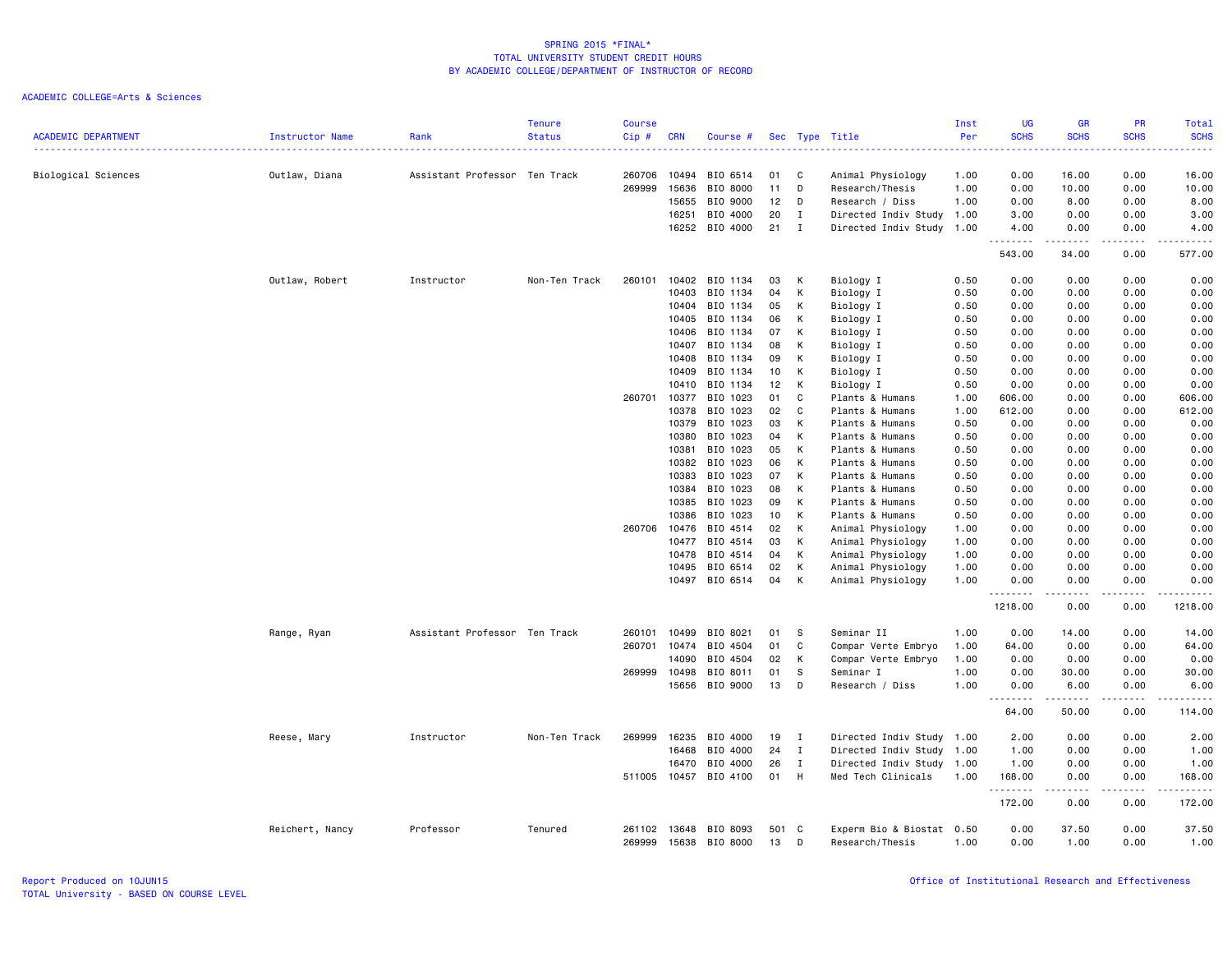| <b>ACADEMIC DEPARTMENT</b> | <b>Instructor Name</b> | Rank                          | <b>Tenure</b><br><b>Status</b> | <b>Course</b><br>Cip # | <b>CRN</b>     | Course #             |             |              | Sec Type Title                               | Inst<br>Per  | <b>UG</b><br><b>SCHS</b> | <b>GR</b><br><b>SCHS</b> | <b>PR</b><br><b>SCHS</b> | Total<br><b>SCHS</b>                                 |
|----------------------------|------------------------|-------------------------------|--------------------------------|------------------------|----------------|----------------------|-------------|--------------|----------------------------------------------|--------------|--------------------------|--------------------------|--------------------------|------------------------------------------------------|
| Biological Sciences        | Outlaw, Diana          | Assistant Professor Ten Track | .                              | 260706                 | 10494          | BIO 6514             | 01          | C            | Animal Physiology                            | 1.00         | 2222<br>0.00             | 16.00                    | 0.00                     | $\omega_{\rm{eff}}$ and $\omega_{\rm{eff}}$<br>16.00 |
|                            |                        |                               |                                | 269999                 | 15636          | BIO 8000             | 11          | D            | Research/Thesis                              | 1.00         | 0.00                     | 10.00                    | 0.00                     | 10.00                                                |
|                            |                        |                               |                                |                        | 15655          | BIO 9000             | 12          | D            | Research / Diss                              | 1.00         | 0.00                     | 8.00                     | 0.00                     | 8.00                                                 |
|                            |                        |                               |                                |                        | 16251          | BIO 4000             | 20          | $\mathbf{I}$ | Directed Indiv Study 1.00                    |              | 3.00                     | 0.00                     | 0.00                     | 3.00                                                 |
|                            |                        |                               |                                |                        |                | 16252 BIO 4000       | 21          | $\mathbf{I}$ | Directed Indiv Study 1.00                    |              | 4.00<br>.                | 0.00                     | 0.00<br>.                | 4.00<br>.                                            |
|                            |                        |                               |                                |                        |                |                      |             |              |                                              |              | 543.00                   | 34.00                    | 0.00                     | 577.00                                               |
|                            | Outlaw, Robert         | Instructor                    | Non-Ten Track                  | 260101                 | 10402          | BIO 1134             | 03          | K            | Biology I                                    | 0.50         | 0.00                     | 0.00                     | 0.00                     | 0.00                                                 |
|                            |                        |                               |                                |                        | 10403          | BIO 1134             | 04          | К            | Biology I                                    | 0.50         | 0.00                     | 0.00                     | 0.00                     | 0.00                                                 |
|                            |                        |                               |                                |                        | 10404          | BIO 1134             | 05          | Κ            | Biology I                                    | 0.50         | 0.00                     | 0.00                     | 0.00                     | 0.00                                                 |
|                            |                        |                               |                                |                        | 10405          | BIO 1134             | 06          | K            | Biology I                                    | 0.50         | 0.00                     | 0.00                     | 0.00                     | 0.00                                                 |
|                            |                        |                               |                                |                        | 10406          | BIO 1134             | 07          | К            | Biology I                                    | 0.50         | 0.00                     | 0.00                     | 0.00                     | 0.00                                                 |
|                            |                        |                               |                                |                        | 10407          | BIO 1134             | 08          | K            | Biology I                                    | 0.50         | 0.00                     | 0.00                     | 0.00                     | 0.00                                                 |
|                            |                        |                               |                                |                        | 10408          | BIO 1134             | 09          | K            | Biology I                                    | 0.50         | 0.00                     | 0.00                     | 0.00                     | 0.00                                                 |
|                            |                        |                               |                                |                        | 10409          | BIO 1134             | 10          | K            | Biology I                                    | 0.50         | 0.00                     | 0.00                     | 0.00                     | 0.00                                                 |
|                            |                        |                               |                                |                        | 10410          | BIO 1134             | 12          | K            | Biology I                                    | 0.50         | 0.00                     | 0.00                     | 0.00                     | 0.00                                                 |
|                            |                        |                               |                                | 260701                 | 10377          | BIO 1023             | 01          | C            | Plants & Humans                              | 1.00         | 606.00                   | 0.00                     | 0.00                     | 606.00                                               |
|                            |                        |                               |                                |                        | 10378          | BIO 1023             | 02          | C            | Plants & Humans                              | 1.00         | 612.00                   | 0.00                     | 0.00                     | 612.00                                               |
|                            |                        |                               |                                |                        | 10379          | BIO 1023             | 03          | К            | Plants & Humans                              | 0.50         | 0.00                     | 0.00                     | 0.00                     | 0.00                                                 |
|                            |                        |                               |                                |                        | 10380          | BIO 1023             | 04          | K            | Plants & Humans                              | 0.50         | 0.00                     | 0.00                     | 0.00                     | 0.00                                                 |
|                            |                        |                               |                                |                        | 10381          | BIO 1023             | 05          | K            | Plants & Humans                              | 0.50         | 0.00                     | 0.00                     | 0.00                     | 0.00                                                 |
|                            |                        |                               |                                |                        | 10382          | BIO 1023             | 06          | К            | Plants & Humans                              | 0.50         | 0.00                     | 0.00                     | 0.00                     | 0.00                                                 |
|                            |                        |                               |                                |                        | 10383          | BIO 1023             | 07          | K            | Plants & Humans                              | 0.50         | 0.00                     | 0.00                     | 0.00                     | 0.00                                                 |
|                            |                        |                               |                                |                        | 10384          | BIO 1023             | 08          | К            | Plants & Humans                              | 0.50         | 0.00                     | 0.00                     | 0.00                     | 0.00                                                 |
|                            |                        |                               |                                |                        | 10385          | BIO 1023             | 09          | K            | Plants & Humans                              | 0.50         | 0.00                     | 0.00                     | 0.00                     | 0.00                                                 |
|                            |                        |                               |                                |                        | 10386          | BIO 1023             | 10          | K            | Plants & Humans                              | 0.50         | 0.00                     | 0.00                     | 0.00                     | 0.00                                                 |
|                            |                        |                               |                                | 260706                 | 10476          | BIO 4514             | 02          | K            | Animal Physiology                            | 1.00         | 0.00                     | 0.00                     | 0.00                     | 0.00                                                 |
|                            |                        |                               |                                |                        | 10477<br>10478 | BIO 4514<br>BIO 4514 | 03<br>04    | К            | Animal Physiology                            | 1.00<br>1.00 | 0.00<br>0.00             | 0.00                     | 0.00<br>0.00             | 0.00                                                 |
|                            |                        |                               |                                |                        |                | BIO 6514             | 02          | K<br>K       | Animal Physiology                            |              |                          | 0.00                     |                          | 0.00                                                 |
|                            |                        |                               |                                |                        | 10495<br>10497 | BIO 6514             | 04          | к            | Animal Physiology                            | 1.00<br>1.00 | 0.00<br>0.00             | 0.00<br>0.00             | 0.00<br>0.00             | 0.00<br>0.00                                         |
|                            |                        |                               |                                |                        |                |                      |             |              | Animal Physiology                            |              | --------                 | .                        | .                        | -------                                              |
|                            |                        |                               |                                |                        |                |                      |             |              |                                              |              | 1218.00                  | 0.00                     | 0.00                     | 1218.00                                              |
|                            | Range, Ryan            | Assistant Professor Ten Track |                                | 260101                 | 10499          | BIO 8021             | 01          | s.           | Seminar II                                   | 1.00         | 0.00                     | 14.00                    | 0.00                     | 14.00                                                |
|                            |                        |                               |                                | 260701                 | 10474          | BIO 4504             | 01          | C            | Compar Verte Embryo                          | 1.00         | 64.00                    | 0.00                     | 0.00                     | 64.00                                                |
|                            |                        |                               |                                |                        | 14090          | BIO 4504             | 02          | К            | Compar Verte Embryo                          | 1.00         | 0.00                     | 0.00                     | 0.00                     | 0.00                                                 |
|                            |                        |                               |                                | 269999                 | 10498          | BIO 8011             | 01          | s            | Seminar I                                    | 1.00         | 0.00                     | 30.00                    | 0.00                     | 30.00                                                |
|                            |                        |                               |                                |                        | 15656          | BIO 9000             | 13          | D            | Research / Diss                              | 1.00         | 0.00<br>.                | 6.00<br>.                | 0.00<br>.                | 6.00<br><u>.</u>                                     |
|                            |                        |                               |                                |                        |                |                      |             |              |                                              |              | 64.00                    | 50.00                    | 0.00                     | 114.00                                               |
|                            | Reese, Mary            | Instructor                    | Non-Ten Track                  | 269999                 | 16235          | BIO 4000             | 19          | $\mathbf{I}$ | Directed Indiv Study 1.00                    |              | 2.00                     | 0.00                     | 0.00                     | 2.00                                                 |
|                            |                        |                               |                                |                        | 16468          | BIO 4000             | 24          | $\mathbf{I}$ | Directed Indiv Study                         | 1.00         | 1.00                     | 0.00                     | 0.00                     | 1.00                                                 |
|                            |                        |                               |                                |                        | 16470          | BIO 4000             | 26          | $\mathbf{I}$ | Directed Indiv Study 1.00                    |              | 1.00                     | 0.00                     | 0.00                     | 1.00                                                 |
|                            |                        |                               |                                | 511005                 | 10457          | BIO 4100             | 01          | H            | Med Tech Clinicals                           | 1.00         | 168.00<br>.              | 0.00<br>.                | 0.00<br>.                | 168.00                                               |
|                            |                        |                               |                                |                        |                |                      |             |              |                                              |              | 172.00                   | 0.00                     | 0.00                     | 172.00                                               |
|                            | Reichert, Nancy        | Professor                     | Tenured                        | 261102<br>269999       | 13648<br>15638 | BIO 8093<br>BIO 8000 | 501 C<br>13 | D            | Experm Bio & Biostat 0.50<br>Research/Thesis | 1.00         | 0.00<br>0.00             | 37.50<br>1.00            | 0.00<br>0.00             | 37.50<br>1.00                                        |
|                            |                        |                               |                                |                        |                |                      |             |              |                                              |              |                          |                          |                          |                                                      |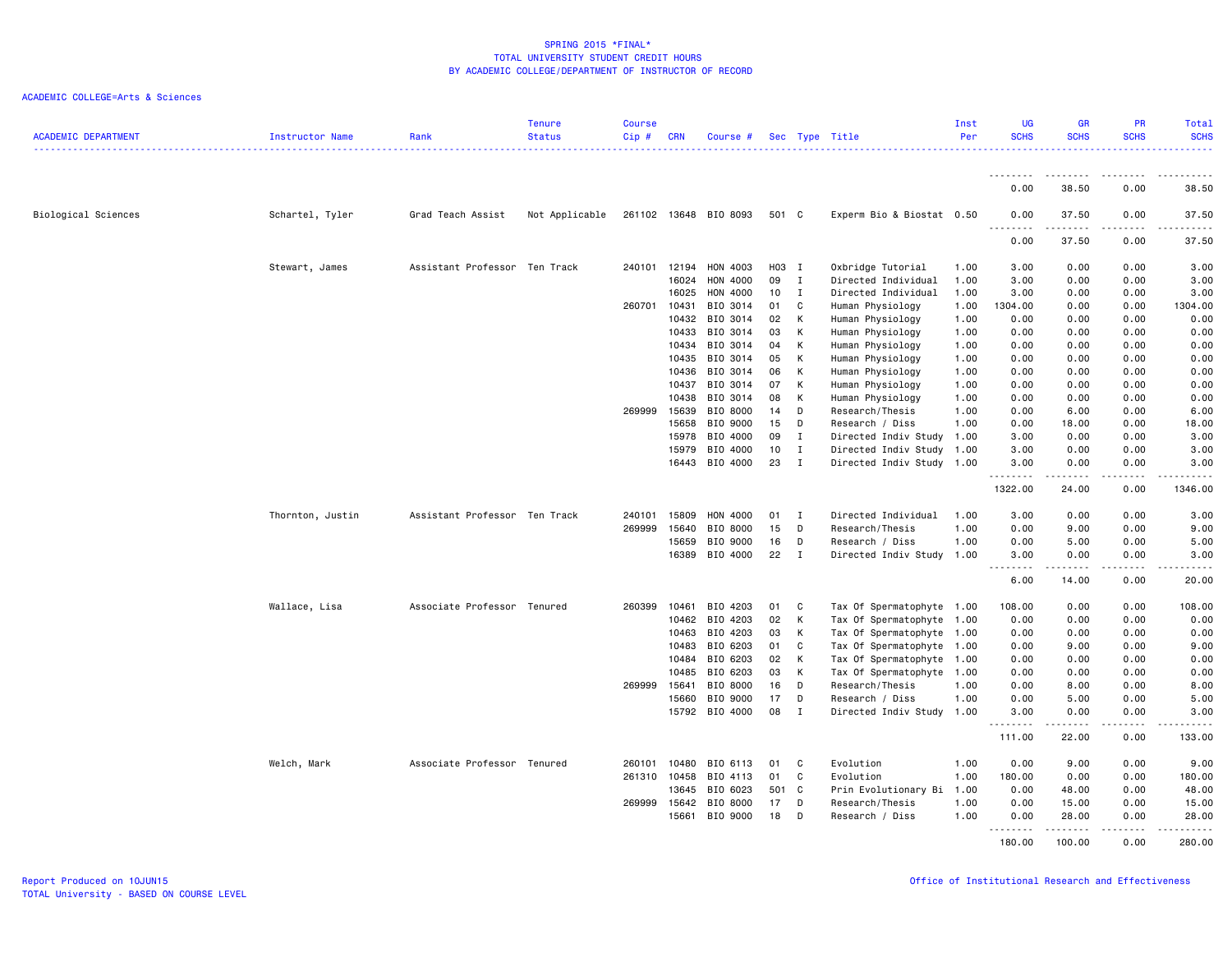| <b>ACADEMIC DEPARTMENT</b> | Instructor Name  | Rank                          | <b>Tenure</b><br><b>Status</b> | <b>Course</b><br>Cip# | <b>CRN</b>     | Course #              |          |                             | Sec Type Title                                         | Inst<br>Per | <b>UG</b><br><b>SCHS</b> | <b>GR</b><br><b>SCHS</b> | <b>PR</b><br><b>SCHS</b> | <b>Total</b><br><b>SCHS</b> |
|----------------------------|------------------|-------------------------------|--------------------------------|-----------------------|----------------|-----------------------|----------|-----------------------------|--------------------------------------------------------|-------------|--------------------------|--------------------------|--------------------------|-----------------------------|
|                            |                  |                               |                                |                       |                |                       |          |                             |                                                        |             |                          |                          |                          | . <u>.</u> .                |
|                            |                  |                               |                                |                       |                |                       |          |                             |                                                        |             | <u>.</u><br>0.00         | <u>--------</u><br>38.50 | .<br>0.00                | $\cdots$<br>38.50           |
| Biological Sciences        | Schartel, Tyler  | Grad Teach Assist             | Not Applicable                 |                       |                | 261102 13648 BIO 8093 | 501 C    |                             | Experm Bio & Biostat 0.50                              |             | 0.00<br><b></b>          | 37.50<br>.               | 0.00<br>.                | 37.50<br>.                  |
|                            |                  |                               |                                |                       |                |                       |          |                             |                                                        |             | 0.00                     | 37.50                    | 0.00                     | 37.50                       |
|                            | Stewart, James   | Assistant Professor Ten Track |                                | 240101 12194          |                | HON 4003              | H03 I    |                             | Oxbridge Tutorial                                      | 1.00        | 3.00                     | 0.00                     | 0.00                     | 3.00                        |
|                            |                  |                               |                                |                       | 16024          | HON 4000              | 09       | $\mathbf{I}$                | Directed Individual                                    | 1.00        | 3.00                     | 0.00                     | 0.00                     | 3.00                        |
|                            |                  |                               |                                |                       | 16025          | HON 4000              | 10       | $\mathbf{I}$                | Directed Individual                                    | 1.00        | 3.00                     | 0.00                     | 0.00                     | 3.00                        |
|                            |                  |                               |                                | 260701                | 10431          | BIO 3014              | 01       | C                           | Human Physiology                                       | 1.00        | 1304.00                  | 0.00                     | 0.00                     | 1304.00                     |
|                            |                  |                               |                                |                       | 10432          | BIO 3014              | 02       | K                           | Human Physiology                                       | 1.00        | 0.00                     | 0.00                     | 0.00                     | 0.00                        |
|                            |                  |                               |                                |                       | 10433          | BIO 3014              | 03       | K                           | Human Physiology                                       | 1.00        | 0.00                     | 0.00                     | 0.00                     | 0.00                        |
|                            |                  |                               |                                |                       | 10434          | BIO 3014              | 04       | K                           | Human Physiology                                       | 1.00        | 0.00                     | 0.00                     | 0.00                     | 0.00                        |
|                            |                  |                               |                                |                       | 10435          | BIO 3014              | 05       | K                           | Human Physiology                                       | 1.00        | 0.00                     | 0.00                     | 0.00                     | 0.00                        |
|                            |                  |                               |                                |                       | 10436          | BIO 3014              | 06       | K                           | Human Physiology                                       | 1.00        | 0.00                     | 0.00                     | 0.00                     | 0.00                        |
|                            |                  |                               |                                |                       | 10437          | BIO 3014              | 07       | K                           | Human Physiology                                       | 1.00        | 0.00                     | 0.00                     | 0.00                     | 0.00                        |
|                            |                  |                               |                                |                       | 10438          | BIO 3014              | 08       | K                           | Human Physiology                                       | 1.00        | 0.00                     | 0.00                     | 0.00                     | 0.00                        |
|                            |                  |                               |                                | 269999                | 15639          | BIO 8000              | 14       | D                           | Research/Thesis                                        | 1.00        | 0.00                     | 6.00                     | 0.00                     | 6.00                        |
|                            |                  |                               |                                |                       | 15658          | BIO 9000              | 15       | D                           | Research / Diss                                        | 1.00        | 0.00                     | 18.00                    | 0.00                     | 18.00                       |
|                            |                  |                               |                                |                       | 15978<br>15979 | BIO 4000<br>BIO 4000  | 09<br>10 | $\mathbf{I}$<br>$\mathbf I$ | Directed Indiv Study 1.00<br>Directed Indiv Study 1.00 |             | 3.00<br>3.00             | 0.00<br>0.00             | 0.00<br>0.00             | 3.00<br>3.00                |
|                            |                  |                               |                                |                       | 16443          | BIO 4000              | 23       | $\mathbf{I}$                | Directed Indiv Study 1.00                              |             | 3.00                     | 0.00                     | 0.00                     | 3.00                        |
|                            |                  |                               |                                |                       |                |                       |          |                             |                                                        |             | <u>.</u>                 | $- - - - -$              | .                        | .                           |
|                            |                  |                               |                                |                       |                |                       |          |                             |                                                        |             | 1322.00                  | 24.00                    | 0.00                     | 1346.00                     |
|                            | Thornton, Justin | Assistant Professor Ten Track |                                | 240101                | 15809          | HON 4000              | 01       | I                           | Directed Individual                                    | 1.00        | 3.00                     | 0.00                     | 0.00                     | 3.00                        |
|                            |                  |                               |                                | 269999                | 15640          | BIO 8000              | 15       | D                           | Research/Thesis                                        | 1.00        | 0.00                     | 9.00                     | 0.00                     | 9.00                        |
|                            |                  |                               |                                |                       | 15659          | BIO 9000              | 16       | D                           | Research / Diss                                        | 1.00        | 0.00                     | 5.00                     | 0.00                     | 5.00                        |
|                            |                  |                               |                                |                       | 16389          | BIO 4000              | 22       | I                           | Directed Indiv Study 1.00                              |             | 3.00                     | 0.00                     | 0.00                     | 3.00                        |
|                            |                  |                               |                                |                       |                |                       |          |                             |                                                        |             | .<br>6.00                | .<br>14.00               | -----<br>0.00            | .<br>20.00                  |
|                            | Wallace, Lisa    | Associate Professor Tenured   |                                | 260399                | 10461          | BIO 4203              | 01       | C                           | Tax Of Spermatophyte 1.00                              |             | 108.00                   | 0.00                     | 0.00                     | 108.00                      |
|                            |                  |                               |                                |                       | 10462          | BIO 4203              | 02       | K                           | Tax Of Spermatophyte 1.00                              |             | 0.00                     | 0.00                     | 0.00                     | 0.00                        |
|                            |                  |                               |                                |                       | 10463          | BIO 4203              | 03       | K                           | Tax Of Spermatophyte 1.00                              |             | 0.00                     | 0.00                     | 0.00                     | 0.00                        |
|                            |                  |                               |                                |                       | 10483          | BIO 6203              | 01       | C                           | Tax Of Spermatophyte 1.00                              |             | 0.00                     | 9.00                     | 0.00                     | 9.00                        |
|                            |                  |                               |                                |                       | 10484          | BIO 6203              | 02       | K                           | Tax Of Spermatophyte 1.00                              |             | 0.00                     | 0.00                     | 0.00                     | 0.00                        |
|                            |                  |                               |                                |                       | 10485          | BIO 6203              | 03       | K                           | Tax Of Spermatophyte 1.00                              |             | 0.00                     | 0.00                     | 0.00                     | 0.00                        |
|                            |                  |                               |                                | 269999                | 15641          | BIO 8000              | 16       | D                           | Research/Thesis                                        | 1.00        | 0.00                     | 8.00                     | 0.00                     | 8.00                        |
|                            |                  |                               |                                |                       | 15660          | BIO 9000              | 17       | D                           | Research / Diss                                        | 1.00        | 0.00                     | 5.00                     | 0.00                     | 5.00                        |
|                            |                  |                               |                                |                       |                | 15792 BIO 4000        | 08       | $\mathbf{I}$                | Directed Indiv Study 1.00                              |             | 3.00<br>.                | 0.00<br>.                | 0.00<br>.                | 3.00<br>------              |
|                            |                  |                               |                                |                       |                |                       |          |                             |                                                        |             | 111.00                   | 22.00                    | 0.00                     | 133.00                      |
|                            | Welch, Mark      | Associate Professor Tenured   |                                | 260101                | 10480          | BIO 6113              | 01       | C                           | Evolution                                              | 1.00        | 0.00                     | 9.00                     | 0.00                     | 9.00                        |
|                            |                  |                               |                                | 261310                | 10458          | BIO 4113              | 01       | C                           | Evolution                                              | 1.00        | 180.00                   | 0.00                     | 0.00                     | 180.00                      |
|                            |                  |                               |                                |                       | 13645          | BIO 6023              | 501      | $\mathbf{C}$                | Prin Evolutionary Bi 1.00                              |             | 0.00                     | 48.00                    | 0.00                     | 48.00                       |
|                            |                  |                               |                                | 269999                | 15642          | BIO 8000              | 17       | D                           | Research/Thesis                                        | 1.00        | 0.00                     | 15.00                    | 0.00                     | 15.00                       |
|                            |                  |                               |                                |                       | 15661          | BIO 9000              | 18       | D                           | Research / Diss                                        | 1.00        | 0.00                     | 28.00<br><u>.</u>        | 0.00<br><u>.</u>         | 28.00<br><u>.</u>           |
|                            |                  |                               |                                |                       |                |                       |          |                             |                                                        |             | .<br>180.00              | 100.00                   | 0.00                     | 280.00                      |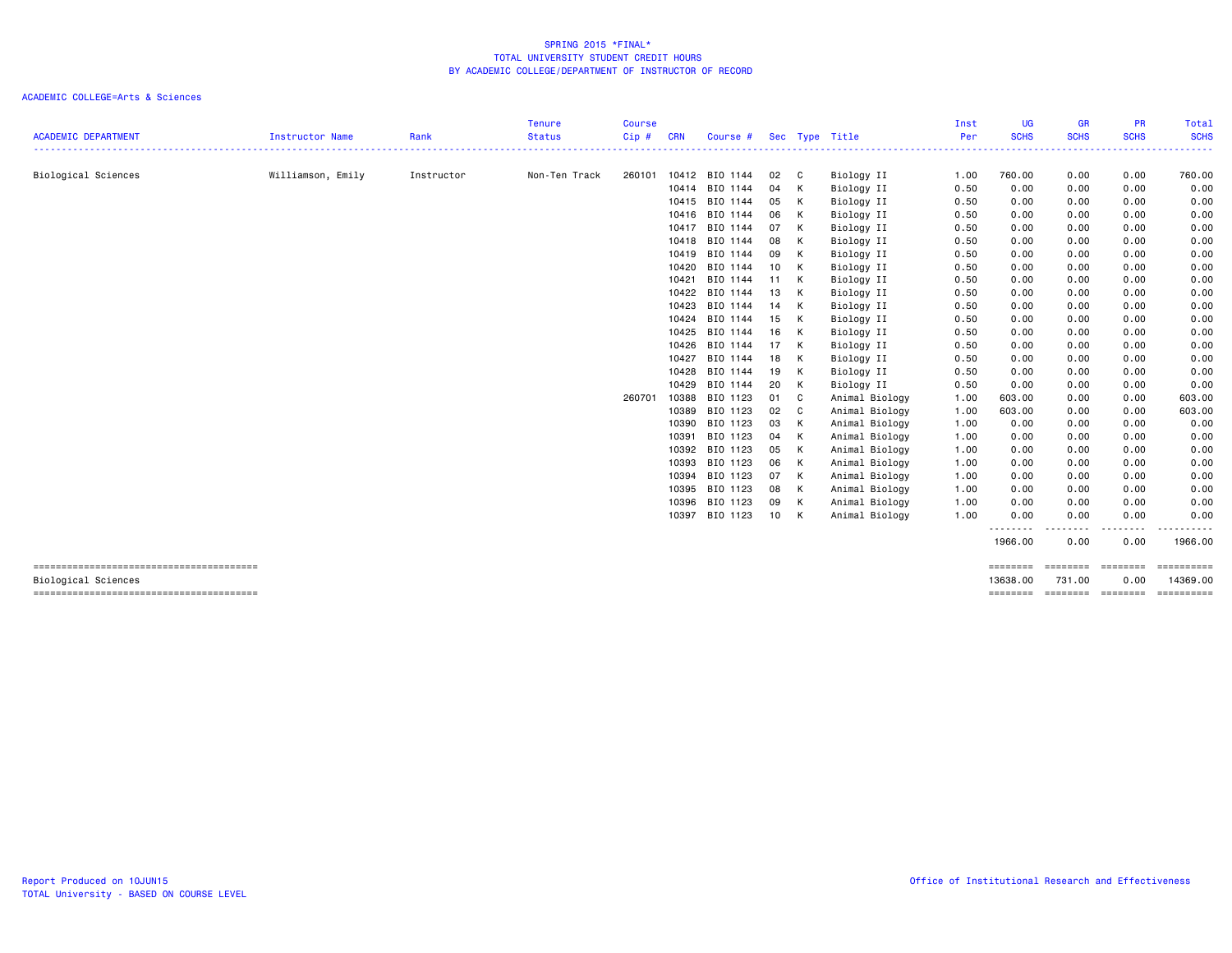|                                        |                   |            | <b>Tenure</b> | <b>Course</b> |            |                |      |              |                          | Inst | <b>UG</b>   | <b>GR</b>          | <b>PR</b>     | Total            |
|----------------------------------------|-------------------|------------|---------------|---------------|------------|----------------|------|--------------|--------------------------|------|-------------|--------------------|---------------|------------------|
| <b>ACADEMIC DEPARTMENT</b>             | Instructor Name   | Rank       | <b>Status</b> | Cip#          | <b>CRN</b> | Course #       |      |              | Sec Type Title           | Per  | <b>SCHS</b> | <b>SCHS</b>        | <b>SCHS</b>   | <b>SCHS</b>      |
|                                        |                   | Instructor | Non-Ten Track | 260101        |            | 10412 BIO 1144 | 02   | $\mathbf{C}$ |                          | 1.00 | 760.00      | 0.00               | 0.00          | 760.00           |
| Biological Sciences                    | Williamson, Emily |            |               |               | 10414      | BIO 1144       | 04   | K            | Biology II<br>Biology II | 0.50 | 0.00        | 0.00               | 0.00          | 0.00             |
|                                        |                   |            |               |               | 10415      | BIO 1144       | 05   | K            | Biology II               | 0.50 | 0.00        | 0.00               | 0.00          | 0.00             |
|                                        |                   |            |               |               | 10416      | BIO 1144       | 06   | K            | Biology II               | 0.50 | 0.00        | 0.00               | 0.00          | 0.00             |
|                                        |                   |            |               |               | 10417      | BIO 1144       | 07   | K            | Biology II               | 0.50 | 0.00        | 0.00               | 0.00          | 0.00             |
|                                        |                   |            |               |               | 10418      | BIO 1144       | 08   | K            | Biology II               | 0.50 | 0.00        | 0.00               | 0.00          | 0.00             |
|                                        |                   |            |               |               | 10419      | BIO 1144       | 09   | K            | Biology II               | 0.50 | 0.00        | 0.00               | 0.00          | 0.00             |
|                                        |                   |            |               |               | 10420      | BIO 1144       | 10   | K            | Biology II               | 0.50 | 0.00        | 0.00               | 0.00          | 0.00             |
|                                        |                   |            |               |               | 10421      | BIO 1144       | 11   | <b>K</b>     | Biology II               | 0.50 | 0.00        | 0.00               | 0.00          | 0.00             |
|                                        |                   |            |               |               | 10422      | BIO 1144       | 13   | K            | Biology II               | 0.50 | 0.00        | 0.00               | 0.00          | 0.00             |
|                                        |                   |            |               |               | 10423      | BIO 1144       | 14   | K            | Biology II               | 0.50 | 0.00        | 0.00               | 0.00          | 0.00             |
|                                        |                   |            |               |               | 10424      | BIO 1144       | 15   | K            | Biology II               | 0.50 | 0.00        | 0.00               | 0.00          | 0.00             |
|                                        |                   |            |               |               | 10425      | BIO 1144       | 16   | K            | Biology II               | 0.50 | 0.00        | 0.00               | 0.00          | 0.00             |
|                                        |                   |            |               |               | 10426      | BIO 1144       | 17   | K            | Biology II               | 0.50 | 0.00        | 0.00               | 0.00          | 0.00             |
|                                        |                   |            |               |               | 10427      | BIO 1144       | 18   | K            | Biology II               | 0.50 | 0.00        | 0.00               | 0.00          | 0.00             |
|                                        |                   |            |               |               | 10428      | BIO 1144       | 19   | K            | Biology II               | 0.50 | 0.00        | 0.00               | 0.00          | 0.00             |
|                                        |                   |            |               |               | 10429      | BIO 1144       | 20   | K            | Biology II               | 0.50 | 0.00        | 0.00               | 0.00          | 0.00             |
|                                        |                   |            |               | 260701        | 10388      | BIO 1123       | 01 C |              | Animal Biology           | 1.00 | 603.00      | 0.00               | 0.00          | 603.00           |
|                                        |                   |            |               |               | 10389      | BIO 1123       | 02 C |              | Animal Biology           | 1.00 | 603.00      | 0.00               | 0.00          | 603.00           |
|                                        |                   |            |               |               | 10390      | BIO 1123       | 03 K |              | Animal Biology           | 1.00 | 0.00        | 0.00               | 0.00          | 0.00             |
|                                        |                   |            |               |               | 10391      | BIO 1123       | 04   | K            | Animal Biology           | 1.00 | 0.00        | 0.00               | 0.00          | 0.00             |
|                                        |                   |            |               |               | 10392      | BIO 1123       | 05   | $\mathsf{K}$ | Animal Biology           | 1.00 | 0.00        | 0.00               | 0.00          | 0.00             |
|                                        |                   |            |               |               | 10393      | BIO 1123       | 06 K |              | Animal Biology           | 1.00 | 0.00        | 0.00               | 0.00          | 0.00             |
|                                        |                   |            |               |               | 10394      | BIO 1123       | 07 K |              | Animal Biology           | 1.00 | 0.00        | 0.00               | 0.00          | 0.00             |
|                                        |                   |            |               |               | 10395      | BIO 1123       | 08   | $\mathsf{K}$ | Animal Biology           | 1.00 | 0.00        | 0.00               | 0.00          | 0.00             |
|                                        |                   |            |               |               | 10396      | BIO 1123       | 09   | $\mathsf{K}$ | Animal Biology           | 1.00 | 0.00        | 0.00               | 0.00          | 0.00             |
|                                        |                   |            |               |               | 10397      | BIO 1123       | 10 K |              | Animal Biology           | 1.00 | 0.00<br>.   | 0.00               | 0.00<br>.     | 0.00<br>------   |
|                                        |                   |            |               |               |            |                |      |              |                          |      | 1966.00     | 0.00               | 0.00          | 1966.00          |
| -------------------------------------- |                   |            |               |               |            |                |      |              |                          |      | ========    | ========           | $= 222222222$ |                  |
| Biological Sciences                    |                   |            |               |               |            |                |      |              |                          |      | 13638.00    | 731.00             | 0.00          | 14369.00         |
|                                        |                   |            |               |               |            |                |      |              |                          |      | ========    | --------- -------- |               | <b>CONSESSED</b> |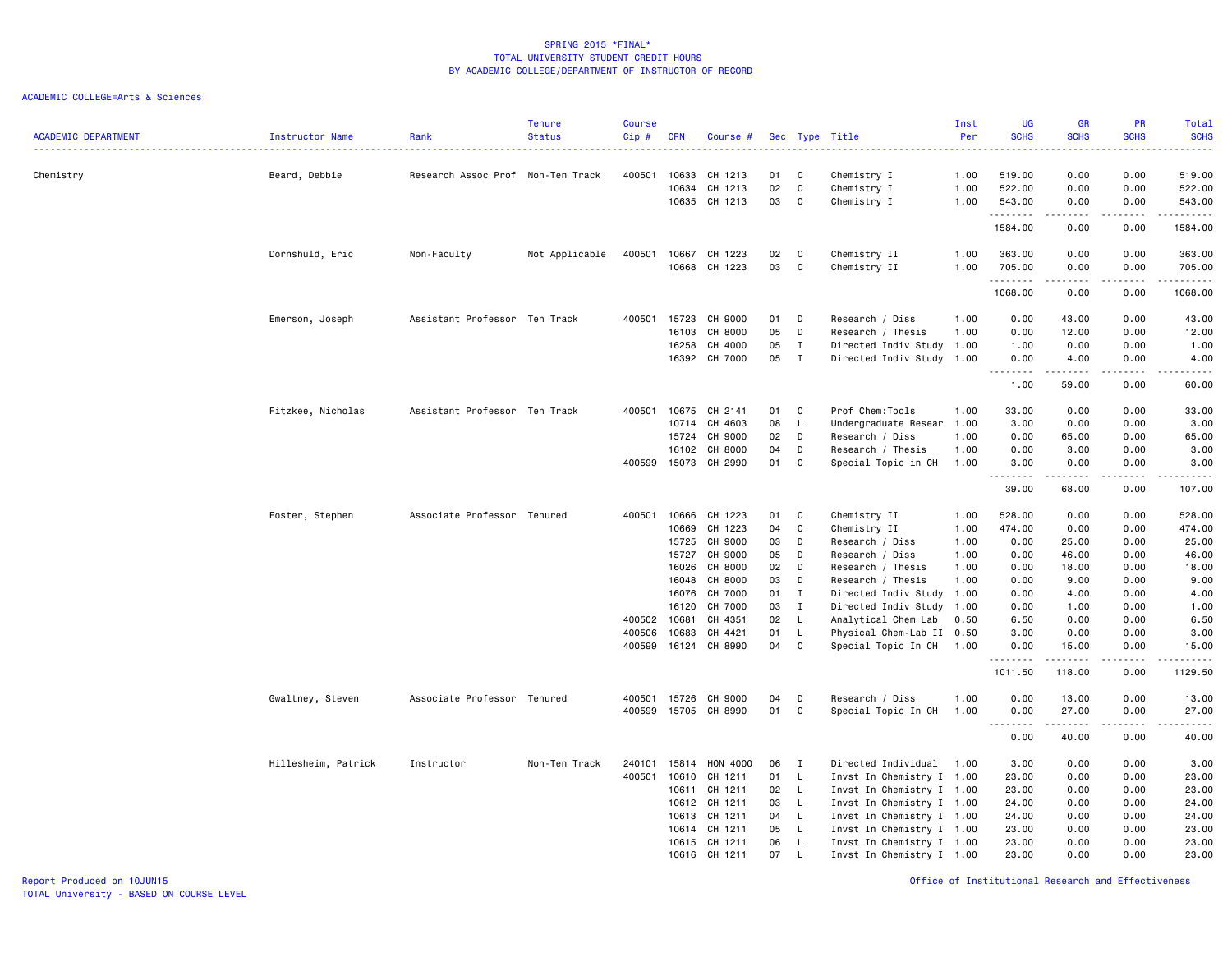| <b>ACADEMIC DEPARTMENT</b> | Instructor Name     | Rank                              | <b>Tenure</b><br><b>Status</b> | <b>Course</b><br>Cip# | <b>CRN</b>     | Course #           |          |                    | Sec Type Title                                   | Inst<br>Per | <b>UG</b><br><b>SCHS</b>   | <b>GR</b><br><b>SCHS</b>                                                                                                                                     | PR<br><b>SCHS</b>                           | Total<br><b>SCHS</b><br>.                                                                                                                                       |
|----------------------------|---------------------|-----------------------------------|--------------------------------|-----------------------|----------------|--------------------|----------|--------------------|--------------------------------------------------|-------------|----------------------------|--------------------------------------------------------------------------------------------------------------------------------------------------------------|---------------------------------------------|-----------------------------------------------------------------------------------------------------------------------------------------------------------------|
| Chemistry                  | Beard, Debbie       | Research Assoc Prof Non-Ten Track |                                | 400501                | 10633          | CH 1213            | 01       | C                  | Chemistry I                                      | 1.00        | 519.00                     | 0.00                                                                                                                                                         | 0.00                                        | 519.00                                                                                                                                                          |
|                            |                     |                                   |                                |                       | 10634          | CH 1213            | 02       | C                  | Chemistry I                                      | 1.00        | 522.00                     | 0.00                                                                                                                                                         | 0.00                                        | 522.00                                                                                                                                                          |
|                            |                     |                                   |                                |                       | 10635          | CH 1213            | 03       | C                  | Chemistry I                                      | 1.00        | 543.00                     | 0.00                                                                                                                                                         | 0.00                                        | 543.00                                                                                                                                                          |
|                            |                     |                                   |                                |                       |                |                    |          |                    |                                                  |             | .<br>1584.00               | $\frac{1}{2} \left( \frac{1}{2} \right) \left( \frac{1}{2} \right) \left( \frac{1}{2} \right) \left( \frac{1}{2} \right) \left( \frac{1}{2} \right)$<br>0.00 | .<br>0.00                                   | .<br>1584.00                                                                                                                                                    |
|                            | Dornshuld, Eric     | Non-Faculty                       | Not Applicable                 | 400501                | 10667          | CH 1223            | 02       | C                  | Chemistry II                                     | 1.00        | 363.00                     | 0.00                                                                                                                                                         | 0.00                                        | 363.00                                                                                                                                                          |
|                            |                     |                                   |                                |                       | 10668          | CH 1223            | 03       | C                  | Chemistry II                                     | 1.00        | 705.00<br>.                | 0.00<br>-----                                                                                                                                                | 0.00<br>.                                   | 705.00<br>.                                                                                                                                                     |
|                            |                     |                                   |                                |                       |                |                    |          |                    |                                                  |             | 1068.00                    | 0.00                                                                                                                                                         | 0.00                                        | 1068.00                                                                                                                                                         |
|                            | Emerson, Joseph     | Assistant Professor Ten Track     |                                | 400501                | 15723          | CH 9000            | 01       | D                  | Research / Diss                                  | 1.00        | 0.00                       | 43.00                                                                                                                                                        | 0.00                                        | 43.00                                                                                                                                                           |
|                            |                     |                                   |                                |                       | 16103          | CH 8000            | 05       | D                  | Research / Thesis                                | 1.00        | 0.00                       | 12.00                                                                                                                                                        | 0.00                                        | 12.00                                                                                                                                                           |
|                            |                     |                                   |                                |                       | 16258          | CH 4000            | 05       | $\mathbf{I}$       | Directed Indiv Study 1.00                        |             | 1.00                       | 0.00                                                                                                                                                         | 0.00                                        | 1.00                                                                                                                                                            |
|                            |                     |                                   |                                |                       |                | 16392 CH 7000      | 05       | I                  | Directed Indiv Study 1.00                        |             | 0.00<br>.<br>$\sim$ $\sim$ | 4.00<br>-----                                                                                                                                                | 0.00<br>$\omega$ $\omega$ $\omega$ $\omega$ | 4.00<br>-----                                                                                                                                                   |
|                            |                     |                                   |                                |                       |                |                    |          |                    |                                                  |             | 1.00                       | 59.00                                                                                                                                                        | 0.00                                        | 60.00                                                                                                                                                           |
|                            | Fitzkee, Nicholas   | Assistant Professor Ten Track     |                                | 400501                | 10675          | CH 2141            | 01       | C                  | Prof Chem:Tools                                  | 1.00        | 33.00                      | 0.00                                                                                                                                                         | 0.00                                        | 33.00                                                                                                                                                           |
|                            |                     |                                   |                                |                       | 10714          | CH 4603            | 08       | L                  | Undergraduate Resear                             | 1.00        | 3.00                       | 0.00                                                                                                                                                         | 0.00                                        | 3.00                                                                                                                                                            |
|                            |                     |                                   |                                |                       | 15724          | CH 9000            | 02       | D                  | Research / Diss                                  | 1.00        | 0.00                       | 65.00                                                                                                                                                        | 0.00                                        | 65.00                                                                                                                                                           |
|                            |                     |                                   |                                |                       | 16102          | CH 8000            | 04       | D                  | Research / Thesis                                | 1.00        | 0.00                       | 3.00                                                                                                                                                         | 0.00                                        | 3.00                                                                                                                                                            |
|                            |                     |                                   |                                | 400599                | 15073          | CH 2990            | 01       | C                  | Special Topic in CH                              | 1.00        | 3.00<br>.                  | 0.00<br>د د د د د                                                                                                                                            | 0.00<br>$\sim$ $\sim$ $\sim$ $\sim$         | 3.00<br>$\frac{1}{2} \left( \frac{1}{2} \right) \left( \frac{1}{2} \right) \left( \frac{1}{2} \right) \left( \frac{1}{2} \right) \left( \frac{1}{2} \right)$    |
|                            |                     |                                   |                                |                       |                |                    |          |                    |                                                  |             | 39.00                      | 68.00                                                                                                                                                        | 0.00                                        | 107.00                                                                                                                                                          |
|                            | Foster, Stephen     | Associate Professor Tenured       |                                | 400501                | 10666          | CH 1223            | 01       | C                  | Chemistry II                                     | 1.00        | 528.00                     | 0.00                                                                                                                                                         | 0.00                                        | 528.00                                                                                                                                                          |
|                            |                     |                                   |                                |                       | 10669          | CH 1223            | 04       | C                  | Chemistry II                                     | 1.00        | 474.00                     | 0.00                                                                                                                                                         | 0.00                                        | 474.00                                                                                                                                                          |
|                            |                     |                                   |                                |                       | 15725          | CH 9000            | 03       | D                  | Research / Diss                                  | 1.00        | 0.00                       | 25.00                                                                                                                                                        | 0.00                                        | 25.00                                                                                                                                                           |
|                            |                     |                                   |                                |                       | 15727          | CH 9000            | 05       | D                  | Research / Diss                                  | 1.00        | 0.00                       | 46.00                                                                                                                                                        | 0.00                                        | 46.00                                                                                                                                                           |
|                            |                     |                                   |                                |                       | 16026          | CH 8000            | 02       | D                  | Research / Thesis                                | 1.00        | 0.00                       | 18.00                                                                                                                                                        | 0.00                                        | 18.00                                                                                                                                                           |
|                            |                     |                                   |                                |                       | 16048          | CH 8000            | 03       | D                  | Research / Thesis                                | 1.00        | 0.00                       | 9.00                                                                                                                                                         | 0.00                                        | 9.00                                                                                                                                                            |
|                            |                     |                                   |                                |                       | 16076          | CH 7000            | 01       | $\mathbf{I}$       | Directed Indiv Study                             | 1.00        | 0.00                       | 4.00                                                                                                                                                         | 0.00                                        | 4.00                                                                                                                                                            |
|                            |                     |                                   |                                | 400502                | 16120<br>10681 | CH 7000<br>CH 4351 | 03<br>02 | $\mathbf{I}$<br>L. | Directed Indiv Study 1.00<br>Analytical Chem Lab | 0.50        | 0.00<br>6.50               | 1.00<br>0.00                                                                                                                                                 | 0.00<br>0.00                                | 1.00<br>6.50                                                                                                                                                    |
|                            |                     |                                   |                                | 400506                | 10683          | CH 4421            | 01       | L                  | Physical Chem-Lab II 0.50                        |             | 3.00                       | 0.00                                                                                                                                                         | 0.00                                        | 3.00                                                                                                                                                            |
|                            |                     |                                   |                                | 400599                | 16124          | CH 8990            | 04       | C                  | Special Topic In CH                              | 1.00        | 0.00                       | 15.00                                                                                                                                                        | 0.00                                        | 15.00                                                                                                                                                           |
|                            |                     |                                   |                                |                       |                |                    |          |                    |                                                  |             | .<br>1011.50               | 118.00                                                                                                                                                       | .<br>0.00                                   | $\frac{1}{2} \left( \frac{1}{2} \right) \left( \frac{1}{2} \right) \left( \frac{1}{2} \right) \left( \frac{1}{2} \right) \left( \frac{1}{2} \right)$<br>1129.50 |
|                            | Gwaltney, Steven    | Associate Professor Tenured       |                                | 400501                | 15726          | CH 9000            | 04       | D                  | Research / Diss                                  | 1.00        | 0.00                       | 13.00                                                                                                                                                        | 0.00                                        | 13.00                                                                                                                                                           |
|                            |                     |                                   |                                | 400599                | 15705          | CH 8990            | 01       | C                  | Special Topic In CH                              | 1.00        | 0.00                       | 27.00                                                                                                                                                        | 0.00                                        | 27.00                                                                                                                                                           |
|                            |                     |                                   |                                |                       |                |                    |          |                    |                                                  |             | -----<br>$\sim$ $\sim$ .   | .                                                                                                                                                            | .                                           | .                                                                                                                                                               |
|                            |                     |                                   |                                |                       |                |                    |          |                    |                                                  |             | 0.00                       | 40.00                                                                                                                                                        | 0.00                                        | 40.00                                                                                                                                                           |
|                            | Hillesheim, Patrick | Instructor                        | Non-Ten Track                  | 240101                | 15814          | HON 4000           | 06       | $\mathbf{I}$       | Directed Individual                              | 1.00        | 3.00                       | 0.00                                                                                                                                                         | 0.00                                        | 3.00                                                                                                                                                            |
|                            |                     |                                   |                                | 400501                | 10610          | CH 1211            | 01       | L                  | Invst In Chemistry I 1.00                        |             | 23.00                      | 0.00                                                                                                                                                         | 0.00                                        | 23.00                                                                                                                                                           |
|                            |                     |                                   |                                |                       | 10611          | CH 1211            | 02       | L                  | Invst In Chemistry I 1.00                        |             | 23.00                      | 0.00                                                                                                                                                         | 0.00                                        | 23.00                                                                                                                                                           |
|                            |                     |                                   |                                |                       | 10612          | CH 1211            | 03       | $\mathsf{L}$       | Invst In Chemistry I 1.00                        |             | 24.00                      | 0.00                                                                                                                                                         | 0.00                                        | 24.00                                                                                                                                                           |
|                            |                     |                                   |                                |                       | 10613          | CH 1211            | 04       | L.                 | Invst In Chemistry I 1.00                        |             | 24.00                      | 0.00                                                                                                                                                         | 0.00                                        | 24.00                                                                                                                                                           |
|                            |                     |                                   |                                |                       | 10614          | CH 1211            | 05       | L.                 | Invst In Chemistry I 1.00                        |             | 23.00                      | 0.00                                                                                                                                                         | 0.00                                        | 23.00                                                                                                                                                           |
|                            |                     |                                   |                                |                       | 10615          | CH 1211            | 06       | L                  | Invst In Chemistry I 1.00                        |             | 23.00                      | 0.00                                                                                                                                                         | 0.00                                        | 23.00                                                                                                                                                           |
|                            |                     |                                   |                                |                       |                | 10616 CH 1211      | 07       | L                  | Invst In Chemistry I 1.00                        |             | 23.00                      | 0.00                                                                                                                                                         | 0.00                                        | 23.00                                                                                                                                                           |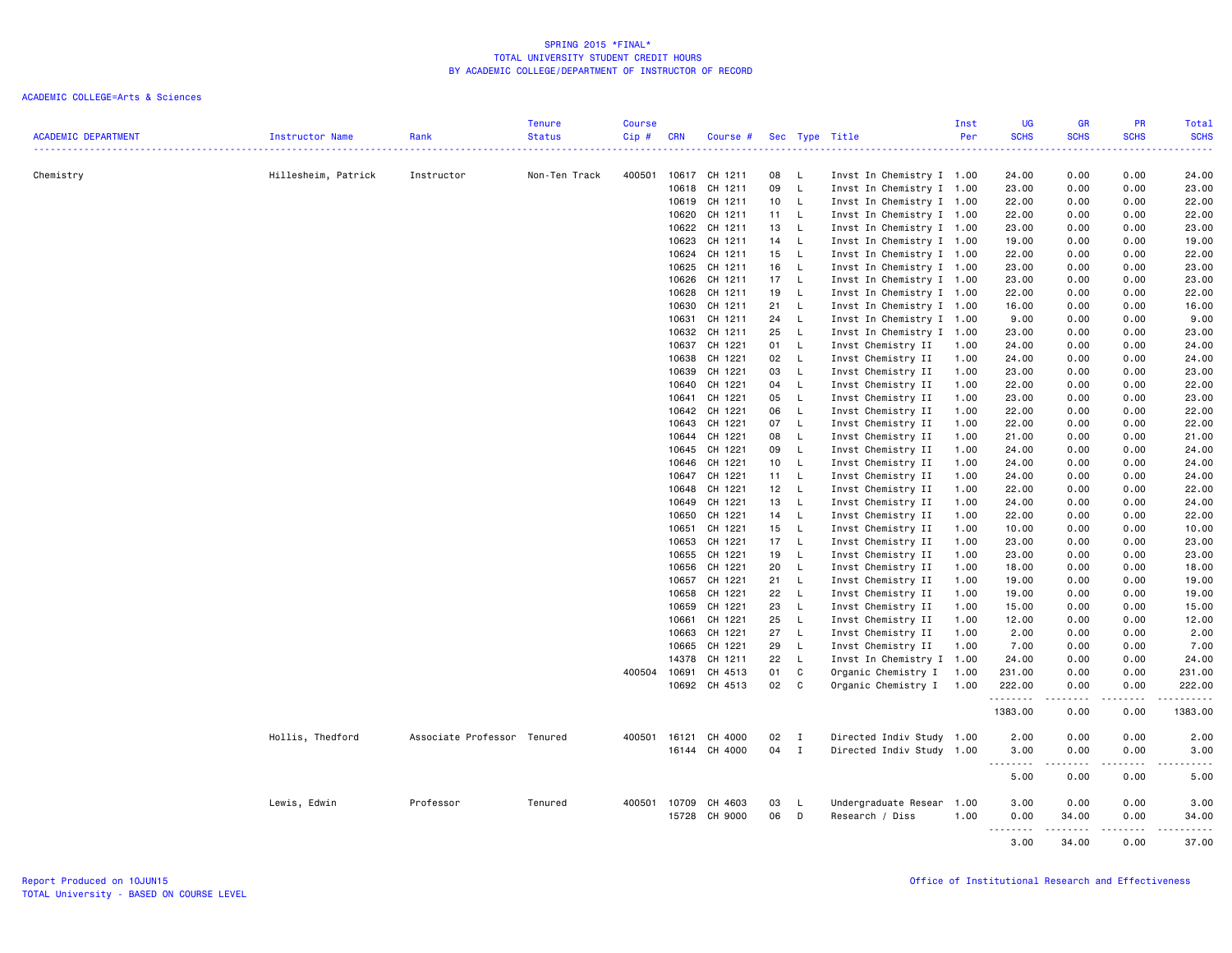|                            |                     |                             | <b>Tenure</b> | <b>Course</b> |              |               |    |              |                           | Inst | <b>UG</b>    | <b>GR</b>                                                                                                                                            | PR                  | Total                                                                                                                                                                                                                                                                                                                                                                                                                                                                                  |
|----------------------------|---------------------|-----------------------------|---------------|---------------|--------------|---------------|----|--------------|---------------------------|------|--------------|------------------------------------------------------------------------------------------------------------------------------------------------------|---------------------|----------------------------------------------------------------------------------------------------------------------------------------------------------------------------------------------------------------------------------------------------------------------------------------------------------------------------------------------------------------------------------------------------------------------------------------------------------------------------------------|
| <b>ACADEMIC DEPARTMENT</b> | Instructor Name     | Rank                        | <b>Status</b> | Cip#          | <b>CRN</b>   | Course #      |    |              | Sec Type Title            | Per  | <b>SCHS</b>  | <b>SCHS</b>                                                                                                                                          | <b>SCHS</b>         | <b>SCHS</b><br>$\frac{1}{2} \left( \frac{1}{2} \right) \left( \frac{1}{2} \right) \left( \frac{1}{2} \right) \left( \frac{1}{2} \right)$                                                                                                                                                                                                                                                                                                                                               |
| Chemistry                  | Hillesheim, Patrick | Instructor                  | Non-Ten Track | 400501        | 10617        | CH 1211       | 08 | L.           | Invst In Chemistry I 1.00 |      | 24.00        | 0.00                                                                                                                                                 | 0.00                | 24.00                                                                                                                                                                                                                                                                                                                                                                                                                                                                                  |
|                            |                     |                             |               |               | 10618        | CH 1211       | 09 | $\mathsf{L}$ | Invst In Chemistry I 1.00 |      | 23.00        | 0.00                                                                                                                                                 | 0.00                | 23.00                                                                                                                                                                                                                                                                                                                                                                                                                                                                                  |
|                            |                     |                             |               |               | 10619        | CH 1211       | 10 | $\mathsf{L}$ | Invst In Chemistry I 1.00 |      | 22.00        | 0.00                                                                                                                                                 | 0.00                | 22.00                                                                                                                                                                                                                                                                                                                                                                                                                                                                                  |
|                            |                     |                             |               |               | 10620        | CH 1211       | 11 | L.           | Invst In Chemistry I 1.00 |      | 22.00        | 0.00                                                                                                                                                 | 0.00                | 22.00                                                                                                                                                                                                                                                                                                                                                                                                                                                                                  |
|                            |                     |                             |               |               | 10622        | CH 1211       | 13 | L.           | Invst In Chemistry I 1.00 |      | 23.00        | 0.00                                                                                                                                                 | 0.00                | 23.00                                                                                                                                                                                                                                                                                                                                                                                                                                                                                  |
|                            |                     |                             |               |               | 10623        | CH 1211       | 14 | $\mathsf{L}$ | Invst In Chemistry I 1.00 |      | 19.00        | 0.00                                                                                                                                                 | 0.00                | 19.00                                                                                                                                                                                                                                                                                                                                                                                                                                                                                  |
|                            |                     |                             |               |               | 10624        | CH 1211       | 15 | L            | Invst In Chemistry I 1.00 |      | 22.00        | 0.00                                                                                                                                                 | 0.00                | 22.00                                                                                                                                                                                                                                                                                                                                                                                                                                                                                  |
|                            |                     |                             |               |               | 10625        | CH 1211       | 16 | L.           | Invst In Chemistry I 1.00 |      | 23.00        | 0.00                                                                                                                                                 | 0.00                | 23.00                                                                                                                                                                                                                                                                                                                                                                                                                                                                                  |
|                            |                     |                             |               |               | 10626        | CH 1211       | 17 | $\mathsf{L}$ | Invst In Chemistry I 1.00 |      | 23.00        | 0.00                                                                                                                                                 | 0.00                | 23.00                                                                                                                                                                                                                                                                                                                                                                                                                                                                                  |
|                            |                     |                             |               |               | 10628        | CH 1211       | 19 | L            | Invst In Chemistry I 1.00 |      | 22.00        | 0.00                                                                                                                                                 | 0.00                | 22.00                                                                                                                                                                                                                                                                                                                                                                                                                                                                                  |
|                            |                     |                             |               |               | 10630        | CH 1211       | 21 | $\mathsf{L}$ | Invst In Chemistry I 1.00 |      | 16.00        | 0.00                                                                                                                                                 | 0.00                | 16.00                                                                                                                                                                                                                                                                                                                                                                                                                                                                                  |
|                            |                     |                             |               |               | 10631        | CH 1211       | 24 | $\mathsf{L}$ | Invst In Chemistry I 1.00 |      | 9.00         | 0.00                                                                                                                                                 | 0.00                | 9.00                                                                                                                                                                                                                                                                                                                                                                                                                                                                                   |
|                            |                     |                             |               |               | 10632        | CH 1211       | 25 | L            | Invst In Chemistry I 1.00 |      | 23.00        | 0.00                                                                                                                                                 | 0.00                | 23.00                                                                                                                                                                                                                                                                                                                                                                                                                                                                                  |
|                            |                     |                             |               |               | 10637        | CH 1221       | 01 | $\mathsf{L}$ | Invst Chemistry II        | 1.00 | 24.00        | 0.00                                                                                                                                                 | 0.00                | 24.00                                                                                                                                                                                                                                                                                                                                                                                                                                                                                  |
|                            |                     |                             |               |               | 10638        | CH 1221       | 02 | $\mathsf{L}$ | Invst Chemistry II        | 1.00 | 24.00        | 0.00                                                                                                                                                 | 0.00                | 24.00                                                                                                                                                                                                                                                                                                                                                                                                                                                                                  |
|                            |                     |                             |               |               | 10639        | CH 1221       | 03 | L            | Invst Chemistry II        | 1.00 | 23.00        | 0.00                                                                                                                                                 | 0.00                | 23.00                                                                                                                                                                                                                                                                                                                                                                                                                                                                                  |
|                            |                     |                             |               |               | 10640        | CH 1221       | 04 | $\mathsf{L}$ | Invst Chemistry II        | 1.00 | 22.00        | 0.00                                                                                                                                                 | 0.00                | 22.00                                                                                                                                                                                                                                                                                                                                                                                                                                                                                  |
|                            |                     |                             |               |               | 10641        | CH 1221       | 05 | L.           | Invst Chemistry II        | 1.00 | 23.00        | 0.00                                                                                                                                                 | 0.00                | 23.00                                                                                                                                                                                                                                                                                                                                                                                                                                                                                  |
|                            |                     |                             |               |               | 10642        | CH 1221       | 06 | L            | Invst Chemistry II        | 1.00 | 22.00        | 0.00                                                                                                                                                 | 0.00                | 22.00                                                                                                                                                                                                                                                                                                                                                                                                                                                                                  |
|                            |                     |                             |               |               | 10643        | CH 1221       | 07 | $\mathsf{L}$ | Invst Chemistry II        | 1.00 | 22.00        | 0.00                                                                                                                                                 | 0.00                | 22.00                                                                                                                                                                                                                                                                                                                                                                                                                                                                                  |
|                            |                     |                             |               |               | 10644        | CH 1221       | 08 | L.           | Invst Chemistry II        | 1.00 | 21.00        | 0.00                                                                                                                                                 | 0.00                | 21.00                                                                                                                                                                                                                                                                                                                                                                                                                                                                                  |
|                            |                     |                             |               |               | 10645        | CH 1221       | 09 | L.           | Invst Chemistry II        | 1.00 | 24.00        | 0.00                                                                                                                                                 | 0.00                | 24.00                                                                                                                                                                                                                                                                                                                                                                                                                                                                                  |
|                            |                     |                             |               |               | 10646        | CH 1221       | 10 | $\mathsf{L}$ | Invst Chemistry II        | 1.00 | 24.00        | 0.00                                                                                                                                                 | 0.00                | 24.00                                                                                                                                                                                                                                                                                                                                                                                                                                                                                  |
|                            |                     |                             |               |               | 10647        | CH 1221       | 11 | $\mathsf{L}$ | Invst Chemistry II        | 1.00 | 24.00        | 0.00                                                                                                                                                 | 0.00                | 24.00                                                                                                                                                                                                                                                                                                                                                                                                                                                                                  |
|                            |                     |                             |               |               | 10648        | CH 1221       | 12 | $\mathsf{L}$ | Invst Chemistry II        | 1.00 | 22.00        | 0.00                                                                                                                                                 | 0.00                | 22.00                                                                                                                                                                                                                                                                                                                                                                                                                                                                                  |
|                            |                     |                             |               |               | 10649        | CH 1221       | 13 | $\mathsf L$  | Invst Chemistry II        | 1.00 | 24.00        | 0.00                                                                                                                                                 | 0.00                | 24.00                                                                                                                                                                                                                                                                                                                                                                                                                                                                                  |
|                            |                     |                             |               |               | 10650        | CH 1221       | 14 | $\mathsf{L}$ | Invst Chemistry II        | 1.00 | 22.00        | 0.00                                                                                                                                                 | 0.00                | 22.00                                                                                                                                                                                                                                                                                                                                                                                                                                                                                  |
|                            |                     |                             |               |               | 10651        | CH 1221       | 15 | $\mathbf{L}$ | Invst Chemistry II        | 1.00 | 10.00        | 0.00                                                                                                                                                 | 0.00                | 10.00                                                                                                                                                                                                                                                                                                                                                                                                                                                                                  |
|                            |                     |                             |               |               | 10653        | CH 1221       | 17 | L            | Invst Chemistry II        | 1.00 | 23.00        | 0.00                                                                                                                                                 | 0.00                | 23.00                                                                                                                                                                                                                                                                                                                                                                                                                                                                                  |
|                            |                     |                             |               |               | 10655        | CH 1221       | 19 | L.           | Invst Chemistry II        | 1.00 | 23.00        | 0.00                                                                                                                                                 | 0.00                | 23.00                                                                                                                                                                                                                                                                                                                                                                                                                                                                                  |
|                            |                     |                             |               |               | 10656        | CH 1221       | 20 | L.           | Invst Chemistry II        | 1.00 | 18.00        | 0.00                                                                                                                                                 | 0.00                | 18.00                                                                                                                                                                                                                                                                                                                                                                                                                                                                                  |
|                            |                     |                             |               |               | 10657        | CH 1221       | 21 | L.           | Invst Chemistry II        | 1.00 | 19.00        | 0.00                                                                                                                                                 | 0.00                | 19.00                                                                                                                                                                                                                                                                                                                                                                                                                                                                                  |
|                            |                     |                             |               |               | 10658        | CH 1221       | 22 | L.           | Invst Chemistry II        | 1.00 | 19.00        | 0.00                                                                                                                                                 | 0.00                | 19.00                                                                                                                                                                                                                                                                                                                                                                                                                                                                                  |
|                            |                     |                             |               |               | 10659        | CH 1221       | 23 | $\mathsf{L}$ | Invst Chemistry II        | 1.00 | 15.00        | 0.00                                                                                                                                                 | 0.00                | 15.00                                                                                                                                                                                                                                                                                                                                                                                                                                                                                  |
|                            |                     |                             |               |               | 10661        | CH 1221       | 25 | $\mathsf{L}$ | Invst Chemistry II        | 1.00 | 12.00        | 0.00                                                                                                                                                 | 0.00                | 12.00                                                                                                                                                                                                                                                                                                                                                                                                                                                                                  |
|                            |                     |                             |               |               | 10663        | CH 1221       | 27 | $\mathsf{L}$ | Invst Chemistry II        | 1.00 | 2.00         | 0.00                                                                                                                                                 | 0.00                | 2.00                                                                                                                                                                                                                                                                                                                                                                                                                                                                                   |
|                            |                     |                             |               |               | 10665        | CH 1221       | 29 | $\mathsf{L}$ | Invst Chemistry II        | 1.00 | 7.00         | 0.00                                                                                                                                                 | 0.00                | 7.00                                                                                                                                                                                                                                                                                                                                                                                                                                                                                   |
|                            |                     |                             |               |               | 14378        | CH 1211       | 22 | $\mathsf{L}$ | Invst In Chemistry I 1.00 |      | 24.00        | 0.00                                                                                                                                                 | 0.00                | 24.00                                                                                                                                                                                                                                                                                                                                                                                                                                                                                  |
|                            |                     |                             |               | 400504        | 10691        | CH 4513       | 01 | C            | Organic Chemistry I       | 1.00 | 231.00       | 0.00                                                                                                                                                 | 0.00                | 231.00                                                                                                                                                                                                                                                                                                                                                                                                                                                                                 |
|                            |                     |                             |               |               |              | 10692 CH 4513 | 02 | C            | Organic Chemistry I       | 1.00 | 222.00       | 0.00                                                                                                                                                 | 0.00<br>$- - - - -$ | 222.00<br>.                                                                                                                                                                                                                                                                                                                                                                                                                                                                            |
|                            |                     |                             |               |               |              |               |    |              |                           |      | .<br>1383.00 | $- - - - -$<br>0.00                                                                                                                                  | 0.00                | 1383.00                                                                                                                                                                                                                                                                                                                                                                                                                                                                                |
|                            | Hollis, Thedford    | Associate Professor Tenured |               | 400501        | 16121        | CH 4000       | 02 | $\mathbf{I}$ | Directed Indiv Study 1.00 |      | 2.00         | 0.00                                                                                                                                                 | 0.00                | 2.00                                                                                                                                                                                                                                                                                                                                                                                                                                                                                   |
|                            |                     |                             |               |               |              | 16144 CH 4000 | 04 | $\mathbf{I}$ | Directed Indiv Study 1.00 |      | 3.00         | 0.00                                                                                                                                                 | 0.00                | 3.00                                                                                                                                                                                                                                                                                                                                                                                                                                                                                   |
|                            |                     |                             |               |               |              |               |    |              |                           |      | .            | $\frac{1}{2} \left( \frac{1}{2} \right) \left( \frac{1}{2} \right) \left( \frac{1}{2} \right) \left( \frac{1}{2} \right) \left( \frac{1}{2} \right)$ | .                   | -----                                                                                                                                                                                                                                                                                                                                                                                                                                                                                  |
|                            |                     |                             |               |               |              |               |    |              |                           |      | 5.00         | 0.00                                                                                                                                                 | 0.00                | 5.00                                                                                                                                                                                                                                                                                                                                                                                                                                                                                   |
|                            | Lewis, Edwin        | Professor                   | Tenured       |               | 400501 10709 | CH 4603       | 03 | L            | Undergraduate Resear 1.00 |      | 3.00         | 0.00                                                                                                                                                 | 0.00                | 3.00                                                                                                                                                                                                                                                                                                                                                                                                                                                                                   |
|                            |                     |                             |               |               | 15728        | CH 9000       | 06 | D            | Research / Diss           | 1.00 | 0.00         | 34.00                                                                                                                                                | 0.00                | 34.00                                                                                                                                                                                                                                                                                                                                                                                                                                                                                  |
|                            |                     |                             |               |               |              |               |    |              |                           |      | . <b>.</b>   | <u>.</u>                                                                                                                                             | .                   | $\begin{array}{cccccccccccccc} \multicolumn{2}{c}{} & \multicolumn{2}{c}{} & \multicolumn{2}{c}{} & \multicolumn{2}{c}{} & \multicolumn{2}{c}{} & \multicolumn{2}{c}{} & \multicolumn{2}{c}{} & \multicolumn{2}{c}{} & \multicolumn{2}{c}{} & \multicolumn{2}{c}{} & \multicolumn{2}{c}{} & \multicolumn{2}{c}{} & \multicolumn{2}{c}{} & \multicolumn{2}{c}{} & \multicolumn{2}{c}{} & \multicolumn{2}{c}{} & \multicolumn{2}{c}{} & \multicolumn{2}{c}{} & \multicolumn{2}{c}{} & \$ |
|                            |                     |                             |               |               |              |               |    |              |                           |      | 3.00         | 34.00                                                                                                                                                | 0.00                | 37.00                                                                                                                                                                                                                                                                                                                                                                                                                                                                                  |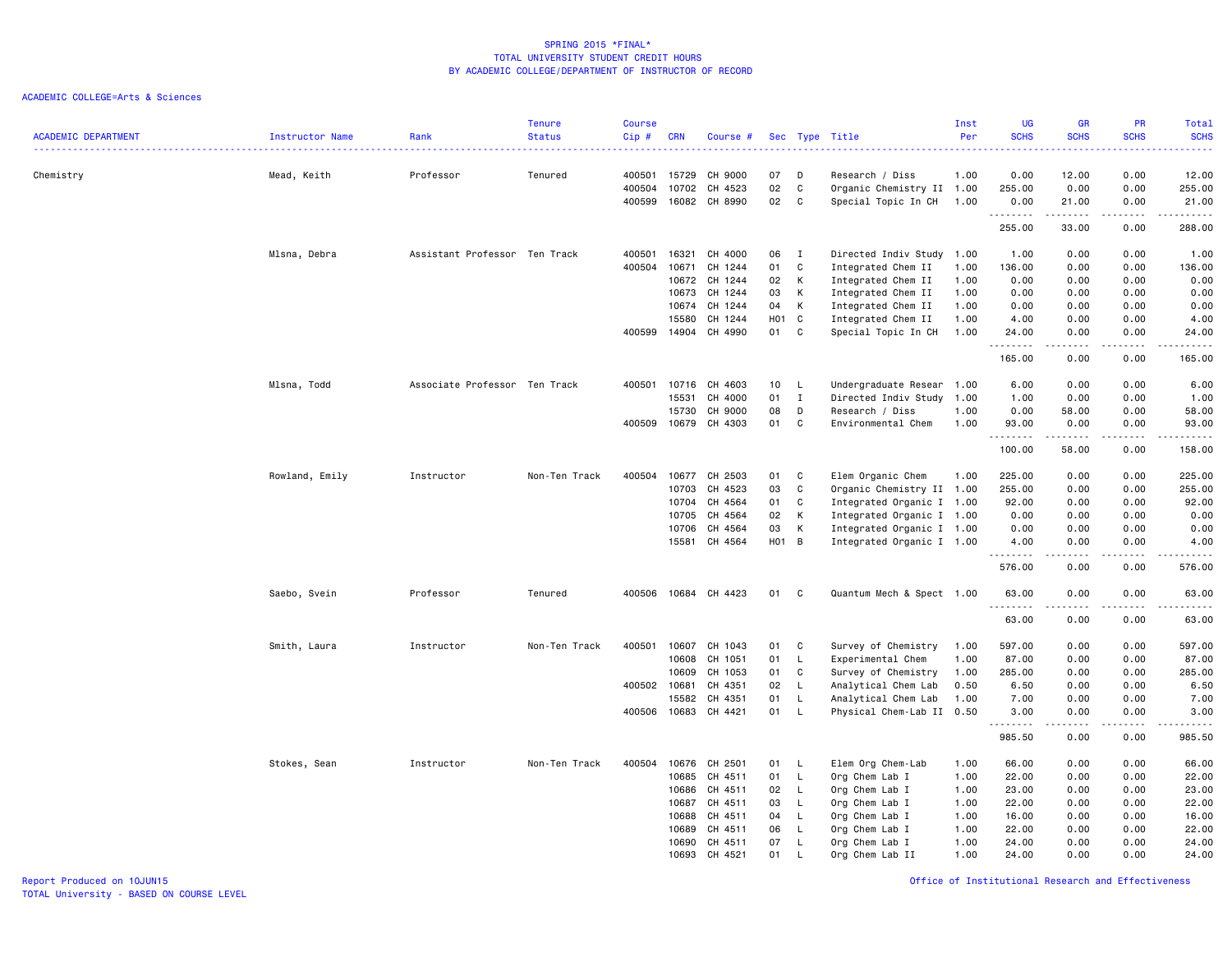|                            |                 |                               | <b>Tenure</b> | <b>Course</b> |            |          |            |              |                           | Inst | <b>UG</b>            | <b>GR</b>        | PR          | Total                                                                                                                 |
|----------------------------|-----------------|-------------------------------|---------------|---------------|------------|----------|------------|--------------|---------------------------|------|----------------------|------------------|-------------|-----------------------------------------------------------------------------------------------------------------------|
| <b>ACADEMIC DEPARTMENT</b> | Instructor Name | Rank                          | <b>Status</b> | Cip#          | <b>CRN</b> | Course # | <b>Sec</b> |              | Type Title                | Per  | <b>SCHS</b>          | <b>SCHS</b>      | <b>SCHS</b> | <b>SCHS</b><br>22222                                                                                                  |
| Chemistry                  | Mead, Keith     | Professor                     | Tenured       | 400501        | 15729      | CH 9000  | 07         | D            | Research / Diss           | 1.00 | 0.00                 | 12.00            | 0.00        | 12.00                                                                                                                 |
|                            |                 |                               |               | 400504        | 10702      | CH 4523  | 02         | $\mathbb C$  | Organic Chemistry II 1.00 |      | 255.00               | 0.00             | 0.00        | 255.00                                                                                                                |
|                            |                 |                               |               | 400599        | 16082      | CH 8990  | 02         | C            | Special Topic In CH       | 1.00 | 0.00                 | 21.00            | 0.00        | 21.00                                                                                                                 |
|                            |                 |                               |               |               |            |          |            |              |                           |      | .<br>255.00          | .<br>33.00       | .<br>0.00   | $\begin{array}{cccccccccc} \bullet & \bullet & \bullet & \bullet & \bullet & \bullet & \bullet \end{array}$<br>288.00 |
|                            | Mlsna, Debra    | Assistant Professor Ten Track |               | 400501        | 16321      | CH 4000  | 06         | I            | Directed Indiv Study 1.00 |      | 1.00                 | 0.00             | 0.00        | 1.00                                                                                                                  |
|                            |                 |                               |               | 400504        | 10671      | CH 1244  | 01         | C            | Integrated Chem II        | 1.00 | 136.00               | 0.00             | 0.00        | 136.00                                                                                                                |
|                            |                 |                               |               |               | 10672      | CH 1244  | 02         | К            | Integrated Chem II        | 1.00 | 0.00                 | 0.00             | 0.00        | 0.00                                                                                                                  |
|                            |                 |                               |               |               | 10673      | CH 1244  | 03         | К            | Integrated Chem II        | 1.00 | 0.00                 | 0.00             | 0.00        | 0.00                                                                                                                  |
|                            |                 |                               |               |               | 10674      | CH 1244  | 04         | K            | Integrated Chem II        | 1.00 | 0.00                 | 0.00             | 0.00        | 0.00                                                                                                                  |
|                            |                 |                               |               |               | 15580      | CH 1244  | H01        | C            | Integrated Chem II        | 1.00 | 4.00                 | 0.00             | 0.00        | 4.00                                                                                                                  |
|                            |                 |                               |               | 400599        | 14904      | CH 4990  | 01         | C            | Special Topic In CH       | 1.00 | 24.00                | 0.00             | 0.00        | 24.00                                                                                                                 |
|                            |                 |                               |               |               |            |          |            |              |                           |      | . <b>.</b><br>165.00 | .<br>0.00        | .<br>0.00   | .<br>165.00                                                                                                           |
|                            | Mlsna, Todd     | Associate Professor Ten Track |               | 400501        | 10716      | CH 4603  | 10         | L            | Undergraduate Resear 1.00 |      | 6.00                 | 0.00             | 0.00        | 6.00                                                                                                                  |
|                            |                 |                               |               |               | 15531      | CH 4000  | 01         | $\mathbf{I}$ | Directed Indiv Study 1.00 |      | 1.00                 | 0.00             | 0.00        | 1.00                                                                                                                  |
|                            |                 |                               |               |               | 15730      | CH 9000  | 08         | D            | Research / Diss           | 1.00 | 0.00                 | 58.00            | 0.00        | 58.00                                                                                                                 |
|                            |                 |                               |               | 400509        | 10679      | CH 4303  | 01         | C            | Environmental Chem        | 1.00 | 93.00                | 0.00             | 0.00        | 93.00                                                                                                                 |
|                            |                 |                               |               |               |            |          |            |              |                           |      | .                    | .                | .           | د د د د د                                                                                                             |
|                            |                 |                               |               |               |            |          |            |              |                           |      | 100.00               | 58.00            | 0.00        | 158.00                                                                                                                |
|                            | Rowland, Emily  | Instructor                    | Non-Ten Track | 400504        | 10677      | CH 2503  | 01         | C            | Elem Organic Chem         | 1.00 | 225.00               | 0.00             | 0.00        | 225.00                                                                                                                |
|                            |                 |                               |               |               | 10703      | CH 4523  | 03         | C            | Organic Chemistry II 1.00 |      | 255.00               | 0.00             | 0.00        | 255.00                                                                                                                |
|                            |                 |                               |               |               | 10704      | CH 4564  | 01         | C            | Integrated Organic I 1.00 |      | 92.00                | 0.00             | 0.00        | 92.00                                                                                                                 |
|                            |                 |                               |               |               | 10705      | CH 4564  | 02         | K            | Integrated Organic I 1.00 |      | 0.00                 | 0.00             | 0.00        | 0.00                                                                                                                  |
|                            |                 |                               |               |               | 10706      | CH 4564  | 03         | К            | Integrated Organic I 1.00 |      | 0.00                 | 0.00             | 0.00        | 0.00                                                                                                                  |
|                            |                 |                               |               |               | 15581      | CH 4564  | H01 B      |              | Integrated Organic I 1.00 |      | 4.00<br>.            | 0.00<br><b>.</b> | 0.00<br>.   | 4.00<br>$\sim$ $\sim$ $\sim$ $\sim$ $\sim$                                                                            |
|                            |                 |                               |               |               |            |          |            |              |                           |      | 576.00               | 0.00             | 0.00        | 576.00                                                                                                                |
|                            | Saebo, Svein    | Professor                     | Tenured       | 400506        | 10684      | CH 4423  | 01         | C            | Quantum Mech & Spect 1.00 |      | 63.00<br>.           | 0.00             | 0.00        | 63.00<br>$\frac{1}{2}$                                                                                                |
|                            |                 |                               |               |               |            |          |            |              |                           |      | 63.00                | 0.00             | 0.00        | 63.00                                                                                                                 |
|                            | Smith, Laura    | Instructor                    | Non-Ten Track | 400501        | 10607      | CH 1043  | 01         | C            | Survey of Chemistry       | 1.00 | 597.00               | 0.00             | 0.00        | 597.00                                                                                                                |
|                            |                 |                               |               |               | 10608      | CH 1051  | 01         | L            | Experimental Chem         | 1.00 | 87.00                | 0.00             | 0.00        | 87.00                                                                                                                 |
|                            |                 |                               |               |               | 10609      | CH 1053  | 01         | C            | Survey of Chemistry       | 1.00 | 285.00               | 0.00             | 0.00        | 285.00                                                                                                                |
|                            |                 |                               |               | 400502        | 10681      | CH 4351  | 02         | L.           | Analytical Chem Lab       | 0.50 | 6.50                 | 0.00             | 0.00        | 6.50                                                                                                                  |
|                            |                 |                               |               |               | 15582      | CH 4351  | 01         | L            | Analytical Chem Lab       | 1.00 | 7.00                 | 0.00             | 0.00        | 7.00                                                                                                                  |
|                            |                 |                               |               | 400506        | 10683      | CH 4421  | 01         | L            | Physical Chem-Lab II 0.50 |      | 3.00<br>.            | 0.00<br>.        | 0.00<br>.   | 3.00<br>عام ما ما ما                                                                                                  |
|                            |                 |                               |               |               |            |          |            |              |                           |      | 985.50               | 0.00             | 0.00        | 985.50                                                                                                                |
|                            | Stokes, Sean    | Instructor                    | Non-Ten Track | 400504        | 10676      | CH 2501  | 01         | L            | Elem Org Chem-Lab         | 1.00 | 66.00                | 0.00             | 0.00        | 66.00                                                                                                                 |
|                            |                 |                               |               |               | 10685      | CH 4511  | 01         | L            | Org Chem Lab I            | 1.00 | 22.00                | 0.00             | 0.00        | 22.00                                                                                                                 |
|                            |                 |                               |               |               | 10686      | CH 4511  | 02         | $\mathsf{L}$ | Org Chem Lab I            | 1.00 | 23.00                | 0.00             | 0.00        | 23.00                                                                                                                 |
|                            |                 |                               |               |               | 10687      | CH 4511  | 03         | L            | Org Chem Lab I            | 1.00 | 22.00                | 0.00             | 0.00        | 22.00                                                                                                                 |
|                            |                 |                               |               |               | 10688      | CH 4511  | 04         | L            | Org Chem Lab I            | 1.00 | 16.00                | 0.00             | 0.00        | 16.00                                                                                                                 |
|                            |                 |                               |               |               | 10689      | CH 4511  | 06         | $\mathsf{L}$ | Org Chem Lab I            | 1.00 | 22.00                | 0.00             | 0.00        | 22.00                                                                                                                 |
|                            |                 |                               |               |               | 10690      | CH 4511  | 07         | L            | Org Chem Lab I            | 1.00 | 24.00                | 0.00             | 0.00        | 24.00                                                                                                                 |
|                            |                 |                               |               |               | 10693      | CH 4521  | 01         | L            | Org Chem Lab II           | 1.00 | 24.00                | 0.00             | 0.00        | 24.00                                                                                                                 |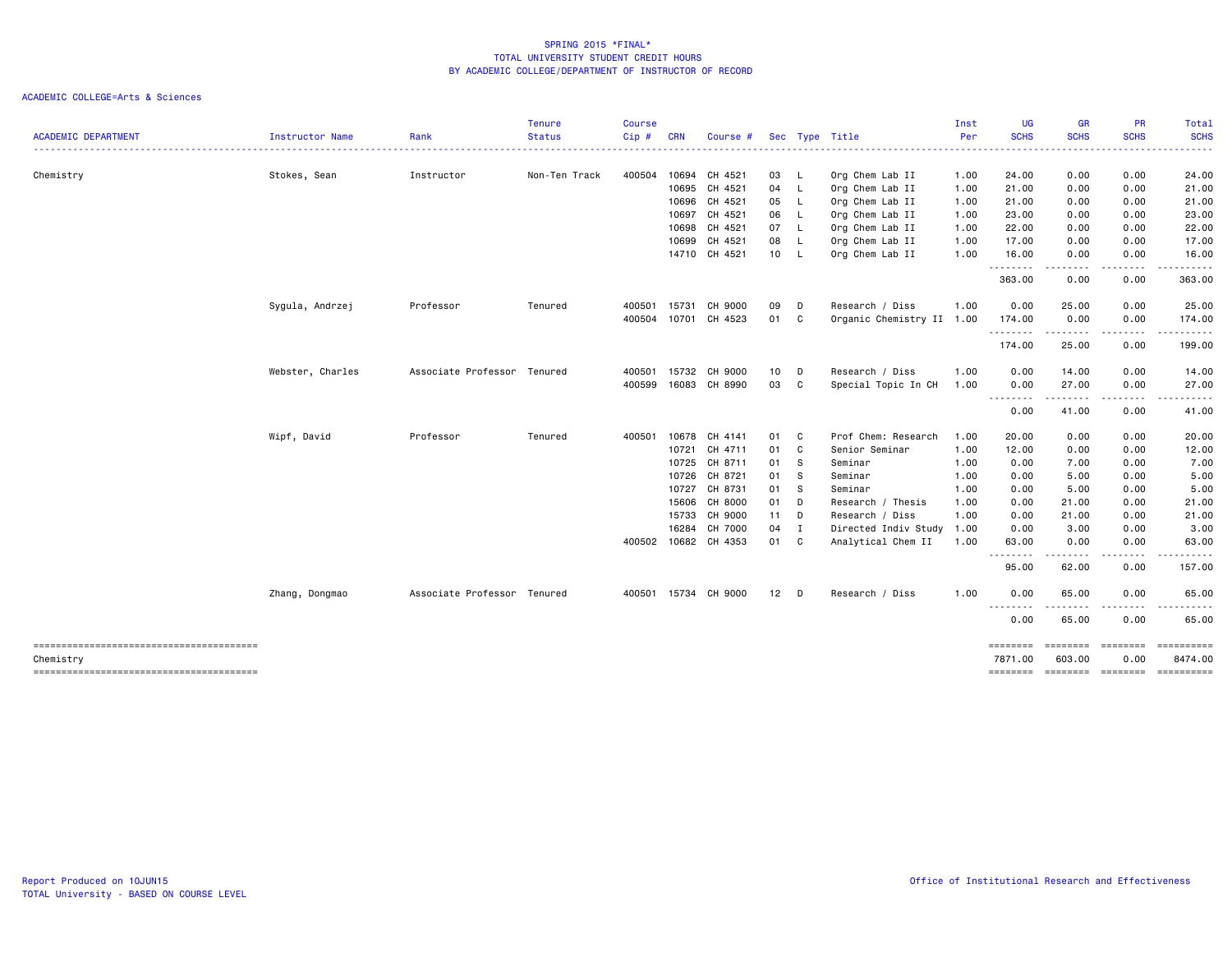| <b>ACADEMIC DEPARTMENT</b> | <b>Instructor Name</b>   | Rank                        | <b>Tenure</b><br><b>Status</b> | <b>Course</b><br>Cip# | <b>CRN</b> | Course #             |        |                | Sec Type Title            | Inst<br>Per | <b>UG</b><br><b>SCHS</b> | <b>GR</b><br><b>SCHS</b>       | <b>PR</b><br><b>SCHS</b> | Total<br><b>SCHS</b>        |
|----------------------------|--------------------------|-----------------------------|--------------------------------|-----------------------|------------|----------------------|--------|----------------|---------------------------|-------------|--------------------------|--------------------------------|--------------------------|-----------------------------|
|                            | ------------------------ |                             |                                |                       |            |                      |        |                |                           |             |                          |                                |                          |                             |
| Chemistry                  | Stokes, Sean             | Instructor                  | Non-Ten Track                  | 400504                |            | 10694 CH 4521        | 03 L   |                | Org Chem Lab II           | 1.00        | 24.00                    | 0.00                           | 0.00                     | 24.00                       |
|                            |                          |                             |                                |                       | 10695      | CH 4521              | 04 L   |                | Org Chem Lab II           | 1.00        | 21.00                    | 0.00                           | 0.00                     | 21.00                       |
|                            |                          |                             |                                |                       |            | 10696 CH 4521        | 05 L   |                | Org Chem Lab II           | 1.00        | 21.00                    | 0.00                           | 0.00                     | 21.00                       |
|                            |                          |                             |                                |                       |            | 10697 CH 4521        | 06 L   |                | Org Chem Lab II           | 1.00        | 23.00                    | 0.00                           | 0.00                     | 23.00                       |
|                            |                          |                             |                                |                       |            | 10698 CH 4521        | 07 L   |                | Org Chem Lab II           | 1.00        | 22.00                    | 0.00                           | 0.00                     | 22.00                       |
|                            |                          |                             |                                |                       | 10699      | CH 4521              | 08 L   |                | Org Chem Lab II           | 1.00        | 17.00                    | 0.00                           | 0.00                     | 17.00                       |
|                            |                          |                             |                                |                       |            | 14710 CH 4521        | 10 L   |                | Org Chem Lab II           | 1.00        | 16.00<br>.               | 0.00<br>-----                  | 0.00<br>.                | 16.00<br>.                  |
|                            |                          |                             |                                |                       |            |                      |        |                |                           |             | 363.00                   | 0.00                           | 0.00                     | 363.00                      |
|                            | Sygula, Andrzej          | Professor                   | Tenured                        | 400501                | 15731      | CH 9000              | 09     | D              | Research / Diss           | 1.00        | 0.00                     | 25.00                          | 0.00                     | 25.00                       |
|                            |                          |                             |                                | 400504                | 10701      | CH 4523              | 01 C   |                | Organic Chemistry II 1.00 |             | 174.00<br>--------       | 0.00<br>-----                  | 0.00<br>.                | 174.00<br>.                 |
|                            |                          |                             |                                |                       |            |                      |        |                |                           |             | 174.00                   | 25.00                          | 0.00                     | 199.00                      |
|                            | Webster, Charles         | Associate Professor Tenured |                                | 400501                |            | 15732 CH 9000        | 10 D   |                | Research / Diss           | 1.00        | 0.00                     | 14.00                          | 0.00                     | 14.00                       |
|                            |                          |                             |                                | 400599                |            | 16083 CH 8990        | 03     | C <sub>1</sub> | Special Topic In CH       | 1.00        | 0.00<br>--------         | 27.00<br>.                     | 0.00                     | 27.00                       |
|                            |                          |                             |                                |                       |            |                      |        |                |                           |             | 0.00                     | 41.00                          | 0.00                     | 41.00                       |
|                            | Wipf, David              | Professor                   | Tenured                        | 400501                | 10678      | CH 4141              | 01 C   |                | Prof Chem: Research       | 1.00        | 20.00                    | 0.00                           | 0.00                     | 20.00                       |
|                            |                          |                             |                                |                       | 10721      | CH 4711              | 01 C   |                | Senior Seminar            | 1.00        | 12.00                    | 0.00                           | 0.00                     | 12.00                       |
|                            |                          |                             |                                |                       | 10725      | CH 8711              | 01 S   |                | Seminar                   | 1.00        | 0.00                     | 7.00                           | 0.00                     | 7.00                        |
|                            |                          |                             |                                |                       | 10726      | CH 8721              | 01 S   |                | Seminar                   | 1.00        | 0.00                     | 5.00                           | 0.00                     | 5.00                        |
|                            |                          |                             |                                |                       |            | 10727 CH 8731        | 01     | - S            | Seminar                   | 1.00        | 0.00                     | 5.00                           | 0.00                     | 5.00                        |
|                            |                          |                             |                                |                       | 15606      | CH 8000              | 01     | D              | Research / Thesis         | 1.00        | 0.00                     | 21.00                          | 0.00                     | 21.00                       |
|                            |                          |                             |                                |                       | 15733      | CH 9000              | $11 -$ | D              | Research / Diss           | 1.00        | 0.00                     | 21.00                          | 0.00                     | 21.00                       |
|                            |                          |                             |                                |                       | 16284      | CH 7000              | 04     | I              | Directed Indiv Study      | 1.00        | 0.00                     | 3.00                           | 0.00                     | 3.00                        |
|                            |                          |                             |                                | 400502                |            | 10682 CH 4353        | 01 C   |                | Analytical Chem II        | 1.00        | 63.00<br>.               | 0.00<br>$\cdots \cdots \cdots$ | 0.00<br>.                | 63.00                       |
|                            |                          |                             |                                |                       |            |                      |        |                |                           |             | 95.00                    | 62.00                          | 0.00                     | 157.00                      |
|                            | Zhang, Dongmao           | Associate Professor Tenured |                                |                       |            | 400501 15734 CH 9000 | $12$ D |                | Research / Diss           | 1.00        | 0.00                     | 65.00                          | 0.00                     | 65.00                       |
|                            |                          |                             |                                |                       |            |                      |        |                |                           |             | --------<br>0.00         | -----<br>65.00                 | 0.00                     | .<br>65.00                  |
|                            |                          |                             |                                |                       |            |                      |        |                |                           |             | ========<br>7871.00      | ========<br>603.00             | ========<br>0.00         | 8474.00                     |
| Chemistry                  |                          |                             |                                |                       |            |                      |        |                |                           |             |                          |                                |                          |                             |
|                            |                          |                             |                                |                       |            |                      |        |                |                           |             | ========                 |                                |                          | ======== ======== ========= |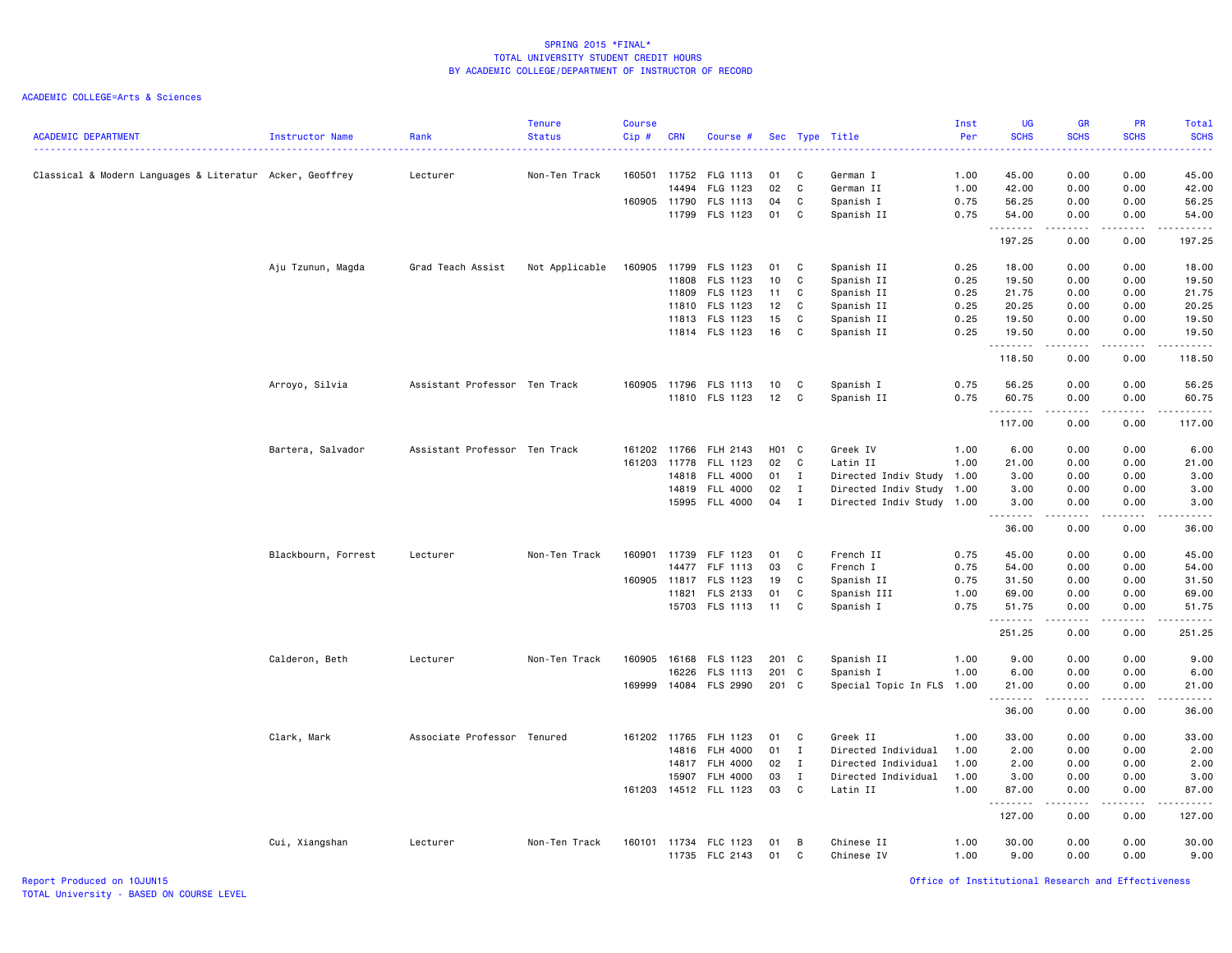ACADEMIC COLLEGE=Arts & Sciences

| <b>ACADEMIC DEPARTMENT</b>                               | Instructor Name     | Rank                          | <b>Tenure</b><br><b>Status</b> | <b>Course</b><br>Cip# | <b>CRN</b> | Course #              |       |              | Sec Type Title            | Inst<br>Per | <b>UG</b><br><b>SCHS</b> | <b>GR</b><br><b>SCHS</b>       | PR<br><b>SCHS</b>            | <b>Total</b><br><b>SCHS</b>                 |
|----------------------------------------------------------|---------------------|-------------------------------|--------------------------------|-----------------------|------------|-----------------------|-------|--------------|---------------------------|-------------|--------------------------|--------------------------------|------------------------------|---------------------------------------------|
|                                                          |                     |                               |                                |                       |            |                       |       |              |                           |             | .                        |                                |                              | والمستناب                                   |
| Classical & Modern Languages & Literatur Acker, Geoffrey |                     | Lecturer                      | Non-Ten Track                  | 160501 11752          |            | FLG 1113              | 01    | C            | German I                  | 1.00        | 45.00                    | 0.00                           | 0.00                         | 45.00                                       |
|                                                          |                     |                               |                                |                       | 14494      | FLG 1123              | 02    | C            | German II                 | 1.00        | 42.00                    | 0.00                           | 0.00                         | 42.00                                       |
|                                                          |                     |                               |                                | 160905 11790          |            | FLS 1113              | 04    | C            | Spanish I                 | 0.75        | 56.25                    | 0.00                           | 0.00                         | 56.25                                       |
|                                                          |                     |                               |                                |                       | 11799      | FLS 1123              | 01    | C            | Spanish II                | 0.75        | 54.00<br>. <b>.</b>      | 0.00                           | 0.00                         | 54.00<br>$\cdots$                           |
|                                                          |                     |                               |                                |                       |            |                       |       |              |                           |             | 197.25                   | 0.00                           | 0.00                         | 197.25                                      |
|                                                          | Aju Tzunun, Magda   | Grad Teach Assist             | Not Applicable                 | 160905                | 11799      | FLS 1123              | 01    | C            | Spanish II                | 0.25        | 18.00                    | 0.00                           | 0.00                         | 18.00                                       |
|                                                          |                     |                               |                                |                       | 11808      | FLS 1123              | 10    | C            | Spanish II                | 0.25        | 19.50                    | 0.00                           | 0.00                         | 19.50                                       |
|                                                          |                     |                               |                                |                       | 11809      | FLS 1123              | 11    | C            | Spanish II                | 0.25        | 21.75                    | 0.00                           | 0.00                         | 21.75                                       |
|                                                          |                     |                               |                                |                       | 11810      | FLS 1123              | 12    | C            | Spanish II                | 0.25        | 20.25                    | 0.00                           | 0.00                         | 20.25                                       |
|                                                          |                     |                               |                                |                       | 11813      | FLS 1123              | 15    | C            | Spanish II                | 0.25        | 19.50                    | 0.00                           | 0.00                         | 19.50                                       |
|                                                          |                     |                               |                                |                       |            | 11814 FLS 1123        | 16    | C            | Spanish II                | 0.25        | 19.50<br>.               | 0.00<br>.                      | 0.00<br>.                    | 19.50<br>.                                  |
|                                                          |                     |                               |                                |                       |            |                       |       |              |                           |             | 118.50                   | 0.00                           | 0.00                         | 118.50                                      |
|                                                          | Arroyo, Silvia      | Assistant Professor Ten Track |                                | 160905                | 11796      | FLS 1113              | 10    | C            | Spanish I                 | 0.75        | 56.25                    | 0.00                           | 0.00                         | 56.25                                       |
|                                                          |                     |                               |                                |                       |            | 11810 FLS 1123        | 12    | C            | Spanish II                | 0.75        | 60.75                    | 0.00                           | 0.00                         | 60.75                                       |
|                                                          |                     |                               |                                |                       |            |                       |       |              |                           |             |                          | $-2 - 2 - 2 - 1$               | .                            | <u>.</u>                                    |
|                                                          |                     |                               |                                |                       |            |                       |       |              |                           |             | 117.00                   | 0.00                           | 0.00                         | 117.00                                      |
|                                                          | Bartera, Salvador   | Assistant Professor Ten Track |                                | 161202                | 11766      | FLH 2143              | H01 C |              | Greek IV                  | 1.00        | 6.00                     | 0.00                           | 0.00                         | 6.00                                        |
|                                                          |                     |                               |                                | 161203                | 11778      | FLL 1123              | 02    | C            | Latin II                  | 1.00        | 21.00                    | 0.00                           | 0.00                         | 21.00                                       |
|                                                          |                     |                               |                                |                       | 14818      | <b>FLL 4000</b>       | 01    | $\mathbf{I}$ | Directed Indiv Study 1.00 |             | 3.00                     | 0.00                           | 0.00                         | 3.00                                        |
|                                                          |                     |                               |                                |                       |            | 14819 FLL 4000        | 02    | $\mathbf{I}$ | Directed Indiv Study 1.00 |             | 3.00                     | 0.00                           | 0.00                         | 3.00                                        |
|                                                          |                     |                               |                                |                       |            | 15995 FLL 4000        | 04    | $\mathbf{I}$ | Directed Indiv Study 1.00 |             | 3.00                     | 0.00<br><b><i><u>.</u></i></b> | 0.00<br>.                    | 3.00<br>والمستحدث                           |
|                                                          |                     |                               |                                |                       |            |                       |       |              |                           |             | 36.00                    | 0.00                           | 0.00                         | 36.00                                       |
|                                                          | Blackbourn, Forrest | Lecturer                      | Non-Ten Track                  | 160901                | 11739      | FLF 1123              | 01    | C            | French II                 | 0.75        | 45.00                    | 0.00                           | 0.00                         | 45.00                                       |
|                                                          |                     |                               |                                |                       | 14477      | FLF 1113              | 03    | C            | French I                  | 0.75        | 54.00                    | 0.00                           | 0.00                         | 54.00                                       |
|                                                          |                     |                               |                                | 160905 11817          |            | FLS 1123              | 19    | C            | Spanish II                | 0.75        | 31.50                    | 0.00                           | 0.00                         | 31.50                                       |
|                                                          |                     |                               |                                |                       | 11821      | FLS 2133              | 01    | C            | Spanish III               | 1.00        | 69.00                    | 0.00                           | 0.00                         | 69.00                                       |
|                                                          |                     |                               |                                |                       |            | 15703 FLS 1113        | 11    | C            | Spanish I                 | 0.75        | 51.75<br><u>.</u>        | 0.00<br><u>.</u>               | 0.00                         | 51.75<br>.                                  |
|                                                          |                     |                               |                                |                       |            |                       |       |              |                           |             | 251.25                   | 0.00                           | 0.00                         | 251.25                                      |
|                                                          | Calderon, Beth      | Lecturer                      | Non-Ten Track                  | 160905                | 16168      | FLS 1123              | 201 C |              | Spanish II                | 1.00        | 9.00                     | 0.00                           | 0.00                         | 9.00                                        |
|                                                          |                     |                               |                                |                       | 16226      | FLS 1113              | 201 C |              | Spanish I                 | 1.00        | 6.00                     | 0.00                           | 0.00                         | 6.00                                        |
|                                                          |                     |                               |                                | 169999                |            | 14084 FLS 2990        | 201 C |              | Special Topic In FLS 1.00 |             | 21.00<br>.               | 0.00<br>.                      | 0.00<br>$\sim$ $\sim$ $\sim$ | 21.00<br>$\sim$ $\sim$ $\sim$ $\sim$ $\sim$ |
|                                                          |                     |                               |                                |                       |            |                       |       |              |                           |             | 36.00                    | 0.00                           | 0.00                         | 36.00                                       |
|                                                          | Clark, Mark         | Associate Professor Tenured   |                                | 161202 11765          |            | FLH 1123              | 01    | C            | Greek II                  | 1.00        | 33.00                    | 0.00                           | 0.00                         | 33.00                                       |
|                                                          |                     |                               |                                |                       | 14816      | FLH 4000              | 01    | $\mathbf{I}$ | Directed Individual       | 1.00        | 2.00                     | 0.00                           | 0.00                         | 2.00                                        |
|                                                          |                     |                               |                                |                       | 14817      | <b>FLH 4000</b>       | 02    | $\mathbf{I}$ | Directed Individual       | 1.00        | 2.00                     | 0.00                           | 0.00                         | 2.00                                        |
|                                                          |                     |                               |                                |                       | 15907      | <b>FLH 4000</b>       | 03    | $\mathbf{I}$ | Directed Individual       | 1.00        | 3.00                     | 0.00                           | 0.00                         | 3.00                                        |
|                                                          |                     |                               |                                |                       |            | 161203 14512 FLL 1123 | 03    | C            | Latin II                  | 1.00        | 87.00<br>.               | 0.00<br>.                      | 0.00<br>.                    | 87.00<br>.                                  |
|                                                          |                     |                               |                                |                       |            |                       |       |              |                           |             | 127.00                   | 0.00                           | 0.00                         | 127.00                                      |
|                                                          | Cui, Xiangshan      | Lecturer                      | Non-Ten Track                  |                       |            | 160101 11734 FLC 1123 | 01    | B            | Chinese II                | 1.00        | 30.00                    | 0.00                           | 0.00                         | 30.00                                       |
|                                                          |                     |                               |                                |                       |            | 11735 FLC 2143        | 01    | C            | Chinese IV                | 1.00        | 9.00                     | 0.00                           | 0.00                         | 9.00                                        |

Report Produced on 10JUN15 Office of Institutional Research and Effectiveness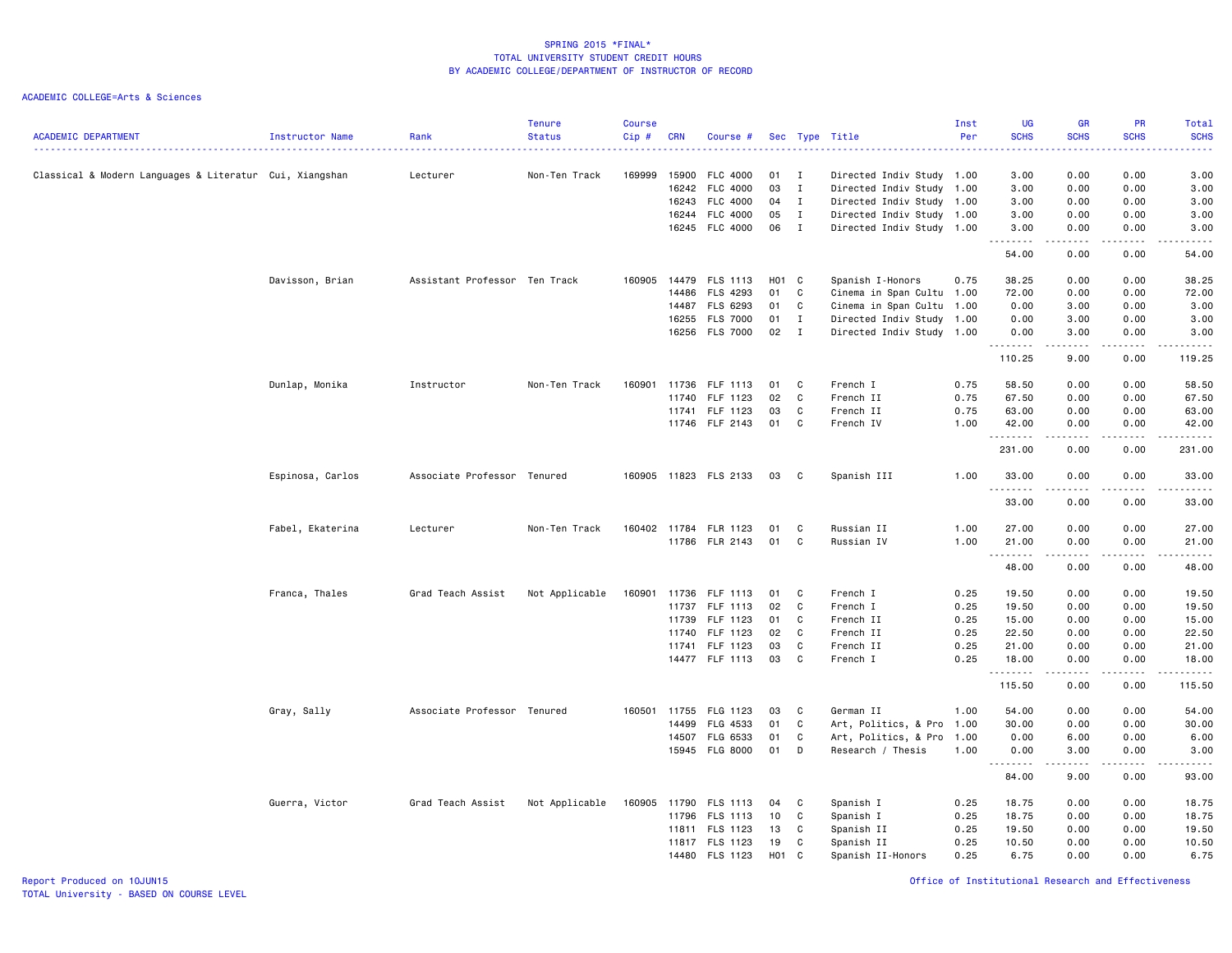| <b>ACADEMIC DEPARTMENT</b>                              | Instructor Name  | Rank                          | <b>Tenure</b><br><b>Status</b> | <b>Course</b><br>Cip# | <b>CRN</b> | Course #              |       |              | Sec Type Title            | Inst<br>Per | <b>UG</b><br><b>SCHS</b> | <b>GR</b><br><b>SCHS</b> | PR<br><b>SCHS</b>                                                                                                                                            | Total<br><b>SCHS</b><br>. |
|---------------------------------------------------------|------------------|-------------------------------|--------------------------------|-----------------------|------------|-----------------------|-------|--------------|---------------------------|-------------|--------------------------|--------------------------|--------------------------------------------------------------------------------------------------------------------------------------------------------------|---------------------------|
| Classical & Modern Languages & Literatur Cui, Xiangshan |                  | Lecturer                      | Non-Ten Track                  | 169999                | 15900      | <b>FLC 4000</b>       | 01    | $\mathbf{I}$ | Directed Indiv Study 1.00 |             | 3.00                     | 0.00                     | 0.00                                                                                                                                                         | 3.00                      |
|                                                         |                  |                               |                                |                       | 16242      | <b>FLC 4000</b>       | 03    | $\mathbf{I}$ | Directed Indiv Study      | 1.00        | 3.00                     | 0.00                     | 0.00                                                                                                                                                         | 3.00                      |
|                                                         |                  |                               |                                |                       | 16243      | FLC 4000              | 04    | $\mathbf{I}$ | Directed Indiv Study 1.00 |             | 3.00                     | 0.00                     | 0.00                                                                                                                                                         | 3.00                      |
|                                                         |                  |                               |                                |                       | 16244      | <b>FLC 4000</b>       | 05    | $\mathbf{I}$ | Directed Indiv Study 1.00 |             | 3.00                     | 0.00                     | 0.00                                                                                                                                                         | 3.00                      |
|                                                         |                  |                               |                                |                       |            | 16245 FLC 4000        | 06    | $\mathbf{I}$ | Directed Indiv Study 1.00 |             | 3.00                     | 0.00<br>.                | 0.00                                                                                                                                                         | 3.00                      |
|                                                         |                  |                               |                                |                       |            |                       |       |              |                           |             | 54.00                    | 0.00                     | 0.00                                                                                                                                                         | 54.00                     |
|                                                         | Davisson, Brian  | Assistant Professor Ten Track |                                | 160905                | 14479      | FLS 1113              | H01 C |              | Spanish I-Honors          | 0.75        | 38.25                    | 0.00                     | 0.00                                                                                                                                                         | 38.25                     |
|                                                         |                  |                               |                                |                       | 14486      | <b>FLS 4293</b>       | 01    | C            | Cinema in Span Cultu      | 1.00        | 72.00                    | 0.00                     | 0.00                                                                                                                                                         | 72.00                     |
|                                                         |                  |                               |                                |                       | 14487      | FLS 6293              | 01    | C            | Cinema in Span Cultu 1.00 |             | 0.00                     | 3.00                     | 0.00                                                                                                                                                         | 3.00                      |
|                                                         |                  |                               |                                |                       | 16255      | <b>FLS 7000</b>       | 01    | $\mathbf{I}$ | Directed Indiv Study      | 1.00        | 0.00                     | 3.00                     | 0.00                                                                                                                                                         | 3.00                      |
|                                                         |                  |                               |                                |                       | 16256      | <b>FLS 7000</b>       | 02    | $\mathbf{I}$ | Directed Indiv Study 1.00 |             | 0.00<br>.                | 3.00<br>.                | 0.00<br>$   -$                                                                                                                                               | 3.00<br>المتمام المتحدة   |
|                                                         |                  |                               |                                |                       |            |                       |       |              |                           |             | 110.25                   | 9.00                     | 0.00                                                                                                                                                         | 119.25                    |
|                                                         | Dunlap, Monika   | Instructor                    | Non-Ten Track                  | 160901                | 11736      | FLF 1113              | 01    | C            | French I                  | 0.75        | 58.50                    | 0.00                     | 0.00                                                                                                                                                         | 58.50                     |
|                                                         |                  |                               |                                |                       | 11740      | FLF 1123              | 02    | C            | French II                 | 0.75        | 67.50                    | 0.00                     | 0.00                                                                                                                                                         | 67.50                     |
|                                                         |                  |                               |                                |                       | 11741      | FLF 1123              | 03    | C            | French II                 | 0.75        | 63.00                    | 0.00                     | 0.00                                                                                                                                                         | 63.00                     |
|                                                         |                  |                               |                                |                       |            | 11746 FLF 2143        | 01    | C            | French IV                 | 1.00        | 42.00                    | 0.00                     | 0.00                                                                                                                                                         | 42.00                     |
|                                                         |                  |                               |                                |                       |            |                       |       |              |                           |             | .                        | 0.00                     | .<br>0.00                                                                                                                                                    | .<br>231.00               |
|                                                         |                  |                               |                                |                       |            |                       |       |              |                           |             | 231.00                   |                          |                                                                                                                                                              |                           |
|                                                         | Espinosa, Carlos | Associate Professor Tenured   |                                |                       |            | 160905 11823 FLS 2133 | 03    | C            | Spanish III               | 1.00        | 33.00<br>.               | 0.00                     | 0.00                                                                                                                                                         | 33.00                     |
|                                                         |                  |                               |                                |                       |            |                       |       |              |                           |             | 33.00                    | 0.00                     | 0.00                                                                                                                                                         | 33.00                     |
|                                                         | Fabel, Ekaterina | Lecturer                      | Non-Ten Track                  |                       |            | 160402 11784 FLR 1123 | 01    | C            | Russian II                | 1.00        | 27.00                    | 0.00                     | 0.00                                                                                                                                                         | 27.00                     |
|                                                         |                  |                               |                                |                       |            | 11786 FLR 2143        | 01    | C            | Russian IV                | 1.00        | 21.00<br>.               | 0.00<br>.                | 0.00<br>$\frac{1}{2} \left( \frac{1}{2} \right) \left( \frac{1}{2} \right) \left( \frac{1}{2} \right) \left( \frac{1}{2} \right) \left( \frac{1}{2} \right)$ | 21.00<br>.                |
|                                                         |                  |                               |                                |                       |            |                       |       |              |                           |             | 48.00                    | 0.00                     | 0.00                                                                                                                                                         | 48.00                     |
|                                                         | Franca, Thales   | Grad Teach Assist             | Not Applicable                 | 160901                | 11736      | FLF 1113              | 01    | C            | French I                  | 0.25        | 19.50                    | 0.00                     | 0.00                                                                                                                                                         | 19.50                     |
|                                                         |                  |                               |                                |                       | 11737      | FLF 1113              | 02    | C            | French I                  | 0.25        | 19.50                    | 0.00                     | 0.00                                                                                                                                                         | 19.50                     |
|                                                         |                  |                               |                                |                       | 11739      | FLF 1123              | 01    | C            | French II                 | 0.25        | 15.00                    | 0.00                     | 0.00                                                                                                                                                         | 15.00                     |
|                                                         |                  |                               |                                |                       | 11740      | FLF 1123              | 02    | C            | French II                 | 0.25        | 22.50                    | 0.00                     | 0.00                                                                                                                                                         | 22.50                     |
|                                                         |                  |                               |                                |                       | 11741      | FLF 1123              | 03    | C            | French II                 | 0.25        | 21.00                    | 0.00                     | 0.00                                                                                                                                                         | 21.00                     |
|                                                         |                  |                               |                                |                       |            | 14477 FLF 1113        | 03    | C            | French I                  | 0.25        | 18.00                    | 0.00                     | 0.00                                                                                                                                                         | 18.00<br>.                |
|                                                         |                  |                               |                                |                       |            |                       |       |              |                           |             | .<br>115.50              | .<br>0.00                | -----<br>0.00                                                                                                                                                | 115.50                    |
|                                                         | Gray, Sally      | Associate Professor Tenured   |                                | 160501                | 11755      | FLG 1123              | 03    | C            | German II                 | 1.00        | 54.00                    | 0.00                     | 0.00                                                                                                                                                         | 54.00                     |
|                                                         |                  |                               |                                |                       | 14499      | FLG 4533              | 01    | C            | Art, Politics, & Pro      | 1.00        | 30.00                    | 0.00                     | 0.00                                                                                                                                                         | 30.00                     |
|                                                         |                  |                               |                                |                       | 14507      | FLG 6533              | 01    | C            | Art, Politics, & Pro      | 1.00        | 0.00                     | 6.00                     | 0.00                                                                                                                                                         | 6.00                      |
|                                                         |                  |                               |                                |                       |            | 15945 FLG 8000        | 01    | D            | Research / Thesis         | 1.00        | 0.00<br>.                | 3.00<br>.                | 0.00<br>.                                                                                                                                                    | 3.00<br>المتمامين         |
|                                                         |                  |                               |                                |                       |            |                       |       |              |                           |             | 84.00                    | 9.00                     | 0.00                                                                                                                                                         | 93.00                     |
|                                                         | Guerra, Victor   | Grad Teach Assist             | Not Applicable                 | 160905                | 11790      | FLS 1113              | 04    | C            | Spanish I                 | 0.25        | 18.75                    | 0.00                     | 0.00                                                                                                                                                         | 18.75                     |
|                                                         |                  |                               |                                |                       | 11796      | FLS 1113              | 10    | C            | Spanish I                 | 0.25        | 18.75                    | 0.00                     | 0.00                                                                                                                                                         | 18.75                     |
|                                                         |                  |                               |                                |                       | 11811      | FLS 1123              | 13    | C            | Spanish II                | 0.25        | 19.50                    | 0.00                     | 0.00                                                                                                                                                         | 19.50                     |
|                                                         |                  |                               |                                |                       | 11817      | FLS 1123              | 19    | C            | Spanish II                | 0.25        | 10.50                    | 0.00                     | 0.00                                                                                                                                                         | 10.50                     |
|                                                         |                  |                               |                                |                       | 14480      | FLS 1123              | H01 C |              | Spanish II-Honors         | 0.25        | 6.75                     | 0.00                     | 0.00                                                                                                                                                         | 6.75                      |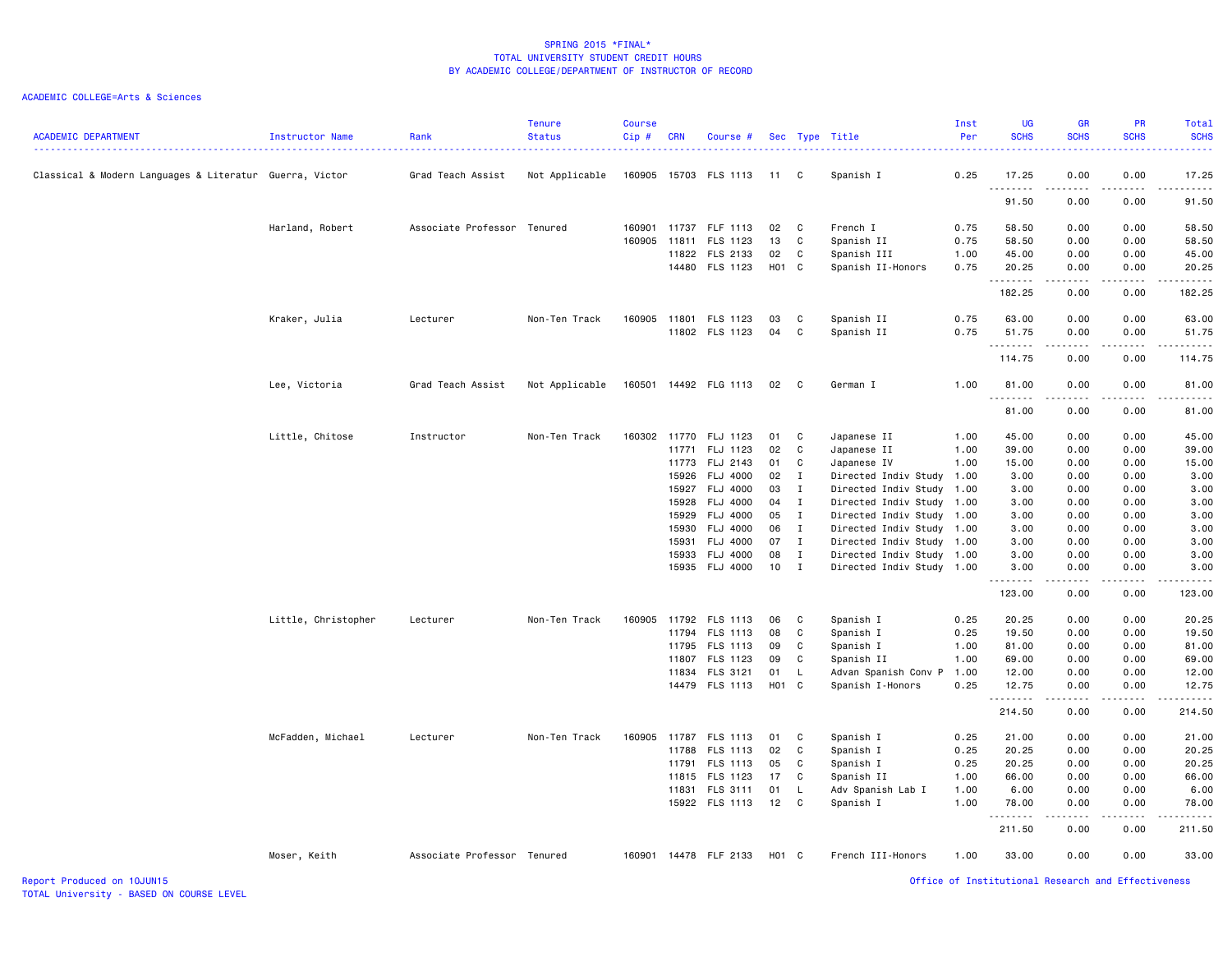| <b>ACADEMIC DEPARTMENT</b>                              | Instructor Name     | Rank                        | <b>Tenure</b><br><b>Status</b> | <b>Course</b><br>Cip# | <b>CRN</b>     | Course #                    |                 |              | Sec Type Title                                         | Inst<br>Per | <b>UG</b><br><b>SCHS</b> | <b>GR</b><br><b>SCHS</b> | PR<br><b>SCHS</b>                   | Total<br><b>SCHS</b>   |
|---------------------------------------------------------|---------------------|-----------------------------|--------------------------------|-----------------------|----------------|-----------------------------|-----------------|--------------|--------------------------------------------------------|-------------|--------------------------|--------------------------|-------------------------------------|------------------------|
| Classical & Modern Languages & Literatur Guerra, Victor |                     | Grad Teach Assist           | Not Applicable                 | 160905                |                | 15703 FLS 1113              | 11              | C.           | Spanish I                                              | 0.25        | 17.25<br>.               | 0.00<br>.                | 0.00<br>$\sim$ $\sim$ $\sim$        | 17.25<br>.             |
|                                                         |                     |                             |                                |                       |                |                             |                 |              |                                                        |             | 91.50                    | 0.00                     | 0.00                                | 91.50                  |
|                                                         | Harland, Robert     | Associate Professor Tenured |                                | 160901                | 11737          | FLF 1113                    | 02              | C.           | French I                                               | 0.75        | 58.50                    | 0.00                     | 0.00                                | 58.50                  |
|                                                         |                     |                             |                                | 160905                | 11811          | FLS 1123                    | 13              | C            | Spanish II                                             | 0.75        | 58.50                    | 0.00                     | 0.00                                | 58.50                  |
|                                                         |                     |                             |                                |                       | 11822          | FLS 2133                    | 02              | C            | Spanish III                                            | 1.00        | 45.00                    | 0.00                     | 0.00                                | 45.00                  |
|                                                         |                     |                             |                                |                       |                | 14480 FLS 1123              | H01 C           |              | Spanish II-Honors                                      | 0.75        | 20.25<br>.               | 0.00<br>.                | 0.00<br>.                           | 20.25<br>.             |
|                                                         |                     |                             |                                |                       |                |                             |                 |              |                                                        |             | 182.25                   | 0.00                     | 0.00                                | 182.25                 |
|                                                         | Kraker, Julia       | Lecturer                    | Non-Ten Track                  | 160905                | 11801          | FLS 1123                    | 03              | C            | Spanish II                                             | 0.75        | 63.00                    | 0.00                     | 0.00                                | 63.00                  |
|                                                         |                     |                             |                                |                       | 11802          | FLS 1123                    | 04              | C            | Spanish II                                             | 0.75        | 51.75<br>.               | 0.00<br>.                | 0.00<br>$\sim$ $\sim$ $\sim$ $\sim$ | 51.75<br>.             |
|                                                         |                     |                             |                                |                       |                |                             |                 |              |                                                        |             | 114.75                   | 0.00                     | 0.00                                | 114.75                 |
|                                                         | Lee, Victoria       | Grad Teach Assist           | Not Applicable                 | 160501                |                | 14492 FLG 1113              | 02              | C            | German I                                               | 1.00        | 81.00<br>.               | 0.00                     | 0.00                                | 81.00<br>$\frac{1}{2}$ |
|                                                         |                     |                             |                                |                       |                |                             |                 |              |                                                        |             | 81.00                    | 0.00                     | 0.00                                | 81.00                  |
|                                                         | Little, Chitose     | Instructor                  | Non-Ten Track                  | 160302                | 11770          | FLJ 1123                    | 01              | C            | Japanese II                                            | 1.00        | 45.00                    | 0.00                     | 0.00                                | 45.00                  |
|                                                         |                     |                             |                                |                       | 11771          | FLJ 1123                    | 02              | C            | Japanese II                                            | 1.00        | 39.00                    | 0.00                     | 0.00                                | 39.00                  |
|                                                         |                     |                             |                                |                       | 11773          | FLJ 2143                    | 01              | C            | Japanese IV                                            | 1.00        | 15.00                    | 0.00                     | 0.00                                | 15.00                  |
|                                                         |                     |                             |                                |                       | 15926          | FLJ 4000                    | 02              | $\mathbf{I}$ |                                                        | 1.00        | 3.00                     | 0.00                     | 0.00                                | 3.00                   |
|                                                         |                     |                             |                                |                       | 15927          | <b>FLJ 4000</b>             | 03              | $\mathbf{I}$ | Directed Indiv Study<br>Directed Indiv Study 1.00      |             | 3.00                     | 0.00                     | 0.00                                | 3.00                   |
|                                                         |                     |                             |                                |                       |                |                             | 04              | $\mathbf{I}$ |                                                        |             |                          |                          | 0.00                                |                        |
|                                                         |                     |                             |                                |                       | 15928          | FLJ 4000<br><b>FLJ 4000</b> | 05              | $\mathbf{I}$ | Directed Indiv Study 1.00                              |             | 3.00                     | 0.00                     | 0.00                                | 3.00                   |
|                                                         |                     |                             |                                |                       | 15929<br>15930 | FLJ 4000                    | 06              | $\mathbf{I}$ | Directed Indiv Study 1.00<br>Directed Indiv Study 1.00 |             | 3.00<br>3.00             | 0.00<br>0.00             | 0.00                                | 3.00<br>3.00           |
|                                                         |                     |                             |                                |                       |                | <b>FLJ 4000</b>             | 07              | $\mathbf{I}$ |                                                        |             |                          | 0.00                     | 0.00                                | 3.00                   |
|                                                         |                     |                             |                                |                       | 15931<br>15933 |                             | 08              | $\mathbf{I}$ | Directed Indiv Study 1.00                              |             | 3.00<br>3.00             | 0.00                     | 0.00                                |                        |
|                                                         |                     |                             |                                |                       |                | <b>FLJ 4000</b>             |                 |              | Directed Indiv Study 1.00                              |             |                          |                          |                                     | 3.00                   |
|                                                         |                     |                             |                                |                       | 15935          | FLJ 4000                    | 10 <sub>1</sub> | $\mathbf{I}$ | Directed Indiv Study 1.00                              |             | 3.00<br>.                | 0.00<br>-----            | 0.00<br>.                           | 3.00<br>.              |
|                                                         |                     |                             |                                |                       |                |                             |                 |              |                                                        |             | 123.00                   | 0.00                     | 0.00                                | 123.00                 |
|                                                         | Little, Christopher | Lecturer                    | Non-Ten Track                  | 160905                | 11792          | FLS 1113                    | 06              | C            | Spanish I                                              | 0.25        | 20.25                    | 0.00                     | 0.00                                | 20.25                  |
|                                                         |                     |                             |                                |                       | 11794          | FLS 1113                    | 08              | C            | Spanish I                                              | 0.25        | 19.50                    | 0.00                     | 0.00                                | 19.50                  |
|                                                         |                     |                             |                                |                       | 11795          | FLS 1113                    | 09              | C            | Spanish I                                              | 1.00        | 81.00                    | 0.00                     | 0.00                                | 81.00                  |
|                                                         |                     |                             |                                |                       | 11807          | FLS 1123                    | 09              | C            | Spanish II                                             | 1.00        | 69.00                    | 0.00                     | 0.00                                | 69.00                  |
|                                                         |                     |                             |                                |                       | 11834          | FLS 3121                    | 01              | L.           | Advan Spanish Conv P                                   | 1.00        | 12.00                    | 0.00                     | 0.00                                | 12.00                  |
|                                                         |                     |                             |                                |                       |                | 14479 FLS 1113              | H01 C           |              | Spanish I-Honors                                       | 0.25        | 12.75<br>.               | 0.00<br>المتمالين        | 0.00<br>.                           | 12.75<br>.             |
|                                                         |                     |                             |                                |                       |                |                             |                 |              |                                                        |             | 214.50                   | 0.00                     | 0.00                                | 214.50                 |
|                                                         | McFadden, Michael   | Lecturer                    | Non-Ten Track                  | 160905                | 11787          | FLS 1113                    | 01              | C            | Spanish I                                              | 0.25        | 21.00                    | 0.00                     | 0.00                                | 21.00                  |
|                                                         |                     |                             |                                |                       | 11788          | FLS 1113                    | 02              | C            | Spanish I                                              | 0.25        | 20.25                    | 0.00                     | 0.00                                | 20.25                  |
|                                                         |                     |                             |                                |                       | 11791          | FLS 1113                    | 05              | C            | Spanish I                                              | 0.25        | 20.25                    | 0.00                     | 0.00                                | 20.25                  |
|                                                         |                     |                             |                                |                       | 11815          | FLS 1123                    | 17              | C            | Spanish II                                             | 1.00        | 66.00                    | 0.00                     | 0.00                                | 66.00                  |
|                                                         |                     |                             |                                |                       | 11831          | FLS 3111                    | 01              | L.           | Adv Spanish Lab I                                      | 1.00        | 6.00                     | 0.00                     | 0.00                                | 6.00                   |
|                                                         |                     |                             |                                |                       |                | 15922 FLS 1113              | 12              | C            | Spanish I                                              | 1.00        | 78.00<br><u>.</u>        | 0.00                     | 0.00                                | 78.00<br>.             |
|                                                         |                     |                             |                                |                       |                |                             |                 |              |                                                        |             | 211.50                   | 0.00                     | 0.00                                | 211.50                 |
|                                                         | Moser, Keith        | Associate Professor Tenured |                                | 160901                |                | 14478 FLF 2133              | H01 C           |              | French III-Honors                                      | 1.00        | 33.00                    | 0.00                     | 0.00                                | 33.00                  |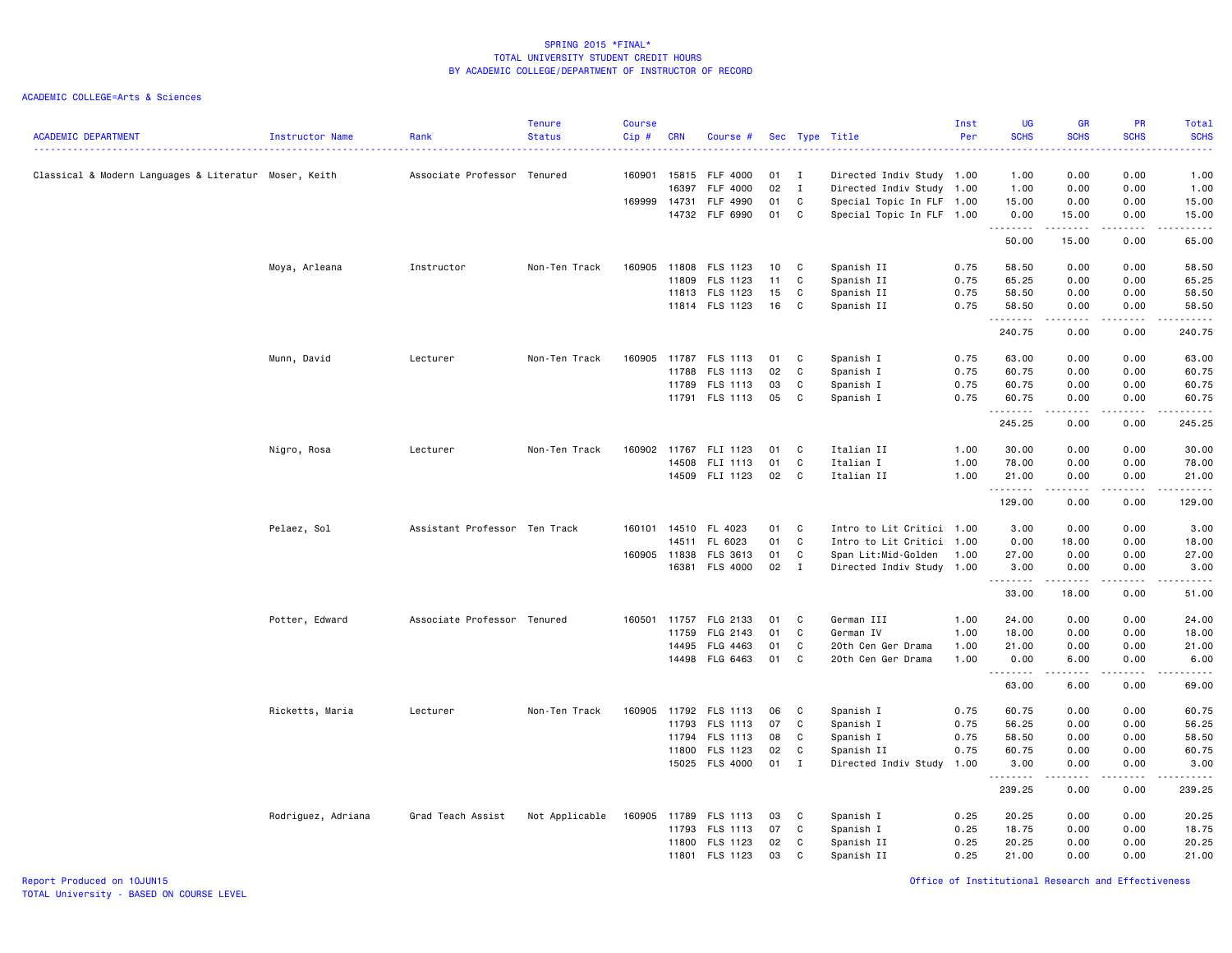ACADEMIC COLLEGE=Arts & Sciences

| <b>ACADEMIC DEPARTMENT</b>                            | Instructor Name    | Rank                          | <b>Tenure</b><br><b>Status</b> | <b>Course</b><br>Cip# | <b>CRN</b> | Course #              |      |              | Sec Type Title            | Inst<br>Per | <b>UG</b><br><b>SCHS</b> | <b>GR</b><br><b>SCHS</b>                                                                                                                                     | PR<br><b>SCHS</b> | Total<br><b>SCHS</b><br>. |
|-------------------------------------------------------|--------------------|-------------------------------|--------------------------------|-----------------------|------------|-----------------------|------|--------------|---------------------------|-------------|--------------------------|--------------------------------------------------------------------------------------------------------------------------------------------------------------|-------------------|---------------------------|
| Classical & Modern Languages & Literatur Moser, Keith |                    | Associate Professor Tenured   |                                | 160901                | 15815      | FLF 4000              | 01   | $\mathbf{I}$ | Directed Indiv Study 1.00 |             | 1.00                     | 0.00                                                                                                                                                         | 0.00              | 1.00                      |
|                                                       |                    |                               |                                |                       | 16397      | <b>FLF 4000</b>       | 02   | $\mathbf{I}$ | Directed Indiv Study      | 1.00        | 1.00                     | 0.00                                                                                                                                                         | 0.00              | 1.00                      |
|                                                       |                    |                               |                                | 169999                | 14731      | FLF 4990              | 01   | C            | Special Topic In FLF 1.00 |             | 15.00                    | 0.00                                                                                                                                                         | 0.00              | 15.00                     |
|                                                       |                    |                               |                                |                       |            | 14732 FLF 6990        | 01   | $\mathbf{C}$ | Special Topic In FLF 1.00 |             | 0.00<br>.                | 15.00<br>.                                                                                                                                                   | 0.00              | 15.00<br>. <u>.</u> .     |
|                                                       |                    |                               |                                |                       |            |                       |      |              |                           |             | 50.00                    | 15.00                                                                                                                                                        | 0.00              | 65.00                     |
|                                                       | Moya, Arleana      | Instructor                    | Non-Ten Track                  | 160905                | 11808      | <b>FLS 1123</b>       | 10   | C            | Spanish II                | 0.75        | 58.50                    | 0.00                                                                                                                                                         | 0.00              | 58.50                     |
|                                                       |                    |                               |                                |                       | 11809      | FLS 1123              | 11   | C            | Spanish II                | 0.75        | 65.25                    | 0.00                                                                                                                                                         | 0.00              | 65.25                     |
|                                                       |                    |                               |                                |                       | 11813      | FLS 1123              | 15   | C            | Spanish II                | 0.75        | 58.50                    | 0.00                                                                                                                                                         | 0.00              | 58.50                     |
|                                                       |                    |                               |                                |                       |            | 11814 FLS 1123        | 16   | C            | Spanish II                | 0.75        | 58.50<br>.               | 0.00<br>.                                                                                                                                                    | 0.00<br>.         | 58.50<br>.                |
|                                                       |                    |                               |                                |                       |            |                       |      |              |                           |             | 240.75                   | 0.00                                                                                                                                                         | 0.00              | 240.75                    |
|                                                       | Munn, David        | Lecturer                      | Non-Ten Track                  | 160905                | 11787      | FLS 1113              | 01   | C            | Spanish I                 | 0.75        | 63.00                    | 0.00                                                                                                                                                         | 0.00              | 63.00                     |
|                                                       |                    |                               |                                |                       | 11788      | FLS 1113              | 02   | C            | Spanish I                 | 0.75        | 60.75                    | 0.00                                                                                                                                                         | 0.00              | 60.75                     |
|                                                       |                    |                               |                                |                       | 11789      | FLS 1113              | 03   | C            | Spanish I                 | 0.75        | 60.75                    | 0.00                                                                                                                                                         | 0.00              | 60.75                     |
|                                                       |                    |                               |                                |                       |            | 11791 FLS 1113        | 05   | C            | Spanish I                 | 0.75        | 60.75<br><b></b>         | 0.00<br>$\frac{1}{2} \left( \frac{1}{2} \right) \left( \frac{1}{2} \right) \left( \frac{1}{2} \right) \left( \frac{1}{2} \right) \left( \frac{1}{2} \right)$ | 0.00<br>.         | 60.75<br>.                |
|                                                       |                    |                               |                                |                       |            |                       |      |              |                           |             | 245.25                   | 0.00                                                                                                                                                         | 0.00              | 245.25                    |
|                                                       | Nigro, Rosa        | Lecturer                      | Non-Ten Track                  |                       |            | 160902 11767 FLI 1123 | 01   | $\mathbf{C}$ | Italian II                | 1.00        | 30.00                    | 0.00                                                                                                                                                         | 0.00              | 30.00                     |
|                                                       |                    |                               |                                |                       | 14508      | FLI 1113              | 01   | C            | Italian I                 | 1.00        | 78.00                    | 0.00                                                                                                                                                         | 0.00              | 78.00                     |
|                                                       |                    |                               |                                |                       | 14509      | FLI 1123              | 02   | $\mathbf{C}$ | Italian II                | 1.00        | 21.00<br>.               | 0.00                                                                                                                                                         | 0.00              | 21.00<br>.                |
|                                                       |                    |                               |                                |                       |            |                       |      |              |                           |             | 129.00                   | 0.00                                                                                                                                                         | 0.00              | 129.00                    |
|                                                       | Pelaez, Sol        | Assistant Professor Ten Track |                                |                       |            | 160101 14510 FL 4023  | 01   | C            | Intro to Lit Critici 1.00 |             | 3.00                     | 0.00                                                                                                                                                         | 0.00              | 3.00                      |
|                                                       |                    |                               |                                |                       | 14511      | FL 6023               | 01   | $\mathbf C$  | Intro to Lit Critici      | 1.00        | 0.00                     | 18.00                                                                                                                                                        | 0.00              | 18.00                     |
|                                                       |                    |                               |                                | 160905                | 11838      | FLS 3613              | 01   | C            | Span Lit:Mid-Golden       | 1.00        | 27.00                    | 0.00                                                                                                                                                         | 0.00              | 27.00                     |
|                                                       |                    |                               |                                |                       |            | 16381 FLS 4000        | 02 I |              | Directed Indiv Study 1.00 |             | 3.00<br>.                | 0.00<br>.                                                                                                                                                    | 0.00<br>.         | 3.00<br>.                 |
|                                                       |                    |                               |                                |                       |            |                       |      |              |                           |             | 33.00                    | 18.00                                                                                                                                                        | 0.00              | 51.00                     |
|                                                       | Potter, Edward     | Associate Professor Tenured   |                                | 160501                | 11757      | FLG 2133              | 01   | C            | German III                | 1.00        | 24.00                    | 0.00                                                                                                                                                         | 0.00              | 24.00                     |
|                                                       |                    |                               |                                |                       | 11759      | FLG 2143              | 01   | C            | German IV                 | 1.00        | 18.00                    | 0.00                                                                                                                                                         | 0.00              | 18.00                     |
|                                                       |                    |                               |                                |                       | 14495      | FLG 4463              | 01   | C            | 20th Cen Ger Drama        | 1.00        | 21.00                    | 0.00                                                                                                                                                         | 0.00              | 21.00                     |
|                                                       |                    |                               |                                |                       |            | 14498 FLG 6463        | 01   | C            | 20th Cen Ger Drama        | 1.00        | 0.00<br>.                | 6.00<br>.                                                                                                                                                    | 0.00<br>.         | 6.00<br>.                 |
|                                                       |                    |                               |                                |                       |            |                       |      |              |                           |             | 63.00                    | 6.00                                                                                                                                                         | 0.00              | 69.00                     |
|                                                       | Ricketts, Maria    | Lecturer                      | Non-Ten Track                  |                       |            | 160905 11792 FLS 1113 | 06   | $\mathbf{C}$ | Spanish I                 | 0.75        | 60.75                    | 0.00                                                                                                                                                         | 0.00              | 60.75                     |
|                                                       |                    |                               |                                |                       | 11793      | FLS 1113              | 07   | C            | Spanish I                 | 0.75        | 56.25                    | 0.00                                                                                                                                                         | 0.00              | 56.25                     |
|                                                       |                    |                               |                                |                       | 11794      | FLS 1113              | 08   | C            | Spanish I                 | 0.75        | 58.50                    | 0.00                                                                                                                                                         | 0.00              | 58.50                     |
|                                                       |                    |                               |                                |                       | 11800      | FLS 1123              | 02   | C            | Spanish II                | 0.75        | 60.75                    | 0.00                                                                                                                                                         | 0.00              | 60.75                     |
|                                                       |                    |                               |                                |                       |            | 15025 FLS 4000        | 01   | $\mathbf{I}$ | Directed Indiv Study 1.00 |             | 3.00<br>.                | 0.00<br>$-2 - 2 - 2 - 2$                                                                                                                                     | 0.00<br>2.2.2.2.2 | 3.00<br><u>.</u>          |
|                                                       |                    |                               |                                |                       |            |                       |      |              |                           |             | 239.25                   | 0.00                                                                                                                                                         | 0.00              | 239.25                    |
|                                                       | Rodriguez, Adriana | Grad Teach Assist             | Not Applicable                 | 160905                | 11789      | FLS 1113              | 03   | C            | Spanish I                 | 0.25        | 20.25                    | 0.00                                                                                                                                                         | 0.00              | 20.25                     |
|                                                       |                    |                               |                                |                       | 11793      | FLS 1113              | 07   | C            | Spanish I                 | 0.25        | 18.75                    | 0.00                                                                                                                                                         | 0.00              | 18.75                     |
|                                                       |                    |                               |                                |                       |            | 11800 FLS 1123        | 02   | C            | Spanish II                | 0.25        | 20.25                    | 0.00                                                                                                                                                         | 0.00              | 20.25                     |
|                                                       |                    |                               |                                |                       |            | 11801 FLS 1123        | 03   | C            | Spanish II                | 0.25        | 21.00                    | 0.00                                                                                                                                                         | 0.00              | 21.00                     |

Report Produced on 10JUN15 Office of Institutional Research and Effectiveness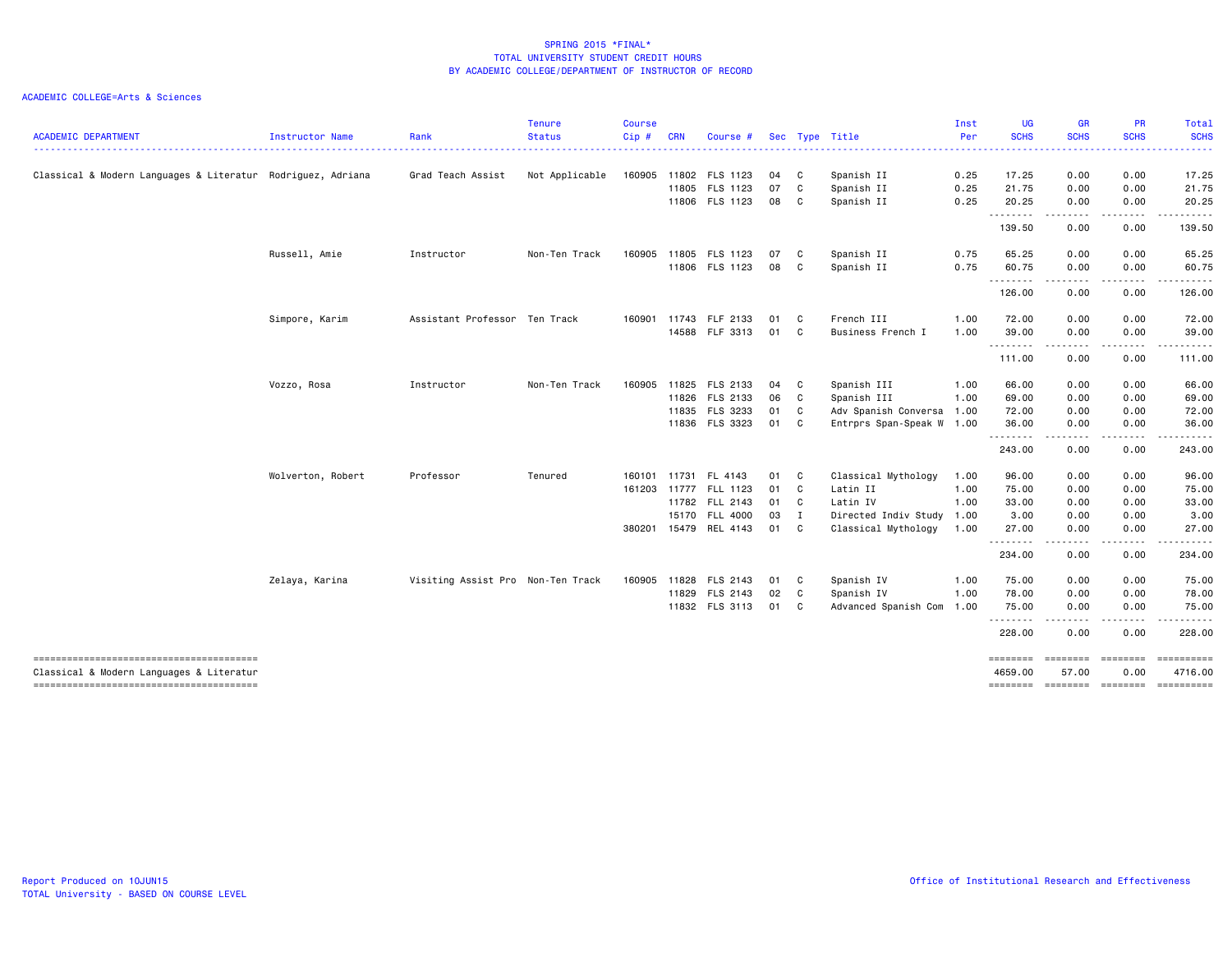| <b>ACADEMIC DEPARTMENT</b>                                  | Instructor Name   | Rank                              | <b>Tenure</b><br><b>Status</b> | <b>Course</b><br>Cip# | <b>CRN</b> | Course #              |      |              | Sec Type Title            | Inst<br>Per | <b>UG</b><br><b>SCHS</b> | <b>GR</b><br><b>SCHS</b>                                                                                              | <b>PR</b><br><b>SCHS</b> | Total<br><b>SCHS</b>  |
|-------------------------------------------------------------|-------------------|-----------------------------------|--------------------------------|-----------------------|------------|-----------------------|------|--------------|---------------------------|-------------|--------------------------|-----------------------------------------------------------------------------------------------------------------------|--------------------------|-----------------------|
|                                                             |                   |                                   |                                |                       |            |                       |      |              | <u>.</u>                  |             |                          |                                                                                                                       |                          |                       |
| Classical & Modern Languages & Literatur Rodriguez, Adriana |                   | Grad Teach Assist                 | Not Applicable                 |                       |            | 160905 11802 FLS 1123 | 04   | $\mathbf{C}$ | Spanish II                | 0.25        | 17.25                    | 0.00                                                                                                                  | 0.00                     | 17.25                 |
|                                                             |                   |                                   |                                |                       | 11805      | FLS 1123              | 07   | $\mathbf{C}$ | Spanish II                | 0.25        | 21.75                    | 0.00                                                                                                                  | 0.00                     | 21.75                 |
|                                                             |                   |                                   |                                |                       |            | 11806 FLS 1123        | 08 C |              | Spanish II                | 0.25        | 20.25<br>.               | 0.00<br>----                                                                                                          | 0.00                     | 20.25                 |
|                                                             |                   |                                   |                                |                       |            |                       |      |              |                           |             | 139.50                   | 0.00                                                                                                                  | 0.00                     | 139.50                |
|                                                             | Russell, Amie     | Instructor                        | Non-Ten Track                  | 160905                |            | 11805 FLS 1123        | 07   | $\mathbf{C}$ | Spanish II                | 0.75        | 65.25                    | 0.00                                                                                                                  | 0.00                     | 65.25                 |
|                                                             |                   |                                   |                                |                       |            | 11806 FLS 1123        | 08 C |              | Spanish II                | 0.75        | 60.75<br>.               | 0.00<br>$- - - -$                                                                                                     | 0.00                     | 60.75                 |
|                                                             |                   |                                   |                                |                       |            |                       |      |              |                           |             | 126.00                   | 0.00                                                                                                                  | 0.00                     | 126.00                |
|                                                             | Simpore, Karim    | Assistant Professor Ten Track     |                                | 160901                | 11743      | FLF 2133              | 01   | $\mathbf{C}$ | French III                | 1.00        | 72.00                    | 0.00                                                                                                                  | 0.00                     | 72.00                 |
|                                                             |                   |                                   |                                |                       |            | 14588 FLF 3313        | 01 C |              | Business French I         | 1.00        | 39,00                    | 0.00                                                                                                                  | 0.00                     | 39.00                 |
|                                                             |                   |                                   |                                |                       |            |                       |      |              |                           |             | .<br>111.00              | .<br>$\sim$ $-$<br>0.00                                                                                               | . <b>.</b><br>0.00       | . <u>.</u><br>111.00  |
|                                                             | Vozzo, Rosa       | Instructor                        | Non-Ten Track                  | 160905                |            | 11825 FLS 2133        | 04   | $\mathbf{C}$ | Spanish III               | 1.00        | 66.00                    | 0.00                                                                                                                  | 0.00                     | 66.00                 |
|                                                             |                   |                                   |                                |                       |            | 11826 FLS 2133        | 06 C |              | Spanish III               | 1.00        | 69.00                    | 0.00                                                                                                                  | 0.00                     | 69.00                 |
|                                                             |                   |                                   |                                |                       |            | 11835 FLS 3233        | 01 C |              | Adv Spanish Conversa 1.00 |             | 72.00                    | 0.00                                                                                                                  | 0.00                     | 72.00                 |
|                                                             |                   |                                   |                                |                       |            | 11836 FLS 3323        | 01 C |              | Entrprs Span-Speak W 1.00 |             | 36.00<br>.               | 0.00<br>$\frac{1}{2} \frac{1}{2} \frac{1}{2} \frac{1}{2} \frac{1}{2} \frac{1}{2} \frac{1}{2} \frac{1}{2} \frac{1}{2}$ | 0.00<br>.                | 36.00                 |
|                                                             |                   |                                   |                                |                       |            |                       |      |              |                           |             | 243.00                   | 0.00                                                                                                                  | 0.00                     | 243.00                |
|                                                             | Wolverton, Robert | Professor                         | Tenured                        | 160101                |            | 11731 FL 4143         | 01 C |              | Classical Mythology       | 1.00        | 96.00                    | 0.00                                                                                                                  | 0.00                     | 96.00                 |
|                                                             |                   |                                   |                                |                       |            | 161203 11777 FLL 1123 | 01 C |              | Latin II                  | 1.00        | 75.00                    | 0.00                                                                                                                  | 0.00                     | 75.00                 |
|                                                             |                   |                                   |                                |                       |            | 11782 FLL 2143        | 01 C |              | Latin IV                  | 1.00        | 33.00                    | 0.00                                                                                                                  | 0.00                     | 33.00                 |
|                                                             |                   |                                   |                                |                       |            | 15170 FLL 4000        | 03 I |              | Directed Indiv Study      | 1.00        | 3.00                     | 0.00                                                                                                                  | 0.00                     | 3.00                  |
|                                                             |                   |                                   |                                | 380201                |            | 15479 REL 4143        | 01   | C            | Classical Mythology       | 1.00        | 27.00                    | 0.00                                                                                                                  | 0.00                     | 27.00                 |
|                                                             |                   |                                   |                                |                       |            |                       |      |              |                           |             | 234.00                   | 0.00                                                                                                                  | 0.00                     | 234.00                |
|                                                             | Zelaya, Karina    | Visiting Assist Pro Non-Ten Track |                                | 160905                | 11828      | FLS 2143              | 01 C |              | Spanish IV                | 1.00        | 75.00                    | 0.00                                                                                                                  | 0.00                     | 75.00                 |
|                                                             |                   |                                   |                                |                       |            | 11829 FLS 2143        | 02   | $\mathbf{C}$ | Spanish IV                | 1.00        | 78.00                    | 0.00                                                                                                                  | 0.00                     | 78.00                 |
|                                                             |                   |                                   |                                |                       |            | 11832 FLS 3113        | 01 C |              | Advanced Spanish Com      | 1.00        | 75.00<br>.               | 0.00                                                                                                                  | 0.00                     | 75.00                 |
|                                                             |                   |                                   |                                |                       |            |                       |      |              |                           |             | 228.00                   | 0.00                                                                                                                  | 0.00                     | 228.00                |
| Classical & Modern Languages & Literatur                    |                   |                                   |                                |                       |            |                       |      |              |                           |             | ========<br>4659.00      | ========<br>57.00                                                                                                     | ========<br>0.00         | ==========<br>4716.00 |
| --------------------------------------                      |                   |                                   |                                |                       |            |                       |      |              |                           |             | ========                 | ========                                                                                                              | ========                 | ==========            |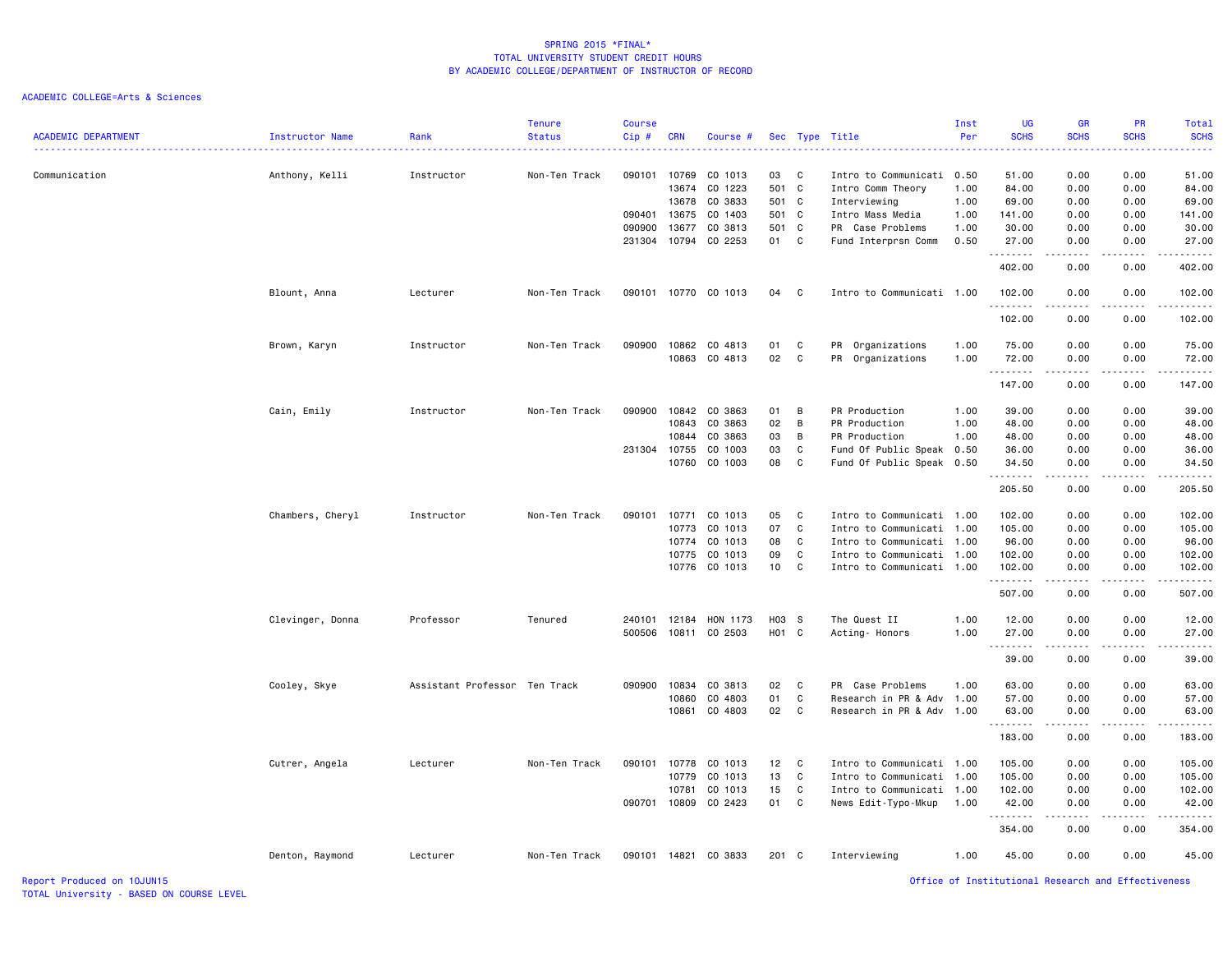| <b>ACADEMIC DEPARTMENT</b> | Instructor Name  | Rank                          | <b>Tenure</b><br><b>Status</b> | <b>Course</b><br>Cip# | <b>CRN</b> | Course #      |                 |              | Sec Type Title            | Inst<br>Per | UG<br><b>SCHS</b>                                  | <b>GR</b><br><b>SCHS</b>                                                                                                          | PR<br><b>SCHS</b> | Total<br><b>SCHS</b><br>والمناصبات |
|----------------------------|------------------|-------------------------------|--------------------------------|-----------------------|------------|---------------|-----------------|--------------|---------------------------|-------------|----------------------------------------------------|-----------------------------------------------------------------------------------------------------------------------------------|-------------------|------------------------------------|
| Communication              | Anthony, Kelli   | Instructor                    | Non-Ten Track                  | 090101                |            | 10769 CO 1013 | 03              | $\mathbf{C}$ | Intro to Communicati 0.50 |             | 51.00                                              | 0.00                                                                                                                              | 0.00              | 51.00                              |
|                            |                  |                               |                                |                       | 13674      | CO 1223       | 501 C           |              | Intro Comm Theory         | 1.00        | 84.00                                              | 0.00                                                                                                                              | 0.00              | 84.00                              |
|                            |                  |                               |                                |                       |            | 13678 CO 3833 | 501 C           |              | Interviewing              | 1.00        | 69.00                                              | 0.00                                                                                                                              | 0.00              | 69.00                              |
|                            |                  |                               |                                | 090401                | 13675      | CO 1403       | 501 C           |              | Intro Mass Media          | 1.00        | 141.00                                             | 0.00                                                                                                                              | 0.00              | 141.00                             |
|                            |                  |                               |                                | 090900                | 13677      | CO 3813       | 501 C           |              | PR Case Problems          | 1.00        | 30.00                                              | 0.00                                                                                                                              | 0.00              | 30.00                              |
|                            |                  |                               |                                | 231304                |            | 10794 CO 2253 | 01              | C            | Fund Interprsn Comm       | 0.50        | 27.00<br>.                                         | 0.00<br>$\sim$ $\sim$ $\sim$                                                                                                      | 0.00              | 27.00<br>. <u>.</u> .              |
|                            |                  |                               |                                |                       |            |               |                 |              |                           |             | 402.00                                             | 0.00                                                                                                                              | 0.00              | 402.00                             |
|                            | Blount, Anna     | Lecturer                      | Non-Ten Track                  | 090101                |            | 10770 CO 1013 | 04              | $\mathbf{C}$ | Intro to Communicati 1.00 |             | 102.00<br>.                                        | 0.00<br>----                                                                                                                      | 0.00<br>.         | 102.00                             |
|                            |                  |                               |                                |                       |            |               |                 |              |                           |             | 102.00                                             | 0.00                                                                                                                              | 0.00              | 102.00                             |
|                            | Brown, Karyn     | Instructor                    | Non-Ten Track                  | 090900                |            | 10862 CO 4813 | 01              | C            | PR Organizations          | 1.00        | 75.00                                              | 0.00                                                                                                                              | 0.00              | 75.00                              |
|                            |                  |                               |                                |                       |            | 10863 CO 4813 | 02              | C            | PR Organizations          | 1.00        | 72.00                                              | 0.00                                                                                                                              | 0.00              | 72.00                              |
|                            |                  |                               |                                |                       |            |               |                 |              |                           |             | .<br>147.00                                        | .<br>0.00                                                                                                                         | .<br>0.00         | .<br>147.00                        |
|                            | Cain, Emily      | Instructor                    | Non-Ten Track                  | 090900                |            | 10842 CO 3863 | 01              | B            | PR Production             | 1.00        | 39.00                                              | 0.00                                                                                                                              | 0.00              | 39.00                              |
|                            |                  |                               |                                |                       | 10843      | CO 3863       | 02              | B            | PR Production             | 1.00        | 48.00                                              | 0.00                                                                                                                              | 0.00              | 48.00                              |
|                            |                  |                               |                                |                       | 10844      | CO 3863       | 03              | В            | PR Production             | 1.00        | 48.00                                              | 0.00                                                                                                                              | 0.00              | 48.00                              |
|                            |                  |                               |                                | 231304                | 10755      | CO 1003       | 03              | C            | Fund Of Public Speak      | 0.50        | 36.00                                              | 0.00                                                                                                                              | 0.00              | 36.00                              |
|                            |                  |                               |                                |                       | 10760      | CO 1003       | 08              | C            | Fund Of Public Speak      | 0.50        | 34.50                                              | 0.00                                                                                                                              | 0.00              | 34.50                              |
|                            |                  |                               |                                |                       |            |               |                 |              |                           |             | .<br>205.50                                        | $- - - -$<br>0.00                                                                                                                 | .<br>0.00         | .<br>205.50                        |
|                            | Chambers, Cheryl | Instructor                    | Non-Ten Track                  | 090101                | 10771      | CO 1013       | 05              | C            | Intro to Communicati      | 1.00        | 102.00                                             | 0.00                                                                                                                              | 0.00              | 102.00                             |
|                            |                  |                               |                                |                       | 10773      | CO 1013       | 07              | C            | Intro to Communicati      | 1.00        | 105.00                                             | 0.00                                                                                                                              | 0.00              | 105.00                             |
|                            |                  |                               |                                |                       |            | 10774 CO 1013 | 08              | C            | Intro to Communicati      | 1.00        | 96.00                                              | 0.00                                                                                                                              | 0.00              | 96.00                              |
|                            |                  |                               |                                |                       |            | 10775 CO 1013 | 09              | C            | Intro to Communicati 1.00 |             | 102.00                                             | 0.00                                                                                                                              | 0.00              | 102.00                             |
|                            |                  |                               |                                |                       |            | 10776 CO 1013 | 10 <sub>1</sub> | C            | Intro to Communicati 1.00 |             | 102.00<br>.                                        | 0.00                                                                                                                              | 0.00              | 102.00                             |
|                            |                  |                               |                                |                       |            |               |                 |              |                           |             | 507.00                                             | 0.00                                                                                                                              | 0.00              | 507.00                             |
|                            | Clevinger, Donna | Professor                     | Tenured                        | 240101                | 12184      | HON 1173      | H03 S           |              | The Quest II              | 1.00        | 12.00                                              | 0.00                                                                                                                              | 0.00              | 12.00                              |
|                            |                  |                               |                                | 500506                |            | 10811 CO 2503 | H01 C           |              | Acting- Honors            | 1.00        | 27.00                                              | 0.00                                                                                                                              | 0.00              | 27.00                              |
|                            |                  |                               |                                |                       |            |               |                 |              |                           |             | --------<br>39.00                                  | $\sim$ $\sim$ $\sim$ $\sim$<br>0.00                                                                                               | 0.00              | .<br>39.00                         |
|                            | Cooley, Skye     | Assistant Professor Ten Track |                                | 090900                | 10834      | CO 3813       | 02              | C            | PR Case Problems          | 1.00        | 63.00                                              | 0.00                                                                                                                              | 0.00              | 63.00                              |
|                            |                  |                               |                                |                       | 10860      | CO 4803       | 01              | C            | Research in PR & Adv      | 1.00        | 57.00                                              | 0.00                                                                                                                              | 0.00              | 57.00                              |
|                            |                  |                               |                                |                       | 10861      | CO 4803       | 02              | C            | Research in PR & Adv      | 1.00        | 63.00<br>.                                         | 0.00<br>$\sim$ $\sim$ $\sim$ $\sim$                                                                                               | 0.00              | 63.00                              |
|                            |                  |                               |                                |                       |            |               |                 |              |                           |             | 183.00                                             | 0.00                                                                                                                              | 0.00              | 183.00                             |
|                            | Cutrer, Angela   | Lecturer                      | Non-Ten Track                  | 090101                |            | 10778 CO 1013 | 12              | $\mathbf{C}$ | Intro to Communicati 1.00 |             | 105.00                                             | 0.00                                                                                                                              | 0.00              | 105.00                             |
|                            |                  |                               |                                |                       | 10779      | CO 1013       | 13              | C            | Intro to Communicati      | 1.00        | 105.00                                             | 0.00                                                                                                                              | 0.00              | 105.00                             |
|                            |                  |                               |                                |                       | 10781      | CO 1013       | 15              | C            | Intro to Communicati 1.00 |             | 102.00                                             | 0.00                                                                                                                              | 0.00              | 102.00                             |
|                            |                  |                               |                                | 090701                | 10809      | CO 2423       | 01              | C            | News Edit-Typo-Mkup       | 1.00        | 42.00<br>.                                         | 0.00<br>$\frac{1}{2} \left( \frac{1}{2} \right) \left( \frac{1}{2} \right) \left( \frac{1}{2} \right) \left( \frac{1}{2} \right)$ | 0.00<br>.         | 42.00<br>.                         |
|                            |                  |                               |                                |                       |            |               |                 |              |                           |             | 354.00                                             | 0.00                                                                                                                              | 0.00              | 354.00                             |
|                            | Denton, Raymond  | Lecturer                      | Non-Ten Track                  | 090101                | 14821      | CO 3833       | 201 C           |              | Interviewing              | 1.00        | 45.00                                              | 0.00                                                                                                                              | 0.00              | 45.00                              |
| Report Produced on 10JUN15 |                  |                               |                                |                       |            |               |                 |              |                           |             | Office of Institutional Research and Effectiveness |                                                                                                                                   |                   |                                    |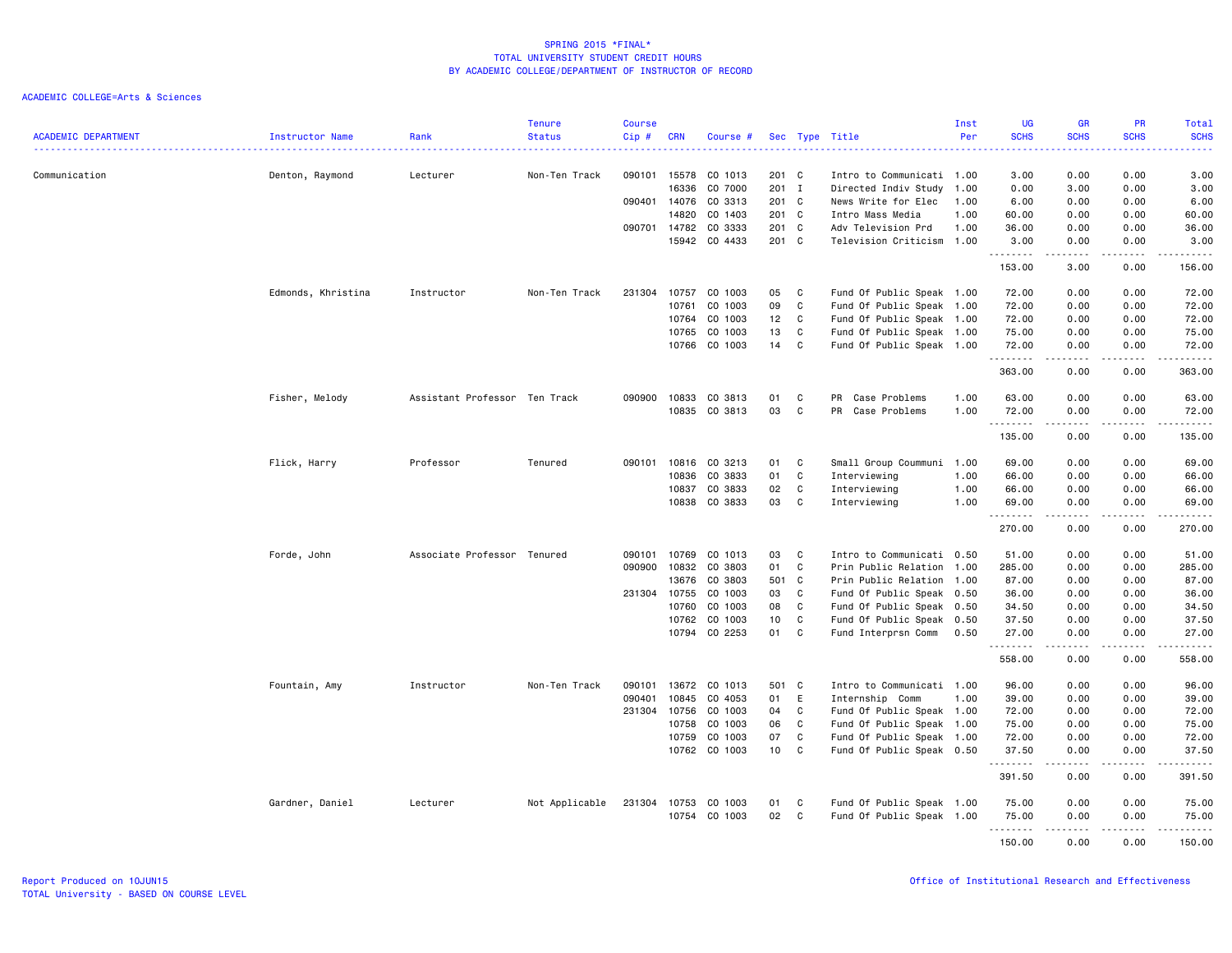|                            |                    |                               | <b>Tenure</b>  | <b>Course</b> |                       |                    |                 |              |                                            | Inst         | <b>UG</b>                                  | <b>GR</b>           | <b>PR</b>                                                                                                                         | Total                                                                                                                                                          |
|----------------------------|--------------------|-------------------------------|----------------|---------------|-----------------------|--------------------|-----------------|--------------|--------------------------------------------|--------------|--------------------------------------------|---------------------|-----------------------------------------------------------------------------------------------------------------------------------|----------------------------------------------------------------------------------------------------------------------------------------------------------------|
| <b>ACADEMIC DEPARTMENT</b> | Instructor Name    | Rank                          | <b>Status</b>  | Cip#          | <b>CRN</b>            | Course #           |                 |              | Sec Type Title                             | Per          | <b>SCHS</b><br>$\sim$ $\sim$ $\sim$ $\sim$ | <b>SCHS</b>         | <b>SCHS</b>                                                                                                                       | <b>SCHS</b><br>.                                                                                                                                               |
| Communication              |                    | Lecturer                      | Non-Ten Track  | 090101        | 15578                 | CO 1013            | 201 C           |              | Intro to Communicati 1.00                  |              | 3.00                                       | 0.00                | 0.00                                                                                                                              | 3.00                                                                                                                                                           |
|                            | Denton, Raymond    |                               |                |               | 16336                 | CO 7000            | 201 I           |              | Directed Indiv Study                       | 1.00         | 0.00                                       | 3.00                | 0.00                                                                                                                              | 3.00                                                                                                                                                           |
|                            |                    |                               |                |               | 090401 14076          | CO 3313            | 201 C           |              | News Write for Elec                        | 1.00         | 6.00                                       | 0.00                | 0.00                                                                                                                              | 6.00                                                                                                                                                           |
|                            |                    |                               |                |               |                       |                    |                 |              |                                            |              |                                            |                     |                                                                                                                                   |                                                                                                                                                                |
|                            |                    |                               |                |               | 14820                 | CO 1403            | 201 C           |              | Intro Mass Media                           | 1.00         | 60.00                                      | 0.00                | 0.00                                                                                                                              | 60.00                                                                                                                                                          |
|                            |                    |                               |                |               | 090701 14782<br>15942 | CO 3333<br>CO 4433 | 201 C<br>201 C  |              | Adv Television Prd<br>Television Criticism | 1.00<br>1.00 | 36.00<br>3.00                              | 0.00<br>0.00        | 0.00<br>0.00                                                                                                                      | 36.00<br>3.00                                                                                                                                                  |
|                            |                    |                               |                |               |                       |                    |                 |              |                                            |              | .<br>153.00                                | .<br>3.00           | $\frac{1}{2} \left( \frac{1}{2} \right) \left( \frac{1}{2} \right) \left( \frac{1}{2} \right) \left( \frac{1}{2} \right)$<br>0.00 | $\frac{1}{2} \left( \frac{1}{2} \right) \left( \frac{1}{2} \right) \left( \frac{1}{2} \right) \left( \frac{1}{2} \right) \left( \frac{1}{2} \right)$<br>156.00 |
|                            | Edmonds, Khristina | Instructor                    | Non-Ten Track  | 231304        | 10757                 | CO 1003            | 05              | C            | Fund Of Public Speak 1.00                  |              | 72.00                                      | 0.00                | 0.00                                                                                                                              | 72.00                                                                                                                                                          |
|                            |                    |                               |                |               |                       | CO 1003            | 09              | C            |                                            |              |                                            |                     |                                                                                                                                   |                                                                                                                                                                |
|                            |                    |                               |                |               | 10761                 |                    |                 |              | Fund Of Public Speak 1.00                  |              | 72.00                                      | 0.00                | 0.00                                                                                                                              | 72.00                                                                                                                                                          |
|                            |                    |                               |                |               | 10764<br>10765        | CO 1003<br>CO 1003 | 12<br>13        | C<br>C       | Fund Of Public Speak 1.00                  |              | 72.00                                      | 0.00                | 0.00<br>0.00                                                                                                                      | 72.00                                                                                                                                                          |
|                            |                    |                               |                |               |                       |                    |                 |              | Fund Of Public Speak 1.00                  |              | 75.00                                      | 0.00                |                                                                                                                                   | 75.00                                                                                                                                                          |
|                            |                    |                               |                |               |                       | 10766 CO 1003      | 14              | C            | Fund Of Public Speak 1.00                  |              | 72.00<br>.                                 | 0.00<br>-----       | 0.00<br>.                                                                                                                         | 72.00<br>.                                                                                                                                                     |
|                            |                    |                               |                |               |                       |                    |                 |              |                                            |              | 363.00                                     | 0.00                | 0.00                                                                                                                              | 363.00                                                                                                                                                         |
|                            | Fisher, Melody     | Assistant Professor Ten Track |                | 090900        | 10833                 | CO 3813            | 01              | C            | PR Case Problems                           | 1.00         | 63.00                                      | 0.00                | 0.00                                                                                                                              | 63.00                                                                                                                                                          |
|                            |                    |                               |                |               | 10835                 | CO 3813            | 03              | C            | PR Case Problems                           | 1.00         | 72.00                                      | 0.00                | 0.00                                                                                                                              | 72.00                                                                                                                                                          |
|                            |                    |                               |                |               |                       |                    |                 |              |                                            |              | <u>.</u><br>135.00                         | $- - - - -$<br>0.00 | .<br>0.00                                                                                                                         | <u>.</u><br>135.00                                                                                                                                             |
|                            | Flick, Harry       | Professor                     | Tenured        |               | 090101 10816          | CO 3213            | 01              | $\mathbf{C}$ | Small Group Coummuni 1.00                  |              | 69.00                                      | 0.00                | 0.00                                                                                                                              | 69.00                                                                                                                                                          |
|                            |                    |                               |                |               | 10836                 | CO 3833            | 01              | C            | Interviewing                               | 1.00         | 66.00                                      | 0.00                | 0.00                                                                                                                              | 66.00                                                                                                                                                          |
|                            |                    |                               |                |               | 10837                 | CO 3833            | 02              | C            | Interviewing                               | 1.00         | 66.00                                      | 0.00                | 0.00                                                                                                                              | 66.00                                                                                                                                                          |
|                            |                    |                               |                |               | 10838                 | CO 3833            | 03              | C            | Interviewing                               | 1.00         | 69.00                                      | 0.00                | 0.00                                                                                                                              | 69.00                                                                                                                                                          |
|                            |                    |                               |                |               |                       |                    |                 |              |                                            |              | .<br>270.00                                | -----<br>0.00       | .<br>0.00                                                                                                                         | .<br>270.00                                                                                                                                                    |
|                            | Forde, John        | Associate Professor Tenured   |                | 090101        | 10769                 | CO 1013            | 03              | C            | Intro to Communicati 0.50                  |              | 51.00                                      | 0.00                | 0.00                                                                                                                              | 51.00                                                                                                                                                          |
|                            |                    |                               |                | 090900        | 10832                 | CO 3803            | 01              | C            | Prin Public Relation 1.00                  |              | 285.00                                     | 0.00                | 0.00                                                                                                                              | 285.00                                                                                                                                                         |
|                            |                    |                               |                |               | 13676                 | CO 3803            | 501             | $\mathbf{C}$ | Prin Public Relation 1.00                  |              | 87.00                                      | 0.00                | 0.00                                                                                                                              | 87.00                                                                                                                                                          |
|                            |                    |                               |                | 231304        | 10755                 | CO 1003            | 03              | C            | Fund Of Public Speak 0.50                  |              | 36.00                                      | 0.00                | 0.00                                                                                                                              | 36.00                                                                                                                                                          |
|                            |                    |                               |                |               | 10760                 | CO 1003            | 08              | C            | Fund Of Public Speak 0.50                  |              | 34.50                                      | 0.00                | 0.00                                                                                                                              | 34.50                                                                                                                                                          |
|                            |                    |                               |                |               | 10762                 | CO 1003            | 10              | C            | Fund Of Public Speak 0.50                  |              | 37.50                                      | 0.00                | 0.00                                                                                                                              | 37.50                                                                                                                                                          |
|                            |                    |                               |                |               |                       | 10794 CO 2253      | 01              | $\mathbf{C}$ | Fund Interprsn Comm                        | 0.50         | 27.00                                      | 0.00                | 0.00                                                                                                                              | 27.00                                                                                                                                                          |
|                            |                    |                               |                |               |                       |                    |                 |              |                                            |              | .<br>558.00                                | -----<br>0.00       | .<br>0.00                                                                                                                         | .<br>558.00                                                                                                                                                    |
|                            |                    |                               | Non-Ten Track  | 090101        | 13672                 | CO 1013            | 501 C           |              | Intro to Communicati 1.00                  |              | 96.00                                      | 0.00                | 0.00                                                                                                                              | 96.00                                                                                                                                                          |
|                            | Fountain, Amy      | Instructor                    |                | 090401        | 10845                 |                    | 01              |              |                                            | 1.00         |                                            |                     | 0.00                                                                                                                              |                                                                                                                                                                |
|                            |                    |                               |                |               |                       | CO 4053            |                 | E            | Internship Comm                            |              | 39.00                                      | 0.00                |                                                                                                                                   | 39.00                                                                                                                                                          |
|                            |                    |                               |                | 231304        | 10756                 | CO 1003            | 04              | C            | Fund Of Public Speak 1.00                  |              | 72.00                                      | 0.00                | 0.00                                                                                                                              | 72.00                                                                                                                                                          |
|                            |                    |                               |                |               | 10758                 | CO 1003            | 06              | C            | Fund Of Public Speak 1.00                  |              | 75.00                                      | 0.00                | 0.00                                                                                                                              | 75.00                                                                                                                                                          |
|                            |                    |                               |                |               | 10759                 | CO 1003            | 07              | C            | Fund Of Public Speak 1.00                  |              | 72.00                                      | 0.00                | 0.00                                                                                                                              | 72.00                                                                                                                                                          |
|                            |                    |                               |                |               |                       | 10762 CO 1003      | 10 <sub>1</sub> | C            | Fund Of Public Speak 0.50                  |              | 37.50<br>.                                 | 0.00<br>-----       | 0.00<br>.                                                                                                                         | 37.50<br>------                                                                                                                                                |
|                            |                    |                               |                |               |                       |                    |                 |              |                                            |              | 391.50                                     | 0.00                | 0.00                                                                                                                              | 391.50                                                                                                                                                         |
|                            | Gardner, Daniel    | Lecturer                      | Not Applicable | 231304        | 10753                 | CO 1003            | 01              | C            | Fund Of Public Speak 1.00                  |              | 75.00                                      | 0.00                | 0.00                                                                                                                              | 75.00                                                                                                                                                          |
|                            |                    |                               |                |               | 10754                 | CO 1003            | 02              | C            | Fund Of Public Speak 1.00                  |              | 75.00                                      | 0.00                | 0.00                                                                                                                              | 75.00                                                                                                                                                          |
|                            |                    |                               |                |               |                       |                    |                 |              |                                            |              | .                                          | $- - - - -$         | .                                                                                                                                 | <u>.</u>                                                                                                                                                       |
|                            |                    |                               |                |               |                       |                    |                 |              |                                            |              | 150.00                                     | 0.00                | 0.00                                                                                                                              | 150.00                                                                                                                                                         |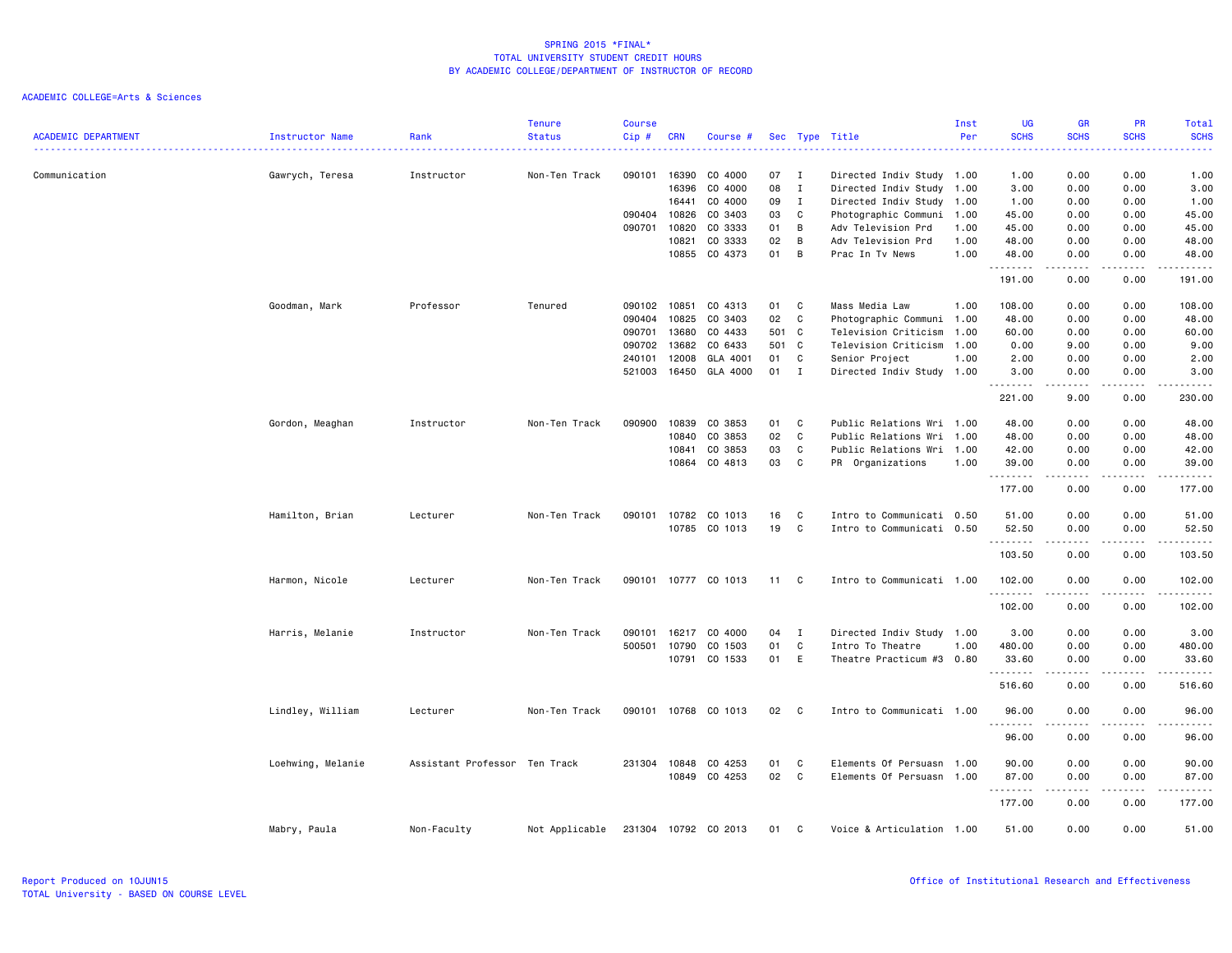|                            |                   |                               | <b>Tenure</b>  | <b>Course</b> |            |                      |       |              |                           | Inst | <b>UG</b>            | <b>GR</b>                                                                                                                                                    | <b>PR</b>                                                                                                                         | Total                                                                                                                                                                                    |
|----------------------------|-------------------|-------------------------------|----------------|---------------|------------|----------------------|-------|--------------|---------------------------|------|----------------------|--------------------------------------------------------------------------------------------------------------------------------------------------------------|-----------------------------------------------------------------------------------------------------------------------------------|------------------------------------------------------------------------------------------------------------------------------------------------------------------------------------------|
| <b>ACADEMIC DEPARTMENT</b> | Instructor Name   | Rank                          | <b>Status</b>  | Cip #         | <b>CRN</b> | Course #             |       |              | Sec Type Title            | Per  | <b>SCHS</b>          | <b>SCHS</b>                                                                                                                                                  | <b>SCHS</b>                                                                                                                       | <b>SCHS</b><br>.                                                                                                                                                                         |
| Communication              | Gawrych, Teresa   | Instructor                    | Non-Ten Track  | 090101        | 16390      | CO 4000              | 07    | I            | Directed Indiv Study 1.00 |      | 1.00                 | 0.00                                                                                                                                                         | 0.00                                                                                                                              | 1.00                                                                                                                                                                                     |
|                            |                   |                               |                |               | 16396      | CO 4000              | 08    | $\mathbf{I}$ | Directed Indiv Study 1.00 |      | 3.00                 | 0.00                                                                                                                                                         | 0.00                                                                                                                              | 3.00                                                                                                                                                                                     |
|                            |                   |                               |                |               | 16441      | CO 4000              | 09    | $\mathbf{I}$ | Directed Indiv Study      | 1.00 | 1.00                 | 0.00                                                                                                                                                         | 0.00                                                                                                                              | 1.00                                                                                                                                                                                     |
|                            |                   |                               |                | 090404        | 10826      | CO 3403              | 03    | C            | Photographic Communi      | 1.00 | 45.00                | 0.00                                                                                                                                                         | 0.00                                                                                                                              | 45.00                                                                                                                                                                                    |
|                            |                   |                               |                | 090701        | 10820      | CO 3333              | 01    | B            | Adv Television Prd        | 1.00 | 45.00                | 0.00                                                                                                                                                         | 0.00                                                                                                                              | 45.00                                                                                                                                                                                    |
|                            |                   |                               |                |               | 10821      | CO 3333              | 02    | B            | Adv Television Prd        | 1.00 | 48.00                | 0.00                                                                                                                                                         | 0.00                                                                                                                              | 48.00                                                                                                                                                                                    |
|                            |                   |                               |                |               | 10855      | CO 4373              | 01    | В            | Prac In Tv News           | 1.00 | 48.00<br>--------    | 0.00<br>$\frac{1}{2} \left( \frac{1}{2} \right) \left( \frac{1}{2} \right) \left( \frac{1}{2} \right) \left( \frac{1}{2} \right)$                            | 0.00<br>$\frac{1}{2} \left( \frac{1}{2} \right) \left( \frac{1}{2} \right) \left( \frac{1}{2} \right) \left( \frac{1}{2} \right)$ | 48.00<br>$\frac{1}{2} \left( \frac{1}{2} \right) \left( \frac{1}{2} \right) \left( \frac{1}{2} \right) \left( \frac{1}{2} \right) \left( \frac{1}{2} \right) \left( \frac{1}{2} \right)$ |
|                            |                   |                               |                |               |            |                      |       |              |                           |      | 191.00               | 0.00                                                                                                                                                         | 0.00                                                                                                                              | 191.00                                                                                                                                                                                   |
|                            | Goodman, Mark     | Professor                     | Tenured        | 090102        | 10851      | CO 4313              | 01    | C            | Mass Media Law            | 1.00 | 108.00               | 0.00                                                                                                                                                         | 0.00                                                                                                                              | 108.00                                                                                                                                                                                   |
|                            |                   |                               |                | 090404        | 10825      | CO 3403              | 02    | C            | Photographic Communi 1.00 |      | 48.00                | 0.00                                                                                                                                                         | 0.00                                                                                                                              | 48.00                                                                                                                                                                                    |
|                            |                   |                               |                | 090701        | 13680      | CO 4433              | 501 C |              | Television Criticism      | 1.00 | 60.00                | 0.00                                                                                                                                                         | 0.00                                                                                                                              | 60.00                                                                                                                                                                                    |
|                            |                   |                               |                | 090702        | 13682      | CO 6433              | 501 C |              | Television Criticism      | 1.00 | 0.00                 | 9.00                                                                                                                                                         | 0.00                                                                                                                              | 9.00                                                                                                                                                                                     |
|                            |                   |                               |                | 240101        | 12008      | GLA 4001             | 01    | C            | Senior Project            | 1.00 | 2.00                 | 0.00                                                                                                                                                         | 0.00                                                                                                                              | 2.00                                                                                                                                                                                     |
|                            |                   |                               |                | 521003        | 16450      | GLA 4000             | 01 I  |              | Directed Indiv Study 1.00 |      | 3.00<br>.            | 0.00<br>-----                                                                                                                                                | 0.00<br>.                                                                                                                         | 3.00<br>.                                                                                                                                                                                |
|                            |                   |                               |                |               |            |                      |       |              |                           |      | 221.00               | 9.00                                                                                                                                                         | 0.00                                                                                                                              | 230.00                                                                                                                                                                                   |
|                            | Gordon, Meaghan   | Instructor                    | Non-Ten Track  | 090900        | 10839      | CO 3853              | 01    | C            | Public Relations Wri 1.00 |      | 48.00                | 0.00                                                                                                                                                         | 0.00                                                                                                                              | 48.00                                                                                                                                                                                    |
|                            |                   |                               |                |               | 10840      | CO 3853              | 02    | C            | Public Relations Wri 1.00 |      | 48.00                | 0.00                                                                                                                                                         | 0.00                                                                                                                              | 48.00                                                                                                                                                                                    |
|                            |                   |                               |                |               | 10841      | CO 3853              | 03    | C            | Public Relations Wri 1.00 |      | 42.00                | 0.00                                                                                                                                                         | 0.00                                                                                                                              | 42.00                                                                                                                                                                                    |
|                            |                   |                               |                |               | 10864      | CO 4813              | 03    | $\mathbf c$  | PR Organizations          | 1.00 | 39.00<br>.           | 0.00                                                                                                                                                         | 0.00                                                                                                                              | 39.00<br>.                                                                                                                                                                               |
|                            |                   |                               |                |               |            |                      |       |              |                           |      | 177.00               | 0.00                                                                                                                                                         | 0.00                                                                                                                              | 177.00                                                                                                                                                                                   |
|                            | Hamilton, Brian   | Lecturer                      | Non-Ten Track  | 090101        | 10782      | CO 1013              | 16    | C            | Intro to Communicati 0.50 |      | 51.00                | 0.00                                                                                                                                                         | 0.00                                                                                                                              | 51.00                                                                                                                                                                                    |
|                            |                   |                               |                |               | 10785      | CO 1013              | 19    | C            | Intro to Communicati      | 0.50 | 52.50                | 0.00                                                                                                                                                         | 0.00                                                                                                                              | 52.50                                                                                                                                                                                    |
|                            |                   |                               |                |               |            |                      |       |              |                           |      | . <b>.</b><br>103.50 | $\frac{1}{2} \left( \frac{1}{2} \right) \left( \frac{1}{2} \right) \left( \frac{1}{2} \right) \left( \frac{1}{2} \right) \left( \frac{1}{2} \right)$<br>0.00 | .<br>0.00                                                                                                                         | .<br>103.50                                                                                                                                                                              |
|                            | Harmon, Nicole    | Lecturer                      | Non-Ten Track  | 090101        | 10777      | CO 1013              | 11    | C.           | Intro to Communicati 1.00 |      | 102.00               | 0.00                                                                                                                                                         | 0.00                                                                                                                              | 102.00                                                                                                                                                                                   |
|                            |                   |                               |                |               |            |                      |       |              |                           |      | .<br>102.00          | .<br>0.00                                                                                                                                                    | $\sim$ $\sim$ $\sim$<br>0.00                                                                                                      | .<br>102.00                                                                                                                                                                              |
|                            | Harris, Melanie   | Instructor                    | Non-Ten Track  | 090101        | 16217      | CO 4000              | 04    | $\mathbf{I}$ | Directed Indiv Study 1.00 |      | 3.00                 | 0.00                                                                                                                                                         | 0.00                                                                                                                              | 3.00                                                                                                                                                                                     |
|                            |                   |                               |                | 500501        | 10790      | CO 1503              | 01    | $\mathbb{C}$ | Intro To Theatre          | 1.00 | 480.00               | 0.00                                                                                                                                                         | 0.00                                                                                                                              | 480.00                                                                                                                                                                                   |
|                            |                   |                               |                |               | 10791      | CO 1533              | 01    | E            | Theatre Practicum #3      | 0.80 | 33.60<br>. <b>.</b>  | 0.00                                                                                                                                                         | 0.00                                                                                                                              | 33.60<br>$- - - - - - -$                                                                                                                                                                 |
|                            |                   |                               |                |               |            |                      |       |              |                           |      | 516.60               | $- - - - -$<br>0.00                                                                                                                                          | $- - - -$<br>0.00                                                                                                                 | 516.60                                                                                                                                                                                   |
|                            | Lindley, William  | Lecturer                      | Non-Ten Track  | 090101        |            | 10768 CO 1013        | 02    | C            | Intro to Communicati 1.00 |      | 96.00                | 0.00                                                                                                                                                         | 0.00                                                                                                                              | 96.00                                                                                                                                                                                    |
|                            |                   |                               |                |               |            |                      |       |              |                           |      | 96.00                | -----<br>0.00                                                                                                                                                | .<br>0.00                                                                                                                         | .<br>96.00                                                                                                                                                                               |
|                            |                   |                               |                |               |            |                      |       |              |                           |      |                      |                                                                                                                                                              |                                                                                                                                   |                                                                                                                                                                                          |
|                            | Loehwing, Melanie | Assistant Professor Ten Track |                | 231304        | 10848      | CO 4253              | 01    | C            | Elements Of Persuasn      | 1.00 | 90.00                | 0.00                                                                                                                                                         | 0.00                                                                                                                              | 90.00                                                                                                                                                                                    |
|                            |                   |                               |                |               | 10849      | CO 4253              | 02    | $\mathbf c$  | Elements Of Persuasn 1.00 |      | 87.00                | 0.00                                                                                                                                                         | 0.00                                                                                                                              | 87.00                                                                                                                                                                                    |
|                            |                   |                               |                |               |            |                      |       |              |                           |      | 177.00               | 0.00                                                                                                                                                         | 0.00                                                                                                                              | 177.00                                                                                                                                                                                   |
|                            | Mabry, Paula      | Non-Faculty                   | Not Applicable |               |            | 231304 10792 CO 2013 | 01    | C            | Voice & Articulation 1.00 |      | 51.00                | 0.00                                                                                                                                                         | 0.00                                                                                                                              | 51.00                                                                                                                                                                                    |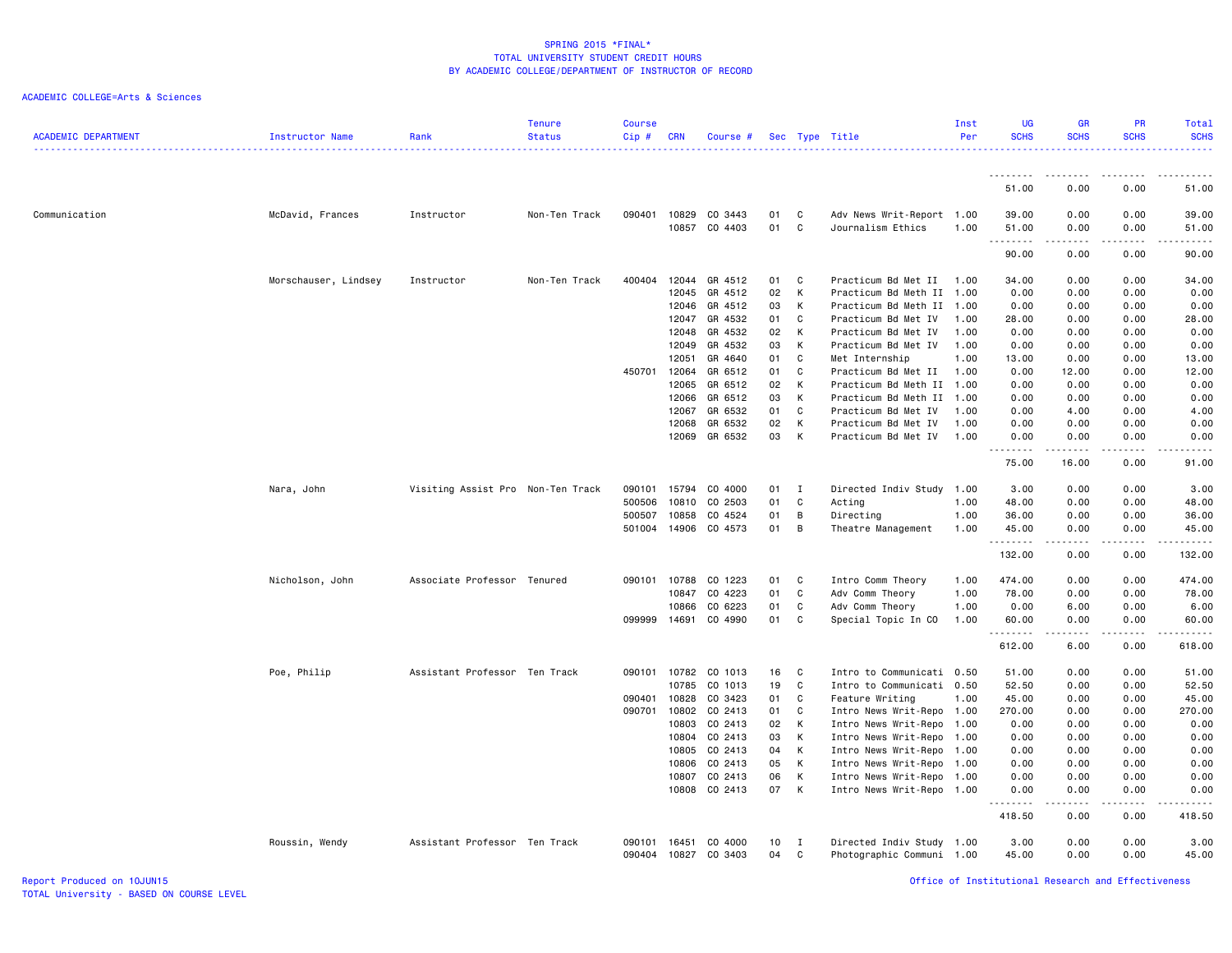# ACADEMIC COLLEGE=Arts & Sciences

| <b>ACADEMIC DEPARTMENT</b> | Instructor Name      | Rank                              | <b>Tenure</b><br><b>Status</b> | <b>Course</b><br>Cip# | <b>CRN</b>     | Course #           |          |              | Sec Type Title                                         | Inst<br>Per  | <b>UG</b><br><b>SCHS</b> | <b>GR</b><br><b>SCHS</b>                                                                                                          | PR<br><b>SCHS</b>             | Total<br><b>SCHS</b>  |
|----------------------------|----------------------|-----------------------------------|--------------------------------|-----------------------|----------------|--------------------|----------|--------------|--------------------------------------------------------|--------------|--------------------------|-----------------------------------------------------------------------------------------------------------------------------------|-------------------------------|-----------------------|
|                            |                      |                                   |                                |                       |                |                    |          |              |                                                        |              | <u>.</u>                 | $  -$                                                                                                                             | بالمستعاد                     | .                     |
|                            |                      |                                   |                                |                       |                |                    |          |              |                                                        |              | 51.00                    | 0.00                                                                                                                              | 0.00                          | 51.00                 |
| Communication              | McDavid, Frances     | Instructor                        | Non-Ten Track                  | 090401                | 10829<br>10857 | CO 3443<br>CO 4403 | 01<br>01 | C<br>C       | Adv News Writ-Report 1.00<br>Journalism Ethics         | 1.00         | 39.00<br>51.00<br>.      | 0.00<br>0.00<br>$- - - -$                                                                                                         | 0.00<br>0.00<br>$\frac{1}{2}$ | 39.00<br>51.00<br>.   |
|                            |                      |                                   |                                |                       |                |                    |          |              |                                                        |              | 90.00                    | 0.00                                                                                                                              | 0.00                          | 90.00                 |
|                            | Morschauser, Lindsey | Instructor                        | Non-Ten Track                  | 400404                | 12044          | GR 4512            | 01       | C            | Practicum Bd Met II                                    | 1.00         | 34.00                    | 0.00                                                                                                                              | 0.00                          | 34.00                 |
|                            |                      |                                   |                                |                       | 12045          | GR 4512            | 02       | K            | Practicum Bd Meth II                                   | 1.00         | 0.00                     | 0.00                                                                                                                              | 0.00                          | 0.00                  |
|                            |                      |                                   |                                |                       | 12046          | GR 4512            | 03       | K            | Practicum Bd Meth II                                   | 1.00         | 0.00                     | 0.00                                                                                                                              | 0.00                          | 0.00                  |
|                            |                      |                                   |                                |                       | 12047          | GR 4532            | 01       | C            | Practicum Bd Met IV                                    | 1.00         | 28.00                    | 0.00                                                                                                                              | 0.00                          | 28.00                 |
|                            |                      |                                   |                                |                       | 12048          | GR 4532            | 02       | K            | Practicum Bd Met IV                                    | 1.00         | 0.00                     | 0.00                                                                                                                              | 0.00                          | 0.00                  |
|                            |                      |                                   |                                |                       | 12049          | GR 4532            | 03       | К            | Practicum Bd Met IV                                    | 1.00         | 0.00                     | 0.00                                                                                                                              | 0.00                          | 0.00                  |
|                            |                      |                                   |                                |                       | 12051          | GR 4640            | 01       | C            | Met Internship                                         | 1.00         | 13.00                    | 0.00                                                                                                                              | 0.00                          | 13.00                 |
|                            |                      |                                   |                                | 450701                | 12064          | GR 6512            | 01       | $\mathbf{C}$ | Practicum Bd Met II                                    | 1.00         | 0.00                     | 12.00                                                                                                                             | 0.00                          | 12.00                 |
|                            |                      |                                   |                                |                       | 12065          | GR 6512            | 02       | К            | Practicum Bd Meth II                                   | 1.00         | 0.00                     | 0.00                                                                                                                              | 0.00                          | 0.00                  |
|                            |                      |                                   |                                |                       | 12066          | GR 6512            | 03       | К            | Practicum Bd Meth II                                   | 1.00         | 0.00                     | 0.00                                                                                                                              | 0.00                          | 0.00                  |
|                            |                      |                                   |                                |                       | 12067          | GR 6532            | 01       | C            | Practicum Bd Met IV                                    | 1.00<br>1.00 | 0.00                     | 4.00                                                                                                                              | 0.00                          | 4.00                  |
|                            |                      |                                   |                                |                       | 12068          | GR 6532<br>GR 6532 | 02<br>03 | K<br>K       | Practicum Bd Met IV                                    | 1.00         | 0.00                     | 0.00                                                                                                                              | 0.00                          | 0.00                  |
|                            |                      |                                   |                                |                       | 12069          |                    |          |              | Practicum Bd Met IV                                    |              | 0.00                     | 0.00                                                                                                                              | 0.00                          | 0.00                  |
|                            |                      |                                   |                                |                       |                |                    |          |              |                                                        |              | 75.00                    | 16.00                                                                                                                             | 0.00                          | 91.00                 |
|                            | Nara, John           | Visiting Assist Pro Non-Ten Track |                                | 090101                | 15794          | CO 4000            | 01       | $\mathbf{I}$ | Directed Indiv Study 1.00                              |              | 3.00                     | 0.00                                                                                                                              | 0.00                          | 3.00                  |
|                            |                      |                                   |                                | 500506                | 10810          | CO 2503            | 01       | C            | Acting                                                 | 1.00         | 48.00                    | 0.00                                                                                                                              | 0.00                          | 48.00                 |
|                            |                      |                                   |                                | 500507                | 10858          | CO 4524            | 01       | В            | Directing                                              | 1.00         | 36.00                    | 0.00                                                                                                                              | 0.00                          | 36.00                 |
|                            |                      |                                   |                                | 501004                | 14906          | CO 4573            | 01       | В            | Theatre Management                                     | 1.00         | 45.00<br>.               | 0.00<br>د د د د د                                                                                                                 | 0.00<br>.                     | 45.00<br><u>.</u>     |
|                            |                      |                                   |                                |                       |                |                    |          |              |                                                        |              | 132.00                   | 0.00                                                                                                                              | 0.00                          | 132.00                |
|                            | Nicholson, John      | Associate Professor Tenured       |                                | 090101                | 10788          | CO 1223            | 01       | C            | Intro Comm Theory                                      | 1.00         | 474.00                   | 0.00                                                                                                                              | 0.00                          | 474.00                |
|                            |                      |                                   |                                |                       | 10847          | CO 4223            | 01       | C            | Adv Comm Theory                                        | 1.00         | 78.00                    | 0.00                                                                                                                              | 0.00                          | 78.00                 |
|                            |                      |                                   |                                |                       | 10866          | CO 6223            | 01       | C            | Adv Comm Theory                                        | 1.00         | 0.00                     | 6.00                                                                                                                              | 0.00                          | 6.00                  |
|                            |                      |                                   |                                | 099999                | 14691          | CO 4990            | 01       | C            | Special Topic In CO                                    | 1.00         | 60.00<br>.               | 0.00<br>$\frac{1}{2} \left( \frac{1}{2} \right) \left( \frac{1}{2} \right) \left( \frac{1}{2} \right) \left( \frac{1}{2} \right)$ | 0.00<br>$- - - -$             | 60.00<br>. <u>.</u> . |
|                            |                      |                                   |                                |                       |                |                    |          |              |                                                        |              | 612.00                   | 6.00                                                                                                                              | 0.00                          | 618.00                |
|                            | Poe, Philip          | Assistant Professor Ten Track     |                                | 090101                | 10782          | CO 1013            | 16       | C            | Intro to Communicati 0.50                              |              | 51.00                    | 0.00                                                                                                                              | 0.00                          | 51.00                 |
|                            |                      |                                   |                                |                       | 10785          | CO 1013            | 19       | C            | Intro to Communicati 0.50                              |              | 52.50                    | 0.00                                                                                                                              | 0.00                          | 52.50                 |
|                            |                      |                                   |                                | 090401                | 10828          | CO 3423            | 01       | C            | Feature Writing                                        | 1.00         | 45.00                    | 0.00                                                                                                                              | 0.00                          | 45.00                 |
|                            |                      |                                   |                                | 090701                | 10802          | CO 2413            | 01       | C            | Intro News Writ-Repo 1.00                              |              | 270.00                   | 0.00                                                                                                                              | 0.00                          | 270.00                |
|                            |                      |                                   |                                |                       | 10803          | CO 2413            | 02       | K            | Intro News Writ-Repo                                   | 1.00         | 0.00                     | 0.00                                                                                                                              | 0.00                          | 0.00                  |
|                            |                      |                                   |                                |                       | 10804          | CO 2413            | 03       | К            | Intro News Writ-Repo                                   | 1.00         | 0.00                     | 0.00                                                                                                                              | 0.00                          | 0.00                  |
|                            |                      |                                   |                                |                       | 10805          | CO 2413            | 04       | К            | Intro News Writ-Repo 1.00                              |              | 0.00                     | 0.00                                                                                                                              | 0.00                          | 0.00                  |
|                            |                      |                                   |                                |                       | 10806          | CO 2413            | 05       | К            | Intro News Writ-Repo 1.00                              |              | 0.00                     | 0.00                                                                                                                              | 0.00                          | 0.00                  |
|                            |                      |                                   |                                |                       | 10807          | CO 2413            | 06       | к            | Intro News Writ-Repo                                   | 1.00         | 0.00                     | 0.00                                                                                                                              | 0.00                          | 0.00                  |
|                            |                      |                                   |                                |                       | 10808          | CO 2413            | 07       | K            | Intro News Writ-Repo 1.00                              |              | 0.00<br>.                | 0.00<br>د د د د د                                                                                                                 | 0.00<br>.                     | 0.00                  |
|                            |                      |                                   |                                |                       |                |                    |          |              |                                                        |              | 418.50                   | 0.00                                                                                                                              | 0.00                          | 418.50                |
|                            | Roussin, Wendy       | Assistant Professor Ten Track     |                                | 090101<br>090404      | 16451<br>10827 | CO 4000<br>CO 3403 | 10<br>04 | Ι<br>С       | Directed Indiv Study 1.00<br>Photographic Communi 1.00 |              | 3.00<br>45.00            | 0.00<br>0.00                                                                                                                      | 0.00<br>0.00                  | 3.00<br>45.00         |
|                            |                      |                                   |                                |                       |                |                    |          |              |                                                        |              |                          |                                                                                                                                   |                               |                       |

Report Produced on 10JUN15 Office of Institutional Research and Effectiveness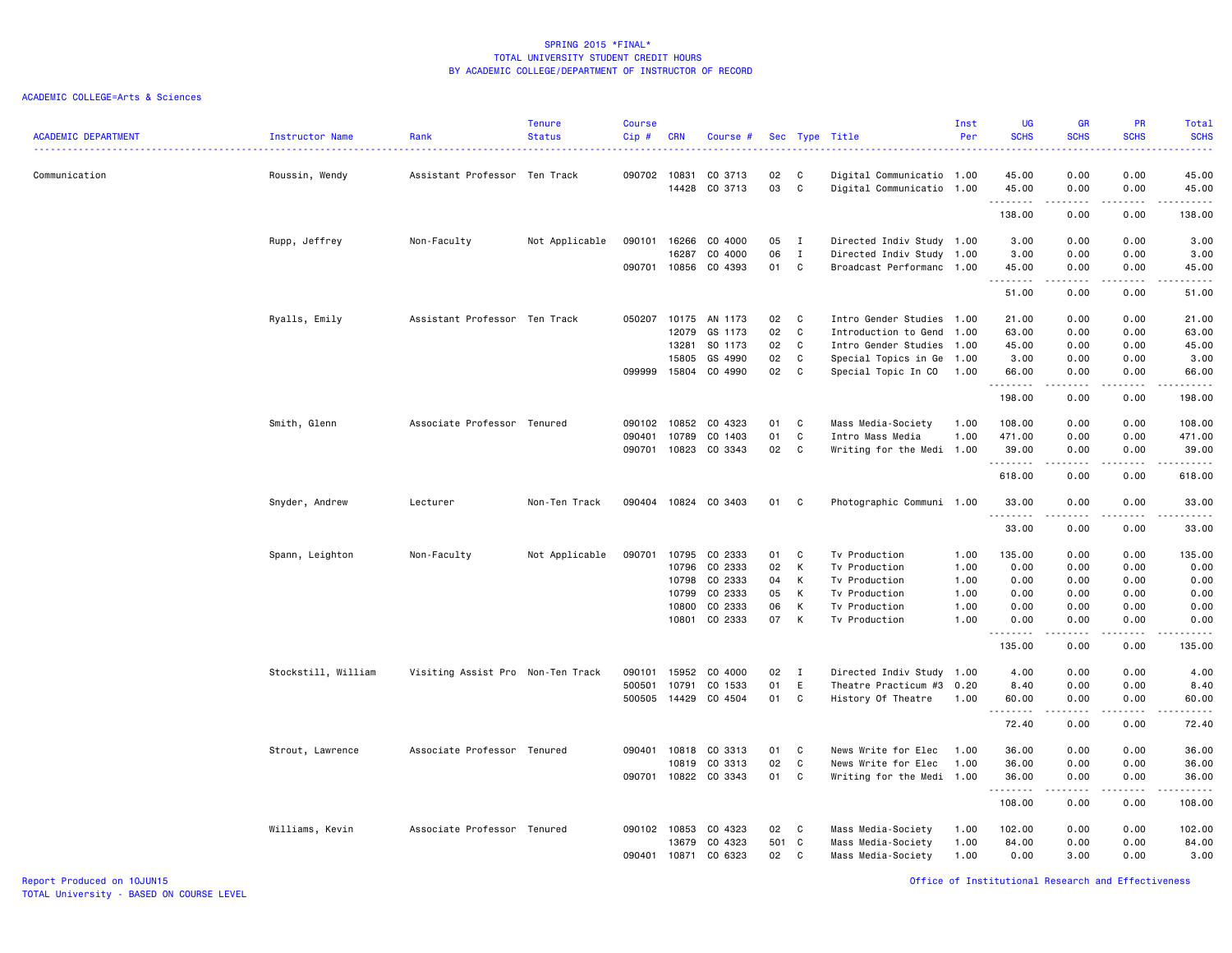| <b>ACADEMIC DEPARTMENT</b> | Instructor Name     | Rank                              | <b>Tenure</b><br><b>Status</b> | <b>Course</b><br>Cip# | <b>CRN</b>     | Course #           |          |                   | Sec Type Title                                         | Inst<br>Per | <b>UG</b><br><b>SCHS</b> | <b>GR</b><br><b>SCHS</b>                                                                                                | <b>PR</b><br><b>SCHS</b> | Total<br><b>SCHS</b>                                                                                                                                          |
|----------------------------|---------------------|-----------------------------------|--------------------------------|-----------------------|----------------|--------------------|----------|-------------------|--------------------------------------------------------|-------------|--------------------------|-------------------------------------------------------------------------------------------------------------------------|--------------------------|---------------------------------------------------------------------------------------------------------------------------------------------------------------|
|                            |                     | .                                 |                                |                       |                |                    |          |                   |                                                        |             | .                        |                                                                                                                         | $- - -$                  | .                                                                                                                                                             |
| Communication              | Roussin, Wendy      | Assistant Professor Ten Track     |                                | 090702                | 10831<br>14428 | CO 3713<br>CO 3713 | 02<br>03 | C<br>C            | Digital Communicatio 1.00<br>Digital Communicatio 1.00 |             | 45.00<br>45.00<br>.      | 0.00<br>0.00<br>-----                                                                                                   | 0.00<br>0.00<br>.        | 45.00<br>45.00<br>.                                                                                                                                           |
|                            |                     |                                   |                                |                       |                |                    |          |                   |                                                        |             | 138.00                   | 0.00                                                                                                                    | 0.00                     | 138.00                                                                                                                                                        |
|                            | Rupp, Jeffrey       | Non-Faculty                       | Not Applicable                 | 090101                | 16266<br>16287 | CO 4000<br>CO 4000 | 05<br>06 | $\mathbf{I}$      | Directed Indiv Study 1.00                              |             | 3.00<br>3.00             | 0.00<br>0.00                                                                                                            | 0.00<br>0.00             | 3.00<br>3.00                                                                                                                                                  |
|                            |                     |                                   |                                | 090701 10856          |                | CO 4393            | 01       | $\mathbf{I}$<br>C | Directed Indiv Study 1.00<br>Broadcast Performanc 1.00 |             | 45.00                    | 0.00<br>-----                                                                                                           | 0.00<br>.                | 45.00<br>$\frac{1}{2} \left( \frac{1}{2} \right) \left( \frac{1}{2} \right) \left( \frac{1}{2} \right) \left( \frac{1}{2} \right) \left( \frac{1}{2} \right)$ |
|                            |                     |                                   |                                |                       |                |                    |          |                   |                                                        |             | .<br>51.00               | 0.00                                                                                                                    | 0.00                     | 51.00                                                                                                                                                         |
|                            | Ryalls, Emily       | Assistant Professor Ten Track     |                                | 050207                | 10175          | AN 1173            | 02       | C                 | Intro Gender Studies                                   | 1.00        | 21.00                    | 0.00                                                                                                                    | 0.00                     | 21.00                                                                                                                                                         |
|                            |                     |                                   |                                |                       | 12079          | GS 1173            | 02       | C                 | Introduction to Gend                                   | 1.00        | 63.00                    | 0.00                                                                                                                    | 0.00                     | 63.00                                                                                                                                                         |
|                            |                     |                                   |                                |                       | 13281          | SO 1173            | 02       | $\mathbf{C}$      | Intro Gender Studies 1.00                              |             | 45.00                    | 0.00                                                                                                                    | 0.00                     | 45.00                                                                                                                                                         |
|                            |                     |                                   |                                |                       | 15805          | GS 4990            | 02       | C                 | Special Topics in Ge                                   | 1.00        | 3.00                     | 0.00                                                                                                                    | 0.00                     | 3.00                                                                                                                                                          |
|                            |                     |                                   |                                | 099999                | 15804          | CO 4990            | 02       | C                 | Special Topic In CO                                    | 1.00        | 66.00<br>.               | 0.00<br>.                                                                                                               | 0.00<br>.                | 66.00<br>.                                                                                                                                                    |
|                            |                     |                                   |                                |                       |                |                    |          |                   |                                                        |             | 198.00                   | 0.00                                                                                                                    | 0.00                     | 198.00                                                                                                                                                        |
|                            | Smith, Glenn        | Associate Professor Tenured       |                                | 090102                | 10852          | CO 4323            | 01       | C                 | Mass Media-Society                                     | 1.00        | 108.00                   | 0.00                                                                                                                    | 0.00                     | 108.00                                                                                                                                                        |
|                            |                     |                                   |                                | 090401                | 10789          | CO 1403            | 01       | C                 | Intro Mass Media                                       | 1.00        | 471.00                   | 0.00                                                                                                                    | 0.00                     | 471.00                                                                                                                                                        |
|                            |                     |                                   |                                | 090701                | 10823          | CO 3343            | 02       | C                 | Writing for the Medi 1.00                              |             | 39.00<br>--------        | 0.00<br>$\begin{array}{cccccccccccccc} \bullet & \bullet & \bullet & \bullet & \bullet & \bullet & \bullet \end{array}$ | 0.00<br>.                | 39.00                                                                                                                                                         |
|                            |                     |                                   |                                |                       |                |                    |          |                   |                                                        |             | 618.00                   | 0.00                                                                                                                    | 0.00                     | 618.00                                                                                                                                                        |
|                            | Snyder, Andrew      | Lecturer                          | Non-Ten Track                  | 090404                |                | 10824 CO 3403      | 01       | C                 | Photographic Communi 1.00                              |             | 33.00<br>.               | 0.00<br>.                                                                                                               | 0.00<br>.                | 33.00<br>.                                                                                                                                                    |
|                            |                     |                                   |                                |                       |                |                    |          |                   |                                                        |             | 33.00                    | 0.00                                                                                                                    | 0.00                     | 33.00                                                                                                                                                         |
|                            | Spann, Leighton     | Non-Faculty                       | Not Applicable                 | 090701                | 10795          | CO 2333            | 01       | C                 | Tv Production                                          | 1.00        | 135.00                   | 0.00                                                                                                                    | 0.00                     | 135.00                                                                                                                                                        |
|                            |                     |                                   |                                |                       | 10796          | CO 2333            | 02       | K                 | Tv Production                                          | 1.00        | 0.00                     | 0.00                                                                                                                    | 0.00                     | 0.00                                                                                                                                                          |
|                            |                     |                                   |                                |                       | 10798          | CO 2333            | 04       | K                 | Tv Production                                          | 1.00        | 0.00                     | 0.00                                                                                                                    | 0.00                     | 0.00                                                                                                                                                          |
|                            |                     |                                   |                                |                       | 10799          | CO 2333            | 05       | K                 | Tv Production                                          | 1.00        | 0.00                     | 0.00                                                                                                                    | 0.00                     | 0.00                                                                                                                                                          |
|                            |                     |                                   |                                |                       | 10800          | CO 2333            | 06       | K                 | Tv Production                                          | 1.00        | 0.00                     | 0.00                                                                                                                    | 0.00                     | 0.00                                                                                                                                                          |
|                            |                     |                                   |                                |                       | 10801          | CO 2333            | 07       | K                 | Tv Production                                          | 1.00        | 0.00<br>.                | 0.00<br>.                                                                                                               | 0.00<br>د د د د          | 0.00<br>$\frac{1}{2} \left( \frac{1}{2} \right) \left( \frac{1}{2} \right) \left( \frac{1}{2} \right) \left( \frac{1}{2} \right) \left( \frac{1}{2} \right)$  |
|                            |                     |                                   |                                |                       |                |                    |          |                   |                                                        |             | 135.00                   | 0.00                                                                                                                    | 0.00                     | 135.00                                                                                                                                                        |
|                            | Stockstill, William | Visiting Assist Pro Non-Ten Track |                                | 090101                | 15952          | CO 4000            | 02       | $\mathbf{I}$      | Directed Indiv Study 1.00                              |             | 4.00                     | 0.00                                                                                                                    | 0.00                     | 4.00                                                                                                                                                          |
|                            |                     |                                   |                                | 500501                | 10791          | CO 1533            | 01       | E                 | Theatre Practicum #3                                   | 0.20        | 8.40                     | 0.00                                                                                                                    | 0.00                     | 8.40                                                                                                                                                          |
|                            |                     |                                   |                                | 500505                | 14429          | CO 4504            | 01       | C                 | History Of Theatre                                     | 1.00        | 60.00<br>.               | 0.00<br>.                                                                                                               | 0.00<br>$\frac{1}{2}$    | 60.00<br>$    -$                                                                                                                                              |
|                            |                     |                                   |                                |                       |                |                    |          |                   |                                                        |             | 72.40                    | 0.00                                                                                                                    | 0.00                     | 72.40                                                                                                                                                         |
|                            | Strout, Lawrence    | Associate Professor Tenured       |                                | 090401                | 10818          | CO 3313            | 01       | C                 | News Write for Elec                                    | 1.00        | 36.00                    | 0.00                                                                                                                    | 0.00                     | 36.00                                                                                                                                                         |
|                            |                     |                                   |                                |                       | 10819          | CO 3313            | 02       | C                 | News Write for Elec                                    | 1.00        | 36.00                    | 0.00                                                                                                                    | 0.00                     | 36.00                                                                                                                                                         |
|                            |                     |                                   |                                | 090701                | 10822          | CO 3343            | 01       | C                 | Writing for the Medi 1.00                              |             | 36.00<br>.               | 0.00                                                                                                                    | 0.00                     | 36.00<br>.                                                                                                                                                    |
|                            |                     |                                   |                                |                       |                |                    |          |                   |                                                        |             | 108.00                   | 0.00                                                                                                                    | 0.00                     | 108.00                                                                                                                                                        |
|                            | Williams, Kevin     | Associate Professor Tenured       |                                | 090102 10853          |                | CO 4323            | 02       | C.                | Mass Media-Society                                     | 1.00        | 102.00                   | 0.00                                                                                                                    | 0.00                     | 102.00                                                                                                                                                        |
|                            |                     |                                   |                                |                       | 13679          | CO 4323            | 501 C    |                   | Mass Media-Society                                     | 1.00        | 84.00                    | 0.00                                                                                                                    | 0.00                     | 84.00                                                                                                                                                         |
|                            |                     |                                   |                                | 090401                | 10871          | CO 6323            | 02       | C                 | Mass Media-Society                                     | 1.00        | 0.00                     | 3.00                                                                                                                    | 0.00                     | 3.00                                                                                                                                                          |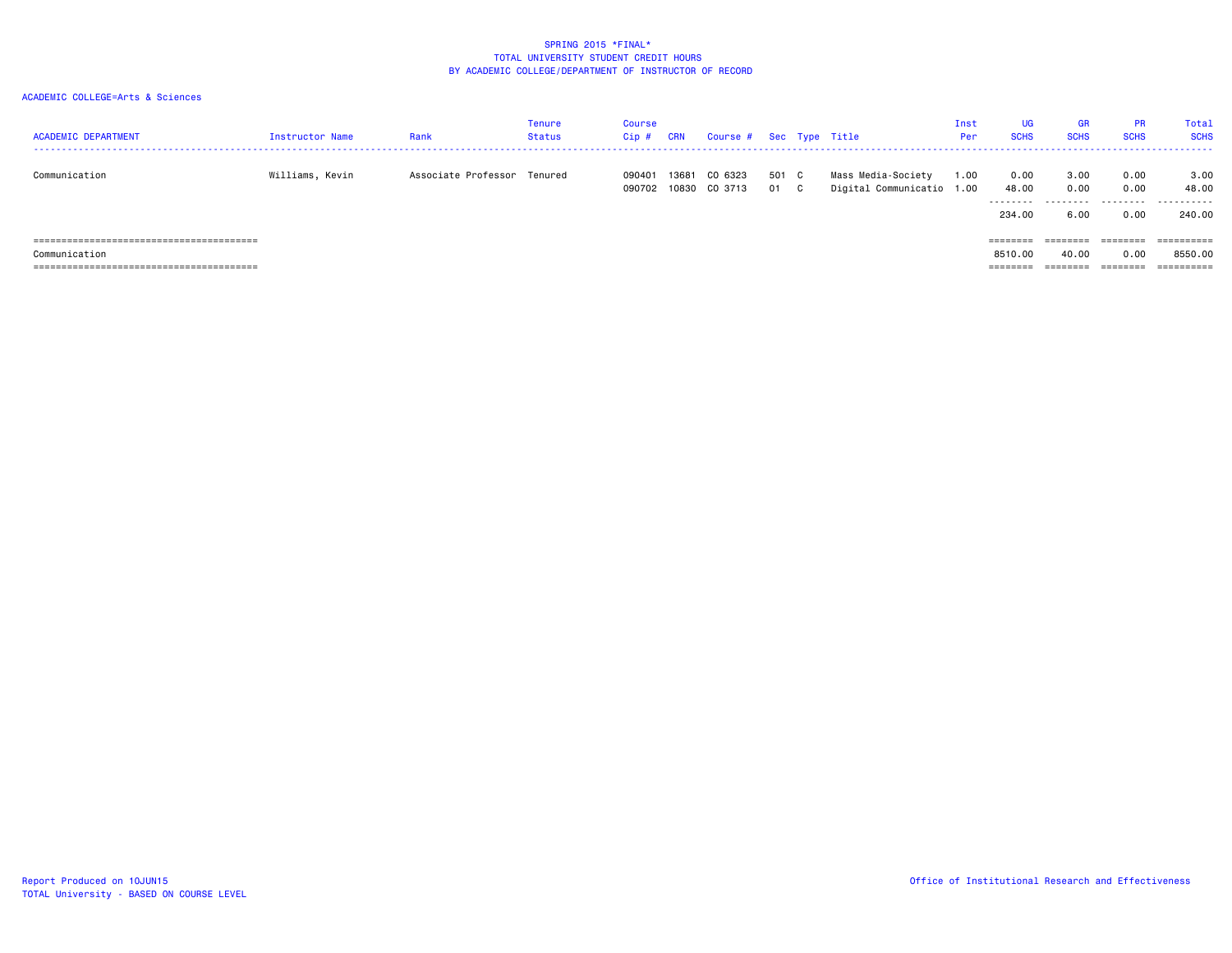| <b>ACADEMIC DEPARTMENT</b> | <b>Instructor Name</b> | Rank                        | Tenure<br>Status | Course<br>$Cip$ # | <b>CRN</b>     | Course # Sec Type Title |             |                                                 | Inst<br>Per | <b>UG</b><br><b>SCHS</b>     | <b>GR</b><br><b>SCHS</b>          | <b>PR</b><br><b>SCHS</b>  | Total<br><b>SCHS</b>         |
|----------------------------|------------------------|-----------------------------|------------------|-------------------|----------------|-------------------------|-------------|-------------------------------------------------|-------------|------------------------------|-----------------------------------|---------------------------|------------------------------|
| Communication              | Williams, Kevin        | Associate Professor Tenured |                  | 090401<br>090702  | 13681<br>10830 | CO 6323<br>CO 3713      | 501 C<br>01 | Mass Media-Society<br>Digital Communicatio 1.00 | 1.00        | 0.00<br>48.00<br>.<br>234.00 | 3.00<br>0.00<br>---------<br>6.00 | 0.00<br>0.00<br>.<br>0.00 | 3.00<br>48.00<br>.<br>240.00 |
|                            |                        |                             |                  |                   |                |                         |             |                                                 |             | ========                     | --------                          | eeeeeee                   | ==========                   |
| Communication              |                        |                             |                  |                   |                |                         |             |                                                 |             | 8510.00                      | 40.00                             | 0.00                      | 8550.00                      |
|                            |                        |                             |                  |                   |                |                         |             |                                                 |             | ========                     | ========                          | ========                  | ==========                   |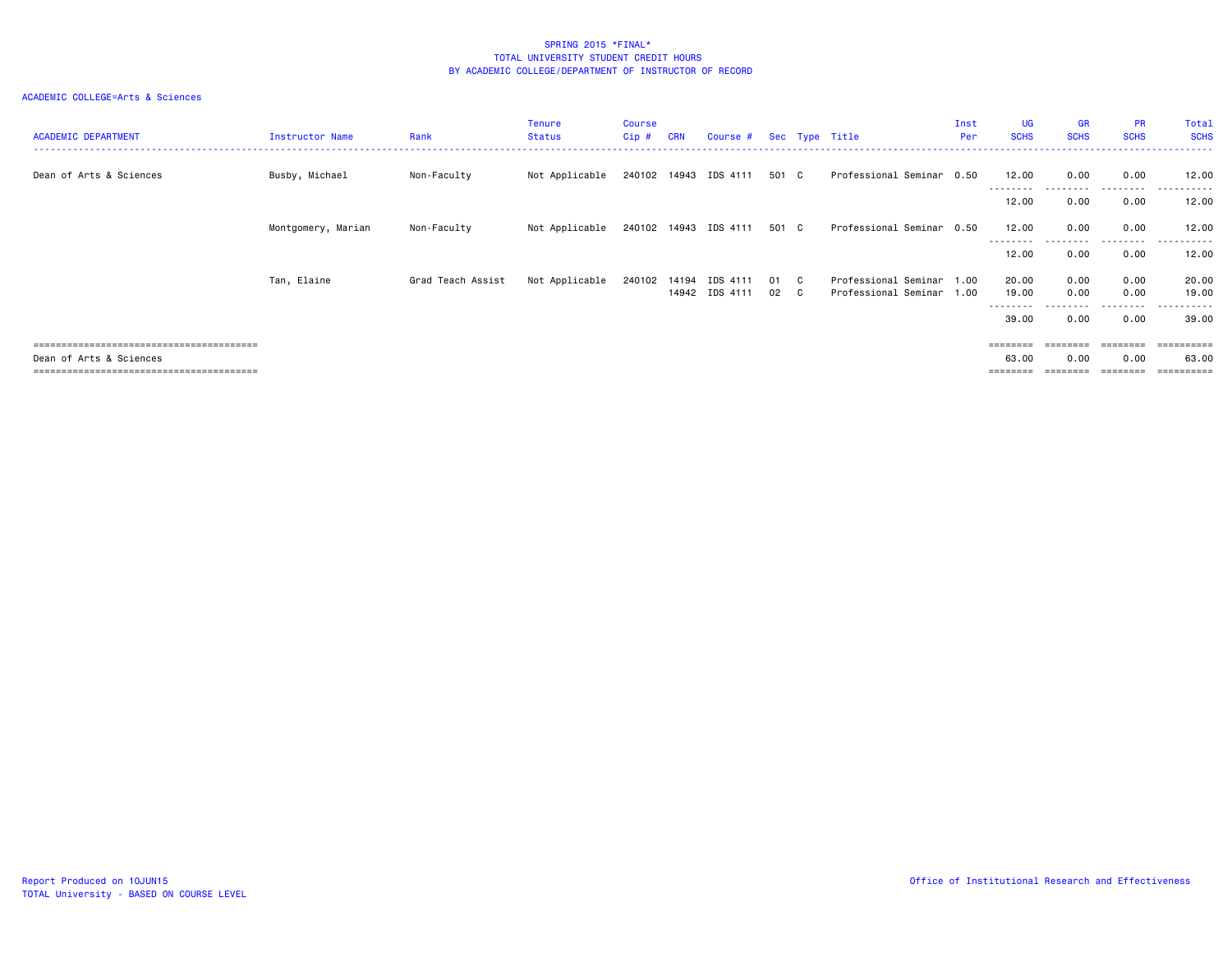| <b>ACADEMIC DEPARTMENT</b> | Instructor Name    | Rank              | <b>Tenure</b><br><b>Status</b> | Course<br>$Cip$ # | <b>CRN</b> | Course #                   |              | Sec Type Title                                    | Inst<br>Per | <b>UG</b><br><b>SCHS</b> | <b>GR</b><br><b>SCHS</b> | <b>PR</b><br><b>SCHS</b> | Total<br><b>SCHS</b> |
|----------------------------|--------------------|-------------------|--------------------------------|-------------------|------------|----------------------------|--------------|---------------------------------------------------|-------------|--------------------------|--------------------------|--------------------------|----------------------|
| Dean of Arts & Sciences    | Busby, Michael     | Non-Faculty       | Not Applicable                 |                   |            | 240102 14943 IDS 4111      | 501 C        | Professional Seminar 0.50                         |             | 12.00                    | 0.00                     | 0.00                     | 12.00<br>------      |
|                            |                    |                   |                                |                   |            |                            |              |                                                   |             | ---------<br>12.00       | 0.00                     | 0.00                     | 12.00                |
|                            | Montgomery, Marian | Non-Faculty       | Not Applicable                 |                   |            | 240102 14943 IDS 4111      | 501 C        | Professional Seminar 0.50                         |             | 12.00                    | 0.00                     | 0.00<br>---------        | 12.00<br>------      |
|                            |                    |                   |                                |                   |            |                            |              |                                                   |             | 12.00                    | 0.00                     | 0.00                     | 12.00                |
|                            | Tan, Elaine        | Grad Teach Assist | Not Applicable                 | 240102            | 14194      | IDS 4111<br>14942 IDS 4111 | 01 C<br>02 C | Professional Seminar 1.00<br>Professional Seminar | 1.00        | 20.00<br>19.00           | 0.00<br>0.00             | 0.00<br>0.00             | 20.00<br>19.00       |
|                            |                    |                   |                                |                   |            |                            |              |                                                   |             | ---------<br>39.00       | .<br>0.00                | .<br>0.00                | .<br>39.00           |
|                            |                    |                   |                                |                   |            |                            |              |                                                   |             | $=$ = = = = = = =        |                          |                          | =========            |
| Dean of Arts & Sciences    |                    |                   |                                |                   |            |                            |              |                                                   |             | 63.00                    | 0.00                     | 0.00                     | 63.00<br>----------- |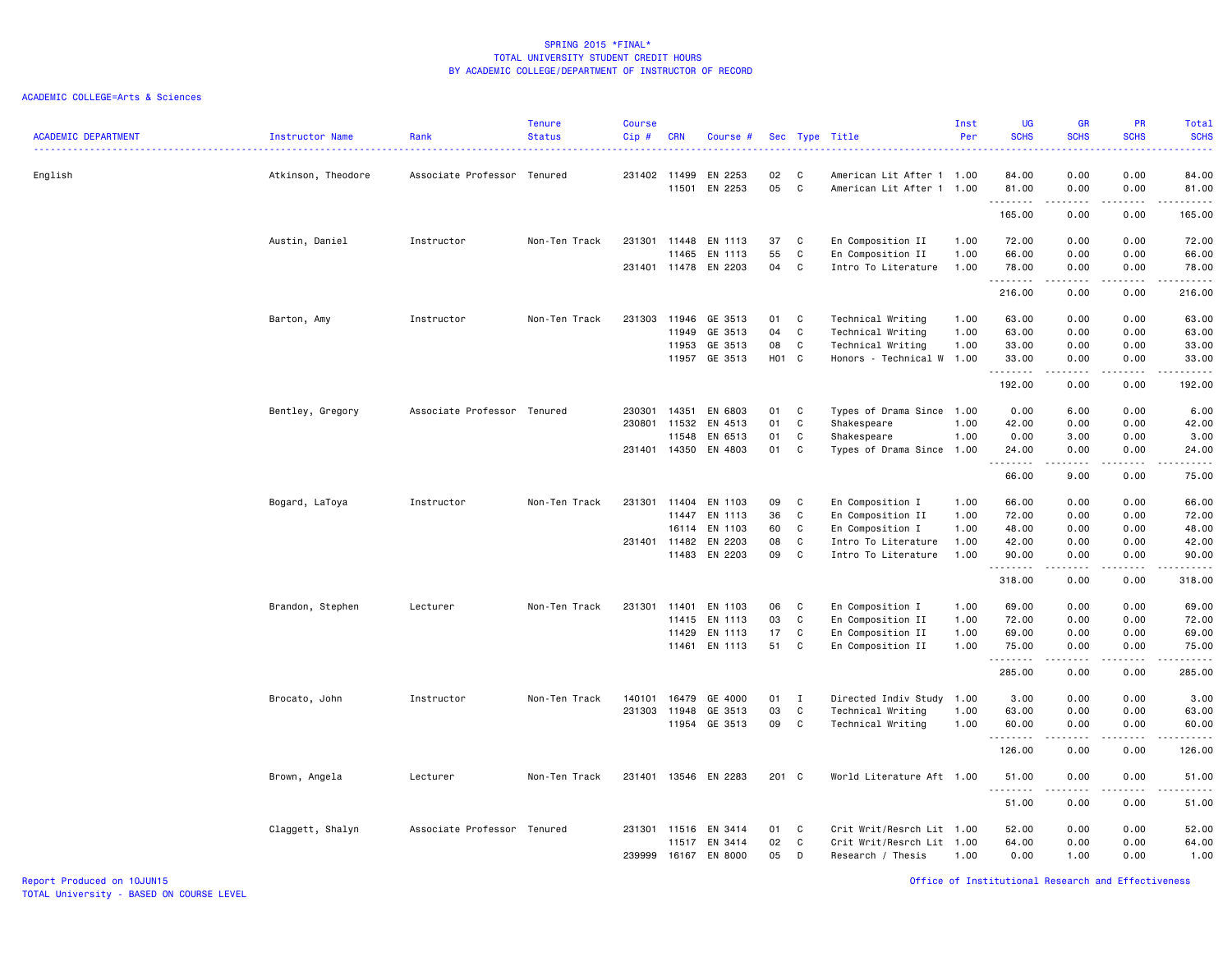|                            |                    |                             | <b>Tenure</b> | <b>Course</b> |                       |                      |                   |                |                                            | Inst         | UG                | <b>GR</b>                                                                                                                                                                                                                                                                                                                                    | PR                | <b>Total</b>                                                                                                                                                  |
|----------------------------|--------------------|-----------------------------|---------------|---------------|-----------------------|----------------------|-------------------|----------------|--------------------------------------------|--------------|-------------------|----------------------------------------------------------------------------------------------------------------------------------------------------------------------------------------------------------------------------------------------------------------------------------------------------------------------------------------------|-------------------|---------------------------------------------------------------------------------------------------------------------------------------------------------------|
| <b>ACADEMIC DEPARTMENT</b> | Instructor Name    | Rank                        | <b>Status</b> | Cip#          | <b>CRN</b>            | Course #             | Sec               |                | Type Title                                 | Per          | <b>SCHS</b>       | <b>SCHS</b>                                                                                                                                                                                                                                                                                                                                  | <b>SCHS</b>       | <b>SCHS</b>                                                                                                                                                   |
| English                    | Atkinson, Theodore | Associate Professor Tenured |               |               | 231402 11499          | EN 2253              | 02                | C <sub>c</sub> | American Lit After 1 1.00                  |              | 84.00             | 0.00                                                                                                                                                                                                                                                                                                                                         | 0.00              | 84.00                                                                                                                                                         |
|                            |                    |                             |               |               | 11501                 | EN 2253              | 05                | C              | American Lit After 1 1.00                  |              | 81.00<br>.        | 0.00<br>.                                                                                                                                                                                                                                                                                                                                    | 0.00<br>.         | 81.00<br>.                                                                                                                                                    |
|                            |                    |                             |               |               |                       |                      |                   |                |                                            |              | 165.00            | 0.00                                                                                                                                                                                                                                                                                                                                         | 0.00              | 165.00                                                                                                                                                        |
|                            | Austin, Daniel     | Instructor                  | Non-Ten Track | 231301        | 11448                 | EN 1113              | 37                | C              | En Composition II                          | 1.00         | 72.00             | 0.00                                                                                                                                                                                                                                                                                                                                         | 0.00              | 72.00                                                                                                                                                         |
|                            |                    |                             |               |               | 11465                 | EN 1113              | 55                | C              | En Composition II                          | 1.00         | 66.00             | 0.00                                                                                                                                                                                                                                                                                                                                         | 0.00              | 66.00                                                                                                                                                         |
|                            |                    |                             |               |               |                       | 231401 11478 EN 2203 | 04                | C              | Intro To Literature                        | 1.00         | 78.00<br>.        | 0.00<br>$\frac{1}{2} \left( \begin{array}{ccc} 1 & 0 & 0 & 0 \\ 0 & 0 & 0 & 0 \\ 0 & 0 & 0 & 0 \\ 0 & 0 & 0 & 0 \\ 0 & 0 & 0 & 0 \\ 0 & 0 & 0 & 0 \\ 0 & 0 & 0 & 0 \\ 0 & 0 & 0 & 0 \\ 0 & 0 & 0 & 0 \\ 0 & 0 & 0 & 0 \\ 0 & 0 & 0 & 0 & 0 \\ 0 & 0 & 0 & 0 & 0 \\ 0 & 0 & 0 & 0 & 0 \\ 0 & 0 & 0 & 0 & 0 \\ 0 & 0 & 0 & 0 & 0 \\ 0 & 0 & 0$ | 0.00<br>.         | 78.00<br>------                                                                                                                                               |
|                            |                    |                             |               |               |                       |                      |                   |                |                                            |              | 216.00            | 0.00                                                                                                                                                                                                                                                                                                                                         | 0.00              | 216.00                                                                                                                                                        |
|                            | Barton, Amy        | Instructor                  | Non-Ten Track | 231303        | 11946                 | GE 3513              | 01                | C              | Technical Writing                          | 1.00         | 63.00             | 0.00                                                                                                                                                                                                                                                                                                                                         | 0.00              | 63.00                                                                                                                                                         |
|                            |                    |                             |               |               | 11949                 | GE 3513              | 04                | C              | Technical Writing                          | 1.00         | 63.00             | 0.00                                                                                                                                                                                                                                                                                                                                         | 0.00              | 63.00                                                                                                                                                         |
|                            |                    |                             |               |               | 11953                 | GE 3513              | 08                | C              | Technical Writing                          | 1.00         | 33.00             | 0.00                                                                                                                                                                                                                                                                                                                                         | 0.00              | 33.00                                                                                                                                                         |
|                            |                    |                             |               |               | 11957                 | GE 3513              | H <sub>01</sub> C |                | Honors - Technical W 1.00                  |              | 33.00<br><u>.</u> | 0.00<br>.                                                                                                                                                                                                                                                                                                                                    | 0.00<br>.         | 33.00<br>.                                                                                                                                                    |
|                            |                    |                             |               |               |                       |                      |                   |                |                                            |              | 192.00            | 0.00                                                                                                                                                                                                                                                                                                                                         | 0.00              | 192.00                                                                                                                                                        |
|                            | Bentley, Gregory   | Associate Professor Tenured |               | 230301        | 14351                 | EN 6803              | 01                | C.             | Types of Drama Since 1.00                  |              | 0.00              | 6.00                                                                                                                                                                                                                                                                                                                                         | 0.00              | 6.00                                                                                                                                                          |
|                            |                    |                             |               | 230801        | 11532                 | EN 4513              | 01                | C              | Shakespeare                                | 1.00         | 42.00             | 0.00                                                                                                                                                                                                                                                                                                                                         | 0.00              | 42.00                                                                                                                                                         |
|                            |                    |                             |               |               | 11548                 | EN 6513              | 01                | C              | Shakespeare                                | 1.00         | 0.00              | 3.00                                                                                                                                                                                                                                                                                                                                         | 0.00              | 3.00                                                                                                                                                          |
|                            |                    |                             |               |               | 231401 14350          | EN 4803              | 01                | C              | Types of Drama Since 1.00                  |              | 24.00<br>.        | 0.00<br>.                                                                                                                                                                                                                                                                                                                                    | 0.00<br>$- - - -$ | 24.00<br>-----                                                                                                                                                |
|                            |                    |                             |               |               |                       |                      |                   |                |                                            |              | 66.00             | 9.00                                                                                                                                                                                                                                                                                                                                         | 0.00              | 75.00                                                                                                                                                         |
|                            | Bogard, LaToya     | Instructor                  | Non-Ten Track | 231301        | 11404                 | EN 1103              | 09                | C              | En Composition I                           | 1.00         | 66.00             | 0.00                                                                                                                                                                                                                                                                                                                                         | 0.00              | 66.00                                                                                                                                                         |
|                            |                    |                             |               |               | 11447                 | EN 1113              | 36                | C              | En Composition II                          | 1.00         | 72.00             | 0.00                                                                                                                                                                                                                                                                                                                                         | 0.00              | 72.00                                                                                                                                                         |
|                            |                    |                             |               |               | 16114                 | EN 1103              | 60                | C              | En Composition I                           | 1.00         | 48.00             | 0.00                                                                                                                                                                                                                                                                                                                                         | 0.00              | 48.00                                                                                                                                                         |
|                            |                    |                             |               |               | 231401 11482<br>11483 | EN 2203<br>EN 2203   | 08<br>09          | C<br>C         | Intro To Literature<br>Intro To Literature | 1.00<br>1.00 | 42.00<br>90.00    | 0.00<br>0.00                                                                                                                                                                                                                                                                                                                                 | 0.00<br>0.00      | 42.00<br>90.00                                                                                                                                                |
|                            |                    |                             |               |               |                       |                      |                   |                |                                            |              | .                 | .                                                                                                                                                                                                                                                                                                                                            | $\frac{1}{2}$     | .                                                                                                                                                             |
|                            |                    |                             |               |               |                       |                      |                   |                |                                            |              | 318.00            | 0.00                                                                                                                                                                                                                                                                                                                                         | 0.00              | 318.00                                                                                                                                                        |
|                            | Brandon, Stephen   | Lecturer                    | Non-Ten Track | 231301        | 11401                 | EN 1103              | 06                | C              | En Composition I                           | 1.00         | 69.00             | 0.00                                                                                                                                                                                                                                                                                                                                         | 0.00              | 69.00                                                                                                                                                         |
|                            |                    |                             |               |               | 11415                 | EN 1113              | 03                | C              | En Composition II                          | 1.00         | 72.00             | 0.00                                                                                                                                                                                                                                                                                                                                         | 0.00              | 72.00                                                                                                                                                         |
|                            |                    |                             |               |               | 11429                 | EN 1113              | 17                | C              | En Composition II                          | 1.00         | 69.00             | 0.00                                                                                                                                                                                                                                                                                                                                         | 0.00              | 69.00                                                                                                                                                         |
|                            |                    |                             |               |               |                       | 11461 EN 1113        | 51                | C              | En Composition II                          | 1.00         | 75.00<br>.        | 0.00<br>.                                                                                                                                                                                                                                                                                                                                    | 0.00<br>.         | 75.00<br>.                                                                                                                                                    |
|                            |                    |                             |               |               |                       |                      |                   |                |                                            |              | 285.00            | 0.00                                                                                                                                                                                                                                                                                                                                         | 0.00              | 285.00                                                                                                                                                        |
|                            | Brocato, John      | Instructor                  | Non-Ten Track | 140101        | 16479                 | GE 4000              | 01                | I              | Directed Indiv Study 1.00                  |              | 3.00              | 0.00                                                                                                                                                                                                                                                                                                                                         | 0.00              | 3.00                                                                                                                                                          |
|                            |                    |                             |               | 231303        | 11948                 | GE 3513              | 03                | C              | Technical Writing                          | 1.00         | 63.00             | 0.00                                                                                                                                                                                                                                                                                                                                         | 0.00              | 63.00                                                                                                                                                         |
|                            |                    |                             |               |               |                       | 11954 GE 3513        | 09                | C              | Technical Writing                          | 1.00         | 60.00<br>.        | 0.00<br>$- - - - -$                                                                                                                                                                                                                                                                                                                          | 0.00<br>.         | 60.00<br>.                                                                                                                                                    |
|                            |                    |                             |               |               |                       |                      |                   |                |                                            |              | 126.00            | 0.00                                                                                                                                                                                                                                                                                                                                         | 0.00              | 126.00                                                                                                                                                        |
|                            | Brown, Angela      | Lecturer                    | Non-Ten Track | 231401        | 13546                 | EN 2283              | 201 C             |                | World Literature Aft 1.00                  |              | 51.00             | 0.00                                                                                                                                                                                                                                                                                                                                         | 0.00              | 51.00                                                                                                                                                         |
|                            |                    |                             |               |               |                       |                      |                   |                |                                            |              | .<br>51.00        | 0.00                                                                                                                                                                                                                                                                                                                                         | 0.00              | $\frac{1}{2} \left( \frac{1}{2} \right) \left( \frac{1}{2} \right) \left( \frac{1}{2} \right) \left( \frac{1}{2} \right) \left( \frac{1}{2} \right)$<br>51.00 |
|                            | Claggett, Shalyn   | Associate Professor Tenured |               | 231301        | 11516                 | EN 3414              | 01                | C              | Crit Writ/Resrch Lit 1.00                  |              | 52.00             | 0.00                                                                                                                                                                                                                                                                                                                                         | 0.00              | 52.00                                                                                                                                                         |
|                            |                    |                             |               |               | 11517                 | EN 3414              | 02                | C              | Crit Writ/Resrch Lit 1.00                  |              | 64.00             | 0.00                                                                                                                                                                                                                                                                                                                                         | 0.00              | 64.00                                                                                                                                                         |
|                            |                    |                             |               | 239999        |                       | 16167 EN 8000        | 05                | D              | Research / Thesis                          | 1.00         | 0.00              | 1.00                                                                                                                                                                                                                                                                                                                                         | 0.00              | 1.00                                                                                                                                                          |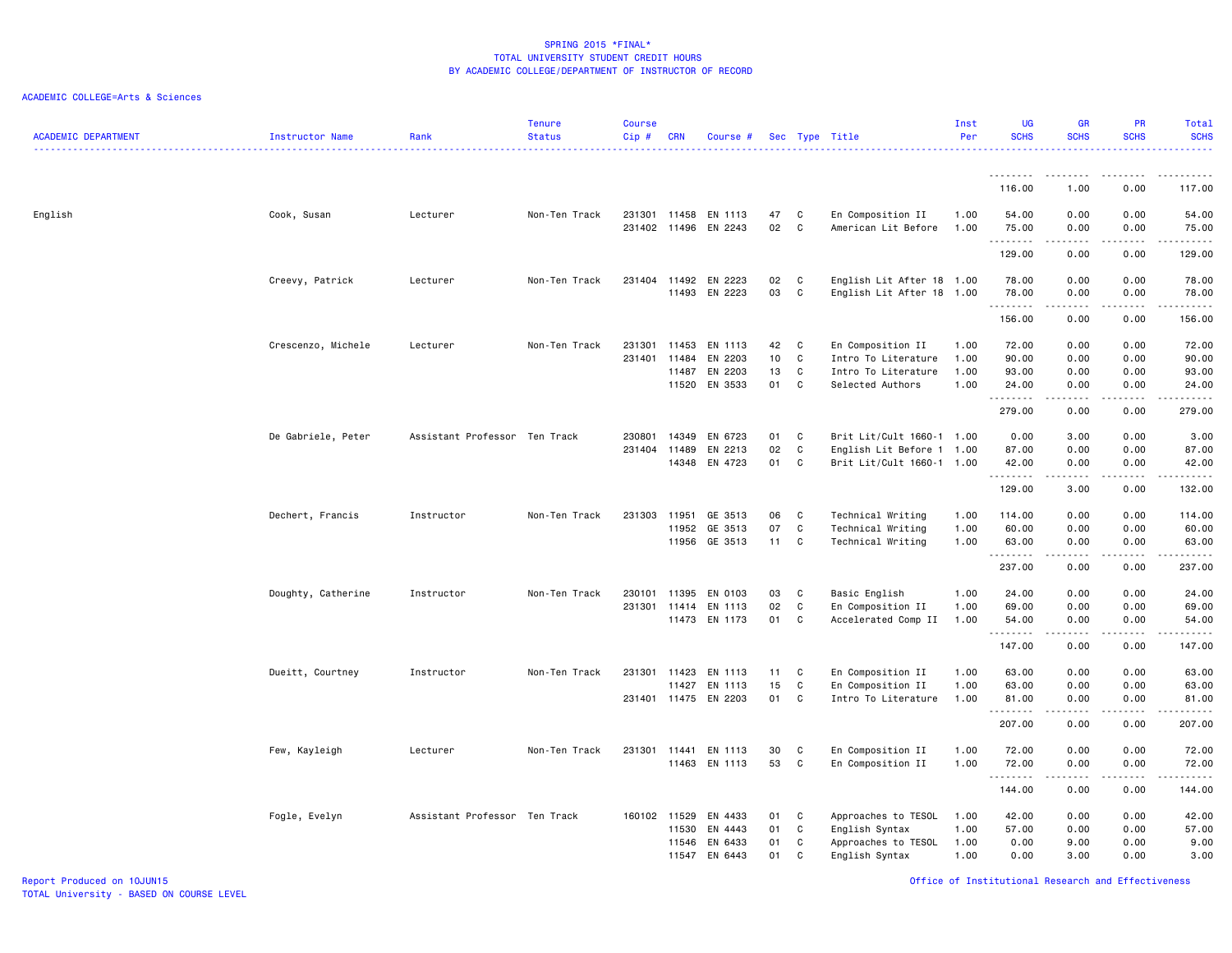# ACADEMIC COLLEGE=Arts & Sciences

| <b>ACADEMIC DEPARTMENT</b> | Instructor Name    | Rank                          | <b>Tenure</b><br><b>Status</b> | <b>Course</b><br>Cip#  | <b>CRN</b>              | Course #                                       |                      |                             | Sec Type Title                                                                      | Inst<br>Per                  | <b>UG</b><br><b>SCHS</b>         | <b>GR</b><br><b>SCHS</b>          | <b>PR</b><br><b>SCHS</b>                                                                                                                          | Total<br><b>SCHS</b><br>.        |
|----------------------------|--------------------|-------------------------------|--------------------------------|------------------------|-------------------------|------------------------------------------------|----------------------|-----------------------------|-------------------------------------------------------------------------------------|------------------------------|----------------------------------|-----------------------------------|---------------------------------------------------------------------------------------------------------------------------------------------------|----------------------------------|
|                            |                    |                               |                                |                        |                         |                                                |                      |                             |                                                                                     |                              |                                  |                                   |                                                                                                                                                   |                                  |
|                            |                    |                               |                                |                        |                         |                                                |                      |                             |                                                                                     |                              | 116.00                           | 1.00                              | 0.00                                                                                                                                              | 117.00                           |
| English                    | Cook, Susan        | Lecturer                      | Non-Ten Track                  | 231301                 | 11458                   | EN 1113<br>231402 11496 EN 2243                | 47<br>02             | $\mathbf{C}$<br>C           | En Composition II<br>American Lit Before                                            | 1.00<br>1.00                 | 54.00<br>75.00<br>.              | 0.00<br>0.00<br>د د د د           | 0.00<br>0.00<br>.                                                                                                                                 | 54.00<br>75.00<br>.              |
|                            |                    |                               |                                |                        |                         |                                                |                      |                             |                                                                                     |                              | 129.00                           | 0.00                              | 0.00                                                                                                                                              | 129.00                           |
|                            | Creevy, Patrick    | Lecturer                      | Non-Ten Track                  | 231404                 | 11492<br>11493          | EN 2223<br>EN 2223                             | 02<br>03             | C<br>C                      | English Lit After 18 1.00<br>English Lit After 18 1.00                              |                              | 78.00<br>78.00<br>.              | 0.00<br>0.00                      | 0.00<br>0.00                                                                                                                                      | 78.00<br>78.00<br>المتمامين      |
|                            |                    |                               |                                |                        |                         |                                                |                      |                             |                                                                                     |                              | 156.00                           | 0.00                              | 0.00                                                                                                                                              | 156.00                           |
|                            | Crescenzo, Michele | Lecturer                      | Non-Ten Track                  | 231301<br>231401       | 11453<br>11484<br>11487 | EN 1113<br>EN 2203<br>EN 2203<br>11520 EN 3533 | 42<br>10<br>13<br>01 | C<br>C<br>C<br>$\mathbf{C}$ | En Composition II<br>Intro To Literature<br>Intro To Literature<br>Selected Authors | 1.00<br>1.00<br>1.00<br>1.00 | 72.00<br>90.00<br>93.00<br>24.00 | 0.00<br>0.00<br>0.00<br>0.00      | 0.00<br>0.00<br>0.00<br>0.00                                                                                                                      | 72.00<br>90.00<br>93.00<br>24.00 |
|                            |                    |                               |                                |                        |                         |                                                |                      |                             |                                                                                     |                              | .<br>279.00                      | 0.00                              | .<br>0.00                                                                                                                                         | .<br>279.00                      |
|                            | De Gabriele, Peter | Assistant Professor Ten Track |                                | 230801<br>231404 11489 | 14349                   | EN 6723<br>EN 2213<br>14348 EN 4723            | 01<br>02<br>01       | C<br>C<br>C                 | Brit Lit/Cult 1660-1 1.00<br>English Lit Before 1 1.00<br>Brit Lit/Cult 1660-1 1.00 |                              | 0.00<br>87.00<br>42.00<br>.      | 3.00<br>0.00<br>0.00<br>$- - - -$ | 0.00<br>0.00<br>0.00<br>$\frac{1}{2} \left( \frac{1}{2} \right) \left( \frac{1}{2} \right) \left( \frac{1}{2} \right) \left( \frac{1}{2} \right)$ | 3.00<br>87.00<br>42.00<br>.      |
|                            |                    |                               |                                |                        |                         |                                                |                      |                             |                                                                                     |                              | 129.00                           | 3.00                              | 0.00                                                                                                                                              | 132.00                           |
|                            | Dechert, Francis   | Instructor                    | Non-Ten Track                  | 231303                 | 11951<br>11952          | GE 3513<br>GE 3513<br>11956 GE 3513            | 06<br>07<br>11       | C<br>C<br>C                 | Technical Writing<br>Technical Writing<br>Technical Writing                         | 1.00<br>1.00<br>1.00         | 114.00<br>60.00<br>63.00         | 0.00<br>0.00<br>0.00              | 0.00<br>0.00<br>0.00                                                                                                                              | 114.00<br>60.00<br>63.00         |
|                            |                    |                               |                                |                        |                         |                                                |                      |                             |                                                                                     |                              | 237.00                           | .<br>0.00                         | .<br>0.00                                                                                                                                         | .<br>237.00                      |
|                            | Doughty, Catherine | Instructor                    | Non-Ten Track                  | 230101<br>231301       | 11395<br>11414          | EN 0103<br>EN 1113<br>11473 EN 1173            | 03<br>02<br>01       | C<br>C<br>C                 | Basic English<br>En Composition II<br>Accelerated Comp II                           | 1.00<br>1.00<br>1.00         | 24.00<br>69.00<br>54.00          | 0.00<br>0.00<br>0.00              | 0.00<br>0.00<br>0.00                                                                                                                              | 24.00<br>69.00<br>54.00          |
|                            |                    |                               |                                |                        |                         |                                                |                      |                             |                                                                                     |                              | .<br>147.00                      | .<br>0.00                         | .<br>0.00                                                                                                                                         | .<br>147.00                      |
|                            | Dueitt, Courtney   | Instructor                    | Non-Ten Track                  | 231301                 | 11423<br>11427          | EN 1113<br>EN 1113<br>231401 11475 EN 2203     | 11<br>15<br>01       | C<br>C<br>$\mathbf{C}$      | En Composition II<br>En Composition II<br>Intro To Literature                       | 1.00<br>1.00<br>1.00         | 63.00<br>63.00<br>81.00          | 0.00<br>0.00<br>0.00              | 0.00<br>0.00<br>0.00                                                                                                                              | 63.00<br>63.00<br>81.00          |
|                            |                    |                               |                                |                        |                         |                                                |                      |                             |                                                                                     |                              | .<br>207.00                      | .<br>0.00                         | .<br>0.00                                                                                                                                         | .<br>207.00                      |
|                            | Few, Kayleigh      | Lecturer                      | Non-Ten Track                  |                        |                         | 231301 11441 EN 1113<br>11463 EN 1113          | 30<br>53             | C<br>C                      | En Composition II<br>En Composition II                                              | 1.00<br>1.00                 | 72.00<br>72.00                   | 0.00<br>0.00                      | 0.00<br>0.00                                                                                                                                      | 72.00<br>72.00                   |
|                            |                    |                               |                                |                        |                         |                                                |                      |                             |                                                                                     |                              | <u>.</u><br>144.00               | .<br>0.00                         | .<br>0.00                                                                                                                                         | .<br>144.00                      |
|                            | Fogle, Evelyn      | Assistant Professor Ten Track |                                | 160102 11529           | 11530<br>11546<br>11547 | EN 4433<br>EN 4443<br>EN 6433<br>EN 6443       | 01<br>01<br>01<br>01 | C<br>C<br>C<br>C            | Approaches to TESOL<br>English Syntax<br>Approaches to TESOL<br>English Syntax      | 1.00<br>1.00<br>1.00<br>1.00 | 42.00<br>57.00<br>0.00<br>0.00   | 0.00<br>0.00<br>9.00<br>3.00      | 0.00<br>0.00<br>0.00<br>0.00                                                                                                                      | 42.00<br>57.00<br>9.00<br>3.00   |

Report Produced on 10JUN15 Office of Institutional Research and Effectiveness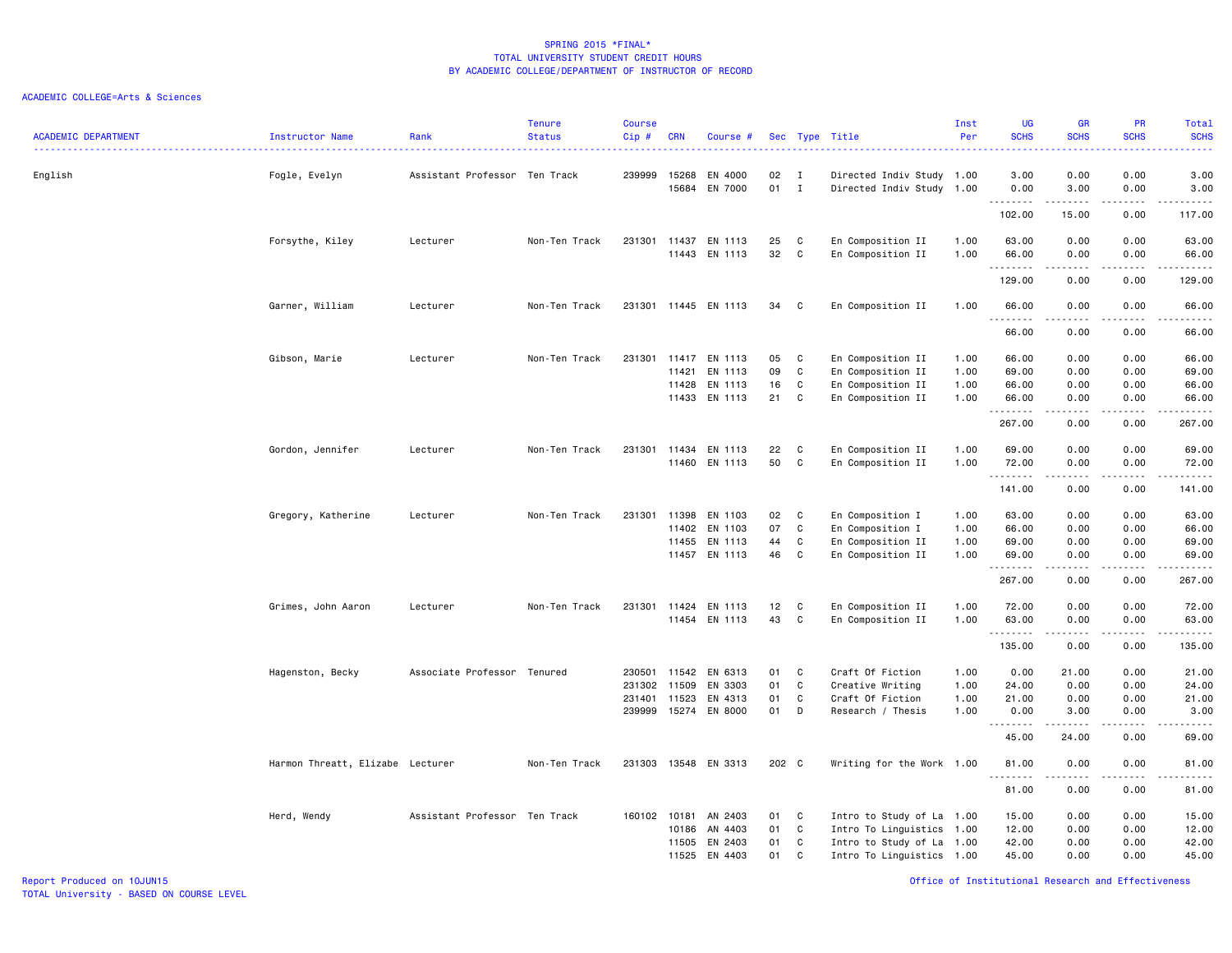| <b>ACADEMIC DEPARTMENT</b> | Instructor Name                  | Rank                          | <b>Tenure</b><br><b>Status</b> | Course<br>Cip# | <b>CRN</b> | Course #             |                 |              | Sec Type Title            | Inst<br>Per | <b>UG</b><br><b>SCHS</b> | <b>GR</b><br><b>SCHS</b>                                                                                                                                     | PR<br><b>SCHS</b>                   | <b>Total</b><br><b>SCHS</b>                                                                                               |
|----------------------------|----------------------------------|-------------------------------|--------------------------------|----------------|------------|----------------------|-----------------|--------------|---------------------------|-------------|--------------------------|--------------------------------------------------------------------------------------------------------------------------------------------------------------|-------------------------------------|---------------------------------------------------------------------------------------------------------------------------|
|                            |                                  |                               |                                |                |            |                      |                 |              |                           |             | د د د د                  |                                                                                                                                                              | وبالاناداد                          | $\frac{1}{2} \left( \frac{1}{2} \right) \left( \frac{1}{2} \right) \left( \frac{1}{2} \right) \left( \frac{1}{2} \right)$ |
| English                    | Fogle, Evelyn                    | Assistant Professor Ten Track |                                | 239999         | 15268      | EN 4000              | 02              | $\mathbf{I}$ | Directed Indiv Study 1.00 |             | 3.00                     | 0.00                                                                                                                                                         | 0.00                                | 3.00                                                                                                                      |
|                            |                                  |                               |                                |                | 15684      | EN 7000              | 01              | $\mathbf{I}$ | Directed Indiv Study 1.00 |             | 0.00<br>.                | 3.00                                                                                                                                                         | 0.00<br>$  -$                       | 3.00<br>$\sim 100$ and $\sim 100$                                                                                         |
|                            |                                  |                               |                                |                |            |                      |                 |              |                           |             | 102.00                   | 15.00                                                                                                                                                        | 0.00                                | 117.00                                                                                                                    |
|                            | Forsythe, Kiley                  | Lecturer                      | Non-Ten Track                  | 231301         | 11437      | EN 1113              | 25              | C            | En Composition II         | 1.00        | 63.00                    | 0.00                                                                                                                                                         | 0.00                                | 63.00                                                                                                                     |
|                            |                                  |                               |                                |                | 11443      | EN 1113              | 32              | C            | En Composition II         | 1.00        | 66.00<br>.               | 0.00                                                                                                                                                         | 0.00<br>$\sim$ $\sim$ $\sim$ $\sim$ | 66.00<br>.                                                                                                                |
|                            |                                  |                               |                                |                |            |                      |                 |              |                           |             | 129.00                   | 0.00                                                                                                                                                         | 0.00                                | 129.00                                                                                                                    |
|                            | Garner, William                  | Lecturer                      | Non-Ten Track                  |                |            | 231301 11445 EN 1113 | 34              | C            | En Composition II         | 1.00        | 66.00                    | 0.00                                                                                                                                                         | 0.00                                | 66.00                                                                                                                     |
|                            |                                  |                               |                                |                |            |                      |                 |              |                           |             | .<br>66.00               | 0.00                                                                                                                                                         | 0.00                                | .<br>66.00                                                                                                                |
|                            | Gibson, Marie                    | Lecturer                      | Non-Ten Track                  | 231301         | 11417      | EN 1113              | 05              | C            | En Composition II         | 1.00        | 66.00                    | 0.00                                                                                                                                                         | 0.00                                | 66.00                                                                                                                     |
|                            |                                  |                               |                                |                | 11421      | EN 1113              | 09              | C            | En Composition II         | 1.00        | 69.00                    | 0.00                                                                                                                                                         | 0.00                                | 69.00                                                                                                                     |
|                            |                                  |                               |                                |                | 11428      | EN 1113              | 16              | C            | En Composition II         | 1.00        | 66.00                    | 0.00                                                                                                                                                         | 0.00                                | 66.00                                                                                                                     |
|                            |                                  |                               |                                |                |            | 11433 EN 1113        | 21              | C            | En Composition II         | 1.00        | 66.00<br>.               | 0.00<br>.                                                                                                                                                    | 0.00<br>$- - - -$                   | 66.00<br>.                                                                                                                |
|                            |                                  |                               |                                |                |            |                      |                 |              |                           |             | 267.00                   | 0.00                                                                                                                                                         | 0.00                                | 267.00                                                                                                                    |
|                            | Gordon, Jennifer                 | Lecturer                      | Non-Ten Track                  |                |            | 231301 11434 EN 1113 | 22              | C            | En Composition II         | 1.00        | 69.00                    | 0.00                                                                                                                                                         | 0.00                                | 69.00                                                                                                                     |
|                            |                                  |                               |                                |                | 11460      | EN 1113              | 50              | C            | En Composition II         | 1.00        | 72.00<br>.               | 0.00                                                                                                                                                         | 0.00<br>----                        | 72.00<br>.                                                                                                                |
|                            |                                  |                               |                                |                |            |                      |                 |              |                           |             | 141.00                   | 0.00                                                                                                                                                         | 0.00                                | 141.00                                                                                                                    |
|                            | Gregory, Katherine               | Lecturer                      | Non-Ten Track                  | 231301         | 11398      | EN 1103              | 02              | <b>C</b>     | En Composition I          | 1.00        | 63.00                    | 0.00                                                                                                                                                         | 0.00                                | 63.00                                                                                                                     |
|                            |                                  |                               |                                |                | 11402      | EN 1103              | 07              | C            | En Composition I          | 1.00        | 66.00                    | 0.00                                                                                                                                                         | 0.00                                | 66.00                                                                                                                     |
|                            |                                  |                               |                                |                | 11455      | EN 1113              | 44              | C            | En Composition II         | 1.00        | 69.00                    | 0.00                                                                                                                                                         | 0.00                                | 69.00                                                                                                                     |
|                            |                                  |                               |                                |                |            | 11457 EN 1113        | 46              | C            | En Composition II         | 1.00        | 69.00<br>.               | 0.00                                                                                                                                                         | 0.00<br>$\frac{1}{2}$               | 69.00<br>.                                                                                                                |
|                            |                                  |                               |                                |                |            |                      |                 |              |                           |             | 267.00                   | 0.00                                                                                                                                                         | 0.00                                | 267.00                                                                                                                    |
|                            | Grimes, John Aaron               | Lecturer                      | Non-Ten Track                  |                |            | 231301 11424 EN 1113 | 12 <sub>2</sub> | C            | En Composition II         | 1.00        | 72.00                    | 0.00                                                                                                                                                         | 0.00                                | 72.00                                                                                                                     |
|                            |                                  |                               |                                |                |            | 11454 EN 1113        | 43              | C            | En Composition II         | 1.00        | 63.00<br><u>.</u>        | 0.00<br>$- - - - -$                                                                                                                                          | 0.00<br>.                           | 63.00<br>.                                                                                                                |
|                            |                                  |                               |                                |                |            |                      |                 |              |                           |             | 135.00                   | 0.00                                                                                                                                                         | 0.00                                | 135.00                                                                                                                    |
|                            | Hagenston, Becky                 | Associate Professor Tenured   |                                | 230501 11542   |            | EN 6313              | 01              | C            | Craft Of Fiction          | 1.00        | 0.00                     | 21.00                                                                                                                                                        | 0.00                                | 21.00                                                                                                                     |
|                            |                                  |                               |                                | 231302         | 11509      | EN 3303              | 01              | C            | Creative Writing          | 1.00        | 24.00                    | 0.00                                                                                                                                                         | 0.00                                | 24.00                                                                                                                     |
|                            |                                  |                               |                                | 231401         | 11523      | EN 4313              | 01              | C            | Craft Of Fiction          | 1.00        | 21.00                    | 0.00                                                                                                                                                         | 0.00                                | 21.00                                                                                                                     |
|                            |                                  |                               |                                | 239999         |            | 15274 EN 8000        | 01              | D            | Research / Thesis         | 1.00        | 0.00<br>.                | 3.00<br>$\frac{1}{2} \left( \frac{1}{2} \right) \left( \frac{1}{2} \right) \left( \frac{1}{2} \right) \left( \frac{1}{2} \right) \left( \frac{1}{2} \right)$ | 0.00<br>$\sim$ $\sim$ $\sim$ $\sim$ | 3.00<br>.                                                                                                                 |
|                            |                                  |                               |                                |                |            |                      |                 |              |                           |             | 45.00                    | 24.00                                                                                                                                                        | 0.00                                | 69.00                                                                                                                     |
|                            | Harmon Threatt, Elizabe Lecturer |                               | Non-Ten Track                  | 231303         |            | 13548 EN 3313        | 202 C           |              | Writing for the Work 1.00 |             | 81.00<br>$\sim$<br>.     | 0.00                                                                                                                                                         | 0.00                                | 81.00<br>.                                                                                                                |
|                            |                                  |                               |                                |                |            |                      |                 |              |                           |             | 81.00                    | 0.00                                                                                                                                                         | 0.00                                | 81.00                                                                                                                     |
|                            | Herd, Wendy                      | Assistant Professor Ten Track |                                | 160102         | 10181      | AN 2403              | 01              | C            | Intro to Study of La 1.00 |             | 15.00                    | 0.00                                                                                                                                                         | 0.00                                | 15.00                                                                                                                     |
|                            |                                  |                               |                                |                | 10186      | AN 4403              | 01              | C            | Intro To Linguistics 1.00 |             | 12.00                    | 0.00                                                                                                                                                         | 0.00                                | 12.00                                                                                                                     |
|                            |                                  |                               |                                |                | 11505      | EN 2403              | 01              | C            | Intro to Study of La 1.00 |             | 42.00                    | 0.00                                                                                                                                                         | 0.00                                | 42.00                                                                                                                     |
|                            |                                  |                               |                                |                | 11525      | EN 4403              | 01              | C            | Intro To Linguistics 1.00 |             | 45.00                    | 0.00                                                                                                                                                         | 0.00                                | 45.00                                                                                                                     |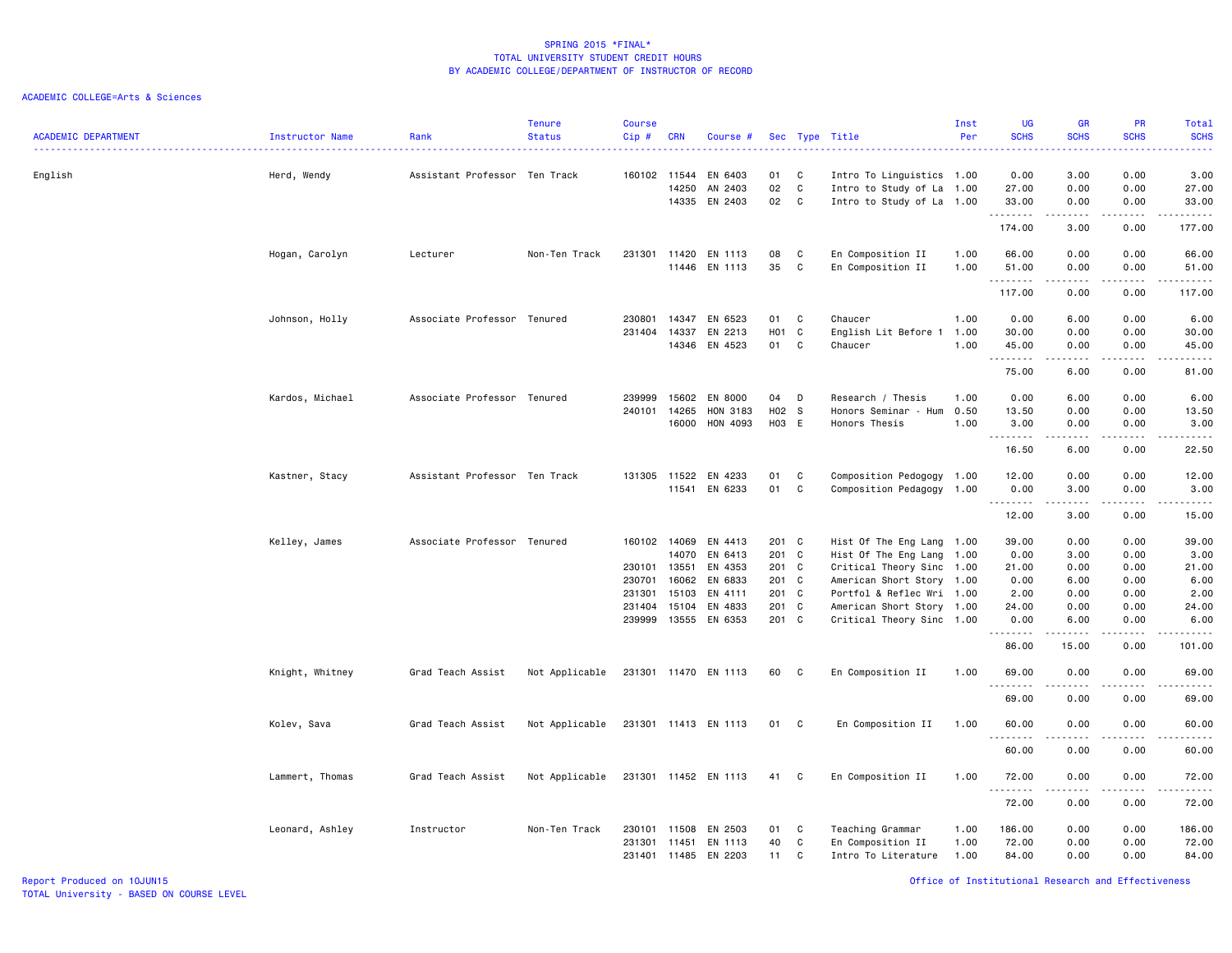|                            |                 |                               | <b>Tenure</b>  | <b>Course</b> |            |                      |       |              |                           | Inst | <b>UG</b>                     | <b>GR</b>                                                                                                           | PR                             | <b>Total</b>                                                                                                                                                 |
|----------------------------|-----------------|-------------------------------|----------------|---------------|------------|----------------------|-------|--------------|---------------------------|------|-------------------------------|---------------------------------------------------------------------------------------------------------------------|--------------------------------|--------------------------------------------------------------------------------------------------------------------------------------------------------------|
| <b>ACADEMIC DEPARTMENT</b> | Instructor Name | Rank                          | <b>Status</b>  | Cip#          | <b>CRN</b> | Course #             |       |              | Sec Type Title            | Per  | <b>SCHS</b><br>المتمالين      | <b>SCHS</b>                                                                                                         | <b>SCHS</b><br>والمرامين مرابط | <b>SCHS</b><br>$\frac{1}{2} \left( \frac{1}{2} \right) \left( \frac{1}{2} \right) \left( \frac{1}{2} \right) \left( \frac{1}{2} \right)$                     |
| English                    | Herd, Wendy     | Assistant Professor Ten Track |                | 160102        | 11544      | EN 6403              | 01    | C            | Intro To Linguistics 1.00 |      | 0.00                          | 3.00                                                                                                                | 0.00                           | 3.00                                                                                                                                                         |
|                            |                 |                               |                |               | 14250      | AN 2403              | 02    | C            | Intro to Study of La 1.00 |      | 27.00                         | 0.00                                                                                                                | 0.00                           | 27.00                                                                                                                                                        |
|                            |                 |                               |                |               | 14335      | EN 2403              | 02    | C            | Intro to Study of La 1.00 |      | 33.00<br>.                    | 0.00<br>$\begin{array}{cccccccccc} \bullet & \bullet & \bullet & \bullet & \bullet & \bullet & \bullet \end{array}$ | 0.00<br>.                      | 33.00<br>.                                                                                                                                                   |
|                            |                 |                               |                |               |            |                      |       |              |                           |      | 174.00                        | 3.00                                                                                                                | 0.00                           | 177.00                                                                                                                                                       |
|                            | Hogan, Carolyn  | Lecturer                      | Non-Ten Track  | 231301        | 11420      | EN 1113              | 08    | C            | En Composition II         | 1.00 | 66.00                         | 0.00                                                                                                                | 0.00                           | 66.00                                                                                                                                                        |
|                            |                 |                               |                |               |            | 11446 EN 1113        | 35    | C            | En Composition II         | 1.00 | 51.00<br>.                    | 0.00<br>.                                                                                                           | 0.00<br>المتمامين              | 51.00<br>.                                                                                                                                                   |
|                            |                 |                               |                |               |            |                      |       |              |                           |      | 117.00                        | 0.00                                                                                                                | 0.00                           | 117.00                                                                                                                                                       |
|                            | Johnson, Holly  | Associate Professor Tenured   |                | 230801        | 14347      | EN 6523              | 01    | C.           | Chaucer                   | 1.00 | 0.00                          | 6.00                                                                                                                | 0.00                           | 6.00                                                                                                                                                         |
|                            |                 |                               |                | 231404        | 14337      | EN 2213              | H01   | $\mathbf{C}$ | English Lit Before 1      | 1.00 | 30.00                         | 0.00                                                                                                                | 0.00                           | 30.00                                                                                                                                                        |
|                            |                 |                               |                |               |            | 14346 EN 4523        | 01    | C            | Chaucer                   | 1.00 | 45.00<br>.                    | 0.00<br>.                                                                                                           | 0.00<br>$\frac{1}{2}$          | 45.00<br>.                                                                                                                                                   |
|                            |                 |                               |                |               |            |                      |       |              |                           |      | 75.00                         | 6.00                                                                                                                | 0.00                           | 81.00                                                                                                                                                        |
|                            | Kardos, Michael | Associate Professor Tenured   |                | 239999        | 15602      | EN 8000              | 04    | D            | Research / Thesis         | 1.00 | 0.00                          | 6.00                                                                                                                | 0.00                           | 6.00                                                                                                                                                         |
|                            |                 |                               |                | 240101        | 14265      | HON 3183             | H02 S |              | Honors Seminar - Hum 0.50 |      | 13.50                         | 0.00                                                                                                                | 0.00                           | 13.50                                                                                                                                                        |
|                            |                 |                               |                |               | 16000      | HON 4093             | H03 E |              | Honors Thesis             | 1.00 | 3.00<br>.                     | 0.00<br>.                                                                                                           | 0.00<br>. <b>.</b>             | 3.00<br>$\frac{1}{2} \left( \frac{1}{2} \right) \left( \frac{1}{2} \right) \left( \frac{1}{2} \right) \left( \frac{1}{2} \right) \left( \frac{1}{2} \right)$ |
|                            |                 |                               |                |               |            |                      |       |              |                           |      | 16.50                         | 6.00                                                                                                                | 0.00                           | 22.50                                                                                                                                                        |
|                            | Kastner, Stacy  | Assistant Professor Ten Track |                | 131305        | 11522      | EN 4233              | 01    | C            | Composition Pedogogy 1.00 |      | 12.00                         | 0.00                                                                                                                | 0.00                           | 12.00                                                                                                                                                        |
|                            |                 |                               |                |               |            | 11541 EN 6233        | 01    | C            | Composition Pedagogy 1.00 |      | 0.00                          | 3.00                                                                                                                | 0.00                           | 3.00                                                                                                                                                         |
|                            |                 |                               |                |               |            |                      |       |              |                           |      | .<br>12.00                    | $- - - - -$<br>3.00                                                                                                 | .<br>0.00                      | د د د د د<br>15.00                                                                                                                                           |
|                            | Kelley, James   | Associate Professor Tenured   |                | 160102        | 14069      | EN 4413              | 201 C |              | Hist Of The Eng Lang 1.00 |      | 39.00                         | 0.00                                                                                                                | 0.00                           | 39.00                                                                                                                                                        |
|                            |                 |                               |                |               | 14070      | EN 6413              | 201 C |              | Hist Of The Eng Lang 1.00 |      | 0.00                          | 3.00                                                                                                                | 0.00                           | 3.00                                                                                                                                                         |
|                            |                 |                               |                | 230101 13551  |            | EN 4353              | 201 C |              | Critical Theory Sinc 1.00 |      | 21.00                         | 0.00                                                                                                                | 0.00                           | 21.00                                                                                                                                                        |
|                            |                 |                               |                | 230701        | 16062      | EN 6833              | 201 C |              | American Short Story 1.00 |      | 0.00                          | 6.00                                                                                                                | 0.00                           | 6.00                                                                                                                                                         |
|                            |                 |                               |                | 231301        | 15103      | EN 4111              | 201 C |              | Portfol & Reflec Wri 1.00 |      | 2.00                          | 0.00                                                                                                                | 0.00                           | 2.00                                                                                                                                                         |
|                            |                 |                               |                | 231404        | 15104      | EN 4833              | 201 C |              | American Short Story 1.00 |      | 24.00                         | 0.00                                                                                                                | 0.00                           | 24.00                                                                                                                                                        |
|                            |                 |                               |                | 239999        |            | 13555 EN 6353        | 201 C |              | Critical Theory Sinc 1.00 |      | 0.00<br>.                     | 6.00<br>.                                                                                                           | 0.00<br>.                      | 6.00<br>.                                                                                                                                                    |
|                            |                 |                               |                |               |            |                      |       |              |                           |      | 86.00                         | 15.00                                                                                                               | 0.00                           | 101.00                                                                                                                                                       |
|                            | Knight, Whitney | Grad Teach Assist             | Not Applicable |               |            | 231301 11470 EN 1113 | 60    | C            | En Composition II         | 1.00 | 69.00<br><u>.</u>             | 0.00<br><u>.</u>                                                                                                    | 0.00<br>.                      | 69.00<br>.                                                                                                                                                   |
|                            |                 |                               |                |               |            |                      |       |              |                           |      | 69.00                         | 0.00                                                                                                                | 0.00                           | 69.00                                                                                                                                                        |
|                            | Kolev, Sava     | Grad Teach Assist             | Not Applicable |               |            | 231301 11413 EN 1113 | 01 C  |              | En Composition II         | 1.00 | 60.00<br>$\sim$ $\sim$ $\sim$ | 0.00                                                                                                                | 0.00                           | 60.00<br>.                                                                                                                                                   |
|                            |                 |                               |                |               |            |                      |       |              |                           |      | 60.00                         | 0.00                                                                                                                | 0.00                           | 60.00                                                                                                                                                        |
|                            | Lammert, Thomas | Grad Teach Assist             | Not Applicable |               |            | 231301 11452 EN 1113 | 41    | C            | En Composition II         | 1.00 | 72.00<br><u>.</u>             | 0.00<br><u>.</u>                                                                                                    | 0.00<br>$- - - -$              | 72.00<br>.                                                                                                                                                   |
|                            |                 |                               |                |               |            |                      |       |              |                           |      | 72.00                         | 0.00                                                                                                                | 0.00                           | 72.00                                                                                                                                                        |
|                            | Leonard, Ashley | Instructor                    | Non-Ten Track  | 230101        | 11508      | EN 2503              | 01    | C            | Teaching Grammar          | 1.00 | 186.00                        | 0.00                                                                                                                | 0.00                           | 186.00                                                                                                                                                       |
|                            |                 |                               |                | 231301        | 11451      | EN 1113              | 40    | C            | En Composition II         | 1.00 | 72.00                         | 0.00                                                                                                                | 0.00                           | 72.00                                                                                                                                                        |
|                            |                 |                               |                | 231401 11485  |            | EN 2203              | 11    | C            | Intro To Literature       | 1.00 | 84.00                         | 0.00                                                                                                                | 0.00                           | 84.00                                                                                                                                                        |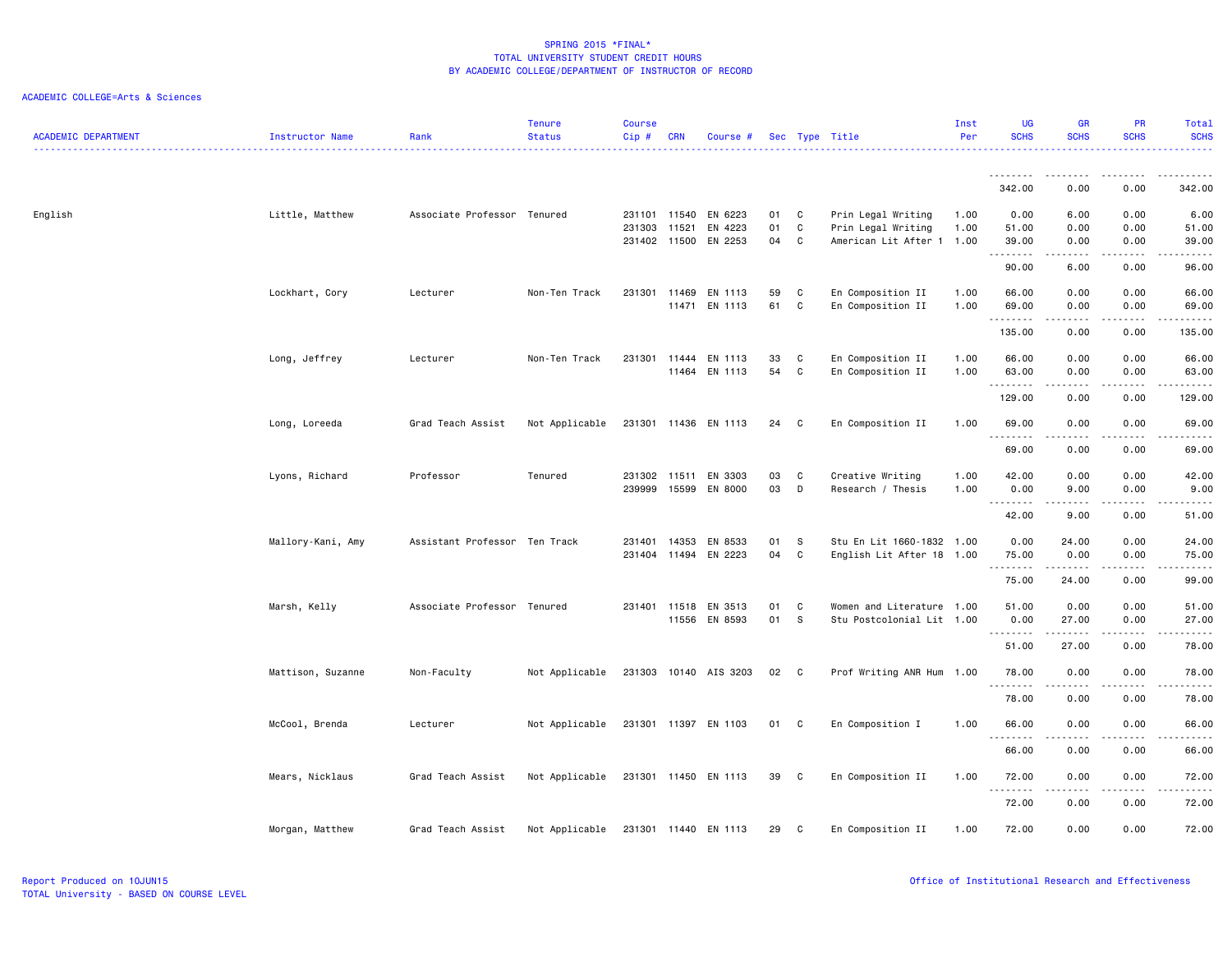| <b>ACADEMIC DEPARTMENT</b> | Instructor Name   | Rank                          | <b>Tenure</b><br><b>Status</b> | <b>Course</b><br>$Cip$ # | <b>CRN</b>   | Course #                 |          |              | Sec Type Title                                    | Inst<br>Per | <b>UG</b><br><b>SCHS</b>                                                                                                                                                                                                                                                                                                                                                                                                                                                               | <b>GR</b><br><b>SCHS</b> | <b>PR</b><br><b>SCHS</b>     | Total<br><b>SCHS</b>                                                                                                                                 |
|----------------------------|-------------------|-------------------------------|--------------------------------|--------------------------|--------------|--------------------------|----------|--------------|---------------------------------------------------|-------------|----------------------------------------------------------------------------------------------------------------------------------------------------------------------------------------------------------------------------------------------------------------------------------------------------------------------------------------------------------------------------------------------------------------------------------------------------------------------------------------|--------------------------|------------------------------|------------------------------------------------------------------------------------------------------------------------------------------------------|
|                            |                   |                               |                                |                          |              |                          |          |              |                                                   |             | .                                                                                                                                                                                                                                                                                                                                                                                                                                                                                      |                          | $   -$                       | . <u>.</u> .                                                                                                                                         |
|                            |                   |                               |                                |                          |              |                          |          |              |                                                   |             | 342.00                                                                                                                                                                                                                                                                                                                                                                                                                                                                                 | 0.00                     | 0.00                         | 342.00                                                                                                                                               |
| English                    | Little, Matthew   | Associate Professor Tenured   |                                |                          | 231101 11540 | EN 6223                  | 01       | C            | Prin Legal Writing                                | 1.00        | 0.00                                                                                                                                                                                                                                                                                                                                                                                                                                                                                   | 6.00                     | 0.00                         | 6.00                                                                                                                                                 |
|                            |                   |                               |                                | 231303                   | 11521        | EN 4223                  | 01       | C            | Prin Legal Writing                                | 1.00        | 51.00                                                                                                                                                                                                                                                                                                                                                                                                                                                                                  | 0.00                     | 0.00                         | 51.00                                                                                                                                                |
|                            |                   |                               |                                |                          | 231402 11500 | EN 2253                  | 04       | C            | American Lit After 1 1.00                         |             | 39.00                                                                                                                                                                                                                                                                                                                                                                                                                                                                                  | 0.00<br>د د د د د        | 0.00<br>.                    | 39.00<br>.                                                                                                                                           |
|                            |                   |                               |                                |                          |              |                          |          |              |                                                   |             | 90.00                                                                                                                                                                                                                                                                                                                                                                                                                                                                                  | 6.00                     | 0.00                         | 96.00                                                                                                                                                |
|                            | Lockhart, Cory    | Lecturer                      | Non-Ten Track                  |                          | 231301 11469 | EN 1113                  | 59       | C            | En Composition II                                 | 1.00        | 66.00                                                                                                                                                                                                                                                                                                                                                                                                                                                                                  | 0.00                     | 0.00                         | 66.00                                                                                                                                                |
|                            |                   |                               |                                |                          | 11471        | EN 1113                  | 61       | C            | En Composition II                                 | 1.00        | 69.00                                                                                                                                                                                                                                                                                                                                                                                                                                                                                  | 0.00                     | 0.00                         | 69.00                                                                                                                                                |
|                            |                   |                               |                                |                          |              |                          |          |              |                                                   |             | .<br>135.00                                                                                                                                                                                                                                                                                                                                                                                                                                                                            | 0.00                     | 0.00                         | والمستحدث<br>135.00                                                                                                                                  |
|                            | Long, Jeffrey     | Lecturer                      | Non-Ten Track                  |                          |              | 231301 11444 EN 1113     | 33       | C            | En Composition II                                 | 1.00        | 66.00                                                                                                                                                                                                                                                                                                                                                                                                                                                                                  | 0.00                     | 0.00                         | 66.00                                                                                                                                                |
|                            |                   |                               |                                |                          |              | 11464 EN 1113            | 54       | C            | En Composition II                                 | 1.00        | 63.00                                                                                                                                                                                                                                                                                                                                                                                                                                                                                  | 0.00                     | 0.00                         | 63.00                                                                                                                                                |
|                            |                   |                               |                                |                          |              |                          |          |              |                                                   |             | .<br>129.00                                                                                                                                                                                                                                                                                                                                                                                                                                                                            | د د د د د<br>0.00        | .<br>0.00                    | .<br>129.00                                                                                                                                          |
|                            | Long, Loreeda     | Grad Teach Assist             | Not Applicable                 |                          |              | 231301 11436 EN 1113     | 24       | C            | En Composition II                                 | 1.00        | 69.00                                                                                                                                                                                                                                                                                                                                                                                                                                                                                  | 0.00                     | 0.00                         | 69.00                                                                                                                                                |
|                            |                   |                               |                                |                          |              |                          |          |              |                                                   |             | $\begin{array}{cccccccccccccc} \multicolumn{2}{c}{} & \multicolumn{2}{c}{} & \multicolumn{2}{c}{} & \multicolumn{2}{c}{} & \multicolumn{2}{c}{} & \multicolumn{2}{c}{} & \multicolumn{2}{c}{} & \multicolumn{2}{c}{} & \multicolumn{2}{c}{} & \multicolumn{2}{c}{} & \multicolumn{2}{c}{} & \multicolumn{2}{c}{} & \multicolumn{2}{c}{} & \multicolumn{2}{c}{} & \multicolumn{2}{c}{} & \multicolumn{2}{c}{} & \multicolumn{2}{c}{} & \multicolumn{2}{c}{} & \multicolumn{2}{c}{} & \$ |                          |                              | .                                                                                                                                                    |
|                            |                   |                               |                                |                          |              |                          |          |              |                                                   |             | 69.00                                                                                                                                                                                                                                                                                                                                                                                                                                                                                  | 0.00                     | 0.00                         | 69.00                                                                                                                                                |
|                            | Lyons, Richard    | Professor                     | Tenured                        |                          | 231302 11511 | EN 3303                  | 03       | C            | Creative Writing                                  | 1.00        | 42.00                                                                                                                                                                                                                                                                                                                                                                                                                                                                                  | 0.00                     | 0.00                         | 42.00                                                                                                                                                |
|                            |                   |                               |                                | 239999                   | 15599        | EN 8000                  | 03       | D            | Research / Thesis                                 | 1.00        | 0.00<br>.                                                                                                                                                                                                                                                                                                                                                                                                                                                                              | 9.00                     | 0.00<br>----                 | 9.00<br>$\sim$ $\sim$ $\sim$ $\sim$ $\sim$                                                                                                           |
|                            |                   |                               |                                |                          |              |                          |          |              |                                                   |             | 42.00                                                                                                                                                                                                                                                                                                                                                                                                                                                                                  | 9.00                     | 0.00                         | 51.00                                                                                                                                                |
|                            | Mallory-Kani, Amy | Assistant Professor Ten Track |                                | 231401                   | 14353        | EN 8533                  | 01       | s            | Stu En Lit 1660-1832                              | 1.00        | 0.00                                                                                                                                                                                                                                                                                                                                                                                                                                                                                   | 24.00                    | 0.00                         | 24.00                                                                                                                                                |
|                            |                   |                               |                                | 231404                   |              | 11494 EN 2223            | 04       | C            | English Lit After 18 1.00                         |             | 75.00                                                                                                                                                                                                                                                                                                                                                                                                                                                                                  | 0.00                     | 0.00                         | 75.00                                                                                                                                                |
|                            |                   |                               |                                |                          |              |                          |          |              |                                                   |             | .<br>75.00                                                                                                                                                                                                                                                                                                                                                                                                                                                                             | .<br>24.00               | .<br>0.00                    | $\sim$<br>99.00                                                                                                                                      |
|                            |                   |                               |                                |                          |              |                          |          |              |                                                   |             |                                                                                                                                                                                                                                                                                                                                                                                                                                                                                        |                          |                              |                                                                                                                                                      |
|                            | Marsh, Kelly      | Associate Professor Tenured   |                                | 231401                   | 11518        | EN 3513<br>11556 EN 8593 | 01<br>01 | C<br>s       | Women and Literature<br>Stu Postcolonial Lit 1.00 | 1.00        | 51.00<br>0.00                                                                                                                                                                                                                                                                                                                                                                                                                                                                          | 0.00<br>27.00            | 0.00<br>0.00                 | 51.00<br>27.00                                                                                                                                       |
|                            |                   |                               |                                |                          |              |                          |          |              |                                                   |             | .                                                                                                                                                                                                                                                                                                                                                                                                                                                                                      |                          | .                            | $\frac{1}{2} \left( \frac{1}{2} \right) \left( \frac{1}{2} \right) \left( \frac{1}{2} \right) \left( \frac{1}{2} \right) \left( \frac{1}{2} \right)$ |
|                            |                   |                               |                                |                          |              |                          |          |              |                                                   |             | 51.00                                                                                                                                                                                                                                                                                                                                                                                                                                                                                  | 27.00                    | 0.00                         | 78.00                                                                                                                                                |
|                            | Mattison, Suzanne | Non-Faculty                   | Not Applicable                 | 231303                   |              | 10140 AIS 3203           | 02       | $\mathbf{C}$ | Prof Writing ANR Hum                              | 1.00        | 78.00                                                                                                                                                                                                                                                                                                                                                                                                                                                                                  | 0.00                     | 0.00                         | 78.00                                                                                                                                                |
|                            |                   |                               |                                |                          |              |                          |          |              |                                                   |             | .<br>78.00                                                                                                                                                                                                                                                                                                                                                                                                                                                                             | .<br>0.00                | $\sim$ $\sim$ $\sim$<br>0.00 | .<br>78.00                                                                                                                                           |
|                            |                   |                               |                                |                          |              |                          |          |              |                                                   |             |                                                                                                                                                                                                                                                                                                                                                                                                                                                                                        |                          |                              |                                                                                                                                                      |
|                            | McCool, Brenda    | Lecturer                      | Not Applicable                 |                          |              | 231301 11397 EN 1103     | 01 C     |              | En Composition I                                  | 1.00        | 66.00<br>.                                                                                                                                                                                                                                                                                                                                                                                                                                                                             | 0.00                     | 0.00                         | 66.00<br>$    -$                                                                                                                                     |
|                            |                   |                               |                                |                          |              |                          |          |              |                                                   |             | 66.00                                                                                                                                                                                                                                                                                                                                                                                                                                                                                  | 0.00                     | 0.00                         | 66.00                                                                                                                                                |
|                            | Mears, Nicklaus   | Grad Teach Assist             | Not Applicable                 |                          |              | 231301 11450 EN 1113     | 39 C     |              | En Composition II                                 | 1.00        | 72.00                                                                                                                                                                                                                                                                                                                                                                                                                                                                                  | 0.00                     | 0.00                         | 72.00                                                                                                                                                |
|                            |                   |                               |                                |                          |              |                          |          |              |                                                   |             | .<br>72.00                                                                                                                                                                                                                                                                                                                                                                                                                                                                             | <u>.</u><br>0.00         | .<br>0.00                    | .<br>72.00                                                                                                                                           |
|                            |                   |                               |                                |                          |              |                          |          |              |                                                   |             |                                                                                                                                                                                                                                                                                                                                                                                                                                                                                        |                          |                              |                                                                                                                                                      |
|                            | Morgan, Matthew   | Grad Teach Assist             | Not Applicable                 |                          |              | 231301 11440 EN 1113     | 29       | C            | En Composition II                                 | 1.00        | 72.00                                                                                                                                                                                                                                                                                                                                                                                                                                                                                  | 0.00                     | 0.00                         | 72.00                                                                                                                                                |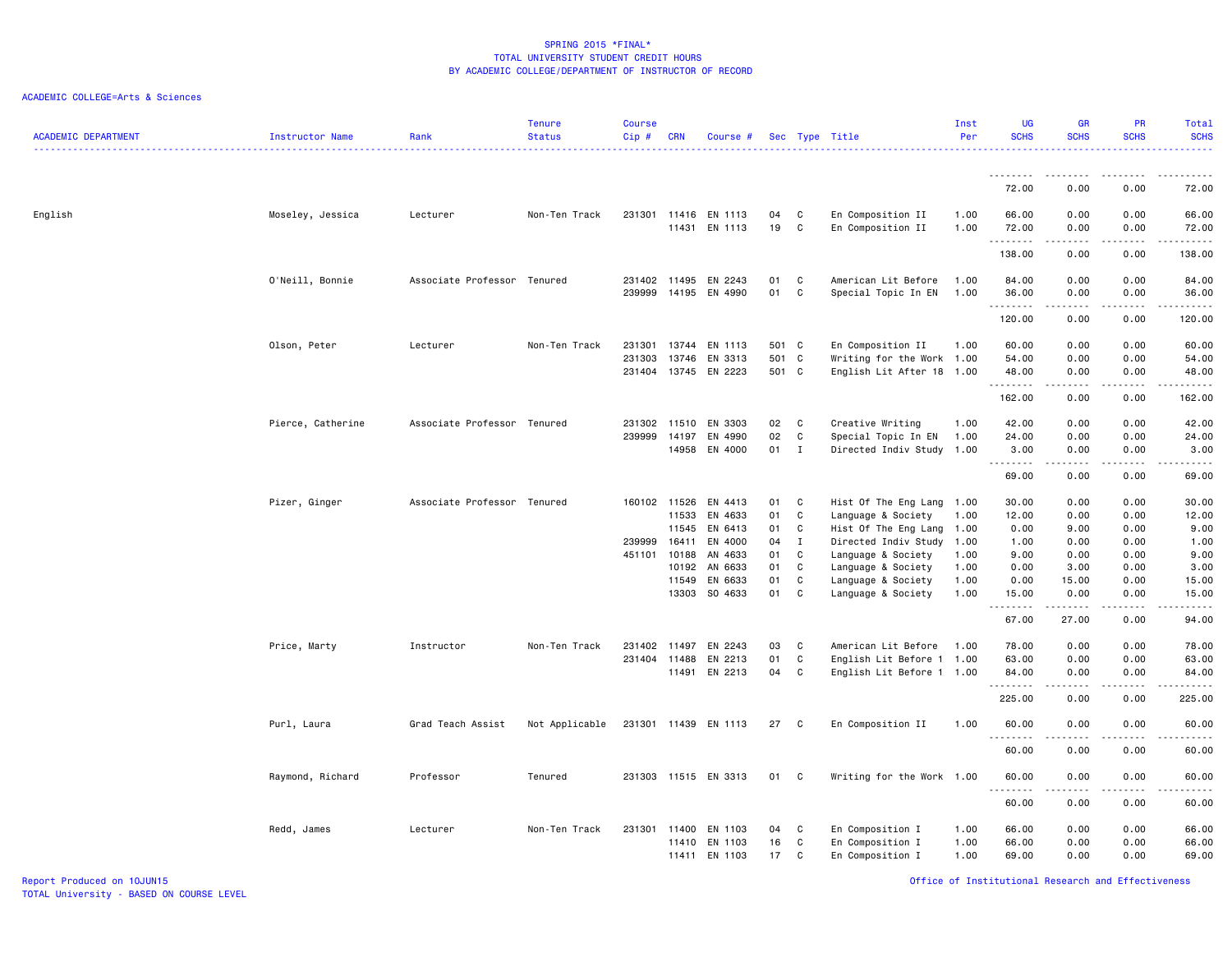| <b>ACADEMIC DEPARTMENT</b> | Instructor Name   | Rank                        | <b>Tenure</b><br><b>Status</b> | <b>Course</b><br>Cip#      | <b>CRN</b>              | Course #                      |                         |                        | Sec Type Title                                                                | Inst<br>Per          | <b>UG</b><br><b>SCHS</b> | <b>GR</b><br><b>SCHS</b>                                                                                                                                     | PR<br><b>SCHS</b>            | Total<br><b>SCHS</b><br>$\frac{1}{2} \left( \frac{1}{2} \right) \left( \frac{1}{2} \right) \left( \frac{1}{2} \right) \left( \frac{1}{2} \right)$ |
|----------------------------|-------------------|-----------------------------|--------------------------------|----------------------------|-------------------------|-------------------------------|-------------------------|------------------------|-------------------------------------------------------------------------------|----------------------|--------------------------|--------------------------------------------------------------------------------------------------------------------------------------------------------------|------------------------------|---------------------------------------------------------------------------------------------------------------------------------------------------|
|                            |                   |                             |                                |                            |                         |                               |                         |                        |                                                                               |                      |                          |                                                                                                                                                              |                              |                                                                                                                                                   |
|                            |                   |                             |                                |                            |                         |                               |                         |                        |                                                                               |                      | 72.00                    | 0.00                                                                                                                                                         | 0.00                         | 72.00                                                                                                                                             |
| English                    | Moseley, Jessica  | Lecturer                    | Non-Ten Track                  | 231301 11416               | 11431                   | EN 1113<br>EN 1113            | 04<br>19                | C<br>C                 | En Composition II<br>En Composition II                                        | 1.00<br>1.00         | 66.00<br>72.00<br>.      | 0.00<br>0.00<br>.                                                                                                                                            | 0.00<br>0.00<br>د د د د      | 66.00<br>72.00<br>.                                                                                                                               |
|                            |                   |                             |                                |                            |                         |                               |                         |                        |                                                                               |                      | 138.00                   | 0.00                                                                                                                                                         | 0.00                         | 138.00                                                                                                                                            |
|                            | O'Neill, Bonnie   | Associate Professor Tenured |                                | 231402<br>239999           | 11495<br>14195          | EN 2243<br>EN 4990            | 01<br>01                | C<br>C                 | American Lit Before<br>Special Topic In EN                                    | 1.00<br>1.00         | 84.00<br>36.00           | 0.00<br>0.00                                                                                                                                                 | 0.00<br>0.00                 | 84.00<br>36.00                                                                                                                                    |
|                            |                   |                             |                                |                            |                         |                               |                         |                        |                                                                               |                      | .<br>120.00              | 0.00                                                                                                                                                         | $- - -$<br>0.00              | .<br>120.00                                                                                                                                       |
|                            | Olson, Peter      | Lecturer                    | Non-Ten Track                  | 231301<br>231303<br>231404 | 13744<br>13746<br>13745 | EN 1113<br>EN 3313<br>EN 2223 | 501 C<br>501 C<br>501 C |                        | En Composition II<br>Writing for the Work 1.00<br>English Lit After 18 1.00   | 1.00                 | 60.00<br>54.00<br>48.00  | 0.00<br>0.00<br>0.00                                                                                                                                         | 0.00<br>0.00<br>0.00         | 60.00<br>54.00<br>48.00                                                                                                                           |
|                            |                   |                             |                                |                            |                         |                               |                         |                        |                                                                               |                      | <u>.</u><br>162.00       | <u>.</u><br>0.00                                                                                                                                             | .<br>0.00                    | .<br>162.00                                                                                                                                       |
|                            | Pierce, Catherine | Associate Professor Tenured |                                | 231302<br>239999           | 11510<br>14197<br>14958 | EN 3303<br>EN 4990<br>EN 4000 | 02<br>02<br>01          | C<br>C<br>$\mathbf{I}$ | Creative Writing<br>Special Topic In EN<br>Directed Indiv Study 1.00          | 1.00<br>1.00         | 42.00<br>24.00<br>3.00   | 0.00<br>0.00<br>0.00                                                                                                                                         | 0.00<br>0.00<br>0.00         | 42.00<br>24.00<br>3.00                                                                                                                            |
|                            |                   |                             |                                |                            |                         |                               |                         |                        |                                                                               |                      | .<br>69.00               | $\frac{1}{2} \left( \frac{1}{2} \right) \left( \frac{1}{2} \right) \left( \frac{1}{2} \right) \left( \frac{1}{2} \right) \left( \frac{1}{2} \right)$<br>0.00 | .<br>0.00                    | .<br>69.00                                                                                                                                        |
|                            | Pizer, Ginger     | Associate Professor Tenured |                                | 160102                     | 11526<br>11533          | EN 4413<br>EN 4633            | 01<br>01                | C<br>C                 | Hist Of The Eng Lang 1.00<br>Language & Society                               | 1.00                 | 30.00<br>12.00           | 0.00<br>0.00                                                                                                                                                 | 0.00<br>0.00                 | 30.00<br>12.00                                                                                                                                    |
|                            |                   |                             |                                | 239999<br>451101           | 11545<br>16411<br>10188 | EN 6413<br>EN 4000<br>AN 4633 | 01<br>04<br>01          | C<br>$\mathbf{I}$<br>C | Hist Of The Eng Lang 1.00<br>Directed Indiv Study 1.00<br>Language & Society  | 1.00                 | 0.00<br>1.00<br>9.00     | 9.00<br>0.00<br>0.00                                                                                                                                         | 0.00<br>0.00<br>0.00         | 9.00<br>1.00<br>9.00                                                                                                                              |
|                            |                   |                             |                                |                            | 10192<br>11549<br>13303 | AN 6633<br>EN 6633<br>SO 4633 | 01<br>01<br>01          | C<br>C<br>C            | Language & Society<br>Language & Society<br>Language & Society                | 1.00<br>1.00<br>1.00 | 0.00<br>0.00<br>15.00    | 3.00<br>15.00<br>0.00                                                                                                                                        | 0.00<br>0.00<br>0.00         | 3.00<br>15.00<br>15.00                                                                                                                            |
|                            |                   |                             |                                |                            |                         |                               |                         |                        |                                                                               |                      | .<br>67.00               | .<br>27.00                                                                                                                                                   | .<br>0.00                    | .<br>94.00                                                                                                                                        |
|                            | Price, Marty      | Instructor                  | Non-Ten Track                  | 231402<br>231404 11488     | 11497<br>11491          | EN 2243<br>EN 2213<br>EN 2213 | 03<br>01<br>04          | C<br>C<br>$\mathbf c$  | American Lit Before<br>English Lit Before 1 1.00<br>English Lit Before 1 1.00 | 1.00                 | 78.00<br>63.00<br>84.00  | 0.00<br>0.00<br>0.00<br>.                                                                                                                                    | 0.00<br>0.00<br>0.00<br>---- | 78.00<br>63.00<br>84.00                                                                                                                           |
|                            |                   |                             |                                |                            |                         |                               |                         |                        |                                                                               |                      | .<br>225.00              | 0.00                                                                                                                                                         | 0.00                         | .<br>225.00                                                                                                                                       |
|                            | Purl, Laura       | Grad Teach Assist           | Not Applicable                 |                            |                         | 231301 11439 EN 1113          | 27                      | C.                     | En Composition II                                                             | 1.00                 | 60.00<br>--------        | 0.00                                                                                                                                                         | 0.00                         | 60.00<br>.                                                                                                                                        |
|                            |                   |                             |                                |                            |                         |                               |                         |                        |                                                                               |                      | 60.00                    | 0.00                                                                                                                                                         | 0.00                         | 60.00                                                                                                                                             |
|                            | Raymond, Richard  | Professor                   | Tenured                        |                            |                         | 231303 11515 EN 3313          | 01                      | C                      | Writing for the Work 1.00                                                     |                      | 60.00<br><u>.</u>        | 0.00<br>.                                                                                                                                                    | 0.00<br>$\frac{1}{2}$        | 60.00<br>.                                                                                                                                        |
|                            |                   |                             |                                |                            |                         |                               |                         |                        |                                                                               |                      | 60.00                    | 0.00                                                                                                                                                         | 0.00                         | 60.00                                                                                                                                             |
|                            | Redd, James       | Lecturer                    | Non-Ten Track                  | 231301 11400               | 11410<br>11411          | EN 1103<br>EN 1103<br>EN 1103 | 04<br>16<br>17          | C<br>C<br>C            | En Composition I<br>En Composition I<br>En Composition I                      | 1.00<br>1.00<br>1.00 | 66.00<br>66.00<br>69.00  | 0.00<br>0.00<br>0.00                                                                                                                                         | 0.00<br>0.00<br>0.00         | 66.00<br>66.00<br>69.00                                                                                                                           |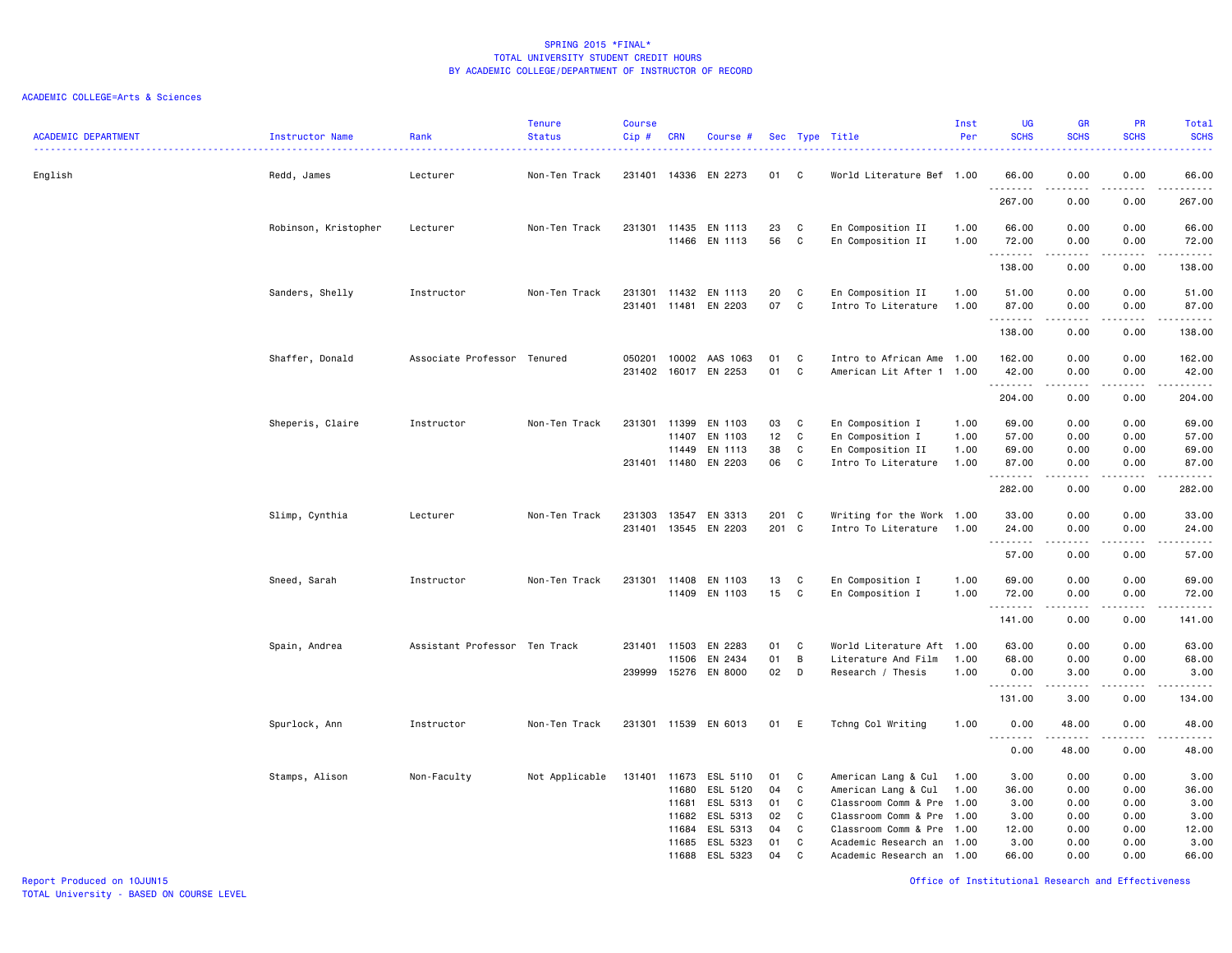| <b>ACADEMIC DEPARTMENT</b> | Instructor Name      | Rank<br>. <u>.</u>            | <b>Tenure</b><br><b>Status</b> | <b>Course</b><br>Cip#  | <b>CRN</b>                                | Course #                                                 |                            |                       | Sec Type Title                                                                                                                    | Inst<br>Per                  | <b>UG</b><br><b>SCHS</b>               | GR<br><b>SCHS</b>                    | PR<br><b>SCHS</b>                    | <b>Total</b><br><b>SCHS</b><br>بالمحامي                                                                                                                        |
|----------------------------|----------------------|-------------------------------|--------------------------------|------------------------|-------------------------------------------|----------------------------------------------------------|----------------------------|-----------------------|-----------------------------------------------------------------------------------------------------------------------------------|------------------------------|----------------------------------------|--------------------------------------|--------------------------------------|----------------------------------------------------------------------------------------------------------------------------------------------------------------|
| English                    | Redd, James          | Lecturer                      | Non-Ten Track                  | 231401                 |                                           | 14336 EN 2273                                            | 01                         | C                     | World Literature Bef 1.00                                                                                                         |                              | 66.00<br>.                             | 0.00                                 | 0.00                                 | 66.00<br>$\begin{array}{cccccccccccccc} \bullet & \bullet & \bullet & \bullet & \bullet & \bullet & \bullet & \bullet \end{array}$                             |
|                            |                      |                               |                                |                        |                                           |                                                          |                            |                       |                                                                                                                                   |                              | 267.00                                 | 0.00                                 | 0.00                                 | 267.00                                                                                                                                                         |
|                            | Robinson, Kristopher | Lecturer                      | Non-Ten Track                  | 231301                 | 11435<br>11466                            | EN 1113<br>EN 1113                                       | 23<br>56                   | C<br>C                | En Composition II<br>En Composition II                                                                                            | 1.00<br>1.00                 | 66.00<br>72.00                         | 0.00<br>0.00                         | 0.00<br>0.00                         | 66.00<br>72.00                                                                                                                                                 |
|                            |                      |                               |                                |                        |                                           |                                                          |                            |                       |                                                                                                                                   |                              | .<br>138.00                            | -----<br>0.00                        | بالأباد<br>0.00                      | .<br>138.00                                                                                                                                                    |
|                            | Sanders, Shelly      | Instructor                    | Non-Ten Track                  | 231301<br>231401       | 11432<br>11481                            | EN 1113<br>EN 2203                                       | 20<br>07                   | C<br>C                | En Composition II<br>Intro To Literature                                                                                          | 1.00<br>1.00                 | 51.00<br>87.00                         | 0.00<br>0.00                         | 0.00<br>0.00                         | 51.00<br>87.00                                                                                                                                                 |
|                            |                      |                               |                                |                        |                                           |                                                          |                            |                       |                                                                                                                                   |                              | .<br>138.00                            | 0.00                                 | 0.00                                 | .<br>138.00                                                                                                                                                    |
|                            | Shaffer, Donald      | Associate Professor Tenured   |                                | 050201<br>231402       | 10002<br>16017                            | AAS 1063<br>EN 2253                                      | 01<br>01                   | C<br>C                | Intro to African Ame 1.00<br>American Lit After 1 1.00                                                                            |                              | 162.00<br>42.00                        | 0.00<br>0.00                         | 0.00<br>0.00                         | 162.00<br>42.00                                                                                                                                                |
|                            |                      |                               |                                |                        |                                           |                                                          |                            |                       |                                                                                                                                   |                              | .<br>204.00                            | -----<br>0.00                        | .<br>0.00                            | .<br>204.00                                                                                                                                                    |
|                            | Sheperis, Claire     | Instructor                    | Non-Ten Track                  | 231301<br>231401 11480 | 11399<br>11407<br>11449                   | EN 1103<br>EN 1103<br>EN 1113<br>EN 2203                 | 03<br>12<br>38<br>06       | C<br>C<br>C<br>C      | En Composition I<br>En Composition I<br>En Composition II<br>Intro To Literature                                                  | 1.00<br>1.00<br>1.00<br>1.00 | 69.00<br>57.00<br>69.00<br>87.00       | 0.00<br>0.00<br>0.00<br>0.00         | 0.00<br>0.00<br>0.00<br>0.00         | 69.00<br>57.00<br>69.00<br>87.00                                                                                                                               |
|                            |                      |                               |                                |                        |                                           |                                                          |                            |                       |                                                                                                                                   |                              | .<br>282.00                            | 0.00                                 | 0.00                                 | $\frac{1}{2} \left( \frac{1}{2} \right) \left( \frac{1}{2} \right) \left( \frac{1}{2} \right) \left( \frac{1}{2} \right) \left( \frac{1}{2} \right)$<br>282.00 |
|                            | Slimp, Cynthia       | Lecturer                      | Non-Ten Track                  | 231303<br>231401       | 13547                                     | EN 3313<br>13545 EN 2203                                 | 201 C<br>201 C             |                       | Writing for the Work 1.00<br>Intro To Literature                                                                                  | 1.00                         | 33.00<br>24.00                         | 0.00<br>0.00                         | 0.00<br>0.00                         | 33.00<br>24.00                                                                                                                                                 |
|                            |                      |                               |                                |                        |                                           |                                                          |                            |                       |                                                                                                                                   |                              | .<br>57.00                             | 0.00                                 | $\sim$ $\sim$ $\sim$ $\sim$<br>0.00  | $\frac{1}{2} \left( \frac{1}{2} \right) \left( \frac{1}{2} \right) \left( \frac{1}{2} \right) \left( \frac{1}{2} \right) \left( \frac{1}{2} \right)$<br>57.00  |
|                            | Sneed, Sarah         | Instructor                    | Non-Ten Track                  | 231301                 | 11408<br>11409                            | EN 1103<br>EN 1103                                       | 13<br>15                   | C<br>C                | En Composition I<br>En Composition I                                                                                              | 1.00<br>1.00                 | 69.00<br>72.00<br>. <b>.</b>           | 0.00<br>0.00<br>.                    | 0.00<br>0.00<br>.                    | 69.00<br>72.00<br>.                                                                                                                                            |
|                            |                      |                               |                                |                        |                                           |                                                          |                            |                       |                                                                                                                                   |                              | 141.00                                 | 0.00                                 | 0.00                                 | 141.00                                                                                                                                                         |
|                            | Spain, Andrea        | Assistant Professor Ten Track |                                | 231401<br>239999       | 11503<br>11506<br>15276                   | EN 2283<br>EN 2434<br>EN 8000                            | 01<br>01<br>02             | C<br>B<br>D           | World Literature Aft 1.00<br>Literature And Film<br>Research / Thesis                                                             | 1.00<br>1.00                 | 63.00<br>68.00<br>0.00                 | 0.00<br>0.00<br>3.00                 | 0.00<br>0.00<br>0.00                 | 63.00<br>68.00<br>3.00                                                                                                                                         |
|                            |                      |                               |                                |                        |                                           |                                                          |                            |                       |                                                                                                                                   |                              | 131.00                                 | $- - - - -$<br>3.00                  | .<br>0.00                            | ------<br>134.00                                                                                                                                               |
|                            | Spurlock, Ann        | Instructor                    | Non-Ten Track                  |                        |                                           | 231301 11539 EN 6013                                     | 01                         | E                     | Tchng Col Writing                                                                                                                 | 1.00                         | 0.00                                   | 48.00                                | 0.00                                 | 48.00                                                                                                                                                          |
|                            |                      |                               |                                |                        |                                           |                                                          |                            |                       |                                                                                                                                   |                              | . <b>.</b><br>0.00                     | 48.00                                | 0.00                                 | .<br>48.00                                                                                                                                                     |
|                            | Stamps, Alison       | Non-Faculty                   | Not Applicable                 | 131401                 | 11673<br>11680<br>11681<br>11682<br>11684 | ESL 5110<br>ESL 5120<br>ESL 5313<br>ESL 5313<br>ESL 5313 | 01<br>04<br>01<br>02<br>04 | C<br>C<br>C<br>C<br>C | American Lang & Cul<br>American Lang & Cul<br>Classroom Comm & Pre 1.00<br>Classroom Comm & Pre 1.00<br>Classroom Comm & Pre 1.00 | 1.00<br>1.00                 | 3.00<br>36.00<br>3.00<br>3.00<br>12.00 | 0.00<br>0.00<br>0.00<br>0.00<br>0.00 | 0.00<br>0.00<br>0.00<br>0.00<br>0.00 | 3.00<br>36.00<br>3.00<br>3.00<br>12.00                                                                                                                         |
|                            |                      |                               |                                |                        | 11685<br>11688                            | ESL 5323<br>ESL 5323                                     | 01<br>04                   | C<br>C                | Academic Research an 1.00<br>Academic Research an 1.00                                                                            |                              | 3.00<br>66.00                          | 0.00<br>0.00                         | 0.00<br>0.00                         | 3.00<br>66.00                                                                                                                                                  |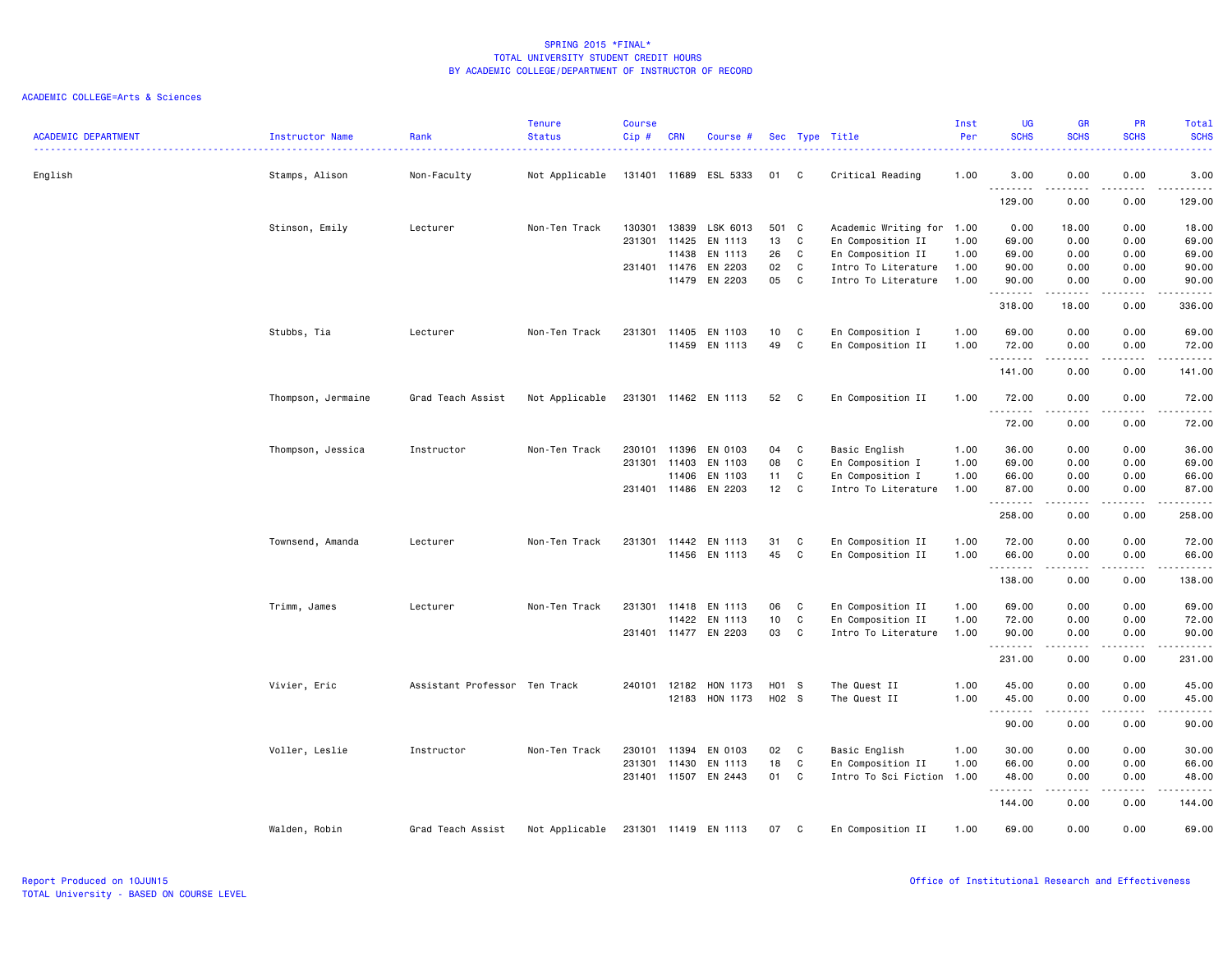| <b>ACADEMIC DEPARTMENT</b> | Instructor Name    | Rank<br>.                     | <b>Tenure</b><br><b>Status</b> | <b>Course</b><br>Cip# | <b>CRN</b> | Course #              |                 |              | Sec Type Title            | Inst<br>Per | <b>UG</b><br><b>SCHS</b><br>$\frac{1}{2} \left( \frac{1}{2} \right) \left( \frac{1}{2} \right) \left( \frac{1}{2} \right)$ | <b>GR</b><br><b>SCHS</b>                                                                                                                                                                                                                                                                                                                     | PR<br><b>SCHS</b><br>.              | <b>Total</b><br><b>SCHS</b><br>$\frac{1}{2} \left( \frac{1}{2} \right) \left( \frac{1}{2} \right) \left( \frac{1}{2} \right) \left( \frac{1}{2} \right)$      |
|----------------------------|--------------------|-------------------------------|--------------------------------|-----------------------|------------|-----------------------|-----------------|--------------|---------------------------|-------------|----------------------------------------------------------------------------------------------------------------------------|----------------------------------------------------------------------------------------------------------------------------------------------------------------------------------------------------------------------------------------------------------------------------------------------------------------------------------------------|-------------------------------------|---------------------------------------------------------------------------------------------------------------------------------------------------------------|
| English                    | Stamps, Alison     | Non-Faculty                   | Not Applicable                 |                       |            | 131401 11689 ESL 5333 | 01              | C            | Critical Reading          | 1.00        | 3.00<br>--------                                                                                                           | 0.00                                                                                                                                                                                                                                                                                                                                         | 0.00<br>.                           | 3.00<br>.                                                                                                                                                     |
|                            |                    |                               |                                |                       |            |                       |                 |              |                           |             | 129.00                                                                                                                     | 0.00                                                                                                                                                                                                                                                                                                                                         | 0.00                                | 129.00                                                                                                                                                        |
|                            | Stinson, Emily     | Lecturer                      | Non-Ten Track                  | 130301                | 13839      | LSK 6013              | 501 C           |              | Academic Writing for 1.00 |             | 0.00                                                                                                                       | 18.00                                                                                                                                                                                                                                                                                                                                        | 0.00                                | 18.00                                                                                                                                                         |
|                            |                    |                               |                                | 231301                | 11425      | EN 1113               | 13              | C.           | En Composition II         | 1.00        | 69.00                                                                                                                      | 0.00                                                                                                                                                                                                                                                                                                                                         | 0.00                                | 69.00                                                                                                                                                         |
|                            |                    |                               |                                |                       | 11438      | EN 1113               | 26              | C            | En Composition II         | 1.00        | 69.00                                                                                                                      | 0.00                                                                                                                                                                                                                                                                                                                                         | 0.00                                | 69.00                                                                                                                                                         |
|                            |                    |                               |                                | 231401 11476          |            | EN 2203               | 02              | C            | Intro To Literature       | 1.00        | 90.00                                                                                                                      | 0.00                                                                                                                                                                                                                                                                                                                                         | 0.00                                | 90.00                                                                                                                                                         |
|                            |                    |                               |                                |                       | 11479      | EN 2203               | 05              | $\mathbf{C}$ | Intro To Literature       | 1.00        | 90.00<br>.                                                                                                                 | 0.00<br>$\frac{1}{2} \left( \frac{1}{2} \right) \left( \frac{1}{2} \right) \left( \frac{1}{2} \right) \left( \frac{1}{2} \right) \left( \frac{1}{2} \right)$                                                                                                                                                                                 | 0.00                                | 90.00<br>.                                                                                                                                                    |
|                            |                    |                               |                                |                       |            |                       |                 |              |                           |             | 318.00                                                                                                                     | 18.00                                                                                                                                                                                                                                                                                                                                        | 0.00                                | 336.00                                                                                                                                                        |
|                            | Stubbs, Tia        | Lecturer                      | Non-Ten Track                  | 231301                | 11405      | EN 1103               | 10 <sub>1</sub> | C            | En Composition I          | 1.00        | 69.00                                                                                                                      | 0.00                                                                                                                                                                                                                                                                                                                                         | 0.00                                | 69.00                                                                                                                                                         |
|                            |                    |                               |                                |                       | 11459      | EN 1113               | 49              | C            | En Composition II         | 1.00        | 72.00<br>.                                                                                                                 | 0.00                                                                                                                                                                                                                                                                                                                                         | 0.00                                | 72.00<br>.                                                                                                                                                    |
|                            |                    |                               |                                |                       |            |                       |                 |              |                           |             | 141.00                                                                                                                     | 0.00                                                                                                                                                                                                                                                                                                                                         | 0.00                                | 141.00                                                                                                                                                        |
|                            | Thompson, Jermaine | Grad Teach Assist             | Not Applicable                 |                       |            | 231301 11462 EN 1113  | 52              | $\mathbf{C}$ | En Composition II         | 1.00        | 72.00<br>.                                                                                                                 | 0.00                                                                                                                                                                                                                                                                                                                                         | 0.00<br>.                           | 72.00<br>$\frac{1}{2}$                                                                                                                                        |
|                            |                    |                               |                                |                       |            |                       |                 |              |                           |             | 72.00                                                                                                                      | 0.00                                                                                                                                                                                                                                                                                                                                         | 0.00                                | 72.00                                                                                                                                                         |
|                            | Thompson, Jessica  | Instructor                    | Non-Ten Track                  | 230101                | 11396      | EN 0103               | 04              | C            | Basic English             | 1.00        | 36.00                                                                                                                      | 0.00                                                                                                                                                                                                                                                                                                                                         | 0.00                                | 36.00                                                                                                                                                         |
|                            |                    |                               |                                | 231301                | 11403      | EN 1103               | 08              | C            | En Composition I          | 1.00        | 69.00                                                                                                                      | 0.00                                                                                                                                                                                                                                                                                                                                         | 0.00                                | 69.00                                                                                                                                                         |
|                            |                    |                               |                                |                       | 11406      | EN 1103               | 11              | C            | En Composition I          | 1.00        | 66.00                                                                                                                      | 0.00                                                                                                                                                                                                                                                                                                                                         | 0.00                                | 66.00                                                                                                                                                         |
|                            |                    |                               |                                | 231401 11486          |            | EN 2203               | 12              | C            | Intro To Literature       | 1.00        | 87.00<br>.                                                                                                                 | 0.00<br>.                                                                                                                                                                                                                                                                                                                                    | 0.00<br>$\sim$ $\sim$ $\sim$ $\sim$ | 87.00<br>.                                                                                                                                                    |
|                            |                    |                               |                                |                       |            |                       |                 |              |                           |             | 258.00                                                                                                                     | 0.00                                                                                                                                                                                                                                                                                                                                         | 0.00                                | 258.00                                                                                                                                                        |
|                            | Townsend, Amanda   | Lecturer                      | Non-Ten Track                  | 231301                | 11442      | EN 1113               | 31              | C            | En Composition II         | 1.00        | 72.00                                                                                                                      | 0.00                                                                                                                                                                                                                                                                                                                                         | 0.00                                | 72.00                                                                                                                                                         |
|                            |                    |                               |                                |                       |            | 11456 EN 1113         | 45              | C            | En Composition II         | 1.00        | 66.00                                                                                                                      | 0.00                                                                                                                                                                                                                                                                                                                                         | 0.00                                | 66.00                                                                                                                                                         |
|                            |                    |                               |                                |                       |            |                       |                 |              |                           |             | .<br>138.00                                                                                                                | $\frac{1}{2} \left( \begin{array}{ccc} 1 & 0 & 0 & 0 \\ 0 & 0 & 0 & 0 \\ 0 & 0 & 0 & 0 \\ 0 & 0 & 0 & 0 \\ 0 & 0 & 0 & 0 \\ 0 & 0 & 0 & 0 \\ 0 & 0 & 0 & 0 \\ 0 & 0 & 0 & 0 \\ 0 & 0 & 0 & 0 \\ 0 & 0 & 0 & 0 \\ 0 & 0 & 0 & 0 & 0 \\ 0 & 0 & 0 & 0 & 0 \\ 0 & 0 & 0 & 0 & 0 \\ 0 & 0 & 0 & 0 & 0 \\ 0 & 0 & 0 & 0 & 0 \\ 0 & 0 & 0$<br>0.00 | .<br>0.00                           | .<br>138.00                                                                                                                                                   |
|                            | Trimm, James       | Lecturer                      | Non-Ten Track                  | 231301                | 11418      | EN 1113               | 06              | C            | En Composition II         | 1.00        | 69.00                                                                                                                      | 0.00                                                                                                                                                                                                                                                                                                                                         | 0.00                                | 69.00                                                                                                                                                         |
|                            |                    |                               |                                |                       | 11422      | EN 1113               | 10              | C            | En Composition II         | 1.00        | 72.00                                                                                                                      | 0.00                                                                                                                                                                                                                                                                                                                                         | 0.00                                | 72.00                                                                                                                                                         |
|                            |                    |                               |                                |                       |            | 231401 11477 EN 2203  | 03              | C            | Intro To Literature       | 1.00        | 90.00<br>.                                                                                                                 | 0.00<br>.                                                                                                                                                                                                                                                                                                                                    | 0.00<br>د د د د                     | 90.00<br>.                                                                                                                                                    |
|                            |                    |                               |                                |                       |            |                       |                 |              |                           |             | 231.00                                                                                                                     | 0.00                                                                                                                                                                                                                                                                                                                                         | 0.00                                | 231.00                                                                                                                                                        |
|                            | Vivier, Eric       | Assistant Professor Ten Track |                                | 240101                | 12182      | HON 1173              | H01 S           |              | The Quest II              | 1.00        | 45.00                                                                                                                      | 0.00                                                                                                                                                                                                                                                                                                                                         | 0.00                                | 45.00                                                                                                                                                         |
|                            |                    |                               |                                |                       |            | 12183 HON 1173        | H02 S           |              | The Quest II              | 1.00        | 45.00<br>$\sim$ $\sim$ $\sim$<br>$\sim$ $\sim$ $\sim$                                                                      | 0.00                                                                                                                                                                                                                                                                                                                                         | 0.00<br>$- - -$                     | 45.00<br>$\frac{1}{2} \left( \frac{1}{2} \right) \left( \frac{1}{2} \right) \left( \frac{1}{2} \right) \left( \frac{1}{2} \right) \left( \frac{1}{2} \right)$ |
|                            |                    |                               |                                |                       |            |                       |                 |              |                           |             | 90.00                                                                                                                      | 0.00                                                                                                                                                                                                                                                                                                                                         | 0.00                                | 90.00                                                                                                                                                         |
|                            | Voller, Leslie     | Instructor                    | Non-Ten Track                  | 230101                | 11394      | EN 0103               | 02              | C            | Basic English             | 1.00        | 30.00                                                                                                                      | 0.00                                                                                                                                                                                                                                                                                                                                         | 0.00                                | 30.00                                                                                                                                                         |
|                            |                    |                               |                                | 231301                | 11430      | EN 1113               | 18              | C            | En Composition II         | 1.00        | 66.00                                                                                                                      | 0.00                                                                                                                                                                                                                                                                                                                                         | 0.00                                | 66.00                                                                                                                                                         |
|                            |                    |                               |                                |                       |            | 231401 11507 EN 2443  | 01              | C            | Intro To Sci Fiction 1.00 |             | 48.00<br>.                                                                                                                 | 0.00<br>$\frac{1}{2} \left( \frac{1}{2} \right) \left( \frac{1}{2} \right) \left( \frac{1}{2} \right) \left( \frac{1}{2} \right) \left( \frac{1}{2} \right)$                                                                                                                                                                                 | 0.00<br>.                           | 48.00<br>.                                                                                                                                                    |
|                            |                    |                               |                                |                       |            |                       |                 |              |                           |             | 144.00                                                                                                                     | 0.00                                                                                                                                                                                                                                                                                                                                         | 0.00                                | 144.00                                                                                                                                                        |
|                            | Walden, Robin      | Grad Teach Assist             | Not Applicable                 |                       |            | 231301 11419 EN 1113  | 07              | C            | En Composition II         | 1.00        | 69.00                                                                                                                      | 0.00                                                                                                                                                                                                                                                                                                                                         | 0.00                                | 69.00                                                                                                                                                         |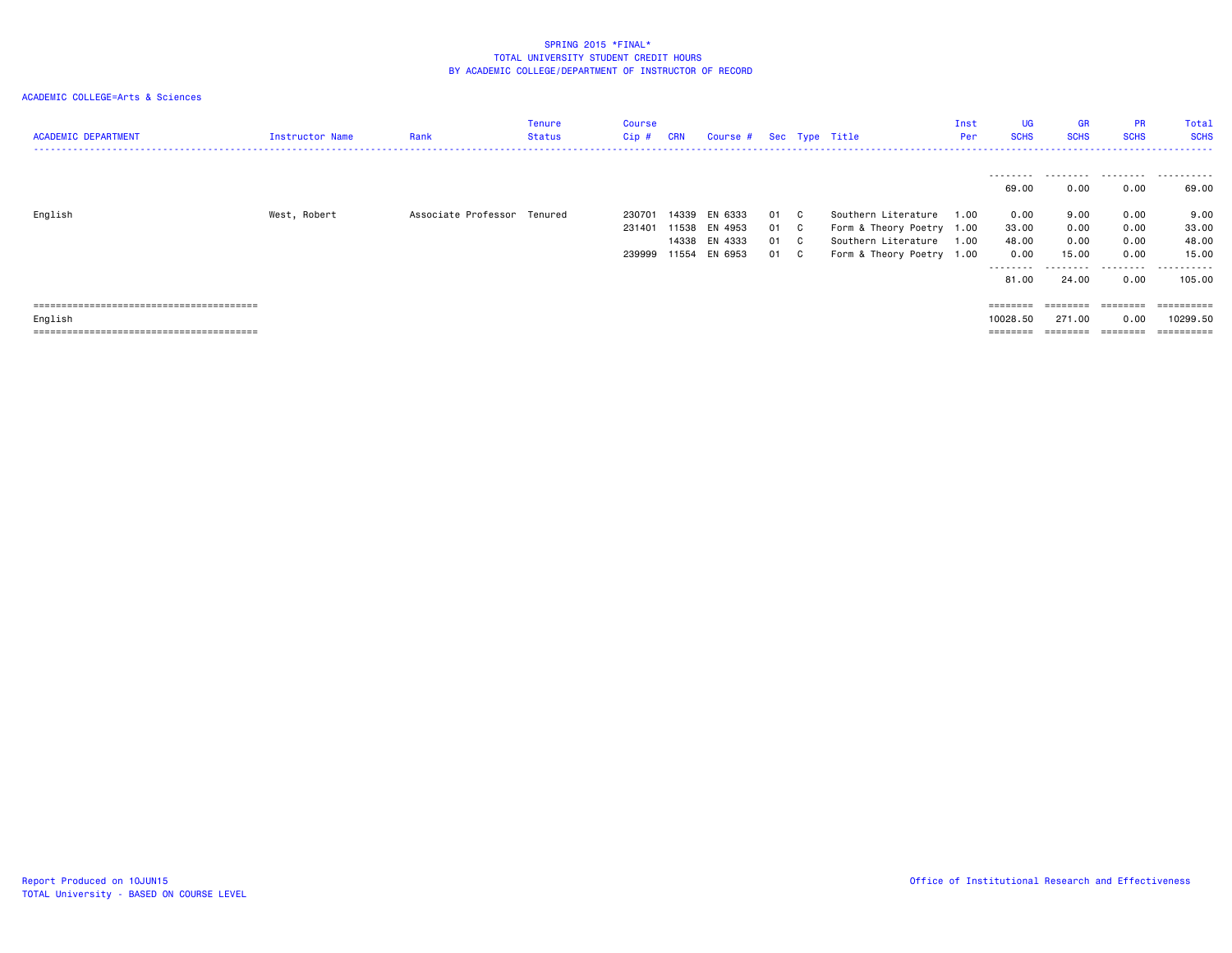| <b>ACADEMIC DEPARTMENT</b> | Instructor Name | Rank                        | Tenure<br>Status | Course<br>Cip #            | <b>CRN</b> | Course # Sec Type Title                                          |                              |                                                                                                      | Inst<br>Per  | <b>UG</b><br><b>SCHS</b>                             | <b>GR</b><br><b>SCHS</b>                            | <b>PR</b><br><b>SCHS</b>                  | Total<br><b>SCHS</b>                                                                                                                                                                                                                                                                                                                                                                                                                                                                                             |
|----------------------------|-----------------|-----------------------------|------------------|----------------------------|------------|------------------------------------------------------------------|------------------------------|------------------------------------------------------------------------------------------------------|--------------|------------------------------------------------------|-----------------------------------------------------|-------------------------------------------|------------------------------------------------------------------------------------------------------------------------------------------------------------------------------------------------------------------------------------------------------------------------------------------------------------------------------------------------------------------------------------------------------------------------------------------------------------------------------------------------------------------|
|                            |                 |                             |                  |                            |            |                                                                  |                              |                                                                                                      |              | ---------<br>69.00                                   | 0.00                                                | 0.00                                      | 69.00                                                                                                                                                                                                                                                                                                                                                                                                                                                                                                            |
| English                    | West, Robert    | Associate Professor Tenured |                  | 230701<br>231401<br>239999 |            | 14339 EN 6333<br>11538 EN 4953<br>14338 EN 4333<br>11554 EN 6953 | 01 C<br>01 C<br>01 C<br>01 C | Southern Literature<br>Form & Theory Poetry 1.00<br>Southern Literature<br>Form & Theory Poetry 1.00 | 1.00<br>1.00 | 0.00<br>33.00<br>48.00<br>0.00<br>---------<br>81.00 | 9.00<br>0.00<br>0.00<br>15.00<br>---------<br>24.00 | 0.00<br>0.00<br>0.00<br>0.00<br>.<br>0.00 | 9.00<br>33.00<br>48.00<br>15.00<br>.<br>105,00                                                                                                                                                                                                                                                                                                                                                                                                                                                                   |
| English                    |                 |                             |                  |                            |            |                                                                  |                              |                                                                                                      |              | $=$ = = = = = = =<br>10028.50<br>$=$ = = = = = = =   | ========<br>271.00                                  | 0.00<br>========                          | ==========<br>10299.50<br>$\begin{array}{cccccccccc} \multicolumn{2}{c}{} & \multicolumn{2}{c}{} & \multicolumn{2}{c}{} & \multicolumn{2}{c}{} & \multicolumn{2}{c}{} & \multicolumn{2}{c}{} & \multicolumn{2}{c}{} & \multicolumn{2}{c}{} & \multicolumn{2}{c}{} & \multicolumn{2}{c}{} & \multicolumn{2}{c}{} & \multicolumn{2}{c}{} & \multicolumn{2}{c}{} & \multicolumn{2}{c}{} & \multicolumn{2}{c}{} & \multicolumn{2}{c}{} & \multicolumn{2}{c}{} & \multicolumn{2}{c}{} & \multicolumn{2}{c}{} & \mult$ |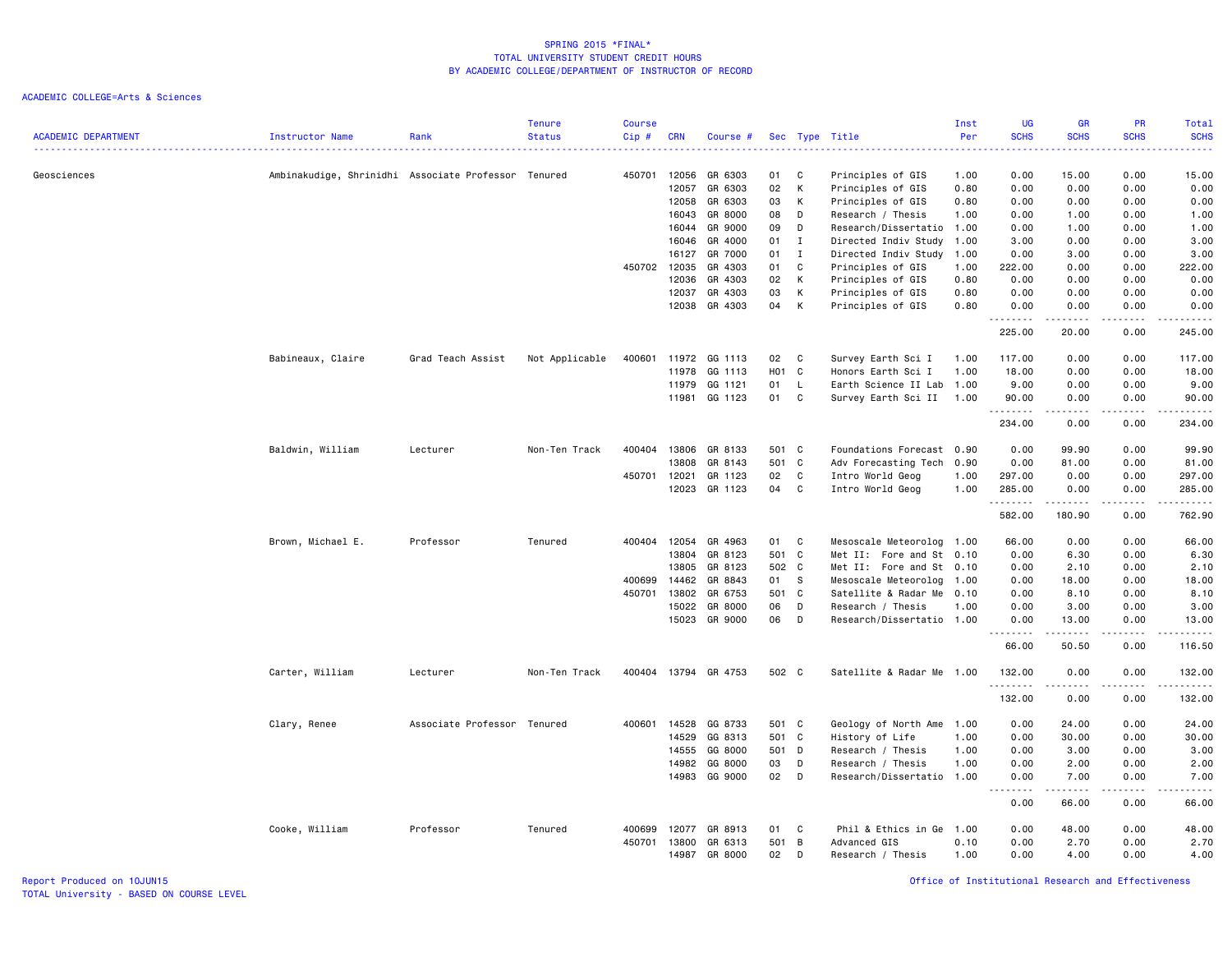| <b>ACADEMIC DEPARTMENT</b> | Instructor Name                                     | Rank                        | <b>Tenure</b><br><b>Status</b> | <b>Course</b><br>Cip# | <b>CRN</b> | Course #      |            |                | Sec Type Title            | Inst<br>Per<br><u>.</u> | <b>UG</b><br><b>SCHS</b><br>د د د د                                                                    | <b>GR</b><br><b>SCHS</b> | PR<br><b>SCHS</b><br>$\omega$ is a $\omega$ | Total<br><b>SCHS</b><br>$\frac{1}{2} \left( \frac{1}{2} \right) \left( \frac{1}{2} \right) \left( \frac{1}{2} \right) \left( \frac{1}{2} \right)$             |
|----------------------------|-----------------------------------------------------|-----------------------------|--------------------------------|-----------------------|------------|---------------|------------|----------------|---------------------------|-------------------------|--------------------------------------------------------------------------------------------------------|--------------------------|---------------------------------------------|---------------------------------------------------------------------------------------------------------------------------------------------------------------|
| Geosciences                | Ambinakudige, Shrinidhi Associate Professor Tenured |                             |                                | 450701                | 12056      | GR 6303       | 01         | C              | Principles of GIS         | 1.00                    | 0.00                                                                                                   | 15.00                    | 0.00                                        | 15.00                                                                                                                                                         |
|                            |                                                     |                             |                                |                       | 12057      | GR 6303       | 02         | К              | Principles of GIS         | 0.80                    | 0.00                                                                                                   | 0.00                     | 0.00                                        | 0.00                                                                                                                                                          |
|                            |                                                     |                             |                                |                       | 12058      | GR 6303       | 03         | К              | Principles of GIS         | 0.80                    | 0.00                                                                                                   | 0.00                     | 0.00                                        | 0.00                                                                                                                                                          |
|                            |                                                     |                             |                                |                       | 16043      | GR 8000       | 08         | D              | Research / Thesis         | 1.00                    | 0.00                                                                                                   | 1.00                     | 0.00                                        | 1.00                                                                                                                                                          |
|                            |                                                     |                             |                                |                       | 16044      | GR 9000       | 09         | D              | Research/Dissertatio      | 1.00                    | 0.00                                                                                                   | 1.00                     | 0.00                                        | 1.00                                                                                                                                                          |
|                            |                                                     |                             |                                |                       | 16046      | GR 4000       | 01         | $\mathbf{I}$   | Directed Indiv Study      | 1.00                    | 3.00                                                                                                   | 0.00                     | 0.00                                        | 3.00                                                                                                                                                          |
|                            |                                                     |                             |                                |                       | 16127      | GR 7000       | 01         | $\mathbf{I}$   | Directed Indiv Study      | 1.00                    | 0.00                                                                                                   | 3.00                     | 0.00                                        | 3.00                                                                                                                                                          |
|                            |                                                     |                             |                                | 450702                | 12035      | GR 4303       | 01         | C              | Principles of GIS         | 1.00                    | 222.00                                                                                                 | 0.00                     | 0.00                                        | 222.00                                                                                                                                                        |
|                            |                                                     |                             |                                |                       | 12036      | GR 4303       | 02         | К              | Principles of GIS         | 0.80                    | 0.00                                                                                                   | 0.00                     | 0.00                                        | 0.00                                                                                                                                                          |
|                            |                                                     |                             |                                |                       | 12037      | GR 4303       | 03         | К              | Principles of GIS         | 0.80                    | 0.00                                                                                                   | 0.00                     | 0.00                                        | 0.00                                                                                                                                                          |
|                            |                                                     |                             |                                |                       | 12038      | GR 4303       | 04         | к              | Principles of GIS         | 0.80                    | 0.00<br>.                                                                                              | 0.00<br>.                | 0.00<br>.                                   | 0.00                                                                                                                                                          |
|                            |                                                     |                             |                                |                       |            |               |            |                |                           |                         | 225.00                                                                                                 | 20.00                    | 0.00                                        | 245.00                                                                                                                                                        |
|                            | Babineaux, Claire                                   | Grad Teach Assist           | Not Applicable                 | 400601                | 11972      | GG 1113       | 02         | C              | Survey Earth Sci I        | 1.00                    | 117.00                                                                                                 | 0.00                     | 0.00                                        | 117.00                                                                                                                                                        |
|                            |                                                     |                             |                                |                       | 11978      | GG 1113       | <b>HO1</b> | $\mathbf{C}$   | Honors Earth Sci I        | 1.00                    | 18.00                                                                                                  | 0.00                     | 0.00                                        | 18.00                                                                                                                                                         |
|                            |                                                     |                             |                                |                       | 11979      | GG 1121       | 01         | L              | Earth Science II Lab      | 1.00                    | 9.00                                                                                                   | 0.00                     | 0.00                                        | 9.00                                                                                                                                                          |
|                            |                                                     |                             |                                |                       | 11981      | GG 1123       | 01         | C              | Survey Earth Sci II       | 1.00                    | 90.00                                                                                                  | 0.00<br>.                | 0.00<br>$\frac{1}{2}$                       | 90.00<br>.                                                                                                                                                    |
|                            |                                                     |                             |                                |                       |            |               |            |                |                           |                         | 234.00                                                                                                 | 0.00                     | 0.00                                        | 234.00                                                                                                                                                        |
|                            | Baldwin, William                                    | Lecturer                    | Non-Ten Track                  | 400404                | 13806      | GR 8133       | 501 C      |                | Foundations Forecast 0.90 |                         | 0.00                                                                                                   | 99.90                    | 0.00                                        | 99.90                                                                                                                                                         |
|                            |                                                     |                             |                                |                       | 13808      | GR 8143       | 501 C      |                | Adv Forecasting Tech      | 0.90                    | 0.00                                                                                                   | 81.00                    | 0.00                                        | 81.00                                                                                                                                                         |
|                            |                                                     |                             |                                | 450701                | 12021      | GR 1123       | 02         | C              | Intro World Geog          | 1.00                    | 297.00                                                                                                 | 0.00                     | 0.00                                        | 297.00                                                                                                                                                        |
|                            |                                                     |                             |                                |                       | 12023      | GR 1123       | 04         | C              | Intro World Geog          | 1.00                    | 285.00                                                                                                 | 0.00                     | 0.00                                        | 285.00<br>.                                                                                                                                                   |
|                            |                                                     |                             |                                |                       |            |               |            |                |                           |                         | 582.00                                                                                                 | 180.90                   | 0.00                                        | 762.90                                                                                                                                                        |
|                            | Brown, Michael E.                                   | Professor                   | Tenured                        | 400404                | 12054      | GR 4963       | 01         | C              | Mesoscale Meteorolog 1.00 |                         | 66.00                                                                                                  | 0.00                     | 0.00                                        | 66.00                                                                                                                                                         |
|                            |                                                     |                             |                                |                       | 13804      | GR 8123       | 501 C      |                | Met II: Fore and St 0.10  |                         | 0.00                                                                                                   | 6.30                     | 0.00                                        | 6.30                                                                                                                                                          |
|                            |                                                     |                             |                                |                       | 13805      | GR 8123       | 502 C      |                | Met II: Fore and St 0.10  |                         | 0.00                                                                                                   | 2.10                     | 0.00                                        | 2.10                                                                                                                                                          |
|                            |                                                     |                             |                                | 400699                | 14462      | GR 8843       | 01         | s              | Mesoscale Meteorolog      | 1.00                    | 0.00                                                                                                   | 18.00                    | 0.00                                        | 18.00                                                                                                                                                         |
|                            |                                                     |                             |                                | 450701                | 13802      | GR 6753       | 501 C      |                | Satellite & Radar Me      | 0.10                    | 0.00                                                                                                   | 8.10                     | 0.00                                        | 8.10                                                                                                                                                          |
|                            |                                                     |                             |                                |                       | 15022      | GR 8000       | 06         | D              | Research / Thesis         | 1.00                    | 0.00                                                                                                   | 3.00                     | 0.00                                        | 3.00                                                                                                                                                          |
|                            |                                                     |                             |                                |                       | 15023      | GR 9000       | 06         | D              | Research/Dissertatio 1.00 |                         | 0.00<br>$\frac{1}{2} \left( \frac{1}{2} \right) \left( \frac{1}{2} \right) \left( \frac{1}{2} \right)$ | 13.00<br>-----           | 0.00<br>$\sim$ $\sim$ $\sim$ $\sim$         | 13.00<br>$\frac{1}{2} \left( \frac{1}{2} \right) \left( \frac{1}{2} \right) \left( \frac{1}{2} \right) \left( \frac{1}{2} \right) \left( \frac{1}{2} \right)$ |
|                            |                                                     |                             |                                |                       |            |               |            |                |                           |                         | 66.00                                                                                                  | 50.50                    | 0.00                                        | 116.50                                                                                                                                                        |
|                            | Carter, William                                     | Lecturer                    | Non-Ten Track                  | 400404                |            | 13794 GR 4753 | 502 C      |                | Satellite & Radar Me 1.00 |                         | 132.00<br>.                                                                                            | 0.00                     | 0.00<br>.                                   | 132.00<br>$- - - - - - -$                                                                                                                                     |
|                            |                                                     |                             |                                |                       |            |               |            |                |                           |                         | 132.00                                                                                                 | 0.00                     | 0.00                                        | 132.00                                                                                                                                                        |
|                            | Clary, Renee                                        | Associate Professor Tenured |                                | 400601                | 14528      | GG 8733       | 501 C      |                | Geology of North Ame      | 1.00                    | 0.00                                                                                                   | 24.00                    | 0.00                                        | 24.00                                                                                                                                                         |
|                            |                                                     |                             |                                |                       | 14529      | GG 8313       | 501 C      |                | History of Life           | 1.00                    | 0.00                                                                                                   | 30.00                    | 0.00                                        | 30.00                                                                                                                                                         |
|                            |                                                     |                             |                                |                       | 14555      | GG 8000       | 501 D      |                | Research / Thesis         | 1.00                    | 0.00                                                                                                   | 3.00                     | 0.00                                        | 3.00                                                                                                                                                          |
|                            |                                                     |                             |                                |                       | 14982      | GG 8000       | 03         | D              | Research / Thesis         | 1.00                    | 0.00                                                                                                   | 2.00                     | 0.00                                        | 2.00                                                                                                                                                          |
|                            |                                                     |                             |                                |                       | 14983      | GG 9000       | 02         | D              | Research/Dissertatio      | 1.00                    | 0.00<br>$\sim$ $\sim$                                                                                  | 7.00                     | 0.00                                        | 7.00<br>.                                                                                                                                                     |
|                            |                                                     |                             |                                |                       |            |               |            |                |                           |                         | 0.00                                                                                                   | 66.00                    | 0.00                                        | 66.00                                                                                                                                                         |
|                            | Cooke, William                                      | Professor                   | Tenured                        | 400699                | 12077      | GR 8913       | 01         | C              | Phil & Ethics in Ge       | 1.00                    | 0.00                                                                                                   | 48.00                    | 0.00                                        | 48.00                                                                                                                                                         |
|                            |                                                     |                             |                                | 450701                | 13800      | GR 6313       | 501        | $\overline{B}$ | Advanced GIS              | 0.10                    | 0.00                                                                                                   | 2.70                     | 0.00                                        | 2.70                                                                                                                                                          |
|                            |                                                     |                             |                                |                       | 14987      | GR 8000       | 02         | D              | Research / Thesis         | 1.00                    | 0.00                                                                                                   | 4.00                     | 0.00                                        | 4.00                                                                                                                                                          |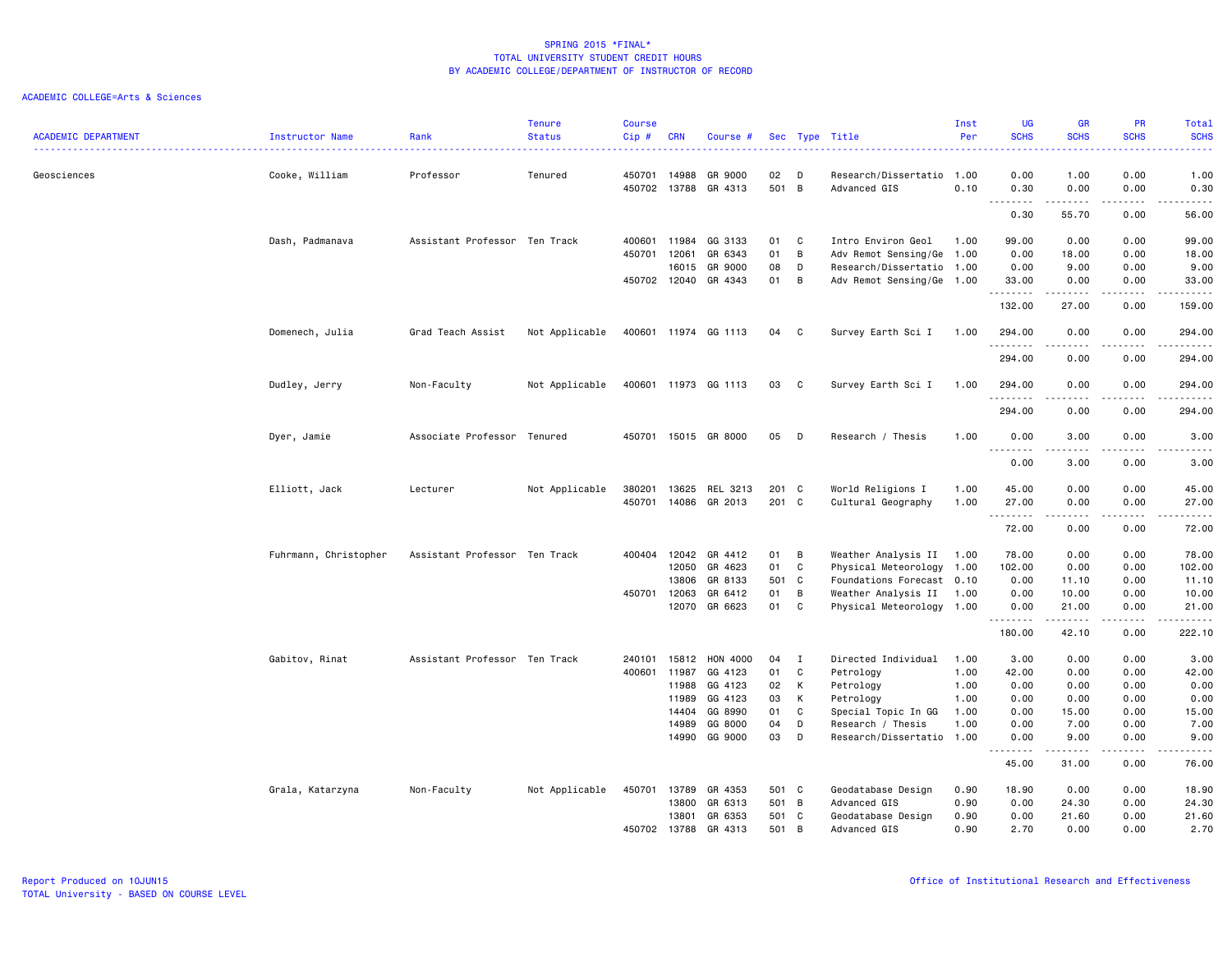|                            |                       |                               | <b>Tenure</b>  | <b>Course</b> |              |                      |          |                |                                                       | Inst | <b>UG</b>                             | <b>GR</b>           | <b>PR</b>            | Total                                                                                                                                                        |
|----------------------------|-----------------------|-------------------------------|----------------|---------------|--------------|----------------------|----------|----------------|-------------------------------------------------------|------|---------------------------------------|---------------------|----------------------|--------------------------------------------------------------------------------------------------------------------------------------------------------------|
| <b>ACADEMIC DEPARTMENT</b> | Instructor Name       | Rank<br>.                     | <b>Status</b>  | Cip#          | <b>CRN</b>   | Course #             |          |                | Sec Type Title                                        | Per  | <b>SCHS</b><br>----                   | <b>SCHS</b>         | <b>SCHS</b><br>$  -$ | <b>SCHS</b><br>2222.                                                                                                                                         |
| Geosciences                | Cooke, William        | Professor                     | Tenured        | 450701        | 14988        | GR 9000              | 02       | D              | Research/Dissertatio                                  | 1.00 | 0.00                                  | 1.00                | 0.00                 | 1.00                                                                                                                                                         |
|                            |                       |                               |                | 450702        | 13788        | GR 4313              | 501 B    |                | Advanced GIS                                          | 0.10 | 0.30<br>.                             | 0.00                | 0.00<br>.            | 0.30<br>.                                                                                                                                                    |
|                            |                       |                               |                |               |              |                      |          |                |                                                       |      | 0.30                                  | .<br>55.70          | 0.00                 | 56.00                                                                                                                                                        |
|                            | Dash, Padmanava       | Assistant Professor Ten Track |                | 400601        | 11984        | GG 3133              | 01       | C              | Intro Environ Geol                                    | 1.00 | 99.00                                 | 0.00                | 0.00                 | 99.00                                                                                                                                                        |
|                            |                       |                               |                | 450701        | 12061        | GR 6343              | 01       | B              | Adv Remot Sensing/Ge 1.00                             |      | 0.00                                  | 18.00               | 0.00                 | 18.00                                                                                                                                                        |
|                            |                       |                               |                |               | 16015        | GR 9000              | 08       | D              | Research/Dissertatio                                  | 1.00 | 0.00                                  | 9.00                | 0.00                 | 9.00                                                                                                                                                         |
|                            |                       |                               |                |               | 450702 12040 | GR 4343              | 01       | B              | Adv Remot Sensing/Ge 1.00                             |      | 33.00<br>.                            | 0.00<br>.           | 0.00<br>.            | 33.00<br>.                                                                                                                                                   |
|                            |                       |                               |                |               |              |                      |          |                |                                                       |      | 132.00                                | 27.00               | 0.00                 | 159.00                                                                                                                                                       |
|                            | Domenech, Julia       | Grad Teach Assist             | Not Applicable |               |              | 400601 11974 GG 1113 | 04       | $\mathbf{C}$   | Survey Earth Sci I                                    | 1.00 | 294.00<br>.                           | 0.00<br>$- - - - -$ | 0.00<br>.            | 294.00                                                                                                                                                       |
|                            |                       |                               |                |               |              |                      |          |                |                                                       |      | 294.00                                | 0.00                | 0.00                 | 294.00                                                                                                                                                       |
|                            | Dudley, Jerry         | Non-Faculty                   | Not Applicable |               |              | 400601 11973 GG 1113 | 03 C     |                | Survey Earth Sci I                                    | 1.00 | 294.00<br>.                           | 0.00                | 0.00                 | 294.00<br>.                                                                                                                                                  |
|                            |                       |                               |                |               |              |                      |          |                |                                                       |      | 294.00                                | 0.00                | 0.00                 | 294.00                                                                                                                                                       |
|                            | Dyer, Jamie           | Associate Professor Tenured   |                |               |              | 450701 15015 GR 8000 | 05       | $\mathsf{D}$   | Research / Thesis                                     | 1.00 | 0.00<br>.                             | 3.00<br>.           | 0.00<br>.            | 3.00<br>والمستحدث                                                                                                                                            |
|                            |                       |                               |                |               |              |                      |          |                |                                                       |      | 0.00                                  | 3.00                | 0.00                 | 3.00                                                                                                                                                         |
|                            | Elliott, Jack         | Lecturer                      | Not Applicable | 380201        | 13625        | REL 3213             | 201 C    |                | World Religions I                                     | 1.00 | 45.00                                 | 0.00                | 0.00                 | 45.00                                                                                                                                                        |
|                            |                       |                               |                | 450701        | 14086        | GR 2013              | 201 C    |                | Cultural Geography                                    | 1.00 | 27.00<br><u>.</u>                     | 0.00                | 0.00                 | 27.00<br>.                                                                                                                                                   |
|                            |                       |                               |                |               |              |                      |          |                |                                                       |      | 72.00                                 | 0.00                | 0.00                 | 72.00                                                                                                                                                        |
|                            | Fuhrmann, Christopher | Assistant Professor Ten Track |                | 400404        | 12042        | GR 4412              | 01       | $\overline{B}$ | Weather Analysis II 1.00                              |      | 78.00                                 | 0.00                | 0.00                 | 78.00                                                                                                                                                        |
|                            |                       |                               |                |               | 12050        | GR 4623              | 01       | C              | Physical Meteorology                                  | 1.00 | 102.00                                | 0.00                | 0.00                 | 102.00                                                                                                                                                       |
|                            |                       |                               |                |               | 13806        | GR 8133              | 501 C    |                | Foundations Forecast 0.10                             |      | 0.00                                  | 11.10               | 0.00                 | 11.10                                                                                                                                                        |
|                            |                       |                               |                | 450701 12063  | 12070        | GR 6412<br>GR 6623   | 01<br>01 | B<br>C         | Weather Analysis II 1.00<br>Physical Meteorology 1.00 |      | 0.00<br>0.00                          | 10.00<br>21.00      | 0.00<br>0.00         | 10.00<br>21.00                                                                                                                                               |
|                            |                       |                               |                |               |              |                      |          |                |                                                       |      | .<br>180.00                           | .<br>42.10          | .<br>0.00            | .<br>222.10                                                                                                                                                  |
|                            | Gabitov, Rinat        | Assistant Professor Ten Track |                | 240101        | 15812        | <b>HON 4000</b>      | 04       | $\mathbf{I}$   | Directed Individual                                   | 1.00 | 3.00                                  | 0.00                | 0.00                 | 3.00                                                                                                                                                         |
|                            |                       |                               |                | 400601        | 11987        | GG 4123              | 01       | C              | Petrology                                             | 1.00 | 42.00                                 | 0.00                | 0.00                 | 42.00                                                                                                                                                        |
|                            |                       |                               |                |               | 11988        | GG 4123              | 02       | K              | Petrology                                             | 1.00 | 0.00                                  | 0.00                | 0.00                 | 0.00                                                                                                                                                         |
|                            |                       |                               |                |               | 11989        | GG 4123              | 03       | K              | Petrology                                             | 1.00 | 0.00                                  | 0.00                | 0.00                 | 0.00                                                                                                                                                         |
|                            |                       |                               |                |               | 14404        | GG 8990              | 01       | C              | Special Topic In GG                                   | 1.00 | 0.00                                  | 15.00               | 0.00                 | 15.00                                                                                                                                                        |
|                            |                       |                               |                |               | 14989        | GG 8000              | 04       | D              | Research / Thesis                                     | 1.00 | 0.00                                  | 7.00                | 0.00                 | 7.00                                                                                                                                                         |
|                            |                       |                               |                |               | 14990        | GG 9000              | 03       | D              | Research/Dissertatio                                  | 1.00 | 0.00<br>-----<br>$\sim$ $\sim$ $\sim$ | 9.00<br>.           | 0.00<br>.            | 9.00<br>$\frac{1}{2} \left( \frac{1}{2} \right) \left( \frac{1}{2} \right) \left( \frac{1}{2} \right) \left( \frac{1}{2} \right) \left( \frac{1}{2} \right)$ |
|                            |                       |                               |                |               |              |                      |          |                |                                                       |      | 45.00                                 | 31.00               | 0.00                 | 76.00                                                                                                                                                        |
|                            | Grala, Katarzyna      | Non-Faculty                   | Not Applicable | 450701        | 13789        | GR 4353              | 501 C    |                | Geodatabase Design                                    | 0.90 | 18.90                                 | 0.00                | 0.00                 | 18.90                                                                                                                                                        |
|                            |                       |                               |                |               | 13800        | GR 6313              | 501 B    |                | Advanced GIS                                          | 0.90 | 0.00                                  | 24.30               | 0.00                 | 24.30                                                                                                                                                        |
|                            |                       |                               |                |               | 13801        | GR 6353              | 501 C    |                | Geodatabase Design                                    | 0.90 | 0.00                                  | 21.60               | 0.00                 | 21.60                                                                                                                                                        |
|                            |                       |                               |                | 450702        | 13788        | GR 4313              | 501      | $\overline{B}$ | Advanced GIS                                          | 0.90 | 2.70                                  | 0.00                | 0.00                 | 2.70                                                                                                                                                         |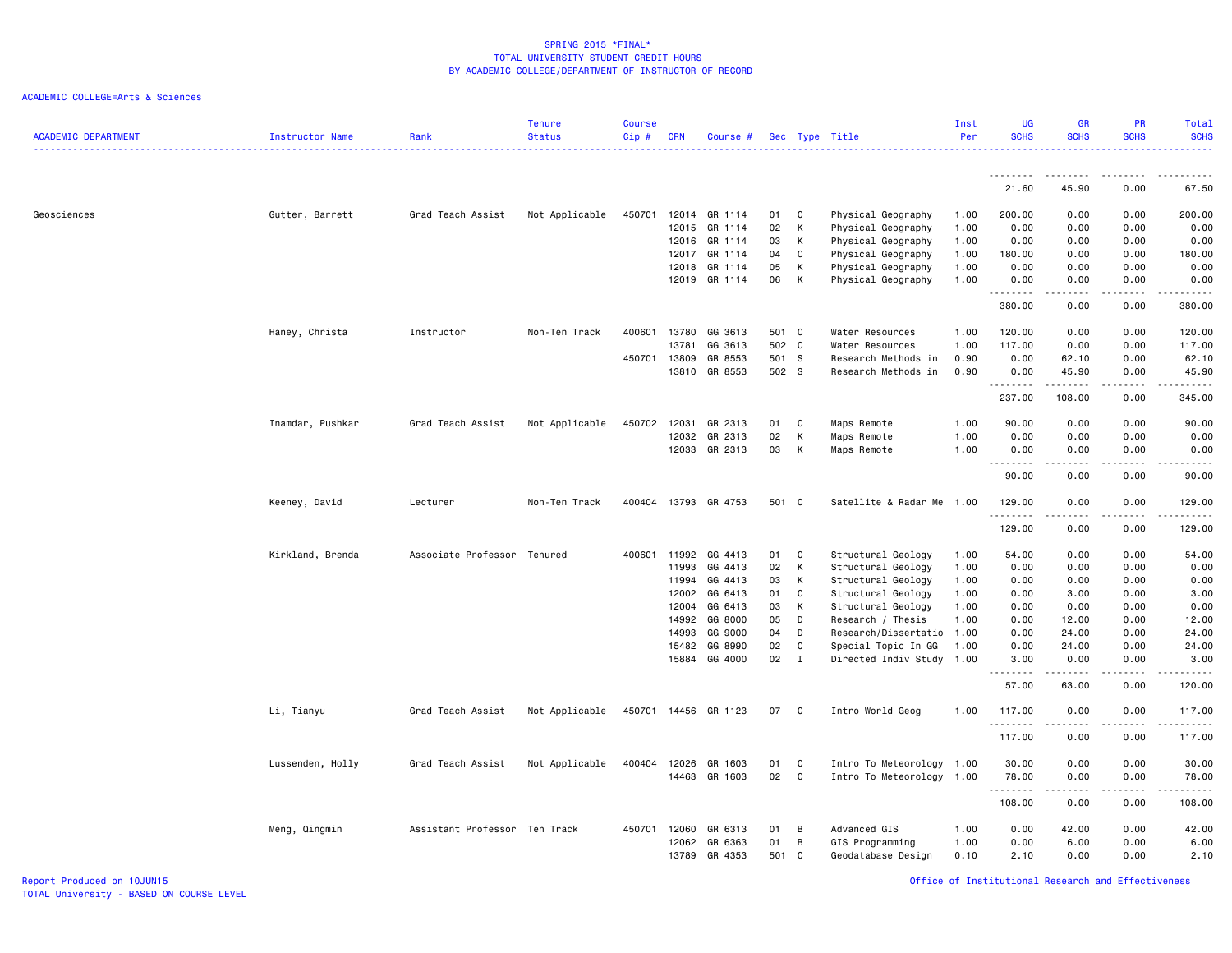## ACADEMIC COLLEGE=Arts & Sciences

| <b>ACADEMIC DEPARTMENT</b> | Instructor Name  | Rank                          | <b>Tenure</b><br><b>Status</b> | <b>Course</b><br>Cip# | <b>CRN</b>     | Course #           |          |             | Sec Type Title                                 | Inst<br>Per  | <b>UG</b><br><b>SCHS</b> | <b>GR</b><br><b>SCHS</b>                                                                                                                                      | PR<br><b>SCHS</b>                                                                                                                 | Total<br><b>SCHS</b>                                                                                                                                         |
|----------------------------|------------------|-------------------------------|--------------------------------|-----------------------|----------------|--------------------|----------|-------------|------------------------------------------------|--------------|--------------------------|---------------------------------------------------------------------------------------------------------------------------------------------------------------|-----------------------------------------------------------------------------------------------------------------------------------|--------------------------------------------------------------------------------------------------------------------------------------------------------------|
|                            |                  |                               |                                |                       |                |                    |          |             |                                                |              | <u>.</u>                 | .                                                                                                                                                             | $\frac{1}{2}$                                                                                                                     | <u>.</u><br>$- - - - -$                                                                                                                                      |
|                            |                  |                               |                                |                       |                |                    |          |             |                                                |              | 21.60                    | 45.90                                                                                                                                                         | 0.00                                                                                                                              | 67.50                                                                                                                                                        |
| Geosciences                | Gutter, Barrett  | Grad Teach Assist             | Not Applicable                 | 450701                |                | 12014 GR 1114      | 01       | C           | Physical Geography                             | 1.00         | 200.00                   | 0.00                                                                                                                                                          | 0.00                                                                                                                              | 200.00                                                                                                                                                       |
|                            |                  |                               |                                |                       | 12015          | GR 1114            | 02       | K           | Physical Geography                             | 1.00         | 0.00                     | 0.00                                                                                                                                                          | 0.00                                                                                                                              | 0.00                                                                                                                                                         |
|                            |                  |                               |                                |                       | 12016          | GR 1114            | 03       | K           | Physical Geography                             | 1.00         | 0.00                     | 0.00                                                                                                                                                          | 0.00                                                                                                                              | 0.00                                                                                                                                                         |
|                            |                  |                               |                                |                       | 12017<br>12018 | GR 1114<br>GR 1114 | 04<br>05 | C<br>K      | Physical Geography                             | 1.00<br>1.00 | 180.00<br>0.00           | 0.00<br>0.00                                                                                                                                                  | 0.00<br>0.00                                                                                                                      | 180.00<br>0.00                                                                                                                                               |
|                            |                  |                               |                                |                       |                | 12019 GR 1114      | 06       | K           | Physical Geography<br>Physical Geography       | 1.00         | 0.00                     | 0.00                                                                                                                                                          | 0.00                                                                                                                              | 0.00                                                                                                                                                         |
|                            |                  |                               |                                |                       |                |                    |          |             |                                                |              | .<br>380.00              | $- - - - -$<br>0.00                                                                                                                                           | .<br>0.00                                                                                                                         | .<br>380.00                                                                                                                                                  |
|                            | Haney, Christa   | Instructor                    | Non-Ten Track                  | 400601                | 13780          | GG 3613            | 501 C    |             | Water Resources                                | 1.00         | 120.00                   | 0.00                                                                                                                                                          | 0.00                                                                                                                              | 120.00                                                                                                                                                       |
|                            |                  |                               |                                |                       | 13781          | GG 3613            | 502 C    |             | Water Resources                                | 1.00         | 117.00                   | 0.00                                                                                                                                                          | 0.00                                                                                                                              | 117.00                                                                                                                                                       |
|                            |                  |                               |                                | 450701                | 13809          | GR 8553            | 501 S    |             | Research Methods in                            | 0.90         | 0.00                     | 62.10                                                                                                                                                         | 0.00                                                                                                                              | 62.10                                                                                                                                                        |
|                            |                  |                               |                                |                       | 13810          | GR 8553            | 502 S    |             | Research Methods in                            | 0.90         | 0.00<br>.                | 45.90<br>-------                                                                                                                                              | 0.00<br>.                                                                                                                         | 45.90<br>.                                                                                                                                                   |
|                            |                  |                               |                                |                       |                |                    |          |             |                                                |              | 237.00                   | 108.00                                                                                                                                                        | 0.00                                                                                                                              | 345.00                                                                                                                                                       |
|                            | Inamdar, Pushkar | Grad Teach Assist             | Not Applicable                 | 450702                | 12031          | GR 2313            | 01       | C           | Maps Remote                                    | 1.00         | 90.00                    | 0.00                                                                                                                                                          | 0.00                                                                                                                              | 90.00                                                                                                                                                        |
|                            |                  |                               |                                |                       | 12032          | GR 2313            | 02       | К           | Maps Remote                                    | 1.00         | 0.00                     | 0.00                                                                                                                                                          | 0.00                                                                                                                              | 0.00                                                                                                                                                         |
|                            |                  |                               |                                |                       | 12033          | GR 2313            | 03       | К           | Maps Remote                                    | 1.00         | 0.00<br>.                | 0.00<br>$\frac{1}{2} \left( \frac{1}{2} \right) \left( \frac{1}{2} \right) \left( \frac{1}{2} \right) \left( \frac{1}{2} \right) \left( \frac{1}{2} \right)$  | 0.00<br>.                                                                                                                         | 0.00<br>$\frac{1}{2} \left( \frac{1}{2} \right) \left( \frac{1}{2} \right) \left( \frac{1}{2} \right) \left( \frac{1}{2} \right) \left( \frac{1}{2} \right)$ |
|                            |                  |                               |                                |                       |                |                    |          |             |                                                |              | 90.00                    | 0.00                                                                                                                                                          | 0.00                                                                                                                              | 90.00                                                                                                                                                        |
|                            | Keeney, David    | Lecturer                      | Non-Ten Track                  | 400404                |                | 13793 GR 4753      | 501 C    |             | Satellite & Radar Me 1.00                      |              | 129,00<br>.              | 0.00<br><u>.</u>                                                                                                                                              | 0.00<br>.                                                                                                                         | 129.00<br>.                                                                                                                                                  |
|                            |                  |                               |                                |                       |                |                    |          |             |                                                |              | 129.00                   | 0.00                                                                                                                                                          | 0.00                                                                                                                              | 129.00                                                                                                                                                       |
|                            | Kirkland, Brenda | Associate Professor Tenured   |                                | 400601                | 11992          | GG 4413            | 01       | C           | Structural Geology                             | 1.00         | 54.00                    | 0.00                                                                                                                                                          | 0.00                                                                                                                              | 54.00                                                                                                                                                        |
|                            |                  |                               |                                |                       | 11993          | GG 4413            | 02       | К           | Structural Geology                             | 1.00         | 0.00                     | 0.00                                                                                                                                                          | 0.00                                                                                                                              | 0.00                                                                                                                                                         |
|                            |                  |                               |                                |                       | 11994          | GG 4413            | 03       | K           | Structural Geology                             | 1.00         | 0.00                     | 0.00                                                                                                                                                          | 0.00                                                                                                                              | 0.00                                                                                                                                                         |
|                            |                  |                               |                                |                       | 12002          | GG 6413            | 01       | C           | Structural Geology                             | 1.00         | 0.00                     | 3.00                                                                                                                                                          | 0.00                                                                                                                              | 3.00                                                                                                                                                         |
|                            |                  |                               |                                |                       | 12004          | GG 6413            | 03       | к           | Structural Geology                             | 1.00         | 0.00                     | 0.00                                                                                                                                                          | 0.00                                                                                                                              | 0.00                                                                                                                                                         |
|                            |                  |                               |                                |                       | 14992<br>14993 | GG 8000<br>GG 9000 | 05<br>04 | D<br>D      | Research / Thesis<br>Research/Dissertatio 1.00 | 1.00         | 0.00<br>0.00             | 12.00<br>24.00                                                                                                                                                | 0.00<br>0.00                                                                                                                      | 12.00<br>24.00                                                                                                                                               |
|                            |                  |                               |                                |                       | 15482          | GG 8990            | 02       | C           | Special Topic In GG                            | 1.00         | 0.00                     | 24.00                                                                                                                                                         | 0.00                                                                                                                              | 24.00                                                                                                                                                        |
|                            |                  |                               |                                |                       |                | 15884 GG 4000      | 02       | $\mathbf I$ | Directed Indiv Study 1.00                      |              | 3.00                     | 0.00                                                                                                                                                          | 0.00                                                                                                                              | 3.00                                                                                                                                                         |
|                            |                  |                               |                                |                       |                |                    |          |             |                                                |              | .<br>57.00               | $\frac{1}{2} \left( \frac{1}{2} \right) \left( \frac{1}{2} \right) \left( \frac{1}{2} \right) \left( \frac{1}{2} \right) \left( \frac{1}{2} \right)$<br>63.00 | $\frac{1}{2} \left( \frac{1}{2} \right) \left( \frac{1}{2} \right) \left( \frac{1}{2} \right) \left( \frac{1}{2} \right)$<br>0.00 | والمستحدث<br>120.00                                                                                                                                          |
|                            | Li, Tianyu       | Grad Teach Assist             | Not Applicable                 | 450701                |                | 14456 GR 1123      | 07       | - C         | Intro World Geog                               | 1.00         | 117.00                   | 0.00                                                                                                                                                          | 0.00                                                                                                                              | 117.00                                                                                                                                                       |
|                            |                  |                               |                                |                       |                |                    |          |             |                                                |              | .<br>117.00              | 0.00                                                                                                                                                          | $\sim$ $\sim$ $\sim$<br>0.00                                                                                                      | .<br>117.00                                                                                                                                                  |
|                            | Lussenden, Holly | Grad Teach Assist             | Not Applicable                 | 400404                | 12026          | GR 1603            | 01       | C           | Intro To Meteorology 1.00                      |              | 30.00                    | 0.00                                                                                                                                                          | 0.00                                                                                                                              | 30.00                                                                                                                                                        |
|                            |                  |                               |                                |                       |                | 14463 GR 1603      | 02       | C           | Intro To Meteorology 1.00                      |              | 78.00                    | 0.00                                                                                                                                                          | 0.00                                                                                                                              | 78.00                                                                                                                                                        |
|                            |                  |                               |                                |                       |                |                    |          |             |                                                |              | .<br>108.00              | 0.00                                                                                                                                                          | 0.00                                                                                                                              | .<br>108.00                                                                                                                                                  |
|                            | Meng, Qingmin    | Assistant Professor Ten Track |                                | 450701                | 12060          | GR 6313            | 01       | B           | Advanced GIS                                   | 1.00         | 0.00                     | 42.00                                                                                                                                                         | 0.00                                                                                                                              | 42.00                                                                                                                                                        |
|                            |                  |                               |                                |                       | 12062          | GR 6363            | 01       | B           | GIS Programming                                | 1.00         | 0.00                     | 6.00                                                                                                                                                          | 0.00                                                                                                                              | 6.00                                                                                                                                                         |
|                            |                  |                               |                                |                       | 13789          | GR 4353            | 501      | C           | Geodatabase Design                             | 0.10         | 2.10                     | 0.00                                                                                                                                                          | 0.00                                                                                                                              | 2.10                                                                                                                                                         |

Report Produced on 10JUN15 Office of Institutional Research and Effectiveness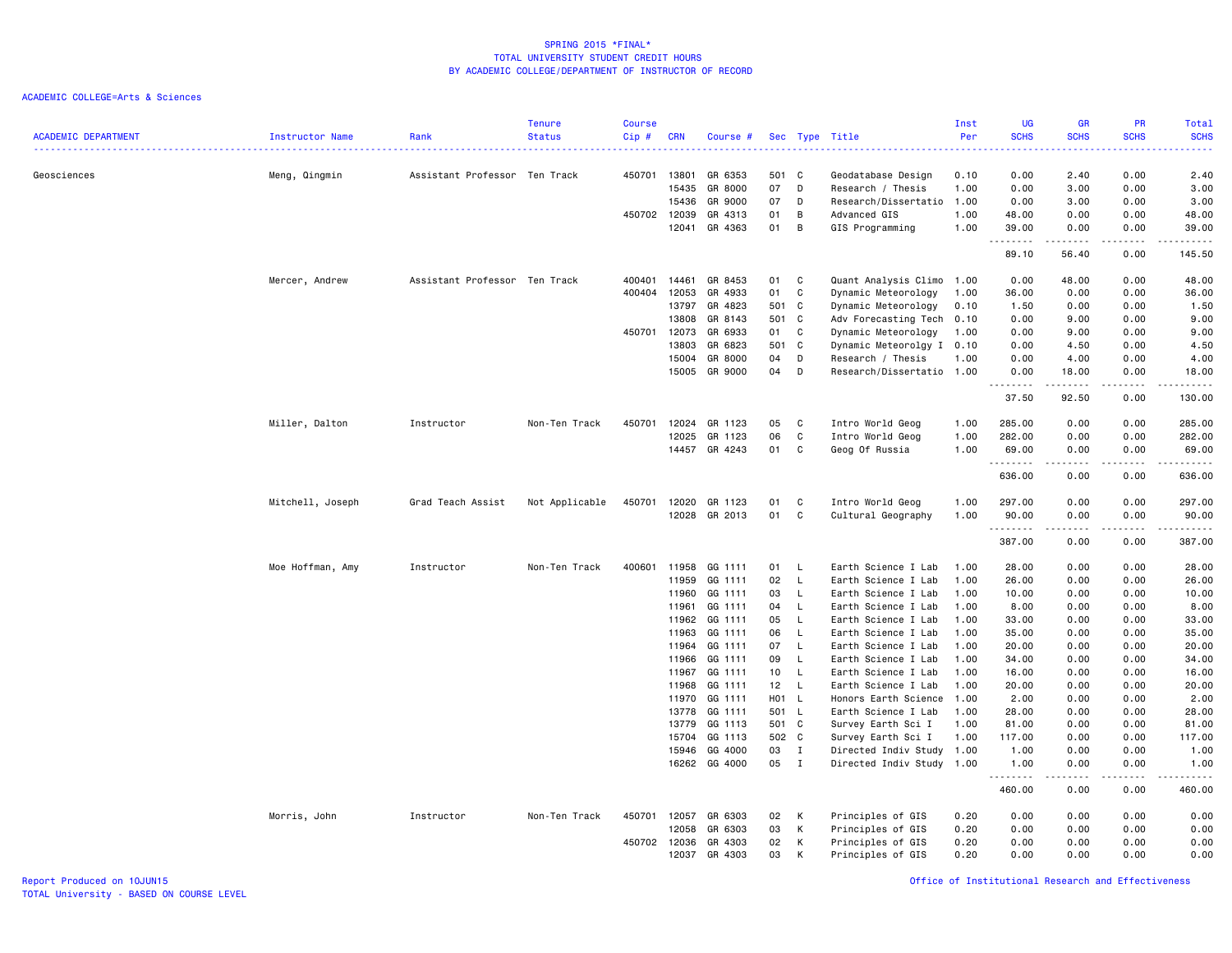| <b>ACADEMIC DEPARTMENT</b> | Instructor Name  | Rank                          | <b>Tenure</b><br><b>Status</b> | <b>Course</b><br>Cip# | <b>CRN</b> | Course #      |       |              | Sec Type Title<br>. <u>.</u> . | Inst<br>Per<br>. | <b>UG</b><br><b>SCHS</b><br>$\sim$ $\sim$ $\sim$ $\sim$ | <b>GR</b><br><b>SCHS</b>                                                                                                                                                                | <b>PR</b><br><b>SCHS</b> | Total<br><b>SCHS</b><br>2222. |
|----------------------------|------------------|-------------------------------|--------------------------------|-----------------------|------------|---------------|-------|--------------|--------------------------------|------------------|---------------------------------------------------------|-----------------------------------------------------------------------------------------------------------------------------------------------------------------------------------------|--------------------------|-------------------------------|
| Geosciences                | Meng, Qingmin    | Assistant Professor Ten Track |                                | 450701                | 13801      | GR 6353       | 501 C |              | Geodatabase Design             | 0.10             | 0.00                                                    | 2.40                                                                                                                                                                                    | 0.00                     | 2.40                          |
|                            |                  |                               |                                |                       | 15435      | GR 8000       | 07    | D            | Research / Thesis              | 1.00             | 0.00                                                    | 3.00                                                                                                                                                                                    | 0.00                     | 3.00                          |
|                            |                  |                               |                                |                       | 15436      | GR 9000       | 07    | D            | Research/Dissertatio           | 1.00             | 0.00                                                    | 3.00                                                                                                                                                                                    | 0.00                     | 3.00                          |
|                            |                  |                               |                                | 450702                | 12039      | GR 4313       | 01    | В            | Advanced GIS                   | 1.00             | 48.00                                                   | 0.00                                                                                                                                                                                    | 0.00                     | 48.00                         |
|                            |                  |                               |                                |                       | 12041      | GR 4363       | 01    | В            | GIS Programming                | 1.00             | 39.00<br>.                                              | 0.00<br>------                                                                                                                                                                          | 0.00<br>.                | 39.00<br>.                    |
|                            |                  |                               |                                |                       |            |               |       |              |                                |                  | 89.10                                                   | 56.40                                                                                                                                                                                   | 0.00                     | 145.50                        |
|                            | Mercer, Andrew   | Assistant Professor Ten Track |                                | 400401                | 14461      | GR 8453       | 01    | C            | Quant Analysis Climo 1.00      |                  | 0.00                                                    | 48.00                                                                                                                                                                                   | 0.00                     | 48.00                         |
|                            |                  |                               |                                | 400404                | 12053      | GR 4933       | 01    | C            | Dynamic Meteorology            | 1.00             | 36.00                                                   | 0.00                                                                                                                                                                                    | 0.00                     | 36.00                         |
|                            |                  |                               |                                |                       | 13797      | GR 4823       | 501 C |              | Dynamic Meteorology            | 0.10             | 1.50                                                    | 0.00                                                                                                                                                                                    | 0.00                     | 1.50                          |
|                            |                  |                               |                                |                       | 13808      | GR 8143       | 501 C |              | Adv Forecasting Tech 0.10      |                  | 0.00                                                    | 9.00                                                                                                                                                                                    | 0.00                     | 9.00                          |
|                            |                  |                               |                                | 450701                | 12073      | GR 6933       | 01    | C            | Dynamic Meteorology            | 1.00             | 0.00                                                    | 9.00                                                                                                                                                                                    | 0.00                     | 9.00                          |
|                            |                  |                               |                                |                       | 13803      | GR 6823       | 501 C |              | Dynamic Meteorolgy I           | 0.10             | 0.00                                                    | 4.50                                                                                                                                                                                    | 0.00                     | 4.50                          |
|                            |                  |                               |                                |                       | 15004      | GR 8000       | 04    | D            | Research / Thesis              | 1.00             | 0.00                                                    | 4.00                                                                                                                                                                                    | 0.00                     | 4.00                          |
|                            |                  |                               |                                |                       | 15005      | GR 9000       | 04    | D            | Research/Dissertatio 1.00      |                  | 0.00<br><b></b>                                         | 18.00<br>. <u>.</u>                                                                                                                                                                     | 0.00<br>$\cdots$         | 18.00<br>.                    |
|                            |                  |                               |                                |                       |            |               |       |              |                                |                  | 37.50                                                   | 92.50                                                                                                                                                                                   | 0.00                     | 130.00                        |
|                            | Miller, Dalton   | Instructor                    | Non-Ten Track                  | 450701                | 12024      | GR 1123       | 05    | C            | Intro World Geog               | 1.00             | 285.00                                                  | 0.00                                                                                                                                                                                    | 0.00                     | 285.00                        |
|                            |                  |                               |                                |                       | 12025      | GR 1123       | 06    | C            | Intro World Geog               | 1.00             | 282.00                                                  | 0.00                                                                                                                                                                                    | 0.00                     | 282.00                        |
|                            |                  |                               |                                |                       | 14457      | GR 4243       | 01    | C            | Geog Of Russia                 | 1.00             | 69.00                                                   | 0.00                                                                                                                                                                                    | 0.00                     | 69.00                         |
|                            |                  |                               |                                |                       |            |               |       |              |                                |                  | --------<br>636.00                                      | $\frac{1}{2} \left( \frac{1}{2} \right) \left( \frac{1}{2} \right) \left( \frac{1}{2} \right) \left( \frac{1}{2} \right) \left( \frac{1}{2} \right) \left( \frac{1}{2} \right)$<br>0.00 | .<br>0.00                | 636.00                        |
|                            | Mitchell, Joseph | Grad Teach Assist             | Not Applicable                 | 450701                | 12020      | GR 1123       | 01    | C            | Intro World Geog               | 1.00             | 297.00                                                  | 0.00                                                                                                                                                                                    | 0.00                     | 297.00                        |
|                            |                  |                               |                                |                       | 12028      | GR 2013       | 01    | C            | Cultural Geography             | 1.00             | 90.00                                                   | 0.00                                                                                                                                                                                    | 0.00                     | 90.00                         |
|                            |                  |                               |                                |                       |            |               |       |              |                                |                  | .<br>387.00                                             | 0.00                                                                                                                                                                                    | 0.00                     | .<br>387.00                   |
|                            | Moe Hoffman, Amy | Instructor                    | Non-Ten Track                  | 400601                | 11958      | GG 1111       | 01    | L.           | Earth Science I Lab            | 1.00             | 28.00                                                   | 0.00                                                                                                                                                                                    | 0.00                     | 28.00                         |
|                            |                  |                               |                                |                       | 11959      | GG 1111       | 02    | L.           | Earth Science I Lab            | 1.00             | 26.00                                                   | 0.00                                                                                                                                                                                    | 0.00                     | 26.00                         |
|                            |                  |                               |                                |                       | 11960      | GG 1111       | 03    | L.           | Earth Science I Lab            | 1.00             | 10.00                                                   | 0.00                                                                                                                                                                                    | 0.00                     | 10.00                         |
|                            |                  |                               |                                |                       | 11961      | GG 1111       | 04    | $\mathsf{L}$ | Earth Science I Lab            | 1.00             | 8.00                                                    | 0.00                                                                                                                                                                                    | 0.00                     | 8.00                          |
|                            |                  |                               |                                |                       | 11962      | GG 1111       | 05    | $\mathsf{L}$ | Earth Science I Lab            | 1.00             | 33.00                                                   | 0.00                                                                                                                                                                                    | 0.00                     | 33.00                         |
|                            |                  |                               |                                |                       | 11963      | GG 1111       | 06    | L.           | Earth Science I Lab            | 1.00             | 35.00                                                   | 0.00                                                                                                                                                                                    | 0.00                     | 35.00                         |
|                            |                  |                               |                                |                       | 11964      | GG 1111       | 07    | L.           | Earth Science I Lab            | 1.00             | 20.00                                                   | 0.00                                                                                                                                                                                    | 0.00                     | 20.00                         |
|                            |                  |                               |                                |                       | 11966      | GG 1111       | 09    | $\mathsf{L}$ | Earth Science I Lab            | 1.00             | 34.00                                                   | 0.00                                                                                                                                                                                    | 0.00                     | 34.00                         |
|                            |                  |                               |                                |                       | 11967      | GG 1111       | 10    | L.           | Earth Science I Lab            | 1.00             | 16.00                                                   | 0.00                                                                                                                                                                                    | 0.00                     | 16.00                         |
|                            |                  |                               |                                |                       | 11968      | GG 1111       | 12    | $\mathsf{L}$ | Earth Science I Lab            | 1.00             | 20.00                                                   | 0.00                                                                                                                                                                                    | 0.00                     | 20.00                         |
|                            |                  |                               |                                |                       | 11970      | GG 1111       | H01 L |              | Honors Earth Science           | 1.00             | 2.00                                                    | 0.00                                                                                                                                                                                    | 0.00                     | 2.00                          |
|                            |                  |                               |                                |                       | 13778      | GG 1111       | 501 L |              | Earth Science I Lab            | 1.00             | 28.00                                                   | 0.00                                                                                                                                                                                    | 0.00                     | 28.00                         |
|                            |                  |                               |                                |                       | 13779      | GG 1113       | 501 C |              | Survey Earth Sci I             | 1.00             | 81.00                                                   | 0.00                                                                                                                                                                                    | 0.00                     | 81.00                         |
|                            |                  |                               |                                |                       | 15704      | GG 1113       | 502 C |              | Survey Earth Sci I             | 1.00             | 117.00                                                  | 0.00                                                                                                                                                                                    | 0.00                     | 117.00                        |
|                            |                  |                               |                                |                       | 15946      | GG 4000       | 03    | $\mathbf{I}$ | Directed Indiv Study           | 1.00             | 1.00                                                    | 0.00                                                                                                                                                                                    | 0.00                     | 1.00                          |
|                            |                  |                               |                                |                       |            | 16262 GG 4000 | 05    | $\mathbf{I}$ | Directed Indiv Study 1.00      |                  | 1.00<br>.                                               | 0.00                                                                                                                                                                                    | 0.00                     | 1.00<br>.                     |
|                            |                  |                               |                                |                       |            |               |       |              |                                |                  | 460.00                                                  | 0.00                                                                                                                                                                                    | 0.00                     | 460.00                        |
|                            | Morris, John     | Instructor                    | Non-Ten Track                  | 450701                | 12057      | GR 6303       | 02    | K            | Principles of GIS              | 0.20             | 0.00                                                    | 0.00                                                                                                                                                                                    | 0.00                     | 0.00                          |
|                            |                  |                               |                                |                       | 12058      | GR 6303       | 03    | К            | Principles of GIS              | 0.20             | 0.00                                                    | 0.00                                                                                                                                                                                    | 0.00                     | 0.00                          |
|                            |                  |                               |                                | 450702                | 12036      | GR 4303       | 02    | К            | Principles of GIS              | 0.20             | 0.00                                                    | 0.00                                                                                                                                                                                    | 0.00                     | 0.00                          |
|                            |                  |                               |                                |                       | 12037      | GR 4303       | 03    | К            | Principles of GIS              | 0.20             | 0.00                                                    | 0.00                                                                                                                                                                                    | 0.00                     | 0.00                          |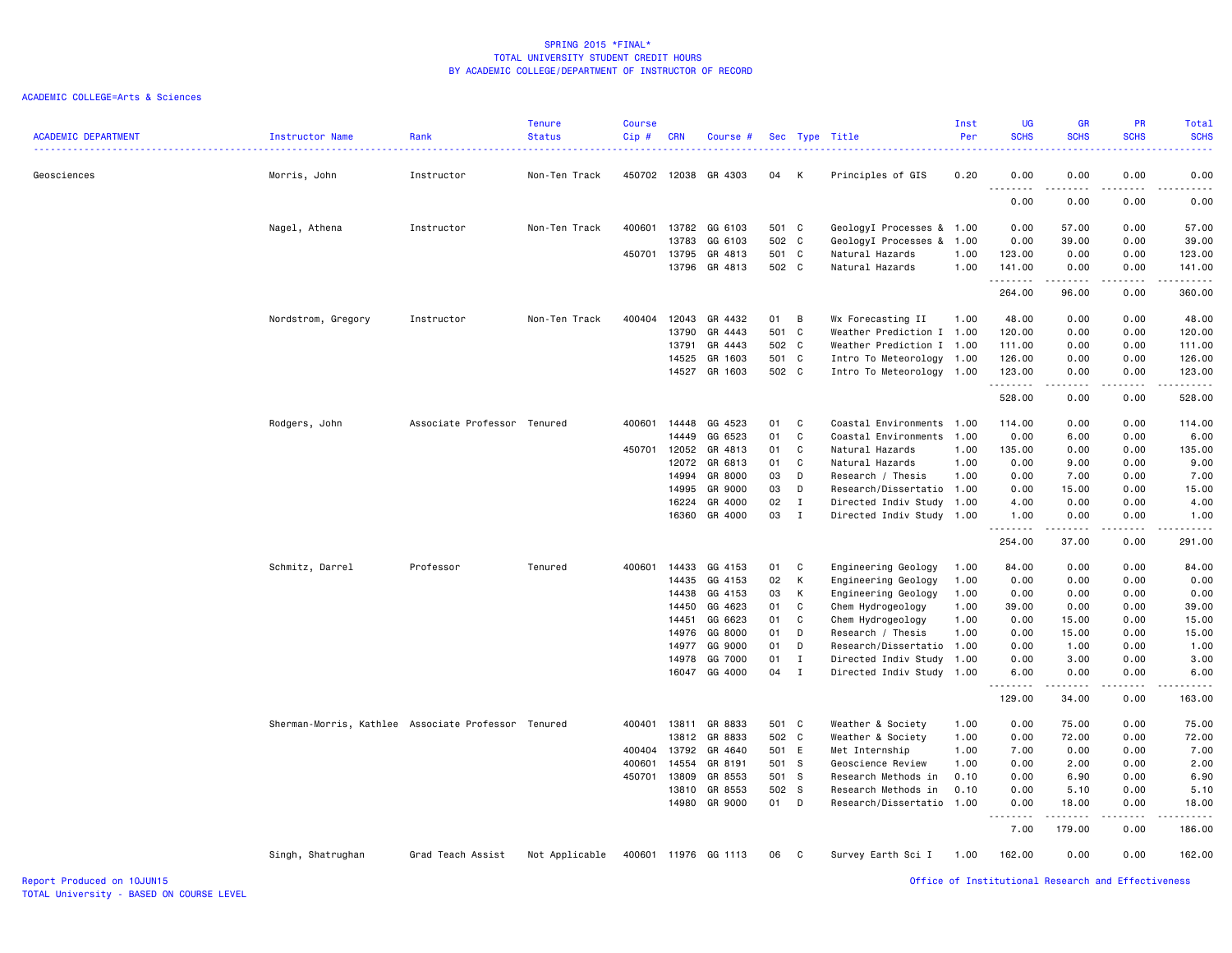| <b>ACADEMIC DEPARTMENT</b> | <b>Instructor Name</b>                              | Rank                        | <b>Tenure</b><br><b>Status</b> | <b>Course</b><br>Cip# | <b>CRN</b> | Course #             | Sec   |              | Type Title                | Inst<br>Per | <b>UG</b><br><b>SCHS</b>          | GR<br><b>SCHS</b>                                                                                                                                            | PR<br><b>SCHS</b> | Total<br><b>SCHS</b> |
|----------------------------|-----------------------------------------------------|-----------------------------|--------------------------------|-----------------------|------------|----------------------|-------|--------------|---------------------------|-------------|-----------------------------------|--------------------------------------------------------------------------------------------------------------------------------------------------------------|-------------------|----------------------|
|                            |                                                     | . <b>.</b> .                |                                |                       |            |                      |       |              |                           |             |                                   |                                                                                                                                                              |                   | .                    |
| Geosciences                | Morris, John                                        | Instructor                  | Non-Ten Track                  | 450702 12038          |            | GR 4303              | 04    | K            | Principles of GIS         | 0.20        | 0.00                              | 0.00                                                                                                                                                         | 0.00              | 0.00                 |
|                            |                                                     |                             |                                |                       |            |                      |       |              |                           |             | $\sim$ $\sim$ $\sim$<br>.<br>0.00 | 0.00                                                                                                                                                         | 0.00              | .<br>0.00            |
|                            | Nagel, Athena                                       | Instructor                  | Non-Ten Track                  | 400601                | 13782      | GG 6103              | 501 C |              | GeologyI Processes & 1.00 |             | 0.00                              | 57.00                                                                                                                                                        | 0.00              | 57.00                |
|                            |                                                     |                             |                                |                       | 13783      | GG 6103              | 502 C |              | GeologyI Processes & 1.00 |             | 0.00                              | 39.00                                                                                                                                                        | 0.00              | 39.00                |
|                            |                                                     |                             |                                | 450701                | 13795      | GR 4813              | 501 C |              | Natural Hazards           | 1.00        | 123.00                            | 0.00                                                                                                                                                         | 0.00              | 123.00               |
|                            |                                                     |                             |                                |                       | 13796      | GR 4813              | 502 C |              | Natural Hazards           | 1.00        | 141.00<br>.                       | 0.00<br>$\frac{1}{2} \left( \frac{1}{2} \right) \left( \frac{1}{2} \right) \left( \frac{1}{2} \right) \left( \frac{1}{2} \right) \left( \frac{1}{2} \right)$ | 0.00<br>.         | 141.00<br>.          |
|                            |                                                     |                             |                                |                       |            |                      |       |              |                           |             | 264.00                            | 96.00                                                                                                                                                        | 0.00              | 360.00               |
|                            | Nordstrom, Gregory                                  | Instructor                  | Non-Ten Track                  | 400404                | 12043      | GR 4432              | 01    | B            | Wx Forecasting II         | 1.00        | 48.00                             | 0.00                                                                                                                                                         | 0.00              | 48.00                |
|                            |                                                     |                             |                                |                       | 13790      | GR 4443              | 501 C |              | Weather Prediction I 1.00 |             | 120.00                            | 0.00                                                                                                                                                         | 0.00              | 120.00               |
|                            |                                                     |                             |                                |                       | 13791      | GR 4443              | 502 C |              | Weather Prediction I 1.00 |             | 111.00                            | 0.00                                                                                                                                                         | 0.00              | 111.00               |
|                            |                                                     |                             |                                |                       | 14525      | GR 1603              | 501 C |              | Intro To Meteorology 1.00 |             | 126.00                            | 0.00                                                                                                                                                         | 0.00              | 126.00               |
|                            |                                                     |                             |                                |                       | 14527      | GR 1603              | 502 C |              | Intro To Meteorology 1.00 |             | 123.00<br>.                       | 0.00                                                                                                                                                         | 0.00              | 123.00<br>.          |
|                            |                                                     |                             |                                |                       |            |                      |       |              |                           |             | 528.00                            | 0.00                                                                                                                                                         | 0.00              | 528.00               |
|                            | Rodgers, John                                       | Associate Professor Tenured |                                | 400601                | 14448      | GG 4523              | 01    | C            | Coastal Environments 1.00 |             | 114.00                            | 0.00                                                                                                                                                         | 0.00              | 114.00               |
|                            |                                                     |                             |                                |                       | 14449      | GG 6523              | 01    | C            | Coastal Environments 1.00 |             | 0.00                              | 6.00                                                                                                                                                         | 0.00              | 6.00                 |
|                            |                                                     |                             |                                | 450701                | 12052      | GR 4813              | 01    | C            | Natural Hazards           | 1.00        | 135.00                            | 0.00                                                                                                                                                         | 0.00              | 135.00               |
|                            |                                                     |                             |                                |                       | 12072      | GR 6813              | 01    | C            | Natural Hazards           | 1.00        | 0.00                              | 9.00                                                                                                                                                         | 0.00              | 9.00                 |
|                            |                                                     |                             |                                |                       | 14994      | GR 8000              | 03    | D            | Research / Thesis         | 1.00        | 0.00                              | 7.00                                                                                                                                                         | 0.00              | 7.00                 |
|                            |                                                     |                             |                                |                       | 14995      | GR 9000              | 03    | D            | Research/Dissertatio 1.00 |             | 0.00                              | 15.00                                                                                                                                                        | 0.00              | 15.00                |
|                            |                                                     |                             |                                |                       | 16224      | GR 4000              | 02    | Ι.           | Directed Indiv Study 1.00 |             | 4.00                              | 0.00                                                                                                                                                         | 0.00              | 4.00                 |
|                            |                                                     |                             |                                |                       | 16360      | GR 4000              | 03    | $\mathbf{I}$ | Directed Indiv Study 1.00 |             | 1.00<br>.                         | 0.00<br>$- - - - -$                                                                                                                                          | 0.00<br>.         | 1.00<br>.            |
|                            |                                                     |                             |                                |                       |            |                      |       |              |                           |             | 254.00                            | 37.00                                                                                                                                                        | 0.00              | 291.00               |
|                            | Schmitz, Darrel                                     | Professor                   | Tenured                        | 400601                | 14433      | GG 4153              | 01    | C            | Engineering Geology       | 1.00        | 84.00                             | 0.00                                                                                                                                                         | 0.00              | 84.00                |
|                            |                                                     |                             |                                |                       | 14435      | GG 4153              | 02    | Κ            | Engineering Geology       | 1.00        | 0.00                              | 0.00                                                                                                                                                         | 0.00              | 0.00                 |
|                            |                                                     |                             |                                |                       | 14438      | GG 4153              | 03    | Κ            | Engineering Geology       | 1.00        | 0.00                              | 0.00                                                                                                                                                         | 0.00              | 0.00                 |
|                            |                                                     |                             |                                |                       | 14450      | GG 4623              | 01    | $\mathbf{C}$ | Chem Hydrogeology         | 1.00        | 39.00                             | 0.00                                                                                                                                                         | 0.00              | 39.00                |
|                            |                                                     |                             |                                |                       | 14451      | GG 6623              | 01    | C            | Chem Hydrogeology         | 1.00        | 0.00                              | 15.00                                                                                                                                                        | 0.00              | 15.00                |
|                            |                                                     |                             |                                |                       | 14976      | GG 8000              | 01    | D            | Research / Thesis         | 1.00        | 0.00                              | 15.00                                                                                                                                                        | 0.00              | 15.00                |
|                            |                                                     |                             |                                |                       | 14977      | GG 9000              | 01    | D            | Research/Dissertatio 1.00 |             | 0.00                              | 1.00                                                                                                                                                         | 0.00              | 1.00                 |
|                            |                                                     |                             |                                |                       | 14978      | GG 7000              | 01    | $\mathbf I$  | Directed Indiv Study      | 1.00        | 0.00                              | 3.00                                                                                                                                                         | 0.00              | 3.00                 |
|                            |                                                     |                             |                                |                       | 16047      | GG 4000              | 04    | $\mathbf I$  | Directed Indiv Study 1.00 |             | 6.00<br><u> - - - - - - - -</u>   | 0.00<br>د د د د د                                                                                                                                            | 0.00<br>.         | 6.00<br>.            |
|                            |                                                     |                             |                                |                       |            |                      |       |              |                           |             | 129.00                            | 34.00                                                                                                                                                        | 0.00              | 163.00               |
|                            | Sherman-Morris, Kathlee Associate Professor Tenured |                             |                                | 400401                | 13811      | GR 8833              | 501 C |              | Weather & Society         | 1.00        | 0.00                              | 75.00                                                                                                                                                        | 0.00              | 75.00                |
|                            |                                                     |                             |                                |                       | 13812      | GR 8833              | 502 C |              | Weather & Society         | 1.00        | 0.00                              | 72.00                                                                                                                                                        | 0.00              | 72.00                |
|                            |                                                     |                             |                                | 400404                | 13792      | GR 4640              | 501 E |              | Met Internship            | 1.00        | 7.00                              | 0.00                                                                                                                                                         | 0.00              | 7.00                 |
|                            |                                                     |                             |                                | 400601                | 14554      | GR 8191              | 501 S |              | Geoscience Review         | 1.00        | 0.00                              | 2.00                                                                                                                                                         | 0.00              | 2.00                 |
|                            |                                                     |                             |                                | 450701 13809          |            | GR 8553              | 501 S |              | Research Methods in       | 0.10        | 0.00                              | 6.90                                                                                                                                                         | 0.00              | 6.90                 |
|                            |                                                     |                             |                                |                       | 13810      | GR 8553              | 502 S |              | Research Methods in       | 0.10        | 0.00                              | 5.10                                                                                                                                                         | 0.00              | 5.10                 |
|                            |                                                     |                             |                                |                       | 14980      | GR 9000              | 01    | D            | Research/Dissertatio      | 1.00        | 0.00<br><u>.</u>                  | 18.00                                                                                                                                                        | 0.00              | 18.00<br>$- - - - -$ |
|                            |                                                     |                             |                                |                       |            |                      |       |              |                           |             | 7.00                              | 179.00                                                                                                                                                       | 0.00              | 186.00               |
|                            | Singh, Shatrughan                                   | Grad Teach Assist           | Not Applicable                 |                       |            | 400601 11976 GG 1113 | 06    | C            | Survey Earth Sci I        | 1.00        | 162.00                            | 0.00                                                                                                                                                         | 0.00              | 162.00               |
|                            |                                                     |                             |                                |                       |            |                      |       |              |                           |             |                                   |                                                                                                                                                              |                   |                      |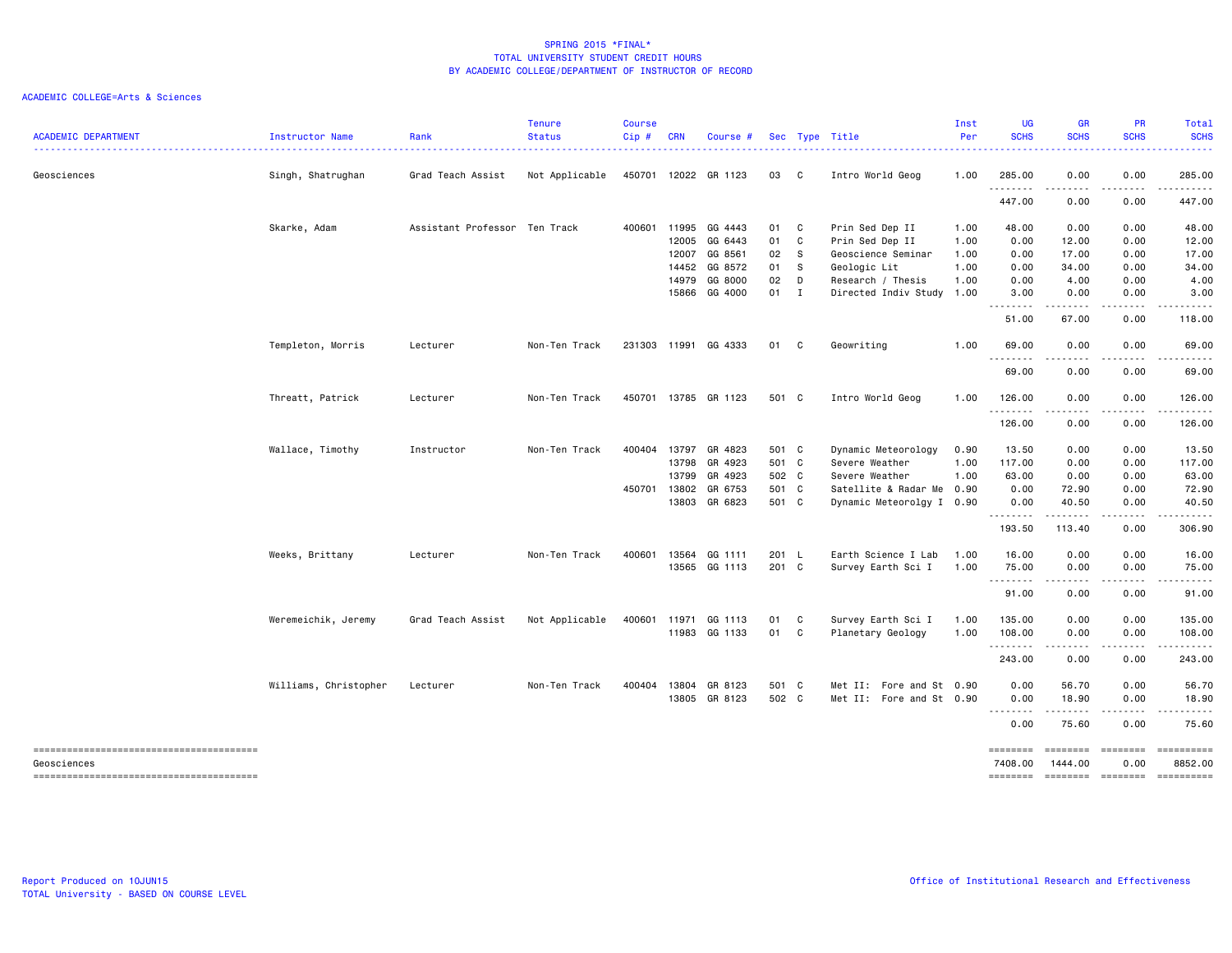| <b>ACADEMIC DEPARTMENT</b> | Instructor Name       | Rank                          | <b>Tenure</b><br><b>Status</b> | <b>Course</b><br>Cip# | <b>CRN</b>   | Course #             |       |              | Sec Type Title            | Inst<br>Per | <b>UG</b><br><b>SCHS</b> | <b>GR</b><br><b>SCHS</b>                                                                                                                                                                                           | <b>PR</b><br><b>SCHS</b> | <b>Total</b><br><b>SCHS</b>                                                                                                                                   |
|----------------------------|-----------------------|-------------------------------|--------------------------------|-----------------------|--------------|----------------------|-------|--------------|---------------------------|-------------|--------------------------|--------------------------------------------------------------------------------------------------------------------------------------------------------------------------------------------------------------------|--------------------------|---------------------------------------------------------------------------------------------------------------------------------------------------------------|
| Geosciences                | Singh, Shatrughan     | Grad Teach Assist             | Not Applicable                 | 450701                |              | 12022 GR 1123        | 03    | C            | Intro World Geog          | 1.00        | 285.00                   | 0.00                                                                                                                                                                                                               | 0.00                     | 285.00                                                                                                                                                        |
|                            |                       |                               |                                |                       |              |                      |       |              |                           |             | .<br>447.00              | 0.00                                                                                                                                                                                                               | $\cdots$<br>0.00         | .<br>447.00                                                                                                                                                   |
|                            | Skarke, Adam          | Assistant Professor Ten Track |                                | 400601                | 11995        | GG 4443              | 01    | C            | Prin Sed Dep II           | 1.00        | 48.00                    | 0.00                                                                                                                                                                                                               | 0.00                     | 48.00                                                                                                                                                         |
|                            |                       |                               |                                |                       | 12005        | GG 6443              | 01    | C            | Prin Sed Dep II           | 1.00        | 0.00                     | 12.00                                                                                                                                                                                                              | 0.00                     | 12.00                                                                                                                                                         |
|                            |                       |                               |                                |                       | 12007        | GG 8561              | 02    | $\mathbf{s}$ | Geoscience Seminar        | 1.00        | 0.00                     | 17.00                                                                                                                                                                                                              | 0.00                     | 17.00                                                                                                                                                         |
|                            |                       |                               |                                |                       | 14452        | GG 8572              | 01    | s            | Geologic Lit              | 1.00        | 0.00                     | 34.00                                                                                                                                                                                                              | 0.00                     | 34.00                                                                                                                                                         |
|                            |                       |                               |                                |                       | 14979        | GG 8000              | 02    | D            | Research / Thesis         | 1.00        | 0.00                     | 4.00                                                                                                                                                                                                               | 0.00                     | 4.00                                                                                                                                                          |
|                            |                       |                               |                                |                       | 15866        | GG 4000              | 01    | $\mathbf{I}$ | Directed Indiv Study      | 1.00        | 3.00<br>.                | 0.00<br>.                                                                                                                                                                                                          | 0.00<br>$- - - -$        | 3.00<br>.                                                                                                                                                     |
|                            |                       |                               |                                |                       |              |                      |       |              |                           |             | 51.00                    | 67.00                                                                                                                                                                                                              | 0.00                     | 118.00                                                                                                                                                        |
|                            | Templeton, Morris     | Lecturer                      | Non-Ten Track                  | 231303                | 11991        | GG 4333              | 01    | C            | Geowriting                | 1.00        | 69.00<br>.               | 0.00<br>.                                                                                                                                                                                                          | 0.00<br>$\cdots$         | 69.00<br>.                                                                                                                                                    |
|                            |                       |                               |                                |                       |              |                      |       |              |                           |             | 69.00                    | 0.00                                                                                                                                                                                                               | 0.00                     | 69.00                                                                                                                                                         |
|                            | Threatt, Patrick      | Lecturer                      | Non-Ten Track                  |                       |              | 450701 13785 GR 1123 | 501 C |              | Intro World Geog          | 1.00        | 126.00<br>.              | 0.00<br>.                                                                                                                                                                                                          | 0.00<br>.                | 126.00<br>.                                                                                                                                                   |
|                            |                       |                               |                                |                       |              |                      |       |              |                           |             | 126.00                   | 0.00                                                                                                                                                                                                               | 0.00                     | 126.00                                                                                                                                                        |
|                            | Wallace, Timothy      | Instructor                    | Non-Ten Track                  |                       | 400404 13797 | GR 4823              | 501 C |              | Dynamic Meteorology       | 0.90        | 13.50                    | 0.00                                                                                                                                                                                                               | 0.00                     | 13.50                                                                                                                                                         |
|                            |                       |                               |                                |                       | 13798        | GR 4923              | 501 C |              | Severe Weather            | 1.00        | 117.00                   | 0.00                                                                                                                                                                                                               | 0.00                     | 117.00                                                                                                                                                        |
|                            |                       |                               |                                |                       | 13799        | GR 4923              | 502 C |              | Severe Weather            | 1.00        | 63.00                    | 0.00                                                                                                                                                                                                               | 0.00                     | 63.00                                                                                                                                                         |
|                            |                       |                               |                                | 450701 13802          |              | GR 6753              | 501 C |              | Satellite & Radar Me 0.90 |             | 0.00                     | 72.90                                                                                                                                                                                                              | 0.00                     | 72.90                                                                                                                                                         |
|                            |                       |                               |                                |                       | 13803        | GR 6823              | 501 C |              | Dynamic Meteorolgy I 0.90 |             | 0.00<br>.                | 40.50<br>.                                                                                                                                                                                                         | 0.00<br>.                | 40.50<br>.                                                                                                                                                    |
|                            |                       |                               |                                |                       |              |                      |       |              |                           |             | 193.50                   | 113.40                                                                                                                                                                                                             | 0.00                     | 306.90                                                                                                                                                        |
|                            | Weeks, Brittany       | Lecturer                      | Non-Ten Track                  | 400601                | 13564        | GG 1111              | 201 L |              | Earth Science I Lab       | 1.00        | 16.00                    | 0.00                                                                                                                                                                                                               | 0.00                     | 16.00                                                                                                                                                         |
|                            |                       |                               |                                |                       |              | 13565 GG 1113        | 201 C |              | Survey Earth Sci I        | 1.00        | 75.00                    | 0.00                                                                                                                                                                                                               | 0.00                     | 75.00                                                                                                                                                         |
|                            |                       |                               |                                |                       |              |                      |       |              |                           |             | .<br>91.00               | .<br>0.00                                                                                                                                                                                                          | .<br>0.00                | $\frac{1}{2} \left( \frac{1}{2} \right) \left( \frac{1}{2} \right) \left( \frac{1}{2} \right) \left( \frac{1}{2} \right) \left( \frac{1}{2} \right)$<br>91.00 |
|                            |                       |                               |                                |                       |              |                      |       |              |                           |             |                          |                                                                                                                                                                                                                    |                          |                                                                                                                                                               |
|                            | Weremeichik, Jeremy   | Grad Teach Assist             | Not Applicable                 | 400601                | 11971        | GG 1113              | 01    | C            | Survey Earth Sci I        | 1.00        | 135.00                   | 0.00                                                                                                                                                                                                               | 0.00                     | 135.00                                                                                                                                                        |
|                            |                       |                               |                                |                       |              | 11983 GG 1133        | 01    | C            | Planetary Geology         | 1.00        | 108.00<br>.              | 0.00<br>$\frac{1}{2} \left( \frac{1}{2} \right) \left( \frac{1}{2} \right) \left( \frac{1}{2} \right) \left( \frac{1}{2} \right) \left( \frac{1}{2} \right) \left( \frac{1}{2} \right) \left( \frac{1}{2} \right)$ | 0.00<br>.                | 108.00                                                                                                                                                        |
|                            |                       |                               |                                |                       |              |                      |       |              |                           |             | 243.00                   | 0.00                                                                                                                                                                                                               | 0.00                     | 243.00                                                                                                                                                        |
|                            | Williams, Christopher | Lecturer                      | Non-Ten Track                  | 400404                |              | 13804 GR 8123        | 501 C |              | Met II: Fore and St 0.90  |             | 0.00                     | 56.70                                                                                                                                                                                                              | 0.00                     | 56.70                                                                                                                                                         |
|                            |                       |                               |                                |                       |              | 13805 GR 8123        | 502 C |              | Met II: Fore and St 0.90  |             | 0.00                     | 18.90                                                                                                                                                                                                              | 0.00                     | 18.90                                                                                                                                                         |
|                            |                       |                               |                                |                       |              |                      |       |              |                           |             | 0.00                     | 75.60                                                                                                                                                                                                              | 0.00                     | 75.60                                                                                                                                                         |
| Geosciences                |                       |                               |                                |                       |              |                      |       |              |                           |             | ========<br>7408.00      | ========<br>1444.00                                                                                                                                                                                                | 0.00                     | 8852.00                                                                                                                                                       |
|                            |                       |                               |                                |                       |              |                      |       |              |                           |             | ========                 | ======== =======                                                                                                                                                                                                   |                          | ==========                                                                                                                                                    |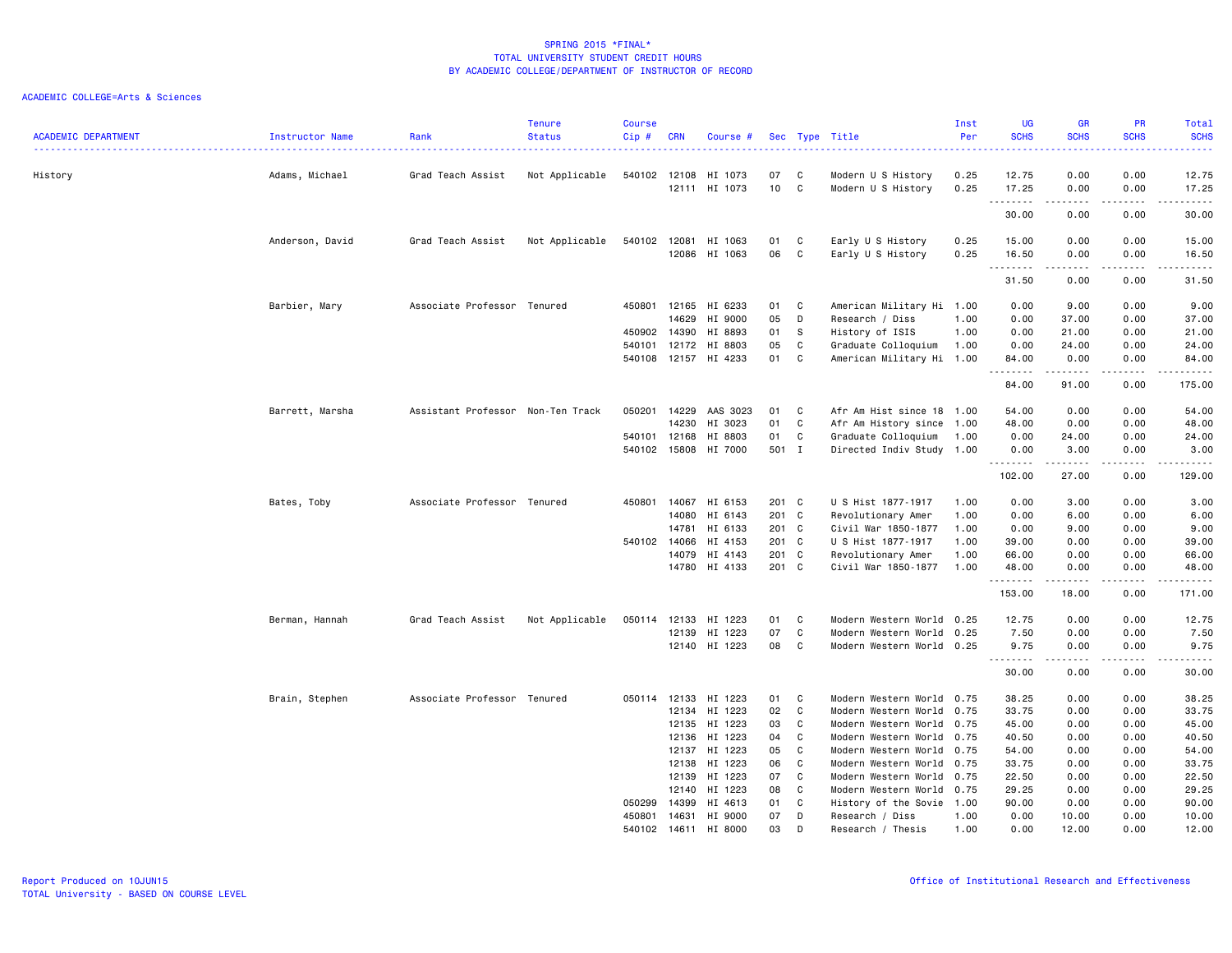| <b>ACADEMIC DEPARTMENT</b> | Instructor Name | Rank<br>. <u>.</u> .              | <b>Tenure</b><br><b>Status</b> | <b>Course</b><br>Cip#  | <b>CRN</b>                       | Course #                                                           |                            |                       | Sec Type Title                                                                                                                                | Inst<br>Per          | UG<br><b>SCHS</b><br>.                    | GR<br><b>SCHS</b>                                                                                                                                                    | PR<br><b>SCHS</b><br>.                | Total<br><b>SCHS</b><br>والمستبدات                                                                                                                                                       |
|----------------------------|-----------------|-----------------------------------|--------------------------------|------------------------|----------------------------------|--------------------------------------------------------------------|----------------------------|-----------------------|-----------------------------------------------------------------------------------------------------------------------------------------------|----------------------|-------------------------------------------|----------------------------------------------------------------------------------------------------------------------------------------------------------------------|---------------------------------------|------------------------------------------------------------------------------------------------------------------------------------------------------------------------------------------|
| History                    | Adams, Michael  | Grad Teach Assist                 | Not Applicable                 | 540102 12108           | 12111                            | HI 1073<br>HI 1073                                                 | 07<br>10                   | C<br>C                | Modern U S History<br>Modern U S History                                                                                                      | 0.25<br>0.25         | 12.75<br>17.25                            | 0.00<br>0.00                                                                                                                                                         | 0.00<br>0.00                          | 12.75<br>17.25                                                                                                                                                                           |
|                            |                 |                                   |                                |                        |                                  |                                                                    |                            |                       |                                                                                                                                               |                      | .<br>30.00                                | .<br>0.00                                                                                                                                                            | $\cdots$<br>0.00                      | $\frac{1}{2} \left( \frac{1}{2} \right) \left( \frac{1}{2} \right) \left( \frac{1}{2} \right) \left( \frac{1}{2} \right) \left( \frac{1}{2} \right) \left( \frac{1}{2} \right)$<br>30.00 |
|                            | Anderson, David | Grad Teach Assist                 | Not Applicable                 | 540102 12081           |                                  | HI 1063<br>12086 HI 1063                                           | 01<br>06                   | C<br>C                | Early U S History<br>Early U S History                                                                                                        | 0.25<br>0.25         | 15.00<br>16.50<br>.                       | 0.00<br>0.00<br>$\frac{1}{2} \left( \frac{1}{2} \right) \left( \frac{1}{2} \right) \left( \frac{1}{2} \right) \left( \frac{1}{2} \right) \left( \frac{1}{2} \right)$ | 0.00<br>0.00<br>-----                 | 15.00<br>16.50<br>.                                                                                                                                                                      |
|                            |                 |                                   |                                |                        |                                  |                                                                    |                            |                       |                                                                                                                                               |                      | 31.50                                     | 0.00                                                                                                                                                                 | 0.00                                  | 31.50                                                                                                                                                                                    |
|                            | Barbier, Mary   | Associate Professor Tenured       |                                | 450801                 | 12165<br>14629<br>450902 14390   | HI 6233<br>HI 9000<br>HI 8893                                      | 01<br>05<br>01             | C<br>D<br>-S          | American Military Hi 1.00<br>Research / Diss<br>History of ISIS                                                                               | 1.00<br>1.00<br>1.00 | 0.00<br>0.00<br>0.00                      | 9.00<br>37.00<br>21.00                                                                                                                                               | 0.00<br>0.00<br>0.00                  | 9.00<br>37.00<br>21.00                                                                                                                                                                   |
|                            |                 |                                   |                                |                        | 540101 12172                     | HI 8803<br>540108 12157 HI 4233                                    | 05<br>01                   | C<br>C                | Graduate Colloquium<br>American Military Hi 1.00                                                                                              |                      | 0.00<br>84.00<br>--------                 | 24.00<br>0.00<br>.                                                                                                                                                   | 0.00<br>0.00<br>.                     | 24.00<br>84.00<br>.                                                                                                                                                                      |
|                            |                 |                                   |                                |                        |                                  |                                                                    |                            |                       |                                                                                                                                               |                      | 84.00                                     | 91.00                                                                                                                                                                | 0.00                                  | 175.00                                                                                                                                                                                   |
|                            | Barrett, Marsha | Assistant Professor Non-Ten Track |                                | 050201<br>540101 12168 | 14229<br>14230                   | AAS 3023<br>HI 3023<br>HI 8803<br>540102 15808 HI 7000             | 01<br>01<br>01<br>501 I    | C<br>C<br>C           | Afr Am Hist since 18 1.00<br>Afr Am History since 1.00<br>Graduate Colloquium<br>Directed Indiv Study 1.00                                    | 1.00                 | 54.00<br>48.00<br>0.00<br>0.00<br>.       | 0.00<br>0.00<br>24.00<br>3.00<br>.                                                                                                                                   | 0.00<br>0.00<br>0.00<br>0.00<br>----- | 54.00<br>48.00<br>24.00<br>3.00<br>.                                                                                                                                                     |
|                            |                 |                                   |                                |                        |                                  |                                                                    |                            |                       |                                                                                                                                               |                      | 102.00                                    | 27.00                                                                                                                                                                | 0.00                                  | 129.00                                                                                                                                                                                   |
|                            | Bates, Toby     | Associate Professor Tenured       |                                |                        | 450801 14067<br>14080<br>14781   | HI 6153<br>HI 6143<br>HI 6133                                      | 201 C<br>201 C<br>201 C    |                       | U S Hist 1877-1917<br>Revolutionary Amer<br>Civil War 1850-1877                                                                               | 1.00<br>1.00<br>1.00 | 0.00<br>0.00<br>0.00                      | 3.00<br>6.00<br>9.00                                                                                                                                                 | 0.00<br>0.00<br>0.00                  | 3.00<br>6.00<br>9.00                                                                                                                                                                     |
|                            |                 |                                   |                                |                        | 540102 14066<br>14079            | HI 4153<br>HI 4143<br>14780 HI 4133                                | 201 C<br>201 C<br>201 C    |                       | U S Hist 1877-1917<br>Revolutionary Amer<br>Civil War 1850-1877                                                                               | 1.00<br>1.00<br>1.00 | 39.00<br>66.00<br>48.00                   | 0.00<br>0.00<br>0.00                                                                                                                                                 | 0.00<br>0.00<br>0.00                  | 39.00<br>66.00<br>48.00                                                                                                                                                                  |
|                            |                 |                                   |                                |                        |                                  |                                                                    |                            |                       |                                                                                                                                               |                      | .<br>153.00                               | 18.00                                                                                                                                                                | 0.00                                  | .<br>171.00                                                                                                                                                                              |
|                            | Berman, Hannah  | Grad Teach Assist                 | Not Applicable                 | 050114 12133           | 12139                            | HI 1223<br>HI 1223<br>12140 HI 1223                                | 01<br>07<br>08             | C<br>C<br>C           | Modern Western World 0.25<br>Modern Western World 0.25<br>Modern Western World 0.25                                                           |                      | 12.75<br>7.50<br>9.75                     | 0.00<br>0.00<br>0.00                                                                                                                                                 | 0.00<br>0.00<br>0.00                  | 12.75<br>7.50<br>9.75                                                                                                                                                                    |
|                            |                 |                                   |                                |                        |                                  |                                                                    |                            |                       |                                                                                                                                               |                      | .<br>30.00                                | $- - - - -$<br>0.00                                                                                                                                                  | .<br>0.00                             | .<br>30.00                                                                                                                                                                               |
|                            | Brain, Stephen  | Associate Professor Tenured       |                                |                        | 050114 12133<br>12134            | HI 1223<br>HI 1223                                                 | 01<br>02                   | C<br>C                | Modern Western World 0.75<br>Modern Western World 0.75                                                                                        |                      | 38.25<br>33.75                            | 0.00<br>0.00                                                                                                                                                         | 0.00<br>0.00                          | 38.25<br>33.75                                                                                                                                                                           |
|                            |                 |                                   |                                |                        | 12135<br>12136<br>12137<br>12138 | HI 1223<br>HI 1223<br>HI 1223<br>HI 1223<br>12139 HI 1223          | 03<br>04<br>05<br>06<br>07 | C<br>C<br>C<br>C<br>C | Modern Western World 0.75<br>Modern Western World 0.75<br>Modern Western World 0.75<br>Modern Western World 0.75<br>Modern Western World 0.75 |                      | 45.00<br>40.50<br>54.00<br>33.75<br>22.50 | 0.00<br>0.00<br>0.00<br>0.00<br>0.00                                                                                                                                 | 0.00<br>0.00<br>0.00<br>0.00<br>0.00  | 45.00<br>40.50<br>54.00<br>33.75<br>22.50                                                                                                                                                |
|                            |                 |                                   |                                | 050299                 | 12140<br>14399                   | HI 1223<br>HI 4613<br>450801 14631 HI 9000<br>540102 14611 HI 8000 | 08<br>01<br>07<br>03       | C<br>C<br>D<br>D      | Modern Western World 0.75<br>History of the Sovie 1.00<br>Research / Diss<br>Research / Thesis                                                | 1.00<br>1.00         | 29.25<br>90.00<br>0.00<br>0.00            | 0.00<br>0.00<br>10.00<br>12.00                                                                                                                                       | 0.00<br>0.00<br>0.00<br>0.00          | 29.25<br>90.00<br>10.00<br>12.00                                                                                                                                                         |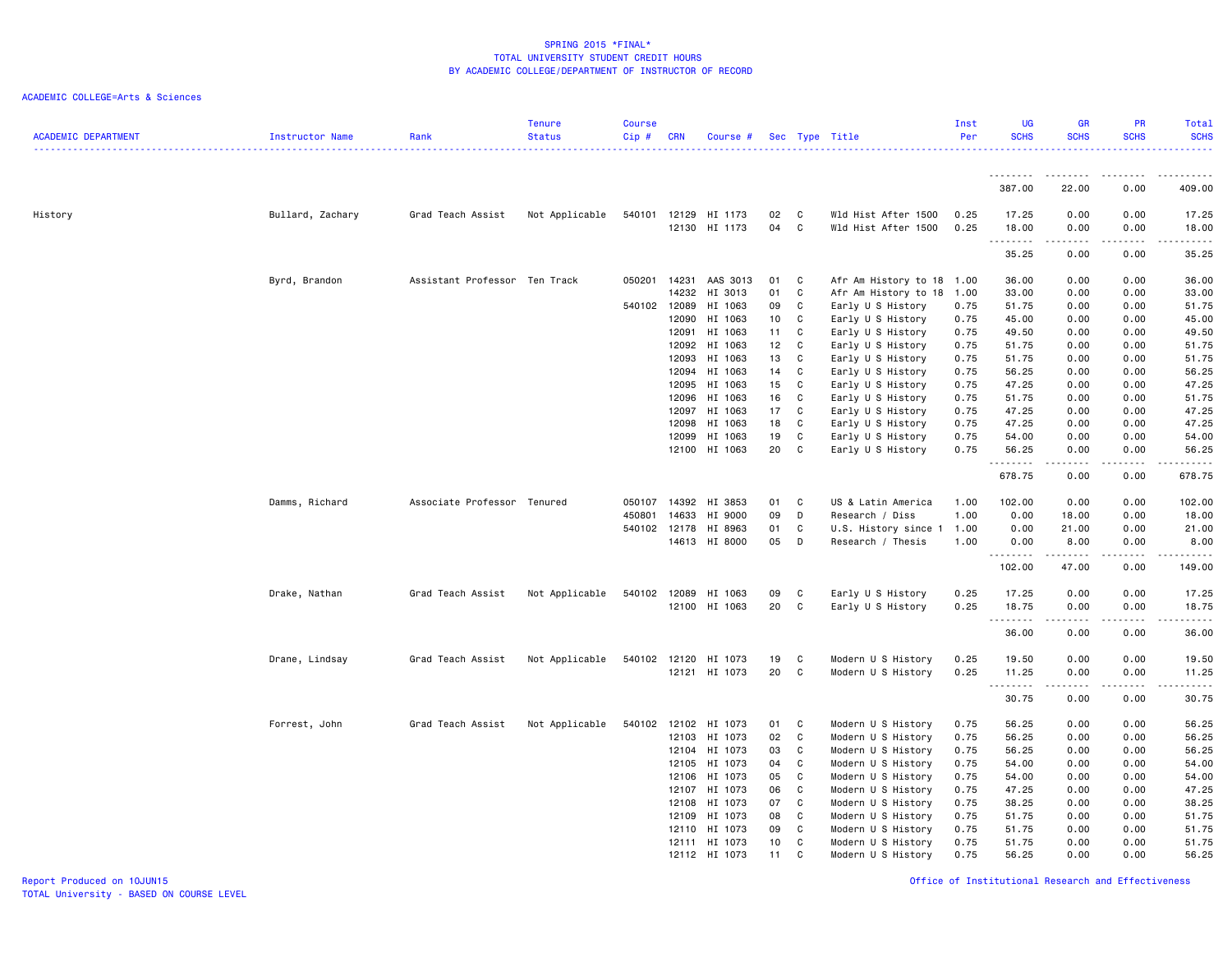| <b>ACADEMIC DEPARTMENT</b> | Instructor Name  | Rank                          | <b>Tenure</b><br><b>Status</b> | <b>Course</b><br>$Cip$ # | <b>CRN</b> | Course #                 |                 |         | Sec Type Title                             | Inst<br>Per  | <b>UG</b><br><b>SCHS</b> | <b>GR</b><br><b>SCHS</b> | <b>PR</b><br><b>SCHS</b>    | Total<br><b>SCHS</b><br>2.2.2.2.2.4 |
|----------------------------|------------------|-------------------------------|--------------------------------|--------------------------|------------|--------------------------|-----------------|---------|--------------------------------------------|--------------|--------------------------|--------------------------|-----------------------------|-------------------------------------|
|                            |                  |                               |                                |                          |            |                          |                 |         |                                            |              | .                        |                          |                             |                                     |
|                            |                  |                               |                                |                          |            |                          |                 |         |                                            |              | 387.00                   | 22.00                    | 0.00                        | 409.00                              |
| History                    | Bullard, Zachary | Grad Teach Assist             | Not Applicable                 | 540101                   | 12129      | HI 1173<br>12130 HI 1173 | 02<br>04        | C.<br>C | Wld Hist After 1500<br>Wld Hist After 1500 | 0.25<br>0.25 | 17.25<br>18.00           | 0.00<br>0.00             | 0.00<br>0.00                | 17.25<br>18.00                      |
|                            |                  |                               |                                |                          |            |                          |                 |         |                                            |              | --------<br>35.25        | .<br>0.00                | .<br>0.00                   | .<br>35.25                          |
|                            | Byrd, Brandon    | Assistant Professor Ten Track |                                | 050201                   | 14231      | AAS 3013                 | 01              | C       | Afr Am History to 18                       | 1.00         | 36.00                    | 0.00                     | 0.00                        | 36.00                               |
|                            |                  |                               |                                |                          | 14232      | HI 3013                  | 01              | C       | Afr Am History to 18                       | 1.00         | 33.00                    | 0.00                     | 0.00                        | 33.00                               |
|                            |                  |                               |                                | 540102 12089             |            | HI 1063                  | 09              | C       | Early U S History                          | 0.75         | 51.75                    | 0.00                     | 0.00                        | 51.75                               |
|                            |                  |                               |                                |                          | 12090      | HI 1063                  | 10              | C       | Early U S History                          | 0.75         | 45.00                    | 0.00                     | 0.00                        | 45.00                               |
|                            |                  |                               |                                |                          | 12091      | HI 1063                  | 11              | C       | Early U S History                          | 0.75         | 49.50                    | 0.00                     | 0.00                        | 49.50                               |
|                            |                  |                               |                                |                          | 12092      | HI 1063                  | 12 <sub>2</sub> | C       | Early U S History                          | 0.75         | 51.75                    | 0.00                     | 0.00                        | 51.75                               |
|                            |                  |                               |                                |                          | 12093      | HI 1063                  | 13              | C       | Early U S History                          | 0.75         | 51.75                    | 0.00                     | 0.00                        | 51.75                               |
|                            |                  |                               |                                |                          | 12094      | HI 1063                  | 14              | C       | Early U S History                          | 0.75         | 56.25                    | 0.00                     | 0.00                        | 56.25                               |
|                            |                  |                               |                                |                          | 12095      | HI 1063                  | 15              | C       | Early U S History                          | 0.75         | 47.25                    | 0.00                     | 0.00                        | 47.25                               |
|                            |                  |                               |                                |                          | 12096      | HI 1063                  | 16              | C       | Early U S History                          | 0.75         | 51.75                    | 0.00                     | 0.00                        | 51.75                               |
|                            |                  |                               |                                |                          | 12097      | HI 1063                  | 17              | C       | Early U S History                          | 0.75         | 47.25                    | 0.00                     | 0.00                        | 47.25                               |
|                            |                  |                               |                                |                          | 12098      | HI 1063                  | 18              | C       | Early U S History                          | 0.75         | 47.25                    | 0.00                     | 0.00                        | 47.25                               |
|                            |                  |                               |                                |                          | 12099      | HI 1063                  | 19              | C       | Early U S History                          | 0.75         | 54.00                    | 0.00                     | 0.00                        | 54.00                               |
|                            |                  |                               |                                |                          | 12100      | HI 1063                  | 20              | C       | Early U S History                          | 0.75         | 56.25                    | 0.00                     | 0.00                        | 56.25                               |
|                            |                  |                               |                                |                          |            |                          |                 |         |                                            |              | .                        | -----                    | .                           | ------                              |
|                            |                  |                               |                                |                          |            |                          |                 |         |                                            |              | 678.75                   | 0.00                     | 0.00                        | 678.75                              |
|                            | Damms, Richard   | Associate Professor Tenured   |                                | 050107                   | 14392      | HI 3853                  | 01              | C       | US & Latin America                         | 1.00         | 102.00                   | 0.00                     | 0.00                        | 102.00                              |
|                            |                  |                               |                                | 450801                   | 14633      | HI 9000                  | 09              | D       | Research / Diss                            | 1.00         | 0.00                     | 18.00                    | 0.00                        | 18.00                               |
|                            |                  |                               |                                | 540102 12178             |            | HI 8963                  | 01              | C       | U.S. History since                         | 1.00         | 0.00                     | 21.00                    | 0.00                        | 21.00                               |
|                            |                  |                               |                                |                          | 14613      | HI 8000                  | 05              | D       | Research / Thesis                          | 1.00         | 0.00<br>.                | 8.00<br>$- - - - -$      | 0.00<br>$- - - -$           | 8.00<br>.                           |
|                            |                  |                               |                                |                          |            |                          |                 |         |                                            |              | 102.00                   | 47.00                    | 0.00                        | 149.00                              |
|                            | Drake, Nathan    | Grad Teach Assist             | Not Applicable                 | 540102                   | 12089      | HI 1063                  | 09              | C       | Early U S History                          | 0.25         | 17.25                    | 0.00                     | 0.00                        | 17.25                               |
|                            |                  |                               |                                |                          |            | 12100 HI 1063            | 20              | C       | Early U S History                          | 0.25         | 18.75                    | 0.00                     | 0.00                        | 18.75                               |
|                            |                  |                               |                                |                          |            |                          |                 |         |                                            |              | <u> - - - - - - - -</u>  | .                        | $\sim$ $\sim$ $\sim$ $\sim$ | .                                   |
|                            |                  |                               |                                |                          |            |                          |                 |         |                                            |              | 36.00                    | 0.00                     | 0.00                        | 36.00                               |
|                            | Drane, Lindsay   | Grad Teach Assist             | Not Applicable                 | 540102                   | 12120      | HI 1073                  | 19              | C       | Modern U S History                         | 0.25         | 19.50                    | 0.00                     | 0.00                        | 19.50                               |
|                            |                  |                               |                                |                          |            | 12121 HI 1073            | 20              | C       | Modern U S History                         | 0.25         | 11.25                    | 0.00                     | 0.00                        | 11.25                               |
|                            |                  |                               |                                |                          |            |                          |                 |         |                                            |              | .                        |                          |                             | $    -$                             |
|                            |                  |                               |                                |                          |            |                          |                 |         |                                            |              | 30.75                    | 0.00                     | 0.00                        | 30.75                               |
|                            | Forrest, John    | Grad Teach Assist             | Not Applicable                 | 540102                   | 12102      | HI 1073                  | 01              | C       | Modern U S History                         | 0.75         | 56.25                    | 0.00                     | 0.00                        | 56.25                               |
|                            |                  |                               |                                |                          | 12103      | HI 1073                  | 02              | C       | Modern U S History                         | 0.75         | 56.25                    | 0.00                     | 0.00                        | 56.25                               |
|                            |                  |                               |                                |                          | 12104      | HI 1073                  | 03              | C       | Modern U S History                         | 0.75         | 56.25                    | 0.00                     | 0.00                        | 56.25                               |
|                            |                  |                               |                                |                          | 12105      | HI 1073                  | 04              | C       | Modern U S History                         | 0.75         | 54.00                    | 0.00                     | 0.00                        | 54.00                               |
|                            |                  |                               |                                |                          | 12106      | HI 1073                  | 05              | C       | Modern U S History                         | 0.75         | 54.00                    | 0.00                     | 0.00                        | 54.00                               |
|                            |                  |                               |                                |                          | 12107      | HI 1073                  | 06              | C       | Modern U S History                         | 0.75         | 47.25                    | 0.00                     | 0.00                        | 47.25                               |
|                            |                  |                               |                                |                          | 12108      | HI 1073                  | 07              | C       | Modern U S History                         | 0.75         | 38.25                    | 0.00                     | 0.00                        | 38.25                               |
|                            |                  |                               |                                |                          | 12109      | HI 1073                  | 08              | C       | Modern U S History                         | 0.75         | 51.75                    | 0.00                     | 0.00                        | 51.75                               |
|                            |                  |                               |                                |                          | 12110      | HI 1073                  | 09              | C       | Modern U S History                         | 0.75         | 51.75                    | 0.00                     | 0.00                        | 51.75                               |
|                            |                  |                               |                                |                          | 12111      | HI 1073                  | 10              | C       | Modern U S History                         | 0.75         | 51.75                    | 0.00                     | 0.00                        | 51.75                               |
|                            |                  |                               |                                |                          |            | 12112 HI 1073            | 11              | C       | Modern U S History                         | 0.75         | 56.25                    | 0.00                     | 0.00                        | 56.25                               |
|                            |                  |                               |                                |                          |            |                          |                 |         |                                            |              |                          |                          |                             |                                     |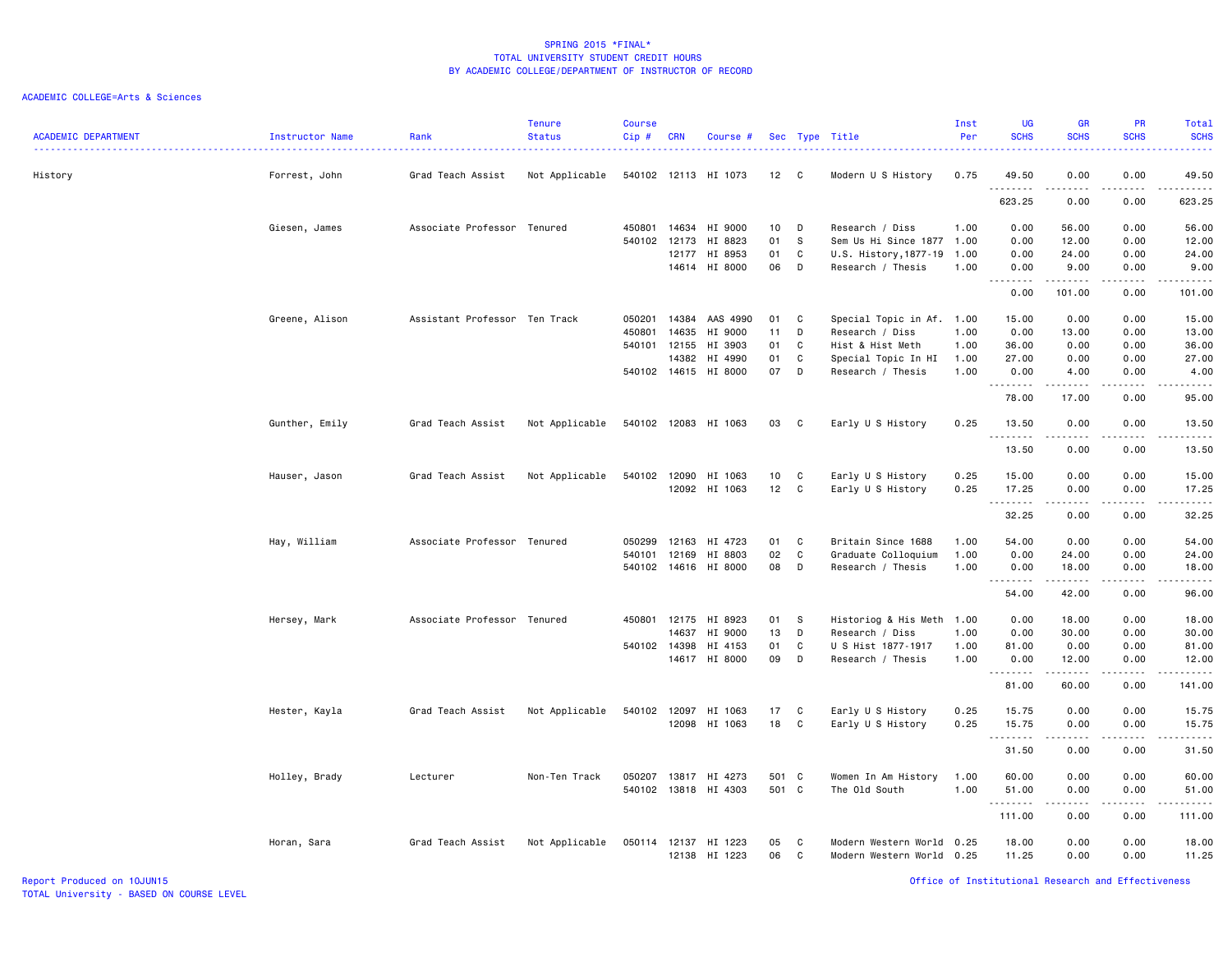| <b>ACADEMIC DEPARTMENT</b> | Instructor Name | Rank                          | <b>Tenure</b><br><b>Status</b> | <b>Course</b><br>Cip# | <b>CRN</b> | Course #                 |                 |        | Sec Type Title                                    | Inst<br>Per | <b>UG</b><br><b>SCHS</b>         | <b>GR</b><br><b>SCHS</b> | <b>PR</b><br><b>SCHS</b>     | Total<br><b>SCHS</b>   |
|----------------------------|-----------------|-------------------------------|--------------------------------|-----------------------|------------|--------------------------|-----------------|--------|---------------------------------------------------|-------------|----------------------------------|--------------------------|------------------------------|------------------------|
| History                    | Forrest, John   | Grad Teach Assist             | Not Applicable                 |                       |            | 540102 12113 HI 1073     | 12              | C.     | Modern U S History                                | 0.75        | 49.50<br><u> - - - - - - - -</u> | 0.00                     | 0.00                         | 49.50<br>------        |
|                            |                 |                               |                                |                       |            |                          |                 |        |                                                   |             | 623.25                           | 0.00                     | 0.00                         | 623.25                 |
|                            | Giesen, James   | Associate Professor Tenured   |                                | 450801                | 14634      | HI 9000                  | 10 <sub>1</sub> | D      | Research / Diss                                   | 1.00        | 0.00                             | 56.00                    | 0.00                         | 56.00                  |
|                            |                 |                               |                                | 540102                | 12173      | HI 8823                  | 01              | S.     | Sem Us Hi Since 1877                              | 1.00        | 0.00                             | 12.00                    | 0.00                         | 12.00                  |
|                            |                 |                               |                                |                       | 12177      | HI 8953                  | 01              | C      | U.S. History, 1877-19                             | 1.00        | 0.00                             | 24.00                    | 0.00                         | 24.00                  |
|                            |                 |                               |                                |                       |            | 14614 HI 8000            | 06              | D      | Research / Thesis                                 | 1.00        | 0.00<br>-----<br>$\sim$ $\sim$ . | 9.00<br>.                | 0.00<br>.                    | 9.00<br>2.2.2.2.2.2    |
|                            |                 |                               |                                |                       |            |                          |                 |        |                                                   |             | 0.00                             | 101.00                   | 0.00                         | 101.00                 |
|                            | Greene, Alison  | Assistant Professor Ten Track |                                | 050201                | 14384      | AAS 4990                 | 01              | C      | Special Topic in Af. 1.00                         |             | 15.00                            | 0.00                     | 0.00                         | 15.00                  |
|                            |                 |                               |                                | 450801                | 14635      | HI 9000                  | 11              | D      | Research / Diss                                   | 1.00        | 0.00                             | 13.00                    | 0.00                         | 13.00                  |
|                            |                 |                               |                                | 540101 12155          |            | HI 3903                  | 01              | C      | Hist & Hist Meth                                  | 1.00        | 36.00                            | 0.00                     | 0.00                         | 36.00                  |
|                            |                 |                               |                                |                       | 14382      | HI 4990                  | 01              | C      | Special Topic In HI                               | 1.00        | 27.00                            | 0.00                     | 0.00                         | 27.00                  |
|                            |                 |                               |                                | 540102 14615          |            | HI 8000                  | 07              | D      | Research / Thesis                                 | 1.00        | 0.00<br>.                        | 4.00<br>.                | 0.00<br>.                    | 4.00<br>$\sim$         |
|                            |                 |                               |                                |                       |            |                          |                 |        |                                                   |             | 78.00                            | 17.00                    | 0.00                         | 95.00                  |
|                            | Gunther, Emily  | Grad Teach Assist             | Not Applicable                 | 540102 12083          |            | HI 1063                  | 03              | C      | Early U S History                                 | 0.25        | 13.50                            | 0.00                     | 0.00                         | 13.50                  |
|                            |                 |                               |                                |                       |            |                          |                 |        |                                                   |             | <u>.</u><br>13.50                | 0.00                     | $\sim$ $\sim$ $\sim$<br>0.00 | $\frac{1}{2}$<br>13.50 |
|                            | Hauser, Jason   | Grad Teach Assist             | Not Applicable                 | 540102                | 12090      | HI 1063                  | 10              | C      | Early U S History                                 | 0.25        | 15.00                            | 0.00                     | 0.00                         | 15.00                  |
|                            |                 |                               |                                |                       |            | 12092 HI 1063            | 12              | C      | Early U S History                                 | 0.25        | 17.25                            | 0.00                     | 0.00                         | 17.25                  |
|                            |                 |                               |                                |                       |            |                          |                 |        |                                                   |             | <u> - - - - - - - -</u>          |                          | $\sim$ $\sim$ $\sim$ $\sim$  | وبالمسامين             |
|                            |                 |                               |                                |                       |            |                          |                 |        |                                                   |             | 32.25                            | 0.00                     | 0.00                         | 32.25                  |
|                            | Hay, William    | Associate Professor Tenured   |                                | 050299                | 12163      | HI 4723                  | 01              | C      | Britain Since 1688                                | 1.00        | 54.00                            | 0.00                     | 0.00                         | 54.00                  |
|                            |                 |                               |                                | 540101                | 12169      | HI 8803                  | 02              | C      | Graduate Colloquium                               | 1.00        | 0.00                             | 24.00                    | 0.00                         | 24.00                  |
|                            |                 |                               |                                |                       |            | 540102 14616 HI 8000     | 08              | D      | Research / Thesis                                 | 1.00        | 0.00                             | 18.00                    | 0.00                         | 18.00                  |
|                            |                 |                               |                                |                       |            |                          |                 |        |                                                   |             | .<br>54.00                       | .<br>42.00               | .<br>0.00                    | .<br>96.00             |
|                            | Hersey, Mark    | Associate Professor Tenured   |                                | 450801                | 12175      | HI 8923                  | 01              | S.     | Historiog & His Meth 1.00                         |             | 0.00                             | 18.00                    | 0.00                         | 18.00                  |
|                            |                 |                               |                                |                       | 14637      | HI 9000                  | 13              | D      | Research / Diss                                   | 1.00        | 0.00                             | 30.00                    | 0.00                         | 30.00                  |
|                            |                 |                               |                                | 540102 14398          |            | HI 4153                  | 01              | C      | U S Hist 1877-1917                                | 1.00        | 81.00                            | 0.00                     | 0.00                         | 81.00                  |
|                            |                 |                               |                                |                       | 14617      | HI 8000                  | 09              | D      | Research / Thesis                                 | 1.00        | 0.00                             | 12.00                    | 0.00                         | 12.00                  |
|                            |                 |                               |                                |                       |            |                          |                 |        |                                                   |             | .<br>81.00                       | .<br>60.00               | .<br>0.00                    | .<br>141.00            |
|                            | Hester, Kayla   | Grad Teach Assist             | Not Applicable                 | 540102 12097          |            | HI 1063                  | 17              | C      | Early U S History                                 | 0.25        | 15.75                            | 0.00                     | 0.00                         | 15.75                  |
|                            |                 |                               |                                |                       | 12098      | HI 1063                  | 18              | C      | Early U S History                                 | 0.25        | 15.75                            | 0.00                     | 0.00                         | 15.75                  |
|                            |                 |                               |                                |                       |            |                          |                 |        |                                                   |             | <u>.</u>                         | -----                    | .                            | .                      |
|                            |                 |                               |                                |                       |            |                          |                 |        |                                                   |             | 31.50                            | 0.00                     | 0.00                         | 31.50                  |
|                            | Holley, Brady   | Lecturer                      | Non-Ten Track                  | 050207                | 13817      | HI 4273                  | 501 C           |        | Women In Am History                               | 1.00        | 60.00                            | 0.00                     | 0.00                         | 60.00                  |
|                            |                 |                               |                                |                       |            | 540102 13818 HI 4303     | 501 C           |        | The Old South                                     | 1.00        | 51.00                            | 0.00                     | 0.00                         | 51.00                  |
|                            |                 |                               |                                |                       |            |                          |                 |        |                                                   |             | .<br>111.00                      | -----<br>0.00            | .<br>0.00                    | .<br>111.00            |
|                            |                 |                               |                                |                       |            |                          |                 |        |                                                   |             |                                  |                          |                              |                        |
|                            | Horan, Sara     | Grad Teach Assist             | Not Applicable                 | 050114 12137          |            | HI 1223<br>12138 HI 1223 | 05<br>06        | C<br>C | Modern Western World<br>Modern Western World 0.25 | 0.25        | 18.00<br>11.25                   | 0.00<br>0.00             | 0.00<br>0.00                 | 18.00<br>11.25         |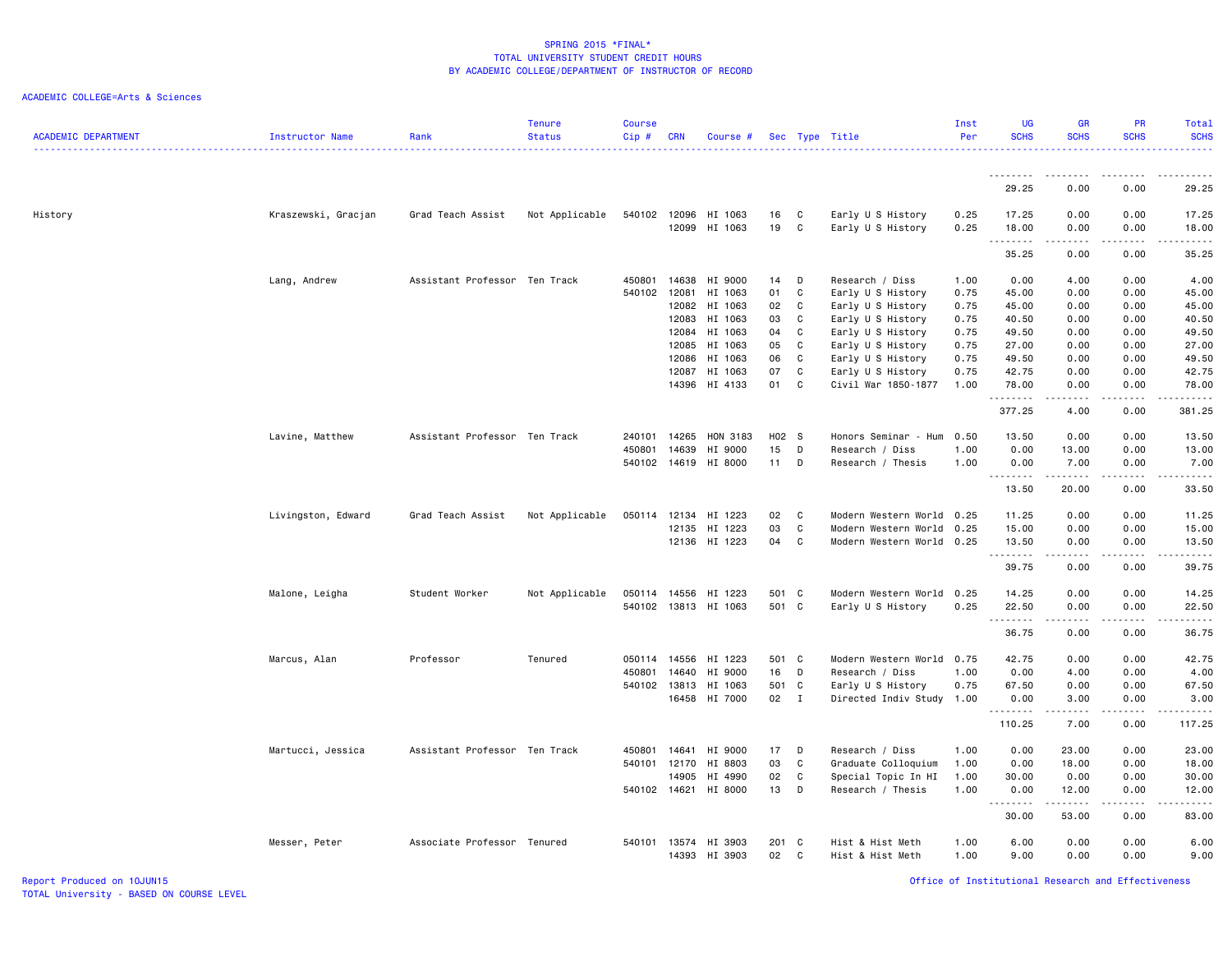### ACADEMIC COLLEGE=Arts & Sciences

| <b>ACADEMIC DEPARTMENT</b> | Instructor Name     | Rank                          | <b>Tenure</b><br><b>Status</b> | <b>Course</b><br>Cip# | <b>CRN</b>     | Course #             |             |        | Sec Type Title                         | Inst<br>Per  | <b>UG</b><br><b>SCHS</b>   | <b>GR</b><br><b>SCHS</b>                                                                                                                                     | <b>PR</b><br><b>SCHS</b>                            | Total<br><b>SCHS</b><br><u>.</u> |
|----------------------------|---------------------|-------------------------------|--------------------------------|-----------------------|----------------|----------------------|-------------|--------|----------------------------------------|--------------|----------------------------|--------------------------------------------------------------------------------------------------------------------------------------------------------------|-----------------------------------------------------|----------------------------------|
|                            |                     |                               |                                |                       |                |                      |             |        |                                        |              |                            |                                                                                                                                                              |                                                     |                                  |
|                            |                     |                               |                                |                       |                |                      |             |        |                                        |              | 29.25                      | 0.00                                                                                                                                                         | 0.00                                                | 29.25                            |
| History                    | Kraszewski, Gracjan | Grad Teach Assist             | Not Applicable                 | 540102 12096          | 12099          | HI 1063<br>HI 1063   | 16<br>19    | C<br>C | Early U S History<br>Early U S History | 0.25<br>0.25 | 17.25<br>18.00<br><u>.</u> | 0.00<br>0.00<br>.                                                                                                                                            | 0.00<br>0.00<br>$\omega$ $\omega$ $\omega$ $\omega$ | 17.25<br>18.00<br>$    -$        |
|                            |                     |                               |                                |                       |                |                      |             |        |                                        |              | 35.25                      | 0.00                                                                                                                                                         | 0.00                                                | 35.25                            |
|                            | Lang, Andrew        | Assistant Professor Ten Track |                                | 450801                | 14638          | HI 9000              | 14          | D      | Research / Diss                        | 1.00         | 0.00                       | 4.00                                                                                                                                                         | 0.00                                                | 4.00                             |
|                            |                     |                               |                                | 540102                | 12081          | HI 1063              | 01          | C      | Early U S History                      | 0.75         | 45.00                      | 0.00                                                                                                                                                         | 0.00                                                | 45.00                            |
|                            |                     |                               |                                |                       | 12082          | HI 1063              | 02          | C      | Early U S History                      | 0.75         | 45.00                      | 0.00                                                                                                                                                         | 0.00                                                | 45.00                            |
|                            |                     |                               |                                |                       | 12083          | HI 1063              | 03<br>04    | C      | Early U S History                      | 0.75         | 40.50                      | 0.00                                                                                                                                                         | 0.00<br>0.00                                        | 40.50                            |
|                            |                     |                               |                                |                       | 12084<br>12085 | HI 1063<br>HI 1063   | 05          | C<br>C | Early U S History<br>Early U S History | 0.75<br>0.75 | 49.50<br>27.00             | 0.00<br>0.00                                                                                                                                                 | 0.00                                                | 49.50<br>27.00                   |
|                            |                     |                               |                                |                       | 12086          | HI 1063              | 06          | C      | Early U S History                      | 0.75         | 49.50                      | 0.00                                                                                                                                                         | 0.00                                                | 49.50                            |
|                            |                     |                               |                                |                       | 12087          | HI 1063              | 07          | C      | Early U S History                      | 0.75         | 42.75                      | 0.00                                                                                                                                                         | 0.00                                                | 42.75                            |
|                            |                     |                               |                                |                       | 14396          | HI 4133              | 01          | C      | Civil War 1850-1877                    | 1.00         | 78.00<br>.                 | 0.00<br>$\frac{1}{2} \left( \frac{1}{2} \right) \left( \frac{1}{2} \right) \left( \frac{1}{2} \right) \left( \frac{1}{2} \right) \left( \frac{1}{2} \right)$ | 0.00<br>.                                           | 78.00<br>.                       |
|                            |                     |                               |                                |                       |                |                      |             |        |                                        |              | 377.25                     | 4.00                                                                                                                                                         | 0.00                                                | 381.25                           |
|                            | Lavine, Matthew     | Assistant Professor Ten Track |                                | 240101                | 14265          | HON 3183             | H02 S       |        | Honors Seminar - Hum                   | 0.50         | 13.50                      | 0.00                                                                                                                                                         | 0.00                                                | 13.50                            |
|                            |                     |                               |                                | 450801                | 14639          | HI 9000              | 15          | D      | Research / Diss                        | 1.00         | 0.00                       | 13.00                                                                                                                                                        | 0.00                                                | 13.00                            |
|                            |                     |                               |                                | 540102                | 14619          | HI 8000              | $11 -$      | D      | Research / Thesis                      | 1.00         | 0.00<br>.                  | 7.00<br>.                                                                                                                                                    | 0.00<br>.                                           | 7.00<br>د د د د د                |
|                            |                     |                               |                                |                       |                |                      |             |        |                                        |              | 13.50                      | 20.00                                                                                                                                                        | 0.00                                                | 33.50                            |
|                            | Livingston, Edward  | Grad Teach Assist             | Not Applicable                 | 050114                | 12134          | HI 1223              | 02          | C      | Modern Western World                   | 0.25         | 11.25                      | 0.00                                                                                                                                                         | 0.00                                                | 11.25                            |
|                            |                     |                               |                                |                       | 12135          | HI 1223              | 03          | C      | Modern Western World 0.25              |              | 15.00                      | 0.00                                                                                                                                                         | 0.00                                                | 15.00                            |
|                            |                     |                               |                                |                       |                | 12136 HI 1223        | 04          | C      | Modern Western World 0.25              |              | 13.50<br>.                 | 0.00<br>$\frac{1}{2} \left( \frac{1}{2} \right) \left( \frac{1}{2} \right) \left( \frac{1}{2} \right) \left( \frac{1}{2} \right) \left( \frac{1}{2} \right)$ | 0.00<br>.                                           | 13.50<br>.                       |
|                            |                     |                               |                                |                       |                |                      |             |        |                                        |              | 39.75                      | 0.00                                                                                                                                                         | 0.00                                                | 39.75                            |
|                            | Malone, Leigha      | Student Worker                | Not Applicable                 | 050114                | 14556          | HI 1223              | 501 C       |        | Modern Western World 0.25              |              | 14.25                      | 0.00                                                                                                                                                         | 0.00                                                | 14.25                            |
|                            |                     |                               |                                |                       |                | 540102 13813 HI 1063 | 501 C       |        | Early U S History                      | 0.25         | 22.50<br>.                 | 0.00<br><b>.</b>                                                                                                                                             | 0.00<br>.                                           | 22.50<br>.                       |
|                            |                     |                               |                                |                       |                |                      |             |        |                                        |              | 36.75                      | 0.00                                                                                                                                                         | 0.00                                                | 36.75                            |
|                            | Marcus, Alan        | Professor                     | Tenured                        | 050114                | 14556          | HI 1223              | 501 C       |        | Modern Western World 0.75              |              | 42.75                      | 0.00                                                                                                                                                         | 0.00                                                | 42.75                            |
|                            |                     |                               |                                | 450801                | 14640          | HI 9000              | 16          | D      | Research / Diss                        | 1.00         | 0.00                       | 4.00                                                                                                                                                         | 0.00                                                | 4.00                             |
|                            |                     |                               |                                | 540102 13813          |                | HI 1063              | 501 C       |        | Early U S History                      | 0.75         | 67.50                      | 0.00                                                                                                                                                         | 0.00                                                | 67.50                            |
|                            |                     |                               |                                |                       | 16458          | HI 7000              | 02 I        |        | Directed Indiv Study 1.00              |              | 0.00<br><u>.</u>           | 3.00<br>.                                                                                                                                                    | 0.00<br>$- - - -$                                   | 3.00<br>.                        |
|                            |                     |                               |                                |                       |                |                      |             |        |                                        |              | 110.25                     | 7.00                                                                                                                                                         | 0.00                                                | 117.25                           |
|                            | Martucci, Jessica   | Assistant Professor Ten Track |                                | 450801                | 14641          | HI 9000              | 17          | D      | Research / Diss                        | 1.00         | 0.00                       | 23.00                                                                                                                                                        | 0.00                                                | 23.00                            |
|                            |                     |                               |                                | 540101                | 12170          | HI 8803              | 03          | C      | Graduate Colloquium                    | 1.00         | 0.00                       | 18.00                                                                                                                                                        | 0.00                                                | 18.00                            |
|                            |                     |                               |                                |                       | 14905          | HI 4990              | 02          | C      | Special Topic In HI                    | 1.00         | 30.00                      | 0.00                                                                                                                                                         | 0.00                                                | 30.00                            |
|                            |                     |                               |                                | 540102 14621          |                | HI 8000              | 13          | D      | Research / Thesis                      | 1.00         | 0.00<br>.                  | 12.00<br>د د د د د                                                                                                                                           | 0.00<br>$\sim$ $\sim$ $\sim$                        | 12.00<br>والمستحدث               |
|                            |                     |                               |                                |                       |                |                      |             |        |                                        |              | 30.00                      | 53.00                                                                                                                                                        | 0.00                                                | 83.00                            |
|                            | Messer, Peter       | Associate Professor Tenured   |                                | 540101 13574          | 14393          | HI 3903<br>HI 3903   | 201 C<br>02 | C      | Hist & Hist Meth<br>Hist & Hist Meth   | 1.00<br>1.00 | 6.00<br>9.00               | 0.00<br>0.00                                                                                                                                                 | 0.00<br>0.00                                        | 6.00<br>9.00                     |

Report Produced on 10JUN15 Office of Institutional Research and Effectiveness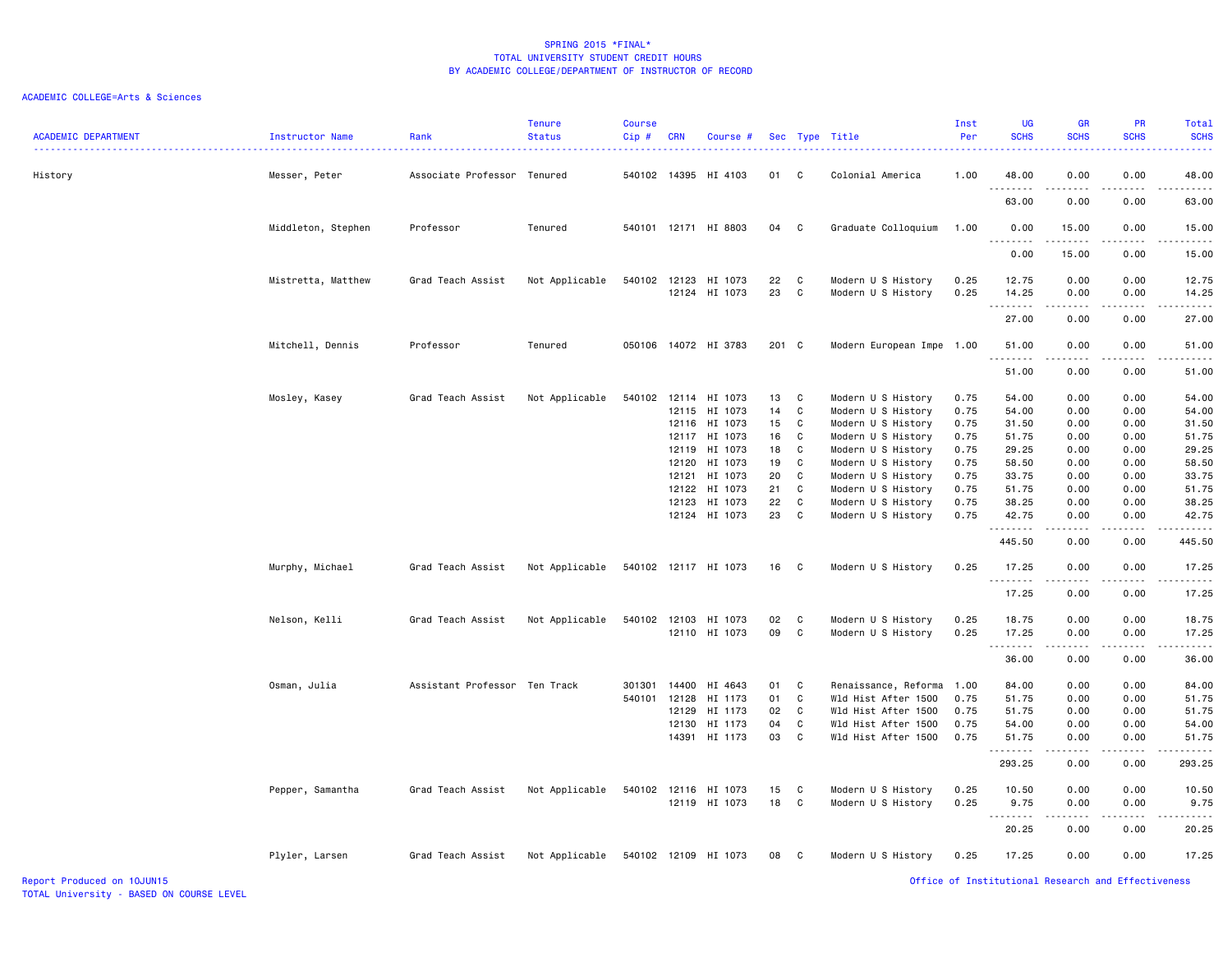| <b>ACADEMIC DEPARTMENT</b> | Instructor Name    | Rank                          | <b>Tenure</b><br><b>Status</b> | <b>Course</b><br>Cip# | <b>CRN</b> | Course #             |          |              | Sec Type Title                           | Inst<br>Per  | <b>UG</b><br><b>SCHS</b> | <b>GR</b><br><b>SCHS</b> | <b>PR</b><br><b>SCHS</b>            | Total<br><b>SCHS</b><br>$\frac{1}{2} \left( \frac{1}{2} \right) \left( \frac{1}{2} \right) \left( \frac{1}{2} \right) \left( \frac{1}{2} \right)$             |
|----------------------------|--------------------|-------------------------------|--------------------------------|-----------------------|------------|----------------------|----------|--------------|------------------------------------------|--------------|--------------------------|--------------------------|-------------------------------------|---------------------------------------------------------------------------------------------------------------------------------------------------------------|
| History                    | Messer, Peter      | Associate Professor Tenured   |                                |                       |            | 540102 14395 HI 4103 | 01       | C            | Colonial America                         | 1.00         | 48.00<br>.               | 0.00<br>د د د د د        | 0.00<br>$\sim$ $\sim$ $\sim$ $\sim$ | 48.00<br>.                                                                                                                                                    |
|                            |                    |                               |                                |                       |            |                      |          |              |                                          |              | 63.00                    | 0.00                     | 0.00                                | 63.00                                                                                                                                                         |
|                            | Middleton, Stephen | Professor                     | Tenured                        |                       |            | 540101 12171 HI 8803 | 04       | C            | Graduate Colloquium                      | 1.00         | 0.00<br>$- - -$          | 15.00<br>-----           | 0.00<br>$   -$                      | 15.00<br>$- - - -$                                                                                                                                            |
|                            |                    |                               |                                |                       |            |                      |          |              |                                          |              | 0.00                     | 15.00                    | 0.00                                | 15.00                                                                                                                                                         |
|                            | Mistretta, Matthew | Grad Teach Assist             | Not Applicable                 | 540102 12123          | 12124      | HI 1073<br>HI 1073   | 22<br>23 | C<br>C       | Modern U S History<br>Modern U S History | 0.25<br>0.25 | 12.75<br>14.25<br>.      | 0.00<br>0.00<br>-----    | 0.00<br>0.00<br>.                   | 12.75<br>14.25<br>.                                                                                                                                           |
|                            |                    |                               |                                |                       |            |                      |          |              |                                          |              | 27.00                    | 0.00                     | 0.00                                | 27.00                                                                                                                                                         |
|                            | Mitchell, Dennis   | Professor                     | Tenured                        | 050106                |            | 14072 HI 3783        | 201 C    |              | Modern European Impe                     | 1.00         | 51.00<br>.               | 0.00                     | 0.00                                | 51.00<br>$\frac{1}{2} \left( \frac{1}{2} \right) \left( \frac{1}{2} \right) \left( \frac{1}{2} \right) \left( \frac{1}{2} \right) \left( \frac{1}{2} \right)$ |
|                            |                    |                               |                                |                       |            |                      |          |              |                                          |              | 51.00                    | 0.00                     | 0.00                                | 51.00                                                                                                                                                         |
|                            | Mosley, Kasey      | Grad Teach Assist             | Not Applicable                 | 540102                | 12114      | HI 1073              | 13       | C            | Modern U S History                       | 0.75         | 54.00                    | 0.00                     | 0.00                                | 54.00                                                                                                                                                         |
|                            |                    |                               |                                |                       | 12115      | HI 1073              | 14       | C            | Modern U S History                       | 0.75         | 54.00                    | 0.00                     | 0.00                                | 54.00                                                                                                                                                         |
|                            |                    |                               |                                |                       | 12116      | HI 1073              | 15       | C            | Modern U S History                       | 0.75         | 31.50                    | 0.00                     | 0.00                                | 31.50                                                                                                                                                         |
|                            |                    |                               |                                |                       | 12117      | HI 1073              | 16       | C            | Modern U S History                       | 0.75         | 51.75                    | 0.00                     | 0.00                                | 51.75                                                                                                                                                         |
|                            |                    |                               |                                |                       | 12119      | HI 1073              | 18       | C            | Modern U S History                       | 0.75         | 29.25                    | 0.00                     | 0.00                                | 29.25                                                                                                                                                         |
|                            |                    |                               |                                |                       | 12120      | HI 1073              | 19       | C            | Modern U S History                       | 0.75         | 58.50                    | 0.00                     | 0.00                                | 58.50                                                                                                                                                         |
|                            |                    |                               |                                |                       | 12121      | HI 1073              | 20       | C            | Modern U S History                       | 0.75         | 33.75                    | 0.00                     | 0.00                                | 33.75                                                                                                                                                         |
|                            |                    |                               |                                |                       | 12122      | HI 1073              | 21       | C            | Modern U S History                       | 0.75         | 51.75                    | 0.00                     | 0.00                                | 51.75                                                                                                                                                         |
|                            |                    |                               |                                |                       | 12123      | HI 1073              | 22       | C            | Modern U S History                       | 0.75         | 38.25                    | 0.00                     | 0.00                                | 38.25                                                                                                                                                         |
|                            |                    |                               |                                |                       |            | 12124 HI 1073        | 23       | $\mathbf{C}$ | Modern U S History                       | 0.75         | 42.75<br>.               | 0.00<br>.                | 0.00<br>.                           | 42.75<br>.                                                                                                                                                    |
|                            |                    |                               |                                |                       |            |                      |          |              |                                          |              | 445.50                   | 0.00                     | 0.00                                | 445.50                                                                                                                                                        |
|                            | Murphy, Michael    | Grad Teach Assist             | Not Applicable                 |                       |            | 540102 12117 HI 1073 | 16 C     |              | Modern U S History                       | 0.25         | 17.25<br>.               | 0.00<br>-----            | 0.00<br>.                           | 17.25<br>.                                                                                                                                                    |
|                            |                    |                               |                                |                       |            |                      |          |              |                                          |              | 17.25                    | 0.00                     | 0.00                                | 17.25                                                                                                                                                         |
|                            | Nelson, Kelli      | Grad Teach Assist             | Not Applicable                 | 540102                | 12103      | HI 1073              | 02       | C            | Modern U S History                       | 0.25         | 18.75                    | 0.00                     | 0.00                                | 18.75                                                                                                                                                         |
|                            |                    |                               |                                |                       |            | 12110 HI 1073        | 09       | C            | Modern U S History                       | 0.25         | 17.25<br>.               | 0.00<br><u>.</u>         | 0.00<br>.                           | 17.25<br>.                                                                                                                                                    |
|                            |                    |                               |                                |                       |            |                      |          |              |                                          |              | 36.00                    | 0.00                     | 0.00                                | 36.00                                                                                                                                                         |
|                            | Osman, Julia       | Assistant Professor Ten Track |                                | 301301                | 14400      | HI 4643              | 01       | C            | Renaissance, Reforma                     | 1.00         | 84.00                    | 0.00                     | 0.00                                | 84.00                                                                                                                                                         |
|                            |                    |                               |                                | 540101                | 12128      | HI 1173              | 01       | C            | Wld Hist After 1500                      | 0.75         | 51.75                    | 0.00                     | 0.00                                | 51.75                                                                                                                                                         |
|                            |                    |                               |                                |                       | 12129      | HI 1173              | 02       | C            | Wld Hist After 1500                      | 0.75         | 51.75                    | 0.00                     | 0.00                                | 51.75                                                                                                                                                         |
|                            |                    |                               |                                |                       | 12130      | HI 1173              | 04       | C            | Wld Hist After 1500                      | 0.75         | 54.00                    | 0.00                     | 0.00                                | 54.00                                                                                                                                                         |
|                            |                    |                               |                                |                       |            | 14391 HI 1173        | 03       | $\mathbf{C}$ | Wld Hist After 1500                      | 0.75         | 51.75<br>.               | 0.00<br>-----            | 0.00<br>.                           | 51.75<br>.                                                                                                                                                    |
|                            |                    |                               |                                |                       |            |                      |          |              |                                          |              | 293.25                   | 0.00                     | 0.00                                | 293.25                                                                                                                                                        |
|                            | Pepper, Samantha   | Grad Teach Assist             | Not Applicable                 | 540102                | 12116      | HI 1073              | 15       | C            | Modern U S History                       | 0.25         | 10.50                    | 0.00                     | 0.00                                | 10.50                                                                                                                                                         |
|                            |                    |                               |                                |                       | 12119      | HI 1073              | 18       | C            | Modern U S History                       | 0.25         | 9.75                     | 0.00                     | 0.00                                | 9.75<br>$\frac{1}{2} \left( \frac{1}{2} \right) \left( \frac{1}{2} \right) \left( \frac{1}{2} \right) \left( \frac{1}{2} \right)$                             |
|                            |                    |                               |                                |                       |            |                      |          |              |                                          |              | 20.25                    | 0.00                     | 0.00                                | 20.25                                                                                                                                                         |
|                            | Plyler, Larsen     | Grad Teach Assist             | Not Applicable                 |                       |            | 540102 12109 HI 1073 | 08       | $\mathbf{C}$ | Modern U S History                       | 0.25         | 17.25                    | 0.00                     | 0.00                                | 17.25                                                                                                                                                         |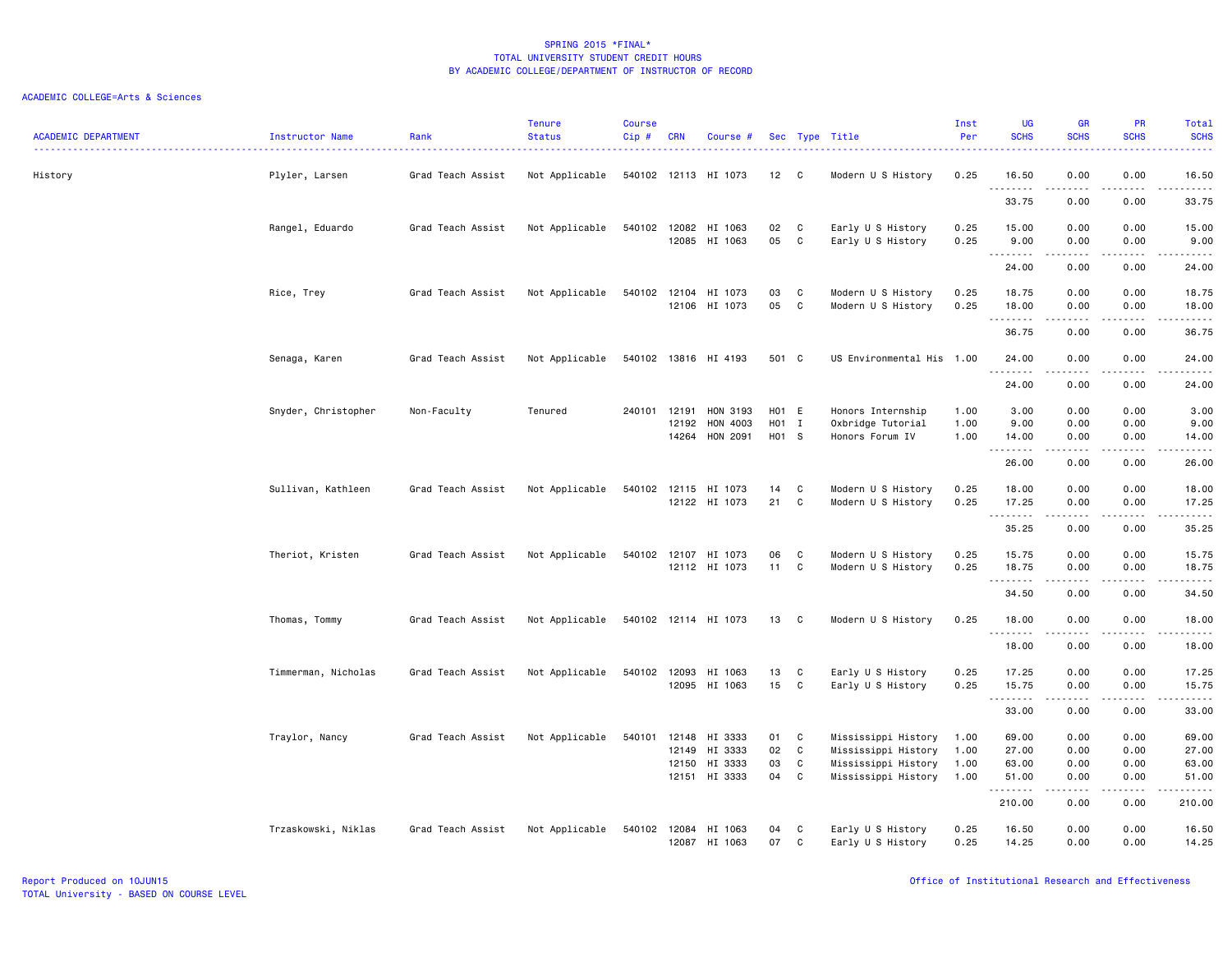| <b>ACADEMIC DEPARTMENT</b> | Instructor Name     | Rank              | <b>Tenure</b><br><b>Status</b> | <b>Course</b><br>$Cip$ # | <b>CRN</b>              | Course #                                       |                         |                  | Sec Type Title                                                                           | Inst<br>Per                  | <b>UG</b><br><b>SCHS</b>                        | <b>GR</b><br><b>SCHS</b>                                                                                                                                             | PR<br><b>SCHS</b>                               | Total<br><b>SCHS</b><br>.                                                                                                                                     |
|----------------------------|---------------------|-------------------|--------------------------------|--------------------------|-------------------------|------------------------------------------------|-------------------------|------------------|------------------------------------------------------------------------------------------|------------------------------|-------------------------------------------------|----------------------------------------------------------------------------------------------------------------------------------------------------------------------|-------------------------------------------------|---------------------------------------------------------------------------------------------------------------------------------------------------------------|
| History                    | Plyler, Larsen      | Grad Teach Assist | Not Applicable                 |                          |                         | 540102 12113 HI 1073                           | 12 <sup>2</sup>         | C.               | Modern U S History                                                                       | 0.25                         | 16.50<br><u>.</u>                               | 0.00<br>.                                                                                                                                                            | 0.00<br>$\frac{1}{2}$                           | 16.50<br>.                                                                                                                                                    |
|                            |                     |                   |                                |                          |                         |                                                |                         |                  |                                                                                          |                              | 33.75                                           | 0.00                                                                                                                                                                 | 0.00                                            | 33.75                                                                                                                                                         |
|                            | Rangel, Eduardo     | Grad Teach Assist | Not Applicable                 | 540102 12082             | 12085                   | HI 1063<br>HI 1063                             | 02<br>05                | C<br>C           | Early U S History<br>Early U S History                                                   | 0.25<br>0.25                 | 15.00<br>9.00                                   | 0.00<br>0.00                                                                                                                                                         | 0.00<br>0.00                                    | 15.00<br>9.00                                                                                                                                                 |
|                            |                     |                   |                                |                          |                         |                                                |                         |                  |                                                                                          |                              | .<br>24.00                                      | -----<br>0.00                                                                                                                                                        | د د د د<br>0.00                                 | المتمالين<br>24.00                                                                                                                                            |
|                            | Rice, Trey          | Grad Teach Assist | Not Applicable                 | 540102                   | 12104<br>12106          | HI 1073<br>HI 1073                             | 03<br>05                | C<br>C           | Modern U S History<br>Modern U S History                                                 | 0.25<br>0.25                 | 18.75<br>18.00                                  | 0.00<br>0.00                                                                                                                                                         | 0.00<br>0.00                                    | 18.75<br>18.00                                                                                                                                                |
|                            |                     |                   |                                |                          |                         |                                                |                         |                  |                                                                                          |                              | .<br>36.75                                      | .<br>0.00                                                                                                                                                            | .<br>0.00                                       | .<br>36.75                                                                                                                                                    |
|                            | Senaga, Karen       | Grad Teach Assist | Not Applicable                 |                          |                         | 540102 13816 HI 4193                           | 501 C                   |                  | US Environmental His 1.00                                                                |                              | 24.00<br>.                                      | 0.00                                                                                                                                                                 | 0.00<br>$- - - -$                               | 24.00<br>.                                                                                                                                                    |
|                            |                     |                   |                                |                          |                         |                                                |                         |                  |                                                                                          |                              | 24.00                                           | 0.00                                                                                                                                                                 | 0.00                                            | 24.00                                                                                                                                                         |
|                            | Snyder, Christopher | Non-Faculty       | Tenured                        | 240101                   | 12191<br>12192<br>14264 | HON 3193<br>HON 4003<br>HON 2091               | H01 E<br>HO1 I<br>H01 S |                  | Honors Internship<br>Oxbridge Tutorial<br>Honors Forum IV                                | 1.00<br>1.00<br>1.00         | 3.00<br>9.00<br>14.00                           | 0.00<br>0.00<br>0.00                                                                                                                                                 | 0.00<br>0.00<br>0.00                            | 3.00<br>9.00<br>14.00                                                                                                                                         |
|                            |                     |                   |                                |                          |                         |                                                |                         |                  |                                                                                          |                              | .<br>26.00                                      | .<br>0.00                                                                                                                                                            | .<br>0.00                                       | $\frac{1}{2} \left( \frac{1}{2} \right) \left( \frac{1}{2} \right) \left( \frac{1}{2} \right) \left( \frac{1}{2} \right) \left( \frac{1}{2} \right)$<br>26.00 |
|                            | Sullivan, Kathleen  | Grad Teach Assist | Not Applicable                 | 540102                   | 12115                   | HI 1073<br>12122 HI 1073                       | 14<br>21                | C<br>C           | Modern U S History<br>Modern U S History                                                 | 0.25<br>0.25                 | 18.00<br>17.25                                  | 0.00<br>0.00                                                                                                                                                         | 0.00<br>0.00                                    | 18.00<br>17.25                                                                                                                                                |
|                            |                     |                   |                                |                          |                         |                                                |                         |                  |                                                                                          |                              | .<br>35.25                                      | $\frac{1}{2} \left( \frac{1}{2} \right) \left( \frac{1}{2} \right) \left( \frac{1}{2} \right) \left( \frac{1}{2} \right) \left( \frac{1}{2} \right)$<br>0.00         | .<br>0.00                                       | .<br>35.25                                                                                                                                                    |
|                            | Theriot, Kristen    | Grad Teach Assist | Not Applicable                 | 540102                   | 12107                   | HI 1073<br>12112 HI 1073                       | 06<br>11                | C<br>C           | Modern U S History<br>Modern U S History                                                 | 0.25<br>0.25                 | 15.75<br>18.75                                  | 0.00<br>0.00<br>$\frac{1}{2} \left( \frac{1}{2} \right) \left( \frac{1}{2} \right) \left( \frac{1}{2} \right) \left( \frac{1}{2} \right) \left( \frac{1}{2} \right)$ | 0.00<br>0.00<br>د د د د                         | 15.75<br>18.75<br>.                                                                                                                                           |
|                            |                     |                   |                                |                          |                         |                                                |                         |                  |                                                                                          |                              | .<br>34.50                                      | 0.00                                                                                                                                                                 | 0.00                                            | 34.50                                                                                                                                                         |
|                            | Thomas, Tommy       | Grad Teach Assist | Not Applicable                 |                          |                         | 540102 12114 HI 1073                           | 13                      | C                | Modern U S History                                                                       | 0.25                         | 18.00                                           | 0.00                                                                                                                                                                 | 0.00                                            | 18.00                                                                                                                                                         |
|                            |                     |                   |                                |                          |                         |                                                |                         |                  |                                                                                          |                              | .<br>18.00                                      | <u>.</u><br>0.00                                                                                                                                                     | .<br>0.00                                       | .<br>18.00                                                                                                                                                    |
|                            | Timmerman, Nicholas | Grad Teach Assist | Not Applicable                 | 540102                   | 12093<br>12095          | HI 1063<br>HI 1063                             | 13<br>15                | C<br>C           | Early U S History<br>Early U S History                                                   | 0.25<br>0.25                 | 17.25<br>15.75                                  | 0.00<br>0.00                                                                                                                                                         | 0.00<br>0.00                                    | 17.25<br>15.75                                                                                                                                                |
|                            |                     |                   |                                |                          |                         |                                                |                         |                  |                                                                                          |                              | .<br>33.00                                      | $\frac{1}{2} \left( \frac{1}{2} \right) \left( \frac{1}{2} \right) \left( \frac{1}{2} \right) \left( \frac{1}{2} \right) \left( \frac{1}{2} \right)$<br>0.00         | د د د د<br>0.00                                 | .<br>33.00                                                                                                                                                    |
|                            | Traylor, Nancy      | Grad Teach Assist | Not Applicable                 | 540101                   | 12148<br>12149<br>12150 | HI 3333<br>HI 3333<br>HI 3333<br>12151 HI 3333 | 01<br>02<br>03<br>04    | C<br>C<br>C<br>C | Mississippi History<br>Mississippi History<br>Mississippi History<br>Mississippi History | 1.00<br>1.00<br>1.00<br>1.00 | 69.00<br>27.00<br>63.00<br>51.00<br>.<br>210.00 | 0.00<br>0.00<br>0.00<br>0.00<br>.<br>0.00                                                                                                                            | 0.00<br>0.00<br>0.00<br>0.00<br>د د د د<br>0.00 | 69.00<br>27.00<br>63.00<br>51.00<br>.<br>210.00                                                                                                               |
|                            | Trzaskowski, Niklas | Grad Teach Assist | Not Applicable                 | 540102                   | 12084                   | HI 1063<br>12087 HI 1063                       | 04<br>07                | C<br>C           | Early U S History<br>Early U S History                                                   | 0.25<br>0.25                 | 16.50<br>14.25                                  | 0.00<br>0.00                                                                                                                                                         | 0.00<br>0.00                                    | 16.50<br>14.25                                                                                                                                                |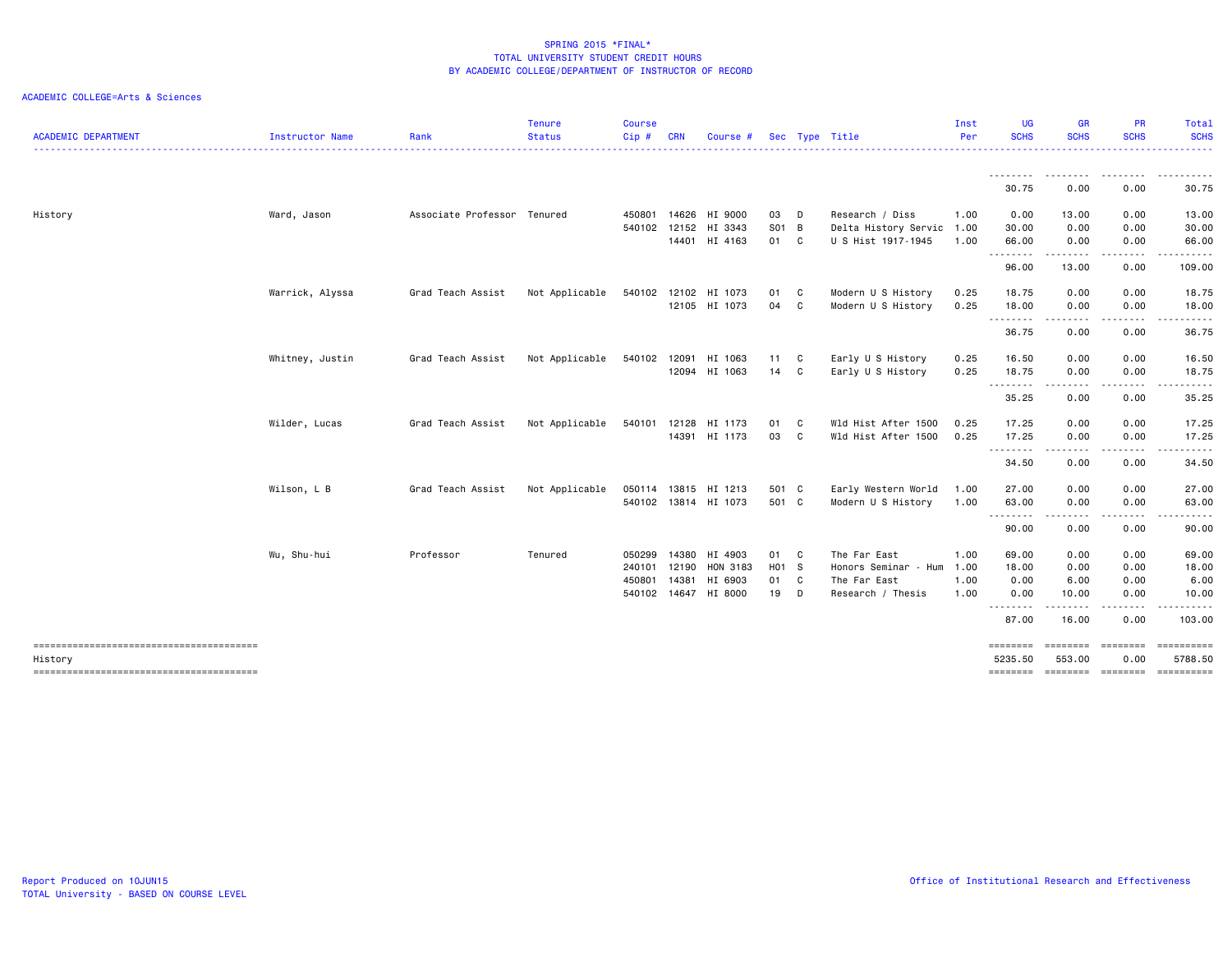| <b>ACADEMIC DEPARTMENT</b>             | Instructor Name | Rank                        | <b>Tenure</b><br><b>Status</b> | <b>Course</b><br>Cip# | <b>CRN</b> | Course #             |       |   | Sec Type Title            | Inst<br>Per | <b>UG</b><br><b>SCHS</b> | <b>GR</b><br><b>SCHS</b>                                                                                                                                      | <b>PR</b><br><b>SCHS</b> | Total<br><b>SCHS</b>                      |
|----------------------------------------|-----------------|-----------------------------|--------------------------------|-----------------------|------------|----------------------|-------|---|---------------------------|-------------|--------------------------|---------------------------------------------------------------------------------------------------------------------------------------------------------------|--------------------------|-------------------------------------------|
|                                        |                 |                             |                                |                       |            |                      |       |   |                           |             | .                        | --------                                                                                                                                                      | .                        |                                           |
|                                        |                 |                             |                                |                       |            |                      |       |   |                           |             | 30.75                    | 0.00                                                                                                                                                          | 0.00                     | 30.75                                     |
| History                                | Ward, Jason     | Associate Professor Tenured |                                | 450801                |            | 14626 HI 9000        | 03    | D | Research / Diss           | 1.00        | 0.00                     | 13.00                                                                                                                                                         | 0.00                     | 13.00                                     |
|                                        |                 |                             |                                | 540102                | 12152      | HI 3343              | S01 B |   | Delta History Servic 1.00 |             | 30.00                    | 0.00                                                                                                                                                          | 0.00                     | 30.00                                     |
|                                        |                 |                             |                                |                       |            | 14401 HI 4163        | 01 C  |   | U S Hist 1917-1945        | 1.00        | 66.00<br>.               | 0.00<br>.                                                                                                                                                     | 0.00<br>-----            | 66.00<br>.                                |
|                                        |                 |                             |                                |                       |            |                      |       |   |                           |             | 96.00                    | 13.00                                                                                                                                                         | 0.00                     | 109.00                                    |
|                                        | Warrick, Alyssa | Grad Teach Assist           | Not Applicable                 | 540102                |            | 12102 HI 1073        | 01 C  |   | Modern U S History        | 0.25        | 18.75                    | 0.00                                                                                                                                                          | 0.00                     | 18.75                                     |
|                                        |                 |                             |                                |                       |            | 12105 HI 1073        | 04 C  |   | Modern U S History        | 0.25        | 18.00<br><b></b>         | 0.00                                                                                                                                                          | 0.00<br>.                | 18.00<br>.                                |
|                                        |                 |                             |                                |                       |            |                      |       |   |                           |             | 36.75                    | -----<br>0.00                                                                                                                                                 | 0.00                     | 36.75                                     |
|                                        | Whitney, Justin | Grad Teach Assist           | Not Applicable                 | 540102                | 12091      | HI 1063              | 11    | C | Early U S History         | 0.25        | 16.50                    | 0.00                                                                                                                                                          | 0.00                     | 16.50                                     |
|                                        |                 |                             |                                |                       |            | 12094 HI 1063        | 14 C  |   | Early U S History         | 0.25        | 18.75                    | 0.00                                                                                                                                                          | 0.00                     | 18.75                                     |
|                                        |                 |                             |                                |                       |            |                      |       |   |                           |             | ---------<br>35.25       | $\frac{1}{2} \left( \frac{1}{2} \right) \left( \frac{1}{2} \right) \left( \frac{1}{2} \right) \left( \frac{1}{2} \right) \left( \frac{1}{2} \right)$<br>0.00  | 0.00                     | 35.25                                     |
|                                        | Wilder, Lucas   | Grad Teach Assist           | Not Applicable                 | 540101                |            | 12128 HI 1173        | 01    | C | Wld Hist After 1500       | 0.25        | 17.25                    | 0.00                                                                                                                                                          | 0.00                     | 17.25                                     |
|                                        |                 |                             |                                |                       |            | 14391 HI 1173        | 03    | C | Wld Hist After 1500       | 0.25        | 17.25<br>.               | 0.00<br>.                                                                                                                                                     | 0.00                     | 17.25                                     |
|                                        |                 |                             |                                |                       |            |                      |       |   |                           |             | 34.50                    | 0.00                                                                                                                                                          | 0.00                     | 34.50                                     |
|                                        | Wilson, L B     | Grad Teach Assist           | Not Applicable                 |                       |            | 050114 13815 HI 1213 | 501 C |   | Early Western World       | 1.00        | 27.00                    | 0.00                                                                                                                                                          | 0.00                     | 27.00                                     |
|                                        |                 |                             |                                |                       |            | 540102 13814 HI 1073 | 501 C |   | Modern U S History        | 1.00        | 63.00<br>--------        | 0.00<br>$\frac{1}{2} \left( \frac{1}{2} \right) \left( \frac{1}{2} \right) \left( \frac{1}{2} \right) \left( \frac{1}{2} \right) \left( \frac{1}{2} \right)$  | 0.00                     | 63.00<br>. <b>.</b> .                     |
|                                        |                 |                             |                                |                       |            |                      |       |   |                           |             | 90.00                    | 0.00                                                                                                                                                          | .<br>0.00                | 90.00                                     |
|                                        | Wu, Shu-hui     | Professor                   | Tenured                        | 050299                |            | 14380 HI 4903        | 01 C  |   | The Far East              | 1.00        | 69.00                    | 0.00                                                                                                                                                          | 0.00                     | 69.00                                     |
|                                        |                 |                             |                                | 240101                | 12190      | HON 3183             | H01 S |   | Honors Seminar - Hum      | 1.00        | 18.00                    | 0.00                                                                                                                                                          | 0.00                     | 18.00                                     |
|                                        |                 |                             |                                | 450801                | 14381      | HI 6903              | 01 C  |   | The Far East              | 1.00        | 0.00                     | 6.00                                                                                                                                                          | 0.00                     | 6.00                                      |
|                                        |                 |                             |                                | 540102                |            | 14647 HI 8000        | 19 D  |   | Research / Thesis         | 1.00        | 0.00<br>.                | 10.00<br>$\frac{1}{2} \left( \frac{1}{2} \right) \left( \frac{1}{2} \right) \left( \frac{1}{2} \right) \left( \frac{1}{2} \right) \left( \frac{1}{2} \right)$ | 0.00                     | 10.00                                     |
|                                        |                 |                             |                                |                       |            |                      |       |   |                           |             | 87.00                    | 16.00                                                                                                                                                         | 0.00                     | 103.00                                    |
| -------------------------------------- |                 |                             |                                |                       |            |                      |       |   |                           |             | ========                 | ========                                                                                                                                                      | ========                 |                                           |
| History                                |                 |                             |                                |                       |            |                      |       |   |                           |             | 5235.50<br>========      | 553.00                                                                                                                                                        | 0.00                     | 5788.50<br>========= ========= ========== |
|                                        |                 |                             |                                |                       |            |                      |       |   |                           |             |                          |                                                                                                                                                               |                          |                                           |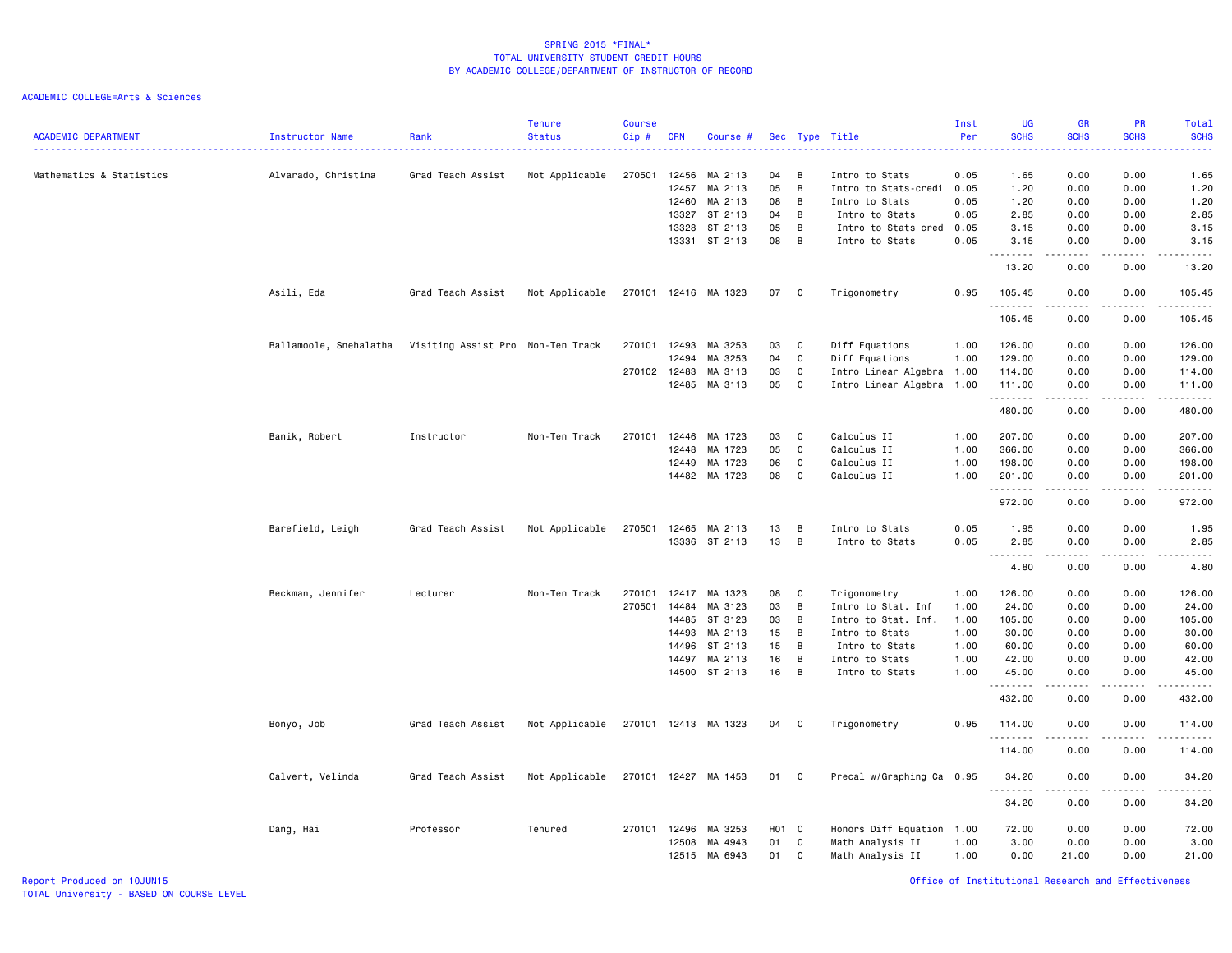| <b>ACADEMIC DEPARTMENT</b> | Instructor Name        | Rank                              | <b>Tenure</b><br><b>Status</b><br>. | <b>Course</b><br>Cip# | <b>CRN</b> | Course #             |       |                | Sec Type Title            | Inst<br>Per | <b>UG</b><br><b>SCHS</b><br>$\omega$ is $\omega$ in | <b>GR</b><br><b>SCHS</b>                                                                                                                                     | <b>PR</b><br><b>SCHS</b><br>$\omega$ is a $\omega$ | Total<br><b>SCHS</b><br>بالمحامي                                                                                                    |
|----------------------------|------------------------|-----------------------------------|-------------------------------------|-----------------------|------------|----------------------|-------|----------------|---------------------------|-------------|-----------------------------------------------------|--------------------------------------------------------------------------------------------------------------------------------------------------------------|----------------------------------------------------|-------------------------------------------------------------------------------------------------------------------------------------|
| Mathematics & Statistics   | Alvarado, Christina    | Grad Teach Assist                 | Not Applicable                      | 270501                | 12456      | MA 2113              | 04    | B              | Intro to Stats            | 0.05        | 1.65                                                | 0.00                                                                                                                                                         | 0.00                                               | 1.65                                                                                                                                |
|                            |                        |                                   |                                     |                       | 12457      | MA 2113              | 05    | B              | Intro to Stats-credi      | 0.05        | 1.20                                                | 0.00                                                                                                                                                         | 0.00                                               | 1.20                                                                                                                                |
|                            |                        |                                   |                                     |                       | 12460      | MA 2113              | 08    | B              | Intro to Stats            | 0.05        | 1.20                                                | 0.00                                                                                                                                                         | 0.00                                               | 1.20                                                                                                                                |
|                            |                        |                                   |                                     |                       | 13327      | ST 2113              | 04    | B              | Intro to Stats            | 0.05        | 2.85                                                | 0.00                                                                                                                                                         | 0.00                                               | 2.85                                                                                                                                |
|                            |                        |                                   |                                     |                       | 13328      | ST 2113              | 05    | B              | Intro to Stats cred 0.05  |             | 3.15                                                | 0.00                                                                                                                                                         | 0.00                                               | 3.15                                                                                                                                |
|                            |                        |                                   |                                     |                       |            | 13331 ST 2113        | 08    | B              | Intro to Stats            | 0.05        | 3.15<br>-----                                       | 0.00<br><u>.</u>                                                                                                                                             | 0.00<br>.                                          | 3.15<br>$    -$                                                                                                                     |
|                            |                        |                                   |                                     |                       |            |                      |       |                |                           |             | 13.20                                               | 0.00                                                                                                                                                         | 0.00                                               | 13.20                                                                                                                               |
|                            | Asili, Eda             | Grad Teach Assist                 | Not Applicable                      |                       |            | 270101 12416 MA 1323 | 07 C  |                | Trigonometry              | 0.95        | 105.45<br>.                                         | 0.00<br>.                                                                                                                                                    | 0.00<br>$\sim$ $\sim$ $\sim$                       | 105.45<br>$\begin{array}{cccccccccccccc} \bullet & \bullet & \bullet & \bullet & \bullet & \bullet & \bullet & \bullet \end{array}$ |
|                            |                        |                                   |                                     |                       |            |                      |       |                |                           |             | 105.45                                              | 0.00                                                                                                                                                         | 0.00                                               | 105.45                                                                                                                              |
|                            | Ballamoole, Snehalatha | Visiting Assist Pro Non-Ten Track |                                     | 270101 12493          |            | MA 3253              | 03    | C              | Diff Equations            | 1.00        | 126.00                                              | 0.00                                                                                                                                                         | 0.00                                               | 126.00                                                                                                                              |
|                            |                        |                                   |                                     |                       | 12494      | MA 3253              | 04    | C              | Diff Equations            | 1.00        | 129.00                                              | 0.00                                                                                                                                                         | 0.00                                               | 129.00                                                                                                                              |
|                            |                        |                                   |                                     | 270102 12483          |            | MA 3113              | 03    | C              | Intro Linear Algebra 1.00 |             | 114.00                                              | 0.00                                                                                                                                                         | 0.00                                               | 114.00                                                                                                                              |
|                            |                        |                                   |                                     |                       | 12485      | MA 3113              | 05    | C              | Intro Linear Algebra 1.00 |             | 111.00<br>.                                         | 0.00<br>د د د د د                                                                                                                                            | 0.00<br>.                                          | 111.00                                                                                                                              |
|                            |                        |                                   |                                     |                       |            |                      |       |                |                           |             | 480.00                                              | 0.00                                                                                                                                                         | 0.00                                               | 480.00                                                                                                                              |
|                            | Banik, Robert          | Instructor                        | Non-Ten Track                       | 270101                | 12446      | MA 1723              | 03    | C              | Calculus II               | 1.00        | 207.00                                              | 0.00                                                                                                                                                         | 0.00                                               | 207.00                                                                                                                              |
|                            |                        |                                   |                                     |                       | 12448      | MA 1723              | 05    | C              | Calculus II               | 1.00        | 366.00                                              | 0.00                                                                                                                                                         | 0.00                                               | 366.00                                                                                                                              |
|                            |                        |                                   |                                     |                       | 12449      | MA 1723              | 06    | C              | Calculus II               | 1.00        | 198.00                                              | 0.00                                                                                                                                                         | 0.00                                               | 198.00                                                                                                                              |
|                            |                        |                                   |                                     |                       | 14482      | MA 1723              | 08    | C              | Calculus II               | 1.00        | 201.00                                              | 0.00                                                                                                                                                         | 0.00                                               | 201.00                                                                                                                              |
|                            |                        |                                   |                                     |                       |            |                      |       |                |                           |             | .<br>972.00                                         | 0.00                                                                                                                                                         | 0.00                                               | 972.00                                                                                                                              |
|                            |                        |                                   |                                     |                       |            |                      |       |                |                           |             |                                                     |                                                                                                                                                              |                                                    |                                                                                                                                     |
|                            | Barefield, Leigh       | Grad Teach Assist                 | Not Applicable                      | 270501 12465          |            | MA 2113              | 13    | B              | Intro to Stats            | 0.05        | 1.95                                                | 0.00                                                                                                                                                         | 0.00                                               | 1.95                                                                                                                                |
|                            |                        |                                   |                                     |                       |            | 13336 ST 2113        | 13    | B              | Intro to Stats            | 0.05        | 2.85                                                | 0.00<br>.                                                                                                                                                    | 0.00<br>.                                          | 2.85<br>.                                                                                                                           |
|                            |                        |                                   |                                     |                       |            |                      |       |                |                           |             | 4.80                                                | 0.00                                                                                                                                                         | 0.00                                               | 4.80                                                                                                                                |
|                            | Beckman, Jennifer      | Lecturer                          | Non-Ten Track                       | 270101                | 12417      | MA 1323              | 08    | C              | Trigonometry              | 1.00        | 126.00                                              | 0.00                                                                                                                                                         | 0.00                                               | 126.00                                                                                                                              |
|                            |                        |                                   |                                     | 270501                | 14484      | MA 3123              | 03    | B              | Intro to Stat. Inf        | 1.00        | 24.00                                               | 0.00                                                                                                                                                         | 0.00                                               | 24.00                                                                                                                               |
|                            |                        |                                   |                                     |                       | 14485      | ST 3123              | 03    | B              | Intro to Stat. Inf.       | 1.00        | 105.00                                              | 0.00                                                                                                                                                         | 0.00                                               | 105.00                                                                                                                              |
|                            |                        |                                   |                                     |                       | 14493      | MA 2113              | 15    | $\overline{B}$ | Intro to Stats            | 1.00        | 30.00                                               | 0.00                                                                                                                                                         | 0.00                                               | 30.00                                                                                                                               |
|                            |                        |                                   |                                     |                       | 14496      | ST 2113              | 15    | $\overline{B}$ | Intro to Stats            | 1.00        | 60.00                                               | 0.00                                                                                                                                                         | 0.00                                               | 60.00                                                                                                                               |
|                            |                        |                                   |                                     |                       | 14497      | MA 2113              | 16    | B              | Intro to Stats            | 1.00        | 42.00                                               | 0.00                                                                                                                                                         | 0.00                                               | 42.00                                                                                                                               |
|                            |                        |                                   |                                     |                       | 14500      | ST 2113              | 16    | $\overline{B}$ | Intro to Stats            | 1.00        | 45.00<br>.                                          | 0.00<br>$\frac{1}{2} \left( \frac{1}{2} \right) \left( \frac{1}{2} \right) \left( \frac{1}{2} \right) \left( \frac{1}{2} \right) \left( \frac{1}{2} \right)$ | 0.00<br>.                                          | 45.00<br>------                                                                                                                     |
|                            |                        |                                   |                                     |                       |            |                      |       |                |                           |             | 432.00                                              | 0.00                                                                                                                                                         | 0.00                                               | 432.00                                                                                                                              |
|                            | Bonyo, Job             | Grad Teach Assist                 | Not Applicable                      |                       |            | 270101 12413 MA 1323 | 04 C  |                | Trigonometry              | 0.95        | 114.00<br>.                                         | 0.00                                                                                                                                                         | 0.00                                               | 114.00<br>.                                                                                                                         |
|                            |                        |                                   |                                     |                       |            |                      |       |                |                           |             | 114.00                                              | 0.00                                                                                                                                                         | 0.00                                               | 114.00                                                                                                                              |
|                            | Calvert, Velinda       | Grad Teach Assist                 | Not Applicable                      |                       |            | 270101 12427 MA 1453 | 01 C  |                | Precal w/Graphing Ca 0.95 |             | 34.20                                               | 0.00                                                                                                                                                         | 0.00                                               | 34.20                                                                                                                               |
|                            |                        |                                   |                                     |                       |            |                      |       |                |                           |             | .<br>34.20                                          | 0.00                                                                                                                                                         | 0.00                                               | 34.20                                                                                                                               |
|                            | Dang, Hai              | Professor                         | Tenured                             | 270101 12496          |            | MA 3253              | H01 C |                | Honors Diff Equation 1.00 |             | 72.00                                               | 0.00                                                                                                                                                         | 0.00                                               | 72.00                                                                                                                               |
|                            |                        |                                   |                                     |                       | 12508      | MA 4943              | 01    | C              | Math Analysis II          | 1.00        | 3.00                                                | 0.00                                                                                                                                                         | 0.00                                               | 3.00                                                                                                                                |
|                            |                        |                                   |                                     |                       | 12515      | MA 6943              | 01    | C              | Math Analysis II          | 1.00        | 0.00                                                | 21.00                                                                                                                                                        | 0.00                                               | 21.00                                                                                                                               |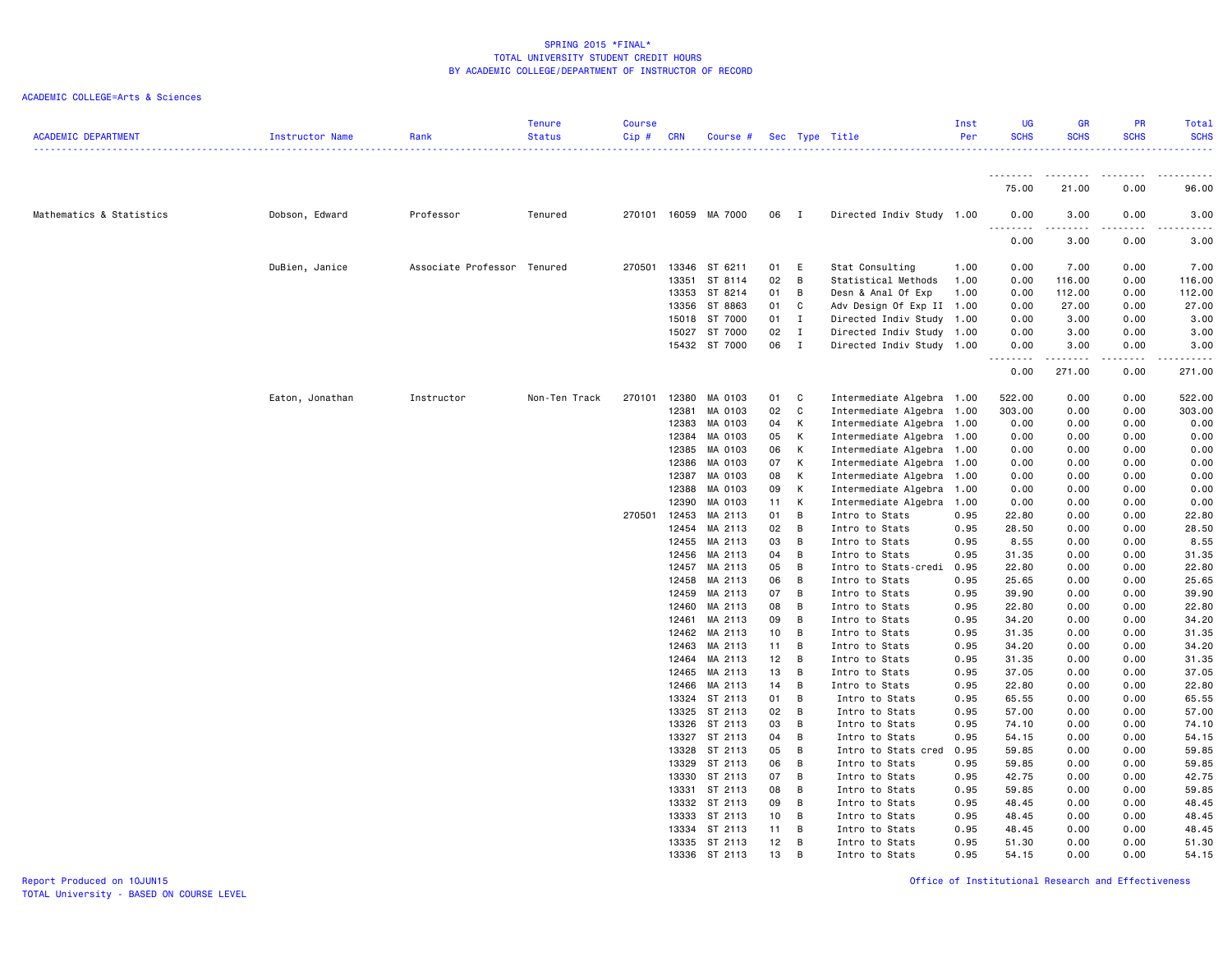| <b>ACADEMIC DEPARTMENT</b> | Instructor Name | Rank                        | <b>Tenure</b><br><b>Status</b> | <b>Course</b><br>$Cip$ # | <b>CRN</b>     | Course # Sec Type Title  |                 |                              |                                                   | Inst<br>Per  | UG<br><b>SCHS</b> | <b>GR</b><br><b>SCHS</b> | PR<br><b>SCHS</b>                                                                                                                                    | Total<br><b>SCHS</b> |
|----------------------------|-----------------|-----------------------------|--------------------------------|--------------------------|----------------|--------------------------|-----------------|------------------------------|---------------------------------------------------|--------------|-------------------|--------------------------|------------------------------------------------------------------------------------------------------------------------------------------------------|----------------------|
|                            |                 |                             |                                |                          |                |                          |                 |                              |                                                   |              | <u>.</u>          | .                        | $\frac{1}{2} \left( \frac{1}{2} \right) \left( \frac{1}{2} \right) \left( \frac{1}{2} \right) \left( \frac{1}{2} \right) \left( \frac{1}{2} \right)$ |                      |
|                            |                 |                             |                                |                          |                |                          |                 |                              |                                                   |              | 75.00             | 21.00                    | 0.00                                                                                                                                                 | 96.00                |
| Mathematics & Statistics   | Dobson, Edward  | Professor                   | Tenured                        |                          |                | 270101 16059 MA 7000     | 06 I            |                              | Directed Indiv Study 1.00                         |              | 0.00<br><u>.</u>  | 3.00<br>.                | 0.00                                                                                                                                                 | 3.00                 |
|                            |                 |                             |                                |                          |                |                          |                 |                              |                                                   |              | 0.00              | 3.00                     | 0.00                                                                                                                                                 | 3.00                 |
|                            | DuBien, Janice  | Associate Professor Tenured |                                | 270501                   | 13346          | ST 6211                  | 01              | E                            | Stat Consulting                                   | 1.00         | 0.00              | 7.00                     | 0.00                                                                                                                                                 | 7.00                 |
|                            |                 |                             |                                |                          | 13351          | ST 8114                  | 02              | B                            | Statistical Methods                               | 1.00         | 0.00              | 116.00                   | 0.00                                                                                                                                                 | 116.00               |
|                            |                 |                             |                                |                          | 13353          | ST 8214                  | 01              | В                            | Desn & Anal Of Exp                                | 1.00         | 0.00              | 112.00                   | 0.00                                                                                                                                                 | 112.00               |
|                            |                 |                             |                                |                          | 13356          | ST 8863                  | 01              | C                            | Adv Design Of Exp II                              | 1.00         | 0.00              | 27.00                    | 0.00                                                                                                                                                 | 27.00                |
|                            |                 |                             |                                |                          | 15018          | ST 7000<br>15027 ST 7000 | 01<br>02        | $\mathbf{I}$<br>$\mathbf{I}$ | Directed Indiv Study                              | 1.00<br>1.00 | 0.00<br>0.00      | 3.00<br>3.00             | 0.00<br>0.00                                                                                                                                         | 3.00<br>3.00         |
|                            |                 |                             |                                |                          |                | 15432 ST 7000            | 06 I            |                              | Directed Indiv Study<br>Directed Indiv Study 1.00 |              | 0.00              | 3.00                     | 0.00                                                                                                                                                 | 3.00                 |
|                            |                 |                             |                                |                          |                |                          |                 |                              |                                                   |              | .                 | .                        | -----                                                                                                                                                |                      |
|                            |                 |                             |                                |                          |                |                          |                 |                              |                                                   |              | 0.00              | 271.00                   | 0.00                                                                                                                                                 | 271.00               |
|                            | Eaton, Jonathan | Instructor                  | Non-Ten Track                  | 270101                   | 12380          | MA 0103                  | 01              | $\mathbf{C}$                 | Intermediate Algebra                              | 1.00         | 522.00            | 0.00                     | 0.00                                                                                                                                                 | 522.00               |
|                            |                 |                             |                                |                          | 12381          | MA 0103                  | 02              | C                            | Intermediate Algebra                              | 1.00         | 303.00            | 0.00                     | 0.00                                                                                                                                                 | 303.00               |
|                            |                 |                             |                                |                          | 12383          | MA 0103                  | 04              | К                            | Intermediate Algebra                              | 1.00         | 0.00              | 0.00                     | 0.00                                                                                                                                                 | 0.00                 |
|                            |                 |                             |                                |                          | 12384          | MA 0103                  | 05              | К                            | Intermediate Algebra                              | 1.00         | 0.00              | 0.00                     | 0.00                                                                                                                                                 | 0.00                 |
|                            |                 |                             |                                |                          | 12385<br>12386 | MA 0103<br>MA 0103       | 06<br>07        | Κ<br>К                       | Intermediate Algebra<br>Intermediate Algebra      | 1.00<br>1.00 | 0.00<br>0.00      | 0.00<br>0.00             | 0.00<br>0.00                                                                                                                                         | 0.00<br>0.00         |
|                            |                 |                             |                                |                          | 12387          | MA 0103                  | 08              | Κ                            | Intermediate Algebra                              | 1.00         | 0.00              | 0.00                     | 0.00                                                                                                                                                 | 0.00                 |
|                            |                 |                             |                                |                          | 12388          | MA 0103                  | 09              | К                            | Intermediate Algebra                              | 1.00         | 0.00              | 0.00                     | 0.00                                                                                                                                                 | 0.00                 |
|                            |                 |                             |                                |                          | 12390          | MA 0103                  | 11              | к                            | Intermediate Algebra                              | 1.00         | 0.00              | 0.00                     | 0.00                                                                                                                                                 | 0.00                 |
|                            |                 |                             |                                | 270501                   | 12453          | MA 2113                  | 01              | B                            | Intro to Stats                                    | 0.95         | 22.80             | 0.00                     | 0.00                                                                                                                                                 | 22.80                |
|                            |                 |                             |                                |                          | 12454          | MA 2113                  | 02              | B                            | Intro to Stats                                    | 0.95         | 28.50             | 0.00                     | 0.00                                                                                                                                                 | 28.50                |
|                            |                 |                             |                                |                          | 12455          | MA 2113                  | 03              | В                            | Intro to Stats                                    | 0.95         | 8.55              | 0.00                     | 0.00                                                                                                                                                 | 8.55                 |
|                            |                 |                             |                                |                          | 12456          | MA 2113                  | 04              | В                            | Intro to Stats                                    | 0.95         | 31.35             | 0.00                     | 0.00                                                                                                                                                 | 31.35                |
|                            |                 |                             |                                |                          | 12457          | MA 2113                  | 05              | B                            | Intro to Stats-credi                              | 0.95         | 22.80             | 0.00                     | 0.00                                                                                                                                                 | 22.80                |
|                            |                 |                             |                                |                          | 12458          | MA 2113                  | 06              | B                            | Intro to Stats                                    | 0.95         | 25.65             | 0.00                     | 0.00                                                                                                                                                 | 25.65                |
|                            |                 |                             |                                |                          | 12459<br>12460 | MA 2113<br>MA 2113       | 07<br>08        | В<br>В                       | Intro to Stats                                    | 0.95<br>0.95 | 39.90<br>22.80    | 0.00<br>0.00             | 0.00<br>0.00                                                                                                                                         | 39.90<br>22.80       |
|                            |                 |                             |                                |                          | 12461          | MA 2113                  | 09              | B                            | Intro to Stats<br>Intro to Stats                  | 0.95         | 34.20             | 0.00                     | 0.00                                                                                                                                                 | 34.20                |
|                            |                 |                             |                                |                          | 12462          | MA 2113                  | 10 <sub>1</sub> | В                            | Intro to Stats                                    | 0.95         | 31.35             | 0.00                     | 0.00                                                                                                                                                 | 31.35                |
|                            |                 |                             |                                |                          | 12463          | MA 2113                  | 11              | B                            | Intro to Stats                                    | 0.95         | 34.20             | 0.00                     | 0.00                                                                                                                                                 | 34.20                |
|                            |                 |                             |                                |                          |                | 12464 MA 2113            | 12              | B                            | Intro to Stats                                    | 0.95         | 31.35             | 0.00                     | 0.00                                                                                                                                                 | 31.35                |
|                            |                 |                             |                                |                          | 12465          | MA 2113                  | 13              | В                            | Intro to Stats                                    | 0.95         | 37.05             | 0.00                     | 0.00                                                                                                                                                 | 37.05                |
|                            |                 |                             |                                |                          | 12466          | MA 2113                  | 14              | B                            | Intro to Stats                                    | 0.95         | 22.80             | 0.00                     | 0.00                                                                                                                                                 | 22.80                |
|                            |                 |                             |                                |                          |                | 13324 ST 2113            | 01              | B                            | Intro to Stats                                    | 0.95         | 65.55             | 0.00                     | 0.00                                                                                                                                                 | 65.55                |
|                            |                 |                             |                                |                          | 13325          | ST 2113                  | 02              | В                            | Intro to Stats                                    | 0.95         | 57.00             | 0.00                     | 0.00                                                                                                                                                 | 57.00                |
|                            |                 |                             |                                |                          |                | 13326 ST 2113            | 03              | В                            | Intro to Stats                                    | 0.95         | 74.10             | 0.00                     | 0.00                                                                                                                                                 | 74.10                |
|                            |                 |                             |                                |                          |                | 13327 ST 2113            | 04              | В                            | Intro to Stats                                    | 0.95         | 54.15             | 0.00                     | 0.00                                                                                                                                                 | 54.15                |
|                            |                 |                             |                                |                          | 13328<br>13329 | ST 2113<br>ST 2113       | 05<br>06        | В<br>B                       | Intro to Stats cred<br>Intro to Stats             | 0.95<br>0.95 | 59.85<br>59.85    | 0.00<br>0.00             | 0.00<br>0.00                                                                                                                                         | 59.85<br>59.85       |
|                            |                 |                             |                                |                          | 13330          | ST 2113                  | 07              | В                            | Intro to Stats                                    | 0.95         | 42.75             | 0.00                     | 0.00                                                                                                                                                 | 42.75                |
|                            |                 |                             |                                |                          |                | 13331 ST 2113            | 08              | B                            | Intro to Stats                                    | 0.95         | 59.85             | 0.00                     | 0.00                                                                                                                                                 | 59.85                |
|                            |                 |                             |                                |                          | 13332          | ST 2113                  | 09              | В                            | Intro to Stats                                    | 0.95         | 48.45             | 0.00                     | 0.00                                                                                                                                                 | 48.45                |
|                            |                 |                             |                                |                          | 13333          | ST 2113                  | 10              | B                            | Intro to Stats                                    | 0.95         | 48.45             | 0.00                     | 0.00                                                                                                                                                 | 48.45                |
|                            |                 |                             |                                |                          |                | 13334 ST 2113            | 11              | B                            | Intro to Stats                                    | 0.95         | 48.45             | 0.00                     | 0.00                                                                                                                                                 | 48.45                |
|                            |                 |                             |                                |                          |                | 13335 ST 2113            | 12              | В                            | Intro to Stats                                    | 0.95         | 51.30             | 0.00                     | 0.00                                                                                                                                                 | 51.30                |
|                            |                 |                             |                                |                          |                | 13336 ST 2113            | 13              | В                            | Intro to Stats                                    | 0.95         | 54.15             | 0.00                     | 0.00                                                                                                                                                 | 54.15                |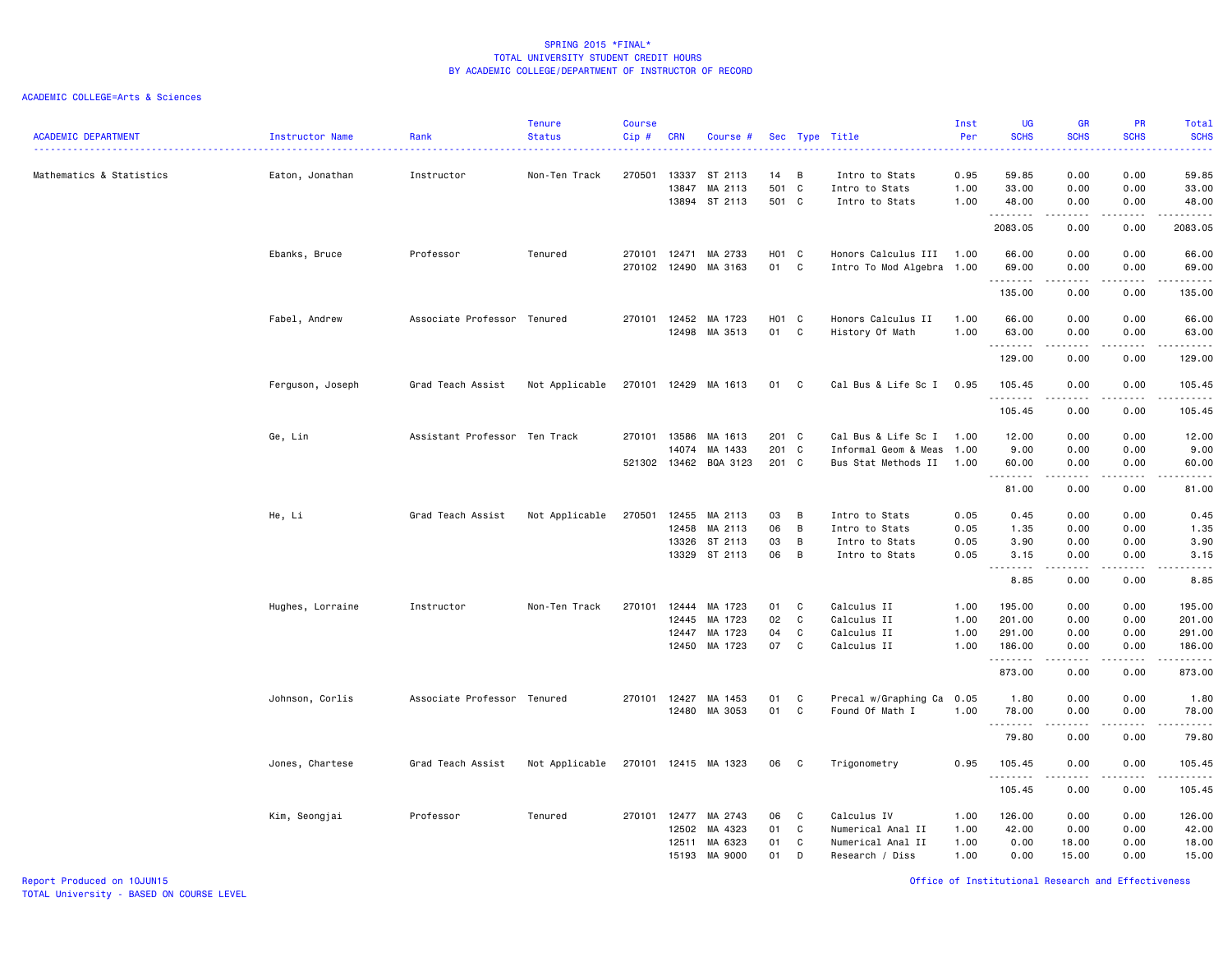| <b>ACADEMIC DEPARTMENT</b> | Instructor Name<br>. | Rank                          | <b>Tenure</b><br><b>Status</b> | <b>Course</b><br>Cip#        | <b>CRN</b>                       | Course #                                 |                         |                                            | Sec Type Title                                                           | Inst<br>Per                  | <b>UG</b><br><b>SCHS</b>                             | <b>GR</b><br><b>SCHS</b>                                                                                                                                     | <b>PR</b><br><b>SCHS</b>     | Total<br><b>SCHS</b><br>د د د د د                                                                                                                             |
|----------------------------|----------------------|-------------------------------|--------------------------------|------------------------------|----------------------------------|------------------------------------------|-------------------------|--------------------------------------------|--------------------------------------------------------------------------|------------------------------|------------------------------------------------------|--------------------------------------------------------------------------------------------------------------------------------------------------------------|------------------------------|---------------------------------------------------------------------------------------------------------------------------------------------------------------|
| Mathematics & Statistics   | Eaton, Jonathan      | Instructor                    | Non-Ten Track                  | 270501                       | 13337<br>13847<br>13894          | ST 2113<br>MA 2113<br>ST 2113            | 14<br>501<br>501 C      | B<br>$\mathbf{C}$                          | Intro to Stats<br>Intro to Stats<br>Intro to Stats                       | 0.95<br>1.00<br>1.00         | 59.85<br>33.00<br>48.00                              | 0.00<br>0.00<br>0.00                                                                                                                                         | 0.00<br>0.00<br>0.00         | 59.85<br>33.00<br>48.00                                                                                                                                       |
|                            |                      |                               |                                |                              |                                  |                                          |                         |                                            |                                                                          |                              | .<br>2083.05                                         | $\frac{1}{2} \left( \frac{1}{2} \right) \left( \frac{1}{2} \right) \left( \frac{1}{2} \right) \left( \frac{1}{2} \right) \left( \frac{1}{2} \right)$<br>0.00 | .<br>0.00                    | $- - - - - - -$<br>2083.05                                                                                                                                    |
|                            | Ebanks, Bruce        | Professor                     | Tenured                        | 270101<br>270102 12490       | 12471                            | MA 2733<br>MA 3163                       | H01 C<br>01             | C                                          | Honors Calculus III 1.00<br>Intro To Mod Algebra 1.00                    |                              | 66.00<br>69.00                                       | 0.00<br>0.00                                                                                                                                                 | 0.00<br>0.00                 | 66.00<br>69.00                                                                                                                                                |
|                            |                      |                               |                                |                              |                                  |                                          |                         |                                            |                                                                          |                              | .<br>135.00                                          | .<br>0.00                                                                                                                                                    | $- - - -$<br>0.00            | .<br>135.00                                                                                                                                                   |
|                            | Fabel, Andrew        | Associate Professor Tenured   |                                | 270101 12452                 | 12498                            | MA 1723<br>MA 3513                       | H01 C<br>01             | C                                          | Honors Calculus II<br>History Of Math                                    | 1.00<br>1.00                 | 66.00<br>63.00                                       | 0.00<br>0.00                                                                                                                                                 | 0.00<br>0.00<br>$- - - -$    | 66.00<br>63.00                                                                                                                                                |
|                            |                      |                               |                                |                              |                                  |                                          |                         |                                            |                                                                          |                              | .<br>129.00                                          | .<br>0.00                                                                                                                                                    | 0.00                         | .<br>129.00                                                                                                                                                   |
|                            | Ferguson, Joseph     | Grad Teach Assist             | Not Applicable                 | 270101 12429                 |                                  | MA 1613                                  | 01                      | $\mathbf{C}$                               | Cal Bus & Life Sc I                                                      | 0.95                         | 105.45<br><u>.</u>                                   | 0.00                                                                                                                                                         | 0.00                         | 105.45<br>.                                                                                                                                                   |
|                            |                      |                               |                                |                              |                                  |                                          |                         |                                            |                                                                          |                              | 105.45                                               | 0.00                                                                                                                                                         | 0.00                         | 105.45                                                                                                                                                        |
|                            | Ge, Lin              | Assistant Professor Ten Track |                                | 270101 13586<br>521302 13462 | 14074                            | MA 1613<br>MA 1433<br>BQA 3123           | 201 C<br>201 C<br>201 C |                                            | Cal Bus & Life Sc I<br>Informal Geom & Meas<br>Bus Stat Methods II       | 1.00<br>1.00<br>1.00         | 12.00<br>9.00<br>60.00                               | 0.00<br>0.00<br>0.00                                                                                                                                         | 0.00<br>0.00<br>0.00         | 12.00<br>9.00<br>60.00                                                                                                                                        |
|                            |                      |                               |                                |                              |                                  |                                          |                         |                                            |                                                                          |                              | .<br>81.00                                           | 0.00                                                                                                                                                         | 0.00                         | $\frac{1}{2} \left( \frac{1}{2} \right) \left( \frac{1}{2} \right) \left( \frac{1}{2} \right) \left( \frac{1}{2} \right) \left( \frac{1}{2} \right)$<br>81.00 |
|                            | He, Li               | Grad Teach Assist             | Not Applicable                 | 270501                       | 12455<br>12458<br>13326<br>13329 | MA 2113<br>MA 2113<br>ST 2113<br>ST 2113 | 03<br>06<br>03<br>06    | B<br>B<br>$\overline{B}$<br>$\overline{B}$ | Intro to Stats<br>Intro to Stats<br>Intro to Stats<br>Intro to Stats     | 0.05<br>0.05<br>0.05<br>0.05 | 0.45<br>1.35<br>3.90<br>3.15<br>$\sim$ $\sim$ .<br>. | 0.00<br>0.00<br>0.00<br>0.00                                                                                                                                 | 0.00<br>0.00<br>0.00<br>0.00 | 0.45<br>1.35<br>3.90<br>3.15<br>$\frac{1}{2}$                                                                                                                 |
|                            |                      |                               |                                |                              |                                  |                                          |                         |                                            |                                                                          |                              | 8.85                                                 | 0.00                                                                                                                                                         | 0.00                         | 8.85                                                                                                                                                          |
|                            | Hughes, Lorraine     | Instructor                    | Non-Ten Track                  | 270101                       | 12444<br>12445<br>12447<br>12450 | MA 1723<br>MA 1723<br>MA 1723<br>MA 1723 | 01<br>02<br>04<br>07    | C<br>C<br>C<br>C                           | Calculus II<br>Calculus II<br>Calculus II<br>Calculus II                 | 1.00<br>1.00<br>1.00<br>1.00 | 195.00<br>201.00<br>291.00<br>186.00<br>.            | 0.00<br>0.00<br>0.00<br>0.00<br>.                                                                                                                            | 0.00<br>0.00<br>0.00<br>0.00 | 195.00<br>201.00<br>291.00<br>186.00<br>$\begin{array}{cccccccccc} \bullet & \bullet & \bullet & \bullet & \bullet & \bullet & \bullet & \bullet \end{array}$ |
|                            | Johnson, Corlis      | Associate Professor Tenured   |                                | 270101 12427                 | 12480                            | MA 1453<br>MA 3053                       | 01<br>01                | C<br>C                                     | Precal w/Graphing Ca<br>Found Of Math I                                  | 0.05<br>1.00                 | 873.00<br>1.80<br>78.00                              | 0.00<br>0.00<br>0.00                                                                                                                                         | 0.00<br>0.00<br>0.00         | 873.00<br>1.80<br>78.00                                                                                                                                       |
|                            |                      |                               |                                |                              |                                  |                                          |                         |                                            |                                                                          |                              | .<br>79.80                                           | .<br>0.00                                                                                                                                                    | .<br>0.00                    | .<br>79.80                                                                                                                                                    |
|                            | Jones, Chartese      | Grad Teach Assist             | Not Applicable                 |                              |                                  | 270101 12415 MA 1323                     | 06                      | $\mathbf{C}$                               | Trigonometry                                                             | 0.95                         | 105.45                                               | 0.00                                                                                                                                                         | 0.00                         | 105.45                                                                                                                                                        |
|                            |                      |                               |                                |                              |                                  |                                          |                         |                                            |                                                                          |                              | .<br>105.45                                          | 0.00                                                                                                                                                         | 0.00                         | .<br>105.45                                                                                                                                                   |
|                            | Kim, Seongjai        | Professor                     | Tenured                        | 270101 12477                 | 12502<br>12511<br>15193          | MA 2743<br>MA 4323<br>MA 6323<br>MA 9000 | 06<br>01<br>01<br>01    | C<br>C<br>C<br>D                           | Calculus IV<br>Numerical Anal II<br>Numerical Anal II<br>Research / Diss | 1.00<br>1.00<br>1.00<br>1.00 | 126.00<br>42.00<br>0.00<br>0.00                      | 0.00<br>0.00<br>18.00<br>15.00                                                                                                                               | 0.00<br>0.00<br>0.00<br>0.00 | 126.00<br>42.00<br>18.00<br>15.00                                                                                                                             |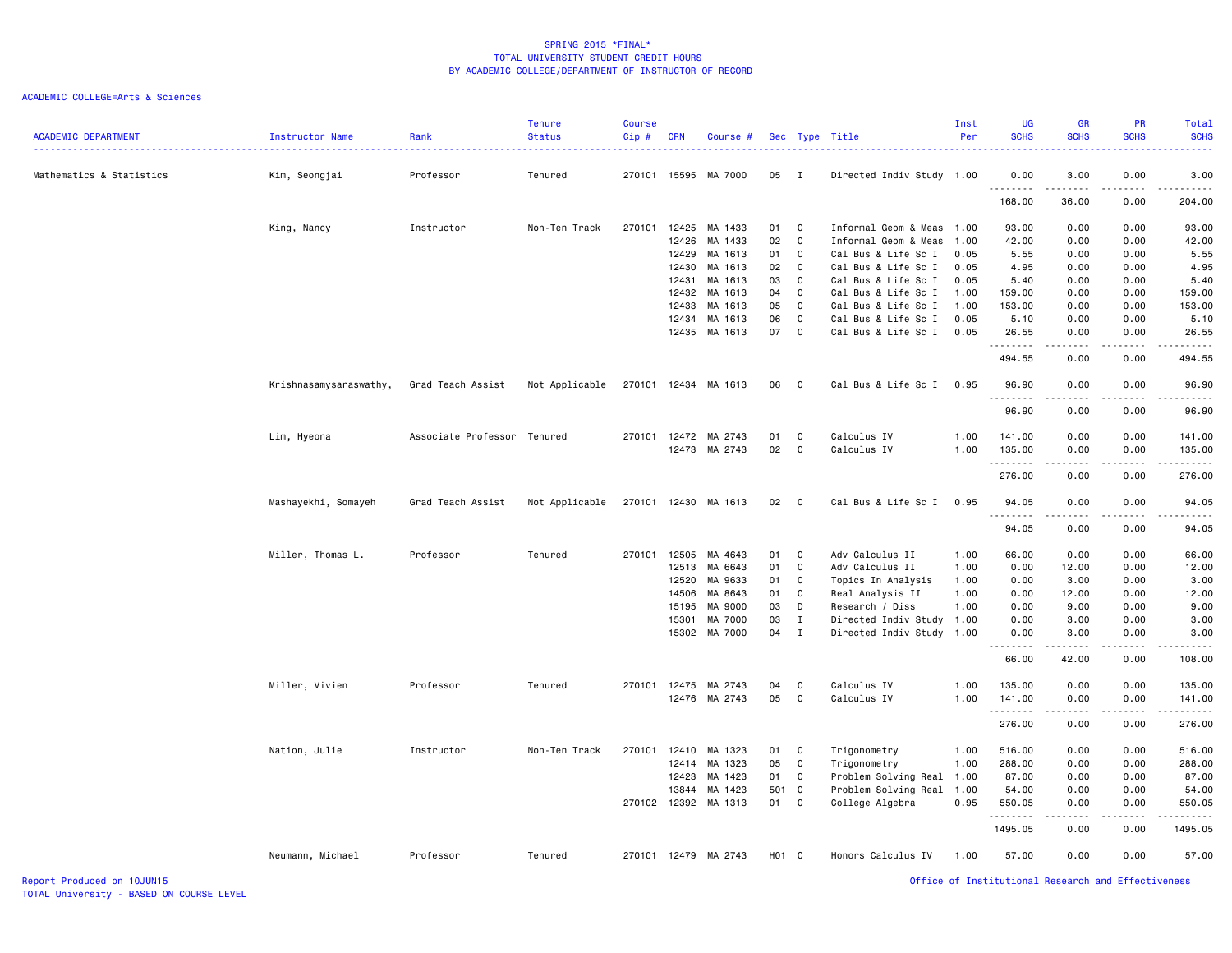| <b>ACADEMIC DEPARTMENT</b> | Instructor Name        | Rank                        | <b>Tenure</b><br><b>Status</b> | Course<br>Cip# | <b>CRN</b> | Course #      |       |              | Sec Type Title            | Inst<br>Per | <b>UG</b><br><b>SCHS</b> | <b>GR</b><br><b>SCHS</b>                                                                                                                                     | PR<br><b>SCHS</b>    | <b>Total</b><br><b>SCHS</b> |
|----------------------------|------------------------|-----------------------------|--------------------------------|----------------|------------|---------------|-------|--------------|---------------------------|-------------|--------------------------|--------------------------------------------------------------------------------------------------------------------------------------------------------------|----------------------|-----------------------------|
|                            |                        |                             |                                |                |            |               |       |              |                           |             |                          |                                                                                                                                                              |                      | <b>.</b>                    |
| Mathematics & Statistics   | Kim, Seongjai          | Professor                   | Tenured                        | 270101         | 15595      | MA 7000       | 05    | $\mathbf{I}$ | Directed Indiv Study 1.00 |             | 0.00<br>.                | 3.00                                                                                                                                                         | 0.00                 | 3.00<br>.                   |
|                            |                        |                             |                                |                |            |               |       |              |                           |             | 168.00                   | 36.00                                                                                                                                                        | 0.00                 | 204.00                      |
|                            | King, Nancy            | Instructor                  | Non-Ten Track                  | 270101         | 12425      | MA 1433       | 01    | C            | Informal Geom & Meas      | 1.00        | 93.00                    | 0.00                                                                                                                                                         | 0.00                 | 93.00                       |
|                            |                        |                             |                                |                | 12426      | MA 1433       | 02    | C            | Informal Geom & Meas      | 1.00        | 42.00                    | 0.00                                                                                                                                                         | 0.00                 | 42.00                       |
|                            |                        |                             |                                |                | 12429      | MA 1613       | 01    | C            | Cal Bus & Life Sc I       | 0.05        | 5.55                     | 0.00                                                                                                                                                         | 0.00                 | 5.55                        |
|                            |                        |                             |                                |                | 12430      | MA 1613       | 02    | C            | Cal Bus & Life Sc I       | 0.05        | 4.95                     | 0.00                                                                                                                                                         | 0.00                 | 4.95                        |
|                            |                        |                             |                                |                | 12431      | MA 1613       | 03    | C            | Cal Bus & Life Sc I       | 0.05        | 5.40                     | 0.00                                                                                                                                                         | 0.00                 | 5.40                        |
|                            |                        |                             |                                |                | 12432      | MA 1613       | 04    | $\mathbb{C}$ | Cal Bus & Life Sc I       | 1.00        | 159.00                   | 0.00                                                                                                                                                         | 0.00                 | 159.00                      |
|                            |                        |                             |                                |                | 12433      | MA 1613       | 05    | C            | Cal Bus & Life Sc I       | 1.00        | 153.00                   | 0.00                                                                                                                                                         | 0.00                 | 153.00                      |
|                            |                        |                             |                                |                | 12434      | MA 1613       | 06    | C            | Cal Bus & Life Sc I       | 0.05        | 5.10                     | 0.00                                                                                                                                                         | 0.00                 | 5.10                        |
|                            |                        |                             |                                |                | 12435      | MA 1613       | 07    | C            | Cal Bus & Life Sc I       | 0.05        | 26.55                    | 0.00                                                                                                                                                         | 0.00                 | 26.55                       |
|                            |                        |                             |                                |                |            |               |       |              |                           |             | .<br>494.55              | $\frac{1}{2} \left( \frac{1}{2} \right) \left( \frac{1}{2} \right) \left( \frac{1}{2} \right) \left( \frac{1}{2} \right) \left( \frac{1}{2} \right)$<br>0.00 | .<br>0.00            | .<br>494.55                 |
|                            | Krishnasamysaraswathy, | Grad Teach Assist           | Not Applicable                 | 270101         |            | 12434 MA 1613 | 06    | C            | Cal Bus & Life Sc I       | 0.95        | 96.90<br>.               | 0.00<br>.                                                                                                                                                    | 0.00<br>.            | 96.90<br>.                  |
|                            |                        |                             |                                |                |            |               |       |              |                           |             | 96.90                    | 0.00                                                                                                                                                         | 0.00                 | 96.90                       |
|                            | Lim, Hyeona            | Associate Professor Tenured |                                | 270101         | 12472      | MA 2743       | 01    | C            | Calculus IV               | 1.00        | 141.00                   | 0.00                                                                                                                                                         | 0.00                 | 141.00                      |
|                            |                        |                             |                                |                |            | 12473 MA 2743 | 02    | $\mathbf c$  | Calculus IV               | 1.00        | 135.00                   | 0.00                                                                                                                                                         | 0.00                 | 135.00                      |
|                            |                        |                             |                                |                |            |               |       |              |                           |             | .<br>276.00              | 0.00                                                                                                                                                         | 0.00                 | <u>.</u><br>276.00          |
|                            | Mashayekhi, Somayeh    | Grad Teach Assist           | Not Applicable                 | 270101         |            | 12430 MA 1613 | 02    | C            | Cal Bus & Life Sc I       | 0.95        | 94.05<br>. <b>.</b>      | 0.00<br>$\frac{1}{2}$                                                                                                                                        | 0.00                 | 94.05<br>.                  |
|                            |                        |                             |                                |                |            |               |       |              |                           |             | 94.05                    | 0.00                                                                                                                                                         | 0.00                 | 94.05                       |
|                            | Miller, Thomas L.      | Professor                   | Tenured                        | 270101         | 12505      | MA 4643       | 01    | C            | Adv Calculus II           | 1.00        | 66.00                    | 0.00                                                                                                                                                         | 0.00                 | 66.00                       |
|                            |                        |                             |                                |                | 12513      | MA 6643       | 01    | $\mathbf c$  | Adv Calculus II           | 1.00        | 0.00                     | 12.00                                                                                                                                                        | 0.00                 | 12.00                       |
|                            |                        |                             |                                |                | 12520      | MA 9633       | 01    | C            | Topics In Analysis        | 1.00        | 0.00                     | 3.00                                                                                                                                                         | 0.00                 | 3.00                        |
|                            |                        |                             |                                |                | 14506      | MA 8643       | 01    | C            | Real Analysis II          | 1.00        | 0.00                     | 12.00                                                                                                                                                        | 0.00                 | 12.00                       |
|                            |                        |                             |                                |                | 15195      | MA 9000       | 03    | D            | Research / Diss           | 1.00        | 0.00                     | 9.00                                                                                                                                                         | 0.00                 | 9.00                        |
|                            |                        |                             |                                |                | 15301      | MA 7000       | 03    | $\mathbf{I}$ | Directed Indiv Study      | 1.00        | 0.00                     | 3.00                                                                                                                                                         | 0.00                 | 3.00                        |
|                            |                        |                             |                                |                |            | 15302 MA 7000 | 04    | $\mathbf{I}$ | Directed Indiv Study 1.00 |             | 0.00                     | 3.00                                                                                                                                                         | 0.00                 | 3.00                        |
|                            |                        |                             |                                |                |            |               |       |              |                           |             | .<br>66.00               | .<br>42.00                                                                                                                                                   | .<br>0.00            | .<br>108.00                 |
|                            |                        | Professor                   | Tenured                        | 270101         | 12475      | MA 2743       | 04    | C            | Calculus IV               | 1.00        | 135.00                   | 0.00                                                                                                                                                         | 0.00                 | 135.00                      |
|                            | Miller, Vivien         |                             |                                |                | 12476      | MA 2743       | 05    | C            | Calculus IV               | 1.00        | 141.00                   | 0.00                                                                                                                                                         | 0.00                 | 141.00                      |
|                            |                        |                             |                                |                |            |               |       |              |                           |             | .                        | .                                                                                                                                                            | $\sim$ $\sim$ $\sim$ | .                           |
|                            |                        |                             |                                |                |            |               |       |              |                           |             | 276.00                   | 0.00                                                                                                                                                         | 0.00                 | 276.00                      |
|                            | Nation, Julie          | Instructor                  | Non-Ten Track                  | 270101         | 12410      | MA 1323       | 01    | C            | Trigonometry              | 1.00        | 516.00                   | 0.00                                                                                                                                                         | 0.00                 | 516.00                      |
|                            |                        |                             |                                |                | 12414      | MA 1323       | 05    | $\mathtt{C}$ | Trigonometry              | 1.00        | 288.00                   | 0.00                                                                                                                                                         | 0.00                 | 288.00                      |
|                            |                        |                             |                                |                | 12423      | MA 1423       | 01    | C            | Problem Solving Real      | 1.00        | 87.00                    | 0.00                                                                                                                                                         | 0.00                 | 87.00                       |
|                            |                        |                             |                                |                | 13844      | MA 1423       | 501 C |              | Problem Solving Real      | 1.00        | 54.00                    | 0.00                                                                                                                                                         | 0.00                 | 54.00                       |
|                            |                        |                             |                                | 270102 12392   |            | MA 1313       | 01    | C            | College Algebra           | 0.95        | 550.05<br>.              | 0.00                                                                                                                                                         | 0.00                 | 550.05<br>.                 |
|                            |                        |                             |                                |                |            |               |       |              |                           |             | 1495.05                  | 0.00                                                                                                                                                         | 0.00                 | 1495.05                     |
|                            | Neumann, Michael       | Professor                   | Tenured                        | 270101         |            | 12479 MA 2743 | H01 C |              | Honors Calculus IV        | 1.00        | 57.00                    | 0.00                                                                                                                                                         | 0.00                 | 57.00                       |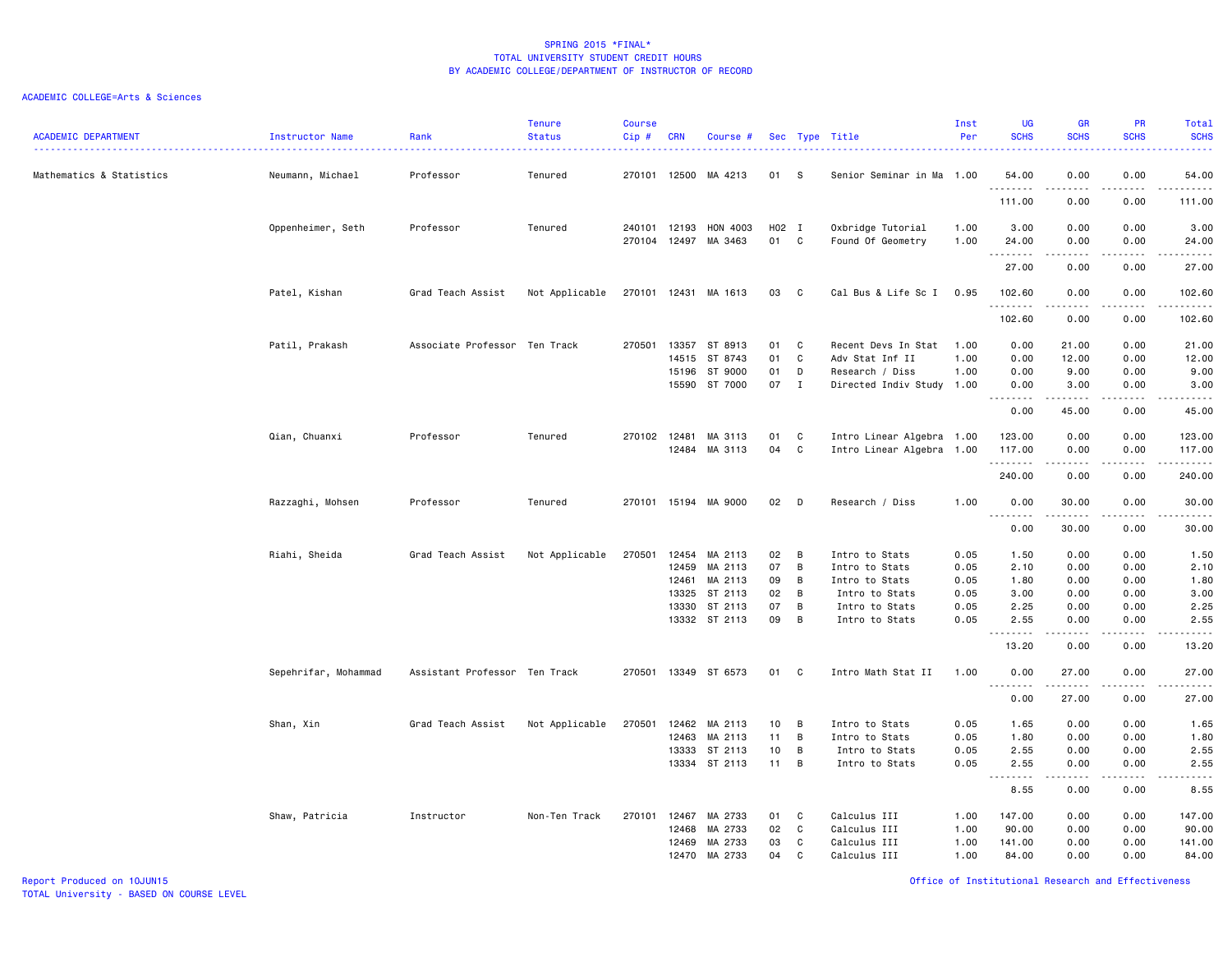| <b>ACADEMIC DEPARTMENT</b> | Instructor Name      | Rank                          | <b>Tenure</b><br><b>Status</b> | <b>Course</b><br>Cip# | CRN          | Course #             |       |              | Sec Type Title            | Inst<br>Per | <b>UG</b><br><b>SCHS</b>          | GR<br><b>SCHS</b>           | PR<br><b>SCHS</b>     | <b>Total</b><br><b>SCHS</b><br>22222 |
|----------------------------|----------------------|-------------------------------|--------------------------------|-----------------------|--------------|----------------------|-------|--------------|---------------------------|-------------|-----------------------------------|-----------------------------|-----------------------|--------------------------------------|
| Mathematics & Statistics   | Neumann, Michael     | Professor                     | Tenured                        |                       |              | 270101 12500 MA 4213 | 01    | - S          | Senior Seminar in Ma 1.00 |             | 54.00<br>.                        | 0.00                        | 0.00                  | 54.00<br>.                           |
|                            |                      |                               |                                |                       |              |                      |       |              |                           |             | 111.00                            | 0.00                        | 0.00                  | 111.00                               |
|                            | Oppenheimer, Seth    | Professor                     | Tenured                        |                       | 240101 12193 | HON 4003             | H02 I |              | Oxbridge Tutorial         | 1.00        | 3.00                              | 0.00                        | 0.00                  | 3.00                                 |
|                            |                      |                               |                                |                       |              | 270104 12497 MA 3463 | 01    | C            | Found Of Geometry         | 1.00        | 24.00<br>.                        | 0.00<br>.                   | 0.00<br>.             | 24.00<br>.                           |
|                            |                      |                               |                                |                       |              |                      |       |              |                           |             | 27.00                             | 0.00                        | 0.00                  | 27.00                                |
|                            | Patel, Kishan        | Grad Teach Assist             | Not Applicable                 | 270101 12431          |              | MA 1613              | 03    | $\mathbf{C}$ | Cal Bus & Life Sc I       | 0.95        | 102.60<br>.                       | 0.00                        | 0.00                  | 102.60<br><u>.</u>                   |
|                            |                      |                               |                                |                       |              |                      |       |              |                           |             | 102.60                            | 0.00                        | .<br>0.00             | 102.60                               |
|                            | Patil, Prakash       | Associate Professor Ten Track |                                | 270501                | 13357        | ST 8913              | 01    | C            | Recent Devs In Stat       | 1.00        | 0.00                              | 21.00                       | 0.00                  | 21.00                                |
|                            |                      |                               |                                |                       | 14515        | ST 8743              | 01    | C            | Adv Stat Inf II           | 1.00        | 0.00                              | 12.00                       | 0.00                  | 12.00                                |
|                            |                      |                               |                                |                       | 15196        | ST 9000              | 01    | D            | Research / Diss           | 1.00        | 0.00                              | 9.00                        | 0.00                  | 9.00                                 |
|                            |                      |                               |                                |                       |              | 15590 ST 7000        | 07    | $\mathbf{I}$ | Directed Indiv Study 1.00 |             | 0.00<br>.                         | 3.00<br>.                   | 0.00<br>.             | 3.00<br>.                            |
|                            |                      |                               |                                |                       |              |                      |       |              |                           |             | 0.00                              | 45.00                       | 0.00                  | 45.00                                |
|                            | Qian, Chuanxi        | Professor                     | Tenured                        | 270102 12481          |              | MA 3113              | 01    | C            | Intro Linear Algebra 1.00 |             | 123.00                            | 0.00                        | 0.00                  | 123.00                               |
|                            |                      |                               |                                |                       | 12484        | MA 3113              | 04    | C            | Intro Linear Algebra 1.00 |             | 117.00                            | 0.00                        | 0.00                  | 117.00                               |
|                            |                      |                               |                                |                       |              |                      |       |              |                           |             | .                                 | $\sim$ $\sim$ $\sim$ $\sim$ | .                     | .                                    |
|                            |                      |                               |                                |                       |              |                      |       |              |                           |             | 240.00                            | 0.00                        | 0.00                  | 240.00                               |
|                            | Razzaghi, Mohsen     | Professor                     | Tenured                        |                       |              | 270101 15194 MA 9000 | 02    | D            | Research / Diss           | 1.00        | 0.00                              | 30.00                       | 0.00                  | 30.00                                |
|                            |                      |                               |                                |                       |              |                      |       |              |                           |             | .<br>0.00                         | .<br>30.00                  | $\frac{1}{2}$<br>0.00 | د د د د د<br>30.00                   |
|                            | Riahi, Sheida        | Grad Teach Assist             | Not Applicable                 | 270501                | 12454        | MA 2113              | 02    | B            | Intro to Stats            | 0.05        | 1.50                              | 0.00                        | 0.00                  | 1.50                                 |
|                            |                      |                               |                                |                       | 12459        | MA 2113              | 07    | B            | Intro to Stats            | 0.05        | 2.10                              | 0.00                        | 0.00                  | 2.10                                 |
|                            |                      |                               |                                |                       | 12461        | MA 2113              | 09    | B            | Intro to Stats            | 0.05        | 1.80                              | 0.00                        | 0.00                  | 1.80                                 |
|                            |                      |                               |                                |                       | 13325        | ST 2113              | 02    | B            | Intro to Stats            | 0.05        | 3.00                              | 0.00                        | 0.00                  | 3.00                                 |
|                            |                      |                               |                                |                       | 13330        | ST 2113              | 07    | B            | Intro to Stats            | 0.05        | 2.25                              | 0.00                        | 0.00                  | 2.25                                 |
|                            |                      |                               |                                |                       |              | 13332 ST 2113        | 09    | B            | Intro to Stats            | 0.05        | 2.55                              | 0.00                        | 0.00                  | 2.55                                 |
|                            |                      |                               |                                |                       |              |                      |       |              |                           |             | .<br>13.20                        | $- - - - -$<br>0.00         | .<br>0.00             | -----<br>13.20                       |
|                            | Sepehrifar, Mohammad | Assistant Professor Ten Track |                                |                       |              | 270501 13349 ST 6573 | 01    | C            | Intro Math Stat II        | 1.00        | 0.00                              | 27.00                       | 0.00                  | 27.00                                |
|                            |                      |                               |                                |                       |              |                      |       |              |                           |             | <b></b><br>0.00                   | .<br>27.00                  | .<br>0.00             | .<br>27.00                           |
|                            | Shan, Xin            | Grad Teach Assist             | Not Applicable                 | 270501                | 12462        | MA 2113              | 10    | B            | Intro to Stats            | 0.05        | 1.65                              | 0.00                        | 0.00                  | 1.65                                 |
|                            |                      |                               |                                |                       | 12463        | MA 2113              | 11    | B            | Intro to Stats            | 0.05        | 1.80                              | 0.00                        | 0.00                  | 1.80                                 |
|                            |                      |                               |                                |                       | 13333        | ST 2113              | 10    | B            | Intro to Stats            | 0.05        | 2.55                              | 0.00                        | 0.00                  | 2.55                                 |
|                            |                      |                               |                                |                       |              | 13334 ST 2113        | 11    | B            | Intro to Stats            | 0.05        | 2.55                              | 0.00                        | 0.00                  | 2.55                                 |
|                            |                      |                               |                                |                       |              |                      |       |              |                           |             | .<br>$\sim$ $\sim$ $\sim$<br>8.55 | 0.00                        | 0.00                  | .<br>8.55                            |
|                            | Shaw, Patricia       | Instructor                    | Non-Ten Track                  | 270101                | 12467        | MA 2733              | 01    | C            | Calculus III              | 1.00        | 147.00                            | 0.00                        | 0.00                  | 147.00                               |
|                            |                      |                               |                                |                       | 12468        | MA 2733              | 02    | C            | Calculus III              | 1.00        | 90.00                             | 0.00                        | 0.00                  | 90.00                                |
|                            |                      |                               |                                |                       | 12469        | MA 2733              | 03    | C            | Calculus III              | 1.00        | 141.00                            | 0.00                        | 0.00                  | 141.00                               |
|                            |                      |                               |                                |                       | 12470        | MA 2733              | 04    | C            | Calculus III              | 1.00        | 84.00                             | 0.00                        | 0.00                  | 84.00                                |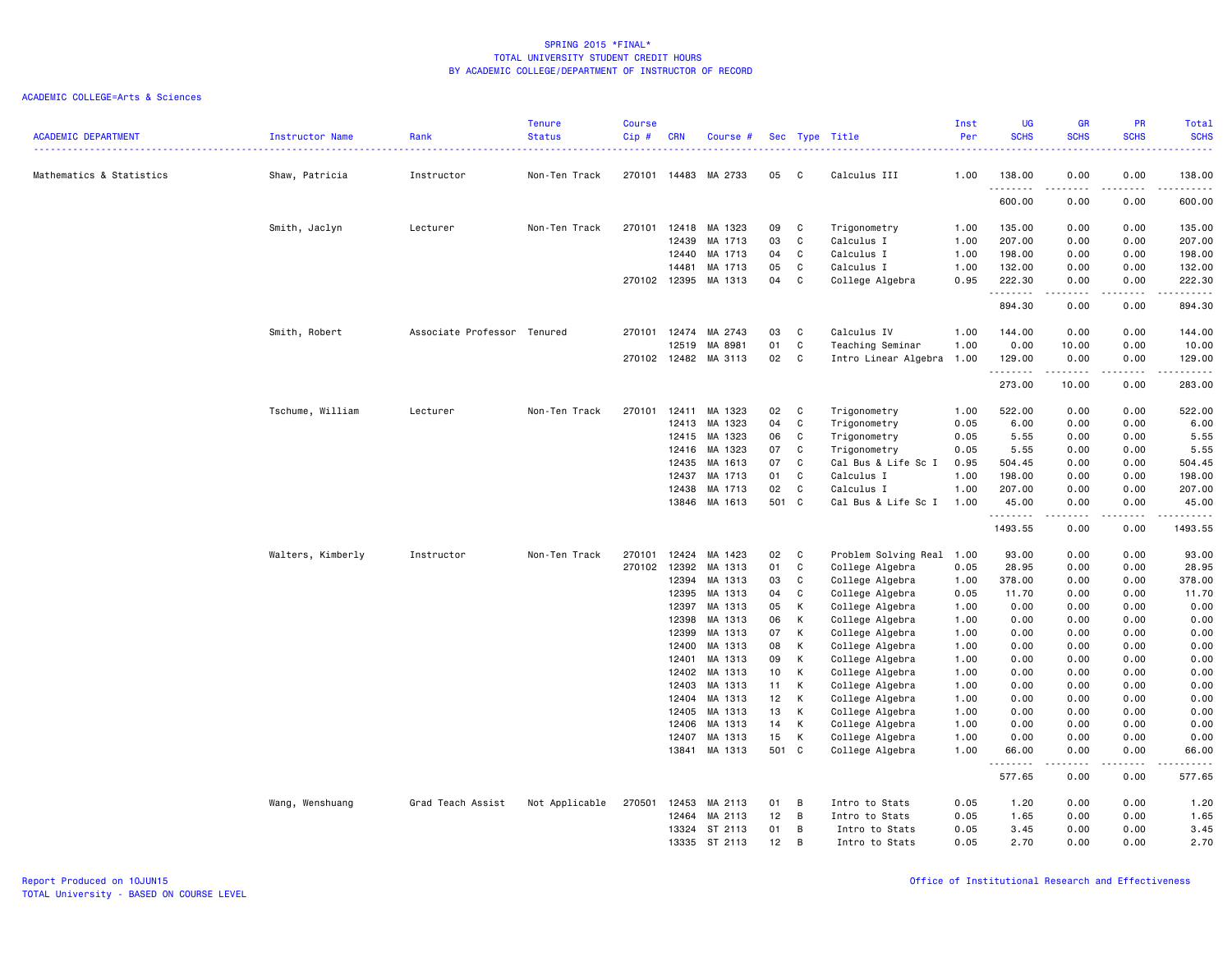| <b>SCHS</b><br><b>SCHS</b><br><b>SCHS</b><br><b>SCHS</b><br><b>ACADEMIC DEPARTMENT</b><br><b>Status</b><br>Cip#<br><b>CRN</b><br>Per<br>Instructor Name<br>Rank<br>Course #<br>Sec Type Title<br>$\frac{1}{2}$<br>Mathematics & Statistics<br>Shaw, Patricia<br>Instructor<br>Non-Ten Track<br>270101<br>14483 MA 2733<br>05<br>C<br>Calculus III<br>1.00<br>138.00<br>0.00<br>0.00<br>138.00<br>.<br>.<br>600.00<br>0.00<br>0.00<br>600.00<br>Smith, Jaclyn<br>Lecturer<br>Non-Ten Track<br>270101<br>12418<br>MA 1323<br>09<br>C<br>Trigonometry<br>1.00<br>135.00<br>0.00<br>0.00<br>135.00<br>C<br>207.00<br>207.00<br>12439<br>MA 1713<br>03<br>Calculus I<br>1.00<br>0.00<br>0.00<br>MA 1713<br>C<br>Calculus I<br>198.00<br>198.00<br>12440<br>04<br>1.00<br>0.00<br>0.00<br>14481<br>MA 1713<br>05<br>C<br>Calculus I<br>1.00<br>132.00<br>0.00<br>0.00<br>132.00<br>C<br>270102<br>12395<br>MA 1313<br>04<br>College Algebra<br>0.95<br>222.30<br>0.00<br>222.30<br>0.00<br>.<br>.<br>.<br>.<br>894.30<br>0.00<br>0.00<br>894.30<br>Associate Professor Tenured<br>Calculus IV<br>144.00<br>0.00<br>0.00<br>144.00<br>Smith, Robert<br>270101<br>12474<br>MA 2743<br>03<br>C<br>1.00<br>MA 8981<br>01<br>C<br>Teaching Seminar<br>0.00<br>0.00<br>12519<br>1.00<br>10.00<br>10.00<br>12482<br>02<br>C<br>270102<br>MA 3113<br>Intro Linear Algebra 1.00<br>129.00<br>0.00<br>0.00<br>129.00<br>.<br>.<br>$\sim$ $\sim$ $\sim$ $\sim$<br>273.00<br>10.00<br>0.00<br>283.00<br>Tschume, William<br>Lecturer<br>Non-Ten Track<br>270101<br>12411<br>MA 1323<br>02<br>C<br>Trigonometry<br>1.00<br>522.00<br>0.00<br>0.00<br>522.00<br>MA 1323<br>C<br>0.00<br>12413<br>04<br>Trigonometry<br>0.05<br>6.00<br>0.00<br>6.00<br>MA 1323<br>5.55<br>12415<br>06<br>C<br>Trigonometry<br>0.05<br>5.55<br>0.00<br>0.00<br>5.55<br>12416<br>MA 1323<br>07<br>C<br>Trigonometry<br>0.05<br>5.55<br>0.00<br>0.00<br>MA 1613<br>Cal Bus & Life Sc I<br>504.45<br>12435<br>07<br>C<br>0.95<br>504.45<br>0.00<br>0.00<br>MA 1713<br>C<br>Calculus I<br>198.00<br>12437<br>01<br>1.00<br>198.00<br>0.00<br>0.00<br>MA 1713<br>207.00<br>12438<br>02<br>C<br>Calculus I<br>1.00<br>207.00<br>0.00<br>0.00<br>13846<br>MA 1613<br>501 C<br>Cal Bus & Life Sc I<br>0.00<br>0.00<br>1.00<br>45.00<br>45.00<br>.<br>.<br>.<br>.<br>1493.55<br>0.00<br>0.00<br>1493.55<br>270101<br>12424<br>MA 1423<br>02<br>C<br>Problem Solving Real 1.00<br>93.00<br>0.00<br>93.00<br>Walters, Kimberly<br>Instructor<br>Non-Ten Track<br>0.00<br>270102<br>12392<br>MA 1313<br>01<br>C<br>College Algebra<br>0.05<br>28.95<br>0.00<br>0.00<br>28.95<br>12394<br>MA 1313<br>03<br>C<br>College Algebra<br>1.00<br>378.00<br>0.00<br>0.00<br>378.00<br>12395<br>MA 1313<br>C<br>College Algebra<br>11.70<br>0.00<br>0.00<br>11.70<br>04<br>0.05<br>12397<br>MA 1313<br>05<br>K<br>College Algebra<br>0.00<br>0.00<br>0.00<br>0.00<br>1.00<br>12398<br>MA 1313<br>06<br>K<br>College Algebra<br>1.00<br>0.00<br>0.00<br>0.00<br>0.00<br>12399<br>MA 1313<br>К<br>College Algebra<br>0.00<br>07<br>1.00<br>0.00<br>0.00<br>0.00<br>12400<br>MA 1313<br>08<br>К<br>College Algebra<br>0.00<br>0.00<br>0.00<br>0.00<br>1.00<br>12401<br>MA 1313<br>09<br>K<br>College Algebra<br>1.00<br>0.00<br>0.00<br>0.00<br>0.00<br>12402<br>MA 1313<br>К<br>College Algebra<br>0.00<br>0.00<br>10<br>1.00<br>0.00<br>0.00<br>12403<br>MA 1313<br>11<br>К<br>College Algebra<br>1.00<br>0.00<br>0.00<br>0.00<br>0.00<br>MA 1313<br>K<br>0.00<br>0.00<br>12404<br>12 <sub>2</sub><br>College Algebra<br>1.00<br>0.00<br>0.00<br>12405<br>MA 1313<br>13<br>К<br>College Algebra<br>0.00<br>0.00<br>0.00<br>0.00<br>1.00<br>12406<br>MA 1313<br>14<br>К<br>College Algebra<br>1.00<br>0.00<br>0.00<br>0.00<br>0.00<br>MA 1313<br>15<br>K<br>1.00<br>0.00<br>0.00<br>0.00<br>12407<br>College Algebra<br>0.00<br>MA 1313<br>13841<br>501 C<br>College Algebra<br>1.00<br>66.00<br>0.00<br>66.00<br>0.00<br>.<br>.<br><u>.</u><br>. <b>.</b> .<br>577.65<br>0.00<br>0.00<br>577.65<br>Wang, Wenshuang<br>Grad Teach Assist<br>Not Applicable<br>270501<br>12453<br>MA 2113<br>01<br>B<br>Intro to Stats<br>0.05<br>1.20<br>0.00<br>0.00<br>1.20<br>MA 2113<br>12<br>B<br>1.65<br>0.00<br>0.00<br>12464<br>Intro to Stats<br>0.05<br>1.65<br>3.45<br>13324 ST 2113<br>01<br>B<br>Intro to Stats<br>0.05<br>3.45<br>0.00<br>0.00<br>13335 ST 2113<br>12<br>0.05<br>2.70<br>0.00<br>0.00<br>2.70<br>B<br>Intro to Stats |  | <b>Tenure</b> | <b>Course</b> |  |  | Inst | UG | <b>GR</b> | PR | <b>Total</b> |
|------------------------------------------------------------------------------------------------------------------------------------------------------------------------------------------------------------------------------------------------------------------------------------------------------------------------------------------------------------------------------------------------------------------------------------------------------------------------------------------------------------------------------------------------------------------------------------------------------------------------------------------------------------------------------------------------------------------------------------------------------------------------------------------------------------------------------------------------------------------------------------------------------------------------------------------------------------------------------------------------------------------------------------------------------------------------------------------------------------------------------------------------------------------------------------------------------------------------------------------------------------------------------------------------------------------------------------------------------------------------------------------------------------------------------------------------------------------------------------------------------------------------------------------------------------------------------------------------------------------------------------------------------------------------------------------------------------------------------------------------------------------------------------------------------------------------------------------------------------------------------------------------------------------------------------------------------------------------------------------------------------------------------------------------------------------------------------------------------------------------------------------------------------------------------------------------------------------------------------------------------------------------------------------------------------------------------------------------------------------------------------------------------------------------------------------------------------------------------------------------------------------------------------------------------------------------------------------------------------------------------------------------------------------------------------------------------------------------------------------------------------------------------------------------------------------------------------------------------------------------------------------------------------------------------------------------------------------------------------------------------------------------------------------------------------------------------------------------------------------------------------------------------------------------------------------------------------------------------------------------------------------------------------------------------------------------------------------------------------------------------------------------------------------------------------------------------------------------------------------------------------------------------------------------------------------------------------------------------------------------------------------------------------------------------------------------------------------------------------------------------------------------------------------------------------------------------------------------------------------------------------------------------------------------------------------------------------------------------------------------------------------------------------------------------------------------------------------------------------------------------------------------------------------------------------------------------------------------------------------------------------------------------------------------------------------------------------------------------------------------------------------------------------------------------------------------------------------------|--|---------------|---------------|--|--|------|----|-----------|----|--------------|
|                                                                                                                                                                                                                                                                                                                                                                                                                                                                                                                                                                                                                                                                                                                                                                                                                                                                                                                                                                                                                                                                                                                                                                                                                                                                                                                                                                                                                                                                                                                                                                                                                                                                                                                                                                                                                                                                                                                                                                                                                                                                                                                                                                                                                                                                                                                                                                                                                                                                                                                                                                                                                                                                                                                                                                                                                                                                                                                                                                                                                                                                                                                                                                                                                                                                                                                                                                                                                                                                                                                                                                                                                                                                                                                                                                                                                                                                                                                                                                                                                                                                                                                                                                                                                                                                                                                                                                                                                                                                        |  |               |               |  |  |      |    |           |    |              |
|                                                                                                                                                                                                                                                                                                                                                                                                                                                                                                                                                                                                                                                                                                                                                                                                                                                                                                                                                                                                                                                                                                                                                                                                                                                                                                                                                                                                                                                                                                                                                                                                                                                                                                                                                                                                                                                                                                                                                                                                                                                                                                                                                                                                                                                                                                                                                                                                                                                                                                                                                                                                                                                                                                                                                                                                                                                                                                                                                                                                                                                                                                                                                                                                                                                                                                                                                                                                                                                                                                                                                                                                                                                                                                                                                                                                                                                                                                                                                                                                                                                                                                                                                                                                                                                                                                                                                                                                                                                                        |  |               |               |  |  |      |    |           |    |              |
|                                                                                                                                                                                                                                                                                                                                                                                                                                                                                                                                                                                                                                                                                                                                                                                                                                                                                                                                                                                                                                                                                                                                                                                                                                                                                                                                                                                                                                                                                                                                                                                                                                                                                                                                                                                                                                                                                                                                                                                                                                                                                                                                                                                                                                                                                                                                                                                                                                                                                                                                                                                                                                                                                                                                                                                                                                                                                                                                                                                                                                                                                                                                                                                                                                                                                                                                                                                                                                                                                                                                                                                                                                                                                                                                                                                                                                                                                                                                                                                                                                                                                                                                                                                                                                                                                                                                                                                                                                                                        |  |               |               |  |  |      |    |           |    |              |
|                                                                                                                                                                                                                                                                                                                                                                                                                                                                                                                                                                                                                                                                                                                                                                                                                                                                                                                                                                                                                                                                                                                                                                                                                                                                                                                                                                                                                                                                                                                                                                                                                                                                                                                                                                                                                                                                                                                                                                                                                                                                                                                                                                                                                                                                                                                                                                                                                                                                                                                                                                                                                                                                                                                                                                                                                                                                                                                                                                                                                                                                                                                                                                                                                                                                                                                                                                                                                                                                                                                                                                                                                                                                                                                                                                                                                                                                                                                                                                                                                                                                                                                                                                                                                                                                                                                                                                                                                                                                        |  |               |               |  |  |      |    |           |    |              |
|                                                                                                                                                                                                                                                                                                                                                                                                                                                                                                                                                                                                                                                                                                                                                                                                                                                                                                                                                                                                                                                                                                                                                                                                                                                                                                                                                                                                                                                                                                                                                                                                                                                                                                                                                                                                                                                                                                                                                                                                                                                                                                                                                                                                                                                                                                                                                                                                                                                                                                                                                                                                                                                                                                                                                                                                                                                                                                                                                                                                                                                                                                                                                                                                                                                                                                                                                                                                                                                                                                                                                                                                                                                                                                                                                                                                                                                                                                                                                                                                                                                                                                                                                                                                                                                                                                                                                                                                                                                                        |  |               |               |  |  |      |    |           |    |              |
|                                                                                                                                                                                                                                                                                                                                                                                                                                                                                                                                                                                                                                                                                                                                                                                                                                                                                                                                                                                                                                                                                                                                                                                                                                                                                                                                                                                                                                                                                                                                                                                                                                                                                                                                                                                                                                                                                                                                                                                                                                                                                                                                                                                                                                                                                                                                                                                                                                                                                                                                                                                                                                                                                                                                                                                                                                                                                                                                                                                                                                                                                                                                                                                                                                                                                                                                                                                                                                                                                                                                                                                                                                                                                                                                                                                                                                                                                                                                                                                                                                                                                                                                                                                                                                                                                                                                                                                                                                                                        |  |               |               |  |  |      |    |           |    |              |
|                                                                                                                                                                                                                                                                                                                                                                                                                                                                                                                                                                                                                                                                                                                                                                                                                                                                                                                                                                                                                                                                                                                                                                                                                                                                                                                                                                                                                                                                                                                                                                                                                                                                                                                                                                                                                                                                                                                                                                                                                                                                                                                                                                                                                                                                                                                                                                                                                                                                                                                                                                                                                                                                                                                                                                                                                                                                                                                                                                                                                                                                                                                                                                                                                                                                                                                                                                                                                                                                                                                                                                                                                                                                                                                                                                                                                                                                                                                                                                                                                                                                                                                                                                                                                                                                                                                                                                                                                                                                        |  |               |               |  |  |      |    |           |    |              |
|                                                                                                                                                                                                                                                                                                                                                                                                                                                                                                                                                                                                                                                                                                                                                                                                                                                                                                                                                                                                                                                                                                                                                                                                                                                                                                                                                                                                                                                                                                                                                                                                                                                                                                                                                                                                                                                                                                                                                                                                                                                                                                                                                                                                                                                                                                                                                                                                                                                                                                                                                                                                                                                                                                                                                                                                                                                                                                                                                                                                                                                                                                                                                                                                                                                                                                                                                                                                                                                                                                                                                                                                                                                                                                                                                                                                                                                                                                                                                                                                                                                                                                                                                                                                                                                                                                                                                                                                                                                                        |  |               |               |  |  |      |    |           |    |              |
|                                                                                                                                                                                                                                                                                                                                                                                                                                                                                                                                                                                                                                                                                                                                                                                                                                                                                                                                                                                                                                                                                                                                                                                                                                                                                                                                                                                                                                                                                                                                                                                                                                                                                                                                                                                                                                                                                                                                                                                                                                                                                                                                                                                                                                                                                                                                                                                                                                                                                                                                                                                                                                                                                                                                                                                                                                                                                                                                                                                                                                                                                                                                                                                                                                                                                                                                                                                                                                                                                                                                                                                                                                                                                                                                                                                                                                                                                                                                                                                                                                                                                                                                                                                                                                                                                                                                                                                                                                                                        |  |               |               |  |  |      |    |           |    |              |
|                                                                                                                                                                                                                                                                                                                                                                                                                                                                                                                                                                                                                                                                                                                                                                                                                                                                                                                                                                                                                                                                                                                                                                                                                                                                                                                                                                                                                                                                                                                                                                                                                                                                                                                                                                                                                                                                                                                                                                                                                                                                                                                                                                                                                                                                                                                                                                                                                                                                                                                                                                                                                                                                                                                                                                                                                                                                                                                                                                                                                                                                                                                                                                                                                                                                                                                                                                                                                                                                                                                                                                                                                                                                                                                                                                                                                                                                                                                                                                                                                                                                                                                                                                                                                                                                                                                                                                                                                                                                        |  |               |               |  |  |      |    |           |    |              |
|                                                                                                                                                                                                                                                                                                                                                                                                                                                                                                                                                                                                                                                                                                                                                                                                                                                                                                                                                                                                                                                                                                                                                                                                                                                                                                                                                                                                                                                                                                                                                                                                                                                                                                                                                                                                                                                                                                                                                                                                                                                                                                                                                                                                                                                                                                                                                                                                                                                                                                                                                                                                                                                                                                                                                                                                                                                                                                                                                                                                                                                                                                                                                                                                                                                                                                                                                                                                                                                                                                                                                                                                                                                                                                                                                                                                                                                                                                                                                                                                                                                                                                                                                                                                                                                                                                                                                                                                                                                                        |  |               |               |  |  |      |    |           |    |              |
|                                                                                                                                                                                                                                                                                                                                                                                                                                                                                                                                                                                                                                                                                                                                                                                                                                                                                                                                                                                                                                                                                                                                                                                                                                                                                                                                                                                                                                                                                                                                                                                                                                                                                                                                                                                                                                                                                                                                                                                                                                                                                                                                                                                                                                                                                                                                                                                                                                                                                                                                                                                                                                                                                                                                                                                                                                                                                                                                                                                                                                                                                                                                                                                                                                                                                                                                                                                                                                                                                                                                                                                                                                                                                                                                                                                                                                                                                                                                                                                                                                                                                                                                                                                                                                                                                                                                                                                                                                                                        |  |               |               |  |  |      |    |           |    |              |
|                                                                                                                                                                                                                                                                                                                                                                                                                                                                                                                                                                                                                                                                                                                                                                                                                                                                                                                                                                                                                                                                                                                                                                                                                                                                                                                                                                                                                                                                                                                                                                                                                                                                                                                                                                                                                                                                                                                                                                                                                                                                                                                                                                                                                                                                                                                                                                                                                                                                                                                                                                                                                                                                                                                                                                                                                                                                                                                                                                                                                                                                                                                                                                                                                                                                                                                                                                                                                                                                                                                                                                                                                                                                                                                                                                                                                                                                                                                                                                                                                                                                                                                                                                                                                                                                                                                                                                                                                                                                        |  |               |               |  |  |      |    |           |    |              |
|                                                                                                                                                                                                                                                                                                                                                                                                                                                                                                                                                                                                                                                                                                                                                                                                                                                                                                                                                                                                                                                                                                                                                                                                                                                                                                                                                                                                                                                                                                                                                                                                                                                                                                                                                                                                                                                                                                                                                                                                                                                                                                                                                                                                                                                                                                                                                                                                                                                                                                                                                                                                                                                                                                                                                                                                                                                                                                                                                                                                                                                                                                                                                                                                                                                                                                                                                                                                                                                                                                                                                                                                                                                                                                                                                                                                                                                                                                                                                                                                                                                                                                                                                                                                                                                                                                                                                                                                                                                                        |  |               |               |  |  |      |    |           |    |              |
|                                                                                                                                                                                                                                                                                                                                                                                                                                                                                                                                                                                                                                                                                                                                                                                                                                                                                                                                                                                                                                                                                                                                                                                                                                                                                                                                                                                                                                                                                                                                                                                                                                                                                                                                                                                                                                                                                                                                                                                                                                                                                                                                                                                                                                                                                                                                                                                                                                                                                                                                                                                                                                                                                                                                                                                                                                                                                                                                                                                                                                                                                                                                                                                                                                                                                                                                                                                                                                                                                                                                                                                                                                                                                                                                                                                                                                                                                                                                                                                                                                                                                                                                                                                                                                                                                                                                                                                                                                                                        |  |               |               |  |  |      |    |           |    |              |
|                                                                                                                                                                                                                                                                                                                                                                                                                                                                                                                                                                                                                                                                                                                                                                                                                                                                                                                                                                                                                                                                                                                                                                                                                                                                                                                                                                                                                                                                                                                                                                                                                                                                                                                                                                                                                                                                                                                                                                                                                                                                                                                                                                                                                                                                                                                                                                                                                                                                                                                                                                                                                                                                                                                                                                                                                                                                                                                                                                                                                                                                                                                                                                                                                                                                                                                                                                                                                                                                                                                                                                                                                                                                                                                                                                                                                                                                                                                                                                                                                                                                                                                                                                                                                                                                                                                                                                                                                                                                        |  |               |               |  |  |      |    |           |    |              |
|                                                                                                                                                                                                                                                                                                                                                                                                                                                                                                                                                                                                                                                                                                                                                                                                                                                                                                                                                                                                                                                                                                                                                                                                                                                                                                                                                                                                                                                                                                                                                                                                                                                                                                                                                                                                                                                                                                                                                                                                                                                                                                                                                                                                                                                                                                                                                                                                                                                                                                                                                                                                                                                                                                                                                                                                                                                                                                                                                                                                                                                                                                                                                                                                                                                                                                                                                                                                                                                                                                                                                                                                                                                                                                                                                                                                                                                                                                                                                                                                                                                                                                                                                                                                                                                                                                                                                                                                                                                                        |  |               |               |  |  |      |    |           |    |              |
|                                                                                                                                                                                                                                                                                                                                                                                                                                                                                                                                                                                                                                                                                                                                                                                                                                                                                                                                                                                                                                                                                                                                                                                                                                                                                                                                                                                                                                                                                                                                                                                                                                                                                                                                                                                                                                                                                                                                                                                                                                                                                                                                                                                                                                                                                                                                                                                                                                                                                                                                                                                                                                                                                                                                                                                                                                                                                                                                                                                                                                                                                                                                                                                                                                                                                                                                                                                                                                                                                                                                                                                                                                                                                                                                                                                                                                                                                                                                                                                                                                                                                                                                                                                                                                                                                                                                                                                                                                                                        |  |               |               |  |  |      |    |           |    |              |
|                                                                                                                                                                                                                                                                                                                                                                                                                                                                                                                                                                                                                                                                                                                                                                                                                                                                                                                                                                                                                                                                                                                                                                                                                                                                                                                                                                                                                                                                                                                                                                                                                                                                                                                                                                                                                                                                                                                                                                                                                                                                                                                                                                                                                                                                                                                                                                                                                                                                                                                                                                                                                                                                                                                                                                                                                                                                                                                                                                                                                                                                                                                                                                                                                                                                                                                                                                                                                                                                                                                                                                                                                                                                                                                                                                                                                                                                                                                                                                                                                                                                                                                                                                                                                                                                                                                                                                                                                                                                        |  |               |               |  |  |      |    |           |    |              |
|                                                                                                                                                                                                                                                                                                                                                                                                                                                                                                                                                                                                                                                                                                                                                                                                                                                                                                                                                                                                                                                                                                                                                                                                                                                                                                                                                                                                                                                                                                                                                                                                                                                                                                                                                                                                                                                                                                                                                                                                                                                                                                                                                                                                                                                                                                                                                                                                                                                                                                                                                                                                                                                                                                                                                                                                                                                                                                                                                                                                                                                                                                                                                                                                                                                                                                                                                                                                                                                                                                                                                                                                                                                                                                                                                                                                                                                                                                                                                                                                                                                                                                                                                                                                                                                                                                                                                                                                                                                                        |  |               |               |  |  |      |    |           |    |              |
|                                                                                                                                                                                                                                                                                                                                                                                                                                                                                                                                                                                                                                                                                                                                                                                                                                                                                                                                                                                                                                                                                                                                                                                                                                                                                                                                                                                                                                                                                                                                                                                                                                                                                                                                                                                                                                                                                                                                                                                                                                                                                                                                                                                                                                                                                                                                                                                                                                                                                                                                                                                                                                                                                                                                                                                                                                                                                                                                                                                                                                                                                                                                                                                                                                                                                                                                                                                                                                                                                                                                                                                                                                                                                                                                                                                                                                                                                                                                                                                                                                                                                                                                                                                                                                                                                                                                                                                                                                                                        |  |               |               |  |  |      |    |           |    |              |
|                                                                                                                                                                                                                                                                                                                                                                                                                                                                                                                                                                                                                                                                                                                                                                                                                                                                                                                                                                                                                                                                                                                                                                                                                                                                                                                                                                                                                                                                                                                                                                                                                                                                                                                                                                                                                                                                                                                                                                                                                                                                                                                                                                                                                                                                                                                                                                                                                                                                                                                                                                                                                                                                                                                                                                                                                                                                                                                                                                                                                                                                                                                                                                                                                                                                                                                                                                                                                                                                                                                                                                                                                                                                                                                                                                                                                                                                                                                                                                                                                                                                                                                                                                                                                                                                                                                                                                                                                                                                        |  |               |               |  |  |      |    |           |    |              |
|                                                                                                                                                                                                                                                                                                                                                                                                                                                                                                                                                                                                                                                                                                                                                                                                                                                                                                                                                                                                                                                                                                                                                                                                                                                                                                                                                                                                                                                                                                                                                                                                                                                                                                                                                                                                                                                                                                                                                                                                                                                                                                                                                                                                                                                                                                                                                                                                                                                                                                                                                                                                                                                                                                                                                                                                                                                                                                                                                                                                                                                                                                                                                                                                                                                                                                                                                                                                                                                                                                                                                                                                                                                                                                                                                                                                                                                                                                                                                                                                                                                                                                                                                                                                                                                                                                                                                                                                                                                                        |  |               |               |  |  |      |    |           |    |              |
|                                                                                                                                                                                                                                                                                                                                                                                                                                                                                                                                                                                                                                                                                                                                                                                                                                                                                                                                                                                                                                                                                                                                                                                                                                                                                                                                                                                                                                                                                                                                                                                                                                                                                                                                                                                                                                                                                                                                                                                                                                                                                                                                                                                                                                                                                                                                                                                                                                                                                                                                                                                                                                                                                                                                                                                                                                                                                                                                                                                                                                                                                                                                                                                                                                                                                                                                                                                                                                                                                                                                                                                                                                                                                                                                                                                                                                                                                                                                                                                                                                                                                                                                                                                                                                                                                                                                                                                                                                                                        |  |               |               |  |  |      |    |           |    |              |
|                                                                                                                                                                                                                                                                                                                                                                                                                                                                                                                                                                                                                                                                                                                                                                                                                                                                                                                                                                                                                                                                                                                                                                                                                                                                                                                                                                                                                                                                                                                                                                                                                                                                                                                                                                                                                                                                                                                                                                                                                                                                                                                                                                                                                                                                                                                                                                                                                                                                                                                                                                                                                                                                                                                                                                                                                                                                                                                                                                                                                                                                                                                                                                                                                                                                                                                                                                                                                                                                                                                                                                                                                                                                                                                                                                                                                                                                                                                                                                                                                                                                                                                                                                                                                                                                                                                                                                                                                                                                        |  |               |               |  |  |      |    |           |    |              |
|                                                                                                                                                                                                                                                                                                                                                                                                                                                                                                                                                                                                                                                                                                                                                                                                                                                                                                                                                                                                                                                                                                                                                                                                                                                                                                                                                                                                                                                                                                                                                                                                                                                                                                                                                                                                                                                                                                                                                                                                                                                                                                                                                                                                                                                                                                                                                                                                                                                                                                                                                                                                                                                                                                                                                                                                                                                                                                                                                                                                                                                                                                                                                                                                                                                                                                                                                                                                                                                                                                                                                                                                                                                                                                                                                                                                                                                                                                                                                                                                                                                                                                                                                                                                                                                                                                                                                                                                                                                                        |  |               |               |  |  |      |    |           |    |              |
|                                                                                                                                                                                                                                                                                                                                                                                                                                                                                                                                                                                                                                                                                                                                                                                                                                                                                                                                                                                                                                                                                                                                                                                                                                                                                                                                                                                                                                                                                                                                                                                                                                                                                                                                                                                                                                                                                                                                                                                                                                                                                                                                                                                                                                                                                                                                                                                                                                                                                                                                                                                                                                                                                                                                                                                                                                                                                                                                                                                                                                                                                                                                                                                                                                                                                                                                                                                                                                                                                                                                                                                                                                                                                                                                                                                                                                                                                                                                                                                                                                                                                                                                                                                                                                                                                                                                                                                                                                                                        |  |               |               |  |  |      |    |           |    |              |
|                                                                                                                                                                                                                                                                                                                                                                                                                                                                                                                                                                                                                                                                                                                                                                                                                                                                                                                                                                                                                                                                                                                                                                                                                                                                                                                                                                                                                                                                                                                                                                                                                                                                                                                                                                                                                                                                                                                                                                                                                                                                                                                                                                                                                                                                                                                                                                                                                                                                                                                                                                                                                                                                                                                                                                                                                                                                                                                                                                                                                                                                                                                                                                                                                                                                                                                                                                                                                                                                                                                                                                                                                                                                                                                                                                                                                                                                                                                                                                                                                                                                                                                                                                                                                                                                                                                                                                                                                                                                        |  |               |               |  |  |      |    |           |    |              |
|                                                                                                                                                                                                                                                                                                                                                                                                                                                                                                                                                                                                                                                                                                                                                                                                                                                                                                                                                                                                                                                                                                                                                                                                                                                                                                                                                                                                                                                                                                                                                                                                                                                                                                                                                                                                                                                                                                                                                                                                                                                                                                                                                                                                                                                                                                                                                                                                                                                                                                                                                                                                                                                                                                                                                                                                                                                                                                                                                                                                                                                                                                                                                                                                                                                                                                                                                                                                                                                                                                                                                                                                                                                                                                                                                                                                                                                                                                                                                                                                                                                                                                                                                                                                                                                                                                                                                                                                                                                                        |  |               |               |  |  |      |    |           |    |              |
|                                                                                                                                                                                                                                                                                                                                                                                                                                                                                                                                                                                                                                                                                                                                                                                                                                                                                                                                                                                                                                                                                                                                                                                                                                                                                                                                                                                                                                                                                                                                                                                                                                                                                                                                                                                                                                                                                                                                                                                                                                                                                                                                                                                                                                                                                                                                                                                                                                                                                                                                                                                                                                                                                                                                                                                                                                                                                                                                                                                                                                                                                                                                                                                                                                                                                                                                                                                                                                                                                                                                                                                                                                                                                                                                                                                                                                                                                                                                                                                                                                                                                                                                                                                                                                                                                                                                                                                                                                                                        |  |               |               |  |  |      |    |           |    |              |
|                                                                                                                                                                                                                                                                                                                                                                                                                                                                                                                                                                                                                                                                                                                                                                                                                                                                                                                                                                                                                                                                                                                                                                                                                                                                                                                                                                                                                                                                                                                                                                                                                                                                                                                                                                                                                                                                                                                                                                                                                                                                                                                                                                                                                                                                                                                                                                                                                                                                                                                                                                                                                                                                                                                                                                                                                                                                                                                                                                                                                                                                                                                                                                                                                                                                                                                                                                                                                                                                                                                                                                                                                                                                                                                                                                                                                                                                                                                                                                                                                                                                                                                                                                                                                                                                                                                                                                                                                                                                        |  |               |               |  |  |      |    |           |    |              |
|                                                                                                                                                                                                                                                                                                                                                                                                                                                                                                                                                                                                                                                                                                                                                                                                                                                                                                                                                                                                                                                                                                                                                                                                                                                                                                                                                                                                                                                                                                                                                                                                                                                                                                                                                                                                                                                                                                                                                                                                                                                                                                                                                                                                                                                                                                                                                                                                                                                                                                                                                                                                                                                                                                                                                                                                                                                                                                                                                                                                                                                                                                                                                                                                                                                                                                                                                                                                                                                                                                                                                                                                                                                                                                                                                                                                                                                                                                                                                                                                                                                                                                                                                                                                                                                                                                                                                                                                                                                                        |  |               |               |  |  |      |    |           |    |              |
|                                                                                                                                                                                                                                                                                                                                                                                                                                                                                                                                                                                                                                                                                                                                                                                                                                                                                                                                                                                                                                                                                                                                                                                                                                                                                                                                                                                                                                                                                                                                                                                                                                                                                                                                                                                                                                                                                                                                                                                                                                                                                                                                                                                                                                                                                                                                                                                                                                                                                                                                                                                                                                                                                                                                                                                                                                                                                                                                                                                                                                                                                                                                                                                                                                                                                                                                                                                                                                                                                                                                                                                                                                                                                                                                                                                                                                                                                                                                                                                                                                                                                                                                                                                                                                                                                                                                                                                                                                                                        |  |               |               |  |  |      |    |           |    |              |
|                                                                                                                                                                                                                                                                                                                                                                                                                                                                                                                                                                                                                                                                                                                                                                                                                                                                                                                                                                                                                                                                                                                                                                                                                                                                                                                                                                                                                                                                                                                                                                                                                                                                                                                                                                                                                                                                                                                                                                                                                                                                                                                                                                                                                                                                                                                                                                                                                                                                                                                                                                                                                                                                                                                                                                                                                                                                                                                                                                                                                                                                                                                                                                                                                                                                                                                                                                                                                                                                                                                                                                                                                                                                                                                                                                                                                                                                                                                                                                                                                                                                                                                                                                                                                                                                                                                                                                                                                                                                        |  |               |               |  |  |      |    |           |    |              |
|                                                                                                                                                                                                                                                                                                                                                                                                                                                                                                                                                                                                                                                                                                                                                                                                                                                                                                                                                                                                                                                                                                                                                                                                                                                                                                                                                                                                                                                                                                                                                                                                                                                                                                                                                                                                                                                                                                                                                                                                                                                                                                                                                                                                                                                                                                                                                                                                                                                                                                                                                                                                                                                                                                                                                                                                                                                                                                                                                                                                                                                                                                                                                                                                                                                                                                                                                                                                                                                                                                                                                                                                                                                                                                                                                                                                                                                                                                                                                                                                                                                                                                                                                                                                                                                                                                                                                                                                                                                                        |  |               |               |  |  |      |    |           |    |              |
|                                                                                                                                                                                                                                                                                                                                                                                                                                                                                                                                                                                                                                                                                                                                                                                                                                                                                                                                                                                                                                                                                                                                                                                                                                                                                                                                                                                                                                                                                                                                                                                                                                                                                                                                                                                                                                                                                                                                                                                                                                                                                                                                                                                                                                                                                                                                                                                                                                                                                                                                                                                                                                                                                                                                                                                                                                                                                                                                                                                                                                                                                                                                                                                                                                                                                                                                                                                                                                                                                                                                                                                                                                                                                                                                                                                                                                                                                                                                                                                                                                                                                                                                                                                                                                                                                                                                                                                                                                                                        |  |               |               |  |  |      |    |           |    |              |
|                                                                                                                                                                                                                                                                                                                                                                                                                                                                                                                                                                                                                                                                                                                                                                                                                                                                                                                                                                                                                                                                                                                                                                                                                                                                                                                                                                                                                                                                                                                                                                                                                                                                                                                                                                                                                                                                                                                                                                                                                                                                                                                                                                                                                                                                                                                                                                                                                                                                                                                                                                                                                                                                                                                                                                                                                                                                                                                                                                                                                                                                                                                                                                                                                                                                                                                                                                                                                                                                                                                                                                                                                                                                                                                                                                                                                                                                                                                                                                                                                                                                                                                                                                                                                                                                                                                                                                                                                                                                        |  |               |               |  |  |      |    |           |    |              |
|                                                                                                                                                                                                                                                                                                                                                                                                                                                                                                                                                                                                                                                                                                                                                                                                                                                                                                                                                                                                                                                                                                                                                                                                                                                                                                                                                                                                                                                                                                                                                                                                                                                                                                                                                                                                                                                                                                                                                                                                                                                                                                                                                                                                                                                                                                                                                                                                                                                                                                                                                                                                                                                                                                                                                                                                                                                                                                                                                                                                                                                                                                                                                                                                                                                                                                                                                                                                                                                                                                                                                                                                                                                                                                                                                                                                                                                                                                                                                                                                                                                                                                                                                                                                                                                                                                                                                                                                                                                                        |  |               |               |  |  |      |    |           |    |              |
|                                                                                                                                                                                                                                                                                                                                                                                                                                                                                                                                                                                                                                                                                                                                                                                                                                                                                                                                                                                                                                                                                                                                                                                                                                                                                                                                                                                                                                                                                                                                                                                                                                                                                                                                                                                                                                                                                                                                                                                                                                                                                                                                                                                                                                                                                                                                                                                                                                                                                                                                                                                                                                                                                                                                                                                                                                                                                                                                                                                                                                                                                                                                                                                                                                                                                                                                                                                                                                                                                                                                                                                                                                                                                                                                                                                                                                                                                                                                                                                                                                                                                                                                                                                                                                                                                                                                                                                                                                                                        |  |               |               |  |  |      |    |           |    |              |
|                                                                                                                                                                                                                                                                                                                                                                                                                                                                                                                                                                                                                                                                                                                                                                                                                                                                                                                                                                                                                                                                                                                                                                                                                                                                                                                                                                                                                                                                                                                                                                                                                                                                                                                                                                                                                                                                                                                                                                                                                                                                                                                                                                                                                                                                                                                                                                                                                                                                                                                                                                                                                                                                                                                                                                                                                                                                                                                                                                                                                                                                                                                                                                                                                                                                                                                                                                                                                                                                                                                                                                                                                                                                                                                                                                                                                                                                                                                                                                                                                                                                                                                                                                                                                                                                                                                                                                                                                                                                        |  |               |               |  |  |      |    |           |    |              |
|                                                                                                                                                                                                                                                                                                                                                                                                                                                                                                                                                                                                                                                                                                                                                                                                                                                                                                                                                                                                                                                                                                                                                                                                                                                                                                                                                                                                                                                                                                                                                                                                                                                                                                                                                                                                                                                                                                                                                                                                                                                                                                                                                                                                                                                                                                                                                                                                                                                                                                                                                                                                                                                                                                                                                                                                                                                                                                                                                                                                                                                                                                                                                                                                                                                                                                                                                                                                                                                                                                                                                                                                                                                                                                                                                                                                                                                                                                                                                                                                                                                                                                                                                                                                                                                                                                                                                                                                                                                                        |  |               |               |  |  |      |    |           |    |              |
|                                                                                                                                                                                                                                                                                                                                                                                                                                                                                                                                                                                                                                                                                                                                                                                                                                                                                                                                                                                                                                                                                                                                                                                                                                                                                                                                                                                                                                                                                                                                                                                                                                                                                                                                                                                                                                                                                                                                                                                                                                                                                                                                                                                                                                                                                                                                                                                                                                                                                                                                                                                                                                                                                                                                                                                                                                                                                                                                                                                                                                                                                                                                                                                                                                                                                                                                                                                                                                                                                                                                                                                                                                                                                                                                                                                                                                                                                                                                                                                                                                                                                                                                                                                                                                                                                                                                                                                                                                                                        |  |               |               |  |  |      |    |           |    |              |
|                                                                                                                                                                                                                                                                                                                                                                                                                                                                                                                                                                                                                                                                                                                                                                                                                                                                                                                                                                                                                                                                                                                                                                                                                                                                                                                                                                                                                                                                                                                                                                                                                                                                                                                                                                                                                                                                                                                                                                                                                                                                                                                                                                                                                                                                                                                                                                                                                                                                                                                                                                                                                                                                                                                                                                                                                                                                                                                                                                                                                                                                                                                                                                                                                                                                                                                                                                                                                                                                                                                                                                                                                                                                                                                                                                                                                                                                                                                                                                                                                                                                                                                                                                                                                                                                                                                                                                                                                                                                        |  |               |               |  |  |      |    |           |    |              |
|                                                                                                                                                                                                                                                                                                                                                                                                                                                                                                                                                                                                                                                                                                                                                                                                                                                                                                                                                                                                                                                                                                                                                                                                                                                                                                                                                                                                                                                                                                                                                                                                                                                                                                                                                                                                                                                                                                                                                                                                                                                                                                                                                                                                                                                                                                                                                                                                                                                                                                                                                                                                                                                                                                                                                                                                                                                                                                                                                                                                                                                                                                                                                                                                                                                                                                                                                                                                                                                                                                                                                                                                                                                                                                                                                                                                                                                                                                                                                                                                                                                                                                                                                                                                                                                                                                                                                                                                                                                                        |  |               |               |  |  |      |    |           |    |              |
|                                                                                                                                                                                                                                                                                                                                                                                                                                                                                                                                                                                                                                                                                                                                                                                                                                                                                                                                                                                                                                                                                                                                                                                                                                                                                                                                                                                                                                                                                                                                                                                                                                                                                                                                                                                                                                                                                                                                                                                                                                                                                                                                                                                                                                                                                                                                                                                                                                                                                                                                                                                                                                                                                                                                                                                                                                                                                                                                                                                                                                                                                                                                                                                                                                                                                                                                                                                                                                                                                                                                                                                                                                                                                                                                                                                                                                                                                                                                                                                                                                                                                                                                                                                                                                                                                                                                                                                                                                                                        |  |               |               |  |  |      |    |           |    |              |
|                                                                                                                                                                                                                                                                                                                                                                                                                                                                                                                                                                                                                                                                                                                                                                                                                                                                                                                                                                                                                                                                                                                                                                                                                                                                                                                                                                                                                                                                                                                                                                                                                                                                                                                                                                                                                                                                                                                                                                                                                                                                                                                                                                                                                                                                                                                                                                                                                                                                                                                                                                                                                                                                                                                                                                                                                                                                                                                                                                                                                                                                                                                                                                                                                                                                                                                                                                                                                                                                                                                                                                                                                                                                                                                                                                                                                                                                                                                                                                                                                                                                                                                                                                                                                                                                                                                                                                                                                                                                        |  |               |               |  |  |      |    |           |    |              |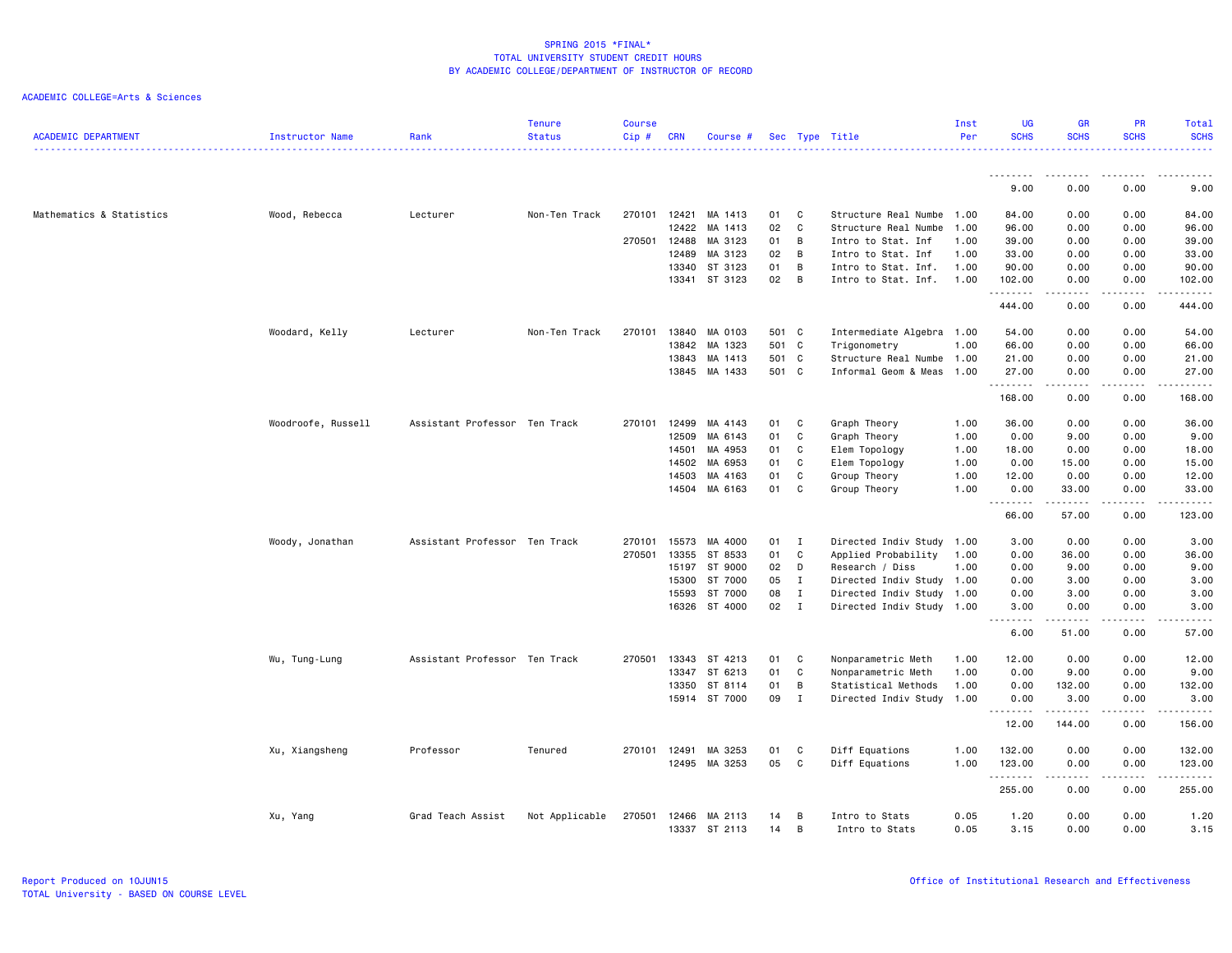|                            |                    |                               | <b>Tenure</b>  | <b>Course</b> |            |               |       |                |                           | Inst | <b>UG</b>               | <b>GR</b>                                                                                                                                                    | <b>PR</b>     | Total       |
|----------------------------|--------------------|-------------------------------|----------------|---------------|------------|---------------|-------|----------------|---------------------------|------|-------------------------|--------------------------------------------------------------------------------------------------------------------------------------------------------------|---------------|-------------|
| <b>ACADEMIC DEPARTMENT</b> | Instructor Name    | Rank                          | <b>Status</b>  | Cip#          | <b>CRN</b> | Course #      |       |                | Sec Type Title            | Per  | <b>SCHS</b>             | <b>SCHS</b>                                                                                                                                                  | <b>SCHS</b>   | <b>SCHS</b> |
|                            |                    |                               |                |               |            |               |       |                |                           |      |                         |                                                                                                                                                              |               | .           |
|                            |                    |                               |                |               |            |               |       |                |                           |      | .<br>9.00               | --------<br>0.00                                                                                                                                             | -----<br>0.00 | .<br>9.00   |
|                            |                    |                               |                |               |            |               |       |                |                           |      |                         |                                                                                                                                                              |               |             |
| Mathematics & Statistics   | Wood, Rebecca      | Lecturer                      | Non-Ten Track  | 270101 12421  |            | MA 1413       | 01    | C              | Structure Real Numbe 1.00 |      | 84.00                   | 0.00                                                                                                                                                         | 0.00          | 84.00       |
|                            |                    |                               |                |               | 12422      | MA 1413       | 02    | C              | Structure Real Numbe      | 1.00 | 96.00                   | 0.00                                                                                                                                                         | 0.00          | 96.00       |
|                            |                    |                               |                | 270501        | 12488      | MA 3123       | 01    | B              | Intro to Stat. Inf        | 1.00 | 39.00                   | 0.00                                                                                                                                                         | 0.00          | 39.00       |
|                            |                    |                               |                |               | 12489      | MA 3123       | 02    | B              | Intro to Stat. Inf        | 1.00 | 33.00                   | 0.00                                                                                                                                                         | 0.00          | 33.00       |
|                            |                    |                               |                |               | 13340      | ST 3123       | 01    | $\overline{B}$ | Intro to Stat. Inf.       | 1.00 | 90.00                   | 0.00                                                                                                                                                         | 0.00          | 90.00       |
|                            |                    |                               |                |               |            | 13341 ST 3123 | 02    | $\overline{B}$ | Intro to Stat. Inf.       | 1.00 | 102.00<br>.             | 0.00<br>$\frac{1}{2} \left( \frac{1}{2} \right) \left( \frac{1}{2} \right) \left( \frac{1}{2} \right) \left( \frac{1}{2} \right) \left( \frac{1}{2} \right)$ | 0.00<br>.     | 102.00      |
|                            |                    |                               |                |               |            |               |       |                |                           |      | 444.00                  | 0.00                                                                                                                                                         | 0.00          | 444.00      |
|                            | Woodard, Kelly     | Lecturer                      | Non-Ten Track  | 270101        | 13840      | MA 0103       | 501 C |                | Intermediate Algebra 1.00 |      | 54.00                   | 0.00                                                                                                                                                         | 0.00          | 54.00       |
|                            |                    |                               |                |               | 13842      | MA 1323       | 501   | $\mathbf{C}$   | Trigonometry              | 1.00 | 66.00                   | 0.00                                                                                                                                                         | 0.00          | 66.00       |
|                            |                    |                               |                |               | 13843      | MA 1413       | 501 C |                | Structure Real Numbe 1.00 |      | 21.00                   | 0.00                                                                                                                                                         | 0.00          | 21.00       |
|                            |                    |                               |                |               | 13845      | MA 1433       | 501 C |                | Informal Geom & Meas 1.00 |      | 27.00<br>.              | 0.00<br>$\frac{1}{2} \left( \frac{1}{2} \right) \left( \frac{1}{2} \right) \left( \frac{1}{2} \right) \left( \frac{1}{2} \right) \left( \frac{1}{2} \right)$ | 0.00<br>.     | 27.00<br>.  |
|                            |                    |                               |                |               |            |               |       |                |                           |      | 168.00                  | 0.00                                                                                                                                                         | 0.00          | 168.00      |
|                            | Woodroofe, Russell | Assistant Professor Ten Track |                | 270101        | 12499      | MA 4143       | 01    | C              | Graph Theory              | 1.00 | 36.00                   | 0.00                                                                                                                                                         | 0.00          | 36.00       |
|                            |                    |                               |                |               | 12509      | MA 6143       | 01    | C              | Graph Theory              | 1.00 | 0.00                    | 9.00                                                                                                                                                         | 0.00          | 9.00        |
|                            |                    |                               |                |               | 14501      | MA 4953       | 01    | C              | Elem Topology             | 1.00 | 18.00                   | 0.00                                                                                                                                                         | 0.00          | 18.00       |
|                            |                    |                               |                |               | 14502      | MA 6953       | 01    | C              | Elem Topology             | 1.00 | 0.00                    | 15.00                                                                                                                                                        | 0.00          | 15.00       |
|                            |                    |                               |                |               | 14503      | MA 4163       | 01    | C              | Group Theory              | 1.00 | 12.00                   | 0.00                                                                                                                                                         | 0.00          | 12.00       |
|                            |                    |                               |                |               | 14504      | MA 6163       | 01    | C              | Group Theory              | 1.00 | 0.00                    | 33.00                                                                                                                                                        | 0.00          | 33.00       |
|                            |                    |                               |                |               |            |               |       |                |                           |      | .<br>66.00              | .<br>57.00                                                                                                                                                   | .<br>0.00     | .<br>123.00 |
|                            | Woody, Jonathan    | Assistant Professor Ten Track |                | 270101        | 15573      | MA 4000       | 01    | $\mathbf{I}$   | Directed Indiv Study 1.00 |      | 3.00                    | 0.00                                                                                                                                                         | 0.00          | 3.00        |
|                            |                    |                               |                | 270501        | 13355      | ST 8533       | 01    | $\mathbf{C}$   | Applied Probability       | 1.00 | 0.00                    | 36.00                                                                                                                                                        | 0.00          | 36.00       |
|                            |                    |                               |                |               | 15197      | ST 9000       | 02    | D              | Research / Diss           | 1.00 | 0.00                    | 9.00                                                                                                                                                         | 0.00          | 9.00        |
|                            |                    |                               |                |               | 15300      | ST 7000       | 05    | $\mathbf{I}$   | Directed Indiv Study 1.00 |      | 0.00                    | 3.00                                                                                                                                                         | 0.00          | 3.00        |
|                            |                    |                               |                |               | 15593      | ST 7000       | 08    | $\mathbf{I}$   | Directed Indiv Study 1.00 |      | 0.00                    | 3.00                                                                                                                                                         | 0.00          | 3.00        |
|                            |                    |                               |                |               |            | 16326 ST 4000 | 02 I  |                | Directed Indiv Study 1.00 |      | 3.00                    | 0.00                                                                                                                                                         | 0.00          | 3.00        |
|                            |                    |                               |                |               |            |               |       |                |                           |      | $\sim$ $\sim$ .<br>6.00 | -----<br>51.00                                                                                                                                               | 0.00          | .<br>57.00  |
|                            | Wu, Tung-Lung      | Assistant Professor Ten Track |                | 270501        | 13343      | ST 4213       | 01    | C              | Nonparametric Meth        | 1.00 | 12.00                   | 0.00                                                                                                                                                         | 0.00          | 12.00       |
|                            |                    |                               |                |               | 13347      | ST 6213       | 01    | C              | Nonparametric Meth        | 1.00 | 0.00                    | 9.00                                                                                                                                                         | 0.00          | 9.00        |
|                            |                    |                               |                |               | 13350      | ST 8114       | 01    | B              | Statistical Methods       | 1.00 | 0.00                    | 132.00                                                                                                                                                       | 0.00          | 132.00      |
|                            |                    |                               |                |               |            | 15914 ST 7000 | 09    | $\mathbf{I}$   | Directed Indiv Study 1.00 |      | 0.00                    | 3.00                                                                                                                                                         | 0.00          | 3.00        |
|                            |                    |                               |                |               |            |               |       |                |                           |      | .<br>12.00              | .<br>144.00                                                                                                                                                  | .<br>0.00     | .<br>156.00 |
|                            |                    |                               |                |               |            |               |       |                |                           |      |                         |                                                                                                                                                              |               |             |
|                            | Xu, Xiangsheng     | Professor                     | Tenured        | 270101        | 12491      | MA 3253       | 01    | C              | Diff Equations            | 1.00 | 132.00                  | 0.00                                                                                                                                                         | 0.00          | 132.00      |
|                            |                    |                               |                |               |            | 12495 MA 3253 | 05    | C              | Diff Equations            | 1.00 | 123.00<br>.             | 0.00<br>-----                                                                                                                                                | 0.00<br>.     | 123.00      |
|                            |                    |                               |                |               |            |               |       |                |                           |      | 255.00                  | 0.00                                                                                                                                                         | 0.00          | 255.00      |
|                            | Xu, Yang           | Grad Teach Assist             | Not Applicable | 270501        | 12466      | MA 2113       | 14    | B              | Intro to Stats            | 0.05 | 1.20                    | 0.00                                                                                                                                                         | 0.00          | 1.20        |
|                            |                    |                               |                |               |            | 13337 ST 2113 | 14    | B              | Intro to Stats            | 0.05 | 3.15                    | 0.00                                                                                                                                                         | 0.00          | 3.15        |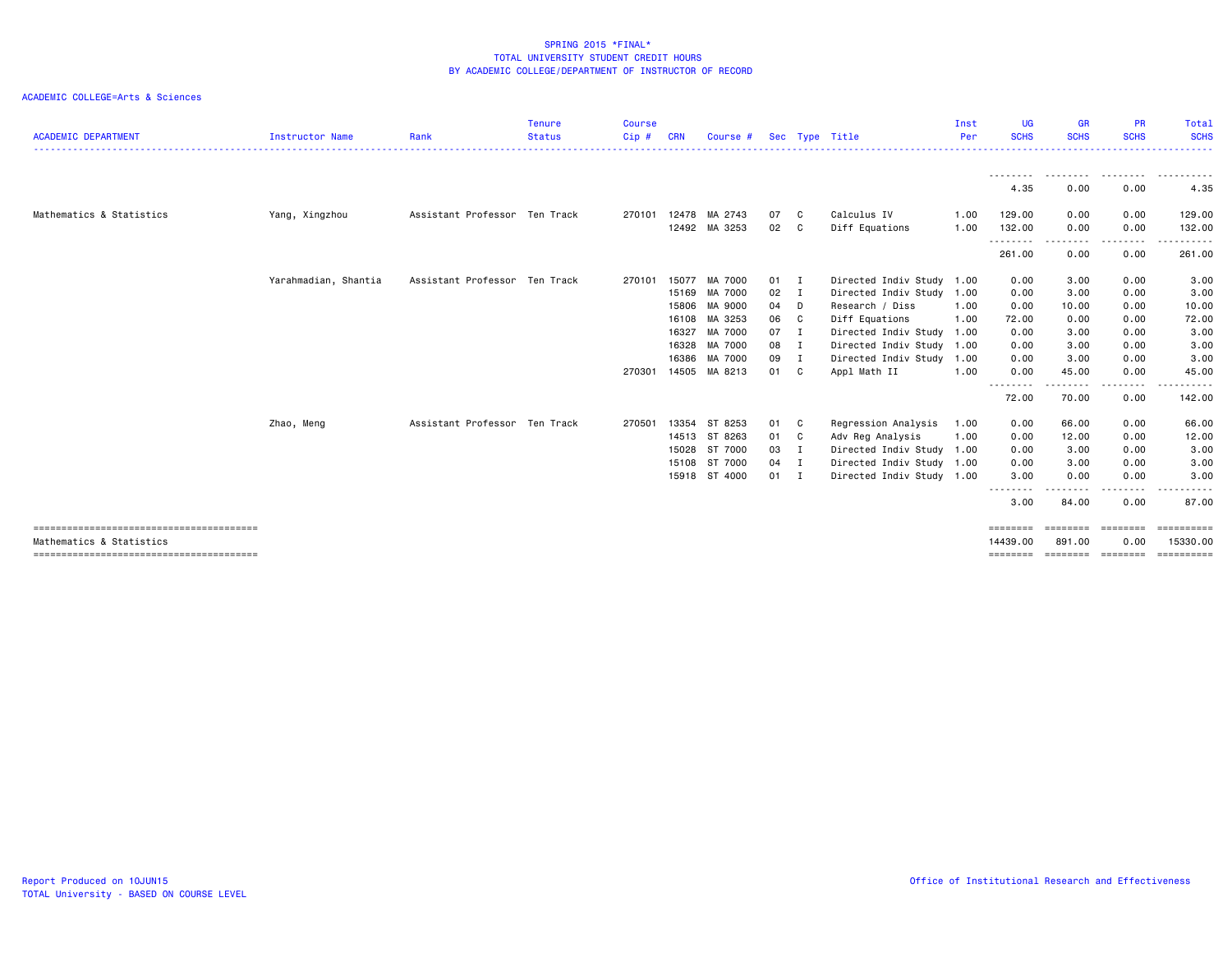| <b>ACADEMIC DEPARTMENT</b> | <b>Instructor Name</b> | Rank                          | <b>Tenure</b><br><b>Status</b> | Course<br>Cip# | CRN   | Course #      |      |                | Sec Type Title            | Inst<br>Per | UG.<br><b>SCHS</b>      | <b>GR</b><br><b>SCHS</b> | <b>PR</b><br><b>SCHS</b> | Total<br><b>SCHS</b>   |
|----------------------------|------------------------|-------------------------------|--------------------------------|----------------|-------|---------------|------|----------------|---------------------------|-------------|-------------------------|--------------------------|--------------------------|------------------------|
|                            |                        |                               |                                |                |       |               |      |                |                           |             | ---------<br>4.35       | .<br>0.00                | . <b>.</b><br>0.00       | .<br>4.35              |
|                            |                        |                               |                                |                |       |               |      |                |                           |             |                         |                          |                          |                        |
| Mathematics & Statistics   | Yang, Xingzhou         | Assistant Professor Ten Track |                                | 270101         | 12478 | MA 2743       | 07   | C.             | Calculus IV               | 1.00        | 129.00                  | 0.00                     | 0.00                     | 129.00                 |
|                            |                        |                               |                                |                | 12492 | MA 3253       | 02   | C              | Diff Equations            | 1.00        | 132.00                  | 0.00                     | 0.00                     | 132.00                 |
|                            |                        |                               |                                |                |       |               |      |                |                           |             | ---------<br>261.00     | 0.00                     | $\cdots$<br>0.00         | .<br>261.00            |
|                            | Yarahmadian, Shantia   | Assistant Professor Ten Track |                                | 270101         | 15077 | MA 7000       | 01 I |                | Directed Indiv Study      | 1.00        | 0.00                    | 3.00                     | 0.00                     | 3.00                   |
|                            |                        |                               |                                |                | 15169 | MA 7000       | 02   | $\blacksquare$ | Directed Indiv Study      | 1.00        | 0.00                    | 3.00                     | 0.00                     | 3.00                   |
|                            |                        |                               |                                |                | 15806 | MA 9000       | 04   | D              | Research / Diss           | 1.00        | 0.00                    | 10.00                    | 0.00                     | 10.00                  |
|                            |                        |                               |                                |                | 16108 | MA 3253       | 06   | C.             | Diff Equations            | 1.00        | 72.00                   | 0.00                     | 0.00                     | 72.00                  |
|                            |                        |                               |                                |                | 16327 | MA 7000       | 07   | $\mathbf{I}$   | Directed Indiv Study      | 1.00        | 0.00                    | 3.00                     | 0.00                     | 3.00                   |
|                            |                        |                               |                                |                | 16328 | MA 7000       | 08   | I              | Directed Indiv Study      | 1.00        | 0.00                    | 3.00                     | 0.00                     | 3.00                   |
|                            |                        |                               |                                |                | 16386 | MA 7000       | 09   | I              | Directed Indiv Study      | 1.00        | 0.00                    | 3.00                     | 0.00                     | 3.00                   |
|                            |                        |                               |                                | 270301         | 14505 | MA 8213       | 01 C |                | Appl Math II              | 1.00        | 0.00<br><u>--------</u> | 45.00                    | 0.00<br>. <b>.</b> .     | 45.00<br>. <b>.</b> .  |
|                            |                        |                               |                                |                |       |               |      |                |                           |             | 72.00                   | 70.00                    | 0.00                     | 142.00                 |
|                            | Zhao, Meng             | Assistant Professor Ten Track |                                | 270501         | 13354 | ST 8253       | 01   | C              | Regression Analysis       | 1.00        | 0.00                    | 66.00                    | 0.00                     | 66.00                  |
|                            |                        |                               |                                |                | 14513 | ST 8263       | 01 C |                | Adv Reg Analysis          | 1.00        | 0.00                    | 12.00                    | 0.00                     | 12.00                  |
|                            |                        |                               |                                |                | 15028 | ST 7000       | 03   | $\blacksquare$ | Directed Indiv Study 1.00 |             | 0.00                    | 3.00                     | 0.00                     | 3.00                   |
|                            |                        |                               |                                |                | 15108 | ST 7000       | 04   | $\blacksquare$ | Directed Indiv Study      | 1.00        | 0.00                    | 3.00                     | 0.00                     | 3.00                   |
|                            |                        |                               |                                |                |       | 15918 ST 4000 | 01   | I              | Directed Indiv Study 1.00 |             | 3.00<br><u>--------</u> | 0.00                     | 0.00<br>$\cdots$         | 3.00                   |
|                            |                        |                               |                                |                |       |               |      |                |                           |             | 3.00                    | 84.00                    | 0.00                     | 87.00                  |
| Mathematics & Statistics   |                        |                               |                                |                |       |               |      |                |                           |             | ========<br>14439.00    | ========<br>891,00       | ========<br>0.00         | ==========<br>15330.00 |
|                            |                        |                               |                                |                |       |               |      |                |                           |             | ========                | ==================       |                          |                        |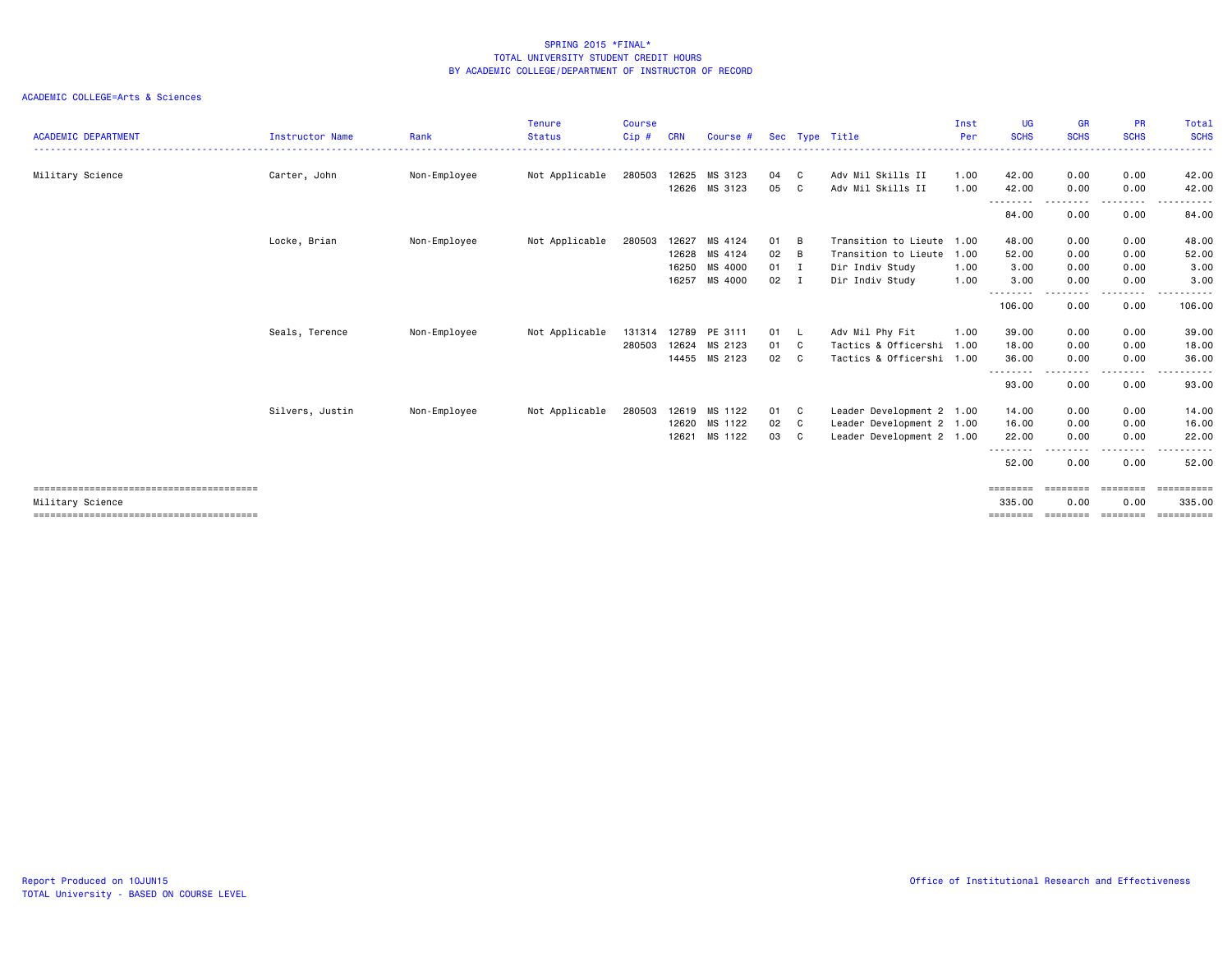| <b>ACADEMIC DEPARTMENT</b> | <b>Instructor Name</b> | Rank         | <b>Tenure</b><br><b>Status</b> | <b>Course</b><br>Cip# | <b>CRN</b> | Course # |      |                | Sec Type Title            | Inst<br>Per | <b>UG</b><br><b>SCHS</b> | <b>GR</b><br><b>SCHS</b> | <b>PR</b><br><b>SCHS</b> | Total<br><b>SCHS</b> |
|----------------------------|------------------------|--------------|--------------------------------|-----------------------|------------|----------|------|----------------|---------------------------|-------------|--------------------------|--------------------------|--------------------------|----------------------|
| Military Science           | Carter, John           | Non-Employee | Not Applicable                 | 280503                | 12625      | MS 3123  | 04   | C              | Adv Mil Skills II         | 1.00        | 42.00                    | 0.00                     | 0.00                     | 42.00                |
|                            |                        |              |                                |                       | 12626      | MS 3123  | 05   | C              | Adv Mil Skills II         | 1.00        | 42.00                    | 0.00                     | 0.00                     | 42.00                |
|                            |                        |              |                                |                       |            |          |      |                |                           |             | ---------<br>84.00       | --------<br>0.00         | .<br>0.00                | .<br>84.00           |
|                            | Locke, Brian           | Non-Employee | Not Applicable                 | 280503                | 12627      | MS 4124  | 01   | B              | Transition to Lieute      | 1,00        | 48.00                    | 0.00                     | 0.00                     | 48,00                |
|                            |                        |              |                                |                       | 12628      | MS 4124  | 02   | B              | Transition to Lieute      | 1.00        | 52.00                    | 0.00                     | 0.00                     | 52.00                |
|                            |                        |              |                                |                       | 16250      | MS 4000  | 01   | $\blacksquare$ | Dir Indiv Study           | 1.00        | 3.00                     | 0.00                     | 0.00                     | 3.00                 |
|                            |                        |              |                                |                       | 16257      | MS 4000  | 02   | I              | Dir Indiv Study           | 1.00        | 3.00<br>$\cdots$         | 0.00                     | 0.00<br>$- - - -$        | 3.00                 |
|                            |                        |              |                                |                       |            |          |      |                |                           |             | 106.00                   | 0.00                     | 0.00                     | 106.00               |
|                            | Seals, Terence         | Non-Employee | Not Applicable                 | 131314                | 12789      | PE 3111  | 01 L |                | Adv Mil Phy Fit           | 1.00        | 39.00                    | 0.00                     | 0.00                     | 39.00                |
|                            |                        |              |                                | 280503                | 12624      | MS 2123  | 01 C |                | Tactics & Officershi      | 1.00        | 18.00                    | 0.00                     | 0.00                     | 18.00                |
|                            |                        |              |                                |                       | 14455      | MS 2123  | 02   | C.             | Tactics & Officershi 1.00 |             | 36.00                    | 0.00                     | 0.00                     | 36.00                |
|                            |                        |              |                                |                       |            |          |      |                |                           |             | 93.00                    | 0.00                     | .<br>0.00                | 93.00                |
|                            | Silvers, Justin        | Non-Employee | Not Applicable                 | 280503                | 12619      | MS 1122  | 01   | C              | Leader Development 2 1.00 |             | 14.00                    | 0.00                     | 0.00                     | 14.00                |
|                            |                        |              |                                |                       | 12620      | MS 1122  | 02   | C              | Leader Development 2 1.00 |             | 16.00                    | 0.00                     | 0.00                     | 16.00                |
|                            |                        |              |                                |                       | 12621      | MS 1122  | 03   | C C            | Leader Development 2 1.00 |             | 22.00                    | 0.00                     | 0.00                     | 22.00                |
|                            |                        |              |                                |                       |            |          |      |                |                           |             | --------<br>52.00        | - - -<br>0.00            | -----<br>0.00            | .<br>52.00           |
|                            |                        |              |                                |                       |            |          |      |                |                           |             | ========                 | ========                 | ========                 | ==========           |
| Military Science           |                        |              |                                |                       |            |          |      |                |                           |             | 335.00                   | 0.00                     | 0.00                     | 335.00               |
|                            |                        |              |                                |                       |            |          |      |                |                           |             | ========                 | ========                 | eeeeeee                  |                      |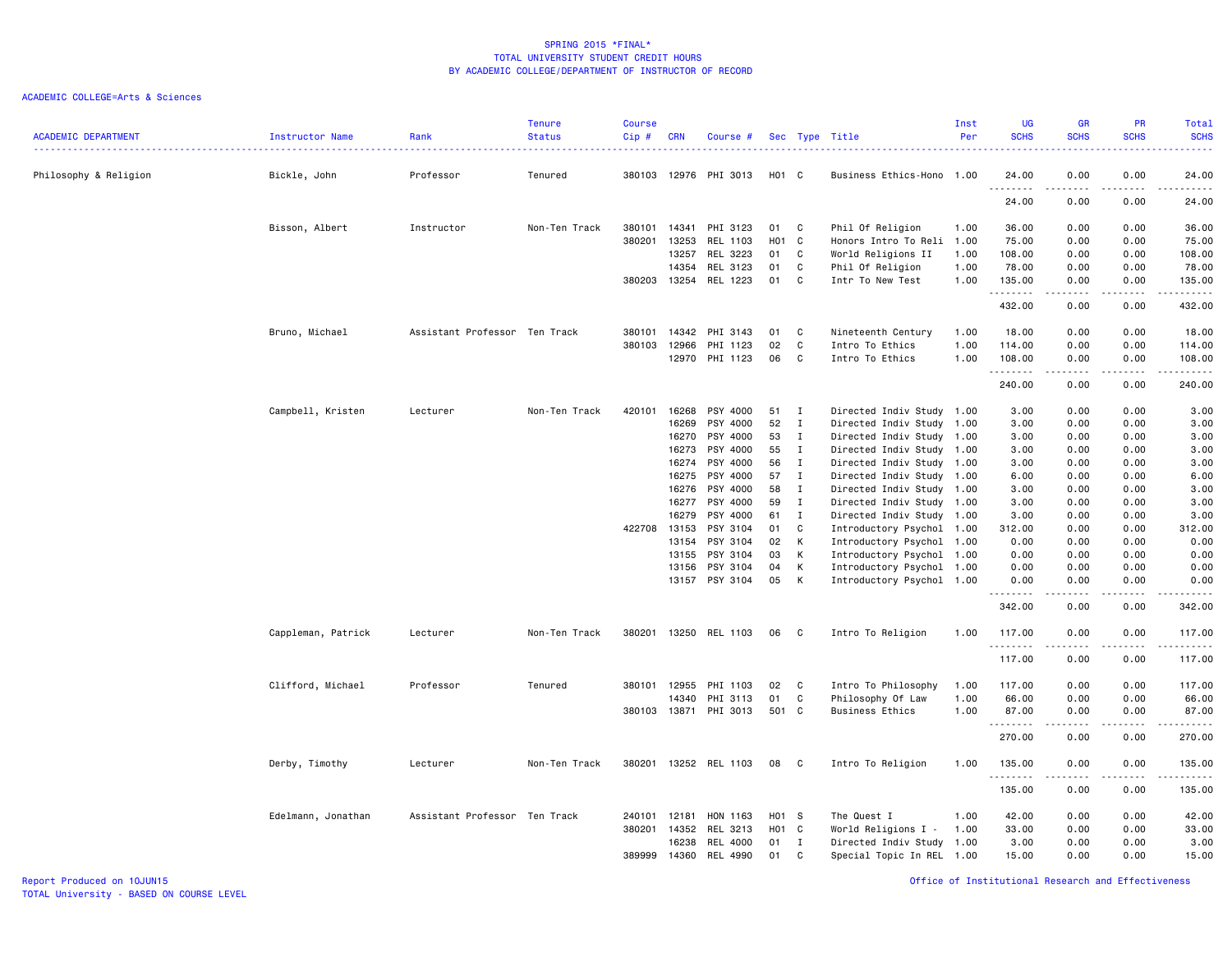|                            |                    |                               | <b>Tenure</b> | <b>Course</b> |            |                 |       |              |                           | Inst | <b>UG</b>         | GR                                                                                                                                                   | PR                                                                                                                                | <b>Total</b>                                                                                                                                                  |
|----------------------------|--------------------|-------------------------------|---------------|---------------|------------|-----------------|-------|--------------|---------------------------|------|-------------------|------------------------------------------------------------------------------------------------------------------------------------------------------|-----------------------------------------------------------------------------------------------------------------------------------|---------------------------------------------------------------------------------------------------------------------------------------------------------------|
| <b>ACADEMIC DEPARTMENT</b> | Instructor Name    | Rank                          | <b>Status</b> | Cip#          | <b>CRN</b> | Course #        |       |              | Sec Type Title            | Per  | <b>SCHS</b>       | <b>SCHS</b>                                                                                                                                          | <b>SCHS</b>                                                                                                                       | <b>SCHS</b><br>$\frac{1}{2} \left( \frac{1}{2} \right) \left( \frac{1}{2} \right) \left( \frac{1}{2} \right) \left( \frac{1}{2} \right)$                      |
| Philosophy & Religion      | Bickle, John       | Professor                     | Tenured       | 380103        |            | 12976 PHI 3013  | H01 C |              | Business Ethics-Hono 1.00 |      | 24.00             | 0.00                                                                                                                                                 | 0.00                                                                                                                              | 24.00                                                                                                                                                         |
|                            |                    |                               |               |               |            |                 |       |              |                           |      | <u>.</u><br>24.00 | 0.00                                                                                                                                                 | 0.00                                                                                                                              | $\frac{1}{2} \left( \frac{1}{2} \right) \left( \frac{1}{2} \right) \left( \frac{1}{2} \right) \left( \frac{1}{2} \right) \left( \frac{1}{2} \right)$<br>24.00 |
|                            | Bisson, Albert     | Instructor                    | Non-Ten Track | 380101        | 14341      | PHI 3123        | 01    | C            | Phil Of Religion          | 1.00 | 36.00             | 0.00                                                                                                                                                 | 0.00                                                                                                                              | 36.00                                                                                                                                                         |
|                            |                    |                               |               | 380201        | 13253      | REL 1103        | H01 C |              | Honors Intro To Reli 1.00 |      | 75.00             | 0.00                                                                                                                                                 | 0.00                                                                                                                              | 75.00                                                                                                                                                         |
|                            |                    |                               |               |               | 13257      | REL 3223        | 01    | C            | World Religions II        | 1.00 | 108.00            | 0.00                                                                                                                                                 | 0.00                                                                                                                              | 108.00                                                                                                                                                        |
|                            |                    |                               |               |               | 14354      | REL 3123        | 01    | C            | Phil Of Religion          | 1.00 | 78.00             | 0.00                                                                                                                                                 | 0.00                                                                                                                              | 78.00                                                                                                                                                         |
|                            |                    |                               |               | 380203        |            | 13254 REL 1223  | 01    | C            | Intr To New Test          | 1.00 | 135.00<br>.       | 0.00<br>.                                                                                                                                            | 0.00<br>.                                                                                                                         | 135.00<br>.                                                                                                                                                   |
|                            |                    |                               |               |               |            |                 |       |              |                           |      | 432.00            | 0.00                                                                                                                                                 | 0.00                                                                                                                              | 432.00                                                                                                                                                        |
|                            | Bruno, Michael     | Assistant Professor Ten Track |               | 380101        | 14342      | PHI 3143        | 01    | C            | Nineteenth Century        | 1.00 | 18.00             | 0.00                                                                                                                                                 | 0.00                                                                                                                              | 18.00                                                                                                                                                         |
|                            |                    |                               |               | 380103        | 12966      | PHI 1123        | 02    | C.           | Intro To Ethics           | 1.00 | 114.00            | 0.00                                                                                                                                                 | 0.00                                                                                                                              | 114.00                                                                                                                                                        |
|                            |                    |                               |               |               | 12970      | PHI 1123        | 06    | C            | Intro To Ethics           | 1.00 | 108.00<br>.       | 0.00<br>$- - - - -$                                                                                                                                  | 0.00<br>.                                                                                                                         | 108.00<br>.                                                                                                                                                   |
|                            |                    |                               |               |               |            |                 |       |              |                           |      | 240.00            | 0.00                                                                                                                                                 | 0.00                                                                                                                              | 240.00                                                                                                                                                        |
|                            | Campbell, Kristen  | Lecturer                      | Non-Ten Track | 420101        | 16268      | PSY 4000        | 51    | $\mathbf{I}$ | Directed Indiv Study 1.00 |      | 3.00              | 0.00                                                                                                                                                 | 0.00                                                                                                                              | 3.00                                                                                                                                                          |
|                            |                    |                               |               |               | 16269      | PSY 4000        | 52    | $\mathbf{I}$ | Directed Indiv Study 1.00 |      | 3.00              | 0.00                                                                                                                                                 | 0.00                                                                                                                              | 3.00                                                                                                                                                          |
|                            |                    |                               |               |               | 16270      | PSY 4000        | 53    | $\mathbf{I}$ | Directed Indiv Study 1.00 |      | 3.00              | 0.00                                                                                                                                                 | 0.00                                                                                                                              | 3.00                                                                                                                                                          |
|                            |                    |                               |               |               | 16273      | PSY 4000        | 55    | $\mathbf I$  | Directed Indiv Study 1.00 |      | 3.00              | 0.00                                                                                                                                                 | 0.00                                                                                                                              | 3.00                                                                                                                                                          |
|                            |                    |                               |               |               | 16274      | PSY 4000        | 56    | $\mathbf I$  | Directed Indiv Study 1.00 |      | 3.00              | 0.00                                                                                                                                                 | 0.00                                                                                                                              | 3.00                                                                                                                                                          |
|                            |                    |                               |               |               | 16275      | PSY 4000        | 57    | $\mathbf{I}$ | Directed Indiv Study 1.00 |      | 6.00              | 0.00                                                                                                                                                 | 0.00                                                                                                                              | 6.00                                                                                                                                                          |
|                            |                    |                               |               |               | 16276      | PSY 4000        | 58    | $\mathbf{I}$ | Directed Indiv Study 1.00 |      | 3.00              | 0.00                                                                                                                                                 | 0.00                                                                                                                              | 3.00                                                                                                                                                          |
|                            |                    |                               |               |               | 16277      | PSY 4000        | 59    | $\mathbf{I}$ | Directed Indiv Study 1.00 |      | 3.00              | 0.00                                                                                                                                                 | 0.00                                                                                                                              | 3.00                                                                                                                                                          |
|                            |                    |                               |               |               | 16279      | PSY 4000        | 61    | I            | Directed Indiv Study 1.00 |      | 3.00              | 0.00                                                                                                                                                 | 0.00                                                                                                                              | 3.00                                                                                                                                                          |
|                            |                    |                               |               | 422708        | 13153      | PSY 3104        | 01    | C            | Introductory Psychol 1.00 |      | 312.00            | 0.00                                                                                                                                                 | 0.00                                                                                                                              | 312.00                                                                                                                                                        |
|                            |                    |                               |               |               | 13154      | PSY 3104        | 02    | K            | Introductory Psychol 1.00 |      | 0.00              | 0.00                                                                                                                                                 | 0.00                                                                                                                              | 0.00                                                                                                                                                          |
|                            |                    |                               |               |               | 13155      | PSY 3104        | 03    | K            | Introductory Psychol 1.00 |      | 0.00              | 0.00                                                                                                                                                 | 0.00                                                                                                                              | 0.00                                                                                                                                                          |
|                            |                    |                               |               |               | 13156      | PSY 3104        | 04    | K            | Introductory Psychol 1.00 |      | 0.00              | 0.00                                                                                                                                                 | 0.00                                                                                                                              | 0.00                                                                                                                                                          |
|                            |                    |                               |               |               |            | 13157 PSY 3104  | 05    | K            | Introductory Psychol 1.00 |      | 0.00<br>د د د د   | 0.00                                                                                                                                                 | 0.00<br>$\sim$ $\sim$ $\sim$ $\sim$                                                                                               | 0.00<br>$\frac{1}{2} \left( \frac{1}{2} \right) \left( \frac{1}{2} \right) \left( \frac{1}{2} \right) \left( \frac{1}{2} \right) \left( \frac{1}{2} \right)$  |
|                            |                    |                               |               |               |            |                 |       |              |                           |      | 342.00            | 0.00                                                                                                                                                 | 0.00                                                                                                                              | 342.00                                                                                                                                                        |
|                            | Cappleman, Patrick | Lecturer                      | Non-Ten Track | 380201        |            | 13250 REL 1103  | 06    | C            | Intro To Religion         | 1.00 | 117.00            | 0.00                                                                                                                                                 | 0.00                                                                                                                              | 117.00                                                                                                                                                        |
|                            |                    |                               |               |               |            |                 |       |              |                           |      | .<br>117.00       | -----<br>0.00                                                                                                                                        | المتماما<br>0.00                                                                                                                  | .<br>117.00                                                                                                                                                   |
|                            | Clifford, Michael  | Professor                     | Tenured       | 380101        | 12955      | PHI 1103        | 02    | C            | Intro To Philosophy       | 1.00 | 117.00            | 0.00                                                                                                                                                 | 0.00                                                                                                                              | 117.00                                                                                                                                                        |
|                            |                    |                               |               |               | 14340      | PHI 3113        | 01    | C            | Philosophy Of Law         | 1.00 | 66.00             | 0.00                                                                                                                                                 | 0.00                                                                                                                              | 66.00                                                                                                                                                         |
|                            |                    |                               |               | 380103        |            | 13871 PHI 3013  | 501 C |              | <b>Business Ethics</b>    | 1.00 | 87.00             | 0.00                                                                                                                                                 | 0.00                                                                                                                              | 87.00                                                                                                                                                         |
|                            |                    |                               |               |               |            |                 |       |              |                           |      | .                 | $\frac{1}{2} \left( \frac{1}{2} \right) \left( \frac{1}{2} \right) \left( \frac{1}{2} \right) \left( \frac{1}{2} \right) \left( \frac{1}{2} \right)$ | .                                                                                                                                 |                                                                                                                                                               |
|                            |                    |                               |               |               |            |                 |       |              |                           |      | 270.00            | 0.00                                                                                                                                                 | 0.00                                                                                                                              | 270.00                                                                                                                                                        |
|                            | Derby, Timothy     | Lecturer                      | Non-Ten Track | 380201        |            | 13252 REL 1103  | 08    | C            | Intro To Religion         | 1.00 | 135.00<br>.       | 0.00<br>-----                                                                                                                                        | 0.00<br>$\frac{1}{2} \left( \frac{1}{2} \right) \left( \frac{1}{2} \right) \left( \frac{1}{2} \right) \left( \frac{1}{2} \right)$ | 135.00                                                                                                                                                        |
|                            |                    |                               |               |               |            |                 |       |              |                           |      | 135.00            | 0.00                                                                                                                                                 | 0.00                                                                                                                              | 135.00                                                                                                                                                        |
|                            | Edelmann, Jonathan | Assistant Professor Ten Track |               | 240101        | 12181      | HON 1163        | H01   | <b>S</b>     | The Quest I               | 1.00 | 42.00             | 0.00                                                                                                                                                 | 0.00                                                                                                                              | 42.00                                                                                                                                                         |
|                            |                    |                               |               | 380201        | 14352      | REL 3213        | H01   | $\mathbf{C}$ | World Religions I -       | 1.00 | 33.00             | 0.00                                                                                                                                                 | 0.00                                                                                                                              | 33.00                                                                                                                                                         |
|                            |                    |                               |               |               | 16238      | <b>REL 4000</b> | 01    | $\mathbf{I}$ | Directed Indiv Study 1.00 |      | 3.00              | 0.00                                                                                                                                                 | 0.00                                                                                                                              | 3.00                                                                                                                                                          |
|                            |                    |                               |               | 389999        | 14360      | REL 4990        | 01    | C            | Special Topic In REL 1.00 |      | 15.00             | 0.00                                                                                                                                                 | 0.00                                                                                                                              | 15.00                                                                                                                                                         |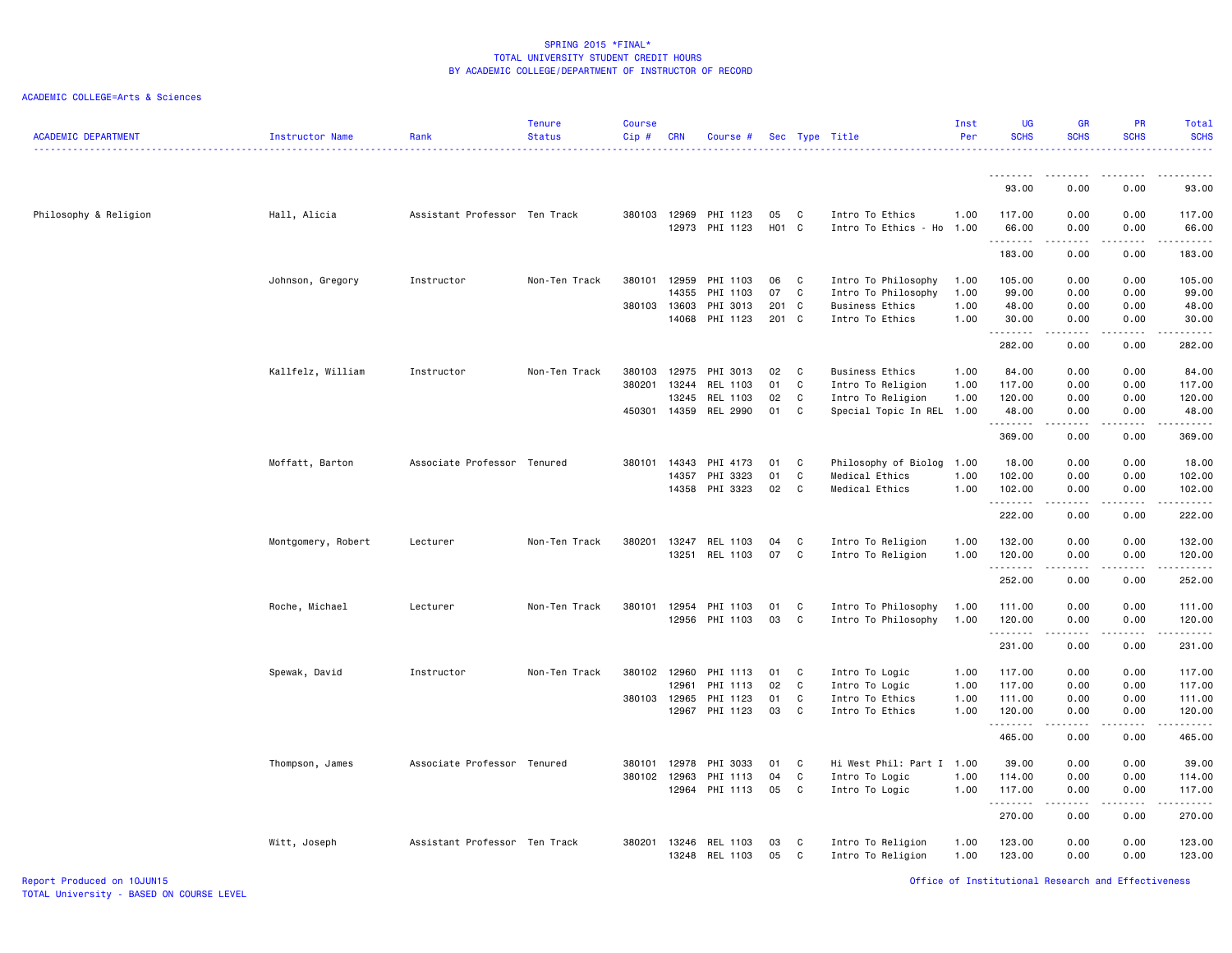## ACADEMIC COLLEGE=Arts & Sciences

| 93.00<br>0.00<br>0.00<br>93,00<br>Assistant Professor Ten Track<br>380103 12969<br>PHI 1123<br>Intro To Ethics<br>0.00<br>0.00<br>117.00<br>Philosophy & Religion<br>Hall, Alicia<br>05<br>C<br>1.00<br>117.00<br>12973<br>PHI 1123<br>H01 C<br>Intro To Ethics - Ho 1.00<br>66.00<br>0.00<br>0.00<br>66.00<br>.<br>.<br>$\sim$ $\sim$ $\sim$ $\sim$<br>.<br>183.00<br>0.00<br>0.00<br>183.00<br>380101<br>12959<br>PHI 1103<br>0.00<br>0.00<br>105.00<br>Johnson, Gregory<br>Instructor<br>Non-Ten Track<br>06<br>C<br>Intro To Philosophy<br>1.00<br>105.00<br>PHI 1103<br>07<br>$\mathbf c$<br>14355<br>Intro To Philosophy<br>1.00<br>99.00<br>0.00<br>0.00<br>99.00<br>380103 13603<br>PHI 3013<br>201 C<br>48.00<br><b>Business Ethics</b><br>1.00<br>48.00<br>0.00<br>0.00<br>PHI 1123<br>201 C<br>14068<br>Intro To Ethics<br>1.00<br>30.00<br>0.00<br>0.00<br>30.00<br>.<br>.<br>.<br>.<br>0.00<br>282.00<br>0.00<br>282.00<br>Kallfelz, William<br>Instructor<br>Non-Ten Track<br>380103<br>12975<br>PHI 3013<br>02<br>C<br>Business Ethics<br>1.00<br>84.00<br>0.00<br>0.00<br>84.00<br>380201<br>13244<br>REL 1103<br>01<br>C<br>Intro To Religion<br>1.00<br>117.00<br>0.00<br>0.00<br>117.00<br>13245<br>REL 1103<br>02<br>C<br>Intro To Religion<br>1.00<br>120.00<br>0.00<br>0.00<br>120.00<br>450301<br>14359<br>REL 2990<br>01<br>C<br>Special Topic In REL 1.00<br>0.00<br>48.00<br>0.00<br>48.00<br>.<br>د د د د د<br>.<br>369.00<br>0.00<br>0.00<br>369.00<br>Moffatt, Barton<br>Associate Professor Tenured<br>380101<br>14343<br>PHI 4173<br>01<br>C<br>Philosophy of Biolog 1.00<br>18.00<br>0.00<br>0.00<br>18.00<br>PHI 3323<br>01<br>C<br>Medical Ethics<br>1.00<br>102.00<br>0.00<br>0.00<br>102.00<br>14357<br>14358 PHI 3323<br>02<br>$\mathbf c$<br>Medical Ethics<br>1.00<br>102.00<br>0.00<br>0.00<br>102.00<br>.<br>.<br>$\sim$ $\sim$ $\sim$ $\sim$<br>$\sim$ $\sim$ $\sim$ $\sim$<br>222.00<br>0.00<br>0.00<br>222.00 | <b>ACADEMIC DEPARTMENT</b> | Instructor Name | Rank | <b>Tenure</b><br><b>Status</b> | <b>Course</b><br>Cip# | <b>CRN</b> | Course # |  | Sec Type Title | Inst<br>Per | <b>UG</b><br><b>SCHS</b> | <b>GR</b><br><b>SCHS</b> | <b>PR</b><br><b>SCHS</b> | Total<br><b>SCHS</b><br>. |
|-----------------------------------------------------------------------------------------------------------------------------------------------------------------------------------------------------------------------------------------------------------------------------------------------------------------------------------------------------------------------------------------------------------------------------------------------------------------------------------------------------------------------------------------------------------------------------------------------------------------------------------------------------------------------------------------------------------------------------------------------------------------------------------------------------------------------------------------------------------------------------------------------------------------------------------------------------------------------------------------------------------------------------------------------------------------------------------------------------------------------------------------------------------------------------------------------------------------------------------------------------------------------------------------------------------------------------------------------------------------------------------------------------------------------------------------------------------------------------------------------------------------------------------------------------------------------------------------------------------------------------------------------------------------------------------------------------------------------------------------------------------------------------------------------------------------------------------------------------------------------------------------------------------------------------------------------------------|----------------------------|-----------------|------|--------------------------------|-----------------------|------------|----------|--|----------------|-------------|--------------------------|--------------------------|--------------------------|---------------------------|
|                                                                                                                                                                                                                                                                                                                                                                                                                                                                                                                                                                                                                                                                                                                                                                                                                                                                                                                                                                                                                                                                                                                                                                                                                                                                                                                                                                                                                                                                                                                                                                                                                                                                                                                                                                                                                                                                                                                                                           |                            |                 |      |                                |                       |            |          |  |                |             |                          |                          |                          |                           |
|                                                                                                                                                                                                                                                                                                                                                                                                                                                                                                                                                                                                                                                                                                                                                                                                                                                                                                                                                                                                                                                                                                                                                                                                                                                                                                                                                                                                                                                                                                                                                                                                                                                                                                                                                                                                                                                                                                                                                           |                            |                 |      |                                |                       |            |          |  |                |             |                          |                          |                          |                           |
|                                                                                                                                                                                                                                                                                                                                                                                                                                                                                                                                                                                                                                                                                                                                                                                                                                                                                                                                                                                                                                                                                                                                                                                                                                                                                                                                                                                                                                                                                                                                                                                                                                                                                                                                                                                                                                                                                                                                                           |                            |                 |      |                                |                       |            |          |  |                |             |                          |                          |                          |                           |
|                                                                                                                                                                                                                                                                                                                                                                                                                                                                                                                                                                                                                                                                                                                                                                                                                                                                                                                                                                                                                                                                                                                                                                                                                                                                                                                                                                                                                                                                                                                                                                                                                                                                                                                                                                                                                                                                                                                                                           |                            |                 |      |                                |                       |            |          |  |                |             |                          |                          |                          |                           |
|                                                                                                                                                                                                                                                                                                                                                                                                                                                                                                                                                                                                                                                                                                                                                                                                                                                                                                                                                                                                                                                                                                                                                                                                                                                                                                                                                                                                                                                                                                                                                                                                                                                                                                                                                                                                                                                                                                                                                           |                            |                 |      |                                |                       |            |          |  |                |             |                          |                          |                          |                           |
|                                                                                                                                                                                                                                                                                                                                                                                                                                                                                                                                                                                                                                                                                                                                                                                                                                                                                                                                                                                                                                                                                                                                                                                                                                                                                                                                                                                                                                                                                                                                                                                                                                                                                                                                                                                                                                                                                                                                                           |                            |                 |      |                                |                       |            |          |  |                |             |                          |                          |                          |                           |
|                                                                                                                                                                                                                                                                                                                                                                                                                                                                                                                                                                                                                                                                                                                                                                                                                                                                                                                                                                                                                                                                                                                                                                                                                                                                                                                                                                                                                                                                                                                                                                                                                                                                                                                                                                                                                                                                                                                                                           |                            |                 |      |                                |                       |            |          |  |                |             |                          |                          |                          |                           |
|                                                                                                                                                                                                                                                                                                                                                                                                                                                                                                                                                                                                                                                                                                                                                                                                                                                                                                                                                                                                                                                                                                                                                                                                                                                                                                                                                                                                                                                                                                                                                                                                                                                                                                                                                                                                                                                                                                                                                           |                            |                 |      |                                |                       |            |          |  |                |             |                          |                          |                          |                           |
|                                                                                                                                                                                                                                                                                                                                                                                                                                                                                                                                                                                                                                                                                                                                                                                                                                                                                                                                                                                                                                                                                                                                                                                                                                                                                                                                                                                                                                                                                                                                                                                                                                                                                                                                                                                                                                                                                                                                                           |                            |                 |      |                                |                       |            |          |  |                |             |                          |                          |                          |                           |
|                                                                                                                                                                                                                                                                                                                                                                                                                                                                                                                                                                                                                                                                                                                                                                                                                                                                                                                                                                                                                                                                                                                                                                                                                                                                                                                                                                                                                                                                                                                                                                                                                                                                                                                                                                                                                                                                                                                                                           |                            |                 |      |                                |                       |            |          |  |                |             |                          |                          |                          |                           |
|                                                                                                                                                                                                                                                                                                                                                                                                                                                                                                                                                                                                                                                                                                                                                                                                                                                                                                                                                                                                                                                                                                                                                                                                                                                                                                                                                                                                                                                                                                                                                                                                                                                                                                                                                                                                                                                                                                                                                           |                            |                 |      |                                |                       |            |          |  |                |             |                          |                          |                          |                           |
|                                                                                                                                                                                                                                                                                                                                                                                                                                                                                                                                                                                                                                                                                                                                                                                                                                                                                                                                                                                                                                                                                                                                                                                                                                                                                                                                                                                                                                                                                                                                                                                                                                                                                                                                                                                                                                                                                                                                                           |                            |                 |      |                                |                       |            |          |  |                |             |                          |                          |                          |                           |
|                                                                                                                                                                                                                                                                                                                                                                                                                                                                                                                                                                                                                                                                                                                                                                                                                                                                                                                                                                                                                                                                                                                                                                                                                                                                                                                                                                                                                                                                                                                                                                                                                                                                                                                                                                                                                                                                                                                                                           |                            |                 |      |                                |                       |            |          |  |                |             |                          |                          |                          |                           |
|                                                                                                                                                                                                                                                                                                                                                                                                                                                                                                                                                                                                                                                                                                                                                                                                                                                                                                                                                                                                                                                                                                                                                                                                                                                                                                                                                                                                                                                                                                                                                                                                                                                                                                                                                                                                                                                                                                                                                           |                            |                 |      |                                |                       |            |          |  |                |             |                          |                          |                          |                           |
|                                                                                                                                                                                                                                                                                                                                                                                                                                                                                                                                                                                                                                                                                                                                                                                                                                                                                                                                                                                                                                                                                                                                                                                                                                                                                                                                                                                                                                                                                                                                                                                                                                                                                                                                                                                                                                                                                                                                                           |                            |                 |      |                                |                       |            |          |  |                |             |                          |                          |                          |                           |
|                                                                                                                                                                                                                                                                                                                                                                                                                                                                                                                                                                                                                                                                                                                                                                                                                                                                                                                                                                                                                                                                                                                                                                                                                                                                                                                                                                                                                                                                                                                                                                                                                                                                                                                                                                                                                                                                                                                                                           |                            |                 |      |                                |                       |            |          |  |                |             |                          |                          |                          |                           |
|                                                                                                                                                                                                                                                                                                                                                                                                                                                                                                                                                                                                                                                                                                                                                                                                                                                                                                                                                                                                                                                                                                                                                                                                                                                                                                                                                                                                                                                                                                                                                                                                                                                                                                                                                                                                                                                                                                                                                           |                            |                 |      |                                |                       |            |          |  |                |             |                          |                          |                          |                           |
| 380201<br>13247<br>REL 1103<br>04<br>C<br>Intro To Religion<br>1.00<br>132.00<br>0.00<br>0.00<br>132.00<br>Montgomery, Robert<br>Lecturer<br>Non-Ten Track                                                                                                                                                                                                                                                                                                                                                                                                                                                                                                                                                                                                                                                                                                                                                                                                                                                                                                                                                                                                                                                                                                                                                                                                                                                                                                                                                                                                                                                                                                                                                                                                                                                                                                                                                                                                |                            |                 |      |                                |                       |            |          |  |                |             |                          |                          |                          |                           |
| 13251<br>REL 1103<br>07<br>C<br>Intro To Religion<br>1.00<br>120.00<br>0.00<br>0.00<br>120.00                                                                                                                                                                                                                                                                                                                                                                                                                                                                                                                                                                                                                                                                                                                                                                                                                                                                                                                                                                                                                                                                                                                                                                                                                                                                                                                                                                                                                                                                                                                                                                                                                                                                                                                                                                                                                                                             |                            |                 |      |                                |                       |            |          |  |                |             |                          |                          |                          |                           |
| .<br>والمستحدث<br>252.00<br>0.00<br>0.00<br>252.00                                                                                                                                                                                                                                                                                                                                                                                                                                                                                                                                                                                                                                                                                                                                                                                                                                                                                                                                                                                                                                                                                                                                                                                                                                                                                                                                                                                                                                                                                                                                                                                                                                                                                                                                                                                                                                                                                                        |                            |                 |      |                                |                       |            |          |  |                |             |                          |                          |                          |                           |
| Roche, Michael<br>Non-Ten Track<br>380101<br>12954<br>PHI 1103<br>01<br>C<br>Intro To Philosophy<br>111.00<br>0.00<br>0.00<br>111.00<br>Lecturer<br>1.00                                                                                                                                                                                                                                                                                                                                                                                                                                                                                                                                                                                                                                                                                                                                                                                                                                                                                                                                                                                                                                                                                                                                                                                                                                                                                                                                                                                                                                                                                                                                                                                                                                                                                                                                                                                                  |                            |                 |      |                                |                       |            |          |  |                |             |                          |                          |                          |                           |
| 12956<br>PHI 1103<br>03<br>C<br>0.00<br>120.00<br>Intro To Philosophy<br>1.00<br>120.00<br>0.00                                                                                                                                                                                                                                                                                                                                                                                                                                                                                                                                                                                                                                                                                                                                                                                                                                                                                                                                                                                                                                                                                                                                                                                                                                                                                                                                                                                                                                                                                                                                                                                                                                                                                                                                                                                                                                                           |                            |                 |      |                                |                       |            |          |  |                |             |                          |                          |                          |                           |
| .<br>.<br>$\sim$ $\sim$ $\sim$ $\sim$<br>$\sim$ $\sim$ $\sim$ $\sim$<br>231.00<br>0.00<br>0.00<br>231.00                                                                                                                                                                                                                                                                                                                                                                                                                                                                                                                                                                                                                                                                                                                                                                                                                                                                                                                                                                                                                                                                                                                                                                                                                                                                                                                                                                                                                                                                                                                                                                                                                                                                                                                                                                                                                                                  |                            |                 |      |                                |                       |            |          |  |                |             |                          |                          |                          |                           |
| Spewak, David<br>Instructor<br>Non-Ten Track<br>380102 12960<br>PHI 1113<br>C<br>Intro To Logic<br>117.00<br>0.00<br>0.00<br>117.00<br>01<br>1.00                                                                                                                                                                                                                                                                                                                                                                                                                                                                                                                                                                                                                                                                                                                                                                                                                                                                                                                                                                                                                                                                                                                                                                                                                                                                                                                                                                                                                                                                                                                                                                                                                                                                                                                                                                                                         |                            |                 |      |                                |                       |            |          |  |                |             |                          |                          |                          |                           |
| 12961<br>PHI 1113<br>02<br>$\mathtt{C}$<br>117.00<br>0.00<br>0.00<br>117.00<br>Intro To Logic<br>1.00                                                                                                                                                                                                                                                                                                                                                                                                                                                                                                                                                                                                                                                                                                                                                                                                                                                                                                                                                                                                                                                                                                                                                                                                                                                                                                                                                                                                                                                                                                                                                                                                                                                                                                                                                                                                                                                     |                            |                 |      |                                |                       |            |          |  |                |             |                          |                          |                          |                           |
| 380103<br>12965<br>PHI 1123<br>01<br>C<br>Intro To Ethics<br>1.00<br>111.00<br>0.00<br>0.00<br>111.00                                                                                                                                                                                                                                                                                                                                                                                                                                                                                                                                                                                                                                                                                                                                                                                                                                                                                                                                                                                                                                                                                                                                                                                                                                                                                                                                                                                                                                                                                                                                                                                                                                                                                                                                                                                                                                                     |                            |                 |      |                                |                       |            |          |  |                |             |                          |                          |                          |                           |
| PHI 1123<br>03<br>C<br>12967<br>Intro To Ethics<br>1.00<br>120.00<br>0.00<br>0.00<br>120.00<br>.<br>.<br>.                                                                                                                                                                                                                                                                                                                                                                                                                                                                                                                                                                                                                                                                                                                                                                                                                                                                                                                                                                                                                                                                                                                                                                                                                                                                                                                                                                                                                                                                                                                                                                                                                                                                                                                                                                                                                                                |                            |                 |      |                                |                       |            |          |  |                |             |                          |                          |                          |                           |
| 465.00<br>0.00<br>0.00<br>465.00                                                                                                                                                                                                                                                                                                                                                                                                                                                                                                                                                                                                                                                                                                                                                                                                                                                                                                                                                                                                                                                                                                                                                                                                                                                                                                                                                                                                                                                                                                                                                                                                                                                                                                                                                                                                                                                                                                                          |                            |                 |      |                                |                       |            |          |  |                |             |                          |                          |                          |                           |
| Associate Professor Tenured<br>C<br>Hi West Phil: Part I 1.00<br>39.00<br>0.00<br>0.00<br>39.00<br>Thompson, James<br>380101<br>12978<br>PHI 3033<br>01                                                                                                                                                                                                                                                                                                                                                                                                                                                                                                                                                                                                                                                                                                                                                                                                                                                                                                                                                                                                                                                                                                                                                                                                                                                                                                                                                                                                                                                                                                                                                                                                                                                                                                                                                                                                   |                            |                 |      |                                |                       |            |          |  |                |             |                          |                          |                          |                           |
| 380102<br>12963<br>PHI 1113<br>04<br>C<br>Intro To Logic<br>1.00<br>114.00<br>0.00<br>0.00<br>114.00                                                                                                                                                                                                                                                                                                                                                                                                                                                                                                                                                                                                                                                                                                                                                                                                                                                                                                                                                                                                                                                                                                                                                                                                                                                                                                                                                                                                                                                                                                                                                                                                                                                                                                                                                                                                                                                      |                            |                 |      |                                |                       |            |          |  |                |             |                          |                          |                          |                           |
| 05<br>12964<br>PHI 1113<br>C<br>Intro To Logic<br>1.00<br>117.00<br>0.00<br>0.00<br>117.00<br>.<br>.<br>.                                                                                                                                                                                                                                                                                                                                                                                                                                                                                                                                                                                                                                                                                                                                                                                                                                                                                                                                                                                                                                                                                                                                                                                                                                                                                                                                                                                                                                                                                                                                                                                                                                                                                                                                                                                                                                                 |                            |                 |      |                                |                       |            |          |  |                |             |                          |                          |                          |                           |
| 270.00<br>0.00<br>0.00<br>270.00                                                                                                                                                                                                                                                                                                                                                                                                                                                                                                                                                                                                                                                                                                                                                                                                                                                                                                                                                                                                                                                                                                                                                                                                                                                                                                                                                                                                                                                                                                                                                                                                                                                                                                                                                                                                                                                                                                                          |                            |                 |      |                                |                       |            |          |  |                |             |                          |                          |                          |                           |
| Witt, Joseph<br>Assistant Professor Ten Track<br>380201<br>13246<br>REL 1103<br>03<br>C<br>Intro To Religion<br>1.00<br>123.00<br>0.00<br>0.00<br>123.00<br>13248<br>REL 1103<br>05<br>C<br>Intro To Religion<br>1.00<br>123.00<br>0.00<br>0.00<br>123.00                                                                                                                                                                                                                                                                                                                                                                                                                                                                                                                                                                                                                                                                                                                                                                                                                                                                                                                                                                                                                                                                                                                                                                                                                                                                                                                                                                                                                                                                                                                                                                                                                                                                                                 |                            |                 |      |                                |                       |            |          |  |                |             |                          |                          |                          |                           |

Report Produced on 10JUN15 Office of Institutional Research and Effectiveness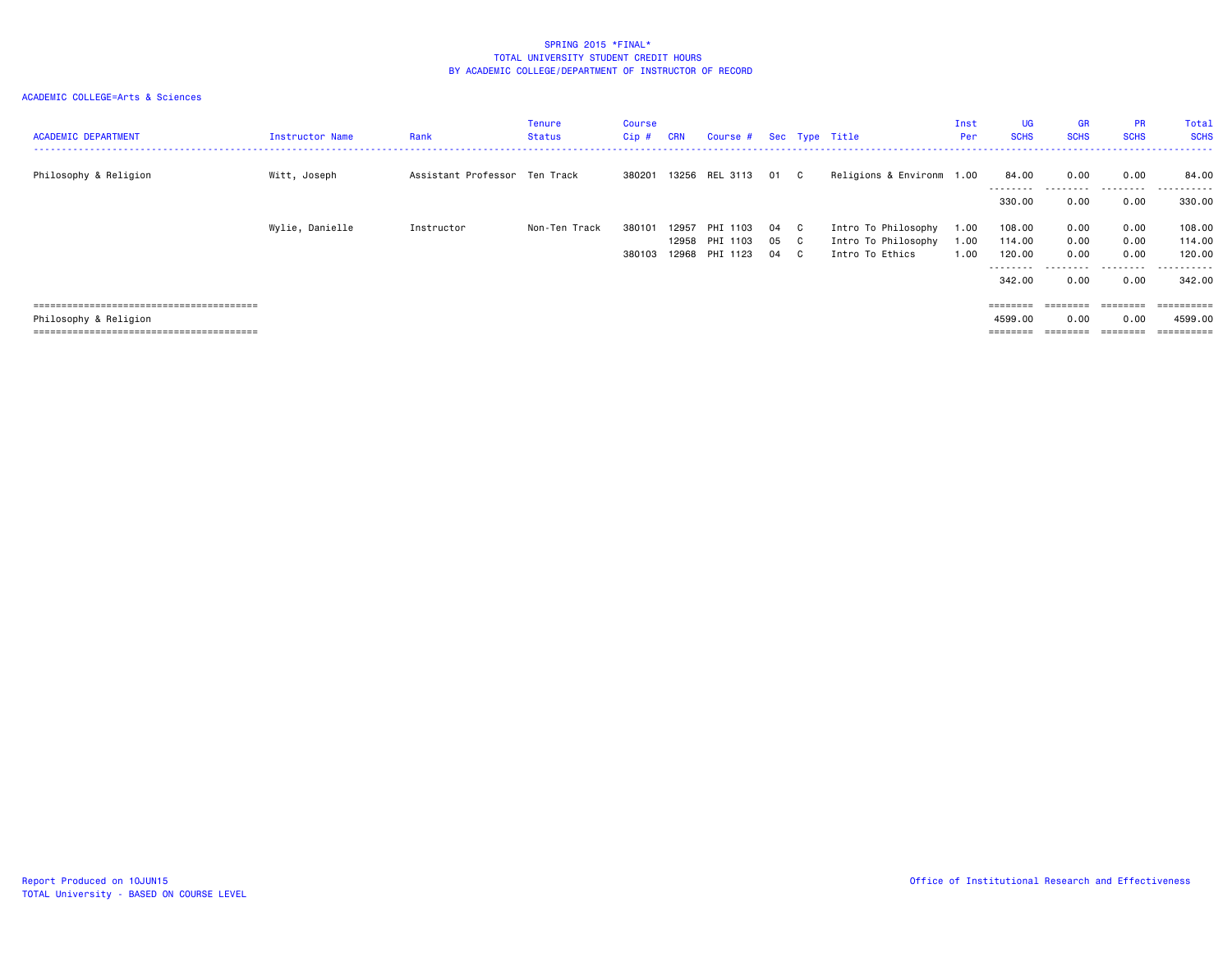| <b>ACADEMIC DEPARTMENT</b> | Instructor Name | Rank                          | Tenure<br>Status | Course<br>Cip # | <b>CRN</b>     | Course #             |          |                              | Sec Type Title                         | Inst<br>Per  | <b>UG</b><br><b>SCHS</b>     | <b>GR</b><br><b>SCHS</b> | <b>PR</b><br><b>SCHS</b>                                                        | Total<br><b>SCHS</b>  |
|----------------------------|-----------------|-------------------------------|------------------|-----------------|----------------|----------------------|----------|------------------------------|----------------------------------------|--------------|------------------------------|--------------------------|---------------------------------------------------------------------------------|-----------------------|
| Philosophy & Religion      | Witt, Joseph    | Assistant Professor Ten Track |                  | 380201          |                | 13256 REL 3113 01 C  |          |                              | Religions & Environm 1.00              |              | 84.00<br>---------           | 0.00<br>.                | 0.00<br>.                                                                       | 84.00<br>.            |
|                            |                 |                               |                  |                 |                |                      |          |                              |                                        |              | 330.00                       | 0.00                     | 0.00                                                                            | 330.00                |
|                            | Wylie, Danielle | Instructor                    | Non-Ten Track    | 380101          | 12957          | PHI 1103             | 04       | C.                           | Intro To Philosophy                    | 1.00         | 108.00                       | 0.00                     | 0.00                                                                            | 108.00                |
|                            |                 |                               |                  | 380103          | 12958<br>12968 | PHI 1103<br>PHI 1123 | 05<br>04 | $\mathbf{C}$<br>$\mathbf{C}$ | Intro To Philosophy<br>Intro To Ethics | 1.00<br>1.00 | 114.00<br>120.00             | 0.00<br>0.00             | 0.00<br>0.00                                                                    | 114.00<br>120,00      |
|                            |                 |                               |                  |                 |                |                      |          |                              |                                        |              | --------<br>342,00           | 0.00                     | 0.00                                                                            | .<br>342.00           |
|                            |                 |                               |                  |                 |                |                      |          |                              |                                        |              |                              |                          |                                                                                 |                       |
| Philosophy & Religion      |                 |                               |                  |                 |                |                      |          |                              |                                        |              | $=$ = = = = = = =<br>4599.00 | 0.00                     | $\qquad \qquad \equiv \equiv \equiv \equiv \equiv \equiv \equiv \equiv$<br>0.00 | ==========<br>4599.00 |
|                            |                 |                               |                  |                 |                |                      |          |                              |                                        |              |                              | ========                 | ========                                                                        | ==========            |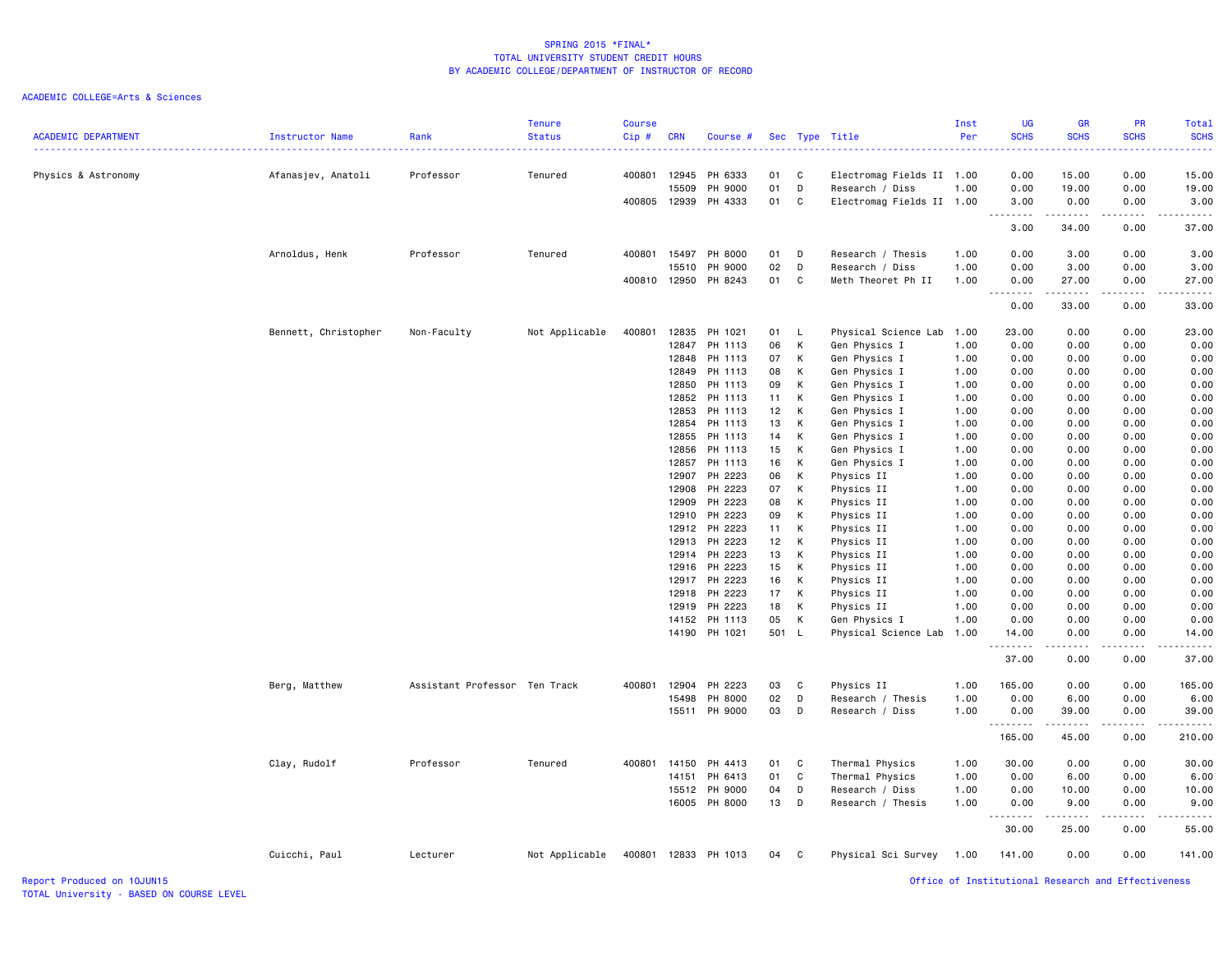# ACADEMIC COLLEGE=Arts & Sciences

| <b>ACADEMIC DEPARTMENT</b> | Instructor Name      | Rank                          | <b>Tenure</b><br><b>Status</b> | Course<br>Cip# | <b>CRN</b>     | Course #             |          |             | Sec Type Title            | Inst<br>Per  | <b>UG</b><br><b>SCHS</b><br>.                                                                                                                                | <b>GR</b><br><b>SCHS</b>                                                                                                                                     | PR<br><b>SCHS</b> | <b>Total</b><br><b>SCHS</b> |
|----------------------------|----------------------|-------------------------------|--------------------------------|----------------|----------------|----------------------|----------|-------------|---------------------------|--------------|--------------------------------------------------------------------------------------------------------------------------------------------------------------|--------------------------------------------------------------------------------------------------------------------------------------------------------------|-------------------|-----------------------------|
| Physics & Astronomy        | Afanasjev, Anatoli   | Professor                     | Tenured                        | 400801         | 12945          | PH 6333              | 01       | C           | Electromag Fields II 1.00 |              | 0.00                                                                                                                                                         | 15.00                                                                                                                                                        | 0.00              | .<br>15.00                  |
|                            |                      |                               |                                |                | 15509          | PH 9000              | 01       | D           | Research / Diss           | 1.00         | 0.00                                                                                                                                                         | 19.00                                                                                                                                                        | 0.00              | 19.00                       |
|                            |                      |                               |                                | 400805 12939   |                | PH 4333              | 01       | C           | Electromag Fields II 1.00 |              | 3.00                                                                                                                                                         | 0.00                                                                                                                                                         | 0.00              | 3.00                        |
|                            |                      |                               |                                |                |                |                      |          |             |                           |              | .                                                                                                                                                            | .                                                                                                                                                            | 2.2.2.2.2         | .                           |
|                            |                      |                               |                                |                |                |                      |          |             |                           |              | 3.00                                                                                                                                                         | 34.00                                                                                                                                                        | 0.00              | 37.00                       |
|                            | Arnoldus, Henk       | Professor                     | Tenured                        | 400801         | 15497          | PH 8000              | 01       | D           | Research / Thesis         | 1.00         | 0.00                                                                                                                                                         | 3.00                                                                                                                                                         | 0.00              | 3.00                        |
|                            |                      |                               |                                |                | 15510          | PH 9000              | 02       | D           | Research / Diss           | 1.00         | 0.00                                                                                                                                                         | 3.00                                                                                                                                                         | 0.00              | 3.00                        |
|                            |                      |                               |                                | 400810 12950   |                | PH 8243              | 01       | C           | Meth Theoret Ph II        | 1.00         | 0.00<br>$\sim$ $\sim$ $\sim$                                                                                                                                 | 27.00<br><b>.</b>                                                                                                                                            | 0.00              | 27.00                       |
|                            |                      |                               |                                |                |                |                      |          |             |                           |              | 0.00                                                                                                                                                         | 33.00                                                                                                                                                        | 0.00              | 33.00                       |
|                            | Bennett, Christopher | Non-Faculty                   | Not Applicable                 | 400801         | 12835          | PH 1021              | 01 L     |             | Physical Science Lab 1.00 |              | 23.00                                                                                                                                                        | 0.00                                                                                                                                                         | 0.00              | 23.00                       |
|                            |                      |                               |                                |                | 12847          | PH 1113              | 06       | К           | Gen Physics I             | 1.00         | 0.00                                                                                                                                                         | 0.00                                                                                                                                                         | 0.00              | 0.00                        |
|                            |                      |                               |                                |                | 12848          | PH 1113              | 07       | K           | Gen Physics I             | 1.00         | 0.00                                                                                                                                                         | 0.00                                                                                                                                                         | 0.00              | 0.00                        |
|                            |                      |                               |                                |                | 12849          | PH 1113              | 08       | К           | Gen Physics I             | 1.00         | 0.00                                                                                                                                                         | 0.00                                                                                                                                                         | 0.00              | 0.00                        |
|                            |                      |                               |                                |                | 12850          | PH 1113              | 09       | К           | Gen Physics I             | 1.00         | 0.00                                                                                                                                                         | 0.00                                                                                                                                                         | 0.00              | 0.00                        |
|                            |                      |                               |                                |                | 12852          | PH 1113              | 11       | К           | Gen Physics I             | 1.00         | 0.00                                                                                                                                                         | 0.00                                                                                                                                                         | 0.00              | 0.00                        |
|                            |                      |                               |                                |                | 12853          | PH 1113              | 12       | К           | Gen Physics I             | 1.00         | 0.00                                                                                                                                                         | 0.00                                                                                                                                                         | 0.00              | 0.00                        |
|                            |                      |                               |                                |                | 12854          | PH 1113              | 13       | К           | Gen Physics I             | 1.00         | 0.00                                                                                                                                                         | 0.00                                                                                                                                                         | 0.00              | 0.00                        |
|                            |                      |                               |                                |                | 12855          | PH 1113              | 14       | К           | Gen Physics I             | 1.00         | 0.00                                                                                                                                                         | 0.00                                                                                                                                                         | 0.00              | 0.00                        |
|                            |                      |                               |                                |                | 12856          | PH 1113              | 15       | K           | Gen Physics I             | 1.00         | 0.00                                                                                                                                                         | 0.00                                                                                                                                                         | 0.00              | 0.00                        |
|                            |                      |                               |                                |                | 12857          | PH 1113              | 16       | К           | Gen Physics I             | 1.00         | 0.00                                                                                                                                                         | 0.00                                                                                                                                                         | 0.00              | 0.00                        |
|                            |                      |                               |                                |                | 12907          | PH 2223              | 06       | К           | Physics II                | 1.00         | 0.00                                                                                                                                                         | 0.00                                                                                                                                                         | 0.00              | 0.00                        |
|                            |                      |                               |                                |                | 12908          | PH 2223              | 07       | К           | Physics II                | 1.00         | 0.00                                                                                                                                                         | 0.00                                                                                                                                                         | 0.00              | 0.00                        |
|                            |                      |                               |                                |                | 12909          | PH 2223              | 08       | K           | Physics II                | 1.00         | 0.00                                                                                                                                                         | 0.00                                                                                                                                                         | 0.00              | 0.00                        |
|                            |                      |                               |                                |                | 12910          | PH 2223              | 09       | К           | Physics II                | 1.00         | 0.00<br>0.00                                                                                                                                                 | 0.00                                                                                                                                                         | 0.00<br>0.00      | 0.00                        |
|                            |                      |                               |                                |                | 12912<br>12913 | PH 2223<br>PH 2223   | 11<br>12 | К<br>К      | Physics II                | 1.00         | 0.00                                                                                                                                                         | 0.00                                                                                                                                                         | 0.00              | 0.00<br>0.00                |
|                            |                      |                               |                                |                | 12914          | PH 2223              | 13       | К           | Physics II<br>Physics II  | 1.00<br>1.00 | 0.00                                                                                                                                                         | 0.00<br>0.00                                                                                                                                                 | 0.00              | 0.00                        |
|                            |                      |                               |                                |                | 12916          | PH 2223              | 15       | К           | Physics II                | 1.00         | 0.00                                                                                                                                                         | 0.00                                                                                                                                                         | 0.00              | 0.00                        |
|                            |                      |                               |                                |                | 12917          | PH 2223              | 16       | К           | Physics II                | 1.00         | 0.00                                                                                                                                                         | 0.00                                                                                                                                                         | 0.00              | 0.00                        |
|                            |                      |                               |                                |                | 12918          | PH 2223              | 17       | К           | Physics II                | 1.00         | 0.00                                                                                                                                                         | 0.00                                                                                                                                                         | 0.00              | 0.00                        |
|                            |                      |                               |                                |                | 12919          | PH 2223              | 18       | К           | Physics II                | 1.00         | 0.00                                                                                                                                                         | 0.00                                                                                                                                                         | 0.00              | 0.00                        |
|                            |                      |                               |                                |                | 14152          | PH 1113              | 05       | К           | Gen Physics I             | 1.00         | 0.00                                                                                                                                                         | 0.00                                                                                                                                                         | 0.00              | 0.00                        |
|                            |                      |                               |                                |                |                | 14190 PH 1021        | 501 L    |             | Physical Science Lab 1.00 |              | 14.00                                                                                                                                                        | 0.00                                                                                                                                                         | 0.00              | 14.00                       |
|                            |                      |                               |                                |                |                |                      |          |             |                           |              | .<br>37.00                                                                                                                                                   | $\frac{1}{2} \left( \frac{1}{2} \right) \left( \frac{1}{2} \right) \left( \frac{1}{2} \right) \left( \frac{1}{2} \right) \left( \frac{1}{2} \right)$<br>0.00 | .<br>0.00         | .<br>37.00                  |
|                            | Berg, Matthew        | Assistant Professor Ten Track |                                | 400801         | 12904          | PH 2223              | 03       | C           | Physics II                | 1.00         | 165.00                                                                                                                                                       | 0.00                                                                                                                                                         | 0.00              | 165.00                      |
|                            |                      |                               |                                |                | 15498          | PH 8000              | 02       | D           | Research / Thesis         | 1.00         | 0.00                                                                                                                                                         | 6.00                                                                                                                                                         | 0.00              | 6.00                        |
|                            |                      |                               |                                |                |                | 15511 PH 9000        | 03       | D           | Research / Diss           | 1.00         | 0.00                                                                                                                                                         | 39.00                                                                                                                                                        | 0.00              | 39.00                       |
|                            |                      |                               |                                |                |                |                      |          |             |                           |              | .                                                                                                                                                            | .                                                                                                                                                            | <b>.</b>          | <u>.</u>                    |
|                            |                      |                               |                                |                |                |                      |          |             |                           |              | 165.00                                                                                                                                                       | 45.00                                                                                                                                                        | 0.00              | 210.00                      |
|                            | Clay, Rudolf         | Professor                     | Tenured                        | 400801         | 14150          | PH 4413              | 01       | C           | Thermal Physics           | 1.00         | 30.00                                                                                                                                                        | 0.00                                                                                                                                                         | 0.00              | 30.00                       |
|                            |                      |                               |                                |                | 14151          | PH 6413              | 01       | $\mathbf c$ | Thermal Physics           | 1.00         | 0.00                                                                                                                                                         | 6.00                                                                                                                                                         | 0.00              | 6.00                        |
|                            |                      |                               |                                |                | 15512          | PH 9000              | 04       | D           | Research / Diss           | 1.00         | 0.00                                                                                                                                                         | 10.00                                                                                                                                                        | 0.00              | 10.00                       |
|                            |                      |                               |                                |                | 16005          | PH 8000              | 13       | D           | Research / Thesis         | 1.00         | 0.00<br>$\frac{1}{2} \left( \frac{1}{2} \right) \left( \frac{1}{2} \right) \left( \frac{1}{2} \right) \left( \frac{1}{2} \right) \left( \frac{1}{2} \right)$ | 9.00<br>المتمام المتعاد                                                                                                                                      | 0.00<br>.         | 9.00<br>.                   |
|                            |                      |                               |                                |                |                |                      |          |             |                           |              | 30.00                                                                                                                                                        | 25.00                                                                                                                                                        | 0.00              | 55.00                       |
|                            | Cuicchi, Paul        | Lecturer                      | Not Applicable                 |                |                | 400801 12833 PH 1013 | 04 C     |             | Physical Sci Survey       | 1.00         | 141.00                                                                                                                                                       | 0.00                                                                                                                                                         | 0.00              | 141.00                      |

Report Produced on 10JUN15 Office of Institutional Research and Effectiveness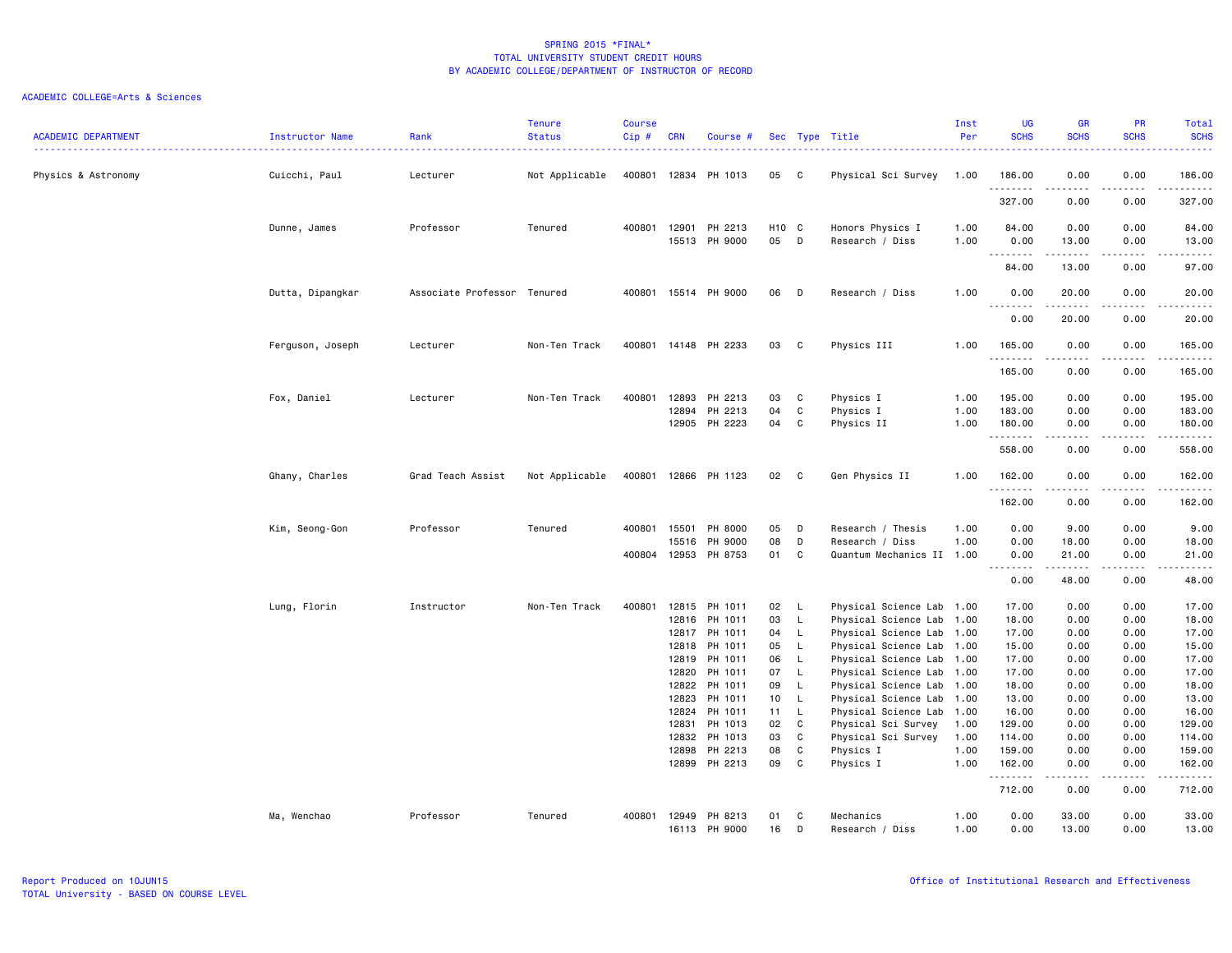| <b>ACADEMIC DEPARTMENT</b> | Instructor Name  | Rank                        | <b>Tenure</b><br><b>Status</b> | <b>Course</b><br>$Cip$ # | <b>CRN</b>     | Course #             |                           |                          | Sec Type Title                                    | Inst<br>Per  | <b>UG</b><br><b>SCHS</b> | <b>GR</b><br><b>SCHS</b> | <b>PR</b><br><b>SCHS</b>     | Total<br><b>SCHS</b>                                                                                                  |
|----------------------------|------------------|-----------------------------|--------------------------------|--------------------------|----------------|----------------------|---------------------------|--------------------------|---------------------------------------------------|--------------|--------------------------|--------------------------|------------------------------|-----------------------------------------------------------------------------------------------------------------------|
| Physics & Astronomy        | Cuicchi, Paul    | Lecturer                    | Not Applicable                 | 400801                   |                | 12834 PH 1013        | 05                        | $\mathbf{C}$             | Physical Sci Survey                               | 1.00         | 186.00<br>.              | 0.00<br>.                | 0.00<br>$\sim$ $\sim$ $\sim$ | 186.00<br>.                                                                                                           |
|                            |                  |                             |                                |                          |                |                      |                           |                          |                                                   |              | 327.00                   | 0.00                     | 0.00                         | 327.00                                                                                                                |
|                            | Dunne, James     | Professor                   | Tenured                        | 400801                   | 12901<br>15513 | PH 2213<br>PH 9000   | H <sub>10</sub> C<br>05 D |                          | Honors Physics I<br>Research / Diss               | 1.00<br>1.00 | 84.00<br>0.00            | 0.00<br>13.00            | 0.00<br>0.00                 | 84.00<br>13.00                                                                                                        |
|                            |                  |                             |                                |                          |                |                      |                           |                          |                                                   |              | .<br>84.00               | .<br>13.00               | .<br>0.00                    | .<br>97.00                                                                                                            |
|                            | Dutta, Dipangkar | Associate Professor Tenured |                                |                          |                | 400801 15514 PH 9000 | 06                        | D                        | Research / Diss                                   | 1.00         | 0.00<br>.                | 20.00<br>.               | 0.00<br>.                    | 20.00<br>.                                                                                                            |
|                            |                  |                             |                                |                          |                |                      |                           |                          |                                                   |              | 0.00                     | 20.00                    | 0.00                         | 20.00                                                                                                                 |
|                            | Ferguson, Joseph | Lecturer                    | Non-Ten Track                  |                          |                | 400801 14148 PH 2233 | 03                        | C.                       | Physics III                                       | 1.00         | 165.00<br>.              | 0.00                     | 0.00                         | 165.00<br>.                                                                                                           |
|                            |                  |                             |                                |                          |                |                      |                           |                          |                                                   |              | 165.00                   | 0.00                     | 0.00                         | 165.00                                                                                                                |
|                            | Fox, Daniel      | Lecturer                    | Non-Ten Track                  | 400801                   | 12893          | PH 2213              | 03                        | C                        | Physics I                                         | 1.00         | 195.00                   | 0.00                     | 0.00                         | 195.00                                                                                                                |
|                            |                  |                             |                                |                          | 12894          | PH 2213              | 04                        | $\mathbf{C}$             | Physics I                                         | 1.00         | 183.00                   | 0.00                     | 0.00                         | 183.00                                                                                                                |
|                            |                  |                             |                                |                          | 12905          | PH 2223              | 04                        | C                        | Physics II                                        | 1.00         | 180.00<br>.              | 0.00<br>-----            | 0.00<br>$\frac{1}{2}$        | 180.00                                                                                                                |
|                            |                  |                             |                                |                          |                |                      |                           |                          |                                                   |              | 558.00                   | 0.00                     | 0.00                         | 558.00                                                                                                                |
|                            | Ghany, Charles   | Grad Teach Assist           | Not Applicable                 | 400801                   |                | 12866 PH 1123        | 02                        | C.                       | Gen Physics II                                    | 1.00         | 162.00<br>.              | 0.00<br>.                | 0.00<br>.                    | 162.00                                                                                                                |
|                            |                  |                             |                                |                          |                |                      |                           |                          |                                                   |              | 162.00                   | 0.00                     | 0.00                         | 162.00                                                                                                                |
|                            | Kim, Seong-Gon   | Professor                   | Tenured                        | 400801                   | 15501          | PH 8000              | 05                        | D                        | Research / Thesis                                 | 1.00         | 0.00                     | 9.00                     | 0.00                         | 9.00                                                                                                                  |
|                            |                  |                             |                                |                          | 15516          | PH 9000              | 08                        | D                        | Research / Diss                                   | 1.00         | 0.00                     | 18.00                    | 0.00                         | 18.00                                                                                                                 |
|                            |                  |                             |                                | 400804                   | 12953          | PH 8753              | 01                        | C                        | Quantum Mechanics II                              | 1.00         | 0.00<br>.                | 21.00<br>.               | 0.00<br>.                    | 21.00<br>.                                                                                                            |
|                            |                  |                             |                                |                          |                |                      |                           |                          |                                                   |              | 0.00                     | 48.00                    | 0.00                         | 48.00                                                                                                                 |
|                            | Lung, Florin     | Instructor                  | Non-Ten Track                  | 400801                   | 12815          | PH 1011              | 02                        | - L                      | Physical Science Lab 1.00                         |              | 17.00                    | 0.00                     | 0.00                         | 17.00                                                                                                                 |
|                            |                  |                             |                                |                          | 12816          | PH 1011              | 03                        | <b>L</b>                 | Physical Science Lab                              | 1.00         | 18.00                    | 0.00                     | 0.00                         | 18.00                                                                                                                 |
|                            |                  |                             |                                |                          | 12817          | PH 1011              | 04                        | $\mathsf{L}$             | Physical Science Lab                              | 1.00         | 17.00                    | 0.00                     | 0.00                         | 17.00                                                                                                                 |
|                            |                  |                             |                                |                          | 12818          | PH 1011              | 05                        | - L                      | Physical Science Lab 1.00                         |              | 15.00                    | 0.00                     | 0.00                         | 15.00                                                                                                                 |
|                            |                  |                             |                                |                          | 12819          | PH 1011              | 06                        | - L                      | Physical Science Lab 1.00                         |              | 17.00                    | 0.00                     | 0.00                         | 17.00                                                                                                                 |
|                            |                  |                             |                                |                          | 12820          | PH 1011              | 07                        | $\mathsf{L}$             | Physical Science Lab                              | 1.00         | 17.00                    | 0.00                     | 0.00                         | 17.00                                                                                                                 |
|                            |                  |                             |                                |                          | 12822          | PH 1011              | 09                        | $\mathsf{L}$             | Physical Science Lab 1.00                         |              | 18.00                    | 0.00                     | 0.00                         | 18.00                                                                                                                 |
|                            |                  |                             |                                |                          | 12823<br>12824 | PH 1011<br>PH 1011   | 10 <sub>1</sub><br>11     | $\mathsf{L}$<br><b>L</b> | Physical Science Lab 1.00<br>Physical Science Lab | 1.00         | 13.00<br>16.00           | 0.00<br>0.00             | 0.00<br>0.00                 | 13.00<br>16.00                                                                                                        |
|                            |                  |                             |                                |                          | 12831          | PH 1013              | 02                        | C                        | Physical Sci Survey                               | 1.00         | 129.00                   | 0.00                     | 0.00                         | 129.00                                                                                                                |
|                            |                  |                             |                                |                          | 12832          | PH 1013              | 03                        | C                        | Physical Sci Survey                               | 1.00         | 114.00                   | 0.00                     | 0.00                         | 114.00                                                                                                                |
|                            |                  |                             |                                |                          | 12898          | PH 2213              | 08                        | C                        | Physics I                                         | 1.00         | 159.00                   | 0.00                     | 0.00                         | 159.00                                                                                                                |
|                            |                  |                             |                                |                          | 12899          | PH 2213              | 09                        | $\mathbf{C}$             | Physics I                                         | 1.00         | 162.00                   | 0.00                     | 0.00                         | 162.00                                                                                                                |
|                            |                  |                             |                                |                          |                |                      |                           |                          |                                                   |              | .<br>712.00              | -----<br>0.00            | $- - - -$<br>0.00            | $\begin{array}{cccccccccc} \bullet & \bullet & \bullet & \bullet & \bullet & \bullet & \bullet \end{array}$<br>712.00 |
|                            | Ma, Wenchao      | Professor                   | Tenured                        | 400801                   | 12949          | PH 8213              | 01                        | C                        | Mechanics                                         | 1.00         | 0.00                     | 33.00                    | 0.00                         | 33.00                                                                                                                 |
|                            |                  |                             |                                |                          | 16113          | PH 9000              | 16                        | D                        | Research / Diss                                   | 1.00         | 0.00                     | 13,00                    | 0.00                         | 13,00                                                                                                                 |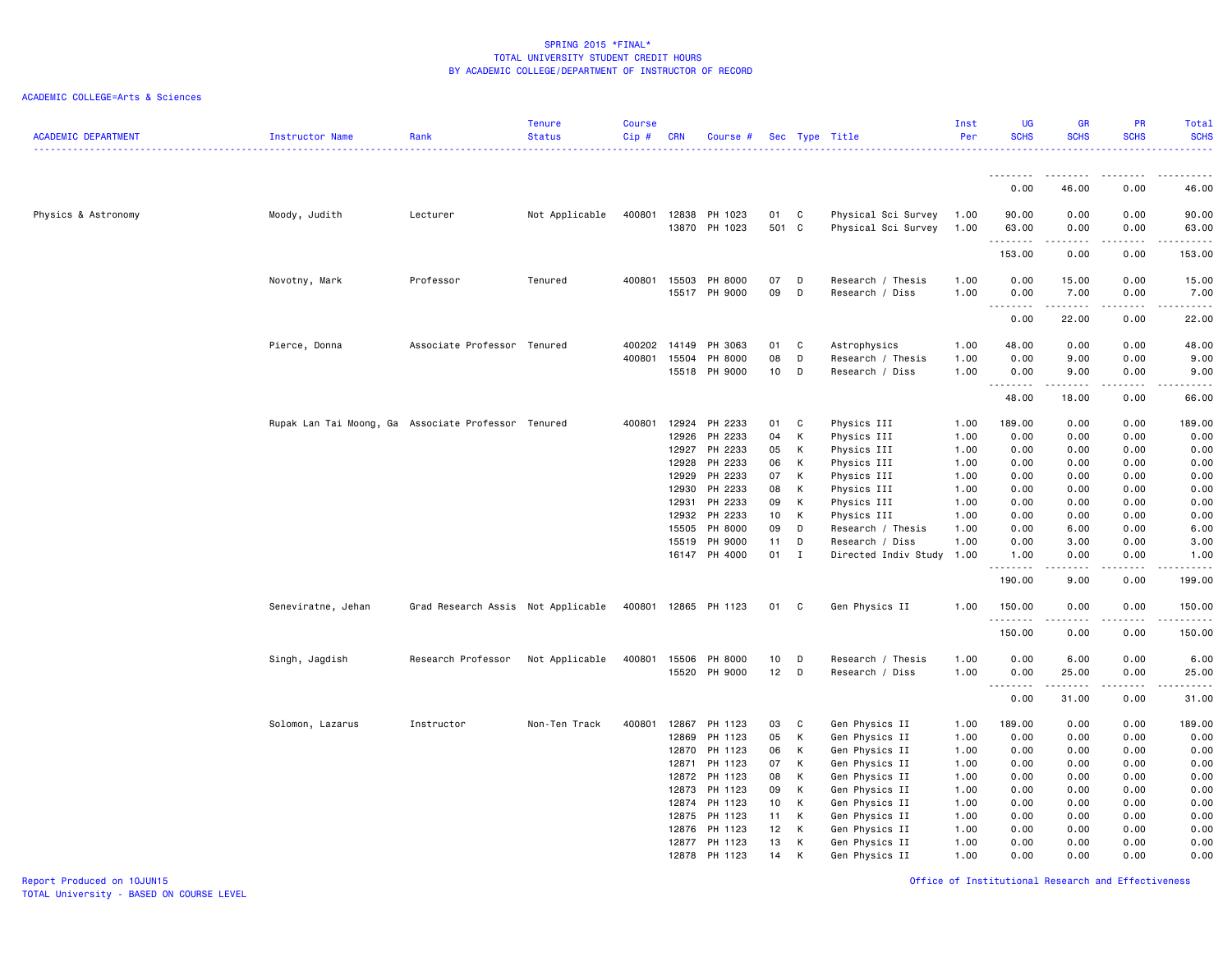# ACADEMIC COLLEGE=Arts & Sciences

| <b>ACADEMIC DEPARTMENT</b> | Instructor Name                                     | Rank                               | <b>Tenure</b><br><b>Status</b> | <b>Course</b><br>Cip# | <b>CRN</b>     | Course #                 |                 |              | Sec Type Title<br>-------------------------------- | Inst<br>Per  | <b>UG</b><br><b>SCHS</b>          | <b>GR</b><br><b>SCHS</b> | <b>PR</b><br><b>SCHS</b> | Total<br><b>SCHS</b>   |
|----------------------------|-----------------------------------------------------|------------------------------------|--------------------------------|-----------------------|----------------|--------------------------|-----------------|--------------|----------------------------------------------------|--------------|-----------------------------------|--------------------------|--------------------------|------------------------|
|                            |                                                     |                                    |                                |                       |                |                          |                 |              |                                                    |              |                                   |                          |                          |                        |
|                            |                                                     |                                    |                                |                       |                |                          |                 |              |                                                    |              | 0.00                              | 46.00                    | 0.00                     | 46.00                  |
| Physics & Astronomy        | Moody, Judith                                       | Lecturer                           | Not Applicable                 | 400801                | 12838          | PH 1023<br>13870 PH 1023 | 01<br>501 C     | C            | Physical Sci Survey<br>Physical Sci Survey         | 1.00<br>1.00 | 90.00<br>63.00                    | 0.00<br>0.00             | 0.00<br>0.00             | 90.00<br>63.00<br>.    |
|                            |                                                     |                                    |                                |                       |                |                          |                 |              |                                                    |              | .<br>153.00                       | -----<br>0.00            | .<br>0.00                | 153.00                 |
|                            | Novotny, Mark                                       | Professor                          | Tenured                        | 400801                | 15503<br>15517 | PH 8000<br>PH 9000       | 07<br>09        | D<br>D       | Research / Thesis<br>Research / Diss               | 1.00<br>1.00 | 0.00<br>0.00                      | 15.00<br>7.00            | 0.00<br>0.00             | 15.00<br>7.00          |
|                            |                                                     |                                    |                                |                       |                |                          |                 |              |                                                    |              | $\sim$ $\sim$ $\sim$<br>.<br>0.00 | 22.00                    | 0.00                     | $    -$<br>22.00       |
|                            | Pierce, Donna                                       | Associate Professor Tenured        |                                | 400202                | 14149          | PH 3063                  | 01              | C            | Astrophysics                                       | 1.00         | 48.00                             | 0.00                     | 0.00                     | 48.00                  |
|                            |                                                     |                                    |                                | 400801                | 15504<br>15518 | PH 8000<br>PH 9000       | 08<br>10        | D<br>D       | Research / Thesis<br>Research / Diss               | 1.00<br>1.00 | 0.00<br>0.00                      | 9.00<br>9.00             | 0.00<br>0.00             | 9.00<br>9.00           |
|                            |                                                     |                                    |                                |                       |                |                          |                 |              |                                                    |              | 48.00                             | .<br>18.00               | $\frac{1}{2}$<br>0.00    | $\frac{1}{2}$<br>66.00 |
|                            | Rupak Lan Tai Moong, Ga Associate Professor Tenured |                                    |                                | 400801                | 12924          | PH 2233                  | 01              | C            | Physics III                                        | 1.00         | 189.00                            | 0.00                     | 0.00                     | 189.00                 |
|                            |                                                     |                                    |                                |                       | 12926          | PH 2233                  | 04              | К            | Physics III                                        | 1.00         | 0.00                              | 0.00                     | 0.00                     | 0.00                   |
|                            |                                                     |                                    |                                |                       | 12927          | PH 2233                  | 05              | K            | Physics III                                        | 1.00         | 0.00                              | 0.00                     | 0.00                     | 0.00                   |
|                            |                                                     |                                    |                                |                       | 12928          | PH 2233                  | 06              | K            | Physics III                                        | 1.00         | 0.00                              | 0.00                     | 0.00                     | 0.00                   |
|                            |                                                     |                                    |                                |                       | 12929          | PH 2233                  | 07              | К            | Physics III                                        | 1.00         | 0.00                              | 0.00                     | 0.00                     | 0.00                   |
|                            |                                                     |                                    |                                |                       | 12930          | PH 2233                  | 08              | K            | Physics III                                        | 1.00         | 0.00                              | 0.00                     | 0.00                     | 0.00                   |
|                            |                                                     |                                    |                                |                       | 12931          | PH 2233                  | 09              | К            | Physics III                                        | 1.00         | 0.00                              | 0.00                     | 0.00                     | 0.00                   |
|                            |                                                     |                                    |                                |                       | 12932          | PH 2233                  | 10 <sub>1</sub> | K            | Physics III                                        | 1.00         | 0.00                              | 0.00                     | 0.00                     | 0.00                   |
|                            |                                                     |                                    |                                |                       | 15505          | PH 8000                  | 09              | D            | Research / Thesis                                  | 1.00         | 0.00                              | 6.00                     | 0.00                     | 6.00                   |
|                            |                                                     |                                    |                                |                       | 15519          | PH 9000                  | 11              | D            | Research / Diss                                    | 1.00         | 0.00                              | 3.00                     | 0.00                     | 3.00                   |
|                            |                                                     |                                    |                                |                       |                | 16147 PH 4000            | 01              | $\mathbf{I}$ | Directed Indiv Study 1.00                          |              | 1.00                              | 0.00<br>.                | 0.00                     | 1.00<br>.              |
|                            |                                                     |                                    |                                |                       |                |                          |                 |              |                                                    |              | 190.00                            | 9.00                     | 0.00                     | 199.00                 |
|                            | Seneviratne, Jehan                                  | Grad Research Assis Not Applicable |                                | 400801                |                | 12865 PH 1123            | 01              | C            | Gen Physics II                                     | 1.00         | 150.00                            | 0.00                     | 0.00                     | 150.00                 |
|                            |                                                     |                                    |                                |                       |                |                          |                 |              |                                                    |              | 150.00                            | 0.00                     | 0.00                     | 150.00                 |
|                            | Singh, Jagdish                                      | Research Professor                 | Not Applicable                 | 400801                | 15506          | PH 8000                  | 10              | D            | Research / Thesis                                  | 1.00         | 0.00                              | 6.00                     | 0.00                     | 6.00                   |
|                            |                                                     |                                    |                                |                       | 15520          | PH 9000                  | 12              | D            | Research / Diss                                    | 1.00         | 0.00                              | 25.00                    | 0.00                     | 25.00<br>.             |
|                            |                                                     |                                    |                                |                       |                |                          |                 |              |                                                    |              | 0.00                              | 31.00                    | 0.00                     | 31.00                  |
|                            | Solomon, Lazarus                                    | Instructor                         | Non-Ten Track                  | 400801                | 12867          | PH 1123                  | 03              | C            | Gen Physics II                                     | 1.00         | 189.00                            | 0.00                     | 0.00                     | 189.00                 |
|                            |                                                     |                                    |                                |                       | 12869          | PH 1123                  | 05              | K            | Gen Physics II                                     | 1.00         | 0.00                              | 0.00                     | 0.00                     | 0.00                   |
|                            |                                                     |                                    |                                |                       | 12870          | PH 1123                  | 06              | K            | Gen Physics II                                     | 1.00         | 0.00                              | 0.00                     | 0.00                     | 0.00                   |
|                            |                                                     |                                    |                                |                       | 12871          | PH 1123                  | 07              | K            | Gen Physics II                                     | 1.00         | 0.00                              | 0.00                     | 0.00                     | 0.00                   |
|                            |                                                     |                                    |                                |                       | 12872          | PH 1123                  | 08              | К            | Gen Physics II                                     | 1.00         | 0.00                              | 0.00                     | 0.00                     | 0.00                   |
|                            |                                                     |                                    |                                |                       | 12873          | PH 1123                  | 09              | K            | Gen Physics II                                     | 1.00         | 0.00                              | 0.00                     | 0.00                     | 0.00                   |
|                            |                                                     |                                    |                                |                       | 12874          | PH 1123                  | 10              | K            | Gen Physics II                                     | 1.00         | 0.00                              | 0.00                     | 0.00                     | 0.00                   |
|                            |                                                     |                                    |                                |                       | 12875          | PH 1123                  | 11              | K            | Gen Physics II                                     | 1.00         | 0.00                              | 0.00                     | 0.00                     | 0.00                   |
|                            |                                                     |                                    |                                |                       | 12876          | PH 1123                  | 12              | K            | Gen Physics II                                     | 1.00         | 0.00                              | 0.00                     | 0.00                     | 0.00                   |
|                            |                                                     |                                    |                                |                       | 12877          | PH 1123                  | 13              | К            | Gen Physics II                                     | 1.00         | 0.00                              | 0.00                     | 0.00                     | 0.00                   |
|                            |                                                     |                                    |                                |                       | 12878          | PH 1123                  | 14              | К            | Gen Physics II                                     | 1.00         | 0.00                              | 0.00                     | 0.00                     | 0.00                   |

Report Produced on 10JUN15 Office of Institutional Research and Effectiveness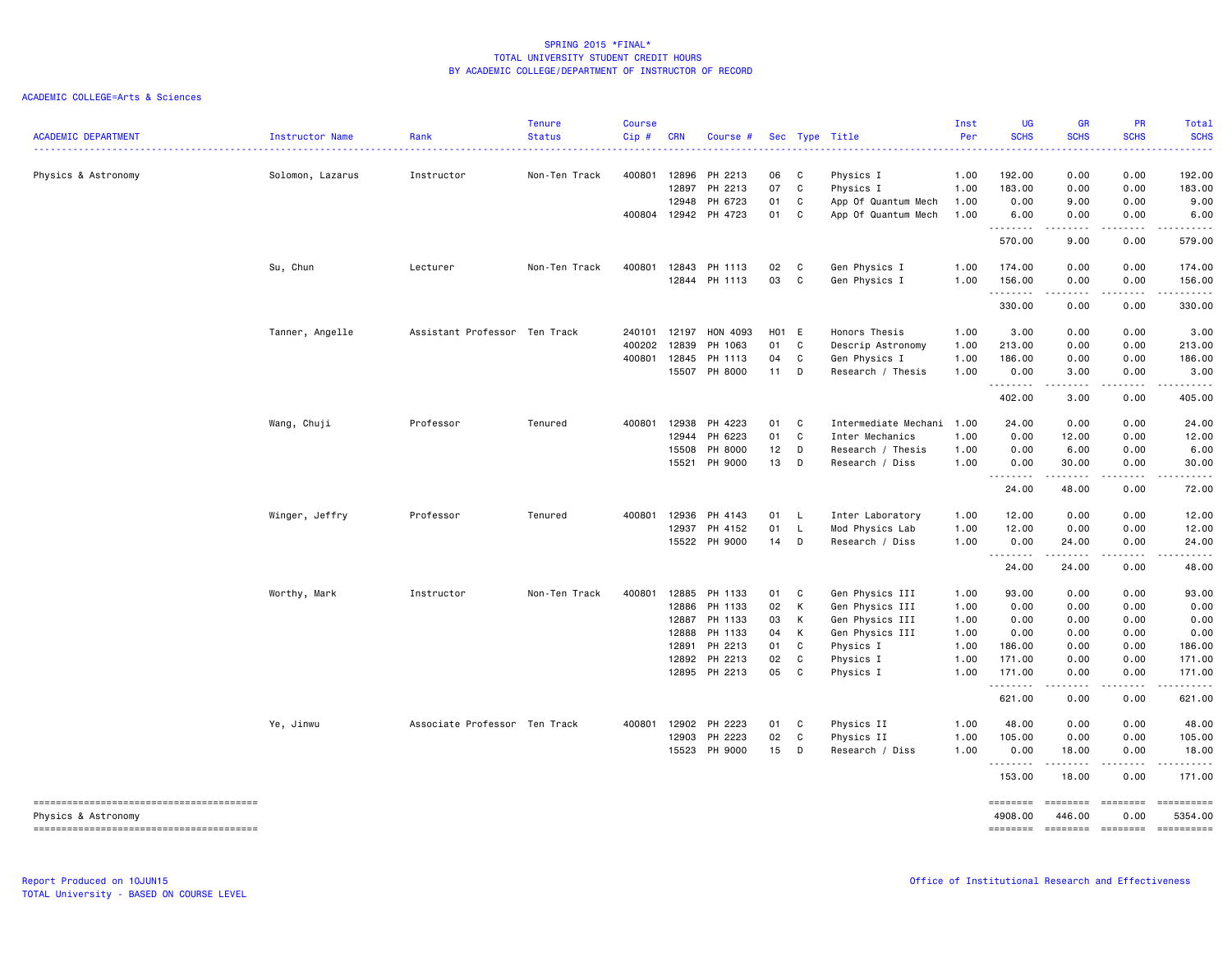| <b>ACADEMIC DEPARTMENT</b> | Instructor Name  | Rank<br>-------------------   | <b>Tenure</b><br><b>Status</b> | <b>Course</b><br>Cip# | <b>CRN</b>     | Course #                       |          |                              | Sec Type Title                             | Inst<br>Per  | <b>UG</b><br><b>SCHS</b> | <b>GR</b><br><b>SCHS</b><br>$\frac{1}{2} \left( \frac{1}{2} \right) \left( \frac{1}{2} \right) \left( \frac{1}{2} \right) \left( \frac{1}{2} \right) \left( \frac{1}{2} \right)$ | <b>PR</b><br><b>SCHS</b>                                                                                                                                                                                                                                                                                                                                                                                                                                                                                                  | Total<br><b>SCHS</b><br>.                                                                                                                                                                                                                                                                                                                                                                                                                    |
|----------------------------|------------------|-------------------------------|--------------------------------|-----------------------|----------------|--------------------------------|----------|------------------------------|--------------------------------------------|--------------|--------------------------|----------------------------------------------------------------------------------------------------------------------------------------------------------------------------------|---------------------------------------------------------------------------------------------------------------------------------------------------------------------------------------------------------------------------------------------------------------------------------------------------------------------------------------------------------------------------------------------------------------------------------------------------------------------------------------------------------------------------|----------------------------------------------------------------------------------------------------------------------------------------------------------------------------------------------------------------------------------------------------------------------------------------------------------------------------------------------------------------------------------------------------------------------------------------------|
| Physics & Astronomy        | Solomon, Lazarus | Instructor                    | Non-Ten Track                  | 400801                | 12896<br>12897 | PH 2213<br>PH 2213             | 06<br>07 | $\mathbf{C}$<br>$\mathbf{C}$ | Physics I<br>Physics I                     | 1.00<br>1.00 | 192.00<br>183.00         | 0.00<br>0.00                                                                                                                                                                     | 0.00<br>0.00                                                                                                                                                                                                                                                                                                                                                                                                                                                                                                              | 192.00<br>183.00                                                                                                                                                                                                                                                                                                                                                                                                                             |
|                            |                  |                               |                                | 400804                | 12948          | PH 6723<br>12942 PH 4723       | 01<br>01 | C<br>C                       | App Of Quantum Mech<br>App Of Quantum Mech | 1.00<br>1.00 | 0.00<br>6.00             | 9.00<br>0.00                                                                                                                                                                     | 0.00<br>0.00                                                                                                                                                                                                                                                                                                                                                                                                                                                                                                              | 9.00<br>6.00                                                                                                                                                                                                                                                                                                                                                                                                                                 |
|                            |                  |                               |                                |                       |                |                                |          |                              |                                            |              | . <b>.</b><br>570.00     | .<br>9.00                                                                                                                                                                        | .<br>0.00                                                                                                                                                                                                                                                                                                                                                                                                                                                                                                                 | $- - - - - - -$<br>579.00                                                                                                                                                                                                                                                                                                                                                                                                                    |
|                            | Su, Chun         | Lecturer                      | Non-Ten Track                  | 400801                | 12843          | PH 1113                        | 02       | $\mathbf{C}$                 | Gen Physics I                              | 1.00         | 174.00                   | 0.00                                                                                                                                                                             | 0.00                                                                                                                                                                                                                                                                                                                                                                                                                                                                                                                      | 174.00                                                                                                                                                                                                                                                                                                                                                                                                                                       |
|                            |                  |                               |                                |                       |                | 12844 PH 1113                  | 03       | $\mathbf{C}$                 | Gen Physics I                              | 1.00         | 156.00<br>.              | 0.00<br>$\frac{1}{2} \left( \frac{1}{2} \right) \left( \frac{1}{2} \right) \left( \frac{1}{2} \right) \left( \frac{1}{2} \right)$                                                | 0.00<br>.                                                                                                                                                                                                                                                                                                                                                                                                                                                                                                                 | 156.00<br>.                                                                                                                                                                                                                                                                                                                                                                                                                                  |
|                            |                  |                               |                                |                       |                |                                |          |                              |                                            |              | 330.00                   | 0.00                                                                                                                                                                             | 0.00                                                                                                                                                                                                                                                                                                                                                                                                                                                                                                                      | 330.00                                                                                                                                                                                                                                                                                                                                                                                                                                       |
|                            | Tanner, Angelle  | Assistant Professor Ten Track |                                | 240101                | 12197          | HON 4093                       | H01 E    |                              | Honors Thesis                              | 1.00         | 3.00                     | 0.00                                                                                                                                                                             | 0.00                                                                                                                                                                                                                                                                                                                                                                                                                                                                                                                      | 3.00                                                                                                                                                                                                                                                                                                                                                                                                                                         |
|                            |                  |                               |                                | 400202                | 12839          | PH 1063                        | 01       | C                            | Descrip Astronomy                          | 1.00         | 213.00                   | 0.00                                                                                                                                                                             | 0.00                                                                                                                                                                                                                                                                                                                                                                                                                                                                                                                      | 213.00                                                                                                                                                                                                                                                                                                                                                                                                                                       |
|                            |                  |                               |                                | 400801                | 12845          | PH 1113                        | 04       | C                            | Gen Physics I                              | 1.00         | 186.00                   | 0.00                                                                                                                                                                             | 0.00                                                                                                                                                                                                                                                                                                                                                                                                                                                                                                                      | 186.00                                                                                                                                                                                                                                                                                                                                                                                                                                       |
|                            |                  |                               |                                |                       |                | 15507 PH 8000                  | $11$ D   |                              | Research / Thesis                          | 1.00         | 0.00<br><u>.</u>         | 3.00<br>.                                                                                                                                                                        | 0.00<br>. <b>.</b>                                                                                                                                                                                                                                                                                                                                                                                                                                                                                                        | 3.00<br>.                                                                                                                                                                                                                                                                                                                                                                                                                                    |
|                            |                  |                               |                                |                       |                |                                |          |                              |                                            |              | 402.00                   | 3.00                                                                                                                                                                             | 0.00                                                                                                                                                                                                                                                                                                                                                                                                                                                                                                                      | 405.00                                                                                                                                                                                                                                                                                                                                                                                                                                       |
|                            | Wang, Chuji      | Professor                     | Tenured                        | 400801                | 12938          | PH 4223                        | 01       | C                            | Intermediate Mechani 1.00                  |              | 24.00                    | 0.00                                                                                                                                                                             | 0.00                                                                                                                                                                                                                                                                                                                                                                                                                                                                                                                      | 24.00                                                                                                                                                                                                                                                                                                                                                                                                                                        |
|                            |                  |                               |                                |                       | 12944          | PH 6223                        | 01       | $\mathbf c$                  | Inter Mechanics                            | 1.00         | 0.00                     | 12.00                                                                                                                                                                            | 0.00                                                                                                                                                                                                                                                                                                                                                                                                                                                                                                                      | 12.00                                                                                                                                                                                                                                                                                                                                                                                                                                        |
|                            |                  |                               |                                |                       | 15508          | PH 8000                        | 12       | D                            | Research / Thesis                          | 1.00         | 0.00                     | 6.00                                                                                                                                                                             | 0.00                                                                                                                                                                                                                                                                                                                                                                                                                                                                                                                      | 6.00                                                                                                                                                                                                                                                                                                                                                                                                                                         |
|                            |                  |                               |                                |                       | 15521          | PH 9000                        | 13       | D                            | Research / Diss                            | 1.00         | 0.00                     | 30.00                                                                                                                                                                            | 0.00                                                                                                                                                                                                                                                                                                                                                                                                                                                                                                                      | 30.00                                                                                                                                                                                                                                                                                                                                                                                                                                        |
|                            |                  |                               |                                |                       |                |                                |          |                              |                                            |              | <b></b><br>24.00         | .<br>48.00                                                                                                                                                                       | .<br>0.00                                                                                                                                                                                                                                                                                                                                                                                                                                                                                                                 | .<br>72.00                                                                                                                                                                                                                                                                                                                                                                                                                                   |
|                            | Winger, Jeffry   | Professor                     | Tenured                        | 400801                | 12936          | PH 4143                        | 01 L     |                              | Inter Laboratory                           | 1.00         | 12.00                    | 0.00                                                                                                                                                                             | 0.00                                                                                                                                                                                                                                                                                                                                                                                                                                                                                                                      | 12.00                                                                                                                                                                                                                                                                                                                                                                                                                                        |
|                            |                  |                               |                                |                       | 12937          | PH 4152                        | 01       | <b>L</b>                     | Mod Physics Lab                            | 1.00         | 12.00                    | 0.00                                                                                                                                                                             | 0.00                                                                                                                                                                                                                                                                                                                                                                                                                                                                                                                      | 12.00                                                                                                                                                                                                                                                                                                                                                                                                                                        |
|                            |                  |                               |                                |                       |                | 15522 PH 9000                  | $14$ D   |                              | Research / Diss                            | 1.00         | 0.00<br><b></b>          | 24.00<br>$- - - - -$                                                                                                                                                             | 0.00<br>.                                                                                                                                                                                                                                                                                                                                                                                                                                                                                                                 | 24.00<br>.                                                                                                                                                                                                                                                                                                                                                                                                                                   |
|                            |                  |                               |                                |                       |                |                                |          |                              |                                            |              | 24.00                    | 24.00                                                                                                                                                                            | 0.00                                                                                                                                                                                                                                                                                                                                                                                                                                                                                                                      | 48.00                                                                                                                                                                                                                                                                                                                                                                                                                                        |
|                            | Worthy, Mark     | Instructor                    | Non-Ten Track                  | 400801                |                | 12885 PH 1133                  | 01 C     |                              | Gen Physics III                            | 1.00         | 93.00                    | 0.00                                                                                                                                                                             | 0.00                                                                                                                                                                                                                                                                                                                                                                                                                                                                                                                      | 93.00                                                                                                                                                                                                                                                                                                                                                                                                                                        |
|                            |                  |                               |                                |                       | 12886          | PH 1133                        | 02 K     |                              | Gen Physics III                            | 1.00         | 0.00                     | 0.00                                                                                                                                                                             | 0.00                                                                                                                                                                                                                                                                                                                                                                                                                                                                                                                      | 0.00                                                                                                                                                                                                                                                                                                                                                                                                                                         |
|                            |                  |                               |                                |                       | 12887          | PH 1133                        | 03       | K                            | Gen Physics III                            | 1.00         | 0.00                     | 0.00                                                                                                                                                                             | 0.00                                                                                                                                                                                                                                                                                                                                                                                                                                                                                                                      | 0.00                                                                                                                                                                                                                                                                                                                                                                                                                                         |
|                            |                  |                               |                                |                       | 12888          | PH 1133                        | 04       | K                            | Gen Physics III                            | 1.00         | 0.00                     | 0.00                                                                                                                                                                             | 0.00                                                                                                                                                                                                                                                                                                                                                                                                                                                                                                                      | 0.00                                                                                                                                                                                                                                                                                                                                                                                                                                         |
|                            |                  |                               |                                |                       | 12891          | PH 2213                        | 01       | C                            | Physics I                                  | 1.00         | 186.00                   | 0.00                                                                                                                                                                             | 0.00                                                                                                                                                                                                                                                                                                                                                                                                                                                                                                                      | 186.00                                                                                                                                                                                                                                                                                                                                                                                                                                       |
|                            |                  |                               |                                |                       |                | 12892 PH 2213<br>12895 PH 2213 | 02<br>05 | C<br>C                       | Physics I<br>Physics I                     | 1.00<br>1.00 | 171.00<br>171.00         | 0.00<br>0.00                                                                                                                                                                     | 0.00<br>0.00                                                                                                                                                                                                                                                                                                                                                                                                                                                                                                              | 171.00<br>171.00                                                                                                                                                                                                                                                                                                                                                                                                                             |
|                            |                  |                               |                                |                       |                |                                |          |                              |                                            |              | .                        | .                                                                                                                                                                                | .                                                                                                                                                                                                                                                                                                                                                                                                                                                                                                                         | .                                                                                                                                                                                                                                                                                                                                                                                                                                            |
|                            |                  |                               |                                |                       |                |                                |          |                              |                                            |              | 621.00                   | 0.00                                                                                                                                                                             | 0.00                                                                                                                                                                                                                                                                                                                                                                                                                                                                                                                      | 621.00                                                                                                                                                                                                                                                                                                                                                                                                                                       |
|                            | Ye, Jinwu        | Associate Professor Ten Track |                                | 400801                | 12902          | PH 2223                        | 01       | C                            | Physics II                                 | 1.00         | 48.00                    | 0.00                                                                                                                                                                             | 0.00                                                                                                                                                                                                                                                                                                                                                                                                                                                                                                                      | 48.00                                                                                                                                                                                                                                                                                                                                                                                                                                        |
|                            |                  |                               |                                |                       | 12903          | PH 2223                        | 02       | C                            | Physics II                                 | 1.00         | 105.00                   | 0.00                                                                                                                                                                             | 0.00                                                                                                                                                                                                                                                                                                                                                                                                                                                                                                                      | 105.00                                                                                                                                                                                                                                                                                                                                                                                                                                       |
|                            |                  |                               |                                |                       | 15523          | PH 9000                        | 15       | D                            | Research / Diss                            | 1.00         | 0.00<br>.                | 18.00<br>د د د د د                                                                                                                                                               | 0.00                                                                                                                                                                                                                                                                                                                                                                                                                                                                                                                      | 18.00                                                                                                                                                                                                                                                                                                                                                                                                                                        |
|                            |                  |                               |                                |                       |                |                                |          |                              |                                            |              | 153.00                   | 18.00                                                                                                                                                                            | 0.00                                                                                                                                                                                                                                                                                                                                                                                                                                                                                                                      | 171.00                                                                                                                                                                                                                                                                                                                                                                                                                                       |
|                            |                  |                               |                                |                       |                |                                |          |                              |                                            |              |                          | ========                                                                                                                                                                         | $\begin{array}{c} \multicolumn{3}{c} {\small \texttt{m}} = \multicolumn{3}{c} {\small \texttt{m}} = \multicolumn{3}{c} {\small \texttt{m}} = \multicolumn{3}{c} {\small \texttt{m}} = \multicolumn{3}{c} {\small \texttt{m}} = \multicolumn{3}{c} {\small \texttt{m}} = \multicolumn{3}{c} {\small \texttt{m}} = \multicolumn{3}{c} {\small \texttt{m}} = \multicolumn{3}{c} {\small \texttt{m}} = \multicolumn{3}{c} {\small \texttt{m}} = \multicolumn{3}{c} {\small \texttt{m}} = \multicolumn{3}{c} {\small \texttt{$ | ==========                                                                                                                                                                                                                                                                                                                                                                                                                                   |
| Physics & Astronomy        |                  |                               |                                |                       |                |                                |          |                              |                                            |              | 4908.00                  | 446.00                                                                                                                                                                           | 0.00                                                                                                                                                                                                                                                                                                                                                                                                                                                                                                                      | 5354.00                                                                                                                                                                                                                                                                                                                                                                                                                                      |
|                            |                  |                               |                                |                       |                |                                |          |                              |                                            |              | ========                 | ========                                                                                                                                                                         | $=$ ========                                                                                                                                                                                                                                                                                                                                                                                                                                                                                                              | $\begin{minipage}{0.9\linewidth} \begin{tabular}{l} \multicolumn{2}{c}{\textbf{5.66}} \multicolumn{2}{c}{\textbf{6.66}} \multicolumn{2}{c}{\textbf{6.66}} \multicolumn{2}{c}{\textbf{7.66}} \multicolumn{2}{c}{\textbf{8.66}} \multicolumn{2}{c}{\textbf{9.66}} \multicolumn{2}{c}{\textbf{1.66}} \multicolumn{2}{c}{\textbf{1.66}} \multicolumn{2}{c}{\textbf{1.66}} \multicolumn{2}{c}{\textbf{1.66}} \multicolumn{2}{c}{\textbf{1.66}} \$ |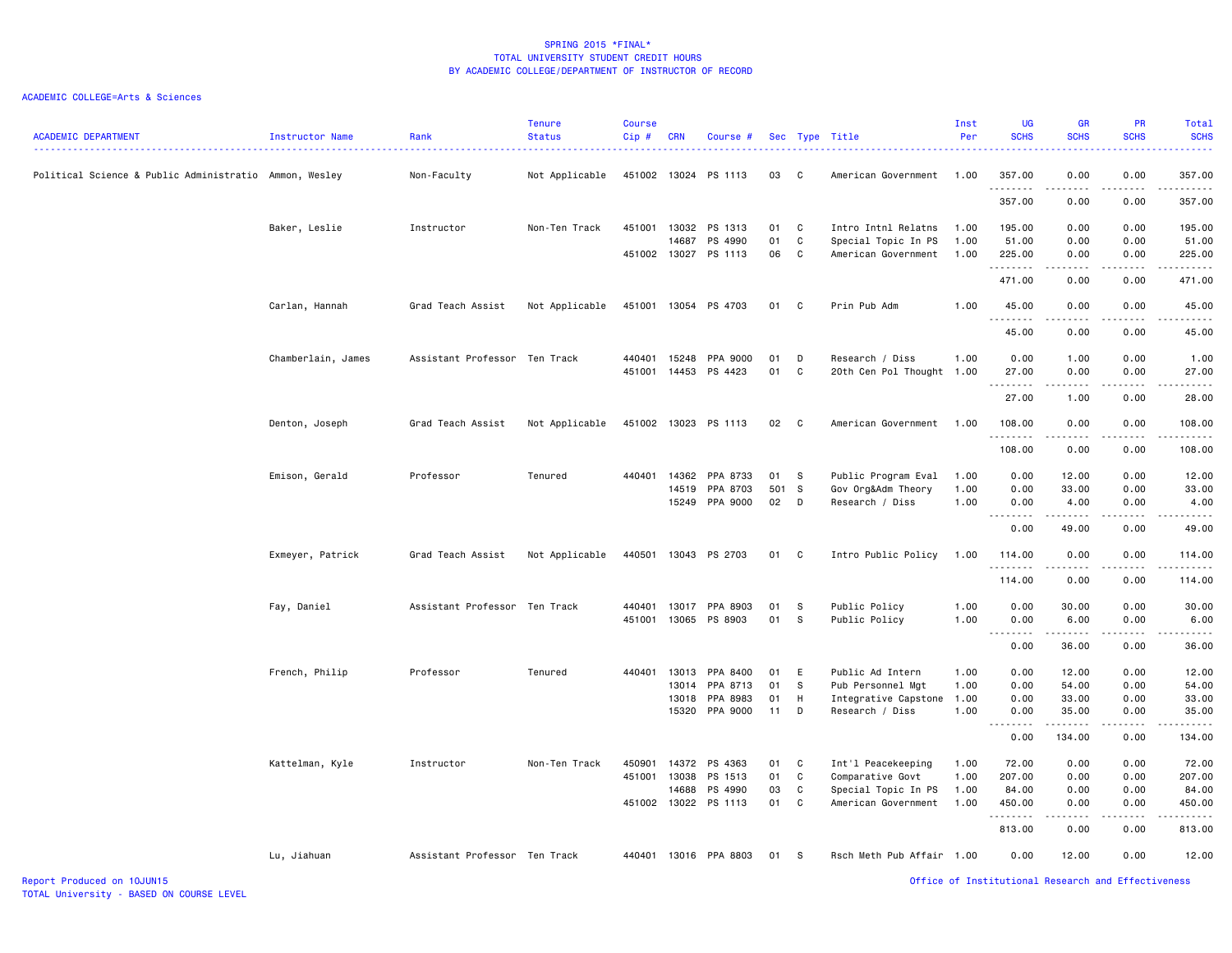| <b>ACADEMIC DEPARTMENT</b>                             | Instructor Name    | Rank                          | <b>Tenure</b><br><b>Status</b> | <b>Course</b><br>Cip# | <b>CRN</b>     | Course #                 |          |                   | Sec Type Title                          | Inst<br>Per  | <b>UG</b><br><b>SCHS</b>                                                                                                                                                                                                                                                                                                                                                                                                                                                                       | <b>GR</b><br><b>SCHS</b>                                                                                                                                                                                                                                                                                                                     | <b>PR</b><br><b>SCHS</b> | <b>Total</b><br><b>SCHS</b><br>2.22222 |
|--------------------------------------------------------|--------------------|-------------------------------|--------------------------------|-----------------------|----------------|--------------------------|----------|-------------------|-----------------------------------------|--------------|------------------------------------------------------------------------------------------------------------------------------------------------------------------------------------------------------------------------------------------------------------------------------------------------------------------------------------------------------------------------------------------------------------------------------------------------------------------------------------------------|----------------------------------------------------------------------------------------------------------------------------------------------------------------------------------------------------------------------------------------------------------------------------------------------------------------------------------------------|--------------------------|----------------------------------------|
| Political Science & Public Administratio Ammon, Wesley |                    | Non-Faculty                   | Not Applicable                 |                       |                | 451002 13024 PS 1113     | 03       | $\mathbf{C}$      | American Government                     | 1.00         | 357.00<br>.                                                                                                                                                                                                                                                                                                                                                                                                                                                                                    | 0.00<br>.                                                                                                                                                                                                                                                                                                                                    | 0.00<br>.                | 357.00<br>.                            |
|                                                        |                    |                               |                                |                       |                |                          |          |                   |                                         |              | 357.00                                                                                                                                                                                                                                                                                                                                                                                                                                                                                         | 0.00                                                                                                                                                                                                                                                                                                                                         | 0.00                     | 357.00                                 |
|                                                        | Baker, Leslie      | Instructor                    | Non-Ten Track                  | 451001                | 13032          | PS 1313                  | 01       | C                 | Intro Intnl Relatns                     | 1.00         | 195.00                                                                                                                                                                                                                                                                                                                                                                                                                                                                                         | 0.00                                                                                                                                                                                                                                                                                                                                         | 0.00                     | 195.00                                 |
|                                                        |                    |                               |                                |                       | 14687          | PS 4990                  | 01       | C.                | Special Topic In PS                     | 1.00         | 51.00                                                                                                                                                                                                                                                                                                                                                                                                                                                                                          | 0.00                                                                                                                                                                                                                                                                                                                                         | 0.00                     | 51.00                                  |
|                                                        |                    |                               |                                | 451002                |                | 13027 PS 1113            | 06       | C                 | American Government                     | 1.00         | 225.00<br>.                                                                                                                                                                                                                                                                                                                                                                                                                                                                                    | 0.00<br>$\frac{1}{2} \left( \begin{array}{ccc} 1 & 0 & 0 & 0 \\ 0 & 0 & 0 & 0 \\ 0 & 0 & 0 & 0 \\ 0 & 0 & 0 & 0 \\ 0 & 0 & 0 & 0 \\ 0 & 0 & 0 & 0 \\ 0 & 0 & 0 & 0 \\ 0 & 0 & 0 & 0 \\ 0 & 0 & 0 & 0 \\ 0 & 0 & 0 & 0 \\ 0 & 0 & 0 & 0 & 0 \\ 0 & 0 & 0 & 0 & 0 \\ 0 & 0 & 0 & 0 & 0 \\ 0 & 0 & 0 & 0 & 0 \\ 0 & 0 & 0 & 0 & 0 \\ 0 & 0 & 0$ | 0.00<br>.                | 225.00<br>.                            |
|                                                        |                    |                               |                                |                       |                |                          |          |                   |                                         |              | 471.00                                                                                                                                                                                                                                                                                                                                                                                                                                                                                         | 0.00                                                                                                                                                                                                                                                                                                                                         | 0.00                     | 471.00                                 |
|                                                        | Carlan, Hannah     | Grad Teach Assist             | Not Applicable                 |                       |                | 451001 13054 PS 4703     | 01       | $\mathbf{C}$      | Prin Pub Adm                            | 1.00         | 45.00<br>. <b>.</b>                                                                                                                                                                                                                                                                                                                                                                                                                                                                            | 0.00<br>.                                                                                                                                                                                                                                                                                                                                    | 0.00<br>.                | 45.00<br>.                             |
|                                                        |                    |                               |                                |                       |                |                          |          |                   |                                         |              | 45.00                                                                                                                                                                                                                                                                                                                                                                                                                                                                                          | 0.00                                                                                                                                                                                                                                                                                                                                         | 0.00                     | 45.00                                  |
|                                                        | Chamberlain, James | Assistant Professor Ten Track |                                | 440401                |                | 15248 PPA 9000           | 01       | D                 | Research / Diss                         | 1.00         | 0.00                                                                                                                                                                                                                                                                                                                                                                                                                                                                                           | 1.00                                                                                                                                                                                                                                                                                                                                         | 0.00                     | 1.00                                   |
|                                                        |                    |                               |                                | 451001                |                | 14453 PS 4423            | 01       | C                 | 20th Cen Pol Thought 1.00               |              | 27.00                                                                                                                                                                                                                                                                                                                                                                                                                                                                                          | 0.00                                                                                                                                                                                                                                                                                                                                         | 0.00                     | 27.00                                  |
|                                                        |                    |                               |                                |                       |                |                          |          |                   |                                         |              | .<br>27.00                                                                                                                                                                                                                                                                                                                                                                                                                                                                                     | .<br>1.00                                                                                                                                                                                                                                                                                                                                    | 0.00                     | .<br>28.00                             |
|                                                        | Denton, Joseph     | Grad Teach Assist             | Not Applicable                 |                       |                | 451002 13023 PS 1113     | 02       | $\mathbf{C}$      | American Government                     | 1.00         | 108.00                                                                                                                                                                                                                                                                                                                                                                                                                                                                                         | 0.00                                                                                                                                                                                                                                                                                                                                         | 0.00                     | 108.00                                 |
|                                                        |                    |                               |                                |                       |                |                          |          |                   |                                         |              | .<br>108.00                                                                                                                                                                                                                                                                                                                                                                                                                                                                                    | 0.00                                                                                                                                                                                                                                                                                                                                         | 0.00                     | .<br>108.00                            |
|                                                        | Emison, Gerald     | Professor                     | Tenured                        | 440401                | 14362          | PPA 8733                 | 01       | s                 | Public Program Eval                     | 1.00         | 0.00                                                                                                                                                                                                                                                                                                                                                                                                                                                                                           | 12.00                                                                                                                                                                                                                                                                                                                                        | 0.00                     | 12.00                                  |
|                                                        |                    |                               |                                |                       | 14519          | PPA 8703                 | 501 S    |                   | Gov Org&Adm Theory                      | 1.00         | 0.00                                                                                                                                                                                                                                                                                                                                                                                                                                                                                           | 33.00                                                                                                                                                                                                                                                                                                                                        | 0.00                     | 33.00                                  |
|                                                        |                    |                               |                                |                       | 15249          | PPA 9000                 | 02       | $\mathsf{D}$      | Research / Diss                         | 1.00         | 0.00<br>$\begin{array}{cccccccccccccc} \multicolumn{2}{c}{} & \multicolumn{2}{c}{} & \multicolumn{2}{c}{} & \multicolumn{2}{c}{} & \multicolumn{2}{c}{} & \multicolumn{2}{c}{} & \multicolumn{2}{c}{} & \multicolumn{2}{c}{} & \multicolumn{2}{c}{} & \multicolumn{2}{c}{} & \multicolumn{2}{c}{} & \multicolumn{2}{c}{} & \multicolumn{2}{c}{} & \multicolumn{2}{c}{} & \multicolumn{2}{c}{} & \multicolumn{2}{c}{} & \multicolumn{2}{c}{} & \multicolumn{2}{c}{} & \multicolumn{2}{c}{} & \$ | 4.00<br><u>.</u>                                                                                                                                                                                                                                                                                                                             | 0.00<br>.                | 4.00<br>.                              |
|                                                        |                    |                               |                                |                       |                |                          |          |                   |                                         |              | 0.00                                                                                                                                                                                                                                                                                                                                                                                                                                                                                           | 49.00                                                                                                                                                                                                                                                                                                                                        | 0.00                     | 49.00                                  |
|                                                        | Exmeyer, Patrick   | Grad Teach Assist             | Not Applicable                 |                       |                | 440501 13043 PS 2703     | 01       | $\mathbf{C}$      | Intro Public Policy                     | 1.00         | 114.00<br>.                                                                                                                                                                                                                                                                                                                                                                                                                                                                                    | 0.00<br>. <b>.</b>                                                                                                                                                                                                                                                                                                                           | 0.00<br>.                | 114.00<br>.                            |
|                                                        |                    |                               |                                |                       |                |                          |          |                   |                                         |              | 114.00                                                                                                                                                                                                                                                                                                                                                                                                                                                                                         | 0.00                                                                                                                                                                                                                                                                                                                                         | 0.00                     | 114.00                                 |
|                                                        | Fay, Daniel        | Assistant Professor Ten Track |                                | 440401                | 13017          | PPA 8903                 | 01       | - S               | Public Policy                           | 1.00         | 0.00                                                                                                                                                                                                                                                                                                                                                                                                                                                                                           | 30.00                                                                                                                                                                                                                                                                                                                                        | 0.00                     | 30.00                                  |
|                                                        |                    |                               |                                | 451001                |                | 13065 PS 8903            | 01       | <b>S</b>          | Public Policy                           | 1.00         | 0.00                                                                                                                                                                                                                                                                                                                                                                                                                                                                                           | 6.00                                                                                                                                                                                                                                                                                                                                         | 0.00                     | 6.00                                   |
|                                                        |                    |                               |                                |                       |                |                          |          |                   |                                         |              | 0.00                                                                                                                                                                                                                                                                                                                                                                                                                                                                                           | ------<br>36.00                                                                                                                                                                                                                                                                                                                              | 22222<br>0.00            | .<br>36.00                             |
|                                                        | French, Philip     | Professor                     | Tenured                        | 440401                | 13013          | PPA 8400                 | 01       | E                 | Public Ad Intern                        | 1.00         | 0.00                                                                                                                                                                                                                                                                                                                                                                                                                                                                                           | 12.00                                                                                                                                                                                                                                                                                                                                        | 0.00                     | 12.00                                  |
|                                                        |                    |                               |                                |                       |                | 13014 PPA 8713           | 01       | - S               | Pub Personnel Mgt                       | 1.00         | 0.00                                                                                                                                                                                                                                                                                                                                                                                                                                                                                           | 54.00                                                                                                                                                                                                                                                                                                                                        | 0.00                     | 54.00                                  |
|                                                        |                    |                               |                                |                       | 13018<br>15320 | PPA 8983<br>PPA 9000     | 01<br>11 | H<br>D            | Integrative Capstone<br>Research / Diss | 1.00<br>1.00 | 0.00<br>0.00                                                                                                                                                                                                                                                                                                                                                                                                                                                                                   | 33.00<br>35.00                                                                                                                                                                                                                                                                                                                               | 0.00<br>0.00             | 33.00<br>35.00                         |
|                                                        |                    |                               |                                |                       |                |                          |          |                   |                                         |              | $\sim$ $\sim$ $\sim$<br>$\frac{1}{2} \left( \frac{1}{2} \right) \left( \frac{1}{2} \right) \left( \frac{1}{2} \right) \left( \frac{1}{2} \right) \left( \frac{1}{2} \right)$<br>0.00                                                                                                                                                                                                                                                                                                           | 134.00                                                                                                                                                                                                                                                                                                                                       | 0.00                     | .<br>134.00                            |
|                                                        |                    |                               |                                |                       |                |                          |          |                   |                                         |              |                                                                                                                                                                                                                                                                                                                                                                                                                                                                                                |                                                                                                                                                                                                                                                                                                                                              |                          |                                        |
|                                                        | Kattelman, Kyle    | Instructor                    | Non-Ten Track                  | 450901<br>451001      | 13038          | 14372 PS 4363<br>PS 1513 | 01<br>01 | $\mathbf{C}$<br>C | Int'l Peacekeeping<br>Comparative Govt  | 1.00<br>1.00 | 72.00<br>207.00                                                                                                                                                                                                                                                                                                                                                                                                                                                                                | 0.00<br>0.00                                                                                                                                                                                                                                                                                                                                 | 0.00<br>0.00             | 72.00<br>207.00                        |
|                                                        |                    |                               |                                |                       | 14688          | PS 4990                  | 03       | C                 | Special Topic In PS                     | 1.00         | 84.00                                                                                                                                                                                                                                                                                                                                                                                                                                                                                          | 0.00                                                                                                                                                                                                                                                                                                                                         | 0.00                     | 84.00                                  |
|                                                        |                    |                               |                                |                       |                | 451002 13022 PS 1113     | 01       | <b>C</b>          | American Government                     | 1.00         | 450.00                                                                                                                                                                                                                                                                                                                                                                                                                                                                                         | 0.00                                                                                                                                                                                                                                                                                                                                         | 0.00                     | 450.00                                 |
|                                                        |                    |                               |                                |                       |                |                          |          |                   |                                         |              | .<br>813.00                                                                                                                                                                                                                                                                                                                                                                                                                                                                                    | $- - - - -$<br>0.00                                                                                                                                                                                                                                                                                                                          | .<br>0.00                | .<br>813.00                            |
|                                                        | Lu, Jiahuan        | Assistant Professor Ten Track |                                | 440401                |                | 13016 PPA 8803           | 01       | - s               | Rsch Meth Pub Affair 1.00               |              | 0.00                                                                                                                                                                                                                                                                                                                                                                                                                                                                                           | 12.00                                                                                                                                                                                                                                                                                                                                        | 0.00                     | 12.00                                  |
| Report Produced on 10JUN15                             |                    |                               |                                |                       |                |                          |          |                   |                                         |              |                                                                                                                                                                                                                                                                                                                                                                                                                                                                                                | Office of Institutional Research and Effectiveness                                                                                                                                                                                                                                                                                           |                          |                                        |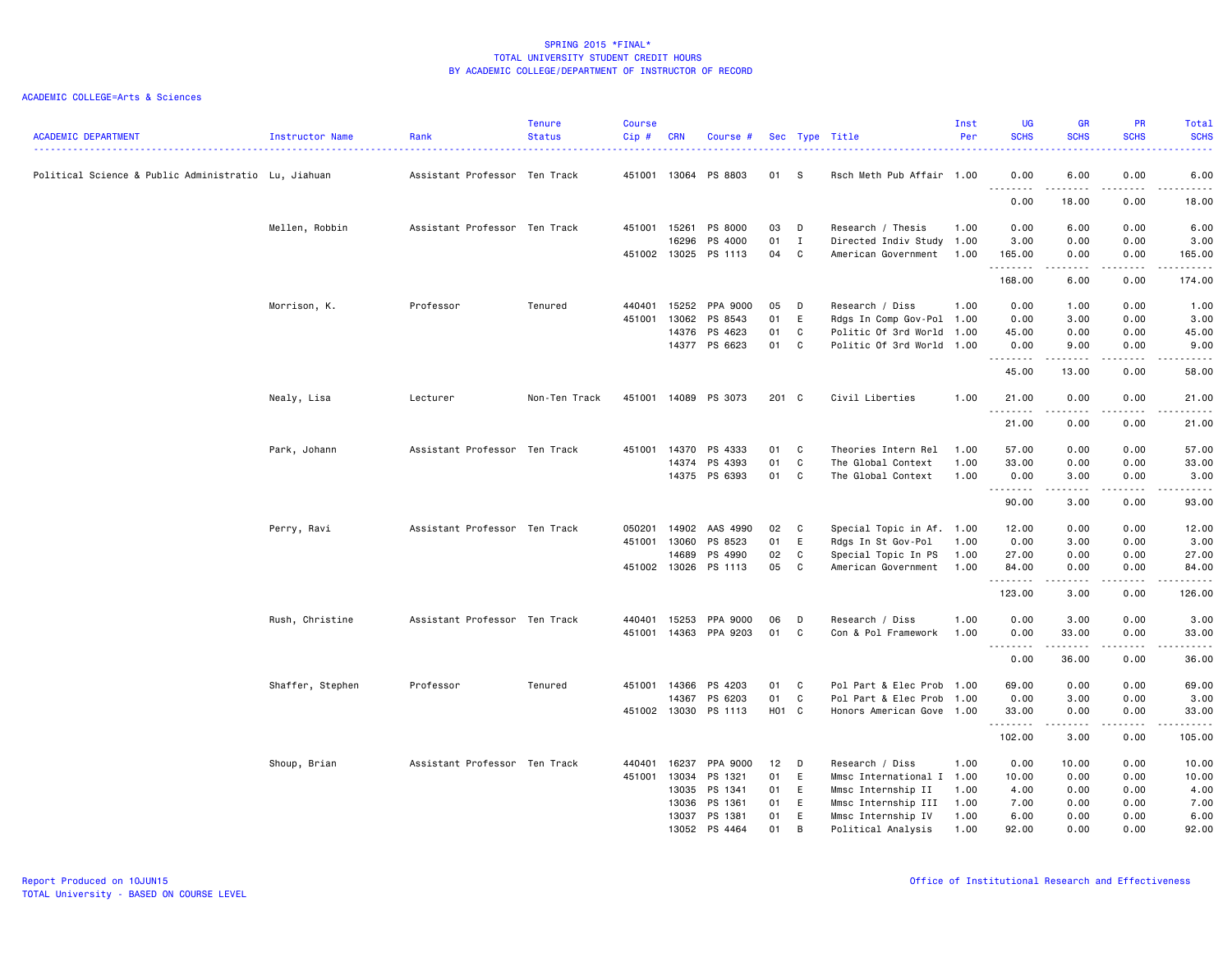| <b>ACADEMIC DEPARTMENT</b>                           | Instructor Name  | Rank                          | <b>Tenure</b><br><b>Status</b> | <b>Course</b><br>Cip# | CRN                   | Course #             |          |                  | Sec Type Title                                         | Inst<br>Per  | <b>UG</b><br><b>SCHS</b>       | GR<br><b>SCHS</b>                                                                                                                                                                       | PR<br><b>SCHS</b> | Total<br><b>SCHS</b><br>2222. |
|------------------------------------------------------|------------------|-------------------------------|--------------------------------|-----------------------|-----------------------|----------------------|----------|------------------|--------------------------------------------------------|--------------|--------------------------------|-----------------------------------------------------------------------------------------------------------------------------------------------------------------------------------------|-------------------|-------------------------------|
| Political Science & Public Administratio Lu, Jiahuan |                  | Assistant Professor Ten Track |                                |                       |                       | 451001 13064 PS 8803 | 01 S     |                  | Rsch Meth Pub Affair 1.00                              |              | 0.00<br>.                      | 6.00                                                                                                                                                                                    | 0.00<br>.         | 6.00<br>.                     |
|                                                      |                  |                               |                                |                       |                       |                      |          |                  |                                                        |              | 0.00                           | .<br>18.00                                                                                                                                                                              | 0.00              | 18.00                         |
|                                                      | Mellen, Robbin   | Assistant Professor Ten Track |                                | 451001                | 15261                 | PS 8000              | 03       | D                | Research / Thesis                                      | 1.00         | 0.00                           | 6.00                                                                                                                                                                                    | 0.00              | 6.00                          |
|                                                      |                  |                               |                                |                       | 16296<br>451002 13025 | PS 4000<br>PS 1113   | 01<br>04 | $\mathbf I$<br>C | Directed Indiv Study 1.00<br>American Government       | 1.00         | 3.00<br>165.00                 | 0.00<br>0.00                                                                                                                                                                            | 0.00<br>0.00      | 3.00<br>165.00                |
|                                                      |                  |                               |                                |                       |                       |                      |          |                  |                                                        |              | .<br>168.00                    | $\frac{1}{2} \left( \frac{1}{2} \right) \left( \frac{1}{2} \right) \left( \frac{1}{2} \right) \left( \frac{1}{2} \right) \left( \frac{1}{2} \right) \left( \frac{1}{2} \right)$<br>6.00 | .<br>0.00         | .<br>174.00                   |
|                                                      |                  |                               |                                |                       |                       |                      |          |                  |                                                        |              |                                |                                                                                                                                                                                         |                   |                               |
|                                                      | Morrison, K.     | Professor                     | Tenured                        | 440401                | 15252                 | PPA 9000             | 05       | D                | Research / Diss                                        | 1.00         | 0.00                           | 1.00                                                                                                                                                                                    | 0.00              | 1.00                          |
|                                                      |                  |                               |                                | 451001                | 13062<br>14376        | PS 8543<br>PS 4623   | 01<br>01 | E<br>C           | Rdgs In Comp Gov-Pol 1.00<br>Politic Of 3rd World 1.00 |              | 0.00<br>45.00                  | 3.00<br>0.00                                                                                                                                                                            | 0.00<br>0.00      | 3.00<br>45.00                 |
|                                                      |                  |                               |                                |                       | 14377                 | PS 6623              | 01       | C                | Politic Of 3rd World 1.00                              |              | 0.00                           | 9.00                                                                                                                                                                                    | 0.00              | 9.00                          |
|                                                      |                  |                               |                                |                       |                       |                      |          |                  |                                                        |              | .<br>45.00                     | 13.00                                                                                                                                                                                   | 0.00              | -----<br>58.00                |
|                                                      | Nealy, Lisa      | Lecturer                      | Non-Ten Track                  |                       |                       | 451001 14089 PS 3073 | 201 C    |                  | Civil Liberties                                        | 1.00         | 21.00                          | 0.00                                                                                                                                                                                    | 0.00              | 21.00                         |
|                                                      |                  |                               |                                |                       |                       |                      |          |                  |                                                        |              | .<br>21.00                     | $\frac{1}{2} \left( \frac{1}{2} \right) \left( \frac{1}{2} \right) \left( \frac{1}{2} \right) \left( \frac{1}{2} \right) \left( \frac{1}{2} \right)$<br>0.00                            | .<br>0.00         | .<br>21.00                    |
|                                                      |                  |                               |                                |                       |                       |                      |          |                  |                                                        |              |                                |                                                                                                                                                                                         |                   |                               |
|                                                      | Park, Johann     | Assistant Professor Ten Track |                                | 451001                | 14370<br>14374        | PS 4333<br>PS 4393   | 01<br>01 | C<br>C           | Theories Intern Rel<br>The Global Context              | 1.00<br>1.00 | 57.00<br>33.00                 | 0.00<br>0.00                                                                                                                                                                            | 0.00<br>0.00      | 57.00<br>33.00                |
|                                                      |                  |                               |                                |                       | 14375                 | PS 6393              | 01       | C                | The Global Context                                     | 1.00         | 0.00                           | 3.00                                                                                                                                                                                    | 0.00              | 3.00                          |
|                                                      |                  |                               |                                |                       |                       |                      |          |                  |                                                        |              | $- - - - - - - - - -$<br>90.00 | $\frac{1}{2} \left( \frac{1}{2} \right) \left( \frac{1}{2} \right) \left( \frac{1}{2} \right) \left( \frac{1}{2} \right) \left( \frac{1}{2} \right)$<br>3.00                            | .<br>0.00         | .<br>93.00                    |
|                                                      |                  |                               |                                |                       |                       |                      |          |                  |                                                        |              |                                |                                                                                                                                                                                         |                   |                               |
|                                                      | Perry, Ravi      | Assistant Professor Ten Track |                                | 050201                | 14902                 | AAS 4990             | 02       | $\mathbf{C}$     | Special Topic in Af. 1.00                              |              | 12.00                          | 0.00                                                                                                                                                                                    | 0.00              | 12.00                         |
|                                                      |                  |                               |                                | 451001 13060          |                       | PS 8523              | 01       | E                | Rdgs In St Gov-Pol                                     | 1.00         | 0.00                           | 3.00                                                                                                                                                                                    | 0.00              | 3.00                          |
|                                                      |                  |                               |                                |                       | 14689                 | PS 4990              | 02       | C                | Special Topic In PS                                    | 1.00         | 27.00                          | 0.00                                                                                                                                                                                    | 0.00              | 27.00                         |
|                                                      |                  |                               |                                |                       |                       | 451002 13026 PS 1113 | 05       | C                | American Government                                    | 1.00         | 84.00<br>--------              | 0.00<br>.                                                                                                                                                                               | 0.00<br>.         | 84.00<br>.                    |
|                                                      |                  |                               |                                |                       |                       |                      |          |                  |                                                        |              | 123.00                         | 3.00                                                                                                                                                                                    | 0.00              | 126.00                        |
|                                                      | Rush, Christine  | Assistant Professor Ten Track |                                | 440401                | 15253                 | PPA 9000             | 06       | D                | Research / Diss                                        | 1.00         | 0.00                           | 3.00                                                                                                                                                                                    | 0.00              | 3.00                          |
|                                                      |                  |                               |                                |                       | 451001 14363          | PPA 9203             | 01       | C                | Con & Pol Framework                                    | 1.00         | 0.00<br>.                      | 33.00                                                                                                                                                                                   | 0.00<br>.         | 33.00<br>.                    |
|                                                      |                  |                               |                                |                       |                       |                      |          |                  |                                                        |              | 0.00                           | 36.00                                                                                                                                                                                   | 0.00              | 36.00                         |
|                                                      | Shaffer, Stephen | Professor                     | Tenured                        |                       | 451001 14366          | PS 4203              | 01       | C                | Pol Part & Elec Prob 1.00                              |              | 69.00                          | 0.00                                                                                                                                                                                    | 0.00              | 69.00                         |
|                                                      |                  |                               |                                |                       | 14367                 | PS 6203              | 01       | C                | Pol Part & Elec Prob 1.00                              |              | 0.00                           | 3.00                                                                                                                                                                                    | 0.00              | 3.00                          |
|                                                      |                  |                               |                                |                       | 451002 13030          | PS 1113              | H01 C    |                  | Honors American Gove 1.00                              |              | 33.00<br>.                     | 0.00<br>.                                                                                                                                                                               | 0.00<br>.         | 33.00<br>.                    |
|                                                      |                  |                               |                                |                       |                       |                      |          |                  |                                                        |              | 102.00                         | 3.00                                                                                                                                                                                    | 0.00              | 105.00                        |
|                                                      | Shoup, Brian     | Assistant Professor Ten Track |                                |                       | 440401 16237          | PPA 9000             | 12       | D                | Research / Diss                                        | 1.00         | 0.00                           | 10.00                                                                                                                                                                                   | 0.00              | 10.00                         |
|                                                      |                  |                               |                                | 451001                | 13034                 | PS 1321              | 01       | E                | Mmsc International I 1.00                              |              | 10.00                          | 0.00                                                                                                                                                                                    | 0.00              | 10.00                         |
|                                                      |                  |                               |                                |                       | 13035                 | PS 1341              | 01       | E                | Mmsc Internship II                                     | 1.00         | 4.00                           | 0.00                                                                                                                                                                                    | 0.00              | 4.00                          |
|                                                      |                  |                               |                                |                       | 13036                 | PS 1361              | 01       | E                | Mmsc Internship III                                    | 1.00         | 7.00                           | 0.00                                                                                                                                                                                    | 0.00              | 7.00                          |
|                                                      |                  |                               |                                |                       | 13037                 | PS 1381              | 01       | E                | Mmsc Internship IV                                     | 1.00         | 6.00                           | 0.00                                                                                                                                                                                    | 0.00              | 6.00                          |
|                                                      |                  |                               |                                |                       | 13052                 | PS 4464              | 01       | B                | Political Analysis                                     | 1.00         | 92.00                          | 0.00                                                                                                                                                                                    | 0.00              | 92.00                         |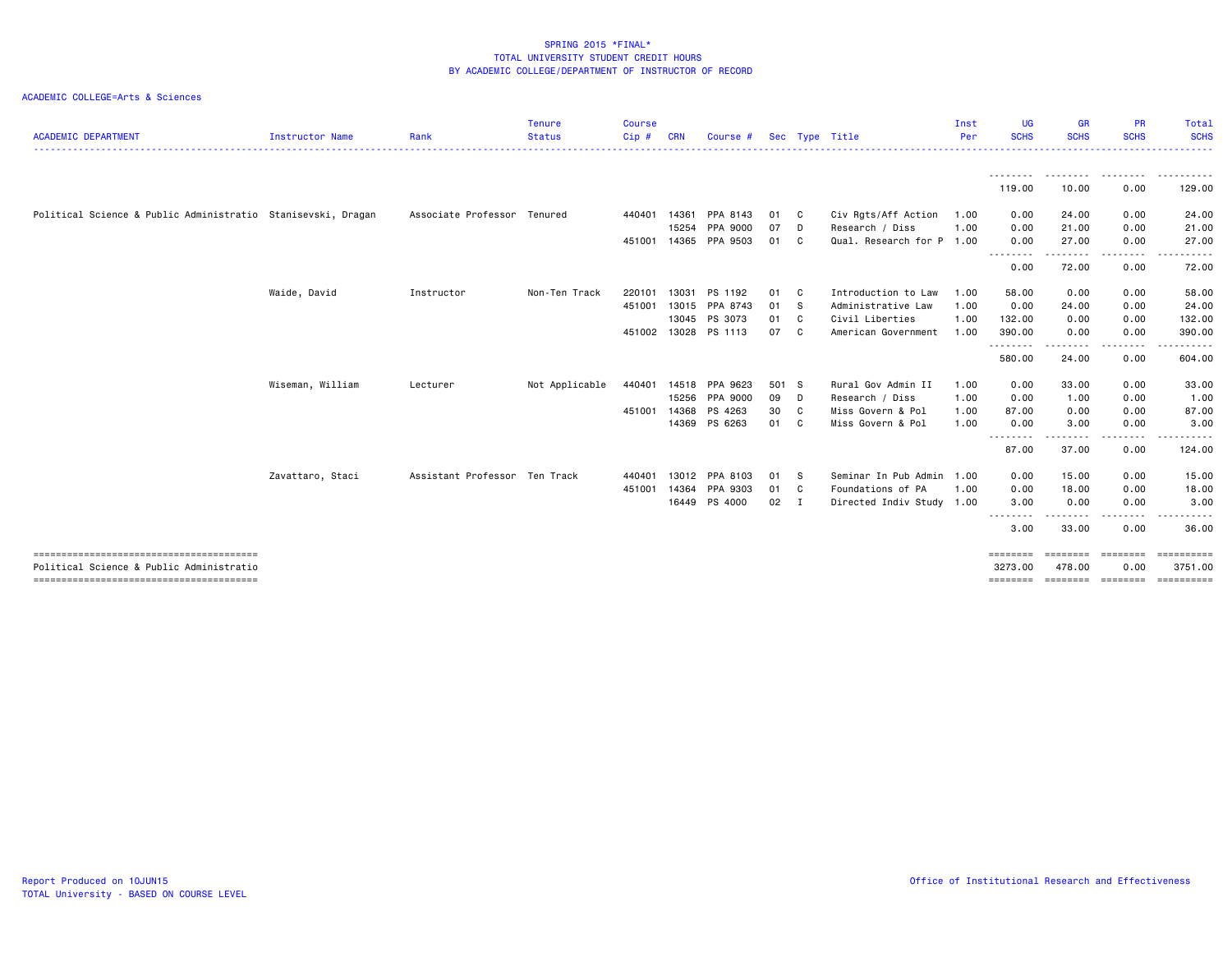| <b>ACADEMIC DEPARTMENT</b>                                   | Instructor Name  | Rank                          | <b>Tenure</b><br><b>Status</b> | <b>Course</b><br>Cip# | <b>CRN</b> | Course #             |               |              | Sec Type Title            | Inst<br>Per | UG<br><b>SCHS</b>   | <b>GR</b><br><b>SCHS</b> | <b>PR</b><br><b>SCHS</b> | Total<br><b>SCHS</b>        |
|--------------------------------------------------------------|------------------|-------------------------------|--------------------------------|-----------------------|------------|----------------------|---------------|--------------|---------------------------|-------------|---------------------|--------------------------|--------------------------|-----------------------------|
|                                                              |                  |                               |                                |                       |            |                      |               |              |                           |             | <u>.</u>            | .                        | .                        |                             |
|                                                              |                  |                               |                                |                       |            |                      |               |              |                           |             | 119.00              | 10.00                    | 0.00                     | 129.00                      |
| Political Science & Public Administratio Stanisevski, Dragan |                  | Associate Professor Tenured   |                                | 440401                | 14361      | PPA 8143             | 01            | $\mathbf{C}$ | Civ Rgts/Aff Action       | 1.00        | 0.00                | 24.00                    | 0.00                     | 24.00                       |
|                                                              |                  |                               |                                |                       | 15254      | PPA 9000             | 07            | D            | Research / Diss           | 1.00        | 0.00                | 21.00                    | 0.00                     | 21.00                       |
|                                                              |                  |                               |                                | 451001 14365          |            | PPA 9503             | 01            | $\mathbf{C}$ | Qual. Research for P 1.00 |             | 0.00                | 27.00                    | 0.00                     | 27.00                       |
|                                                              |                  |                               |                                |                       |            |                      |               |              |                           |             | --------<br>0.00    | .<br>72.00               | .<br>0.00                | .<br>72.00                  |
|                                                              | Waide, David     | Instructor                    | Non-Ten Track                  | 220101                | 13031      | PS 1192              | 01 C          |              | Introduction to Law       | 1.00        | 58.00               | 0.00                     | 0.00                     | 58.00                       |
|                                                              |                  |                               |                                | 451001 13015          |            | PPA 8743             | 01 S          |              | Administrative Law        | 1.00        | 0.00                | 24.00                    | 0.00                     | 24.00                       |
|                                                              |                  |                               |                                |                       | 13045      | PS 3073              | 01 C          |              | Civil Liberties           | 1.00        | 132.00              | 0.00                     | 0.00                     | 132.00                      |
|                                                              |                  |                               |                                |                       |            | 451002 13028 PS 1113 | 07            | $\mathbf{C}$ | American Government       | 1.00        | 390.00              | 0.00                     | 0.00                     | 390.00                      |
|                                                              |                  |                               |                                |                       |            |                      |               |              |                           |             | --------<br>580.00  | .<br>24.00               | -----<br>0.00            | .<br>604.00                 |
|                                                              | Wiseman, William | Lecturer                      | Not Applicable                 | 440401                | 14518      | PPA 9623             | 501 S         |              | Rural Gov Admin II        | 1.00        | 0.00                | 33.00                    | 0.00                     | 33.00                       |
|                                                              |                  |                               |                                |                       | 15256      | PPA 9000             | 09 D          |              | Research / Diss           | 1.00        | 0.00                | 1.00                     | 0.00                     | 1.00                        |
|                                                              |                  |                               |                                | 451001                | 14368      | PS 4263              | 30            | $\mathbf{C}$ | Miss Govern & Pol         | 1.00        | 87.00               | 0.00                     | 0.00                     | 87.00                       |
|                                                              |                  |                               |                                |                       |            | 14369 PS 6263        | 01 C          |              | Miss Govern & Pol         | 1.00        | 0.00                | 3.00                     | 0.00                     | 3,00                        |
|                                                              |                  |                               |                                |                       |            |                      |               |              |                           |             | 87.00               | .<br>37.00               | -----<br>0.00            | -------<br>124.00           |
|                                                              | Zavattaro, Staci | Assistant Professor Ten Track |                                | 440401                |            | 13012 PPA 8103       | 01 S          |              | Seminar In Pub Admin 1.00 |             | 0.00                | 15.00                    | 0.00                     | 15.00                       |
|                                                              |                  |                               |                                | 451001                | 14364      | PPA 9303             | 01 C          |              | Foundations of PA         | 1.00        | 0.00                | 18.00                    | 0.00                     | 18.00                       |
|                                                              |                  |                               |                                |                       |            | 16449 PS 4000        | $02 \qquad I$ |              | Directed Indiv Study 1.00 |             | 3.00                | 0.00                     | 0.00                     | 3.00                        |
|                                                              |                  |                               |                                |                       |            |                      |               |              |                           |             | --------<br>3.00    | . <u>.</u><br>33.00      | -----<br>0.00            | .<br>36.00                  |
| Political Science & Public Administratio                     |                  |                               |                                |                       |            |                      |               |              |                           |             | ========<br>3273.00 | ========<br>478.00       | ========<br>0.00         | <b>SERREBERS</b><br>3751.00 |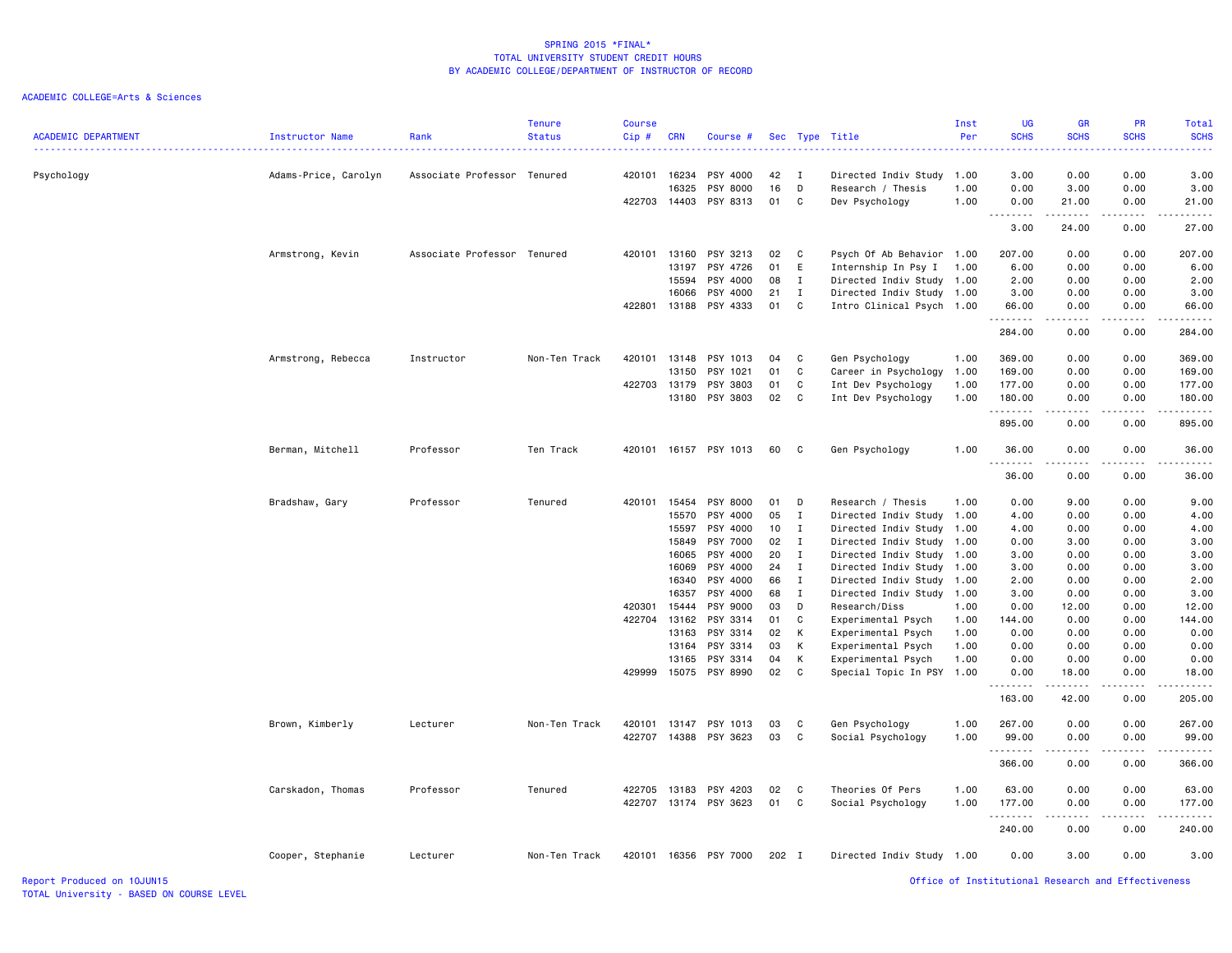| ACADEMIC DEPARTMENT        | <b>Instructor Name</b> | Rank                        | <b>Tenure</b><br><b>Status</b> | <b>Course</b><br>Cip# | <b>CRN</b> | Course #              |       |                | Sec Type Title            | Inst<br>Per | <b>UG</b><br><b>SCHS</b>                           | <b>GR</b><br><b>SCHS</b>                                                                                                          | PR<br><b>SCHS</b>   | Total<br><b>SCHS</b>                                                                                                                                                                      |
|----------------------------|------------------------|-----------------------------|--------------------------------|-----------------------|------------|-----------------------|-------|----------------|---------------------------|-------------|----------------------------------------------------|-----------------------------------------------------------------------------------------------------------------------------------|---------------------|-------------------------------------------------------------------------------------------------------------------------------------------------------------------------------------------|
| Psychology                 | Adams-Price, Carolyn   | Associate Professor Tenured |                                | 420101                | 16234      | PSY 4000              | 42    | $\blacksquare$ | Directed Indiv Study      | 1.00        | 3.00                                               | 0.00                                                                                                                              | 0.00                | 3.00                                                                                                                                                                                      |
|                            |                        |                             |                                |                       | 16325      | PSY 8000              | 16    | D              | Research / Thesis         | 1.00        | 0.00                                               | 3.00                                                                                                                              | 0.00                | 3.00                                                                                                                                                                                      |
|                            |                        |                             |                                | 422703                |            | 14403 PSY 8313        | 01 C  |                | Dev Psychology            | 1.00        | 0.00                                               | 21.00<br>.                                                                                                                        | 0.00<br>-----       | 21.00<br>.                                                                                                                                                                                |
|                            |                        |                             |                                |                       |            |                       |       |                |                           |             | 3.00                                               | 24.00                                                                                                                             | 0.00                | 27.00                                                                                                                                                                                     |
|                            | Armstrong, Kevin       | Associate Professor Tenured |                                | 420101                |            | 13160 PSY 3213        | 02 C  |                | Psych Of Ab Behavior 1.00 |             | 207.00                                             | 0.00                                                                                                                              | 0.00                | 207.00                                                                                                                                                                                    |
|                            |                        |                             |                                |                       | 13197      | PSY 4726              | 01    | E              | Internship In Psy I       | 1.00        | 6.00                                               | 0.00                                                                                                                              | 0.00                | 6.00                                                                                                                                                                                      |
|                            |                        |                             |                                |                       | 15594      | PSY 4000              | 08    | I              | Directed Indiv Study 1.00 |             | 2.00                                               | 0.00                                                                                                                              | 0.00                | 2.00                                                                                                                                                                                      |
|                            |                        |                             |                                |                       | 16066      | PSY 4000              | 21    | Ι.             | Directed Indiv Study      | 1.00        | 3.00                                               | 0.00                                                                                                                              | 0.00                | 3.00                                                                                                                                                                                      |
|                            |                        |                             |                                | 422801                |            | 13188 PSY 4333        | 01    | C              | Intro Clinical Psych 1.00 |             | 66.00                                              | 0.00                                                                                                                              | 0.00                | 66.00                                                                                                                                                                                     |
|                            |                        |                             |                                |                       |            |                       |       |                |                           |             | .<br>284.00                                        | .<br>0.00                                                                                                                         | 22222<br>0.00       | $\frac{1}{2} \left( \frac{1}{2} \right) \left( \frac{1}{2} \right) \left( \frac{1}{2} \right) \left( \frac{1}{2} \right) \left( \frac{1}{2} \right) \left( \frac{1}{2} \right)$<br>284.00 |
|                            | Armstrong, Rebecca     | Instructor                  | Non-Ten Track                  | 420101                |            | 13148 PSY 1013        | 04    | $\mathbf{C}$   | Gen Psychology            | 1.00        | 369.00                                             | 0.00                                                                                                                              | 0.00                | 369.00                                                                                                                                                                                    |
|                            |                        |                             |                                |                       | 13150      | PSY 1021              | 01    | C              | Career in Psychology      | 1.00        | 169.00                                             | 0.00                                                                                                                              | 0.00                | 169.00                                                                                                                                                                                    |
|                            |                        |                             |                                | 422703                | 13179      | PSY 3803              | 01    | C              | Int Dev Psychology        | 1.00        | 177.00                                             | 0.00                                                                                                                              | 0.00                | 177.00                                                                                                                                                                                    |
|                            |                        |                             |                                |                       |            | 13180 PSY 3803        | 02 C  |                | Int Dev Psychology        | 1.00        | 180.00                                             | 0.00                                                                                                                              | 0.00                | 180.00                                                                                                                                                                                    |
|                            |                        |                             |                                |                       |            |                       |       |                |                           |             | .                                                  | .                                                                                                                                 | -----               | .                                                                                                                                                                                         |
|                            |                        |                             |                                |                       |            |                       |       |                |                           |             | 895.00                                             | 0.00                                                                                                                              | 0.00                | 895.00                                                                                                                                                                                    |
|                            | Berman, Mitchell       | Professor                   | Ten Track                      | 420101                |            | 16157 PSY 1013        | 60    | $\mathbf{C}$   | Gen Psychology            | 1.00        | 36.00<br><u>.</u>                                  | 0.00<br>.                                                                                                                         | 0.00<br>$- - - - -$ | 36.00<br>.                                                                                                                                                                                |
|                            |                        |                             |                                |                       |            |                       |       |                |                           |             | 36.00                                              | 0.00                                                                                                                              | 0.00                | 36.00                                                                                                                                                                                     |
|                            | Bradshaw, Gary         | Professor                   | Tenured                        | 420101                |            | 15454 PSY 8000        | 01    | $\Box$         | Research / Thesis         | 1.00        | 0.00                                               | 9.00                                                                                                                              | 0.00                | 9.00                                                                                                                                                                                      |
|                            |                        |                             |                                |                       | 15570      | PSY 4000              | 05    | I              | Directed Indiv Study      | 1.00        | 4.00                                               | 0.00                                                                                                                              | 0.00                | 4.00                                                                                                                                                                                      |
|                            |                        |                             |                                |                       | 15597      | PSY 4000              | 10    | I              | Directed Indiv Study      | 1.00        | 4.00                                               | 0.00                                                                                                                              | 0.00                | 4.00                                                                                                                                                                                      |
|                            |                        |                             |                                |                       | 15849      | PSY 7000              | 02    | $\mathbf I$    | Directed Indiv Study      | 1.00        | 0.00                                               | 3.00                                                                                                                              | 0.00                | 3.00                                                                                                                                                                                      |
|                            |                        |                             |                                |                       | 16065      | PSY 4000              | 20    | $\mathbf{I}$   | Directed Indiv Study      | 1.00        | 3.00                                               | 0.00                                                                                                                              | 0.00                | 3.00                                                                                                                                                                                      |
|                            |                        |                             |                                |                       | 16069      | PSY 4000              | 24    | $\mathbf I$    | Directed Indiv Study      | 1.00        | 3.00                                               | 0.00                                                                                                                              | 0.00                | 3.00                                                                                                                                                                                      |
|                            |                        |                             |                                |                       | 16340      | PSY 4000              | 66    | $\mathbf{I}$   | Directed Indiv Study      | 1.00        | 2.00                                               | 0.00                                                                                                                              | 0.00                | 2.00                                                                                                                                                                                      |
|                            |                        |                             |                                |                       | 16357      | PSY 4000              | 68    | $\mathbf I$    | Directed Indiv Study      | 1.00        | 3.00                                               | 0.00                                                                                                                              | 0.00                | 3.00                                                                                                                                                                                      |
|                            |                        |                             |                                | 420301                | 15444      | PSY 9000              | 03    | D              | Research/Diss             | 1.00        | 0.00                                               | 12.00                                                                                                                             | 0.00                | 12.00                                                                                                                                                                                     |
|                            |                        |                             |                                | 422704                |            | 13162 PSY 3314        | 01    | C              | Experimental Psych        | 1.00        | 144.00                                             | 0.00                                                                                                                              | 0.00                | 144.00                                                                                                                                                                                    |
|                            |                        |                             |                                |                       | 13163      | PSY 3314              | 02    | К              | Experimental Psych        | 1.00        | 0.00                                               | 0.00                                                                                                                              | 0.00                | 0.00                                                                                                                                                                                      |
|                            |                        |                             |                                |                       | 13164      | PSY 3314              | 03    | К              | Experimental Psych        | 1.00        | 0.00                                               | 0.00                                                                                                                              | 0.00                | 0.00                                                                                                                                                                                      |
|                            |                        |                             |                                |                       | 13165      | PSY 3314              | 04    | К              | Experimental Psych        | 1.00        | 0.00                                               | 0.00                                                                                                                              | 0.00                | 0.00                                                                                                                                                                                      |
|                            |                        |                             |                                | 429999                |            | 15075 PSY 8990        | 02    | $\mathbf{C}$   | Special Topic In PSY 1.00 |             | 0.00<br>.                                          | 18.00<br>.                                                                                                                        | 0.00<br>.           | 18.00                                                                                                                                                                                     |
|                            |                        |                             |                                |                       |            |                       |       |                |                           |             | 163.00                                             | 42.00                                                                                                                             | 0.00                | 205.00                                                                                                                                                                                    |
|                            | Brown, Kimberly        | Lecturer                    | Non-Ten Track                  | 420101                |            | 13147 PSY 1013        | 03    | $\mathbf{C}$   | Gen Psychology            | 1.00        | 267.00                                             | 0.00                                                                                                                              | 0.00                | 267.00                                                                                                                                                                                    |
|                            |                        |                             |                                |                       |            | 422707 14388 PSY 3623 | 03    | $\mathbf{C}$   | Social Psychology         | 1.00        | 99.00                                              | 0.00                                                                                                                              | 0.00                | 99.00                                                                                                                                                                                     |
|                            |                        |                             |                                |                       |            |                       |       |                |                           |             | .<br>366.00                                        | $\sim$ $\sim$ $\sim$<br>0.00                                                                                                      | .<br>0.00           | 366.00                                                                                                                                                                                    |
|                            | Carskadon, Thomas      | Professor                   | Tenured                        | 422705                |            | 13183 PSY 4203        | 02 C  |                | Theories Of Pers          | 1.00        | 63.00                                              | 0.00                                                                                                                              | 0.00                | 63.00                                                                                                                                                                                     |
|                            |                        |                             |                                | 422707                |            | 13174 PSY 3623        | 01    | $\mathbf{C}$   | Social Psychology         | 1.00        | 177.00                                             | 0.00                                                                                                                              | 0.00                | 177.00                                                                                                                                                                                    |
|                            |                        |                             |                                |                       |            |                       |       |                |                           |             | <u>.</u><br>240.00                                 | $\frac{1}{2} \left( \frac{1}{2} \right) \left( \frac{1}{2} \right) \left( \frac{1}{2} \right) \left( \frac{1}{2} \right)$<br>0.00 | .<br>0.00           | .<br>240.00                                                                                                                                                                               |
|                            | Cooper, Stephanie      | Lecturer                    | Non-Ten Track                  | 420101                |            | 16356 PSY 7000        | 202 I |                | Directed Indiv Study 1.00 |             | 0.00                                               | 3.00                                                                                                                              | 0.00                | 3.00                                                                                                                                                                                      |
| Report Produced on 10JUN15 |                        |                             |                                |                       |            |                       |       |                |                           |             | Office of Institutional Research and Effectiveness |                                                                                                                                   |                     |                                                                                                                                                                                           |
|                            |                        |                             |                                |                       |            |                       |       |                |                           |             |                                                    |                                                                                                                                   |                     |                                                                                                                                                                                           |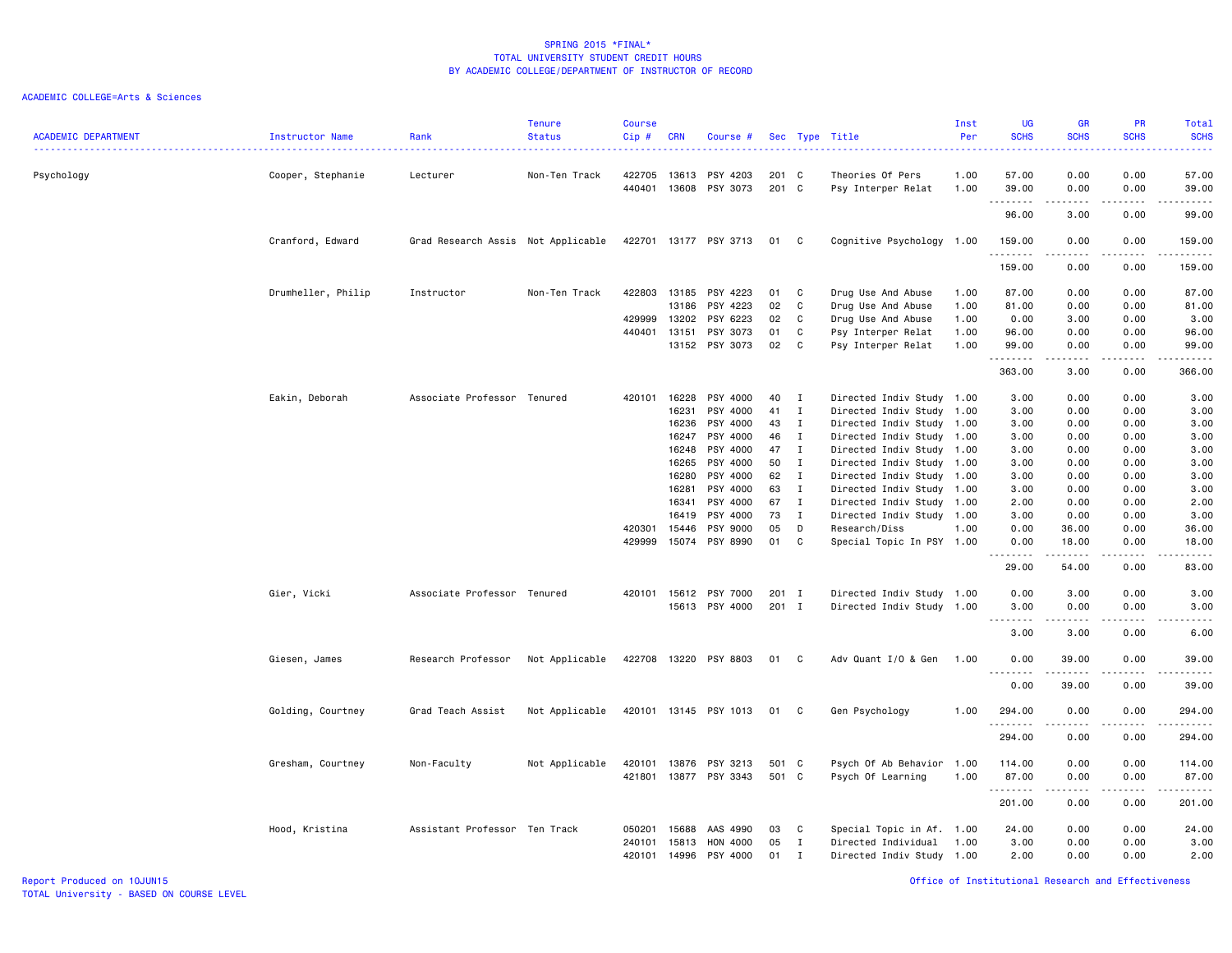# ACADEMIC COLLEGE=Arts & Sciences

| <b>ACADEMIC DEPARTMENT</b> | Instructor Name    | Rank                               | <b>Tenure</b><br><b>Status</b> | <b>Course</b><br>Cip# | <b>CRN</b>     | Course #                    |                |                   | Sec Type Title                                   | Inst<br>Per  | <b>UG</b><br><b>SCHS</b> | <b>GR</b><br><b>SCHS</b>                                                                                                          | <b>PR</b><br><b>SCHS</b> | <b>Total</b><br><b>SCHS</b><br>$\frac{1}{2} \left( \frac{1}{2} \right) \left( \frac{1}{2} \right) \left( \frac{1}{2} \right) \left( \frac{1}{2} \right)$ |
|----------------------------|--------------------|------------------------------------|--------------------------------|-----------------------|----------------|-----------------------------|----------------|-------------------|--------------------------------------------------|--------------|--------------------------|-----------------------------------------------------------------------------------------------------------------------------------|--------------------------|----------------------------------------------------------------------------------------------------------------------------------------------------------|
| Psychology                 | Cooper, Stephanie  | Lecturer                           | Non-Ten Track                  | 422705<br>440401      | 13613          | PSY 4203<br>13608 PSY 3073  | 201 C<br>201 C |                   | Theories Of Pers<br>Psy Interper Relat           | 1.00<br>1.00 | 57.00<br>39.00           | 0.00<br>0.00                                                                                                                      | 0.00<br>0.00             | 57.00<br>39.00                                                                                                                                           |
|                            |                    |                                    |                                |                       |                |                             |                |                   |                                                  |              | .<br>96.00               | $\frac{1}{2} \left( \frac{1}{2} \right) \left( \frac{1}{2} \right) \left( \frac{1}{2} \right) \left( \frac{1}{2} \right)$<br>3.00 | $-$ - $-$ -<br>0.00      | $\sim$ $\sim$ $\sim$ $\sim$<br>99.00                                                                                                                     |
|                            | Cranford, Edward   | Grad Research Assis Not Applicable |                                |                       |                | 422701 13177 PSY 3713       | 01             | C                 | Cognitive Psychology                             | 1.00         | 159.00                   | 0.00                                                                                                                              | 0.00                     | 159.00                                                                                                                                                   |
|                            |                    |                                    |                                |                       |                |                             |                |                   |                                                  |              | .<br>159.00              | $- - - - -$<br>0.00                                                                                                               | .<br>0.00                | 159.00                                                                                                                                                   |
|                            | Drumheller, Philip | Instructor                         | Non-Ten Track                  | 422803                | 13185          | PSY 4223                    | 01             | C                 | Drug Use And Abuse                               | 1.00         | 87.00                    | 0.00                                                                                                                              | 0.00                     | 87.00                                                                                                                                                    |
|                            |                    |                                    |                                |                       | 13186          | PSY 4223                    | 02             | C                 | Drug Use And Abuse                               | 1.00         | 81.00                    | 0.00                                                                                                                              | 0.00                     | 81.00                                                                                                                                                    |
|                            |                    |                                    |                                | 429999                | 13202          | PSY 6223                    | 02             | C                 | Drug Use And Abuse                               | 1.00         | 0.00                     | 3.00                                                                                                                              | 0.00                     | 3.00                                                                                                                                                     |
|                            |                    |                                    |                                | 440401                | 13151          | PSY 3073                    | 01             | C                 | Psy Interper Relat                               | 1.00         | 96.00                    | 0.00                                                                                                                              | 0.00                     | 96.00                                                                                                                                                    |
|                            |                    |                                    |                                |                       |                | 13152 PSY 3073              | 02             | C                 | Psy Interper Relat                               | 1.00         | 99.00<br>.               | 0.00<br>.                                                                                                                         | 0.00<br>.                | 99.00<br>.                                                                                                                                               |
|                            |                    |                                    |                                |                       |                |                             |                |                   |                                                  |              | 363.00                   | 3.00                                                                                                                              | 0.00                     | 366.00                                                                                                                                                   |
|                            | Eakin, Deborah     | Associate Professor Tenured        |                                | 420101                | 16228          | PSY 4000                    | 40             | $\mathbf{I}$      | Directed Indiv Study 1.00                        |              | 3.00                     | 0.00                                                                                                                              | 0.00                     | 3.00                                                                                                                                                     |
|                            |                    |                                    |                                |                       | 16231          | PSY 4000                    | 41             | $\mathbf{I}$      | Directed Indiv Study 1.00                        |              | 3.00                     | 0.00                                                                                                                              | 0.00                     | 3.00                                                                                                                                                     |
|                            |                    |                                    |                                |                       | 16236          | PSY 4000                    | 43             | $\mathbf{I}$      | Directed Indiv Study                             | 1.00         | 3.00                     | 0.00                                                                                                                              | 0.00                     | 3.00                                                                                                                                                     |
|                            |                    |                                    |                                |                       | 16247          | PSY 4000                    | 46             | $\mathbf{I}$      | Directed Indiv Study 1.00                        |              | 3.00                     | 0.00                                                                                                                              | 0.00                     | 3.00                                                                                                                                                     |
|                            |                    |                                    |                                |                       | 16248          | PSY 4000                    | 47             | $\bf{I}$          |                                                  |              | 3.00                     | 0.00                                                                                                                              | 0.00                     | 3.00                                                                                                                                                     |
|                            |                    |                                    |                                |                       | 16265          | PSY 4000                    | 50             | $\mathbf{I}$      | Directed Indiv Study 1.00                        |              | 3.00                     | 0.00                                                                                                                              | 0.00                     | 3.00                                                                                                                                                     |
|                            |                    |                                    |                                |                       |                |                             |                |                   | Directed Indiv Study 1.00                        |              |                          |                                                                                                                                   |                          |                                                                                                                                                          |
|                            |                    |                                    |                                |                       | 16280          | PSY 4000                    | 62             | $\mathbf{I}$      | Directed Indiv Study 1.00                        |              | 3.00                     | 0.00                                                                                                                              | 0.00                     | 3.00                                                                                                                                                     |
|                            |                    |                                    |                                |                       | 16281          | PSY 4000                    | 63             | $\mathbf{I}$      | Directed Indiv Study 1.00                        |              | 3.00                     | 0.00                                                                                                                              | 0.00                     | 3.00                                                                                                                                                     |
|                            |                    |                                    |                                |                       | 16341          | PSY 4000                    | 67             | $\mathbf{I}$      | Directed Indiv Study                             | 1.00         | 2.00                     | 0.00                                                                                                                              | 0.00                     | 2.00                                                                                                                                                     |
|                            |                    |                                    |                                |                       | 16419          | PSY 4000                    | 73             | $\mathbf{I}$      | Directed Indiv Study                             | 1.00         | 3.00                     | 0.00                                                                                                                              | 0.00                     | 3.00                                                                                                                                                     |
|                            |                    |                                    |                                | 420301                | 15446          | PSY 9000                    | 05             | D                 | Research/Diss                                    | 1.00         | 0.00                     | 36.00                                                                                                                             | 0.00                     | 36.00                                                                                                                                                    |
|                            |                    |                                    |                                | 429999                |                | 15074 PSY 8990              | 01             | C                 | Special Topic In PSY 1.00                        |              | 0.00<br>-----            | 18.00<br>.                                                                                                                        | 0.00<br>.                | 18.00<br>.                                                                                                                                               |
|                            |                    |                                    |                                |                       |                |                             |                |                   |                                                  |              | 29.00                    | 54.00                                                                                                                             | 0.00                     | 83.00                                                                                                                                                    |
|                            | Gier, Vicki        | Associate Professor Tenured        |                                | 420101                |                | 15612 PSY 7000              | $201$ I        |                   | Directed Indiv Study 1.00                        |              | 0.00                     | 3.00                                                                                                                              | 0.00                     | 3.00                                                                                                                                                     |
|                            |                    |                                    |                                |                       |                | 15613 PSY 4000              | 201 I          |                   | Directed Indiv Study 1.00                        |              | 3.00                     | 0.00                                                                                                                              | 0.00                     | 3.00                                                                                                                                                     |
|                            |                    |                                    |                                |                       |                |                             |                |                   |                                                  |              |                          | .                                                                                                                                 | .                        | $\cdots$                                                                                                                                                 |
|                            |                    |                                    |                                |                       |                |                             |                |                   |                                                  |              | 3.00                     | 3.00                                                                                                                              | 0.00                     | 6.00                                                                                                                                                     |
|                            | Giesen, James      | Research Professor                 | Not Applicable                 |                       |                | 422708 13220 PSY 8803       | 01             | C                 | Adv Quant I/O & Gen                              | 1.00         | 0.00<br>.                | 39.00<br>.                                                                                                                        | 0.00                     | 39.00<br>.                                                                                                                                               |
|                            |                    |                                    |                                |                       |                |                             |                |                   |                                                  |              | 0.00                     | 39.00                                                                                                                             | 0.00                     | 39.00                                                                                                                                                    |
|                            | Golding, Courtney  | Grad Teach Assist                  | Not Applicable                 |                       |                | 420101 13145 PSY 1013       | 01             | C                 | Gen Psychology                                   | 1.00         | 294.00<br>.              | 0.00<br>.                                                                                                                         | 0.00<br>$-$ - $-$ -      | 294.00<br>.                                                                                                                                              |
|                            |                    |                                    |                                |                       |                |                             |                |                   |                                                  |              | 294.00                   | 0.00                                                                                                                              | 0.00                     | 294.00                                                                                                                                                   |
|                            | Gresham, Courtney  | Non-Faculty                        | Not Applicable                 | 420101                | 13876          | PSY 3213                    | 501 C          |                   | Psych Of Ab Behavior 1.00                        |              | 114.00                   | 0.00                                                                                                                              | 0.00                     | 114.00                                                                                                                                                   |
|                            |                    |                                    |                                | 421801                | 13877          | PSY 3343                    | 501 C          |                   | Psych Of Learning                                | 1.00         | 87.00                    | 0.00                                                                                                                              | 0.00                     | 87.00                                                                                                                                                    |
|                            |                    |                                    |                                |                       |                |                             |                |                   |                                                  |              | 201.00                   | 0.00                                                                                                                              | 0.00                     | 201.00                                                                                                                                                   |
|                            |                    |                                    |                                |                       |                |                             |                |                   |                                                  |              |                          |                                                                                                                                   |                          |                                                                                                                                                          |
|                            | Hood, Kristina     | Assistant Professor Ten Track      |                                | 050201                | 15688          | AAS 4990                    | 03<br>05       | C                 | Special Topic in Af.                             | 1.00         | 24.00                    | 0.00                                                                                                                              | 0.00                     | 24.00                                                                                                                                                    |
|                            |                    |                                    |                                | 240101<br>420101      | 15813<br>14996 | <b>HON 4000</b><br>PSY 4000 | 01             | Ι<br>$\mathbf{I}$ | Directed Individual<br>Directed Indiv Study 1.00 | 1.00         | 3.00<br>2.00             | 0.00<br>0.00                                                                                                                      | 0.00<br>0.00             | 3.00<br>2.00                                                                                                                                             |

Report Produced on 10JUN15 Office of Institutional Research and Effectiveness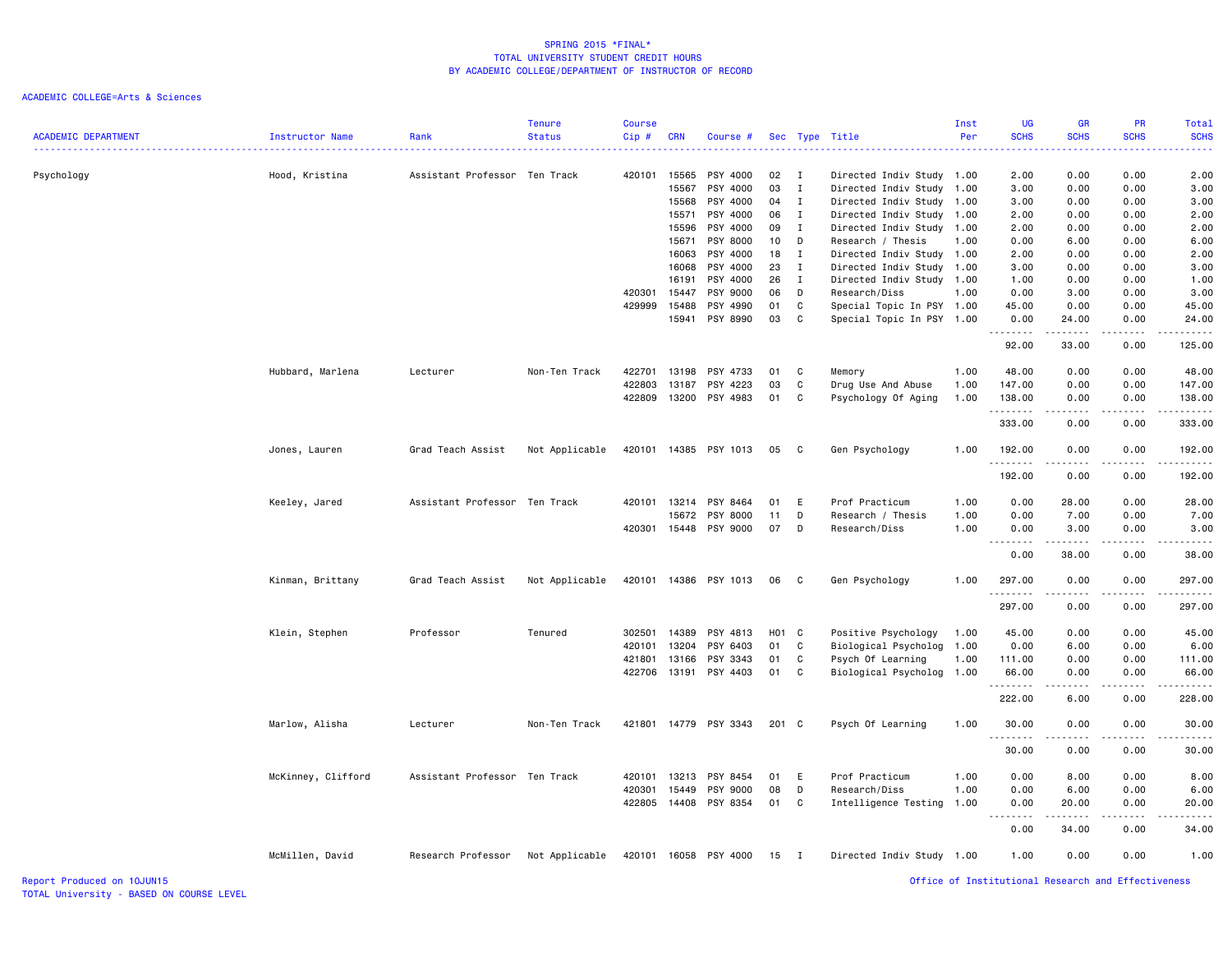| <b>ACADEMIC DEPARTMENT</b> | Instructor Name    | Rank                          | <b>Tenure</b><br><b>Status</b> | Course<br>Cip# | <b>CRN</b> | Course #              |                 |                | Sec Type Title            | Inst<br>Per | <b>UG</b><br><b>SCHS</b>                           | <b>GR</b><br><b>SCHS</b>                                                                                                                                      | PR<br><b>SCHS</b> | Total<br><b>SCHS</b>                                                                                                                                                                                                                                                                                                                         |
|----------------------------|--------------------|-------------------------------|--------------------------------|----------------|------------|-----------------------|-----------------|----------------|---------------------------|-------------|----------------------------------------------------|---------------------------------------------------------------------------------------------------------------------------------------------------------------|-------------------|----------------------------------------------------------------------------------------------------------------------------------------------------------------------------------------------------------------------------------------------------------------------------------------------------------------------------------------------|
| Psychology                 | Hood, Kristina     | Assistant Professor Ten Track |                                | 420101         | 15565      | PSY 4000              | 02              | $\blacksquare$ | Directed Indiv Study      | 1.00        | 2.00                                               | 0.00                                                                                                                                                          | 0.00              | 2.00                                                                                                                                                                                                                                                                                                                                         |
|                            |                    |                               |                                |                | 15567      | PSY 4000              | 03              | I              | Directed Indiv Study      | 1.00        | 3.00                                               | 0.00                                                                                                                                                          | 0.00              | 3.00                                                                                                                                                                                                                                                                                                                                         |
|                            |                    |                               |                                |                | 15568      | PSY 4000              | 04              | I              | Directed Indiv Study      | 1.00        | 3.00                                               | 0.00                                                                                                                                                          | 0.00              | 3.00                                                                                                                                                                                                                                                                                                                                         |
|                            |                    |                               |                                |                | 15571      | PSY 4000              | 06              | $\mathbf{I}$   | Directed Indiv Study      | 1.00        | 2.00                                               | 0.00                                                                                                                                                          | 0.00              | 2.00                                                                                                                                                                                                                                                                                                                                         |
|                            |                    |                               |                                |                | 15596      | PSY 4000              | 09              | I              | Directed Indiv Study      | 1.00        | 2.00                                               | 0.00                                                                                                                                                          | 0.00              | 2.00                                                                                                                                                                                                                                                                                                                                         |
|                            |                    |                               |                                |                | 15671      | PSY 8000              | 10 <sup>1</sup> | D              | Research / Thesis         | 1.00        | 0.00                                               | 6.00                                                                                                                                                          | 0.00              | 6.00                                                                                                                                                                                                                                                                                                                                         |
|                            |                    |                               |                                |                | 16063      | PSY 4000              | 18 I            |                | Directed Indiv Study      | 1.00        | 2.00                                               | 0.00                                                                                                                                                          | 0.00              | 2.00                                                                                                                                                                                                                                                                                                                                         |
|                            |                    |                               |                                |                | 16068      | PSY 4000              | 23              | $\mathbf{I}$   | Directed Indiv Study      | 1.00        | 3.00                                               | 0.00                                                                                                                                                          | 0.00              | 3.00                                                                                                                                                                                                                                                                                                                                         |
|                            |                    |                               |                                |                | 16191      | PSY 4000              | 26              | $\blacksquare$ | Directed Indiv Study      | 1.00        | 1.00                                               | 0.00                                                                                                                                                          | 0.00              | 1.00                                                                                                                                                                                                                                                                                                                                         |
|                            |                    |                               |                                | 420301         | 15447      | PSY 9000              | 06              | D              | Research/Diss             | 1.00        | 0.00                                               | 3.00                                                                                                                                                          | 0.00              | 3.00                                                                                                                                                                                                                                                                                                                                         |
|                            |                    |                               |                                | 429999         | 15488      | PSY 4990              | 01              | C              | Special Topic In PSY 1.00 |             | 45.00                                              | 0.00                                                                                                                                                          | 0.00              | 45.00                                                                                                                                                                                                                                                                                                                                        |
|                            |                    |                               |                                |                | 15941      | PSY 8990              | 03              | C              | Special Topic In PSY      | 1.00        | 0.00                                               | 24.00                                                                                                                                                         | 0.00              | 24.00                                                                                                                                                                                                                                                                                                                                        |
|                            |                    |                               |                                |                |            |                       |                 |                |                           |             | $- - - - -$<br>92.00                               | $\frac{1}{2} \left( \frac{1}{2} \right) \left( \frac{1}{2} \right) \left( \frac{1}{2} \right) \left( \frac{1}{2} \right) \left( \frac{1}{2} \right)$<br>33.00 | .<br>0.00         | $\frac{1}{2} \left( \frac{1}{2} \right) \left( \frac{1}{2} \right) \left( \frac{1}{2} \right) \left( \frac{1}{2} \right)$<br>125.00                                                                                                                                                                                                          |
|                            | Hubbard, Marlena   | Lecturer                      | Non-Ten Track                  | 422701         | 13198      | PSY 4733              | 01              | C.             | Memory                    | 1.00        | 48.00                                              | 0.00                                                                                                                                                          | 0.00              | 48.00                                                                                                                                                                                                                                                                                                                                        |
|                            |                    |                               |                                | 422803         | 13187      | PSY 4223              | 03              | C              | Drug Use And Abuse        | 1.00        | 147.00                                             | 0.00                                                                                                                                                          | 0.00              | 147.00                                                                                                                                                                                                                                                                                                                                       |
|                            |                    |                               |                                | 422809         |            | 13200 PSY 4983        | 01              | C              | Psychology Of Aging       | 1.00        | 138.00                                             | 0.00                                                                                                                                                          | 0.00              | 138.00                                                                                                                                                                                                                                                                                                                                       |
|                            |                    |                               |                                |                |            |                       |                 |                |                           |             | .<br>333.00                                        | -----<br>0.00                                                                                                                                                 | -----<br>0.00     | $\frac{1}{2} \left( \begin{array}{ccc} 1 & 0 & 0 & 0 & 0 \\ 0 & 0 & 0 & 0 & 0 \\ 0 & 0 & 0 & 0 & 0 \\ 0 & 0 & 0 & 0 & 0 \\ 0 & 0 & 0 & 0 & 0 \\ 0 & 0 & 0 & 0 & 0 \\ 0 & 0 & 0 & 0 & 0 \\ 0 & 0 & 0 & 0 & 0 \\ 0 & 0 & 0 & 0 & 0 \\ 0 & 0 & 0 & 0 & 0 \\ 0 & 0 & 0 & 0 & 0 \\ 0 & 0 & 0 & 0 & 0 \\ 0 & 0 & 0 & 0 & 0 \\ 0 & 0 & 0$<br>333.00 |
|                            | Jones, Lauren      | Grad Teach Assist             | Not Applicable                 |                |            | 420101 14385 PSY 1013 | 05 C            |                | Gen Psychology            | 1.00        | 192.00<br>.                                        | 0.00<br>.                                                                                                                                                     | 0.00<br>-----     | 192.00<br>$\begin{array}{cccccccccc} \bullet & \bullet & \bullet & \bullet & \bullet & \bullet & \bullet \end{array}$                                                                                                                                                                                                                        |
|                            |                    |                               |                                |                |            |                       |                 |                |                           |             | 192.00                                             | 0.00                                                                                                                                                          | 0.00              | 192.00                                                                                                                                                                                                                                                                                                                                       |
|                            | Keeley, Jared      | Assistant Professor Ten Track |                                | 420101         | 13214      | PSY 8464              | 01              | E              | Prof Practicum            | 1.00        | 0.00                                               | 28.00                                                                                                                                                         | 0.00              | 28.00                                                                                                                                                                                                                                                                                                                                        |
|                            |                    |                               |                                |                | 15672      | PSY 8000              | 11              | D              | Research / Thesis         | 1.00        | 0.00                                               | 7.00                                                                                                                                                          | 0.00              | 7.00                                                                                                                                                                                                                                                                                                                                         |
|                            |                    |                               |                                | 420301         |            | 15448 PSY 9000        | 07              | D              | Research/Diss             | 1.00        | 0.00                                               | 3.00                                                                                                                                                          | 0.00              | 3.00                                                                                                                                                                                                                                                                                                                                         |
|                            |                    |                               |                                |                |            |                       |                 |                |                           |             | .<br>0.00                                          | 38.00                                                                                                                                                         | 0.00              | $\sim 100$ and $\sim 100$<br>38.00                                                                                                                                                                                                                                                                                                           |
|                            | Kinman, Brittany   | Grad Teach Assist             | Not Applicable                 |                |            | 420101 14386 PSY 1013 | 06              | $\mathbf{C}$   | Gen Psychology            | 1.00        | 297.00<br>.                                        | 0.00<br>.                                                                                                                                                     | 0.00              | 297.00<br>$\frac{1}{2} \left( \frac{1}{2} \right) \left( \frac{1}{2} \right) \left( \frac{1}{2} \right) \left( \frac{1}{2} \right) \left( \frac{1}{2} \right)$                                                                                                                                                                               |
|                            |                    |                               |                                |                |            |                       |                 |                |                           |             | 297.00                                             | 0.00                                                                                                                                                          | 0.00              | 297.00                                                                                                                                                                                                                                                                                                                                       |
|                            | Klein, Stephen     | Professor                     | Tenured                        | 302501         | 14389      | PSY 4813              | H01 C           |                | Positive Psychology       | 1.00        | 45.00                                              | 0.00                                                                                                                                                          | 0.00              | 45.00                                                                                                                                                                                                                                                                                                                                        |
|                            |                    |                               |                                | 420101         | 13204      | PSY 6403              | 01              | $\mathbf{C}$   | Biological Psycholog      | 1.00        | 0.00                                               | 6.00                                                                                                                                                          | 0.00              | 6.00                                                                                                                                                                                                                                                                                                                                         |
|                            |                    |                               |                                | 421801         | 13166      | PSY 3343              | 01              | C              | Psych Of Learning         | 1.00        | 111.00                                             | 0.00                                                                                                                                                          | 0.00              | 111.00                                                                                                                                                                                                                                                                                                                                       |
|                            |                    |                               |                                | 422706         | 13191      | PSY 4403              | 01              | C              | Biological Psycholog      | 1.00        | 66.00<br><u>.</u>                                  | 0.00<br>$\sim$ $\sim$ $\sim$ $\sim$                                                                                                                           | 0.00              | 66.00                                                                                                                                                                                                                                                                                                                                        |
|                            |                    |                               |                                |                |            |                       |                 |                |                           |             | 222.00                                             | 6.00                                                                                                                                                          | 0.00              | 228.00                                                                                                                                                                                                                                                                                                                                       |
|                            | Marlow, Alisha     | Lecturer                      | Non-Ten Track                  | 421801         |            | 14779 PSY 3343        | 201 C           |                | Psych Of Learning         | 1.00        | 30.00<br>.                                         | 0.00<br>د د د د                                                                                                                                               | 0.00              | 30.00                                                                                                                                                                                                                                                                                                                                        |
|                            |                    |                               |                                |                |            |                       |                 |                |                           |             | 30.00                                              | 0.00                                                                                                                                                          | 0.00              | 30.00                                                                                                                                                                                                                                                                                                                                        |
|                            | McKinney, Clifford | Assistant Professor Ten Track |                                | 420101         | 13213      | PSY 8454              | 01              | E              | Prof Practicum            | 1.00        | 0.00                                               | 8.00                                                                                                                                                          | 0.00              | 8.00                                                                                                                                                                                                                                                                                                                                         |
|                            |                    |                               |                                | 420301         | 15449      | PSY 9000              | 08              | D              | Research/Diss             | 1.00        | 0.00                                               | 6.00                                                                                                                                                          | 0.00              | 6.00                                                                                                                                                                                                                                                                                                                                         |
|                            |                    |                               |                                | 422805         | 14408      | PSY 8354              | 01              | C              | Intelligence Testing      | 1.00        | 0.00<br>.                                          | 20.00<br>.                                                                                                                                                    | 0.00<br>.         | 20.00<br>.                                                                                                                                                                                                                                                                                                                                   |
|                            |                    |                               |                                |                |            |                       |                 |                |                           |             | 0.00                                               | 34.00                                                                                                                                                         | 0.00              | 34.00                                                                                                                                                                                                                                                                                                                                        |
|                            | McMillen, David    | Research Professor            | Not Applicable                 | 420101         | 16058      | PSY 4000              | 15              | $\mathbf{I}$   | Directed Indiv Study 1.00 |             | 1.00                                               | 0.00                                                                                                                                                          | 0.00              | 1.00                                                                                                                                                                                                                                                                                                                                         |
| Report Produced on 10JUN15 |                    |                               |                                |                |            |                       |                 |                |                           |             | Office of Institutional Research and Effectiveness |                                                                                                                                                               |                   |                                                                                                                                                                                                                                                                                                                                              |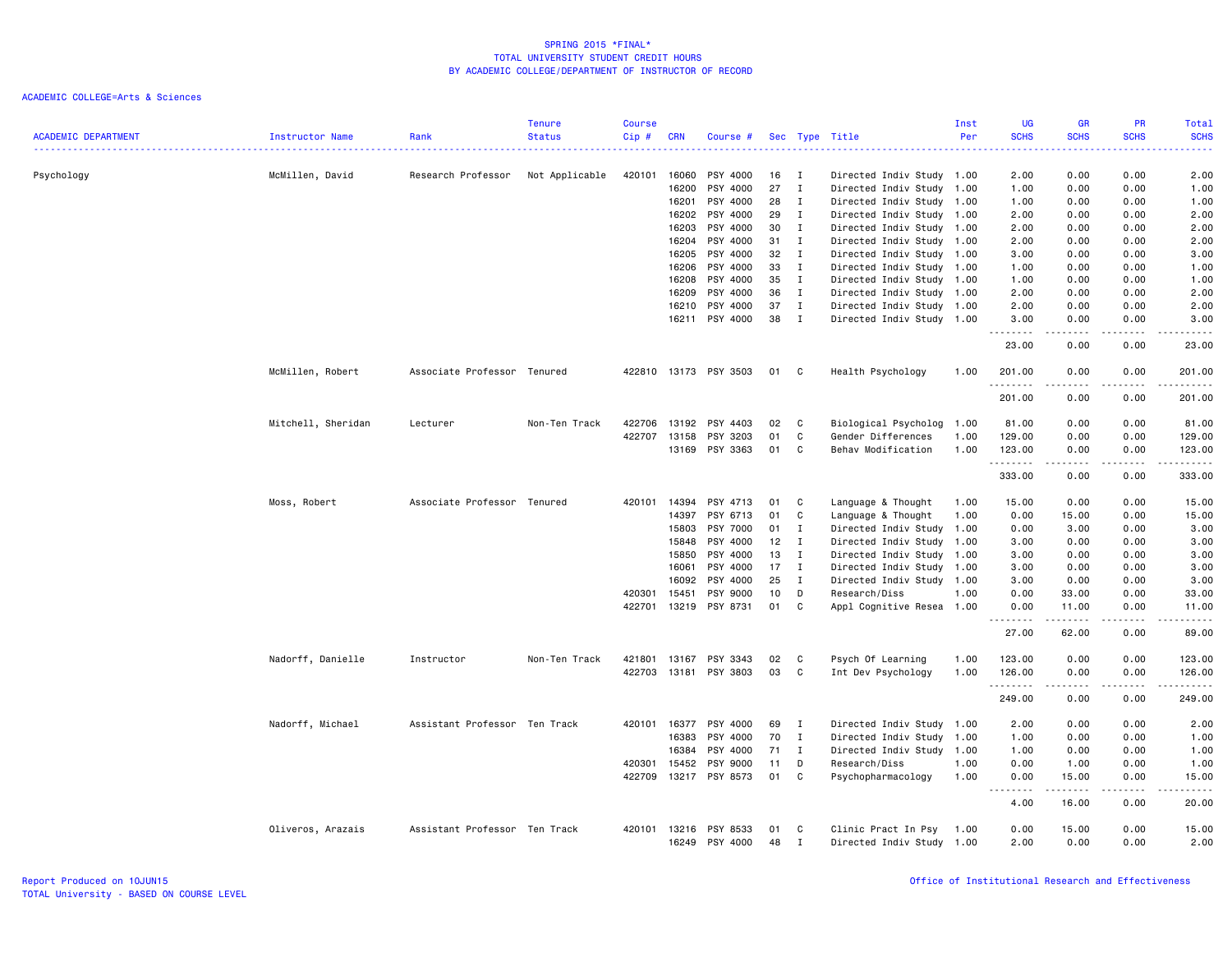| <b>ACADEMIC DEPARTMENT</b> | Instructor Name    | Rank                          | <b>Tenure</b><br><b>Status</b> | <b>Course</b><br>Cip# | <b>CRN</b> | Course #              |    |              | Sec Type Title            | Inst<br>Per | <b>UG</b><br><b>SCHS</b><br>$\sim$ $\sim$ $\sim$ $\sim$ $\sim$ | <b>GR</b><br><b>SCHS</b>                                                                                                                             | PR<br><b>SCHS</b>            | Total<br><b>SCHS</b><br>2222.                                                                                                                                                                                                                                                                                                                                                                                                                                                                    |
|----------------------------|--------------------|-------------------------------|--------------------------------|-----------------------|------------|-----------------------|----|--------------|---------------------------|-------------|----------------------------------------------------------------|------------------------------------------------------------------------------------------------------------------------------------------------------|------------------------------|--------------------------------------------------------------------------------------------------------------------------------------------------------------------------------------------------------------------------------------------------------------------------------------------------------------------------------------------------------------------------------------------------------------------------------------------------------------------------------------------------|
| Psychology                 | McMillen, David    | Research Professor            | Not Applicable                 | 420101                | 16060      | PSY 4000              | 16 | I            | Directed Indiv Study 1.00 |             | 2.00                                                           | 0.00                                                                                                                                                 | 0.00                         | 2.00                                                                                                                                                                                                                                                                                                                                                                                                                                                                                             |
|                            |                    |                               |                                |                       | 16200      | PSY 4000              | 27 | $\mathbf{I}$ | Directed Indiv Study 1.00 |             | 1.00                                                           | 0.00                                                                                                                                                 | 0.00                         | 1.00                                                                                                                                                                                                                                                                                                                                                                                                                                                                                             |
|                            |                    |                               |                                |                       | 16201      | PSY 4000              | 28 | $\mathbf{I}$ | Directed Indiv Study 1.00 |             | 1.00                                                           | 0.00                                                                                                                                                 | 0.00                         | 1.00                                                                                                                                                                                                                                                                                                                                                                                                                                                                                             |
|                            |                    |                               |                                |                       | 16202      | PSY 4000              | 29 | I            | Directed Indiv Study 1.00 |             | 2.00                                                           | 0.00                                                                                                                                                 | 0.00                         | 2.00                                                                                                                                                                                                                                                                                                                                                                                                                                                                                             |
|                            |                    |                               |                                |                       | 16203      | PSY 4000              | 30 | $\mathbf{I}$ | Directed Indiv Study 1.00 |             | 2.00                                                           | 0.00                                                                                                                                                 | 0.00                         | 2.00                                                                                                                                                                                                                                                                                                                                                                                                                                                                                             |
|                            |                    |                               |                                |                       | 16204      | PSY 4000              | 31 | $\mathbf{I}$ | Directed Indiv Study 1.00 |             | 2.00                                                           | 0.00                                                                                                                                                 | 0.00                         | 2.00                                                                                                                                                                                                                                                                                                                                                                                                                                                                                             |
|                            |                    |                               |                                |                       | 16205      | PSY 4000              | 32 | I            | Directed Indiv Study 1.00 |             | 3.00                                                           | 0.00                                                                                                                                                 | 0.00                         | 3.00                                                                                                                                                                                                                                                                                                                                                                                                                                                                                             |
|                            |                    |                               |                                |                       | 16206      | PSY 4000              | 33 | $\mathbf{I}$ | Directed Indiv Study 1.00 |             | 1.00                                                           | 0.00                                                                                                                                                 | 0.00                         | 1.00                                                                                                                                                                                                                                                                                                                                                                                                                                                                                             |
|                            |                    |                               |                                |                       | 16208      | PSY 4000              | 35 | $\mathbf{I}$ | Directed Indiv Study 1.00 |             | 1.00                                                           | 0.00                                                                                                                                                 | 0.00                         | 1.00                                                                                                                                                                                                                                                                                                                                                                                                                                                                                             |
|                            |                    |                               |                                |                       | 16209      | PSY 4000              | 36 | $\mathbf{I}$ | Directed Indiv Study 1.00 |             | 2.00                                                           | 0.00                                                                                                                                                 | 0.00                         | 2.00                                                                                                                                                                                                                                                                                                                                                                                                                                                                                             |
|                            |                    |                               |                                |                       | 16210      | PSY 4000              | 37 | $\mathbf{I}$ | Directed Indiv Study 1.00 |             | 2.00                                                           | 0.00                                                                                                                                                 | 0.00                         | 2.00                                                                                                                                                                                                                                                                                                                                                                                                                                                                                             |
|                            |                    |                               |                                |                       | 16211      | PSY 4000              | 38 | $\mathbf{I}$ | Directed Indiv Study 1.00 |             | 3.00<br>$\cdots \cdots$                                        | 0.00<br>$\sim$ $\sim$ $\sim$ $\sim$                                                                                                                  | 0.00<br>$\sim$ $\sim$ $\sim$ | 3.00<br>.                                                                                                                                                                                                                                                                                                                                                                                                                                                                                        |
|                            |                    |                               |                                |                       |            |                       |    |              |                           |             | 23.00                                                          | 0.00                                                                                                                                                 | 0.00                         | 23.00                                                                                                                                                                                                                                                                                                                                                                                                                                                                                            |
|                            | McMillen, Robert   | Associate Professor Tenured   |                                |                       |            | 422810 13173 PSY 3503 | 01 | C.           | Health Psychology         | 1.00        | 201.00<br>.                                                    | 0.00                                                                                                                                                 | 0.00                         | 201.00<br>$\begin{array}{cccccccccccccc} \multicolumn{2}{c}{} & \multicolumn{2}{c}{} & \multicolumn{2}{c}{} & \multicolumn{2}{c}{} & \multicolumn{2}{c}{} & \multicolumn{2}{c}{} & \multicolumn{2}{c}{} & \multicolumn{2}{c}{} & \multicolumn{2}{c}{} & \multicolumn{2}{c}{} & \multicolumn{2}{c}{} & \multicolumn{2}{c}{} & \multicolumn{2}{c}{} & \multicolumn{2}{c}{} & \multicolumn{2}{c}{} & \multicolumn{2}{c}{} & \multicolumn{2}{c}{} & \multicolumn{2}{c}{} & \multicolumn{2}{c}{} & \$ |
|                            |                    |                               |                                |                       |            |                       |    |              |                           |             | 201.00                                                         | 0.00                                                                                                                                                 | 0.00                         | 201.00                                                                                                                                                                                                                                                                                                                                                                                                                                                                                           |
|                            | Mitchell, Sheridan | Lecturer                      | Non-Ten Track                  | 422706                | 13192      | PSY 4403              | 02 | C.           | Biological Psycholog      | 1.00        | 81.00                                                          | 0.00                                                                                                                                                 | 0.00                         | 81.00                                                                                                                                                                                                                                                                                                                                                                                                                                                                                            |
|                            |                    |                               |                                | 422707                | 13158      | PSY 3203              | 01 | C            | Gender Differences        | 1.00        | 129.00                                                         | 0.00                                                                                                                                                 | 0.00                         | 129.00                                                                                                                                                                                                                                                                                                                                                                                                                                                                                           |
|                            |                    |                               |                                |                       |            | 13169 PSY 3363        | 01 | C            | Behav Modification        | 1.00        | 123.00                                                         | 0.00                                                                                                                                                 | 0.00                         | 123.00                                                                                                                                                                                                                                                                                                                                                                                                                                                                                           |
|                            |                    |                               |                                |                       |            |                       |    |              |                           |             | .                                                              | $\frac{1}{2} \left( \frac{1}{2} \right) \left( \frac{1}{2} \right) \left( \frac{1}{2} \right) \left( \frac{1}{2} \right) \left( \frac{1}{2} \right)$ | $\sim$ $\sim$ $\sim$         | بالمحامين                                                                                                                                                                                                                                                                                                                                                                                                                                                                                        |
|                            |                    |                               |                                |                       |            |                       |    |              |                           |             | 333.00                                                         | 0.00                                                                                                                                                 | 0.00                         | 333.00                                                                                                                                                                                                                                                                                                                                                                                                                                                                                           |
|                            | Moss, Robert       | Associate Professor Tenured   |                                | 420101                | 14394      | PSY 4713              | 01 | C            | Language & Thought        | 1.00        | 15.00                                                          | 0.00                                                                                                                                                 | 0.00                         | 15.00                                                                                                                                                                                                                                                                                                                                                                                                                                                                                            |
|                            |                    |                               |                                |                       | 14397      | PSY 6713              | 01 | $\mathbb C$  | Language & Thought        | 1.00        | 0.00                                                           | 15.00                                                                                                                                                | 0.00                         | 15.00                                                                                                                                                                                                                                                                                                                                                                                                                                                                                            |
|                            |                    |                               |                                |                       | 15803      | PSY 7000              | 01 | I            | Directed Indiv Study 1.00 |             | 0.00                                                           | 3.00                                                                                                                                                 | 0.00                         | 3.00                                                                                                                                                                                                                                                                                                                                                                                                                                                                                             |
|                            |                    |                               |                                |                       | 15848      | PSY 4000              | 12 | I            | Directed Indiv Study 1.00 |             | 3.00                                                           | 0.00                                                                                                                                                 | 0.00                         | 3.00                                                                                                                                                                                                                                                                                                                                                                                                                                                                                             |
|                            |                    |                               |                                |                       | 15850      | PSY 4000              | 13 | $\mathbf{I}$ | Directed Indiv Study      | 1.00        | 3.00                                                           | 0.00                                                                                                                                                 | 0.00                         | 3.00                                                                                                                                                                                                                                                                                                                                                                                                                                                                                             |
|                            |                    |                               |                                |                       | 16061      | PSY 4000              | 17 | $\mathbf{I}$ | Directed Indiv Study 1.00 |             | 3.00                                                           | 0.00                                                                                                                                                 | 0.00                         | 3.00                                                                                                                                                                                                                                                                                                                                                                                                                                                                                             |
|                            |                    |                               |                                |                       | 16092      | PSY 4000              | 25 | I            | Directed Indiv Study      | 1.00        | 3.00                                                           | 0.00                                                                                                                                                 | 0.00                         | 3.00                                                                                                                                                                                                                                                                                                                                                                                                                                                                                             |
|                            |                    |                               |                                | 420301                | 15451      | PSY 9000              | 10 | D            | Research/Diss             | 1.00        | 0.00                                                           | 33.00                                                                                                                                                | 0.00                         | 33.00                                                                                                                                                                                                                                                                                                                                                                                                                                                                                            |
|                            |                    |                               |                                | 422701                | 13219      | PSY 8731              | 01 | C            | Appl Cognitive Resea 1.00 |             | 0.00<br><u>.</u>                                               | 11.00<br>.                                                                                                                                           | 0.00<br>.                    | 11.00<br>.                                                                                                                                                                                                                                                                                                                                                                                                                                                                                       |
|                            |                    |                               |                                |                       |            |                       |    |              |                           |             | 27.00                                                          | 62.00                                                                                                                                                | 0.00                         | 89.00                                                                                                                                                                                                                                                                                                                                                                                                                                                                                            |
|                            | Nadorff, Danielle  | Instructor                    | Non-Ten Track                  | 421801                | 13167      | PSY 3343              | 02 | C            | Psych Of Learning         | 1.00        | 123.00                                                         | 0.00                                                                                                                                                 | 0.00                         | 123.00                                                                                                                                                                                                                                                                                                                                                                                                                                                                                           |
|                            |                    |                               |                                | 422703                |            | 13181 PSY 3803        | 03 | C            | Int Dev Psychology        | 1.00        | 126.00                                                         | 0.00                                                                                                                                                 | 0.00                         | 126.00<br>.                                                                                                                                                                                                                                                                                                                                                                                                                                                                                      |
|                            |                    |                               |                                |                       |            |                       |    |              |                           |             | .<br>249.00                                                    | 0.00                                                                                                                                                 | $- - - -$<br>0.00            | 249.00                                                                                                                                                                                                                                                                                                                                                                                                                                                                                           |
|                            | Nadorff, Michael   | Assistant Professor Ten Track |                                | 420101                | 16377      | PSY 4000              | 69 | Ι.           | Directed Indiv Study 1.00 |             | 2.00                                                           | 0.00                                                                                                                                                 | 0.00                         | 2.00                                                                                                                                                                                                                                                                                                                                                                                                                                                                                             |
|                            |                    |                               |                                |                       | 16383      | PSY 4000              | 70 | $\mathbf{I}$ | Directed Indiv Study      | 1.00        | 1.00                                                           | 0.00                                                                                                                                                 | 0.00                         | 1.00                                                                                                                                                                                                                                                                                                                                                                                                                                                                                             |
|                            |                    |                               |                                |                       | 16384      | PSY 4000              | 71 | $\mathbf{I}$ | Directed Indiv Study      | 1.00        | 1.00                                                           | 0.00                                                                                                                                                 | 0.00                         | 1.00                                                                                                                                                                                                                                                                                                                                                                                                                                                                                             |
|                            |                    |                               |                                | 420301                | 15452      | PSY 9000              | 11 | D            | Research/Diss             | 1.00        | 0.00                                                           | 1.00                                                                                                                                                 | 0.00                         | 1.00                                                                                                                                                                                                                                                                                                                                                                                                                                                                                             |
|                            |                    |                               |                                | 422709                |            | 13217 PSY 8573        | 01 | C            | Psychopharmacology        | 1.00        | 0.00<br>.                                                      | 15.00<br>.                                                                                                                                           | 0.00<br>.                    | 15.00<br>.                                                                                                                                                                                                                                                                                                                                                                                                                                                                                       |
|                            |                    |                               |                                |                       |            |                       |    |              |                           |             | 4.00                                                           | 16.00                                                                                                                                                | 0.00                         | 20.00                                                                                                                                                                                                                                                                                                                                                                                                                                                                                            |
|                            | Oliveros, Arazais  | Assistant Professor Ten Track |                                | 420101                | 13216      | PSY 8533              | 01 | C            | Clinic Pract In Psy       | 1.00        | 0.00                                                           | 15.00                                                                                                                                                | 0.00                         | 15.00                                                                                                                                                                                                                                                                                                                                                                                                                                                                                            |
|                            |                    |                               |                                |                       | 16249      | PSY 4000              | 48 | Ι.           | Directed Indiv Study 1.00 |             | 2.00                                                           | 0.00                                                                                                                                                 | 0.00                         | 2.00                                                                                                                                                                                                                                                                                                                                                                                                                                                                                             |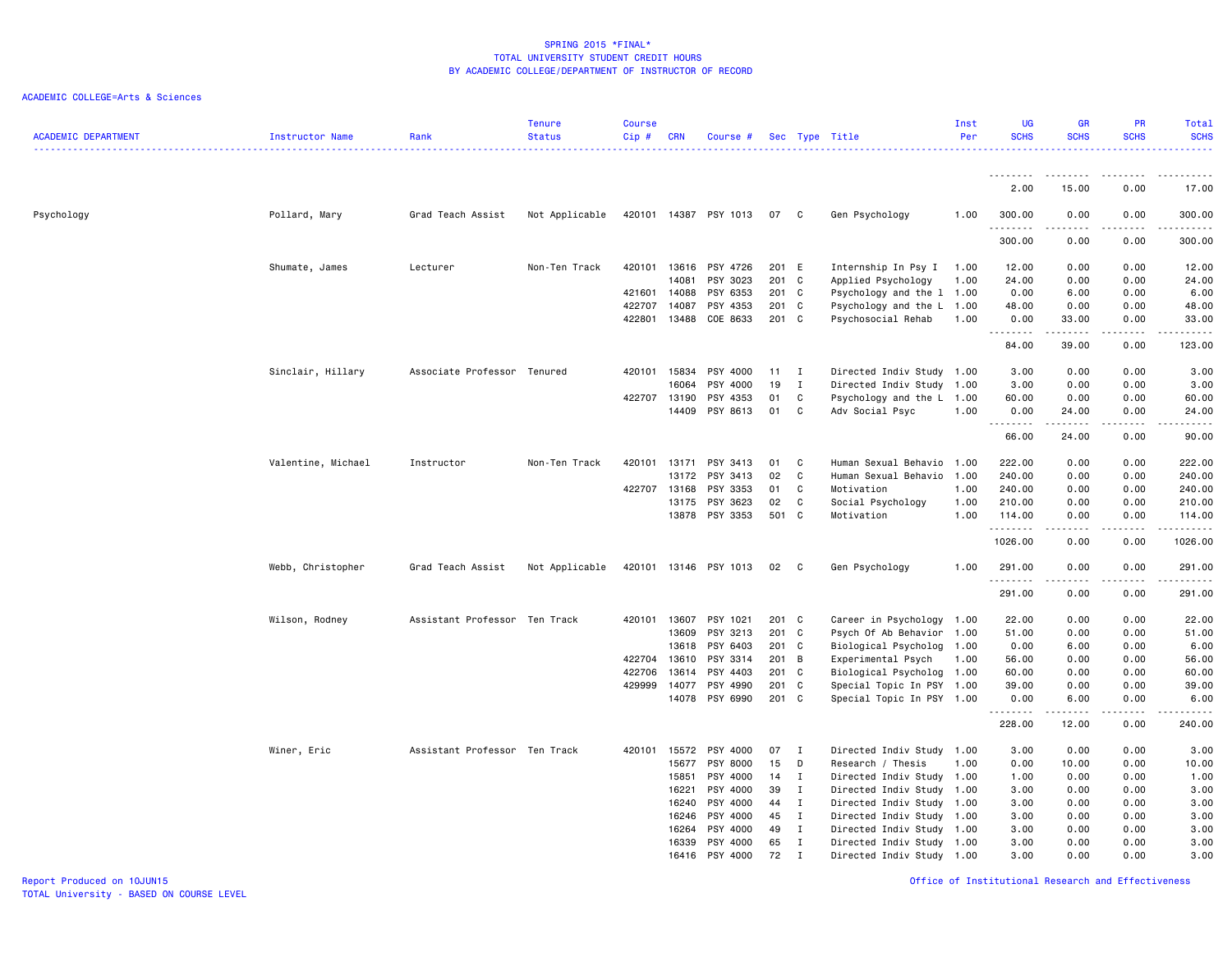| <b>ACADEMIC DEPARTMENT</b> | Instructor Name    | Rank                          | <b>Tenure</b><br><b>Status</b> | <b>Course</b><br>Cip# | <b>CRN</b>   | Course #              |         |              | Sec Type Title            | Inst<br>Per | <b>UG</b><br><b>SCHS</b><br><u>.</u> | GR<br><b>SCHS</b>    | PR<br><b>SCHS</b>                                                                                                                                            | Total<br><b>SCHS</b><br>. |
|----------------------------|--------------------|-------------------------------|--------------------------------|-----------------------|--------------|-----------------------|---------|--------------|---------------------------|-------------|--------------------------------------|----------------------|--------------------------------------------------------------------------------------------------------------------------------------------------------------|---------------------------|
|                            |                    |                               |                                |                       |              |                       |         |              |                           |             | .                                    |                      | ----                                                                                                                                                         |                           |
|                            |                    |                               |                                |                       |              |                       |         |              |                           |             | 2.00                                 | 15.00                | 0.00                                                                                                                                                         | 17.00                     |
| Psychology                 | Pollard, Mary      | Grad Teach Assist             | Not Applicable                 |                       |              | 420101 14387 PSY 1013 | 07      | C            | Gen Psychology            | 1.00        | 300.00<br>.                          | 0.00<br>-----        | 0.00<br>$\frac{1}{2} \left( \frac{1}{2} \right) \left( \frac{1}{2} \right) \left( \frac{1}{2} \right) \left( \frac{1}{2} \right) \left( \frac{1}{2} \right)$ | 300.00<br>.               |
|                            |                    |                               |                                |                       |              |                       |         |              |                           |             | 300.00                               | 0.00                 | 0.00                                                                                                                                                         | 300.00                    |
|                            | Shumate, James     | Lecturer                      | Non-Ten Track                  |                       | 420101 13616 | PSY 4726              | 201 E   |              | Internship In Psy I       | 1.00        | 12.00                                | 0.00                 | 0.00                                                                                                                                                         | 12.00                     |
|                            |                    |                               |                                |                       | 14081        | PSY 3023              | $201$ C |              | Applied Psychology        | 1.00        | 24.00                                | 0.00                 | 0.00                                                                                                                                                         | 24.00                     |
|                            |                    |                               |                                | 421601                | 14088        | PSY 6353              | 201 C   |              | Psychology and the 1 1.00 |             | 0.00                                 | 6.00                 | 0.00                                                                                                                                                         | 6.00                      |
|                            |                    |                               |                                | 422707                | 14087        | PSY 4353              | 201 C   |              | Psychology and the L 1.00 |             | 48.00                                | 0.00                 | 0.00                                                                                                                                                         | 48.00                     |
|                            |                    |                               |                                | 422801                | 13488        | COE 8633              | 201 C   |              | Psychosocial Rehab        | 1.00        | 0.00<br>.                            | 33.00<br>.           | 0.00<br>.                                                                                                                                                    | 33.00<br>.                |
|                            |                    |                               |                                |                       |              |                       |         |              |                           |             | 84.00                                | 39.00                | 0.00                                                                                                                                                         | 123.00                    |
|                            | Sinclair, Hillary  | Associate Professor Tenured   |                                | 420101                | 15834        | PSY 4000              | 11      | $\mathbf{I}$ | Directed Indiv Study 1.00 |             | 3.00                                 | 0.00                 | 0.00                                                                                                                                                         | 3.00                      |
|                            |                    |                               |                                |                       | 16064        | PSY 4000              | 19      | Ι.           | Directed Indiv Study 1.00 |             | 3.00                                 | 0.00                 | 0.00                                                                                                                                                         | 3.00                      |
|                            |                    |                               |                                | 422707 13190          |              | PSY 4353              | 01      | C            | Psychology and the L 1.00 |             | 60.00                                | 0.00                 | 0.00                                                                                                                                                         | 60.00                     |
|                            |                    |                               |                                |                       | 14409        | PSY 8613              | 01      | C            | Adv Social Psyc           | 1.00        | 0.00<br>.                            | 24.00<br>$- - - - -$ | 0.00<br>.                                                                                                                                                    | 24.00<br>.                |
|                            |                    |                               |                                |                       |              |                       |         |              |                           |             | 66.00                                | 24.00                | 0.00                                                                                                                                                         | 90.00                     |
|                            | Valentine, Michael | Instructor                    | Non-Ten Track                  | 420101                | 13171        | PSY 3413              | 01      | C            | Human Sexual Behavio 1.00 |             | 222.00                               | 0.00                 | 0.00                                                                                                                                                         | 222.00                    |
|                            |                    |                               |                                |                       | 13172        | PSY 3413              | 02      | C            | Human Sexual Behavio 1.00 |             | 240.00                               | 0.00                 | 0.00                                                                                                                                                         | 240.00                    |
|                            |                    |                               |                                | 422707                | 13168        | PSY 3353              | 01      | C            | Motivation                | 1.00        | 240.00                               | 0.00                 | 0.00                                                                                                                                                         | 240.00                    |
|                            |                    |                               |                                |                       | 13175        | PSY 3623              | 02      | C            | Social Psychology         | 1.00        | 210.00                               | 0.00                 | 0.00                                                                                                                                                         | 210.00                    |
|                            |                    |                               |                                |                       |              | 13878 PSY 3353        | 501 C   |              | Motivation                | 1.00        | 114.00<br>.                          | 0.00<br>-----        | 0.00<br>.                                                                                                                                                    | 114.00<br>.               |
|                            |                    |                               |                                |                       |              |                       |         |              |                           |             | 1026.00                              | 0.00                 | 0.00                                                                                                                                                         | 1026.00                   |
|                            | Webb, Christopher  | Grad Teach Assist             | Not Applicable                 |                       |              | 420101 13146 PSY 1013 | 02 C    |              | Gen Psychology            | 1.00        | 291.00<br>.                          | 0.00<br>.            | 0.00<br>.                                                                                                                                                    | 291.00<br>.               |
|                            |                    |                               |                                |                       |              |                       |         |              |                           |             | 291.00                               | 0.00                 | 0.00                                                                                                                                                         | 291.00                    |
|                            | Wilson, Rodney     | Assistant Professor Ten Track |                                | 420101                | 13607        | PSY 1021              | 201 C   |              | Career in Psychology 1.00 |             | 22.00                                | 0.00                 | 0.00                                                                                                                                                         | 22.00                     |
|                            |                    |                               |                                |                       | 13609        | PSY 3213              | 201 C   |              | Psych Of Ab Behavior 1.00 |             | 51.00                                | 0.00                 | 0.00                                                                                                                                                         | 51.00                     |
|                            |                    |                               |                                |                       | 13618        | PSY 6403              | 201 C   |              | Biological Psycholog 1.00 |             | 0.00                                 | 6.00                 | 0.00                                                                                                                                                         | 6.00                      |
|                            |                    |                               |                                | 422704                | 13610        | PSY 3314              | 201 B   |              | Experimental Psych        | 1.00        | 56.00                                | 0.00                 | 0.00                                                                                                                                                         | 56.00                     |
|                            |                    |                               |                                | 422706                | 13614        | PSY 4403              | 201 C   |              | Biological Psycholog 1.00 |             | 60.00                                | 0.00                 | 0.00                                                                                                                                                         | 60.00                     |
|                            |                    |                               |                                | 429999                | 14077        | PSY 4990              | 201 C   |              | Special Topic In PSY 1.00 |             | 39.00                                | 0.00                 | 0.00                                                                                                                                                         | 39.00                     |
|                            |                    |                               |                                |                       |              | 14078 PSY 6990        | 201 C   |              | Special Topic In PSY 1.00 |             | 0.00<br>.                            | 6.00<br>.            | 0.00<br>.                                                                                                                                                    | 6.00<br>.                 |
|                            |                    |                               |                                |                       |              |                       |         |              |                           |             | 228.00                               | 12.00                | 0.00                                                                                                                                                         | 240.00                    |
|                            | Winer, Eric        | Assistant Professor Ten Track |                                | 420101                | 15572        | PSY 4000              | 07      | $\mathbf{I}$ | Directed Indiv Study 1.00 |             | 3.00                                 | 0.00                 | 0.00                                                                                                                                                         | 3.00                      |
|                            |                    |                               |                                |                       | 15677        | PSY 8000              | 15      | D            | Research / Thesis         | 1.00        | 0.00                                 | 10.00                | 0.00                                                                                                                                                         | 10.00                     |
|                            |                    |                               |                                |                       | 15851        | PSY 4000              | 14      | Ι.           | Directed Indiv Study 1.00 |             | 1.00                                 | 0.00                 | 0.00                                                                                                                                                         | 1.00                      |
|                            |                    |                               |                                |                       | 16221        | PSY 4000              | 39      | $\mathbf{I}$ | Directed Indiv Study 1.00 |             | 3.00                                 | 0.00                 | 0.00                                                                                                                                                         | 3.00                      |
|                            |                    |                               |                                |                       | 16240        | PSY 4000              | 44      | I            | Directed Indiv Study 1.00 |             | 3.00                                 | 0.00                 | 0.00                                                                                                                                                         | 3.00                      |
|                            |                    |                               |                                |                       | 16246        | PSY 4000              | 45      | $\bf{I}$     | Directed Indiv Study 1.00 |             | 3.00                                 | 0.00                 | 0.00                                                                                                                                                         | 3.00                      |
|                            |                    |                               |                                |                       | 16264        | PSY 4000              | 49      | $\mathbf{I}$ | Directed Indiv Study 1.00 |             | 3.00                                 | 0.00                 | 0.00                                                                                                                                                         | 3.00                      |
|                            |                    |                               |                                |                       | 16339        | PSY 4000              | 65      | I            | Directed Indiv Study 1.00 |             | 3.00                                 | 0.00                 | 0.00                                                                                                                                                         | 3.00                      |
|                            |                    |                               |                                |                       | 16416        | PSY 4000              | 72      | $\mathbf{I}$ | Directed Indiv Study 1.00 |             | 3.00                                 | 0.00                 | 0.00                                                                                                                                                         | 3.00                      |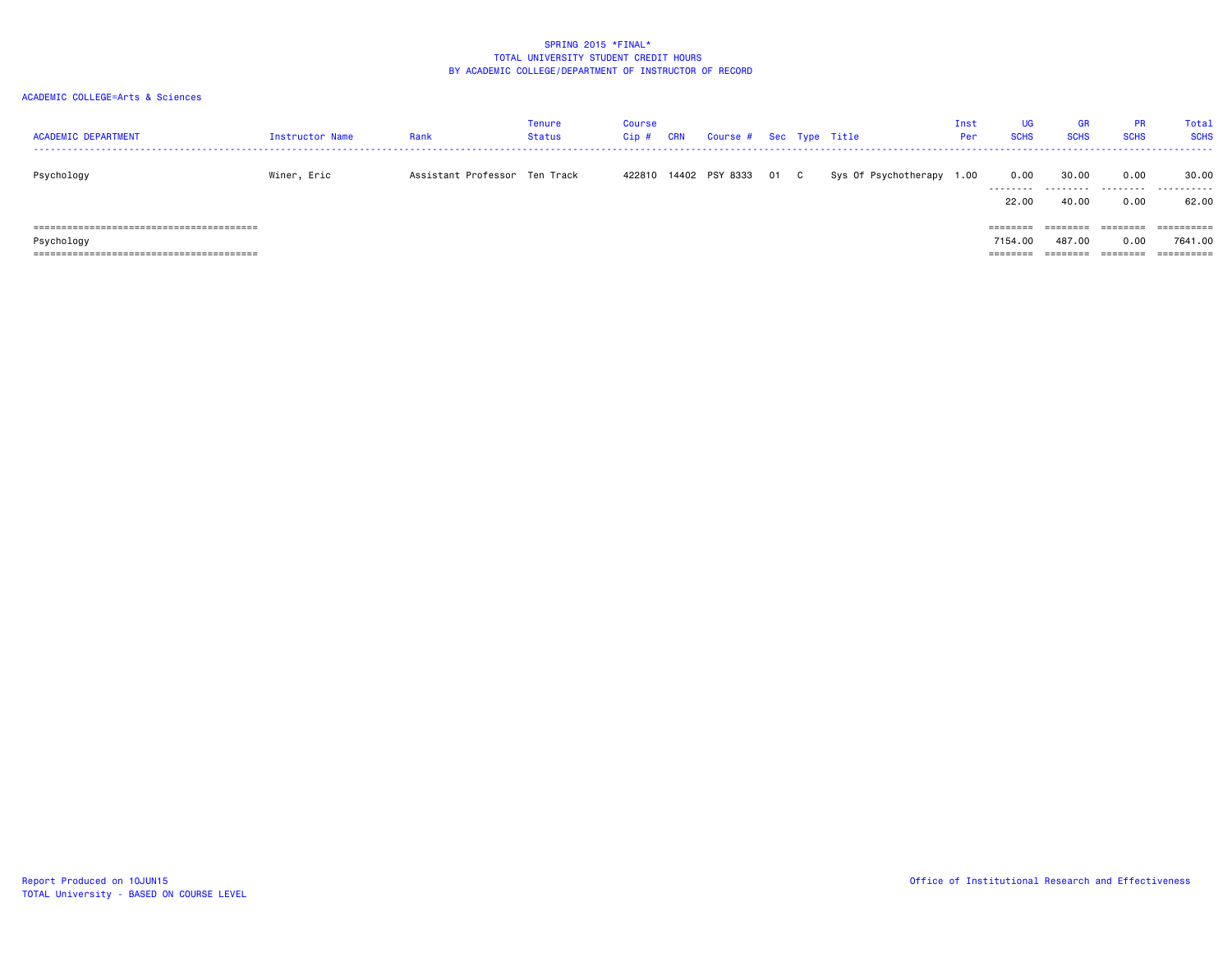| <b>ACADEMIC DEPARTMENT</b>                    | Instructor Name | Rank                          | Tenure<br><b>Status</b> | Course<br>Cip# | <b>CRN</b> | Course # Sec Type Title |      |                      | Inst<br>Per | <b>SCHS</b>           | <b>GR</b><br><b>SCHS</b> | <b>PR</b><br><b>SCHS</b> | <b>Total</b><br><b>SCHS</b> |
|-----------------------------------------------|-----------------|-------------------------------|-------------------------|----------------|------------|-------------------------|------|----------------------|-------------|-----------------------|--------------------------|--------------------------|-----------------------------|
| Psychology                                    | Winer, Eric     | Assistant Professor Ten Track |                         |                |            | 422810 14402 PSY 8333   | 01 C | Sys Of Psychotherapy | 1.00        | 0.00<br>.             | 30.00                    | 0.00<br>---------        | 30.00<br>. <b>.</b>         |
|                                               |                 |                               |                         |                |            |                         |      |                      |             | 22.00                 | 40.00                    | 0.00                     | 62.00                       |
| .===================================<br>----- |                 |                               |                         |                |            |                         |      |                      |             | --------              | ========                 | ========                 | ==========                  |
| Psychology                                    |                 |                               |                         |                |            |                         |      |                      |             | 7154.00               | 487.00                   | 0.00                     | 7641.00                     |
|                                               |                 |                               |                         |                |            |                         |      |                      |             | ---------<br>-------- | ---------<br>--------    | ========                 | $=$ = = = = = = = = =       |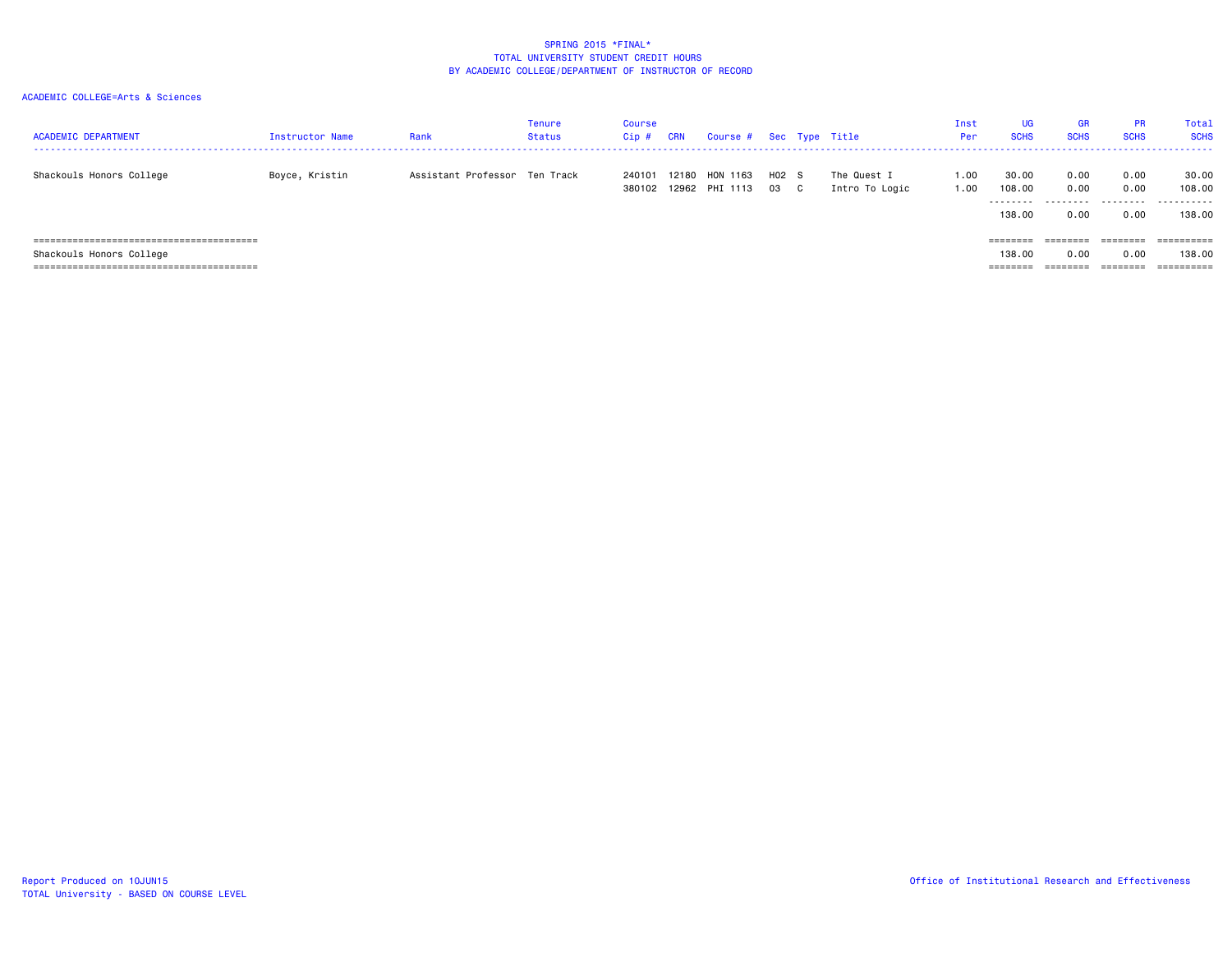| <b>ACADEMIC DEPARTMENT</b> | Instructor Name | Rank                          | Tenure<br>Status | <b>Course</b><br>$Cip$ # | CRN   | Course # Sec Type Title    |               |                               | Inst<br><b>Per</b> | UG<br><b>SCHS</b>              | GR<br><b>SCHS</b>            | <b>PR</b><br><b>SCHS</b>  | <b>Total</b><br><b>SCHS</b>    |
|----------------------------|-----------------|-------------------------------|------------------|--------------------------|-------|----------------------------|---------------|-------------------------------|--------------------|--------------------------------|------------------------------|---------------------------|--------------------------------|
| Shackouls Honors College   | Boyce, Kristin  | Assistant Professor Ten Track |                  | 240101<br>380102         | 12180 | HON 1163<br>12962 PHI 1113 | H02 S<br>03 C | The Quest I<br>Intro To Logic | 1.00<br>1.00       | 30.00<br>108.00<br>.<br>138,00 | 0.00<br>0.00<br>.<br>0.00    | 0.00<br>0.00<br>.<br>0.00 | 30.00<br>108,00<br>.<br>138.00 |
| Shackouls Honors College   |                 |                               |                  |                          |       |                            |               |                               |                    | ========<br>138,00<br>======== | ========<br>0.00<br>======== | 0.00<br>========          | 138,00                         |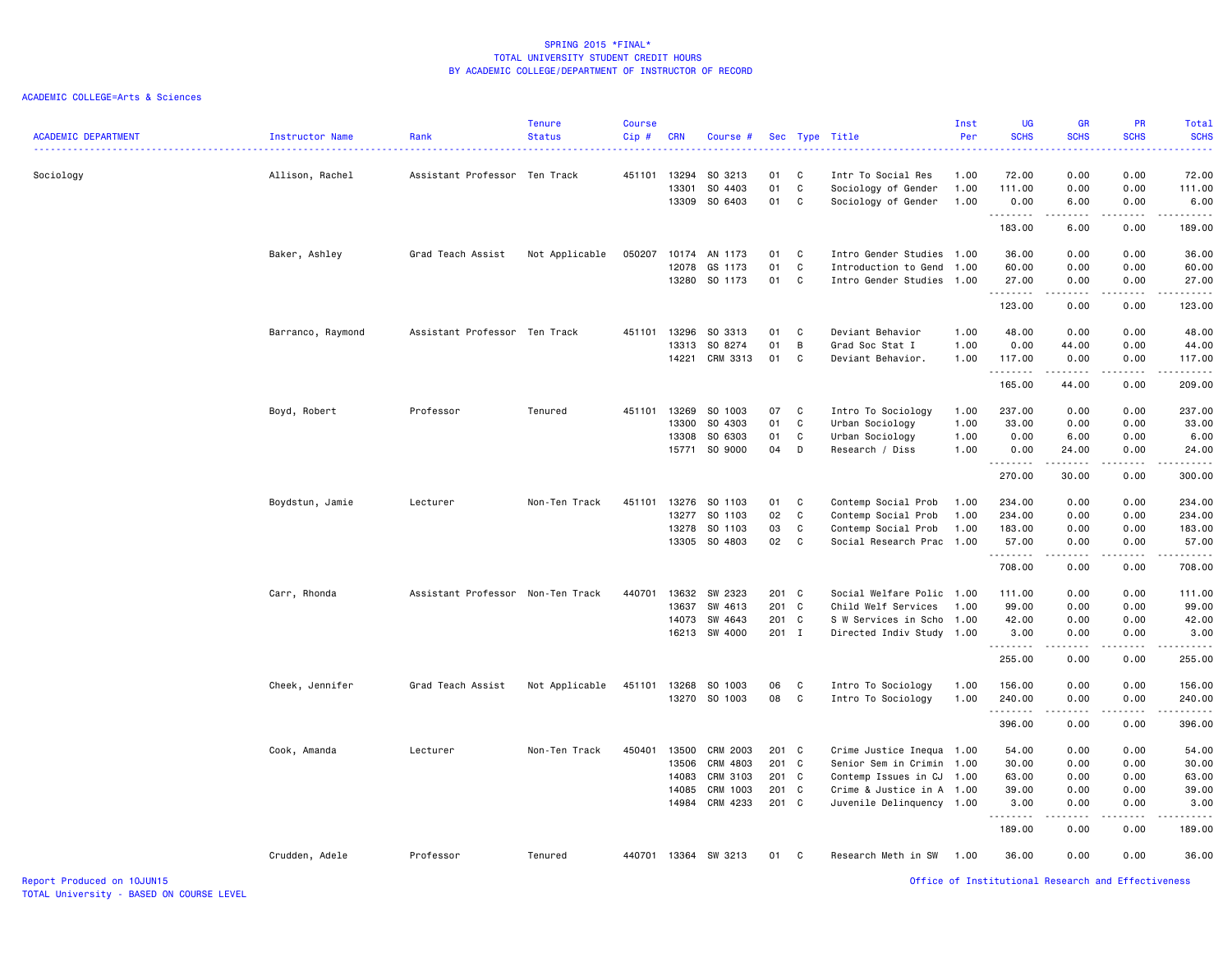| <b>ACADEMIC DEPARTMENT</b> | Instructor Name   | Rank                              | <b>Tenure</b><br><b>Status</b> | Course<br>Cip# | <b>CRN</b>   | Course #                 |          |              | Sec Type Title                     | Inst<br>Per  | <b>UG</b><br><b>SCHS</b> | <b>GR</b><br><b>SCHS</b><br>.       | PR<br><b>SCHS</b>                   | Total<br><b>SCHS</b><br>$\frac{1}{2} \left( \frac{1}{2} \right) \left( \frac{1}{2} \right) \left( \frac{1}{2} \right) \left( \frac{1}{2} \right)$                                         |
|----------------------------|-------------------|-----------------------------------|--------------------------------|----------------|--------------|--------------------------|----------|--------------|------------------------------------|--------------|--------------------------|-------------------------------------|-------------------------------------|-------------------------------------------------------------------------------------------------------------------------------------------------------------------------------------------|
| Sociology                  | Allison, Rachel   | Assistant Professor Ten Track     |                                | 451101         | 13294        | SO 3213                  | 01       | C            | Intr To Social Res                 | 1.00         | 72.00                    | 0.00                                | 0.00                                | 72.00                                                                                                                                                                                     |
|                            |                   |                                   |                                |                | 13301        | SO 4403                  | 01       | C            | Sociology of Gender                | 1.00         | 111.00                   | 0.00                                | 0.00                                | 111.00                                                                                                                                                                                    |
|                            |                   |                                   |                                |                | 13309        | SO 6403                  | 01       | C            | Sociology of Gender                | 1.00         | 0.00<br>.                | 6.00<br>.                           | 0.00<br>. <b>.</b>                  | 6.00<br>$\frac{1}{2} \left( \frac{1}{2} \right) \left( \frac{1}{2} \right) \left( \frac{1}{2} \right) \left( \frac{1}{2} \right) \left( \frac{1}{2} \right) \left( \frac{1}{2} \right)$   |
|                            |                   |                                   |                                |                |              |                          |          |              |                                    |              | 183.00                   | 6.00                                | 0.00                                | 189.00                                                                                                                                                                                    |
|                            | Baker, Ashley     | Grad Teach Assist                 | Not Applicable                 | 050207         | 10174        | AN 1173                  | 01       | - C          | Intro Gender Studies 1.00          |              | 36.00                    | 0.00                                | 0.00                                | 36.00                                                                                                                                                                                     |
|                            |                   |                                   |                                |                | 12078        | GS 1173                  | 01       | C            | Introduction to Gend               | 1.00         | 60.00                    | 0.00                                | 0.00                                | 60.00                                                                                                                                                                                     |
|                            |                   |                                   |                                |                |              | 13280 SO 1173            | 01 C     |              | Intro Gender Studies 1.00          |              | 27.00                    | 0.00                                | 0.00                                | 27.00                                                                                                                                                                                     |
|                            |                   |                                   |                                |                |              |                          |          |              |                                    |              | .<br>123.00              | المتمالين<br>0.00                   | .<br>0.00                           | .<br>123.00                                                                                                                                                                               |
|                            | Barranco, Raymond | Assistant Professor Ten Track     |                                |                | 451101 13296 | SO 3313                  | 01       | $\mathbf{C}$ | Deviant Behavior                   | 1.00         | 48.00                    | 0.00                                | 0.00                                | 48.00                                                                                                                                                                                     |
|                            |                   |                                   |                                |                | 13313        | SO 8274                  | 01       | B            | Grad Soc Stat I                    | 1.00         | 0.00                     | 44.00                               | 0.00                                | 44.00                                                                                                                                                                                     |
|                            |                   |                                   |                                |                | 14221        | CRM 3313                 | 01       | C            | Deviant Behavior.                  | 1.00         | 117.00                   | 0.00                                | 0.00                                | 117.00                                                                                                                                                                                    |
|                            |                   |                                   |                                |                |              |                          |          |              |                                    |              | .<br>165.00              | .<br>44.00                          | .<br>0.00                           | $\frac{1}{2} \left( \frac{1}{2} \right) \left( \frac{1}{2} \right) \left( \frac{1}{2} \right) \left( \frac{1}{2} \right) \left( \frac{1}{2} \right) \left( \frac{1}{2} \right)$<br>209.00 |
|                            |                   |                                   |                                |                |              |                          |          |              |                                    |              |                          |                                     |                                     |                                                                                                                                                                                           |
|                            | Boyd, Robert      | Professor                         | Tenured                        | 451101         | 13269        | SO 1003                  | 07       | <b>C</b>     | Intro To Sociology                 | 1.00         | 237.00                   | 0.00                                | 0.00                                | 237.00                                                                                                                                                                                    |
|                            |                   |                                   |                                |                | 13300        | SO 4303                  | 01<br>01 | C            | Urban Sociology                    | 1.00         | 33.00                    | 0.00                                | 0.00                                | 33.00                                                                                                                                                                                     |
|                            |                   |                                   |                                |                | 13308        | SO 6303<br>15771 SO 9000 | 04       | C<br>D       | Urban Sociology<br>Research / Diss | 1.00<br>1.00 | 0.00<br>0.00             | 6.00<br>24.00                       | 0.00<br>0.00                        | 6.00<br>24.00                                                                                                                                                                             |
|                            |                   |                                   |                                |                |              |                          |          |              |                                    |              | .<br>270.00              | .<br>30.00                          | د د د د<br>0.00                     | .<br>300.00                                                                                                                                                                               |
|                            |                   |                                   |                                |                |              |                          |          |              |                                    |              |                          |                                     |                                     |                                                                                                                                                                                           |
|                            | Boydstun, Jamie   | Lecturer                          | Non-Ten Track                  | 451101         | 13276        | SO 1103                  | 01       | C            | Contemp Social Prob                | 1.00         | 234.00                   | 0.00                                | 0.00                                | 234.00                                                                                                                                                                                    |
|                            |                   |                                   |                                |                | 13277        | SO 1103                  | 02       | $\mathbf C$  | Contemp Social Prob                | 1.00         | 234.00                   | 0.00                                | 0.00                                | 234.00                                                                                                                                                                                    |
|                            |                   |                                   |                                |                | 13278        | SO 1103                  | 03       | C            | Contemp Social Prob                | 1.00         | 183.00                   | 0.00                                | 0.00                                | 183.00                                                                                                                                                                                    |
|                            |                   |                                   |                                |                |              | 13305 SO 4803            | 02       | $\mathbf{C}$ | Social Research Prac 1.00          |              | 57.00<br>.               | 0.00<br>.                           | 0.00<br>$\sim$ $\sim$ $\sim$ $\sim$ | 57.00<br>.                                                                                                                                                                                |
|                            |                   |                                   |                                |                |              |                          |          |              |                                    |              | 708.00                   | 0.00                                | 0.00                                | 708.00                                                                                                                                                                                    |
|                            | Carr, Rhonda      | Assistant Professor Non-Ten Track |                                | 440701         | 13632        | SW 2323                  | 201 C    |              | Social Welfare Polic 1.00          |              | 111.00                   | 0.00                                | 0.00                                | 111.00                                                                                                                                                                                    |
|                            |                   |                                   |                                |                | 13637        | SW 4613                  | 201 C    |              | Child Welf Services                | 1.00         | 99.00                    | 0.00                                | 0.00                                | 99.00                                                                                                                                                                                     |
|                            |                   |                                   |                                |                | 14073        | SW 4643                  | 201 C    |              | S W Services in Scho               | 1.00         | 42.00                    | 0.00                                | 0.00                                | 42.00                                                                                                                                                                                     |
|                            |                   |                                   |                                |                |              | 16213 SW 4000            | 201 I    |              | Directed Indiv Study 1.00          |              | 3.00                     | 0.00                                | 0.00                                | 3.00                                                                                                                                                                                      |
|                            |                   |                                   |                                |                |              |                          |          |              |                                    |              | .<br>255.00              | .<br>0.00                           | .<br>0.00                           | 255.00                                                                                                                                                                                    |
|                            | Cheek, Jennifer   | Grad Teach Assist                 | Not Applicable                 | 451101         | 13268        | SO 1003                  | 06       | C            | Intro To Sociology                 | 1.00         | 156.00                   | 0.00                                | 0.00                                | 156.00                                                                                                                                                                                    |
|                            |                   |                                   |                                |                |              | 13270 SO 1003            | 08       | <b>C</b>     | Intro To Sociology                 | 1.00         | 240.00                   | 0.00                                | 0.00                                | 240.00                                                                                                                                                                                    |
|                            |                   |                                   |                                |                |              |                          |          |              |                                    |              | .<br>396.00              | $\sim$ $\sim$ $\sim$ $\sim$<br>0.00 | .<br>0.00                           | .<br>396.00                                                                                                                                                                               |
|                            |                   |                                   |                                |                |              |                          |          |              |                                    |              |                          |                                     |                                     |                                                                                                                                                                                           |
|                            | Cook, Amanda      | Lecturer                          | Non-Ten Track                  | 450401         | 13500        | CRM 2003                 | 201 C    |              | Crime Justice Inequa 1.00          |              | 54.00                    | 0.00                                | 0.00                                | 54.00                                                                                                                                                                                     |
|                            |                   |                                   |                                |                | 13506        | CRM 4803                 | 201 C    |              | Senior Sem in Crimin               | 1.00         | 30.00                    | 0.00                                | 0.00                                | 30.00                                                                                                                                                                                     |
|                            |                   |                                   |                                |                | 14083        | CRM 3103                 | 201 C    |              | Contemp Issues in CJ               | 1.00         | 63.00                    | 0.00                                | 0.00                                | 63.00                                                                                                                                                                                     |
|                            |                   |                                   |                                |                | 14085        | CRM 1003                 | 201 C    |              | Crime & Justice in A 1.00          |              | 39.00                    | 0.00                                | 0.00                                | 39.00                                                                                                                                                                                     |
|                            |                   |                                   |                                |                | 14984        | CRM 4233                 | 201 C    |              | Juvenile Delinquency 1.00          |              | 3.00<br>.                | 0.00                                | 0.00                                | 3.00                                                                                                                                                                                      |
|                            |                   |                                   |                                |                |              |                          |          |              |                                    |              | 189.00                   | 0.00                                | 0.00                                | 189.00                                                                                                                                                                                    |
|                            | Crudden, Adele    | Professor                         | Tenured                        |                |              | 440701 13364 SW 3213     | 01       | $\mathbf{C}$ | Research Meth in SW                | 1.00         | 36.00                    | 0.00                                | 0.00                                | 36.00                                                                                                                                                                                     |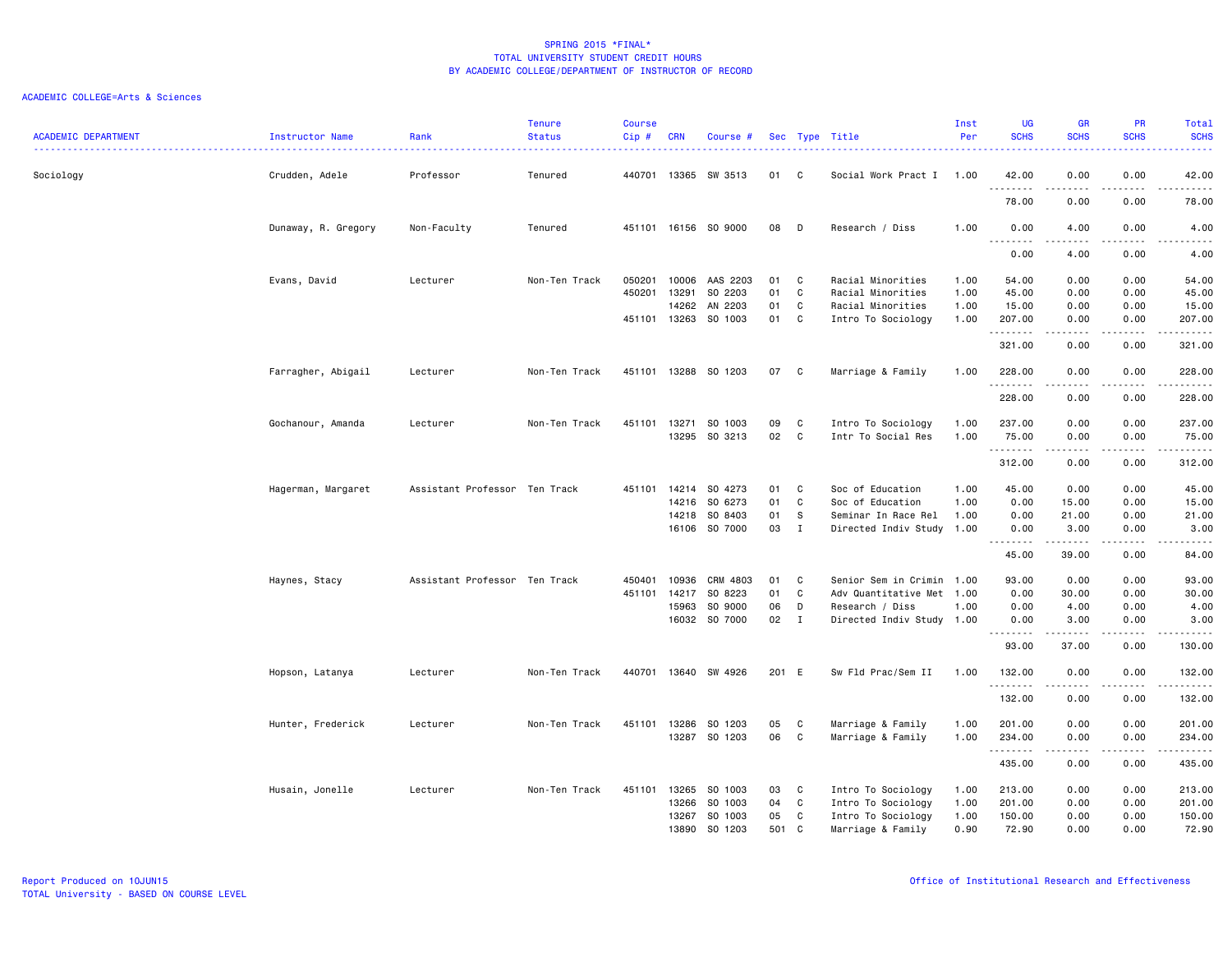|                            |                     |                               | <b>Tenure</b> | <b>Course</b> |              |                      |       |              |                           | Inst | <b>UG</b>                        | <b>GR</b>                                                                                                                                                                                                          | <b>PR</b>                                                                                                                         | Total                                                                                                                                                         |
|----------------------------|---------------------|-------------------------------|---------------|---------------|--------------|----------------------|-------|--------------|---------------------------|------|----------------------------------|--------------------------------------------------------------------------------------------------------------------------------------------------------------------------------------------------------------------|-----------------------------------------------------------------------------------------------------------------------------------|---------------------------------------------------------------------------------------------------------------------------------------------------------------|
| <b>ACADEMIC DEPARTMENT</b> | Instructor Name     | Rank<br>.                     | <b>Status</b> | Cip#          | <b>CRN</b>   | Course #             |       |              | Sec Type Title<br>.       | Per  | <b>SCHS</b>                      | <b>SCHS</b>                                                                                                                                                                                                        | <b>SCHS</b>                                                                                                                       | <b>SCHS</b><br>2222.                                                                                                                                          |
| Sociology                  | Crudden, Adele      | Professor                     | Tenured       | 440701        |              | 13365 SW 3513        | 01    | C            | Social Work Pract I 1.00  |      | 42.00                            | 0.00                                                                                                                                                                                                               | 0.00                                                                                                                              | 42.00                                                                                                                                                         |
|                            |                     |                               |               |               |              |                      |       |              |                           |      | . <b>.</b><br>78.00              | .<br>0.00                                                                                                                                                                                                          | $\sim$ $\sim$ $\sim$ $\sim$<br>0.00                                                                                               | $\frac{1}{2} \left( \frac{1}{2} \right) \left( \frac{1}{2} \right) \left( \frac{1}{2} \right) \left( \frac{1}{2} \right) \left( \frac{1}{2} \right)$<br>78.00 |
|                            | Dunaway, R. Gregory | Non-Faculty                   | Tenured       |               |              | 451101 16156 SO 9000 | 08    | D            | Research / Diss           | 1.00 | 0.00<br>.                        | 4.00                                                                                                                                                                                                               | 0.00                                                                                                                              | 4.00<br>.                                                                                                                                                     |
|                            |                     |                               |               |               |              |                      |       |              |                           |      | $\overline{\phantom{a}}$<br>0.00 | 4.00                                                                                                                                                                                                               | 0.00                                                                                                                              | 4.00                                                                                                                                                          |
|                            | Evans, David        | Lecturer                      | Non-Ten Track | 050201        | 10006        | AAS 2203             | 01    | C            | Racial Minorities         | 1.00 | 54.00                            | 0.00                                                                                                                                                                                                               | 0.00                                                                                                                              | 54.00                                                                                                                                                         |
|                            |                     |                               |               | 450201        | 13291        | SO 2203              | 01    | C            | Racial Minorities         | 1.00 | 45.00                            | 0.00                                                                                                                                                                                                               | 0.00                                                                                                                              | 45.00                                                                                                                                                         |
|                            |                     |                               |               |               | 14262        | AN 2203              | 01    | C            | Racial Minorities         | 1.00 | 15.00                            | 0.00                                                                                                                                                                                                               | 0.00                                                                                                                              | 15.00                                                                                                                                                         |
|                            |                     |                               |               |               |              | 451101 13263 SO 1003 | 01    | C            | Intro To Sociology        | 1.00 | 207.00<br>.                      | 0.00                                                                                                                                                                                                               | 0.00<br>$- - - -$                                                                                                                 | 207.00<br>د د د د د                                                                                                                                           |
|                            |                     |                               |               |               |              |                      |       |              |                           |      | 321.00                           | 0.00                                                                                                                                                                                                               | 0.00                                                                                                                              | 321.00                                                                                                                                                        |
|                            | Farragher, Abigail  | Lecturer                      | Non-Ten Track | 451101        |              | 13288 SO 1203        | 07    | C.           | Marriage & Family         | 1.00 | 228.00<br>.                      | 0.00<br>.                                                                                                                                                                                                          | 0.00<br>$\frac{1}{2} \left( \frac{1}{2} \right) \left( \frac{1}{2} \right) \left( \frac{1}{2} \right) \left( \frac{1}{2} \right)$ | 228.00<br>. <b>.</b>                                                                                                                                          |
|                            |                     |                               |               |               |              |                      |       |              |                           |      | 228.00                           | 0.00                                                                                                                                                                                                               | 0.00                                                                                                                              | 228.00                                                                                                                                                        |
|                            | Gochanour, Amanda   | Lecturer                      | Non-Ten Track | 451101        | 13271        | SO 1003              | 09    | C            | Intro To Sociology        | 1.00 | 237.00                           | 0.00                                                                                                                                                                                                               | 0.00                                                                                                                              | 237.00                                                                                                                                                        |
|                            |                     |                               |               |               | 13295        | SO 3213              | 02 C  |              | Intr To Social Res        | 1.00 | 75.00                            | 0.00                                                                                                                                                                                                               | 0.00                                                                                                                              | 75.00                                                                                                                                                         |
|                            |                     |                               |               |               |              |                      |       |              |                           |      | .<br>312.00                      | $\frac{1}{2} \left( \frac{1}{2} \right) \left( \frac{1}{2} \right) \left( \frac{1}{2} \right) \left( \frac{1}{2} \right) \left( \frac{1}{2} \right) \left( \frac{1}{2} \right) \left( \frac{1}{2} \right)$<br>0.00 | .<br>0.00                                                                                                                         | .<br>312.00                                                                                                                                                   |
|                            | Hagerman, Margaret  | Assistant Professor Ten Track |               | 451101        | 14214        | SO 4273              | 01    | C            | Soc of Education          | 1.00 | 45.00                            | 0.00                                                                                                                                                                                                               | 0.00                                                                                                                              | 45.00                                                                                                                                                         |
|                            |                     |                               |               |               | 14216        | SO 6273              | 01    | C            | Soc of Education          | 1.00 | 0.00                             | 15.00                                                                                                                                                                                                              | 0.00                                                                                                                              | 15.00                                                                                                                                                         |
|                            |                     |                               |               |               | 14218        | SO 8403              | 01    | - S          | Seminar In Race Rel       | 1.00 | 0.00                             | 21.00                                                                                                                                                                                                              | 0.00                                                                                                                              | 21.00                                                                                                                                                         |
|                            |                     |                               |               |               |              | 16106 SO 7000        | 03    | $\mathbf{I}$ | Directed Indiv Study 1.00 |      | 0.00<br>.                        | 3.00<br>.                                                                                                                                                                                                          | 0.00<br>د د د د                                                                                                                   | 3.00<br>المتمامين                                                                                                                                             |
|                            |                     |                               |               |               |              |                      |       |              |                           |      | 45.00                            | 39.00                                                                                                                                                                                                              | 0.00                                                                                                                              | 84.00                                                                                                                                                         |
|                            | Haynes, Stacy       | Assistant Professor Ten Track |               | 450401        | 10936        | CRM 4803             | 01    | C.           | Senior Sem in Crimin 1.00 |      | 93.00                            | 0.00                                                                                                                                                                                                               | 0.00                                                                                                                              | 93.00                                                                                                                                                         |
|                            |                     |                               |               | 451101        | 14217        | SO 8223              | 01    | C            | Adv Quantitative Met 1.00 |      | 0.00                             | 30.00                                                                                                                                                                                                              | 0.00                                                                                                                              | 30.00                                                                                                                                                         |
|                            |                     |                               |               |               | 15963        | SO 9000              | 06    | D            | Research / Diss           | 1.00 | 0.00                             | 4.00                                                                                                                                                                                                               | 0.00                                                                                                                              | 4.00                                                                                                                                                          |
|                            |                     |                               |               |               |              | 16032 SO 7000        | 02    | $\mathbf{I}$ | Directed Indiv Study 1.00 |      | 0.00<br>.                        | 3.00<br>.                                                                                                                                                                                                          | 0.00<br>د د د د                                                                                                                   | 3.00<br>.                                                                                                                                                     |
|                            |                     |                               |               |               |              |                      |       |              |                           |      | 93.00                            | 37.00                                                                                                                                                                                                              | 0.00                                                                                                                              | 130.00                                                                                                                                                        |
|                            | Hopson, Latanya     | Lecturer                      | Non-Ten Track |               | 440701 13640 | SW 4926              | 201 E |              | Sw Fld Prac/Sem II        | 1.00 | 132.00<br>.                      | 0.00<br>.                                                                                                                                                                                                          | 0.00<br>. <b>.</b> .                                                                                                              | 132.00<br>.                                                                                                                                                   |
|                            |                     |                               |               |               |              |                      |       |              |                           |      | 132.00                           | 0.00                                                                                                                                                                                                               | 0.00                                                                                                                              | 132.00                                                                                                                                                        |
|                            | Hunter, Frederick   | Lecturer                      | Non-Ten Track |               | 451101 13286 | SO 1203              | 05    | C            | Marriage & Family         | 1.00 | 201.00                           | 0.00                                                                                                                                                                                                               | 0.00                                                                                                                              | 201.00                                                                                                                                                        |
|                            |                     |                               |               |               | 13287        | SO 1203              | 06    | C            | Marriage & Family         | 1.00 | 234.00                           | 0.00                                                                                                                                                                                                               | 0.00                                                                                                                              | 234.00                                                                                                                                                        |
|                            |                     |                               |               |               |              |                      |       |              |                           |      | .<br>435.00                      | 0.00                                                                                                                                                                                                               | 0.00                                                                                                                              | .<br>435.00                                                                                                                                                   |
|                            | Husain, Jonelle     | Lecturer                      | Non-Ten Track | 451101        | 13265        | SO 1003              | 03    | C            | Intro To Sociology        | 1.00 | 213.00                           | 0.00                                                                                                                                                                                                               | 0.00                                                                                                                              | 213.00                                                                                                                                                        |
|                            |                     |                               |               |               | 13266        | SO 1003              | 04    | C            | Intro To Sociology        | 1.00 | 201.00                           | 0.00                                                                                                                                                                                                               | 0.00                                                                                                                              | 201.00                                                                                                                                                        |
|                            |                     |                               |               |               | 13267        | SO 1003              | 05    | C            | Intro To Sociology        | 1.00 | 150.00                           | 0.00                                                                                                                                                                                                               | 0.00                                                                                                                              | 150.00                                                                                                                                                        |
|                            |                     |                               |               |               | 13890        | SO 1203              | 501   | C.           | Marriage & Family         | 0.90 | 72.90                            | 0.00                                                                                                                                                                                                               | 0.00                                                                                                                              | 72.90                                                                                                                                                         |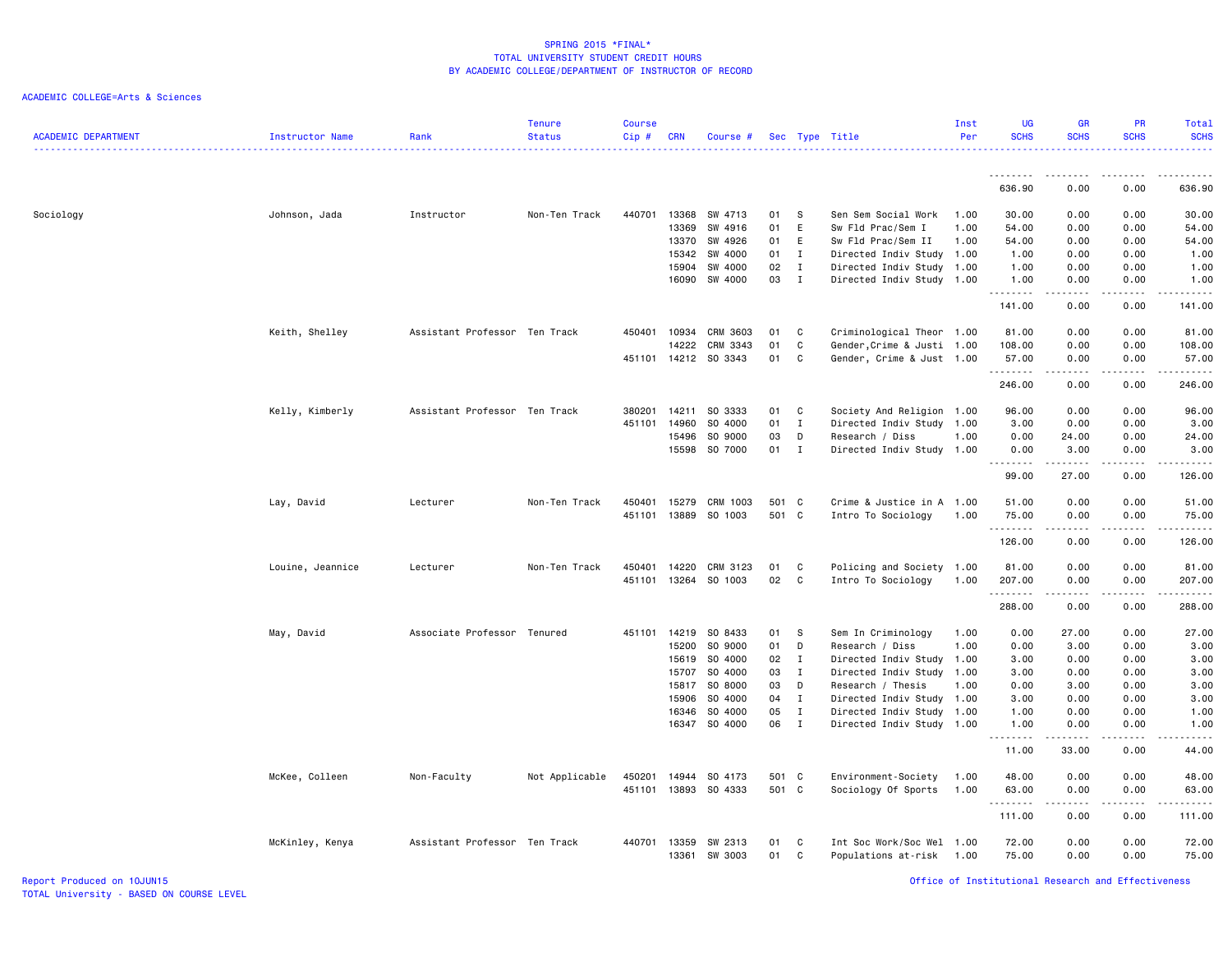| <b>ACADEMIC DEPARTMENT</b> | Instructor Name  | Rank                          | <b>Tenure</b><br><b>Status</b> | <b>Course</b><br>Cip# | <b>CRN</b> | Course #      |       |                | Sec Type Title             | Inst<br>Per | <b>UG</b><br><b>SCHS</b> | <b>GR</b><br><b>SCHS</b>            | PR<br><b>SCHS</b>   | Total<br><b>SCHS</b><br>. د د د د |
|----------------------------|------------------|-------------------------------|--------------------------------|-----------------------|------------|---------------|-------|----------------|----------------------------|-------------|--------------------------|-------------------------------------|---------------------|-----------------------------------|
|                            |                  |                               |                                |                       |            |               |       |                |                            |             | <u>.</u>                 | $- - - -$                           | .                   | .                                 |
|                            |                  |                               |                                |                       |            |               |       |                |                            |             | 636.90                   | 0.00                                | 0.00                | 636.90                            |
| Sociology                  | Johnson, Jada    | Instructor                    | Non-Ten Track                  | 440701                | 13368      | SW 4713       | 01    | - S            | Sen Sem Social Work        | 1.00        | 30.00                    | 0.00                                | 0.00                | 30.00                             |
|                            |                  |                               |                                |                       | 13369      | SW 4916       | 01    | E              | Sw Fld Prac/Sem I          | 1.00        | 54.00                    | 0.00                                | 0.00                | 54.00                             |
|                            |                  |                               |                                |                       | 13370      | SW 4926       | 01    | E              | Sw Fld Prac/Sem II         | 1.00        | 54.00                    | 0.00                                | 0.00                | 54.00                             |
|                            |                  |                               |                                |                       | 15342      | SW 4000       | 01    | $\blacksquare$ | Directed Indiv Study       | 1.00        | 1.00                     | 0.00                                | 0.00                | 1.00                              |
|                            |                  |                               |                                |                       | 15904      | SW 4000       | 02    | $\mathbf{I}$   | Directed Indiv Study 1.00  |             | 1.00                     | 0.00                                | 0.00                | 1.00                              |
|                            |                  |                               |                                |                       |            | 16090 SW 4000 | 03    | $\mathbf{I}$   | Directed Indiv Study 1.00  |             | 1.00<br>.                | 0.00<br>$\sim$ $\sim$ $\sim$ $\sim$ | 0.00<br>.           | 1.00<br>.                         |
|                            |                  |                               |                                |                       |            |               |       |                |                            |             | 141.00                   | 0.00                                | 0.00                | 141.00                            |
|                            | Keith, Shelley   | Assistant Professor Ten Track |                                | 450401                | 10934      | CRM 3603      | 01    | C              | Criminological Theor 1.00  |             | 81.00                    | 0.00                                | 0.00                | 81.00                             |
|                            |                  |                               |                                |                       | 14222      | CRM 3343      | 01    | C              | Gender, Crime & Justi 1.00 |             | 108.00                   | 0.00                                | 0.00                | 108.00                            |
|                            |                  |                               |                                | 451101                |            | 14212 SO 3343 | 01    | C              | Gender, Crime & Just 1.00  |             | 57.00<br>.               | 0.00<br>.                           | 0.00<br>.           | 57.00<br>.                        |
|                            |                  |                               |                                |                       |            |               |       |                |                            |             | 246.00                   | 0.00                                | 0.00                | 246.00                            |
|                            | Kelly, Kimberly  | Assistant Professor Ten Track |                                | 380201                | 14211      | SO 3333       | 01    | C              | Society And Religion 1.00  |             | 96.00                    | 0.00                                | 0.00                | 96.00                             |
|                            |                  |                               |                                | 451101                | 14960      | SO 4000       | 01    | $\mathbf{I}$   | Directed Indiv Study       | 1.00        | 3.00                     | 0.00                                | 0.00                | 3.00                              |
|                            |                  |                               |                                |                       | 15496      | SO 9000       | 03    | D              | Research / Diss            | 1.00        | 0.00                     | 24.00                               | 0.00                | 24.00                             |
|                            |                  |                               |                                |                       | 15598      | SO 7000       | 01 I  |                | Directed Indiv Study 1.00  |             | 0.00<br><u>.</u>         | 3.00<br>.                           | 0.00<br>.           | 3.00<br>.                         |
|                            |                  |                               |                                |                       |            |               |       |                |                            |             | 99.00                    | 27.00                               | 0.00                | 126.00                            |
|                            | Lay, David       | Lecturer                      | Non-Ten Track                  | 450401                | 15279      | CRM 1003      | 501 C |                | Crime & Justice in A 1.00  |             | 51.00                    | 0.00                                | 0.00                | 51.00                             |
|                            |                  |                               |                                | 451101                | 13889      | SO 1003       | 501 C |                | Intro To Sociology         | 1.00        | 75.00<br>.               | 0.00<br>.                           | 0.00<br>.           | 75.00<br>.                        |
|                            |                  |                               |                                |                       |            |               |       |                |                            |             | 126.00                   | 0.00                                | 0.00                | 126.00                            |
|                            | Louine, Jeannice | Lecturer                      | Non-Ten Track                  | 450401                | 14220      | CRM 3123      | 01    | C              | Policing and Society 1.00  |             | 81.00                    | 0.00                                | 0.00                | 81.00                             |
|                            |                  |                               |                                | 451101                |            | 13264 SO 1003 | 02    | $\mathbf c$    | Intro To Sociology         | 1.00        | 207.00                   | 0.00                                | 0.00                | 207.00                            |
|                            |                  |                               |                                |                       |            |               |       |                |                            |             | .<br>288.00              | المتمام المتعاد<br>0.00             | .<br>0.00           | 288.00                            |
|                            | May, David       | Associate Professor Tenured   |                                | 451101 14219          |            | SO 8433       | 01    | - S            | Sem In Criminology         | 1.00        | 0.00                     | 27.00                               | 0.00                | 27.00                             |
|                            |                  |                               |                                |                       | 15200      | SO 9000       | 01    | D              | Research / Diss            | 1.00        | 0.00                     | 3.00                                | 0.00                | 3.00                              |
|                            |                  |                               |                                |                       | 15619      | SO 4000       | 02    | $\mathbf{I}$   | Directed Indiv Study       | 1.00        | 3.00                     | 0.00                                | 0.00                | 3.00                              |
|                            |                  |                               |                                |                       | 15707      | SO 4000       | 03    | $\mathbf{I}$   | Directed Indiv Study 1.00  |             | 3.00                     | 0.00                                | 0.00                | 3.00                              |
|                            |                  |                               |                                |                       | 15817      | SO 8000       | 03    | D              | Research / Thesis          | 1.00        | 0.00                     | 3.00                                | 0.00                | 3.00                              |
|                            |                  |                               |                                |                       | 15906      | SO 4000       | 04 I  |                | Directed Indiv Study       | 1.00        | 3.00                     | 0.00                                | 0.00                | 3.00                              |
|                            |                  |                               |                                |                       | 16346      | SO 4000       | 05    | $\mathbf{I}$   | Directed Indiv Study 1.00  |             | 1.00                     | 0.00                                | 0.00                | 1.00                              |
|                            |                  |                               |                                |                       |            | 16347 SO 4000 | 06    | $\mathbf{I}$   | Directed Indiv Study 1.00  |             | 1.00                     | 0.00                                | 0.00                | 1.00                              |
|                            |                  |                               |                                |                       |            |               |       |                |                            |             | <u>.</u><br>11.00        | .<br>33.00                          | $- - - - -$<br>0.00 | .<br>44.00                        |
|                            | McKee, Colleen   | Non-Faculty                   | Not Applicable                 | 450201                |            | 14944 SO 4173 | 501 C |                | Environment-Society        | 1.00        | 48.00                    | 0.00                                | 0.00                | 48.00                             |
|                            |                  |                               |                                | 451101                |            | 13893 SO 4333 | 501 C |                | Sociology Of Sports        | 1.00        | 63.00                    | 0.00                                | 0.00                | 63.00                             |
|                            |                  |                               |                                |                       |            |               |       |                |                            |             | <u>.</u><br>111.00       | .<br>0.00                           | 0.00                | 111.00                            |
|                            | McKinley, Kenya  | Assistant Professor Ten Track |                                | 440701                | 13359      | SW 2313       | 01    | C              | Int Soc Work/Soc Wel       | 1.00        | 72.00                    | 0.00                                | 0.00                | 72.00                             |
|                            |                  |                               |                                |                       |            | 13361 SW 3003 | 01    | C              | Populations at-risk        | 1.00        | 75.00                    | 0.00                                | 0.00                | 75.00                             |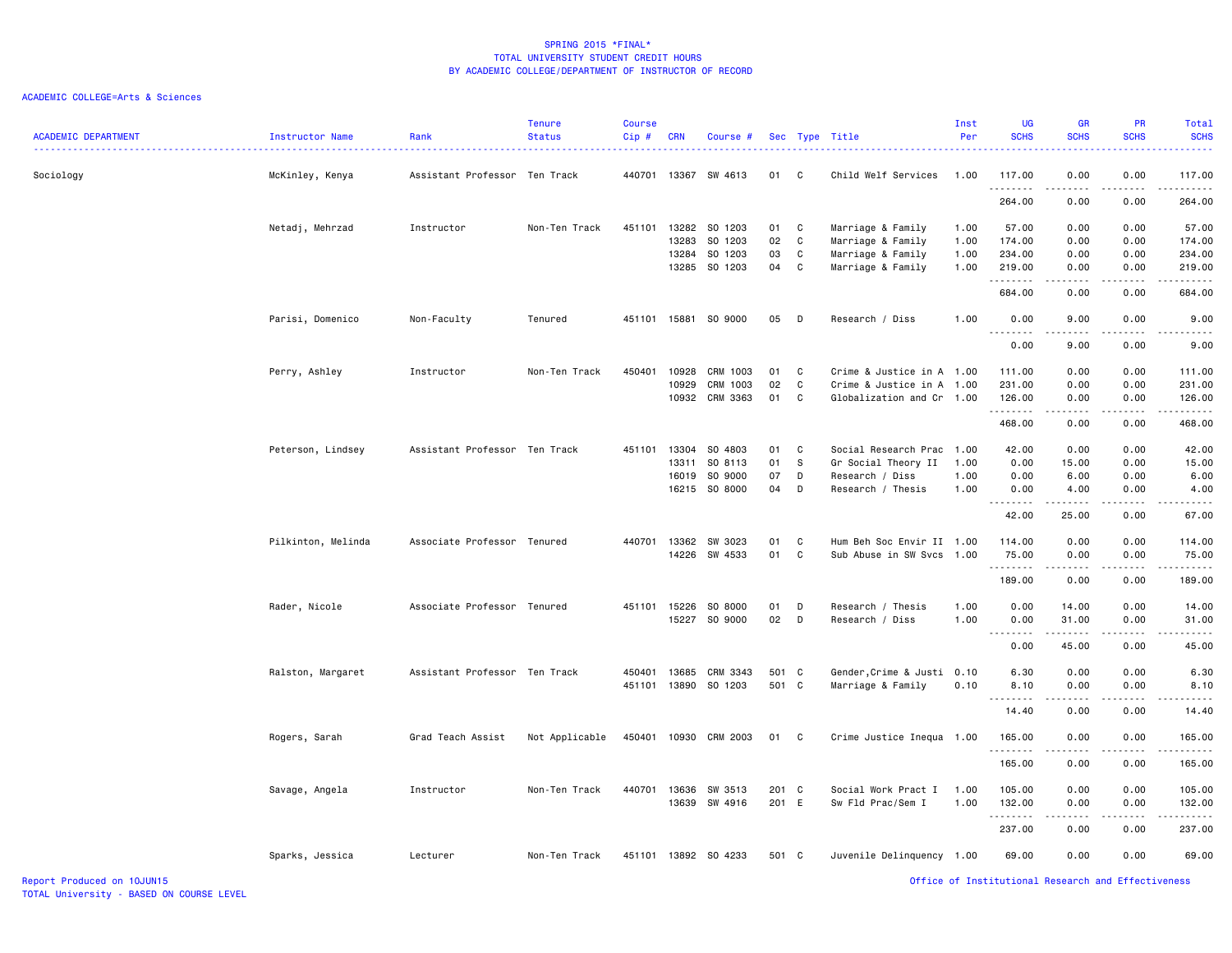| <b>ACADEMIC DEPARTMENT</b> | Instructor Name    | Rank                          | <b>Tenure</b><br><b>Status</b> | <b>Course</b><br>Cip# | <b>CRN</b> | Course #              |        |              | Sec Type Title             | Inst<br>Per | UG<br><b>SCHS</b> | <b>GR</b><br><b>SCHS</b>            | <b>PR</b><br><b>SCHS</b>                           | Total<br><b>SCHS</b>      |
|----------------------------|--------------------|-------------------------------|--------------------------------|-----------------------|------------|-----------------------|--------|--------------|----------------------------|-------------|-------------------|-------------------------------------|----------------------------------------------------|---------------------------|
| Sociology                  | McKinley, Kenya    | Assistant Professor Ten Track |                                | 440701                |            | 13367 SW 4613         | 01     | $\mathbf{C}$ | Child Welf Services        | 1.00        | 117.00            | 0.00                                | 0.00                                               | 117.00                    |
|                            |                    |                               |                                |                       |            |                       |        |              |                            |             | 264.00            | 0.00                                | 0.00                                               | 264.00                    |
|                            | Netadj, Mehrzad    | Instructor                    | Non-Ten Track                  | 451101                |            | 13282 SO 1203         | 01     | C            | Marriage & Family          | 1.00        | 57.00             | 0.00                                | 0.00                                               | 57.00                     |
|                            |                    |                               |                                |                       | 13283      | SO 1203               | 02     | C            | Marriage & Family          | 1.00        | 174.00            | 0.00                                | 0.00                                               | 174.00                    |
|                            |                    |                               |                                |                       | 13284      | SO 1203               | 03     | C            | Marriage & Family          | 1.00        | 234.00            | 0.00                                | 0.00                                               | 234.00                    |
|                            |                    |                               |                                |                       |            | 13285 SO 1203         | 04     | C            | Marriage & Family          | 1.00        | 219.00<br>.       | 0.00<br>.                           | 0.00<br>-----                                      | 219.00                    |
|                            |                    |                               |                                |                       |            |                       |        |              |                            |             | 684.00            | 0.00                                | 0.00                                               | 684.00                    |
|                            | Parisi, Domenico   | Non-Faculty                   | Tenured                        |                       |            | 451101 15881 SO 9000  | 05 D   |              | Research / Diss            | 1.00        | 0.00<br>.         | 9.00                                | 0.00                                               | 9.00                      |
|                            |                    |                               |                                |                       |            |                       |        |              |                            |             | 0.00              | 9.00                                | 0.00                                               | 9.00                      |
|                            | Perry, Ashley      | Instructor                    | Non-Ten Track                  | 450401                | 10928      | CRM 1003              | 01     | C            | Crime & Justice in A 1.00  |             | 111.00            | 0.00                                | 0.00                                               | 111.00                    |
|                            |                    |                               |                                |                       | 10929      | CRM 1003              | 02     | C            | Crime & Justice in A       | 1.00        | 231.00            | 0.00                                | 0.00                                               | 231.00                    |
|                            |                    |                               |                                |                       |            | 10932 CRM 3363        | 01     | C            | Globalization and Cr 1.00  |             | 126.00            | 0.00                                | 0.00<br>د د د د د                                  | 126.00<br>.               |
|                            |                    |                               |                                |                       |            |                       |        |              |                            |             | .<br>468.00       | .<br>0.00                           | 0.00                                               | 468.00                    |
|                            | Peterson, Lindsey  | Assistant Professor Ten Track |                                | 451101                | 13304      | SO 4803               | 01     | C            | Social Research Prac       | 1.00        | 42.00             | 0.00                                | 0.00                                               | 42.00                     |
|                            |                    |                               |                                |                       |            | 13311 SO 8113         | 01     | s            | Gr Social Theory II        | 1.00        | 0.00              | 15.00                               | 0.00                                               | 15.00                     |
|                            |                    |                               |                                |                       | 16019      | SO 9000               | 07     | D            | Research / Diss            | 1.00        | 0.00              | 6.00                                | 0.00                                               | 6.00                      |
|                            |                    |                               |                                |                       |            | 16215 SO 8000         | 04     | D            | Research / Thesis          | 1.00        | 0.00              | 4.00                                | 0.00                                               | 4.00                      |
|                            |                    |                               |                                |                       |            |                       |        |              |                            |             | <b></b><br>42.00  | -----<br>25.00                      | -----<br>0.00                                      | 67.00                     |
|                            | Pilkinton, Melinda | Associate Professor Tenured   |                                |                       |            | 440701 13362 SW 3023  | 01     | C            | Hum Beh Soc Envir II 1.00  |             | 114.00            | 0.00                                | 0.00                                               | 114.00                    |
|                            |                    |                               |                                |                       |            | 14226 SW 4533         | 01     | C            | Sub Abuse in SW Svcs       | 1.00        | 75.00<br>.        | 0.00                                | 0.00                                               | 75.00                     |
|                            |                    |                               |                                |                       |            |                       |        |              |                            |             | 189.00            | .<br>0.00                           | $- - - - -$<br>0.00                                | $- - - - - - -$<br>189.00 |
|                            | Rader, Nicole      | Associate Professor Tenured   |                                | 451101                | 15226      | SO 8000               | 01     | D            | Research / Thesis          | 1.00        | 0.00              | 14.00                               | 0.00                                               | 14.00                     |
|                            |                    |                               |                                |                       | 15227      | SO 9000               | $02$ D |              | Research / Diss            | 1.00        | 0.00              | 31.00                               | 0.00                                               | 31.00                     |
|                            |                    |                               |                                |                       |            |                       |        |              |                            |             | .<br>0.00         | .<br>45.00                          | .<br>0.00                                          | .<br>45.00                |
|                            | Ralston, Margaret  | Assistant Professor Ten Track |                                | 450401                | 13685      | CRM 3343              | 501 C  |              | Gender, Crime & Justi 0.10 |             | 6.30              | 0.00                                | 0.00                                               | 6.30                      |
|                            |                    |                               |                                |                       |            | 451101 13890 SO 1203  | 501 C  |              | Marriage & Family          | 0.10        | 8.10              | 0.00                                | 0.00                                               | 8.10                      |
|                            |                    |                               |                                |                       |            |                       |        |              |                            |             | .<br>14.40        | .<br>0.00                           | .<br>0.00                                          | 14.40                     |
|                            | Rogers, Sarah      | Grad Teach Assist             | Not Applicable                 |                       |            | 450401 10930 CRM 2003 | 01 C   |              | Crime Justice Inequa 1.00  |             | 165.00            | 0.00                                | 0.00                                               | 165.00                    |
|                            |                    |                               |                                |                       |            |                       |        |              |                            |             | .                 | .                                   | $- - - - -$                                        |                           |
|                            |                    |                               |                                |                       |            |                       |        |              |                            |             | 165.00            | 0.00                                | 0.00                                               | 165.00                    |
|                            | Savage, Angela     | Instructor                    | Non-Ten Track                  |                       |            | 440701 13636 SW 3513  | 201 C  |              | Social Work Pract I        | 1.00        | 105.00            | 0.00                                | 0.00                                               | 105.00                    |
|                            |                    |                               |                                |                       | 13639      | SW 4916               | 201 E  |              | Sw Fld Prac/Sem I          | 1.00        | 132.00<br>.       | 0.00<br>$\sim$ $\sim$ $\sim$ $\sim$ | 0.00<br>$- - - - -$                                | 132.00<br>.               |
|                            |                    |                               |                                |                       |            |                       |        |              |                            |             | 237.00            | 0.00                                | 0.00                                               | 237.00                    |
|                            | Sparks, Jessica    | Lecturer                      | Non-Ten Track                  | 451101                |            | 13892 SO 4233         | 501 C  |              | Juvenile Delinquency 1.00  |             | 69.00             | 0.00                                | 0.00                                               | 69.00                     |
| Report Produced on 10JUN15 |                    |                               |                                |                       |            |                       |        |              |                            |             |                   |                                     | Office of Institutional Research and Effectiveness |                           |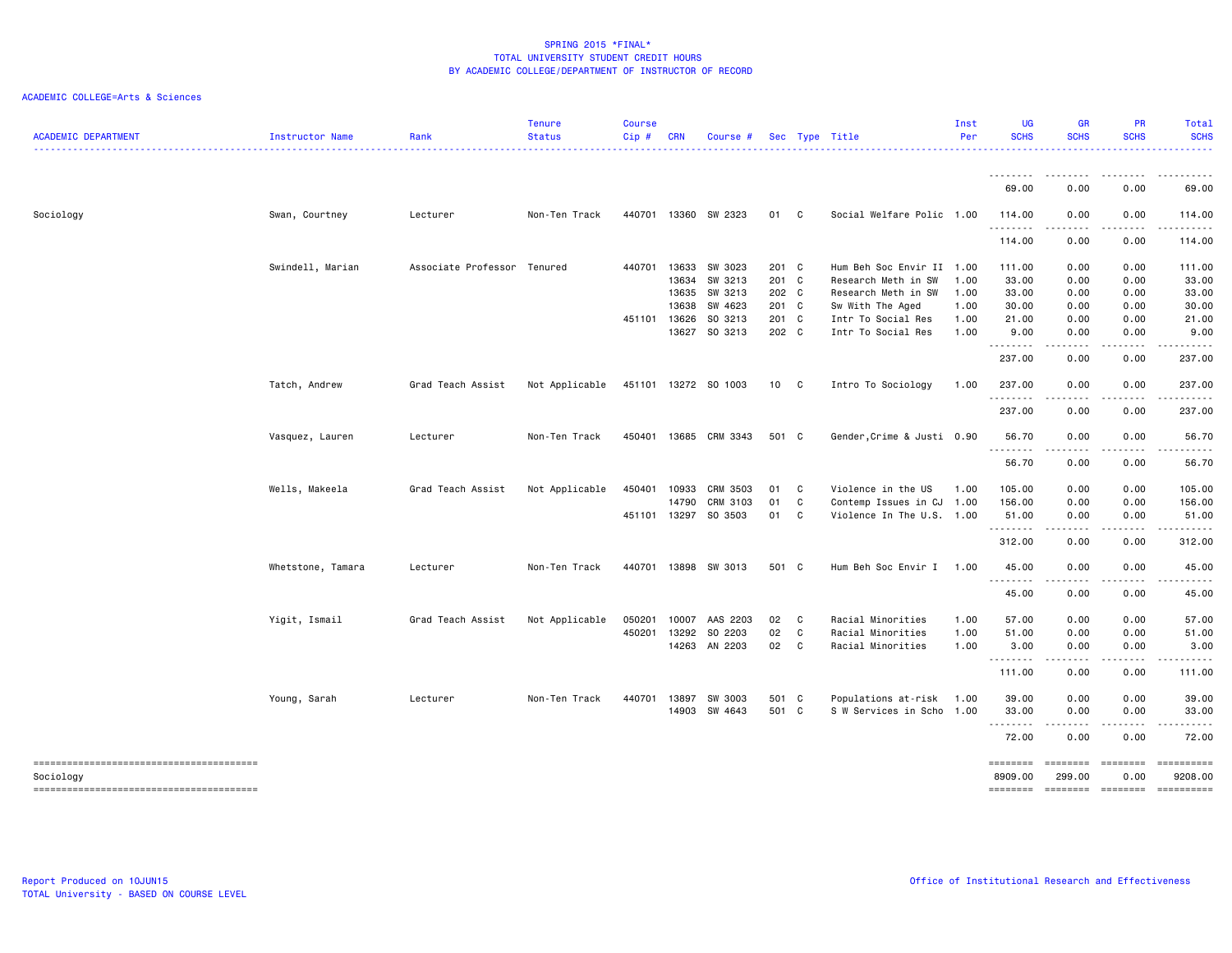| <b>ACADEMIC DEPARTMENT</b> | Instructor Name   | Rank                        | <b>Tenure</b><br><b>Status</b> | <b>Course</b><br>Cip# | <b>CRN</b> | Course #              |       |              | Sec Type Title             | Inst<br>Per | <b>UG</b><br><b>SCHS</b> | <b>GR</b><br><b>SCHS</b>                                                                                                                                     | PR<br><b>SCHS</b>                          | Total<br><b>SCHS</b>                                                                                                                                                                                                                                                                                                                                                                                                          |
|----------------------------|-------------------|-----------------------------|--------------------------------|-----------------------|------------|-----------------------|-------|--------------|----------------------------|-------------|--------------------------|--------------------------------------------------------------------------------------------------------------------------------------------------------------|--------------------------------------------|-------------------------------------------------------------------------------------------------------------------------------------------------------------------------------------------------------------------------------------------------------------------------------------------------------------------------------------------------------------------------------------------------------------------------------|
|                            |                   |                             |                                |                       |            |                       |       |              |                            |             |                          | - - - -                                                                                                                                                      |                                            | . <b>.</b> .                                                                                                                                                                                                                                                                                                                                                                                                                  |
|                            |                   |                             |                                |                       |            |                       |       |              |                            |             | 69.00                    | 0.00                                                                                                                                                         | 0.00                                       | 69.00                                                                                                                                                                                                                                                                                                                                                                                                                         |
| Sociology                  | Swan, Courtney    | Lecturer                    | Non-Ten Track                  | 440701                |            | 13360 SW 2323         | 01 C  |              | Social Welfare Polic 1.00  |             | 114.00<br>.              | 0.00<br>. <u>.</u> .                                                                                                                                         | 0.00                                       | 114.00                                                                                                                                                                                                                                                                                                                                                                                                                        |
|                            |                   |                             |                                |                       |            |                       |       |              |                            |             | 114.00                   | 0.00                                                                                                                                                         | 0.00                                       | 114.00                                                                                                                                                                                                                                                                                                                                                                                                                        |
|                            | Swindell, Marian  | Associate Professor Tenured |                                | 440701                | 13633      | SW 3023               | 201 C |              | Hum Beh Soc Envir II 1.00  |             | 111.00                   | 0.00                                                                                                                                                         | 0.00                                       | 111.00                                                                                                                                                                                                                                                                                                                                                                                                                        |
|                            |                   |                             |                                |                       |            | 13634 SW 3213         | 201 C |              | Research Meth in SW        | 1.00        | 33.00                    | 0.00                                                                                                                                                         | 0.00                                       | 33.00                                                                                                                                                                                                                                                                                                                                                                                                                         |
|                            |                   |                             |                                |                       | 13635      | SW 3213               | 202 C |              | Research Meth in SW        | 1.00        | 33.00                    | 0.00                                                                                                                                                         | 0.00                                       | 33.00                                                                                                                                                                                                                                                                                                                                                                                                                         |
|                            |                   |                             |                                |                       | 13638      | SW 4623               | 201 C |              | Sw With The Aged           | 1.00        | 30.00                    | 0.00                                                                                                                                                         | 0.00                                       | 30.00                                                                                                                                                                                                                                                                                                                                                                                                                         |
|                            |                   |                             |                                | 451101                | 13626      | SO 3213               | 201 C |              | Intr To Social Res         | 1.00        | 21.00                    | 0.00                                                                                                                                                         | 0.00                                       | 21.00                                                                                                                                                                                                                                                                                                                                                                                                                         |
|                            |                   |                             |                                |                       |            | 13627 SO 3213         | 202 C |              | Intr To Social Res         | 1.00        | 9.00<br>.                | 0.00<br>.                                                                                                                                                    | 0.00<br>.                                  | 9.00                                                                                                                                                                                                                                                                                                                                                                                                                          |
|                            |                   |                             |                                |                       |            |                       |       |              |                            |             | 237.00                   | 0.00                                                                                                                                                         | 0.00                                       | 237.00                                                                                                                                                                                                                                                                                                                                                                                                                        |
|                            | Tatch, Andrew     | Grad Teach Assist           | Not Applicable                 |                       |            | 451101 13272 SO 1003  | 10 C  |              | Intro To Sociology         | 1.00        | 237.00<br>.              | 0.00<br>$  -$                                                                                                                                                | 0.00                                       | 237.00                                                                                                                                                                                                                                                                                                                                                                                                                        |
|                            |                   |                             |                                |                       |            |                       |       |              |                            |             | 237.00                   | 0.00                                                                                                                                                         | 0.00                                       | 237.00                                                                                                                                                                                                                                                                                                                                                                                                                        |
|                            | Vasquez, Lauren   | Lecturer                    | Non-Ten Track                  |                       |            | 450401 13685 CRM 3343 | 501 C |              | Gender, Crime & Justi 0.90 |             | 56.70                    | 0.00                                                                                                                                                         | 0.00                                       | 56.70                                                                                                                                                                                                                                                                                                                                                                                                                         |
|                            |                   |                             |                                |                       |            |                       |       |              |                            |             | 56.70                    | .<br>0.00                                                                                                                                                    | -----<br>0.00                              | .<br>56.70                                                                                                                                                                                                                                                                                                                                                                                                                    |
|                            | Wells, Makeela    | Grad Teach Assist           | Not Applicable                 | 450401                | 10933      | CRM 3503              | 01    | C            | Violence in the US         | 1.00        | 105.00                   | 0.00                                                                                                                                                         | 0.00                                       | 105.00                                                                                                                                                                                                                                                                                                                                                                                                                        |
|                            |                   |                             |                                |                       | 14790      | CRM 3103              | 01    | C            | Contemp Issues in CJ       | 1.00        | 156.00                   | 0.00                                                                                                                                                         | 0.00                                       | 156.00                                                                                                                                                                                                                                                                                                                                                                                                                        |
|                            |                   |                             |                                | 451101                |            | 13297 SO 3503         | 01    | $\mathbf c$  | Violence In The U.S. 1.00  |             | 51.00                    | 0.00<br>$\frac{1}{2} \left( \frac{1}{2} \right) \left( \frac{1}{2} \right) \left( \frac{1}{2} \right) \left( \frac{1}{2} \right)$                            | 0.00                                       | 51.00                                                                                                                                                                                                                                                                                                                                                                                                                         |
|                            |                   |                             |                                |                       |            |                       |       |              |                            |             | 312.00                   | 0.00                                                                                                                                                         | 0.00                                       | 312.00                                                                                                                                                                                                                                                                                                                                                                                                                        |
|                            | Whetstone, Tamara | Lecturer                    | Non-Ten Track                  | 440701                |            | 13898 SW 3013         | 501 C |              | Hum Beh Soc Envir I        | 1.00        | 45.00                    | 0.00                                                                                                                                                         | 0.00                                       | 45.00                                                                                                                                                                                                                                                                                                                                                                                                                         |
|                            |                   |                             |                                |                       |            |                       |       |              |                            |             | 45.00                    | 0.00                                                                                                                                                         | 0.00                                       | 45.00                                                                                                                                                                                                                                                                                                                                                                                                                         |
|                            | Yigit, Ismail     | Grad Teach Assist           | Not Applicable                 | 050201                | 10007      | AAS 2203              | 02 C  |              | Racial Minorities          | 1.00        | 57.00                    | 0.00                                                                                                                                                         | 0.00                                       | 57.00                                                                                                                                                                                                                                                                                                                                                                                                                         |
|                            |                   |                             |                                | 450201                | 13292      | SO 2203               | 02    | $\mathbf{C}$ | Racial Minorities          | 1.00        | 51.00                    | 0.00                                                                                                                                                         | 0.00                                       | 51.00                                                                                                                                                                                                                                                                                                                                                                                                                         |
|                            |                   |                             |                                |                       |            | 14263 AN 2203         | 02 C  |              | Racial Minorities          | 1.00        | 3.00<br>.                | 0.00<br>.                                                                                                                                                    | 0.00<br>$\sim$ $\sim$ $\sim$ $\sim$ $\sim$ | 3.00<br>.                                                                                                                                                                                                                                                                                                                                                                                                                     |
|                            |                   |                             |                                |                       |            |                       |       |              |                            |             | 111.00                   | 0.00                                                                                                                                                         | 0.00                                       | 111.00                                                                                                                                                                                                                                                                                                                                                                                                                        |
|                            | Young, Sarah      | Lecturer                    | Non-Ten Track                  | 440701                | 13897      | SW 3003               | 501 C |              | Populations at-risk        | 1.00        | 39.00                    | 0.00                                                                                                                                                         | 0.00                                       | 39.00                                                                                                                                                                                                                                                                                                                                                                                                                         |
|                            |                   |                             |                                |                       |            | 14903 SW 4643         | 501 C |              | S W Services in Scho       | 1.00        | 33.00<br>.               | 0.00<br>$\frac{1}{2} \left( \frac{1}{2} \right) \left( \frac{1}{2} \right) \left( \frac{1}{2} \right) \left( \frac{1}{2} \right) \left( \frac{1}{2} \right)$ | 0.00                                       | 33.00                                                                                                                                                                                                                                                                                                                                                                                                                         |
|                            |                   |                             |                                |                       |            |                       |       |              |                            |             | 72.00                    | 0.00                                                                                                                                                         | 0.00                                       | 72.00                                                                                                                                                                                                                                                                                                                                                                                                                         |
|                            |                   |                             |                                |                       |            |                       |       |              |                            |             | ========                 | ========                                                                                                                                                     | $=$ ========                               | $\begin{minipage}{0.9\linewidth} \hspace*{-0.2cm} \textbf{1} & \textbf{2} & \textbf{3} & \textbf{5} & \textbf{6} & \textbf{7} & \textbf{8} \\ \textbf{5} & \textbf{6} & \textbf{7} & \textbf{8} & \textbf{8} & \textbf{9} & \textbf{10} & \textbf{10} & \textbf{10} \\ \textbf{6} & \textbf{8} & \textbf{8} & \textbf{8} & \textbf{8} & \textbf{9} & \textbf{10} & \textbf{10} & \textbf{10} & \textbf{10} \\ \textbf{7} & \$ |
| Sociology                  |                   |                             |                                |                       |            |                       |       |              |                            |             | 8909.00                  | 299.00                                                                                                                                                       | 0.00                                       | 9208.00                                                                                                                                                                                                                                                                                                                                                                                                                       |
|                            |                   |                             |                                |                       |            |                       |       |              |                            |             | ========                 | ========                                                                                                                                                     |                                            | $\begin{minipage}{0.9\linewidth} \hspace*{-0.2cm} \textbf{1} & \textbf{2} & \textbf{3} & \textbf{5} & \textbf{6} & \textbf{7} & \textbf{8} \\ \textbf{5} & \textbf{6} & \textbf{7} & \textbf{8} & \textbf{8} & \textbf{9} & \textbf{10} & \textbf{10} & \textbf{10} \\ \textbf{6} & \textbf{8} & \textbf{8} & \textbf{8} & \textbf{8} & \textbf{9} & \textbf{10} & \textbf{10} & \textbf{10} & \textbf{10} \\ \textbf{7} & \$ |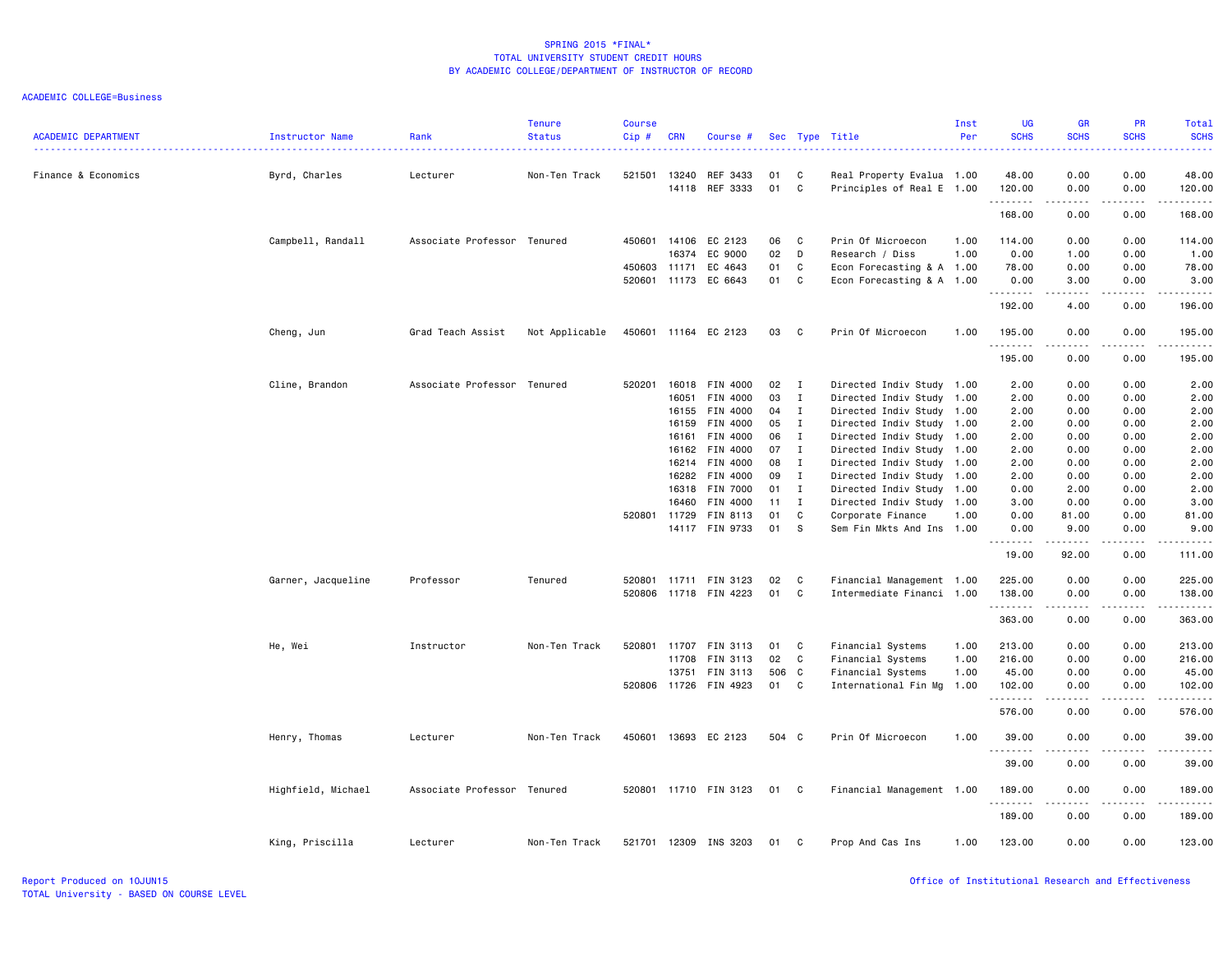| <b>ACADEMIC DEPARTMENT</b> | Instructor Name    | Rank                        | <b>Tenure</b><br><b>Status</b> | <b>Course</b><br>Cip# | <b>CRN</b> | Course #                   |          |              | Sec Type Title                                         | Inst<br>Per | <b>UG</b><br><b>SCHS</b> | <b>GR</b><br><b>SCHS</b> | <b>PR</b><br><b>SCHS</b>            | <b>Total</b><br><b>SCHS</b> |
|----------------------------|--------------------|-----------------------------|--------------------------------|-----------------------|------------|----------------------------|----------|--------------|--------------------------------------------------------|-------------|--------------------------|--------------------------|-------------------------------------|-----------------------------|
| Finance & Economics        | Byrd, Charles      | Lecturer                    | Non-Ten Track                  | 521501                | 13240      | REF 3433<br>14118 REF 3333 | 01<br>01 | C<br>C       | Real Property Evalua 1.00<br>Principles of Real E 1.00 |             | 48.00<br>120.00          | 0.00<br>0.00             | 0.00<br>0.00                        | 48.00<br>120.00             |
|                            |                    |                             |                                |                       |            |                            |          |              |                                                        |             | .<br>168.00              | .<br>0.00                | .<br>0.00                           | .<br>168.00                 |
|                            |                    |                             |                                |                       |            |                            |          |              |                                                        |             |                          |                          |                                     |                             |
|                            | Campbell, Randall  | Associate Professor Tenured |                                | 450601                | 14106      | EC 2123                    | 06       | C            | Prin Of Microecon                                      | 1.00        | 114.00                   | 0.00                     | 0.00                                | 114.00                      |
|                            |                    |                             |                                |                       | 16374      | EC 9000                    | 02       | D            | Research / Diss                                        | 1.00        | 0.00                     | 1.00                     | 0.00                                | 1.00                        |
|                            |                    |                             |                                | 450603                | 11171      | EC 4643                    | 01       | C            | Econ Forecasting & A 1.00                              |             | 78.00                    | 0.00                     | 0.00                                | 78.00                       |
|                            |                    |                             |                                | 520601 11173          |            | EC 6643                    | 01       | C            | Econ Forecasting & A 1.00                              |             | 0.00<br>.                | 3.00<br>.                | 0.00<br>$\sim$ $\sim$ $\sim$ $\sim$ | 3.00<br>المستما             |
|                            |                    |                             |                                |                       |            |                            |          |              |                                                        |             | 192.00                   | 4.00                     | 0.00                                | 196.00                      |
|                            | Cheng, Jun         | Grad Teach Assist           | Not Applicable                 |                       |            | 450601 11164 EC 2123       | 03       | - C          | Prin Of Microecon                                      | 1.00        | 195.00<br>.              | 0.00<br>.                | 0.00                                | 195.00<br><u>.</u>          |
|                            |                    |                             |                                |                       |            |                            |          |              |                                                        |             | 195.00                   | 0.00                     | 0.00                                | 195.00                      |
|                            | Cline, Brandon     | Associate Professor Tenured |                                | 520201                | 16018      | FIN 4000                   | 02       | $\mathbf{I}$ | Directed Indiv Study 1.00                              |             | 2.00                     | 0.00                     | 0.00                                | 2.00                        |
|                            |                    |                             |                                |                       | 16051      | FIN 4000                   | 03       | $\mathbf{I}$ | Directed Indiv Study                                   | 1.00        | 2.00                     | 0.00                     | 0.00                                | 2.00                        |
|                            |                    |                             |                                |                       | 16155      | FIN 4000                   | 04       | $\mathbf{I}$ | Directed Indiv Study 1.00                              |             | 2.00                     | 0.00                     | 0.00                                | 2.00                        |
|                            |                    |                             |                                |                       | 16159      | FIN 4000                   | 05       | $\mathbf{I}$ | Directed Indiv Study 1.00                              |             | 2.00                     | 0.00                     | 0.00                                | 2.00                        |
|                            |                    |                             |                                |                       | 16161      | FIN 4000                   | 06       | $\mathbf{I}$ | Directed Indiv Study 1.00                              |             | 2.00                     | 0.00                     | 0.00                                | 2.00                        |
|                            |                    |                             |                                |                       | 16162      | FIN 4000                   | 07       | I            | Directed Indiv Study 1.00                              |             | 2.00                     | 0.00                     | 0.00                                | 2.00                        |
|                            |                    |                             |                                |                       | 16214      | FIN 4000                   | 08       | I            | Directed Indiv Study                                   | 1.00        | 2.00                     | 0.00                     | 0.00                                | 2.00                        |
|                            |                    |                             |                                |                       | 16282      | FIN 4000                   | 09       | $\mathbf{I}$ | Directed Indiv Study 1.00                              |             | 2.00                     | 0.00                     | 0.00                                | 2.00                        |
|                            |                    |                             |                                |                       | 16318      | <b>FIN 7000</b>            | 01       | $\mathbf{I}$ | Directed Indiv Study 1.00                              |             | 0.00                     | 2.00                     | 0.00                                | 2.00                        |
|                            |                    |                             |                                |                       | 16460      | FIN 4000                   | 11       | $\mathbf{I}$ | Directed Indiv Study                                   | 1.00        | 3.00                     | 0.00                     | 0.00                                | 3.00                        |
|                            |                    |                             |                                | 520801 11729          |            | FIN 8113                   | 01       | C            | Corporate Finance                                      | 1.00        | 0.00                     | 81.00                    | 0.00                                | 81.00                       |
|                            |                    |                             |                                |                       |            | 14117 FIN 9733             | 01       | S            | Sem Fin Mkts And Ins                                   | 1.00        | 0.00<br>.                | 9.00<br>د د د د د        | 0.00                                | 9.00<br>.                   |
|                            |                    |                             |                                |                       |            |                            |          |              |                                                        |             | 19.00                    | 92.00                    | 0.00                                | 111.00                      |
|                            | Garner, Jacqueline | Professor                   | Tenured                        | 520801 11711          |            | FIN 3123                   | 02       | C            | Financial Management 1.00                              |             | 225.00                   | 0.00                     | 0.00                                | 225.00                      |
|                            |                    |                             |                                | 520806                |            | 11718 FIN 4223             | 01       | C            | Intermediate Financi 1.00                              |             | 138.00<br>.              | 0.00<br>.                | 0.00<br>.                           | 138.00                      |
|                            |                    |                             |                                |                       |            |                            |          |              |                                                        |             | 363.00                   | 0.00                     | 0.00                                | 363.00                      |
|                            | He, Wei            | Instructor                  | Non-Ten Track                  | 520801                | 11707      | FIN 3113                   | 01       | C            | Financial Systems                                      | 1.00        | 213.00                   | 0.00                     | 0.00                                | 213.00                      |
|                            |                    |                             |                                |                       | 11708      | FIN 3113                   | 02       | C            | Financial Systems                                      | 1.00        | 216.00                   | 0.00                     | 0.00                                | 216.00                      |
|                            |                    |                             |                                |                       | 13751      | FIN 3113                   | 506      | $\mathbf{C}$ | Financial Systems                                      | 1.00        | 45.00                    | 0.00                     | 0.00                                | 45.00                       |
|                            |                    |                             |                                | 520806                | 11726      | FIN 4923                   | 01       | C            | International Fin Mg                                   | 1.00        | 102.00                   | 0.00                     | 0.00                                | 102.00                      |
|                            |                    |                             |                                |                       |            |                            |          |              |                                                        |             | .<br>576.00              | 0.00                     | 0.00                                | 576.00                      |
|                            | Henry, Thomas      | Lecturer                    | Non-Ten Track                  |                       |            | 450601 13693 EC 2123       | 504 C    |              | Prin Of Microecon                                      | 1.00        | 39.00                    | 0.00                     | 0.00                                | 39.00                       |
|                            |                    |                             |                                |                       |            |                            |          |              |                                                        |             | <u>.</u><br>39.00        | .<br>0.00                | 0.00                                | $\cdots$<br>39.00           |
|                            | Highfield, Michael | Associate Professor Tenured |                                |                       |            | 520801 11710 FIN 3123      | 01 C     |              | Financial Management 1.00                              |             | 189.00                   | 0.00                     | 0.00                                | 189.00                      |
|                            |                    |                             |                                |                       |            |                            |          |              |                                                        |             | .<br>189.00              | . <u>.</u><br>0.00       | .<br>0.00                           | .<br>189.00                 |
|                            | King, Priscilla    | Lecturer                    | Non-Ten Track                  |                       |            | 521701 12309 INS 3203      | 01       | C            | Prop And Cas Ins                                       | 1.00        | 123.00                   | 0.00                     | 0.00                                | 123.00                      |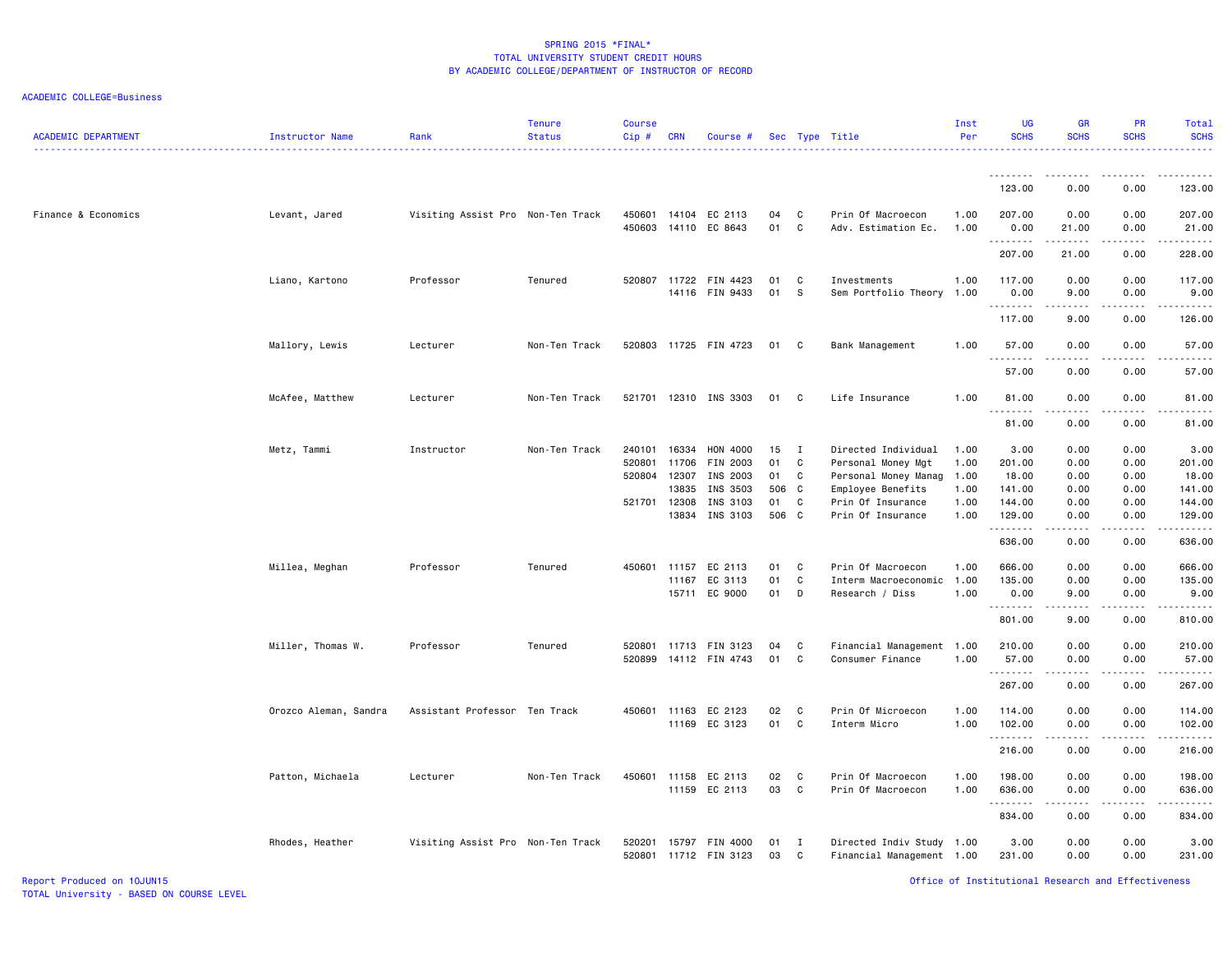| <b>ACADEMIC DEPARTMENT</b> | Instructor Name       | Rank                              | Tenure<br><b>Status</b> | <b>Course</b><br>Cip#      | <b>CRN</b>                       | Course #                                     |                         |                        | Sec Type Title                                                                         | Inst<br>Per                  | <b>UG</b><br><b>SCHS</b>          | <b>GR</b><br><b>SCHS</b>                                                                                                                                             | PR<br><b>SCHS</b>                                                                                                                                            | Total<br><b>SCHS</b><br>.         |
|----------------------------|-----------------------|-----------------------------------|-------------------------|----------------------------|----------------------------------|----------------------------------------------|-------------------------|------------------------|----------------------------------------------------------------------------------------|------------------------------|-----------------------------------|----------------------------------------------------------------------------------------------------------------------------------------------------------------------|--------------------------------------------------------------------------------------------------------------------------------------------------------------|-----------------------------------|
|                            |                       |                                   |                         |                            |                                  |                                              |                         |                        |                                                                                        |                              | .<br>123.00                       | 0.00                                                                                                                                                                 | 0.00                                                                                                                                                         | 123.00                            |
| Finance & Economics        | Levant, Jared         | Visiting Assist Pro Non-Ten Track |                         | 450601<br>450603           |                                  | 14104 EC 2113<br>14110 EC 8643               | 04<br>01                | C<br>$\mathbf c$       | Prin Of Macroecon<br>Adv. Estimation Ec.                                               | 1.00<br>1.00                 | 207.00<br>0.00                    | 0.00<br>21.00                                                                                                                                                        | 0.00<br>0.00                                                                                                                                                 | 207.00<br>21.00                   |
|                            |                       |                                   |                         |                            |                                  |                                              |                         |                        |                                                                                        |                              | .<br>207.00                       | المستمال<br>21.00                                                                                                                                                    | 0.00                                                                                                                                                         | 228.00                            |
|                            | Liano, Kartono        | Professor                         | Tenured                 |                            | 520807 11722                     | FIN 4423<br>14116 FIN 9433                   | 01<br>01                | C<br>S                 | Investments<br>Sem Portfolio Theory                                                    | 1.00<br>1.00                 | 117.00<br>0.00                    | 0.00<br>9.00                                                                                                                                                         | 0.00<br>0.00                                                                                                                                                 | 117.00<br>9.00                    |
|                            |                       |                                   |                         |                            |                                  |                                              |                         |                        |                                                                                        |                              | .<br>117.00                       | 9.00                                                                                                                                                                 | 0.00                                                                                                                                                         | 126.00                            |
|                            | Mallory, Lewis        | Lecturer                          | Non-Ten Track           |                            |                                  | 520803 11725 FIN 4723                        | 01 C                    |                        | Bank Management                                                                        | 1.00                         | 57.00<br><u>.</u>                 | 0.00                                                                                                                                                                 | 0.00                                                                                                                                                         | 57.00                             |
|                            |                       |                                   |                         |                            |                                  |                                              |                         |                        |                                                                                        |                              | 57.00                             | 0.00                                                                                                                                                                 | 0.00                                                                                                                                                         | 57.00                             |
|                            | McAfee, Matthew       | Lecturer                          | Non-Ten Track           | 521701                     |                                  | 12310 INS 3303                               | 01                      | C)                     | Life Insurance                                                                         | 1.00                         | 81.00<br>.                        | 0.00<br>.                                                                                                                                                            | 0.00                                                                                                                                                         | 81.00                             |
|                            |                       |                                   |                         |                            |                                  |                                              |                         |                        |                                                                                        |                              | 81.00                             | 0.00                                                                                                                                                                 | 0.00                                                                                                                                                         | 81.00                             |
|                            | Metz, Tammi           | Instructor                        | Non-Ten Track           | 240101<br>520801<br>520804 | 16334<br>11706<br>12307<br>13835 | HON 4000<br>FIN 2003<br>INS 2003<br>INS 3503 | 15<br>01<br>01<br>506 C | $\mathbf{I}$<br>C<br>C | Directed Individual<br>Personal Money Mgt<br>Personal Money Manag<br>Employee Benefits | 1.00<br>1.00<br>1.00<br>1.00 | 3.00<br>201.00<br>18.00<br>141.00 | 0.00<br>0.00<br>0.00<br>0.00                                                                                                                                         | 0.00<br>0.00<br>0.00<br>0.00                                                                                                                                 | 3.00<br>201.00<br>18.00<br>141.00 |
|                            |                       |                                   |                         | 521701 12308               | 13834                            | INS 3103<br>INS 3103                         | 01 C<br>506 C           |                        | Prin Of Insurance<br>Prin Of Insurance                                                 | 1.00<br>1.00                 | 144.00<br>129.00                  | 0.00<br>0.00                                                                                                                                                         | 0.00<br>0.00                                                                                                                                                 | 144.00<br>129.00                  |
|                            |                       |                                   |                         |                            |                                  |                                              |                         |                        |                                                                                        |                              | .<br>636.00                       | .<br>0.00                                                                                                                                                            | .<br>0.00                                                                                                                                                    | .<br>636.00                       |
|                            | Millea, Meghan        | Professor                         | Tenured                 | 450601                     | 11157<br>11167                   | EC 2113<br>EC 3113<br>15711 EC 9000          | 01<br>01<br>01          | $\mathbf{C}$<br>C<br>D | Prin Of Macroecon<br>Interm Macroeconomic 1.00<br>Research / Diss                      | 1.00<br>1.00                 | 666.00<br>135.00<br>0.00          | 0.00<br>0.00<br>9.00                                                                                                                                                 | 0.00<br>0.00<br>0.00                                                                                                                                         | 666.00<br>135.00<br>9.00          |
|                            |                       |                                   |                         |                            |                                  |                                              |                         |                        |                                                                                        |                              | .<br>801.00                       | .<br>9.00                                                                                                                                                            | $\frac{1}{2} \left( \frac{1}{2} \right) \left( \frac{1}{2} \right) \left( \frac{1}{2} \right) \left( \frac{1}{2} \right) \left( \frac{1}{2} \right)$<br>0.00 | .<br>810.00                       |
|                            | Miller, Thomas W.     | Professor                         | Tenured                 | 520801<br>520899           |                                  | 11713 FIN 3123<br>14112 FIN 4743             | 04<br>01                | C<br>C                 | Financial Management 1.00<br>Consumer Finance                                          | 1.00                         | 210.00<br>57.00<br>.              | 0.00<br>0.00                                                                                                                                                         | 0.00<br>0.00                                                                                                                                                 | 210.00<br>57.00<br>.              |
|                            |                       |                                   |                         |                            |                                  |                                              |                         |                        |                                                                                        |                              | 267.00                            | 0.00                                                                                                                                                                 | 0.00                                                                                                                                                         | 267.00                            |
|                            | Orozco Aleman, Sandra | Assistant Professor Ten Track     |                         |                            |                                  | 450601 11163 EC 2123<br>11169 EC 3123        | 02<br>01                | C<br>C                 | Prin Of Microecon<br>Interm Micro                                                      | 1.00<br>1.00                 | 114.00<br>102.00<br>.             | 0.00<br>0.00<br>.                                                                                                                                                    | 0.00<br>0.00<br>.                                                                                                                                            | 114.00<br>102.00<br>.             |
|                            |                       |                                   |                         |                            |                                  |                                              |                         |                        |                                                                                        |                              | 216.00                            | 0.00                                                                                                                                                                 | 0.00                                                                                                                                                         | 216.00                            |
|                            | Patton, Michaela      | Lecturer                          | Non-Ten Track           | 450601                     | 11158                            | EC 2113<br>11159 EC 2113                     | 02<br>03                | C<br>$\mathbf{C}$      | Prin Of Macroecon<br>Prin Of Macroecon                                                 | 1.00<br>1.00                 | 198.00<br>636.00<br>.             | 0.00<br>0.00<br>$\frac{1}{2} \left( \frac{1}{2} \right) \left( \frac{1}{2} \right) \left( \frac{1}{2} \right) \left( \frac{1}{2} \right) \left( \frac{1}{2} \right)$ | 0.00<br>0.00<br>.                                                                                                                                            | 198.00<br>636.00                  |
|                            |                       |                                   |                         |                            |                                  |                                              |                         |                        |                                                                                        |                              | 834.00                            | 0.00                                                                                                                                                                 | 0.00                                                                                                                                                         | 834.00                            |
|                            | Rhodes, Heather       | Visiting Assist Pro Non-Ten Track |                         | 520201                     | 15797                            | FIN 4000<br>520801 11712 FIN 3123            | 01<br>03                | I<br>$\mathbf{C}$      | Directed Indiv Study 1.00<br>Financial Management 1.00                                 |                              | 3.00<br>231.00                    | 0.00<br>0.00                                                                                                                                                         | 0.00<br>0.00                                                                                                                                                 | 3.00<br>231.00                    |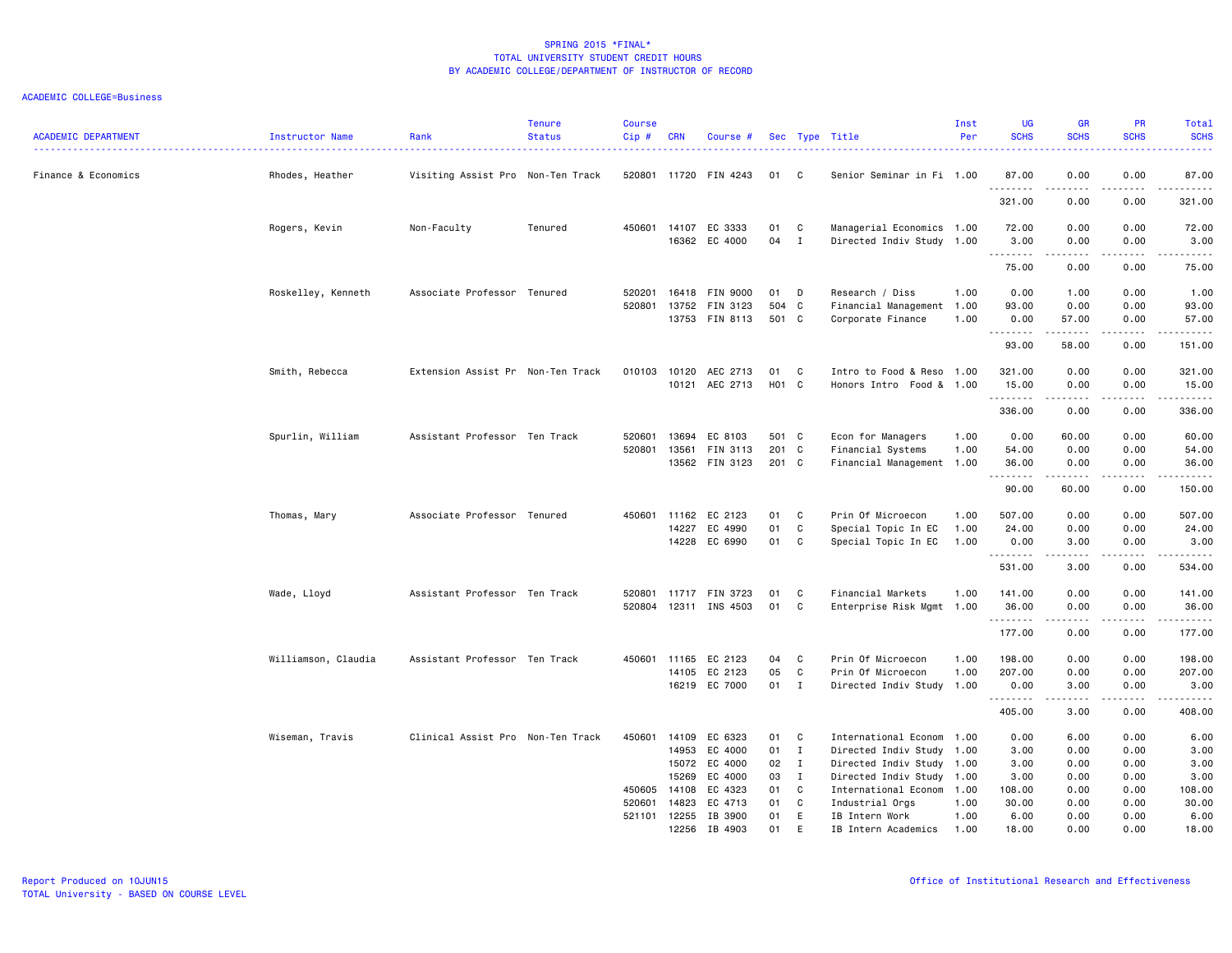| <b>ACADEMIC DEPARTMENT</b> | Instructor Name     | Rank                              | <b>Tenure</b><br><b>Status</b> | <b>Course</b><br>Cip# | <b>CRN</b>            | Course #              |          |              | Sec Type Title                        | Inst<br>Per  | <b>UG</b><br><b>SCHS</b> | <b>GR</b><br><b>SCHS</b>                                                                                                                                     | <b>PR</b><br><b>SCHS</b> | Total<br><b>SCHS</b><br><u>.</u> |
|----------------------------|---------------------|-----------------------------------|--------------------------------|-----------------------|-----------------------|-----------------------|----------|--------------|---------------------------------------|--------------|--------------------------|--------------------------------------------------------------------------------------------------------------------------------------------------------------|--------------------------|----------------------------------|
| Finance & Economics        | Rhodes, Heather     | Visiting Assist Pro Non-Ten Track |                                |                       |                       | 520801 11720 FIN 4243 | 01 C     |              | Senior Seminar in Fi 1.00             |              | 87.00                    | 0.00                                                                                                                                                         | 0.00                     | 87.00                            |
|                            |                     |                                   |                                |                       |                       |                       |          |              |                                       |              | .<br>321.00              | $\frac{1}{2} \left( \frac{1}{2} \right) \left( \frac{1}{2} \right) \left( \frac{1}{2} \right) \left( \frac{1}{2} \right) \left( \frac{1}{2} \right)$<br>0.00 | د د د د<br>0.00          | .<br>321.00                      |
|                            | Rogers, Kevin       | Non-Faculty                       | Tenured                        | 450601                | 14107                 | EC 3333               | 01       | C            | Managerial Economics 1.00             |              | 72.00                    | 0.00                                                                                                                                                         | 0.00                     | 72.00                            |
|                            |                     |                                   |                                |                       |                       | 16362 EC 4000         | 04       | $\mathbf{I}$ | Directed Indiv Study 1.00             |              | 3.00<br>.                | 0.00                                                                                                                                                         | 0.00<br>$  -$            | 3.00<br>.                        |
|                            |                     |                                   |                                |                       |                       |                       |          |              |                                       |              | 75.00                    | 0.00                                                                                                                                                         | 0.00                     | 75.00                            |
|                            | Roskelley, Kenneth  | Associate Professor Tenured       |                                | 520201                | 16418                 | FIN 9000              | 01       | D            | Research / Diss                       | 1.00         | 0.00                     | 1.00                                                                                                                                                         | 0.00                     | 1.00                             |
|                            |                     |                                   |                                | 520801                | 13752                 | FIN 3123              | 504 C    |              | Financial Management 1.00             |              | 93.00                    | 0.00                                                                                                                                                         | 0.00                     | 93.00                            |
|                            |                     |                                   |                                |                       |                       | 13753 FIN 8113        | 501 C    |              | Corporate Finance                     | 1.00         | 0.00<br>.                | 57.00<br>.                                                                                                                                                   | 0.00<br>.                | 57.00<br>.                       |
|                            |                     |                                   |                                |                       |                       |                       |          |              |                                       |              | 93.00                    | 58.00                                                                                                                                                        | 0.00                     | 151.00                           |
|                            | Smith, Rebecca      | Extension Assist Pr Non-Ten Track |                                | 010103                | 10120                 | AEC 2713              | 01       | C            | Intro to Food & Reso 1.00             |              | 321.00                   | 0.00                                                                                                                                                         | 0.00                     | 321.00                           |
|                            |                     |                                   |                                |                       |                       | 10121 AEC 2713        | H01 C    |              | Honors Intro Food & 1.00              |              | 15.00                    | 0.00                                                                                                                                                         | 0.00                     | 15.00                            |
|                            |                     |                                   |                                |                       |                       |                       |          |              |                                       |              | .<br>336.00              | .<br>0.00                                                                                                                                                    | $\frac{1}{2}$<br>0.00    | .<br>336.00                      |
|                            | Spurlin, William    | Assistant Professor Ten Track     |                                | 520601                | 13694                 | EC 8103               | 501 C    |              | Econ for Managers                     | 1.00         | 0.00                     | 60.00                                                                                                                                                        | 0.00                     | 60.00                            |
|                            |                     |                                   |                                | 520801                | 13561                 | FIN 3113              | 201 C    |              | Financial Systems                     | 1.00         | 54.00                    | 0.00                                                                                                                                                         | 0.00                     | 54.00                            |
|                            |                     |                                   |                                |                       |                       | 13562 FIN 3123        | 201 C    |              | Financial Management 1.00             |              | 36.00                    | 0.00                                                                                                                                                         | 0.00                     | 36.00                            |
|                            |                     |                                   |                                |                       |                       |                       |          |              |                                       |              | .<br>90.00               | .<br>60.00                                                                                                                                                   | .<br>0.00                | .<br>150.00                      |
|                            | Thomas, Mary        | Associate Professor Tenured       |                                | 450601                | 11162                 | EC 2123               | 01       | C            | Prin Of Microecon                     | 1.00         | 507.00                   | 0.00                                                                                                                                                         | 0.00                     | 507.00                           |
|                            |                     |                                   |                                |                       | 14227                 | EC 4990               | 01       | C            | Special Topic In EC                   | 1.00         | 24.00                    | 0.00                                                                                                                                                         | 0.00                     | 24.00                            |
|                            |                     |                                   |                                |                       |                       | 14228 EC 6990         | 01       | C            | Special Topic In EC                   | 1.00         | 0.00<br>.                | 3.00<br>$\frac{1}{2} \left( \frac{1}{2} \right) \left( \frac{1}{2} \right) \left( \frac{1}{2} \right) \left( \frac{1}{2} \right) \left( \frac{1}{2} \right)$ | 0.00<br>د د د د          | 3.00<br>.                        |
|                            |                     |                                   |                                |                       |                       |                       |          |              |                                       |              | 531.00                   | 3.00                                                                                                                                                         | 0.00                     | 534.00                           |
|                            | Wade, Lloyd         | Assistant Professor Ten Track     |                                | 520801                | 11717                 | FIN 3723              | 01       | C            | Financial Markets                     | 1.00         | 141.00                   | 0.00                                                                                                                                                         | 0.00                     | 141.00                           |
|                            |                     |                                   |                                | 520804                |                       | 12311 INS 4503        | 01       | C            | Enterprise Risk Mgmt 1.00             |              | 36.00                    | 0.00                                                                                                                                                         | 0.00<br>.                | 36.00                            |
|                            |                     |                                   |                                |                       |                       |                       |          |              |                                       |              | --------<br>177.00       | -----<br>0.00                                                                                                                                                | 0.00                     | ------<br>177.00                 |
|                            | Williamson, Claudia | Assistant Professor Ten Track     |                                | 450601                | 11165                 | EC 2123               | 04       | C            | Prin Of Microecon                     | 1.00         | 198.00                   | 0.00                                                                                                                                                         | 0.00                     | 198.00                           |
|                            |                     |                                   |                                |                       | 14105                 | EC 2123               | 05       | C            | Prin Of Microecon                     | 1.00         | 207.00                   | 0.00                                                                                                                                                         | 0.00                     | 207.00                           |
|                            |                     |                                   |                                |                       |                       | 16219 EC 7000         | 01 I     |              | Directed Indiv Study 1.00             |              | 0.00<br>.                | 3.00<br>-----                                                                                                                                                | 0.00<br>د د د د          | 3.00<br>.                        |
|                            |                     |                                   |                                |                       |                       |                       |          |              |                                       |              | 405.00                   | 3.00                                                                                                                                                         | 0.00                     | 408.00                           |
|                            | Wiseman, Travis     | Clinical Assist Pro Non-Ten Track |                                | 450601                | 14109                 | EC 6323               | 01       | C            | International Econom 1.00             |              | 0.00                     | 6.00                                                                                                                                                         | 0.00                     | 6.00                             |
|                            |                     |                                   |                                |                       | 14953                 | EC 4000               | 01       | $\mathbf{I}$ | Directed Indiv Study 1.00             |              | 3.00                     | 0.00                                                                                                                                                         | 0.00                     | 3.00                             |
|                            |                     |                                   |                                |                       | 15072                 | EC 4000               | 02       | $\mathbf{I}$ | Directed Indiv Study 1.00             |              | 3.00                     | 0.00                                                                                                                                                         | 0.00                     | 3.00                             |
|                            |                     |                                   |                                |                       | 15269                 | EC 4000               | 03       | $\mathbf{I}$ | Directed Indiv Study 1.00             |              | 3.00                     | 0.00                                                                                                                                                         | 0.00                     | 3.00                             |
|                            |                     |                                   |                                | 450605                | 14108                 | EC 4323               | 01       | C            | International Econom 1.00             |              | 108.00                   | 0.00                                                                                                                                                         | 0.00                     | 108.00                           |
|                            |                     |                                   |                                | 520601                | 14823                 | EC 4713               | 01       | C            | Industrial Orgs                       | 1.00         | 30.00                    | 0.00                                                                                                                                                         | 0.00                     | 30.00                            |
|                            |                     |                                   |                                |                       | 521101 12255<br>12256 | IB 3900<br>IB 4903    | 01<br>01 | E<br>E       | IB Intern Work<br>IB Intern Academics | 1.00<br>1.00 | 6.00<br>18.00            | 0.00<br>0.00                                                                                                                                                 | 0.00<br>0.00             | 6.00<br>18.00                    |
|                            |                     |                                   |                                |                       |                       |                       |          |              |                                       |              |                          |                                                                                                                                                              |                          |                                  |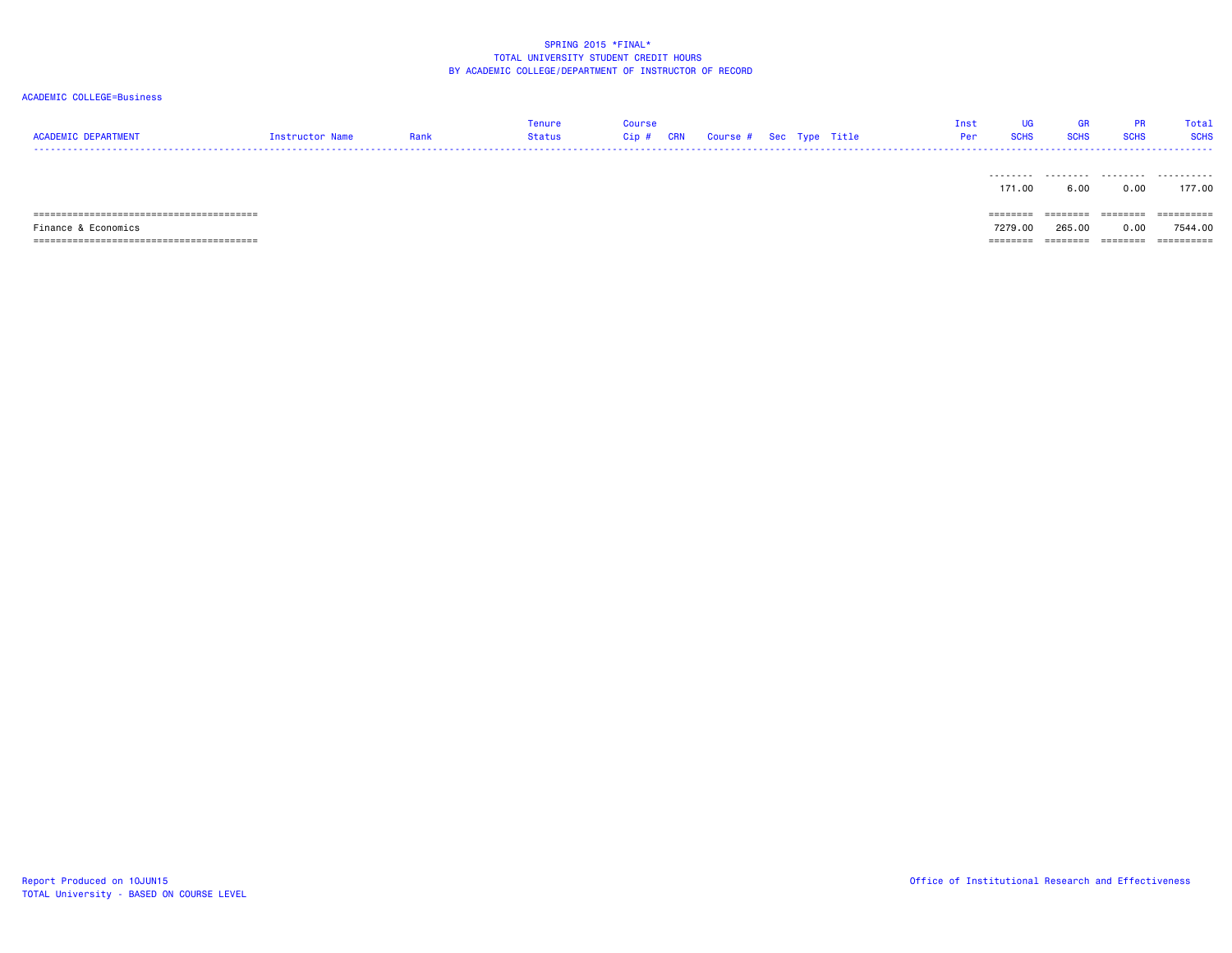| <b>ACADEMIC DEPARTMENT</b> | Instructor Name | Rank | Tenure<br>Status | Course<br>Cip # | CRN | Course # Sec Type Title |  | Inst<br>Per | <b>UG</b><br><b>SCHS</b> | <b>GR</b><br><b>SCHS</b> | <b>PR</b><br><b>SCHS</b> | Total<br><b>SCHS</b> |
|----------------------------|-----------------|------|------------------|-----------------|-----|-------------------------|--|-------------|--------------------------|--------------------------|--------------------------|----------------------|
|                            |                 |      |                  |                 |     |                         |  |             | .<br>171.00              | .<br>6.00                | .<br>0.00                | .<br>177.00          |
| ======                     |                 |      |                  |                 |     |                         |  |             | ========                 | ========                 | ========                 | ----------           |
| Finance & Economics        |                 |      |                  |                 |     |                         |  |             | 7279.00                  | 265,00                   | 0.00                     | 7544.00              |
|                            |                 |      |                  |                 |     |                         |  |             | ========                 | ========                 | --------                 | -----------          |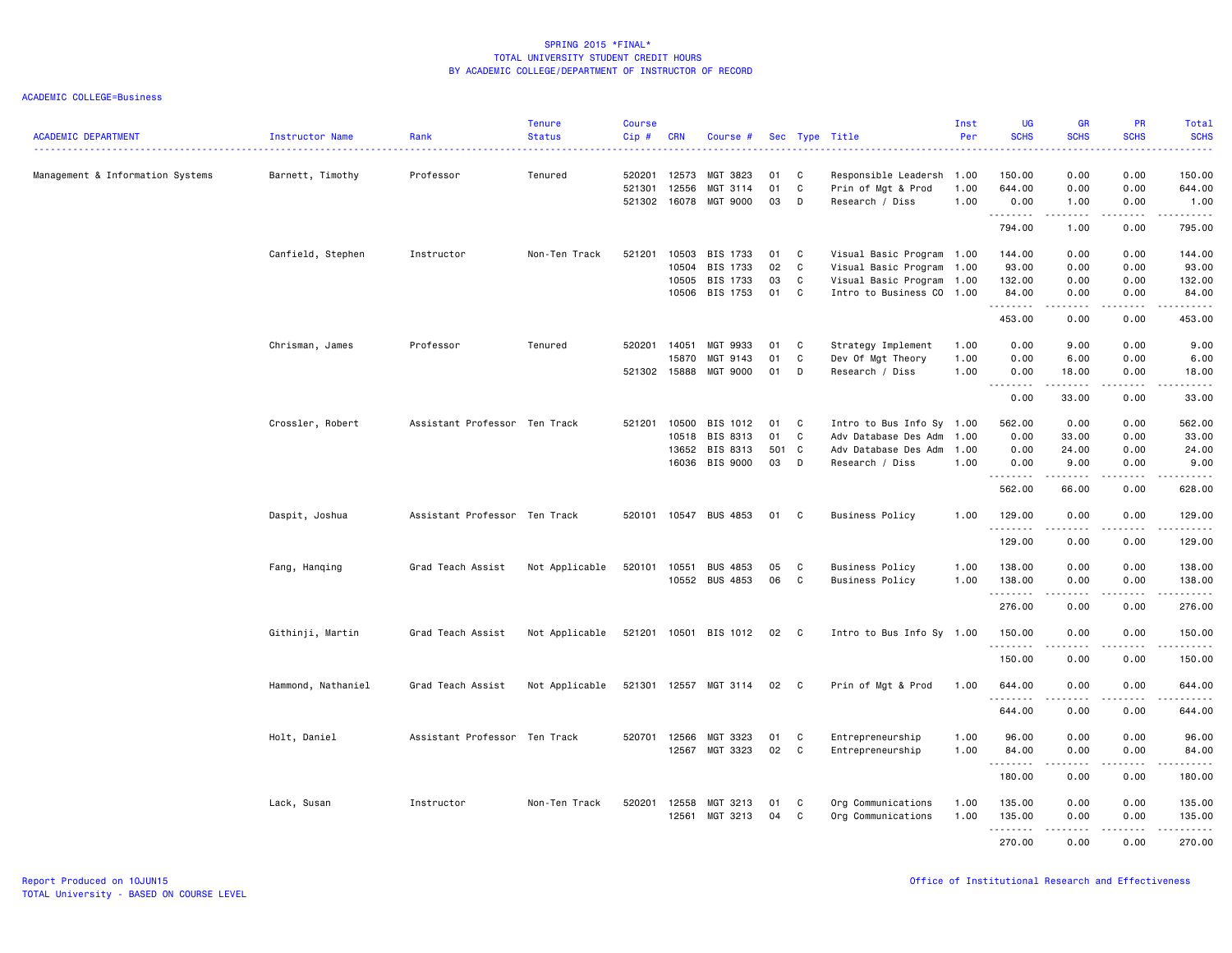| <b>ACADEMIC DEPARTMENT</b>       | Instructor Name    | Rank                          | <b>Tenure</b><br><b>Status</b> | Course<br>$Cip$ #          | <b>CRN</b>                       | Course #                                     |                       |                              | Sec Type Title                                                                                              | Inst<br>Per          | <b>UG</b><br><b>SCHS</b>           | <b>GR</b><br><b>SCHS</b>                                                                                                          | <b>PR</b><br><b>SCHS</b>            | <b>Total</b><br><b>SCHS</b>         |
|----------------------------------|--------------------|-------------------------------|--------------------------------|----------------------------|----------------------------------|----------------------------------------------|-----------------------|------------------------------|-------------------------------------------------------------------------------------------------------------|----------------------|------------------------------------|-----------------------------------------------------------------------------------------------------------------------------------|-------------------------------------|-------------------------------------|
| Management & Information Systems | Barnett, Timothy   | Professor                     | Tenured                        | 520201<br>521301<br>521302 | 12573<br>12556<br>16078          | MGT 3823<br>MGT 3114<br>MGT 9000             | 01<br>01<br>03        | C<br>C<br>D                  | Responsible Leadersh<br>Prin of Mgt & Prod<br>Research / Diss                                               | 1.00<br>1.00<br>1.00 | 150.00<br>644.00<br>0.00           | 0.00<br>0.00<br>1.00                                                                                                              | 0.00<br>0.00<br>0.00                | 150.00<br>644.00<br>1.00            |
|                                  |                    |                               |                                |                            |                                  |                                              |                       |                              |                                                                                                             |                      | .<br>794.00                        | <b>.</b><br>1.00                                                                                                                  | .<br>0.00                           | 795.00                              |
|                                  | Canfield, Stephen  | Instructor                    | Non-Ten Track                  | 521201                     | 10503<br>10504<br>10505<br>10506 | BIS 1733<br>BIS 1733<br>BIS 1733<br>BIS 1753 | 01<br>02<br>03<br>01  | C<br>$\mathbb{C}$<br>C<br>C  | Visual Basic Program 1.00<br>Visual Basic Program 1.00<br>Visual Basic Program<br>Intro to Business CO 1.00 | 1.00                 | 144.00<br>93.00<br>132.00<br>84.00 | 0.00<br>0.00<br>0.00<br>0.00                                                                                                      | 0.00<br>0.00<br>0.00<br>0.00        | 144.00<br>93.00<br>132.00<br>84.00  |
|                                  |                    |                               |                                |                            |                                  |                                              |                       |                              |                                                                                                             |                      | 453.00                             | $\sim$ $\sim$ $\sim$ $\sim$<br>0.00                                                                                               | $\sim$ $\sim$ $\sim$ $\sim$<br>0.00 | .<br>453.00                         |
|                                  | Chrisman, James    | Professor                     | Tenured                        | 520201<br>521302 15888     | 14051<br>15870                   | MGT 9933<br>MGT 9143<br>MGT 9000             | 01<br>01<br>01        | C<br>C<br>D                  | Strategy Implement<br>Dev Of Mgt Theory<br>Research / Diss                                                  | 1.00<br>1.00<br>1.00 | 0.00<br>0.00<br>0.00               | 9.00<br>6.00<br>18.00<br>د د د د د                                                                                                | 0.00<br>0.00<br>0.00<br>$- - - -$   | 9.00<br>6.00<br>18.00<br>.          |
|                                  |                    |                               |                                |                            |                                  |                                              |                       |                              |                                                                                                             |                      | 0.00                               | 33.00                                                                                                                             | 0.00                                | 33.00                               |
|                                  | Crossler, Robert   | Assistant Professor Ten Track |                                | 521201                     | 10500<br>10518<br>13652<br>16036 | BIS 1012<br>BIS 8313<br>BIS 8313<br>BIS 9000 | 01<br>01<br>501<br>03 | C.<br>C<br>$\mathbf{C}$<br>D | Intro to Bus Info Sy 1.00<br>Adv Database Des Adm<br>Adv Database Des Adm<br>Research / Diss                | 1.00<br>1.00<br>1.00 | 562.00<br>0.00<br>0.00<br>0.00     | 0.00<br>33.00<br>24.00<br>9.00                                                                                                    | 0.00<br>0.00<br>0.00<br>0.00        | 562.00<br>33.00<br>24.00<br>9.00    |
|                                  |                    |                               |                                |                            |                                  |                                              |                       |                              |                                                                                                             |                      | 562.00                             | ------<br>66.00                                                                                                                   | .<br>0.00                           | .<br>628.00                         |
|                                  | Daspit, Joshua     | Assistant Professor Ten Track |                                | 520101                     | 10547                            | <b>BUS 4853</b>                              | 01                    | C.                           | <b>Business Policy</b>                                                                                      | 1.00                 | 129.00<br>.                        | 0.00                                                                                                                              | 0.00                                | 129.00<br>.                         |
|                                  |                    |                               |                                |                            |                                  |                                              |                       |                              |                                                                                                             |                      | 129.00                             | 0.00                                                                                                                              | 0.00                                | 129.00                              |
|                                  | Fang, Hanging      | Grad Teach Assist             | Not Applicable                 | 520101                     | 10551                            | <b>BUS 4853</b><br>10552 BUS 4853            | 05<br>06              | C<br>$\mathbf{C}$            | <b>Business Policy</b><br><b>Business Policy</b>                                                            | 1.00<br>1.00         | 138.00<br>138.00<br>.              | 0.00<br>0.00<br>.                                                                                                                 | 0.00<br>0.00<br>.                   | 138.00<br>138.00<br>$- - - - - - -$ |
|                                  |                    |                               |                                |                            |                                  |                                              |                       |                              |                                                                                                             |                      | 276.00                             | 0.00                                                                                                                              | 0.00                                | 276.00                              |
|                                  | Githinji, Martin   | Grad Teach Assist             | Not Applicable                 | 521201                     | 10501                            | BIS 1012                                     | 02                    | $\mathbf{C}$                 | Intro to Bus Info Sy 1.00                                                                                   |                      | 150.00<br>.                        | 0.00                                                                                                                              | 0.00                                | 150.00<br>.                         |
|                                  |                    |                               |                                |                            |                                  |                                              |                       |                              |                                                                                                             |                      | 150.00                             | 0.00                                                                                                                              | 0.00                                | 150.00                              |
|                                  | Hammond, Nathaniel | Grad Teach Assist             | Not Applicable                 | 521301                     |                                  | 12557 MGT 3114                               | 02                    | C C                          | Prin of Mgt & Prod                                                                                          | 1.00                 | 644.00<br><u>.</u>                 | 0.00                                                                                                                              | 0.00                                | 644.00<br>.                         |
|                                  |                    |                               |                                |                            |                                  |                                              |                       |                              |                                                                                                             |                      | 644.00                             | 0.00                                                                                                                              | 0.00                                | 644.00                              |
|                                  | Holt, Daniel       | Assistant Professor Ten Track |                                | 520701                     | 12566<br>12567                   | MGT 3323<br>MGT 3323                         | 01<br>02              | C<br>$\mathbf c$             | Entrepreneurship<br>Entrepreneurship                                                                        | 1.00<br>1.00         | 96.00<br>84.00                     | 0.00<br>0.00                                                                                                                      | 0.00<br>0.00                        | 96.00<br>84.00                      |
|                                  |                    |                               |                                |                            |                                  |                                              |                       |                              |                                                                                                             |                      | 180.00                             | $\frac{1}{2} \left( \frac{1}{2} \right) \left( \frac{1}{2} \right) \left( \frac{1}{2} \right) \left( \frac{1}{2} \right)$<br>0.00 | $\sim$ $\sim$ $\sim$ $\sim$<br>0.00 | .<br>180.00                         |
|                                  | Lack, Susan        | Instructor                    | Non-Ten Track                  | 520201                     | 12558<br>12561                   | MGT 3213<br>MGT 3213                         | 01<br>04              | C<br>C                       | Org Communications<br>Org Communications                                                                    | 1.00<br>1.00         | 135.00<br>135.00                   | 0.00<br>0.00                                                                                                                      | 0.00<br>0.00                        | 135.00<br>135.00                    |
|                                  |                    |                               |                                |                            |                                  |                                              |                       |                              |                                                                                                             |                      | .<br>270.00                        | -----<br>0.00                                                                                                                     | .<br>0.00                           | .<br>270.00                         |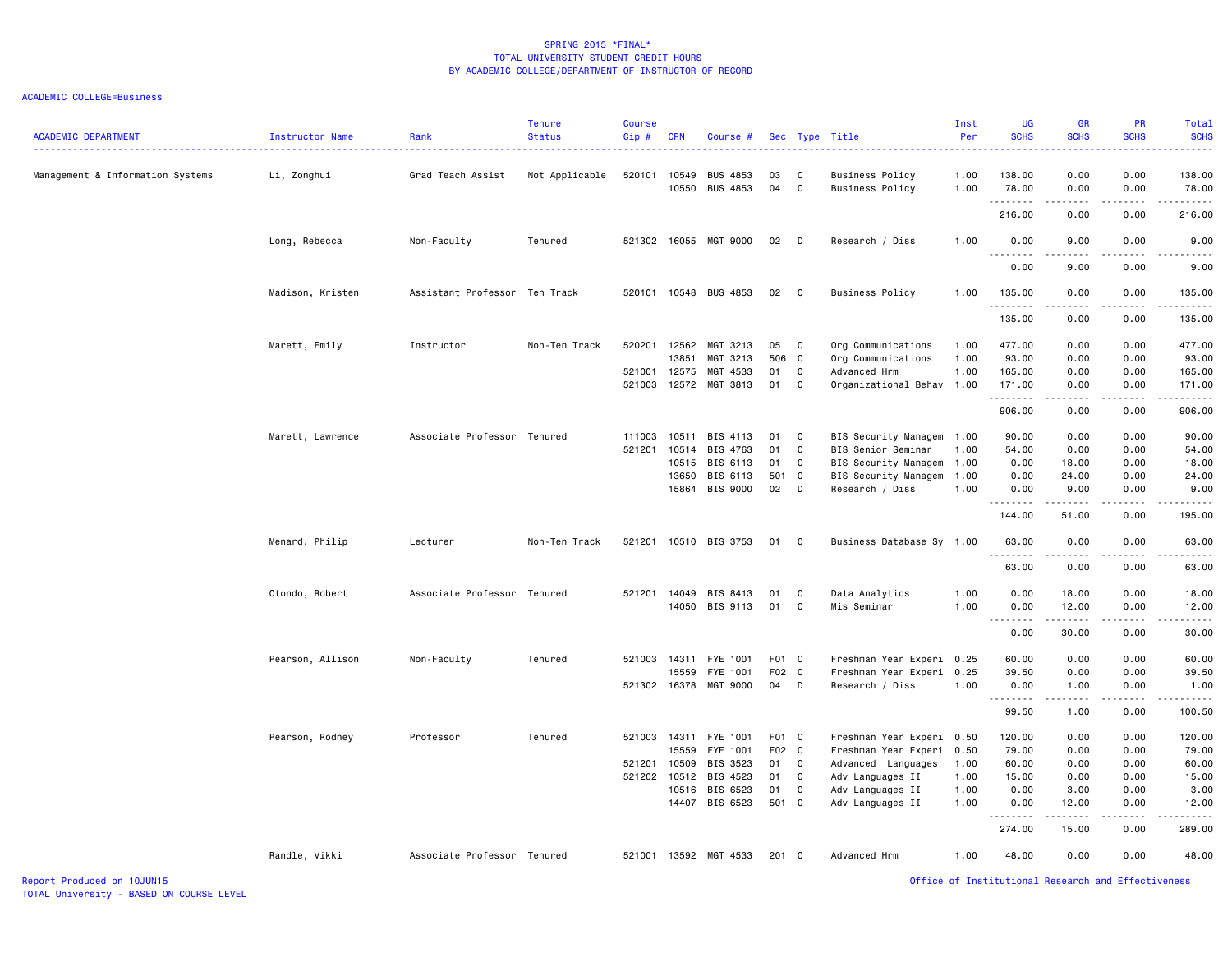# ACADEMIC COLLEGE=Business

| <b>ACADEMIC DEPARTMENT</b>       | Instructor Name  | Rank                          | <b>Tenure</b><br><b>Status</b> | <b>Course</b><br>$Cip$ # | <b>CRN</b>     | Course #                           |             |              | Sec Type Title                            | Inst<br>Per  | <b>UG</b><br><b>SCHS</b> | <b>GR</b><br><b>SCHS</b>                                                                                                                                     | <b>PR</b><br><b>SCHS</b> | Total<br><b>SCHS</b>   |
|----------------------------------|------------------|-------------------------------|--------------------------------|--------------------------|----------------|------------------------------------|-------------|--------------|-------------------------------------------|--------------|--------------------------|--------------------------------------------------------------------------------------------------------------------------------------------------------------|--------------------------|------------------------|
| Management & Information Systems | Li, Zonghui      | Grad Teach Assist             | Not Applicable                 | 520101                   | 10549<br>10550 | <b>BUS 4853</b><br><b>BUS 4853</b> | 03<br>04    | C<br>C       | Business Policy<br><b>Business Policy</b> | 1.00<br>1.00 | 138.00<br>78.00          | 0.00<br>0.00                                                                                                                                                 | 0.00<br>0.00             | 138.00<br>78.00        |
|                                  |                  |                               |                                |                          |                |                                    |             |              |                                           |              | .<br>216.00              | 0.00                                                                                                                                                         | .<br>0.00                | .<br>216.00            |
|                                  | Long, Rebecca    | Non-Faculty                   | Tenured                        | 521302                   | 16055          | MGT 9000                           | 02          | D            | Research / Diss                           | 1.00         | 0.00                     | 9.00                                                                                                                                                         | 0.00                     | 9.00                   |
|                                  |                  |                               |                                |                          |                |                                    |             |              |                                           |              | .<br>0.00                | -----<br>9.00                                                                                                                                                | .<br>0.00                | د د د د د<br>9.00      |
|                                  | Madison, Kristen | Assistant Professor Ten Track |                                | 520101                   |                | 10548 BUS 4853                     | 02          | $\mathbf{C}$ | Business Policy                           | 1.00         | 135.00<br>.              | 0.00                                                                                                                                                         | 0.00                     | 135.00<br>.            |
|                                  |                  |                               |                                |                          |                |                                    |             |              |                                           |              | 135.00                   | 0.00                                                                                                                                                         | 0.00                     | 135.00                 |
|                                  | Marett, Emily    | Instructor                    | Non-Ten Track                  | 520201                   | 12562          | MGT 3213                           | 05          | C            | Org Communications                        | 1.00         | 477.00                   | 0.00                                                                                                                                                         | 0.00                     | 477.00                 |
|                                  |                  |                               |                                |                          | 13851          | MGT 3213                           | 506         | $\mathbf{C}$ | Org Communications                        | 1.00         | 93.00                    | 0.00                                                                                                                                                         | 0.00                     | 93.00                  |
|                                  |                  |                               |                                | 521001                   | 12575          | MGT 4533                           | 01          | C            | Advanced Hrm                              | 1.00         | 165.00                   | 0.00                                                                                                                                                         | 0.00                     | 165.00                 |
|                                  |                  |                               |                                | 521003                   | 12572          | MGT 3813                           | 01          | C            | Organizational Behav 1.00                 |              | 171.00<br>.              | 0.00<br>.                                                                                                                                                    | 0.00<br>$- - - -$        | 171.00<br>.            |
|                                  |                  |                               |                                |                          |                |                                    |             |              |                                           |              | 906.00                   | 0.00                                                                                                                                                         | 0.00                     | 906.00                 |
|                                  | Marett, Lawrence | Associate Professor Tenured   |                                | 111003                   | 10511          | BIS 4113                           | 01          | C            | BIS Security Managem                      | 1.00         | 90.00                    | 0.00                                                                                                                                                         | 0.00                     | 90.00                  |
|                                  |                  |                               |                                | 521201                   | 10514          | BIS 4763                           | 01          | $\mathbf{C}$ | BIS Senior Seminar                        | 1.00         | 54.00                    | 0.00                                                                                                                                                         | 0.00                     | 54.00                  |
|                                  |                  |                               |                                |                          | 10515          | BIS 6113                           | 01          | C            | BIS Security Managem                      | 1.00         | 0.00                     | 18.00                                                                                                                                                        | 0.00                     | 18.00                  |
|                                  |                  |                               |                                |                          | 13650          | BIS 6113                           | 501         | C            | BIS Security Managem                      | 1.00         | 0.00                     | 24.00                                                                                                                                                        | 0.00                     | 24.00                  |
|                                  |                  |                               |                                |                          | 15864          | BIS 9000                           | 02          | D            | Research / Diss                           | 1.00         | 0.00<br>.                | 9.00<br>.                                                                                                                                                    | 0.00                     | 9.00<br>.              |
|                                  |                  |                               |                                |                          |                |                                    |             |              |                                           |              | 144.00                   | 51.00                                                                                                                                                        | 0.00                     | 195.00                 |
|                                  | Menard, Philip   | Lecturer                      | Non-Ten Track                  | 521201                   |                | 10510 BIS 3753                     | 01 C        |              | Business Database Sy 1.00                 |              | 63.00<br><u>.</u>        | 0.00<br>.                                                                                                                                                    | 0.00<br>$- - - -$        | 63.00<br>$\frac{1}{2}$ |
|                                  |                  |                               |                                |                          |                |                                    |             |              |                                           |              | 63.00                    | 0.00                                                                                                                                                         | 0.00                     | 63.00                  |
|                                  | Otondo, Robert   | Associate Professor Tenured   |                                | 521201 14049             |                | BIS 8413                           | 01          | C            | Data Analytics                            | 1.00         | 0.00                     | 18.00                                                                                                                                                        | 0.00                     | 18.00                  |
|                                  |                  |                               |                                |                          | 14050          | BIS 9113                           | 01          | C            | Mis Seminar                               | 1.00         | 0.00<br>.                | 12.00<br><b>.</b>                                                                                                                                            | 0.00<br>.                | 12.00<br>.             |
|                                  |                  |                               |                                |                          |                |                                    |             |              |                                           |              | 0.00                     | 30.00                                                                                                                                                        | 0.00                     | 30.00                  |
|                                  | Pearson, Allison | Non-Faculty                   | Tenured                        | 521003                   | 14311          | FYE 1001                           | F01 C       |              | Freshman Year Experi                      | 0.25         | 60.00                    | 0.00                                                                                                                                                         | 0.00                     | 60.00                  |
|                                  |                  |                               |                                |                          | 15559          | FYE 1001                           | F02 C       |              | Freshman Year Experi                      | 0.25         | 39.50                    | 0.00                                                                                                                                                         | 0.00                     | 39.50                  |
|                                  |                  |                               |                                | 521302 16378             |                | MGT 9000                           | 04          | D            | Research / Diss                           | 1.00         | 0.00<br>.                | 1.00                                                                                                                                                         | 0.00<br>.                | 1.00<br>.              |
|                                  |                  |                               |                                |                          |                |                                    |             |              |                                           |              | 99.50                    | $\frac{1}{2} \left( \frac{1}{2} \right) \left( \frac{1}{2} \right) \left( \frac{1}{2} \right) \left( \frac{1}{2} \right) \left( \frac{1}{2} \right)$<br>1.00 | 0.00                     | 100.50                 |
|                                  | Pearson, Rodney  | Professor                     | Tenured                        | 521003 14311             |                | FYE 1001                           | F01 C       |              | Freshman Year Experi 0.50                 |              | 120.00                   | 0.00                                                                                                                                                         | 0.00                     | 120.00                 |
|                                  |                  |                               |                                |                          | 15559          | FYE 1001                           | F02 C       |              | Freshman Year Experi                      | 0.50         | 79.00                    | 0.00                                                                                                                                                         | 0.00                     | 79.00                  |
|                                  |                  |                               |                                | 521201                   | 10509          | BIS 3523                           | 01          | C            | Advanced Languages                        | 1.00         | 60.00                    | 0.00                                                                                                                                                         | 0.00                     | 60.00                  |
|                                  |                  |                               |                                | 521202 10512             |                | BIS 4523                           | 01          | C            | Adv Languages II                          | 1.00         | 15.00                    | 0.00                                                                                                                                                         | 0.00                     | 15.00                  |
|                                  |                  |                               |                                |                          | 10516          | BIS 6523<br>BIS 6523               | 01<br>501 C | C            | Adv Languages II                          | 1.00         | 0.00                     | 3.00                                                                                                                                                         | 0.00<br>0.00             | 3.00                   |
|                                  |                  |                               |                                |                          | 14407          |                                    |             |              | Adv Languages II                          | 1.00         | 0.00                     | 12.00<br>$- - - - -$                                                                                                                                         |                          | 12.00<br>.             |
|                                  |                  |                               |                                |                          |                |                                    |             |              |                                           |              | 274.00                   | 15.00                                                                                                                                                        | 0.00                     | 289.00                 |
|                                  | Randle, Vikki    | Associate Professor Tenured   |                                |                          |                | 521001 13592 MGT 4533              | 201 C       |              | Advanced Hrm                              | 1.00         | 48.00                    | 0.00                                                                                                                                                         | 0.00                     | 48.00                  |

Report Produced on 10JUN15 Office of Institutional Research and Effectiveness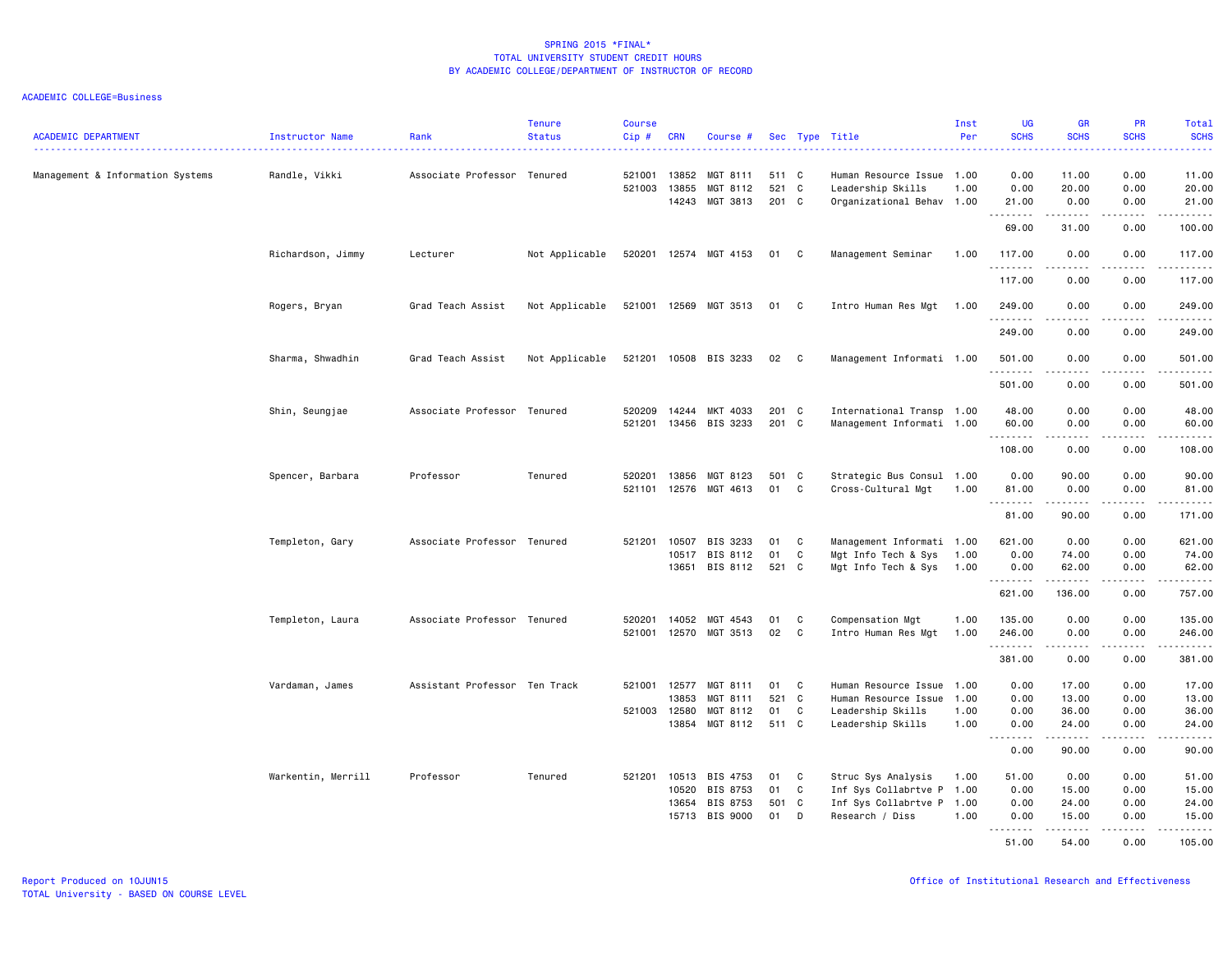| <b>ACADEMIC DEPARTMENT</b>       | Instructor Name    | Rank                          | <b>Tenure</b><br><b>Status</b> | <b>Course</b><br>Cip# | <b>CRN</b>            | Course #                               |                       |                   | Sec Type Title                                                              | Inst<br>Per  | <b>UG</b><br><b>SCHS</b><br>بالمحام           | <b>GR</b><br><b>SCHS</b>                                                                                                                                      | PR<br><b>SCHS</b><br>المتمام        | Total<br><b>SCHS</b><br>.                                                                                                                                     |
|----------------------------------|--------------------|-------------------------------|--------------------------------|-----------------------|-----------------------|----------------------------------------|-----------------------|-------------------|-----------------------------------------------------------------------------|--------------|-----------------------------------------------|---------------------------------------------------------------------------------------------------------------------------------------------------------------|-------------------------------------|---------------------------------------------------------------------------------------------------------------------------------------------------------------|
| Management & Information Systems | Randle, Vikki      | Associate Professor Tenured   |                                | 521001<br>521003      | 13852<br>13855        | MGT 8111<br>MGT 8112<br>14243 MGT 3813 | 511 C<br>521<br>201 C | $\mathbf{C}$      | Human Resource Issue 1.00<br>Leadership Skills<br>Organizational Behav 1.00 | 1.00         | 0.00<br>0.00<br>21.00                         | 11.00<br>20.00<br>0.00                                                                                                                                        | 0.00<br>0.00<br>0.00                | 11.00<br>20.00<br>21.00                                                                                                                                       |
|                                  |                    |                               |                                |                       |                       |                                        |                       |                   |                                                                             |              | .<br>69.00                                    | $- - - - -$<br>31.00                                                                                                                                          | .<br>0.00                           | .<br>100.00                                                                                                                                                   |
|                                  | Richardson, Jimmy  | Lecturer                      | Not Applicable                 |                       |                       | 520201 12574 MGT 4153                  | 01 C                  |                   | Management Seminar                                                          | 1.00         | 117.00<br>.                                   | 0.00<br>.                                                                                                                                                     | 0.00<br>$\sim$ $\sim$ $\sim$ $\sim$ | 117.00<br>.                                                                                                                                                   |
|                                  |                    |                               |                                |                       |                       |                                        |                       |                   |                                                                             |              | 117,00                                        | 0.00                                                                                                                                                          | 0.00                                | 117.00                                                                                                                                                        |
|                                  | Rogers, Bryan      | Grad Teach Assist             | Not Applicable                 |                       |                       | 521001 12569 MGT 3513                  | 01 C                  |                   | Intro Human Res Mgt                                                         | 1.00         | 249.00<br>.                                   | 0.00<br>.                                                                                                                                                     | 0.00<br>$\frac{1}{2}$               | 249,00<br>.                                                                                                                                                   |
|                                  |                    |                               |                                |                       |                       |                                        |                       |                   |                                                                             |              | 249.00                                        | 0.00                                                                                                                                                          | 0.00                                | 249.00                                                                                                                                                        |
|                                  | Sharma, Shwadhin   | Grad Teach Assist             | Not Applicable                 |                       |                       | 521201 10508 BIS 3233                  | 02 C                  |                   | Management Informati 1.00                                                   |              | 501.00<br>.                                   | 0.00<br>.                                                                                                                                                     | 0.00                                | 501.00<br>.                                                                                                                                                   |
|                                  |                    |                               |                                |                       |                       |                                        |                       |                   |                                                                             |              | 501.00                                        | 0.00                                                                                                                                                          | 0.00                                | 501.00                                                                                                                                                        |
|                                  | Shin, Seungjae     | Associate Professor Tenured   |                                | 520209<br>521201      | 14244<br>13456        | MKT 4033<br>BIS 3233                   | 201<br>201 C          | $\mathbf{C}$      | International Transp 1.00<br>Management Informati 1.00                      |              | 48.00<br>60.00                                | 0.00<br>0.00                                                                                                                                                  | 0.00<br>0.00                        | 48.00<br>60.00                                                                                                                                                |
|                                  |                    |                               |                                |                       |                       |                                        |                       |                   |                                                                             |              | .<br>108.00                                   | -----<br>0.00                                                                                                                                                 | .<br>0.00                           | .<br>108.00                                                                                                                                                   |
|                                  | Spencer, Barbara   | Professor                     | Tenured                        | 520201                | 13856<br>521101 12576 | MGT 8123<br>MGT 4613                   | 501<br>01             | $\mathbf{C}$<br>C | Strategic Bus Consul 1.00<br>Cross-Cultural Mgt                             | 1.00         | 0.00<br>81.00                                 | 90.00<br>0.00                                                                                                                                                 | 0.00<br>0.00                        | 90.00<br>81.00                                                                                                                                                |
|                                  |                    |                               |                                |                       |                       |                                        |                       |                   |                                                                             |              | .<br>81.00                                    | $\frac{1}{2} \left( \frac{1}{2} \right) \left( \frac{1}{2} \right) \left( \frac{1}{2} \right) \left( \frac{1}{2} \right) \left( \frac{1}{2} \right)$<br>90.00 | $\sim$ $\sim$ $\sim$ $\sim$<br>0.00 | .<br>171.00                                                                                                                                                   |
|                                  | Templeton, Gary    | Associate Professor Tenured   |                                | 521201                | 10507                 | BIS 3233                               | 01                    | C.                | Management Informati 1.00                                                   |              | 621.00                                        | 0.00                                                                                                                                                          | 0.00                                | 621.00                                                                                                                                                        |
|                                  |                    |                               |                                |                       | 10517                 | BIS 8112<br>13651 BIS 8112             | 01<br>521 C           | C                 | Mgt Info Tech & Sys<br>Mgt Info Tech & Sys 1.00                             | 1.00         | 0.00<br>0.00                                  | 74.00<br>62.00                                                                                                                                                | 0.00<br>0.00                        | 74.00<br>62.00                                                                                                                                                |
|                                  |                    |                               |                                |                       |                       |                                        |                       |                   |                                                                             |              | .<br>621.00                                   | 136.00                                                                                                                                                        | $\sim$ $\sim$ $\sim$<br>0.00        | .<br>757.00                                                                                                                                                   |
|                                  | Templeton, Laura   | Associate Professor Tenured   |                                | 520201                | 14052                 | MGT 4543                               | 01                    | C                 | Compensation Mgt                                                            | 1.00         | 135.00                                        | 0.00                                                                                                                                                          | 0.00                                | 135.00                                                                                                                                                        |
|                                  |                    |                               |                                | 521001                |                       | 12570 MGT 3513                         | 02                    | C                 | Intro Human Res Mgt                                                         | 1.00         | 246.00<br>.                                   | 0.00                                                                                                                                                          | 0.00                                | 246.00                                                                                                                                                        |
|                                  |                    |                               |                                |                       |                       |                                        |                       |                   |                                                                             |              | 381.00                                        | 0.00                                                                                                                                                          | 0.00                                | 381.00                                                                                                                                                        |
|                                  | Vardaman, James    | Assistant Professor Ten Track |                                |                       | 521001 12577          | MGT 8111                               | 01                    | C                 | Human Resource Issue 1.00                                                   |              | 0.00                                          | 17.00                                                                                                                                                         | 0.00                                | 17.00                                                                                                                                                         |
|                                  |                    |                               |                                |                       | 13853                 | MGT 8111                               | 521                   | $\mathbf{C}$      | Human Resource Issue                                                        | 1.00         | 0.00                                          | 13.00                                                                                                                                                         | 0.00                                | 13.00                                                                                                                                                         |
|                                  |                    |                               |                                | 521003 12580          | 13854                 | MGT 8112<br>MGT 8112                   | 01<br>511 C           | C                 | Leadership Skills<br>Leadership Skills                                      | 1.00<br>1.00 | 0.00<br>0.00                                  | 36.00<br>24.00                                                                                                                                                | 0.00<br>0.00                        | 36.00<br>24.00                                                                                                                                                |
|                                  |                    |                               |                                |                       |                       |                                        |                       |                   |                                                                             |              | $\omega$ $\omega$ $\omega$<br>بالمحام<br>0.00 | .<br>90.00                                                                                                                                                    | $\sim$ $\sim$ $\sim$ $\sim$<br>0.00 | $\frac{1}{2} \left( \frac{1}{2} \right) \left( \frac{1}{2} \right) \left( \frac{1}{2} \right) \left( \frac{1}{2} \right) \left( \frac{1}{2} \right)$<br>90.00 |
|                                  | Warkentin, Merrill | Professor                     | Tenured                        |                       | 521201 10513          | BIS 4753                               | 01                    | C                 | Struc Sys Analysis                                                          | 1.00         | 51.00                                         | 0.00                                                                                                                                                          | 0.00                                | 51.00                                                                                                                                                         |
|                                  |                    |                               |                                |                       | 10520                 | BIS 8753                               | 01                    | C                 | Inf Sys Collabrtve P 1.00                                                   |              | 0.00                                          | 15.00                                                                                                                                                         | 0.00                                | 15.00                                                                                                                                                         |
|                                  |                    |                               |                                |                       | 13654                 | BIS 8753                               | 501                   | C                 | Inf Sys Collabrtve P 1.00                                                   |              | 0.00                                          | 24.00                                                                                                                                                         | 0.00                                | 24.00                                                                                                                                                         |
|                                  |                    |                               |                                |                       | 15713                 | <b>BIS 9000</b>                        | 01                    | D                 | Research / Diss                                                             | 1.00         | 0.00<br>.                                     | 15.00<br>.                                                                                                                                                    | 0.00<br>.                           | 15.00<br><u>.</u>                                                                                                                                             |
|                                  |                    |                               |                                |                       |                       |                                        |                       |                   |                                                                             |              | 51.00                                         | 54.00                                                                                                                                                         | 0.00                                | 105.00                                                                                                                                                        |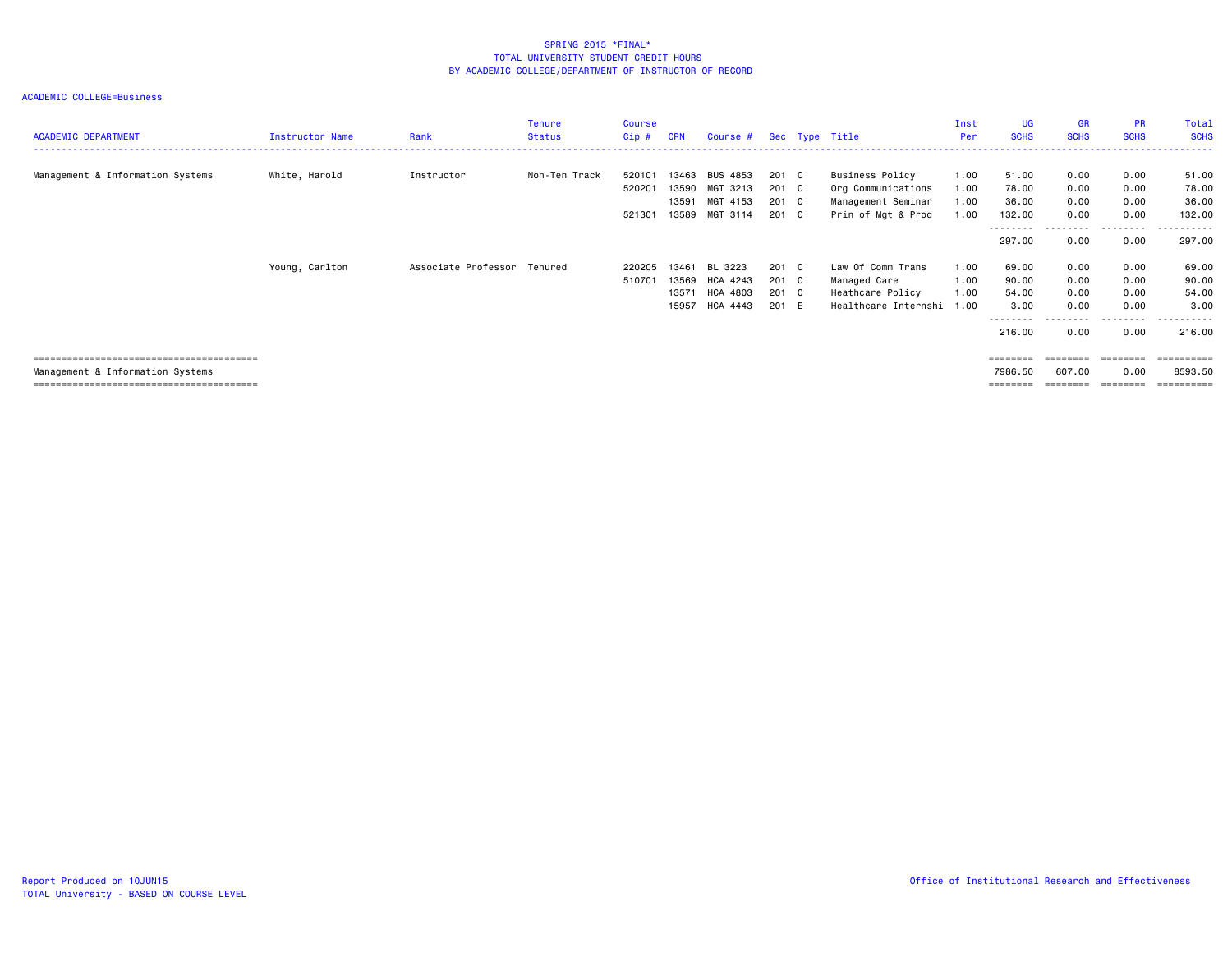| <b>ACADEMIC DEPARTMENT</b>       | <b>Instructor Name</b> | Rank                | Tenure<br><b>Status</b> | Course<br>Cip#             | <b>CRN</b>                       | Course # Sec Type Title                      |                                  |                                                                                   | Inst<br>Per                  | UG<br><b>SCHS</b>                      | <b>GR</b><br><b>SCHS</b>     | <b>PR</b><br><b>SCHS</b>     | Total<br><b>SCHS</b>               |
|----------------------------------|------------------------|---------------------|-------------------------|----------------------------|----------------------------------|----------------------------------------------|----------------------------------|-----------------------------------------------------------------------------------|------------------------------|----------------------------------------|------------------------------|------------------------------|------------------------------------|
| Management & Information Systems | White, Harold          | Instructor          | Non-Ten Track           | 520101<br>520201<br>521301 | 13463<br>13590<br>13591<br>13589 | BUS 4853<br>MGT 3213<br>MGT 4153<br>MGT 3114 | 201 C<br>201 C<br>201 C<br>201 C | Business Policy<br>Org Communications<br>Management Seminar<br>Prin of Mgt & Prod | 1.00<br>1.00<br>1.00<br>1.00 | 51.00<br>78.00<br>36.00<br>132.00      | 0.00<br>0.00<br>0.00<br>0.00 | 0.00<br>0.00<br>0.00<br>0.00 | 51.00<br>78.00<br>36.00<br>132.00  |
|                                  |                        |                     |                         |                            |                                  |                                              |                                  |                                                                                   |                              | --------<br>297.00                     | ---------<br>0.00            | .<br>0.00                    | . <u>.</u> .<br>297.00             |
|                                  | Young, Carlton         | Associate Professor | Tenured                 | 220205<br>510701           | 13461<br>13569<br>13571<br>15957 | BL 3223<br>HCA 4243<br>HCA 4803<br>HCA 4443  | 201 C<br>201 C<br>201 C<br>201 E | Law Of Comm Trans<br>Managed Care<br>Heathcare Policy<br>Healthcare Internshi     | 1.00<br>1.00<br>1.00<br>1.00 | 69.00<br>90.00<br>54.00<br>3.00        | 0.00<br>0.00<br>0.00<br>0.00 | 0.00<br>0.00<br>0.00<br>0.00 | 69.00<br>90.00<br>54.00<br>3.00    |
|                                  |                        |                     |                         |                            |                                  |                                              |                                  |                                                                                   |                              | --------<br>216.00                     | ---------<br>0.00            | ---------<br>0.00            | ----------<br>216.00               |
| Management & Information Systems |                        |                     |                         |                            |                                  |                                              |                                  |                                                                                   |                              | <b>ESSESSES</b><br>7986.50<br>======== | ========<br>607.00           | 0.00<br>========             | ==========<br>8593.50<br>essessess |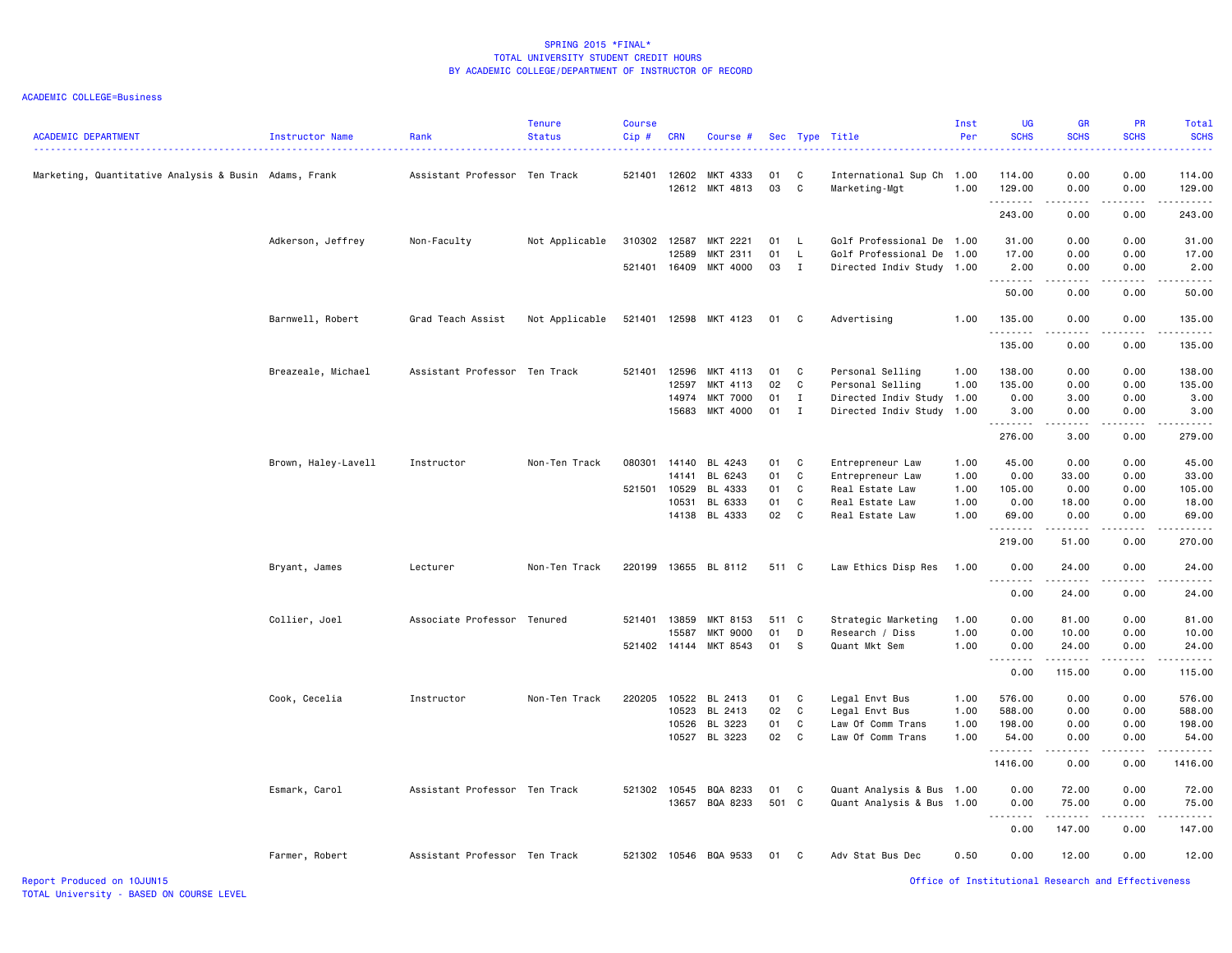| <b>ACADEMIC DEPARTMENT</b>                            | Instructor Name     | Rank                          | <b>Tenure</b><br><b>Status</b> | Course<br>Cip# | <b>CRN</b> | Course #                   |            |                   | Sec Type Title                                    | Inst<br>Per | <b>UG</b><br><b>SCHS</b> | <b>GR</b><br><b>SCHS</b> | <b>PR</b><br><b>SCHS</b> | Total<br><b>SCHS</b><br>.                                                                                                                                      |
|-------------------------------------------------------|---------------------|-------------------------------|--------------------------------|----------------|------------|----------------------------|------------|-------------------|---------------------------------------------------|-------------|--------------------------|--------------------------|--------------------------|----------------------------------------------------------------------------------------------------------------------------------------------------------------|
| Marketing, Quantitative Analysis & Busin Adams, Frank |                     | Assistant Professor Ten Track |                                | 521401         | 12602      | MKT 4333<br>12612 MKT 4813 | 01<br>03   | C<br>$\mathbf{C}$ | International Sup Ch 1.00<br>Marketing-Mgt        | 1.00        | 114.00<br>129.00         | 0.00<br>0.00             | 0.00<br>0.00             | 114.00<br>129.00                                                                                                                                               |
|                                                       |                     |                               |                                |                |            |                            |            |                   |                                                   |             | .<br>243.00              | .<br>0.00                | .<br>0.00                | .<br>243.00                                                                                                                                                    |
|                                                       |                     |                               |                                |                |            |                            |            |                   |                                                   |             |                          |                          |                          |                                                                                                                                                                |
|                                                       | Adkerson, Jeffrey   | Non-Faculty                   | Not Applicable                 | 310302 12587   | 12589      | MKT 2221<br>MKT 2311       | 01 L<br>01 | L                 | Golf Professional De 1.00<br>Golf Professional De | 1.00        | 31.00<br>17.00           | 0.00<br>0.00             | 0.00<br>0.00             | 31.00<br>17.00                                                                                                                                                 |
|                                                       |                     |                               |                                | 521401 16409   |            | MKT 4000                   | 03         | $\mathbf{I}$      | Directed Indiv Study 1.00                         |             | 2.00                     | 0.00                     | 0.00                     | 2.00                                                                                                                                                           |
|                                                       |                     |                               |                                |                |            |                            |            |                   |                                                   |             |                          | .                        |                          |                                                                                                                                                                |
|                                                       |                     |                               |                                |                |            |                            |            |                   |                                                   |             | 50.00                    | 0.00                     | 0.00                     | 50.00                                                                                                                                                          |
|                                                       | Barnwell, Robert    | Grad Teach Assist             | Not Applicable                 |                |            | 521401 12598 MKT 4123      | 01         | $\mathbf{C}$      | Advertising                                       | 1.00        | 135.00<br>.              | 0.00<br>.                | 0.00<br>.                | 135.00<br>$\frac{1}{2} \left( \frac{1}{2} \right) \left( \frac{1}{2} \right) \left( \frac{1}{2} \right) \left( \frac{1}{2} \right) \left( \frac{1}{2} \right)$ |
|                                                       |                     |                               |                                |                |            |                            |            |                   |                                                   |             | 135.00                   | 0.00                     | 0.00                     | 135.00                                                                                                                                                         |
|                                                       | Breazeale, Michael  | Assistant Professor Ten Track |                                | 521401         | 12596      | MKT 4113                   | 01         | C                 | Personal Selling                                  | 1.00        | 138.00                   | 0.00                     | 0.00                     | 138.00                                                                                                                                                         |
|                                                       |                     |                               |                                |                | 12597      | MKT 4113                   | 02         | C                 | Personal Selling                                  | 1.00        | 135.00                   | 0.00                     | 0.00                     | 135.00                                                                                                                                                         |
|                                                       |                     |                               |                                |                | 14974      | <b>MKT 7000</b>            | 01         | $\mathbf{I}$      | Directed Indiv Study                              | 1.00        | 0.00                     | 3.00                     | 0.00                     | 3.00                                                                                                                                                           |
|                                                       |                     |                               |                                |                | 15683      | MKT 4000                   | $01$ I     |                   | Directed Indiv Study 1.00                         |             | 3.00                     | 0.00                     | 0.00                     | 3.00                                                                                                                                                           |
|                                                       |                     |                               |                                |                |            |                            |            |                   |                                                   |             | .<br>276.00              | . <b>.</b><br>3.00       | .<br>0.00                | $- - - - - -$<br>279.00                                                                                                                                        |
|                                                       |                     |                               |                                |                |            |                            |            |                   |                                                   |             |                          |                          |                          |                                                                                                                                                                |
|                                                       | Brown, Haley-Lavell | Instructor                    | Non-Ten Track                  | 080301         | 14140      | BL 4243                    | 01         | C                 | Entrepreneur Law                                  | 1.00        | 45.00                    | 0.00                     | 0.00                     | 45.00                                                                                                                                                          |
|                                                       |                     |                               |                                |                | 14141      | BL 6243                    | 01         | C                 | Entrepreneur Law                                  | 1.00        | 0.00                     | 33.00                    | 0.00                     | 33.00                                                                                                                                                          |
|                                                       |                     |                               |                                | 521501         | 10529      | BL 4333                    | 01         | C                 | Real Estate Law                                   | 1.00        | 105.00                   | 0.00                     | 0.00                     | 105.00                                                                                                                                                         |
|                                                       |                     |                               |                                |                | 10531      | BL 6333                    | 01         | C                 | Real Estate Law                                   | 1.00        | 0.00                     | 18.00                    | 0.00                     | 18.00                                                                                                                                                          |
|                                                       |                     |                               |                                |                |            | 14138 BL 4333              | 02         | C                 | Real Estate Law                                   | 1.00        | 69.00<br>.               | 0.00<br>.                | 0.00<br>.                | 69.00<br>.                                                                                                                                                     |
|                                                       |                     |                               |                                |                |            |                            |            |                   |                                                   |             | 219.00                   | 51.00                    | 0.00                     | 270.00                                                                                                                                                         |
|                                                       | Bryant, James       | Lecturer                      | Non-Ten Track                  | 220199         |            | 13655 BL 8112              | 511 C      |                   | Law Ethics Disp Res                               | 1.00        | 0.00<br>. <b>.</b>       | 24.00<br>.               | 0.00<br>.                | 24.00<br>.                                                                                                                                                     |
|                                                       |                     |                               |                                |                |            |                            |            |                   |                                                   |             | 0.00                     | 24.00                    | 0.00                     | 24.00                                                                                                                                                          |
|                                                       | Collier, Joel       | Associate Professor           | Tenured                        | 521401         | 13859      | MKT 8153                   | 511 C      |                   | Strategic Marketing                               | 1.00        | 0.00                     | 81.00                    | 0.00                     | 81.00                                                                                                                                                          |
|                                                       |                     |                               |                                |                | 15587      | <b>MKT 9000</b>            | 01         | D                 | Research / Diss                                   | 1.00        | 0.00                     | 10.00                    | 0.00                     | 10.00                                                                                                                                                          |
|                                                       |                     |                               |                                |                |            | 521402 14144 MKT 8543      | 01         | - S               | Quant Mkt Sem                                     | 1.00        | 0.00                     | 24.00                    | 0.00                     | 24.00                                                                                                                                                          |
|                                                       |                     |                               |                                |                |            |                            |            |                   |                                                   |             | .<br>0.00                | .<br>115.00              | .<br>0.00                | .<br>115.00                                                                                                                                                    |
|                                                       | Cook, Cecelia       | Instructor                    | Non-Ten Track                  | 220205         |            | 10522 BL 2413              | 01         | C                 | Legal Envt Bus                                    | 1.00        | 576.00                   | 0.00                     | 0.00                     | 576.00                                                                                                                                                         |
|                                                       |                     |                               |                                |                | 10523      | BL 2413                    | 02         | C                 | Legal Envt Bus                                    | 1.00        | 588.00                   | 0.00                     | 0.00                     | 588.00                                                                                                                                                         |
|                                                       |                     |                               |                                |                |            | 10526 BL 3223              | 01         | C                 | Law Of Comm Trans                                 | 1.00        | 198.00                   | 0.00                     | 0.00                     | 198.00                                                                                                                                                         |
|                                                       |                     |                               |                                |                |            | 10527 BL 3223              | 02 C       |                   | Law Of Comm Trans                                 | 1.00        | 54.00                    | 0.00                     | 0.00                     | 54.00                                                                                                                                                          |
|                                                       |                     |                               |                                |                |            |                            |            |                   |                                                   |             | .<br>1416.00             | .<br>0.00                | .<br>0.00                | .<br>1416.00                                                                                                                                                   |
|                                                       |                     |                               |                                |                |            |                            |            |                   |                                                   |             |                          |                          |                          |                                                                                                                                                                |
|                                                       | Esmark, Carol       | Assistant Professor Ten Track |                                | 521302 10545   |            | BQA 8233                   | 01         | C                 | Quant Analysis & Bus 1.00                         |             | 0.00                     | 72.00                    | 0.00                     | 72.00                                                                                                                                                          |
|                                                       |                     |                               |                                |                | 13657      | BQA 8233                   | 501 C      |                   | Quant Analysis & Bus 1.00                         |             | 0.00<br><u>.</u>         | 75.00<br>$- - - - - - -$ | 0.00<br>.                | 75.00<br>.                                                                                                                                                     |
|                                                       |                     |                               |                                |                |            |                            |            |                   |                                                   |             | 0.00                     | 147.00                   | 0.00                     | 147.00                                                                                                                                                         |
|                                                       | Farmer, Robert      | Assistant Professor Ten Track |                                |                |            | 521302 10546 BQA 9533      | 01         | C                 | Adv Stat Bus Dec                                  | 0.50        | 0.00                     | 12.00                    | 0.00                     | 12.00                                                                                                                                                          |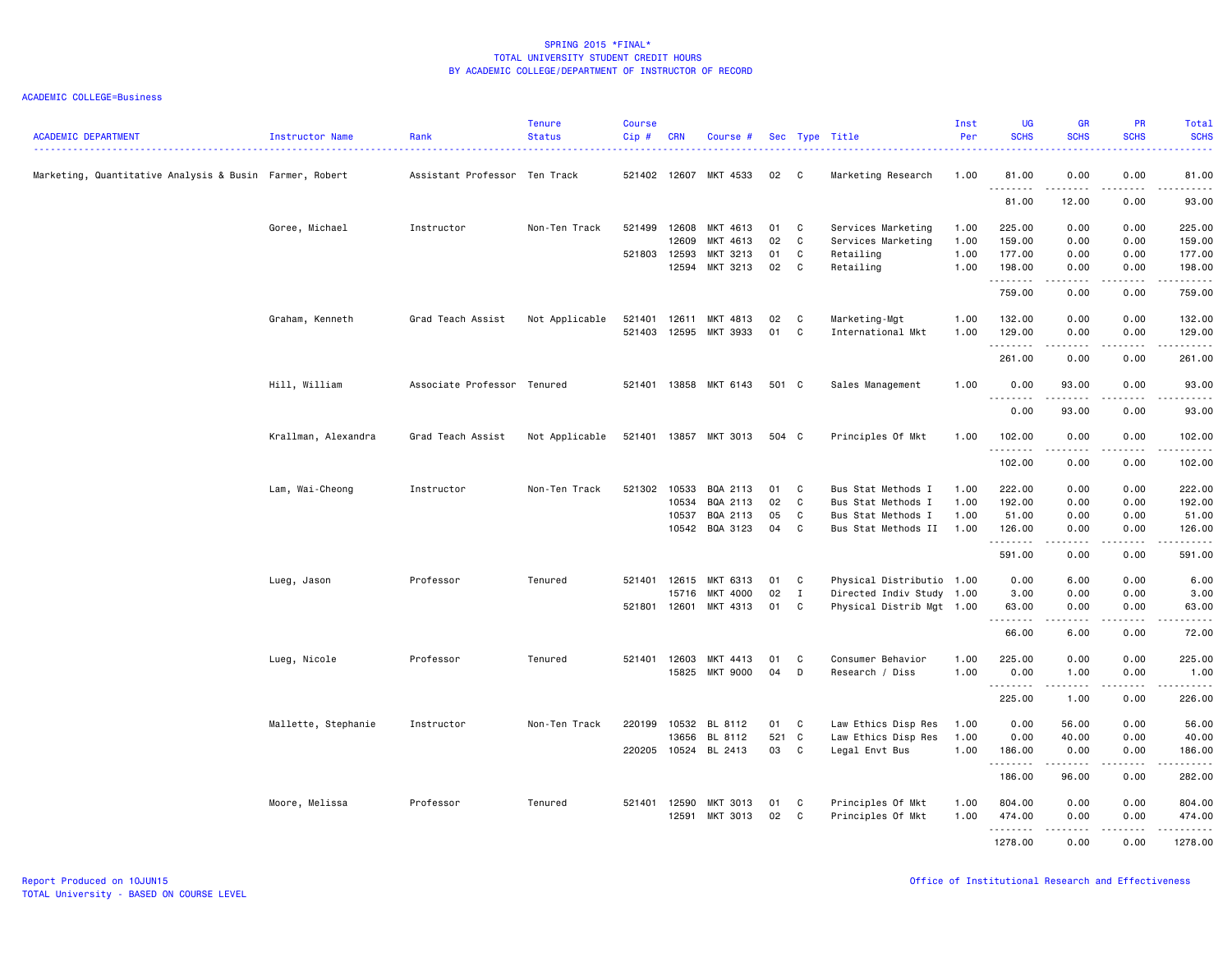| <b>ACADEMIC DEPARTMENT</b>                              | Instructor Name     | Rank                          | <b>Tenure</b><br><b>Status</b> | <b>Course</b><br>Cip# | <b>CRN</b> | Course #              |       |              | Sec Type Title            | Inst<br>Per | <b>UG</b><br><b>SCHS</b>                                                                                                                                      | <b>GR</b><br><b>SCHS</b>                                                                                                                                     | PR<br><b>SCHS</b>                   | Total<br><b>SCHS</b><br>$\frac{1}{2} \left( \frac{1}{2} \right) \left( \frac{1}{2} \right) \left( \frac{1}{2} \right) \left( \frac{1}{2} \right)$             |
|---------------------------------------------------------|---------------------|-------------------------------|--------------------------------|-----------------------|------------|-----------------------|-------|--------------|---------------------------|-------------|---------------------------------------------------------------------------------------------------------------------------------------------------------------|--------------------------------------------------------------------------------------------------------------------------------------------------------------|-------------------------------------|---------------------------------------------------------------------------------------------------------------------------------------------------------------|
| Marketing, Quantitative Analysis & Busin Farmer, Robert |                     | Assistant Professor Ten Track |                                | 521402                |            | 12607 MKT 4533        | 02    | $\mathbf{C}$ | Marketing Research        | 1.00        | 81.00<br>.                                                                                                                                                    | 0.00<br>$\frac{1}{2} \left( \frac{1}{2} \right) \left( \frac{1}{2} \right) \left( \frac{1}{2} \right) \left( \frac{1}{2} \right) \left( \frac{1}{2} \right)$ | 0.00<br>.                           | 81.00<br>$\frac{1}{2} \left( \frac{1}{2} \right) \left( \frac{1}{2} \right) \left( \frac{1}{2} \right) \left( \frac{1}{2} \right) \left( \frac{1}{2} \right)$ |
|                                                         |                     |                               |                                |                       |            |                       |       |              |                           |             | 81.00                                                                                                                                                         | 12.00                                                                                                                                                        | 0.00                                | 93.00                                                                                                                                                         |
|                                                         | Goree, Michael      | Instructor                    | Non-Ten Track                  | 521499                | 12608      | MKT 4613              | 01    | C            | Services Marketing        | 1.00        | 225.00                                                                                                                                                        | 0.00                                                                                                                                                         | 0.00                                | 225.00                                                                                                                                                        |
|                                                         |                     |                               |                                |                       | 12609      | MKT 4613              | 02    | C            | Services Marketing        | 1.00        | 159.00                                                                                                                                                        | 0.00                                                                                                                                                         | 0.00                                | 159.00                                                                                                                                                        |
|                                                         |                     |                               |                                | 521803                | 12593      | MKT 3213              | 01    | C            | Retailing                 | 1.00        | 177.00                                                                                                                                                        | 0.00                                                                                                                                                         | 0.00                                | 177.00                                                                                                                                                        |
|                                                         |                     |                               |                                |                       | 12594      | MKT 3213              | 02    | C            | Retailing                 | 1.00        | 198.00<br>.                                                                                                                                                   | 0.00<br>$\frac{1}{2} \left( \frac{1}{2} \right) \left( \frac{1}{2} \right) \left( \frac{1}{2} \right) \left( \frac{1}{2} \right) \left( \frac{1}{2} \right)$ | 0.00<br>المتماما                    | 198.00<br>.                                                                                                                                                   |
|                                                         |                     |                               |                                |                       |            |                       |       |              |                           |             | 759.00                                                                                                                                                        | 0.00                                                                                                                                                         | 0.00                                | 759.00                                                                                                                                                        |
|                                                         | Graham, Kenneth     | Grad Teach Assist             | Not Applicable                 | 521401                | 12611      | MKT 4813              | 02    | C            | Marketing-Mgt             | 1.00        | 132.00                                                                                                                                                        | 0.00                                                                                                                                                         | 0.00                                | 132.00                                                                                                                                                        |
|                                                         |                     |                               |                                | 521403                | 12595      | MKT 3933              | 01    | C            | International Mkt         | 1.00        | 129.00<br>.                                                                                                                                                   | 0.00<br>$\frac{1}{2} \left( \frac{1}{2} \right) \left( \frac{1}{2} \right) \left( \frac{1}{2} \right) \left( \frac{1}{2} \right) \left( \frac{1}{2} \right)$ | 0.00<br>.                           | 129.00                                                                                                                                                        |
|                                                         |                     |                               |                                |                       |            |                       |       |              |                           |             | 261.00                                                                                                                                                        | 0.00                                                                                                                                                         | 0.00                                | 261.00                                                                                                                                                        |
|                                                         | Hill, William       | Associate Professor Tenured   |                                |                       |            | 521401 13858 MKT 6143 | 501 C |              | Sales Management          | 1.00        | 0.00                                                                                                                                                          | 93.00                                                                                                                                                        | 0.00                                | 93.00<br>.                                                                                                                                                    |
|                                                         |                     |                               |                                |                       |            |                       |       |              |                           |             | .<br>0.00                                                                                                                                                     | .<br>93.00                                                                                                                                                   | $\sim$ $\sim$ $\sim$ $\sim$<br>0.00 | 93.00                                                                                                                                                         |
|                                                         | Krallman, Alexandra | Grad Teach Assist             | Not Applicable                 | 521401                |            | 13857 MKT 3013        | 504 C |              | Principles Of Mkt         | 1.00        | 102.00                                                                                                                                                        | 0.00                                                                                                                                                         | 0.00                                | 102.00                                                                                                                                                        |
|                                                         |                     |                               |                                |                       |            |                       |       |              |                           |             | .<br>102.00                                                                                                                                                   | 0.00                                                                                                                                                         | 0.00                                | .<br>102.00                                                                                                                                                   |
|                                                         | Lam, Wai-Cheong     | Instructor                    | Non-Ten Track                  | 521302                | 10533      | BQA 2113              | 01    | C            | Bus Stat Methods I        | 1.00        | 222.00                                                                                                                                                        | 0.00                                                                                                                                                         | 0.00                                | 222.00                                                                                                                                                        |
|                                                         |                     |                               |                                |                       | 10534      | BQA 2113              | 02    | C            | Bus Stat Methods I        | 1.00        | 192.00                                                                                                                                                        | 0.00                                                                                                                                                         | 0.00                                | 192.00                                                                                                                                                        |
|                                                         |                     |                               |                                |                       | 10537      | BQA 2113              | 05    | C            | Bus Stat Methods I        | 1.00        | 51.00                                                                                                                                                         | 0.00                                                                                                                                                         | 0.00                                | 51.00                                                                                                                                                         |
|                                                         |                     |                               |                                |                       | 10542      | BQA 3123              | 04    | C            | Bus Stat Methods II       | 1.00        | 126.00<br>.                                                                                                                                                   | 0.00<br>.                                                                                                                                                    | 0.00<br>د د د د                     | 126.00<br>.                                                                                                                                                   |
|                                                         |                     |                               |                                |                       |            |                       |       |              |                           |             | 591.00                                                                                                                                                        | 0.00                                                                                                                                                         | 0.00                                | 591.00                                                                                                                                                        |
|                                                         | Lueg, Jason         | Professor                     | Tenured                        | 521401                | 12615      | MKT 6313              | 01    | C            | Physical Distributio 1.00 |             | 0.00                                                                                                                                                          | 6.00                                                                                                                                                         | 0.00                                | 6.00                                                                                                                                                          |
|                                                         |                     |                               |                                |                       | 15716      | MKT 4000              | 02    | $\mathbf I$  | Directed Indiv Study 1.00 |             | 3.00                                                                                                                                                          | 0.00                                                                                                                                                         | 0.00                                | 3.00                                                                                                                                                          |
|                                                         |                     |                               |                                | 521801 12601          |            | MKT 4313              | 01    | C            | Physical Distrib Mgt 1.00 |             | 63.00<br>$\frac{1}{2} \left( \frac{1}{2} \right) \left( \frac{1}{2} \right) \left( \frac{1}{2} \right) \left( \frac{1}{2} \right) \left( \frac{1}{2} \right)$ | 0.00                                                                                                                                                         | 0.00                                | 63.00                                                                                                                                                         |
|                                                         |                     |                               |                                |                       |            |                       |       |              |                           |             | 66.00                                                                                                                                                         | 6.00                                                                                                                                                         | 0.00                                | 72.00                                                                                                                                                         |
|                                                         | Lueg, Nicole        | Professor                     | Tenured                        | 521401 12603          |            | MKT 4413              | 01    | C            | Consumer Behavior         | 1.00        | 225.00                                                                                                                                                        | 0.00                                                                                                                                                         | 0.00                                | 225.00                                                                                                                                                        |
|                                                         |                     |                               |                                |                       | 15825      | MKT 9000              | 04    | D            | Research / Diss           | 1.00        | 0.00<br>.                                                                                                                                                     | 1.00<br>.                                                                                                                                                    | 0.00                                | 1.00<br>.                                                                                                                                                     |
|                                                         |                     |                               |                                |                       |            |                       |       |              |                           |             | 225.00                                                                                                                                                        | 1.00                                                                                                                                                         | 0.00                                | 226.00                                                                                                                                                        |
|                                                         | Mallette, Stephanie | Instructor                    | Non-Ten Track                  | 220199                | 10532      | BL 8112               | 01    | C            | Law Ethics Disp Res       | 1.00        | 0.00                                                                                                                                                          | 56.00                                                                                                                                                        | 0.00                                | 56.00                                                                                                                                                         |
|                                                         |                     |                               |                                |                       | 13656      | BL 8112               | 521 C |              | Law Ethics Disp Res       | 1.00        | 0.00                                                                                                                                                          | 40.00                                                                                                                                                        | 0.00                                | 40.00                                                                                                                                                         |
|                                                         |                     |                               |                                | 220205                |            | 10524 BL 2413         | 03    | $\mathbf{C}$ | Legal Envt Bus            | 1.00        | 186.00<br>.                                                                                                                                                   | 0.00<br>$- - - - -$                                                                                                                                          | 0.00<br>$\frac{1}{2}$               | 186.00<br>.                                                                                                                                                   |
|                                                         |                     |                               |                                |                       |            |                       |       |              |                           |             | 186.00                                                                                                                                                        | 96.00                                                                                                                                                        | 0.00                                | 282.00                                                                                                                                                        |
|                                                         | Moore, Melissa      | Professor                     | Tenured                        | 521401 12590          |            | MKT 3013              | 01    | C            | Principles Of Mkt         | 1.00        | 804.00                                                                                                                                                        | 0.00                                                                                                                                                         | 0.00                                | 804.00                                                                                                                                                        |
|                                                         |                     |                               |                                |                       | 12591      | MKT 3013              | 02    | C            | Principles Of Mkt         | 1.00        | 474.00                                                                                                                                                        | 0.00                                                                                                                                                         | 0.00                                | 474.00                                                                                                                                                        |
|                                                         |                     |                               |                                |                       |            |                       |       |              |                           |             | .                                                                                                                                                             | $\frac{1}{2} \left( \frac{1}{2} \right) \left( \frac{1}{2} \right) \left( \frac{1}{2} \right) \left( \frac{1}{2} \right) \left( \frac{1}{2} \right)$         | المتماما                            | .                                                                                                                                                             |
|                                                         |                     |                               |                                |                       |            |                       |       |              |                           |             | 1278.00                                                                                                                                                       | 0.00                                                                                                                                                         | 0.00                                | 1278.00                                                                                                                                                       |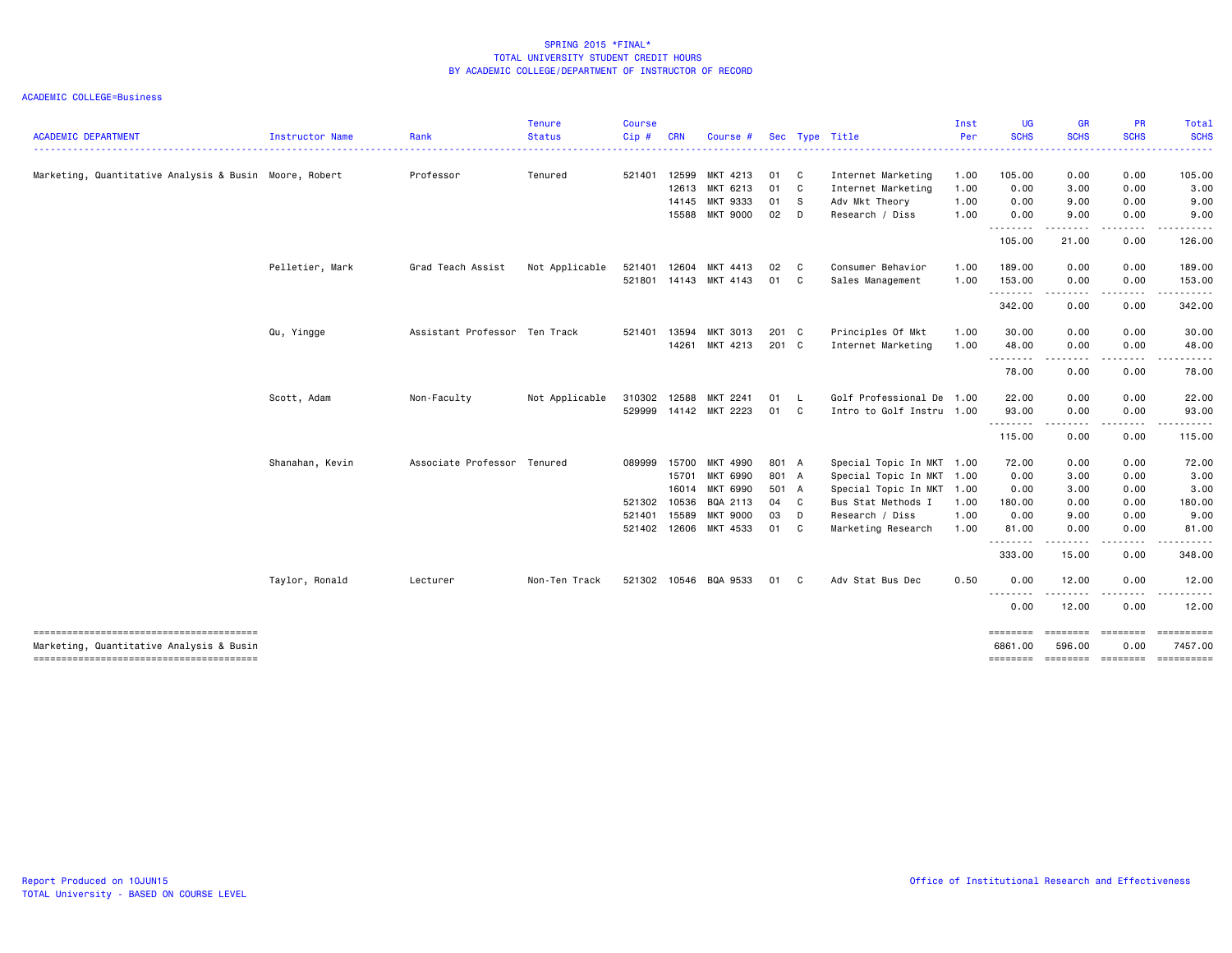| <b>ACADEMIC DEPARTMENT</b>                                                         | Instructor Name | Rank                          | <b>Tenure</b><br><b>Status</b> | <b>Course</b><br>Cip# | <b>CRN</b> | Course #              |        |              | Sec Type Title            | Inst<br>Per | <b>UG</b><br><b>SCHS</b> | <b>GR</b><br><b>SCHS</b>                                                                                                                                      | <b>PR</b><br><b>SCHS</b> | Total<br><b>SCHS</b>      |
|------------------------------------------------------------------------------------|-----------------|-------------------------------|--------------------------------|-----------------------|------------|-----------------------|--------|--------------|---------------------------|-------------|--------------------------|---------------------------------------------------------------------------------------------------------------------------------------------------------------|--------------------------|---------------------------|
|                                                                                    |                 |                               |                                |                       |            |                       |        |              |                           |             |                          | $\frac{1}{2} \left( \frac{1}{2} \right) \left( \frac{1}{2} \right) \left( \frac{1}{2} \right) \left( \frac{1}{2} \right) \left( \frac{1}{2} \right)$          |                          |                           |
| Marketing, Quantitative Analysis & Busin Moore, Robert                             |                 | Professor                     | Tenured                        | 521401                | 12599      | MKT 4213              | 01 C   |              | Internet Marketing        | 1.00        | 105.00                   | 0.00                                                                                                                                                          | 0.00                     | 105.00                    |
|                                                                                    |                 |                               |                                |                       | 12613      | MKT 6213              | 01 C   |              | Internet Marketing        | 1.00        | 0.00                     | 3.00                                                                                                                                                          | 0.00                     | 3.00                      |
|                                                                                    |                 |                               |                                |                       |            | 14145 MKT 9333        | 01 S   |              | Adv Mkt Theory            | 1.00        | 0.00                     | 9.00                                                                                                                                                          | 0.00                     | 9.00                      |
|                                                                                    |                 |                               |                                |                       |            | 15588 MKT 9000        | $02$ D |              | Research / Diss           | 1.00        | 0.00<br>.                | 9.00<br>.                                                                                                                                                     | 0.00                     | 9.00                      |
|                                                                                    |                 |                               |                                |                       |            |                       |        |              |                           |             | 105.00                   | 21.00                                                                                                                                                         | 0.00                     | 126.00                    |
|                                                                                    | Pelletier, Mark | Grad Teach Assist             | Not Applicable                 | 521401                | 12604      | MKT 4413              | 02     | $\mathbf{C}$ | Consumer Behavior         | 1.00        | 189.00                   | 0.00                                                                                                                                                          | 0.00                     | 189.00                    |
|                                                                                    |                 |                               |                                |                       |            | 521801 14143 MKT 4143 | 01 C   |              | Sales Management          | 1.00        | 153.00<br>--------       | 0.00<br>.                                                                                                                                                     | 0.00<br>.                | 153.00                    |
|                                                                                    |                 |                               |                                |                       |            |                       |        |              |                           |             | 342.00                   | 0.00                                                                                                                                                          | 0.00                     | 342.00                    |
|                                                                                    | Qu, Yingge      | Assistant Professor Ten Track |                                | 521401                | 13594      | MKT 3013              | 201 C  |              | Principles Of Mkt         | 1.00        | 30.00                    | 0.00                                                                                                                                                          | 0.00                     | 30.00                     |
|                                                                                    |                 |                               |                                |                       | 14261      | MKT 4213              | 201 C  |              | Internet Marketing        | 1.00        | 48.00<br>--------        | 0.00<br>$- - -$                                                                                                                                               | 0.00                     | 48.00                     |
|                                                                                    |                 |                               |                                |                       |            |                       |        |              |                           |             | 78.00                    | 0.00                                                                                                                                                          | 0.00                     | 78.00                     |
|                                                                                    | Scott, Adam     | Non-Faculty                   | Not Applicable                 | 310302                | 12588      | MKT 2241              | 01 L   |              | Golf Professional De 1.00 |             | 22.00                    | 0.00                                                                                                                                                          | 0.00                     | 22.00                     |
|                                                                                    |                 |                               |                                | 529999                |            | 14142 MKT 2223        | 01     | C            | Intro to Golf Instru 1.00 |             | 93.00<br>.               | 0.00<br>$\begin{array}{cccccccccccccc} \bullet & \bullet & \bullet & \bullet & \bullet & \bullet & \bullet \end{array}$                                       | 0.00                     | 93.00                     |
|                                                                                    |                 |                               |                                |                       |            |                       |        |              |                           |             | 115.00                   | 0.00                                                                                                                                                          | 0.00                     | 115.00                    |
|                                                                                    | Shanahan, Kevin | Associate Professor Tenured   |                                | 089999                | 15700      | MKT 4990              | 801 A  |              | Special Topic In MKT 1.00 |             | 72.00                    | 0.00                                                                                                                                                          | 0.00                     | 72.00                     |
|                                                                                    |                 |                               |                                |                       | 15701      | MKT 6990              | 801 A  |              | Special Topic In MKT      | 1.00        | 0.00                     | 3.00                                                                                                                                                          | 0.00                     | 3.00                      |
|                                                                                    |                 |                               |                                |                       | 16014      | MKT 6990              | 501 A  |              | Special Topic In MKT      | 1.00        | 0.00                     | 3.00                                                                                                                                                          | 0.00                     | 3.00                      |
|                                                                                    |                 |                               |                                | 521302                | 10536      | BQA 2113              | 04 C   |              | Bus Stat Methods I        | 1.00        | 180.00                   | 0.00                                                                                                                                                          | 0.00                     | 180.00                    |
|                                                                                    |                 |                               |                                | 521401                | 15589      | <b>MKT 9000</b>       | 03     | D            | Research / Diss           | 1.00        | 0.00                     | 9.00                                                                                                                                                          | 0.00                     | 9.00                      |
|                                                                                    |                 |                               |                                | 521402                |            | 12606 MKT 4533        | 01 C   |              | Marketing Research        | 1.00        | 81.00<br><u>.</u>        | 0.00<br>$\frac{1}{2}$                                                                                                                                         | 0.00                     | 81.00                     |
|                                                                                    |                 |                               |                                |                       |            |                       |        |              |                           |             | 333.00                   | 15.00                                                                                                                                                         | 0.00                     | 348.00                    |
|                                                                                    | Taylor, Ronald  | Lecturer                      | Non-Ten Track                  | 521302                |            | 10546 BQA 9533        | 01     | C            | Adv Stat Bus Dec          | 0.50        | 0.00                     | 12.00                                                                                                                                                         | 0.00                     | 12.00                     |
|                                                                                    |                 |                               |                                |                       |            |                       |        |              |                           |             | <b></b><br>0.00          | $\frac{1}{2} \left( \frac{1}{2} \right) \left( \frac{1}{2} \right) \left( \frac{1}{2} \right) \left( \frac{1}{2} \right) \left( \frac{1}{2} \right)$<br>12.00 | <u>.</u><br>0.00         | 12.00                     |
| --------------------------------------<br>Marketing, Quantitative Analysis & Busin |                 |                               |                                |                       |            |                       |        |              |                           |             | ========<br>6861,00      | ========<br>596,00                                                                                                                                            | ========<br>0.00         | $=$ ==========<br>7457.00 |
| --------------------------------------                                             |                 |                               |                                |                       |            |                       |        |              |                           |             | ========                 |                                                                                                                                                               | ======== ========        |                           |
|                                                                                    |                 |                               |                                |                       |            |                       |        |              |                           |             |                          |                                                                                                                                                               |                          |                           |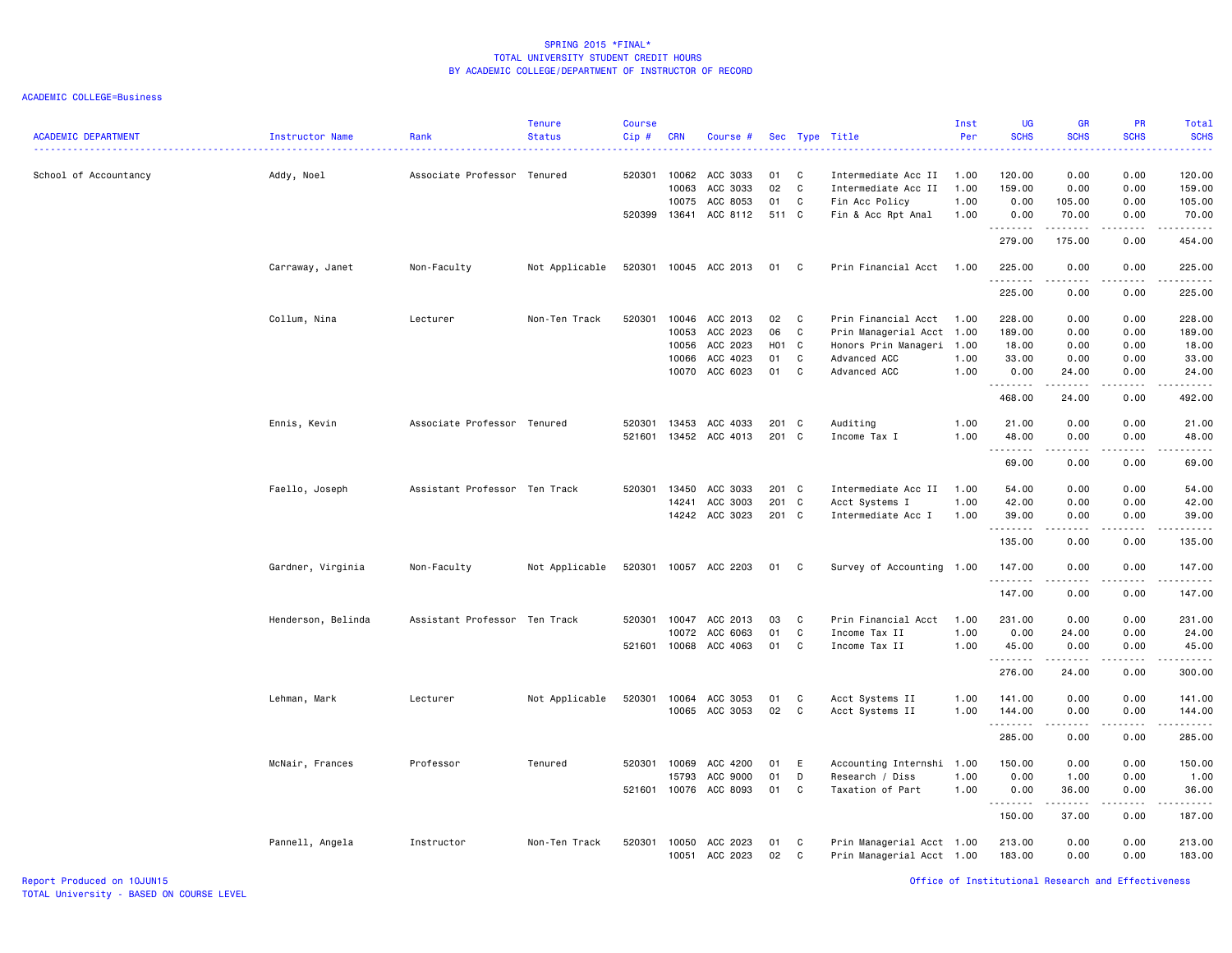ACADEMIC COLLEGE=Business

| <b>ACADEMIC DEPARTMENT</b> | Instructor Name    | Rank                          | <b>Tenure</b><br><b>Status</b> | <b>Course</b><br>Cip# | <b>CRN</b>            | Course #              |             |              | Sec Type Title                             | Inst<br>Per  | <b>UG</b><br><b>SCHS</b>                                                                                                                                                                                                                                                                                                                                                                                                                                                                        | <b>GR</b><br><b>SCHS</b> | PR<br><b>SCHS</b> | <b>Total</b><br><b>SCHS</b><br>.            |
|----------------------------|--------------------|-------------------------------|--------------------------------|-----------------------|-----------------------|-----------------------|-------------|--------------|--------------------------------------------|--------------|-------------------------------------------------------------------------------------------------------------------------------------------------------------------------------------------------------------------------------------------------------------------------------------------------------------------------------------------------------------------------------------------------------------------------------------------------------------------------------------------------|--------------------------|-------------------|---------------------------------------------|
| School of Accountancy      | Addy, Noel         | Associate Professor Tenured   |                                |                       | 520301 10062<br>10063 | ACC 3033<br>ACC 3033  | 01<br>02    | C<br>C       | Intermediate Acc II<br>Intermediate Acc II | 1.00<br>1.00 | 120.00<br>159.00                                                                                                                                                                                                                                                                                                                                                                                                                                                                                | 0.00<br>0.00             | 0.00<br>0.00      | 120.00<br>159.00                            |
|                            |                    |                               |                                | 520399                | 10075<br>13641        | ACC 8053<br>ACC 8112  | 01<br>511 C | C            | Fin Acc Policy<br>Fin & Acc Rpt Anal       | 1.00<br>1.00 | 0.00<br>0.00                                                                                                                                                                                                                                                                                                                                                                                                                                                                                    | 105.00<br>70.00          | 0.00<br>0.00      | 105.00<br>70.00                             |
|                            |                    |                               |                                |                       |                       |                       |             |              |                                            |              | .<br>279.00                                                                                                                                                                                                                                                                                                                                                                                                                                                                                     | 175.00                   | .<br>0.00         | 454.00                                      |
|                            | Carraway, Janet    | Non-Faculty                   | Not Applicable                 |                       |                       | 520301 10045 ACC 2013 | 01          | $\mathbf{C}$ | Prin Financial Acct                        | 1.00         | 225.00<br>.                                                                                                                                                                                                                                                                                                                                                                                                                                                                                     | 0.00<br><u>.</u>         | 0.00<br>.         | 225.00<br>$- - - - - -$                     |
|                            |                    |                               |                                |                       |                       |                       |             |              |                                            |              | 225.00                                                                                                                                                                                                                                                                                                                                                                                                                                                                                          | 0.00                     | 0.00              | 225.00                                      |
|                            | Collum, Nina       | Lecturer                      | Non-Ten Track                  | 520301                | 10046                 | ACC 2013              | 02          | C            | Prin Financial Acct                        | 1.00         | 228.00                                                                                                                                                                                                                                                                                                                                                                                                                                                                                          | 0.00                     | 0.00              | 228.00                                      |
|                            |                    |                               |                                |                       | 10053                 | ACC 2023              | 06          | C            | Prin Managerial Acct 1.00                  |              | 189.00                                                                                                                                                                                                                                                                                                                                                                                                                                                                                          | 0.00                     | 0.00              | 189.00                                      |
|                            |                    |                               |                                |                       | 10056                 | ACC 2023              | H01 C       |              | Honors Prin Manageri                       | 1.00         | 18.00                                                                                                                                                                                                                                                                                                                                                                                                                                                                                           | 0.00                     | 0.00              | 18.00                                       |
|                            |                    |                               |                                |                       | 10066                 | ACC 4023              | 01          | C            | Advanced ACC                               | 1.00         | 33.00                                                                                                                                                                                                                                                                                                                                                                                                                                                                                           | 0.00                     | 0.00              | 33.00                                       |
|                            |                    |                               |                                |                       | 10070                 | ACC 6023              | 01          | C            | Advanced ACC                               | 1.00         | 0.00<br>.                                                                                                                                                                                                                                                                                                                                                                                                                                                                                       | 24.00<br>.               | 0.00<br>.         | 24.00<br>.                                  |
|                            |                    |                               |                                |                       |                       |                       |             |              |                                            |              | 468.00                                                                                                                                                                                                                                                                                                                                                                                                                                                                                          | 24.00                    | 0.00              | 492.00                                      |
|                            | Ennis, Kevin       | Associate Professor Tenured   |                                | 520301                | 13453                 | ACC 4033              | 201 C       |              | Auditing                                   | 1.00         | 21.00                                                                                                                                                                                                                                                                                                                                                                                                                                                                                           | 0.00                     | 0.00              | 21.00                                       |
|                            |                    |                               |                                | 521601                |                       | 13452 ACC 4013        | 201 C       |              | Income Tax I                               | 1.00         | 48.00<br>$\begin{array}{cccccccccccccc} \multicolumn{2}{c}{} & \multicolumn{2}{c}{} & \multicolumn{2}{c}{} & \multicolumn{2}{c}{} & \multicolumn{2}{c}{} & \multicolumn{2}{c}{} & \multicolumn{2}{c}{} & \multicolumn{2}{c}{} & \multicolumn{2}{c}{} & \multicolumn{2}{c}{} & \multicolumn{2}{c}{} & \multicolumn{2}{c}{} & \multicolumn{2}{c}{} & \multicolumn{2}{c}{} & \multicolumn{2}{c}{} & \multicolumn{2}{c}{} & \multicolumn{2}{c}{} & \multicolumn{2}{c}{} & \multicolumn{2}{c}{} & \$ | 0.00<br>-----            | 0.00              | 48.00<br>.                                  |
|                            |                    |                               |                                |                       |                       |                       |             |              |                                            |              | 69.00                                                                                                                                                                                                                                                                                                                                                                                                                                                                                           | 0.00                     | 0.00              | 69.00                                       |
|                            | Faello, Joseph     | Assistant Professor Ten Track |                                |                       | 520301 13450          | ACC 3033              | 201 C       |              | Intermediate Acc II                        | 1.00         | 54.00                                                                                                                                                                                                                                                                                                                                                                                                                                                                                           | 0.00                     | 0.00              | 54.00                                       |
|                            |                    |                               |                                |                       | 14241                 | ACC 3003              | 201 C       |              | Acct Systems I                             | 1.00         | 42.00                                                                                                                                                                                                                                                                                                                                                                                                                                                                                           | 0.00                     | 0.00              | 42.00                                       |
|                            |                    |                               |                                |                       | 14242                 | ACC 3023              | 201 C       |              | Intermediate Acc I                         | 1.00         | 39.00<br>.                                                                                                                                                                                                                                                                                                                                                                                                                                                                                      | 0.00                     | 0.00              | 39.00<br>$\sim$ $\sim$ $\sim$ $\sim$ $\sim$ |
|                            |                    |                               |                                |                       |                       |                       |             |              |                                            |              | 135.00                                                                                                                                                                                                                                                                                                                                                                                                                                                                                          | 0.00                     | 0.00              | 135.00                                      |
|                            | Gardner, Virginia  | Non-Faculty                   | Not Applicable                 |                       |                       | 520301 10057 ACC 2203 | 01          | C            | Survey of Accounting 1.00                  |              | 147.00<br>.                                                                                                                                                                                                                                                                                                                                                                                                                                                                                     | 0.00                     | 0.00<br>.         | 147.00                                      |
|                            |                    |                               |                                |                       |                       |                       |             |              |                                            |              | 147.00                                                                                                                                                                                                                                                                                                                                                                                                                                                                                          | 0.00                     | 0.00              | 147.00                                      |
|                            | Henderson, Belinda | Assistant Professor Ten Track |                                | 520301                | 10047                 | ACC 2013              | 03          | C            | Prin Financial Acct                        | 1.00         | 231.00                                                                                                                                                                                                                                                                                                                                                                                                                                                                                          | 0.00                     | 0.00              | 231.00                                      |
|                            |                    |                               |                                |                       | 10072                 | ACC 6063              | 01          | C            | Income Tax II                              | 1.00         | 0.00                                                                                                                                                                                                                                                                                                                                                                                                                                                                                            | 24.00                    | 0.00              | 24.00                                       |
|                            |                    |                               |                                | 521601                | 10068                 | ACC 4063              | 01          | C            | Income Tax II                              | 1.00         | 45.00<br><u>.</u>                                                                                                                                                                                                                                                                                                                                                                                                                                                                               | 0.00<br>$- - - - -$      | 0.00<br>$\cdots$  | 45.00<br>. <u>.</u> .                       |
|                            |                    |                               |                                |                       |                       |                       |             |              |                                            |              | 276.00                                                                                                                                                                                                                                                                                                                                                                                                                                                                                          | 24.00                    | 0.00              | 300.00                                      |
|                            | Lehman, Mark       | Lecturer                      | Not Applicable                 | 520301                | 10064                 | ACC 3053              | 01          | C            | Acct Systems II                            | 1.00         | 141.00                                                                                                                                                                                                                                                                                                                                                                                                                                                                                          | 0.00                     | 0.00              | 141.00                                      |
|                            |                    |                               |                                |                       |                       | 10065 ACC 3053        | 02          | C            | Acct Systems II                            | 1.00         | 144.00                                                                                                                                                                                                                                                                                                                                                                                                                                                                                          | 0.00                     | 0.00              | 144.00                                      |
|                            |                    |                               |                                |                       |                       |                       |             |              |                                            |              | .                                                                                                                                                                                                                                                                                                                                                                                                                                                                                               | .                        | .                 | .                                           |
|                            |                    |                               |                                |                       |                       |                       |             |              |                                            |              | 285.00                                                                                                                                                                                                                                                                                                                                                                                                                                                                                          | 0.00                     | 0.00              | 285.00                                      |
|                            | McNair, Frances    | Professor                     | Tenured                        | 520301                | 10069                 | ACC 4200              | 01          | E            | Accounting Internshi 1.00                  |              | 150.00                                                                                                                                                                                                                                                                                                                                                                                                                                                                                          | 0.00                     | 0.00              | 150.00                                      |
|                            |                    |                               |                                |                       | 15793                 | ACC 9000              | 01          | D            | Research / Diss                            | 1.00         | 0.00                                                                                                                                                                                                                                                                                                                                                                                                                                                                                            | 1.00                     | 0.00              | 1.00                                        |
|                            |                    |                               |                                | 521601                |                       | 10076 ACC 8093        | 01          | C            | Taxation of Part                           | 1.00         | 0.00<br>.                                                                                                                                                                                                                                                                                                                                                                                                                                                                                       | 36.00<br>.               | 0.00<br>.         | 36.00<br>------                             |
|                            |                    |                               |                                |                       |                       |                       |             |              |                                            |              | 150.00                                                                                                                                                                                                                                                                                                                                                                                                                                                                                          | 37.00                    | 0.00              | 187.00                                      |
|                            | Pannell, Angela    | Instructor                    | Non-Ten Track                  | 520301                | 10050                 | ACC 2023              | 01          | C            | Prin Managerial Acct 1.00                  |              | 213.00                                                                                                                                                                                                                                                                                                                                                                                                                                                                                          | 0.00                     | 0.00              | 213.00                                      |
|                            |                    |                               |                                |                       | 10051                 | ACC 2023              | 02          | C            | Prin Managerial Acct 1.00                  |              | 183.00                                                                                                                                                                                                                                                                                                                                                                                                                                                                                          | 0.00                     | 0.00              | 183.00                                      |

Report Produced on 10JUN15 Office of Institutional Research and Effectiveness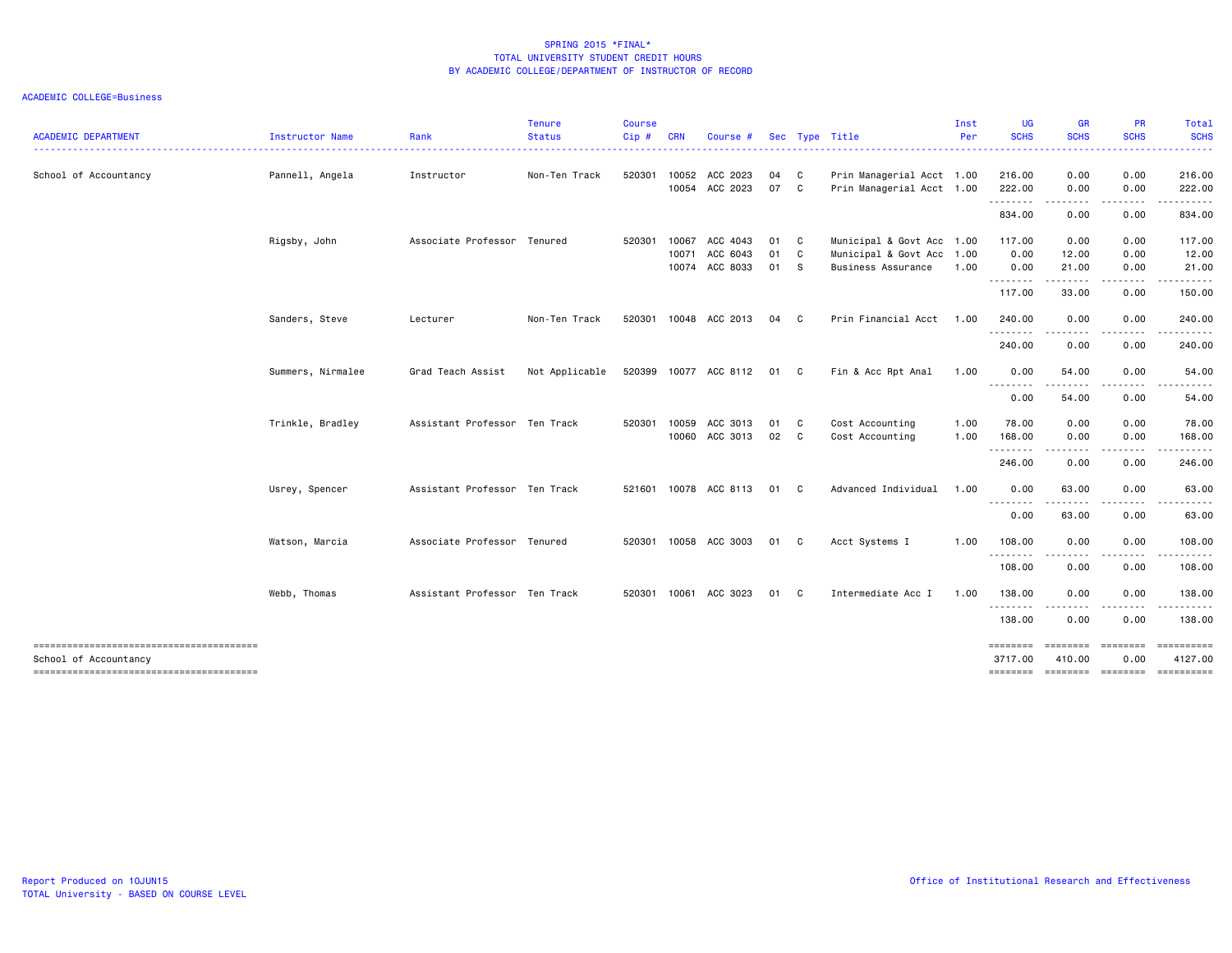| <b>ACADEMIC DEPARTMENT</b>             | Instructor Name   | Rank                          | <b>Tenure</b><br><b>Status</b> | <b>Course</b><br>Cip# | <b>CRN</b> | Course #                   |          |                   | Sec Type Title                                         | Inst<br>Per | <b>UG</b><br><b>SCHS</b>   | <b>GR</b><br><b>SCHS</b><br>. <b>.</b>                                                                                                                                                   | <b>PR</b><br><b>SCHS</b>                                                                                                                                                                                                                                                                                                                                                                                                                                                                     | Total<br><b>SCHS</b><br>$\frac{1}{2} \left( \frac{1}{2} \right) \left( \frac{1}{2} \right) \left( \frac{1}{2} \right) \left( \frac{1}{2} \right)$ |
|----------------------------------------|-------------------|-------------------------------|--------------------------------|-----------------------|------------|----------------------------|----------|-------------------|--------------------------------------------------------|-------------|----------------------------|------------------------------------------------------------------------------------------------------------------------------------------------------------------------------------------|----------------------------------------------------------------------------------------------------------------------------------------------------------------------------------------------------------------------------------------------------------------------------------------------------------------------------------------------------------------------------------------------------------------------------------------------------------------------------------------------|---------------------------------------------------------------------------------------------------------------------------------------------------|
| School of Accountancy                  | Pannell, Angela   | Instructor                    | Non-Ten Track                  | 520301                | 10052      | ACC 2023<br>10054 ACC 2023 | 04<br>07 | C<br>$\mathbf{C}$ | Prin Managerial Acct 1.00<br>Prin Managerial Acct 1.00 |             | 216.00<br>222.00           | 0.00<br>0.00                                                                                                                                                                             | 0.00<br>0.00                                                                                                                                                                                                                                                                                                                                                                                                                                                                                 | 216.00<br>222.00                                                                                                                                  |
|                                        |                   |                               |                                |                       |            |                            |          |                   |                                                        |             | .                          | .                                                                                                                                                                                        | .                                                                                                                                                                                                                                                                                                                                                                                                                                                                                            | .                                                                                                                                                 |
|                                        |                   |                               |                                |                       |            |                            |          |                   |                                                        |             | 834.00                     | 0.00                                                                                                                                                                                     | 0.00                                                                                                                                                                                                                                                                                                                                                                                                                                                                                         | 834.00                                                                                                                                            |
|                                        | Rigsby, John      | Associate Professor           | Tenured                        | 520301                | 10067      | ACC 4043                   | 01       | $\mathbf{C}$      | Municipal & Govt Acc 1.00                              |             | 117.00                     | 0.00                                                                                                                                                                                     | 0.00                                                                                                                                                                                                                                                                                                                                                                                                                                                                                         | 117.00                                                                                                                                            |
|                                        |                   |                               |                                |                       | 10071      | ACC 6043                   | 01       | $\mathbf{C}$      | Municipal & Govt Acc                                   | 1.00        | 0.00                       | 12.00                                                                                                                                                                                    | 0.00                                                                                                                                                                                                                                                                                                                                                                                                                                                                                         | 12.00                                                                                                                                             |
|                                        |                   |                               |                                |                       | 10074      | ACC 8033                   | 01       | <b>S</b>          | Business Assurance                                     | 1.00        | 0.00<br>.                  | 21.00<br>. <b>.</b> .                                                                                                                                                                    | 0.00<br>.                                                                                                                                                                                                                                                                                                                                                                                                                                                                                    | 21.00<br>.                                                                                                                                        |
|                                        |                   |                               |                                |                       |            |                            |          |                   |                                                        |             | 117.00                     | 33.00                                                                                                                                                                                    | 0.00                                                                                                                                                                                                                                                                                                                                                                                                                                                                                         | 150.00                                                                                                                                            |
|                                        | Sanders, Steve    | Lecturer                      | Non-Ten Track                  | 520301                |            | 10048 ACC 2013             | 04       | $\mathbf{C}$      | Prin Financial Acct                                    | 1.00        | 240.00                     | 0.00                                                                                                                                                                                     | 0.00                                                                                                                                                                                                                                                                                                                                                                                                                                                                                         | 240.00                                                                                                                                            |
|                                        |                   |                               |                                |                       |            |                            |          |                   |                                                        |             | .<br>240.00                | .<br>0.00                                                                                                                                                                                | $\frac{1}{2} \left( \frac{1}{2} \right) \left( \frac{1}{2} \right) \left( \frac{1}{2} \right) \left( \frac{1}{2} \right)$<br>0.00                                                                                                                                                                                                                                                                                                                                                            | .<br>240.00                                                                                                                                       |
|                                        | Summers, Nirmalee | Grad Teach Assist             | Not Applicable                 |                       |            | 520399 10077 ACC 8112      | 01 C     |                   | Fin & Acc Rpt Anal                                     | 1.00        | 0.00<br>.                  | 54.00                                                                                                                                                                                    | 0.00<br>.                                                                                                                                                                                                                                                                                                                                                                                                                                                                                    | 54.00                                                                                                                                             |
|                                        |                   |                               |                                |                       |            |                            |          |                   |                                                        |             | 0.00                       | .<br>54.00                                                                                                                                                                               | 0.00                                                                                                                                                                                                                                                                                                                                                                                                                                                                                         | 54.00                                                                                                                                             |
|                                        | Trinkle, Bradley  | Assistant Professor Ten Track |                                | 520301                | 10059      | ACC 3013                   | 01       | $\mathbf{C}$      | Cost Accounting                                        | 1.00        | 78.00                      | 0.00                                                                                                                                                                                     | 0.00                                                                                                                                                                                                                                                                                                                                                                                                                                                                                         | 78.00                                                                                                                                             |
|                                        |                   |                               |                                |                       | 10060      | ACC 3013                   | 02 C     |                   | Cost Accounting                                        | 1.00        | 168.00                     | 0.00                                                                                                                                                                                     | 0.00                                                                                                                                                                                                                                                                                                                                                                                                                                                                                         | 168.00                                                                                                                                            |
|                                        |                   |                               |                                |                       |            |                            |          |                   |                                                        |             | .<br>246.00                | 0.00                                                                                                                                                                                     | -----<br>0.00                                                                                                                                                                                                                                                                                                                                                                                                                                                                                | ------<br>246.00                                                                                                                                  |
|                                        | Usrey, Spencer    | Assistant Professor Ten Track |                                | 521601                | 10078      | ACC 8113                   | 01       | $\mathbf{C}$      | Advanced Individual                                    | 1.00        | 0.00                       | 63.00                                                                                                                                                                                    | 0.00                                                                                                                                                                                                                                                                                                                                                                                                                                                                                         | 63.00                                                                                                                                             |
|                                        |                   |                               |                                |                       |            |                            |          |                   |                                                        |             | .<br>0.00                  | $\frac{1}{2} \left( \frac{1}{2} \right) \left( \frac{1}{2} \right) \left( \frac{1}{2} \right) \left( \frac{1}{2} \right) \left( \frac{1}{2} \right) \left( \frac{1}{2} \right)$<br>63.00 | .<br>0.00                                                                                                                                                                                                                                                                                                                                                                                                                                                                                    | . <b>.</b><br>63.00                                                                                                                               |
|                                        | Watson, Marcia    | Associate Professor Tenured   |                                |                       |            | 520301 10058 ACC 3003      | 01 C     |                   | Acct Systems I                                         | 1.00        | 108.00                     | 0.00                                                                                                                                                                                     | 0.00                                                                                                                                                                                                                                                                                                                                                                                                                                                                                         | 108.00                                                                                                                                            |
|                                        |                   |                               |                                |                       |            |                            |          |                   |                                                        |             | .<br>108.00                | 0.00                                                                                                                                                                                     | 0.00                                                                                                                                                                                                                                                                                                                                                                                                                                                                                         | . <b>.</b> .<br>108.00                                                                                                                            |
|                                        | Webb, Thomas      | Assistant Professor Ten Track |                                | 520301                |            | 10061 ACC 3023             | 01       | C.                | Intermediate Acc I                                     | 1.00        | 138.00                     | 0.00                                                                                                                                                                                     | 0.00                                                                                                                                                                                                                                                                                                                                                                                                                                                                                         | 138.00                                                                                                                                            |
|                                        |                   |                               |                                |                       |            |                            |          |                   |                                                        |             | .<br>138.00                | .<br>0.00                                                                                                                                                                                | $\frac{1}{2} \left( \frac{1}{2} \right) \left( \frac{1}{2} \right) \left( \frac{1}{2} \right) \left( \frac{1}{2} \right) \left( \frac{1}{2} \right)$<br>0.00                                                                                                                                                                                                                                                                                                                                 | .<br>138.00                                                                                                                                       |
| School of Accountancy                  |                   |                               |                                |                       |            |                            |          |                   |                                                        |             | <b>EDESESSE</b><br>3717.00 | $= 10000000000$<br>410.00                                                                                                                                                                | $\begin{array}{cccccc} \multicolumn{2}{c}{} & \multicolumn{2}{c}{} & \multicolumn{2}{c}{} & \multicolumn{2}{c}{} & \multicolumn{2}{c}{} & \multicolumn{2}{c}{} & \multicolumn{2}{c}{} & \multicolumn{2}{c}{} & \multicolumn{2}{c}{} & \multicolumn{2}{c}{} & \multicolumn{2}{c}{} & \multicolumn{2}{c}{} & \multicolumn{2}{c}{} & \multicolumn{2}{c}{} & \multicolumn{2}{c}{} & \multicolumn{2}{c}{} & \multicolumn{2}{c}{} & \multicolumn{2}{c}{} & \multicolumn{2}{c}{} & \multic$<br>0.00 | ==========<br>4127.00                                                                                                                             |
| -------------------------------------- |                   |                               |                                |                       |            |                            |          |                   |                                                        |             | ========                   |                                                                                                                                                                                          |                                                                                                                                                                                                                                                                                                                                                                                                                                                                                              | ======== ======== ==========                                                                                                                      |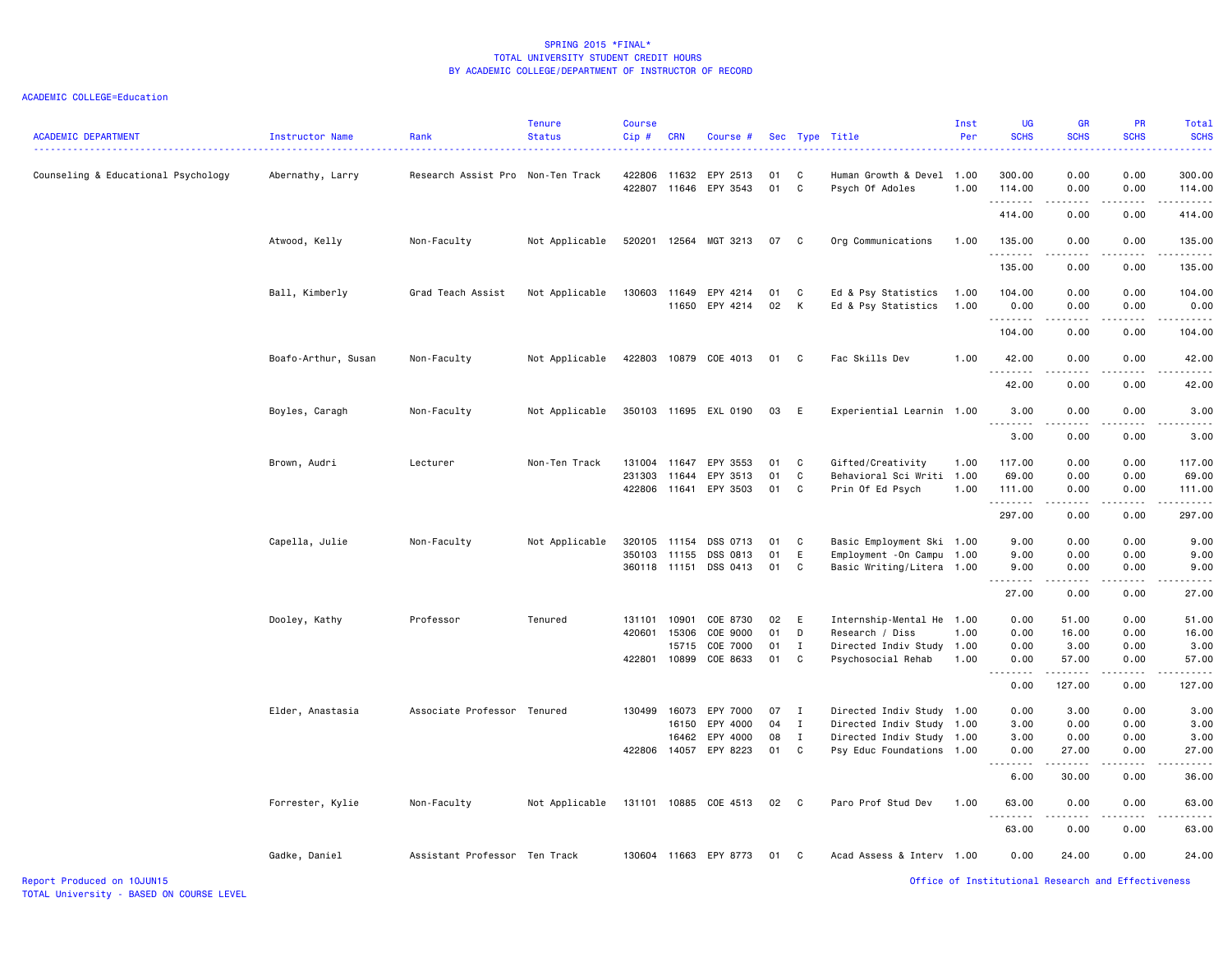#### ACADEMIC COLLEGE=Education

| <b>ACADEMIC DEPARTMENT</b>          | Instructor Name     | Rank                              | <b>Tenure</b><br><b>Status</b> | <b>Course</b><br>$Cip$ #     | <b>CRN</b>     | Course #                   |          |                   | Sec Type Title                                          | Inst<br>Per  | <b>UG</b><br><b>SCHS</b>         | <b>GR</b><br><b>SCHS</b>     | PR<br><b>SCHS</b>                   | Total<br><b>SCHS</b>                                                                                                                                                                                                 |
|-------------------------------------|---------------------|-----------------------------------|--------------------------------|------------------------------|----------------|----------------------------|----------|-------------------|---------------------------------------------------------|--------------|----------------------------------|------------------------------|-------------------------------------|----------------------------------------------------------------------------------------------------------------------------------------------------------------------------------------------------------------------|
| Counseling & Educational Psychology | Abernathy, Larry    | Research Assist Pro Non-Ten Track |                                | 422806<br>422807             | 11632          | EPY 2513<br>11646 EPY 3543 | 01<br>01 | C<br>C            | Human Growth & Devel 1.00<br>Psych Of Adoles            | 1.00         | 300.00<br>114.00                 | 0.00<br>0.00                 | 0.00<br>0.00                        | 300.00<br>114.00                                                                                                                                                                                                     |
|                                     |                     |                                   |                                |                              |                |                            |          |                   |                                                         |              | .<br>414.00                      | .<br>0.00                    | .<br>0.00                           | $- - - - - - -$<br>414.00                                                                                                                                                                                            |
|                                     | Atwood, Kelly       | Non-Faculty                       | Not Applicable                 | 520201                       |                | 12564 MGT 3213             | 07       | C                 | Org Communications                                      | 1.00         | 135.00                           | 0.00                         | 0.00                                | 135.00                                                                                                                                                                                                               |
|                                     |                     |                                   |                                |                              |                |                            |          |                   |                                                         |              | .<br>135.00                      | $\sim$ $\sim$ $\sim$<br>0.00 | $\sim$ $\sim$ $\sim$ $\sim$<br>0.00 | .<br>135.00                                                                                                                                                                                                          |
|                                     | Ball, Kimberly      | Grad Teach Assist                 | Not Applicable                 | 130603                       | 11649<br>11650 | EPY 4214<br>EPY 4214       | 01<br>02 | C<br>к            | Ed & Psy Statistics<br>Ed & Psy Statistics              | 1.00<br>1.00 | 104.00<br>0.00                   | 0.00<br>0.00                 | 0.00<br>0.00                        | 104.00<br>0.00                                                                                                                                                                                                       |
|                                     |                     |                                   |                                |                              |                |                            |          |                   |                                                         |              | .<br>104.00                      | 0.00                         | 0.00                                | $\frac{1}{2} \left( \frac{1}{2} \right) \left( \frac{1}{2} \right) \left( \frac{1}{2} \right) \left( \frac{1}{2} \right) \left( \frac{1}{2} \right) \left( \frac{1}{2} \right) \left( \frac{1}{2} \right)$<br>104.00 |
|                                     | Boafo-Arthur, Susan | Non-Faculty                       | Not Applicable                 |                              |                | 422803 10879 COE 4013      | 01       | C                 | Fac Skills Dev                                          | 1.00         | 42.00                            | 0.00                         | 0.00                                | 42.00                                                                                                                                                                                                                |
|                                     |                     |                                   |                                |                              |                |                            |          |                   |                                                         |              | .<br>42.00                       | 0.00                         | .<br>0.00                           | -----<br>42.00                                                                                                                                                                                                       |
|                                     | Boyles, Caragh      | Non-Faculty                       | Not Applicable                 |                              |                | 350103 11695 EXL 0190      | 03       | E                 | Experiential Learnin 1.00                               |              | 3.00                             | 0.00                         | 0.00                                | 3.00                                                                                                                                                                                                                 |
|                                     |                     |                                   |                                |                              |                |                            |          |                   |                                                         |              | 3.00                             | 0.00                         | 0.00                                | 3.00                                                                                                                                                                                                                 |
|                                     | Brown, Audri        | Lecturer                          | Non-Ten Track                  | 131004<br>231303             | 11647<br>11644 | EPY 3553<br>EPY 3513       | 01<br>01 | C<br>C            | Gifted/Creativity<br>Behavioral Sci Writi 1.00          | 1.00         | 117.00<br>69.00                  | 0.00<br>0.00                 | 0.00<br>0.00                        | 117.00<br>69.00                                                                                                                                                                                                      |
|                                     |                     |                                   |                                | 422806                       | 11641          | EPY 3503                   | 01       | C                 | Prin Of Ed Psych                                        | 1.00         | 111.00<br>.                      | 0.00<br>.                    | 0.00                                | 111.00<br>$\frac{1}{2} \left( \frac{1}{2} \right) \left( \frac{1}{2} \right) \left( \frac{1}{2} \right) \left( \frac{1}{2} \right) \left( \frac{1}{2} \right) \left( \frac{1}{2} \right)$                            |
|                                     |                     |                                   |                                |                              |                |                            |          |                   |                                                         |              | 297.00                           | 0.00                         | 0.00                                | 297.00                                                                                                                                                                                                               |
|                                     | Capella, Julie      | Non-Faculty                       | Not Applicable                 | 320105                       | 11154          | DSS 0713                   | 01       | C                 | Basic Employment Ski 1.00                               |              | 9.00                             | 0.00                         | 0.00                                | 9.00                                                                                                                                                                                                                 |
|                                     |                     |                                   |                                | 350103 11155<br>360118 11151 |                | DSS 0813<br>DSS 0413       | 01<br>01 | E<br>C            | Employment - On Campu 1.00<br>Basic Writing/Litera 1.00 |              | 9.00<br>9.00                     | 0.00<br>0.00                 | 0.00<br>0.00                        | 9.00<br>9.00                                                                                                                                                                                                         |
|                                     |                     |                                   |                                |                              |                |                            |          |                   |                                                         |              | .<br>27.00                       | 0.00                         | - - - -<br>0.00                     | .<br>27.00                                                                                                                                                                                                           |
|                                     |                     |                                   |                                |                              |                |                            |          |                   |                                                         |              |                                  |                              |                                     |                                                                                                                                                                                                                      |
|                                     | Dooley, Kathy       | Professor                         | Tenured                        | 131101                       | 10901          | COE 8730                   | 02       | Ε                 | Internship-Mental He                                    | 1.00         | 0.00                             | 51.00                        | 0.00                                | 51.00                                                                                                                                                                                                                |
|                                     |                     |                                   |                                | 420601                       | 15306<br>15715 | COE 9000<br>COE 7000       | 01<br>01 | D<br>$\mathbf{I}$ | Research / Diss<br>Directed Indiv Study 1.00            | 1.00         | 0.00<br>0.00                     | 16.00<br>3.00                | 0.00<br>0.00                        | 16.00<br>3.00                                                                                                                                                                                                        |
|                                     |                     |                                   |                                | 422801                       | 10899          | COE 8633                   | 01       | C                 | Psychosocial Rehab                                      | 1.00         | 0.00                             | 57.00                        | 0.00                                | 57.00                                                                                                                                                                                                                |
|                                     |                     |                                   |                                |                              |                |                            |          |                   |                                                         |              |                                  |                              | .                                   | $- - - -$                                                                                                                                                                                                            |
|                                     |                     |                                   |                                |                              |                |                            |          |                   |                                                         |              | 0.00                             | 127.00                       | 0.00                                | 127.00                                                                                                                                                                                                               |
|                                     | Elder, Anastasia    | Associate Professor Tenured       |                                | 130499                       | 16073          | EPY 7000                   | 07       | $\mathbf{I}$      | Directed Indiv Study 1.00                               |              | 0.00                             | 3.00                         | 0.00                                | 3.00                                                                                                                                                                                                                 |
|                                     |                     |                                   |                                |                              | 16150          | EPY 4000                   | 04       | $\mathbf{I}$      | Directed Indiv Study 1.00                               |              | 3.00                             | 0.00                         | 0.00                                | 3.00                                                                                                                                                                                                                 |
|                                     |                     |                                   |                                |                              | 16462          | EPY 4000                   | 08       | $\mathbf{I}$      | Directed Indiv Study 1.00                               |              | 3.00                             | 0.00                         | 0.00                                | 3.00                                                                                                                                                                                                                 |
|                                     |                     |                                   |                                | 422806 14057                 |                | EPY 8223                   | 01       | C                 | Psy Educ Foundations 1.00                               |              | 0.00<br>$\sim$ $\sim$<br>د د د د | 27.00                        | 0.00<br>$\sim$ $\sim$ $\sim$ $\sim$ | 27.00<br>.                                                                                                                                                                                                           |
|                                     |                     |                                   |                                |                              |                |                            |          |                   |                                                         |              | 6.00                             | 30.00                        | 0.00                                | 36.00                                                                                                                                                                                                                |
|                                     | Forrester, Kylie    | Non-Faculty                       | Not Applicable                 | 131101 10885                 |                | COE 4513                   | 02       | $\mathbf{C}$      | Paro Prof Stud Dev                                      | 1.00         | 63.00<br>.                       | 0.00                         | 0.00                                | 63.00                                                                                                                                                                                                                |
|                                     |                     |                                   |                                |                              |                |                            |          |                   |                                                         |              | 63.00                            | 0.00                         | 0.00                                | 63.00                                                                                                                                                                                                                |
|                                     | Gadke, Daniel       | Assistant Professor Ten Track     |                                |                              |                | 130604 11663 EPY 8773      | 01       | C.                | Acad Assess & Interv 1.00                               |              | 0.00                             | 24.00                        | 0.00                                | 24.00                                                                                                                                                                                                                |

Report Produced on 10JUN15 Office of Institutional Research and Effectiveness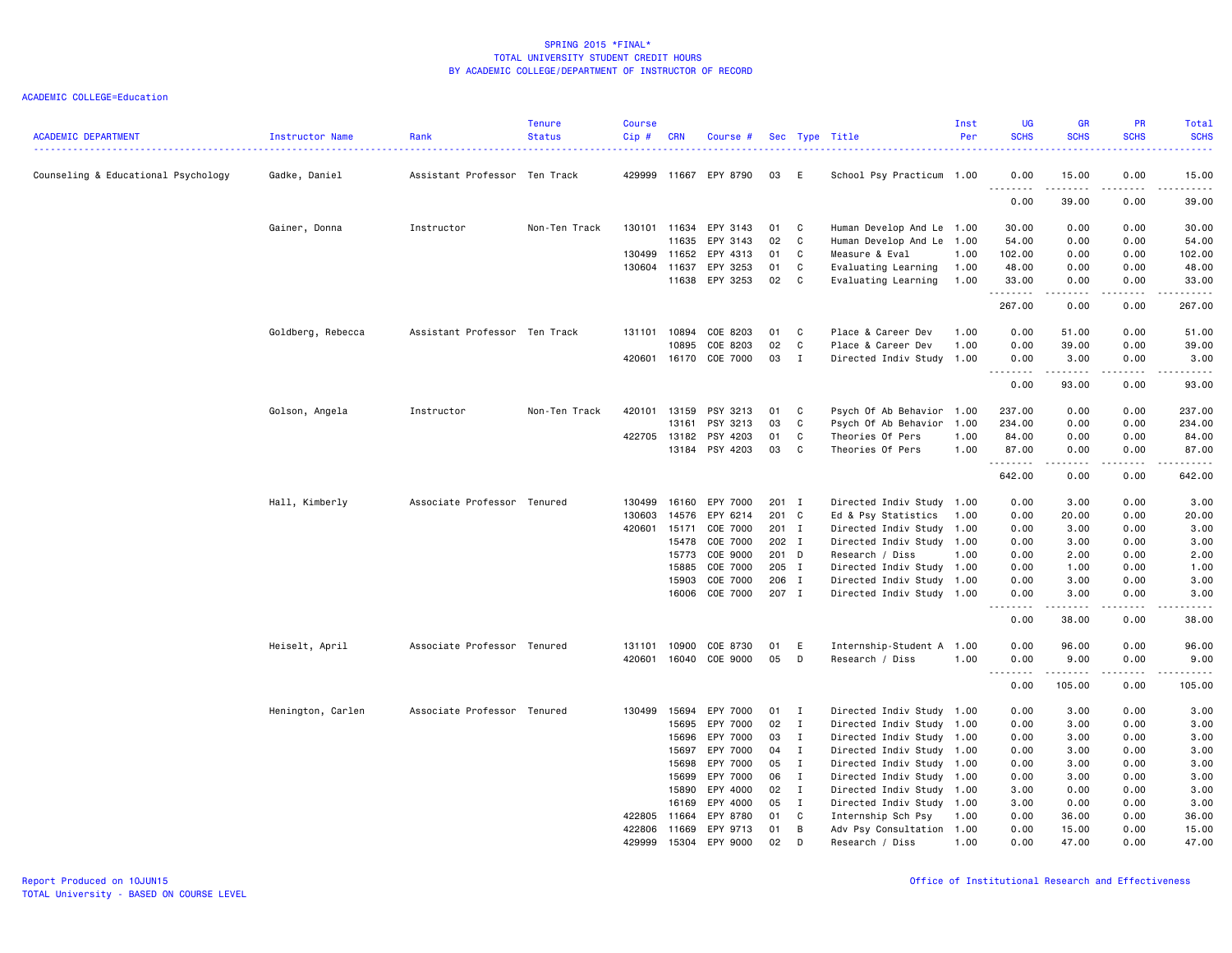# ACADEMIC COLLEGE=Education

| <b>ACADEMIC DEPARTMENT</b>          | Instructor Name   | Rank                          | <b>Tenure</b><br><b>Status</b> | <b>Course</b><br>$Cip \#$ | <b>CRN</b>     | Course #              |                |                   | Sec Type Title                                         | Inst<br>Per | UG<br><b>SCHS</b>                 | <b>GR</b><br><b>SCHS</b>                                                                                                                                      | PR<br><b>SCHS</b> | Total<br><b>SCHS</b><br>$\frac{1}{2} \left( \frac{1}{2} \right) \left( \frac{1}{2} \right) \left( \frac{1}{2} \right) \left( \frac{1}{2} \right) \left( \frac{1}{2} \right)$ |
|-------------------------------------|-------------------|-------------------------------|--------------------------------|---------------------------|----------------|-----------------------|----------------|-------------------|--------------------------------------------------------|-------------|-----------------------------------|---------------------------------------------------------------------------------------------------------------------------------------------------------------|-------------------|------------------------------------------------------------------------------------------------------------------------------------------------------------------------------|
| Counseling & Educational Psychology | Gadke, Daniel     | Assistant Professor Ten Track |                                |                           |                | 429999 11667 EPY 8790 | 03             | E                 | School Psy Practicum 1.00                              |             | 0.00                              | 15.00<br>.                                                                                                                                                    | 0.00<br>.         | 15.00<br>د د د د د                                                                                                                                                           |
|                                     |                   |                               |                                |                           |                |                       |                |                   |                                                        |             | 0.00                              | 39.00                                                                                                                                                         | 0.00              | 39.00                                                                                                                                                                        |
|                                     | Gainer, Donna     | Instructor                    | Non-Ten Track                  |                           | 130101 11634   | EPY 3143              | 01             | C                 | Human Develop And Le 1.00                              |             | 30.00                             | 0.00                                                                                                                                                          | 0.00              | 30.00                                                                                                                                                                        |
|                                     |                   |                               |                                |                           | 11635          | EPY 3143              | 02             | C                 | Human Develop And Le 1.00                              |             | 54.00                             | 0.00                                                                                                                                                          | 0.00              | 54.00                                                                                                                                                                        |
|                                     |                   |                               |                                |                           | 130499 11652   | EPY 4313              | 01             | C                 | Measure & Eval                                         | 1.00        | 102.00                            | 0.00                                                                                                                                                          | 0.00              | 102.00                                                                                                                                                                       |
|                                     |                   |                               |                                | 130604                    | 11637          | EPY 3253              | 01             | C                 | Evaluating Learning                                    | 1.00        | 48.00                             | 0.00                                                                                                                                                          | 0.00              | 48.00                                                                                                                                                                        |
|                                     |                   |                               |                                |                           | 11638          | EPY 3253              | 02             | C                 | Evaluating Learning                                    | 1.00        | 33.00<br>.                        | 0.00<br>-----                                                                                                                                                 | 0.00<br>.         | 33.00<br>.                                                                                                                                                                   |
|                                     |                   |                               |                                |                           |                |                       |                |                   |                                                        |             | 267.00                            | 0.00                                                                                                                                                          | 0.00              | 267.00                                                                                                                                                                       |
|                                     | Goldberg, Rebecca | Assistant Professor Ten Track |                                |                           | 131101 10894   | COE 8203              | 01             | C                 | Place & Career Dev                                     | 1.00        | 0.00                              | 51.00                                                                                                                                                         | 0.00              | 51.00                                                                                                                                                                        |
|                                     |                   |                               |                                |                           | 10895          | COE 8203              | 02             | C                 | Place & Career Dev                                     | 1.00        | 0.00                              | 39.00                                                                                                                                                         | 0.00              | 39.00                                                                                                                                                                        |
|                                     |                   |                               |                                |                           |                | 420601 16170 COE 7000 | 03             | I                 | Directed Indiv Study 1.00                              |             | 0.00                              | 3.00<br>.                                                                                                                                                     | 0.00<br>.         | 3.00<br>.                                                                                                                                                                    |
|                                     |                   |                               |                                |                           |                |                       |                |                   |                                                        |             | 0.00                              | 93.00                                                                                                                                                         | 0.00              | 93.00                                                                                                                                                                        |
|                                     | Golson, Angela    | Instructor                    | Non-Ten Track                  | 420101                    | 13159          | PSY 3213              | 01             | C                 | Psych Of Ab Behavior 1.00                              |             | 237.00                            | 0.00                                                                                                                                                          | 0.00              | 237.00                                                                                                                                                                       |
|                                     |                   |                               |                                |                           | 13161          | PSY 3213              | 03             | C                 | Psych Of Ab Behavior 1.00                              |             | 234.00                            | 0.00                                                                                                                                                          | 0.00              | 234.00                                                                                                                                                                       |
|                                     |                   |                               |                                | 422705                    | 13182          | PSY 4203              | 01             | C                 | Theories Of Pers                                       | 1.00        | 84.00                             | 0.00                                                                                                                                                          | 0.00              | 84.00                                                                                                                                                                        |
|                                     |                   |                               |                                |                           | 13184          | PSY 4203              | 03             | C                 | Theories Of Pers                                       | 1.00        | 87.00<br>.                        | 0.00                                                                                                                                                          | 0.00<br>.         | 87.00                                                                                                                                                                        |
|                                     |                   |                               |                                |                           |                |                       |                |                   |                                                        |             | 642.00                            | 0.00                                                                                                                                                          | 0.00              | 642.00                                                                                                                                                                       |
|                                     | Hall, Kimberly    | Associate Professor Tenured   |                                | 130499                    | 16160          | EPY 7000              | $201$ I        |                   | Directed Indiv Study 1.00                              |             | 0.00                              | 3.00                                                                                                                                                          | 0.00              | 3.00                                                                                                                                                                         |
|                                     |                   |                               |                                | 130603                    | 14576          | EPY 6214              | 201            | $\mathbf{C}$      | Ed & Psy Statistics                                    | 1.00        | 0.00                              | 20.00                                                                                                                                                         | 0.00              | 20.00                                                                                                                                                                        |
|                                     |                   |                               |                                | 420601                    | 15171          | COE 7000              | 201 I          |                   | Directed Indiv Study 1.00                              |             | 0.00                              | 3.00                                                                                                                                                          | 0.00              | 3.00                                                                                                                                                                         |
|                                     |                   |                               |                                |                           | 15478          | COE 7000              | 202 I          |                   | Directed Indiv Study 1.00                              |             | 0.00                              | 3.00                                                                                                                                                          | 0.00              | 3.00                                                                                                                                                                         |
|                                     |                   |                               |                                |                           | 15773          | COE 9000              | 201 D          |                   | Research / Diss                                        | 1.00        | 0.00                              | 2.00                                                                                                                                                          | 0.00              | 2.00                                                                                                                                                                         |
|                                     |                   |                               |                                |                           | 15885          | COE 7000              | 205 I          |                   | Directed Indiv Study 1.00                              |             | 0.00                              | 1.00                                                                                                                                                          | 0.00              | 1.00                                                                                                                                                                         |
|                                     |                   |                               |                                |                           | 15903<br>16006 | COE 7000<br>COE 7000  | 206 I<br>207 I |                   | Directed Indiv Study 1.00<br>Directed Indiv Study 1.00 |             | 0.00<br>0.00                      | 3.00<br>3.00                                                                                                                                                  | 0.00<br>0.00      | 3.00<br>3.00                                                                                                                                                                 |
|                                     |                   |                               |                                |                           |                |                       |                |                   |                                                        |             | .<br>0.00                         | $\frac{1}{2} \left( \frac{1}{2} \right) \left( \frac{1}{2} \right) \left( \frac{1}{2} \right) \left( \frac{1}{2} \right) \left( \frac{1}{2} \right)$<br>38.00 | .<br>0.00         | -----<br>38.00                                                                                                                                                               |
|                                     | Heiselt, April    | Associate Professor Tenured   |                                | 131101                    | 10900          | COE 8730              | 01             | E                 | Internship-Student A 1.00                              |             | 0.00                              | 96.00                                                                                                                                                         | 0.00              | 96.00                                                                                                                                                                        |
|                                     |                   |                               |                                | 420601                    | 16040          | COE 9000              | 05             | D                 | Research / Diss                                        | 1.00        | 0.00                              | 9.00                                                                                                                                                          | 0.00              | 9.00                                                                                                                                                                         |
|                                     |                   |                               |                                |                           |                |                       |                |                   |                                                        |             | .<br>$\sim$ $\sim$ $\sim$<br>0.00 | .<br>105.00                                                                                                                                                   | .<br>0.00         | <u>.</u><br>105.00                                                                                                                                                           |
|                                     | Henington, Carlen | Associate Professor Tenured   |                                | 130499                    | 15694          | EPY 7000              | 01             | I                 | Directed Indiv Study 1.00                              |             | 0.00                              | 3.00                                                                                                                                                          | 0.00              | 3.00                                                                                                                                                                         |
|                                     |                   |                               |                                |                           | 15695          | EPY 7000              | 02             | $\mathbf{I}$      | Directed Indiv Study 1.00                              |             | 0.00                              | 3.00                                                                                                                                                          | 0.00              | 3.00                                                                                                                                                                         |
|                                     |                   |                               |                                |                           | 15696          | EPY 7000              | 03             | $\mathbf{I}$      | Directed Indiv Study 1.00                              |             | 0.00                              | 3.00                                                                                                                                                          | 0.00              | 3.00                                                                                                                                                                         |
|                                     |                   |                               |                                |                           | 15697          | EPY 7000              | 04             | I                 | Directed Indiv Study 1.00                              |             | 0.00                              | 3.00                                                                                                                                                          | 0.00              | 3.00                                                                                                                                                                         |
|                                     |                   |                               |                                |                           | 15698          | EPY 7000              | 05             | $\mathbf{I}$      | Directed Indiv Study 1.00                              |             | 0.00                              | 3.00                                                                                                                                                          | 0.00              | 3.00                                                                                                                                                                         |
|                                     |                   |                               |                                |                           | 15699          | EPY 7000              | 06             | $\mathbf{I}$      | Directed Indiv Study 1.00                              |             | 0.00                              | 3.00                                                                                                                                                          | 0.00              | 3.00                                                                                                                                                                         |
|                                     |                   |                               |                                |                           | 15890          | EPY 4000              | 02             | $\mathbf{I}$      | Directed Indiv Study 1.00                              |             | 3.00                              | 0.00                                                                                                                                                          | 0.00              | 3.00                                                                                                                                                                         |
|                                     |                   |                               |                                | 422805                    | 16169<br>11664 | EPY 4000<br>EPY 8780  | 05<br>01       | $\mathbf{I}$<br>C | Directed Indiv Study 1.00                              | 1.00        | 3.00<br>0.00                      | 0.00<br>36.00                                                                                                                                                 | 0.00<br>0.00      | 3.00<br>36.00                                                                                                                                                                |
|                                     |                   |                               |                                | 422806                    | 11669          | EPY 9713              | 01             | B                 | Internship Sch Psy<br>Adv Psy Consultation 1.00        |             | 0.00                              | 15.00                                                                                                                                                         | 0.00              | 15.00                                                                                                                                                                        |
|                                     |                   |                               |                                | 429999                    | 15304          | EPY 9000              | 02             | D                 | Research / Diss                                        | 1.00        | 0.00                              | 47.00                                                                                                                                                         | 0.00              | 47.00                                                                                                                                                                        |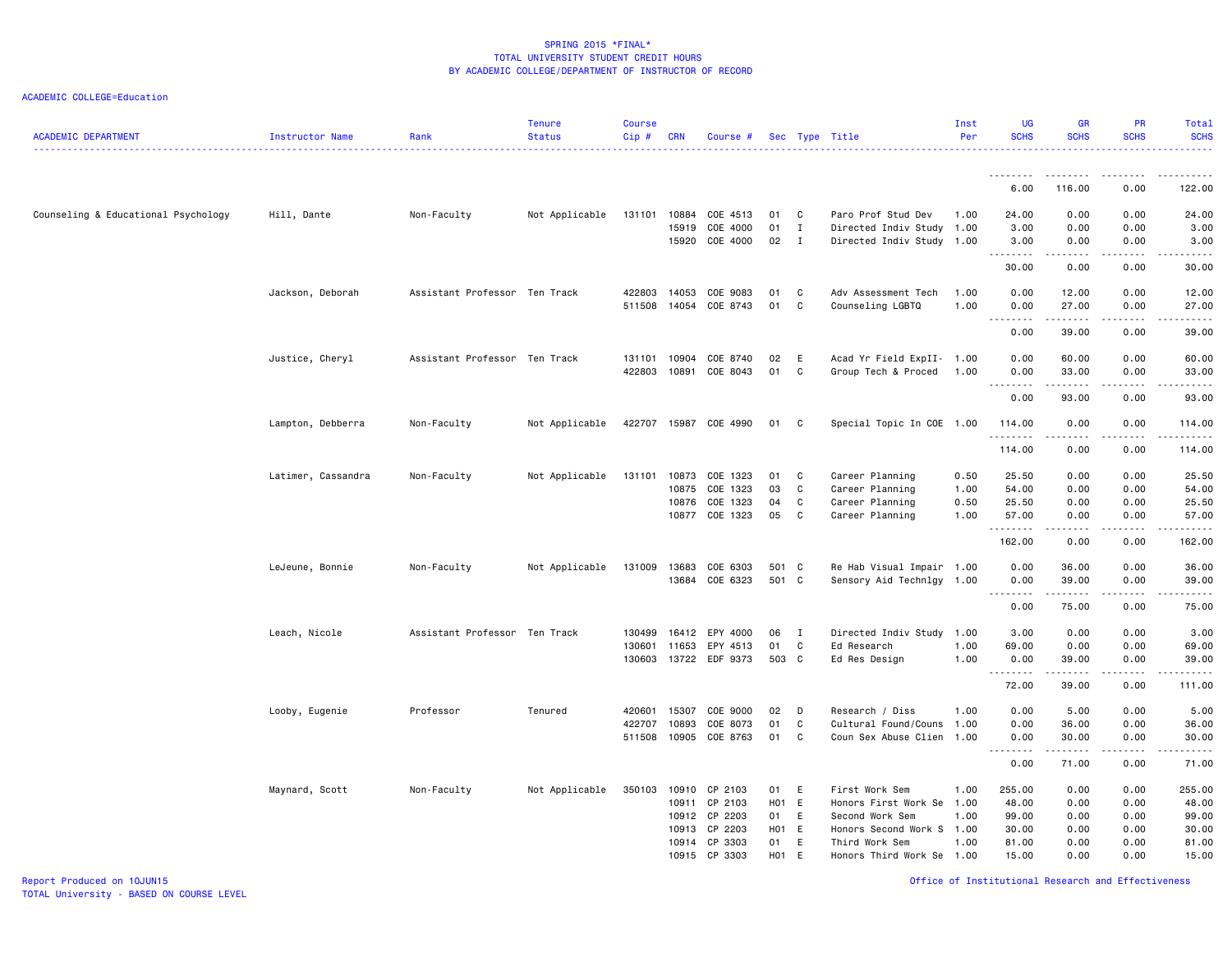ACADEMIC COLLEGE=Education

| <b>ACADEMIC DEPARTMENT</b>          | Instructor Name    | Rank                          | <b>Tenure</b><br><b>Status</b> | <b>Course</b><br>$Cip \#$ | <b>CRN</b>   | Course #       |       |              | Sec Type Title            | Inst<br>Per | <b>UG</b><br><b>SCHS</b> | <b>GR</b><br><b>SCHS</b>            | PR<br><b>SCHS</b>     | Total<br><b>SCHS</b> |
|-------------------------------------|--------------------|-------------------------------|--------------------------------|---------------------------|--------------|----------------|-------|--------------|---------------------------|-------------|--------------------------|-------------------------------------|-----------------------|----------------------|
|                                     |                    |                               |                                |                           |              |                |       |              |                           |             | <u>.</u>                 | -----                               | .                     |                      |
|                                     |                    |                               |                                |                           |              |                |       |              |                           |             | 6.00                     | 116.00                              | 0.00                  | 122.00               |
| Counseling & Educational Psychology | Hill, Dante        | Non-Faculty                   | Not Applicable                 | 131101                    | 10884        | COE 4513       | 01    | <b>C</b>     | Paro Prof Stud Dev        | 1.00        | 24.00                    | 0.00                                | 0.00                  | 24.00                |
|                                     |                    |                               |                                |                           | 15919        | COE 4000       | 01    | $\mathbf I$  | Directed Indiv Study 1.00 |             | 3.00                     | 0.00                                | 0.00                  | 3.00                 |
|                                     |                    |                               |                                |                           | 15920        | COE 4000       | 02    | $\mathbf{I}$ | Directed Indiv Study 1.00 |             | 3.00<br>د د د د          | 0.00                                | 0.00                  | 3.00                 |
|                                     |                    |                               |                                |                           |              |                |       |              |                           |             | 30.00                    | 0.00                                | 0.00                  | 30.00                |
|                                     | Jackson, Deborah   | Assistant Professor Ten Track |                                | 422803                    | 14053        | COE 9083       | 01    | $\mathbf{C}$ | Adv Assessment Tech       | 1.00        | 0.00                     | 12.00                               | 0.00                  | 12.00                |
|                                     |                    |                               |                                | 511508                    |              | 14054 COE 8743 | 01 C  |              | Counseling LGBTQ          | 1.00        | 0.00                     | 27.00                               | 0.00                  | 27.00                |
|                                     |                    |                               |                                |                           |              |                |       |              |                           |             | .<br>0.00                | .<br>39.00                          | .<br>0.00             | .<br>39.00           |
|                                     | Justice, Cheryl    | Assistant Professor Ten Track |                                | 131101                    | 10904        | COE 8740       | 02    | E            | Acad Yr Field ExpII- 1.00 |             | 0.00                     | 60.00                               | 0.00                  | 60.00                |
|                                     |                    |                               |                                | 422803                    | 10891        | COE 8043       | 01    | $\mathbf{C}$ | Group Tech & Proced       | 1.00        | 0.00                     | 33.00                               | 0.00                  | 33.00                |
|                                     |                    |                               |                                |                           |              |                |       |              |                           |             | .<br>0.00                | 93.00                               | 0.00                  | 93.00                |
|                                     | Lampton, Debberra  | Non-Faculty                   | Not Applicable                 | 422707                    |              | 15987 COE 4990 | 01    | $\mathbf{C}$ | Special Topic In COE 1.00 |             | 114.00                   | 0.00                                | 0.00                  | 114.00               |
|                                     |                    |                               |                                |                           |              |                |       |              |                           |             | .<br>114.00              | .<br>0.00                           | 0.00                  | 114.00               |
|                                     | Latimer, Cassandra | Non-Faculty                   | Not Applicable                 | 131101                    | 10873        | COE 1323       | 01    | $\mathbf{C}$ | Career Planning           | 0.50        | 25.50                    | 0.00                                | 0.00                  | 25.50                |
|                                     |                    |                               |                                |                           | 10875        | COE 1323       | 03    | $\mathbf{C}$ | Career Planning           | 1.00        | 54.00                    | 0.00                                | 0.00                  | 54.00                |
|                                     |                    |                               |                                |                           |              | 10876 COE 1323 | 04    | $\mathbf{C}$ | Career Planning           | 0.50        | 25.50                    | 0.00                                | 0.00                  | 25.50                |
|                                     |                    |                               |                                |                           |              | 10877 COE 1323 | 05    | $\mathbf{C}$ | Career Planning           | 1.00        | 57.00                    | 0.00                                | 0.00                  | 57.00                |
|                                     |                    |                               |                                |                           |              |                |       |              |                           |             | .<br>162.00              | $\sim$ $\sim$ $\sim$ $\sim$<br>0.00 | $\frac{1}{2}$<br>0.00 | .<br>162.00          |
|                                     | LeJeune, Bonnie    | Non-Faculty                   | Not Applicable                 |                           | 131009 13683 | COE 6303       | 501 C |              | Re Hab Visual Impair 1.00 |             | 0.00                     | 36.00                               | 0.00                  | 36.00                |
|                                     |                    |                               |                                |                           | 13684        | COE 6323       | 501 C |              | Sensory Aid Technlgy 1.00 |             | 0.00                     | 39.00                               | 0.00                  | 39.00                |
|                                     |                    |                               |                                |                           |              |                |       |              |                           |             | .<br>0.00                | $- - - - -$<br>75.00                | .<br>0.00             | .<br>75.00           |
|                                     | Leach, Nicole      | Assistant Professor Ten Track |                                | 130499                    | 16412        | EPY 4000       | 06    | $\mathbf{I}$ | Directed Indiv Study 1.00 |             | 3.00                     | 0.00                                | 0.00                  | 3.00                 |
|                                     |                    |                               |                                | 130601                    | 11653        | EPY 4513       | 01    | C            | Ed Research               | 1.00        | 69.00                    | 0.00                                | 0.00                  | 69.00                |
|                                     |                    |                               |                                | 130603                    |              | 13722 EDF 9373 | 503 C |              | Ed Res Design             | 1.00        | 0.00                     | 39.00<br>.                          | 0.00<br>.             | 39.00                |
|                                     |                    |                               |                                |                           |              |                |       |              |                           |             | <u>.</u><br>72.00        | 39.00                               | 0.00                  | .<br>111.00          |
|                                     | Looby, Eugenie     | Professor                     | Tenured                        | 420601                    | 15307        | COE 9000       | 02    | D            | Research / Diss           | 1.00        | 0.00                     | 5.00                                | 0.00                  | 5.00                 |
|                                     |                    |                               |                                | 422707                    | 10893        | COE 8073       | 01    | C            | Cultural Found/Couns      | 1.00        | 0.00                     | 36.00                               | 0.00                  | 36.00                |
|                                     |                    |                               |                                | 511508                    |              | 10905 COE 8763 | 01 C  |              | Coun Sex Abuse Clien 1.00 |             | 0.00<br><u>.</u>         | 30.00                               | 0.00<br><u>.</u>      | 30.00<br><u>.</u>    |
|                                     |                    |                               |                                |                           |              |                |       |              |                           |             | 0.00                     | .<br>71.00                          | 0.00                  | 71.00                |
|                                     | Maynard, Scott     | Non-Faculty                   | Not Applicable                 | 350103                    | 10910        | CP 2103        | 01 E  |              | First Work Sem            | 1.00        | 255.00                   | 0.00                                | 0.00                  | 255.00               |
|                                     |                    |                               |                                |                           | 10911        | CP 2103        | H01 E |              | Honors First Work Se      | 1.00        | 48.00                    | 0.00                                | 0.00                  | 48.00                |
|                                     |                    |                               |                                |                           |              | 10912 CP 2203  | 01 E  |              | Second Work Sem           | 1.00        | 99.00                    | 0.00                                | 0.00                  | 99.00                |
|                                     |                    |                               |                                |                           | 10913        | CP 2203        | H01 E |              | Honors Second Work S 1.00 |             | 30.00                    | 0.00                                | 0.00                  | 30.00                |
|                                     |                    |                               |                                |                           |              | 10914 CP 3303  | 01 E  |              | Third Work Sem            | 1.00        | 81.00                    | 0.00                                | 0.00                  | 81.00                |
|                                     |                    |                               |                                |                           |              | 10915 CP 3303  | H01 E |              | Honors Third Work Se 1.00 |             | 15.00                    | 0.00                                | 0.00                  | 15.00                |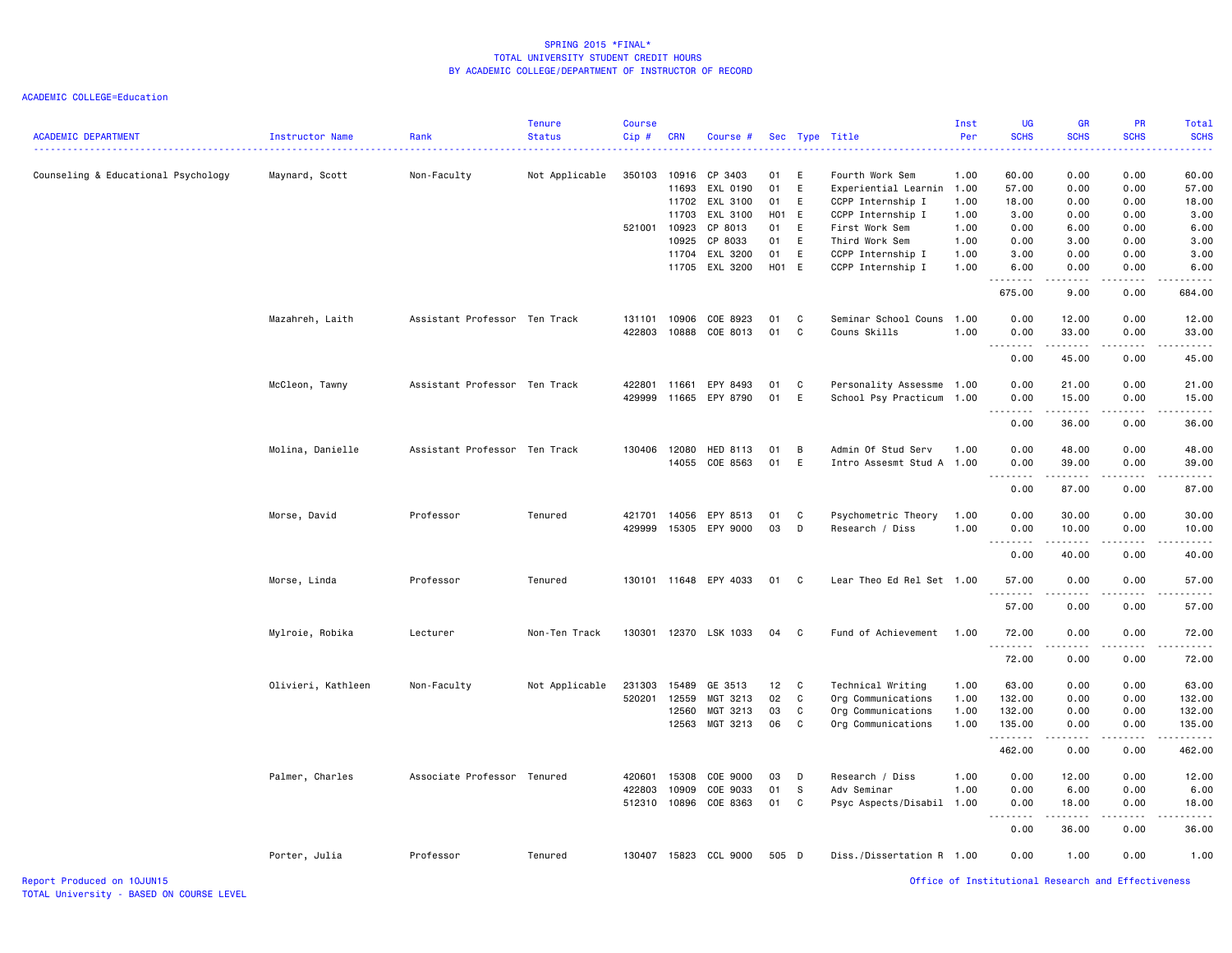ACADEMIC COLLEGE=Education

| <b>ACADEMIC DEPARTMENT</b>          | Instructor Name    | Rank                          | <b>Tenure</b><br><b>Status</b> | <b>Course</b><br>$Cip$ # | <b>CRN</b> | Course #              |       |                            | Sec Type Title            | Inst<br>Per | <b>UG</b><br><b>SCHS</b> | <b>GR</b><br><b>SCHS</b>                                                                                                                                      | PR<br><b>SCHS</b>                                  | Total<br><b>SCHS</b> |
|-------------------------------------|--------------------|-------------------------------|--------------------------------|--------------------------|------------|-----------------------|-------|----------------------------|---------------------------|-------------|--------------------------|---------------------------------------------------------------------------------------------------------------------------------------------------------------|----------------------------------------------------|----------------------|
| Counseling & Educational Psychology | Maynard, Scott     | Non-Faculty                   | Not Applicable                 | 350103                   | 10916      | CP 3403               | 01    | E                          | Fourth Work Sem           | 1.00        | 60.00                    | 0.00                                                                                                                                                          | 0.00                                               | 60.00                |
|                                     |                    |                               |                                |                          | 11693      | EXL 0190              | 01    | E                          | Experiential Learnin      | 1.00        | 57.00                    | 0.00                                                                                                                                                          | 0.00                                               | 57.00                |
|                                     |                    |                               |                                |                          |            | 11702 EXL 3100        | 01    | E                          | CCPP Internship I         | 1.00        | 18.00                    | 0.00                                                                                                                                                          | 0.00                                               | 18.00                |
|                                     |                    |                               |                                |                          | 11703      | EXL 3100              | H01 E |                            | CCPP Internship I         | 1.00        | 3.00                     | 0.00                                                                                                                                                          | 0.00                                               | 3.00                 |
|                                     |                    |                               |                                | 521001                   | 10923      | CP 8013               | 01    | E                          | First Work Sem            | 1.00        | 0.00                     | 6.00                                                                                                                                                          | 0.00                                               | 6.00                 |
|                                     |                    |                               |                                |                          | 10925      | CP 8033               | 01    | E                          | Third Work Sem            | 1.00        | 0.00                     | 3.00                                                                                                                                                          | 0.00                                               | 3.00                 |
|                                     |                    |                               |                                |                          | 11704      | EXL 3200              | 01    | E                          | CCPP Internship I         | 1.00        | 3.00                     | 0.00                                                                                                                                                          | 0.00                                               | 3.00                 |
|                                     |                    |                               |                                |                          |            | 11705 EXL 3200        | H01 E |                            | CCPP Internship I         | 1.00        | 6.00<br>.                | 0.00<br>.                                                                                                                                                     | 0.00<br>.                                          | 6.00                 |
|                                     |                    |                               |                                |                          |            |                       |       |                            |                           |             | 675.00                   | 9.00                                                                                                                                                          | 0.00                                               | 684.00               |
|                                     | Mazahreh, Laith    | Assistant Professor Ten Track |                                | 131101                   | 10906      | COE 8923              | 01    | $\mathbf{C}$               | Seminar School Couns 1.00 |             | 0.00                     | 12.00                                                                                                                                                         | 0.00                                               | 12.00                |
|                                     |                    |                               |                                | 422803                   |            | 10888 COE 8013        | 01    | <b>C</b>                   | Couns Skills              | 1.00        | 0.00                     | 33.00                                                                                                                                                         | 0.00                                               | 33.00                |
|                                     |                    |                               |                                |                          |            |                       |       |                            |                           |             | <u>.</u><br>0.00         | .<br>45.00                                                                                                                                                    | .<br>0.00                                          | .<br>45.00           |
|                                     | McCleon, Tawny     | Assistant Professor Ten Track |                                | 422801                   | 11661      | EPY 8493              | 01    | C                          | Personality Assessme 1.00 |             | 0.00                     | 21.00                                                                                                                                                         | 0.00                                               | 21.00                |
|                                     |                    |                               |                                | 429999                   |            | 11665 EPY 8790        | 01    | E                          | School Psy Practicum 1.00 |             | 0.00                     | 15.00                                                                                                                                                         | 0.00                                               | 15.00                |
|                                     |                    |                               |                                |                          |            |                       |       |                            |                           |             | $\omega$ is a set        | .                                                                                                                                                             | .                                                  | .                    |
|                                     |                    |                               |                                |                          |            |                       |       |                            |                           |             | 0.00                     | 36.00                                                                                                                                                         | 0.00                                               | 36.00                |
|                                     | Molina, Danielle   | Assistant Professor Ten Track |                                | 130406                   | 12080      | HED 8113              | 01    | B                          | Admin Of Stud Serv        | 1.00        | 0.00                     | 48.00                                                                                                                                                         | 0.00                                               | 48.00                |
|                                     |                    |                               |                                |                          |            | 14055 COE 8563        | 01    | E                          | Intro Assesmt Stud A      | 1.00        | 0.00                     | 39.00                                                                                                                                                         | 0.00                                               | 39.00                |
|                                     |                    |                               |                                |                          |            |                       |       |                            |                           |             | .<br>0.00                | .<br>87.00                                                                                                                                                    | 0.00                                               | 87.00                |
|                                     | Morse, David       | Professor                     | Tenured                        | 421701                   | 14056      | EPY 8513              | 01    | $\mathbf{C}$               | Psychometric Theory       | 1.00        | 0.00                     | 30.00                                                                                                                                                         | 0.00                                               | 30.00                |
|                                     |                    |                               |                                | 429999                   |            | 15305 EPY 9000        | 03    | D                          | Research / Diss           | 1.00        | 0.00                     | 10.00                                                                                                                                                         | 0.00                                               | 10.00                |
|                                     |                    |                               |                                |                          |            |                       |       |                            |                           |             | .                        | .                                                                                                                                                             | .                                                  | .                    |
|                                     |                    |                               |                                |                          |            |                       |       |                            |                           |             | 0.00                     | 40.00                                                                                                                                                         | 0.00                                               | 40.00                |
|                                     | Morse, Linda       | Professor                     | Tenured                        |                          |            | 130101 11648 EPY 4033 | 01    | $\mathbf{C}$               | Lear Theo Ed Rel Set 1.00 |             | 57.00                    | 0.00                                                                                                                                                          | 0.00                                               | 57.00                |
|                                     |                    |                               |                                |                          |            |                       |       |                            |                           |             | <u>.</u><br>57.00        | .<br>0.00                                                                                                                                                     | . <b>.</b><br>0.00                                 | .<br>57.00           |
|                                     |                    |                               |                                |                          |            |                       |       |                            |                           |             |                          |                                                                                                                                                               |                                                    |                      |
|                                     | Mylroie, Robika    | Lecturer                      | Non-Ten Track                  | 130301                   |            | 12370 LSK 1033        | 04    | $\overline{\phantom{a}}$ C | Fund of Achievement       | 1.00        | 72.00<br>.               | 0.00<br>$\sim$ $\sim$ $\sim$                                                                                                                                  | 0.00                                               | 72.00                |
|                                     |                    |                               |                                |                          |            |                       |       |                            |                           |             | 72.00                    | 0.00                                                                                                                                                          | 0.00                                               | 72.00                |
|                                     | Olivieri, Kathleen | Non-Faculty                   | Not Applicable                 | 231303                   | 15489      | GE 3513               | 12    | $\mathbf{C}$               | Technical Writing         | 1.00        | 63.00                    | 0.00                                                                                                                                                          | 0.00                                               | 63.00                |
|                                     |                    |                               |                                | 520201                   | 12559      | MGT 3213              | 02    | $\mathbf{C}$               | Org Communications        | 1.00        | 132.00                   | 0.00                                                                                                                                                          | 0.00                                               | 132.00               |
|                                     |                    |                               |                                |                          | 12560      | MGT 3213              | 03    | C                          | Org Communications        | 1.00        | 132.00                   | 0.00                                                                                                                                                          | 0.00                                               | 132.00               |
|                                     |                    |                               |                                |                          |            | 12563 MGT 3213        | 06    | $\mathbf{C}$               | Org Communications        | 1.00        | 135.00<br>.              | 0.00<br>$- - - - -$                                                                                                                                           | 0.00<br>.                                          | 135.00<br>.          |
|                                     |                    |                               |                                |                          |            |                       |       |                            |                           |             | 462.00                   | 0.00                                                                                                                                                          | 0.00                                               | 462.00               |
|                                     | Palmer, Charles    | Associate Professor Tenured   |                                | 420601                   | 15308      | COE 9000              | 03    | D                          | Research / Diss           | 1.00        | 0.00                     | 12.00                                                                                                                                                         | 0.00                                               | 12.00                |
|                                     |                    |                               |                                | 422803                   | 10909      | COE 9033              | 01    | s                          | Adv Seminar               | 1.00        | 0.00                     | 6.00                                                                                                                                                          | 0.00                                               | 6.00                 |
|                                     |                    |                               |                                | 512310                   | 10896      | COE 8363              | 01    | $\mathbf{C}$               | Psyc Aspects/Disabil 1.00 |             | 0.00                     | 18.00                                                                                                                                                         | 0.00                                               | 18.00                |
|                                     |                    |                               |                                |                          |            |                       |       |                            |                           |             | .<br>0.00                | $\frac{1}{2} \left( \frac{1}{2} \right) \left( \frac{1}{2} \right) \left( \frac{1}{2} \right) \left( \frac{1}{2} \right) \left( \frac{1}{2} \right)$<br>36.00 | .<br>0.00                                          | .<br>36.00           |
|                                     | Porter, Julia      | Professor                     | Tenured                        | 130407                   |            | 15823 CCL 9000        | 505 D |                            | Diss./Dissertation R 1.00 |             | 0.00                     | 1.00                                                                                                                                                          | 0.00                                               | 1.00                 |
| Report Produced on 10JUN15          |                    |                               |                                |                          |            |                       |       |                            |                           |             |                          |                                                                                                                                                               | Office of Institutional Research and Effectiveness |                      |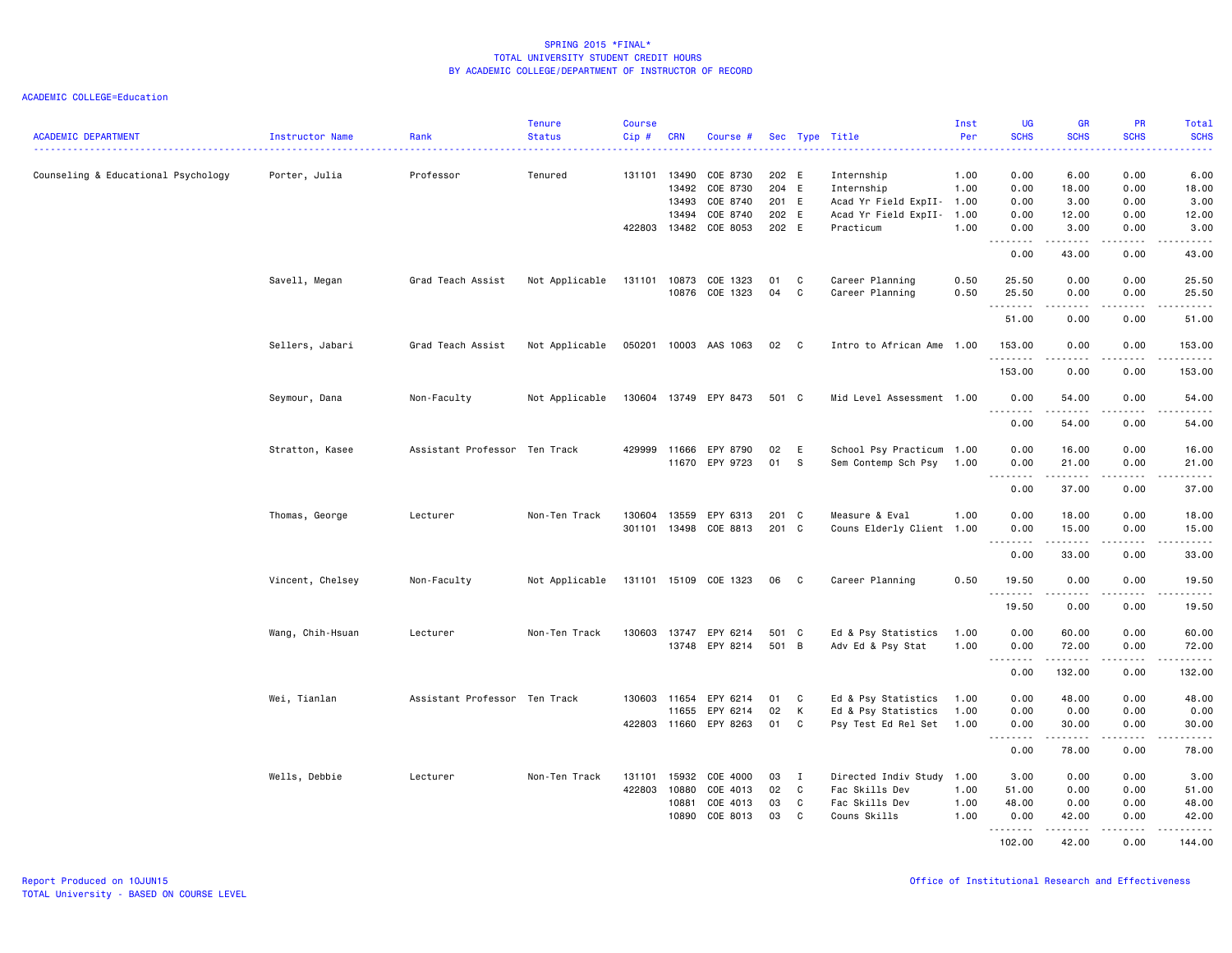| <b>ACADEMIC DEPARTMENT</b>          | Instructor Name  | Rank                          | <b>Tenure</b><br><b>Status</b> | <b>Course</b><br>$Cip$ # | <b>CRN</b>   | Course #              |       |              | Sec Type Title            | Inst<br>Per | <b>UG</b><br><b>SCHS</b><br>$\frac{1}{2} \left( \frac{1}{2} \right) \left( \frac{1}{2} \right) \left( \frac{1}{2} \right) \left( \frac{1}{2} \right)$ | <b>GR</b><br><b>SCHS</b>                                                                                                                                     | <b>PR</b><br><b>SCHS</b><br>$\frac{1}{2} \left( \frac{1}{2} \right) \left( \frac{1}{2} \right) \left( \frac{1}{2} \right) \left( \frac{1}{2} \right)$ | <b>Total</b><br><b>SCHS</b><br>ولايتان                                                                                                                                                  |
|-------------------------------------|------------------|-------------------------------|--------------------------------|--------------------------|--------------|-----------------------|-------|--------------|---------------------------|-------------|-------------------------------------------------------------------------------------------------------------------------------------------------------|--------------------------------------------------------------------------------------------------------------------------------------------------------------|-------------------------------------------------------------------------------------------------------------------------------------------------------|-----------------------------------------------------------------------------------------------------------------------------------------------------------------------------------------|
| Counseling & Educational Psychology | Porter, Julia    | Professor                     | Tenured                        | 131101 13490             |              | COE 8730              | 202 E |              | Internship                | 1.00        | 0.00                                                                                                                                                  | 6.00                                                                                                                                                         | 0.00                                                                                                                                                  | 6.00                                                                                                                                                                                    |
|                                     |                  |                               |                                |                          | 13492        | COE 8730              | 204 E |              | Internship                | 1.00        | 0.00                                                                                                                                                  | 18.00                                                                                                                                                        | 0.00                                                                                                                                                  | 18.00                                                                                                                                                                                   |
|                                     |                  |                               |                                |                          | 13493        | COE 8740              | 201 E |              | Acad Yr Field ExpII-      | 1.00        | 0.00                                                                                                                                                  | 3.00                                                                                                                                                         | 0.00                                                                                                                                                  | 3.00                                                                                                                                                                                    |
|                                     |                  |                               |                                |                          | 13494        | COE 8740              | 202 E |              | Acad Yr Field ExpII-      | 1.00        | 0.00                                                                                                                                                  | 12.00                                                                                                                                                        | 0.00                                                                                                                                                  | 12.00                                                                                                                                                                                   |
|                                     |                  |                               |                                | 422803                   | 13482        | COE 8053              | 202 E |              | Practicum                 | 1.00        | 0.00<br>$\sim$ $\sim$ $\sim$ $\sim$ $\sim$<br>$\sim$ $\sim$ $\sim$                                                                                    | 3.00<br>$\frac{1}{2} \left( \frac{1}{2} \right) \left( \frac{1}{2} \right) \left( \frac{1}{2} \right) \left( \frac{1}{2} \right) \left( \frac{1}{2} \right)$ | 0.00<br>$\omega$ $\omega$ $\omega$ $\omega$                                                                                                           | 3.00<br>$\frac{1}{2} \left( \frac{1}{2} \right) \left( \frac{1}{2} \right) \left( \frac{1}{2} \right) \left( \frac{1}{2} \right) \left( \frac{1}{2} \right) \left( \frac{1}{2} \right)$ |
|                                     |                  |                               |                                |                          |              |                       |       |              |                           |             | 0.00                                                                                                                                                  | 43.00                                                                                                                                                        | 0.00                                                                                                                                                  | 43.00                                                                                                                                                                                   |
|                                     | Savell, Megan    | Grad Teach Assist             | Not Applicable                 | 131101                   | 10873        | COE 1323              | 01    | C            | Career Planning           | 0.50        | 25.50                                                                                                                                                 | 0.00                                                                                                                                                         | 0.00                                                                                                                                                  | 25.50                                                                                                                                                                                   |
|                                     |                  |                               |                                |                          |              | 10876 COE 1323        | 04    | C            | Career Planning           | 0.50        | 25.50                                                                                                                                                 | 0.00                                                                                                                                                         | 0.00                                                                                                                                                  | 25.50                                                                                                                                                                                   |
|                                     |                  |                               |                                |                          |              |                       |       |              |                           |             | .<br>51.00                                                                                                                                            | $\frac{1}{2} \left( \frac{1}{2} \right) \left( \frac{1}{2} \right) \left( \frac{1}{2} \right) \left( \frac{1}{2} \right) \left( \frac{1}{2} \right)$<br>0.00 | .                                                                                                                                                     | .<br>51.00                                                                                                                                                                              |
|                                     |                  |                               |                                |                          |              |                       |       |              |                           |             |                                                                                                                                                       |                                                                                                                                                              | 0.00                                                                                                                                                  |                                                                                                                                                                                         |
|                                     | Sellers, Jabari  | Grad Teach Assist             | Not Applicable                 | 050201                   |              | 10003 AAS 1063        | 02    | $\mathbf{C}$ | Intro to African Ame 1.00 |             | 153.00<br><u>.</u>                                                                                                                                    | 0.00<br>$  -$                                                                                                                                                | 0.00<br>$  -$                                                                                                                                         | 153.00<br>.                                                                                                                                                                             |
|                                     |                  |                               |                                |                          |              |                       |       |              |                           |             | 153.00                                                                                                                                                | 0.00                                                                                                                                                         | 0.00                                                                                                                                                  | 153.00                                                                                                                                                                                  |
|                                     | Seymour, Dana    | Non-Faculty                   | Not Applicable                 |                          |              | 130604 13749 EPY 8473 | 501 C |              | Mid Level Assessment 1.00 |             | 0.00<br>1.1.1.1.1.1.1                                                                                                                                 | 54.00<br>.                                                                                                                                                   | 0.00<br>$\sim$ $\sim$ $\sim$ $\sim$                                                                                                                   | 54.00<br>.                                                                                                                                                                              |
|                                     |                  |                               |                                |                          |              |                       |       |              |                           |             | 0.00                                                                                                                                                  | 54.00                                                                                                                                                        | 0.00                                                                                                                                                  | 54.00                                                                                                                                                                                   |
|                                     | Stratton, Kasee  | Assistant Professor Ten Track |                                | 429999                   | 11666        | EPY 8790              | 02    | E            | School Psy Practicum 1.00 |             | 0.00                                                                                                                                                  | 16.00                                                                                                                                                        | 0.00                                                                                                                                                  | 16.00                                                                                                                                                                                   |
|                                     |                  |                               |                                |                          | 11670        | EPY 9723              | 01    | -S           | Sem Contemp Sch Psy       | 1.00        | 0.00                                                                                                                                                  | 21.00                                                                                                                                                        | 0.00                                                                                                                                                  | 21.00                                                                                                                                                                                   |
|                                     |                  |                               |                                |                          |              |                       |       |              |                           |             | .<br>0.00                                                                                                                                             | .<br>37.00                                                                                                                                                   | $- - - -$<br>0.00                                                                                                                                     | .<br>37.00                                                                                                                                                                              |
|                                     | Thomas, George   | Lecturer                      | Non-Ten Track                  | 130604                   | 13559        | EPY 6313              | 201 C |              | Measure & Eval            | 1.00        | 0.00                                                                                                                                                  | 18.00                                                                                                                                                        | 0.00                                                                                                                                                  | 18.00                                                                                                                                                                                   |
|                                     |                  |                               |                                | 301101                   |              | 13498 COE 8813        | 201 C |              | Couns Elderly Client 1.00 |             | 0.00                                                                                                                                                  | 15.00                                                                                                                                                        | 0.00                                                                                                                                                  | 15.00                                                                                                                                                                                   |
|                                     |                  |                               |                                |                          |              |                       |       |              |                           |             | .<br>0.00                                                                                                                                             | ------<br>33.00                                                                                                                                              | -----<br>0.00                                                                                                                                         | .<br>33.00                                                                                                                                                                              |
|                                     | Vincent, Chelsey | Non-Faculty                   | Not Applicable                 |                          |              | 131101 15109 COE 1323 | 06    | $\mathbf{C}$ | Career Planning           | 0.50        | 19.50                                                                                                                                                 | 0.00                                                                                                                                                         | 0.00                                                                                                                                                  | 19.50                                                                                                                                                                                   |
|                                     |                  |                               |                                |                          |              |                       |       |              |                           |             | 19.50                                                                                                                                                 | <u>.</u><br>0.00                                                                                                                                             | .<br>0.00                                                                                                                                             | .<br>19.50                                                                                                                                                                              |
|                                     | Wang, Chih-Hsuan | Lecturer                      | Non-Ten Track                  |                          | 130603 13747 | EPY 6214              | 501 C |              | Ed & Psy Statistics       | 1.00        | 0.00                                                                                                                                                  | 60.00                                                                                                                                                        | 0.00                                                                                                                                                  | 60.00                                                                                                                                                                                   |
|                                     |                  |                               |                                |                          |              | 13748 EPY 8214        | 501 B |              | Adv Ed & Psy Stat         | 1.00        | 0.00                                                                                                                                                  | 72.00                                                                                                                                                        | 0.00                                                                                                                                                  | 72.00                                                                                                                                                                                   |
|                                     |                  |                               |                                |                          |              |                       |       |              |                           |             | $\sim$ $\sim$<br>$\sim$ $\sim$ $\sim$ $\sim$                                                                                                          | .                                                                                                                                                            | .                                                                                                                                                     | .                                                                                                                                                                                       |
|                                     |                  |                               |                                |                          |              |                       |       |              |                           |             | 0.00                                                                                                                                                  | 132.00                                                                                                                                                       | 0.00                                                                                                                                                  | 132.00                                                                                                                                                                                  |
|                                     | Wei, Tianlan     | Assistant Professor Ten Track |                                | 130603 11654             |              | EPY 6214              | 01    | C            | Ed & Psy Statistics       | 1.00        | 0.00                                                                                                                                                  | 48.00                                                                                                                                                        | 0.00                                                                                                                                                  | 48.00                                                                                                                                                                                   |
|                                     |                  |                               |                                |                          | 11655        | EPY 6214              | 02    | K            | Ed & Psy Statistics       | 1.00        | 0.00                                                                                                                                                  | 0.00                                                                                                                                                         | 0.00                                                                                                                                                  | 0.00                                                                                                                                                                                    |
|                                     |                  |                               |                                |                          |              | 422803 11660 EPY 8263 | 01    | C            | Psy Test Ed Rel Set       | 1.00        | 0.00<br>$-$ - - - $-$<br>$\sim$ $\sim$                                                                                                                | 30.00<br>. <u>.</u>                                                                                                                                          | 0.00<br>.                                                                                                                                             | 30.00<br>$    -$                                                                                                                                                                        |
|                                     |                  |                               |                                |                          |              |                       |       |              |                           |             | 0.00                                                                                                                                                  | 78.00                                                                                                                                                        | 0.00                                                                                                                                                  | 78.00                                                                                                                                                                                   |
|                                     | Wells, Debbie    | Lecturer                      | Non-Ten Track                  | 131101                   | 15932        | COE 4000              | 03    | $\mathbf{I}$ | Directed Indiv Study 1.00 |             | 3.00                                                                                                                                                  | 0.00                                                                                                                                                         | 0.00                                                                                                                                                  | 3.00                                                                                                                                                                                    |
|                                     |                  |                               |                                | 422803                   | 10880        | COE 4013              | 02    | C            | Fac Skills Dev            | 1.00        | 51.00                                                                                                                                                 | 0.00                                                                                                                                                         | 0.00                                                                                                                                                  | 51.00                                                                                                                                                                                   |
|                                     |                  |                               |                                |                          | 10881        | COE 4013              | 03    | C            | Fac Skills Dev            | 1.00        | 48.00                                                                                                                                                 | 0.00                                                                                                                                                         | 0.00                                                                                                                                                  | 48.00                                                                                                                                                                                   |
|                                     |                  |                               |                                |                          | 10890        | COE 8013              | 03    | C            | Couns Skills              | 1.00        | 0.00                                                                                                                                                  | 42.00                                                                                                                                                        | 0.00                                                                                                                                                  | 42.00                                                                                                                                                                                   |
|                                     |                  |                               |                                |                          |              |                       |       |              |                           |             | 102.00                                                                                                                                                | .<br>42.00                                                                                                                                                   | .<br>0.00                                                                                                                                             | $- - - - - - -$<br>144.00                                                                                                                                                               |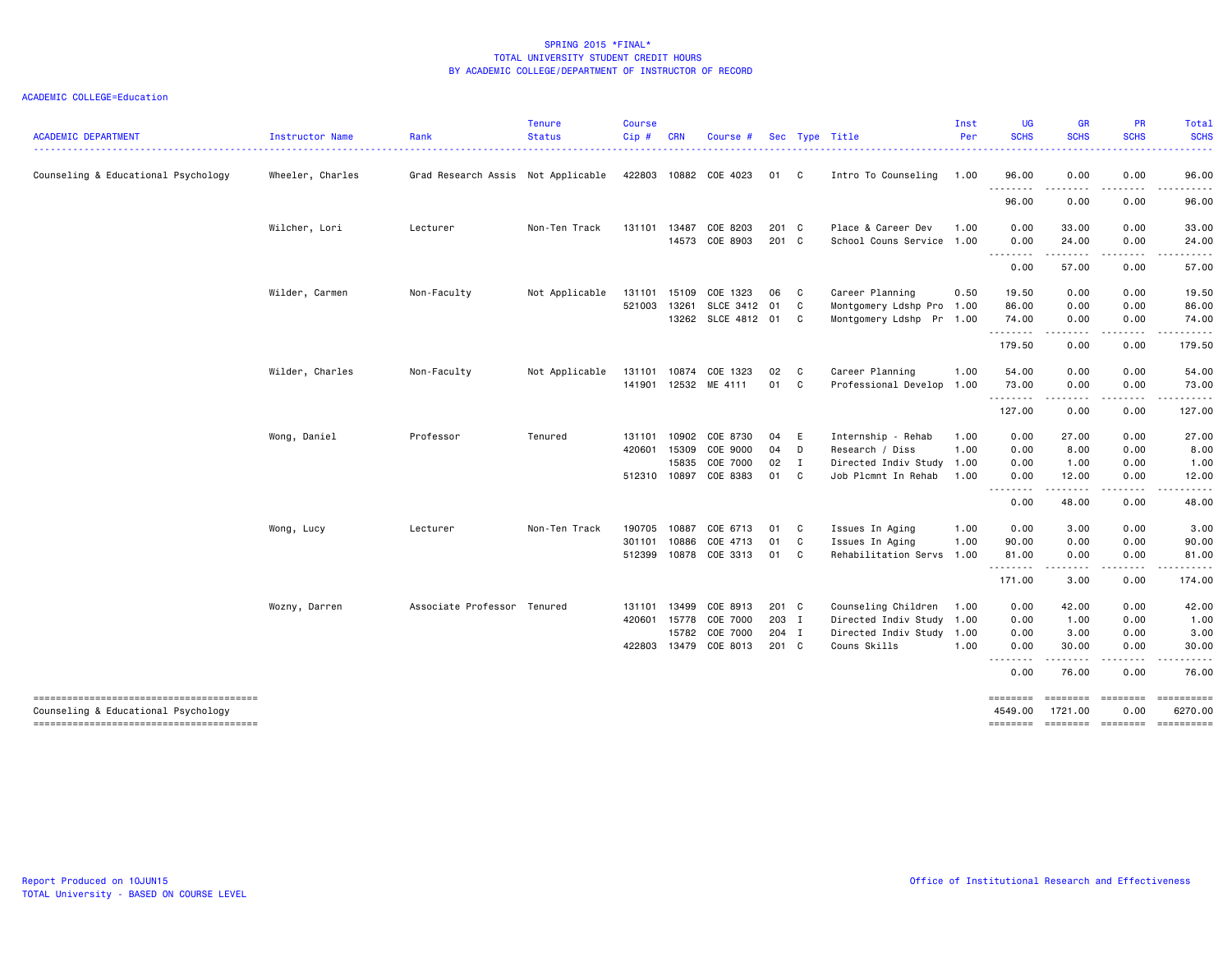| <b>ACADEMIC DEPARTMENT</b>                                                    | <b>Instructor Name</b> | Rank                               | <b>Tenure</b><br><b>Status</b> | <b>Course</b><br>Cip# | <b>CRN</b> | Course #           |               |              | Sec Type Title            | Inst<br>Per | <b>UG</b><br><b>SCHS</b> | <b>GR</b><br><b>SCHS</b>                                                                                                           | <b>PR</b><br><b>SCHS</b>                                                                                                                                                                | Total<br><b>SCHS</b>  |
|-------------------------------------------------------------------------------|------------------------|------------------------------------|--------------------------------|-----------------------|------------|--------------------|---------------|--------------|---------------------------|-------------|--------------------------|------------------------------------------------------------------------------------------------------------------------------------|-----------------------------------------------------------------------------------------------------------------------------------------------------------------------------------------|-----------------------|
| Counseling & Educational Psychology                                           | Wheeler, Charles       | Grad Research Assis Not Applicable |                                | 422803                | 10882      | COE 4023           | 01            | C.           | Intro To Counseling       | 1.00        | 96.00                    | 0.00                                                                                                                               | 0.00                                                                                                                                                                                    | 96.00                 |
|                                                                               |                        |                                    |                                |                       |            |                    |               |              |                           |             | --------<br>96.00        | -----<br>0.00                                                                                                                      | 0.00                                                                                                                                                                                    | 96.00                 |
|                                                                               | Wilcher, Lori          | Lecturer                           | Non-Ten Track                  | 131101                | 13487      | COE 8203           | 201 C         |              | Place & Career Dev        | 1.00        | 0.00                     | 33.00                                                                                                                              | 0.00                                                                                                                                                                                    | 33.00                 |
|                                                                               |                        |                                    |                                |                       | 14573      | COE 8903           | 201 C         |              | School Couns Service 1.00 |             | 0.00<br>.                | 24.00<br>-----                                                                                                                     | 0.00                                                                                                                                                                                    | 24.00                 |
|                                                                               |                        |                                    |                                |                       |            |                    |               |              |                           |             | 0.00                     | 57.00                                                                                                                              | 0.00                                                                                                                                                                                    | 57.00                 |
|                                                                               | Wilder, Carmen         | Non-Faculty                        | Not Applicable                 | 131101                | 15109      | COE 1323           | 06            | $\mathbf{C}$ | Career Planning           | 0.50        | 19.50                    | 0.00                                                                                                                               | 0.00                                                                                                                                                                                    | 19.50                 |
|                                                                               |                        |                                    |                                | 521003                | 13261      | SLCE 3412          | 01            | C            | Montgomery Ldshp Pro 1.00 |             | 86.00                    | 0.00                                                                                                                               | 0.00                                                                                                                                                                                    | 86.00                 |
|                                                                               |                        |                                    |                                |                       |            | 13262 SLCE 4812 01 |               | $\mathbf{C}$ | Montgomery Ldshp Pr 1.00  |             | 74.00<br>.               | 0.00<br>$\frac{1}{2} \left( \frac{1}{2} \right) \left( \frac{1}{2} \right) \left( \frac{1}{2} \right) \left( \frac{1}{2} \right)$  | 0.00<br>.                                                                                                                                                                               | 74.00<br>.            |
|                                                                               |                        |                                    |                                |                       |            |                    |               |              |                           |             | 179.50                   | 0.00                                                                                                                               | 0.00                                                                                                                                                                                    | 179.50                |
|                                                                               | Wilder, Charles        | Non-Faculty                        | Not Applicable                 | 131101                | 10874      | COE 1323           | 02            | $\mathbf{C}$ | Career Planning           | 1.00        | 54.00                    | 0.00                                                                                                                               | 0.00                                                                                                                                                                                    | 54.00                 |
|                                                                               |                        |                                    |                                | 141901                | 12532      | ME 4111            | 01 C          |              | Professional Develop 1.00 |             | 73.00                    | 0.00                                                                                                                               | 0.00                                                                                                                                                                                    | 73.00                 |
|                                                                               |                        |                                    |                                |                       |            |                    |               |              |                           |             | <u>.</u><br>127.00       | .<br>0.00                                                                                                                          | .<br>0.00                                                                                                                                                                               | .<br>127.00           |
|                                                                               | Wong, Daniel           | Professor                          | Tenured                        | 131101                | 10902      | COE 8730           | 04            | E            | Internship - Rehab        | 1.00        | 0.00                     | 27.00                                                                                                                              | 0.00                                                                                                                                                                                    | 27.00                 |
|                                                                               |                        |                                    |                                | 420601                | 15309      | COE 9000           | 04            | D            | Research / Diss           | 1.00        | 0.00                     | 8.00                                                                                                                               | 0.00                                                                                                                                                                                    | 8.00                  |
|                                                                               |                        |                                    |                                |                       | 15835      | COE 7000           | $02 \qquad I$ |              | Directed Indiv Study 1.00 |             | 0.00                     | 1.00                                                                                                                               | 0.00                                                                                                                                                                                    | 1.00                  |
|                                                                               |                        |                                    |                                | 512310                | 10897      | COE 8383           | 01            | C            | Job Plcmnt In Rehab       | 1.00        | 0.00                     | 12.00<br>$\frac{1}{2} \left( \frac{1}{2} \right) \left( \frac{1}{2} \right) \left( \frac{1}{2} \right) \left( \frac{1}{2} \right)$ | 0.00<br>$\frac{1}{2} \left( \frac{1}{2} \right) \left( \frac{1}{2} \right) \left( \frac{1}{2} \right) \left( \frac{1}{2} \right)$                                                       | 12.00                 |
|                                                                               |                        |                                    |                                |                       |            |                    |               |              |                           |             | 0.00                     | 48.00                                                                                                                              | 0.00                                                                                                                                                                                    | 48.00                 |
|                                                                               | Wong, Lucy             | Lecturer                           | Non-Ten Track                  | 190705                | 10887      | COE 6713           | 01            | $\mathbf{C}$ | Issues In Aging           | 1.00        | 0.00                     | 3.00                                                                                                                               | 0.00                                                                                                                                                                                    | 3.00                  |
|                                                                               |                        |                                    |                                | 301101                | 10886      | COE 4713           | 01            | C            | Issues In Aging           | 1.00        | 90.00                    | 0.00                                                                                                                               | 0.00                                                                                                                                                                                    | 90.00                 |
|                                                                               |                        |                                    |                                | 512399                | 10878      | COE 3313           | 01            | C.           | Rehabilitation Servs      | 1.00        | 81.00                    | 0.00                                                                                                                               | 0.00                                                                                                                                                                                    | 81.00                 |
|                                                                               |                        |                                    |                                |                       |            |                    |               |              |                           |             | . <b>.</b><br>171.00     | $- - - -$<br>3.00                                                                                                                  | 0.00                                                                                                                                                                                    | 174.00                |
|                                                                               | Wozny, Darren          | Associate Professor Tenured        |                                | 131101                | 13499      | COE 8913           | 201 C         |              | Counseling Children       | 1.00        | 0.00                     | 42.00                                                                                                                              | 0.00                                                                                                                                                                                    | 42.00                 |
|                                                                               |                        |                                    |                                | 420601 15778          |            | COE 7000           | 203 I         |              | Directed Indiv Study 1.00 |             | 0.00                     | 1.00                                                                                                                               | 0.00                                                                                                                                                                                    | 1.00                  |
|                                                                               |                        |                                    |                                |                       | 15782      | COE 7000           | 204 I         |              | Directed Indiv Study 1.00 |             | 0.00                     | 3.00                                                                                                                               | 0.00                                                                                                                                                                                    | 3.00                  |
|                                                                               |                        |                                    |                                | 422803                | 13479      | COE 8013           | 201 C         |              | Couns Skills              | 1.00        | 0.00<br>--------         | 30.00<br>.                                                                                                                         | 0.00<br>$\frac{1}{2} \left( \frac{1}{2} \right) \left( \frac{1}{2} \right) \left( \frac{1}{2} \right) \left( \frac{1}{2} \right) \left( \frac{1}{2} \right) \left( \frac{1}{2} \right)$ | 30.00<br>.            |
|                                                                               |                        |                                    |                                |                       |            |                    |               |              |                           |             | 0.00                     | 76.00                                                                                                                              | 0.00                                                                                                                                                                                    | 76.00                 |
| --------------------------------------                                        |                        |                                    |                                |                       |            |                    |               |              |                           |             | ========                 | ========                                                                                                                           | <b>ESSESSES</b>                                                                                                                                                                         |                       |
| Counseling & Educational Psychology<br>-------------------------------------- |                        |                                    |                                |                       |            |                    |               |              |                           |             | 4549.00<br>========      | 1721.00<br>========                                                                                                                | 0.00<br>========                                                                                                                                                                        | 6270.00<br>========== |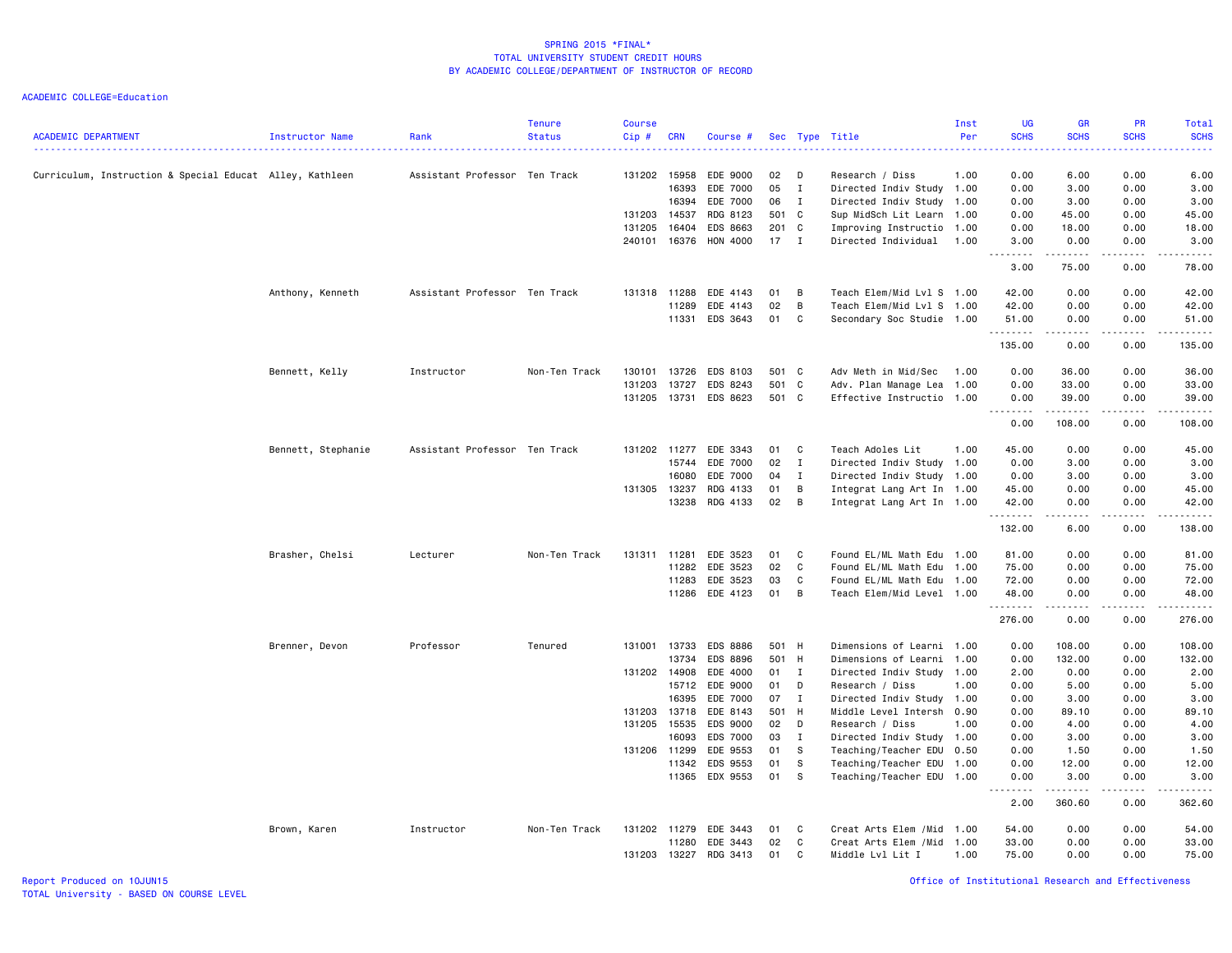| <b>ACADEMIC DEPARTMENT</b>                               | Instructor Name    | Rank                          | <b>Tenure</b><br><b>Status</b> | <b>Course</b><br>$Cip$ # | <b>CRN</b>     | Course #             |          |                | Sec Type Title                                    | Inst<br>Per | <b>UG</b><br><b>SCHS</b> | <b>GR</b><br><b>SCHS</b> | <b>PR</b><br><b>SCHS</b>                    | Total<br><b>SCHS</b>                         |
|----------------------------------------------------------|--------------------|-------------------------------|--------------------------------|--------------------------|----------------|----------------------|----------|----------------|---------------------------------------------------|-------------|--------------------------|--------------------------|---------------------------------------------|----------------------------------------------|
| Curriculum, Instruction & Special Educat Alley, Kathleen |                    | Assistant Professor Ten Track |                                | 131202 15958             |                | EDE 9000             | 02       | D              | Research / Diss                                   | 1.00        | 0.00                     | 6.00                     | 0.00                                        | 6.00                                         |
|                                                          |                    |                               |                                |                          | 16393          | EDE 7000             | 05       | $\mathbf{I}$   | Directed Indiv Study 1.00                         |             | 0.00                     | 3.00                     | 0.00                                        | 3.00                                         |
|                                                          |                    |                               |                                |                          | 16394          | EDE 7000             | 06       | $\mathbf{I}$   | Directed Indiv Study                              | 1.00        | 0.00                     | 3.00                     | 0.00                                        | 3.00                                         |
|                                                          |                    |                               |                                | 131203                   | 14537          | RDG 8123             | 501 C    |                | Sup MidSch Lit Learn 1.00                         |             | 0.00                     | 45.00                    | 0.00                                        | 45.00                                        |
|                                                          |                    |                               |                                | 131205                   | 16404          | EDS 8663             | 201 C    |                | Improving Instructio                              | 1.00        | 0.00                     | 18.00                    | 0.00                                        | 18.00                                        |
|                                                          |                    |                               |                                | 240101                   | 16376          | HON 4000             | 17       | $\blacksquare$ | Directed Individual                               | 1.00        | 3.00<br><b></b>          | 0.00<br><b>.</b> .       | 0.00<br>.                                   | 3.00<br>.                                    |
|                                                          |                    |                               |                                |                          |                |                      |          |                |                                                   |             | 3.00                     | 75.00                    | 0.00                                        | 78.00                                        |
|                                                          | Anthony, Kenneth   | Assistant Professor Ten Track |                                | 131318                   | 11288          | EDE 4143             | 01       | B              | Teach Elem/Mid Lvl S 1.00                         |             | 42.00                    | 0.00                     | 0.00                                        | 42.00                                        |
|                                                          |                    |                               |                                |                          | 11289          | EDE 4143             | 02       | B              | Teach Elem/Mid Lvl S 1.00                         |             | 42.00                    | 0.00                     | 0.00                                        | 42.00                                        |
|                                                          |                    |                               |                                |                          |                | 11331 EDS 3643       | 01       | C              | Secondary Soc Studie 1.00                         |             | 51.00<br><u>.</u>        | 0.00<br>$- - - - -$      | 0.00<br>.                                   | 51.00<br>.                                   |
|                                                          |                    |                               |                                |                          |                |                      |          |                |                                                   |             | 135.00                   | 0.00                     | 0.00                                        | 135.00                                       |
|                                                          | Bennett, Kelly     | Instructor                    | Non-Ten Track                  | 130101                   | 13726          | EDS 8103             | 501 C    |                | Adv Meth in Mid/Sec                               | 1.00        | 0.00                     | 36.00                    | 0.00                                        | 36.00                                        |
|                                                          |                    |                               |                                | 131203                   | 13727          | EDS 8243             | 501 C    |                | Adv. Plan Manage Lea                              | 1.00        | 0.00                     | 33.00                    | 0.00                                        | 33.00                                        |
|                                                          |                    |                               |                                | 131205                   | 13731          | EDS 8623             | 501 C    |                | Effective Instructio 1.00                         |             | 0.00                     | 39.00                    | 0.00                                        | 39.00                                        |
|                                                          |                    |                               |                                |                          |                |                      |          |                |                                                   |             | .<br>0.00                | د د د د د<br>108.00      | $\sim$ $\sim$ $\sim$ $\sim$<br>0.00         | $\sim$ $\sim$ $\sim$ $\sim$ $\sim$<br>108,00 |
|                                                          | Bennett, Stephanie | Assistant Professor Ten Track |                                | 131202 11277             |                | EDE 3343             | 01       | $\mathbf{C}$   | Teach Adoles Lit                                  | 1.00        | 45.00                    | 0.00                     | 0.00                                        | 45.00                                        |
|                                                          |                    |                               |                                |                          | 15744          | EDE 7000             | 02       | $\mathbf{I}$   | Directed Indiv Study 1.00                         |             | 0.00                     | 3.00                     | 0.00                                        | 3.00                                         |
|                                                          |                    |                               |                                |                          | 16080          | EDE 7000             | 04       | I              | Directed Indiv Study 1.00                         |             | 0.00                     | 3.00                     | 0.00                                        | 3.00                                         |
|                                                          |                    |                               |                                | 131305 13237             |                | RDG 4133             | 01       | B              | Integrat Lang Art In 1.00                         |             | 45.00                    | 0.00                     | 0.00                                        | 45.00                                        |
|                                                          |                    |                               |                                |                          | 13238          | RDG 4133             | 02       | B              | Integrat Lang Art In 1.00                         |             | 42.00<br>.               | 0.00<br>. <b>.</b>       | 0.00<br>.                                   | 42.00<br>.                                   |
|                                                          |                    |                               |                                |                          |                |                      |          |                |                                                   |             | 132.00                   | 6.00                     | 0.00                                        | 138.00                                       |
|                                                          | Brasher, Chelsi    | Lecturer                      | Non-Ten Track                  | 131311                   | 11281          | EDE 3523             | 01       | C              | Found EL/ML Math Edu 1.00                         |             | 81.00                    | 0.00                     | 0.00                                        | 81.00                                        |
|                                                          |                    |                               |                                |                          | 11282          | EDE 3523             | 02       | C              | Found EL/ML Math Edu 1.00                         |             | 75.00                    | 0.00                     | 0.00                                        | 75.00                                        |
|                                                          |                    |                               |                                |                          | 11283          | EDE 3523             | 03       | C              | Found EL/ML Math Edu                              | 1.00        | 72.00                    | 0.00                     | 0.00                                        | 72.00                                        |
|                                                          |                    |                               |                                |                          | 11286          | EDE 4123             | 01       | B              | Teach Elem/Mid Level 1.00                         |             | 48.00<br>.               | 0.00                     | 0.00<br>$\omega$ $\omega$ $\omega$ $\omega$ | 48.00<br>المتمام                             |
|                                                          |                    |                               |                                |                          |                |                      |          |                |                                                   |             | 276.00                   | 0.00                     | 0.00                                        | 276.00                                       |
|                                                          | Brenner, Devon     | Professor                     | Tenured                        | 131001                   | 13733          | <b>EDS 8886</b>      | 501 H    |                | Dimensions of Learni 1.00                         |             | 0.00                     | 108.00                   | 0.00                                        | 108.00                                       |
|                                                          |                    |                               |                                |                          | 13734          | EDS 8896             | 501 H    |                | Dimensions of Learni                              | 1.00        | 0.00                     | 132.00                   | 0.00                                        | 132.00                                       |
|                                                          |                    |                               |                                | 131202 14908             |                | EDE 4000             | 01       | $\mathbf{I}$   | Directed Indiv Study                              | 1.00        | 2.00                     | 0.00                     | 0.00                                        | 2.00                                         |
|                                                          |                    |                               |                                |                          | 15712          | EDE 9000             | 01       | D              | Research / Diss                                   | 1.00        | 0.00                     | 5.00                     | 0.00                                        | 5.00                                         |
|                                                          |                    |                               |                                |                          | 16395          | EDE 7000             | 07       | $\mathbf{I}$   | Directed Indiv Study 1.00                         |             | 0.00                     | 3.00                     | 0.00                                        | 3.00                                         |
|                                                          |                    |                               |                                | 131203 13718             |                | EDE 8143             | 501 H    |                | Middle Level Intersh                              | 0.90        | 0.00                     | 89.10                    | 0.00                                        | 89.10                                        |
|                                                          |                    |                               |                                | 131205                   | 15535          | EDS 9000             | 02       | D              | Research / Diss                                   | 1.00        | 0.00                     | 4.00                     | 0.00                                        | 4.00                                         |
|                                                          |                    |                               |                                |                          | 16093          | <b>EDS 7000</b>      | 03       | $\mathbf{I}$   | Directed Indiv Study 1.00                         |             | 0.00                     | 3.00                     | 0.00                                        | 3.00                                         |
|                                                          |                    |                               |                                | 131206 11299             |                | EDE 9553             | 01<br>01 | -S<br>s        | Teaching/Teacher EDU                              | 0.50        | 0.00                     | 1.50                     | 0.00                                        | 1.50                                         |
|                                                          |                    |                               |                                |                          | 11342<br>11365 | EDS 9553<br>EDX 9553 | 01       | s              | Teaching/Teacher EDU<br>Teaching/Teacher EDU 1.00 | 1.00        | 0.00<br>0.00             | 12.00<br>3.00            | 0.00<br>0.00                                | 12.00<br>3.00                                |
|                                                          |                    |                               |                                |                          |                |                      |          |                |                                                   |             | <b></b>                  |                          |                                             | .                                            |
|                                                          |                    |                               |                                |                          |                |                      |          |                |                                                   |             | 2.00                     | 360.60                   | 0.00                                        | 362.60                                       |
|                                                          | Brown, Karen       | Instructor                    | Non-Ten Track                  | 131202 11279             |                | EDE 3443             | 01       | C              | Creat Arts Elem / Mid 1.00                        |             | 54.00                    | 0.00                     | 0.00                                        | 54.00                                        |
|                                                          |                    |                               |                                |                          | 11280          | EDE 3443             | 02       | C              | Creat Arts Elem / Mid                             | 1.00        | 33.00                    | 0.00                     | 0.00                                        | 33.00                                        |
|                                                          |                    |                               |                                | 131203                   | 13227          | RDG 3413             | 01       | C              | Middle Lvl Lit I                                  | 1.00        | 75.00                    | 0.00                     | 0.00                                        | 75.00                                        |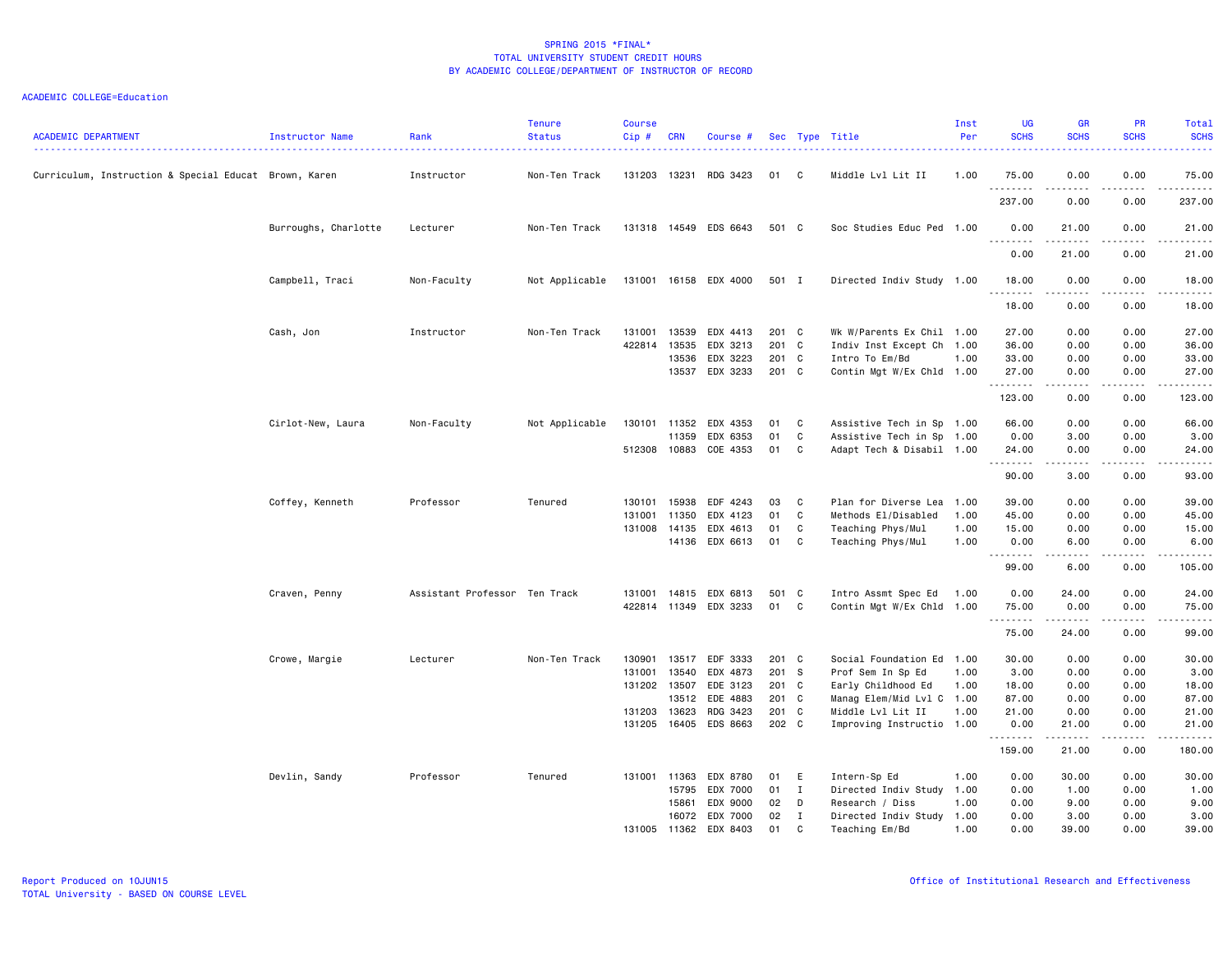| <b>ACADEMIC DEPARTMENT</b>                            | Instructor Name      | Rank                          | <b>Tenure</b><br><b>Status</b> | <b>Course</b><br>Cip# | <b>CRN</b>   | Course #              |       |                | Sec Type Title                              | Inst<br>Per | <b>UG</b><br><b>SCHS</b> | <b>GR</b><br><b>SCHS</b> | <b>PR</b><br><b>SCHS</b>     | Total<br><b>SCHS</b>                                                                                                                                          |
|-------------------------------------------------------|----------------------|-------------------------------|--------------------------------|-----------------------|--------------|-----------------------|-------|----------------|---------------------------------------------|-------------|--------------------------|--------------------------|------------------------------|---------------------------------------------------------------------------------------------------------------------------------------------------------------|
| Curriculum, Instruction & Special Educat Brown, Karen |                      | Instructor                    | Non-Ten Track                  | 131203                | 13231        | RDG 3423              | 01    | C              | Middle Lvl Lit II                           | 1.00        | 75.00                    | 0.00                     | 0.00                         | <u>.</u><br>75.00                                                                                                                                             |
|                                                       |                      |                               |                                |                       |              |                       |       |                |                                             |             | .<br>237.00              | .<br>0.00                | .<br>0.00                    | .<br>237.00                                                                                                                                                   |
|                                                       | Burroughs, Charlotte | Lecturer                      | Non-Ten Track                  |                       |              | 131318 14549 EDS 6643 | 501 C |                | Soc Studies Educ Ped 1.00                   |             | 0.00                     | 21.00                    | 0.00                         | 21.00                                                                                                                                                         |
|                                                       |                      |                               |                                |                       |              |                       |       |                |                                             |             | .<br>0.00                | .<br>21.00               | .<br>0.00                    | .<br>21.00                                                                                                                                                    |
|                                                       | Campbell, Traci      | Non-Faculty                   | Not Applicable                 | 131001                |              | 16158 EDX 4000        | 501 I |                | Directed Indiv Study 1.00                   |             | 18.00                    | 0.00                     | 0.00                         | 18.00                                                                                                                                                         |
|                                                       |                      |                               |                                |                       |              |                       |       |                |                                             |             | .<br>18.00               | .<br>0.00                | .<br>0.00                    | $\frac{1}{2} \left( \frac{1}{2} \right) \left( \frac{1}{2} \right) \left( \frac{1}{2} \right) \left( \frac{1}{2} \right) \left( \frac{1}{2} \right)$<br>18.00 |
|                                                       | Cash, Jon            | Instructor                    | Non-Ten Track                  | 131001                | 13539        | EDX 4413              | 201 C |                | Wk W/Parents Ex Chil 1.00                   |             | 27.00                    | 0.00                     | 0.00                         | 27.00                                                                                                                                                         |
|                                                       |                      |                               |                                | 422814                | 13535        | EDX 3213              | 201 C |                | Indiv Inst Except Ch 1.00                   |             | 36.00                    | 0.00                     | 0.00                         | 36.00                                                                                                                                                         |
|                                                       |                      |                               |                                |                       | 13536        | EDX 3223              | 201 C |                | Intro To Em/Bd                              | 1.00        | 33.00                    | 0.00                     | 0.00                         | 33.00                                                                                                                                                         |
|                                                       |                      |                               |                                |                       | 13537        | EDX 3233              | 201 C |                | Contin Mgt W/Ex Chld 1.00                   |             | 27.00<br>.               | 0.00                     | 0.00<br>$\sim$ $\sim$ $\sim$ | 27.00<br>.                                                                                                                                                    |
|                                                       |                      |                               |                                |                       |              |                       |       |                |                                             |             | 123.00                   | 0.00                     | 0.00                         | 123.00                                                                                                                                                        |
|                                                       | Cirlot-New, Laura    | Non-Faculty                   | Not Applicable                 |                       | 130101 11352 | EDX 4353              | 01    | C              | Assistive Tech in Sp 1.00                   |             | 66.00                    | 0.00                     | 0.00                         | 66.00                                                                                                                                                         |
|                                                       |                      |                               |                                |                       | 11359        | EDX 6353              | 01    | C              | Assistive Tech in Sp 1.00                   |             | 0.00                     | 3.00                     | 0.00                         | 3.00                                                                                                                                                          |
|                                                       |                      |                               |                                |                       | 512308 10883 | COE 4353              | 01    | C              | Adapt Tech & Disabil 1.00                   |             | 24.00                    | 0.00                     | 0.00                         | 24.00                                                                                                                                                         |
|                                                       |                      |                               |                                |                       |              |                       |       |                |                                             |             | .<br>90.00               | 3.00                     | .<br>0.00                    | .<br>93.00                                                                                                                                                    |
|                                                       |                      | Professor                     | Tenured                        | 130101                | 15938        |                       | 03    | C              |                                             | 1.00        |                          |                          |                              |                                                                                                                                                               |
|                                                       | Coffey, Kenneth      |                               |                                | 131001                | 11350        | EDF 4243<br>EDX 4123  | 01    | C              | Plan for Diverse Lea<br>Methods El/Disabled | 1.00        | 39.00<br>45.00           | 0.00<br>0.00             | 0.00<br>0.00                 | 39.00<br>45.00                                                                                                                                                |
|                                                       |                      |                               |                                | 131008                | 14135        | EDX 4613              | 01    | C              | Teaching Phys/Mul                           | 1.00        | 15.00                    | 0.00                     | 0.00                         | 15.00                                                                                                                                                         |
|                                                       |                      |                               |                                |                       | 14136        | EDX 6613              | 01    | C              | Teaching Phys/Mul                           | 1.00        | 0.00                     | 6.00                     | 0.00                         | 6.00                                                                                                                                                          |
|                                                       |                      |                               |                                |                       |              |                       |       |                |                                             |             | .                        | د د د د د                | .                            | .                                                                                                                                                             |
|                                                       |                      |                               |                                |                       |              |                       |       |                |                                             |             | 99.00                    | 6.00                     | 0.00                         | 105.00                                                                                                                                                        |
|                                                       | Craven, Penny        | Assistant Professor Ten Track |                                | 131001                | 14815        | EDX 6813              | 501   | C <sub>c</sub> | Intro Assmt Spec Ed                         | 1.00        | 0.00                     | 24.00                    | 0.00                         | 24.00                                                                                                                                                         |
|                                                       |                      |                               |                                |                       | 422814 11349 | EDX 3233              | 01    | C              | Contin Mgt W/Ex Chld 1.00                   |             | 75.00<br>.               | 0.00                     | 0.00<br>.                    | 75.00<br>.                                                                                                                                                    |
|                                                       |                      |                               |                                |                       |              |                       |       |                |                                             |             | 75.00                    | 24.00                    | 0.00                         | 99.00                                                                                                                                                         |
|                                                       | Crowe, Margie        | Lecturer                      | Non-Ten Track                  | 130901                | 13517        | EDF 3333              | 201 C |                | Social Foundation Ed 1.00                   |             | 30.00                    | 0.00                     | 0.00                         | 30.00                                                                                                                                                         |
|                                                       |                      |                               |                                | 131001                | 13540        | EDX 4873              | 201 S |                | Prof Sem In Sp Ed                           | 1.00        | 3.00                     | 0.00                     | 0.00                         | 3.00                                                                                                                                                          |
|                                                       |                      |                               |                                |                       | 131202 13507 | EDE 3123              | 201 C |                | Early Childhood Ed                          | 1.00        | 18.00                    | 0.00                     | 0.00                         | 18.00                                                                                                                                                         |
|                                                       |                      |                               |                                |                       | 13512        | EDE 4883              | 201 C |                | Manag Elem/Mid Lvl C 1.00                   |             | 87.00                    | 0.00                     | 0.00                         | 87.00                                                                                                                                                         |
|                                                       |                      |                               |                                | 131203                | 13623        | RDG 3423              | 201 C |                | Middle Lvl Lit II                           | 1.00        | 21.00                    | 0.00                     | 0.00                         | 21.00                                                                                                                                                         |
|                                                       |                      |                               |                                | 131205                | 16405        | EDS 8663              | 202 C |                | Improving Instructio 1.00                   |             | 0.00<br>.                | 21.00<br>.               | 0.00<br>.                    | 21.00<br>.                                                                                                                                                    |
|                                                       |                      |                               |                                |                       |              |                       |       |                |                                             |             | 159.00                   | 21.00                    | 0.00                         | 180.00                                                                                                                                                        |
|                                                       | Devlin, Sandy        | Professor                     | Tenured                        | 131001                | 11363        | EDX 8780              | 01    | E              | Intern-Sp Ed                                | 1.00        | 0.00                     | 30.00                    | 0.00                         | 30.00                                                                                                                                                         |
|                                                       |                      |                               |                                |                       | 15795        | EDX 7000              | 01    | I              | Directed Indiv Study 1.00                   |             | 0.00                     | 1.00                     | 0.00                         | 1.00                                                                                                                                                          |
|                                                       |                      |                               |                                |                       | 15861        | EDX 9000              | 02    | D              | Research / Diss                             | 1.00        | 0.00                     | 9.00                     | 0.00                         | 9.00                                                                                                                                                          |
|                                                       |                      |                               |                                |                       | 16072        | EDX 7000              | 02    | $\mathbf{I}$   | Directed Indiv Study 1.00                   |             | 0.00                     | 3.00                     | 0.00                         | 3.00                                                                                                                                                          |
|                                                       |                      |                               |                                | 131005                | 11362        | EDX 8403              | 01    | C              | Teaching Em/Bd                              | 1.00        | 0.00                     | 39.00                    | 0.00                         | 39.00                                                                                                                                                         |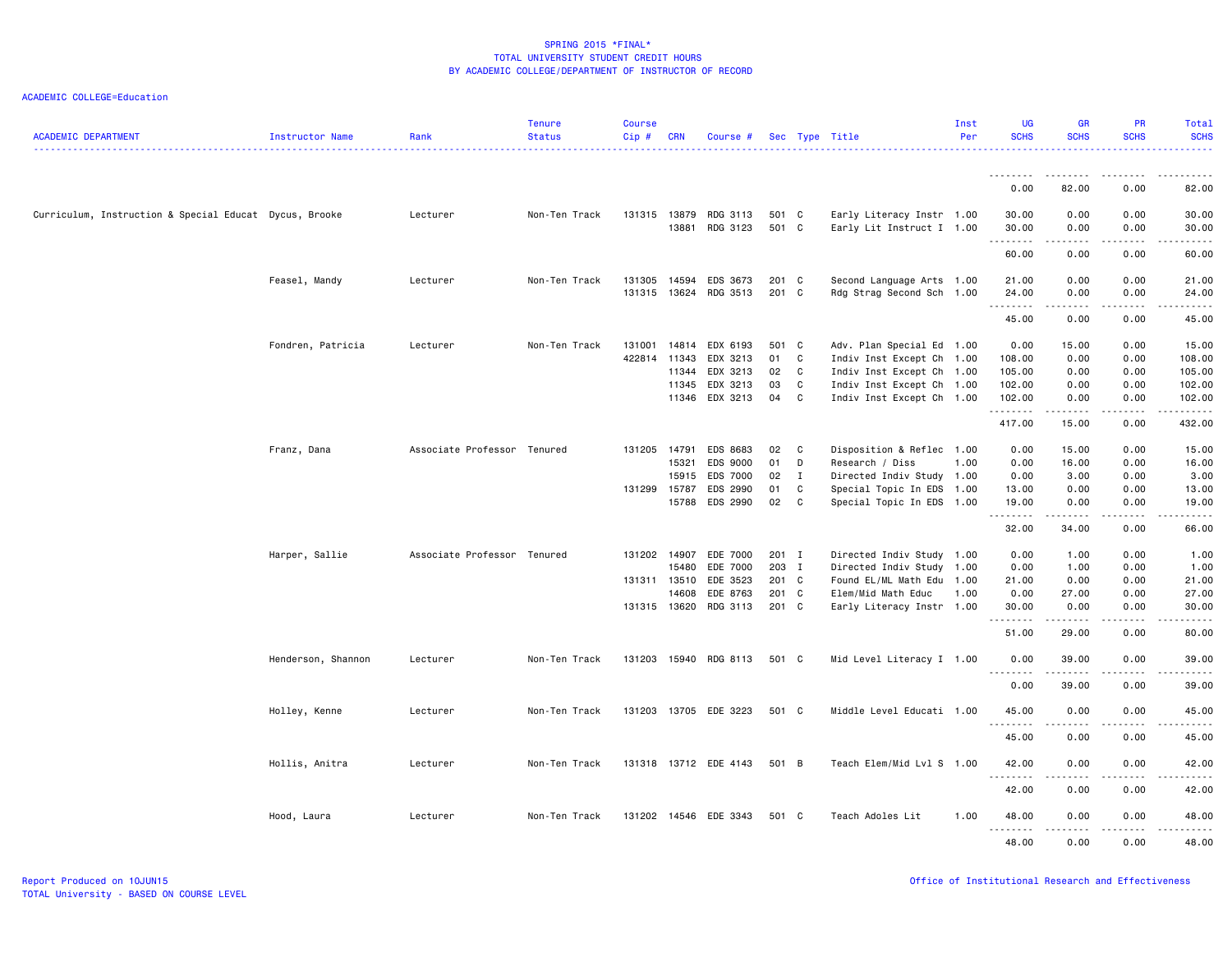| <b>SCHS</b><br><b>SCHS</b><br><b>SCHS</b><br><b>SCHS</b><br><b>ACADEMIC DEPARTMENT</b><br>Cip#<br>Per<br><b>Instructor Name</b><br>Rank<br><b>Status</b><br><b>CRN</b><br>Sec Type Title<br>Course #<br>$\frac{1}{2} \left( \frac{1}{2} \right) \left( \frac{1}{2} \right) \left( \frac{1}{2} \right) \left( \frac{1}{2} \right)$<br>82.00<br>0.00<br>0.00<br>82.00<br>Early Literacy Instr 1.00<br>Curriculum, Instruction & Special Educat Dycus, Brooke<br>Lecturer<br>Non-Ten Track<br>131315<br>13879<br>RDG 3113<br>501 C<br>30.00<br>0.00<br>0.00<br>30.00<br>13881 RDG 3123<br>501 C<br>Early Lit Instruct I 1.00<br>0.00<br>30.00<br>0.00<br>30.00<br>.<br>$\frac{1}{2} \left( \frac{1}{2} \right) \left( \frac{1}{2} \right) \left( \frac{1}{2} \right) \left( \frac{1}{2} \right) \left( \frac{1}{2} \right) \left( \frac{1}{2} \right)$<br>.<br>$\cdots \cdots \cdots$<br>60.00<br>0.00<br>0.00<br>60.00<br>Feasel, Mandy<br>EDS 3673<br>201 C<br>Second Language Arts 1.00<br>21.00<br>0.00<br>Lecturer<br>Non-Ten Track<br>131305<br>14594<br>0.00<br>21.00<br>131315<br>13624 RDG 3513<br>201 C<br>Rdg Strag Second Sch 1.00<br>24.00<br>0.00<br>0.00<br>24.00<br>.<br>.<br>$\sim$ $\sim$ $\sim$ $\sim$<br>د د د د د<br>45.00<br>0.00<br>0.00<br>45.00<br>Fondren, Patricia<br>Non-Ten Track<br>131001<br>14814 EDX 6193<br>501 C<br>Adv. Plan Special Ed 1.00<br>0.00<br>15.00<br>0.00<br>15.00<br>Lecturer<br>422814<br>11343<br>EDX 3213<br>01<br>Indiv Inst Except Ch 1.00<br>0.00<br>108.00<br>C<br>108.00<br>0.00<br>EDX 3213<br>105.00<br>11344<br>02<br>C<br>Indiv Inst Except Ch 1.00<br>105.00<br>0.00<br>0.00<br>EDX 3213<br>0.00<br>11345<br>03<br>C<br>102.00<br>0.00<br>102.00<br>Indiv Inst Except Ch 1.00<br>EDX 3213<br>04<br>102.00<br>11346<br>C<br>Indiv Inst Except Ch 1.00<br>102.00<br>0.00<br>0.00<br>.<br>.<br>.<br>417.00<br>15.00<br>432.00<br>0.00<br>Franz, Dana<br>Associate Professor Tenured<br>131205<br>14791<br>EDS 8683<br>02<br>C<br>Disposition & Reflec 1.00<br>0.00<br>15.00<br>0.00<br>15.00<br>15321<br>EDS 9000<br>01<br>D<br>1.00<br>0.00<br>16.00<br>0.00<br>16.00<br>Research / Diss<br>EDS 7000<br>02<br>Directed Indiv Study 1.00<br>0.00<br>0.00<br>3.00<br>15915<br>$\mathbf{I}$<br>3.00<br>131299<br>15787<br>EDS 2990<br>01<br>C<br>Special Topic In EDS 1.00<br>13.00<br>0.00<br>0.00<br>13.00<br>EDS 2990<br>02<br>C.<br>15788<br>Special Topic In EDS 1.00<br>19.00<br>0.00<br>0.00<br>19.00<br>.<br>.<br>المتمامين<br>.<br>32.00<br>34.00<br>0.00<br>66.00<br>Harper, Sallie<br>Associate Professor Tenured<br>EDE 7000<br>131202<br>14907<br>201 I<br>Directed Indiv Study 1.00<br>0.00<br>1.00<br>0.00<br>1.00<br>EDE 7000<br>203 I<br>0.00<br>1.00<br>15480<br>Directed Indiv Study 1.00<br>0.00<br>1.00<br>131311 13510<br>EDE 3523<br>201 C<br>Found EL/ML Math Edu 1.00<br>21.00<br>0.00<br>0.00<br>21.00<br>EDE 8763<br>27.00<br>14608<br>201 C<br>Elem/Mid Math Educ<br>1.00<br>0.00<br>27.00<br>0.00<br>201 C<br>131315 13620<br>RDG 3113<br>Early Literacy Instr 1.00<br>30.00<br>0.00<br>0.00<br>30.00<br>.<br>$\sim$ $\sim$ $\sim$<br>$\frac{1}{2} \left( \frac{1}{2} \right) \left( \frac{1}{2} \right) \left( \frac{1}{2} \right) \left( \frac{1}{2} \right) \left( \frac{1}{2} \right)$<br>$\frac{1}{2} \left( \frac{1}{2} \right) \left( \frac{1}{2} \right) \left( \frac{1}{2} \right) \left( \frac{1}{2} \right) \left( \frac{1}{2} \right)$<br>51.00<br>29.00<br>0.00<br>80.00<br>Henderson, Shannon<br>Lecturer<br>Non-Ten Track<br>131203<br>15940 RDG 8113<br>501 C<br>Mid Level Literacy I 1.00<br>0.00<br>39.00<br>0.00<br>39.00<br>$\frac{1}{2}$<br>.<br>$- - - - -$<br>$- - - -$<br>0.00<br>39.00<br>39.00<br>0.00<br>131203<br>13705 EDE 3223<br>501 C<br>Middle Level Educati 1.00<br>0.00<br>0.00<br>45.00<br>Holley, Kenne<br>Lecturer<br>Non-Ten Track<br>45.00<br>.<br>.<br>45.00<br>0.00<br>0.00<br>45.00<br>Hollis, Anitra<br>Lecturer<br>Non-Ten Track<br>131318<br>13712 EDE 4143<br>501 B<br>Teach Elem/Mid Lvl S 1.00<br>42.00<br>0.00<br>0.00<br>42.00<br>.<br>.<br>$\frac{1}{2} \left( \frac{1}{2} \right) \left( \frac{1}{2} \right) \left( \frac{1}{2} \right) \left( \frac{1}{2} \right) \left( \frac{1}{2} \right)$<br>.<br>42.00<br>0.00<br>0.00<br>42.00<br>14546 EDE 3343<br>Teach Adoles Lit<br>48.00<br>0.00<br>0.00<br>Hood, Laura<br>Lecturer<br>Non-Ten Track<br>131202<br>501 C<br>1.00<br>48.00<br>.<br>$\frac{1}{2}$ |  | <b>Tenure</b> | <b>Course</b> |  |  | Inst | <b>UG</b> | <b>GR</b> | <b>PR</b> | Total |
|----------------------------------------------------------------------------------------------------------------------------------------------------------------------------------------------------------------------------------------------------------------------------------------------------------------------------------------------------------------------------------------------------------------------------------------------------------------------------------------------------------------------------------------------------------------------------------------------------------------------------------------------------------------------------------------------------------------------------------------------------------------------------------------------------------------------------------------------------------------------------------------------------------------------------------------------------------------------------------------------------------------------------------------------------------------------------------------------------------------------------------------------------------------------------------------------------------------------------------------------------------------------------------------------------------------------------------------------------------------------------------------------------------------------------------------------------------------------------------------------------------------------------------------------------------------------------------------------------------------------------------------------------------------------------------------------------------------------------------------------------------------------------------------------------------------------------------------------------------------------------------------------------------------------------------------------------------------------------------------------------------------------------------------------------------------------------------------------------------------------------------------------------------------------------------------------------------------------------------------------------------------------------------------------------------------------------------------------------------------------------------------------------------------------------------------------------------------------------------------------------------------------------------------------------------------------------------------------------------------------------------------------------------------------------------------------------------------------------------------------------------------------------------------------------------------------------------------------------------------------------------------------------------------------------------------------------------------------------------------------------------------------------------------------------------------------------------------------------------------------------------------------------------------------------------------------------------------------------------------------------------------------------------------------------------------------------------------------------------------------------------------------------------------------------------------------------------------------------------------------------------------------------------------------------------------------------------------------------------------------------------------------------------------------------------------------------------------------------------------------------------------------------------------------------------------------------------------------------------------------------------------------------------------------------------------------------------------------------------------------------------------------------------------------------------------------------------------------------------------------------------------------------------------------------------------------------------------------------------------------------------------------------------------------------------------------------------------------------------------------------------------------------------------------------------------------------|--|---------------|---------------|--|--|------|-----------|-----------|-----------|-------|
|                                                                                                                                                                                                                                                                                                                                                                                                                                                                                                                                                                                                                                                                                                                                                                                                                                                                                                                                                                                                                                                                                                                                                                                                                                                                                                                                                                                                                                                                                                                                                                                                                                                                                                                                                                                                                                                                                                                                                                                                                                                                                                                                                                                                                                                                                                                                                                                                                                                                                                                                                                                                                                                                                                                                                                                                                                                                                                                                                                                                                                                                                                                                                                                                                                                                                                                                                                                                                                                                                                                                                                                                                                                                                                                                                                                                                                                                                                                                                                                                                                                                                                                                                                                                                                                                                                                                                                                                                                                    |  |               |               |  |  |      |           |           |           |       |
|                                                                                                                                                                                                                                                                                                                                                                                                                                                                                                                                                                                                                                                                                                                                                                                                                                                                                                                                                                                                                                                                                                                                                                                                                                                                                                                                                                                                                                                                                                                                                                                                                                                                                                                                                                                                                                                                                                                                                                                                                                                                                                                                                                                                                                                                                                                                                                                                                                                                                                                                                                                                                                                                                                                                                                                                                                                                                                                                                                                                                                                                                                                                                                                                                                                                                                                                                                                                                                                                                                                                                                                                                                                                                                                                                                                                                                                                                                                                                                                                                                                                                                                                                                                                                                                                                                                                                                                                                                                    |  |               |               |  |  |      |           |           |           |       |
|                                                                                                                                                                                                                                                                                                                                                                                                                                                                                                                                                                                                                                                                                                                                                                                                                                                                                                                                                                                                                                                                                                                                                                                                                                                                                                                                                                                                                                                                                                                                                                                                                                                                                                                                                                                                                                                                                                                                                                                                                                                                                                                                                                                                                                                                                                                                                                                                                                                                                                                                                                                                                                                                                                                                                                                                                                                                                                                                                                                                                                                                                                                                                                                                                                                                                                                                                                                                                                                                                                                                                                                                                                                                                                                                                                                                                                                                                                                                                                                                                                                                                                                                                                                                                                                                                                                                                                                                                                                    |  |               |               |  |  |      |           |           |           |       |
|                                                                                                                                                                                                                                                                                                                                                                                                                                                                                                                                                                                                                                                                                                                                                                                                                                                                                                                                                                                                                                                                                                                                                                                                                                                                                                                                                                                                                                                                                                                                                                                                                                                                                                                                                                                                                                                                                                                                                                                                                                                                                                                                                                                                                                                                                                                                                                                                                                                                                                                                                                                                                                                                                                                                                                                                                                                                                                                                                                                                                                                                                                                                                                                                                                                                                                                                                                                                                                                                                                                                                                                                                                                                                                                                                                                                                                                                                                                                                                                                                                                                                                                                                                                                                                                                                                                                                                                                                                                    |  |               |               |  |  |      |           |           |           |       |
|                                                                                                                                                                                                                                                                                                                                                                                                                                                                                                                                                                                                                                                                                                                                                                                                                                                                                                                                                                                                                                                                                                                                                                                                                                                                                                                                                                                                                                                                                                                                                                                                                                                                                                                                                                                                                                                                                                                                                                                                                                                                                                                                                                                                                                                                                                                                                                                                                                                                                                                                                                                                                                                                                                                                                                                                                                                                                                                                                                                                                                                                                                                                                                                                                                                                                                                                                                                                                                                                                                                                                                                                                                                                                                                                                                                                                                                                                                                                                                                                                                                                                                                                                                                                                                                                                                                                                                                                                                                    |  |               |               |  |  |      |           |           |           |       |
|                                                                                                                                                                                                                                                                                                                                                                                                                                                                                                                                                                                                                                                                                                                                                                                                                                                                                                                                                                                                                                                                                                                                                                                                                                                                                                                                                                                                                                                                                                                                                                                                                                                                                                                                                                                                                                                                                                                                                                                                                                                                                                                                                                                                                                                                                                                                                                                                                                                                                                                                                                                                                                                                                                                                                                                                                                                                                                                                                                                                                                                                                                                                                                                                                                                                                                                                                                                                                                                                                                                                                                                                                                                                                                                                                                                                                                                                                                                                                                                                                                                                                                                                                                                                                                                                                                                                                                                                                                                    |  |               |               |  |  |      |           |           |           |       |
|                                                                                                                                                                                                                                                                                                                                                                                                                                                                                                                                                                                                                                                                                                                                                                                                                                                                                                                                                                                                                                                                                                                                                                                                                                                                                                                                                                                                                                                                                                                                                                                                                                                                                                                                                                                                                                                                                                                                                                                                                                                                                                                                                                                                                                                                                                                                                                                                                                                                                                                                                                                                                                                                                                                                                                                                                                                                                                                                                                                                                                                                                                                                                                                                                                                                                                                                                                                                                                                                                                                                                                                                                                                                                                                                                                                                                                                                                                                                                                                                                                                                                                                                                                                                                                                                                                                                                                                                                                                    |  |               |               |  |  |      |           |           |           |       |
|                                                                                                                                                                                                                                                                                                                                                                                                                                                                                                                                                                                                                                                                                                                                                                                                                                                                                                                                                                                                                                                                                                                                                                                                                                                                                                                                                                                                                                                                                                                                                                                                                                                                                                                                                                                                                                                                                                                                                                                                                                                                                                                                                                                                                                                                                                                                                                                                                                                                                                                                                                                                                                                                                                                                                                                                                                                                                                                                                                                                                                                                                                                                                                                                                                                                                                                                                                                                                                                                                                                                                                                                                                                                                                                                                                                                                                                                                                                                                                                                                                                                                                                                                                                                                                                                                                                                                                                                                                                    |  |               |               |  |  |      |           |           |           |       |
|                                                                                                                                                                                                                                                                                                                                                                                                                                                                                                                                                                                                                                                                                                                                                                                                                                                                                                                                                                                                                                                                                                                                                                                                                                                                                                                                                                                                                                                                                                                                                                                                                                                                                                                                                                                                                                                                                                                                                                                                                                                                                                                                                                                                                                                                                                                                                                                                                                                                                                                                                                                                                                                                                                                                                                                                                                                                                                                                                                                                                                                                                                                                                                                                                                                                                                                                                                                                                                                                                                                                                                                                                                                                                                                                                                                                                                                                                                                                                                                                                                                                                                                                                                                                                                                                                                                                                                                                                                                    |  |               |               |  |  |      |           |           |           |       |
|                                                                                                                                                                                                                                                                                                                                                                                                                                                                                                                                                                                                                                                                                                                                                                                                                                                                                                                                                                                                                                                                                                                                                                                                                                                                                                                                                                                                                                                                                                                                                                                                                                                                                                                                                                                                                                                                                                                                                                                                                                                                                                                                                                                                                                                                                                                                                                                                                                                                                                                                                                                                                                                                                                                                                                                                                                                                                                                                                                                                                                                                                                                                                                                                                                                                                                                                                                                                                                                                                                                                                                                                                                                                                                                                                                                                                                                                                                                                                                                                                                                                                                                                                                                                                                                                                                                                                                                                                                                    |  |               |               |  |  |      |           |           |           |       |
|                                                                                                                                                                                                                                                                                                                                                                                                                                                                                                                                                                                                                                                                                                                                                                                                                                                                                                                                                                                                                                                                                                                                                                                                                                                                                                                                                                                                                                                                                                                                                                                                                                                                                                                                                                                                                                                                                                                                                                                                                                                                                                                                                                                                                                                                                                                                                                                                                                                                                                                                                                                                                                                                                                                                                                                                                                                                                                                                                                                                                                                                                                                                                                                                                                                                                                                                                                                                                                                                                                                                                                                                                                                                                                                                                                                                                                                                                                                                                                                                                                                                                                                                                                                                                                                                                                                                                                                                                                                    |  |               |               |  |  |      |           |           |           |       |
|                                                                                                                                                                                                                                                                                                                                                                                                                                                                                                                                                                                                                                                                                                                                                                                                                                                                                                                                                                                                                                                                                                                                                                                                                                                                                                                                                                                                                                                                                                                                                                                                                                                                                                                                                                                                                                                                                                                                                                                                                                                                                                                                                                                                                                                                                                                                                                                                                                                                                                                                                                                                                                                                                                                                                                                                                                                                                                                                                                                                                                                                                                                                                                                                                                                                                                                                                                                                                                                                                                                                                                                                                                                                                                                                                                                                                                                                                                                                                                                                                                                                                                                                                                                                                                                                                                                                                                                                                                                    |  |               |               |  |  |      |           |           |           |       |
|                                                                                                                                                                                                                                                                                                                                                                                                                                                                                                                                                                                                                                                                                                                                                                                                                                                                                                                                                                                                                                                                                                                                                                                                                                                                                                                                                                                                                                                                                                                                                                                                                                                                                                                                                                                                                                                                                                                                                                                                                                                                                                                                                                                                                                                                                                                                                                                                                                                                                                                                                                                                                                                                                                                                                                                                                                                                                                                                                                                                                                                                                                                                                                                                                                                                                                                                                                                                                                                                                                                                                                                                                                                                                                                                                                                                                                                                                                                                                                                                                                                                                                                                                                                                                                                                                                                                                                                                                                                    |  |               |               |  |  |      |           |           |           |       |
|                                                                                                                                                                                                                                                                                                                                                                                                                                                                                                                                                                                                                                                                                                                                                                                                                                                                                                                                                                                                                                                                                                                                                                                                                                                                                                                                                                                                                                                                                                                                                                                                                                                                                                                                                                                                                                                                                                                                                                                                                                                                                                                                                                                                                                                                                                                                                                                                                                                                                                                                                                                                                                                                                                                                                                                                                                                                                                                                                                                                                                                                                                                                                                                                                                                                                                                                                                                                                                                                                                                                                                                                                                                                                                                                                                                                                                                                                                                                                                                                                                                                                                                                                                                                                                                                                                                                                                                                                                                    |  |               |               |  |  |      |           |           |           |       |
|                                                                                                                                                                                                                                                                                                                                                                                                                                                                                                                                                                                                                                                                                                                                                                                                                                                                                                                                                                                                                                                                                                                                                                                                                                                                                                                                                                                                                                                                                                                                                                                                                                                                                                                                                                                                                                                                                                                                                                                                                                                                                                                                                                                                                                                                                                                                                                                                                                                                                                                                                                                                                                                                                                                                                                                                                                                                                                                                                                                                                                                                                                                                                                                                                                                                                                                                                                                                                                                                                                                                                                                                                                                                                                                                                                                                                                                                                                                                                                                                                                                                                                                                                                                                                                                                                                                                                                                                                                                    |  |               |               |  |  |      |           |           |           |       |
|                                                                                                                                                                                                                                                                                                                                                                                                                                                                                                                                                                                                                                                                                                                                                                                                                                                                                                                                                                                                                                                                                                                                                                                                                                                                                                                                                                                                                                                                                                                                                                                                                                                                                                                                                                                                                                                                                                                                                                                                                                                                                                                                                                                                                                                                                                                                                                                                                                                                                                                                                                                                                                                                                                                                                                                                                                                                                                                                                                                                                                                                                                                                                                                                                                                                                                                                                                                                                                                                                                                                                                                                                                                                                                                                                                                                                                                                                                                                                                                                                                                                                                                                                                                                                                                                                                                                                                                                                                                    |  |               |               |  |  |      |           |           |           |       |
|                                                                                                                                                                                                                                                                                                                                                                                                                                                                                                                                                                                                                                                                                                                                                                                                                                                                                                                                                                                                                                                                                                                                                                                                                                                                                                                                                                                                                                                                                                                                                                                                                                                                                                                                                                                                                                                                                                                                                                                                                                                                                                                                                                                                                                                                                                                                                                                                                                                                                                                                                                                                                                                                                                                                                                                                                                                                                                                                                                                                                                                                                                                                                                                                                                                                                                                                                                                                                                                                                                                                                                                                                                                                                                                                                                                                                                                                                                                                                                                                                                                                                                                                                                                                                                                                                                                                                                                                                                                    |  |               |               |  |  |      |           |           |           |       |
|                                                                                                                                                                                                                                                                                                                                                                                                                                                                                                                                                                                                                                                                                                                                                                                                                                                                                                                                                                                                                                                                                                                                                                                                                                                                                                                                                                                                                                                                                                                                                                                                                                                                                                                                                                                                                                                                                                                                                                                                                                                                                                                                                                                                                                                                                                                                                                                                                                                                                                                                                                                                                                                                                                                                                                                                                                                                                                                                                                                                                                                                                                                                                                                                                                                                                                                                                                                                                                                                                                                                                                                                                                                                                                                                                                                                                                                                                                                                                                                                                                                                                                                                                                                                                                                                                                                                                                                                                                                    |  |               |               |  |  |      |           |           |           |       |
|                                                                                                                                                                                                                                                                                                                                                                                                                                                                                                                                                                                                                                                                                                                                                                                                                                                                                                                                                                                                                                                                                                                                                                                                                                                                                                                                                                                                                                                                                                                                                                                                                                                                                                                                                                                                                                                                                                                                                                                                                                                                                                                                                                                                                                                                                                                                                                                                                                                                                                                                                                                                                                                                                                                                                                                                                                                                                                                                                                                                                                                                                                                                                                                                                                                                                                                                                                                                                                                                                                                                                                                                                                                                                                                                                                                                                                                                                                                                                                                                                                                                                                                                                                                                                                                                                                                                                                                                                                                    |  |               |               |  |  |      |           |           |           |       |
|                                                                                                                                                                                                                                                                                                                                                                                                                                                                                                                                                                                                                                                                                                                                                                                                                                                                                                                                                                                                                                                                                                                                                                                                                                                                                                                                                                                                                                                                                                                                                                                                                                                                                                                                                                                                                                                                                                                                                                                                                                                                                                                                                                                                                                                                                                                                                                                                                                                                                                                                                                                                                                                                                                                                                                                                                                                                                                                                                                                                                                                                                                                                                                                                                                                                                                                                                                                                                                                                                                                                                                                                                                                                                                                                                                                                                                                                                                                                                                                                                                                                                                                                                                                                                                                                                                                                                                                                                                                    |  |               |               |  |  |      |           |           |           |       |
|                                                                                                                                                                                                                                                                                                                                                                                                                                                                                                                                                                                                                                                                                                                                                                                                                                                                                                                                                                                                                                                                                                                                                                                                                                                                                                                                                                                                                                                                                                                                                                                                                                                                                                                                                                                                                                                                                                                                                                                                                                                                                                                                                                                                                                                                                                                                                                                                                                                                                                                                                                                                                                                                                                                                                                                                                                                                                                                                                                                                                                                                                                                                                                                                                                                                                                                                                                                                                                                                                                                                                                                                                                                                                                                                                                                                                                                                                                                                                                                                                                                                                                                                                                                                                                                                                                                                                                                                                                                    |  |               |               |  |  |      |           |           |           |       |
|                                                                                                                                                                                                                                                                                                                                                                                                                                                                                                                                                                                                                                                                                                                                                                                                                                                                                                                                                                                                                                                                                                                                                                                                                                                                                                                                                                                                                                                                                                                                                                                                                                                                                                                                                                                                                                                                                                                                                                                                                                                                                                                                                                                                                                                                                                                                                                                                                                                                                                                                                                                                                                                                                                                                                                                                                                                                                                                                                                                                                                                                                                                                                                                                                                                                                                                                                                                                                                                                                                                                                                                                                                                                                                                                                                                                                                                                                                                                                                                                                                                                                                                                                                                                                                                                                                                                                                                                                                                    |  |               |               |  |  |      |           |           |           |       |
|                                                                                                                                                                                                                                                                                                                                                                                                                                                                                                                                                                                                                                                                                                                                                                                                                                                                                                                                                                                                                                                                                                                                                                                                                                                                                                                                                                                                                                                                                                                                                                                                                                                                                                                                                                                                                                                                                                                                                                                                                                                                                                                                                                                                                                                                                                                                                                                                                                                                                                                                                                                                                                                                                                                                                                                                                                                                                                                                                                                                                                                                                                                                                                                                                                                                                                                                                                                                                                                                                                                                                                                                                                                                                                                                                                                                                                                                                                                                                                                                                                                                                                                                                                                                                                                                                                                                                                                                                                                    |  |               |               |  |  |      |           |           |           |       |
|                                                                                                                                                                                                                                                                                                                                                                                                                                                                                                                                                                                                                                                                                                                                                                                                                                                                                                                                                                                                                                                                                                                                                                                                                                                                                                                                                                                                                                                                                                                                                                                                                                                                                                                                                                                                                                                                                                                                                                                                                                                                                                                                                                                                                                                                                                                                                                                                                                                                                                                                                                                                                                                                                                                                                                                                                                                                                                                                                                                                                                                                                                                                                                                                                                                                                                                                                                                                                                                                                                                                                                                                                                                                                                                                                                                                                                                                                                                                                                                                                                                                                                                                                                                                                                                                                                                                                                                                                                                    |  |               |               |  |  |      |           |           |           |       |
|                                                                                                                                                                                                                                                                                                                                                                                                                                                                                                                                                                                                                                                                                                                                                                                                                                                                                                                                                                                                                                                                                                                                                                                                                                                                                                                                                                                                                                                                                                                                                                                                                                                                                                                                                                                                                                                                                                                                                                                                                                                                                                                                                                                                                                                                                                                                                                                                                                                                                                                                                                                                                                                                                                                                                                                                                                                                                                                                                                                                                                                                                                                                                                                                                                                                                                                                                                                                                                                                                                                                                                                                                                                                                                                                                                                                                                                                                                                                                                                                                                                                                                                                                                                                                                                                                                                                                                                                                                                    |  |               |               |  |  |      |           |           |           |       |
|                                                                                                                                                                                                                                                                                                                                                                                                                                                                                                                                                                                                                                                                                                                                                                                                                                                                                                                                                                                                                                                                                                                                                                                                                                                                                                                                                                                                                                                                                                                                                                                                                                                                                                                                                                                                                                                                                                                                                                                                                                                                                                                                                                                                                                                                                                                                                                                                                                                                                                                                                                                                                                                                                                                                                                                                                                                                                                                                                                                                                                                                                                                                                                                                                                                                                                                                                                                                                                                                                                                                                                                                                                                                                                                                                                                                                                                                                                                                                                                                                                                                                                                                                                                                                                                                                                                                                                                                                                                    |  |               |               |  |  |      |           |           |           |       |
|                                                                                                                                                                                                                                                                                                                                                                                                                                                                                                                                                                                                                                                                                                                                                                                                                                                                                                                                                                                                                                                                                                                                                                                                                                                                                                                                                                                                                                                                                                                                                                                                                                                                                                                                                                                                                                                                                                                                                                                                                                                                                                                                                                                                                                                                                                                                                                                                                                                                                                                                                                                                                                                                                                                                                                                                                                                                                                                                                                                                                                                                                                                                                                                                                                                                                                                                                                                                                                                                                                                                                                                                                                                                                                                                                                                                                                                                                                                                                                                                                                                                                                                                                                                                                                                                                                                                                                                                                                                    |  |               |               |  |  |      |           |           |           |       |
|                                                                                                                                                                                                                                                                                                                                                                                                                                                                                                                                                                                                                                                                                                                                                                                                                                                                                                                                                                                                                                                                                                                                                                                                                                                                                                                                                                                                                                                                                                                                                                                                                                                                                                                                                                                                                                                                                                                                                                                                                                                                                                                                                                                                                                                                                                                                                                                                                                                                                                                                                                                                                                                                                                                                                                                                                                                                                                                                                                                                                                                                                                                                                                                                                                                                                                                                                                                                                                                                                                                                                                                                                                                                                                                                                                                                                                                                                                                                                                                                                                                                                                                                                                                                                                                                                                                                                                                                                                                    |  |               |               |  |  |      |           |           |           |       |
|                                                                                                                                                                                                                                                                                                                                                                                                                                                                                                                                                                                                                                                                                                                                                                                                                                                                                                                                                                                                                                                                                                                                                                                                                                                                                                                                                                                                                                                                                                                                                                                                                                                                                                                                                                                                                                                                                                                                                                                                                                                                                                                                                                                                                                                                                                                                                                                                                                                                                                                                                                                                                                                                                                                                                                                                                                                                                                                                                                                                                                                                                                                                                                                                                                                                                                                                                                                                                                                                                                                                                                                                                                                                                                                                                                                                                                                                                                                                                                                                                                                                                                                                                                                                                                                                                                                                                                                                                                                    |  |               |               |  |  |      |           |           |           |       |
|                                                                                                                                                                                                                                                                                                                                                                                                                                                                                                                                                                                                                                                                                                                                                                                                                                                                                                                                                                                                                                                                                                                                                                                                                                                                                                                                                                                                                                                                                                                                                                                                                                                                                                                                                                                                                                                                                                                                                                                                                                                                                                                                                                                                                                                                                                                                                                                                                                                                                                                                                                                                                                                                                                                                                                                                                                                                                                                                                                                                                                                                                                                                                                                                                                                                                                                                                                                                                                                                                                                                                                                                                                                                                                                                                                                                                                                                                                                                                                                                                                                                                                                                                                                                                                                                                                                                                                                                                                                    |  |               |               |  |  |      |           |           |           |       |
|                                                                                                                                                                                                                                                                                                                                                                                                                                                                                                                                                                                                                                                                                                                                                                                                                                                                                                                                                                                                                                                                                                                                                                                                                                                                                                                                                                                                                                                                                                                                                                                                                                                                                                                                                                                                                                                                                                                                                                                                                                                                                                                                                                                                                                                                                                                                                                                                                                                                                                                                                                                                                                                                                                                                                                                                                                                                                                                                                                                                                                                                                                                                                                                                                                                                                                                                                                                                                                                                                                                                                                                                                                                                                                                                                                                                                                                                                                                                                                                                                                                                                                                                                                                                                                                                                                                                                                                                                                                    |  |               |               |  |  |      |           |           |           |       |
|                                                                                                                                                                                                                                                                                                                                                                                                                                                                                                                                                                                                                                                                                                                                                                                                                                                                                                                                                                                                                                                                                                                                                                                                                                                                                                                                                                                                                                                                                                                                                                                                                                                                                                                                                                                                                                                                                                                                                                                                                                                                                                                                                                                                                                                                                                                                                                                                                                                                                                                                                                                                                                                                                                                                                                                                                                                                                                                                                                                                                                                                                                                                                                                                                                                                                                                                                                                                                                                                                                                                                                                                                                                                                                                                                                                                                                                                                                                                                                                                                                                                                                                                                                                                                                                                                                                                                                                                                                                    |  |               |               |  |  |      |           |           |           |       |
|                                                                                                                                                                                                                                                                                                                                                                                                                                                                                                                                                                                                                                                                                                                                                                                                                                                                                                                                                                                                                                                                                                                                                                                                                                                                                                                                                                                                                                                                                                                                                                                                                                                                                                                                                                                                                                                                                                                                                                                                                                                                                                                                                                                                                                                                                                                                                                                                                                                                                                                                                                                                                                                                                                                                                                                                                                                                                                                                                                                                                                                                                                                                                                                                                                                                                                                                                                                                                                                                                                                                                                                                                                                                                                                                                                                                                                                                                                                                                                                                                                                                                                                                                                                                                                                                                                                                                                                                                                                    |  |               |               |  |  |      |           |           |           |       |
|                                                                                                                                                                                                                                                                                                                                                                                                                                                                                                                                                                                                                                                                                                                                                                                                                                                                                                                                                                                                                                                                                                                                                                                                                                                                                                                                                                                                                                                                                                                                                                                                                                                                                                                                                                                                                                                                                                                                                                                                                                                                                                                                                                                                                                                                                                                                                                                                                                                                                                                                                                                                                                                                                                                                                                                                                                                                                                                                                                                                                                                                                                                                                                                                                                                                                                                                                                                                                                                                                                                                                                                                                                                                                                                                                                                                                                                                                                                                                                                                                                                                                                                                                                                                                                                                                                                                                                                                                                                    |  |               |               |  |  |      |           |           |           |       |
|                                                                                                                                                                                                                                                                                                                                                                                                                                                                                                                                                                                                                                                                                                                                                                                                                                                                                                                                                                                                                                                                                                                                                                                                                                                                                                                                                                                                                                                                                                                                                                                                                                                                                                                                                                                                                                                                                                                                                                                                                                                                                                                                                                                                                                                                                                                                                                                                                                                                                                                                                                                                                                                                                                                                                                                                                                                                                                                                                                                                                                                                                                                                                                                                                                                                                                                                                                                                                                                                                                                                                                                                                                                                                                                                                                                                                                                                                                                                                                                                                                                                                                                                                                                                                                                                                                                                                                                                                                                    |  |               |               |  |  |      |           |           |           |       |
|                                                                                                                                                                                                                                                                                                                                                                                                                                                                                                                                                                                                                                                                                                                                                                                                                                                                                                                                                                                                                                                                                                                                                                                                                                                                                                                                                                                                                                                                                                                                                                                                                                                                                                                                                                                                                                                                                                                                                                                                                                                                                                                                                                                                                                                                                                                                                                                                                                                                                                                                                                                                                                                                                                                                                                                                                                                                                                                                                                                                                                                                                                                                                                                                                                                                                                                                                                                                                                                                                                                                                                                                                                                                                                                                                                                                                                                                                                                                                                                                                                                                                                                                                                                                                                                                                                                                                                                                                                                    |  |               |               |  |  |      |           |           |           |       |
|                                                                                                                                                                                                                                                                                                                                                                                                                                                                                                                                                                                                                                                                                                                                                                                                                                                                                                                                                                                                                                                                                                                                                                                                                                                                                                                                                                                                                                                                                                                                                                                                                                                                                                                                                                                                                                                                                                                                                                                                                                                                                                                                                                                                                                                                                                                                                                                                                                                                                                                                                                                                                                                                                                                                                                                                                                                                                                                                                                                                                                                                                                                                                                                                                                                                                                                                                                                                                                                                                                                                                                                                                                                                                                                                                                                                                                                                                                                                                                                                                                                                                                                                                                                                                                                                                                                                                                                                                                                    |  |               |               |  |  |      | 48.00     | 0.00      | 0.00      | 48.00 |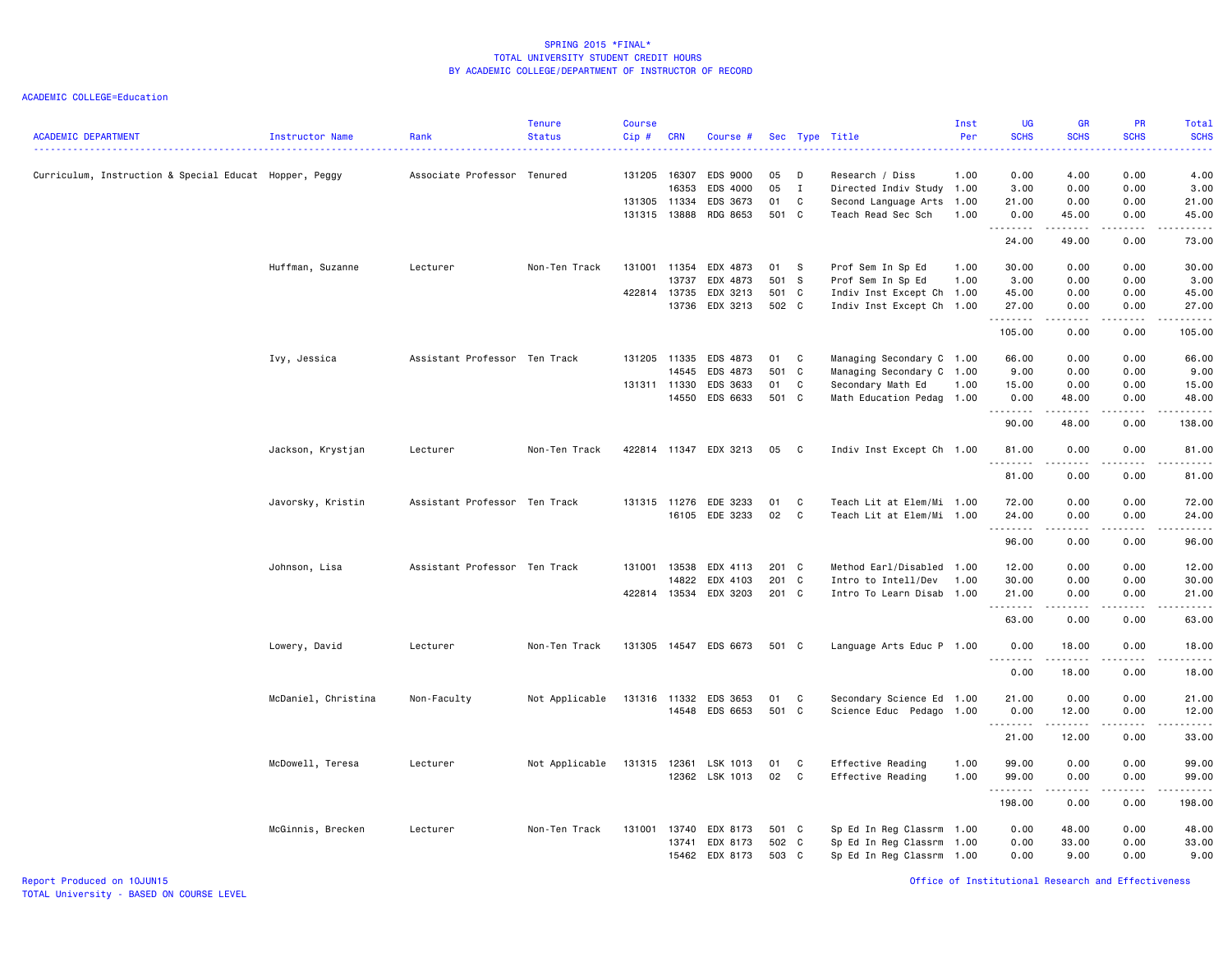ACADEMIC COLLEGE=Education

| <b>ACADEMIC DEPARTMENT</b>                             | Instructor Name     | Rank                          | <b>Tenure</b><br><b>Status</b> | <b>Course</b><br>Cip# | <b>CRN</b> | Course #              |       |              | Sec Type Title            | Inst<br>Per | <b>UG</b><br><b>SCHS</b>          | <b>GR</b><br><b>SCHS</b>                                                                                                                                      | <b>PR</b><br><b>SCHS</b> | <b>Total</b><br><b>SCHS</b> |
|--------------------------------------------------------|---------------------|-------------------------------|--------------------------------|-----------------------|------------|-----------------------|-------|--------------|---------------------------|-------------|-----------------------------------|---------------------------------------------------------------------------------------------------------------------------------------------------------------|--------------------------|-----------------------------|
| Curriculum, Instruction & Special Educat Hopper, Peggy |                     | Associate Professor Tenured   |                                | 131205 16307          |            | EDS 9000              | 05    | D            | Research / Diss           | 1.00        | 0.00                              | 4.00                                                                                                                                                          | 0.00                     | 4.00                        |
|                                                        |                     |                               |                                |                       | 16353      | EDS 4000              | 05    | I            | Directed Indiv Study 1.00 |             | 3.00                              | 0.00                                                                                                                                                          | 0.00                     | 3.00                        |
|                                                        |                     |                               |                                | 131305 11334          |            | EDS 3673              | 01    | C            | Second Language Arts      | 1.00        | 21.00                             | 0.00                                                                                                                                                          | 0.00                     | 21.00                       |
|                                                        |                     |                               |                                | 131315 13888          |            | RDG 8653              | 501 C |              | Teach Read Sec Sch        | 1.00        | 0.00                              | 45.00<br>.                                                                                                                                                    | 0.00<br>.                | 45.00<br>.                  |
|                                                        |                     |                               |                                |                       |            |                       |       |              |                           |             | 24.00                             | 49.00                                                                                                                                                         | 0.00                     | 73.00                       |
|                                                        | Huffman, Suzanne    | Lecturer                      | Non-Ten Track                  | 131001                | 11354      | EDX 4873              | 01    | s            | Prof Sem In Sp Ed         | 1.00        | 30.00                             | 0.00                                                                                                                                                          | 0.00                     | 30.00                       |
|                                                        |                     |                               |                                |                       | 13737      | EDX 4873              | 501 S |              | Prof Sem In Sp Ed         | 1.00        | 3.00                              | 0.00                                                                                                                                                          | 0.00                     | 3.00                        |
|                                                        |                     |                               |                                | 422814                | 13735      | EDX 3213              | 501 C |              | Indiv Inst Except Ch 1.00 |             | 45.00                             | 0.00                                                                                                                                                          | 0.00                     | 45.00                       |
|                                                        |                     |                               |                                |                       | 13736      | EDX 3213              | 502 C |              | Indiv Inst Except Ch 1.00 |             | 27.00<br>.                        | 0.00<br>د د د د د                                                                                                                                             | 0.00<br>.                | 27.00<br>.                  |
|                                                        |                     |                               |                                |                       |            |                       |       |              |                           |             | 105.00                            | 0.00                                                                                                                                                          | 0.00                     | 105.00                      |
|                                                        | Ivy, Jessica        | Assistant Professor Ten Track |                                | 131205 11335          |            | EDS 4873              | 01    | C            | Managing Secondary C 1.00 |             | 66.00                             | 0.00                                                                                                                                                          | 0.00                     | 66.00                       |
|                                                        |                     |                               |                                |                       | 14545      | EDS 4873              | 501 C |              | Managing Secondary C 1.00 |             | 9.00                              | 0.00                                                                                                                                                          | 0.00                     | 9.00                        |
|                                                        |                     |                               |                                | 131311 11330          |            | EDS 3633              | 01    | C            | Secondary Math Ed         | 1.00        | 15.00                             | 0.00                                                                                                                                                          | 0.00                     | 15.00                       |
|                                                        |                     |                               |                                |                       | 14550      | EDS 6633              | 501 C |              | Math Education Pedag 1.00 |             | 0.00<br><u>.</u>                  | 48.00<br>$\frac{1}{2} \left( \frac{1}{2} \right) \left( \frac{1}{2} \right) \left( \frac{1}{2} \right) \left( \frac{1}{2} \right) \left( \frac{1}{2} \right)$ | 0.00<br>$\frac{1}{2}$    | 48.00<br>.                  |
|                                                        |                     |                               |                                |                       |            |                       |       |              |                           |             | 90.00                             | 48.00                                                                                                                                                         | 0.00                     | 138.00                      |
|                                                        | Jackson, Krystjan   | Lecturer                      | Non-Ten Track                  |                       |            | 422814 11347 EDX 3213 | 05    | $\mathbf{C}$ | Indiv Inst Except Ch 1.00 |             | 81.00<br><u>.</u>                 | 0.00<br>.                                                                                                                                                     | 0.00<br>.                | 81,00<br>. <u>.</u> .       |
|                                                        |                     |                               |                                |                       |            |                       |       |              |                           |             | 81.00                             | 0.00                                                                                                                                                          | 0.00                     | 81.00                       |
|                                                        | Javorsky, Kristin   | Assistant Professor Ten Track |                                | 131315 11276          |            | EDE 3233              | 01    | C            | Teach Lit at Elem/Mi 1.00 |             | 72.00                             | 0.00                                                                                                                                                          | 0.00                     | 72.00                       |
|                                                        |                     |                               |                                |                       | 16105      | EDE 3233              | 02    | C            | Teach Lit at Elem/Mi 1.00 |             | 24.00                             | 0.00                                                                                                                                                          | 0.00                     | 24.00                       |
|                                                        |                     |                               |                                |                       |            |                       |       |              |                           |             |                                   |                                                                                                                                                               |                          | .                           |
|                                                        |                     |                               |                                |                       |            |                       |       |              |                           |             | 96.00                             | 0.00                                                                                                                                                          | 0.00                     | 96.00                       |
|                                                        | Johnson, Lisa       | Assistant Professor Ten Track |                                | 131001                | 13538      | EDX 4113              | 201 C |              | Method Earl/Disabled 1.00 |             | 12.00                             | 0.00                                                                                                                                                          | 0.00                     | 12.00                       |
|                                                        |                     |                               |                                |                       | 14822      | EDX 4103              | 201 C |              | Intro to Intell/Dev       | 1.00        | 30.00                             | 0.00                                                                                                                                                          | 0.00                     | 30.00                       |
|                                                        |                     |                               |                                | 422814 13534          |            | EDX 3203              | 201 C |              | Intro To Learn Disab      | 1.00        | 21.00                             | 0.00                                                                                                                                                          | 0.00                     | 21.00<br>.                  |
|                                                        |                     |                               |                                |                       |            |                       |       |              |                           |             | 63.00                             | $\frac{1}{2} \left( \frac{1}{2} \right) \left( \frac{1}{2} \right) \left( \frac{1}{2} \right) \left( \frac{1}{2} \right) \left( \frac{1}{2} \right)$<br>0.00  | .<br>0.00                | 63.00                       |
|                                                        | Lowery, David       | Lecturer                      | Non-Ten Track                  | 131305                |            | 14547 EDS 6673        | 501 C |              | Language Arts Educ P 1.00 |             | 0.00                              | 18,00                                                                                                                                                         | 0.00                     | 18,00                       |
|                                                        |                     |                               |                                |                       |            |                       |       |              |                           |             | $\sim$ $\sim$ $\sim$<br>.<br>0.00 | 18.00                                                                                                                                                         | 0.00                     | .<br>18.00                  |
|                                                        |                     |                               |                                |                       |            |                       |       |              |                           |             |                                   |                                                                                                                                                               |                          |                             |
|                                                        | McDaniel, Christina | Non-Faculty                   | Not Applicable                 | 131316 11332          |            | EDS 3653              | 01    | C            | Secondary Science Ed 1.00 |             | 21.00                             | 0.00                                                                                                                                                          | 0.00                     | 21.00                       |
|                                                        |                     |                               |                                |                       |            | 14548 EDS 6653        | 501 C |              | Science Educ Pedago 1.00  |             | 0.00<br>1.1.1.1.1.1.1             | 12.00<br>.                                                                                                                                                    | 0.00<br>.                | 12.00<br>.                  |
|                                                        |                     |                               |                                |                       |            |                       |       |              |                           |             | 21.00                             | 12.00                                                                                                                                                         | 0.00                     | 33.00                       |
|                                                        | McDowell, Teresa    | Lecturer                      | Not Applicable                 | 131315                | 12361      | LSK 1013              | 01    | C            | Effective Reading         | 1.00        | 99.00                             | 0.00                                                                                                                                                          | 0.00                     | 99.00                       |
|                                                        |                     |                               |                                |                       |            | 12362 LSK 1013        | 02    | C            | Effective Reading         | 1.00        | 99.00                             | 0.00                                                                                                                                                          | 0.00                     | 99.00                       |
|                                                        |                     |                               |                                |                       |            |                       |       |              |                           |             | 1.1.1.1.1.1.1<br>198.00           | 0.00                                                                                                                                                          | 0.00                     | 198.00                      |
|                                                        |                     |                               |                                |                       |            |                       |       |              |                           |             |                                   |                                                                                                                                                               |                          |                             |
|                                                        | McGinnis, Brecken   | Lecturer                      | Non-Ten Track                  | 131001                | 13740      | EDX 8173              | 501 C |              | Sp Ed In Reg Classrm 1.00 |             | 0.00                              | 48.00                                                                                                                                                         | 0.00                     | 48.00                       |
|                                                        |                     |                               |                                |                       | 13741      | EDX 8173              | 502 C |              | Sp Ed In Reg Classrm      | 1.00        | 0.00                              | 33.00                                                                                                                                                         | 0.00                     | 33.00                       |
|                                                        |                     |                               |                                |                       |            | 15462 EDX 8173        | 503 C |              | Sp Ed In Reg Classrm 1.00 |             | 0.00                              | 9.00                                                                                                                                                          | 0.00                     | 9.00                        |

Report Produced on 10JUN15 Office of Institutional Research and Effectiveness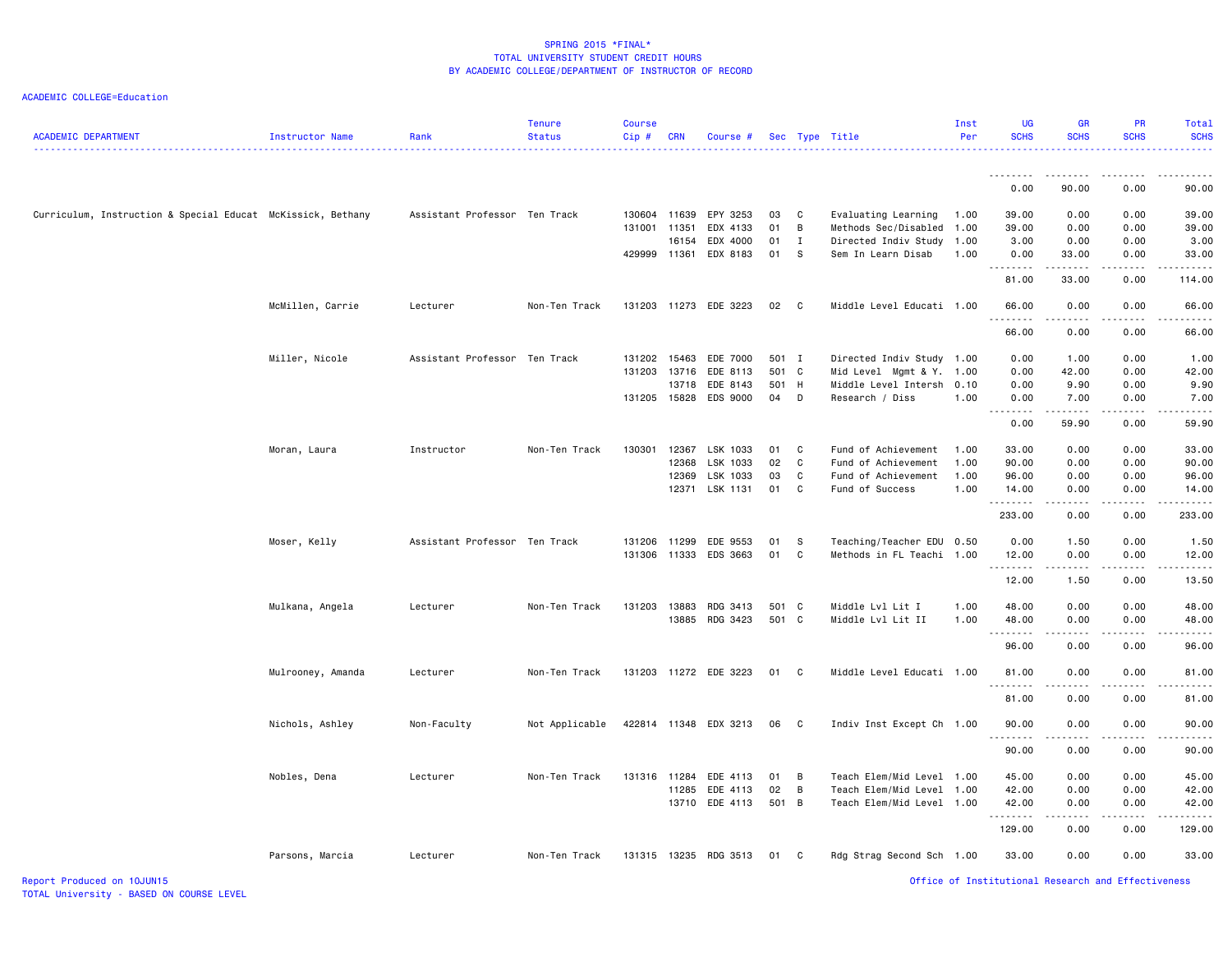| <b>ACADEMIC DEPARTMENT</b>                                  | Instructor Name   | Rank                          | <b>Tenure</b><br><b>Status</b> | <b>Course</b><br>Cip# | <b>CRN</b> | Course #                                |                    |             | Sec Type Title                               | Inst<br>Per  | <b>UG</b><br><b>SCHS</b>                           | <b>GR</b><br><b>SCHS</b> | <b>PR</b><br><b>SCHS</b>                                                                                                                                     | Total<br><b>SCHS</b> |
|-------------------------------------------------------------|-------------------|-------------------------------|--------------------------------|-----------------------|------------|-----------------------------------------|--------------------|-------------|----------------------------------------------|--------------|----------------------------------------------------|--------------------------|--------------------------------------------------------------------------------------------------------------------------------------------------------------|----------------------|
|                                                             |                   |                               |                                |                       |            |                                         |                    |             |                                              |              | <u>.</u>                                           | .                        |                                                                                                                                                              |                      |
|                                                             |                   |                               |                                |                       |            |                                         |                    |             |                                              |              | 0.00                                               | 90.00                    | 0.00                                                                                                                                                         | 90.00                |
| Curriculum, Instruction & Special Educat McKissick, Bethany |                   | Assistant Professor Ten Track |                                | 130604                | 11639      | EPY 3253                                | 03                 | C           | Evaluating Learning                          | 1.00         | 39.00                                              | 0.00                     | 0.00                                                                                                                                                         | 39.00                |
|                                                             |                   |                               |                                | 131001                | 11351      | EDX 4133                                | 01                 | B           | Methods Sec/Disabled                         | 1.00         | 39.00                                              | 0.00                     | 0.00                                                                                                                                                         | 39.00                |
|                                                             |                   |                               |                                |                       | 16154      | EDX 4000                                | 01                 | $\mathbf I$ | Directed Indiv Study                         | 1.00         | 3.00                                               | 0.00                     | 0.00                                                                                                                                                         | 3.00                 |
|                                                             |                   |                               |                                | 429999                | 11361      | EDX 8183                                | 01                 | S           | Sem In Learn Disab                           | 1.00         | 0.00                                               | 33.00                    | 0.00                                                                                                                                                         | 33.00                |
|                                                             |                   |                               |                                |                       |            |                                         |                    |             |                                              |              | .<br>81.00                                         | .<br>33.00               | $\frac{1}{2} \left( \frac{1}{2} \right) \left( \frac{1}{2} \right) \left( \frac{1}{2} \right) \left( \frac{1}{2} \right) \left( \frac{1}{2} \right)$<br>0.00 | .<br>114.00          |
|                                                             | McMillen, Carrie  | Lecturer                      | Non-Ten Track                  |                       |            | 131203 11273 EDE 3223                   | 02 C               |             | Middle Level Educati 1.00                    |              | 66.00<br>.                                         | 0.00<br>2.2.2.2.2        | 0.00<br>$\frac{1}{2} \left( \frac{1}{2} \right) \left( \frac{1}{2} \right) \left( \frac{1}{2} \right) \left( \frac{1}{2} \right) \left( \frac{1}{2} \right)$ | 66.00<br>.           |
|                                                             |                   |                               |                                |                       |            |                                         |                    |             |                                              |              | 66.00                                              | 0.00                     | 0.00                                                                                                                                                         | 66.00                |
|                                                             | Miller, Nicole    | Assistant Professor Ten Track |                                | 131202                | 15463      | EDE 7000                                | 501 I              |             | Directed Indiv Study 1.00                    |              | 0.00                                               | 1.00                     | 0.00                                                                                                                                                         | 1.00                 |
|                                                             |                   |                               |                                | 131203                | 13716      | EDE 8113                                | 501 C              |             | Mid Level Mgmt & Y. 1.00                     |              | 0.00                                               | 42.00                    | 0.00                                                                                                                                                         | 42.00                |
|                                                             |                   |                               |                                |                       | 13718      | EDE 8143                                | 501 H              |             | Middle Level Intersh                         | 0.10         | 0.00                                               | 9.90                     | 0.00                                                                                                                                                         | 9.90                 |
|                                                             |                   |                               |                                |                       |            | 131205 15828 EDS 9000                   | 04 D               |             | Research / Diss                              | 1.00         | 0.00<br>.                                          | 7.00<br>.                | 0.00<br>$\frac{1}{2} \left( \frac{1}{2} \right) \left( \frac{1}{2} \right) \left( \frac{1}{2} \right) \left( \frac{1}{2} \right) \left( \frac{1}{2} \right)$ | 7.00<br>.            |
|                                                             |                   |                               |                                |                       |            |                                         |                    |             |                                              |              | 0.00                                               | 59.90                    | 0.00                                                                                                                                                         | 59.90                |
|                                                             | Moran, Laura      | Instructor                    | Non-Ten Track                  | 130301                |            | 12367 LSK 1033                          | 01                 | C           | Fund of Achievement                          | 1.00         | 33.00                                              | 0.00                     | 0.00                                                                                                                                                         | 33.00                |
|                                                             |                   |                               |                                |                       | 12368      | LSK 1033                                | 02                 | C           | Fund of Achievement                          | 1.00         | 90.00                                              | 0.00                     | 0.00                                                                                                                                                         | 90.00                |
|                                                             |                   |                               |                                |                       | 12369      | LSK 1033                                | 03                 | C           | Fund of Achievement                          | 1.00         | 96.00                                              | 0.00                     | 0.00                                                                                                                                                         | 96.00                |
|                                                             |                   |                               |                                |                       |            | 12371 LSK 1131                          | 01                 | C           | Fund of Success                              | 1.00         | 14.00                                              | 0.00                     | 0.00                                                                                                                                                         | 14.00                |
|                                                             |                   |                               |                                |                       |            |                                         |                    |             |                                              |              | <u>.</u><br>233.00                                 | د د د د<br>0.00          | -----<br>0.00                                                                                                                                                | 233.00               |
|                                                             | Moser, Kelly      | Assistant Professor Ten Track |                                | 131206                |            | 11299 EDE 9553                          | 01                 | - S         | Teaching/Teacher EDU 0.50                    |              | 0.00                                               | 1.50                     | 0.00                                                                                                                                                         | 1.50                 |
|                                                             |                   |                               |                                | 131306                |            | 11333 EDS 3663                          | 01                 | C           | Methods in FL Teachi                         | 1.00         | 12.00<br>.                                         | 0.00<br>.                | 0.00                                                                                                                                                         | 12.00                |
|                                                             |                   |                               |                                |                       |            |                                         |                    |             |                                              |              | 12.00                                              | 1.50                     | $- - - - -$<br>0.00                                                                                                                                          | .<br>13.50           |
|                                                             | Mulkana, Angela   | Lecturer                      | Non-Ten Track                  | 131203                | 13883      | RDG 3413                                | 501 C              |             | Middle Lvl Lit I                             | 1.00         | 48.00                                              | 0.00                     | 0.00                                                                                                                                                         | 48.00                |
|                                                             |                   |                               |                                |                       |            | 13885 RDG 3423                          | 501 C              |             | Middle Lvl Lit II                            | 1.00         | 48.00                                              | 0.00                     | 0.00                                                                                                                                                         | 48.00                |
|                                                             |                   |                               |                                |                       |            |                                         |                    |             |                                              |              | .<br>96.00                                         | .<br>0.00                | د د د د د<br>0.00                                                                                                                                            | 96.00                |
|                                                             | Mulrooney, Amanda | Lecturer                      | Non-Ten Track                  |                       |            | 131203 11272 EDE 3223                   | 01 C               |             | Middle Level Educati 1.00                    |              | 81.00                                              | 0.00                     | 0.00                                                                                                                                                         | 81.00                |
|                                                             |                   |                               |                                |                       |            |                                         |                    |             |                                              |              | .<br>81.00                                         | .<br>0.00                | 0.00                                                                                                                                                         | 81.00                |
|                                                             | Nichols, Ashley   | Non-Faculty                   | Not Applicable                 |                       |            | 422814 11348 EDX 3213                   | 06 C               |             | Indiv Inst Except Ch 1.00                    |              | 90.00                                              | 0.00                     | 0.00                                                                                                                                                         | 90.00                |
|                                                             |                   |                               |                                |                       |            |                                         |                    |             |                                              |              | .<br>90.00                                         | $\frac{1}{2}$<br>0.00    | 0.00                                                                                                                                                         | 90.00                |
|                                                             |                   |                               |                                |                       |            |                                         |                    |             |                                              |              |                                                    |                          |                                                                                                                                                              |                      |
|                                                             | Nobles, Dena      | Lecturer                      | Non-Ten Track                  |                       |            | 131316 11284 EDE 4113<br>11285 EDE 4113 | 01<br>$02 \quad B$ | B           | Teach Elem/Mid Level<br>Teach Elem/Mid Level | 1.00<br>1.00 | 45.00<br>42.00                                     | 0.00<br>0.00             | 0.00<br>0.00                                                                                                                                                 | 45.00<br>42.00       |
|                                                             |                   |                               |                                |                       |            | 13710 EDE 4113                          | 501 B              |             | Teach Elem/Mid Level                         | 1.00         | 42.00                                              | 0.00                     | 0.00                                                                                                                                                         | 42.00                |
|                                                             |                   |                               |                                |                       |            |                                         |                    |             |                                              |              | .                                                  | الدامات بال              | $- - - - -$                                                                                                                                                  | .                    |
|                                                             |                   |                               |                                |                       |            |                                         |                    |             |                                              |              | 129.00                                             | 0.00                     | 0.00                                                                                                                                                         | 129.00               |
|                                                             | Parsons, Marcia   | Lecturer                      | Non-Ten Track                  |                       |            | 131315 13235 RDG 3513                   | 01 C               |             | Rdg Strag Second Sch 1.00                    |              | 33.00                                              | 0.00                     | 0.00                                                                                                                                                         | 33.00                |
| Report Produced on 10JUN15                                  |                   |                               |                                |                       |            |                                         |                    |             |                                              |              | Office of Institutional Research and Effectiveness |                          |                                                                                                                                                              |                      |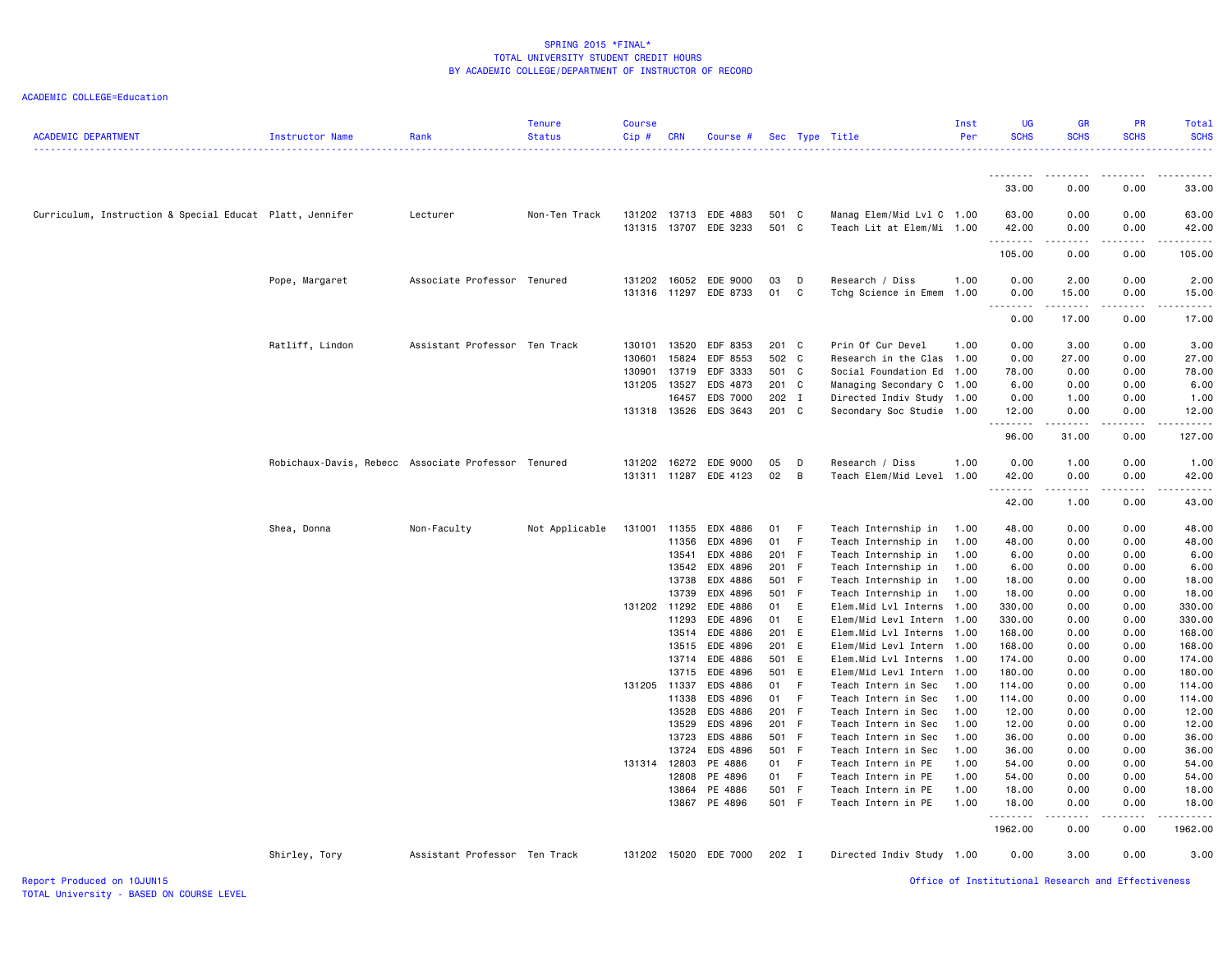| <b>ACADEMIC DEPARTMENT</b>                               | Instructor Name                                     | Rank                          | <b>Tenure</b><br><b>Status</b> | <b>Course</b><br>Cip#      | <b>CRN</b>              | Course #                          |                         |          | Sec Type Title                                                         | Inst<br>Per  | <b>UG</b><br><b>SCHS</b> | <b>GR</b><br><b>SCHS</b> | PR<br><b>SCHS</b>                   | Total<br><b>SCHS</b>   |
|----------------------------------------------------------|-----------------------------------------------------|-------------------------------|--------------------------------|----------------------------|-------------------------|-----------------------------------|-------------------------|----------|------------------------------------------------------------------------|--------------|--------------------------|--------------------------|-------------------------------------|------------------------|
|                                                          |                                                     |                               |                                |                            |                         |                                   |                         |          |                                                                        |              | --------                 | .                        | $\cdots$                            |                        |
|                                                          |                                                     |                               |                                |                            |                         |                                   |                         |          |                                                                        |              | 33.00                    | 0.00                     | 0.00                                | 33.00                  |
| Curriculum, Instruction & Special Educat Platt, Jennifer |                                                     | Lecturer                      | Non-Ten Track                  | 131202                     | 13713                   | EDE 4883<br>131315 13707 EDE 3233 | 501 C<br>501 C          |          | Manag Elem/Mid Lvl C 1.00<br>Teach Lit at Elem/Mi 1.00                 |              | 63.00<br>42.00<br>.      | 0.00<br>0.00             | 0.00<br>0.00                        | 63.00<br>42.00         |
|                                                          |                                                     |                               |                                |                            |                         |                                   |                         |          |                                                                        |              | 105.00                   | 0.00                     | 0.00                                | 105.00                 |
|                                                          | Pope, Margaret                                      | Associate Professor Tenured   |                                | 131202<br>131316 11297     | 16052                   | EDE 9000<br>EDE 8733              | 03<br>01                | D<br>C   | Research / Diss<br>Tchg Science in Emem                                | 1.00<br>1.00 | 0.00<br>0.00             | 2.00<br>15.00            | 0.00<br>0.00                        | 2.00<br>15.00          |
|                                                          |                                                     |                               |                                |                            |                         |                                   |                         |          |                                                                        |              | -----<br>0.00            | .<br>17.00               | .<br>0.00                           | والمناصبات<br>17.00    |
|                                                          | Ratliff, Lindon                                     | Assistant Professor Ten Track |                                | 130101<br>130601<br>130901 | 13520<br>15824<br>13719 | EDF 8353<br>EDF 8553<br>EDF 3333  | 201 C<br>502 C<br>501 C |          | Prin Of Cur Devel<br>Research in the Clas 1.00<br>Social Foundation Ed | 1.00<br>1.00 | 0.00<br>0.00<br>78.00    | 3.00<br>27.00<br>0.00    | 0.00<br>0.00<br>0.00                | 3.00<br>27.00<br>78.00 |
|                                                          |                                                     |                               |                                | 131205                     | 13527<br>16457          | EDS 4873<br>EDS 7000              | 201 C<br>202 I          |          | Managing Secondary C<br>Directed Indiv Study 1.00                      | 1.00         | 6.00<br>0.00             | 0.00<br>1.00             | 0.00<br>0.00                        | 6.00<br>1.00           |
|                                                          |                                                     |                               |                                | 131318 13526               |                         | EDS 3643                          | 201 C                   |          | Secondary Soc Studie 1.00                                              |              | 12.00<br>.               | 0.00                     | 0.00<br>$\sim$ $\sim$ $\sim$ $\sim$ | 12.00                  |
|                                                          |                                                     |                               |                                |                            |                         |                                   |                         |          |                                                                        |              | 96.00                    | 31.00                    | 0.00                                | 127.00                 |
|                                                          | Robichaux-Davis, Rebecc Associate Professor Tenured |                               |                                | 131202<br>131311 11287     | 16272                   | EDE 9000<br>EDE 4123              | 05<br>02                | D<br>B   | Research / Diss<br>Teach Elem/Mid Level                                | 1.00<br>1.00 | 0.00<br>42.00            | 1.00<br>0.00             | 0.00<br>0.00                        | 1.00<br>42.00          |
|                                                          |                                                     |                               |                                |                            |                         |                                   |                         |          |                                                                        |              | 42.00                    | .<br>1.00                | .<br>0.00                           | $    -$<br>43.00       |
|                                                          | Shea, Donna                                         | Non-Faculty                   | Not Applicable                 | 131001                     | 11355<br>11356          | EDX 4886<br>EDX 4896              | 01<br>01                | - F<br>F | Teach Internship in<br>Teach Internship in                             | 1.00<br>1.00 | 48.00<br>48.00           | 0.00<br>0.00             | 0.00<br>0.00                        | 48.00<br>48.00         |
|                                                          |                                                     |                               |                                |                            | 13541<br>13542          | EDX 4886<br>EDX 4896              | 201 F<br>201 F          |          | Teach Internship in<br>Teach Internship in                             | 1.00<br>1.00 | 6.00<br>6.00             | 0.00<br>0.00             | 0.00<br>0.00                        | 6.00<br>6.00           |
|                                                          |                                                     |                               |                                |                            | 13738<br>13739          | EDX 4886<br>EDX 4896              | 501 F<br>501 F          |          | Teach Internship in<br>Teach Internship in                             | 1.00<br>1.00 | 18.00<br>18.00           | 0.00<br>0.00             | 0.00<br>0.00                        | 18.00<br>18.00         |
|                                                          |                                                     |                               |                                | 131202 11292               | 11293                   | EDE 4886<br>EDE 4896              | 01<br>01                | E<br>E   | Elem.Mid Lvl Interns<br>Elem/Mid Levl Intern                           | 1.00<br>1.00 | 330.00<br>330.00         | 0.00<br>0.00             | 0.00<br>0.00                        | 330.00<br>330.00       |
|                                                          |                                                     |                               |                                |                            | 13514                   | EDE 4886                          | 201 E                   |          | Elem.Mid Lvl Interns 1.00                                              |              | 168.00                   | 0.00                     | 0.00                                | 168.00                 |
|                                                          |                                                     |                               |                                |                            | 13515<br>13714          | EDE 4896<br>EDE 4886              | 201 E<br>501 E          |          | Elem/Mid Levl Intern 1.00                                              |              | 168.00<br>174.00         | 0.00<br>0.00             | 0.00<br>0.00                        | 168.00<br>174.00       |
|                                                          |                                                     |                               |                                |                            | 13715                   | EDE 4896                          | 501 E                   |          | Elem.Mid Lvl Interns<br>Elem/Mid Levl Intern                           | 1.00<br>1.00 | 180.00                   | 0.00                     | 0.00                                | 180.00                 |
|                                                          |                                                     |                               |                                | 131205 11337               |                         | EDS 4886                          | 01                      | -F       | Teach Intern in Sec                                                    | 1.00         | 114.00                   | 0.00                     | 0.00                                | 114.00                 |
|                                                          |                                                     |                               |                                |                            | 11338                   | EDS 4896                          | 01                      | $-F$     | Teach Intern in Sec                                                    | 1.00         | 114.00                   | 0.00                     | 0.00                                | 114.00                 |
|                                                          |                                                     |                               |                                |                            | 13528                   | EDS 4886                          | 201 F                   |          | Teach Intern in Sec                                                    | 1.00         | 12.00                    | 0.00                     | 0.00                                | 12.00                  |
|                                                          |                                                     |                               |                                |                            | 13529                   | EDS 4896                          | 201 F                   |          | Teach Intern in Sec                                                    | 1.00         | 12.00                    | 0.00                     | 0.00                                | 12.00                  |
|                                                          |                                                     |                               |                                |                            | 13723                   | EDS 4886                          | 501 F                   |          | Teach Intern in Sec                                                    | 1.00         | 36.00                    | 0.00                     | 0.00                                | 36.00                  |
|                                                          |                                                     |                               |                                | 131314                     | 13724<br>12803          | EDS 4896<br>PE 4886               | 501 F<br>01             | -F       | Teach Intern in Sec<br>Teach Intern in PE                              | 1.00<br>1.00 | 36.00<br>54.00           | 0.00<br>0.00             | 0.00<br>0.00                        | 36.00<br>54.00         |
|                                                          |                                                     |                               |                                |                            | 12808                   | PE 4896                           | 01                      | -F       | Teach Intern in PE                                                     | 1.00         | 54.00                    | 0.00                     | 0.00                                | 54.00                  |
|                                                          |                                                     |                               |                                |                            | 13864                   | PE 4886                           | 501 F                   |          | Teach Intern in PE                                                     | 1.00         | 18.00                    | 0.00                     | 0.00                                | 18,00                  |
|                                                          |                                                     |                               |                                |                            | 13867                   | PE 4896                           | 501 F                   |          | Teach Intern in PE                                                     | 1.00         | 18.00<br>.               | 0.00                     | 0.00                                | 18.00                  |
|                                                          |                                                     |                               |                                |                            |                         |                                   |                         |          |                                                                        |              | 1962.00                  | 0.00                     | 0.00                                | 1962.00                |
|                                                          | Shirley, Tory                                       | Assistant Professor Ten Track |                                | 131202                     |                         | 15020 EDE 7000                    | $202$ I                 |          | Directed Indiv Study 1.00                                              |              | 0.00                     | 3.00                     | 0.00                                | 3.00                   |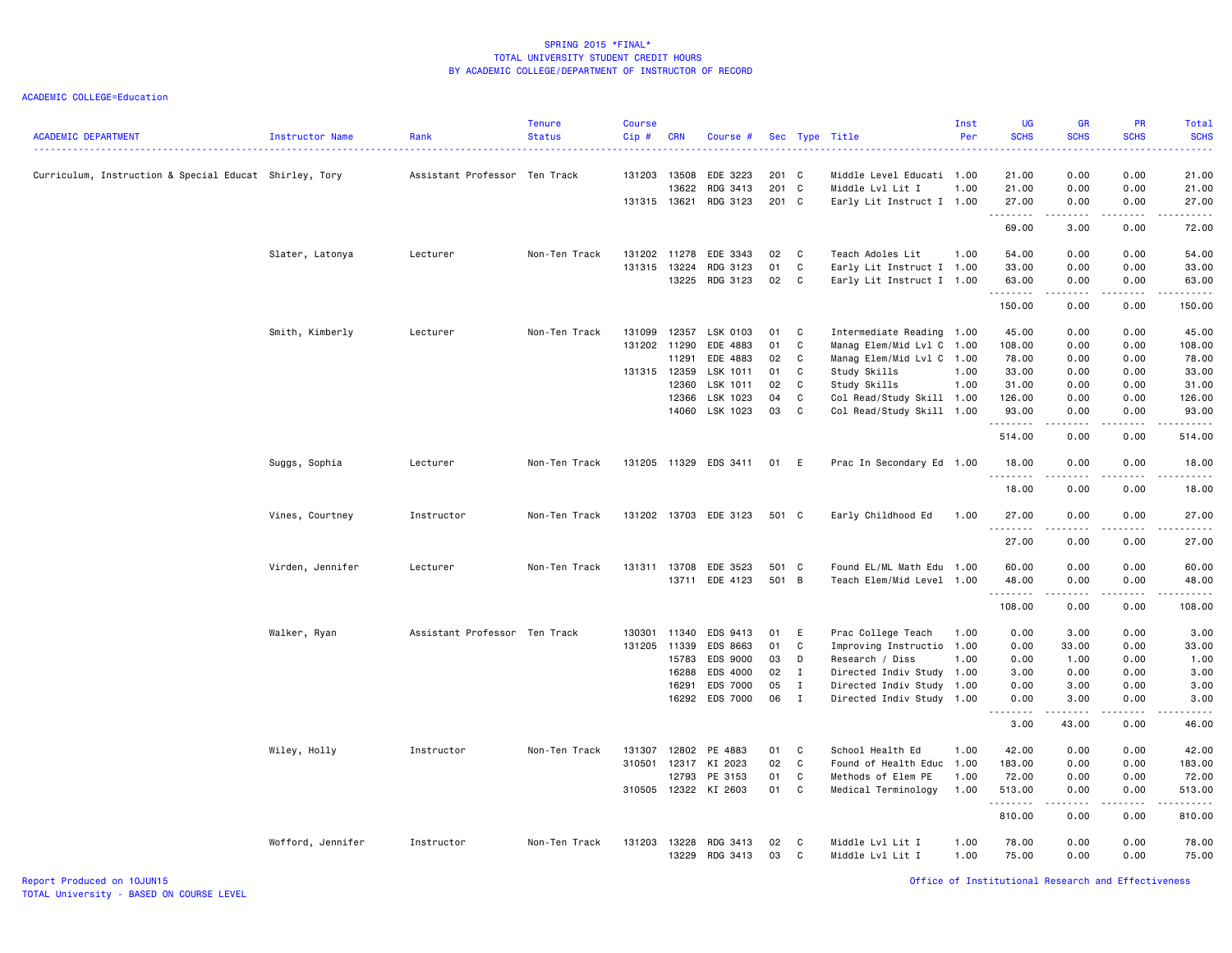ACADEMIC COLLEGE=Education

| <b>ACADEMIC DEPARTMENT</b>                             | Instructor Name   | Rank                          | <b>Tenure</b><br><b>Status</b> | <b>Course</b><br>Cip# | <b>CRN</b> | Course #              |       |              | Sec Type Title            | Inst<br>Per | <b>UG</b><br><b>SCHS</b> | <b>GR</b><br><b>SCHS</b>                                                                                                                                     | <b>PR</b><br><b>SCHS</b> | Total<br><b>SCHS</b><br>. |
|--------------------------------------------------------|-------------------|-------------------------------|--------------------------------|-----------------------|------------|-----------------------|-------|--------------|---------------------------|-------------|--------------------------|--------------------------------------------------------------------------------------------------------------------------------------------------------------|--------------------------|---------------------------|
| Curriculum, Instruction & Special Educat Shirley, Tory |                   | Assistant Professor Ten Track |                                | 131203 13508          |            | EDE 3223              | 201 C |              | Middle Level Educati 1.00 |             | 21.00                    | 0.00                                                                                                                                                         | 0.00                     | 21.00                     |
|                                                        |                   |                               |                                |                       | 13622      | RDG 3413              | 201 C |              | Middle Lvl Lit I          | 1.00        | 21.00                    | 0.00                                                                                                                                                         | 0.00                     | 21.00                     |
|                                                        |                   |                               |                                | 131315 13621          |            | RDG 3123              | 201 C |              | Early Lit Instruct I 1.00 |             | 27.00<br>.               | 0.00<br>$\frac{1}{2} \left( \frac{1}{2} \right) \left( \frac{1}{2} \right) \left( \frac{1}{2} \right) \left( \frac{1}{2} \right) \left( \frac{1}{2} \right)$ | 0.00<br>.                | 27.00<br>.                |
|                                                        |                   |                               |                                |                       |            |                       |       |              |                           |             | 69.00                    | 3.00                                                                                                                                                         | 0.00                     | 72.00                     |
|                                                        | Slater, Latonya   | Lecturer                      | Non-Ten Track                  | 131202                | 11278      | EDE 3343              | 02    | C            | Teach Adoles Lit          | 1.00        | 54.00                    | 0.00                                                                                                                                                         | 0.00                     | 54.00                     |
|                                                        |                   |                               |                                | 131315                | 13224      | RDG 3123              | 01    | C            | Early Lit Instruct I 1.00 |             | 33.00                    | 0.00                                                                                                                                                         | 0.00                     | 33.00                     |
|                                                        |                   |                               |                                |                       | 13225      | RDG 3123              | 02    | C            | Early Lit Instruct I 1.00 |             | 63.00<br>.               | 0.00                                                                                                                                                         | 0.00<br>.                | 63.00<br>.                |
|                                                        |                   |                               |                                |                       |            |                       |       |              |                           |             | 150.00                   | .<br>0.00                                                                                                                                                    | 0.00                     | 150.00                    |
|                                                        | Smith, Kimberly   | Lecturer                      | Non-Ten Track                  | 131099                | 12357      | LSK 0103              | 01    | C            | Intermediate Reading 1.00 |             | 45.00                    | 0.00                                                                                                                                                         | 0.00                     | 45.00                     |
|                                                        |                   |                               |                                | 131202 11290          |            | EDE 4883              | 01    | C            | Manag Elem/Mid Lvl C      | 1.00        | 108.00                   | 0.00                                                                                                                                                         | 0.00                     | 108.00                    |
|                                                        |                   |                               |                                |                       | 11291      | EDE 4883              | 02    | $\mathbb C$  | Manag Elem/Mid Lvl C 1.00 |             | 78.00                    | 0.00                                                                                                                                                         | 0.00                     | 78.00                     |
|                                                        |                   |                               |                                | 131315 12359          |            | LSK 1011              | 01    | C            | Study Skills              | 1.00        | 33.00                    | 0.00                                                                                                                                                         | 0.00                     | 33.00                     |
|                                                        |                   |                               |                                |                       | 12360      | LSK 1011              | 02    | C            | Study Skills              | 1.00        | 31.00                    | 0.00                                                                                                                                                         | 0.00                     | 31.00                     |
|                                                        |                   |                               |                                |                       | 12366      | LSK 1023              | 04    | C            | Col Read/Study Skill 1.00 |             | 126.00                   | 0.00                                                                                                                                                         | 0.00                     | 126.00                    |
|                                                        |                   |                               |                                |                       |            | 14060 LSK 1023        | 03    | C            | Col Read/Study Skill 1.00 |             | 93.00                    | 0.00                                                                                                                                                         | 0.00                     | 93.00                     |
|                                                        |                   |                               |                                |                       |            |                       |       |              |                           |             | .<br>514.00              | .<br>0.00                                                                                                                                                    | .<br>0.00                | .<br>514.00               |
|                                                        | Suggs, Sophia     | Lecturer                      | Non-Ten Track                  |                       |            | 131205 11329 EDS 3411 | 01 E  |              | Prac In Secondary Ed 1.00 |             | 18.00                    | 0.00                                                                                                                                                         | 0.00                     | 18.00                     |
|                                                        |                   |                               |                                |                       |            |                       |       |              |                           |             | .<br>18.00               | .<br>0.00                                                                                                                                                    | .<br>0.00                | .<br>18.00                |
|                                                        | Vines, Courtney   | Instructor                    | Non-Ten Track                  |                       |            | 131202 13703 EDE 3123 | 501 C |              | Early Childhood Ed        | 1.00        | 27.00                    | 0.00                                                                                                                                                         | 0.00                     | 27.00                     |
|                                                        |                   |                               |                                |                       |            |                       |       |              |                           |             | 27.00                    | 0.00                                                                                                                                                         | 0.00                     | 27.00                     |
|                                                        |                   | Lecturer                      | Non-Ten Track                  | 131311                | 13708      | EDE 3523              | 501 C |              | Found EL/ML Math Edu 1.00 |             | 60.00                    | 0.00                                                                                                                                                         | 0.00                     | 60.00                     |
|                                                        | Virden, Jennifer  |                               |                                |                       |            | 13711 EDE 4123        | 501 B |              | Teach Elem/Mid Level 1.00 |             | 48.00                    | 0.00                                                                                                                                                         | 0.00                     | 48.00                     |
|                                                        |                   |                               |                                |                       |            |                       |       |              |                           |             | .                        | .                                                                                                                                                            | .                        | .                         |
|                                                        |                   |                               |                                |                       |            |                       |       |              |                           |             | 108.00                   | 0.00                                                                                                                                                         | 0.00                     | 108.00                    |
|                                                        | Walker, Ryan      | Assistant Professor Ten Track |                                | 130301                | 11340      | EDS 9413              | 01    | E            | Prac College Teach        | 1.00        | 0.00                     | 3.00                                                                                                                                                         | 0.00                     | 3.00                      |
|                                                        |                   |                               |                                | 131205                | 11339      | EDS 8663              | 01    | C            | Improving Instructio      | 1.00        | 0.00                     | 33.00                                                                                                                                                        | 0.00                     | 33.00                     |
|                                                        |                   |                               |                                |                       | 15783      | EDS 9000              | 03    | D            | Research / Diss           | 1.00        | 0.00                     | 1.00                                                                                                                                                         | 0.00                     | 1.00                      |
|                                                        |                   |                               |                                |                       | 16288      | EDS 4000              | 02    | $\mathbf{I}$ | Directed Indiv Study 1.00 |             | 3.00                     | 0.00                                                                                                                                                         | 0.00                     | 3.00                      |
|                                                        |                   |                               |                                |                       | 16291      | EDS 7000              | 05    | $\mathbf{I}$ | Directed Indiv Study 1.00 |             | 0.00                     | 3.00                                                                                                                                                         | 0.00                     | 3.00                      |
|                                                        |                   |                               |                                |                       | 16292      | EDS 7000              | 06    | $\mathbf{I}$ | Directed Indiv Study 1.00 |             | 0.00                     | 3.00                                                                                                                                                         | 0.00                     | 3.00                      |
|                                                        |                   |                               |                                |                       |            |                       |       |              |                           |             | $\sim$ $\sim$<br>3.00    | -----<br>43.00                                                                                                                                               | 0.00                     | وبالمسامين<br>46.00       |
|                                                        |                   |                               |                                |                       |            |                       |       |              |                           |             |                          |                                                                                                                                                              |                          |                           |
|                                                        | Wiley, Holly      | Instructor                    | Non-Ten Track                  | 131307                | 12802      | PE 4883               | 01    | C            | School Health Ed          | 1.00        | 42.00                    | 0.00                                                                                                                                                         | 0.00                     | 42.00                     |
|                                                        |                   |                               |                                | 310501                | 12317      | KI 2023               | 02    | $\mathbf c$  | Found of Health Educ 1.00 |             | 183.00                   | 0.00                                                                                                                                                         | 0.00                     | 183.00                    |
|                                                        |                   |                               |                                |                       | 12793      | PE 3153               | 01    | C            | Methods of Elem PE        | 1.00        | 72.00                    | 0.00                                                                                                                                                         | 0.00                     | 72.00                     |
|                                                        |                   |                               |                                |                       |            | 310505 12322 KI 2603  | 01    | $\mathbf c$  | Medical Terminology       | 1.00        | 513.00<br>.              | 0.00<br>.                                                                                                                                                    | 0.00<br>.                | 513.00<br>.               |
|                                                        |                   |                               |                                |                       |            |                       |       |              |                           |             | 810.00                   | 0.00                                                                                                                                                         | 0.00                     | 810.00                    |
|                                                        | Wofford, Jennifer | Instructor                    | Non-Ten Track                  | 131203                | 13228      | RDG 3413              | 02    | C            | Middle Lvl Lit I          | 1.00        | 78.00                    | 0.00                                                                                                                                                         | 0.00                     | 78.00                     |
|                                                        |                   |                               |                                |                       | 13229      | RDG 3413              | 03    | C            | Middle Lvl Lit I          | 1.00        | 75.00                    | 0.00                                                                                                                                                         | 0.00                     | 75.00                     |

Report Produced on 10JUN15 Office of Institutional Research and Effectiveness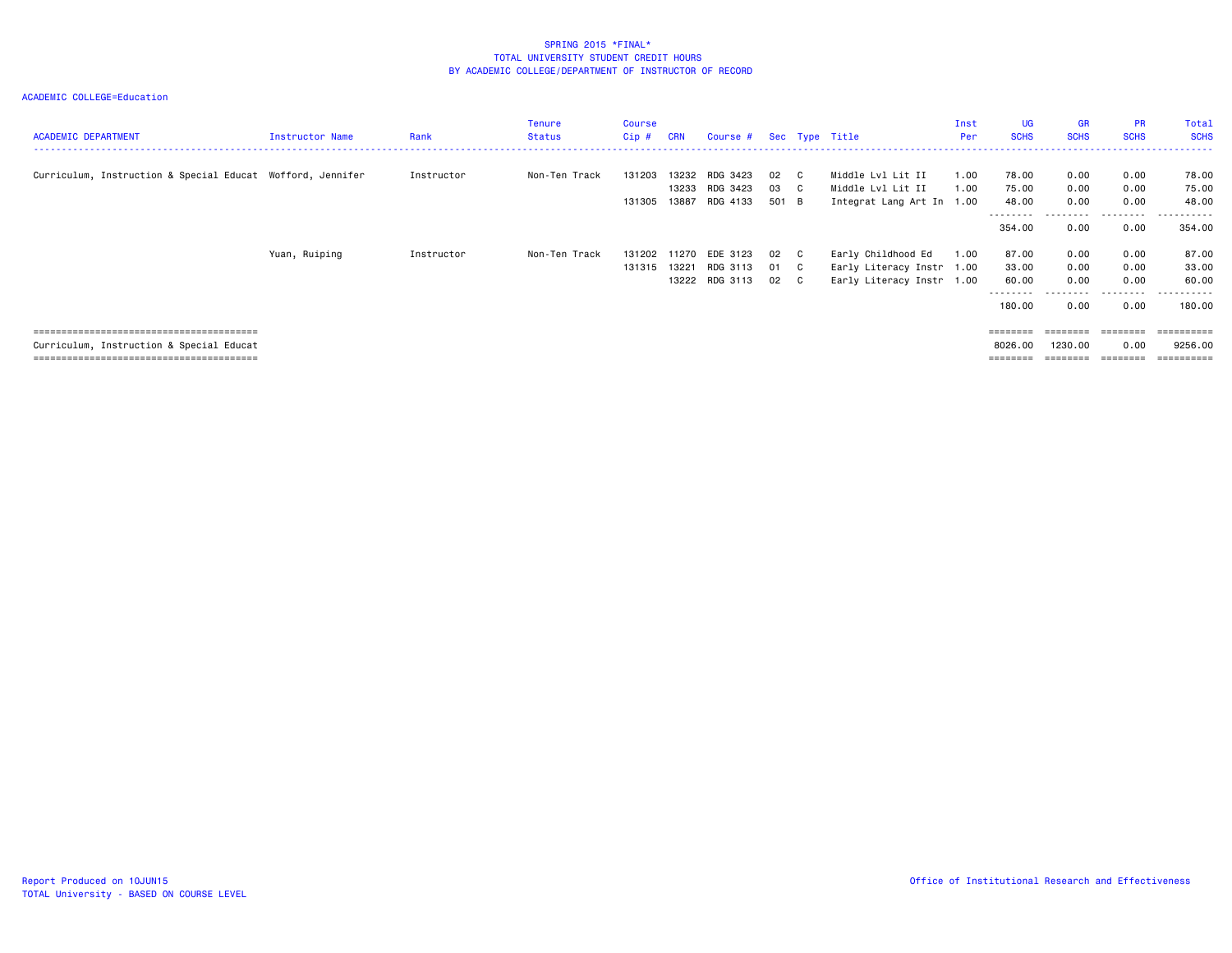| <b>ACADEMIC DEPARTMENT</b>                                 | Instructor Name | Rank       | Tenure<br><b>Status</b> | <b>Course</b><br>Cip# | <b>CRN</b>              | Course # Sec Type Title                |                       |                                                                              | Inst<br>Per  | <b>UG</b><br><b>SCHS</b>                      | <b>GR</b><br><b>SCHS</b>     | <b>PR</b><br><b>SCHS</b>                  | Total<br><b>SCHS</b>                   |
|------------------------------------------------------------|-----------------|------------|-------------------------|-----------------------|-------------------------|----------------------------------------|-----------------------|------------------------------------------------------------------------------|--------------|-----------------------------------------------|------------------------------|-------------------------------------------|----------------------------------------|
| Curriculum, Instruction & Special Educat Wofford, Jennifer |                 | Instructor | Non-Ten Track           | 131203<br>131305      | 13232<br>13233<br>13887 | RDG 3423<br>RDG 3423<br>RDG 4133       | 02 C<br>03 C<br>501 B | Middle Lvl Lit II<br>Middle Lvl Lit II<br>Integrat Lang Art In 1.00          | 1.00<br>1.00 | 78.00<br>75.00<br>48.00                       | 0.00<br>0.00<br>0.00         | 0.00<br>0.00<br>0.00                      | 78.00<br>75.00<br>48.00                |
|                                                            |                 |            |                         |                       |                         |                                        |                       |                                                                              |              | - - - - - - - -<br>354.00                     | 0.00                         | 0.00                                      | 354.00                                 |
|                                                            | Yuan, Ruiping   | Instructor | Non-Ten Track           | 131202<br>131315      | 11270<br>13221          | EDE 3123<br>RDG 3113<br>13222 RDG 3113 | 02 C<br>01 C<br>02 C  | Early Childhood Ed<br>Early Literacy Instr 1.00<br>Early Literacy Instr 1.00 | 1.00         | 87.00<br>33.00<br>60.00<br>--------<br>180.00 | 0.00<br>0.00<br>0.00<br>0.00 | 0.00<br>0.00<br>0.00<br>---------<br>0.00 | 87.00<br>33.00<br>60.00<br>.<br>180.00 |
| Curriculum, Instruction & Special Educat                   |                 |            |                         |                       |                         |                                        |                       |                                                                              |              | ========<br>8026.00                           | ========<br>1230.00          | ========<br>0.00<br>========              | 9256.00                                |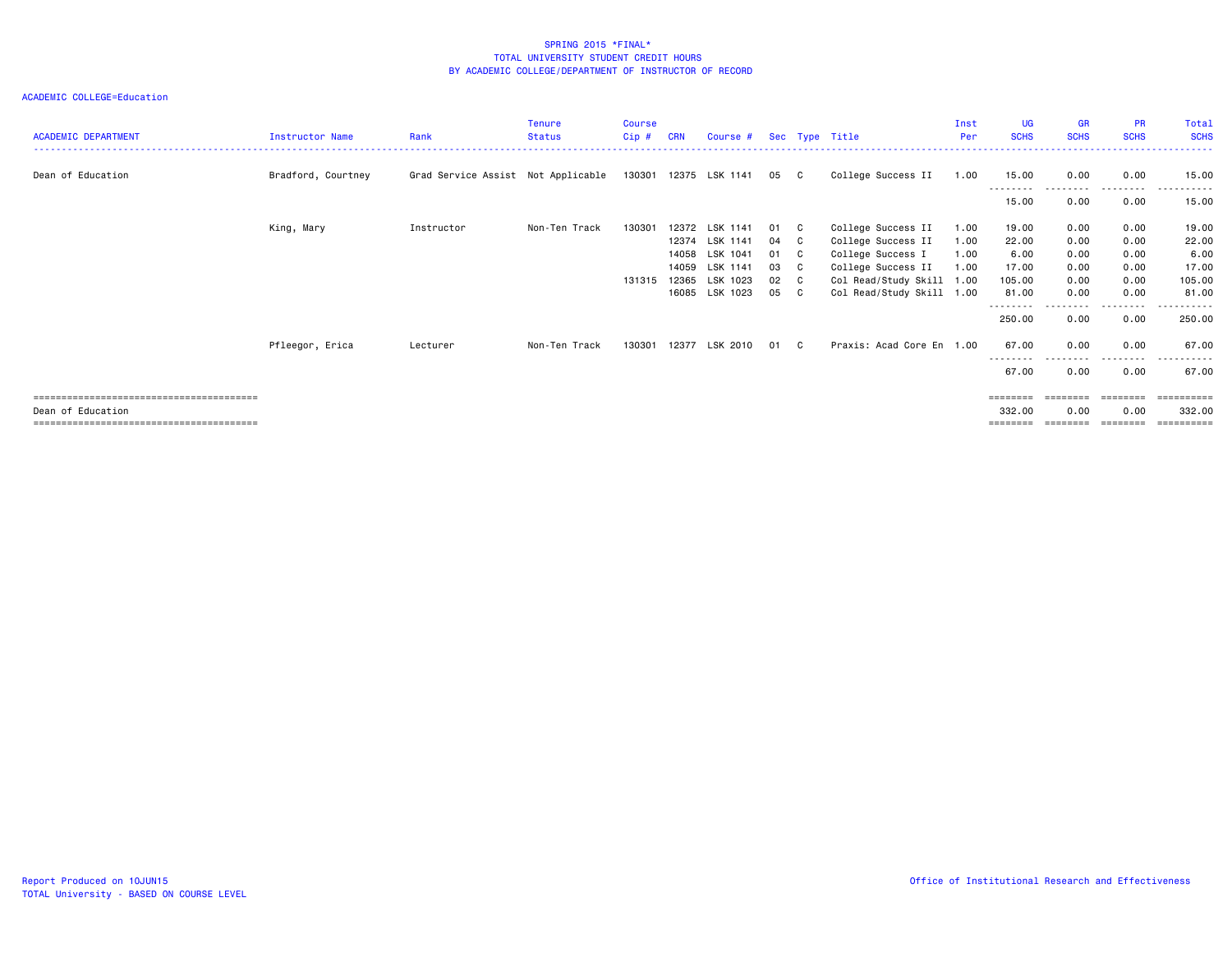| <b>ACADEMIC DEPARTMENT</b> | <b>Instructor Name</b> | Rank                               | <b>Tenure</b><br><b>Status</b> | <b>Course</b><br>Cip# | <b>CRN</b> | Course #              |      |              | Sec Type Title            | Inst<br>Per | <b>UG</b><br><b>SCHS</b> | <b>GR</b><br><b>SCHS</b> | <b>PR</b><br><b>SCHS</b> | Total<br><b>SCHS</b>                                                                                                                                                                                                                                                                                                                                                                                                                                                                   |
|----------------------------|------------------------|------------------------------------|--------------------------------|-----------------------|------------|-----------------------|------|--------------|---------------------------|-------------|--------------------------|--------------------------|--------------------------|----------------------------------------------------------------------------------------------------------------------------------------------------------------------------------------------------------------------------------------------------------------------------------------------------------------------------------------------------------------------------------------------------------------------------------------------------------------------------------------|
| Dean of Education          | Bradford, Courtney     | Grad Service Assist Not Applicable |                                |                       |            | 130301 12375 LSK 1141 | 05   | $\mathbf{C}$ | College Success II        | 1.00        | 15.00                    | 0.00                     | 0.00                     | 15.00                                                                                                                                                                                                                                                                                                                                                                                                                                                                                  |
|                            |                        |                                    |                                |                       |            |                       |      |              |                           |             | --------<br>15.00        | 0.00                     | - - - - -<br>0.00        | 15.00                                                                                                                                                                                                                                                                                                                                                                                                                                                                                  |
|                            | King, Mary             | Instructor                         | Non-Ten Track                  | 130301                | 12372      | LSK 1141              | 01   | <b>C</b>     | College Success II        | 1.00        | 19.00                    | 0.00                     | 0.00                     | 19.00                                                                                                                                                                                                                                                                                                                                                                                                                                                                                  |
|                            |                        |                                    |                                |                       | 12374      | LSK 1141              | 04   | C.           | College Success II        | 1.00        | 22.00                    | 0.00                     | 0.00                     | 22.00                                                                                                                                                                                                                                                                                                                                                                                                                                                                                  |
|                            |                        |                                    |                                |                       | 14058      | LSK 1041              | 01 C |              | College Success I         | 1.00        | 6.00                     | 0.00                     | 0.00                     | 6.00                                                                                                                                                                                                                                                                                                                                                                                                                                                                                   |
|                            |                        |                                    |                                |                       | 14059      | LSK 1141              | 03   | $\mathbf{C}$ | College Success II        | 1.00        | 17.00                    | 0.00                     | 0.00                     | 17.00                                                                                                                                                                                                                                                                                                                                                                                                                                                                                  |
|                            |                        |                                    |                                | 131315                | 12365      | LSK 1023              | 02 C |              | Col Read/Study Skill 1.00 |             | 105.00                   | 0.00                     | 0.00                     | 105.00                                                                                                                                                                                                                                                                                                                                                                                                                                                                                 |
|                            |                        |                                    |                                |                       |            | 16085 LSK 1023        | 05   | $\mathbf{C}$ | Col Read/Study Skill 1.00 |             | 81.00                    | 0.00                     | 0.00                     | 81.00                                                                                                                                                                                                                                                                                                                                                                                                                                                                                  |
|                            |                        |                                    |                                |                       |            |                       |      |              |                           |             | --------<br>250.00       | 0.00                     | 0.00                     | 250.00                                                                                                                                                                                                                                                                                                                                                                                                                                                                                 |
|                            | Pfleegor, Erica        | Lecturer                           | Non-Ten Track                  | 130301                |            | 12377 LSK 2010        | 01   | $\mathbf{C}$ | Praxis: Acad Core En 1.00 |             | 67.00                    | 0.00                     | 0.00                     | 67.00                                                                                                                                                                                                                                                                                                                                                                                                                                                                                  |
|                            |                        |                                    |                                |                       |            |                       |      |              |                           |             | --------<br>67.00        | 0.00                     | .<br>0.00                | 67.00                                                                                                                                                                                                                                                                                                                                                                                                                                                                                  |
|                            |                        |                                    |                                |                       |            |                       |      |              |                           |             | ========                 | ========                 | ========                 | ==========                                                                                                                                                                                                                                                                                                                                                                                                                                                                             |
| Dean of Education          |                        |                                    |                                |                       |            |                       |      |              |                           |             | 332.00                   | 0.00                     | 0.00                     | 332.00                                                                                                                                                                                                                                                                                                                                                                                                                                                                                 |
|                            |                        |                                    |                                |                       |            |                       |      |              |                           |             | ========                 | ========                 | ========                 | $\begin{array}{cccccccccc} \multicolumn{2}{c}{} & \multicolumn{2}{c}{} & \multicolumn{2}{c}{} & \multicolumn{2}{c}{} & \multicolumn{2}{c}{} & \multicolumn{2}{c}{} & \multicolumn{2}{c}{} & \multicolumn{2}{c}{} & \multicolumn{2}{c}{} & \multicolumn{2}{c}{} & \multicolumn{2}{c}{} & \multicolumn{2}{c}{} & \multicolumn{2}{c}{} & \multicolumn{2}{c}{} & \multicolumn{2}{c}{} & \multicolumn{2}{c}{} & \multicolumn{2}{c}{} & \multicolumn{2}{c}{} & \multicolumn{2}{c}{} & \mult$ |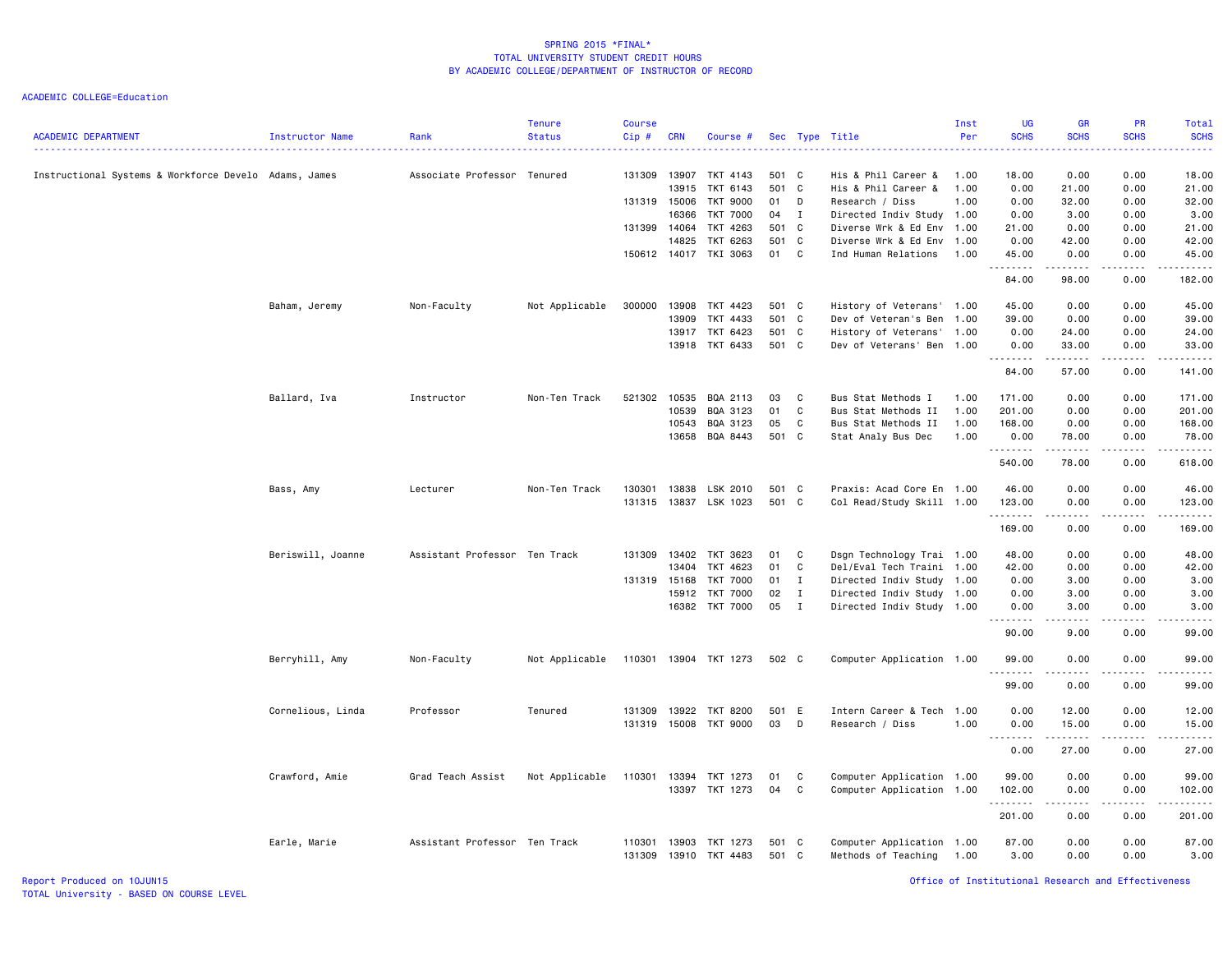| <b>ACADEMIC DEPARTMENT</b>                            | Instructor Name   | Rank                          | <b>Tenure</b><br><b>Status</b> | <b>Course</b><br>Cip# | <b>CRN</b>   | Course #              |       |              | Sec Type Title            | Inst<br>Per | <b>UG</b><br><b>SCHS</b> | <b>GR</b><br><b>SCHS</b>                                                                                                                                     | PR<br><b>SCHS</b>           | Total<br><b>SCHS</b>                                                                                                                                          |
|-------------------------------------------------------|-------------------|-------------------------------|--------------------------------|-----------------------|--------------|-----------------------|-------|--------------|---------------------------|-------------|--------------------------|--------------------------------------------------------------------------------------------------------------------------------------------------------------|-----------------------------|---------------------------------------------------------------------------------------------------------------------------------------------------------------|
| Instructional Systems & Workforce Develo Adams, James |                   | Associate Professor Tenured   |                                | 131309                | 13907        | TKT 4143              | 501 C |              | His & Phil Career &       | 1.00        | 18.00                    | 0.00                                                                                                                                                         | 0.00                        | 18.00                                                                                                                                                         |
|                                                       |                   |                               |                                |                       | 13915        | TKT 6143              | 501 C |              | His & Phil Career &       | 1.00        | 0.00                     | 21.00                                                                                                                                                        | 0.00                        | 21.00                                                                                                                                                         |
|                                                       |                   |                               |                                | 131319 15006          |              | <b>TKT 9000</b>       | 01    | D            | Research / Diss           | 1.00        | 0.00                     | 32.00                                                                                                                                                        | 0.00                        | 32.00                                                                                                                                                         |
|                                                       |                   |                               |                                |                       | 16366        | <b>TKT 7000</b>       | 04    | $\mathbf{I}$ | Directed Indiv Study 1.00 |             | 0.00                     | 3.00                                                                                                                                                         | 0.00                        | 3.00                                                                                                                                                          |
|                                                       |                   |                               |                                | 131399 14064          |              | TKT 4263              | 501 C |              | Diverse Wrk & Ed Env      | 1.00        | 21.00                    | 0.00                                                                                                                                                         | 0.00                        | 21.00                                                                                                                                                         |
|                                                       |                   |                               |                                |                       | 14825        | TKT 6263              | 501 C |              | Diverse Wrk & Ed Env 1.00 |             | 0.00                     | 42.00                                                                                                                                                        | 0.00                        | 42.00                                                                                                                                                         |
|                                                       |                   |                               |                                |                       | 150612 14017 | TKI 3063              | 01 C  |              | Ind Human Relations       | 1.00        | 45.00<br>.               | 0.00<br>.                                                                                                                                                    | 0.00<br>.                   | 45.00<br>.                                                                                                                                                    |
|                                                       |                   |                               |                                |                       |              |                       |       |              |                           |             | 84.00                    | 98.00                                                                                                                                                        | 0.00                        | 182.00                                                                                                                                                        |
|                                                       | Baham, Jeremy     | Non-Faculty                   | Not Applicable                 | 300000                | 13908        | TKT 4423              | 501 C |              | History of Veterans' 1.00 |             | 45.00                    | 0.00                                                                                                                                                         | 0.00                        | 45.00                                                                                                                                                         |
|                                                       |                   |                               |                                |                       | 13909        | TKT 4433              | 501 C |              | Dev of Veteran's Ben      | 1.00        | 39.00                    | 0.00                                                                                                                                                         | 0.00                        | 39.00                                                                                                                                                         |
|                                                       |                   |                               |                                |                       | 13917        | TKT 6423              | 501 C |              | History of Veterans'      | 1.00        | 0.00                     | 24.00                                                                                                                                                        | 0.00                        | 24.00                                                                                                                                                         |
|                                                       |                   |                               |                                |                       |              | 13918 TKT 6433        | 501 C |              | Dev of Veterans' Ben      | 1.00        | 0.00<br>.                | 33.00<br>.                                                                                                                                                   | 0.00<br>.                   | 33.00<br>$\frac{1}{2} \left( \frac{1}{2} \right) \left( \frac{1}{2} \right) \left( \frac{1}{2} \right) \left( \frac{1}{2} \right) \left( \frac{1}{2} \right)$ |
|                                                       |                   |                               |                                |                       |              |                       |       |              |                           |             | 84.00                    | 57.00                                                                                                                                                        | 0.00                        | 141.00                                                                                                                                                        |
|                                                       | Ballard, Iva      | Instructor                    | Non-Ten Track                  | 521302                | 10535        | BQA 2113              | 03    | C            | Bus Stat Methods I        | 1.00        | 171.00                   | 0.00                                                                                                                                                         | 0.00                        | 171.00                                                                                                                                                        |
|                                                       |                   |                               |                                |                       | 10539        | BQA 3123              | 01    | $\mathtt{C}$ | Bus Stat Methods II       | 1.00        | 201.00                   | 0.00                                                                                                                                                         | 0.00                        | 201.00                                                                                                                                                        |
|                                                       |                   |                               |                                |                       | 10543        | BQA 3123              | 05    | C            | Bus Stat Methods II       | 1.00        | 168.00                   | 0.00                                                                                                                                                         | 0.00                        | 168.00                                                                                                                                                        |
|                                                       |                   |                               |                                |                       | 13658        | BQA 8443              | 501 C |              | Stat Analy Bus Dec        | 1.00        | 0.00                     | 78.00                                                                                                                                                        | 0.00                        | 78.00                                                                                                                                                         |
|                                                       |                   |                               |                                |                       |              |                       |       |              |                           |             | .<br>540.00              | .<br>78.00                                                                                                                                                   | .<br>0.00                   | .<br>618.00                                                                                                                                                   |
|                                                       | Bass, Amy         | Lecturer                      | Non-Ten Track                  | 130301                | 13838        | LSK 2010              | 501 C |              | Praxis: Acad Core En 1.00 |             | 46.00                    | 0.00                                                                                                                                                         | 0.00                        | 46.00                                                                                                                                                         |
|                                                       |                   |                               |                                |                       |              | 131315 13837 LSK 1023 | 501 C |              | Col Read/Study Skill 1.00 |             | 123.00                   | 0.00                                                                                                                                                         | 0.00                        | 123.00                                                                                                                                                        |
|                                                       |                   |                               |                                |                       |              |                       |       |              |                           |             | .                        | .                                                                                                                                                            | $\sim$ $\sim$ $\sim$ $\sim$ | ------                                                                                                                                                        |
|                                                       |                   |                               |                                |                       |              |                       |       |              |                           |             | 169.00                   | 0.00                                                                                                                                                         | 0.00                        | 169.00                                                                                                                                                        |
|                                                       | Beriswill, Joanne | Assistant Professor Ten Track |                                | 131309                |              | 13402 TKT 3623        | 01    | C            | Dsgn Technology Trai 1.00 |             | 48.00                    | 0.00                                                                                                                                                         | 0.00                        | 48.00                                                                                                                                                         |
|                                                       |                   |                               |                                |                       | 13404        | TKT 4623              | 01    | C            | Del/Eval Tech Traini 1.00 |             | 42.00                    | 0.00                                                                                                                                                         | 0.00                        | 42.00                                                                                                                                                         |
|                                                       |                   |                               |                                | 131319 15168          |              | TKT 7000              | 01    | Ι.           | Directed Indiv Study 1.00 |             | 0.00                     | 3.00                                                                                                                                                         | 0.00                        | 3.00                                                                                                                                                          |
|                                                       |                   |                               |                                |                       | 15912        | <b>TKT 7000</b>       | 02    | I            | Directed Indiv Study 1.00 |             | 0.00                     | 3.00                                                                                                                                                         | 0.00                        | 3.00                                                                                                                                                          |
|                                                       |                   |                               |                                |                       |              | 16382 TKT 7000        | 05    | $\mathbf{I}$ | Directed Indiv Study 1.00 |             | 0.00<br>.                | 3.00<br>.                                                                                                                                                    | 0.00<br>.                   | 3.00<br>.                                                                                                                                                     |
|                                                       |                   |                               |                                |                       |              |                       |       |              |                           |             | 90.00                    | 9.00                                                                                                                                                         | 0.00                        | 99.00                                                                                                                                                         |
|                                                       | Berryhill, Amy    | Non-Faculty                   | Not Applicable                 |                       |              | 110301 13904 TKT 1273 | 502 C |              | Computer Application 1.00 |             | 99.00<br>.               | 0.00                                                                                                                                                         | 0.00                        | 99.00<br>والمناصبات                                                                                                                                           |
|                                                       |                   |                               |                                |                       |              |                       |       |              |                           |             | 99.00                    | .<br>0.00                                                                                                                                                    | 0.00                        | 99.00                                                                                                                                                         |
|                                                       | Cornelious, Linda | Professor                     | Tenured                        | 131309                | 13922        | TKT 8200              | 501 E |              | Intern Career & Tech 1.00 |             | 0.00                     | 12.00                                                                                                                                                        | 0.00                        | 12.00                                                                                                                                                         |
|                                                       |                   |                               |                                | 131319                |              | 15008 TKT 9000        | 03    | D            | Research / Diss           | 1.00        | 0.00                     | 15.00                                                                                                                                                        | 0.00                        | 15.00                                                                                                                                                         |
|                                                       |                   |                               |                                |                       |              |                       |       |              |                           |             | .<br>0.00                | .<br>27.00                                                                                                                                                   | .<br>0.00                   | .<br>27.00                                                                                                                                                    |
|                                                       |                   |                               |                                |                       |              |                       |       |              |                           |             |                          |                                                                                                                                                              |                             |                                                                                                                                                               |
|                                                       | Crawford, Amie    | Grad Teach Assist             | Not Applicable                 | 110301                | 13394        | TKT 1273              | 01    | C            | Computer Application 1.00 |             | 99.00                    | 0.00                                                                                                                                                         | 0.00                        | 99.00                                                                                                                                                         |
|                                                       |                   |                               |                                |                       |              | 13397 TKT 1273        | 04    | C            | Computer Application 1.00 |             | 102.00<br>.              | 0.00<br>$\frac{1}{2} \left( \frac{1}{2} \right) \left( \frac{1}{2} \right) \left( \frac{1}{2} \right) \left( \frac{1}{2} \right) \left( \frac{1}{2} \right)$ | 0.00<br>.                   | 102.00                                                                                                                                                        |
|                                                       |                   |                               |                                |                       |              |                       |       |              |                           |             | 201.00                   | 0.00                                                                                                                                                         | 0.00                        | 201.00                                                                                                                                                        |
|                                                       | Earle, Marie      | Assistant Professor Ten Track |                                | 110301                | 13903        | TKT 1273              | 501 C |              | Computer Application 1.00 |             | 87.00                    | 0.00                                                                                                                                                         | 0.00                        | 87.00                                                                                                                                                         |
|                                                       |                   |                               |                                | 131309                |              | 13910 TKT 4483        | 501 C |              | Methods of Teaching       | 1.00        | 3.00                     | 0.00                                                                                                                                                         | 0.00                        | 3.00                                                                                                                                                          |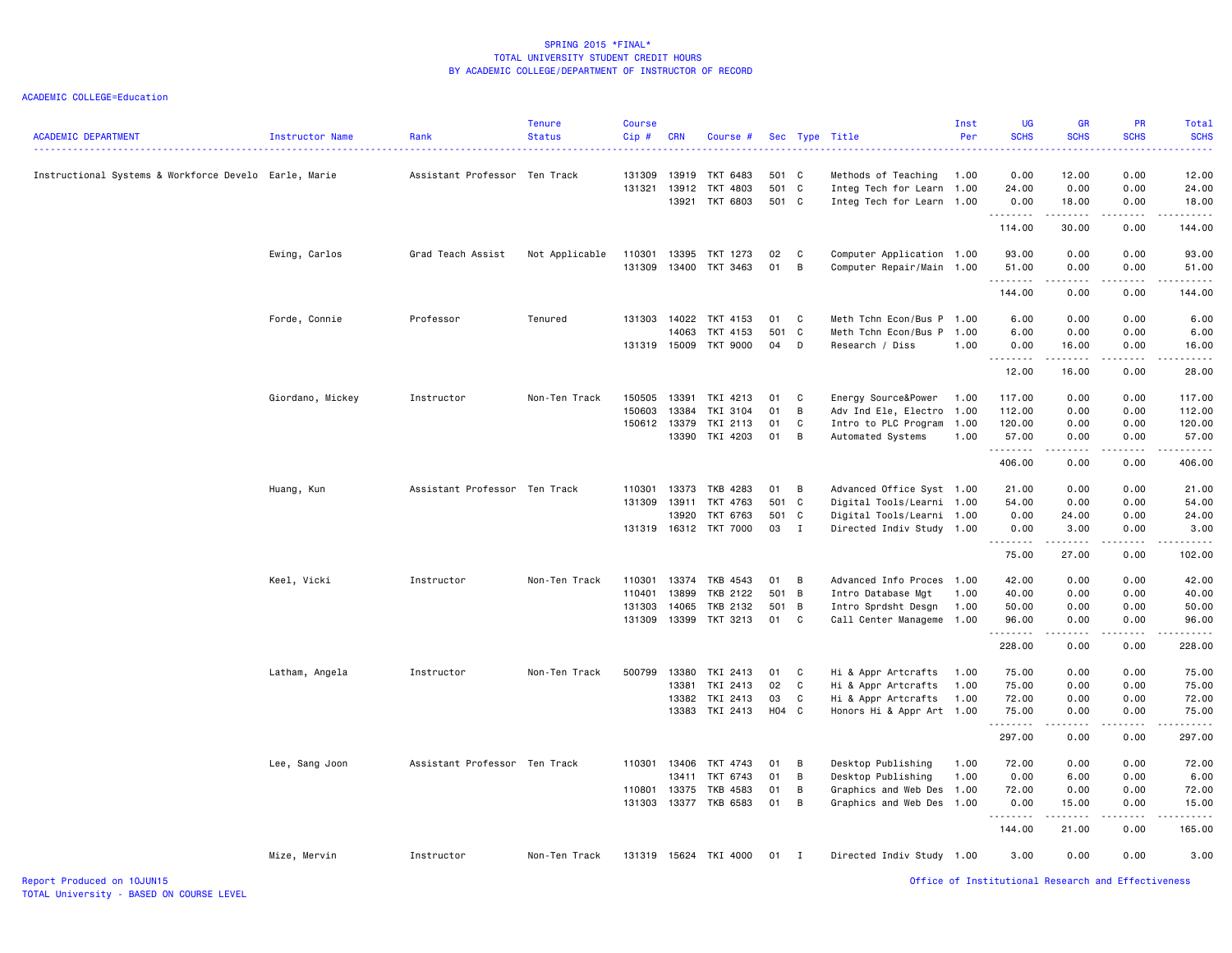| <b>ACADEMIC DEPARTMENT</b>                            | Instructor Name  | Rank                          | <b>Tenure</b><br><b>Status</b> | Course<br>$Cip \#$ | <b>CRN</b>   | Course #              |       |                | Sec Type Title            | Inst<br>Per | <b>UG</b><br><b>SCHS</b><br>. | <b>GR</b><br><b>SCHS</b>         | PR<br><b>SCHS</b>                                                                                                                                            | Total<br><b>SCHS</b><br>.                                                                                                                                                                |
|-------------------------------------------------------|------------------|-------------------------------|--------------------------------|--------------------|--------------|-----------------------|-------|----------------|---------------------------|-------------|-------------------------------|----------------------------------|--------------------------------------------------------------------------------------------------------------------------------------------------------------|------------------------------------------------------------------------------------------------------------------------------------------------------------------------------------------|
| Instructional Systems & Workforce Develo Earle, Marie |                  | Assistant Professor Ten Track |                                | 131309             | 13919        | TKT 6483              | 501 C |                | Methods of Teaching       | 1.00        | 0.00                          | 12.00                            | 0.00                                                                                                                                                         | 12.00                                                                                                                                                                                    |
|                                                       |                  |                               |                                | 131321             | 13912        | TKT 4803              | 501 C |                | Integ Tech for Learn      | 1.00        | 24.00                         | 0.00                             | 0.00                                                                                                                                                         | 24.00                                                                                                                                                                                    |
|                                                       |                  |                               |                                |                    | 13921        | TKT 6803              | 501 C |                | Integ Tech for Learn      | 1.00        | 0.00<br>.                     | 18.00<br>.                       | 0.00<br>.                                                                                                                                                    | 18.00<br>.                                                                                                                                                                               |
|                                                       |                  |                               |                                |                    |              |                       |       |                |                           |             | 114.00                        | 30.00                            | 0.00                                                                                                                                                         | 144.00                                                                                                                                                                                   |
|                                                       | Ewing, Carlos    | Grad Teach Assist             | Not Applicable                 | 110301             | 13395        | TKT 1273              | 02    | $\mathbf{C}$   | Computer Application 1.00 |             | 93.00                         | 0.00                             | 0.00                                                                                                                                                         | 93.00                                                                                                                                                                                    |
|                                                       |                  |                               |                                | 131309             | 13400        | TKT 3463              | 01    | B              | Computer Repair/Main 1.00 |             | 51.00<br>.                    | 0.00<br>$\sim$ $\sim$ $\sim$     | 0.00<br>-----                                                                                                                                                | 51.00                                                                                                                                                                                    |
|                                                       |                  |                               |                                |                    |              |                       |       |                |                           |             | 144.00                        | 0.00                             | 0.00                                                                                                                                                         | 144.00                                                                                                                                                                                   |
|                                                       | Forde, Connie    | Professor                     | Tenured                        | 131303             | 14022        | TKT 4153              | 01    | $\mathbf{C}$   | Meth Tchn Econ/Bus P 1.00 |             | 6.00                          | 0.00                             | 0.00                                                                                                                                                         | 6.00                                                                                                                                                                                     |
|                                                       |                  |                               |                                |                    | 14063        | TKT 4153              | 501 C |                | Meth Tchn Econ/Bus P      | 1.00        | 6.00                          | 0.00                             | 0.00                                                                                                                                                         | 6.00                                                                                                                                                                                     |
|                                                       |                  |                               |                                |                    | 131319 15009 | TKT 9000              | 04    | D              | Research / Diss           | 1.00        | 0.00<br>.                     | 16.00<br>.                       | 0.00<br>$\frac{1}{2} \left( \frac{1}{2} \right) \left( \frac{1}{2} \right) \left( \frac{1}{2} \right) \left( \frac{1}{2} \right) \left( \frac{1}{2} \right)$ | 16.00<br>.                                                                                                                                                                               |
|                                                       |                  |                               |                                |                    |              |                       |       |                |                           |             | 12.00                         | 16.00                            | 0.00                                                                                                                                                         | 28.00                                                                                                                                                                                    |
|                                                       | Giordano, Mickey | Instructor                    | Non-Ten Track                  | 150505             | 13391        | TKI 4213              | 01    | C              | Energy Source&Power       | 1.00        | 117.00                        | 0.00                             | 0.00                                                                                                                                                         | 117.00                                                                                                                                                                                   |
|                                                       |                  |                               |                                | 150603             | 13384        | TKI 3104              | 01    | B              | Adv Ind Ele, Electro 1.00 |             | 112.00                        | 0.00                             | 0.00                                                                                                                                                         | 112.00                                                                                                                                                                                   |
|                                                       |                  |                               |                                |                    | 150612 13379 | TKI 2113              | 01    | C              | Intro to PLC Program      | 1.00        | 120.00                        | 0.00                             | 0.00                                                                                                                                                         | 120.00                                                                                                                                                                                   |
|                                                       |                  |                               |                                |                    | 13390        | TKI 4203              | 01    | B              | Automated Systems         | 1.00        | 57.00<br>.                    | 0.00<br>.                        | 0.00<br>-----                                                                                                                                                | 57.00<br>------                                                                                                                                                                          |
|                                                       |                  |                               |                                |                    |              |                       |       |                |                           |             | 406.00                        | 0.00                             | 0.00                                                                                                                                                         | 406.00                                                                                                                                                                                   |
|                                                       | Huang, Kun       | Assistant Professor Ten Track |                                | 110301             | 13373        | TKB 4283              | 01    | $\overline{B}$ | Advanced Office Syst 1.00 |             | 21.00                         | 0.00                             | 0.00                                                                                                                                                         | 21.00                                                                                                                                                                                    |
|                                                       |                  |                               |                                | 131309             | 13911        | TKT 4763              | 501 C |                | Digital Tools/Learni 1.00 |             | 54.00                         | 0.00                             | 0.00                                                                                                                                                         | 54.00                                                                                                                                                                                    |
|                                                       |                  |                               |                                |                    | 13920        | TKT 6763              | 501 C |                | Digital Tools/Learni 1.00 |             | 0.00                          | 24.00                            | 0.00                                                                                                                                                         | 24.00                                                                                                                                                                                    |
|                                                       |                  |                               |                                |                    |              | 131319 16312 TKT 7000 | 03    | $\mathbf I$    | Directed Indiv Study 1.00 |             | 0.00<br>.                     | 3.00<br>.                        | 0.00<br>$\omega$ is a set of                                                                                                                                 | 3.00<br>.                                                                                                                                                                                |
|                                                       |                  |                               |                                |                    |              |                       |       |                |                           |             | 75.00                         | 27.00                            | 0.00                                                                                                                                                         | 102.00                                                                                                                                                                                   |
|                                                       | Keel, Vicki      | Instructor                    | Non-Ten Track                  | 110301             |              | 13374 TKB 4543        | 01    | $\overline{B}$ | Advanced Info Proces 1.00 |             | 42.00                         | 0.00                             | 0.00                                                                                                                                                         | 42.00                                                                                                                                                                                    |
|                                                       |                  |                               |                                | 110401             | 13899        | TKB 2122              | 501 B |                | Intro Database Mgt        | 1.00        | 40.00                         | 0.00                             | 0.00                                                                                                                                                         | 40.00                                                                                                                                                                                    |
|                                                       |                  |                               |                                | 131303             | 14065        | TKB 2132              | 501 B |                | Intro Sprdsht Desgn       | 1.00        | 50.00                         | 0.00                             | 0.00                                                                                                                                                         | 50.00                                                                                                                                                                                    |
|                                                       |                  |                               |                                | 131309             | 13399        | TKT 3213              | 01 C  |                | Call Center Manageme 1.00 |             | 96.00<br>.                    | 0.00<br>$\omega = \omega/\omega$ | 0.00<br>. <b>.</b>                                                                                                                                           | 96.00<br>.                                                                                                                                                                               |
|                                                       |                  |                               |                                |                    |              |                       |       |                |                           |             | 228.00                        | 0.00                             | 0.00                                                                                                                                                         | 228.00                                                                                                                                                                                   |
|                                                       | Latham, Angela   | Instructor                    | Non-Ten Track                  | 500799             | 13380        | TKI 2413              | 01    | $\mathbf{C}$   | Hi & Appr Artcrafts       | 1.00        | 75.00                         | 0.00                             | 0.00                                                                                                                                                         | 75.00                                                                                                                                                                                    |
|                                                       |                  |                               |                                |                    | 13381        | TKI 2413              | 02    | $\mathbf{C}$   | Hi & Appr Artcrafts       | 1.00        | 75.00                         | 0.00                             | 0.00                                                                                                                                                         | 75.00                                                                                                                                                                                    |
|                                                       |                  |                               |                                |                    | 13382        | TKI 2413              | 03    | C              | Hi & Appr Artcrafts       | 1.00        | 72.00                         | 0.00                             | 0.00                                                                                                                                                         | 72.00                                                                                                                                                                                    |
|                                                       |                  |                               |                                |                    |              | 13383 TKI 2413        | H04 C |                | Honors Hi & Appr Art 1.00 |             | 75.00<br><u>.</u>             | 0.00<br>.                        | 0.00<br>$- - - - -$                                                                                                                                          | 75.00<br><u>.</u>                                                                                                                                                                        |
|                                                       |                  |                               |                                |                    |              |                       |       |                |                           |             | 297.00                        | 0.00                             | 0.00                                                                                                                                                         | 297.00                                                                                                                                                                                   |
|                                                       | Lee, Sang Joon   | Assistant Professor Ten Track |                                | 110301             | 13406        | TKT 4743              | 01    | B              | Desktop Publishing        | 1.00        | 72.00                         | 0.00                             | 0.00                                                                                                                                                         | 72.00                                                                                                                                                                                    |
|                                                       |                  |                               |                                |                    | 13411        | TKT 6743              | 01    | B              | Desktop Publishing        | 1.00        | 0.00                          | 6.00                             | 0.00                                                                                                                                                         | 6.00                                                                                                                                                                                     |
|                                                       |                  |                               |                                | 110801             | 13375        | TKB 4583              | 01    | B              | Graphics and Web Des 1.00 |             | 72.00                         | 0.00                             | 0.00                                                                                                                                                         | 72.00                                                                                                                                                                                    |
|                                                       |                  |                               |                                | 131303             |              | 13377 TKB 6583        | 01    | B              | Graphics and Web Des 1.00 |             | 0.00<br>.                     | 15.00<br>د د د د د               | 0.00<br>-----                                                                                                                                                | 15.00<br>$\frac{1}{2} \left( \frac{1}{2} \right) \left( \frac{1}{2} \right) \left( \frac{1}{2} \right) \left( \frac{1}{2} \right) \left( \frac{1}{2} \right) \left( \frac{1}{2} \right)$ |
|                                                       |                  |                               |                                |                    |              |                       |       |                |                           |             | 144.00                        | 21.00                            | 0.00                                                                                                                                                         | 165.00                                                                                                                                                                                   |
|                                                       | Mize, Mervin     | Instructor                    | Non-Ten Track                  |                    |              | 131319 15624 TKI 4000 | 01 I  |                | Directed Indiv Study 1.00 |             | 3.00                          | 0.00                             | 0.00                                                                                                                                                         | 3.00                                                                                                                                                                                     |
|                                                       |                  |                               |                                |                    |              |                       |       |                |                           |             |                               |                                  |                                                                                                                                                              |                                                                                                                                                                                          |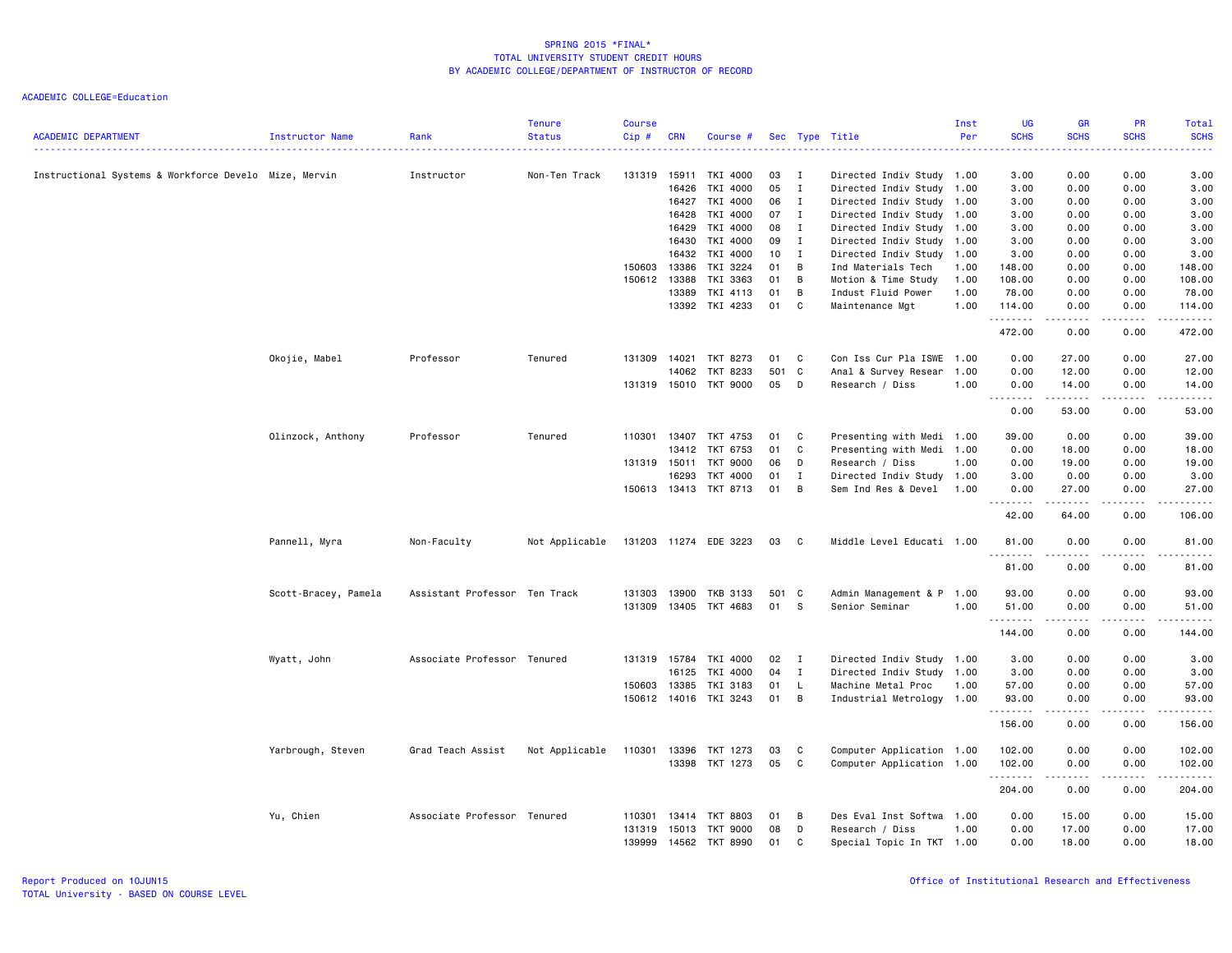| <b>ACADEMIC DEPARTMENT</b>                            | Instructor Name      | Rank                          | <b>Tenure</b><br><b>Status</b> | <b>Course</b><br>$Cip$ # | <b>CRN</b> | Course #              |       |              | Sec Type Title            | Inst<br>Per | <b>UG</b><br><b>SCHS</b> | <b>GR</b><br><b>SCHS</b>                                                                                                                                     | PR<br><b>SCHS</b> | <b>Total</b><br><b>SCHS</b>                                                                                           |
|-------------------------------------------------------|----------------------|-------------------------------|--------------------------------|--------------------------|------------|-----------------------|-------|--------------|---------------------------|-------------|--------------------------|--------------------------------------------------------------------------------------------------------------------------------------------------------------|-------------------|-----------------------------------------------------------------------------------------------------------------------|
| Instructional Systems & Workforce Develo Mize, Mervin |                      | Instructor                    | Non-Ten Track                  | 131319                   | 15911      | TKI 4000              | 03    | $\mathbf{I}$ | Directed Indiv Study 1.00 |             | 3.00                     | 0.00                                                                                                                                                         | 0.00              | 3.00                                                                                                                  |
|                                                       |                      |                               |                                |                          | 16426      | TKI 4000              | 05    | $\mathbf{I}$ | Directed Indiv Study 1.00 |             | 3.00                     | 0.00                                                                                                                                                         | 0.00              | 3.00                                                                                                                  |
|                                                       |                      |                               |                                |                          | 16427      | TKI 4000              | 06    | $\mathbf{I}$ | Directed Indiv Study 1.00 |             | 3.00                     | 0.00                                                                                                                                                         | 0.00              | 3.00                                                                                                                  |
|                                                       |                      |                               |                                |                          | 16428      | TKI 4000              | 07    | $\mathbf{I}$ | Directed Indiv Study 1.00 |             | 3.00                     | 0.00                                                                                                                                                         | 0.00              | 3.00                                                                                                                  |
|                                                       |                      |                               |                                |                          | 16429      | TKI 4000              | 08    | $\mathbf{I}$ | Directed Indiv Study 1.00 |             | 3.00                     | 0.00                                                                                                                                                         | 0.00              | 3.00                                                                                                                  |
|                                                       |                      |                               |                                |                          | 16430      | TKI 4000              | 09    | $\mathbf{I}$ | Directed Indiv Study 1.00 |             | 3.00                     | 0.00                                                                                                                                                         | 0.00              | 3.00                                                                                                                  |
|                                                       |                      |                               |                                |                          | 16432      | TKI 4000              | 10    | $\mathbf{I}$ | Directed Indiv Study 1.00 |             | 3.00                     | 0.00                                                                                                                                                         | 0.00              | 3.00                                                                                                                  |
|                                                       |                      |                               |                                | 150603                   | 13386      | TKI 3224              | 01    | B            | Ind Materials Tech        | 1.00        | 148.00                   | 0.00                                                                                                                                                         | 0.00              | 148.00                                                                                                                |
|                                                       |                      |                               |                                | 150612                   | 13388      | TKI 3363              | 01    | B            | Motion & Time Study       | 1.00        | 108.00                   | 0.00                                                                                                                                                         | 0.00              | 108.00                                                                                                                |
|                                                       |                      |                               |                                |                          | 13389      | TKI 4113              | 01    | В            | Indust Fluid Power        | 1.00        | 78.00                    | 0.00                                                                                                                                                         | 0.00              | 78.00                                                                                                                 |
|                                                       |                      |                               |                                |                          | 13392      | TKI 4233              | 01    | C            | Maintenance Mgt           | 1.00        | 114.00<br>.              | 0.00<br>$\frac{1}{2} \left( \frac{1}{2} \right) \left( \frac{1}{2} \right) \left( \frac{1}{2} \right) \left( \frac{1}{2} \right) \left( \frac{1}{2} \right)$ | 0.00<br>.         | 114.00<br>$\begin{array}{cccccccccc} \bullet & \bullet & \bullet & \bullet & \bullet & \bullet & \bullet \end{array}$ |
|                                                       |                      |                               |                                |                          |            |                       |       |              |                           |             | 472.00                   | 0.00                                                                                                                                                         | 0.00              | 472.00                                                                                                                |
|                                                       | Okojie, Mabel        | Professor                     | Tenured                        | 131309                   | 14021      | TKT 8273              | 01    | C            | Con Iss Cur Pla ISWE      | 1.00        | 0.00                     | 27.00                                                                                                                                                        | 0.00              | 27.00                                                                                                                 |
|                                                       |                      |                               |                                |                          | 14062      | TKT 8233              | 501   | C            | Anal & Survey Resear      | 1.00        | 0.00                     | 12.00                                                                                                                                                        | 0.00              | 12.00                                                                                                                 |
|                                                       |                      |                               |                                | 131319 15010             |            | <b>TKT 9000</b>       | 05    | D            | Research / Diss           | 1.00        | 0.00                     | 14.00<br>------                                                                                                                                              | 0.00<br>.         | 14.00<br>.                                                                                                            |
|                                                       |                      |                               |                                |                          |            |                       |       |              |                           |             | 0.00                     | 53.00                                                                                                                                                        | 0.00              | 53.00                                                                                                                 |
|                                                       | Olinzock, Anthony    | Professor                     | Tenured                        | 110301                   | 13407      | TKT 4753              | 01    | C            | Presenting with Medi 1.00 |             | 39.00                    | 0.00                                                                                                                                                         | 0.00              | 39.00                                                                                                                 |
|                                                       |                      |                               |                                |                          | 13412      | TKT 6753              | 01    | C            | Presenting with Medi 1.00 |             | 0.00                     | 18.00                                                                                                                                                        | 0.00              | 18.00                                                                                                                 |
|                                                       |                      |                               |                                | 131319 15011             |            | TKT 9000              | 06    | D            | Research / Diss           | 1.00        | 0.00                     | 19.00                                                                                                                                                        | 0.00              | 19.00                                                                                                                 |
|                                                       |                      |                               |                                |                          | 16293      | TKT 4000              | 01    | $\mathbf{I}$ | Directed Indiv Study 1.00 |             | 3.00                     | 0.00                                                                                                                                                         | 0.00              | 3.00                                                                                                                  |
|                                                       |                      |                               |                                |                          |            | 150613 13413 TKT 8713 | 01    | B            | Sem Ind Res & Devel       | 1.00        | 0.00                     | 27.00                                                                                                                                                        | 0.00              | 27.00                                                                                                                 |
|                                                       |                      |                               |                                |                          |            |                       |       |              |                           |             | .<br>42.00               | . <u>.</u><br>64.00                                                                                                                                          | $- - - -$<br>0.00 | .<br>106.00                                                                                                           |
|                                                       | Pannell, Myra        | Non-Faculty                   | Not Applicable                 |                          |            | 131203 11274 EDE 3223 | 03    | $\mathbf{C}$ | Middle Level Educati 1.00 |             | 81.00                    | 0.00                                                                                                                                                         | 0.00              | 81.00                                                                                                                 |
|                                                       |                      |                               |                                |                          |            |                       |       |              |                           |             | .<br>81.00               | $\frac{1}{2} \left( \frac{1}{2} \right) \left( \frac{1}{2} \right) \left( \frac{1}{2} \right) \left( \frac{1}{2} \right) \left( \frac{1}{2} \right)$<br>0.00 | .<br>0.00         | .<br>81.00                                                                                                            |
|                                                       | Scott-Bracey, Pamela | Assistant Professor Ten Track |                                | 131303                   | 13900      | TKB 3133              | 501 C |              | Admin Management & P      | 1.00        | 93.00                    | 0.00                                                                                                                                                         | 0.00              | 93.00                                                                                                                 |
|                                                       |                      |                               |                                | 131309                   | 13405      | TKT 4683              | 01    | - S          | Senior Seminar            | 1.00        | 51.00                    | 0.00                                                                                                                                                         | 0.00              | 51.00                                                                                                                 |
|                                                       |                      |                               |                                |                          |            |                       |       |              |                           |             | <u>.</u>                 | .                                                                                                                                                            |                   | .                                                                                                                     |
|                                                       |                      |                               |                                |                          |            |                       |       |              |                           |             | 144.00                   | 0.00                                                                                                                                                         | 0.00              | 144.00                                                                                                                |
|                                                       | Wyatt, John          | Associate Professor Tenured   |                                | 131319 15784             |            | TKI 4000              | 02    | $\mathbf{I}$ | Directed Indiv Study 1.00 |             | 3.00                     | 0.00                                                                                                                                                         | 0.00              | 3.00                                                                                                                  |
|                                                       |                      |                               |                                |                          | 16125      | TKI 4000              | 04    | $\mathbf{I}$ | Directed Indiv Study 1.00 |             | 3.00                     | 0.00                                                                                                                                                         | 0.00              | 3.00                                                                                                                  |
|                                                       |                      |                               |                                | 150603                   | 13385      | TKI 3183              | 01    | L.           | Machine Metal Proc        | 1.00        | 57.00                    | 0.00                                                                                                                                                         | 0.00              | 57.00                                                                                                                 |
|                                                       |                      |                               |                                |                          |            | 150612 14016 TKI 3243 | 01    | B            | Industrial Metrology 1.00 |             | 93.00<br><u>.</u>        | 0.00<br>-----                                                                                                                                                | 0.00<br>.         | 93.00<br>.                                                                                                            |
|                                                       |                      |                               |                                |                          |            |                       |       |              |                           |             | 156.00                   | 0.00                                                                                                                                                         | 0.00              | 156.00                                                                                                                |
|                                                       | Yarbrough, Steven    | Grad Teach Assist             | Not Applicable                 | 110301                   | 13396      | TKT 1273              | 03    | C            | Computer Application 1.00 |             | 102.00                   | 0.00                                                                                                                                                         | 0.00              | 102.00                                                                                                                |
|                                                       |                      |                               |                                |                          |            | 13398 TKT 1273        | 05    | C            | Computer Application 1.00 |             | 102.00                   | 0.00                                                                                                                                                         | 0.00              | 102.00                                                                                                                |
|                                                       |                      |                               |                                |                          |            |                       |       |              |                           |             | .<br>204.00              | $\frac{1}{2} \left( \frac{1}{2} \right) \left( \frac{1}{2} \right) \left( \frac{1}{2} \right) \left( \frac{1}{2} \right) \left( \frac{1}{2} \right)$<br>0.00 | 0.00              | 204.00                                                                                                                |
|                                                       | Yu, Chien            | Associate Professor Tenured   |                                | 110301                   | 13414      | TKT 8803              | 01    | B            | Des Eval Inst Softwa      | 1.00        | 0.00                     | 15.00                                                                                                                                                        | 0.00              | 15.00                                                                                                                 |
|                                                       |                      |                               |                                | 131319                   | 15013      | <b>TKT 9000</b>       | 08    | D            | Research / Diss           | 1.00        | 0.00                     | 17.00                                                                                                                                                        | 0.00              | 17.00                                                                                                                 |
|                                                       |                      |                               |                                | 139999                   | 14562      | <b>TKT 8990</b>       | 01    | C            | Special Topic In TKT 1.00 |             | 0.00                     | 18.00                                                                                                                                                        | 0.00              | 18.00                                                                                                                 |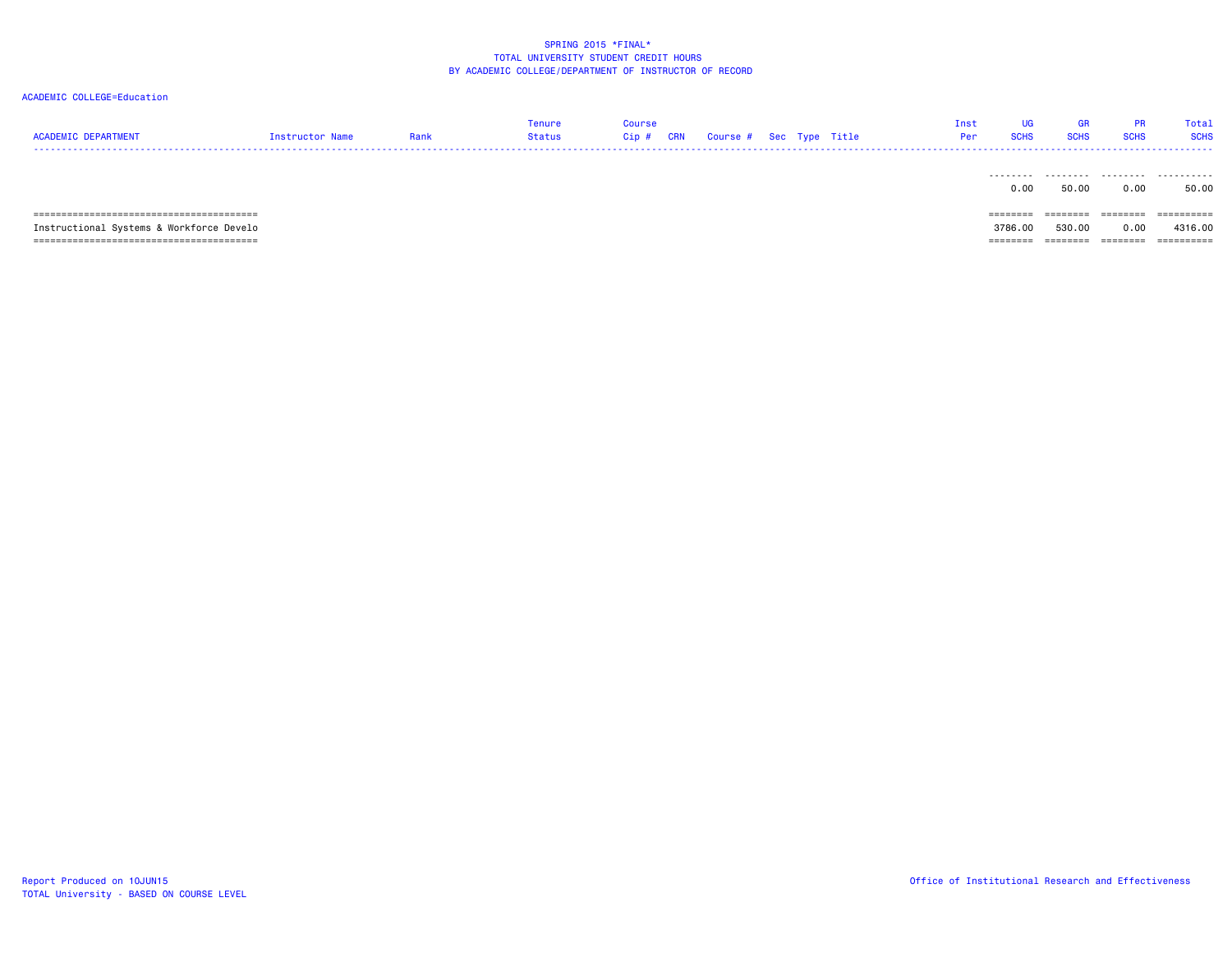| <b>ACADEMIC DEPARTMENT</b>                    | Instructor Name | Rank | Tenure<br>Status | Course<br>$Cip$ #<br>CRN | Course # Sec Type Title |  | Inst<br>Per | UG<br><b>SCHS</b> | <b>GR</b><br><b>SCHS</b> | <b>PR</b><br><b>SCHS</b> | Total<br><b>SCHS</b> |
|-----------------------------------------------|-----------------|------|------------------|--------------------------|-------------------------|--|-------------|-------------------|--------------------------|--------------------------|----------------------|
|                                               |                 |      |                  |                          |                         |  |             | .<br>0.00         | .<br>50.00               | .<br>0.00                | .<br>50.00           |
|                                               |                 |      |                  |                          |                         |  |             | ========          | ========                 | ========                 | ==========           |
| Instructional Systems & Workforce Develo      |                 |      |                  |                          |                         |  |             | 3786.00           | 530.00                   | 0.00                     | 4316,00              |
| .==================================<br>====== |                 |      |                  |                          |                         |  |             | =======           |                          |                          | ==========           |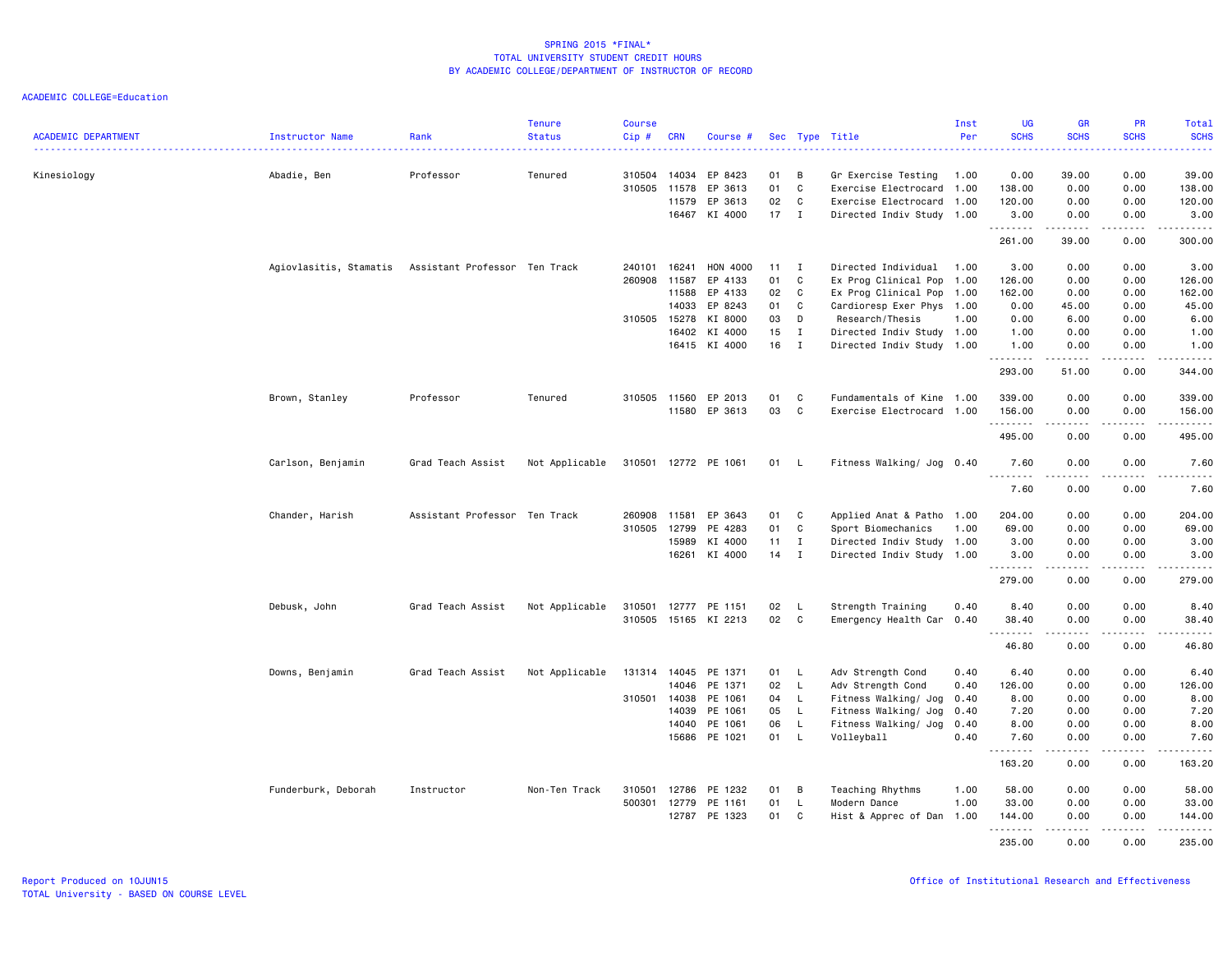| <b>ACADEMIC DEPARTMENT</b> | Instructor Name        | Rank                          | <b>Tenure</b><br><b>Status</b> | <b>Course</b><br>Cip# | <b>CRN</b>     | Course #           |          |                  | Sec Type Title                                   | Inst<br>Per | <b>UG</b><br><b>SCHS</b> | <b>GR</b><br><b>SCHS</b>                                                                                                                                     | <b>PR</b><br><b>SCHS</b>     | Total<br><b>SCHS</b>   |
|----------------------------|------------------------|-------------------------------|--------------------------------|-----------------------|----------------|--------------------|----------|------------------|--------------------------------------------------|-------------|--------------------------|--------------------------------------------------------------------------------------------------------------------------------------------------------------|------------------------------|------------------------|
|                            |                        |                               |                                |                       |                |                    |          |                  |                                                  |             |                          |                                                                                                                                                              |                              |                        |
| Kinesiology                | Abadie, Ben            | Professor                     | Tenured                        | 310504<br>310505      | 14034<br>11578 | EP 8423<br>EP 3613 | 01<br>01 | В<br>$\mathbb C$ | Gr Exercise Testing<br>Exercise Electrocard 1.00 | 1.00        | 0.00<br>138.00           | 39.00<br>0.00                                                                                                                                                | 0.00<br>0.00                 | 39.00<br>138.00        |
|                            |                        |                               |                                |                       | 11579          | EP 3613            | 02       | C                | Exercise Electrocard 1.00                        |             | 120.00                   | 0.00                                                                                                                                                         | 0.00                         | 120.00                 |
|                            |                        |                               |                                |                       | 16467          | KI 4000            | $17$ I   |                  | Directed Indiv Study 1.00                        |             | 3.00                     | 0.00                                                                                                                                                         | 0.00                         | 3.00                   |
|                            |                        |                               |                                |                       |                |                    |          |                  |                                                  |             | .<br>261.00              | .<br>39.00                                                                                                                                                   | $- - -$<br>0.00              | والمناصبات<br>300.00   |
|                            | Agiovlasitis, Stamatis | Assistant Professor Ten Track |                                | 240101                | 16241          | HON 4000           | 11       | $\mathbf{I}$     | Directed Individual 1.00                         |             | 3.00                     | 0.00                                                                                                                                                         | 0.00                         | 3.00                   |
|                            |                        |                               |                                | 260908                | 11587          | EP 4133            | 01       | $\mathbb C$      | Ex Prog Clinical Pop                             | 1.00        | 126.00                   | 0.00                                                                                                                                                         | 0.00                         | 126.00                 |
|                            |                        |                               |                                |                       | 11588          | EP 4133            | 02       | C                | Ex Prog Clinical Pop                             | 1.00        | 162.00                   | 0.00                                                                                                                                                         | 0.00                         | 162.00                 |
|                            |                        |                               |                                |                       | 14033          | EP 8243            | 01       | C                | Cardioresp Exer Phys 1.00                        |             | 0.00                     | 45.00                                                                                                                                                        | 0.00                         | 45.00                  |
|                            |                        |                               |                                | 310505                | 15278          | KI 8000            | 03       | D                | Research/Thesis                                  | 1.00        | 0.00                     | 6.00                                                                                                                                                         | 0.00                         | 6.00                   |
|                            |                        |                               |                                |                       | 16402          | KI 4000            | 15       | $\bf{I}$         | Directed Indiv Study 1.00                        |             | 1.00                     | 0.00                                                                                                                                                         | 0.00                         | 1.00                   |
|                            |                        |                               |                                |                       | 16415          | KI 4000            | 16       | $\mathbf{I}$     | Directed Indiv Study 1.00                        |             | 1.00                     | 0.00                                                                                                                                                         | 0.00                         | 1.00                   |
|                            |                        |                               |                                |                       |                |                    |          |                  |                                                  |             | .<br>293.00              | .<br>51.00                                                                                                                                                   | .<br>0.00                    | .<br>344.00            |
|                            | Brown, Stanley         | Professor                     | Tenured                        | 310505                | 11560          | EP 2013            | 01       | C                | Fundamentals of Kine                             | 1.00        | 339.00                   | 0.00                                                                                                                                                         | 0.00                         | 339.00                 |
|                            |                        |                               |                                |                       |                | 11580 EP 3613      | 03       | C                | Exercise Electrocard 1.00                        |             | 156.00                   | 0.00                                                                                                                                                         | 0.00                         | 156.00                 |
|                            |                        |                               |                                |                       |                |                    |          |                  |                                                  |             | .<br>495.00              | $\frac{1}{2} \left( \frac{1}{2} \right) \left( \frac{1}{2} \right) \left( \frac{1}{2} \right) \left( \frac{1}{2} \right)$<br>0.00                            | $\sim$ $\sim$ $\sim$<br>0.00 | .<br>495.00            |
|                            |                        |                               |                                |                       |                |                    |          |                  |                                                  |             | 7.60                     |                                                                                                                                                              | 0.00                         |                        |
|                            | Carlson, Benjamin      | Grad Teach Assist             | Not Applicable                 | 310501                |                | 12772 PE 1061      | 01       | - L              | Fitness Walking/ Jog 0.40                        |             | .                        | 0.00<br>.                                                                                                                                                    | $- - - -$                    | 7.60<br>$    -$        |
|                            |                        |                               |                                |                       |                |                    |          |                  |                                                  |             | 7.60                     | 0.00                                                                                                                                                         | 0.00                         | 7.60                   |
|                            | Chander, Harish        | Assistant Professor Ten Track |                                | 260908                | 11581          | EP 3643            | 01       | C                | Applied Anat & Patho 1.00                        |             | 204.00                   | 0.00                                                                                                                                                         | 0.00                         | 204.00                 |
|                            |                        |                               |                                | 310505                | 12799          | PE 4283            | 01       | C                | Sport Biomechanics                               | 1.00        | 69.00                    | 0.00                                                                                                                                                         | 0.00                         | 69.00                  |
|                            |                        |                               |                                |                       | 15989          | KI 4000            | 11       | $\mathbf{I}$     | Directed Indiv Study 1.00                        |             | 3.00                     | 0.00                                                                                                                                                         | 0.00                         | 3.00                   |
|                            |                        |                               |                                |                       | 16261          | KI 4000            | 14       | $\mathbf{I}$     | Directed Indiv Study 1.00                        |             | 3.00<br>.                | 0.00<br>$\frac{1}{2} \left( \frac{1}{2} \right) \left( \frac{1}{2} \right) \left( \frac{1}{2} \right) \left( \frac{1}{2} \right) \left( \frac{1}{2} \right)$ | 0.00<br>.                    | 3.00<br>------         |
|                            |                        |                               |                                |                       |                |                    |          |                  |                                                  |             | 279.00                   | 0.00                                                                                                                                                         | 0.00                         | 279.00                 |
|                            | Debusk, John           | Grad Teach Assist             | Not Applicable                 | 310501                | 12777          | PE 1151            | 02       | L                | Strength Training                                | 0.40        | 8.40                     | 0.00                                                                                                                                                         | 0.00                         | 8.40                   |
|                            |                        |                               |                                | 310505                | 15165          | KI 2213            | 02       | C                | Emergency Health Car                             | 0.40        | 38.40                    | 0.00                                                                                                                                                         | 0.00                         | 38.40                  |
|                            |                        |                               |                                |                       |                |                    |          |                  |                                                  |             | 46.80                    | .<br>0.00                                                                                                                                                    | $\frac{1}{2}$<br>0.00        | $\frac{1}{2}$<br>46.80 |
|                            | Downs, Benjamin        | Grad Teach Assist             | Not Applicable                 | 131314                | 14045          | PE 1371            | 01       | - L              | Adv Strength Cond                                | 0.40        | 6.40                     | 0.00                                                                                                                                                         | 0.00                         | 6.40                   |
|                            |                        |                               |                                |                       | 14046          | PE 1371            | 02       | $\mathsf{L}$     | Adv Strength Cond                                | 0.40        | 126.00                   | 0.00                                                                                                                                                         | 0.00                         | 126.00                 |
|                            |                        |                               |                                | 310501                | 14038          | PE 1061            | 04       | $\mathsf{L}$     | Fitness Walking/ Jog                             | 0.40        | 8.00                     | 0.00                                                                                                                                                         | 0.00                         | 8.00                   |
|                            |                        |                               |                                |                       | 14039          | PE 1061            | 05       | $\mathsf{L}$     | Fitness Walking/ Jog                             | 0.40        | 7.20                     | 0.00                                                                                                                                                         | 0.00                         | 7.20                   |
|                            |                        |                               |                                |                       | 14040          | PE 1061            | 06       | L.               | Fitness Walking/ Jog                             | 0.40        | 8.00                     | 0.00                                                                                                                                                         | 0.00                         | 8.00                   |
|                            |                        |                               |                                |                       | 15686          | PE 1021            | 01       | L.               | Volleyball                                       | 0.40        | 7.60                     | 0.00                                                                                                                                                         | 0.00                         | 7.60                   |
|                            |                        |                               |                                |                       |                |                    |          |                  |                                                  |             | .<br>163.20              | $\frac{1}{2} \left( \frac{1}{2} \right) \left( \frac{1}{2} \right) \left( \frac{1}{2} \right) \left( \frac{1}{2} \right) \left( \frac{1}{2} \right)$<br>0.00 | .<br>0.00                    | .<br>163.20            |
|                            | Funderburk, Deborah    | Instructor                    | Non-Ten Track                  | 310501                | 12786          | PE 1232            | 01       | B                | Teaching Rhythms                                 | 1.00        | 58.00                    | 0.00                                                                                                                                                         | 0.00                         | 58.00                  |
|                            |                        |                               |                                | 500301                | 12779          | PE 1161            | 01       | $\mathsf{L}$     | Modern Dance                                     | 1.00        | 33,00                    | 0.00                                                                                                                                                         | 0.00                         | 33,00                  |
|                            |                        |                               |                                |                       | 12787          | PE 1323            | 01       | C                | Hist & Apprec of Dan 1.00                        |             | 144.00                   | 0.00                                                                                                                                                         | 0.00                         | 144.00                 |
|                            |                        |                               |                                |                       |                |                    |          |                  |                                                  |             | .                        | .                                                                                                                                                            | .                            | <u>.</u>               |
|                            |                        |                               |                                |                       |                |                    |          |                  |                                                  |             | 235.00                   | 0.00                                                                                                                                                         | 0.00                         | 235.00                 |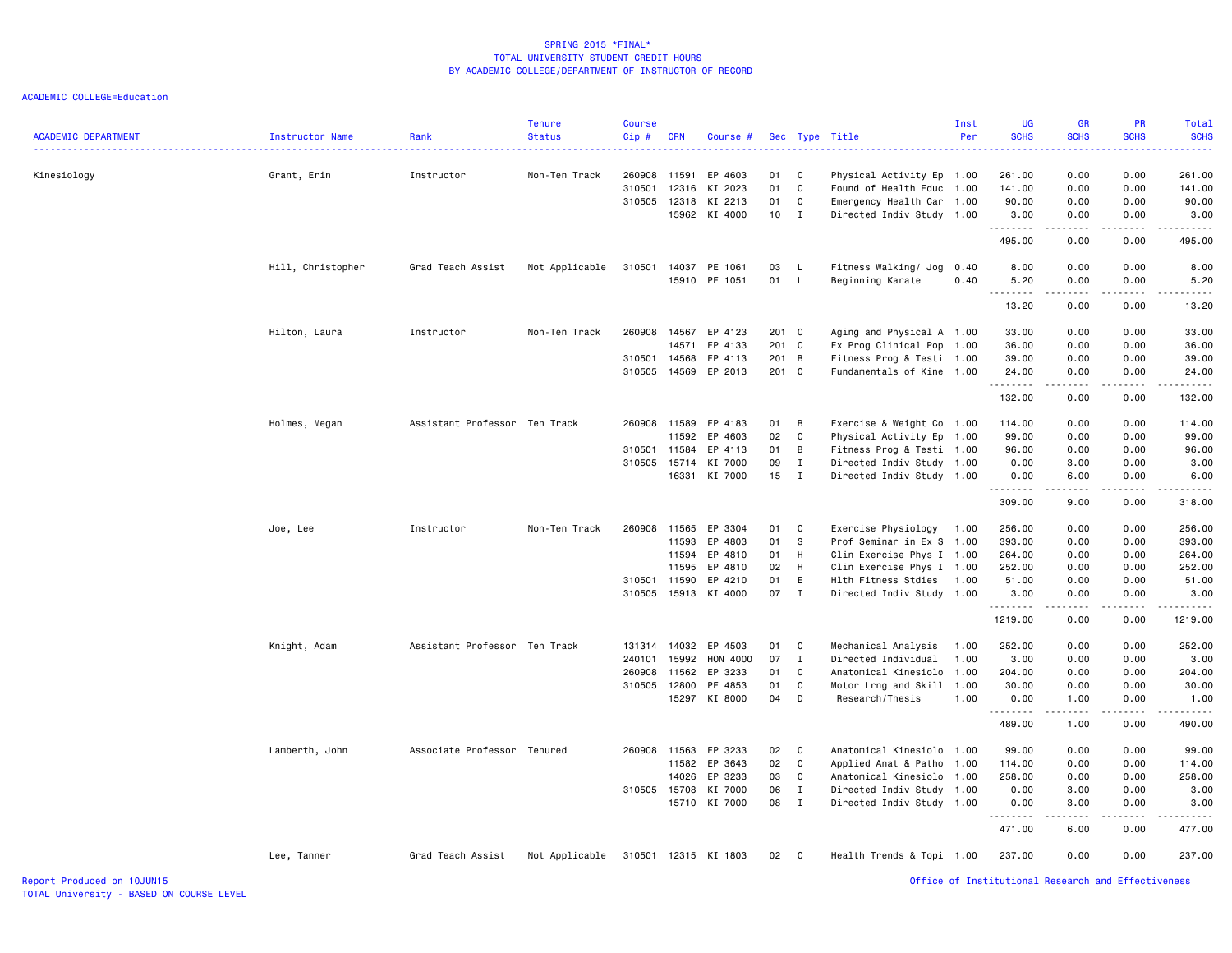| <b>ACADEMIC DEPARTMENT</b> | Instructor Name   | Rank                          | <b>Tenure</b><br><b>Status</b> | <b>Course</b><br>Cip# | <b>CRN</b> | Course #             |                 |              | Sec Type Title            | Inst<br>Per | <b>UG</b><br><b>SCHS</b>                           | <b>GR</b><br><b>SCHS</b> | <b>PR</b><br><b>SCHS</b> | Total<br><b>SCHS</b><br>. |
|----------------------------|-------------------|-------------------------------|--------------------------------|-----------------------|------------|----------------------|-----------------|--------------|---------------------------|-------------|----------------------------------------------------|--------------------------|--------------------------|---------------------------|
| Kinesiology                | Grant, Erin       | Instructor                    | Non-Ten Track                  | 260908                | 11591      | EP 4603              | 01              | C            | Physical Activity Ep 1.00 |             | 261.00                                             | 0.00                     | 0.00                     | 261.00                    |
|                            |                   |                               |                                | 310501                | 12316      | KI 2023              | 01              | $\mathbf{C}$ | Found of Health Educ      | 1.00        | 141.00                                             | 0.00                     | 0.00                     | 141.00                    |
|                            |                   |                               |                                | 310505                | 12318      | KI 2213              | 01              | $\mathtt{C}$ | Emergency Health Car 1.00 |             | 90.00                                              | 0.00                     | 0.00                     | 90.00                     |
|                            |                   |                               |                                |                       |            | 15962 KI 4000        | 10 <sub>1</sub> | $\mathbf{I}$ | Directed Indiv Study 1.00 |             | 3.00<br>.                                          | 0.00<br>.                | 0.00<br>.                | 3.00<br>.                 |
|                            |                   |                               |                                |                       |            |                      |                 |              |                           |             | 495.00                                             | 0.00                     | 0.00                     | 495.00                    |
|                            | Hill, Christopher | Grad Teach Assist             | Not Applicable                 | 310501                | 14037      | PE 1061              | 03              | <b>L</b>     | Fitness Walking/ Jog      | 0.40        | 8.00                                               | 0.00                     | 0.00                     | 8.00                      |
|                            |                   |                               |                                |                       |            | 15910 PE 1051        | 01 L            |              | Beginning Karate          | 0.40        | 5.20                                               | 0.00                     | 0.00                     | 5.20                      |
|                            |                   |                               |                                |                       |            |                      |                 |              |                           |             | .<br>13.20                                         | -----<br>0.00            | 0.00                     | وساعات<br>13.20           |
|                            | Hilton, Laura     | Instructor                    | Non-Ten Track                  | 260908                | 14567      | EP 4123              | 201 C           |              | Aging and Physical A 1.00 |             | 33.00                                              | 0.00                     | 0.00                     | 33.00                     |
|                            |                   |                               |                                |                       | 14571      | EP 4133              | 201 C           |              | Ex Prog Clinical Pop      | 1.00        | 36.00                                              | 0.00                     | 0.00                     | 36.00                     |
|                            |                   |                               |                                | 310501                | 14568      | EP 4113              | 201 B           |              | Fitness Prog & Testi 1.00 |             | 39.00                                              | 0.00                     | 0.00                     | 39.00                     |
|                            |                   |                               |                                | 310505                |            | 14569 EP 2013        | 201 C           |              | Fundamentals of Kine 1.00 |             | 24.00<br>.                                         | 0.00<br>.                | 0.00<br>.                | 24.00<br>.                |
|                            |                   |                               |                                |                       |            |                      |                 |              |                           |             | 132.00                                             | 0.00                     | 0.00                     | 132.00                    |
|                            | Holmes, Megan     | Assistant Professor Ten Track |                                |                       |            | 260908 11589 EP 4183 | 01              | B            | Exercise & Weight Co 1.00 |             | 114.00                                             | 0.00                     | 0.00                     | 114.00                    |
|                            |                   |                               |                                |                       | 11592      | EP 4603              | 02              | C            | Physical Activity Ep      | 1.00        | 99.00                                              | 0.00                     | 0.00                     | 99.00                     |
|                            |                   |                               |                                | 310501                | 11584      | EP 4113              | 01              | В            | Fitness Prog & Testi 1.00 |             | 96.00                                              | 0.00                     | 0.00                     | 96.00                     |
|                            |                   |                               |                                | 310505                | 15714      | KI 7000              | 09              | $\mathbf{I}$ | Directed Indiv Study      | 1.00        | 0.00                                               | 3.00                     | 0.00                     | 3.00                      |
|                            |                   |                               |                                |                       |            | 16331 KI 7000        | $15$ I          |              | Directed Indiv Study 1.00 |             | 0.00<br>.                                          | 6.00<br><b>.</b>         | 0.00<br>.                | 6.00                      |
|                            |                   |                               |                                |                       |            |                      |                 |              |                           |             | 309.00                                             | 9.00                     | 0.00                     | 318.00                    |
|                            | Joe, Lee          | Instructor                    | Non-Ten Track                  | 260908                | 11565      | EP 3304              | 01              | C            | Exercise Physiology       | 1.00        | 256.00                                             | 0.00                     | 0.00                     | 256.00                    |
|                            |                   |                               |                                |                       |            | 11593 EP 4803        | 01              | s            | Prof Seminar in Ex S 1.00 |             | 393.00                                             | 0.00                     | 0.00                     | 393.00                    |
|                            |                   |                               |                                |                       | 11594      | EP 4810              | 01              | H            | Clin Exercise Phys I 1.00 |             | 264.00                                             | 0.00                     | 0.00                     | 264.00                    |
|                            |                   |                               |                                |                       | 11595      | EP 4810              | 02              | H            | Clin Exercise Phys I 1.00 |             | 252.00                                             | 0.00                     | 0.00                     | 252.00                    |
|                            |                   |                               |                                | 310501                | 11590      | EP 4210              | 01              | E            | Hlth Fitness Stdies       | 1.00        | 51.00                                              | 0.00                     | 0.00                     | 51.00                     |
|                            |                   |                               |                                | 310505                |            | 15913 KI 4000        | 07 I            |              | Directed Indiv Study 1.00 |             | 3.00<br>.                                          | 0.00<br>.                | 0.00<br>$- - - - -$      | 3.00<br><u>.</u>          |
|                            |                   |                               |                                |                       |            |                      |                 |              |                           |             | 1219.00                                            | 0.00                     | 0.00                     | 1219.00                   |
|                            | Knight, Adam      | Assistant Professor Ten Track |                                | 131314                |            | 14032 EP 4503        | 01 C            |              | Mechanical Analysis       | 1.00        | 252.00                                             | 0.00                     | 0.00                     | 252.00                    |
|                            |                   |                               |                                | 240101                | 15992      | HON 4000             | 07              | $\mathbf{I}$ | Directed Individual       | 1.00        | 3.00                                               | 0.00                     | 0.00                     | 3.00                      |
|                            |                   |                               |                                | 260908                | 11562      | EP 3233              | 01              | C            | Anatomical Kinesiolo 1.00 |             | 204.00                                             | 0.00                     | 0.00                     | 204.00                    |
|                            |                   |                               |                                | 310505                |            | 12800 PE 4853        | 01              | C            | Motor Lrng and Skill 1.00 |             | 30.00                                              | 0.00                     | 0.00                     | 30.00                     |
|                            |                   |                               |                                |                       |            | 15297 KI 8000        | 04              | D            | Research/Thesis           | 1.00        | 0.00<br>.                                          | 1.00<br>.                | 0.00<br>.                | 1.00<br>.                 |
|                            |                   |                               |                                |                       |            |                      |                 |              |                           |             | 489.00                                             | 1.00                     | 0.00                     | 490.00                    |
|                            | Lamberth, John    | Associate Professor Tenured   |                                | 260908                | 11563      | EP 3233              | 02 C            |              | Anatomical Kinesiolo 1.00 |             | 99.00                                              | 0.00                     | 0.00                     | 99.00                     |
|                            |                   |                               |                                |                       | 11582      | EP 3643              | 02              | C            | Applied Anat & Patho      | 1.00        | 114.00                                             | 0.00                     | 0.00                     | 114.00                    |
|                            |                   |                               |                                |                       | 14026      | EP 3233              | 03              | C            | Anatomical Kinesiolo 1.00 |             | 258.00                                             | 0.00                     | 0.00                     | 258.00                    |
|                            |                   |                               |                                |                       |            | 310505 15708 KI 7000 | 06<br>08        | $\mathbf I$  | Directed Indiv Study 1.00 |             | 0.00                                               | 3.00                     | 0.00                     | 3.00                      |
|                            |                   |                               |                                |                       |            | 15710 KI 7000        |                 | $\mathbf{I}$ | Directed Indiv Study 1.00 |             | 0.00<br>.                                          | 3.00<br>.                | 0.00<br>$- - - - -$      | 3.00<br>. <u>.</u>        |
|                            |                   |                               |                                |                       |            |                      |                 |              |                           |             | 471.00                                             | 6.00                     | 0.00                     | 477.00                    |
|                            | Lee, Tanner       | Grad Teach Assist             | Not Applicable                 | 310501                |            | 12315 KI 1803        | 02              | $\mathbf{C}$ | Health Trends & Topi 1.00 |             | 237.00                                             | 0.00                     | 0.00                     | 237.00                    |
| Report Produced on 10JUN15 |                   |                               |                                |                       |            |                      |                 |              |                           |             | Office of Institutional Research and Effectiveness |                          |                          |                           |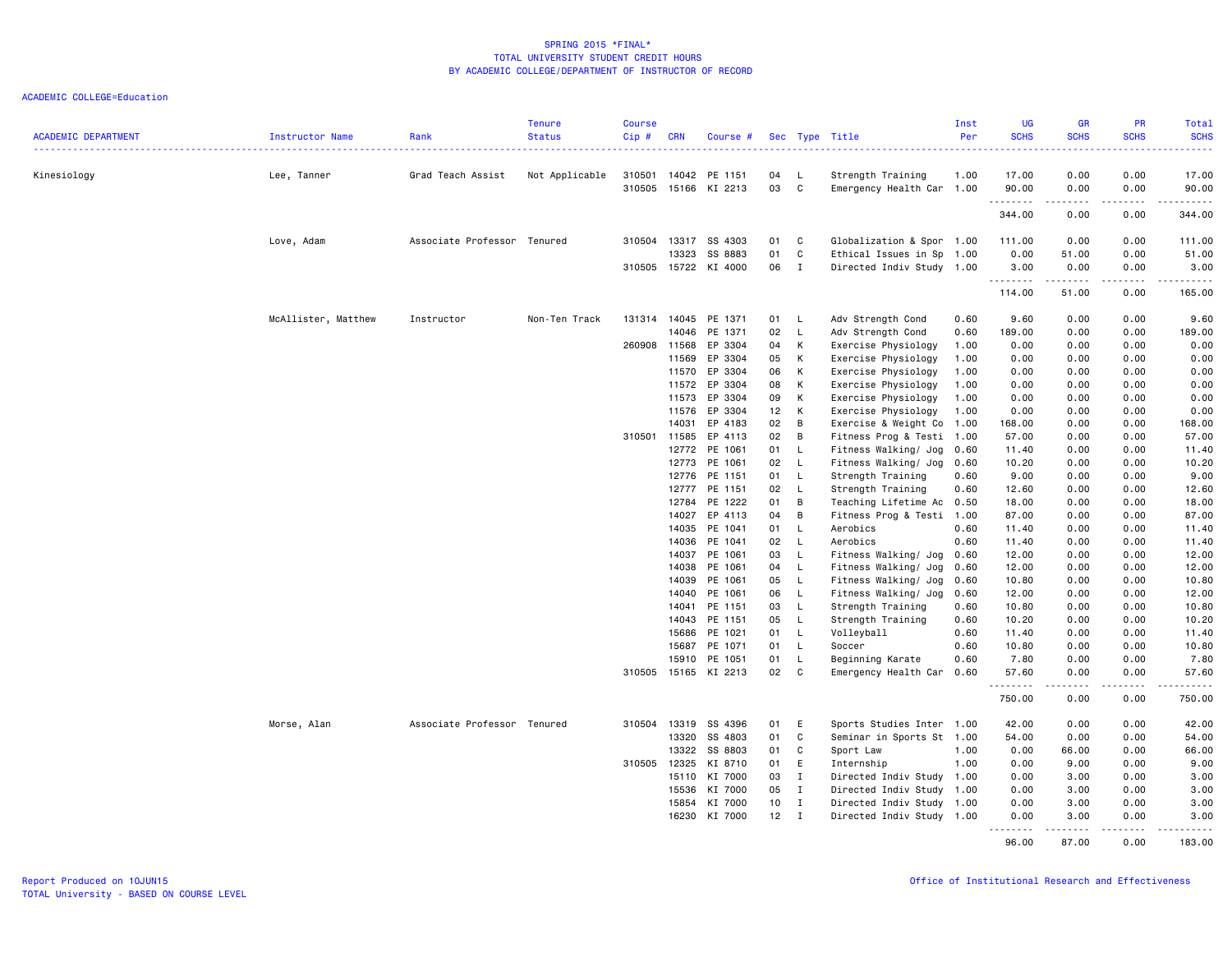| <b>ACADEMIC DEPARTMENT</b> | Instructor Name     | Rank                        | <b>Tenure</b><br><b>Status</b> | <b>Course</b><br>Cip# | <b>CRN</b> | Course #      |    |              | Sec Type Title            | Inst<br>Per | <b>UG</b><br><b>SCHS</b> | <b>GR</b><br><b>SCHS</b> | PR<br><b>SCHS</b> | Total<br><b>SCHS</b><br>. |
|----------------------------|---------------------|-----------------------------|--------------------------------|-----------------------|------------|---------------|----|--------------|---------------------------|-------------|--------------------------|--------------------------|-------------------|---------------------------|
| Kinesiology                | Lee, Tanner         | Grad Teach Assist           | Not Applicable                 | 310501                | 14042      | PE 1151       | 04 | L.           | Strength Training         | 1.00        | 17.00                    | 0.00                     | 0.00              | 17.00                     |
|                            |                     |                             |                                | 310505                |            | 15166 KI 2213 | 03 | C            | Emergency Health Car 1.00 |             | 90.00                    | 0.00                     | 0.00              | 90.00                     |
|                            |                     |                             |                                |                       |            |               |    |              |                           |             | .<br>344.00              | .<br>0.00                | .<br>0.00         | .<br>344.00               |
|                            | Love, Adam          | Associate Professor Tenured |                                | 310504                | 13317      | SS 4303       | 01 | C            | Globalization & Spor 1.00 |             | 111.00                   | 0.00                     | 0.00              | 111.00                    |
|                            |                     |                             |                                |                       | 13323      | SS 8883       | 01 | C            | Ethical Issues in Sp      | 1.00        | 0.00                     | 51.00                    | 0.00              | 51.00                     |
|                            |                     |                             |                                | 310505                |            | 15722 KI 4000 | 06 | $\mathbf{I}$ | Directed Indiv Study 1.00 |             | 3.00                     | 0.00                     | 0.00              | 3.00                      |
|                            |                     |                             |                                |                       |            |               |    |              |                           |             | .                        | .                        | .                 | .<br>165.00               |
|                            |                     |                             |                                |                       |            |               |    |              |                           |             | 114.00                   | 51.00                    | 0.00              |                           |
|                            | McAllister, Matthew | Instructor                  | Non-Ten Track                  | 131314                | 14045      | PE 1371       | 01 | - L          | Adv Strength Cond         | 0.60        | 9.60                     | 0.00                     | 0.00              | 9.60                      |
|                            |                     |                             |                                |                       | 14046      | PE 1371       | 02 | L            | Adv Strength Cond         | 0.60        | 189.00                   | 0.00                     | 0.00              | 189.00                    |
|                            |                     |                             |                                | 260908                | 11568      | EP 3304       | 04 | К            | Exercise Physiology       | 1.00        | 0.00                     | 0.00                     | 0.00              | 0.00                      |
|                            |                     |                             |                                |                       | 11569      | EP 3304       | 05 | K            | Exercise Physiology       | 1.00        | 0.00                     | 0.00                     | 0.00              | 0.00                      |
|                            |                     |                             |                                |                       | 11570      | EP 3304       | 06 | к            | Exercise Physiology       | 1.00        | 0.00                     | 0.00                     | 0.00              | 0.00                      |
|                            |                     |                             |                                |                       | 11572      | EP 3304       | 08 | К            | Exercise Physiology       | 1.00        | 0.00                     | 0.00                     | 0.00              | 0.00                      |
|                            |                     |                             |                                |                       | 11573      | EP 3304       | 09 | K            | Exercise Physiology       | 1.00        | 0.00                     | 0.00                     | 0.00              | 0.00                      |
|                            |                     |                             |                                |                       | 11576      | EP 3304       | 12 | К            | Exercise Physiology       | 1.00        | 0.00                     | 0.00                     | 0.00              | 0.00                      |
|                            |                     |                             |                                |                       | 14031      | EP 4183       | 02 | B            | Exercise & Weight Co      | 1.00        | 168.00                   | 0.00                     | 0.00              | 168.00                    |
|                            |                     |                             |                                | 310501                | 11585      | EP 4113       | 02 | B            | Fitness Prog & Testi 1.00 |             | 57.00                    | 0.00                     | 0.00              | 57.00                     |
|                            |                     |                             |                                |                       | 12772      | PE 1061       | 01 | L            | Fitness Walking/ Jog      | 0.60        | 11.40                    | 0.00                     | 0.00              | 11.40                     |
|                            |                     |                             |                                |                       | 12773      | PE 1061       | 02 | $\mathsf{L}$ | Fitness Walking/ Jog      | 0.60        | 10.20                    | 0.00                     | 0.00              | 10.20                     |
|                            |                     |                             |                                |                       | 12776      | PE 1151       | 01 | L            | Strength Training         | 0.60        | 9.00                     | 0.00                     | 0.00              | 9.00                      |
|                            |                     |                             |                                |                       | 12777      | PE 1151       | 02 | L            | Strength Training         | 0.60        | 12.60                    | 0.00                     | 0.00              | 12.60                     |
|                            |                     |                             |                                |                       | 12784      | PE 1222       | 01 | B            | Teaching Lifetime Ac      | 0.50        | 18.00                    | 0.00                     | 0.00              | 18.00                     |
|                            |                     |                             |                                |                       | 14027      | EP 4113       | 04 | B            | Fitness Prog & Testi      | 1.00        | 87.00                    | 0.00                     | 0.00              | 87.00                     |
|                            |                     |                             |                                |                       | 14035      | PE 1041       | 01 | - L          | Aerobics                  | 0.60        | 11.40                    | 0.00                     | 0.00              | 11.40                     |
|                            |                     |                             |                                |                       | 14036      | PE 1041       | 02 | $\mathsf{L}$ | Aerobics                  | 0.60        | 11.40                    | 0.00                     | 0.00              | 11.40                     |
|                            |                     |                             |                                |                       | 14037      | PE 1061       | 03 | L            | Fitness Walking/ Jog      | 0.60        | 12.00                    | 0.00                     | 0.00              | 12.00                     |
|                            |                     |                             |                                |                       | 14038      | PE 1061       | 04 | L            | Fitness Walking/ Jog      | 0.60        | 12.00                    | 0.00                     | 0.00              | 12.00                     |
|                            |                     |                             |                                |                       | 14039      | PE 1061       | 05 | $\mathsf{L}$ | Fitness Walking/ Jog      | 0.60        | 10.80                    | 0.00                     | 0.00              | 10.80                     |
|                            |                     |                             |                                |                       | 14040      | PE 1061       | 06 | L            | Fitness Walking/ Jog      | 0.60        | 12.00                    | 0.00                     | 0.00              | 12.00                     |
|                            |                     |                             |                                |                       | 14041      | PE 1151       | 03 | L            | Strength Training         | 0.60        | 10.80                    | 0.00                     | 0.00              | 10.80                     |
|                            |                     |                             |                                |                       | 14043      | PE 1151       | 05 | $\mathsf{L}$ | Strength Training         | 0.60        | 10.20                    | 0.00                     | 0.00              | 10.20                     |
|                            |                     |                             |                                |                       | 15686      | PE 1021       | 01 | $\mathsf{L}$ | Volleyball                | 0.60        | 11.40                    | 0.00                     | 0.00              | 11.40                     |
|                            |                     |                             |                                |                       | 15687      | PE 1071       | 01 | L.           | Soccer                    | 0.60        | 10.80                    | 0.00                     | 0.00              | 10.80                     |
|                            |                     |                             |                                |                       | 15910      | PE 1051       | 01 | L.           | Beginning Karate          | 0.60        | 7.80                     | 0.00                     | 0.00              | 7.80                      |
|                            |                     |                             |                                | 310505                |            | 15165 KI 2213 | 02 | C.           | Emergency Health Car 0.60 |             | 57.60                    | 0.00<br>.                | 0.00              | 57.60                     |
|                            |                     |                             |                                |                       |            |               |    |              |                           |             | 750.00                   | 0.00                     | 0.00              | 750.00                    |
|                            | Morse, Alan         | Associate Professor Tenured |                                | 310504                | 13319      | SS 4396       | 01 | E            | Sports Studies Inter 1.00 |             | 42.00                    | 0.00                     | 0.00              | 42.00                     |
|                            |                     |                             |                                |                       | 13320      | SS 4803       | 01 | C            | Seminar in Sports St 1.00 |             | 54.00                    | 0.00                     | 0.00              | 54.00                     |
|                            |                     |                             |                                |                       | 13322      | SS 8803       | 01 | C            | Sport Law                 | 1.00        | 0.00                     | 66.00                    | 0.00              | 66.00                     |
|                            |                     |                             |                                | 310505                | 12325      | KI 8710       | 01 | E            | Internship                | 1.00        | 0.00                     | 9.00                     | 0.00              | 9.00                      |
|                            |                     |                             |                                |                       | 15110      | KI 7000       | 03 | $\mathbf{I}$ | Directed Indiv Study 1.00 |             | 0.00                     | 3.00                     | 0.00              | 3.00                      |
|                            |                     |                             |                                |                       |            | 15536 KI 7000 | 05 | $\mathbf{I}$ | Directed Indiv Study 1.00 |             | 0.00                     | 3.00                     | 0.00              | 3.00                      |
|                            |                     |                             |                                |                       | 15854      | KI 7000       | 10 | $\mathbf{I}$ | Directed Indiv Study      | 1.00        | 0.00                     | 3.00                     | 0.00              | 3.00                      |
|                            |                     |                             |                                |                       | 16230      | KI 7000       | 12 | $\mathbf{I}$ | Directed Indiv Study 1.00 |             | 0.00                     | 3.00                     | 0.00              | 3.00                      |
|                            |                     |                             |                                |                       |            |               |    |              |                           |             | .<br>96.00               | .<br>87.00               | .<br>0.00         | .<br>183.00               |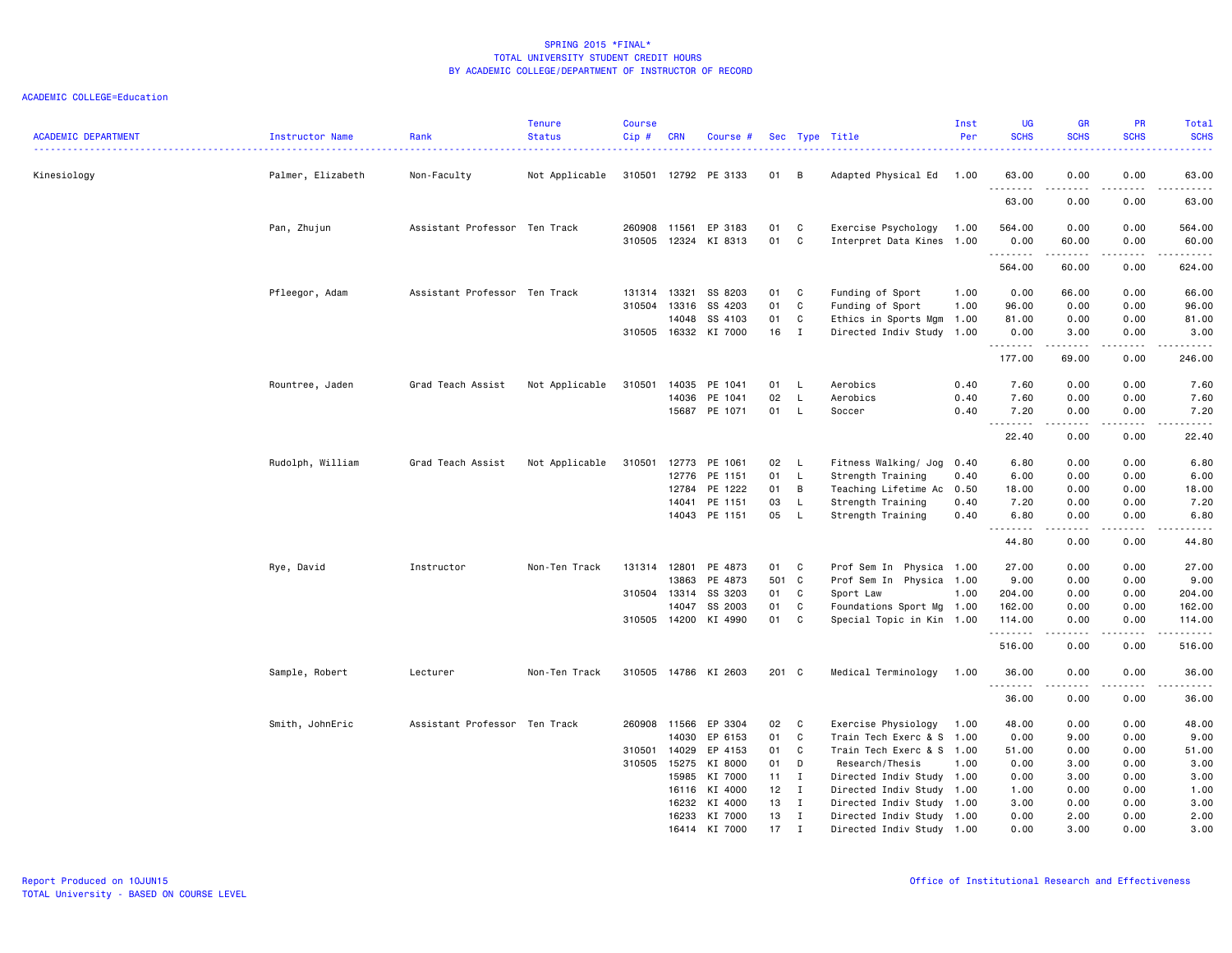| <b>ACADEMIC DEPARTMENT</b> | Instructor Name   | Rank                          | <b>Tenure</b><br><b>Status</b> | <b>Course</b><br>$Cip \#$ | CRN          | Course #                 |          |                              | Sec Type Title                                         | Inst<br>Per | <b>UG</b><br><b>SCHS</b> | GR<br><b>SCHS</b>                                                                                                                                             | PR<br><b>SCHS</b>                   | Total<br><b>SCHS</b><br>$\frac{1}{2} \left( \frac{1}{2} \right) \left( \frac{1}{2} \right) \left( \frac{1}{2} \right) \left( \frac{1}{2} \right)$ |
|----------------------------|-------------------|-------------------------------|--------------------------------|---------------------------|--------------|--------------------------|----------|------------------------------|--------------------------------------------------------|-------------|--------------------------|---------------------------------------------------------------------------------------------------------------------------------------------------------------|-------------------------------------|---------------------------------------------------------------------------------------------------------------------------------------------------|
| Kinesiology                | Palmer, Elizabeth | Non-Faculty                   | Not Applicable                 |                           |              | 310501 12792 PE 3133     | 01 B     |                              | Adapted Physical Ed                                    | 1.00        | 63.00                    | 0.00                                                                                                                                                          | 0.00                                | 63.00                                                                                                                                             |
|                            |                   |                               |                                |                           |              |                          |          |                              |                                                        |             | .<br>63.00               | -----<br>0.00                                                                                                                                                 | بالأباد<br>0.00                     | $\sim$ $\sim$ $\sim$ $\sim$ $\sim$<br>63.00                                                                                                       |
|                            | Pan, Zhujun       | Assistant Professor Ten Track |                                | 260908                    | 11561        | EP 3183                  | 01       | C                            | Exercise Psychology                                    | 1.00        | 564.00                   | 0.00                                                                                                                                                          | 0.00                                | 564.00                                                                                                                                            |
|                            |                   |                               |                                | 310505                    | 12324        | KI 8313                  | 01       | C                            | Interpret Data Kines 1.00                              |             | 0.00                     | 60.00                                                                                                                                                         | 0.00                                | 60.00                                                                                                                                             |
|                            |                   |                               |                                |                           |              |                          |          |                              |                                                        |             | .<br>564.00              | $\frac{1}{2} \left( \frac{1}{2} \right) \left( \frac{1}{2} \right) \left( \frac{1}{2} \right) \left( \frac{1}{2} \right) \left( \frac{1}{2} \right)$<br>60.00 | .<br>0.00                           | .<br>624.00                                                                                                                                       |
|                            | Pfleegor, Adam    | Assistant Professor Ten Track |                                | 131314 13321              |              | SS 8203                  | 01       | C                            | Funding of Sport                                       | 1.00        | 0.00                     | 66.00                                                                                                                                                         | 0.00                                | 66.00                                                                                                                                             |
|                            |                   |                               |                                | 310504                    | 13316        | SS 4203                  | 01       | C                            | Funding of Sport                                       | 1.00        | 96.00                    | 0.00                                                                                                                                                          | 0.00                                | 96.00                                                                                                                                             |
|                            |                   |                               |                                |                           | 14048        | SS 4103                  | 01       | C                            | Ethics in Sports Mgm                                   | 1.00        | 81.00                    | 0.00                                                                                                                                                          | 0.00                                | 81.00                                                                                                                                             |
|                            |                   |                               |                                | 310505 16332              |              | KI 7000                  | 16       | I                            | Directed Indiv Study 1.00                              |             | 0.00                     | 3.00                                                                                                                                                          | 0.00                                | 3.00                                                                                                                                              |
|                            |                   |                               |                                |                           |              |                          |          |                              |                                                        |             | .<br>177.00              | .<br>69.00                                                                                                                                                    | .<br>0.00                           | .<br>246.00                                                                                                                                       |
|                            | Rountree, Jaden   | Grad Teach Assist             | Not Applicable                 | 310501                    | 14035        | PE 1041                  | 01       | L                            | Aerobics                                               | 0.40        | 7.60                     | 0.00                                                                                                                                                          | 0.00                                | 7.60                                                                                                                                              |
|                            |                   |                               |                                |                           | 14036        | PE 1041                  | 02       | $\mathsf L$                  | Aerobics                                               | 0.40        | 7.60                     | 0.00                                                                                                                                                          | 0.00                                | 7.60                                                                                                                                              |
|                            |                   |                               |                                |                           |              | 15687 PE 1071            | 01       | $\mathsf{L}$                 | Soccer                                                 | 0.40        | 7.20                     | 0.00                                                                                                                                                          | 0.00                                | 7.20                                                                                                                                              |
|                            |                   |                               |                                |                           |              |                          |          |                              |                                                        |             | .                        | -----                                                                                                                                                         | .                                   | $\begin{array}{cccccccccccccc} \bullet & \bullet & \bullet & \bullet & \bullet & \bullet & \bullet \end{array}$                                   |
|                            |                   |                               |                                |                           |              |                          |          |                              |                                                        |             | 22.40                    | 0.00                                                                                                                                                          | 0.00                                | 22.40                                                                                                                                             |
|                            | Rudolph, William  | Grad Teach Assist             | Not Applicable                 | 310501                    | 12773        | PE 1061                  | 02       | - L                          | Fitness Walking/ Jog                                   | 0.40        | 6.80                     | 0.00                                                                                                                                                          | 0.00                                | 6.80                                                                                                                                              |
|                            |                   |                               |                                |                           | 12776        | PE 1151                  | 01       | $\mathsf{L}$                 | Strength Training                                      | 0.40        | 6.00                     | 0.00                                                                                                                                                          | 0.00                                | 6.00                                                                                                                                              |
|                            |                   |                               |                                |                           | 12784        | PE 1222                  | 01       | B                            | Teaching Lifetime Ac 0.50                              |             | 18.00                    | 0.00                                                                                                                                                          | 0.00                                | 18.00                                                                                                                                             |
|                            |                   |                               |                                |                           | 14041        | PE 1151                  | 03       | L.                           | Strength Training                                      | 0.40        | 7.20                     | 0.00                                                                                                                                                          | 0.00                                | 7.20                                                                                                                                              |
|                            |                   |                               |                                |                           | 14043        | PE 1151                  | 05       | L.                           | Strength Training                                      | 0.40        | 6.80                     | 0.00<br>د د د د                                                                                                                                               | 0.00<br>$\sim$ $\sim$ $\sim$ $\sim$ | 6.80<br>.                                                                                                                                         |
|                            |                   |                               |                                |                           |              |                          |          |                              |                                                        |             | 44.80                    | 0.00                                                                                                                                                          | 0.00                                | 44.80                                                                                                                                             |
|                            | Rye, David        | Instructor                    | Non-Ten Track                  | 131314 12801              |              | PE 4873                  | 01       | C                            | Prof Sem In Physica 1.00                               |             | 27.00                    | 0.00                                                                                                                                                          | 0.00                                | 27.00                                                                                                                                             |
|                            |                   |                               |                                |                           | 13863        | PE 4873                  | 501      | $\mathbf{C}$                 | Prof Sem In Physica 1.00                               |             | 9.00                     | 0.00                                                                                                                                                          | 0.00                                | 9.00                                                                                                                                              |
|                            |                   |                               |                                | 310504 13314              |              | SS 3203                  | 01       | C                            | Sport Law                                              | 1.00        | 204.00                   | 0.00                                                                                                                                                          | 0.00                                | 204.00                                                                                                                                            |
|                            |                   |                               |                                |                           | 14047        | SS 2003                  | 01       | C                            | Foundations Sport Mg 1.00                              |             | 162.00                   | 0.00                                                                                                                                                          | 0.00                                | 162.00                                                                                                                                            |
|                            |                   |                               |                                | 310505 14200              |              | KI 4990                  | 01       | C                            | Special Topic in Kin 1.00                              |             | 114,00<br>.              | 0.00<br>$- - - - -$                                                                                                                                           | 0.00<br>.                           | 114.00<br>.                                                                                                                                       |
|                            |                   |                               |                                |                           |              |                          |          |                              |                                                        |             | 516.00                   | 0.00                                                                                                                                                          | 0.00                                | 516.00                                                                                                                                            |
|                            | Sample, Robert    | Lecturer                      | Non-Ten Track                  |                           |              | 310505 14786 KI 2603     | 201 C    |                              | Medical Terminology                                    | 1.00        | 36.00<br>.               | 0.00<br>-----                                                                                                                                                 | 0.00<br>.                           | 36.00<br>.                                                                                                                                        |
|                            |                   |                               |                                |                           |              |                          |          |                              |                                                        |             | 36.00                    | 0.00                                                                                                                                                          | 0.00                                | 36.00                                                                                                                                             |
|                            | Smith, JohnEric   | Assistant Professor Ten Track |                                |                           | 260908 11566 | EP 3304                  | 02       | $\mathbf{C}$                 | Exercise Physiology                                    | 1.00        | 48.00                    | 0.00                                                                                                                                                          | 0.00                                | 48.00                                                                                                                                             |
|                            |                   |                               |                                |                           | 14030        | EP 6153                  | 01       | C                            | Train Tech Exerc & S 1.00                              |             | 0.00                     | 9.00                                                                                                                                                          | 0.00                                | 9.00                                                                                                                                              |
|                            |                   |                               |                                | 310501                    | 14029        | EP 4153                  | 01       | C                            | Train Tech Exerc & S 1.00                              |             | 51.00                    | 0.00                                                                                                                                                          | 0.00                                | 51.00                                                                                                                                             |
|                            |                   |                               |                                | 310505 15275              |              | KI 8000                  | 01       | D                            | Research/Thesis                                        | 1.00        | 0.00                     | 3.00                                                                                                                                                          | 0.00                                | 3.00                                                                                                                                              |
|                            |                   |                               |                                |                           | 15985        | KI 7000                  | 11       | $\mathbf{I}$                 | Directed Indiv Study 1.00                              |             | 0.00                     | 3.00                                                                                                                                                          | 0.00                                | 3.00                                                                                                                                              |
|                            |                   |                               |                                |                           | 16116        | KI 4000                  | 12       | $\blacksquare$               | Directed Indiv Study 1.00                              |             | 1.00                     | 0.00                                                                                                                                                          | 0.00                                | 1.00                                                                                                                                              |
|                            |                   |                               |                                |                           | 16232        | KI 4000                  | 13       | $\mathbf{I}$                 | Directed Indiv Study 1.00                              |             | 3.00                     | 0.00                                                                                                                                                          | 0.00                                | 3.00                                                                                                                                              |
|                            |                   |                               |                                |                           | 16233        | KI 7000<br>16414 KI 7000 | 13<br>17 | $\mathbf{I}$<br>$\mathsf{T}$ | Directed Indiv Study 1.00<br>Directed Indiv Study 1.00 |             | 0.00<br>0.00             | 2.00<br>3.00                                                                                                                                                  | 0.00<br>0.00                        | 2.00<br>3.00                                                                                                                                      |
|                            |                   |                               |                                |                           |              |                          |          |                              |                                                        |             |                          |                                                                                                                                                               |                                     |                                                                                                                                                   |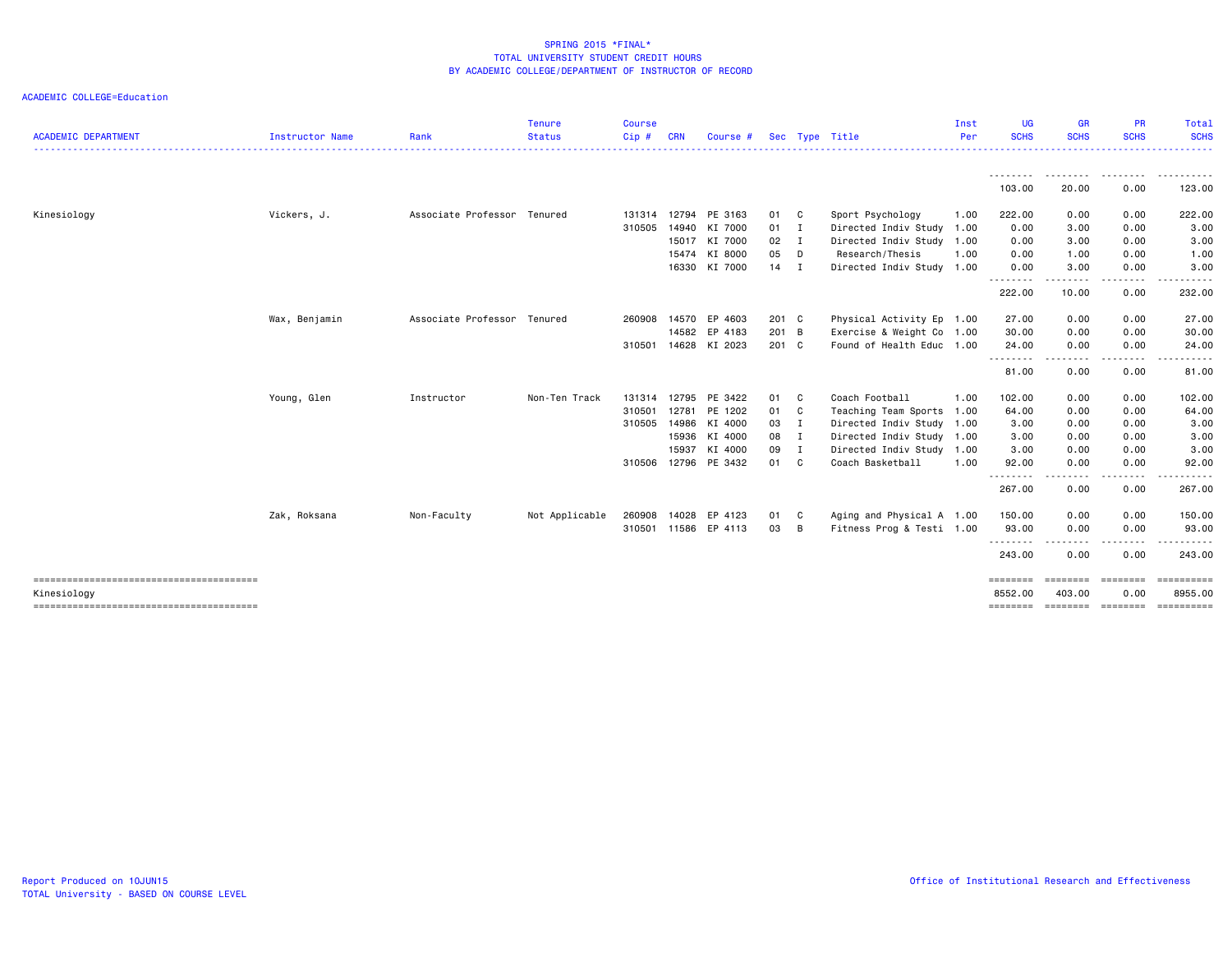| <b>ACADEMIC DEPARTMENT</b>             | <b>Instructor Name</b> | Rank                | Tenure<br><b>Status</b> | <b>Course</b><br>Cip# | <b>CRN</b> | Course #             |               |   | Sec Type Title            | Inst<br>Per | <b>UG</b><br><b>SCHS</b> | <b>GR</b><br><b>SCHS</b><br>. <u>.</u> .                                                                                                                                                                                                                                                                                                                                                             | <b>PR</b><br><b>SCHS</b> | Total<br><b>SCHS</b><br>. <u>.</u> . |
|----------------------------------------|------------------------|---------------------|-------------------------|-----------------------|------------|----------------------|---------------|---|---------------------------|-------------|--------------------------|------------------------------------------------------------------------------------------------------------------------------------------------------------------------------------------------------------------------------------------------------------------------------------------------------------------------------------------------------------------------------------------------------|--------------------------|--------------------------------------|
|                                        |                        |                     |                         |                       |            |                      |               |   |                           |             |                          | <u>.</u>                                                                                                                                                                                                                                                                                                                                                                                             |                          |                                      |
|                                        |                        |                     |                         |                       |            |                      |               |   |                           |             | 103.00                   | 20.00                                                                                                                                                                                                                                                                                                                                                                                                | 0.00                     | 123.00                               |
| Kinesiology                            | Vickers, J.            | Associate Professor | Tenured                 | 131314                | 12794      | PE 3163              | 01            | C | Sport Psychology          | 1.00        | 222.00                   | 0.00                                                                                                                                                                                                                                                                                                                                                                                                 | 0.00                     | 222.00                               |
|                                        |                        |                     |                         | 310505                | 14940      | KI 7000              | $01 \quad I$  |   | Directed Indiv Study 1.00 |             | 0.00                     | 3.00                                                                                                                                                                                                                                                                                                                                                                                                 | 0.00                     | 3.00                                 |
|                                        |                        |                     |                         |                       | 15017      | KI 7000              | $02 \qquad I$ |   | Directed Indiv Study 1.00 |             | 0.00                     | 3.00                                                                                                                                                                                                                                                                                                                                                                                                 | 0.00                     | 3.00                                 |
|                                        |                        |                     |                         |                       | 15474      | KI 8000              | 05            | D | Research/Thesis           | 1.00        | 0.00                     | 1.00                                                                                                                                                                                                                                                                                                                                                                                                 | 0.00                     | 1.00                                 |
|                                        |                        |                     |                         |                       | 16330      | KI 7000              | $14$ I        |   | Directed Indiv Study 1.00 |             | 0.00                     | 3.00                                                                                                                                                                                                                                                                                                                                                                                                 | 0.00                     | 3.00                                 |
|                                        |                        |                     |                         |                       |            |                      |               |   |                           |             | <u>.</u><br>222.00       | -----<br>10.00                                                                                                                                                                                                                                                                                                                                                                                       | .<br>0.00                | .<br>232.00                          |
|                                        | Wax, Benjamin          | Associate Professor | Tenured                 | 260908                | 14570      | EP 4603              | $201$ C       |   | Physical Activity Ep 1.00 |             | 27.00                    | 0.00                                                                                                                                                                                                                                                                                                                                                                                                 | 0.00                     | 27.00                                |
|                                        |                        |                     |                         |                       | 14582      | EP 4183              | 201 B         |   | Exercise & Weight Co 1.00 |             | 30.00                    | 0.00                                                                                                                                                                                                                                                                                                                                                                                                 | 0.00                     | 30.00                                |
|                                        |                        |                     |                         | 310501                | 14628      | KI 2023              | 201 C         |   | Found of Health Educ 1.00 |             | 24.00                    | 0.00                                                                                                                                                                                                                                                                                                                                                                                                 | 0.00                     | 24.00                                |
|                                        |                        |                     |                         |                       |            |                      |               |   |                           |             | - - - - - - - -<br>81.00 | $\frac{1}{2} \frac{1}{2} \frac{1}{2} \frac{1}{2} \frac{1}{2} \frac{1}{2} \frac{1}{2} \frac{1}{2} \frac{1}{2} \frac{1}{2} \frac{1}{2} \frac{1}{2} \frac{1}{2} \frac{1}{2} \frac{1}{2} \frac{1}{2} \frac{1}{2} \frac{1}{2} \frac{1}{2} \frac{1}{2} \frac{1}{2} \frac{1}{2} \frac{1}{2} \frac{1}{2} \frac{1}{2} \frac{1}{2} \frac{1}{2} \frac{1}{2} \frac{1}{2} \frac{1}{2} \frac{1}{2} \frac{$<br>0.00 | 0.00                     | .<br>81.00                           |
|                                        | Young, Glen            | Instructor          | Non-Ten Track           | 131314                |            | 12795 PE 3422        | 01 C          |   | Coach Football            | 1.00        | 102.00                   | 0.00                                                                                                                                                                                                                                                                                                                                                                                                 | 0.00                     | 102.00                               |
|                                        |                        |                     |                         | 310501                | 12781      | PE 1202              | 01 C          |   | Teaching Team Sports 1.00 |             | 64.00                    | 0.00                                                                                                                                                                                                                                                                                                                                                                                                 | 0.00                     | 64.00                                |
|                                        |                        |                     |                         | 310505                |            | 14986 KI 4000        | 03 I          |   | Directed Indiv Study 1.00 |             | 3.00                     | 0.00                                                                                                                                                                                                                                                                                                                                                                                                 | 0.00                     | 3.00                                 |
|                                        |                        |                     |                         |                       |            | 15936 KI 4000        | 08 I          |   | Directed Indiv Study 1.00 |             | 3.00                     | 0.00                                                                                                                                                                                                                                                                                                                                                                                                 | 0.00                     | 3.00                                 |
|                                        |                        |                     |                         |                       | 15937      | KI 4000              | 09 I          |   | Directed Indiv Study      | 1.00        | 3.00                     | 0.00                                                                                                                                                                                                                                                                                                                                                                                                 | 0.00                     | 3.00                                 |
|                                        |                        |                     |                         | 310506                |            | 12796 PE 3432        | 01 C          |   | Coach Basketball          | 1.00        | 92.00                    | 0.00                                                                                                                                                                                                                                                                                                                                                                                                 | 0.00                     | 92.00                                |
|                                        |                        |                     |                         |                       |            |                      |               |   |                           |             | .<br>267.00              | .<br>0.00                                                                                                                                                                                                                                                                                                                                                                                            | - - - - - - - -<br>0.00  | .<br>267.00                          |
|                                        | Zak, Roksana           | Non-Faculty         | Not Applicable          | 260908                | 14028      | EP 4123              | 01            | C | Aging and Physical A 1.00 |             | 150.00                   | 0.00                                                                                                                                                                                                                                                                                                                                                                                                 | 0.00                     | 150.00                               |
|                                        |                        |                     |                         |                       |            | 310501 11586 EP 4113 | 03            | B | Fitness Prog & Testi 1.00 |             | 93.00                    | 0.00                                                                                                                                                                                                                                                                                                                                                                                                 | 0.00                     | 93.00                                |
|                                        |                        |                     |                         |                       |            |                      |               |   |                           |             | <u>.</u><br>243.00       | $\cdots$<br>0.00                                                                                                                                                                                                                                                                                                                                                                                     | .<br>0.00                | .<br>243.00                          |
| -------------------------------------- |                        |                     |                         |                       |            |                      |               |   |                           |             | ========                 | ========                                                                                                                                                                                                                                                                                                                                                                                             | ========                 | ==========                           |
| Kinesiology                            |                        |                     |                         |                       |            |                      |               |   |                           |             | 8552.00                  | 403,00                                                                                                                                                                                                                                                                                                                                                                                               | 0.00                     | 8955.00                              |
| -------------------------------------- |                        |                     |                         |                       |            |                      |               |   |                           |             | ========                 |                                                                                                                                                                                                                                                                                                                                                                                                      | essesses essesses        | ==========                           |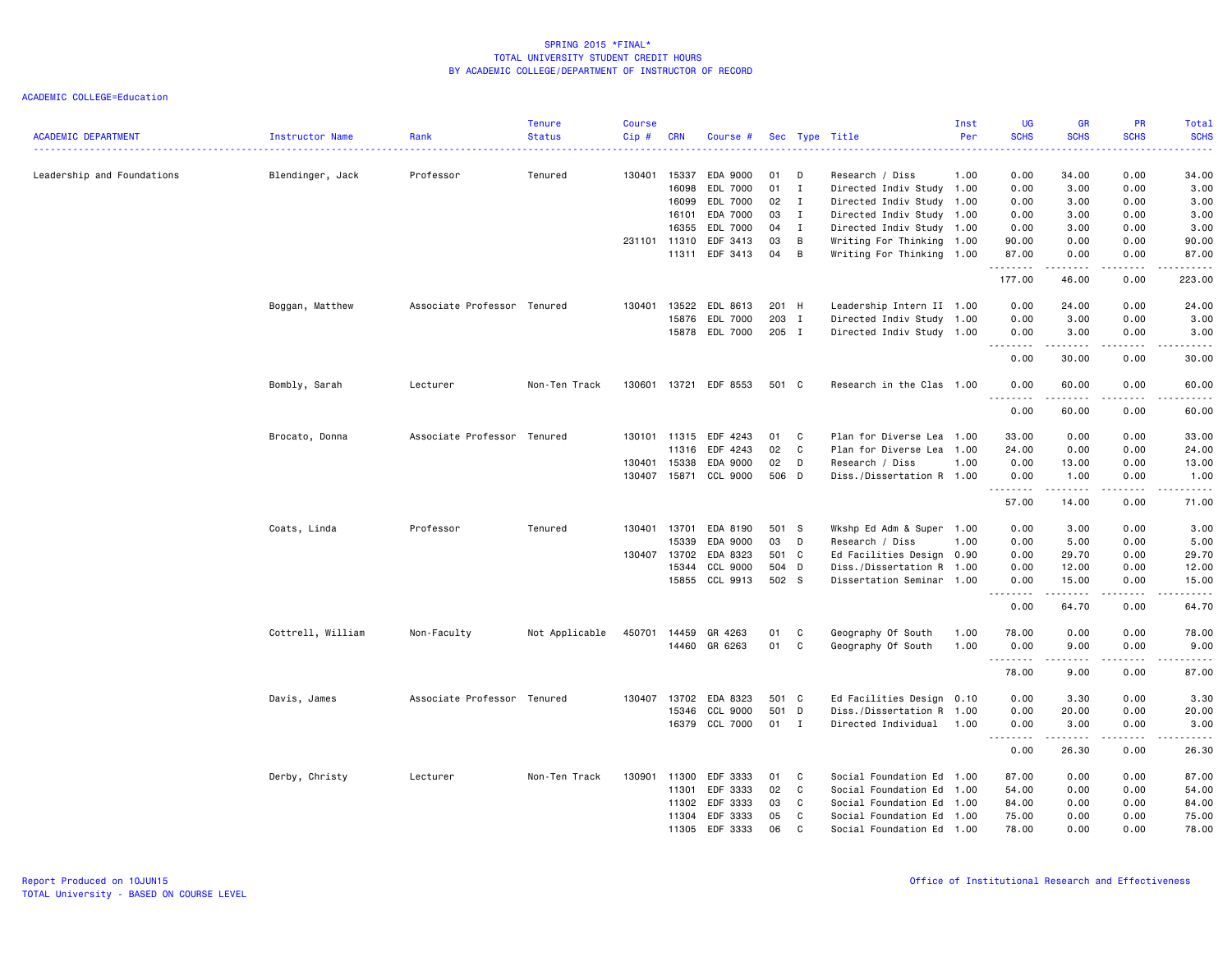| <b>ACADEMIC DEPARTMENT</b> | Instructor Name   | Rank                        | <b>Tenure</b><br><b>Status</b> | <b>Course</b><br>$Cip \#$ | <b>CRN</b>   | Course #              |       |              | Sec Type Title            | Inst<br>Per | <b>UG</b><br><b>SCHS</b>                                                                                                                                     | <b>GR</b><br><b>SCHS</b>                                                                                                                                     | PR<br><b>SCHS</b> | Total<br><b>SCHS</b> |
|----------------------------|-------------------|-----------------------------|--------------------------------|---------------------------|--------------|-----------------------|-------|--------------|---------------------------|-------------|--------------------------------------------------------------------------------------------------------------------------------------------------------------|--------------------------------------------------------------------------------------------------------------------------------------------------------------|-------------------|----------------------|
|                            |                   |                             |                                |                           |              |                       |       |              |                           |             |                                                                                                                                                              |                                                                                                                                                              |                   | 22222                |
| Leadership and Foundations | Blendinger, Jack  | Professor                   | Tenured                        |                           | 130401 15337 | EDA 9000              | 01    | D            | Research / Diss           | 1.00        | 0.00                                                                                                                                                         | 34.00                                                                                                                                                        | 0.00              | 34.00                |
|                            |                   |                             |                                |                           | 16098        | EDL 7000              | 01    | I            | Directed Indiv Study 1.00 |             | 0.00                                                                                                                                                         | 3.00                                                                                                                                                         | 0.00              | 3.00                 |
|                            |                   |                             |                                |                           | 16099        | EDL 7000              | 02    | I            | Directed Indiv Study 1.00 |             | 0.00                                                                                                                                                         | 3.00                                                                                                                                                         | 0.00              | 3.00                 |
|                            |                   |                             |                                |                           | 16101        | EDA 7000              | 03    | $\mathbf{I}$ | Directed Indiv Study 1.00 |             | 0.00                                                                                                                                                         | 3.00                                                                                                                                                         | 0.00              | 3.00                 |
|                            |                   |                             |                                |                           | 16355        | EDL 7000              | 04    | $\mathbf I$  | Directed Indiv Study 1.00 |             | 0.00                                                                                                                                                         | 3.00                                                                                                                                                         | 0.00              | 3.00                 |
|                            |                   |                             |                                |                           | 231101 11310 | EDF 3413              | 03    | B            | Writing For Thinking 1.00 |             | 90.00                                                                                                                                                        | 0.00                                                                                                                                                         | 0.00              | 90.00                |
|                            |                   |                             |                                |                           | 11311        | EDF 3413              | 04    | B            | Writing For Thinking 1.00 |             | 87.00<br>.                                                                                                                                                   | 0.00<br>$\begin{array}{cccccccccc} \bullet & \bullet & \bullet & \bullet & \bullet & \bullet & \bullet \end{array}$                                          | 0.00<br>.         | 87.00<br>.           |
|                            |                   |                             |                                |                           |              |                       |       |              |                           |             | 177.00                                                                                                                                                       | 46.00                                                                                                                                                        | 0.00              | 223.00               |
|                            | Boggan, Matthew   | Associate Professor Tenured |                                | 130401                    | 13522        | EDL 8613              | 201 H |              | Leadership Intern II 1.00 |             | 0.00                                                                                                                                                         | 24.00                                                                                                                                                        | 0.00              | 24.00                |
|                            |                   |                             |                                |                           | 15876        | EDL 7000              | 203   | $\mathbf{I}$ | Directed Indiv Study 1.00 |             | 0.00                                                                                                                                                         | 3.00                                                                                                                                                         | 0.00              | 3.00                 |
|                            |                   |                             |                                |                           | 15878        | EDL 7000              | 205 I |              | Directed Indiv Study 1.00 |             | 0.00<br>$\frac{1}{2} \left( \frac{1}{2} \right) \left( \frac{1}{2} \right) \left( \frac{1}{2} \right) \left( \frac{1}{2} \right) \left( \frac{1}{2} \right)$ | 3.00<br>$\frac{1}{2} \left( \frac{1}{2} \right) \left( \frac{1}{2} \right) \left( \frac{1}{2} \right) \left( \frac{1}{2} \right) \left( \frac{1}{2} \right)$ | 0.00<br>.         | 3.00<br>-----        |
|                            |                   |                             |                                |                           |              |                       |       |              |                           |             | 0.00                                                                                                                                                         | 30.00                                                                                                                                                        | 0.00              | 30.00                |
|                            | Bombly, Sarah     | Lecturer                    | Non-Ten Track                  |                           |              | 130601 13721 EDF 8553 | 501 C |              | Research in the Clas 1.00 |             | 0.00                                                                                                                                                         | 60.00<br>.                                                                                                                                                   | 0.00<br>.         | 60.00<br>د د د د د   |
|                            |                   |                             |                                |                           |              |                       |       |              |                           |             | 0.00                                                                                                                                                         | 60.00                                                                                                                                                        | 0.00              | 60.00                |
|                            | Brocato, Donna    | Associate Professor Tenured |                                |                           | 130101 11315 | EDF 4243              | 01    | C            | Plan for Diverse Lea 1.00 |             | 33.00                                                                                                                                                        | 0.00                                                                                                                                                         | 0.00              | 33.00                |
|                            |                   |                             |                                |                           | 11316        | EDF 4243              | 02    | C            | Plan for Diverse Lea 1.00 |             | 24.00                                                                                                                                                        | 0.00                                                                                                                                                         | 0.00              | 24.00                |
|                            |                   |                             |                                | 130401                    | 15338        | EDA 9000              | 02    | D            | Research / Diss           | 1.00        | 0.00                                                                                                                                                         | 13.00                                                                                                                                                        | 0.00              | 13.00                |
|                            |                   |                             |                                |                           | 130407 15871 | CCL 9000              | 506 D |              | Diss./Dissertation R 1.00 |             | 0.00                                                                                                                                                         | 1.00                                                                                                                                                         | 0.00              | 1.00                 |
|                            |                   |                             |                                |                           |              |                       |       |              |                           |             | .<br>57.00                                                                                                                                                   | <u>.</u><br>14.00                                                                                                                                            | .<br>0.00         | -----<br>71.00       |
|                            | Coats, Linda      | Professor                   | Tenured                        |                           | 130401 13701 | EDA 8190              | 501 S |              | Wkshp Ed Adm & Super 1.00 |             | 0.00                                                                                                                                                         | 3.00                                                                                                                                                         | 0.00              | 3.00                 |
|                            |                   |                             |                                |                           | 15339        | EDA 9000              | 03    | D            | Research / Diss           | 1.00        | 0.00                                                                                                                                                         | 5.00                                                                                                                                                         | 0.00              | 5.00                 |
|                            |                   |                             |                                | 130407                    | 13702        | EDA 8323              | 501 C |              | Ed Facilities Design 0.90 |             | 0.00                                                                                                                                                         | 29.70                                                                                                                                                        | 0.00              | 29.70                |
|                            |                   |                             |                                |                           | 15344        | CCL 9000              | 504 D |              | Diss./Dissertation R 1.00 |             | 0.00                                                                                                                                                         | 12.00                                                                                                                                                        | 0.00              | 12.00                |
|                            |                   |                             |                                |                           |              | 15855 CCL 9913        | 502 S |              | Dissertation Seminar 1.00 |             | 0.00                                                                                                                                                         | 15.00                                                                                                                                                        | 0.00              | 15.00                |
|                            |                   |                             |                                |                           |              |                       |       |              |                           |             | .<br>0.00                                                                                                                                                    | .<br>64.70                                                                                                                                                   | .<br>0.00         | .<br>64.70           |
|                            | Cottrell, William | Non-Faculty                 | Not Applicable                 | 450701                    | 14459        | GR 4263               | 01    | C            | Geography Of South        | 1.00        | 78.00                                                                                                                                                        | 0.00                                                                                                                                                         | 0.00              | 78.00                |
|                            |                   |                             |                                |                           |              | 14460 GR 6263         | 01    | C            | Geography Of South        | 1.00        | 0.00                                                                                                                                                         | 9.00                                                                                                                                                         | 0.00              | 9.00                 |
|                            |                   |                             |                                |                           |              |                       |       |              |                           |             | .                                                                                                                                                            | $\frac{1}{2} \left( \frac{1}{2} \right) \left( \frac{1}{2} \right) \left( \frac{1}{2} \right) \left( \frac{1}{2} \right) \left( \frac{1}{2} \right)$         | .                 | د د د د د            |
|                            |                   |                             |                                |                           |              |                       |       |              |                           |             | 78.00                                                                                                                                                        | 9.00                                                                                                                                                         | 0.00              | 87.00                |
|                            | Davis, James      | Associate Professor Tenured |                                | 130407                    | 13702        | EDA 8323              | 501   | $\mathbf{C}$ | Ed Facilities Design 0.10 |             | 0.00                                                                                                                                                         | 3.30                                                                                                                                                         | 0.00              | 3.30                 |
|                            |                   |                             |                                |                           | 15346        | CCL 9000              | 501 D |              | Diss./Dissertation R 1.00 |             | 0.00                                                                                                                                                         | 20.00                                                                                                                                                        | 0.00              | 20.00                |
|                            |                   |                             |                                |                           | 16379        | <b>CCL 7000</b>       | 01    | I            | Directed Individual 1.00  |             | 0.00                                                                                                                                                         | 3.00<br>.                                                                                                                                                    | 0.00<br>المتماما  | 3.00<br>د د د د د    |
|                            |                   |                             |                                |                           |              |                       |       |              |                           |             | 0.00                                                                                                                                                         | 26.30                                                                                                                                                        | 0.00              | 26.30                |
|                            | Derby, Christy    | Lecturer                    | Non-Ten Track                  | 130901                    | 11300        | EDF 3333              | 01    | C            | Social Foundation Ed 1.00 |             | 87.00                                                                                                                                                        | 0.00                                                                                                                                                         | 0.00              | 87.00                |
|                            |                   |                             |                                |                           | 11301        | EDF 3333              | 02    | C            | Social Foundation Ed 1.00 |             | 54.00                                                                                                                                                        | 0.00                                                                                                                                                         | 0.00              | 54.00                |
|                            |                   |                             |                                |                           | 11302        | EDF 3333              | 03    | C            | Social Foundation Ed 1.00 |             | 84.00                                                                                                                                                        | 0.00                                                                                                                                                         | 0.00              | 84.00                |
|                            |                   |                             |                                |                           | 11304        | EDF 3333              | 05    | C            | Social Foundation Ed 1.00 |             | 75.00                                                                                                                                                        | 0.00                                                                                                                                                         | 0.00              | 75.00                |
|                            |                   |                             |                                |                           |              | 11305 EDF 3333        | 06    | C            | Social Foundation Ed 1.00 |             | 78.00                                                                                                                                                        | 0.00                                                                                                                                                         | 0.00              | 78.00                |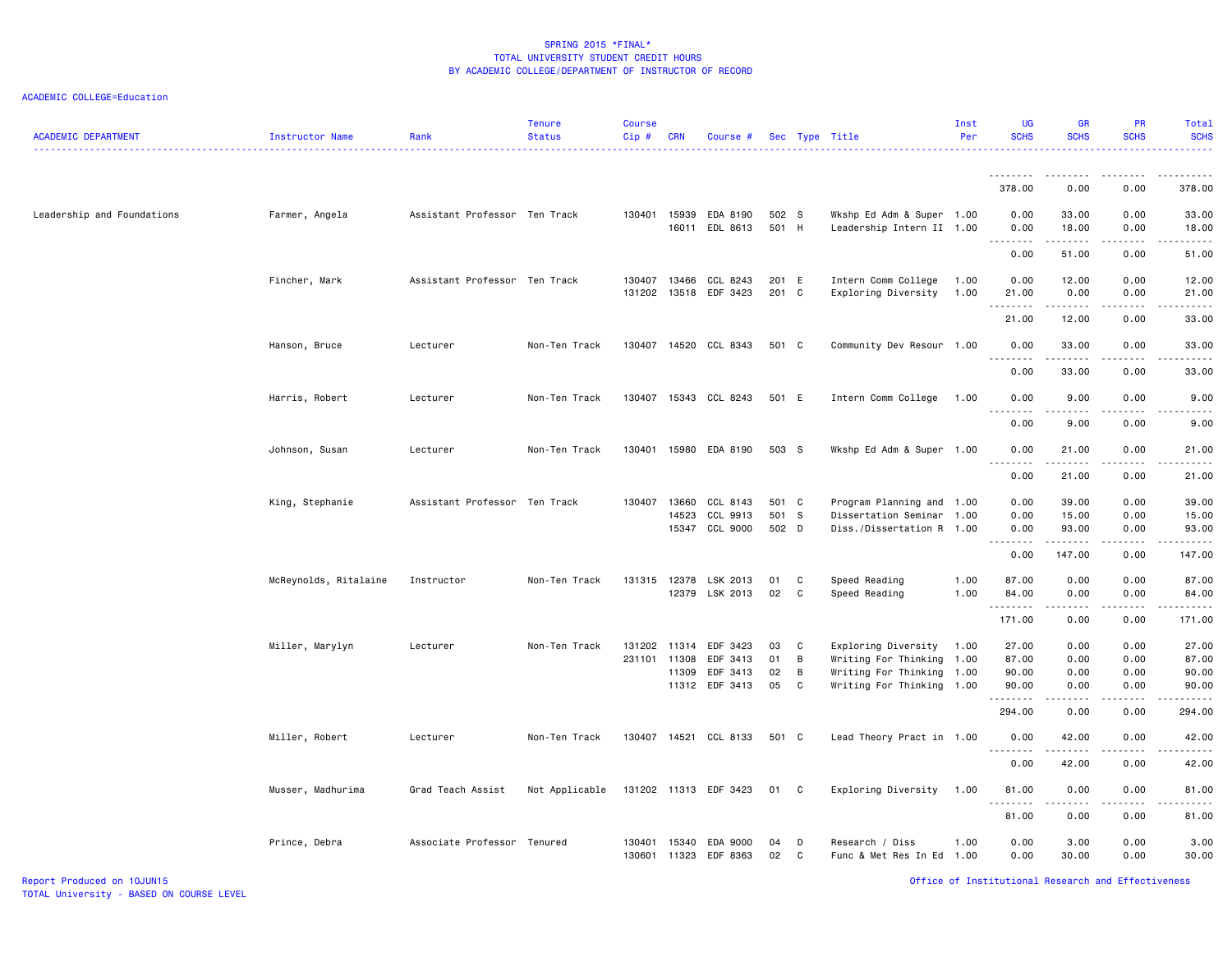ACADEMIC COLLEGE=Education

| <b>ACADEMIC DEPARTMENT</b> | Instructor Name       | Rank                          | <b>Tenure</b><br><b>Status</b> | <b>Course</b><br>Cip# | <b>CRN</b>   | Course #                                |                |                | Sec Type Title                                         | Inst<br>Per  | UG<br><b>SCHS</b>                                                                                                                                                               | <b>GR</b><br><b>SCHS</b>                      | PR<br><b>SCHS</b>                                                                                                                                                    | <b>Total</b><br><b>SCHS</b> |
|----------------------------|-----------------------|-------------------------------|--------------------------------|-----------------------|--------------|-----------------------------------------|----------------|----------------|--------------------------------------------------------|--------------|---------------------------------------------------------------------------------------------------------------------------------------------------------------------------------|-----------------------------------------------|----------------------------------------------------------------------------------------------------------------------------------------------------------------------|-----------------------------|
|                            |                       |                               |                                |                       |              |                                         |                |                |                                                        |              | .<br>378.00                                                                                                                                                                     | 0.00                                          | 0.00                                                                                                                                                                 | 378.00                      |
|                            |                       |                               |                                |                       |              |                                         |                |                |                                                        |              |                                                                                                                                                                                 |                                               |                                                                                                                                                                      |                             |
| Leadership and Foundations | Farmer, Angela        | Assistant Professor Ten Track |                                |                       |              | 130401 15939 EDA 8190<br>16011 EDL 8613 | 502 S<br>501 H |                | Wkshp Ed Adm & Super 1.00<br>Leadership Intern II 1.00 |              | 0.00<br>0.00<br>.                                                                                                                                                               | 33.00<br>18.00<br>.                           | 0.00<br>0.00<br>$\frac{1}{2} \left( \frac{1}{2} \right) \left( \frac{1}{2} \right) \left( \frac{1}{2} \right) \left( \frac{1}{2} \right) \left( \frac{1}{2} \right)$ | 33.00<br>18.00<br>.         |
|                            |                       |                               |                                |                       |              |                                         |                |                |                                                        |              | 0.00                                                                                                                                                                            | 51.00                                         | 0.00                                                                                                                                                                 | 51.00                       |
|                            | Fincher, Mark         | Assistant Professor Ten Track |                                | 130407                | 13466        | CCL 8243<br>131202 13518 EDF 3423       | 201 E<br>201 C |                | Intern Comm College<br>Exploring Diversity             | 1.00<br>1.00 | 0.00<br>21.00<br>.                                                                                                                                                              | 12.00<br>0.00                                 | 0.00<br>0.00                                                                                                                                                         | 12.00<br>21.00              |
|                            |                       |                               |                                |                       |              |                                         |                |                |                                                        |              | 21.00                                                                                                                                                                           | 12.00                                         | 0.00                                                                                                                                                                 | 33.00                       |
|                            | Hanson, Bruce         | Lecturer                      | Non-Ten Track                  |                       |              | 130407 14520 CCL 8343                   | 501 C          |                | Community Dev Resour 1.00                              |              | 0.00<br>.                                                                                                                                                                       | 33.00<br>.                                    | 0.00                                                                                                                                                                 | 33.00                       |
|                            |                       |                               |                                |                       |              |                                         |                |                |                                                        |              | 0.00                                                                                                                                                                            | 33.00                                         | 0.00                                                                                                                                                                 | 33.00                       |
|                            | Harris, Robert        | Lecturer                      | Non-Ten Track                  |                       |              | 130407 15343 CCL 8243                   | 501 E          |                | Intern Comm College                                    | 1.00         | 0.00<br>.                                                                                                                                                                       | 9.00<br>.                                     | 0.00                                                                                                                                                                 | 9.00                        |
|                            |                       |                               |                                |                       |              |                                         |                |                |                                                        |              | 0.00                                                                                                                                                                            | 9.00                                          | 0.00                                                                                                                                                                 | 9.00                        |
|                            | Johnson, Susan        | Lecturer                      | Non-Ten Track                  |                       |              | 130401 15980 EDA 8190                   | 503 S          |                | Wkshp Ed Adm & Super 1.00                              |              | 0.00<br>$\sim$ $\sim$ .<br>$\frac{1}{2} \left( \frac{1}{2} \right) \left( \frac{1}{2} \right) \left( \frac{1}{2} \right) \left( \frac{1}{2} \right) \left( \frac{1}{2} \right)$ | 21.00<br>.                                    | 0.00<br>.                                                                                                                                                            | 21.00                       |
|                            |                       |                               |                                |                       |              |                                         |                |                |                                                        |              | 0.00                                                                                                                                                                            | 21.00                                         | 0.00                                                                                                                                                                 | 21.00                       |
|                            | King, Stephanie       | Assistant Professor Ten Track |                                | 130407                | 13660        | CCL 8143                                | 501 C          |                | Program Planning and 1.00                              |              | 0.00                                                                                                                                                                            | 39.00                                         | 0.00                                                                                                                                                                 | 39.00                       |
|                            |                       |                               |                                |                       | 14523        | CCL 9913                                | 501 S          |                | Dissertation Seminar                                   | 1.00         | 0.00                                                                                                                                                                            | 15.00                                         | 0.00                                                                                                                                                                 | 15.00                       |
|                            |                       |                               |                                |                       |              | 15347 CCL 9000                          | 502 D          |                | Diss./Dissertation R 1.00                              |              | 0.00<br><u>.</u>                                                                                                                                                                | 93.00<br>.                                    | 0.00<br>.                                                                                                                                                            | 93.00                       |
|                            |                       |                               |                                |                       |              |                                         |                |                |                                                        |              | 0.00                                                                                                                                                                            | 147.00                                        | 0.00                                                                                                                                                                 | 147.00                      |
|                            | McReynolds, Ritalaine | Instructor                    | Non-Ten Track                  |                       | 131315 12378 | LSK 2013                                | 01             | C              | Speed Reading                                          | 1.00         | 87.00                                                                                                                                                                           | 0.00                                          | 0.00                                                                                                                                                                 | 87.00                       |
|                            |                       |                               |                                |                       | 12379        | LSK 2013                                | 02             | $\mathbf{C}$   | Speed Reading                                          | 1.00         | 84.00<br>.                                                                                                                                                                      | 0.00<br>$\omega_{\rm c}$ and $\omega_{\rm c}$ | 0.00<br>.                                                                                                                                                            | 84.00<br>. <u>.</u> .       |
|                            |                       |                               |                                |                       |              |                                         |                |                |                                                        |              | 171.00                                                                                                                                                                          | 0.00                                          | 0.00                                                                                                                                                                 | 171.00                      |
|                            | Miller, Marylyn       | Lecturer                      | Non-Ten Track                  | 131202                | 11314        | EDF 3423                                | 03             | $\mathbf{C}$   | Exploring Diversity                                    | 1.00         | 27.00                                                                                                                                                                           | 0.00                                          | 0.00                                                                                                                                                                 | 27.00                       |
|                            |                       |                               |                                | 231101                | 11308        | EDF 3413                                | 01             | B              | Writing For Thinking 1.00                              |              | 87.00                                                                                                                                                                           | 0.00                                          | 0.00                                                                                                                                                                 | 87.00                       |
|                            |                       |                               |                                |                       | 11309        | EDF 3413                                | 02             | $\overline{B}$ | Writing For Thinking 1.00                              |              | 90.00                                                                                                                                                                           | 0.00                                          | 0.00                                                                                                                                                                 | 90.00                       |
|                            |                       |                               |                                |                       |              | 11312 EDF 3413                          | 05             | $\mathbf{C}$   | Writing For Thinking 1.00                              |              | 90.00<br>.                                                                                                                                                                      | 0.00<br>.                                     | 0.00<br>د د د د                                                                                                                                                      | 90.00                       |
|                            |                       |                               |                                |                       |              |                                         |                |                |                                                        |              | 294.00                                                                                                                                                                          | 0.00                                          | 0.00                                                                                                                                                                 | 294.00                      |
|                            | Miller, Robert        | Lecturer                      | Non-Ten Track                  |                       |              | 130407 14521 CCL 8133                   | 501 C          |                | Lead Theory Pract in 1.00                              |              | 0.00<br><u>.</u>                                                                                                                                                                | 42.00                                         | 0.00                                                                                                                                                                 | 42.00                       |
|                            |                       |                               |                                |                       |              |                                         |                |                |                                                        |              | 0.00                                                                                                                                                                            | 42.00                                         | 0.00                                                                                                                                                                 | 42.00                       |
|                            | Musser, Madhurima     | Grad Teach Assist             | Not Applicable                 |                       |              | 131202 11313 EDF 3423                   | 01 C           |                | Exploring Diversity                                    | 1.00         | 81.00                                                                                                                                                                           | 0.00                                          | 0.00                                                                                                                                                                 | 81.00                       |
|                            |                       |                               |                                |                       |              |                                         |                |                |                                                        |              | 81.00                                                                                                                                                                           | 0.00                                          | 0.00                                                                                                                                                                 | 81.00                       |
|                            | Prince, Debra         | Associate Professor Tenured   |                                | 130401                | 15340        | EDA 9000                                | 04             | D              | Research / Diss                                        | 1.00         | 0.00                                                                                                                                                                            | 3.00                                          | 0.00                                                                                                                                                                 | 3.00                        |
|                            |                       |                               |                                | 130601                | 11323        | EDF 8363                                | 02             | C              | Func & Met Res In Ed 1.00                              |              | 0.00                                                                                                                                                                            | 30.00                                         | 0.00                                                                                                                                                                 | 30.00                       |

Report Produced on 10JUN15 Office of Institutional Research and Effectiveness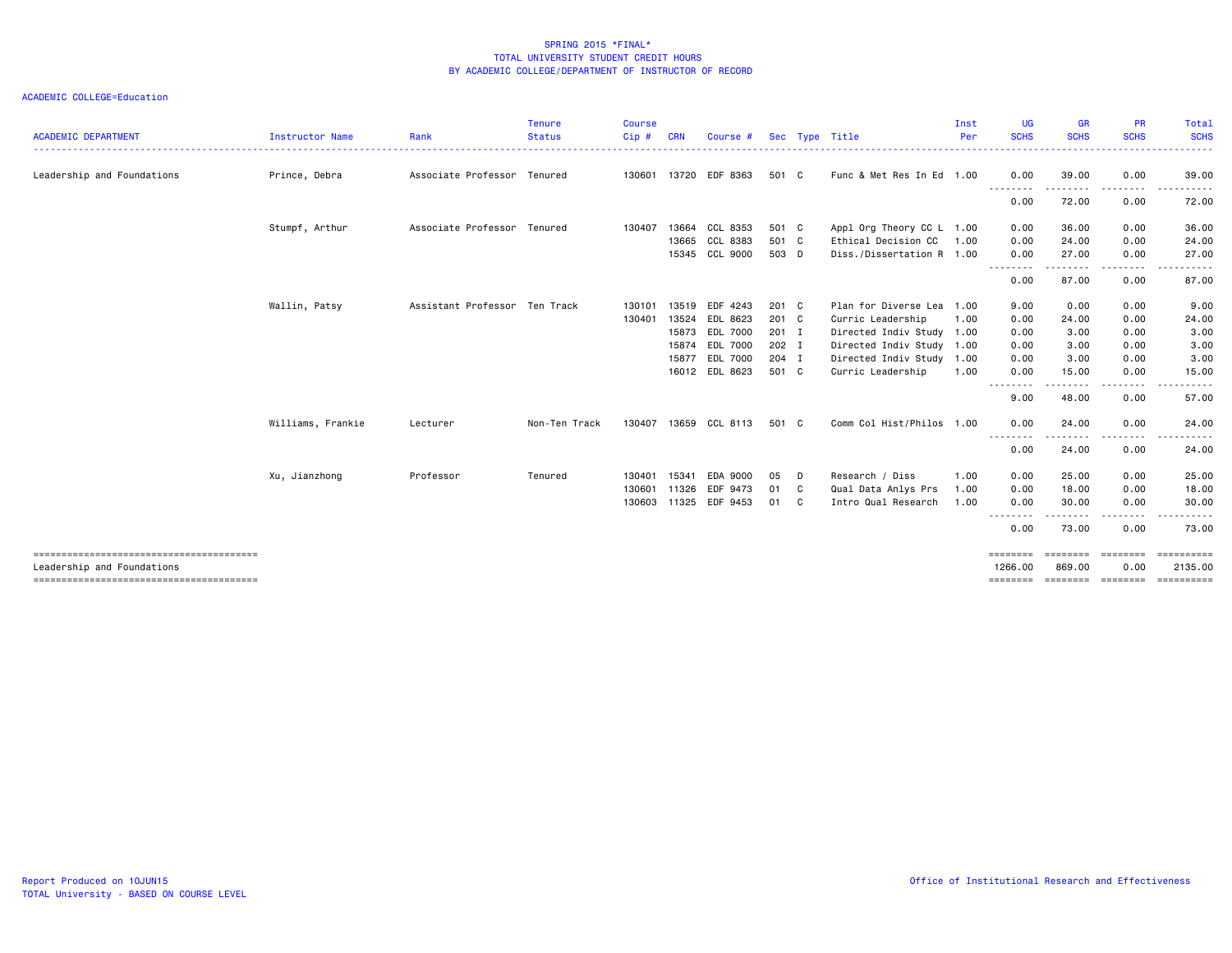| <b>ACADEMIC DEPARTMENT</b> | <b>Instructor Name</b> | Rank                          | <b>Tenure</b><br><b>Status</b> | <b>Course</b><br>$Cip$ # | <b>CRN</b> | Course #              |       |                | Sec Type Title            | Inst<br>Per | <b>UG</b><br><b>SCHS</b><br>. | <b>GR</b><br><b>SCHS</b>                                                                                                                                                                 | <b>PR</b><br><b>SCHS</b>                                                                                                          | <b>Total</b><br><b>SCHS</b><br>$\cdots$ |
|----------------------------|------------------------|-------------------------------|--------------------------------|--------------------------|------------|-----------------------|-------|----------------|---------------------------|-------------|-------------------------------|------------------------------------------------------------------------------------------------------------------------------------------------------------------------------------------|-----------------------------------------------------------------------------------------------------------------------------------|-----------------------------------------|
| Leadership and Foundations | Prince, Debra          | Associate Professor Tenured   |                                |                          |            | 130601 13720 EDF 8363 | 501 C |                | Func & Met Res In Ed 1.00 |             | 0.00                          | 39.00                                                                                                                                                                                    | 0.00                                                                                                                              | 39.00                                   |
|                            |                        |                               |                                |                          |            |                       |       |                |                           |             | --------<br>0.00              | -------<br>72.00                                                                                                                                                                         | .<br>0.00                                                                                                                         | .<br>72.00                              |
|                            | Stumpf, Arthur         | Associate Professor Tenured   |                                | 130407                   | 13664      | CCL 8353              | 501 C |                | Appl Org Theory CC L 1.00 |             | 0.00                          | 36.00                                                                                                                                                                                    | 0.00                                                                                                                              | 36.00                                   |
|                            |                        |                               |                                |                          | 13665      | CCL 8383              | 501 C |                | Ethical Decision CC       | 1.00        | 0.00                          | 24.00                                                                                                                                                                                    | 0.00                                                                                                                              | 24.00                                   |
|                            |                        |                               |                                |                          |            | 15345 CCL 9000        | 503 D |                | Diss./Dissertation R 1.00 |             | 0.00<br>$\cdots$              | 27.00                                                                                                                                                                                    | 0.00<br>.                                                                                                                         | 27.00                                   |
|                            |                        |                               |                                |                          |            |                       |       |                |                           |             | 0.00                          | 87.00                                                                                                                                                                                    | 0.00                                                                                                                              | 87.00                                   |
|                            | Wallin, Patsy          | Assistant Professor Ten Track |                                | 130101                   | 13519      | EDF 4243              | 201 C |                | Plan for Diverse Lea 1.00 |             | 9.00                          | 0.00                                                                                                                                                                                     | 0.00                                                                                                                              | 9.00                                    |
|                            |                        |                               |                                | 130401                   | 13524      | EDL 8623              | 201 C |                | Curric Leadership         | 1.00        | 0.00                          | 24.00                                                                                                                                                                                    | 0.00                                                                                                                              | 24.00                                   |
|                            |                        |                               |                                |                          | 15873      | <b>EDL 7000</b>       | 201 I |                | Directed Indiv Study 1.00 |             | 0.00                          | 3.00                                                                                                                                                                                     | 0.00                                                                                                                              | 3.00                                    |
|                            |                        |                               |                                |                          | 15874      | EDL 7000              | 202 I |                | Directed Indiv Study      | 1.00        | 0.00                          | 3.00                                                                                                                                                                                     | 0.00                                                                                                                              | 3.00                                    |
|                            |                        |                               |                                |                          | 15877      | EDL 7000              | 204 I |                | Directed Indiv Study      | 1.00        | 0.00                          | 3.00                                                                                                                                                                                     | 0.00                                                                                                                              | 3.00                                    |
|                            |                        |                               |                                |                          | 16012      | EDL 8623              | 501 C |                | Curric Leadership         | 1.00        | 0.00                          | 15.00                                                                                                                                                                                    | 0.00                                                                                                                              | 15.00                                   |
|                            |                        |                               |                                |                          |            |                       |       |                |                           |             | --------<br>9.00              | $\frac{1}{2} \left( \frac{1}{2} \right) \left( \frac{1}{2} \right) \left( \frac{1}{2} \right) \left( \frac{1}{2} \right) \left( \frac{1}{2} \right) \left( \frac{1}{2} \right)$<br>48.00 | $\frac{1}{2} \left( \frac{1}{2} \right) \left( \frac{1}{2} \right) \left( \frac{1}{2} \right) \left( \frac{1}{2} \right)$<br>0.00 | 57.00                                   |
|                            | Williams, Frankie      | Lecturer                      | Non-Ten Track                  | 130407                   | 13659      | CCL 8113              | 501 C |                | Comm Col Hist/Philos 1.00 |             | 0.00                          | 24.00                                                                                                                                                                                    | 0.00                                                                                                                              | 24.00                                   |
|                            |                        |                               |                                |                          |            |                       |       |                |                           |             | .<br>0.00                     | 24.00                                                                                                                                                                                    | 0.00                                                                                                                              | 24.00                                   |
|                            | Xu, Jianzhong          | Professor                     | Tenured                        | 130401                   | 15341      | EDA 9000              | 05    | D              | Research / Diss           | 1.00        | 0.00                          | 25.00                                                                                                                                                                                    | 0.00                                                                                                                              | 25.00                                   |
|                            |                        |                               |                                | 130601                   | 11326      | EDF 9473              | 01    | C <sub>c</sub> | Qual Data Anlys Prs       | 1.00        | 0.00                          | 18.00                                                                                                                                                                                    | 0.00                                                                                                                              | 18.00                                   |
|                            |                        |                               |                                | 130603                   | 11325      | EDF 9453              | 01    | C              | Intro Qual Research       | 1.00        | 0.00                          | 30.00                                                                                                                                                                                    | 0.00                                                                                                                              | 30.00                                   |
|                            |                        |                               |                                |                          |            |                       |       |                |                           |             | 0.00                          | 73.00                                                                                                                                                                                    | 0.00                                                                                                                              | 73.00                                   |
|                            |                        |                               |                                |                          |            |                       |       |                |                           |             | ========                      | ========                                                                                                                                                                                 | <b>EEEEEEE</b>                                                                                                                    |                                         |
| Leadership and Foundations |                        |                               |                                |                          |            |                       |       |                |                           |             | 1266.00                       | 869.00                                                                                                                                                                                   | 0.00                                                                                                                              | 2135.00                                 |
|                            |                        |                               |                                |                          |            |                       |       |                |                           |             |                               |                                                                                                                                                                                          |                                                                                                                                   | <b>CONSESSED</b>                        |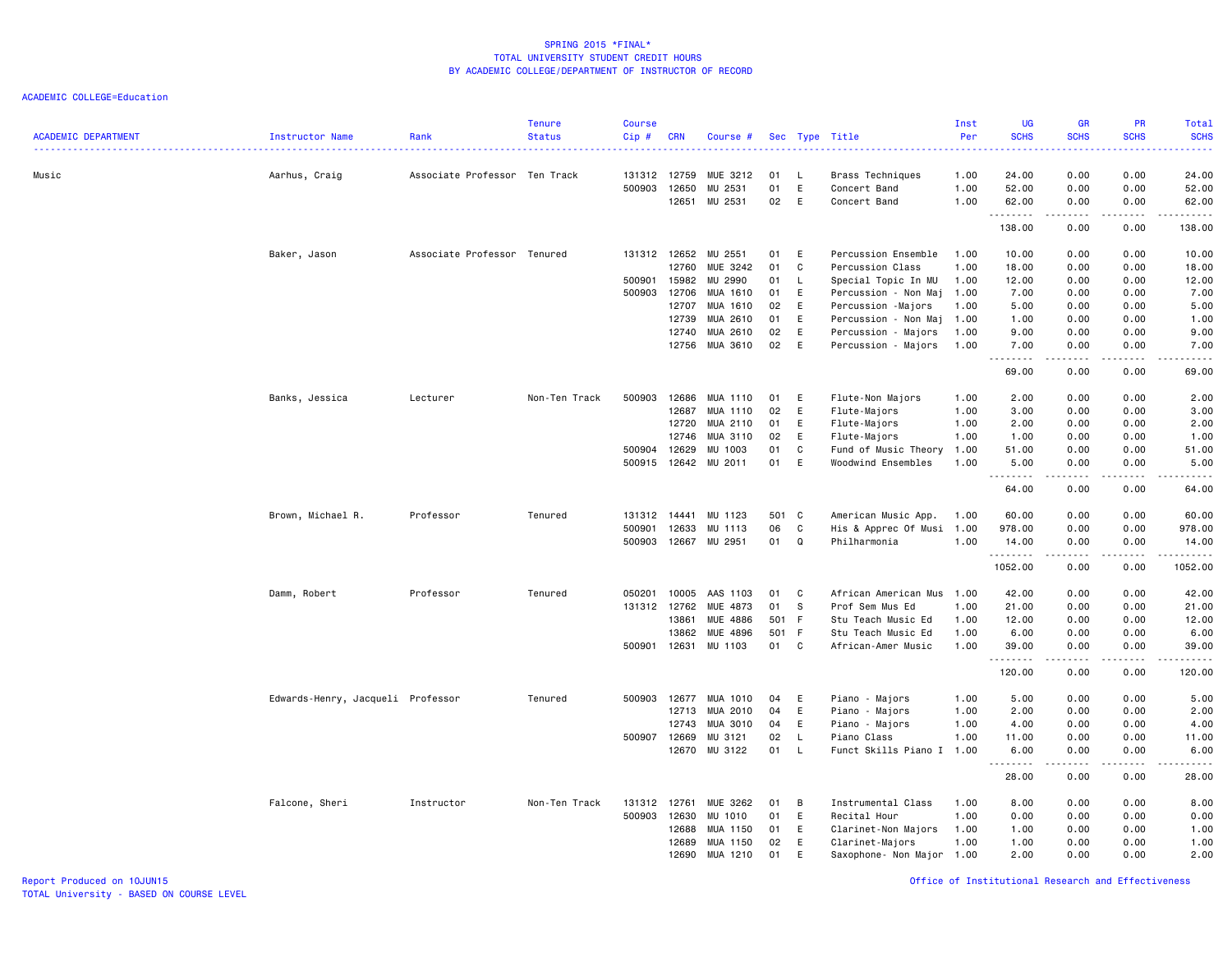| <b>ACADEMIC DEPARTMENT</b> | Instructor Name                   | Rank                          | <b>Tenure</b><br><b>Status</b> | Course<br>$Cip$ # | <b>CRN</b>     | Course #            |          |              | Sec Type Title                   | Inst<br>Per  | <b>UG</b><br><b>SCHS</b> | <b>GR</b><br><b>SCHS</b>                                                                                                                                     | <b>PR</b><br><b>SCHS</b>     | <b>Total</b><br><b>SCHS</b>          |
|----------------------------|-----------------------------------|-------------------------------|--------------------------------|-------------------|----------------|---------------------|----------|--------------|----------------------------------|--------------|--------------------------|--------------------------------------------------------------------------------------------------------------------------------------------------------------|------------------------------|--------------------------------------|
| Music                      | Aarhus, Craig                     | Associate Professor Ten Track |                                | 131312<br>500903  | 12759<br>12650 | MUE 3212<br>MU 2531 | 01<br>01 | - L<br>E     | Brass Techniques<br>Concert Band | 1.00<br>1.00 | 24.00<br>52.00           | 0.00<br>0.00                                                                                                                                                 | 0.00<br>0.00                 | 24.00<br>52.00                       |
|                            |                                   |                               |                                |                   | 12651          | MU 2531             | 02       | E            | Concert Band                     | 1.00         | 62.00                    | 0.00                                                                                                                                                         | 0.00                         | 62.00                                |
|                            |                                   |                               |                                |                   |                |                     |          |              |                                  |              | .<br>138.00              | .<br>0.00                                                                                                                                                    | $\sim$ $\sim$ $\sim$<br>0.00 | .<br>138.00                          |
|                            | Baker, Jason                      | Associate Professor Tenured   |                                | 131312 12652      |                | MU 2551             | 01       | E            | Percussion Ensemble              | 1.00         | 10.00                    | 0.00                                                                                                                                                         | 0.00                         | 10.00                                |
|                            |                                   |                               |                                |                   | 12760          | MUE 3242            | 01       | $\mathbb{C}$ | Percussion Class                 | 1.00         | 18.00                    | 0.00                                                                                                                                                         | 0.00                         | 18.00                                |
|                            |                                   |                               |                                | 500901            | 15982          | MU 2990             | 01       | L.           | Special Topic In MU              | 1.00         | 12.00                    | 0.00                                                                                                                                                         | 0.00                         | 12.00                                |
|                            |                                   |                               |                                | 500903            | 12706          | MUA 1610            | 01       | E            | Percussion - Non Maj             | 1.00         | 7.00                     | 0.00                                                                                                                                                         | 0.00                         | 7.00                                 |
|                            |                                   |                               |                                |                   | 12707          | MUA 1610            | 02       | E            | Percussion -Majors               | 1.00         | 5.00                     | 0.00                                                                                                                                                         | 0.00                         | 5.00                                 |
|                            |                                   |                               |                                |                   | 12739          | MUA 2610            | 01       | E            | Percussion - Non Maj             | 1.00         | 1.00                     | 0.00                                                                                                                                                         | 0.00                         | 1.00                                 |
|                            |                                   |                               |                                |                   | 12740          | MUA 2610            | 02       | E            | Percussion - Majors              | 1.00         | 9.00                     | 0.00                                                                                                                                                         | 0.00                         | 9.00                                 |
|                            |                                   |                               |                                |                   | 12756          | MUA 3610            | 02       | E            | Percussion - Majors              | 1.00         | 7.00<br>1.1.1.1.1.1.1    | 0.00<br>.                                                                                                                                                    | 0.00<br>.                    | 7.00<br>$    -$                      |
|                            |                                   |                               |                                |                   |                |                     |          |              |                                  |              | 69.00                    | 0.00                                                                                                                                                         | 0.00                         | 69.00                                |
|                            | Banks, Jessica                    | Lecturer                      | Non-Ten Track                  | 500903            | 12686          | MUA 1110            | 01       | E            | Flute-Non Majors                 | 1.00         | 2.00                     | 0.00                                                                                                                                                         | 0.00                         | 2.00                                 |
|                            |                                   |                               |                                |                   | 12687          | MUA 1110            | 02       | E            | Flute-Majors                     | 1.00         | 3.00                     | 0.00                                                                                                                                                         | 0.00                         | 3.00                                 |
|                            |                                   |                               |                                |                   | 12720          | MUA 2110            | 01       | E            | Flute-Majors                     | 1.00         | 2.00                     | 0.00                                                                                                                                                         | 0.00                         | 2.00                                 |
|                            |                                   |                               |                                |                   | 12746          | MUA 3110            | 02       | E            | Flute-Majors                     | 1.00         | 1.00                     | 0.00                                                                                                                                                         | 0.00                         | 1.00                                 |
|                            |                                   |                               |                                | 500904            | 12629          | MU 1003             | 01       | $\mathbb{C}$ | Fund of Music Theory             | 1.00         | 51.00                    | 0.00                                                                                                                                                         | 0.00                         | 51.00                                |
|                            |                                   |                               |                                | 500915            | 12642          | MU 2011             | 01       | E            | Woodwind Ensembles               | 1.00         | 5.00                     | 0.00                                                                                                                                                         | 0.00                         | 5.00                                 |
|                            |                                   |                               |                                |                   |                |                     |          |              |                                  |              | 64.00                    | $\frac{1}{2} \left( \frac{1}{2} \right) \left( \frac{1}{2} \right) \left( \frac{1}{2} \right) \left( \frac{1}{2} \right) \left( \frac{1}{2} \right)$<br>0.00 | .<br>0.00                    | .<br>64.00                           |
|                            | Brown, Michael R.                 | Professor                     | Tenured                        | 131312            | 14441          | MU 1123             | 501 C    |              | American Music App.              | 1.00         | 60.00                    | 0.00                                                                                                                                                         | 0.00                         | 60.00                                |
|                            |                                   |                               |                                | 500901            | 12633          | MU 1113             | 06       | $\mathbb{C}$ | His & Apprec Of Musi             | 1.00         | 978.00                   | 0.00                                                                                                                                                         | 0.00                         | 978.00                               |
|                            |                                   |                               |                                | 500903            | 12667          | MU 2951             | 01       | Q            | Philharmonia                     | 1.00         | 14.00                    | 0.00                                                                                                                                                         | 0.00                         | 14.00                                |
|                            |                                   |                               |                                |                   |                |                     |          |              |                                  |              | 1.1.1.1.1.1.1            | $-2 - 2 - 2 - 2$                                                                                                                                             | .                            | .                                    |
|                            |                                   |                               |                                |                   |                |                     |          |              |                                  |              | 1052.00                  | 0.00                                                                                                                                                         | 0.00                         | 1052.00                              |
|                            | Damm, Robert                      | Professor                     | Tenured                        | 050201            | 10005          | AAS 1103            | 01       | C            | African American Mus             | 1.00         | 42.00                    | 0.00                                                                                                                                                         | 0.00                         | 42.00                                |
|                            |                                   |                               |                                | 131312 12762      |                | MUE 4873            | 01       | s.           | Prof Sem Mus Ed                  | 1.00         | 21.00                    | 0.00                                                                                                                                                         | 0.00                         | 21.00                                |
|                            |                                   |                               |                                |                   | 13861          | MUE 4886            | 501 F    |              | Stu Teach Music Ed               | 1.00         | 12.00                    | 0.00                                                                                                                                                         | 0.00                         | 12.00                                |
|                            |                                   |                               |                                |                   | 13862          | <b>MUE 4896</b>     | 501 F    |              | Stu Teach Music Ed               | 1.00         | 6.00                     | 0.00                                                                                                                                                         | 0.00                         | 6.00                                 |
|                            |                                   |                               |                                | 500901            | 12631          | MU 1103             | 01       | C            | African-Amer Music               | 1.00         | 39.00                    | 0.00                                                                                                                                                         | 0.00                         | 39.00                                |
|                            |                                   |                               |                                |                   |                |                     |          |              |                                  |              | .<br>120.00              | $\frac{1}{2} \left( \frac{1}{2} \right) \left( \frac{1}{2} \right) \left( \frac{1}{2} \right) \left( \frac{1}{2} \right) \left( \frac{1}{2} \right)$<br>0.00 | .<br>0.00                    | .<br>120.00                          |
|                            | Edwards-Henry, Jacqueli Professor |                               | Tenured                        | 500903            | 12677          | MUA 1010            | 04       | E            | Piano - Majors                   | 1.00         | 5.00                     | 0.00                                                                                                                                                         | 0.00                         | 5.00                                 |
|                            |                                   |                               |                                |                   | 12713          | MUA 2010            | 04       | E            | Piano - Majors                   | 1.00         | 2.00                     | 0.00                                                                                                                                                         | 0.00                         | 2.00                                 |
|                            |                                   |                               |                                |                   | 12743          | MUA 3010            | 04       | E            | Piano - Majors                   | 1.00         | 4.00                     | 0.00                                                                                                                                                         | 0.00                         | 4.00                                 |
|                            |                                   |                               |                                | 500907            | 12669          | MU 3121             | 02       | L.           | Piano Class                      | 1.00         | 11.00                    | 0.00                                                                                                                                                         | 0.00                         | 11.00                                |
|                            |                                   |                               |                                |                   | 12670          | MU 3122             | 01       | $\mathsf{L}$ | Funct Skills Piano I 1.00        |              | 6.00                     | 0.00                                                                                                                                                         | 0.00                         | 6.00                                 |
|                            |                                   |                               |                                |                   |                |                     |          |              |                                  |              | .<br>28.00               | .<br>0.00                                                                                                                                                    | .<br>0.00                    | $\sim$ $\sim$ $\sim$ $\sim$<br>28.00 |
|                            | Falcone, Sheri                    | Instructor                    | Non-Ten Track                  | 131312            | 12761          | MUE 3262            | 01       | B            | Instrumental Class               | 1.00         | 8.00                     | 0.00                                                                                                                                                         | 0.00                         | 8.00                                 |
|                            |                                   |                               |                                | 500903            | 12630          | MU 1010             | 01       | E            | Recital Hour                     | 1.00         | 0.00                     | 0.00                                                                                                                                                         | 0.00                         | 0.00                                 |
|                            |                                   |                               |                                |                   | 12688          | MUA 1150            | 01       | E            | Clarinet-Non Majors              | 1.00         | 1.00                     | 0.00                                                                                                                                                         | 0.00                         | 1.00                                 |
|                            |                                   |                               |                                |                   | 12689          | MUA 1150            | 02       | E            | Clarinet-Majors                  | 1.00         | 1.00                     | 0.00                                                                                                                                                         | 0.00                         | 1.00                                 |
|                            |                                   |                               |                                |                   | 12690          | MUA 1210            | 01       | E            | Saxophone- Non Major 1.00        |              | 2.00                     | 0.00                                                                                                                                                         | 0.00                         | 2.00                                 |
|                            |                                   |                               |                                |                   |                |                     |          |              |                                  |              |                          |                                                                                                                                                              |                              |                                      |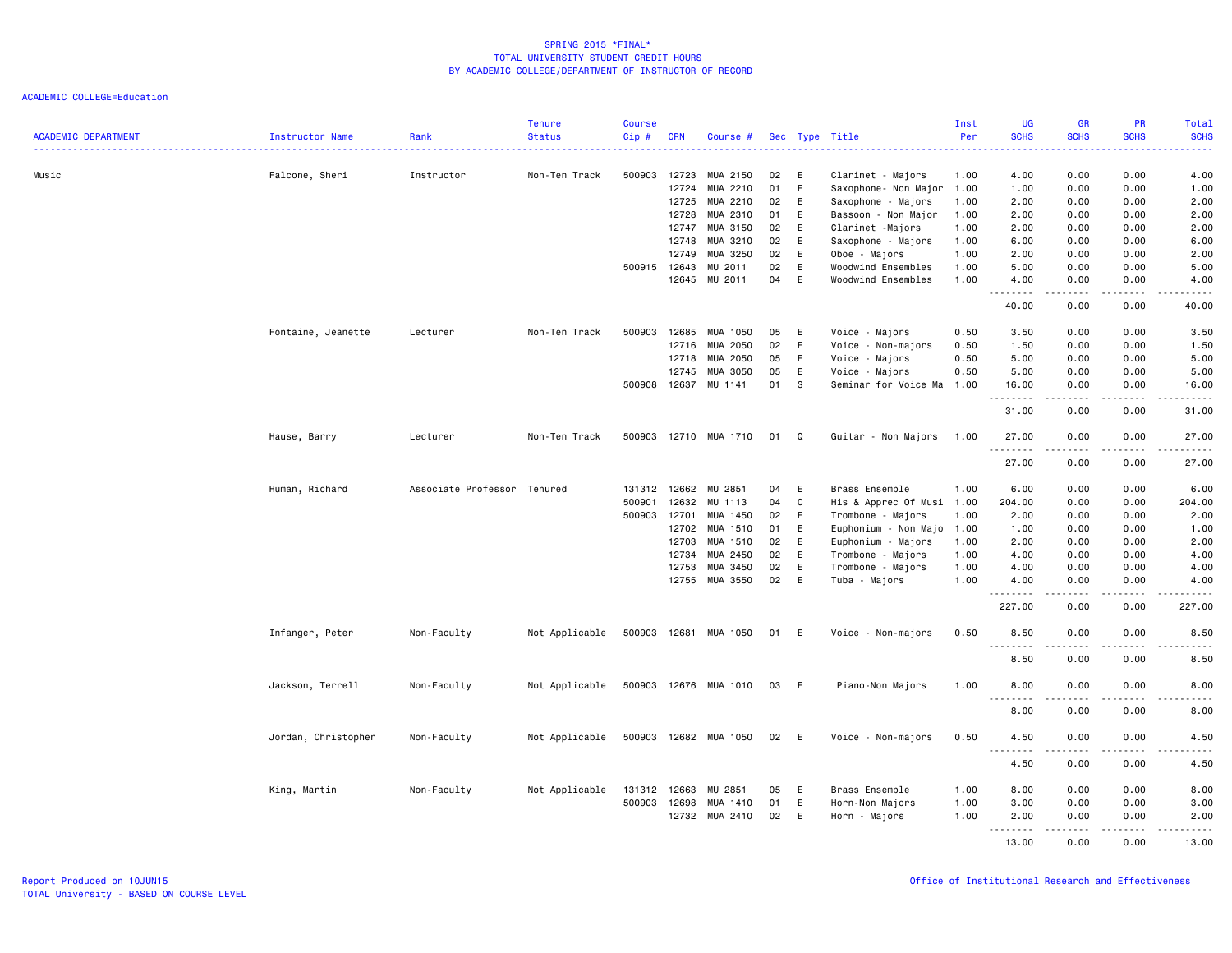| <b>ACADEMIC DEPARTMENT</b> | Instructor Name     | Rank                        | <b>Tenure</b><br><b>Status</b> | <b>Course</b><br>Cip# | <b>CRN</b> | Course #                   |    |     | Sec Type Title            | Inst<br>Per | <b>UG</b><br><b>SCHS</b> | <b>GR</b><br><b>SCHS</b>                                                                                                                                     | PR<br><b>SCHS</b>            | Total<br><b>SCHS</b>  |
|----------------------------|---------------------|-----------------------------|--------------------------------|-----------------------|------------|----------------------------|----|-----|---------------------------|-------------|--------------------------|--------------------------------------------------------------------------------------------------------------------------------------------------------------|------------------------------|-----------------------|
| Music                      | Falcone, Sheri      | Instructor                  | Non-Ten Track                  | 500903                | 12723      | MUA 2150                   | 02 | E   | Clarinet - Majors         | 1.00        | 4.00                     | 0.00                                                                                                                                                         | 0.00                         | 4.00                  |
|                            |                     |                             |                                |                       | 12724      | MUA 2210                   | 01 | E   | Saxophone- Non Major 1.00 |             | 1.00                     | 0.00                                                                                                                                                         | 0.00                         | 1.00                  |
|                            |                     |                             |                                |                       | 12725      | MUA 2210                   | 02 | E   | Saxophone - Majors        | 1.00        | 2.00                     | 0.00                                                                                                                                                         | 0.00                         | 2.00                  |
|                            |                     |                             |                                |                       | 12728      | MUA 2310                   | 01 | E   | Bassoon - Non Major       | 1.00        | 2.00                     | 0.00                                                                                                                                                         | 0.00                         | 2.00                  |
|                            |                     |                             |                                |                       | 12747      | MUA 3150                   | 02 | E   | Clarinet -Majors          | 1.00        | 2.00                     | 0.00                                                                                                                                                         | 0.00                         | 2.00                  |
|                            |                     |                             |                                |                       | 12748      | MUA 3210                   | 02 | E   | Saxophone - Majors        | 1.00        | 6.00                     | 0.00                                                                                                                                                         | 0.00                         | 6.00                  |
|                            |                     |                             |                                |                       | 12749      | MUA 3250                   | 02 | E   | Oboe - Majors             | 1.00        | 2.00                     | 0.00                                                                                                                                                         | 0.00                         | 2.00                  |
|                            |                     |                             |                                | 500915 12643          |            | MU 2011                    | 02 | E   | Woodwind Ensembles        | 1.00        | 5.00                     | 0.00                                                                                                                                                         | 0.00                         | 5.00                  |
|                            |                     |                             |                                |                       | 12645      | MU 2011                    | 04 | E   | Woodwind Ensembles        | 1.00        | 4.00<br><u>.</u>         | 0.00<br>المتمام المتعاد                                                                                                                                      | 0.00<br>.                    | 4.00<br>.             |
|                            |                     |                             |                                |                       |            |                            |    |     |                           |             | 40.00                    | 0.00                                                                                                                                                         | 0.00                         | 40.00                 |
|                            | Fontaine, Jeanette  | Lecturer                    | Non-Ten Track                  | 500903                | 12685      | MUA 1050                   | 05 | E   | Voice - Majors            | 0.50        | 3.50                     | 0.00                                                                                                                                                         | 0.00                         | 3.50                  |
|                            |                     |                             |                                |                       |            | 12716 MUA 2050             | 02 | E   | Voice - Non-majors        | 0.50        | 1.50                     | 0.00                                                                                                                                                         | 0.00                         | 1.50                  |
|                            |                     |                             |                                |                       | 12718      | MUA 2050                   | 05 | E   | Voice - Majors            | 0.50        | 5.00                     | 0.00                                                                                                                                                         | 0.00                         | 5.00                  |
|                            |                     |                             |                                |                       | 12745      | MUA 3050                   | 05 | E   | Voice - Majors            | 0.50        | 5.00                     | 0.00                                                                                                                                                         | 0.00                         | 5.00                  |
|                            |                     |                             |                                | 500908                | 12637      | MU 1141                    | 01 | S   | Seminar for Voice Ma      | 1.00        | 16.00<br><b></b>         | 0.00<br><u>.</u> .                                                                                                                                           | 0.00<br>.                    | 16.00<br>.            |
|                            |                     |                             |                                |                       |            |                            |    |     |                           |             | 31.00                    | 0.00                                                                                                                                                         | 0.00                         | 31.00                 |
|                            | Hause, Barry        | Lecturer                    | Non-Ten Track                  | 500903                |            | 12710 MUA 1710             | 01 | Q   | Guitar - Non Majors       | 1.00        | 27.00<br>.               | 0.00<br>$\frac{1}{2} \left( \frac{1}{2} \right) \left( \frac{1}{2} \right) \left( \frac{1}{2} \right) \left( \frac{1}{2} \right) \left( \frac{1}{2} \right)$ | 0.00                         | 27.00                 |
|                            |                     |                             |                                |                       |            |                            |    |     |                           |             | 27.00                    | 0.00                                                                                                                                                         | 0.00                         | 27.00                 |
|                            | Human, Richard      | Associate Professor Tenured |                                | 131312                | 12662      | MU 2851                    | 04 | E   | Brass Ensemble            | 1.00        | 6.00                     | 0.00                                                                                                                                                         | 0.00                         | 6.00                  |
|                            |                     |                             |                                | 500901                | 12632      | MU 1113                    | 04 | C   | His & Apprec Of Musi      | 1.00        | 204.00                   | 0.00                                                                                                                                                         | 0.00                         | 204.00                |
|                            |                     |                             |                                | 500903                | 12701      | MUA 1450                   | 02 | E   | Trombone - Majors         | 1.00        | 2.00                     | 0.00                                                                                                                                                         | 0.00                         | 2.00                  |
|                            |                     |                             |                                |                       | 12702      | MUA 1510                   | 01 | E   | Euphonium - Non Majo      | 1.00        | 1.00                     | 0.00                                                                                                                                                         | 0.00                         | 1.00                  |
|                            |                     |                             |                                |                       | 12703      | MUA 1510                   | 02 | E   | Euphonium - Majors        | 1.00        | 2.00                     | 0.00                                                                                                                                                         | 0.00                         | 2.00                  |
|                            |                     |                             |                                |                       | 12734      | MUA 2450                   | 02 | E   | Trombone - Majors         | 1.00        | 4.00                     | 0.00                                                                                                                                                         | 0.00                         | 4.00                  |
|                            |                     |                             |                                |                       | 12753      | MUA 3450                   | 02 | E   | Trombone - Majors         | 1.00        | 4.00                     | 0.00                                                                                                                                                         | 0.00                         | 4.00                  |
|                            |                     |                             |                                |                       | 12755      | MUA 3550                   | 02 | E   | Tuba - Majors             | 1.00        | 4.00<br>. <b>.</b>       | 0.00<br>$\frac{1}{2}$                                                                                                                                        | 0.00<br>$\sim$ $\sim$ $\sim$ | 4.00<br>$\frac{1}{2}$ |
|                            |                     |                             |                                |                       |            |                            |    |     |                           |             | 227.00                   | 0.00                                                                                                                                                         | 0.00                         | 227.00                |
|                            | Infanger, Peter     | Non-Faculty                 | Not Applicable                 | 500903                |            | 12681 MUA 1050             | 01 | E   | Voice - Non-majors        | 0.50        | 8.50<br><b></b>          | 0.00<br>.                                                                                                                                                    | 0.00                         | 8.50<br>$- - - -$     |
|                            |                     |                             |                                |                       |            |                            |    |     |                           |             | 8.50                     | 0.00                                                                                                                                                         | . <b>.</b><br>0.00           | 8.50                  |
|                            | Jackson, Terrell    | Non-Faculty                 | Not Applicable                 |                       |            | 500903 12676 MUA 1010 03 E |    |     | Piano-Non Majors          | 1.00        | 8.00                     | 0.00                                                                                                                                                         | 0.00                         | 8.00                  |
|                            |                     |                             |                                |                       |            |                            |    |     |                           |             | 1.1.1.1.1.1.1<br>8.00    | $\frac{1}{2} \left( \frac{1}{2} \right) \left( \frac{1}{2} \right) \left( \frac{1}{2} \right) \left( \frac{1}{2} \right) \left( \frac{1}{2} \right)$<br>0.00 | $- - - - -$<br>0.00          | .<br>8.00             |
|                            | Jordan, Christopher | Non-Faculty                 | Not Applicable                 | 500903                |            | 12682 MUA 1050             | 02 | - E | Voice - Non-majors        | 0.50        | 4.50                     | 0.00                                                                                                                                                         | 0.00                         | 4.50                  |
|                            |                     |                             |                                |                       |            |                            |    |     |                           |             | 4.50                     | 0.00                                                                                                                                                         | 0.00                         | 4.50                  |
|                            |                     | Non-Faculty                 | Not Applicable                 | 131312 12663          |            | MU 2851                    | 05 | E   | Brass Ensemble            | 1.00        | 8,00                     | 0.00                                                                                                                                                         | 0.00                         | 8.00                  |
|                            | King, Martin        |                             |                                | 500903                | 12698      | MUA 1410                   | 01 | E   | Horn-Non Majors           | 1.00        | 3.00                     | 0.00                                                                                                                                                         | 0.00                         | 3.00                  |
|                            |                     |                             |                                |                       | 12732      | MUA 2410                   | 02 | E   | Horn - Majors             | 1.00        | 2.00                     | 0.00                                                                                                                                                         | 0.00                         | 2.00                  |
|                            |                     |                             |                                |                       |            |                            |    |     |                           |             | .                        | <b></b>                                                                                                                                                      | .                            | .                     |
|                            |                     |                             |                                |                       |            |                            |    |     |                           |             | 13.00                    | 0.00                                                                                                                                                         | 0.00                         | 13.00                 |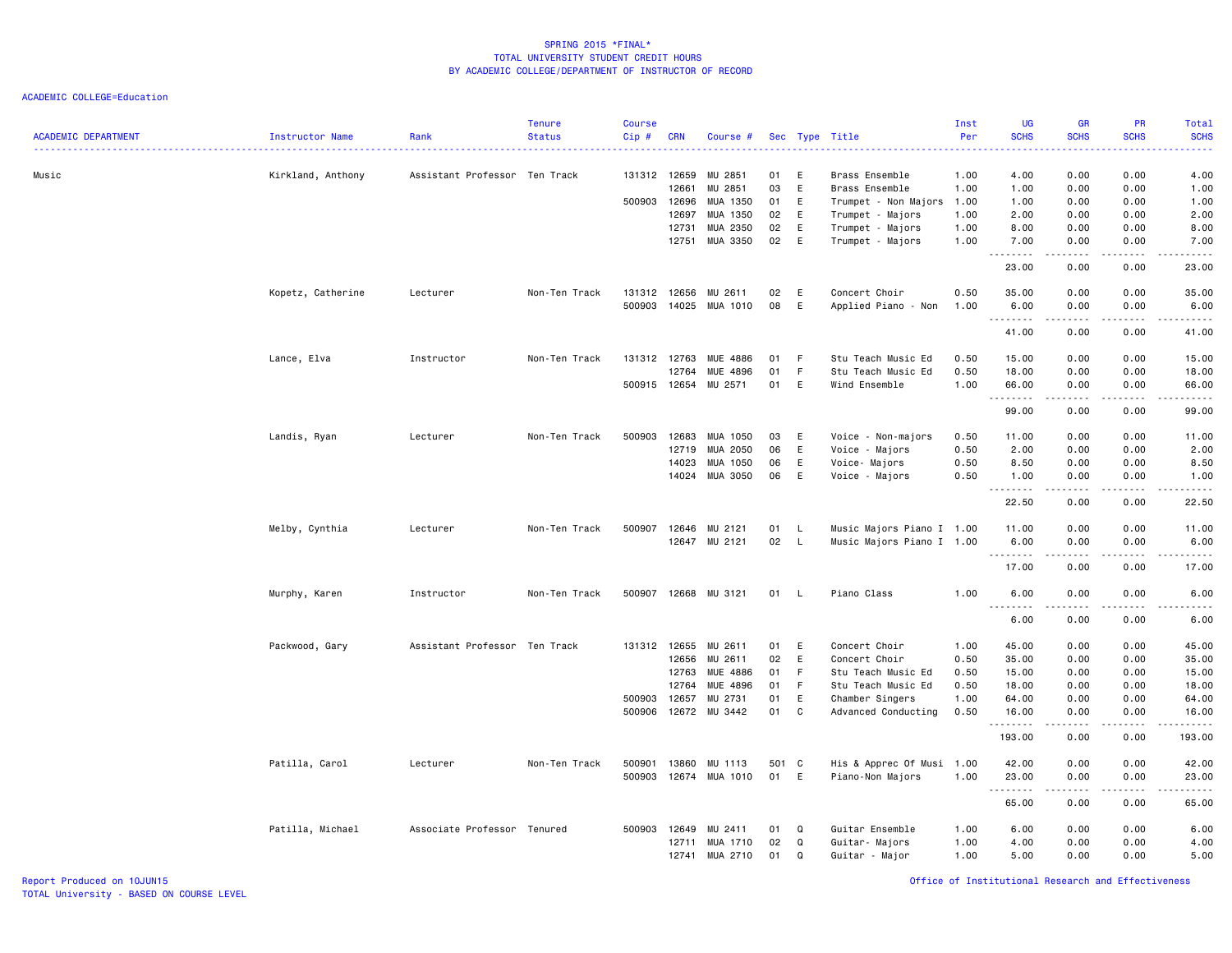| <b>ACADEMIC DEPARTMENT</b> | Instructor Name   | Rank                          | <b>Tenure</b><br><b>Status</b> | <b>Course</b><br>Cip#  | <b>CRN</b>                                | Course #                                                           |                                  |                                   | Sec Type Title                                                                                                       | Inst<br>Per<br>.                             | <b>UG</b><br><b>SCHS</b><br>$\frac{1}{2} \left( \frac{1}{2} \right) \left( \frac{1}{2} \right) \left( \frac{1}{2} \right) \left( \frac{1}{2} \right)$ | <b>GR</b><br><b>SCHS</b>                                                                                                                                                             | PR<br><b>SCHS</b>                                 | Total<br><b>SCHS</b><br>2222.                                                                                                                                                      |
|----------------------------|-------------------|-------------------------------|--------------------------------|------------------------|-------------------------------------------|--------------------------------------------------------------------|----------------------------------|-----------------------------------|----------------------------------------------------------------------------------------------------------------------|----------------------------------------------|-------------------------------------------------------------------------------------------------------------------------------------------------------|--------------------------------------------------------------------------------------------------------------------------------------------------------------------------------------|---------------------------------------------------|------------------------------------------------------------------------------------------------------------------------------------------------------------------------------------|
| Music                      | Kirkland, Anthony | Assistant Professor Ten Track |                                | 131312 12659<br>500903 | 12661<br>12696<br>12697<br>12731<br>12751 | MU 2851<br>MU 2851<br>MUA 1350<br>MUA 1350<br>MUA 2350<br>MUA 3350 | 01<br>03<br>01<br>02<br>02<br>02 | E<br>E<br>E<br>E<br>E<br>E        | Brass Ensemble<br>Brass Ensemble<br>Trumpet - Non Majors<br>Trumpet - Majors<br>Trumpet - Majors<br>Trumpet - Majors | 1.00<br>1.00<br>1.00<br>1.00<br>1.00<br>1.00 | 4.00<br>1.00<br>1.00<br>2.00<br>8.00<br>7.00<br>. <b>.</b>                                                                                            | 0.00<br>0.00<br>0.00<br>0.00<br>0.00<br>0.00<br><u>.</u> .                                                                                                                           | 0.00<br>0.00<br>0.00<br>0.00<br>0.00<br>0.00<br>. | 4.00<br>1.00<br>1.00<br>2.00<br>8.00<br>7.00<br>$\frac{1}{2}$                                                                                                                      |
|                            | Kopetz, Catherine | Lecturer                      | Non-Ten Track                  | 131312<br>500903       | 12656<br>14025                            | MU 2611<br>MUA 1010                                                | 02<br>08                         | E<br>E                            | Concert Choir<br>Applied Piano - Non                                                                                 | 0.50<br>1.00                                 | 23.00<br>35.00<br>6.00                                                                                                                                | 0.00<br>0.00<br>0.00<br>المتمام المتعاد                                                                                                                                              | 0.00<br>0.00<br>0.00<br>.                         | 23.00<br>35.00<br>6.00<br>.                                                                                                                                                        |
|                            | Lance, Elva       | Instructor                    | Non-Ten Track                  | 131312<br>500915 12654 | 12763<br>12764                            | <b>MUE 4886</b><br>MUE 4896<br>MU 2571                             | 01<br>01<br>01                   | F.<br>F<br>E                      | Stu Teach Music Ed<br>Stu Teach Music Ed<br>Wind Ensemble                                                            | 0.50<br>0.50<br>1.00                         | 41.00<br>15.00<br>18.00<br>66.00<br>.                                                                                                                 | 0.00<br>0.00<br>0.00<br>0.00<br>$\frac{1}{2} \left( \frac{1}{2} \right) \left( \frac{1}{2} \right) \left( \frac{1}{2} \right) \left( \frac{1}{2} \right) \left( \frac{1}{2} \right)$ | 0.00<br>0.00<br>0.00<br>0.00<br>.                 | 41.00<br>15.00<br>18.00<br>66.00<br>.                                                                                                                                              |
|                            | Landis, Ryan      | Lecturer                      | Non-Ten Track                  | 500903                 | 12683<br>12719<br>14023                   | MUA 1050<br>MUA 2050<br>MUA 1050                                   | 03<br>06<br>06                   | E<br>E<br>E                       | Voice - Non-majors<br>Voice - Majors<br>Voice- Majors                                                                | 0.50<br>0.50<br>0.50                         | 99.00<br>11.00<br>2.00<br>8.50                                                                                                                        | 0.00<br>0.00<br>0.00<br>0.00                                                                                                                                                         | 0.00<br>0.00<br>0.00<br>0.00                      | 99.00<br>11.00<br>2.00<br>8.50                                                                                                                                                     |
|                            | Melby, Cynthia    | Lecturer                      | Non-Ten Track                  | 500907                 | 14024<br>12646                            | MUA 3050<br>MU 2121<br>12647 MU 2121                               | 06<br>01<br>02                   | E<br>$\mathsf{L}$<br>$\mathsf{L}$ | Voice - Majors<br>Music Majors Piano I 1.00<br>Music Majors Piano I 1.00                                             | 0.50                                         | 1.00<br>.<br>22.50<br>11.00<br>6.00                                                                                                                   | 0.00<br>.<br>0.00<br>0.00<br>0.00                                                                                                                                                    | 0.00<br>0.00<br>0.00<br>0.00                      | 1.00<br>.<br>22.50<br>11.00<br>6.00                                                                                                                                                |
|                            | Murphy, Karen     | Instructor                    | Non-Ten Track                  | 500907                 |                                           | 12668 MU 3121                                                      | 01                               | - L                               | Piano Class                                                                                                          | 1.00                                         | .<br>17.00<br>6.00<br>6.00                                                                                                                            | $\frac{1}{2} \left( \frac{1}{2} \right) \left( \frac{1}{2} \right) \left( \frac{1}{2} \right) \left( \frac{1}{2} \right) \left( \frac{1}{2} \right)$<br>0.00<br>0.00<br>.<br>0.00    | .<br>0.00<br>0.00<br>.<br>0.00                    | .<br>17.00<br>6.00<br>$\frac{1}{2} \left( \frac{1}{2} \right) \left( \frac{1}{2} \right) \left( \frac{1}{2} \right) \left( \frac{1}{2} \right) \left( \frac{1}{2} \right)$<br>6.00 |
|                            | Packwood, Gary    | Assistant Professor Ten Track |                                | 131312<br>500903       | 12655<br>12656<br>12763<br>12764<br>12657 | MU 2611<br>MU 2611<br>MUE 4886<br>MUE 4896<br>MU 2731              | 01<br>02<br>01<br>01<br>01       | E<br>E<br>F<br>- F<br>E           | Concert Choir<br>Concert Choir<br>Stu Teach Music Ed<br>Stu Teach Music Ed<br>Chamber Singers                        | 1.00<br>0.50<br>0.50<br>0.50<br>1.00         | 45.00<br>35.00<br>15.00<br>18.00<br>64.00                                                                                                             | 0.00<br>0.00<br>0.00<br>0.00<br>0.00                                                                                                                                                 | 0.00<br>0.00<br>0.00<br>0.00<br>0.00              | 45.00<br>35.00<br>15.00<br>18.00<br>64.00                                                                                                                                          |
|                            | Patilla, Carol    | Lecturer                      | Non-Ten Track                  | 500906<br>500901       | 12672<br>13860                            | MU 3442<br>MU 1113                                                 | 01<br>501 C                      | C                                 | Advanced Conducting<br>His & Apprec Of Musi 1.00                                                                     | 0.50                                         | 16.00<br>.<br>193.00<br>42.00                                                                                                                         | 0.00<br>.<br>0.00<br>0.00                                                                                                                                                            | 0.00<br>$\frac{1}{2}$<br>0.00<br>0.00             | 16.00<br>.<br>193.00<br>42.00                                                                                                                                                      |
|                            | Patilla, Michael  | Associate Professor Tenured   |                                | 500903<br>500903       | 12674<br>12649                            | MUA 1010<br>MU 2411                                                | 01<br>01                         | E<br>Q                            | Piano-Non Majors<br>Guitar Ensemble                                                                                  | 1.00<br>1.00                                 | 23.00<br>65.00<br>6.00                                                                                                                                | 0.00<br>.<br>0.00<br>0.00                                                                                                                                                            | 0.00<br>.<br>0.00<br>0.00                         | 23.00<br>.<br>65.00<br>6.00                                                                                                                                                        |
|                            |                   |                               |                                |                        | 12711<br>12741                            | MUA 1710<br>MUA 2710                                               | 02<br>01                         | Q<br>Q                            | Guitar- Majors<br>Guitar - Major                                                                                     | 1.00<br>1.00                                 | 4.00<br>5.00                                                                                                                                          | 0.00<br>0.00                                                                                                                                                                         | 0.00<br>0.00                                      | 4.00<br>5.00                                                                                                                                                                       |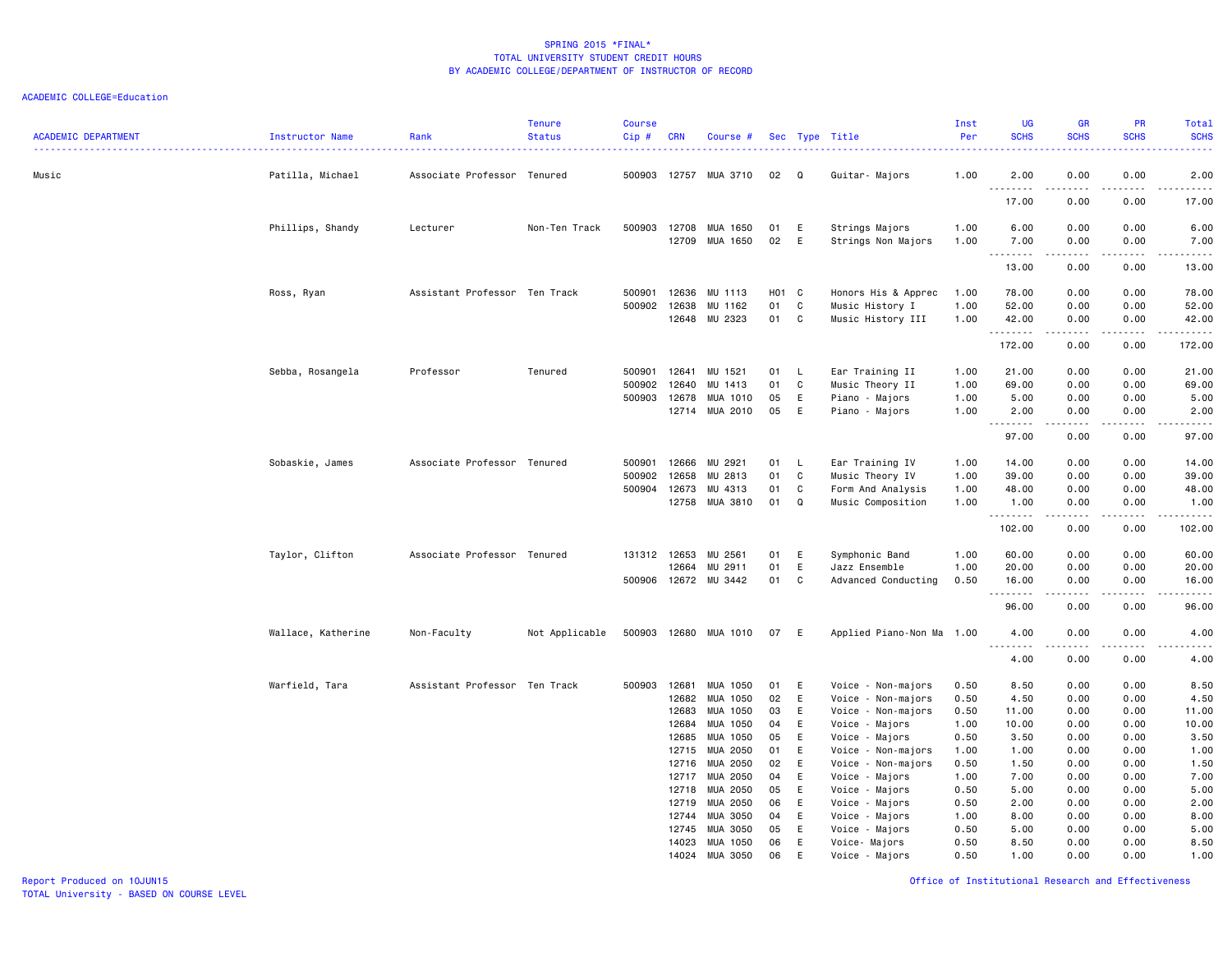| <b>ACADEMIC DEPARTMENT</b> | Instructor Name    | Rank                          | <b>Tenure</b><br><b>Status</b> | <b>Course</b><br>Cip# | <b>CRN</b>     | Course #             |          |             | Sec Type Title                       | Inst<br>Per  | <b>UG</b><br><b>SCHS</b>                                 | GR<br><b>SCHS</b>   | PR<br><b>SCHS</b>                                                                                                                 | Total<br><b>SCHS</b><br>$\frac{1}{2} \left( \frac{1}{2} \right) \left( \frac{1}{2} \right) \left( \frac{1}{2} \right) \left( \frac{1}{2} \right)$             |
|----------------------------|--------------------|-------------------------------|--------------------------------|-----------------------|----------------|----------------------|----------|-------------|--------------------------------------|--------------|----------------------------------------------------------|---------------------|-----------------------------------------------------------------------------------------------------------------------------------|---------------------------------------------------------------------------------------------------------------------------------------------------------------|
| Music                      | Patilla, Michael   | Associate Professor Tenured   |                                | 500903                |                | 12757 MUA 3710       | 02       | Q           | Guitar- Majors                       | 1.00         | 2.00                                                     | 0.00                | 0.00                                                                                                                              | 2.00                                                                                                                                                          |
|                            |                    |                               |                                |                       |                |                      |          |             |                                      |              | .<br>17.00                                               | 0.00                | $\sim$ $\sim$ $\sim$<br>0.00                                                                                                      | $\frac{1}{2} \left( \frac{1}{2} \right) \left( \frac{1}{2} \right) \left( \frac{1}{2} \right) \left( \frac{1}{2} \right) \left( \frac{1}{2} \right)$<br>17.00 |
|                            | Phillips, Shandy   | Lecturer                      | Non-Ten Track                  | 500903                | 12708<br>12709 | MUA 1650<br>MUA 1650 | 01<br>02 | E<br>E      | Strings Majors<br>Strings Non Majors | 1.00<br>1.00 | 6.00<br>7.00                                             | 0.00<br>0.00        | 0.00<br>0.00                                                                                                                      | 6.00<br>7.00                                                                                                                                                  |
|                            |                    |                               |                                |                       |                |                      |          |             |                                      |              | .<br>13.00                                               | 0.00                | $\frac{1}{2} \left( \frac{1}{2} \right) \left( \frac{1}{2} \right) \left( \frac{1}{2} \right) \left( \frac{1}{2} \right)$<br>0.00 | $\frac{1}{2} \left( \frac{1}{2} \right) \left( \frac{1}{2} \right) \left( \frac{1}{2} \right) \left( \frac{1}{2} \right) \left( \frac{1}{2} \right)$<br>13.00 |
|                            | Ross, Ryan         | Assistant Professor Ten Track |                                | 500901                | 12636          | MU 1113              | H01 C    |             | Honors His & Apprec                  | 1.00         | 78.00                                                    | 0.00                | 0.00                                                                                                                              | 78.00                                                                                                                                                         |
|                            |                    |                               |                                | 500902 12638          |                | MU 1162              | 01       | C           | Music History I                      | 1.00         | 52.00                                                    | 0.00                | 0.00                                                                                                                              | 52.00                                                                                                                                                         |
|                            |                    |                               |                                |                       | 12648          | MU 2323              | 01       | C           | Music History III                    | 1.00         | 42.00<br><u>.</u>                                        | 0.00<br>$- - - - -$ | 0.00<br>.                                                                                                                         | 42.00<br>. <b>.</b>                                                                                                                                           |
|                            |                    |                               |                                |                       |                |                      |          |             |                                      |              | 172.00                                                   | 0.00                | 0.00                                                                                                                              | 172.00                                                                                                                                                        |
|                            | Sebba, Rosangela   | Professor                     | Tenured                        | 500901                | 12641          | MU 1521              | 01       | L.          | Ear Training II                      | 1.00         | 21.00                                                    | 0.00                | 0.00                                                                                                                              | 21.00                                                                                                                                                         |
|                            |                    |                               |                                | 500902                | 12640          | MU 1413              | 01       | C           | Music Theory II                      | 1.00         | 69.00                                                    | 0.00                | 0.00                                                                                                                              | 69.00                                                                                                                                                         |
|                            |                    |                               |                                | 500903                | 12678          | MUA 1010<br>MUA 2010 | 05<br>05 | E<br>E      | Piano - Majors                       | 1.00<br>1.00 | 5.00<br>2.00                                             | 0.00<br>0.00        | 0.00<br>0.00                                                                                                                      | 5.00<br>2.00                                                                                                                                                  |
|                            |                    |                               |                                |                       | 12714          |                      |          |             | Piano - Majors                       |              | .                                                        | .                   | $\sim$ $\sim$ $\sim$                                                                                                              | د د د د د                                                                                                                                                     |
|                            |                    |                               |                                |                       |                |                      |          |             |                                      |              | 97.00                                                    | 0.00                | 0.00                                                                                                                              | 97.00                                                                                                                                                         |
|                            | Sobaskie, James    | Associate Professor Tenured   |                                | 500901                | 12666          | MU 2921              | 01       | L.          | Ear Training IV                      | 1.00         | 14.00                                                    | 0.00                | 0.00                                                                                                                              | 14.00                                                                                                                                                         |
|                            |                    |                               |                                | 500902                | 12658          | MU 2813              | 01       | C           | Music Theory IV                      | 1.00         | 39.00                                                    | 0.00                | 0.00                                                                                                                              | 39.00                                                                                                                                                         |
|                            |                    |                               |                                | 500904                | 12673          | MU 4313              | 01       | C           | Form And Analysis                    | 1.00         | 48.00                                                    | 0.00                | 0.00                                                                                                                              | 48.00                                                                                                                                                         |
|                            |                    |                               |                                |                       | 12758          | MUA 3810             | 01       | Q           | Music Composition                    | 1.00         | 1.00<br>.                                                | 0.00                | 0.00<br>.                                                                                                                         | 1.00<br>.                                                                                                                                                     |
|                            |                    |                               |                                |                       |                |                      |          |             |                                      |              | 102.00                                                   | 0.00                | 0.00                                                                                                                              | 102.00                                                                                                                                                        |
|                            | Taylor, Clifton    | Associate Professor Tenured   |                                | 131312 12653          |                | MU 2561              | 01       | E.          | Symphonic Band                       | 1.00         | 60.00                                                    | 0.00                | 0.00                                                                                                                              | 60.00                                                                                                                                                         |
|                            |                    |                               |                                |                       | 12664          | MU 2911              | 01       | E           | Jazz Ensemble                        | 1.00         | 20.00                                                    | 0.00                | 0.00                                                                                                                              | 20.00                                                                                                                                                         |
|                            |                    |                               |                                | 500906                |                | 12672 MU 3442        | 01       | C           | Advanced Conducting                  | 0.50         | 16.00<br>.                                               | 0.00<br>-----       | 0.00<br>.                                                                                                                         | 16.00<br>.                                                                                                                                                    |
|                            |                    |                               |                                |                       |                |                      |          |             |                                      |              | 96.00                                                    | 0.00                | 0.00                                                                                                                              | 96.00                                                                                                                                                         |
|                            | Wallace, Katherine | Non-Faculty                   | Not Applicable                 | 500903                | 12680          | MUA 1010             | 07       | E           | Applied Piano-Non Ma 1.00            |              | 4.00<br>$\omega_{\rm{eff}}$ and $\omega_{\rm{eff}}$<br>. | 0.00                | 0.00                                                                                                                              | 4.00<br>.                                                                                                                                                     |
|                            |                    |                               |                                |                       |                |                      |          |             |                                      |              | 4.00                                                     | 0.00                | 0.00                                                                                                                              | 4.00                                                                                                                                                          |
|                            | Warfield, Tara     | Assistant Professor Ten Track |                                | 500903 12681          |                | MUA 1050             | 01       | E           | Voice - Non-majors                   | 0.50         | 8.50                                                     | 0.00                | 0.00                                                                                                                              | 8.50                                                                                                                                                          |
|                            |                    |                               |                                |                       | 12682          | MUA 1050             | 02       | E           | Voice - Non-majors                   | 0.50         | 4.50                                                     | 0.00                | 0.00                                                                                                                              | 4.50                                                                                                                                                          |
|                            |                    |                               |                                |                       | 12683          | MUA 1050             | 03       | E           | Voice - Non-majors                   | 0.50         | 11.00                                                    | 0.00                | 0.00                                                                                                                              | 11.00                                                                                                                                                         |
|                            |                    |                               |                                |                       | 12684          | MUA 1050             | 04       | $\mathsf E$ | Voice - Majors                       | 1.00         | 10.00                                                    | 0.00                | 0.00                                                                                                                              | 10.00                                                                                                                                                         |
|                            |                    |                               |                                |                       | 12685          | MUA 1050             | 05       | E           | Voice - Majors                       | 0.50         | 3.50                                                     | 0.00                | 0.00                                                                                                                              | 3.50                                                                                                                                                          |
|                            |                    |                               |                                |                       | 12715          | MUA 2050             | 01       | E           | Voice - Non-majors                   | 1.00         | 1.00                                                     | 0.00                | 0.00                                                                                                                              | 1.00                                                                                                                                                          |
|                            |                    |                               |                                |                       | 12716          | MUA 2050             | 02       | E           | Voice - Non-majors                   | 0.50         | 1.50                                                     | 0.00                | 0.00                                                                                                                              | 1.50                                                                                                                                                          |
|                            |                    |                               |                                |                       | 12717          | MUA 2050             | 04       | E           | Voice - Majors                       | 1.00         | 7.00                                                     | 0.00                | 0.00                                                                                                                              | 7.00                                                                                                                                                          |
|                            |                    |                               |                                |                       | 12718          | MUA 2050             | 05       | E           | Voice - Majors                       | 0.50         | 5.00                                                     | 0.00                | 0.00                                                                                                                              | 5.00                                                                                                                                                          |
|                            |                    |                               |                                |                       | 12719<br>12744 | MUA 2050<br>MUA 3050 | 06<br>04 | E<br>E      | Voice - Majors                       | 0.50<br>1.00 | 2.00<br>8.00                                             | 0.00<br>0.00        | 0.00<br>0.00                                                                                                                      | 2.00<br>8.00                                                                                                                                                  |
|                            |                    |                               |                                |                       | 12745          | MUA 3050             | 05       | E           | Voice - Majors<br>Voice - Majors     | 0.50         | 5.00                                                     | 0.00                | 0.00                                                                                                                              | 5.00                                                                                                                                                          |
|                            |                    |                               |                                |                       | 14023          | MUA 1050             | 06       | E           | Voice- Majors                        | 0.50         | 8.50                                                     | 0.00                | 0.00                                                                                                                              | 8.50                                                                                                                                                          |
|                            |                    |                               |                                |                       | 14024          | MUA 3050             | 06       | E           | Voice - Majors                       | 0.50         | 1.00                                                     | 0.00                | 0.00                                                                                                                              | 1.00                                                                                                                                                          |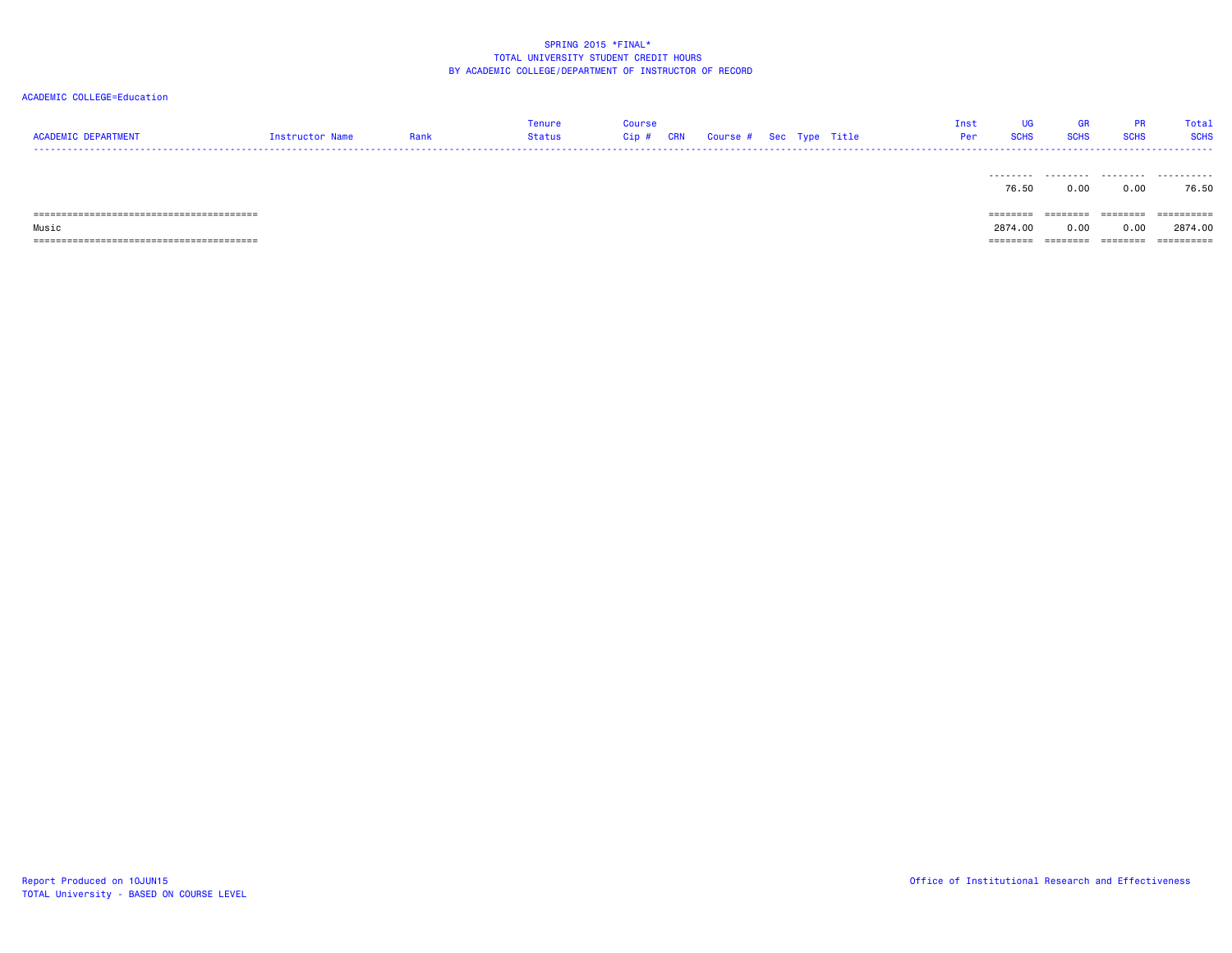| <b>ACADEMIC DEPARTMENT</b>               | Instructor Name | Rank | Tenure<br>Status | Course<br><b>CRN</b><br>Cip # | Course # Sec Type Title |  | Inst<br>Per | UG<br><b>SCHS</b>  | GR<br><b>SCHS</b> | <b>PR</b><br><b>SCHS</b> | Total<br><b>SCHS</b> |
|------------------------------------------|-----------------|------|------------------|-------------------------------|-------------------------|--|-------------|--------------------|-------------------|--------------------------|----------------------|
|                                          |                 |      |                  |                               |                         |  |             | ---------<br>76.50 | .<br>0.00         | ---------<br>0.00        | .<br>76.50           |
|                                          |                 |      |                  |                               |                         |  |             | ========           | ========          | ========                 | ==========           |
| Music                                    |                 |      |                  |                               |                         |  |             | 2874.00            | 0.00              | 0.00                     | 2874.00              |
| ,,,,,,,,,,,,,,,,,,,,,,,,,,,,,,,<br>----- |                 |      |                  |                               |                         |  |             | ========           | ========          | ========                 | ==========           |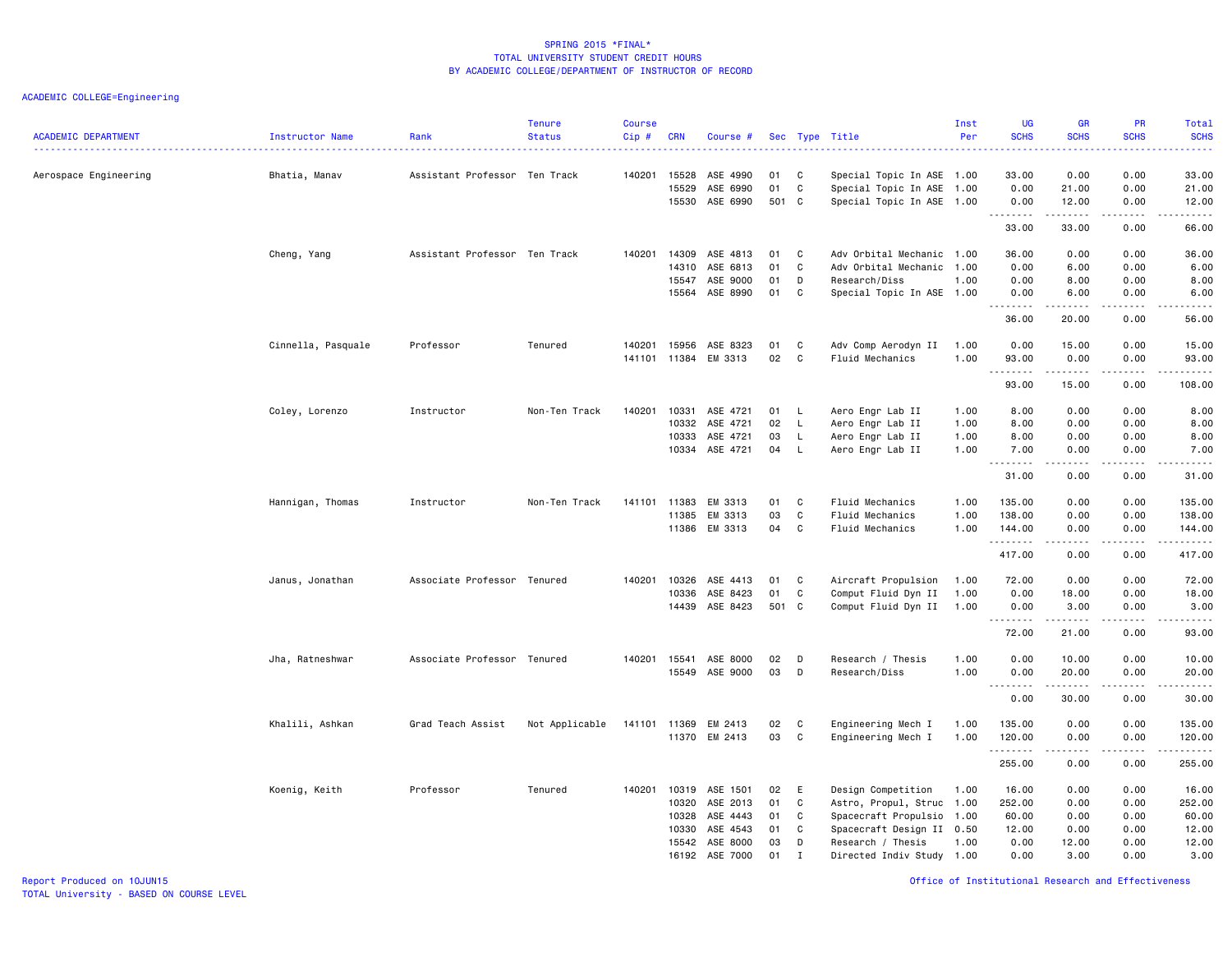| <b>ACADEMIC DEPARTMENT</b> | Instructor Name    | Rank                          | <b>Tenure</b><br><b>Status</b> | <b>Course</b><br>Cip# | <b>CRN</b>     | Course #             |          |                  | Sec Type Title                                         | Inst<br>Per | <b>UG</b><br><b>SCHS</b> | <b>GR</b><br><b>SCHS</b> | PR<br><b>SCHS</b>  | Total<br><b>SCHS</b>                                                                                                                                          |
|----------------------------|--------------------|-------------------------------|--------------------------------|-----------------------|----------------|----------------------|----------|------------------|--------------------------------------------------------|-------------|--------------------------|--------------------------|--------------------|---------------------------------------------------------------------------------------------------------------------------------------------------------------|
| Aerospace Engineering      | Bhatia, Manav      | Assistant Professor Ten Track |                                | 140201                | 15528<br>15529 | ASE 4990<br>ASE 6990 | 01<br>01 | C<br>$\mathbf C$ | Special Topic In ASE 1.00<br>Special Topic In ASE 1.00 |             | 33.00<br>0.00            | 0.00<br>21.00            | 0.00<br>0.00       | 33.00<br>21.00                                                                                                                                                |
|                            |                    |                               |                                |                       | 15530          | ASE 6990             | 501 C    |                  | Special Topic In ASE 1.00                              |             | 0.00<br>.<br>33.00       | 12.00<br>.<br>33.00      | 0.00<br>.<br>0.00  | 12.00<br>.<br>66.00                                                                                                                                           |
|                            | Cheng, Yang        | Assistant Professor Ten Track |                                | 140201                | 14309          | ASE 4813             | 01       | C                | Adv Orbital Mechanic 1.00                              |             | 36.00                    | 0.00                     | 0.00               | 36.00                                                                                                                                                         |
|                            |                    |                               |                                |                       | 14310          | ASE 6813             | 01       | C                | Adv Orbital Mechanic 1.00                              |             | 0.00                     | 6.00                     | 0.00               | 6.00                                                                                                                                                          |
|                            |                    |                               |                                |                       | 15547          | ASE 9000             | 01       | D                | Research/Diss                                          | 1.00        | 0.00                     | 8.00                     | 0.00               | 8.00                                                                                                                                                          |
|                            |                    |                               |                                |                       | 15564          | ASE 8990             | 01       | C                | Special Topic In ASE 1.00                              |             | 0.00                     | 6.00                     | 0.00               | 6.00                                                                                                                                                          |
|                            |                    |                               |                                |                       |                |                      |          |                  |                                                        |             | .<br>36.00               | -----<br>20.00           | 0.00               | $\frac{1}{2} \left( \frac{1}{2} \right) \left( \frac{1}{2} \right) \left( \frac{1}{2} \right) \left( \frac{1}{2} \right) \left( \frac{1}{2} \right)$<br>56.00 |
|                            | Cinnella, Pasquale | Professor                     | Tenured                        | 140201                | 15956          | ASE 8323             | 01       | C                | Adv Comp Aerodyn II                                    | 1.00        | 0.00                     | 15.00                    | 0.00               | 15.00                                                                                                                                                         |
|                            |                    |                               |                                |                       |                | 141101 11384 EM 3313 | 02       | C                | Fluid Mechanics                                        | 1.00        | 93.00<br><u>.</u>        | 0.00<br>.                | 0.00<br>.          | 93.00<br>.                                                                                                                                                    |
|                            |                    |                               |                                |                       |                |                      |          |                  |                                                        |             | 93.00                    | 15.00                    | 0.00               | 108.00                                                                                                                                                        |
|                            | Coley, Lorenzo     | Instructor                    | Non-Ten Track                  | 140201                | 10331          | ASE 4721             | 01       | L.               | Aero Engr Lab II                                       | 1.00        | 8.00                     | 0.00                     | 0.00               | 8.00                                                                                                                                                          |
|                            |                    |                               |                                |                       | 10332          | ASE 4721             | 02       | L.               | Aero Engr Lab II                                       | 1.00        | 8.00                     | 0.00                     | 0.00               | 8.00                                                                                                                                                          |
|                            |                    |                               |                                |                       | 10333          | ASE 4721             | 03       | L.               | Aero Engr Lab II                                       | 1.00        | 8.00                     | 0.00                     | 0.00               | 8.00                                                                                                                                                          |
|                            |                    |                               |                                |                       | 10334          | ASE 4721             | 04       | L                | Aero Engr Lab II                                       | 1.00        | 7.00<br>. <b>.</b>       | 0.00<br>المتمالين        | 0.00<br>.          | 7.00<br>المتمالين                                                                                                                                             |
|                            |                    |                               |                                |                       |                |                      |          |                  |                                                        |             | 31.00                    | 0.00                     | 0.00               | 31.00                                                                                                                                                         |
|                            | Hannigan, Thomas   | Instructor                    | Non-Ten Track                  | 141101                | 11383          | EM 3313              | 01       | C                | Fluid Mechanics                                        | 1.00        | 135.00                   | 0.00                     | 0.00               | 135.00                                                                                                                                                        |
|                            |                    |                               |                                |                       | 11385          | EM 3313              | 03       | $\mathbf C$      | Fluid Mechanics                                        | 1.00        | 138.00                   | 0.00                     | 0.00               | 138.00                                                                                                                                                        |
|                            |                    |                               |                                |                       |                | 11386 EM 3313        | 04 C     |                  | Fluid Mechanics                                        | 1.00        | 144.00<br>.              | 0.00<br>.                | 0.00<br>.          | 144.00                                                                                                                                                        |
|                            |                    |                               |                                |                       |                |                      |          |                  |                                                        |             | 417.00                   | 0.00                     | 0.00               | 417.00                                                                                                                                                        |
|                            | Janus, Jonathan    | Associate Professor Tenured   |                                | 140201                | 10326          | ASE 4413             | 01       | C                | Aircraft Propulsion                                    | 1.00        | 72.00                    | 0.00                     | 0.00               | 72.00                                                                                                                                                         |
|                            |                    |                               |                                |                       | 10336          | ASE 8423             | 01       | C                | Comput Fluid Dyn II                                    | 1.00        | 0.00                     | 18.00                    | 0.00               | 18.00                                                                                                                                                         |
|                            |                    |                               |                                |                       | 14439          | ASE 8423             | 501 C    |                  | Comput Fluid Dyn II                                    | 1.00        | 0.00<br>. <b>.</b>       | 3.00<br>$- - - - - - -$  | 0.00<br>.          | 3.00<br>.                                                                                                                                                     |
|                            |                    |                               |                                |                       |                |                      |          |                  |                                                        |             | 72.00                    | 21.00                    | 0.00               | 93.00                                                                                                                                                         |
|                            | Jha, Ratneshwar    | Associate Professor Tenured   |                                | 140201                | 15541          | ASE 8000             | 02       | D                | Research / Thesis                                      | 1.00        | 0.00                     | 10.00                    | 0.00               | 10.00                                                                                                                                                         |
|                            |                    |                               |                                |                       | 15549          | ASE 9000             | 03       | D                | Research/Diss                                          | 1.00        | 0.00<br><u>.</u>         | 20.00<br>.               | 0.00<br>.          | 20.00<br>.                                                                                                                                                    |
|                            |                    |                               |                                |                       |                |                      |          |                  |                                                        |             | 0.00                     | 30.00                    | 0.00               | 30.00                                                                                                                                                         |
|                            | Khalili, Ashkan    | Grad Teach Assist             | Not Applicable                 | 141101                | 11369          | EM 2413              | 02       | $\mathbf{C}$     | Engineering Mech I                                     | 1.00        | 135.00                   | 0.00                     | 0.00               | 135.00                                                                                                                                                        |
|                            |                    |                               |                                |                       |                | 11370 EM 2413        | 03       | C                | Engineering Mech I                                     | 1.00        | 120.00                   | 0.00                     | 0.00               | 120.00                                                                                                                                                        |
|                            |                    |                               |                                |                       |                |                      |          |                  |                                                        |             | .<br>255.00              | .<br>0.00                | . <b>.</b><br>0.00 | .<br>255.00                                                                                                                                                   |
|                            | Koenig, Keith      | Professor                     | Tenured                        | 140201 10319          |                | ASE 1501             | 02       | E                | Design Competition                                     | 1.00        | 16.00                    | 0.00                     | 0.00               | 16.00                                                                                                                                                         |
|                            |                    |                               |                                |                       | 10320          | ASE 2013             | 01       | C                | Astro, Propul, Struc                                   | 1.00        | 252.00                   | 0.00                     | 0.00               | 252.00                                                                                                                                                        |
|                            |                    |                               |                                |                       | 10328          | ASE 4443             | 01       | C                | Spacecraft Propulsio                                   | 1.00        | 60.00                    | 0.00                     | 0.00               | 60.00                                                                                                                                                         |
|                            |                    |                               |                                |                       | 10330          | ASE 4543             | 01       | C                | Spacecraft Design II 0.50                              |             | 12.00                    | 0.00                     | 0.00               | 12.00                                                                                                                                                         |
|                            |                    |                               |                                |                       | 15542          | ASE 8000             | 03       | D                | Research / Thesis                                      | 1.00        | 0.00                     | 12.00                    | 0.00               | 12.00                                                                                                                                                         |
|                            |                    |                               |                                |                       |                | 16192 ASE 7000       | 01       | $\mathbf{I}$     | Directed Indiv Study 1.00                              |             | 0.00                     | 3.00                     | 0.00               | 3.00                                                                                                                                                          |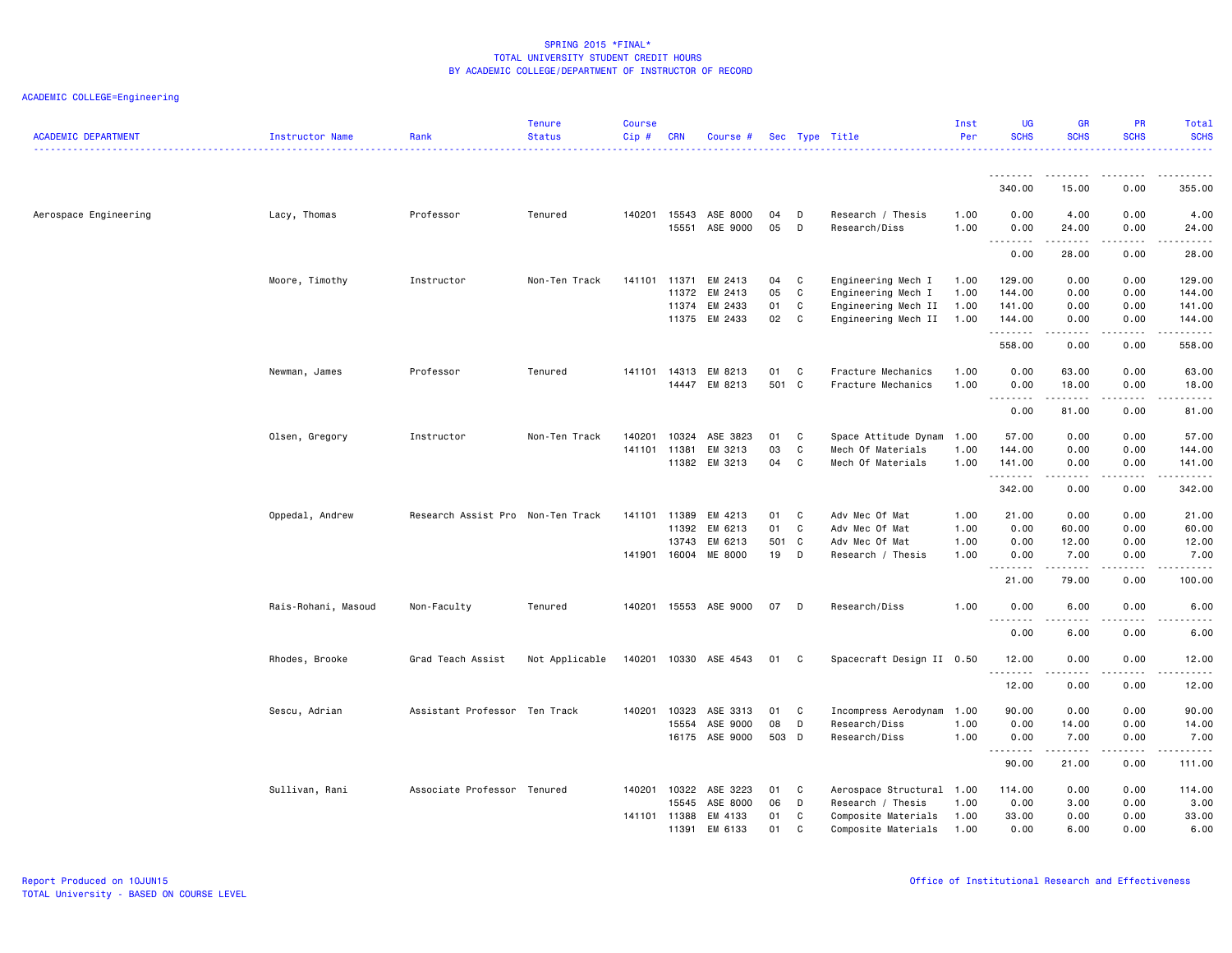| <b>ACADEMIC DEPARTMENT</b> | Instructor Name     | Rank                              | <b>Tenure</b><br><b>Status</b> | <b>Course</b><br>Cip# | <b>CRN</b> | Course #              |          |        | Sec Type Title                         | Inst<br>Per  | <b>UG</b><br><b>SCHS</b>                                    | <b>GR</b><br><b>SCHS</b>                                                                                                | <b>PR</b><br><b>SCHS</b>                                                                                                          | Total<br><b>SCHS</b> |
|----------------------------|---------------------|-----------------------------------|--------------------------------|-----------------------|------------|-----------------------|----------|--------|----------------------------------------|--------------|-------------------------------------------------------------|-------------------------------------------------------------------------------------------------------------------------|-----------------------------------------------------------------------------------------------------------------------------------|----------------------|
|                            |                     |                                   |                                |                       |            |                       |          |        |                                        |              |                                                             | ------                                                                                                                  | ----                                                                                                                              |                      |
|                            |                     |                                   |                                |                       |            |                       |          |        |                                        |              | 340.00                                                      | 15.00                                                                                                                   | 0.00                                                                                                                              | 355.00               |
| Aerospace Engineering      | Lacy, Thomas        | Professor                         | Tenured                        | 140201 15543          |            | ASE 8000              | 04       | D      | Research / Thesis                      | 1.00         | 0.00                                                        | 4.00                                                                                                                    | 0.00                                                                                                                              | 4.00                 |
|                            |                     |                                   |                                |                       | 15551      | ASE 9000              | 05       | D      | Research/Diss                          | 1.00         | 0.00<br>.                                                   | 24.00                                                                                                                   | 0.00<br>$\frac{1}{2} \left( \frac{1}{2} \right) \left( \frac{1}{2} \right) \left( \frac{1}{2} \right) \left( \frac{1}{2} \right)$ | 24.00<br>.           |
|                            |                     |                                   |                                |                       |            |                       |          |        |                                        |              | 0.00                                                        | 28.00                                                                                                                   | 0.00                                                                                                                              | 28.00                |
|                            | Moore, Timothy      | Instructor                        | Non-Ten Track                  | 141101 11371          |            | EM 2413               | 04       | C      | Engineering Mech I                     | 1.00         | 129.00                                                      | 0.00                                                                                                                    | 0.00                                                                                                                              | 129.00               |
|                            |                     |                                   |                                |                       | 11372      | EM 2413               | 05       | C      | Engineering Mech I                     | 1.00         | 144.00                                                      | 0.00                                                                                                                    | 0.00                                                                                                                              | 144.00               |
|                            |                     |                                   |                                |                       | 11374      | EM 2433               | 01       | C      | Engineering Mech II                    | 1.00         | 141.00                                                      | 0.00                                                                                                                    | 0.00                                                                                                                              | 141.00               |
|                            |                     |                                   |                                |                       | 11375      | EM 2433               | 02       | C      | Engineering Mech II                    | 1.00         | 144.00<br>.                                                 | 0.00<br>$\begin{array}{cccccccccccccc} \bullet & \bullet & \bullet & \bullet & \bullet & \bullet & \bullet \end{array}$ | 0.00<br>.                                                                                                                         | 144.00               |
|                            |                     |                                   |                                |                       |            |                       |          |        |                                        |              | 558.00                                                      | 0.00                                                                                                                    | 0.00                                                                                                                              | 558.00               |
|                            | Newman, James       | Professor                         | Tenured                        | 141101                | 14313      | EM 8213               | 01       | C      | Fracture Mechanics                     | 1.00         | 0.00                                                        | 63.00                                                                                                                   | 0.00                                                                                                                              | 63.00                |
|                            |                     |                                   |                                |                       | 14447      | EM 8213               | 501 C    |        | Fracture Mechanics                     | 1.00         | 0.00                                                        | 18.00                                                                                                                   | 0.00                                                                                                                              | 18.00                |
|                            |                     |                                   |                                |                       |            |                       |          |        |                                        |              | .<br>0.00                                                   | .<br>81.00                                                                                                              | .<br>0.00                                                                                                                         | .<br>81.00           |
|                            |                     |                                   |                                |                       |            |                       |          |        |                                        |              |                                                             |                                                                                                                         |                                                                                                                                   |                      |
|                            | Olsen, Gregory      | Instructor                        | Non-Ten Track                  | 140201                | 10324      | ASE 3823              | 01       | C      | Space Attitude Dynam                   | 1.00         | 57.00                                                       | 0.00                                                                                                                    | 0.00                                                                                                                              | 57.00                |
|                            |                     |                                   |                                | 141101 11381          | 11382      | EM 3213<br>EM 3213    | 03<br>04 | C<br>C | Mech Of Materials<br>Mech Of Materials | 1.00<br>1.00 | 144.00<br>141.00                                            | 0.00<br>0.00                                                                                                            | 0.00<br>0.00                                                                                                                      | 144.00<br>141.00     |
|                            |                     |                                   |                                |                       |            |                       |          |        |                                        |              | .                                                           | .                                                                                                                       | $-$ - $-$ -                                                                                                                       | .                    |
|                            |                     |                                   |                                |                       |            |                       |          |        |                                        |              | 342.00                                                      | 0.00                                                                                                                    | 0.00                                                                                                                              | 342.00               |
|                            | Oppedal, Andrew     | Research Assist Pro Non-Ten Track |                                | 141101 11389          |            | EM 4213               | 01       | C      | Adv Mec Of Mat                         | 1.00         | 21.00                                                       | 0.00                                                                                                                    | 0.00                                                                                                                              | 21.00                |
|                            |                     |                                   |                                |                       | 11392      | EM 6213               | 01       | C      | Adv Mec Of Mat                         | 1.00         | 0.00                                                        | 60.00                                                                                                                   | 0.00                                                                                                                              | 60.00                |
|                            |                     |                                   |                                |                       | 13743      | EM 6213               | 501 C    |        | Adv Mec Of Mat                         | 1.00         | 0.00                                                        | 12.00                                                                                                                   | 0.00                                                                                                                              | 12.00                |
|                            |                     |                                   |                                | 141901                | 16004      | ME 8000               | 19       | D      | Research / Thesis                      | 1.00         | 0.00<br>.                                                   | 7.00<br>.                                                                                                               | 0.00<br>.                                                                                                                         | 7.00<br>.            |
|                            |                     |                                   |                                |                       |            |                       |          |        |                                        |              | 21.00                                                       | 79.00                                                                                                                   | 0.00                                                                                                                              | 100.00               |
|                            | Rais-Rohani, Masoud | Non-Faculty                       | Tenured                        |                       |            | 140201 15553 ASE 9000 | 07       | D      | Research/Diss                          | 1.00         | 0.00                                                        | 6.00                                                                                                                    | 0.00                                                                                                                              | 6.00                 |
|                            |                     |                                   |                                |                       |            |                       |          |        |                                        |              | $\sim$ $\sim$ $\sim$<br>$\sim$ $\sim$ $\sim$ $\sim$<br>0.00 | 6.00                                                                                                                    | 0.00                                                                                                                              | 6.00                 |
|                            |                     |                                   |                                |                       |            |                       |          |        |                                        |              |                                                             |                                                                                                                         |                                                                                                                                   |                      |
|                            | Rhodes, Brooke      | Grad Teach Assist                 | Not Applicable                 | 140201                |            | 10330 ASE 4543        | 01       | C      | Spacecraft Design II 0.50              |              | 12.00<br>.                                                  | 0.00<br>.                                                                                                               | 0.00<br>د د د د                                                                                                                   | 12.00<br>.           |
|                            |                     |                                   |                                |                       |            |                       |          |        |                                        |              | 12.00                                                       | 0.00                                                                                                                    | 0.00                                                                                                                              | 12.00                |
|                            | Sescu, Adrian       | Assistant Professor Ten Track     |                                | 140201                | 10323      | ASE 3313              | 01       | C      | Incompress Aerodynam                   | 1.00         | 90.00                                                       | 0.00                                                                                                                    | 0.00                                                                                                                              | 90.00                |
|                            |                     |                                   |                                |                       | 15554      | ASE 9000              | 08       | D      | Research/Diss                          | 1.00         | 0.00                                                        | 14.00                                                                                                                   | 0.00                                                                                                                              | 14.00                |
|                            |                     |                                   |                                |                       | 16175      | ASE 9000              | 503 D    |        | Research/Diss                          | 1.00         | 0.00<br>.                                                   | 7.00<br>.                                                                                                               | 0.00<br>.                                                                                                                         | 7.00<br>.            |
|                            |                     |                                   |                                |                       |            |                       |          |        |                                        |              | 90.00                                                       | 21.00                                                                                                                   | 0.00                                                                                                                              | 111.00               |
|                            | Sullivan, Rani      | Associate Professor Tenured       |                                | 140201                | 10322      | ASE 3223              | 01       | C      | Aerospace Structural                   | 1.00         | 114.00                                                      | 0.00                                                                                                                    | 0.00                                                                                                                              | 114.00               |
|                            |                     |                                   |                                |                       | 15545      | ASE 8000              | 06       | D      | Research / Thesis                      | 1.00         | 0.00                                                        | 3.00                                                                                                                    | 0.00                                                                                                                              | 3.00                 |
|                            |                     |                                   |                                | 141101 11388          |            | EM 4133               | 01       | C      | Composite Materials                    | 1.00         | 33.00                                                       | 0.00                                                                                                                    | 0.00                                                                                                                              | 33.00                |
|                            |                     |                                   |                                |                       | 11391      | EM 6133               | 01       | C      | Composite Materials                    | 1.00         | 0.00                                                        | 6.00                                                                                                                    | 0.00                                                                                                                              | 6.00                 |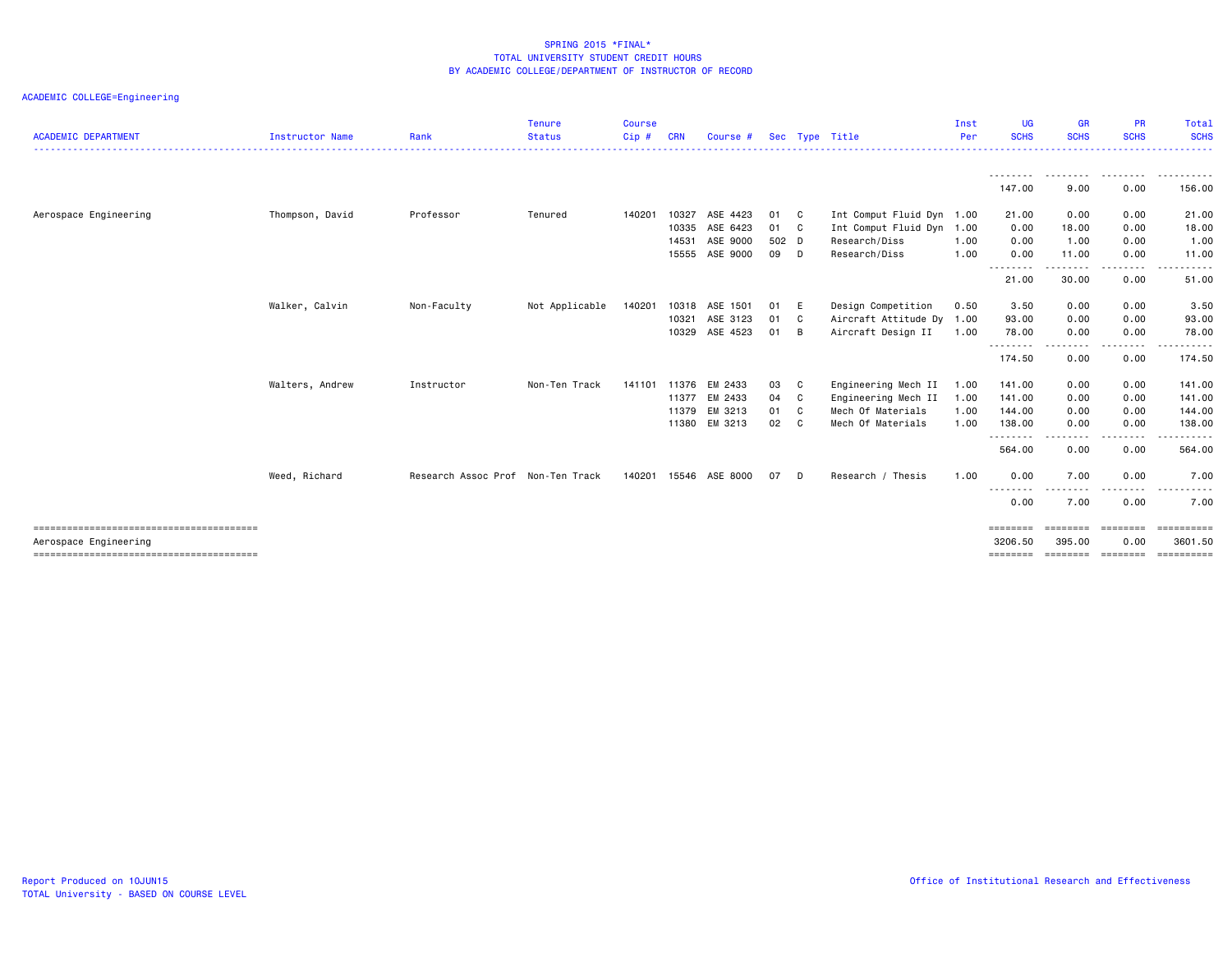| <b>ACADEMIC DEPARTMENT</b> | <b>Instructor Name</b> | Rank                              | <b>Tenure</b><br><b>Status</b> | <b>Course</b><br>$C$ ip $#$ | <b>CRN</b> | Course # |       |              | Sec Type Title       | Inst<br>Per | <b>UG</b><br><b>SCHS</b>        | <b>GR</b><br><b>SCHS</b> | <b>PR</b><br><b>SCHS</b>                                                                                                                                                                | Total<br><b>SCHS</b> |
|----------------------------|------------------------|-----------------------------------|--------------------------------|-----------------------------|------------|----------|-------|--------------|----------------------|-------------|---------------------------------|--------------------------|-----------------------------------------------------------------------------------------------------------------------------------------------------------------------------------------|----------------------|
|                            |                        |                                   |                                |                             |            |          |       |              |                      |             | .                               |                          |                                                                                                                                                                                         | . <b>.</b> .         |
|                            |                        |                                   |                                |                             |            |          |       |              |                      |             | 147.00                          | 9.00                     | .<br>0.00                                                                                                                                                                               | 156.00               |
| Aerospace Engineering      | Thompson, David        | Professor                         | Tenured                        | 140201                      | 10327      | ASE 4423 | 01    | $\mathbf{C}$ | Int Comput Fluid Dyn | 1.00        | 21.00                           | 0.00                     | 0.00                                                                                                                                                                                    | 21.00                |
|                            |                        |                                   |                                |                             | 10335      | ASE 6423 | 01 C  |              | Int Comput Fluid Dyn | 1.00        | 0.00                            | 18.00                    | 0.00                                                                                                                                                                                    | 18.00                |
|                            |                        |                                   |                                |                             | 14531      | ASE 9000 | 502 D |              | Research/Diss        | 1.00        | 0.00                            | 1.00                     | 0.00                                                                                                                                                                                    | 1.00                 |
|                            |                        |                                   |                                |                             | 15555      | ASE 9000 | 09 D  |              | Research/Diss        | 1.00        | 0.00                            | 11.00                    | 0.00                                                                                                                                                                                    | 11.00                |
|                            |                        |                                   |                                |                             |            |          |       |              |                      |             | --------                        | ---------                | <u>.</u>                                                                                                                                                                                | .                    |
|                            |                        |                                   |                                |                             |            |          |       |              |                      |             | 21.00                           | 30.00                    | 0.00                                                                                                                                                                                    | 51.00                |
|                            | Walker, Calvin         | Non-Faculty                       | Not Applicable                 | 140201                      | 10318      | ASE 1501 | 01    | E            | Design Competition   | 0.50        | 3.50                            | 0.00                     | 0.00                                                                                                                                                                                    | 3.50                 |
|                            |                        |                                   |                                |                             | 10321      | ASE 3123 | 01    | $\mathbf{C}$ | Aircraft Attitude Dy | 1.00        | 93.00                           | 0.00                     | 0.00                                                                                                                                                                                    | 93.00                |
|                            |                        |                                   |                                |                             | 10329      | ASE 4523 | 01    | B            | Aircraft Design II   | 1.00        | 78.00<br>---------              | 0.00<br>. <b>.</b>       | 0.00<br>- - - - - - - - -                                                                                                                                                               | 78.00<br>.           |
|                            |                        |                                   |                                |                             |            |          |       |              |                      |             | 174.50                          | 0.00                     | 0.00                                                                                                                                                                                    | 174.50               |
|                            | Walters, Andrew        | Instructor                        | Non-Ten Track                  | 141101                      | 11376      | EM 2433  | 03    | C            | Engineering Mech II  | 1.00        | 141.00                          | 0.00                     | 0.00                                                                                                                                                                                    | 141.00               |
|                            |                        |                                   |                                |                             | 11377      | EM 2433  | 04    | C            | Engineering Mech II  | 1.00        | 141.00                          | 0.00                     | 0.00                                                                                                                                                                                    | 141.00               |
|                            |                        |                                   |                                |                             | 11379      | EM 3213  | 01 C  |              | Mech Of Materials    | 1.00        | 144.00                          | 0.00                     | 0.00                                                                                                                                                                                    | 144.00               |
|                            |                        |                                   |                                |                             | 11380      | EM 3213  | 02    | $\mathbf{C}$ | Mech Of Materials    | 1.00        | 138,00                          | 0.00                     | 0.00                                                                                                                                                                                    | 138,00               |
|                            |                        |                                   |                                |                             |            |          |       |              |                      |             | ---------<br>564.00             | .<br>0.00                | $\frac{1}{2} \left( \frac{1}{2} \right) \left( \frac{1}{2} \right) \left( \frac{1}{2} \right) \left( \frac{1}{2} \right) \left( \frac{1}{2} \right) \left( \frac{1}{2} \right)$<br>0.00 | .<br>564.00          |
|                            | Weed, Richard          | Research Assoc Prof Non-Ten Track |                                | 140201 15546                |            | ASE 8000 | 07    | D.           | Research / Thesis    | 1.00        | 0.00                            | 7.00                     | 0.00                                                                                                                                                                                    | 7.00                 |
|                            |                        |                                   |                                |                             |            |          |       |              |                      |             | <u> - - - - - - - -</u><br>0.00 | 7.00                     | 0.00                                                                                                                                                                                    | 7.00                 |
|                            |                        |                                   |                                |                             |            |          |       |              |                      |             | $=$ = = = = = = =               |                          |                                                                                                                                                                                         | ==========           |
| Aerospace Engineering      |                        |                                   |                                |                             |            |          |       |              |                      |             | 3206.50                         | 395.00                   | 0.00                                                                                                                                                                                    | 3601.50              |
|                            |                        |                                   |                                |                             |            |          |       |              |                      |             | ========                        | ========                 | ========                                                                                                                                                                                | ==========           |
|                            |                        |                                   |                                |                             |            |          |       |              |                      |             |                                 |                          |                                                                                                                                                                                         |                      |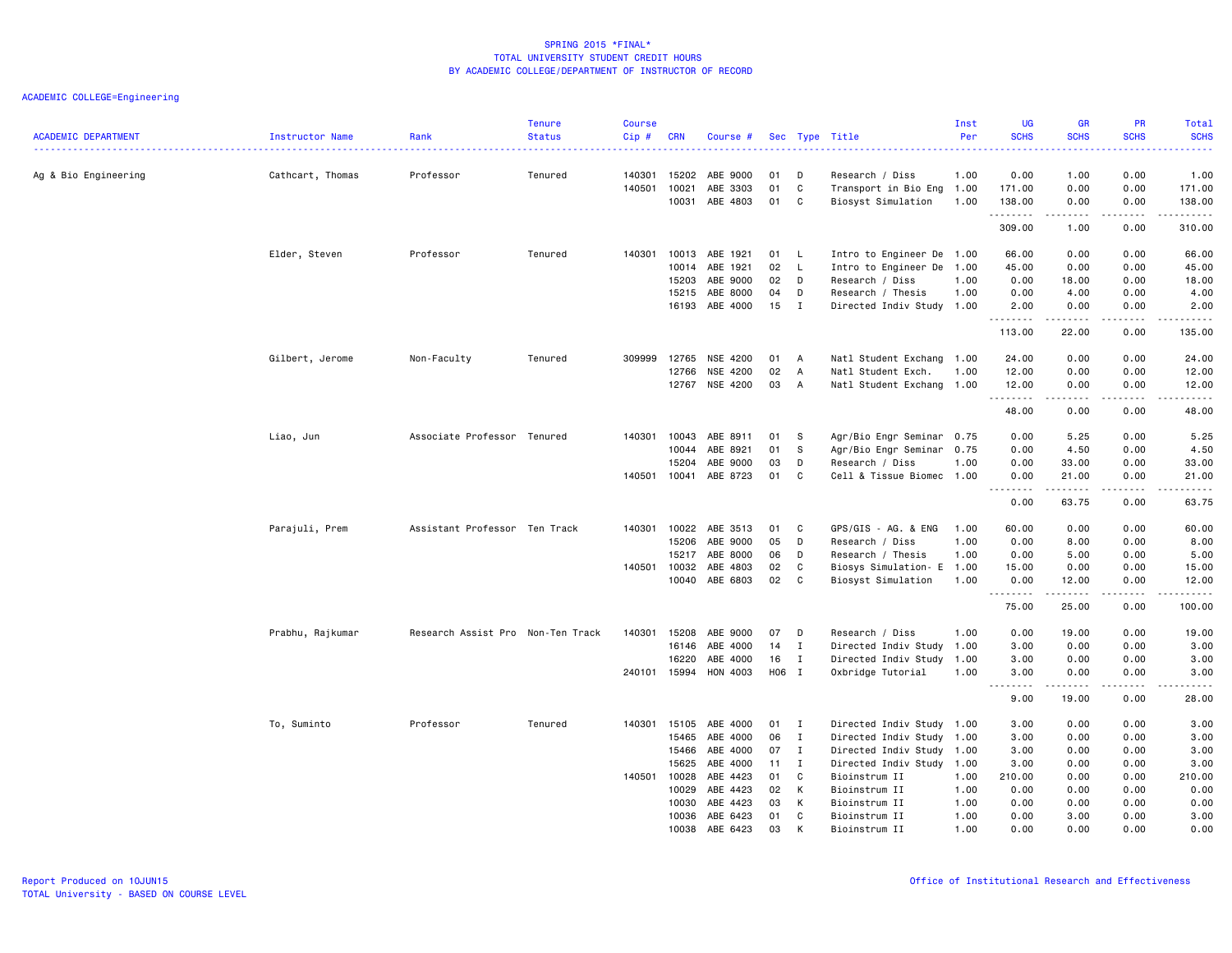|                            |                  |                                   | <b>Tenure</b> | <b>Course</b> |                |                       |          |              |                                | Inst         | <b>UG</b>    | <b>GR</b>                                                                                                                                                    | PR                                                                                       | Total               |
|----------------------------|------------------|-----------------------------------|---------------|---------------|----------------|-----------------------|----------|--------------|--------------------------------|--------------|--------------|--------------------------------------------------------------------------------------------------------------------------------------------------------------|------------------------------------------------------------------------------------------|---------------------|
| <b>ACADEMIC DEPARTMENT</b> | Instructor Name  | Rank                              | <b>Status</b> | Cip#          | <b>CRN</b>     | Course #              |          |              | Sec Type Title                 | Per          | <b>SCHS</b>  | <b>SCHS</b>                                                                                                                                                  | <b>SCHS</b>                                                                              | <b>SCHS</b><br>.    |
| Ag & Bio Engineering       | Cathcart, Thomas | Professor                         | Tenured       | 140301        | 15202          | ABE 9000              | 01       | D            | Research / Diss                | 1.00         | 0.00         | 1.00                                                                                                                                                         | 0.00                                                                                     | 1.00                |
|                            |                  |                                   |               | 140501        | 10021          | ABE 3303              | 01       | C            | Transport in Bio Eng 1.00      |              | 171.00       | 0.00                                                                                                                                                         | 0.00                                                                                     | 171.00              |
|                            |                  |                                   |               |               | 10031          | ABE 4803              | 01       | C            | Biosyst Simulation             | 1.00         | 138.00       | 0.00<br>$\frac{1}{2} \left( \frac{1}{2} \right) \left( \frac{1}{2} \right) \left( \frac{1}{2} \right) \left( \frac{1}{2} \right) \left( \frac{1}{2} \right)$ | 0.00<br>$\mathbf{1} \cdot \mathbf{1} \cdot \mathbf{1} \cdot \mathbf{1} \cdot \mathbf{1}$ | 138.00              |
|                            |                  |                                   |               |               |                |                       |          |              |                                |              | .<br>309.00  | 1.00                                                                                                                                                         | 0.00                                                                                     | .<br>310.00         |
|                            | Elder, Steven    | Professor                         | Tenured       | 140301        | 10013          | ABE 1921              | 01       | - L          | Intro to Engineer De 1.00      |              | 66.00        | 0.00                                                                                                                                                         | 0.00                                                                                     | 66.00               |
|                            |                  |                                   |               |               | 10014          | ABE 1921              | 02       | L.           | Intro to Engineer De 1.00      |              | 45.00        | 0.00                                                                                                                                                         | 0.00                                                                                     | 45.00               |
|                            |                  |                                   |               |               | 15203          | ABE 9000              | 02       | D            | Research / Diss                | 1.00         | 0.00         | 18.00                                                                                                                                                        | 0.00                                                                                     | 18.00               |
|                            |                  |                                   |               |               | 15215          | ABE 8000              | 04       | D            | Research / Thesis              | 1.00         | 0.00         | 4.00                                                                                                                                                         | 0.00                                                                                     | 4.00                |
|                            |                  |                                   |               |               | 16193          | ABE 4000              | 15       | $\mathbf{I}$ | Directed Indiv Study 1.00      |              | 2.00<br>.    | 0.00<br>$\frac{1}{2} \left( \frac{1}{2} \right) \left( \frac{1}{2} \right) \left( \frac{1}{2} \right) \left( \frac{1}{2} \right) \left( \frac{1}{2} \right)$ | 0.00<br>.                                                                                | 2.00<br>.           |
|                            |                  |                                   |               |               |                |                       |          |              |                                |              | 113.00       | 22.00                                                                                                                                                        | 0.00                                                                                     | 135.00              |
|                            | Gilbert, Jerome  | Non-Faculty                       | Tenured       | 309999        | 12765          | NSE 4200              | 01       | A            | Natl Student Exchang           | 1.00         | 24.00        | 0.00                                                                                                                                                         | 0.00                                                                                     | 24.00               |
|                            |                  |                                   |               |               | 12766          | NSE 4200              | 02       | A            | Natl Student Exch.             | 1.00         | 12.00        | 0.00                                                                                                                                                         | 0.00                                                                                     | 12.00               |
|                            |                  |                                   |               |               | 12767          | NSE 4200              | 03       | A            | Natl Student Exchang 1.00      |              | 12.00<br>.   | 0.00<br>.                                                                                                                                                    | 0.00<br>.                                                                                | 12.00<br>المتماليات |
|                            |                  |                                   |               |               |                |                       |          |              |                                |              | 48.00        | 0.00                                                                                                                                                         | 0.00                                                                                     | 48.00               |
|                            | Liao, Jun        | Associate Professor Tenured       |               | 140301        | 10043          | ABE 8911              | 01       | s            | Agr/Bio Engr Seminar 0.75      |              | 0.00         | 5.25                                                                                                                                                         | 0.00                                                                                     | 5.25                |
|                            |                  |                                   |               |               | 10044          | ABE 8921              | 01       | S            | Agr/Bio Engr Seminar 0.75      |              | 0.00         | 4.50                                                                                                                                                         | 0.00                                                                                     | 4.50                |
|                            |                  |                                   |               |               | 15204          | ABE 9000              | 03       | D            | Research / Diss                | 1.00         | 0.00         | 33.00                                                                                                                                                        | 0.00                                                                                     | 33.00               |
|                            |                  |                                   |               |               | 140501 10041   | ABE 8723              | 01       | C            | Cell & Tissue Biomec 1.00      |              | 0.00<br>.    | 21.00<br>.                                                                                                                                                   | 0.00<br>$- - - - -$                                                                      | 21.00<br>.          |
|                            |                  |                                   |               |               |                |                       |          |              |                                |              | 0.00         | 63.75                                                                                                                                                        | 0.00                                                                                     | 63.75               |
|                            | Parajuli, Prem   | Assistant Professor Ten Track     |               | 140301        | 10022          | ABE 3513              | 01       | C            | GPS/GIS - AG. & ENG            | 1.00         | 60.00        | 0.00                                                                                                                                                         | 0.00                                                                                     | 60.00               |
|                            |                  |                                   |               |               | 15206          | ABE 9000              | 05       | D            | Research / Diss                | 1.00         | 0.00         | 8.00                                                                                                                                                         | 0.00                                                                                     | 8.00                |
|                            |                  |                                   |               |               | 15217          | ABE 8000              | 06       | D            | Research / Thesis              | 1.00         | 0.00         | 5.00                                                                                                                                                         | 0.00                                                                                     | 5.00                |
|                            |                  |                                   |               |               | 140501 10032   | ABE 4803              | 02       | C            | Biosys Simulation- E           | 1.00         | 15.00        | 0.00                                                                                                                                                         | 0.00                                                                                     | 15.00               |
|                            |                  |                                   |               |               | 10040          | ABE 6803              | 02       | C            | Biosyst Simulation             | 1.00         | 0.00<br>.    | 12.00                                                                                                                                                        | 0.00<br>-----                                                                            | 12.00<br>.          |
|                            |                  |                                   |               |               |                |                       |          |              |                                |              | 75.00        | 25.00                                                                                                                                                        | 0.00                                                                                     | 100.00              |
|                            | Prabhu, Rajkumar | Research Assist Pro Non-Ten Track |               | 140301        | 15208          | ABE 9000              | 07       | D            | Research / Diss                | 1.00         | 0.00         | 19.00                                                                                                                                                        | 0.00                                                                                     | 19.00               |
|                            |                  |                                   |               |               | 16146          | ABE 4000              | 14       | $\mathbf{I}$ | Directed Indiv Study 1.00      |              | 3.00         | 0.00                                                                                                                                                         | 0.00                                                                                     | 3.00                |
|                            |                  |                                   |               |               | 16220          | ABE 4000              | 16       | $\mathbf{I}$ | Directed Indiv Study 1.00      |              | 3.00         | 0.00                                                                                                                                                         | 0.00                                                                                     | 3.00                |
|                            |                  |                                   |               |               |                | 240101 15994 HON 4003 | H06 I    |              | Oxbridge Tutorial              | 1.00         | 3.00<br>.    | 0.00<br>.                                                                                                                                                    | 0.00<br>.                                                                                | 3.00<br>.           |
|                            |                  |                                   |               |               |                |                       |          |              |                                |              | 9.00         | 19.00                                                                                                                                                        | 0.00                                                                                     | 28.00               |
|                            | To, Suminto      | Professor                         | Tenured       |               | 140301 15105   | ABE 4000              | 01       | $\mathbf{I}$ | Directed Indiv Study 1.00      |              | 3.00         | 0.00                                                                                                                                                         | 0.00                                                                                     | 3.00                |
|                            |                  |                                   |               |               | 15465          | ABE 4000              | 06       | $\mathbf{I}$ | Directed Indiv Study 1.00      |              | 3.00         | 0.00                                                                                                                                                         | 0.00                                                                                     | 3.00                |
|                            |                  |                                   |               |               | 15466          | ABE 4000              | 07       | $\mathbf{I}$ | Directed Indiv Study 1.00      |              | 3.00         | 0.00                                                                                                                                                         | 0.00                                                                                     | 3.00                |
|                            |                  |                                   |               |               | 15625          | ABE 4000              | 11       | $\mathbf{I}$ | Directed Indiv Study 1.00      |              | 3.00         | 0.00                                                                                                                                                         | 0.00                                                                                     | 3.00                |
|                            |                  |                                   |               |               | 140501 10028   | ABE 4423              | 01       | C            | Bioinstrum II                  | 1.00         | 210.00       | 0.00                                                                                                                                                         | 0.00                                                                                     | 210.00              |
|                            |                  |                                   |               |               | 10029          | ABE 4423              | 02       | К            | Bioinstrum II                  | 1.00         | 0.00         | 0.00                                                                                                                                                         | 0.00                                                                                     | 0.00                |
|                            |                  |                                   |               |               | 10030          | ABE 4423              | 03       | К            | Bioinstrum II                  | 1.00         | 0.00         | 0.00                                                                                                                                                         | 0.00                                                                                     | 0.00                |
|                            |                  |                                   |               |               | 10036<br>10038 | ABE 6423<br>ABE 6423  | 01<br>03 | C            | Bioinstrum II<br>Bioinstrum II | 1.00<br>1.00 | 0.00<br>0.00 | 3.00<br>0.00                                                                                                                                                 | 0.00<br>0.00                                                                             | 3.00<br>0.00        |
|                            |                  |                                   |               |               |                |                       |          |              |                                |              |              |                                                                                                                                                              |                                                                                          |                     |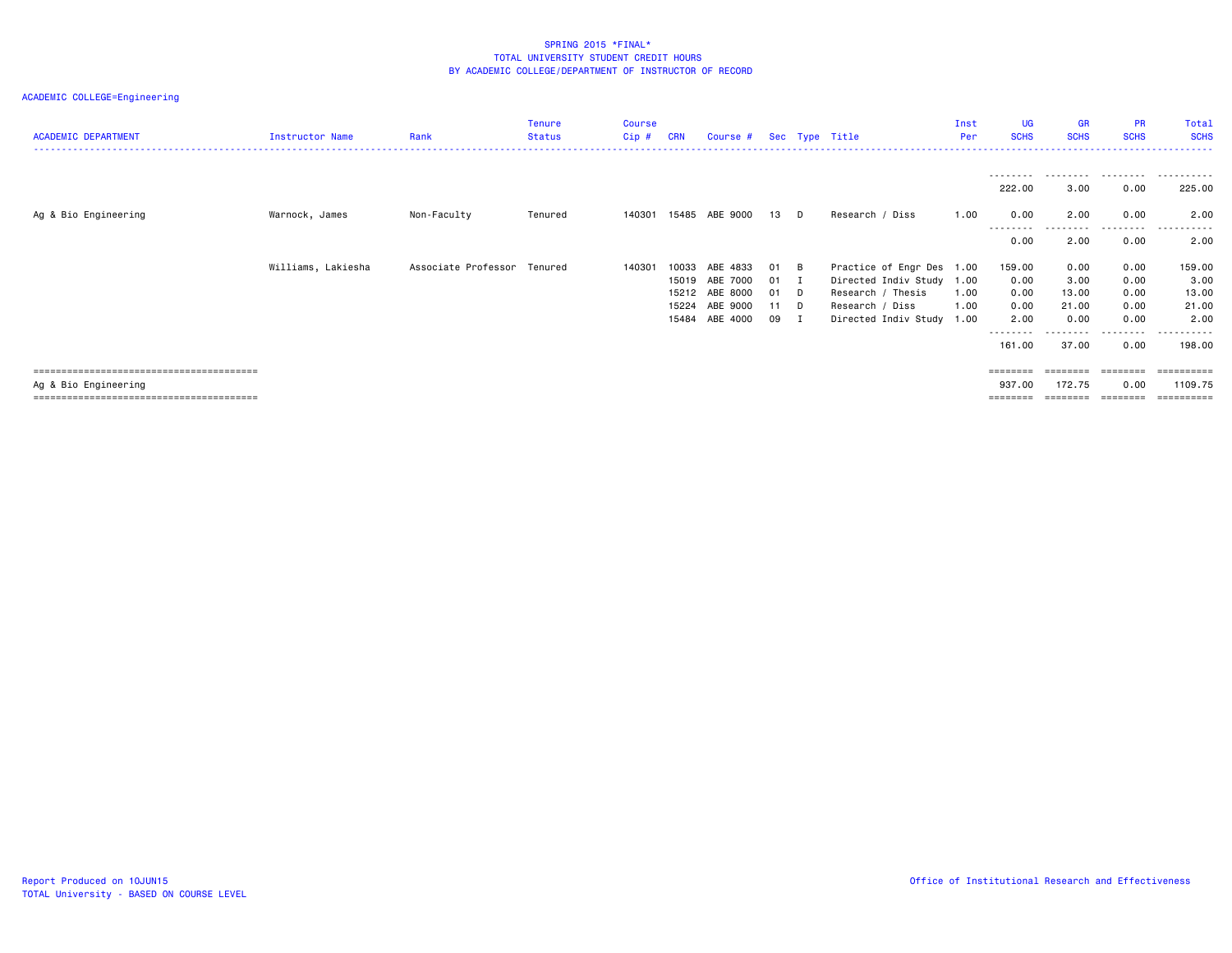| <b>ACADEMIC DEPARTMENT</b> | Instructor Name    | Rank                        | <b>Tenure</b><br><b>Status</b> | <b>Course</b><br>Cip # | <b>CRN</b> | Course #       |    |                | Sec Type Title            | Inst<br>Per | <b>UG</b><br><b>SCHS</b> | <b>GR</b><br><b>SCHS</b> | <b>PR</b><br><b>SCHS</b> | Total<br><b>SCHS</b> |
|----------------------------|--------------------|-----------------------------|--------------------------------|------------------------|------------|----------------|----|----------------|---------------------------|-------------|--------------------------|--------------------------|--------------------------|----------------------|
|                            |                    |                             |                                |                        |            |                |    |                |                           |             |                          |                          |                          |                      |
|                            |                    |                             |                                |                        |            |                |    |                |                           |             | ---------<br>222.00      | .<br>3.00                | .<br>0.00                | .<br>225.00          |
| Ag & Bio Engineering       | Warnock, James     | Non-Faculty                 | Tenured                        | 140301                 |            | 15485 ABE 9000 | 13 | <b>D</b>       | Research / Diss           | 1.00        | 0.00                     | 2.00                     | 0.00                     | 2.00                 |
|                            |                    |                             |                                |                        |            |                |    |                |                           |             | ---------<br>0.00        | .<br>2.00                | .<br>0.00                | .<br>2.00            |
|                            | Williams, Lakiesha | Associate Professor Tenured |                                | 140301                 | 10033      | ABE 4833       | 01 | $\overline{B}$ | Practice of Engr Des 1.00 |             | 159.00                   | 0.00                     | 0.00                     | 159.00               |
|                            |                    |                             |                                |                        |            | 15019 ABE 7000 | 01 | $\mathbf{I}$   | Directed Indiv Study 1.00 |             | 0.00                     | 3.00                     | 0.00                     | 3.00                 |
|                            |                    |                             |                                |                        |            | 15212 ABE 8000 | 01 | $\Box$         | Research / Thesis         | 1.00        | 0.00                     | 13.00                    | 0.00                     | 13.00                |
|                            |                    |                             |                                |                        | 15224      | ABE 9000       | 11 | <b>D</b>       | Research / Diss           | 1.00        | 0.00                     | 21.00                    | 0.00                     | 21.00                |
|                            |                    |                             |                                |                        | 15484      | ABE 4000       | 09 | п              | Directed Indiv Study      | 1.00        | 2.00<br>---------        | 0.00                     | 0.00<br>.                | 2.00<br>----------   |
|                            |                    |                             |                                |                        |            |                |    |                |                           |             | 161.00                   | 37.00                    | 0.00                     | 198.00               |
|                            |                    |                             |                                |                        |            |                |    |                |                           |             | $=$ = = = = = = =        | =======                  | ========                 | ==========           |
| Ag & Bio Engineering       |                    |                             |                                |                        |            |                |    |                |                           |             | 937.00                   | 172.75                   | 0.00                     | 1109.75              |
|                            |                    |                             |                                |                        |            |                |    |                |                           |             |                          |                          |                          |                      |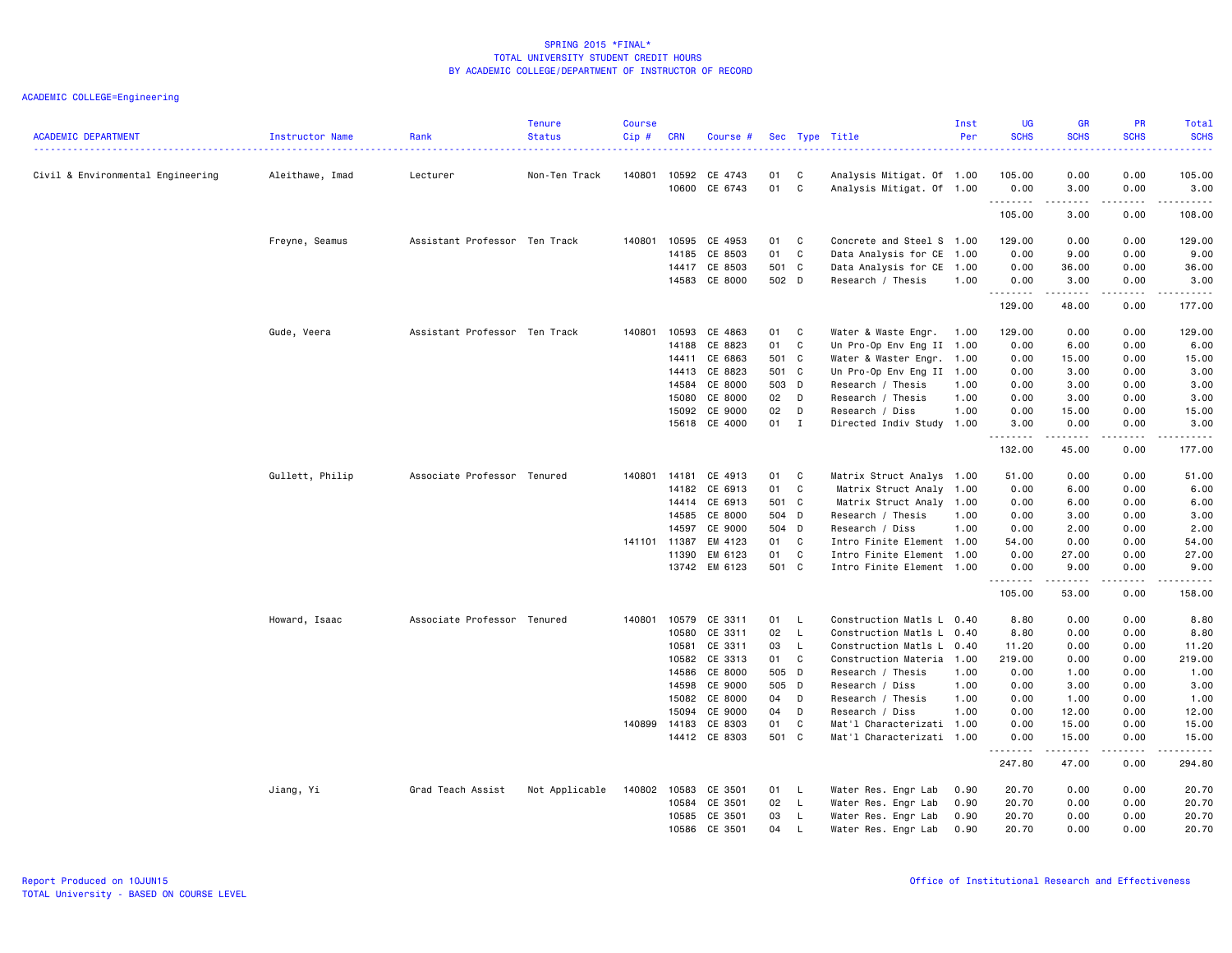| <b>ACADEMIC DEPARTMENT</b>        | Instructor Name | Rank                          | <b>Tenure</b><br><b>Status</b> | <b>Course</b><br>$Cip$ # | <b>CRN</b>     | Course #           |          |              | Sec Type Title                                         | Inst<br>Per | <b>UG</b><br><b>SCHS</b> | <b>GR</b><br><b>SCHS</b> | <b>PR</b><br><b>SCHS</b>            | Total<br><b>SCHS</b> |
|-----------------------------------|-----------------|-------------------------------|--------------------------------|--------------------------|----------------|--------------------|----------|--------------|--------------------------------------------------------|-------------|--------------------------|--------------------------|-------------------------------------|----------------------|
|                                   |                 |                               |                                |                          |                |                    |          |              |                                                        |             |                          |                          |                                     | .                    |
| Civil & Environmental Engineering | Aleithawe, Imad | Lecturer                      | Non-Ten Track                  | 140801                   | 10592<br>10600 | CE 4743<br>CE 6743 | 01<br>01 | C<br>C       | Analysis Mitigat. Of 1.00<br>Analysis Mitigat. Of 1.00 |             | 105.00<br>0.00           | 0.00<br>3.00             | 0.00<br>0.00                        | 105.00<br>3.00       |
|                                   |                 |                               |                                |                          |                |                    |          |              |                                                        |             | .<br>105.00              | .<br>3.00                | .<br>0.00                           | .<br>108.00          |
|                                   | Freyne, Seamus  | Assistant Professor Ten Track |                                | 140801                   | 10595          | CE 4953            | 01       | C            | Concrete and Steel S 1.00                              |             | 129.00                   | 0.00                     | 0.00                                | 129.00               |
|                                   |                 |                               |                                |                          | 14185          | CE 8503            | 01       | C            | Data Analysis for CE                                   | 1.00        | 0.00                     | 9.00                     | 0.00                                | 9.00                 |
|                                   |                 |                               |                                |                          | 14417          | CE 8503            | 501 C    |              | Data Analysis for CE                                   | 1.00        | 0.00                     | 36.00                    | 0.00                                | 36.00                |
|                                   |                 |                               |                                |                          | 14583          | CE 8000            | 502 D    |              | Research / Thesis                                      | 1.00        | 0.00<br>.                | 3.00<br>.                | 0.00<br>$\sim$ $\sim$ $\sim$ $\sim$ | 3.00<br>.            |
|                                   |                 |                               |                                |                          |                |                    |          |              |                                                        |             | 129.00                   | 48.00                    | 0.00                                | 177.00               |
|                                   | Gude, Veera     | Assistant Professor Ten Track |                                | 140801                   | 10593          | CE 4863            | 01       | C            | Water & Waste Engr.                                    | 1.00        | 129.00                   | 0.00                     | 0.00                                | 129.00               |
|                                   |                 |                               |                                |                          | 14188          | CE 8823            | 01       | C            | Un Pro-Op Env Eng II 1.00                              |             | 0.00                     | 6.00                     | 0.00                                | 6.00                 |
|                                   |                 |                               |                                |                          | 14411          | CE 6863            | 501 C    |              | Water & Waster Engr. 1.00                              |             | 0.00                     | 15.00                    | 0.00                                | 15.00                |
|                                   |                 |                               |                                |                          | 14413          | CE 8823            | 501 C    |              | Un Pro-Op Env Eng II 1.00                              |             | 0.00                     | 3.00                     | 0.00                                | 3.00                 |
|                                   |                 |                               |                                |                          | 14584          | CE 8000            | 503 D    |              | Research / Thesis                                      | 1.00        | 0.00                     | 3.00                     | 0.00                                | 3.00                 |
|                                   |                 |                               |                                |                          | 15080          | CE 8000            | 02 D     |              | Research / Thesis                                      | 1.00        | 0.00                     | 3.00                     | 0.00                                | 3.00                 |
|                                   |                 |                               |                                |                          | 15092          | CE 9000            | 02       | D            | Research / Diss                                        | 1.00        | 0.00                     | 15.00                    | 0.00                                | 15.00                |
|                                   |                 |                               |                                |                          |                | 15618 CE 4000      | 01 I     |              | Directed Indiv Study 1.00                              |             | 3.00<br><u>.</u>         | 0.00<br>$- - - - -$      | 0.00<br>$\frac{1}{2}$               | 3.00<br>.            |
|                                   |                 |                               |                                |                          |                |                    |          |              |                                                        |             | 132.00                   | 45.00                    | 0.00                                | 177.00               |
|                                   | Gullett, Philip | Associate Professor Tenured   |                                | 140801                   | 14181          | CE 4913            | 01       | C            | Matrix Struct Analys 1.00                              |             | 51.00                    | 0.00                     | 0.00                                | 51.00                |
|                                   |                 |                               |                                |                          | 14182          | CE 6913            | 01       | C            | Matrix Struct Analy 1.00                               |             | 0.00                     | 6.00                     | 0.00                                | 6.00                 |
|                                   |                 |                               |                                |                          | 14414          | CE 6913            | 501 C    |              | Matrix Struct Analy 1.00                               |             | 0.00                     | 6.00                     | 0.00                                | 6.00                 |
|                                   |                 |                               |                                |                          | 14585          | CE 8000            | 504 D    |              | Research / Thesis                                      | 1.00        | 0.00                     | 3.00                     | 0.00                                | 3.00                 |
|                                   |                 |                               |                                |                          | 14597          | CE 9000            | 504 D    |              | Research / Diss                                        | 1.00        | 0.00                     | 2.00                     | 0.00                                | 2.00                 |
|                                   |                 |                               |                                | 141101 11387             |                | EM 4123            | 01       | C            | Intro Finite Element 1.00                              |             | 54.00                    | 0.00                     | 0.00                                | 54.00                |
|                                   |                 |                               |                                |                          | 11390          | EM 6123            | 01       | C            | Intro Finite Element 1.00                              |             | 0.00                     | 27.00                    | 0.00                                | 27.00                |
|                                   |                 |                               |                                |                          |                | 13742 EM 6123      | 501 C    |              | Intro Finite Element 1.00                              |             | 0.00<br>.                | 9.00<br>.                | 0.00<br>.                           | 9.00                 |
|                                   |                 |                               |                                |                          |                |                    |          |              |                                                        |             | 105.00                   | 53.00                    | 0.00                                | 158.00               |
|                                   | Howard, Isaac   | Associate Professor Tenured   |                                | 140801                   | 10579          | CE 3311            | 01       | $\mathsf{L}$ | Construction Matls L 0.40                              |             | 8.80                     | 0.00                     | 0.00                                | 8.80                 |
|                                   |                 |                               |                                |                          | 10580          | CE 3311            | 02       | L.           | Construction Matls L                                   | 0.40        | 8.80                     | 0.00                     | 0.00                                | 8.80                 |
|                                   |                 |                               |                                |                          | 10581          | CE 3311            | 03       | L.           | Construction Matls L                                   | 0.40        | 11.20                    | 0.00                     | 0.00                                | 11.20                |
|                                   |                 |                               |                                |                          | 10582          | CE 3313            | 01       | C            | Construction Materia                                   | 1.00        | 219.00                   | 0.00                     | 0.00                                | 219.00               |
|                                   |                 |                               |                                |                          | 14586          | CE 8000            | 505 D    |              | Research / Thesis                                      | 1.00        | 0.00                     | 1.00                     | 0.00                                | 1.00                 |
|                                   |                 |                               |                                |                          | 14598          | CE 9000            | 505 D    |              | Research / Diss                                        | 1.00        | 0.00                     | 3.00                     | 0.00                                | 3.00                 |
|                                   |                 |                               |                                |                          | 15082          | CE 8000            | 04       | D            | Research / Thesis                                      | 1.00        | 0.00                     | 1.00                     | 0.00                                | 1.00                 |
|                                   |                 |                               |                                |                          | 15094          | CE 9000            | 04       | D            | Research / Diss                                        | 1.00        | 0.00                     | 12.00                    | 0.00                                | 12.00                |
|                                   |                 |                               |                                | 140899 14183             |                | CE 8303            | 01       | C            | Mat'l Characterizati 1.00                              |             | 0.00                     | 15.00                    | 0.00                                | 15.00                |
|                                   |                 |                               |                                |                          |                | 14412 CE 8303      | 501 C    |              | Mat'l Characterizati 1.00                              |             | 0.00<br>.                | 15.00<br>.               | 0.00<br>.                           | 15.00<br>.           |
|                                   |                 |                               |                                |                          |                |                    |          |              |                                                        |             | 247.80                   | 47.00                    | 0.00                                | 294.80               |
|                                   | Jiang, Yi       | Grad Teach Assist             | Not Applicable                 | 140802                   | 10583          | CE 3501            | 01       | $\mathsf{L}$ | Water Res. Engr Lab                                    | 0.90        | 20.70                    | 0.00                     | 0.00                                | 20.70                |
|                                   |                 |                               |                                |                          | 10584          | CE 3501            | 02       | L.           | Water Res. Engr Lab                                    | 0.90        | 20.70                    | 0.00                     | 0.00                                | 20.70                |
|                                   |                 |                               |                                |                          | 10585          | CE 3501            | 03       | L.           | Water Res. Engr Lab                                    | 0.90        | 20.70                    | 0.00                     | 0.00                                | 20.70                |
|                                   |                 |                               |                                |                          | 10586          | CE 3501            | 04       | L            | Water Res. Engr Lab                                    | 0.90        | 20.70                    | 0.00                     | 0.00                                | 20.70                |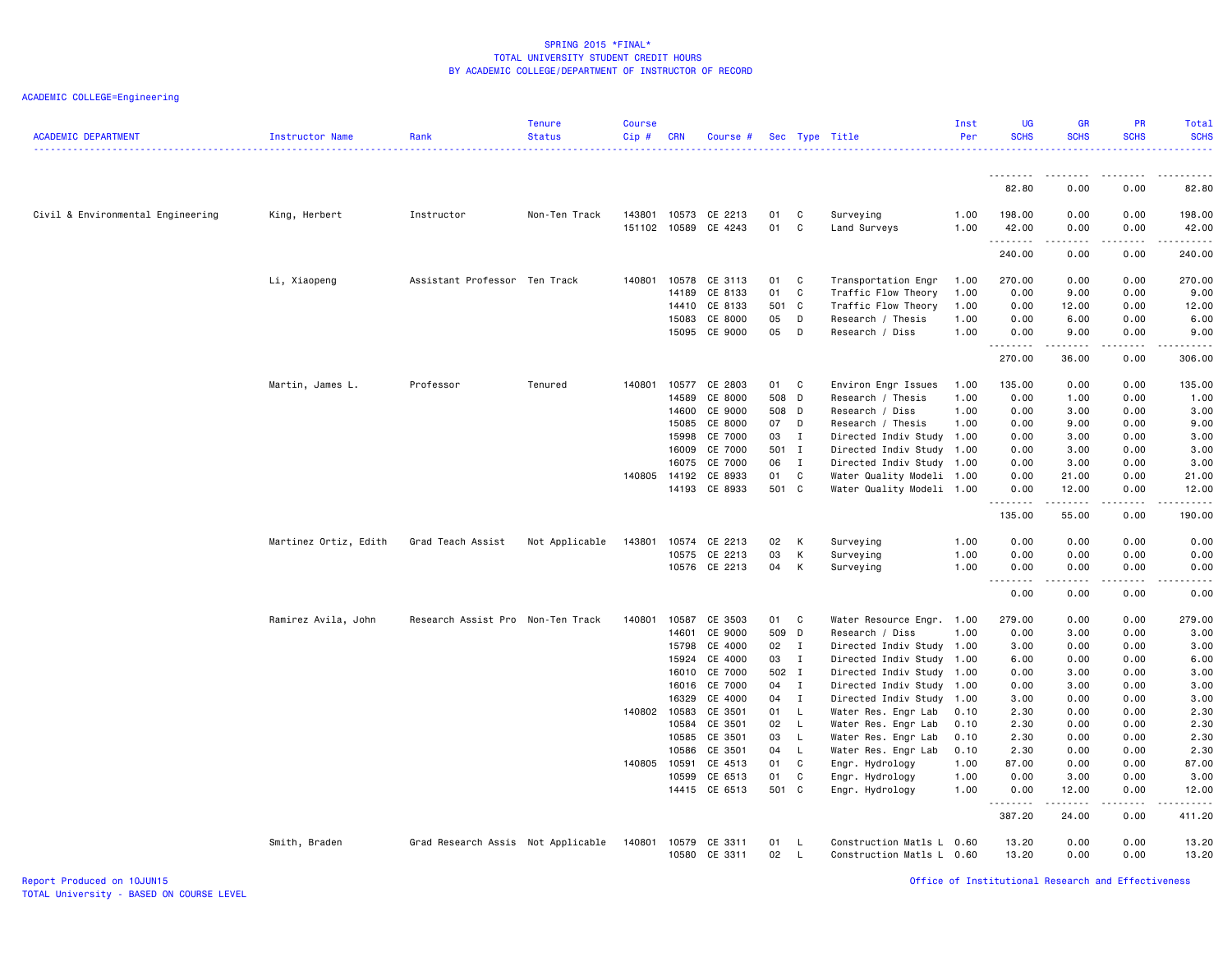| <b>ACADEMIC DEPARTMENT</b>        | Instructor Name       | Rank                               | <b>Tenure</b><br><b>Status</b> | <b>Course</b><br>Cip#  | <b>CRN</b>     | Course #           |          |                | Sec Type Title                                    | Inst<br>Per  | <b>UG</b><br><b>SCHS</b> | <b>GR</b><br><b>SCHS</b> | <b>PR</b><br><b>SCHS</b>                    | Total<br><b>SCHS</b><br><u>.</u> |
|-----------------------------------|-----------------------|------------------------------------|--------------------------------|------------------------|----------------|--------------------|----------|----------------|---------------------------------------------------|--------------|--------------------------|--------------------------|---------------------------------------------|----------------------------------|
|                                   |                       |                                    |                                |                        |                |                    |          |                |                                                   |              |                          |                          |                                             |                                  |
|                                   |                       |                                    |                                |                        |                |                    |          |                |                                                   |              | 82.80                    | 0.00                     | 0.00                                        | 82.80                            |
| Civil & Environmental Engineering | King, Herbert         | Instructor                         | Non-Ten Track                  | 143801<br>151102 10589 | 10573          | CE 2213<br>CE 4243 | 01<br>01 | C<br>C         | Surveying<br>Land Surveys                         | 1.00<br>1.00 | 198.00<br>42.00<br>.     | 0.00<br>0.00             | 0.00<br>0.00<br>$\sim$ $\sim$ $\sim$ $\sim$ | 198.00<br>42.00<br>.             |
|                                   |                       |                                    |                                |                        |                |                    |          |                |                                                   |              | 240.00                   | 0.00                     | 0.00                                        | 240.00                           |
|                                   | Li, Xiaopeng          | Assistant Professor Ten Track      |                                | 140801                 | 10578          | CE 3113            | 01       | C              | Transportation Engr                               | 1.00         | 270.00                   | 0.00                     | 0.00                                        | 270.00                           |
|                                   |                       |                                    |                                |                        | 14189          | CE 8133            | 01       | C              | Traffic Flow Theory                               | 1.00         | 0.00                     | 9.00                     | 0.00                                        | 9.00                             |
|                                   |                       |                                    |                                |                        | 14410          | CE 8133            | 501      | C <sub>c</sub> | Traffic Flow Theory                               | 1.00         | 0.00                     | 12.00                    | 0.00                                        | 12.00                            |
|                                   |                       |                                    |                                |                        | 15083          | CE 8000            | 05       | D              | Research / Thesis                                 | 1.00         | 0.00                     | 6.00                     | 0.00                                        | 6.00                             |
|                                   |                       |                                    |                                |                        | 15095          | CE 9000            | 05       | D              | Research / Diss                                   | 1.00         | 0.00<br>.                | 9.00<br>$- - - - -$      | 0.00<br>$- - - -$                           | 9.00<br>.                        |
|                                   |                       |                                    |                                |                        |                |                    |          |                |                                                   |              | 270.00                   | 36.00                    | 0.00                                        | 306.00                           |
|                                   | Martin, James L.      | Professor                          | Tenured                        | 140801                 | 10577          | CE 2803            | 01       | C              | Environ Engr Issues                               | 1.00         | 135.00                   | 0.00                     | 0.00                                        | 135.00                           |
|                                   |                       |                                    |                                |                        | 14589          | CE 8000            | 508 D    |                | Research / Thesis                                 | 1.00         | 0.00                     | 1.00                     | 0.00                                        | 1.00                             |
|                                   |                       |                                    |                                |                        | 14600          | CE 9000            | 508 D    |                | Research / Diss                                   | 1.00         | 0.00                     | 3.00                     | 0.00                                        | 3.00                             |
|                                   |                       |                                    |                                |                        | 15085          | CE 8000            | 07       | D              | Research / Thesis                                 | 1.00         | 0.00                     | 9.00                     | 0.00                                        | 9.00                             |
|                                   |                       |                                    |                                |                        | 15998          | CE 7000            | 03       | $\mathbf{I}$   | Directed Indiv Study 1.00                         |              | 0.00                     | 3.00                     | 0.00                                        | 3.00                             |
|                                   |                       |                                    |                                |                        | 16009          | CE 7000            | 501 I    |                | Directed Indiv Study 1.00                         |              | 0.00                     | 3.00                     | 0.00                                        | 3.00                             |
|                                   |                       |                                    |                                |                        | 16075          | CE 7000            | 06       | $\mathbf{I}$   | Directed Indiv Study 1.00                         |              | 0.00                     | 3.00                     | 0.00                                        | 3.00                             |
|                                   |                       |                                    |                                | 140805                 | 14192          | CE 8933            | 01       | C              | Water Quality Modeli 1.00                         |              | 0.00                     | 21.00                    | 0.00                                        | 21.00                            |
|                                   |                       |                                    |                                |                        | 14193          | CE 8933            | 501 C    |                | Water Quality Modeli 1.00                         |              | 0.00<br>.                | 12.00<br>-----           | 0.00<br>$\sim$ $\sim$ $\sim$ $\sim$         | 12.00<br>والمناصبات              |
|                                   |                       |                                    |                                |                        |                |                    |          |                |                                                   |              | 135.00                   | 55.00                    | 0.00                                        | 190.00                           |
|                                   | Martinez Ortiz, Edith | Grad Teach Assist                  | Not Applicable                 | 143801                 | 10574          | CE 2213            | 02       | K              | Surveying                                         | 1.00         | 0.00                     | 0.00                     | 0.00                                        | 0.00                             |
|                                   |                       |                                    |                                |                        | 10575          | CE 2213            | 03       | К              | Surveying                                         | 1.00         | 0.00                     | 0.00                     | 0.00                                        | 0.00                             |
|                                   |                       |                                    |                                |                        |                | 10576 CE 2213      | 04       | K              | Surveying                                         | 1.00         | 0.00                     | 0.00                     | 0.00                                        | 0.00                             |
|                                   |                       |                                    |                                |                        |                |                    |          |                |                                                   |              | .<br>0.00                | .<br>0.00                | 0.00                                        | .<br>0.00                        |
|                                   | Ramirez Avila, John   | Research Assist Pro Non-Ten Track  |                                | 140801                 | 10587          | CE 3503            | 01       | C              | Water Resource Engr. 1.00                         |              | 279.00                   | 0.00                     | 0.00                                        | 279.00                           |
|                                   |                       |                                    |                                |                        | 14601          | CE 9000            | 509 D    |                | Research / Diss                                   | 1.00         | 0.00                     | 3.00                     | 0.00                                        | 3.00                             |
|                                   |                       |                                    |                                |                        | 15798          | CE 4000            | 02       | $\mathbf{I}$   | Directed Indiv Study 1.00                         |              | 3.00                     | 0.00                     | 0.00                                        | 3.00                             |
|                                   |                       |                                    |                                |                        | 15924          | CE 4000            | 03       | $\mathbf{I}$   | Directed Indiv Study 1.00                         |              | 6.00                     | 0.00                     | 0.00                                        | 6.00                             |
|                                   |                       |                                    |                                |                        | 16010          | CE 7000            | 502 I    |                | Directed Indiv Study 1.00                         |              | 0.00                     | 3.00                     | 0.00                                        | 3.00                             |
|                                   |                       |                                    |                                |                        | 16016          | CE 7000            | 04       | $\mathbf{I}$   | Directed Indiv Study                              | 1.00         | 0.00                     | 3.00                     | 0.00                                        | 3.00                             |
|                                   |                       |                                    |                                |                        | 16329          | CE 4000            | 04       | $\mathbf{I}$   | Directed Indiv Study                              | 1.00         | 3.00                     | 0.00                     | 0.00                                        | 3.00                             |
|                                   |                       |                                    |                                | 140802 10583           |                | CE 3501            | 01       | $\mathsf{L}$   | Water Res. Engr Lab                               | 0.10         | 2.30                     | 0.00                     | 0.00                                        | 2.30                             |
|                                   |                       |                                    |                                |                        | 10584          | CE 3501            | 02       | $\mathsf{L}$   | Water Res. Engr Lab                               | 0.10         | 2.30                     | 0.00                     | 0.00                                        | 2.30                             |
|                                   |                       |                                    |                                |                        | 10585          | CE 3501            | 03       | $\mathsf{L}$   | Water Res. Engr Lab                               | 0.10         | 2.30                     | 0.00                     | 0.00                                        | 2.30                             |
|                                   |                       |                                    |                                | 140805                 | 10586<br>10591 | CE 3501<br>CE 4513 | 04<br>01 | $\mathsf{L}$   | Water Res. Engr Lab                               | 0.10         | 2.30                     | 0.00<br>0.00             | 0.00<br>0.00                                | 2.30                             |
|                                   |                       |                                    |                                |                        | 10599          | CE 6513            | 01       | C<br>C         | Engr. Hydrology<br>Engr. Hydrology                | 1.00<br>1.00 | 87.00<br>0.00            | 3.00                     | 0.00                                        | 87.00<br>3.00                    |
|                                   |                       |                                    |                                |                        |                | 14415 CE 6513      | 501 C    |                | Engr. Hydrology                                   | 1.00         | 0.00                     | 12.00                    | 0.00                                        | 12.00                            |
|                                   |                       |                                    |                                |                        |                |                    |          |                |                                                   |              | .<br>387.20              | $   -$<br>24.00          | $- - - -$<br>0.00                           | .<br>411.20                      |
|                                   |                       |                                    |                                |                        |                |                    |          |                |                                                   |              |                          |                          |                                             |                                  |
|                                   | Smith, Braden         | Grad Research Assis Not Applicable |                                | 140801                 | 10579<br>10580 | CE 3311<br>CE 3311 | 01<br>02 | L<br>L.        | Construction Matls L<br>Construction Matls L 0.60 | 0.60         | 13.20<br>13.20           | 0.00<br>0.00             | 0.00<br>0.00                                | 13.20<br>13.20                   |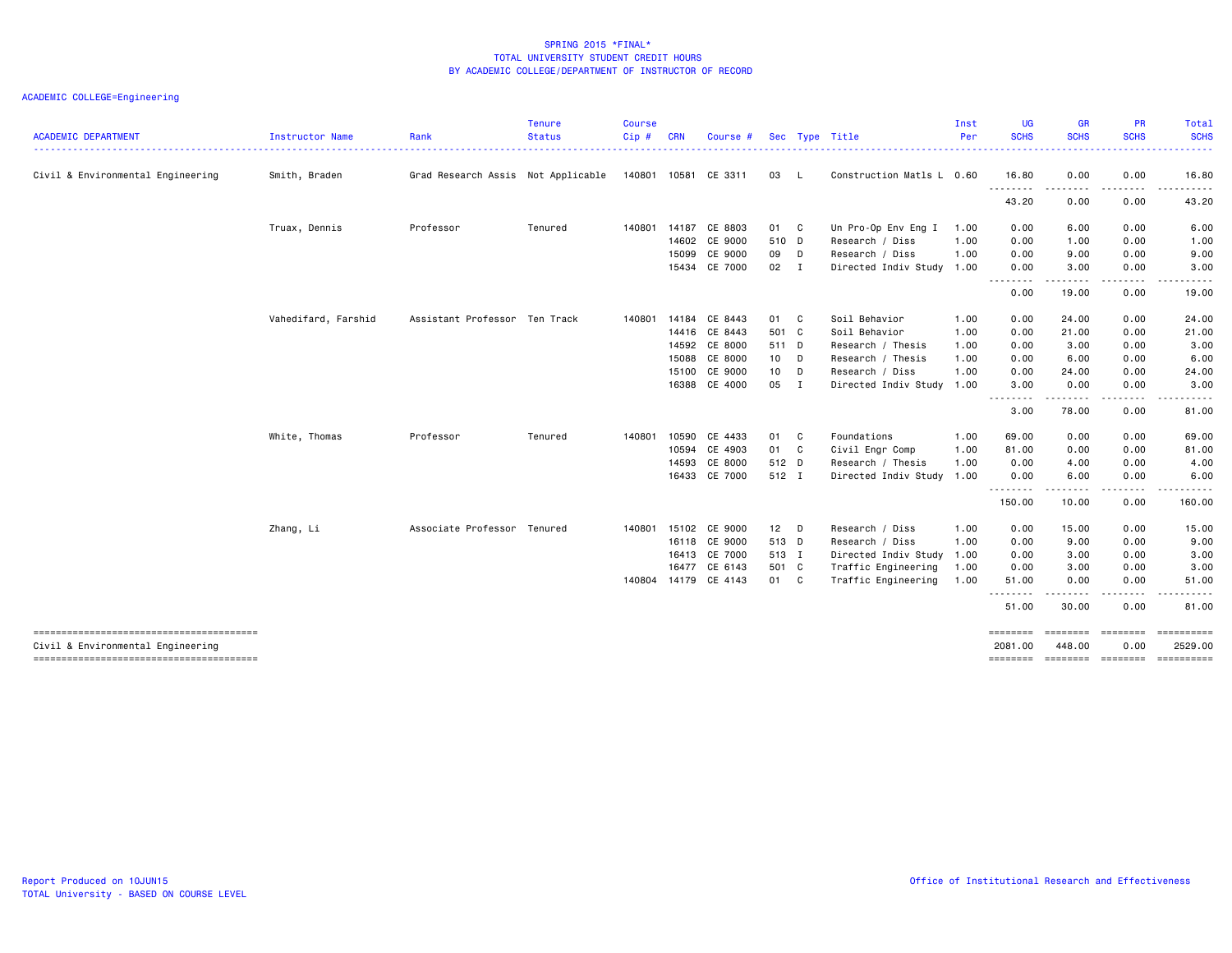|                                   |                     |                                    | <b>Tenure</b> | <b>Course</b> |            |                      |              |        |                           | Inst | <b>UG</b>               | <b>GR</b>                | <b>PR</b>            | <b>Total</b>              |
|-----------------------------------|---------------------|------------------------------------|---------------|---------------|------------|----------------------|--------------|--------|---------------------------|------|-------------------------|--------------------------|----------------------|---------------------------|
| <b>ACADEMIC DEPARTMENT</b>        | Instructor Name     | Rank                               | <b>Status</b> | Cip#          | <b>CRN</b> | Course #             |              |        | Sec Type Title            | Per  | <b>SCHS</b>             | <b>SCHS</b>              | <b>SCHS</b>          | <b>SCHS</b>               |
| Civil & Environmental Engineering | Smith, Braden       | Grad Research Assis Not Applicable |               |               |            | 140801 10581 CE 3311 | 03           | - L    | Construction Matls L 0.60 |      | 16.80                   | 0.00                     | 0.00                 | 16.80                     |
|                                   |                     |                                    |               |               |            |                      |              |        |                           |      | .<br>43.20              | -----<br>0.00            | -----<br>0.00        | .<br>43.20                |
|                                   | Truax, Dennis       | Professor                          | Tenured       |               |            | 140801 14187 CE 8803 | 01 C         |        | Un Pro-Op Env Eng I       | 1.00 | 0.00                    | 6.00                     | 0.00                 | 6.00                      |
|                                   |                     |                                    |               |               |            | 14602 CE 9000        | 510 D        |        | Research / Diss           | 1.00 | 0.00                    | 1.00                     | 0.00                 | 1.00                      |
|                                   |                     |                                    |               |               | 15099      | CE 9000              | 09 D         |        | Research / Diss           | 1.00 | 0.00                    | 9.00                     | 0.00                 | 9.00                      |
|                                   |                     |                                    |               |               |            | 15434 CE 7000        | $02 \quad I$ |        | Directed Indiv Study 1.00 |      | 0.00<br>- - - - - - - - | 3.00<br>.                | 0.00<br>.            | 3.00<br>.                 |
|                                   |                     |                                    |               |               |            |                      |              |        |                           |      | 0.00                    | 19.00                    | 0.00                 | 19.00                     |
|                                   | Vahedifard, Farshid | Assistant Professor Ten Track      |               | 140801        | 14184      | CE 8443              | 01 C         |        | Soil Behavior             | 1.00 | 0.00                    | 24.00                    | 0.00                 | 24.00                     |
|                                   |                     |                                    |               |               |            | 14416 CE 8443        | 501 C        |        | Soil Behavior             | 1.00 | 0.00                    | 21.00                    | 0.00                 | 21.00                     |
|                                   |                     |                                    |               |               |            | 14592 CE 8000        | 511 D        |        | Research / Thesis         | 1.00 | 0.00                    | 3.00                     | 0.00                 | 3.00                      |
|                                   |                     |                                    |               |               | 15088      | CE 8000              | $10$ D       |        | Research / Thesis         | 1.00 | 0.00                    | 6.00                     | 0.00                 | 6.00                      |
|                                   |                     |                                    |               |               | 15100      | CE 9000              | 10           | $\Box$ | Research / Diss           | 1.00 | 0.00                    | 24.00                    | 0.00                 | 24.00                     |
|                                   |                     |                                    |               |               |            | 16388 CE 4000        | 05 I         |        | Directed Indiv Study 1.00 |      | 3,00<br><u>.</u>        | 0.00                     | 0.00                 | 3.00                      |
|                                   |                     |                                    |               |               |            |                      |              |        |                           |      | 3.00                    | - - - - - - - -<br>78.00 | . <u>. .</u><br>0.00 | 81.00                     |
|                                   | White, Thomas       | Professor                          | Tenured       | 140801        | 10590      | CE 4433              | 01 C         |        | Foundations               | 1.00 | 69.00                   | 0.00                     | 0.00                 | 69.00                     |
|                                   |                     |                                    |               |               | 10594      | CE 4903              | 01 C         |        | Civil Engr Comp           | 1.00 | 81.00                   | 0.00                     | 0.00                 | 81.00                     |
|                                   |                     |                                    |               |               | 14593      | CE 8000              | 512 D        |        | Research / Thesis         | 1.00 | 0.00                    | 4.00                     | 0.00                 | 4.00                      |
|                                   |                     |                                    |               |               |            | 16433 CE 7000        | 512 I        |        | Directed Indiv Study 1.00 |      | 0.00                    | 6.00                     | 0.00                 | 6.00                      |
|                                   |                     |                                    |               |               |            |                      |              |        |                           |      | 150.00                  | 10.00                    | 0.00                 | 160.00                    |
|                                   | Zhang, Li           | Associate Professor Tenured        |               | 140801        | 15102      | CE 9000              | $12$ D       |        | Research / Diss           | 1.00 | 0.00                    | 15.00                    | 0.00                 | 15.00                     |
|                                   |                     |                                    |               |               | 16118      | CE 9000              | 513 D        |        | Research / Diss           | 1.00 | 0.00                    | 9.00                     | 0.00                 | 9.00                      |
|                                   |                     |                                    |               |               |            | 16413 CE 7000        | 513 I        |        | Directed Indiv Study 1.00 |      | 0.00                    | 3.00                     | 0.00                 | 3.00                      |
|                                   |                     |                                    |               |               | 16477      | CE 6143              | 501 C        |        | Traffic Engineering       | 1.00 | 0.00                    | 3.00                     | 0.00                 | 3.00                      |
|                                   |                     |                                    |               |               |            | 140804 14179 CE 4143 | 01 C         |        | Traffic Engineering       | 1.00 | 51.00                   | 0.00                     | 0.00                 | 51.00                     |
|                                   |                     |                                    |               |               |            |                      |              |        |                           |      | <u>.</u><br>51.00       | .<br>30.00               | $\cdots$<br>0.00     | . <b>.</b><br>81.00       |
| Civil & Environmental Engineering |                     |                                    |               |               |            |                      |              |        |                           |      | ========<br>2081.00     | ========<br>448.00       | ---------<br>0.00    | $=$ ==========<br>2529.00 |
|                                   |                     |                                    |               |               |            |                      |              |        |                           |      |                         |                          |                      | ==========                |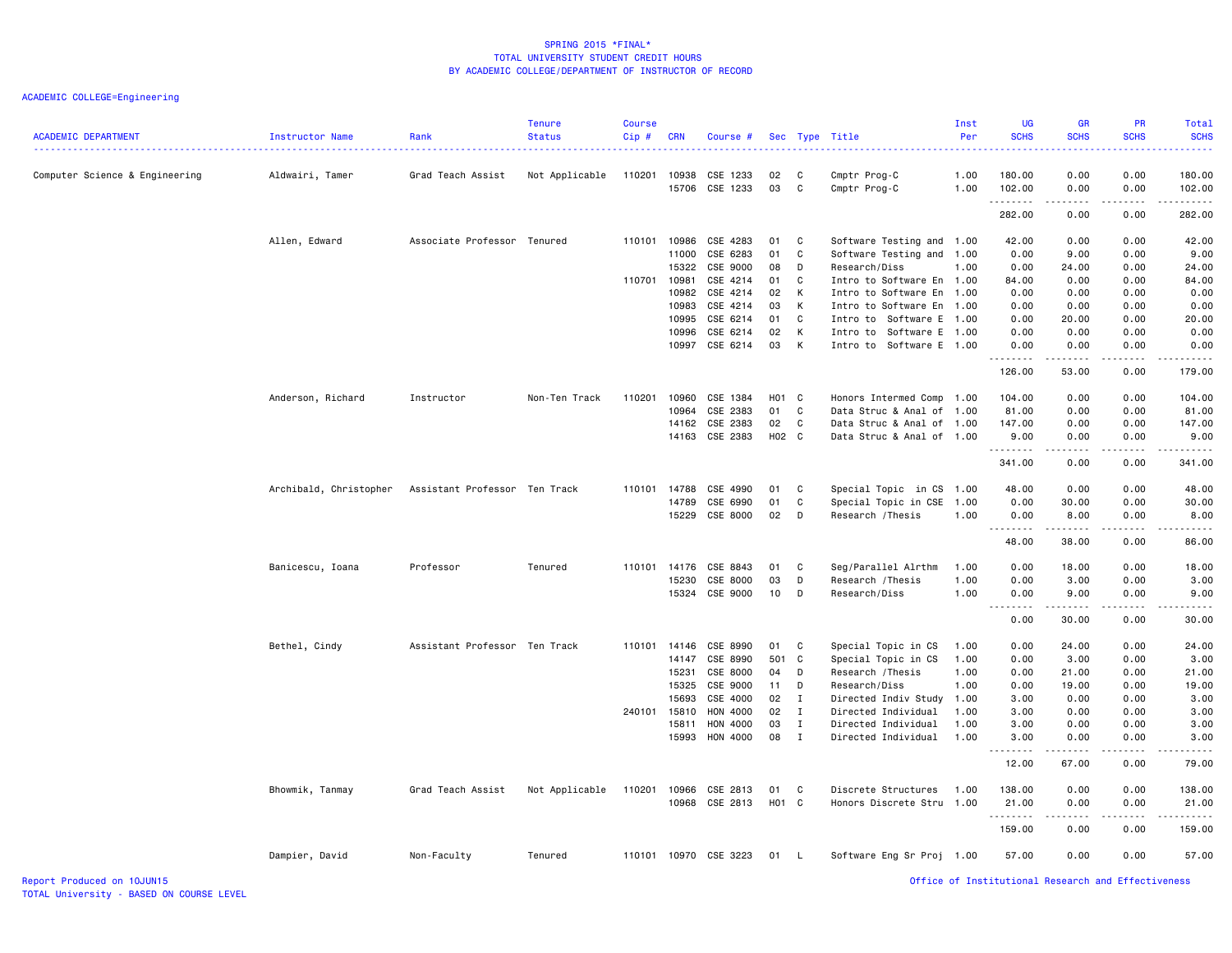| <b>ACADEMIC DEPARTMENT</b>     | Instructor Name        | Rank                          | <b>Tenure</b><br><b>Status</b> | Course<br>Cip# | <b>CRN</b>     | Course #              |          |              | Sec Type Title                        | Inst<br>Per  | <b>UG</b><br><b>SCHS</b>                                                                                                                                      | <b>GR</b><br><b>SCHS</b> | <b>PR</b><br><b>SCHS</b> | <b>Total</b><br><b>SCHS</b><br>.                                                                                                                               |
|--------------------------------|------------------------|-------------------------------|--------------------------------|----------------|----------------|-----------------------|----------|--------------|---------------------------------------|--------------|---------------------------------------------------------------------------------------------------------------------------------------------------------------|--------------------------|--------------------------|----------------------------------------------------------------------------------------------------------------------------------------------------------------|
| Computer Science & Engineering | Aldwairi, Tamer        | Grad Teach Assist             | Not Applicable                 | 110201         | 10938<br>15706 | CSE 1233<br>CSE 1233  | 02<br>03 | C<br>C       | Cmptr Prog-C<br>Cmptr Prog-C          | 1.00<br>1.00 | 180.00<br>102.00                                                                                                                                              | 0.00<br>0.00             | 0.00<br>0.00             | 180.00<br>102.00                                                                                                                                               |
|                                |                        |                               |                                |                |                |                       |          |              |                                       |              | .<br>282.00                                                                                                                                                   | .<br>0.00                | .<br>0.00                | $\frac{1}{2} \left( \frac{1}{2} \right) \left( \frac{1}{2} \right) \left( \frac{1}{2} \right) \left( \frac{1}{2} \right) \left( \frac{1}{2} \right)$<br>282.00 |
|                                |                        |                               |                                |                |                |                       |          |              |                                       |              |                                                                                                                                                               |                          |                          |                                                                                                                                                                |
|                                | Allen, Edward          | Associate Professor Tenured   |                                | 110101         | 10986          | CSE 4283              | 01       | C            | Software Testing and 1.00             |              | 42.00                                                                                                                                                         | 0.00                     | 0.00                     | 42.00                                                                                                                                                          |
|                                |                        |                               |                                |                | 11000<br>15322 | CSE 6283<br>CSE 9000  | 01<br>08 | C<br>D       | Software Testing and<br>Research/Diss | 1.00<br>1.00 | 0.00<br>0.00                                                                                                                                                  | 9.00<br>24.00            | 0.00<br>0.00             | 9.00<br>24.00                                                                                                                                                  |
|                                |                        |                               |                                | 110701 10981   |                | CSE 4214              | 01       | C            | Intro to Software En 1.00             |              | 84.00                                                                                                                                                         | 0.00                     | 0.00                     | 84.00                                                                                                                                                          |
|                                |                        |                               |                                |                | 10982          | CSE 4214              | 02       | К            | Intro to Software En                  | 1.00         | 0.00                                                                                                                                                          | 0.00                     | 0.00                     | 0.00                                                                                                                                                           |
|                                |                        |                               |                                |                | 10983          | CSE 4214              | 03       | К            | Intro to Software En                  | 1.00         | 0.00                                                                                                                                                          | 0.00                     | 0.00                     | 0.00                                                                                                                                                           |
|                                |                        |                               |                                |                | 10995          | CSE 6214              | 01       | C            | Intro to Software E 1.00              |              | 0.00                                                                                                                                                          | 20.00                    | 0.00                     | 20.00                                                                                                                                                          |
|                                |                        |                               |                                |                | 10996          | CSE 6214              | 02       | К            | Intro to Software E 1.00              |              | 0.00                                                                                                                                                          | 0.00                     | 0.00                     | 0.00                                                                                                                                                           |
|                                |                        |                               |                                |                | 10997          | CSE 6214              | 03       | К            | Intro to Software E 1.00              |              | 0.00                                                                                                                                                          | 0.00                     | 0.00                     | 0.00                                                                                                                                                           |
|                                |                        |                               |                                |                |                |                       |          |              |                                       |              | $\frac{1}{2} \left( \frac{1}{2} \right) \left( \frac{1}{2} \right) \left( \frac{1}{2} \right) \left( \frac{1}{2} \right)$<br>126.00                           | 53.00                    | 0.00                     | $\sim$ $\sim$ $\sim$ $\sim$<br>179.00                                                                                                                          |
|                                | Anderson, Richard      | Instructor                    | Non-Ten Track                  | 110201         | 10960          | CSE 1384              | H01 C    |              | Honors Intermed Comp 1.00             |              | 104.00                                                                                                                                                        | 0.00                     | 0.00                     | 104.00                                                                                                                                                         |
|                                |                        |                               |                                |                | 10964          | CSE 2383              | 01       | C            | Data Struc & Anal of 1.00             |              | 81.00                                                                                                                                                         | 0.00                     | 0.00                     | 81.00                                                                                                                                                          |
|                                |                        |                               |                                |                | 14162          | CSE 2383              | 02       | C            | Data Struc & Anal of 1.00             |              | 147.00                                                                                                                                                        | 0.00                     | 0.00                     | 147.00                                                                                                                                                         |
|                                |                        |                               |                                |                | 14163          | CSE 2383              | H02 C    |              | Data Struc & Anal of 1.00             |              | 9.00                                                                                                                                                          | 0.00                     | 0.00                     | 9.00                                                                                                                                                           |
|                                |                        |                               |                                |                |                |                       |          |              |                                       |              | .<br>341.00                                                                                                                                                   | .<br>0.00                | 0.00                     | .<br>341.00                                                                                                                                                    |
|                                | Archibald, Christopher | Assistant Professor Ten Track |                                | 110101         | 14788          | CSE 4990              | 01       | C            | Special Topic in CS 1.00              |              | 48.00                                                                                                                                                         | 0.00                     | 0.00                     | 48.00                                                                                                                                                          |
|                                |                        |                               |                                |                | 14789          | CSE 6990              | 01       | C            | Special Topic in CSE                  | 1.00         | 0.00                                                                                                                                                          | 30.00                    | 0.00                     | 30.00                                                                                                                                                          |
|                                |                        |                               |                                |                | 15229          | CSE 8000              | 02       | D            | Research /Thesis                      | 1.00         | 0.00                                                                                                                                                          | 8.00                     | 0.00                     | 8.00                                                                                                                                                           |
|                                |                        |                               |                                |                |                |                       |          |              |                                       |              | $\frac{1}{2} \left( \frac{1}{2} \right) \left( \frac{1}{2} \right) \left( \frac{1}{2} \right) \left( \frac{1}{2} \right) \left( \frac{1}{2} \right)$<br>48.00 | .<br>38.00               | .<br>0.00                | وعاعات<br>86.00                                                                                                                                                |
|                                | Banicescu, Ioana       | Professor                     | Tenured                        | 110101         | 14176          | CSE 8843              | 01       | C            | Seg/Parallel Alrthm                   | 1.00         | 0.00                                                                                                                                                          | 18.00                    | 0.00                     | 18.00                                                                                                                                                          |
|                                |                        |                               |                                |                | 15230          | CSE 8000              | 03       | D            | Research / Thesis                     | 1.00         | 0.00                                                                                                                                                          | 3.00                     | 0.00                     | 3.00                                                                                                                                                           |
|                                |                        |                               |                                |                | 15324          | CSE 9000              | 10       | D            | Research/Diss                         | 1.00         | 0.00                                                                                                                                                          | 9.00                     | 0.00                     | 9.00                                                                                                                                                           |
|                                |                        |                               |                                |                |                |                       |          |              |                                       |              | 0.00                                                                                                                                                          | 30.00                    | 0.00                     | 30.00                                                                                                                                                          |
|                                | Bethel, Cindy          | Assistant Professor Ten Track |                                | 110101 14146   |                | CSE 8990              | 01       | C            | Special Topic in CS                   | 1.00         | 0.00                                                                                                                                                          | 24.00                    | 0.00                     | 24.00                                                                                                                                                          |
|                                |                        |                               |                                |                | 14147          | CSE 8990              | 501 C    |              | Special Topic in CS                   | 1.00         | 0.00                                                                                                                                                          | 3.00                     | 0.00                     | 3.00                                                                                                                                                           |
|                                |                        |                               |                                |                | 15231          | CSE 8000              | 04       | D            | Research /Thesis                      | 1.00         | 0.00                                                                                                                                                          | 21.00                    | 0.00                     | 21.00                                                                                                                                                          |
|                                |                        |                               |                                |                | 15325          | CSE 9000              | 11       | D            | Research/Diss                         | 1.00         | 0.00                                                                                                                                                          | 19.00                    | 0.00                     | 19.00                                                                                                                                                          |
|                                |                        |                               |                                |                | 15693          | CSE 4000              | 02       | $\mathbf{I}$ | Directed Indiv Study                  | 1.00         | 3.00                                                                                                                                                          | 0.00                     | 0.00                     | 3.00                                                                                                                                                           |
|                                |                        |                               |                                | 240101         | 15810          | HON 4000              | 02       | $\mathbf{I}$ | Directed Individual                   | 1.00         | 3.00                                                                                                                                                          | 0.00                     | 0.00                     | 3.00                                                                                                                                                           |
|                                |                        |                               |                                |                | 15811          | HON 4000              | 03       | $\mathbf{I}$ | Directed Individual                   | 1.00         | 3.00                                                                                                                                                          | 0.00                     | 0.00                     | 3.00                                                                                                                                                           |
|                                |                        |                               |                                |                | 15993          | HON 4000              | 08       | $\mathbf{I}$ | Directed Individual                   | 1.00         | 3.00<br>$\frac{1}{2} \left( \frac{1}{2} \right) \left( \frac{1}{2} \right) \left( \frac{1}{2} \right) \left( \frac{1}{2} \right) \left( \frac{1}{2} \right)$  | 0.00<br>.                | 0.00<br>.                | 3.00<br>$\frac{1}{2}$                                                                                                                                          |
|                                |                        |                               |                                |                |                |                       |          |              |                                       |              | 12.00                                                                                                                                                         | 67.00                    | 0.00                     | 79.00                                                                                                                                                          |
|                                | Bhowmik, Tanmay        | Grad Teach Assist             | Not Applicable                 | 110201         | 10966          | CSE 2813              | 01       | C            | Discrete Structures                   | 1.00         | 138.00                                                                                                                                                        | 0.00                     | 0.00                     | 138.00                                                                                                                                                         |
|                                |                        |                               |                                |                | 10968          | CSE 2813              | H01 C    |              | Honors Discrete Stru                  | 1.00         | 21.00                                                                                                                                                         | 0.00                     | 0.00                     | 21.00                                                                                                                                                          |
|                                |                        |                               |                                |                |                |                       |          |              |                                       |              | 159.00                                                                                                                                                        | $\frac{1}{2}$<br>0.00    | 0.00                     | .<br>159.00                                                                                                                                                    |
|                                | Dampier, David         | Non-Faculty                   | Tenured                        |                |                | 110101 10970 CSE 3223 | 01       | - L          | Software Eng Sr Proj 1.00             |              | 57.00                                                                                                                                                         | 0.00                     | 0.00                     | 57.00                                                                                                                                                          |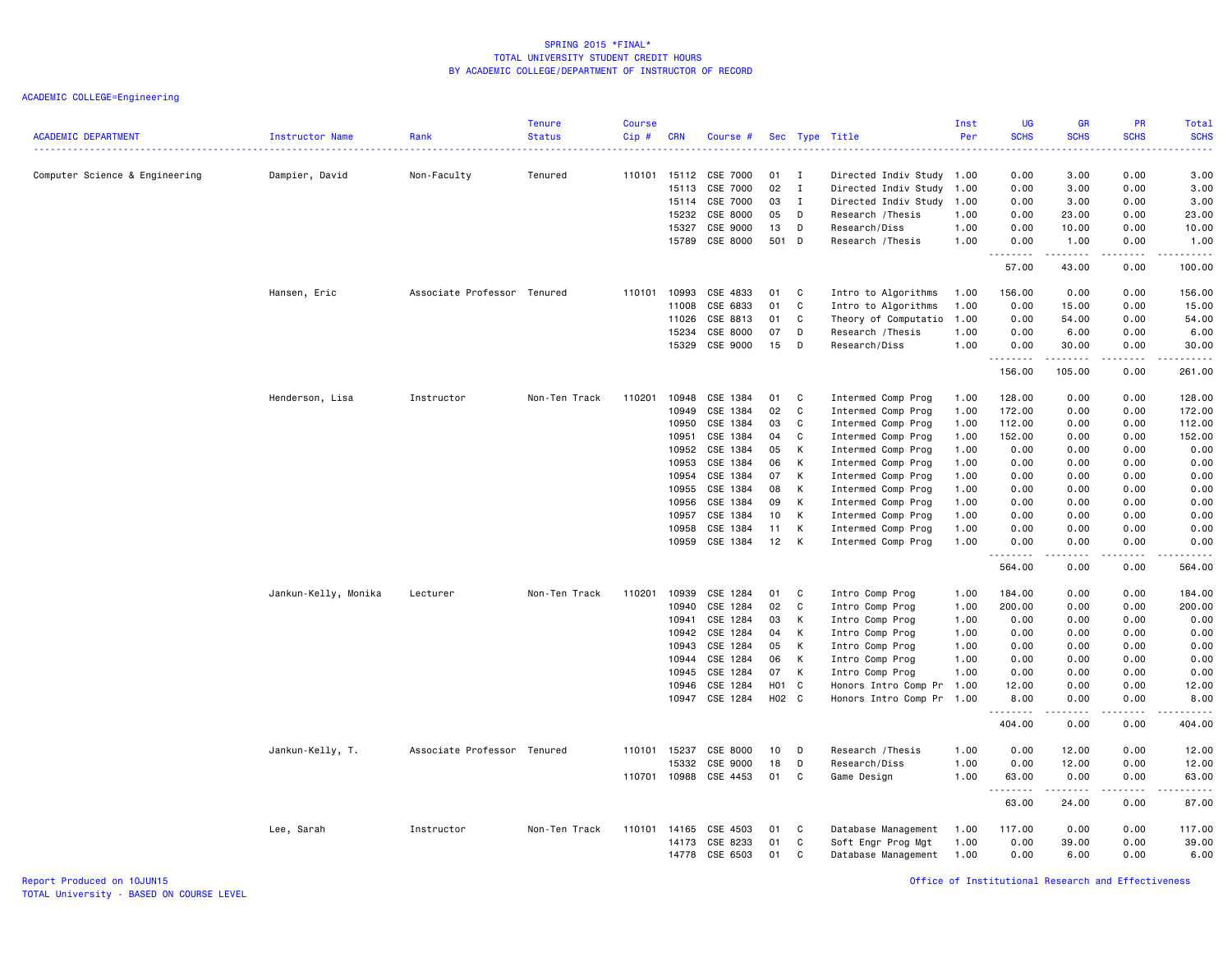| <b>ACADEMIC DEPARTMENT</b>     | Instructor Name      | Rank                        | <b>Tenure</b><br><b>Status</b> | <b>Course</b><br>Cip# | <b>CRN</b>                     | Course #                         |                           |                                  | Sec Type Title                                                                      | Inst<br>Per          | <b>UG</b><br><b>SCHS</b> | <b>GR</b><br><b>SCHS</b>                                                                                                                                     | PR<br><b>SCHS</b>    | Total<br><b>SCHS</b><br>د عام عام |
|--------------------------------|----------------------|-----------------------------|--------------------------------|-----------------------|--------------------------------|----------------------------------|---------------------------|----------------------------------|-------------------------------------------------------------------------------------|----------------------|--------------------------|--------------------------------------------------------------------------------------------------------------------------------------------------------------|----------------------|-----------------------------------|
| Computer Science & Engineering | Dampier, David       | Non-Faculty                 | Tenured                        |                       | 110101 15112<br>15113<br>15114 | CSE 7000<br>CSE 7000<br>CSE 7000 | 01<br>02<br>03            | I<br>$\mathbf I$<br>$\mathbf{I}$ | Directed Indiv Study 1.00<br>Directed Indiv Study 1.00<br>Directed Indiv Study 1.00 |                      | 0.00<br>0.00<br>0.00     | 3.00<br>3.00<br>3.00                                                                                                                                         | 0.00<br>0.00<br>0.00 | 3.00<br>3.00<br>3.00              |
|                                |                      |                             |                                |                       | 15232<br>15327<br>15789        | CSE 8000<br>CSE 9000<br>CSE 8000 | 05<br>13<br>501           | D<br>D<br>D                      | Research / Thesis<br>Research/Diss<br>Research / Thesis                             | 1.00<br>1.00<br>1.00 | 0.00<br>0.00<br>0.00     | 23.00<br>10.00<br>1.00                                                                                                                                       | 0.00<br>0.00<br>0.00 | 23.00<br>10.00<br>1.00            |
|                                |                      |                             |                                |                       |                                |                                  |                           |                                  |                                                                                     |                      | .<br>57.00               | .<br>43.00                                                                                                                                                   | .<br>0.00            | .<br>100.00                       |
|                                | Hansen, Eric         | Associate Professor Tenured |                                | 110101                | 10993<br>11008                 | CSE 4833<br>CSE 6833             | 01<br>01                  | C<br>C                           | Intro to Algorithms<br>Intro to Algorithms                                          | 1.00<br>1.00         | 156.00<br>0.00           | 0.00<br>15.00                                                                                                                                                | 0.00<br>0.00         | 156.00<br>15.00                   |
|                                |                      |                             |                                |                       | 11026                          | CSE 8813                         | 01                        | C                                | Theory of Computatio                                                                | 1.00                 | 0.00                     | 54.00                                                                                                                                                        | 0.00                 | 54.00                             |
|                                |                      |                             |                                |                       | 15234                          | CSE 8000                         | 07                        | D                                | Research / Thesis                                                                   | 1.00                 | 0.00                     | 6.00                                                                                                                                                         | 0.00                 | 6.00                              |
|                                |                      |                             |                                |                       | 15329                          | CSE 9000                         | 15                        | D                                | Research/Diss                                                                       | 1.00                 | 0.00<br>.                | 30.00<br>.                                                                                                                                                   | 0.00<br>.            | 30.00<br>.                        |
|                                |                      |                             |                                |                       |                                |                                  |                           |                                  |                                                                                     |                      | 156.00                   | 105.00                                                                                                                                                       | 0.00                 | 261.00                            |
|                                | Henderson, Lisa      | Instructor                  | Non-Ten Track                  | 110201                | 10948                          | CSE 1384                         | 01                        | C                                | Intermed Comp Prog                                                                  | 1.00                 | 128.00                   | 0.00                                                                                                                                                         | 0.00                 | 128.00                            |
|                                |                      |                             |                                |                       | 10949                          | CSE 1384                         | 02                        | C                                | Intermed Comp Prog                                                                  | 1.00                 | 172.00                   | 0.00                                                                                                                                                         | 0.00                 | 172.00                            |
|                                |                      |                             |                                |                       | 10950                          | CSE 1384                         | 03                        | C                                | Intermed Comp Prog                                                                  | 1.00                 | 112.00                   | 0.00                                                                                                                                                         | 0.00                 | 112.00                            |
|                                |                      |                             |                                |                       | 10951                          | CSE 1384                         | 04                        | C                                | Intermed Comp Prog                                                                  | 1.00                 | 152.00                   | 0.00                                                                                                                                                         | 0.00                 | 152.00                            |
|                                |                      |                             |                                |                       | 10952                          | CSE 1384                         | 05                        | К                                | Intermed Comp Prog                                                                  | 1.00                 | 0.00                     | 0.00                                                                                                                                                         | 0.00                 | 0.00                              |
|                                |                      |                             |                                |                       | 10953                          | CSE 1384                         | 06                        | К                                | Intermed Comp Prog                                                                  | 1.00                 | 0.00                     | 0.00                                                                                                                                                         | 0.00                 | 0.00                              |
|                                |                      |                             |                                |                       | 10954                          | CSE 1384<br>CSE 1384             | 07                        | К<br>к                           | Intermed Comp Prog                                                                  | 1.00                 | 0.00                     | 0.00                                                                                                                                                         | 0.00<br>0.00         | 0.00                              |
|                                |                      |                             |                                |                       | 10955<br>10956                 | CSE 1384                         | 08<br>09                  | К                                | Intermed Comp Prog<br>Intermed Comp Prog                                            | 1.00<br>1.00         | 0.00<br>0.00             | 0.00<br>0.00                                                                                                                                                 | 0.00                 | 0.00<br>0.00                      |
|                                |                      |                             |                                |                       | 10957                          | CSE 1384                         | 10                        | К                                | Intermed Comp Prog                                                                  | 1.00                 | 0.00                     | 0.00                                                                                                                                                         | 0.00                 | 0.00                              |
|                                |                      |                             |                                |                       | 10958                          | CSE 1384                         | 11                        | К                                | Intermed Comp Prog                                                                  | 1.00                 | 0.00                     | 0.00                                                                                                                                                         | 0.00                 | 0.00                              |
|                                |                      |                             |                                |                       | 10959                          | CSE 1384                         | 12                        | К                                | Intermed Comp Prog                                                                  | 1.00                 | 0.00<br>.                | 0.00<br>$\frac{1}{2} \left( \frac{1}{2} \right) \left( \frac{1}{2} \right) \left( \frac{1}{2} \right) \left( \frac{1}{2} \right) \left( \frac{1}{2} \right)$ | 0.00<br>.            | 0.00<br>.                         |
|                                |                      |                             |                                |                       |                                |                                  |                           |                                  |                                                                                     |                      | 564.00                   | 0.00                                                                                                                                                         | 0.00                 | 564.00                            |
|                                | Jankun-Kelly, Monika | Lecturer                    | Non-Ten Track                  | 110201                | 10939                          | CSE 1284                         | 01                        | C                                | Intro Comp Prog                                                                     | 1.00                 | 184.00                   | 0.00                                                                                                                                                         | 0.00                 | 184.00                            |
|                                |                      |                             |                                |                       | 10940                          | CSE 1284                         | 02                        | C                                | Intro Comp Prog                                                                     | 1.00                 | 200.00                   | 0.00                                                                                                                                                         | 0.00                 | 200.00                            |
|                                |                      |                             |                                |                       | 10941                          | CSE 1284                         | 03                        | К                                | Intro Comp Prog                                                                     | 1.00                 | 0.00                     | 0.00                                                                                                                                                         | 0.00                 | 0.00                              |
|                                |                      |                             |                                |                       | 10942                          | CSE 1284                         | 04                        | К                                | Intro Comp Prog                                                                     | 1.00                 | 0.00                     | 0.00                                                                                                                                                         | 0.00                 | 0.00                              |
|                                |                      |                             |                                |                       | 10943                          | CSE 1284                         | 05                        | K                                | Intro Comp Prog                                                                     | 1.00                 | 0.00                     | 0.00                                                                                                                                                         | 0.00                 | 0.00                              |
|                                |                      |                             |                                |                       | 10944                          | CSE 1284                         | 06                        | К                                | Intro Comp Prog                                                                     | 1.00                 | 0.00                     | 0.00                                                                                                                                                         | 0.00                 | 0.00                              |
|                                |                      |                             |                                |                       | 10945                          | CSE 1284                         | 07                        | К                                | Intro Comp Prog                                                                     | 1.00                 | 0.00                     | 0.00                                                                                                                                                         | 0.00                 | 0.00                              |
|                                |                      |                             |                                |                       | 10946<br>10947                 | CSE 1284<br>CSE 1284             | H <sub>0</sub> 1<br>H02 C | $\mathbf{C}$                     | Honors Intro Comp Pr<br>Honors Intro Comp Pr 1.00                                   | 1.00                 | 12.00<br>8.00            | 0.00<br>0.00                                                                                                                                                 | 0.00<br>0.00         | 12.00<br>8.00                     |
|                                |                      |                             |                                |                       |                                |                                  |                           |                                  |                                                                                     |                      | . <b>.</b><br>404.00     | .<br>0.00                                                                                                                                                    | $\cdots$<br>0.00     | .<br>404.00                       |
|                                | Jankun-Kelly, T.     | Associate Professor Tenured |                                |                       | 110101 15237                   | CSE 8000                         | 10                        | D                                | Research / Thesis                                                                   | 1.00                 | 0.00                     | 12.00                                                                                                                                                        | 0.00                 | 12.00                             |
|                                |                      |                             |                                |                       | 15332                          | CSE 9000                         | 18                        | D                                | Research/Diss                                                                       | 1.00                 | 0.00                     | 12.00                                                                                                                                                        | 0.00                 | 12.00                             |
|                                |                      |                             |                                | 110701                | 10988                          | CSE 4453                         | 01                        | C                                | Game Design                                                                         | 1.00                 | 63.00<br>-----           | 0.00                                                                                                                                                         | 0.00<br>د د د د      | 63.00<br>.                        |
|                                |                      |                             |                                |                       |                                |                                  |                           |                                  |                                                                                     |                      | 63.00                    | 24.00                                                                                                                                                        | 0.00                 | 87.00                             |
|                                | Lee, Sarah           | Instructor                  | Non-Ten Track                  | 110101                | 14165                          | CSE 4503                         | 01                        | C                                | Database Management                                                                 | 1.00                 | 117.00                   | 0.00                                                                                                                                                         | 0.00                 | 117.00                            |
|                                |                      |                             |                                |                       | 14173                          | CSE 8233                         | 01                        | C                                | Soft Engr Prog Mgt                                                                  | 1.00                 | 0.00                     | 39.00                                                                                                                                                        | 0.00                 | 39.00                             |
|                                |                      |                             |                                |                       | 14778                          | CSE 6503                         | 01                        | C                                | Database Management                                                                 | 1.00                 | 0.00                     | 6.00                                                                                                                                                         | 0.00                 | 6.00                              |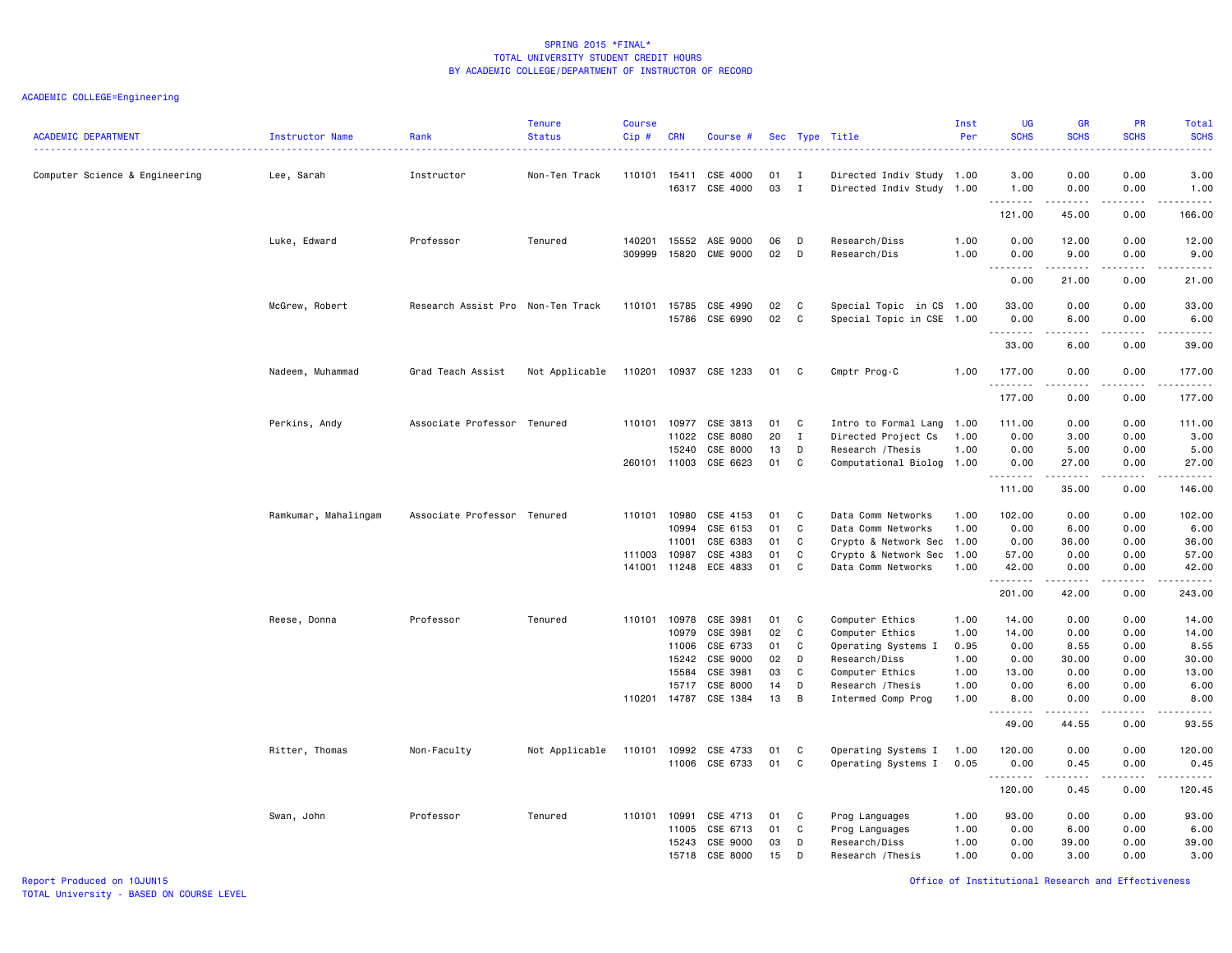| <b>ACADEMIC DEPARTMENT</b>     | Instructor Name      | Rank                              | <b>Tenure</b><br><b>Status</b> | <b>Course</b><br>$Cip$ #         | <b>CRN</b>                                         | Course #                                                                         |                                        |                                 | Sec Type Title                                                                                                                           | Inst<br>Per                                          | <b>UG</b><br><b>SCHS</b>                                              | <b>GB</b><br><b>SCHS</b>                                                      | PR<br><b>SCHS</b>                                                             | Total<br><b>SCHS</b><br>.                                                                                                                                                                                                 |
|--------------------------------|----------------------|-----------------------------------|--------------------------------|----------------------------------|----------------------------------------------------|----------------------------------------------------------------------------------|----------------------------------------|---------------------------------|------------------------------------------------------------------------------------------------------------------------------------------|------------------------------------------------------|-----------------------------------------------------------------------|-------------------------------------------------------------------------------|-------------------------------------------------------------------------------|---------------------------------------------------------------------------------------------------------------------------------------------------------------------------------------------------------------------------|
| Computer Science & Engineering | Lee, Sarah           | Instructor                        | Non-Ten Track                  | 110101 15411                     |                                                    | CSE 4000<br>16317 CSE 4000                                                       | 01<br>03                               | $\mathbf{I}$<br>$\mathbf{I}$    | Directed Indiv Study 1.00<br>Directed Indiv Study 1.00                                                                                   |                                                      | 3.00<br>1.00                                                          | 0.00<br>0.00                                                                  | 0.00<br>0.00                                                                  | 3.00<br>1.00                                                                                                                                                                                                              |
|                                |                      |                                   |                                |                                  |                                                    |                                                                                  |                                        |                                 |                                                                                                                                          |                                                      | .<br>121.00                                                           | .<br>45.00                                                                    | .<br>0.00                                                                     | .<br>166.00                                                                                                                                                                                                               |
|                                | Luke, Edward         | Professor                         | Tenured                        | 140201<br>309999                 | 15552<br>15820                                     | ASE 9000<br>CME 9000                                                             | 06<br>02                               | D<br>D                          | Research/Diss<br>Research/Dis                                                                                                            | 1.00<br>1.00                                         | 0.00<br>0.00<br>.                                                     | 12.00<br>9.00<br>-----                                                        | 0.00<br>0.00<br>.                                                             | 12.00<br>9.00<br>.                                                                                                                                                                                                        |
|                                |                      |                                   |                                |                                  |                                                    |                                                                                  |                                        |                                 |                                                                                                                                          |                                                      | 0.00                                                                  | 21.00                                                                         | 0.00                                                                          | 21.00                                                                                                                                                                                                                     |
|                                | McGrew, Robert       | Research Assist Pro Non-Ten Track |                                | 110101 15785                     |                                                    | CSE 4990<br>15786 CSE 6990                                                       | 02<br>02                               | C<br>$\mathbf{C}$               | Special Topic in CS 1.00<br>Special Topic in CSE 1.00                                                                                    |                                                      | 33.00<br>0.00<br>.                                                    | 0.00<br>6.00<br>.                                                             | 0.00<br>0.00<br>.                                                             | 33.00<br>6.00<br>د د د د د                                                                                                                                                                                                |
|                                |                      |                                   |                                |                                  |                                                    |                                                                                  |                                        |                                 |                                                                                                                                          |                                                      | 33.00                                                                 | 6.00                                                                          | 0.00                                                                          | 39.00                                                                                                                                                                                                                     |
|                                | Nadeem, Muhammad     | Grad Teach Assist                 | Not Applicable                 |                                  |                                                    | 110201 10937 CSE 1233                                                            | 01                                     | C                               | Cmptr Prog-C                                                                                                                             | 1.00                                                 | 177.00<br>.                                                           | 0.00<br><b>.</b>                                                              | 0.00<br>.                                                                     | 177.00<br>.                                                                                                                                                                                                               |
|                                |                      |                                   |                                |                                  |                                                    |                                                                                  |                                        |                                 |                                                                                                                                          |                                                      | 177.00                                                                | 0.00                                                                          | 0.00                                                                          | 177.00                                                                                                                                                                                                                    |
|                                | Perkins, Andy        | Associate Professor Tenured       |                                | 110101<br>260101 11003           | 10977<br>11022<br>15240                            | CSE 3813<br>CSE 8080<br>CSE 8000<br>CSE 6623                                     | 01<br>20<br>13<br>01                   | C<br>$\mathbf{I}$<br>D<br>C     | Intro to Formal Lang<br>Directed Project Cs<br>Research / Thesis<br>Computational Biolog 1.00                                            | 1.00<br>1.00<br>1.00                                 | 111.00<br>0.00<br>0.00<br>0.00                                        | 0.00<br>3.00<br>5.00<br>27.00                                                 | 0.00<br>0.00<br>0.00<br>0.00                                                  | 111.00<br>3.00<br>5.00<br>27.00                                                                                                                                                                                           |
|                                |                      |                                   |                                |                                  |                                                    |                                                                                  |                                        |                                 |                                                                                                                                          |                                                      | .<br>111.00                                                           | $\frac{1}{2}$<br>35.00                                                        | $- - - -$<br>0.00                                                             | $\frac{1}{2}$<br>146.00                                                                                                                                                                                                   |
|                                | Ramkumar, Mahalingam | Associate Professor Tenured       |                                | 110101<br>111003<br>141001 11248 | 10980<br>10994<br>11001<br>10987                   | CSE 4153<br>CSE 6153<br>CSE 6383<br>CSE 4383<br>ECE 4833                         | 01<br>01<br>01<br>01<br>01             | C<br>C<br>C<br>C<br>C           | Data Comm Networks<br>Data Comm Networks<br>Crypto & Network Sec 1.00<br>Crypto & Network Sec<br>Data Comm Networks                      | 1.00<br>1.00<br>1.00<br>1.00                         | 102.00<br>0.00<br>0.00<br>57.00<br>42.00<br>.                         | 0.00<br>6.00<br>36.00<br>0.00<br>0.00<br>.                                    | 0.00<br>0.00<br>0.00<br>0.00<br>0.00<br>.                                     | 102.00<br>6.00<br>36.00<br>57.00<br>42.00<br><u>.</u>                                                                                                                                                                     |
|                                |                      |                                   |                                |                                  |                                                    |                                                                                  |                                        |                                 |                                                                                                                                          |                                                      | 201.00                                                                | 42.00                                                                         | 0.00                                                                          | 243.00                                                                                                                                                                                                                    |
|                                | Reese, Donna         | Professor                         | Tenured                        | 110101<br>110201 14787           | 10978<br>10979<br>11006<br>15242<br>15584<br>15717 | CSE 3981<br>CSE 3981<br>CSE 6733<br>CSE 9000<br>CSE 3981<br>CSE 8000<br>CSE 1384 | 01<br>02<br>01<br>02<br>03<br>14<br>13 | C<br>C<br>C<br>D<br>C<br>D<br>B | Computer Ethics<br>Computer Ethics<br>Operating Systems I<br>Research/Diss<br>Computer Ethics<br>Research / Thesis<br>Intermed Comp Prog | 1.00<br>1.00<br>0.95<br>1.00<br>1.00<br>1.00<br>1.00 | 14.00<br>14.00<br>0.00<br>0.00<br>13.00<br>0.00<br>8.00<br>.<br>49.00 | 0.00<br>0.00<br>8.55<br>30.00<br>0.00<br>6.00<br>0.00<br>$- - - - -$<br>44.55 | 0.00<br>0.00<br>0.00<br>0.00<br>0.00<br>0.00<br>0.00<br>$\frac{1}{2}$<br>0.00 | 14.00<br>14.00<br>8.55<br>30.00<br>13.00<br>6.00<br>8.00<br>$\frac{1}{2} \left( \frac{1}{2} \right) \left( \frac{1}{2} \right) \left( \frac{1}{2} \right) \left( \frac{1}{2} \right) \left( \frac{1}{2} \right)$<br>93.55 |
|                                | Ritter, Thomas       | Non-Faculty                       | Not Applicable                 | 110101                           | 10992<br>11006                                     | CSE 4733<br>CSE 6733                                                             | 01<br>01                               | C<br>C                          | Operating Systems I<br>Operating Systems I                                                                                               | 1.00<br>0.05                                         | 120.00<br>0.00<br><u>.</u>                                            | 0.00<br>0.45<br>المتمام المتعاد                                               | 0.00<br>0.00<br>.                                                             | 120.00<br>0.45                                                                                                                                                                                                            |
|                                |                      |                                   |                                |                                  |                                                    |                                                                                  |                                        |                                 |                                                                                                                                          |                                                      | 120.00                                                                | 0.45                                                                          | 0.00                                                                          | 120.45                                                                                                                                                                                                                    |
|                                | Swan, John           | Professor                         | Tenured                        | 110101                           | 10991<br>11005<br>15243<br>15718                   | CSE 4713<br>CSE 6713<br>CSE 9000<br>CSE 8000                                     | 01<br>01<br>03<br>15                   | C<br>C<br>D<br>D                | Prog Languages<br>Prog Languages<br>Research/Diss<br>Research / Thesis                                                                   | 1.00<br>1.00<br>1.00<br>1.00                         | 93.00<br>0.00<br>0.00<br>0.00                                         | 0.00<br>6.00<br>39.00<br>3.00                                                 | 0.00<br>0.00<br>0.00<br>0.00                                                  | 93.00<br>6.00<br>39.00<br>3.00                                                                                                                                                                                            |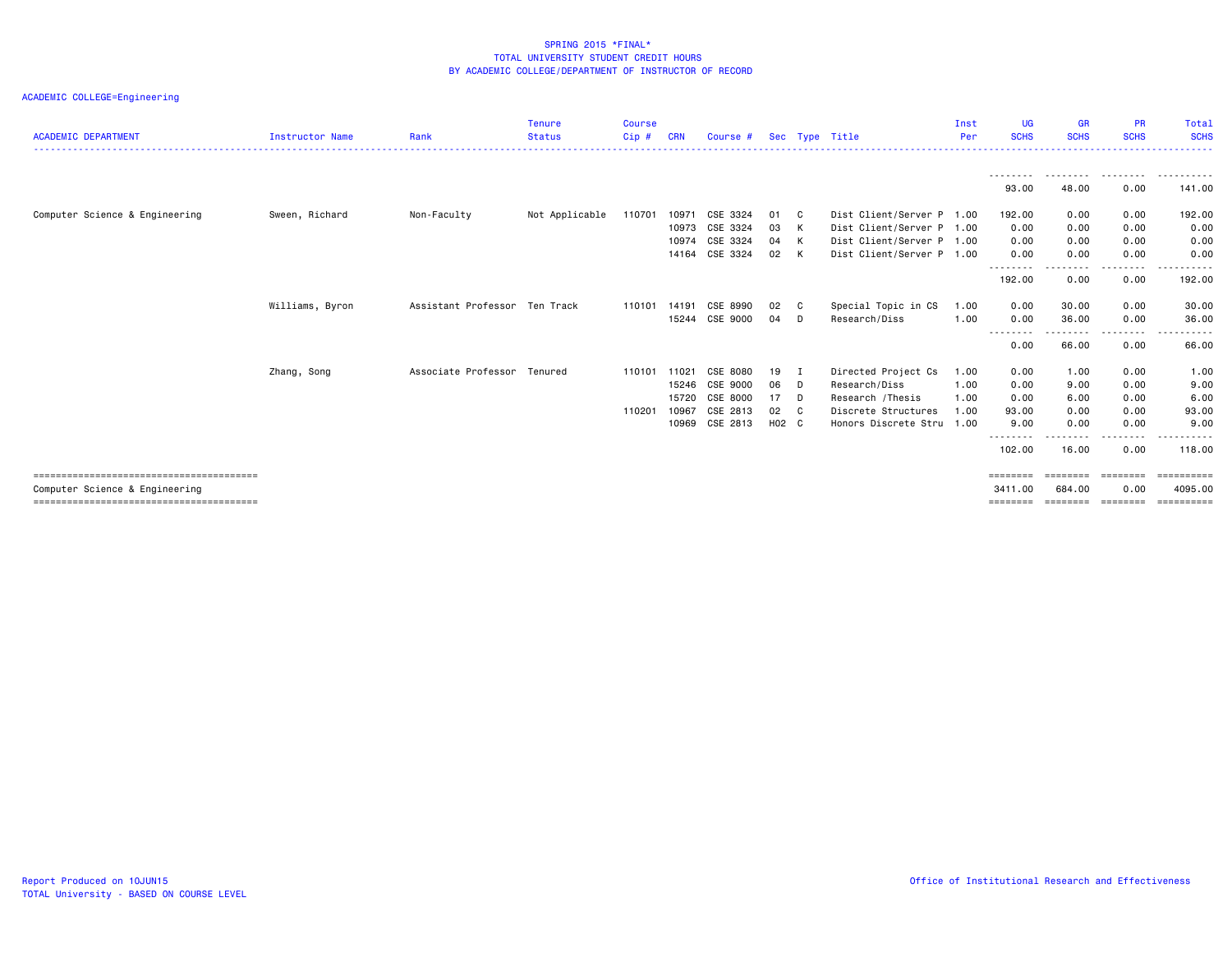| <b>ACADEMIC DEPARTMENT</b>     | <b>Instructor Name</b> | Rank                          | <b>Tenure</b><br><b>Status</b> | <b>Course</b><br>Cip# | CRN   | Course #       |       |                | Sec Type Title            | Inst<br>Per | UG.<br><b>SCHS</b>  | <b>GR</b><br><b>SCHS</b> | <b>PR</b><br><b>SCHS</b> | Total<br><b>SCHS</b>                                                                                                                                                                                                                                                                                                                                                                                                                                                                   |
|--------------------------------|------------------------|-------------------------------|--------------------------------|-----------------------|-------|----------------|-------|----------------|---------------------------|-------------|---------------------|--------------------------|--------------------------|----------------------------------------------------------------------------------------------------------------------------------------------------------------------------------------------------------------------------------------------------------------------------------------------------------------------------------------------------------------------------------------------------------------------------------------------------------------------------------------|
|                                |                        |                               |                                |                       |       |                |       |                |                           |             |                     |                          |                          |                                                                                                                                                                                                                                                                                                                                                                                                                                                                                        |
|                                |                        |                               |                                |                       |       |                |       |                |                           |             | --------<br>93.00   | 48.00                    | 0.00                     | 141.00                                                                                                                                                                                                                                                                                                                                                                                                                                                                                 |
| Computer Science & Engineering | Sween, Richard         | Non-Faculty                   | Not Applicable                 | 110701                | 10971 | CSE 3324       | 01    | - C            | Dist Client/Server P 1.00 |             | 192.00              | 0.00                     | 0.00                     | 192.00                                                                                                                                                                                                                                                                                                                                                                                                                                                                                 |
|                                |                        |                               |                                |                       | 10973 | CSE 3324       | 03    | K              | Dist Client/Server P 1.00 |             | 0.00                | 0.00                     | 0.00                     | 0.00                                                                                                                                                                                                                                                                                                                                                                                                                                                                                   |
|                                |                        |                               |                                |                       | 10974 | CSE 3324       | 04    | K              | Dist Client/Server P      | 1.00        | 0.00                | 0.00                     | 0.00                     | 0.00                                                                                                                                                                                                                                                                                                                                                                                                                                                                                   |
|                                |                        |                               |                                |                       |       | 14164 CSE 3324 | 02    | K              | Dist Client/Server P 1.00 |             | 0.00<br>---------   | 0.00<br>--------         | 0.00<br>. <b>.</b>       | 0.00<br>-------                                                                                                                                                                                                                                                                                                                                                                                                                                                                        |
|                                |                        |                               |                                |                       |       |                |       |                |                           |             | 192.00              | 0.00                     | 0.00                     | 192.00                                                                                                                                                                                                                                                                                                                                                                                                                                                                                 |
|                                | Williams, Byron        | Assistant Professor Ten Track |                                | 110101                | 14191 | CSE 8990       | 02    | - C            | Special Topic in CS       | 1.00        | 0.00                | 30.00                    | 0.00                     | 30.00                                                                                                                                                                                                                                                                                                                                                                                                                                                                                  |
|                                |                        |                               |                                |                       |       | 15244 CSE 9000 | 04    | D              | Research/Diss             | 1.00        | 0.00<br>--------    | 36.00<br>. <u>.</u>      | 0.00<br>.                | 36.00<br>.                                                                                                                                                                                                                                                                                                                                                                                                                                                                             |
|                                |                        |                               |                                |                       |       |                |       |                |                           |             | 0.00                | 66.00                    | 0.00                     | 66.00                                                                                                                                                                                                                                                                                                                                                                                                                                                                                  |
|                                | Zhang, Song            | Associate Professor Tenured   |                                | 110101                | 11021 | CSE 8080       | 19    | I              | Directed Project Cs       | 1.00        | 0.00                | 1.00                     | 0.00                     | 1.00                                                                                                                                                                                                                                                                                                                                                                                                                                                                                   |
|                                |                        |                               |                                |                       | 15246 | CSE 9000       | 06    | D              | Research/Diss             | 1.00        | 0.00                | 9.00                     | 0.00                     | 9.00                                                                                                                                                                                                                                                                                                                                                                                                                                                                                   |
|                                |                        |                               |                                |                       | 15720 | CSE 8000       | 17    | D              | Research / Thesis         | 1.00        | 0.00                | 6.00                     | 0.00                     | 6.00                                                                                                                                                                                                                                                                                                                                                                                                                                                                                   |
|                                |                        |                               |                                | 110201                | 10967 | CSE 2813       | 02    | C <sub>c</sub> | Discrete Structures       | 1.00        | 93.00               | 0.00                     | 0.00                     | 93,00                                                                                                                                                                                                                                                                                                                                                                                                                                                                                  |
|                                |                        |                               |                                |                       | 10969 | CSE 2813       | H02 C |                | Honors Discrete Stru 1.00 |             | 9.00<br>-------     | 0.00                     | 0.00                     | 9.00                                                                                                                                                                                                                                                                                                                                                                                                                                                                                   |
|                                |                        |                               |                                |                       |       |                |       |                |                           |             | 102.00              | 16.00                    | 0.00                     | 118,00                                                                                                                                                                                                                                                                                                                                                                                                                                                                                 |
|                                |                        |                               |                                |                       |       |                |       |                |                           |             | ========            | ========                 | ========                 | $\begin{array}{cccccccccc} \multicolumn{2}{c}{} & \multicolumn{2}{c}{} & \multicolumn{2}{c}{} & \multicolumn{2}{c}{} & \multicolumn{2}{c}{} & \multicolumn{2}{c}{} & \multicolumn{2}{c}{} & \multicolumn{2}{c}{} & \multicolumn{2}{c}{} & \multicolumn{2}{c}{} & \multicolumn{2}{c}{} & \multicolumn{2}{c}{} & \multicolumn{2}{c}{} & \multicolumn{2}{c}{} & \multicolumn{2}{c}{} & \multicolumn{2}{c}{} & \multicolumn{2}{c}{} & \multicolumn{2}{c}{} & \multicolumn{2}{c}{} & \mult$ |
| Computer Science & Engineering |                        |                               |                                |                       |       |                |       |                |                           |             | 3411.00<br>======== | 684.00<br>========       | 0.00<br>========         | 4095.00<br>==========                                                                                                                                                                                                                                                                                                                                                                                                                                                                  |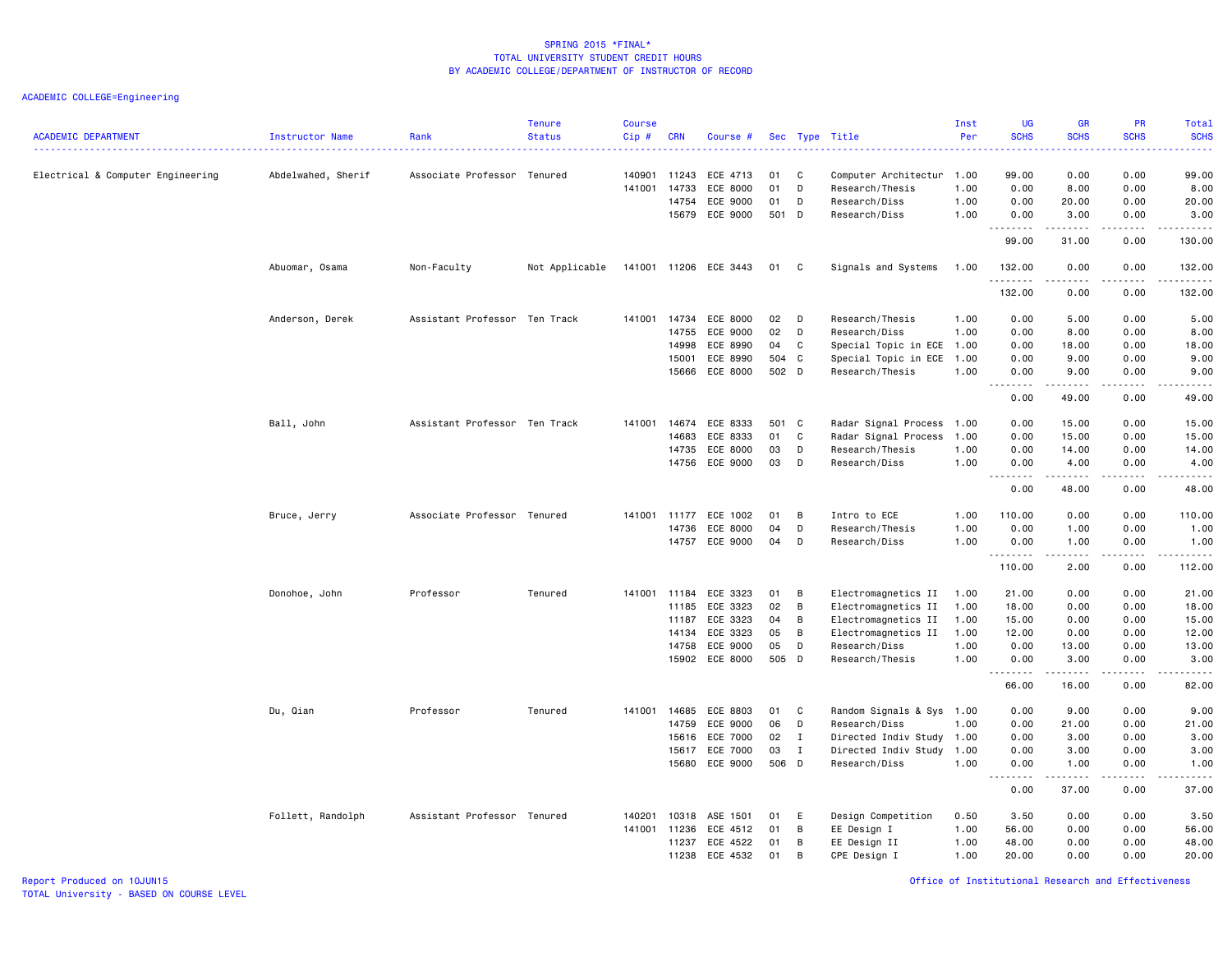ACADEMIC COLLEGE=Engineering

| <b>ACADEMIC DEPARTMENT</b>        | Instructor Name    | Rank                          | <b>Tenure</b><br><b>Status</b> | <b>Course</b><br>Cip# | <b>CRN</b>   | Course #              |       |                | Sec Type Title            | Inst<br>Per | <b>UG</b><br><b>SCHS</b><br>$   -$                                                                                                                                                   | <b>GR</b><br><b>SCHS</b>                                                                                                                                     | <b>PR</b><br><b>SCHS</b>            | <b>Total</b><br><b>SCHS</b><br>.    |
|-----------------------------------|--------------------|-------------------------------|--------------------------------|-----------------------|--------------|-----------------------|-------|----------------|---------------------------|-------------|--------------------------------------------------------------------------------------------------------------------------------------------------------------------------------------|--------------------------------------------------------------------------------------------------------------------------------------------------------------|-------------------------------------|-------------------------------------|
| Electrical & Computer Engineering | Abdelwahed, Sherif | Associate Professor Tenured   |                                | 140901                | 11243        | ECE 4713              | 01    | C              | Computer Architectur 1.00 |             | 99.00                                                                                                                                                                                | 0.00                                                                                                                                                         | 0.00                                | 99.00                               |
|                                   |                    |                               |                                | 141001                | 14733        | ECE 8000              | 01    | D              | Research/Thesis           | 1.00        | 0.00                                                                                                                                                                                 | 8.00                                                                                                                                                         | 0.00                                | 8.00                                |
|                                   |                    |                               |                                |                       | 14754        | ECE 9000              | 01    | D              | Research/Diss             | 1.00        | 0.00                                                                                                                                                                                 | 20.00                                                                                                                                                        | 0.00                                | 20.00                               |
|                                   |                    |                               |                                |                       | 15679        | ECE 9000              | 501 D |                | Research/Diss             | 1.00        | 0.00                                                                                                                                                                                 | 3.00<br>.                                                                                                                                                    | 0.00                                | 3.00                                |
|                                   |                    |                               |                                |                       |              |                       |       |                |                           |             | 99.00                                                                                                                                                                                | 31.00                                                                                                                                                        | 0.00                                | 130.00                              |
|                                   | Abuomar, Osama     | Non-Faculty                   | Not Applicable                 |                       |              | 141001 11206 ECE 3443 | 01    | C <sub>1</sub> | Signals and Systems       | 1.00        | 132.00<br>.                                                                                                                                                                          | 0.00<br>.                                                                                                                                                    | 0.00<br>$  -$                       | 132.00<br>.                         |
|                                   |                    |                               |                                |                       |              |                       |       |                |                           |             | 132.00                                                                                                                                                                               | 0.00                                                                                                                                                         | 0.00                                | 132.00                              |
|                                   | Anderson, Derek    | Assistant Professor Ten Track |                                |                       | 141001 14734 | ECE 8000              | 02    | D              | Research/Thesis           | 1.00        | 0.00                                                                                                                                                                                 | 5.00                                                                                                                                                         | 0.00                                | 5.00                                |
|                                   |                    |                               |                                |                       | 14755        | ECE 9000              | 02    | D              | Research/Diss             | 1.00        | 0.00                                                                                                                                                                                 | 8.00                                                                                                                                                         | 0.00                                | 8.00                                |
|                                   |                    |                               |                                |                       | 14998        | ECE 8990              | 04    | C              | Special Topic in ECE      | 1.00        | 0.00                                                                                                                                                                                 | 18.00                                                                                                                                                        | 0.00                                | 18.00                               |
|                                   |                    |                               |                                |                       | 15001        | ECE 8990              | 504   | C              | Special Topic in ECE      | 1.00        | 0.00                                                                                                                                                                                 | 9.00                                                                                                                                                         | 0.00                                | 9.00                                |
|                                   |                    |                               |                                |                       | 15666        | ECE 8000              | 502 D |                | Research/Thesis           | 1.00        | 0.00<br>$\frac{1}{2} \left( \frac{1}{2} \right) \left( \frac{1}{2} \right) \left( \frac{1}{2} \right) \left( \frac{1}{2} \right) \left( \frac{1}{2} \right)$<br>$\sim$ $\sim$ $\sim$ | 9.00                                                                                                                                                         | 0.00<br>.                           | 9.00<br>.                           |
|                                   |                    |                               |                                |                       |              |                       |       |                |                           |             | 0.00                                                                                                                                                                                 | 49.00                                                                                                                                                        | 0.00                                | 49.00                               |
|                                   | Ball, John         | Assistant Professor Ten Track |                                | 141001                | 14674        | ECE 8333              | 501 C |                | Radar Signal Process      | 1.00        | 0.00                                                                                                                                                                                 | 15.00                                                                                                                                                        | 0.00                                | 15.00                               |
|                                   |                    |                               |                                |                       | 14683        | ECE 8333              | 01    | C              | Radar Signal Process      | 1.00        | 0.00                                                                                                                                                                                 | 15.00                                                                                                                                                        | 0.00                                | 15.00                               |
|                                   |                    |                               |                                |                       | 14735        | ECE 8000              | 03    | D              | Research/Thesis           | 1.00        | 0.00                                                                                                                                                                                 | 14.00                                                                                                                                                        | 0.00                                | 14.00                               |
|                                   |                    |                               |                                |                       | 14756        | ECE 9000              | 03    | D              | Research/Diss             | 1.00        | 0.00<br>$\sim$ $\sim$ $\sim$                                                                                                                                                         | 4.00<br>$\frac{1}{2} \left( \frac{1}{2} \right) \left( \frac{1}{2} \right) \left( \frac{1}{2} \right) \left( \frac{1}{2} \right) \left( \frac{1}{2} \right)$ | 0.00<br>$\sim$ $\sim$ $\sim$ $\sim$ | 4.00<br>$\sim 100$ and $\sim 100$   |
|                                   |                    |                               |                                |                       |              |                       |       |                |                           |             | 0.00                                                                                                                                                                                 | 48.00                                                                                                                                                        | 0.00                                | 48,00                               |
|                                   | Bruce, Jerry       | Associate Professor Tenured   |                                | 141001                | 11177        | ECE 1002              | 01    | B              | Intro to ECE              | 1.00        | 110.00                                                                                                                                                                               | 0.00                                                                                                                                                         | 0.00                                | 110.00                              |
|                                   |                    |                               |                                |                       | 14736        | ECE 8000              | 04    | D              | Research/Thesis           | 1.00        | 0.00                                                                                                                                                                                 | 1.00                                                                                                                                                         | 0.00                                | 1.00                                |
|                                   |                    |                               |                                |                       |              | 14757 ECE 9000        | 04    | D              | Research/Diss             | 1.00        | 0.00<br>.                                                                                                                                                                            | 1.00<br>22222                                                                                                                                                | 0.00<br>.                           | 1.00<br><u>.</u>                    |
|                                   |                    |                               |                                |                       |              |                       |       |                |                           |             | 110.00                                                                                                                                                                               | 2.00                                                                                                                                                         | 0.00                                | 112.00                              |
|                                   | Donohoe, John      | Professor                     | Tenured                        | 141001                | 11184        | ECE 3323              | 01    | B              | Electromagnetics II       | 1.00        | 21.00                                                                                                                                                                                | 0.00                                                                                                                                                         | 0.00                                | 21.00                               |
|                                   |                    |                               |                                |                       | 11185        | ECE 3323              | 02    | B              | Electromagnetics II       | 1.00        | 18.00                                                                                                                                                                                | 0.00                                                                                                                                                         | 0.00                                | 18.00                               |
|                                   |                    |                               |                                |                       | 11187        | ECE 3323              | 04    | B              | Electromagnetics II       | 1.00        | 15.00                                                                                                                                                                                | 0.00                                                                                                                                                         | 0.00                                | 15.00                               |
|                                   |                    |                               |                                |                       | 14134        | ECE 3323              | 05    | B              | Electromagnetics II       | 1.00        | 12.00                                                                                                                                                                                | 0.00                                                                                                                                                         | 0.00                                | 12.00                               |
|                                   |                    |                               |                                |                       | 14758        | ECE 9000              | 05    | D              | Research/Diss             | 1.00        | 0.00                                                                                                                                                                                 | 13.00                                                                                                                                                        | 0.00                                | 13.00                               |
|                                   |                    |                               |                                |                       |              | 15902 ECE 8000        | 505 D |                | Research/Thesis           | 1.00        | 0.00<br>-----                                                                                                                                                                        | 3.00<br>$\frac{1}{2} \left( \frac{1}{2} \right) \left( \frac{1}{2} \right) \left( \frac{1}{2} \right) \left( \frac{1}{2} \right) \left( \frac{1}{2} \right)$ | 0.00<br>$\sim$ $\sim$ $\sim$ $\sim$ | 3.00<br>$\sim$ $\sim$ $\sim$ $\sim$ |
|                                   |                    |                               |                                |                       |              |                       |       |                |                           |             | 66.00                                                                                                                                                                                | 16.00                                                                                                                                                        | 0.00                                | 82.00                               |
|                                   | Du, Qian           | Professor                     | Tenured                        |                       | 141001 14685 | ECE 8803              | 01    | C              | Random Signals & Sys 1.00 |             | 0.00                                                                                                                                                                                 | 9.00                                                                                                                                                         | 0.00                                | 9.00                                |
|                                   |                    |                               |                                |                       | 14759        | ECE 9000              | 06    | D              | Research/Diss             | 1.00        | 0.00                                                                                                                                                                                 | 21.00                                                                                                                                                        | 0.00                                | 21.00                               |
|                                   |                    |                               |                                |                       | 15616        | ECE 7000              | 02    | I              | Directed Indiv Study      | 1.00        | 0.00                                                                                                                                                                                 | 3.00                                                                                                                                                         | 0.00                                | 3.00                                |
|                                   |                    |                               |                                |                       | 15617        | ECE 7000              | 03    | $\mathbf{I}$   | Directed Indiv Study      | 1.00        | 0.00                                                                                                                                                                                 | 3.00                                                                                                                                                         | 0.00                                | 3.00                                |
|                                   |                    |                               |                                |                       | 15680        | ECE 9000              | 506 D |                | Research/Diss             | 1.00        | 0.00<br>$- - - -$                                                                                                                                                                    | 1.00<br>.                                                                                                                                                    | 0.00<br>.                           | 1.00<br>.                           |
|                                   |                    |                               |                                |                       |              |                       |       |                |                           |             | 0.00                                                                                                                                                                                 | 37.00                                                                                                                                                        | 0.00                                | 37.00                               |
|                                   | Follett, Randolph  | Assistant Professor Tenured   |                                | 140201                | 10318        | ASE 1501              | 01    | E              | Design Competition        | 0.50        | 3.50                                                                                                                                                                                 | 0.00                                                                                                                                                         | 0.00                                | 3.50                                |
|                                   |                    |                               |                                |                       | 141001 11236 | ECE 4512              | 01    | B              | EE Design I               | 1.00        | 56.00                                                                                                                                                                                | 0.00                                                                                                                                                         | 0.00                                | 56.00                               |
|                                   |                    |                               |                                |                       | 11237        | ECE 4522              | 01    | B              | EE Design II              | 1.00        | 48.00                                                                                                                                                                                | 0.00                                                                                                                                                         | 0.00                                | 48.00                               |
|                                   |                    |                               |                                |                       | 11238        | ECE 4532              | 01    | B              | CPE Design I              | 1.00        | 20.00                                                                                                                                                                                | 0.00                                                                                                                                                         | 0.00                                | 20.00                               |

Report Produced on 10JUN15 Office of Institutional Research and Effectiveness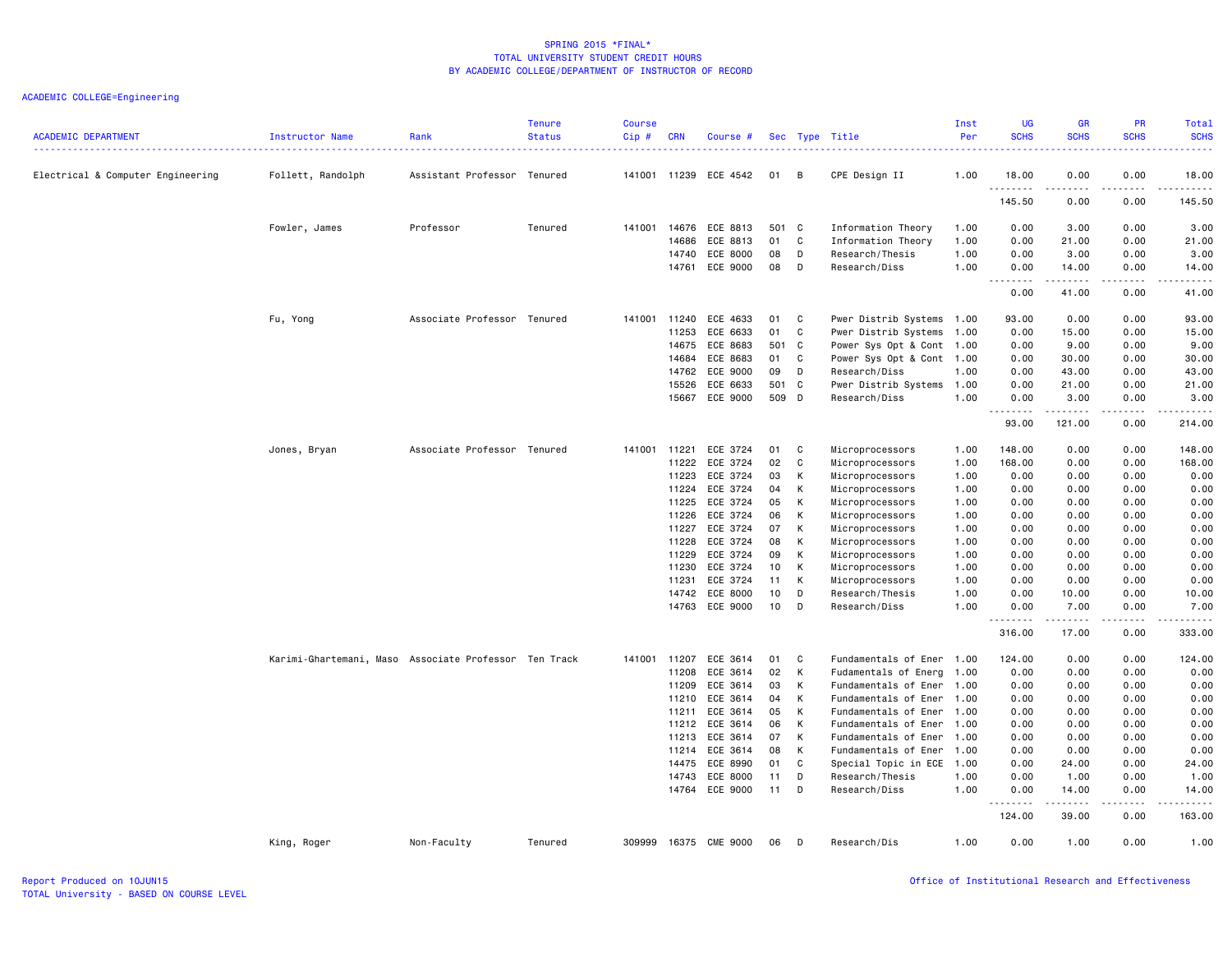| <b>ACADEMIC DEPARTMENT</b>        | Instructor Name                                       | Rank                        | <b>Tenure</b><br><b>Status</b> | <b>Course</b><br>Cip# | <b>CRN</b>     | Course #             |          |             | Sec Type Title                     | Inst<br>Per  | <b>UG</b><br><b>SCHS</b> | <b>GR</b><br><b>SCHS</b>                                                                                                                                     | <b>PR</b><br><b>SCHS</b>     | Total<br><b>SCHS</b><br><u>.</u> |
|-----------------------------------|-------------------------------------------------------|-----------------------------|--------------------------------|-----------------------|----------------|----------------------|----------|-------------|------------------------------------|--------------|--------------------------|--------------------------------------------------------------------------------------------------------------------------------------------------------------|------------------------------|----------------------------------|
| Electrical & Computer Engineering | Follett, Randolph                                     | Assistant Professor Tenured |                                | 141001                |                | 11239 ECE 4542       | 01       | B           | CPE Design II                      | 1.00         | 18.00                    | 0.00                                                                                                                                                         | 0.00                         | 18.00                            |
|                                   |                                                       |                             |                                |                       |                |                      |          |             |                                    |              | 145.50                   | $\frac{1}{2} \left( \frac{1}{2} \right) \left( \frac{1}{2} \right) \left( \frac{1}{2} \right) \left( \frac{1}{2} \right) \left( \frac{1}{2} \right)$<br>0.00 | $\sim$ $\sim$ $\sim$<br>0.00 | .<br>145.50                      |
|                                   | Fowler, James                                         | Professor                   | Tenured                        | 141001                | 14676          | ECE 8813             | 501 C    |             | Information Theory                 | 1.00         | 0.00                     | 3.00                                                                                                                                                         | 0.00                         | 3.00                             |
|                                   |                                                       |                             |                                |                       | 14686          | ECE 8813             | 01       | C           | Information Theory                 | 1.00         | 0.00                     | 21.00                                                                                                                                                        | 0.00                         | 21.00                            |
|                                   |                                                       |                             |                                |                       | 14740          | ECE 8000             | 08       | D           | Research/Thesis                    | 1.00         | 0.00                     | 3.00                                                                                                                                                         | 0.00                         | 3.00                             |
|                                   |                                                       |                             |                                |                       | 14761          | ECE 9000             | 08       | D           | Research/Diss                      | 1.00         | 0.00<br>$- - -$          | 14.00<br>.                                                                                                                                                   | 0.00<br>.                    | 14.00<br>. <u>.</u> .            |
|                                   |                                                       |                             |                                |                       |                |                      |          |             |                                    |              | 0.00                     | 41.00                                                                                                                                                        | 0.00                         | 41.00                            |
|                                   | Fu, Yong                                              | Associate Professor Tenured |                                | 141001                | 11240          | ECE 4633             | 01       | C           | Pwer Distrib Systems 1.00          |              | 93.00                    | 0.00                                                                                                                                                         | 0.00                         | 93.00                            |
|                                   |                                                       |                             |                                |                       | 11253          | ECE 6633             | 01       | C           | Pwer Distrib Systems               | 1.00         | 0.00                     | 15.00                                                                                                                                                        | 0.00                         | 15.00                            |
|                                   |                                                       |                             |                                |                       | 14675          | ECE 8683             | 501 C    |             | Power Sys Opt & Cont 1.00          |              | 0.00                     | 9.00                                                                                                                                                         | 0.00                         | 9.00                             |
|                                   |                                                       |                             |                                |                       | 14684          | ECE 8683             | 01       | C           | Power Sys Opt & Cont 1.00          |              | 0.00                     | 30.00                                                                                                                                                        | 0.00                         | 30.00                            |
|                                   |                                                       |                             |                                |                       | 14762          | ECE 9000             | 09       | D           | Research/Diss                      | 1.00         | 0.00                     | 43.00                                                                                                                                                        | 0.00                         | 43.00                            |
|                                   |                                                       |                             |                                |                       | 15526          | ECE 6633             | 501 C    |             | Pwer Distrib Systems               | 1.00         | 0.00                     | 21.00                                                                                                                                                        | 0.00                         | 21.00                            |
|                                   |                                                       |                             |                                |                       | 15667          | ECE 9000             | 509 D    |             | Research/Diss                      | 1.00         | 0.00<br>. <b>.</b>       | 3.00<br>.                                                                                                                                                    | 0.00<br>.                    | 3.00<br>.                        |
|                                   |                                                       |                             |                                |                       |                |                      |          |             |                                    |              | 93.00                    | 121.00                                                                                                                                                       | 0.00                         | 214.00                           |
|                                   | Jones, Bryan                                          | Associate Professor Tenured |                                | 141001                | 11221          | ECE 3724             | 01       | C           | Microprocessors                    | 1.00         | 148.00                   | 0.00                                                                                                                                                         | 0.00                         | 148.00                           |
|                                   |                                                       |                             |                                |                       | 11222          | ECE 3724             | 02       | $\mathbb C$ | Microprocessors                    | 1.00         | 168.00                   | 0.00                                                                                                                                                         | 0.00                         | 168.00                           |
|                                   |                                                       |                             |                                |                       | 11223          | ECE 3724             | 03       | K           | Microprocessors                    | 1.00         | 0.00                     | 0.00                                                                                                                                                         | 0.00                         | 0.00                             |
|                                   |                                                       |                             |                                |                       | 11224          | ECE 3724             | 04       | K           | Microprocessors                    | 1.00         | 0.00                     | 0.00                                                                                                                                                         | 0.00                         | 0.00                             |
|                                   |                                                       |                             |                                |                       | 11225          | ECE 3724             | 05       | К           | Microprocessors                    | 1.00         | 0.00                     | 0.00                                                                                                                                                         | 0.00                         | 0.00                             |
|                                   |                                                       |                             |                                |                       | 11226          | ECE 3724             | 06       | K           | Microprocessors                    | 1.00         | 0.00                     | 0.00                                                                                                                                                         | 0.00                         | 0.00                             |
|                                   |                                                       |                             |                                |                       | 11227<br>11228 | ECE 3724<br>ECE 3724 | 07<br>08 | K<br>К      | Microprocessors                    | 1.00         | 0.00                     | 0.00                                                                                                                                                         | 0.00<br>0.00                 | 0.00<br>0.00                     |
|                                   |                                                       |                             |                                |                       | 11229          | ECE 3724             | 09       | K           | Microprocessors<br>Microprocessors | 1.00<br>1.00 | 0.00<br>0.00             | 0.00<br>0.00                                                                                                                                                 | 0.00                         | 0.00                             |
|                                   |                                                       |                             |                                |                       | 11230          | ECE 3724             | 10       | K           | Microprocessors                    | 1.00         | 0.00                     | 0.00                                                                                                                                                         | 0.00                         | 0.00                             |
|                                   |                                                       |                             |                                |                       | 11231          | ECE 3724             | 11       | K           | Microprocessors                    | 1.00         | 0.00                     | 0.00                                                                                                                                                         | 0.00                         | 0.00                             |
|                                   |                                                       |                             |                                |                       | 14742          | ECE 8000             | 10       | D           | Research/Thesis                    | 1.00         | 0.00                     | 10.00                                                                                                                                                        | 0.00                         | 10.00                            |
|                                   |                                                       |                             |                                |                       | 14763          | ECE 9000             | 10       | D           | Research/Diss                      | 1.00         | 0.00                     | 7.00                                                                                                                                                         | 0.00                         | 7.00                             |
|                                   |                                                       |                             |                                |                       |                |                      |          |             |                                    |              | $  -$<br>316.00          | 17.00                                                                                                                                                        | 0.00                         | $\cdots$<br>333.00               |
|                                   | Karimi-Ghartemani, Maso Associate Professor Ten Track |                             |                                | 141001                | 11207          | ECE 3614             | 01       | C           | Fundamentals of Ener 1.00          |              | 124.00                   | 0.00                                                                                                                                                         | 0.00                         | 124.00                           |
|                                   |                                                       |                             |                                |                       | 11208          | ECE 3614             | 02       | K           | Fudamentals of Energ               | 1.00         | 0.00                     | 0.00                                                                                                                                                         | 0.00                         | 0.00                             |
|                                   |                                                       |                             |                                |                       | 11209          | ECE 3614             | 03       | К           | Fundamentals of Ener               | 1.00         | 0.00                     | 0.00                                                                                                                                                         | 0.00                         | 0.00                             |
|                                   |                                                       |                             |                                |                       | 11210          | ECE 3614             | 04       | K           | Fundamentals of Ener               | 1.00         | 0.00                     | 0.00                                                                                                                                                         | 0.00                         | 0.00                             |
|                                   |                                                       |                             |                                |                       | 11211          | ECE 3614             | 05       | К           | Fundamentals of Ener               | 1.00         | 0.00                     | 0.00                                                                                                                                                         | 0.00                         | 0.00                             |
|                                   |                                                       |                             |                                |                       | 11212          | ECE 3614             | 06       | K           | Fundamentals of Ener               | 1.00         | 0.00                     | 0.00                                                                                                                                                         | 0.00                         | 0.00                             |
|                                   |                                                       |                             |                                |                       | 11213          | ECE 3614             | 07       | K           | Fundamentals of Ener               | 1.00         | 0.00                     | 0.00                                                                                                                                                         | 0.00                         | 0.00                             |
|                                   |                                                       |                             |                                |                       | 11214          | ECE 3614             | 08       | K           | Fundamentals of Ener               | 1.00         | 0.00                     | 0.00                                                                                                                                                         | 0.00                         | 0.00                             |
|                                   |                                                       |                             |                                |                       | 14475          | ECE 8990             | 01       | C           | Special Topic in ECE               | 1.00         | 0.00                     | 24.00                                                                                                                                                        | 0.00                         | 24.00                            |
|                                   |                                                       |                             |                                |                       | 14743          | ECE 8000             | 11       | D           | Research/Thesis                    | 1.00         | 0.00                     | 1.00                                                                                                                                                         | 0.00                         | 1.00                             |
|                                   |                                                       |                             |                                |                       |                | 14764 ECE 9000       | 11       | D           | Research/Diss                      | 1.00         | 0.00<br>. <b>.</b>       | 14.00<br>.                                                                                                                                                   | 0.00<br>.                    | 14.00<br>.                       |
|                                   |                                                       |                             |                                |                       |                |                      |          |             |                                    |              | 124.00                   | 39.00                                                                                                                                                        | 0.00                         | 163.00                           |
|                                   | King, Roger                                           | Non-Faculty                 | Tenured                        | 309999                |                | 16375 CME 9000       | 06       | D           | Research/Dis                       | 1.00         | 0.00                     | 1.00                                                                                                                                                         | 0.00                         | 1.00                             |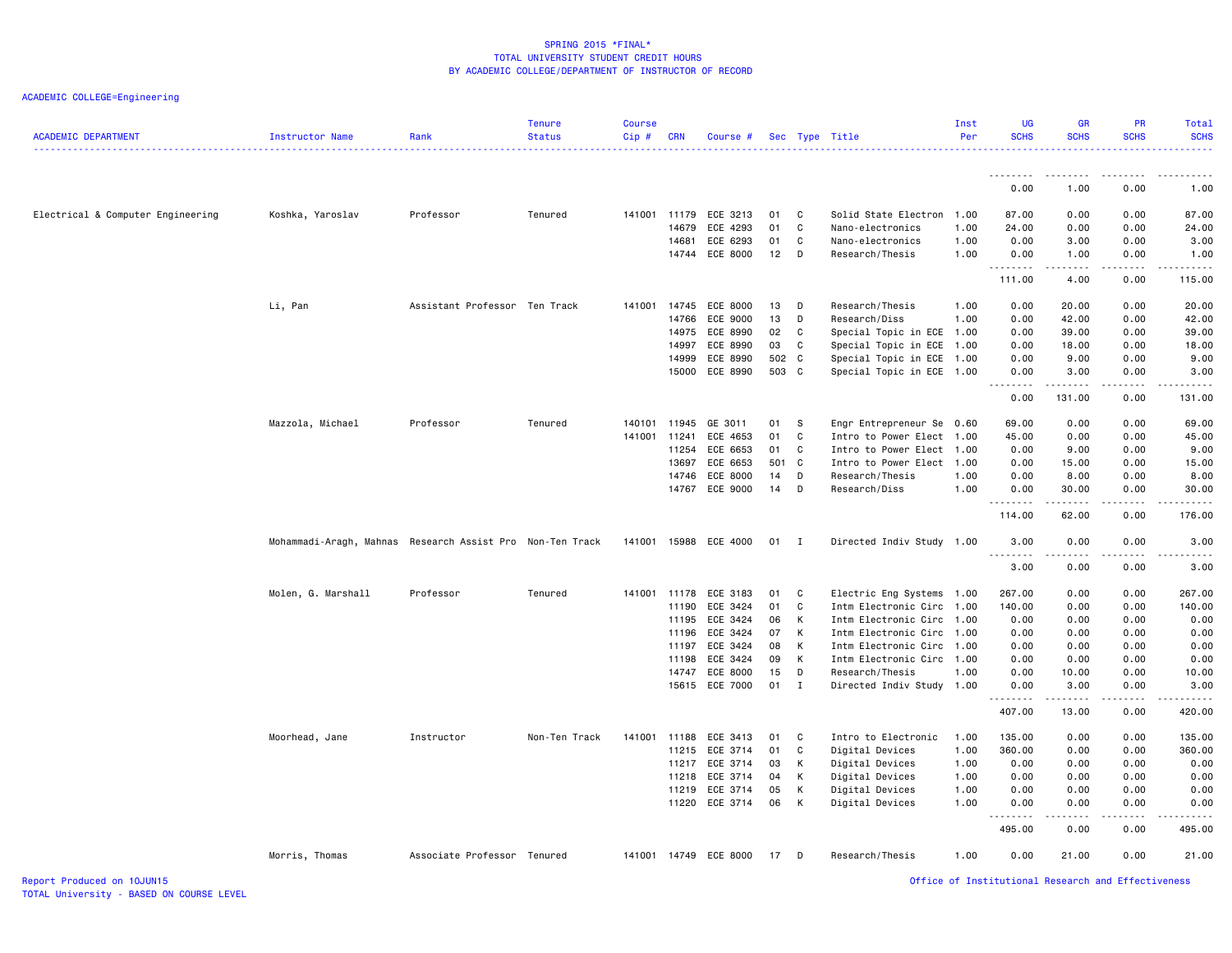| <b>ACADEMIC DEPARTMENT</b>        | <b>Instructor Name</b>                                    | Rank                          | <b>Tenure</b><br><b>Status</b> | Course<br>Cip# | <b>CRN</b> | Course #              |        |              | Sec Type Title            | Inst<br>Per | <b>UG</b><br><b>SCHS</b>   | GR<br><b>SCHS</b>                           | PR<br><b>SCHS</b> | Total<br><b>SCHS</b> |
|-----------------------------------|-----------------------------------------------------------|-------------------------------|--------------------------------|----------------|------------|-----------------------|--------|--------------|---------------------------|-------------|----------------------------|---------------------------------------------|-------------------|----------------------|
|                                   |                                                           |                               |                                |                |            |                       |        |              |                           |             | .                          | .                                           |                   |                      |
|                                   |                                                           |                               |                                |                |            |                       |        |              |                           |             | 0.00                       | 1.00                                        | 0.00              | 1.00                 |
| Electrical & Computer Engineering | Koshka, Yaroslav                                          | Professor                     | Tenured                        | 141001 11179   |            | ECE 3213              | 01     | $\mathbf{C}$ | Solid State Electron      | 1.00        | 87.00                      | 0.00                                        | 0.00              | 87.00                |
|                                   |                                                           |                               |                                |                | 14679      | ECE 4293              | 01     | C            | Nano-electronics          | 1.00        | 24.00                      | 0.00                                        | 0.00              | 24.00                |
|                                   |                                                           |                               |                                |                | 14681      | ECE 6293              | 01     | C            | Nano-electronics          | 1.00        | 0.00                       | 3.00                                        | 0.00              | 3.00                 |
|                                   |                                                           |                               |                                |                |            | 14744 ECE 8000        | 12     | D            | Research/Thesis           | 1.00        | 0.00<br>.                  | 1.00                                        | 0.00              | 1.00                 |
|                                   |                                                           |                               |                                |                |            |                       |        |              |                           |             | 111.00                     | 4.00                                        | 0.00              | 115.00               |
|                                   | Li, Pan                                                   | Assistant Professor Ten Track |                                | 141001         | 14745      | ECE 8000              | 13     | D            | Research/Thesis           | 1.00        | 0.00                       | 20.00                                       | 0.00              | 20.00                |
|                                   |                                                           |                               |                                |                | 14766      | ECE 9000              | 13     | D            | Research/Diss             | 1.00        | 0.00                       | 42.00                                       | 0.00              | 42.00                |
|                                   |                                                           |                               |                                |                | 14975      | ECE 8990              | 02     | C            | Special Topic in ECE 1.00 |             | 0.00                       | 39.00                                       | 0.00              | 39.00                |
|                                   |                                                           |                               |                                |                | 14997      | ECE 8990              | 03     | C            | Special Topic in ECE      | 1.00        | 0.00                       | 18.00                                       | 0.00              | 18.00                |
|                                   |                                                           |                               |                                |                | 14999      | ECE 8990              | 502 C  |              | Special Topic in ECE 1.00 |             | 0.00                       | 9.00                                        | 0.00              | 9.00                 |
|                                   |                                                           |                               |                                |                |            | 15000 ECE 8990        | 503 C  |              | Special Topic in ECE 1.00 |             | 0.00<br>.<br>$\frac{1}{2}$ | 3.00<br>.                                   | 0.00<br>-----     | 3.00<br>.            |
|                                   |                                                           |                               |                                |                |            |                       |        |              |                           |             | 0.00                       | 131.00                                      | 0.00              | 131.00               |
|                                   | Mazzola, Michael                                          | Professor                     | Tenured                        | 140101         | 11945      | GE 3011               | 01 S   |              | Engr Entrepreneur Se      | 0.60        | 69.00                      | 0.00                                        | 0.00              | 69.00                |
|                                   |                                                           |                               |                                | 141001         | 11241      | ECE 4653              | 01     | C.           | Intro to Power Elect      | 1.00        | 45.00                      | 0.00                                        | 0.00              | 45.00                |
|                                   |                                                           |                               |                                |                | 11254      | ECE 6653              | 01     | C.           | Intro to Power Elect 1.00 |             | 0.00                       | 9.00                                        | 0.00              | 9.00                 |
|                                   |                                                           |                               |                                |                | 13697      | ECE 6653              | 501 C  |              | Intro to Power Elect 1.00 |             | 0.00                       | 15.00                                       | 0.00              | 15.00                |
|                                   |                                                           |                               |                                |                | 14746      | ECE 8000              | 14     | D            | Research/Thesis           | 1.00        | 0.00                       | 8.00                                        | 0.00              | 8.00                 |
|                                   |                                                           |                               |                                |                | 14767      | ECE 9000              | $14$ D |              | Research/Diss             | 1.00        | 0.00<br>.                  | 30.00<br>$\sim$ $\sim$ $\sim$ $\sim$ $\sim$ | 0.00<br>.         | 30.00                |
|                                   |                                                           |                               |                                |                |            |                       |        |              |                           |             | 114.00                     | 62.00                                       | 0.00              | 176.00               |
|                                   | Mohammadi-Aragh, Mahnas Research Assist Pro Non-Ten Track |                               |                                |                |            | 141001 15988 ECE 4000 | 01     | $\mathbf{I}$ | Directed Indiv Study 1.00 |             | 3.00<br><u>.</u>           | 0.00<br>.                                   | 0.00              | 3.00                 |
|                                   |                                                           |                               |                                |                |            |                       |        |              |                           |             | 3.00                       | 0.00                                        | 0.00              | 3.00                 |
|                                   | Molen, G. Marshall                                        | Professor                     | Tenured                        | 141001 11178   |            | ECE 3183              | 01     | $\mathbf{C}$ | Electric Eng Systems      | 1.00        | 267.00                     | 0.00                                        | 0.00              | 267.00               |
|                                   |                                                           |                               |                                |                | 11190      | ECE 3424              | 01     | C            | Intm Electronic Circ      | 1.00        | 140.00                     | 0.00                                        | 0.00              | 140.00               |
|                                   |                                                           |                               |                                |                | 11195      | ECE 3424              | 06     | K            | Intm Electronic Circ      | 1.00        | 0.00                       | 0.00                                        | 0.00              | 0.00                 |
|                                   |                                                           |                               |                                |                | 11196      | ECE 3424              | 07     | $\mathsf{K}$ | Intm Electronic Circ      | 1.00        | 0.00                       | 0.00                                        | 0.00              | 0.00                 |
|                                   |                                                           |                               |                                |                | 11197      | ECE 3424              | 08     | K            | Intm Electronic Circ      | 1.00        | 0.00                       | 0.00                                        | 0.00              | 0.00                 |
|                                   |                                                           |                               |                                |                | 11198      | ECE 3424              | 09     | K            | Intm Electronic Circ 1.00 |             | 0.00                       | 0.00                                        | 0.00              | 0.00                 |
|                                   |                                                           |                               |                                |                | 14747      | ECE 8000              | 15     | D            | Research/Thesis           | 1.00        | 0.00                       | 10.00                                       | 0.00              | 10.00                |
|                                   |                                                           |                               |                                |                |            | 15615 ECE 7000        | 01 I   |              | Directed Indiv Study 1.00 |             | 0.00                       | 3.00<br>.                                   | 0.00              | 3.00                 |
|                                   |                                                           |                               |                                |                |            |                       |        |              |                           |             | 407.00                     | 13.00                                       | 0.00              | 420.00               |
|                                   | Moorhead, Jane                                            | Instructor                    | Non-Ten Track                  | 141001 11188   |            | ECE 3413              | 01     | C            | Intro to Electronic       | 1.00        | 135.00                     | 0.00                                        | 0.00              | 135.00               |
|                                   |                                                           |                               |                                |                | 11215      | ECE 3714              | 01     | C            | Digital Devices           | 1.00        | 360.00                     | 0.00                                        | 0.00              | 360.00               |
|                                   |                                                           |                               |                                |                | 11217      | ECE 3714              | 03     | K            | Digital Devices           | 1.00        | 0.00                       | 0.00                                        | 0.00              | 0.00                 |
|                                   |                                                           |                               |                                |                | 11218      | ECE 3714              | 04     | K            | Digital Devices           | 1.00        | 0.00                       | 0.00                                        | 0.00              | 0.00                 |
|                                   |                                                           |                               |                                |                | 11219      | ECE 3714              | 05     | K            | Digital Devices           | 1.00        | 0.00                       | 0.00                                        | 0.00              | 0.00                 |
|                                   |                                                           |                               |                                |                |            | 11220 ECE 3714        | 06     | K            | Digital Devices           | 1.00        | 0.00<br>.                  | 0.00                                        | 0.00              | 0.00                 |
|                                   |                                                           |                               |                                |                |            |                       |        |              |                           |             | 495.00                     | 0.00                                        | 0.00              | 495.00               |
|                                   | Morris, Thomas                                            | Associate Professor Tenured   |                                |                |            | 141001 14749 ECE 8000 | 17     | $\Box$       | Research/Thesis           | 1.00        | 0.00                       | 21.00                                       | 0.00              | 21.00                |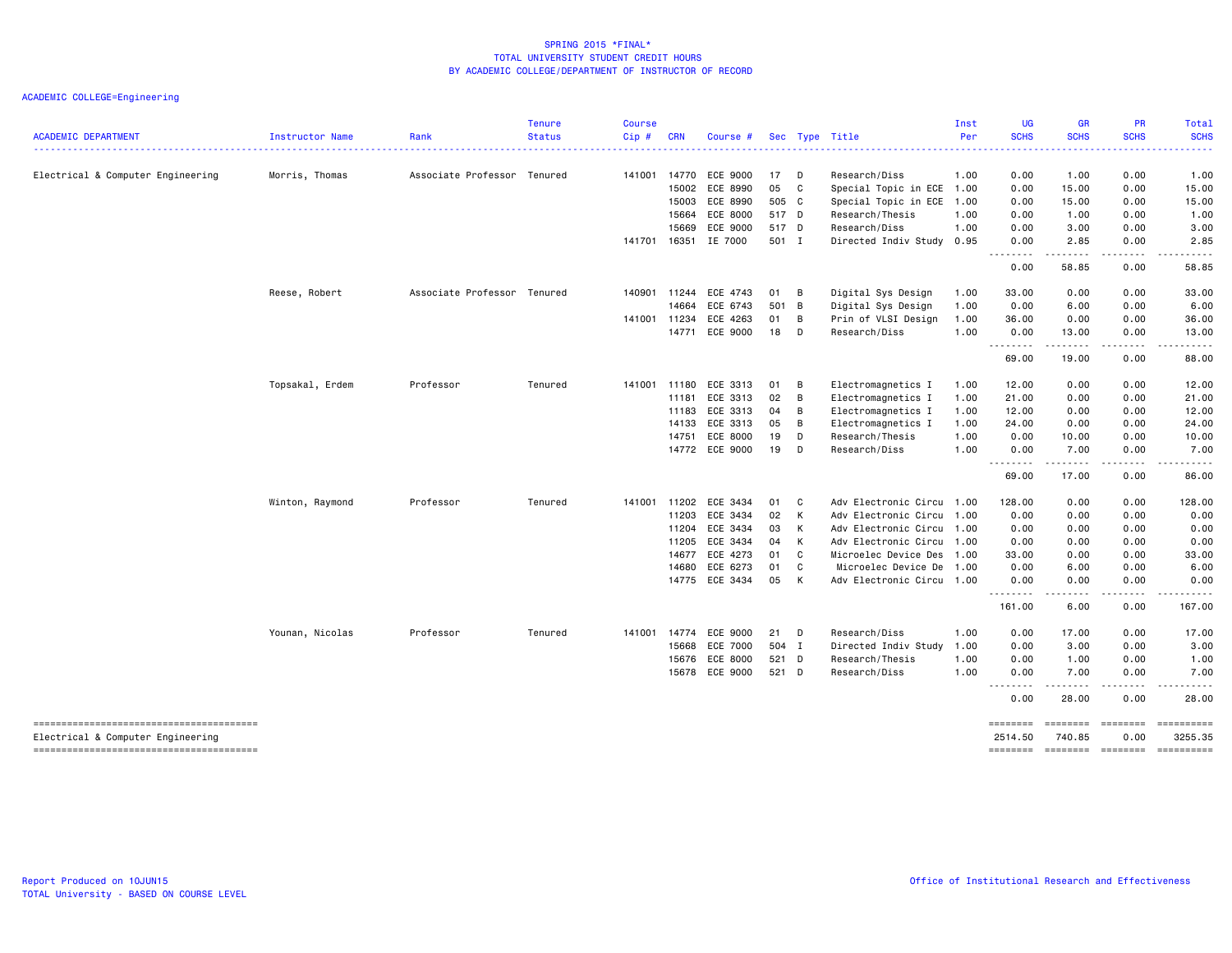| <b>ACADEMIC DEPARTMENT</b>        |                 | Rank                        | <b>Tenure</b> | <b>Course</b> | <b>CRN</b>   |                       |       |                |                           | Inst<br>Per | <b>UG</b><br><b>SCHS</b> | <b>GR</b><br><b>SCHS</b>      | PR<br><b>SCHS</b> | <b>Total</b><br><b>SCHS</b>                                                                                                                                                                                                                                                                                                                                                                                                                                                        |
|-----------------------------------|-----------------|-----------------------------|---------------|---------------|--------------|-----------------------|-------|----------------|---------------------------|-------------|--------------------------|-------------------------------|-------------------|------------------------------------------------------------------------------------------------------------------------------------------------------------------------------------------------------------------------------------------------------------------------------------------------------------------------------------------------------------------------------------------------------------------------------------------------------------------------------------|
|                                   | Instructor Name |                             | <b>Status</b> | Cip#          |              | Course #              |       |                | Sec Type Title            |             |                          |                               |                   |                                                                                                                                                                                                                                                                                                                                                                                                                                                                                    |
| Electrical & Computer Engineering | Morris, Thomas  | Associate Professor Tenured |               |               | 141001 14770 | ECE 9000              | 17    | <b>D</b>       | Research/Diss             | 1.00        | 0.00                     | 1.00                          | 0.00              | 1.00                                                                                                                                                                                                                                                                                                                                                                                                                                                                               |
|                                   |                 |                             |               |               | 15002        | ECE 8990              | 05    | $\overline{c}$ | Special Topic in ECE      | 1.00        | 0.00                     | 15.00                         | 0.00              | 15.00                                                                                                                                                                                                                                                                                                                                                                                                                                                                              |
|                                   |                 |                             |               |               | 15003        | ECE 8990              | 505 C |                | Special Topic in ECE      | 1.00        | 0.00                     | 15.00                         | 0.00              | 15.00                                                                                                                                                                                                                                                                                                                                                                                                                                                                              |
|                                   |                 |                             |               |               | 15664        | ECE 8000              | 517 D |                | Research/Thesis           | 1.00        | 0.00                     | 1.00                          | 0.00              | 1.00                                                                                                                                                                                                                                                                                                                                                                                                                                                                               |
|                                   |                 |                             |               |               | 15669        | ECE 9000              | 517 D |                | Research/Diss             | 1.00        | 0.00                     | 3.00                          | 0.00              | 3.00                                                                                                                                                                                                                                                                                                                                                                                                                                                                               |
|                                   |                 |                             |               |               |              | 141701 16351 IE 7000  | 501 I |                | Directed Indiv Study 0.95 |             | 0.00<br>.                | 2.85<br>.                     | 0.00<br>.         | 2.85<br>$\frac{1}{2} \left( \frac{1}{2} \right) \left( \frac{1}{2} \right) \left( \frac{1}{2} \right) \left( \frac{1}{2} \right)$                                                                                                                                                                                                                                                                                                                                                  |
|                                   |                 |                             |               |               |              |                       |       |                |                           |             | 0.00                     | 58.85                         | 0.00              | 58.85                                                                                                                                                                                                                                                                                                                                                                                                                                                                              |
|                                   | Reese, Robert   | Associate Professor Tenured |               | 140901        | 11244        | ECE 4743              | 01    | $\overline{B}$ | Digital Sys Design        | 1.00        | 33.00                    | 0.00                          | 0.00              | 33.00                                                                                                                                                                                                                                                                                                                                                                                                                                                                              |
|                                   |                 |                             |               |               | 14664        | ECE 6743              | 501 B |                | Digital Sys Design        | 1.00        | 0.00                     | 6.00                          | 0.00              | 6.00                                                                                                                                                                                                                                                                                                                                                                                                                                                                               |
|                                   |                 |                             |               | 141001        | 11234        | ECE 4263              | 01    | B              | Prin of VLSI Design       | 1.00        | 36.00                    | 0.00                          | 0.00              | 36.00                                                                                                                                                                                                                                                                                                                                                                                                                                                                              |
|                                   |                 |                             |               |               | 14771        | ECE 9000              | 18    | D              | Research/Diss             | 1.00        | 0.00<br>.                | 13.00<br>$\sim$ $\sim$ $\sim$ | 0.00              | 13.00                                                                                                                                                                                                                                                                                                                                                                                                                                                                              |
|                                   |                 |                             |               |               |              |                       |       |                |                           |             | 69.00                    | 19.00                         | 0.00              | 88.00                                                                                                                                                                                                                                                                                                                                                                                                                                                                              |
|                                   | Topsakal, Erdem | Professor                   | Tenured       |               | 141001 11180 | ECE 3313              | 01    | B              | Electromagnetics I        | 1.00        | 12.00                    | 0.00                          | 0.00              | 12.00                                                                                                                                                                                                                                                                                                                                                                                                                                                                              |
|                                   |                 |                             |               |               | 11181        | ECE 3313              | 02    | B              | Electromagnetics I        | 1.00        | 21.00                    | 0.00                          | 0.00              | 21.00                                                                                                                                                                                                                                                                                                                                                                                                                                                                              |
|                                   |                 |                             |               |               | 11183        | ECE 3313              | 04    | B              | Electromagnetics I        | 1.00        | 12.00                    | 0.00                          | 0.00              | 12.00                                                                                                                                                                                                                                                                                                                                                                                                                                                                              |
|                                   |                 |                             |               |               | 14133        | ECE 3313              | 05    | B              | Electromagnetics I        | 1.00        | 24.00                    | 0.00                          | 0.00              | 24.00                                                                                                                                                                                                                                                                                                                                                                                                                                                                              |
|                                   |                 |                             |               |               | 14751        | ECE 8000              | 19    | D              | Research/Thesis           | 1.00        | 0.00                     | 10.00                         | 0.00              | 10.00                                                                                                                                                                                                                                                                                                                                                                                                                                                                              |
|                                   |                 |                             |               |               |              | 14772 ECE 9000        | 19    | $\Box$         | Research/Diss             | 1.00        | 0.00<br>.                | 7.00<br>.                     | 0.00<br>.         | 7.00<br>$\frac{1}{2} \left( \frac{1}{2} \right) \left( \frac{1}{2} \right) \left( \frac{1}{2} \right) \left( \frac{1}{2} \right) \left( \frac{1}{2} \right) \left( \frac{1}{2} \right) \left( \frac{1}{2} \right) \left( \frac{1}{2} \right) \left( \frac{1}{2} \right) \left( \frac{1}{2} \right) \left( \frac{1}{2} \right) \left( \frac{1}{2} \right) \left( \frac{1}{2} \right) \left( \frac{1}{2} \right) \left( \frac{1}{2} \right) \left( \frac{1}{2} \right) \left( \frac$ |
|                                   |                 |                             |               |               |              |                       |       |                |                           |             | 69.00                    | 17.00                         | 0.00              | 86.00                                                                                                                                                                                                                                                                                                                                                                                                                                                                              |
|                                   | Winton, Raymond | Professor                   | Tenured       |               |              | 141001 11202 ECE 3434 | 01 C  |                | Adv Electronic Circu 1.00 |             | 128.00                   | 0.00                          | 0.00              | 128.00                                                                                                                                                                                                                                                                                                                                                                                                                                                                             |
|                                   |                 |                             |               |               | 11203        | ECE 3434              | 02    | K              | Adv Electronic Circu      | 1.00        | 0.00                     | 0.00                          | 0.00              | 0.00                                                                                                                                                                                                                                                                                                                                                                                                                                                                               |
|                                   |                 |                             |               |               | 11204        | ECE 3434              | 03 K  |                | Adv Electronic Circu 1.00 |             | 0.00                     | 0.00                          | 0.00              | 0.00                                                                                                                                                                                                                                                                                                                                                                                                                                                                               |
|                                   |                 |                             |               |               | 11205        | ECE 3434              | 04    | K              | Adv Electronic Circu      | 1.00        | 0.00                     | 0.00                          | 0.00              | 0.00                                                                                                                                                                                                                                                                                                                                                                                                                                                                               |
|                                   |                 |                             |               |               | 14677        | ECE 4273              | 01    | <b>C</b>       | Microelec Device Des 1.00 |             | 33.00                    | 0.00                          | 0.00              | 33.00                                                                                                                                                                                                                                                                                                                                                                                                                                                                              |
|                                   |                 |                             |               |               | 14680        | ECE 6273              | 01    | C              | Microelec Device De       | 1.00        | 0.00                     | 6.00                          | 0.00              | 6.00                                                                                                                                                                                                                                                                                                                                                                                                                                                                               |
|                                   |                 |                             |               |               |              | 14775 ECE 3434        | 05    | $\mathsf{K}$   | Adv Electronic Circu      | 1.00        | 0.00<br>.                | 0.00<br>.                     | 0.00              | 0.00                                                                                                                                                                                                                                                                                                                                                                                                                                                                               |
|                                   |                 |                             |               |               |              |                       |       |                |                           |             | 161.00                   | 6.00                          | 0.00              | 167.00                                                                                                                                                                                                                                                                                                                                                                                                                                                                             |
|                                   | Younan, Nicolas | Professor                   | Tenured       | 141001        | 14774        | ECE 9000              | 21    | <b>D</b>       | Research/Diss             | 1.00        | 0.00                     | 17.00                         | 0.00              | 17.00                                                                                                                                                                                                                                                                                                                                                                                                                                                                              |
|                                   |                 |                             |               |               | 15668        | ECE 7000              | 504 I |                | Directed Indiv Study      | 1.00        | 0.00                     | 3.00                          | 0.00              | 3.00                                                                                                                                                                                                                                                                                                                                                                                                                                                                               |
|                                   |                 |                             |               |               | 15676        | ECE 8000              | 521 D |                | Research/Thesis           | 1.00        | 0.00                     | 1.00                          | 0.00              | 1.00                                                                                                                                                                                                                                                                                                                                                                                                                                                                               |
|                                   |                 |                             |               |               |              | 15678 ECE 9000        | 521 D |                | Research/Diss             | 1.00        | 0.00<br>.                | 7.00<br>المستمال              | 0.00<br>.         | 7.00<br>المستمد                                                                                                                                                                                                                                                                                                                                                                                                                                                                    |
|                                   |                 |                             |               |               |              |                       |       |                |                           |             | 0.00                     | 28.00                         | 0.00              | 28.00                                                                                                                                                                                                                                                                                                                                                                                                                                                                              |
| Electrical & Computer Engineering |                 |                             |               |               |              |                       |       |                |                           |             | ========<br>2514.50      | ========<br>740.85            | ========<br>0.00  | 3255.35                                                                                                                                                                                                                                                                                                                                                                                                                                                                            |
|                                   |                 |                             |               |               |              |                       |       |                |                           |             |                          | ======== ======== ========    |                   |                                                                                                                                                                                                                                                                                                                                                                                                                                                                                    |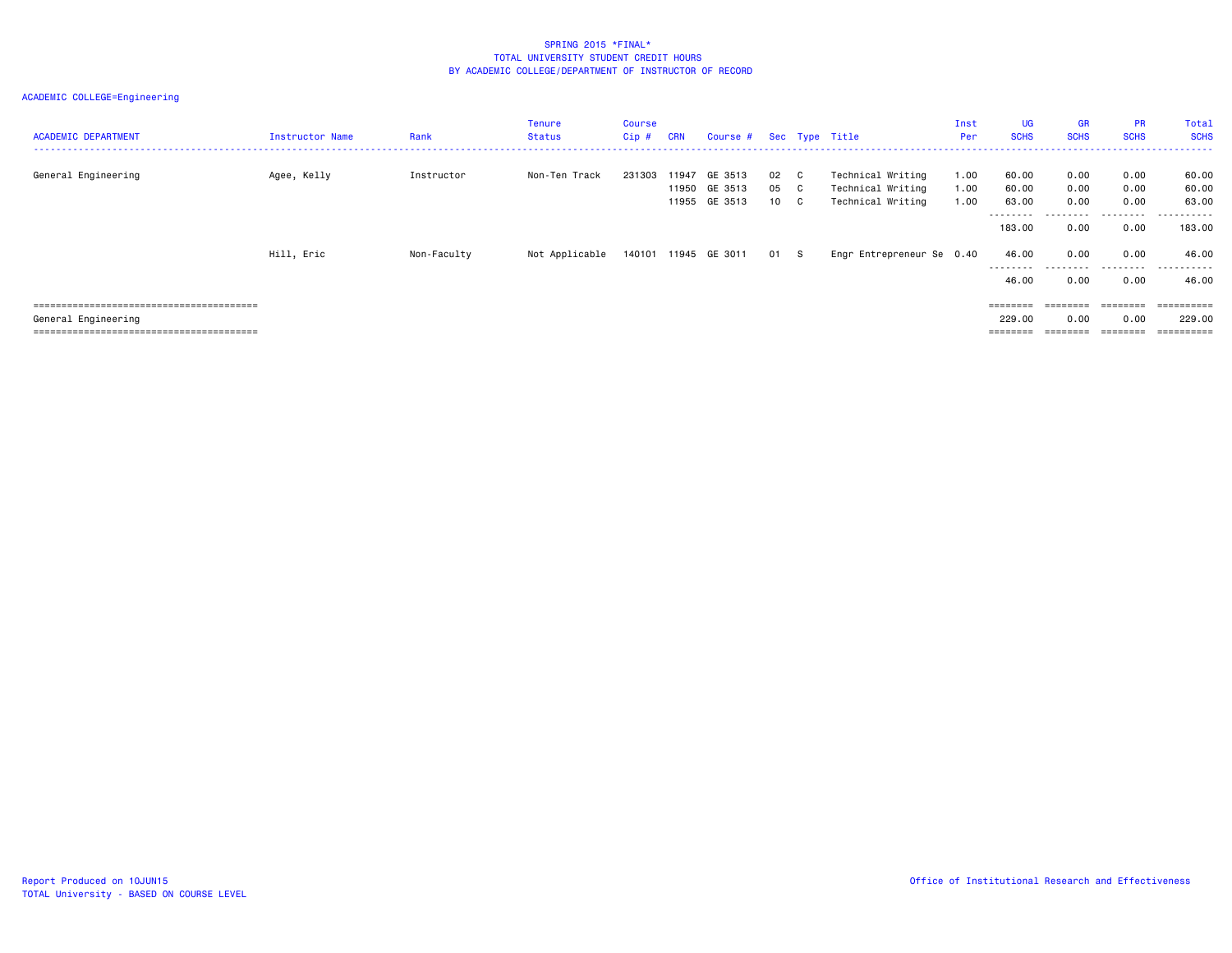| <b>ACADEMIC DEPARTMENT</b> | Instructor Name | Rank        | Tenure<br>Status | Course<br>Cip # | <b>CRN</b> | Course #                                        |                             |                           | Sec Type Title                                              | Inst<br>Per          | <b>UG</b><br><b>SCHS</b> | GR<br><b>SCHS</b>    | <b>PR</b><br><b>SCHS</b> | <b>Total</b><br><b>SCHS</b> |
|----------------------------|-----------------|-------------|------------------|-----------------|------------|-------------------------------------------------|-----------------------------|---------------------------|-------------------------------------------------------------|----------------------|--------------------------|----------------------|--------------------------|-----------------------------|
| General Engineering        | Agee, Kelly     | Instructor  | Non-Ten Track    | 231303          |            | 11947 GE 3513<br>11950 GE 3513<br>11955 GE 3513 | 02<br>05<br>10 <sup>1</sup> | C C<br>C.<br>$\mathbf{C}$ | Technical Writing<br>Technical Writing<br>Technical Writing | 1.00<br>1.00<br>1.00 | 60.00<br>60.00<br>63.00  | 0.00<br>0.00<br>0.00 | 0.00<br>0.00<br>0.00     | 60.00<br>60.00<br>63.00     |
|                            |                 |             |                  |                 |            |                                                 |                             |                           |                                                             |                      | ---------<br>183,00      | ---------<br>0.00    | .<br>0.00                | -------<br>183.00           |
|                            | Hill, Eric      | Non-Faculty | Not Applicable   |                 |            | 140101 11945 GE 3011                            | 01 S                        |                           | Engr Entrepreneur Se 0.40                                   |                      | 46.00<br>---------       | 0.00<br>.            | 0.00<br>.                | 46.00<br>.                  |
|                            |                 |             |                  |                 |            |                                                 |                             |                           |                                                             |                      | 46.00                    | 0.00                 | 0.00                     | 46.00                       |
|                            |                 |             |                  |                 |            |                                                 |                             |                           |                                                             |                      |                          | $=$ = = = = = = =    | ========                 | ==========                  |
| General Engineering        |                 |             |                  |                 |            |                                                 |                             |                           |                                                             |                      | 229,00                   | 0.00                 | 0.00                     | 229,00                      |
|                            |                 |             |                  |                 |            |                                                 |                             |                           |                                                             |                      | $=$ = = = = = = =        |                      | ========                 | ==========                  |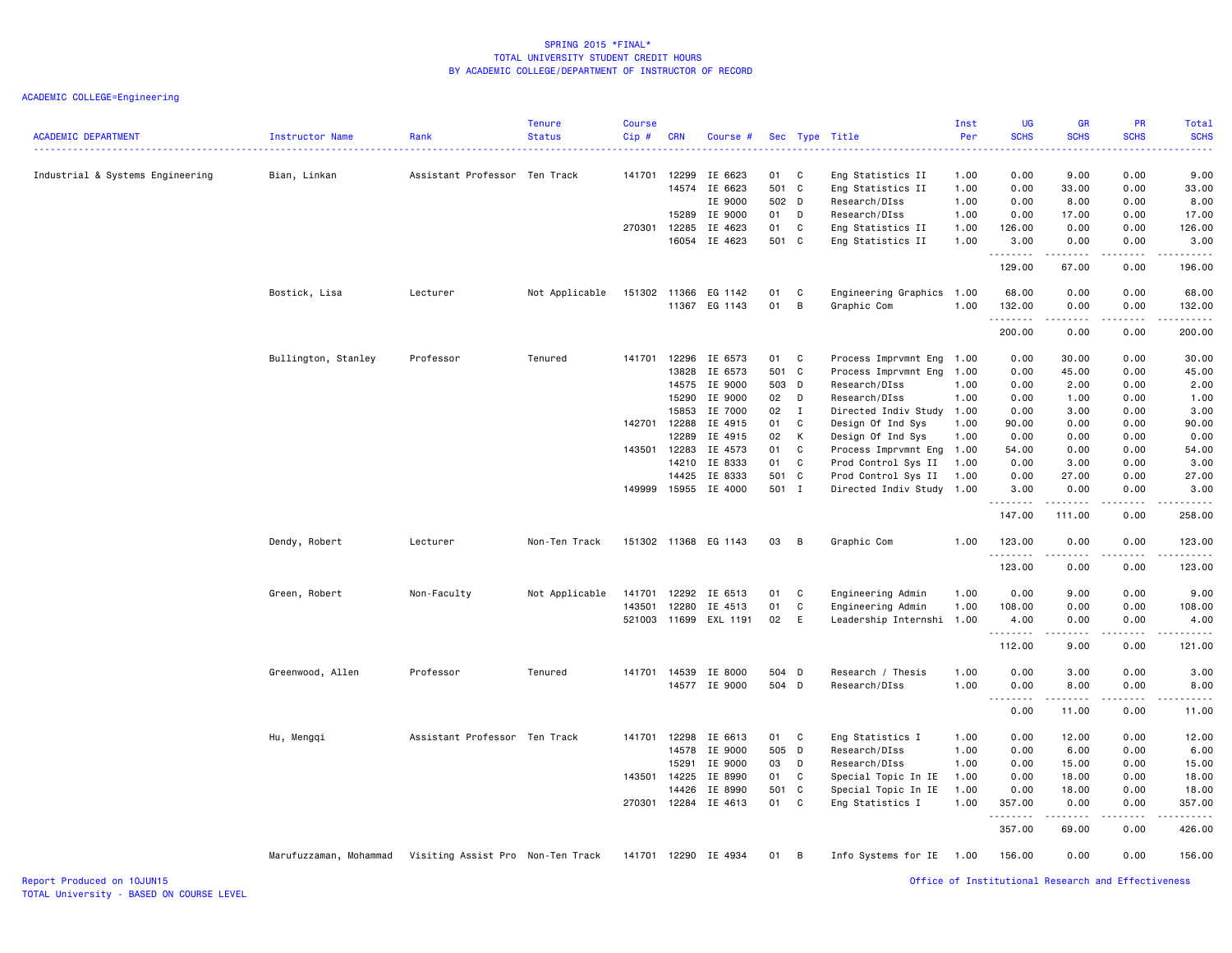ACADEMIC COLLEGE=Engineering

| <b>ACADEMIC DEPARTMENT</b>       | Instructor Name                                          | Rank                          | <b>Tenure</b><br><b>Status</b> | Course<br>Cip# | <b>CRN</b> | Course #             |             |              | Sec Type Title                          | Inst<br>Per  | <b>UG</b><br><b>SCHS</b><br>$\frac{1}{2} \left( \frac{1}{2} \right) \left( \frac{1}{2} \right) \left( \frac{1}{2} \right) \left( \frac{1}{2} \right)$ | <b>GR</b><br><b>SCHS</b> | PR<br><b>SCHS</b> | <b>Total</b><br><b>SCHS</b><br>$\frac{1}{2} \left( \frac{1}{2} \right) \left( \frac{1}{2} \right) \left( \frac{1}{2} \right) \left( \frac{1}{2} \right)$ |
|----------------------------------|----------------------------------------------------------|-------------------------------|--------------------------------|----------------|------------|----------------------|-------------|--------------|-----------------------------------------|--------------|-------------------------------------------------------------------------------------------------------------------------------------------------------|--------------------------|-------------------|----------------------------------------------------------------------------------------------------------------------------------------------------------|
| Industrial & Systems Engineering | Bian, Linkan                                             | Assistant Professor Ten Track |                                | 141701         | 12299      | IE 6623              | 01          | C            | Eng Statistics II                       | 1.00         | 0.00                                                                                                                                                  | 9.00                     | 0.00              | 9.00                                                                                                                                                     |
|                                  |                                                          |                               |                                |                |            | 14574 IE 6623        | 501         | C            | Eng Statistics II                       | 1.00         | 0.00                                                                                                                                                  | 33.00                    | 0.00              | 33.00                                                                                                                                                    |
|                                  |                                                          |                               |                                |                |            | IE 9000              | 502 D       |              | Research/DIss                           | 1.00         | 0.00                                                                                                                                                  | 8.00                     | 0.00              | 8.00                                                                                                                                                     |
|                                  |                                                          |                               |                                |                | 15289      | IE 9000              | 01          | D            | Research/DIss                           | 1.00         | 0.00                                                                                                                                                  | 17.00                    | 0.00              | 17.00                                                                                                                                                    |
|                                  |                                                          |                               |                                | 270301 12285   |            | IE 4623              | 01          | C            | Eng Statistics II                       | 1.00         | 126.00                                                                                                                                                | 0.00                     | 0.00              | 126.00                                                                                                                                                   |
|                                  |                                                          |                               |                                |                |            | 16054 IE 4623        | 501 C       |              | Eng Statistics II                       | 1.00         | 3.00<br>.                                                                                                                                             | 0.00<br>.                | 0.00<br>.         | 3.00<br>.                                                                                                                                                |
|                                  |                                                          |                               |                                |                |            |                      |             |              |                                         |              | 129.00                                                                                                                                                | 67.00                    | 0.00              | 196.00                                                                                                                                                   |
|                                  | Bostick, Lisa                                            | Lecturer                      | Not Applicable                 | 151302         | 11366      | EG 1142              | 01          | C            | Engineering Graphics 1.00               |              | 68.00                                                                                                                                                 | 0.00                     | 0.00              | 68.00                                                                                                                                                    |
|                                  |                                                          |                               |                                |                | 11367      | EG 1143              | 01          | B            | Graphic Com                             | 1.00         | 132.00<br><u>.</u>                                                                                                                                    | 0.00                     | 0.00<br>$\cdots$  | 132.00<br>.                                                                                                                                              |
|                                  |                                                          |                               |                                |                |            |                      |             |              |                                         |              | 200.00                                                                                                                                                | .<br>0.00                | 0.00              | 200.00                                                                                                                                                   |
|                                  | Bullington, Stanley                                      | Professor                     | Tenured                        | 141701         | 12296      | IE 6573              | 01          | C            | Process Imprvmnt Eng                    | 1.00         | 0.00                                                                                                                                                  | 30.00                    | 0.00              | 30.00                                                                                                                                                    |
|                                  |                                                          |                               |                                |                | 13828      | IE 6573              | 501 C       |              | Process Imprvmnt Eng                    | 1.00         | 0.00                                                                                                                                                  | 45.00                    | 0.00              | 45.00                                                                                                                                                    |
|                                  |                                                          |                               |                                |                | 14575      | IE 9000              | 503 D       |              | Research/DIss                           | 1.00         | 0.00                                                                                                                                                  | 2.00                     | 0.00              | 2.00                                                                                                                                                     |
|                                  |                                                          |                               |                                |                | 15290      | IE 9000              | 02          | D            | Research/DIss                           | 1.00         | 0.00                                                                                                                                                  | 1.00                     | 0.00              | 1.00                                                                                                                                                     |
|                                  |                                                          |                               |                                |                | 15853      | IE 7000              | 02          | $\mathbf{I}$ | Directed Indiv Study 1.00               |              | 0.00                                                                                                                                                  | 3.00                     | 0.00              | 3.00                                                                                                                                                     |
|                                  |                                                          |                               |                                | 142701 12288   |            | IE 4915              | 01          | C            | Design Of Ind Sys                       | 1.00         | 90.00                                                                                                                                                 | 0.00                     | 0.00              | 90.00                                                                                                                                                    |
|                                  |                                                          |                               |                                |                | 12289      | IE 4915              | 02          | К            | Design Of Ind Sys                       | 1.00         | 0.00                                                                                                                                                  | 0.00                     | 0.00              | 0.00                                                                                                                                                     |
|                                  |                                                          |                               |                                | 143501         | 12283      | IE 4573              | 01          | C            | Process Imprvmnt Eng                    | 1.00         | 54.00                                                                                                                                                 | 0.00                     | 0.00              | 54.00                                                                                                                                                    |
|                                  |                                                          |                               |                                |                | 14210      | IE 8333              | 01          | C            | Prod Control Sys II                     | 1.00         | 0.00                                                                                                                                                  | 3.00                     | 0.00              | 3.00                                                                                                                                                     |
|                                  |                                                          |                               |                                |                | 14425      | IE 8333              | 501 C       |              | Prod Control Sys II                     | 1.00         | 0.00                                                                                                                                                  | 27.00                    | 0.00              | 27.00                                                                                                                                                    |
|                                  |                                                          |                               |                                | 149999         |            | 15955 IE 4000        | 501 I       |              | Directed Indiv Study                    | 1.00         | 3.00<br>.                                                                                                                                             | 0.00<br><u>.</u>         | 0.00<br>.         | 3.00<br>.                                                                                                                                                |
|                                  |                                                          |                               |                                |                |            |                      |             |              |                                         |              | 147.00                                                                                                                                                | 111.00                   | 0.00              | 258.00                                                                                                                                                   |
|                                  | Dendy, Robert                                            | Lecturer                      | Non-Ten Track                  |                |            | 151302 11368 EG 1143 | 03          | B            | Graphic Com                             | 1.00         | 123.00<br>.                                                                                                                                           | 0.00                     | 0.00              | 123.00<br>$\begin{array}{cccccccccc} \bullet & \bullet & \bullet & \bullet & \bullet & \bullet & \bullet \end{array}$                                    |
|                                  |                                                          |                               |                                |                |            |                      |             |              |                                         |              | 123.00                                                                                                                                                | 0.00                     | 0.00              | 123.00                                                                                                                                                   |
|                                  | Green, Robert                                            | Non-Faculty                   | Not Applicable                 | 141701         | 12292      | IE 6513              | 01          | C            | Engineering Admin                       | 1.00         | 0.00                                                                                                                                                  | 9.00                     | 0.00              | 9.00                                                                                                                                                     |
|                                  |                                                          |                               |                                | 143501         | 12280      | IE 4513              | 01          | C            | Engineering Admin                       | 1.00         | 108.00                                                                                                                                                | 0.00                     | 0.00              | 108.00                                                                                                                                                   |
|                                  |                                                          |                               |                                | 521003         | 11699      | EXL 1191             | 02          | E            | Leadership Internshi                    | 1.00         | 4.00                                                                                                                                                  | 0.00                     | 0.00              | 4.00                                                                                                                                                     |
|                                  |                                                          |                               |                                |                |            |                      |             |              |                                         |              | .<br>112.00                                                                                                                                           | 9.00                     | 0.00              | $\sim$ $\sim$ $\sim$ $\sim$<br>121.00                                                                                                                    |
|                                  | Greenwood, Allen                                         | Professor                     | Tenured                        | 141701         | 14539      | IE 8000              | 504 D       |              | Research / Thesis                       | 1.00         | 0.00                                                                                                                                                  | 3.00                     | 0.00              | 3.00                                                                                                                                                     |
|                                  |                                                          |                               |                                |                |            | 14577 IE 9000        | 504 D       |              | Research/DIss                           | 1.00         | 0.00                                                                                                                                                  | 8.00                     | 0.00              | 8.00                                                                                                                                                     |
|                                  |                                                          |                               |                                |                |            |                      |             |              |                                         |              | .<br>0.00                                                                                                                                             | المتمام المتعاد<br>11.00 | .<br>0.00         | .<br>11.00                                                                                                                                               |
|                                  |                                                          |                               |                                |                |            |                      |             |              |                                         |              |                                                                                                                                                       |                          |                   |                                                                                                                                                          |
|                                  | Hu, Mengqi                                               | Assistant Professor Ten Track |                                | 141701 12298   |            | IE 6613              | 01          | C            | Eng Statistics I                        | 1.00         | 0.00                                                                                                                                                  | 12.00                    | 0.00              | 12.00                                                                                                                                                    |
|                                  |                                                          |                               |                                |                | 14578      | IE 9000              | 505 D       |              | Research/DIss                           | 1.00         | 0.00                                                                                                                                                  | 6.00                     | 0.00              | 6.00                                                                                                                                                     |
|                                  |                                                          |                               |                                |                | 15291      | IE 9000              | 03          | D            | Research/DIss                           | 1.00         | 0.00                                                                                                                                                  | 15.00                    | 0.00              | 15.00                                                                                                                                                    |
|                                  |                                                          |                               |                                | 143501 14225   | 14426      | IE 8990<br>IE 8990   | 01<br>501 C | C            | Special Topic In IE                     | 1.00<br>1.00 | 0.00<br>0.00                                                                                                                                          | 18.00<br>18.00           | 0.00<br>0.00      | 18.00<br>18.00                                                                                                                                           |
|                                  |                                                          |                               |                                | 270301         | 12284      | IE 4613              | 01          | C            | Special Topic In IE<br>Eng Statistics I | 1.00         | 357.00                                                                                                                                                | 0.00                     | 0.00              | 357.00                                                                                                                                                   |
|                                  |                                                          |                               |                                |                |            |                      |             |              |                                         |              | .<br>357.00                                                                                                                                           | 69.00                    | 0.00              | 426.00                                                                                                                                                   |
|                                  | Marufuzzaman, Mohammad Visiting Assist Pro Non-Ten Track |                               |                                |                |            | 141701 12290 IE 4934 | 01          | B            | Info Systems for IE 1.00                |              | 156.00                                                                                                                                                | 0.00                     | 0.00              | 156.00                                                                                                                                                   |
|                                  |                                                          |                               |                                |                |            |                      |             |              |                                         |              |                                                                                                                                                       |                          |                   |                                                                                                                                                          |

Report Produced on 10JUN15 Office of Institutional Research and Effectiveness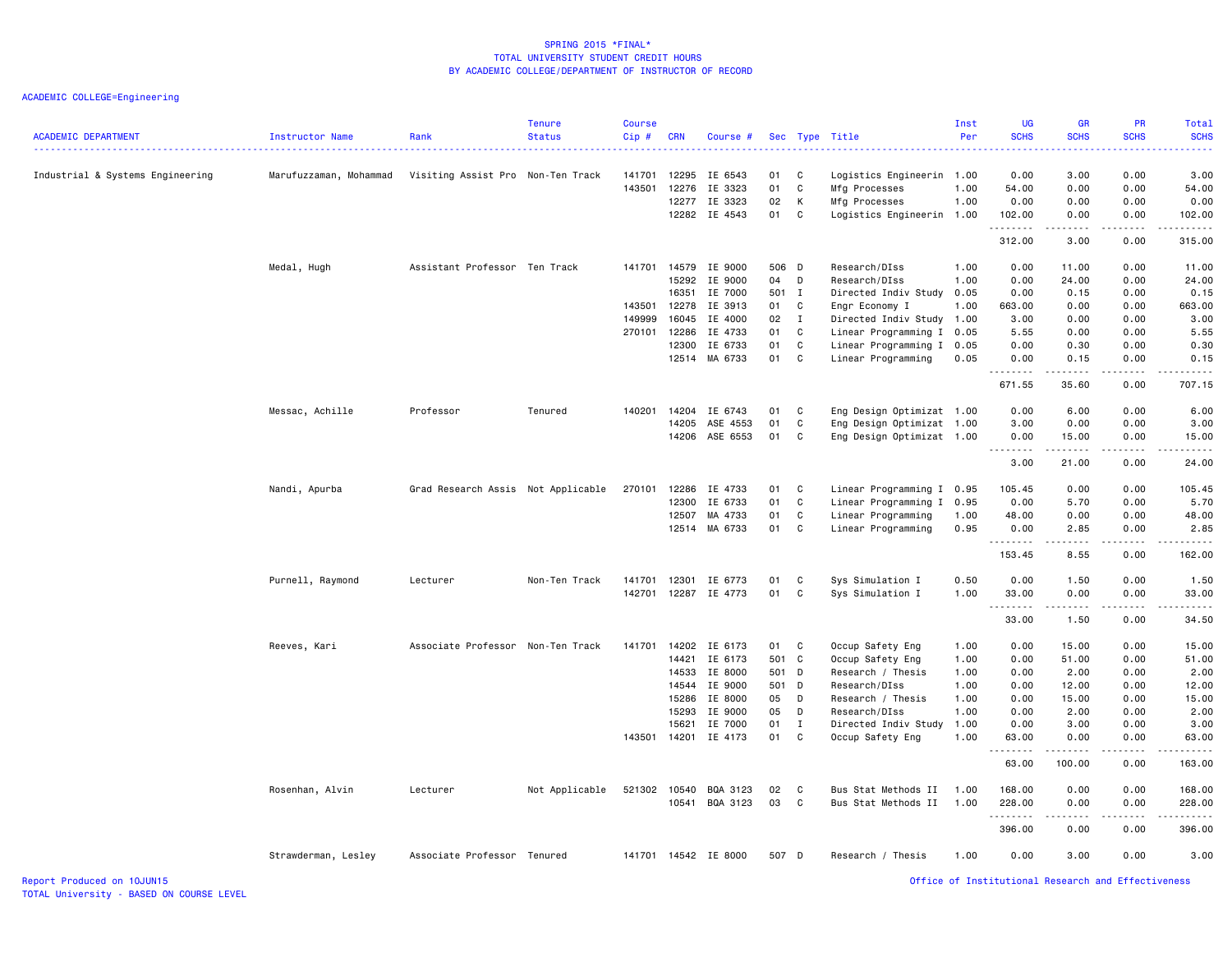ACADEMIC COLLEGE=Engineering

| <b>ACADEMIC DEPARTMENT</b>       | Instructor Name        | Rank<br>.                          | <b>Tenure</b><br><b>Status</b> | Course<br>Cip# | <b>CRN</b>     | Course #             |          |              | Sec Type Title                             | Inst<br>Per  | <b>UG</b><br><b>SCHS</b><br>المتمامين | <b>GR</b><br><b>SCHS</b><br>.                                                                                                                                | PR<br><b>SCHS</b> | <b>Total</b><br><b>SCHS</b><br>المتمامين |
|----------------------------------|------------------------|------------------------------------|--------------------------------|----------------|----------------|----------------------|----------|--------------|--------------------------------------------|--------------|---------------------------------------|--------------------------------------------------------------------------------------------------------------------------------------------------------------|-------------------|------------------------------------------|
| Industrial & Systems Engineering | Marufuzzaman, Mohammad | Visiting Assist Pro Non-Ten Track  |                                | 141701         | 12295          | IE 6543              | 01       | C            | Logistics Engineerin 1.00                  |              | 0.00                                  | 3.00                                                                                                                                                         | 0.00              | 3.00                                     |
|                                  |                        |                                    |                                | 143501         | 12276          | IE 3323              | 01       | C            | Mfg Processes                              | 1.00         | 54.00                                 | 0.00                                                                                                                                                         | 0.00              | 54.00                                    |
|                                  |                        |                                    |                                |                | 12277          | IE 3323              | 02       | К            | Mfg Processes                              | 1.00         | 0.00                                  | 0.00                                                                                                                                                         | 0.00              | 0.00                                     |
|                                  |                        |                                    |                                |                |                | 12282 IE 4543        | 01       | C            | Logistics Engineerin 1.00                  |              | 102.00<br>.                           | 0.00<br>.                                                                                                                                                    | 0.00              | 102.00                                   |
|                                  |                        |                                    |                                |                |                |                      |          |              |                                            |              | 312.00                                | 3.00                                                                                                                                                         | 0.00              | 315.00                                   |
|                                  | Medal, Hugh            | Assistant Professor Ten Track      |                                | 141701         | 14579          | IE 9000              | 506 D    |              | Research/DIss                              | 1.00         | 0.00                                  | 11.00                                                                                                                                                        | 0.00              | 11.00                                    |
|                                  |                        |                                    |                                |                | 15292          | IE 9000              | 04       | D            | Research/DIss                              | 1.00         | 0.00                                  | 24.00                                                                                                                                                        | 0.00              | 24.00                                    |
|                                  |                        |                                    |                                |                | 16351          | IE 7000              | 501 I    |              | Directed Indiv Study                       | 0.05         | 0.00                                  | 0.15                                                                                                                                                         | 0.00              | 0.15                                     |
|                                  |                        |                                    |                                | 143501         | 12278          | IE 3913              | 01 C     |              | Engr Economy I                             | 1.00         | 663.00                                | 0.00                                                                                                                                                         | 0.00              | 663.00                                   |
|                                  |                        |                                    |                                | 149999         | 16045          | IE 4000              | 02       | $\mathbf{I}$ | Directed Indiv Study 1.00                  |              | 3.00                                  | 0.00                                                                                                                                                         | 0.00              | 3.00                                     |
|                                  |                        |                                    |                                | 270101 12286   |                | IE 4733              | 01       | C            | Linear Programming I                       | 0.05         | 5.55                                  | 0.00                                                                                                                                                         | 0.00              | 5.55                                     |
|                                  |                        |                                    |                                |                | 12300<br>12514 | IE 6733<br>MA 6733   | 01<br>01 | C<br>C       | Linear Programming I<br>Linear Programming | 0.05<br>0.05 | 0.00<br>0.00                          | 0.30<br>0.15                                                                                                                                                 | 0.00<br>0.00      | 0.30<br>0.15                             |
|                                  |                        |                                    |                                |                |                |                      |          |              |                                            |              | 671.55                                | 35.60                                                                                                                                                        | 0.00              | 707.15                                   |
|                                  | Messac, Achille        | Professor                          | Tenured                        | 140201         | 14204          | IE 6743              | 01       | C            | Eng Design Optimizat 1.00                  |              | 0.00                                  | 6.00                                                                                                                                                         | 0.00              | 6.00                                     |
|                                  |                        |                                    |                                |                | 14205          | ASE 4553             | 01       | C            | Eng Design Optimizat 1.00                  |              | 3.00                                  | 0.00                                                                                                                                                         | 0.00              | 3.00                                     |
|                                  |                        |                                    |                                |                | 14206          | ASE 6553             | 01       | C            | Eng Design Optimizat 1.00                  |              | 0.00                                  | 15.00                                                                                                                                                        | 0.00              | 15.00                                    |
|                                  |                        |                                    |                                |                |                |                      |          |              |                                            |              | .                                     | المتمام المتعاد                                                                                                                                              | .                 | $\frac{1}{2}$                            |
|                                  |                        |                                    |                                |                |                |                      |          |              |                                            |              | 3.00                                  | 21.00                                                                                                                                                        | 0.00              | 24.00                                    |
|                                  | Nandi, Apurba          | Grad Research Assis Not Applicable |                                | 270101         | 12286          | IE 4733              | 01       | C            | Linear Programming I 0.95                  |              | 105.45                                | 0.00                                                                                                                                                         | 0.00              | 105.45                                   |
|                                  |                        |                                    |                                |                | 12300          | IE 6733              | 01       | C            | Linear Programming I                       | 0.95         | 0.00                                  | 5.70                                                                                                                                                         | 0.00              | 5.70                                     |
|                                  |                        |                                    |                                |                | 12507          | MA 4733              | 01       | C            | Linear Programming                         | 1.00         | 48.00                                 | 0.00                                                                                                                                                         | 0.00              | 48.00                                    |
|                                  |                        |                                    |                                |                |                | 12514 MA 6733        | 01       | C            | Linear Programming                         | 0.95         | 0.00<br>.                             | 2.85<br>$- - - -$                                                                                                                                            | 0.00<br>.         | 2.85<br>$\frac{1}{2}$                    |
|                                  |                        |                                    |                                |                |                |                      |          |              |                                            |              | 153.45                                | 8.55                                                                                                                                                         | 0.00              | 162.00                                   |
|                                  | Purnell, Raymond       | Lecturer                           | Non-Ten Track                  | 141701         | 12301          | IE 6773              | 01       | C            | Sys Simulation I                           | 0.50         | 0.00                                  | 1.50                                                                                                                                                         | 0.00              | 1.50                                     |
|                                  |                        |                                    |                                | 142701         |                | 12287 IE 4773        | 01       | C            | Sys Simulation I                           | 1.00         | 33.00<br>.                            | 0.00<br>$\frac{1}{2} \left( \frac{1}{2} \right) \left( \frac{1}{2} \right) \left( \frac{1}{2} \right) \left( \frac{1}{2} \right) \left( \frac{1}{2} \right)$ | 0.00<br>.         | 33.00<br>.                               |
|                                  |                        |                                    |                                |                |                |                      |          |              |                                            |              | 33.00                                 | 1.50                                                                                                                                                         | 0.00              | 34.50                                    |
|                                  | Reeves, Kari           | Associate Professor Non-Ten Track  |                                | 141701         | 14202          | IE 6173              | 01       | C            | Occup Safety Eng                           | 1.00         | 0.00                                  | 15.00                                                                                                                                                        | 0.00              | 15.00                                    |
|                                  |                        |                                    |                                |                | 14421          | IE 6173              | 501 C    |              | Occup Safety Eng                           | 1.00         | 0.00                                  | 51.00                                                                                                                                                        | 0.00              | 51.00                                    |
|                                  |                        |                                    |                                |                | 14533          | IE 8000              | 501 D    |              | Research / Thesis                          | 1.00         | 0.00                                  | 2.00                                                                                                                                                         | 0.00              | 2.00                                     |
|                                  |                        |                                    |                                |                | 14544          | IE 9000              | 501 D    |              | Research/DIss                              | 1.00         | 0.00                                  | 12.00                                                                                                                                                        | 0.00              | 12.00                                    |
|                                  |                        |                                    |                                |                | 15286          | IE 8000              | 05       | D            | Research / Thesis                          | 1.00         | 0.00                                  | 15.00                                                                                                                                                        | 0.00              | 15.00                                    |
|                                  |                        |                                    |                                |                | 15293          | IE 9000              | 05       | D            | Research/DIss                              | 1.00         | 0.00                                  | 2.00                                                                                                                                                         | 0.00              | 2.00                                     |
|                                  |                        |                                    |                                |                | 15621          | IE 7000              | 01       | $\mathbf{I}$ | Directed Indiv Study                       | 1.00         | 0.00                                  | 3.00                                                                                                                                                         | 0.00              | 3.00                                     |
|                                  |                        |                                    |                                |                |                | 143501 14201 IE 4173 | 01       | C.           | Occup Safety Eng                           | 1.00         | 63.00<br>.                            | 0.00                                                                                                                                                         | 0.00<br>.         | 63.00<br>.                               |
|                                  |                        |                                    |                                |                |                |                      |          |              |                                            |              | 63.00                                 | 100.00                                                                                                                                                       | 0.00              | 163.00                                   |
|                                  | Rosenhan, Alvin        | Lecturer                           | Not Applicable                 | 521302         | 10540          | BQA 3123             | 02       | C            | Bus Stat Methods II                        | 1.00         | 168.00                                | 0.00                                                                                                                                                         | 0.00              | 168.00                                   |
|                                  |                        |                                    |                                |                | 10541          | BQA 3123             | 03       | C            | Bus Stat Methods II                        | 1.00         | 228.00                                | 0.00                                                                                                                                                         | 0.00              | 228.00                                   |
|                                  |                        |                                    |                                |                |                |                      |          |              |                                            |              | .<br>396.00                           | 0.00                                                                                                                                                         | 0.00              | 396.00                                   |
|                                  | Strawderman, Lesley    | Associate Professor Tenured        |                                |                |                | 141701 14542 IE 8000 | 507 D    |              | Research / Thesis                          | 1.00         | 0.00                                  | 3.00                                                                                                                                                         | 0.00              | 3.00                                     |
|                                  |                        |                                    |                                |                |                |                      |          |              |                                            |              |                                       |                                                                                                                                                              |                   |                                          |

Report Produced on 10JUN15 Office of Institutional Research and Effectiveness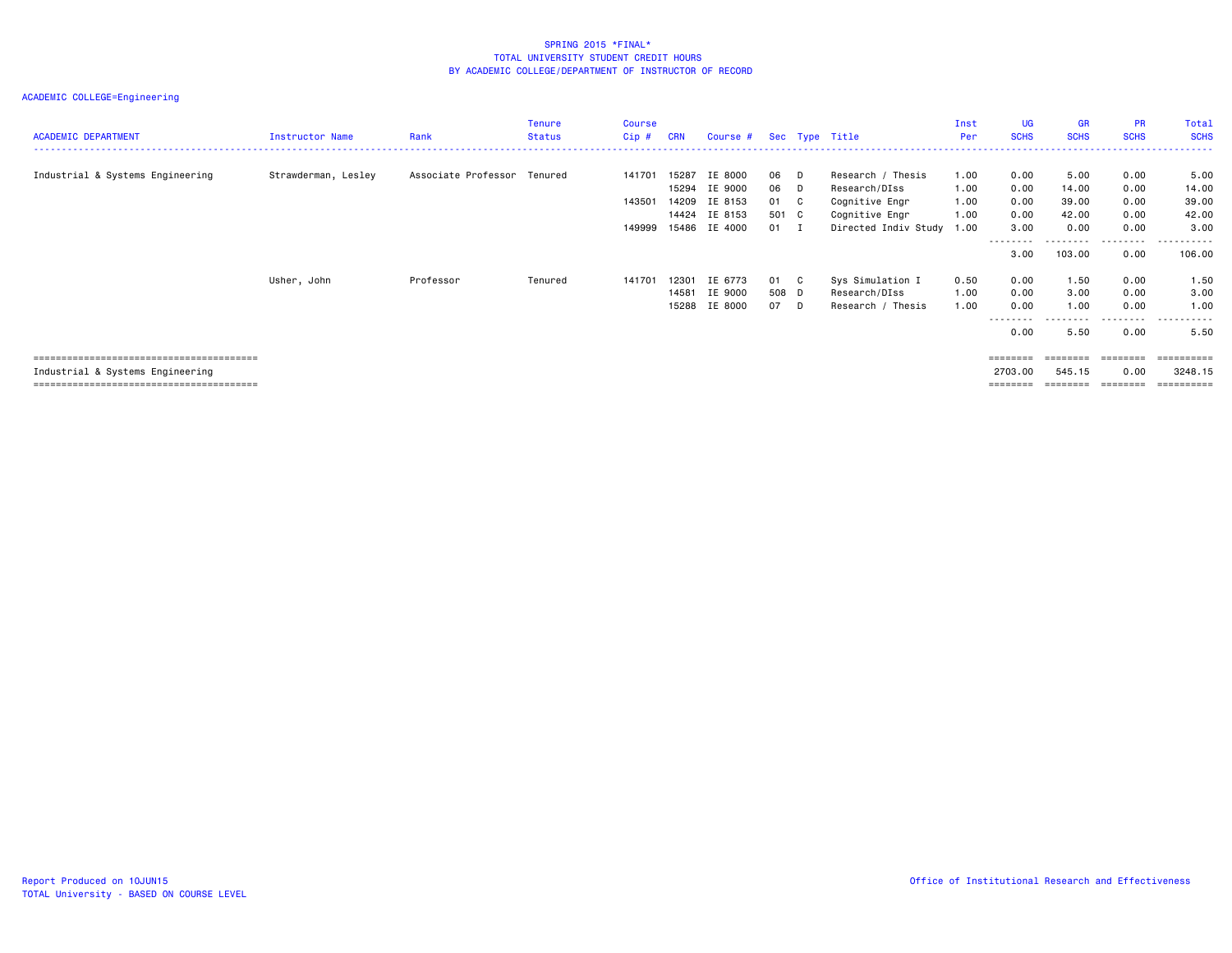| <b>ACADEMIC DEPARTMENT</b>       | Instructor Name     | Rank                | <b>Tenure</b><br><b>Status</b> | <b>Course</b><br>Cip# | <b>CRN</b> | Course # |               | Sec Type Title       | Inst<br>Per | UG<br><b>SCHS</b> | GR<br><b>SCHS</b> | <b>PR</b><br><b>SCHS</b> | Total<br><b>SCHS</b> |
|----------------------------------|---------------------|---------------------|--------------------------------|-----------------------|------------|----------|---------------|----------------------|-------------|-------------------|-------------------|--------------------------|----------------------|
| Industrial & Systems Engineering | Strawderman, Lesley | Associate Professor | Tenured                        | 141701                | 15287      | IE 8000  | 06 D          | Research / Thesis    | 1.00        | 0.00              | 5.00              | 0.00                     | 5.00                 |
|                                  |                     |                     |                                |                       | 15294      | IE 9000  | 06 D          | Research/DIss        | 1.00        | 0.00              | 14.00             | 0.00                     | 14.00                |
|                                  |                     |                     |                                | 143501                | 14209      | IE 8153  | 01 C          | Cognitive Engr       | 1.00        | 0.00              | 39.00             | 0.00                     | 39.00                |
|                                  |                     |                     |                                |                       | 14424      | IE 8153  | 501 C         | Cognitive Engr       | 1.00        | 0.00              | 42.00             | 0.00                     | 42.00                |
|                                  |                     |                     |                                | 149999                | 15486      | IE 4000  | $01 \qquad I$ | Directed Indiv Study | 1.00        | 3,00              | 0.00              | 0.00                     | 3,00                 |
|                                  |                     |                     |                                |                       |            |          |               |                      |             | ---------         | --------          | ---------                | ----------           |
|                                  |                     |                     |                                |                       |            |          |               |                      |             | 3.00              | 103.00            | 0.00                     | 106.00               |
|                                  | Usher, John         | Professor           | Tenured                        | 141701                | 12301      | IE 6773  | 01 C          | Sys Simulation I     | 0.50        | 0.00              | 1.50              | 0.00                     | 1.50                 |
|                                  |                     |                     |                                |                       | 14581      | IE 9000  | 508 D         | Research/DIss        | 1.00        | 0.00              | 3.00              | 0.00                     | 3.00                 |
|                                  |                     |                     |                                |                       | 15288      | IE 8000  | 07 D          | Research / Thesis    | 1.00        | 0.00              | 1.00              | 0.00                     | 1.00                 |
|                                  |                     |                     |                                |                       |            |          |               |                      |             | --------<br>0.00  | .<br>5.50         | 0.00                     | ----------<br>5.50   |
|                                  |                     |                     |                                |                       |            |          |               |                      |             | ========          | ========          | ---------                | -----------          |
| Industrial & Systems Engineering |                     |                     |                                |                       |            |          |               |                      |             | 2703.00           | 545.15            | 0.00                     | 3248.15              |
|                                  |                     |                     |                                |                       |            |          |               |                      |             | ========          | ======            |                          | ==========           |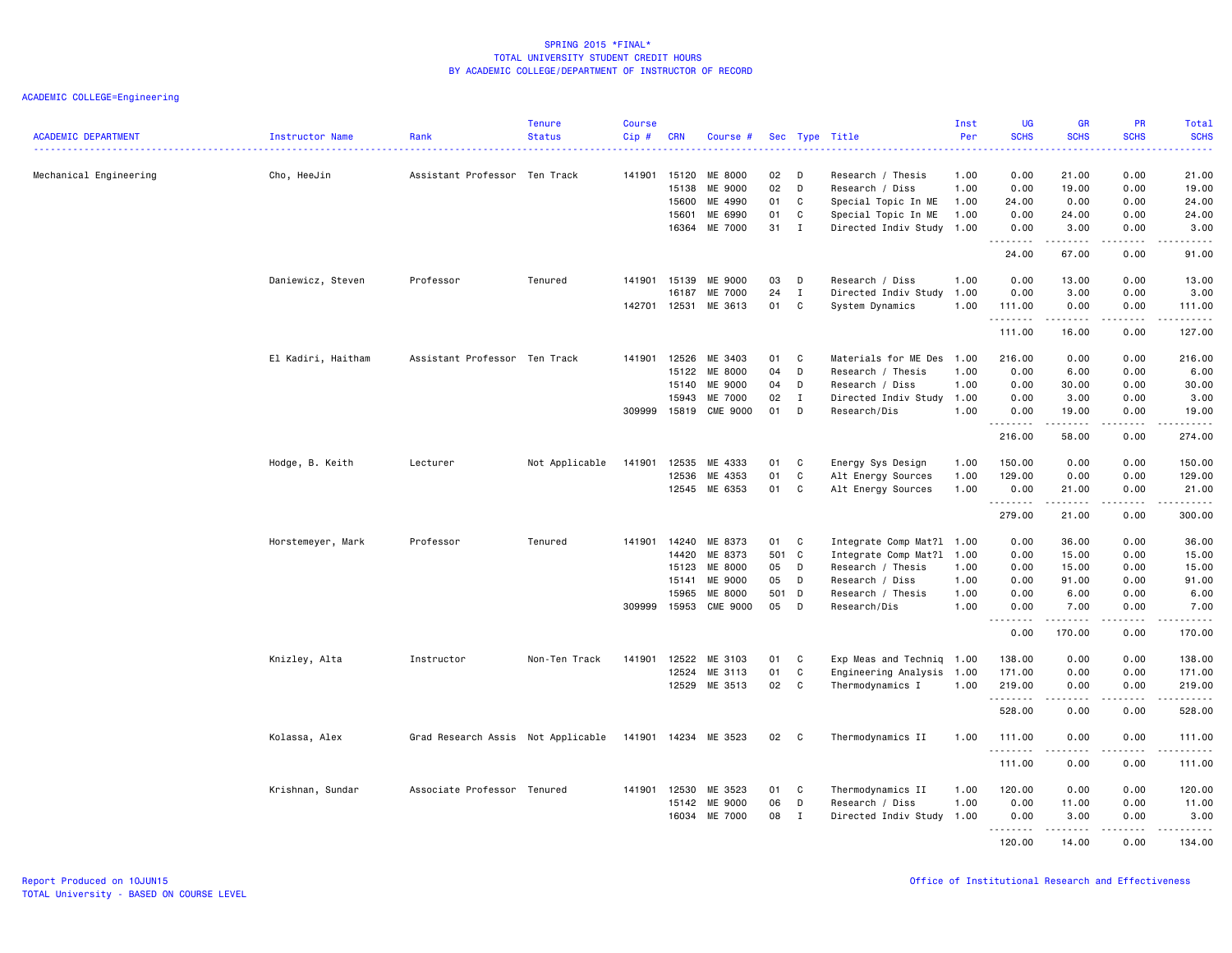| <b>ACADEMIC DEPARTMENT</b> | Instructor Name    | Rank                               | <b>Tenure</b><br><b>Status</b> | <b>Course</b><br>Cip# | <b>CRN</b>   | Course #        |       |              | Sec Type Title            | Inst<br>Per | <b>UG</b><br><b>SCHS</b>                                                                                                  | <b>GR</b><br><b>SCHS</b>                                                                                                                                     | PR<br><b>SCHS</b>    | Total<br><b>SCHS</b>                       |
|----------------------------|--------------------|------------------------------------|--------------------------------|-----------------------|--------------|-----------------|-------|--------------|---------------------------|-------------|---------------------------------------------------------------------------------------------------------------------------|--------------------------------------------------------------------------------------------------------------------------------------------------------------|----------------------|--------------------------------------------|
|                            |                    |                                    |                                |                       |              |                 |       |              |                           |             | $\frac{1}{2} \left( \frac{1}{2} \right) \left( \frac{1}{2} \right) \left( \frac{1}{2} \right) \left( \frac{1}{2} \right)$ |                                                                                                                                                              |                      | د د د د د                                  |
| Mechanical Engineering     | Cho, HeeJin        | Assistant Professor Ten Track      |                                |                       | 141901 15120 | ME 8000         | 02    | D            | Research / Thesis         | 1.00        | 0.00                                                                                                                      | 21.00                                                                                                                                                        | 0.00                 | 21.00                                      |
|                            |                    |                                    |                                |                       | 15138        | ME 9000         | 02    | D            | Research / Diss           | 1.00        | 0.00                                                                                                                      | 19.00                                                                                                                                                        | 0.00                 | 19.00                                      |
|                            |                    |                                    |                                |                       | 15600        | ME 4990         | 01    | C            | Special Topic In ME       | 1.00        | 24.00                                                                                                                     | 0.00                                                                                                                                                         | 0.00                 | 24.00                                      |
|                            |                    |                                    |                                |                       | 15601        | ME 6990         | 01    | $\mathbb C$  | Special Topic In ME       | 1.00        | 0.00                                                                                                                      | 24.00                                                                                                                                                        | 0.00                 | 24.00                                      |
|                            |                    |                                    |                                |                       | 16364        | ME 7000         | 31    | $\mathbf{I}$ | Directed Indiv Study 1.00 |             | 0.00<br>.                                                                                                                 | 3.00<br>.                                                                                                                                                    | 0.00<br>$\sim$ - - - | 3.00<br>$\sim$ $\sim$ $\sim$ $\sim$ $\sim$ |
|                            |                    |                                    |                                |                       |              |                 |       |              |                           |             | 24.00                                                                                                                     | 67.00                                                                                                                                                        | 0.00                 | 91.00                                      |
|                            | Daniewicz, Steven  | Professor                          | Tenured                        | 141901                | 15139        | ME 9000         | 03    | D            | Research / Diss           | 1.00        | 0.00                                                                                                                      | 13.00                                                                                                                                                        | 0.00                 | 13.00                                      |
|                            |                    |                                    |                                |                       | 16187        | ME 7000         | 24    | $\mathbf{I}$ | Directed Indiv Study 1.00 |             | 0.00                                                                                                                      | 3.00                                                                                                                                                         | 0.00                 | 3.00                                       |
|                            |                    |                                    |                                | 142701 12531          |              | ME 3613         | 01    | C            | System Dynamics           | 1.00        | 111.00<br>.                                                                                                               | 0.00<br>.                                                                                                                                                    | 0.00<br>د د د د      | 111.00<br>.                                |
|                            |                    |                                    |                                |                       |              |                 |       |              |                           |             | 111.00                                                                                                                    | 16.00                                                                                                                                                        | 0.00                 | 127.00                                     |
|                            | El Kadiri, Haitham | Assistant Professor Ten Track      |                                | 141901                | 12526        | ME 3403         | 01    | C            | Materials for ME Des 1.00 |             | 216.00                                                                                                                    | 0.00                                                                                                                                                         | 0.00                 | 216.00                                     |
|                            |                    |                                    |                                |                       | 15122        | ME 8000         | 04    | D            | Research / Thesis         | 1.00        | 0.00                                                                                                                      | 6.00                                                                                                                                                         | 0.00                 | 6.00                                       |
|                            |                    |                                    |                                |                       | 15140        | ME 9000         | 04    | D            | Research / Diss           | 1.00        | 0.00                                                                                                                      | 30.00                                                                                                                                                        | 0.00                 | 30.00                                      |
|                            |                    |                                    |                                |                       | 15943        | ME 7000         | 02    | $\mathbf{I}$ | Directed Indiv Study 1.00 |             | 0.00                                                                                                                      | 3.00                                                                                                                                                         | 0.00                 | 3.00                                       |
|                            |                    |                                    |                                |                       | 309999 15819 | <b>CME 9000</b> | 01    | D            | Research/Dis              | 1.00        | 0.00<br>.                                                                                                                 | 19.00                                                                                                                                                        | 0.00                 | 19.00<br>.                                 |
|                            |                    |                                    |                                |                       |              |                 |       |              |                           |             | 216.00                                                                                                                    | .<br>58.00                                                                                                                                                   | .<br>0.00            | 274.00                                     |
|                            | Hodge, B. Keith    | Lecturer                           | Not Applicable                 | 141901                | 12535        | ME 4333         | 01    | C            | Energy Sys Design         | 1.00        | 150.00                                                                                                                    | 0.00                                                                                                                                                         | 0.00                 | 150.00                                     |
|                            |                    |                                    |                                |                       | 12536        | ME 4353         | 01    | $\mathbf{C}$ | Alt Energy Sources        | 1.00        | 129.00                                                                                                                    | 0.00                                                                                                                                                         | 0.00                 | 129.00                                     |
|                            |                    |                                    |                                |                       |              | 12545 ME 6353   | 01    | C            | Alt Energy Sources        | 1.00        | 0.00                                                                                                                      | 21.00                                                                                                                                                        | 0.00                 | 21.00                                      |
|                            |                    |                                    |                                |                       |              |                 |       |              |                           |             | .<br>279.00                                                                                                               | 21.00                                                                                                                                                        | .<br>0.00            | .<br>300.00                                |
|                            | Horstemeyer, Mark  | Professor                          | Tenured                        | 141901                | 14240        | ME 8373         | 01    | C            | Integrate Comp Mat?1 1.00 |             | 0.00                                                                                                                      | 36.00                                                                                                                                                        | 0.00                 | 36.00                                      |
|                            |                    |                                    |                                |                       | 14420        | ME 8373         | 501 C |              | Integrate Comp Mat?1 1.00 |             | 0.00                                                                                                                      | 15.00                                                                                                                                                        | 0.00                 | 15.00                                      |
|                            |                    |                                    |                                |                       | 15123        | ME 8000         | 05    | D            | Research / Thesis         | 1.00        | 0.00                                                                                                                      | 15.00                                                                                                                                                        | 0.00                 | 15.00                                      |
|                            |                    |                                    |                                |                       | 15141        | ME 9000         | 05    | D            | Research / Diss           | 1.00        | 0.00                                                                                                                      | 91.00                                                                                                                                                        | 0.00                 | 91.00                                      |
|                            |                    |                                    |                                |                       | 15965        | ME 8000         | 501 D |              | Research / Thesis         | 1.00        | 0.00                                                                                                                      | 6.00                                                                                                                                                         | 0.00                 | 6.00                                       |
|                            |                    |                                    |                                |                       | 309999 15953 | <b>CME 9000</b> | 05    | D            | Research/Dis              | 1.00        | 0.00                                                                                                                      | 7.00                                                                                                                                                         | 0.00                 | 7.00                                       |
|                            |                    |                                    |                                |                       |              |                 |       |              |                           |             | .<br>0.00                                                                                                                 | .<br>170.00                                                                                                                                                  | .<br>0.00            | 170.00                                     |
|                            | Knizley, Alta      | Instructor                         | Non-Ten Track                  | 141901                | 12522        | ME 3103         | 01    | C            | Exp Meas and Techniq 1.00 |             | 138.00                                                                                                                    | 0.00                                                                                                                                                         | 0.00                 | 138.00                                     |
|                            |                    |                                    |                                |                       | 12524        | ME 3113         | 01    | C            | Engineering Analysis 1.00 |             | 171.00                                                                                                                    | 0.00                                                                                                                                                         | 0.00                 | 171.00                                     |
|                            |                    |                                    |                                |                       | 12529        | ME 3513         | 02    | C            | Thermodynamics I          | 1.00        | 219.00                                                                                                                    | 0.00                                                                                                                                                         | 0.00                 | 219.00                                     |
|                            |                    |                                    |                                |                       |              |                 |       |              |                           |             | .<br>528.00                                                                                                               | $\frac{1}{2} \left( \frac{1}{2} \right) \left( \frac{1}{2} \right) \left( \frac{1}{2} \right) \left( \frac{1}{2} \right) \left( \frac{1}{2} \right)$<br>0.00 | .<br>0.00            | .<br>528.00                                |
|                            | Kolassa, Alex      | Grad Research Assis Not Applicable |                                | 141901                | 14234        | ME 3523         | 02    | C.           | Thermodynamics II         | 1.00        | 111.00                                                                                                                    | 0.00                                                                                                                                                         | 0.00                 | 111.00                                     |
|                            |                    |                                    |                                |                       |              |                 |       |              |                           |             | .<br>111.00                                                                                                               | 0.00                                                                                                                                                         | 0.00                 | 111.00                                     |
|                            | Krishnan, Sundar   | Associate Professor Tenured        |                                |                       | 141901 12530 | ME 3523         | 01    | C            | Thermodynamics II         | 1.00        | 120.00                                                                                                                    | 0.00                                                                                                                                                         | 0.00                 | 120.00                                     |
|                            |                    |                                    |                                |                       | 15142        | ME 9000         | 06    | D            | Research / Diss           | 1.00        | 0.00                                                                                                                      | 11.00                                                                                                                                                        | 0.00                 | 11.00                                      |
|                            |                    |                                    |                                |                       | 16034        | ME 7000         | 08    | $\mathbf{I}$ | Directed Indiv Study      | 1.00        | 0.00                                                                                                                      | 3.00                                                                                                                                                         | 0.00                 | 3.00                                       |
|                            |                    |                                    |                                |                       |              |                 |       |              |                           |             | <u>.</u><br>120.00                                                                                                        | --------<br>14.00                                                                                                                                            | <u>.</u><br>0.00     | <u>.</u><br>134.00                         |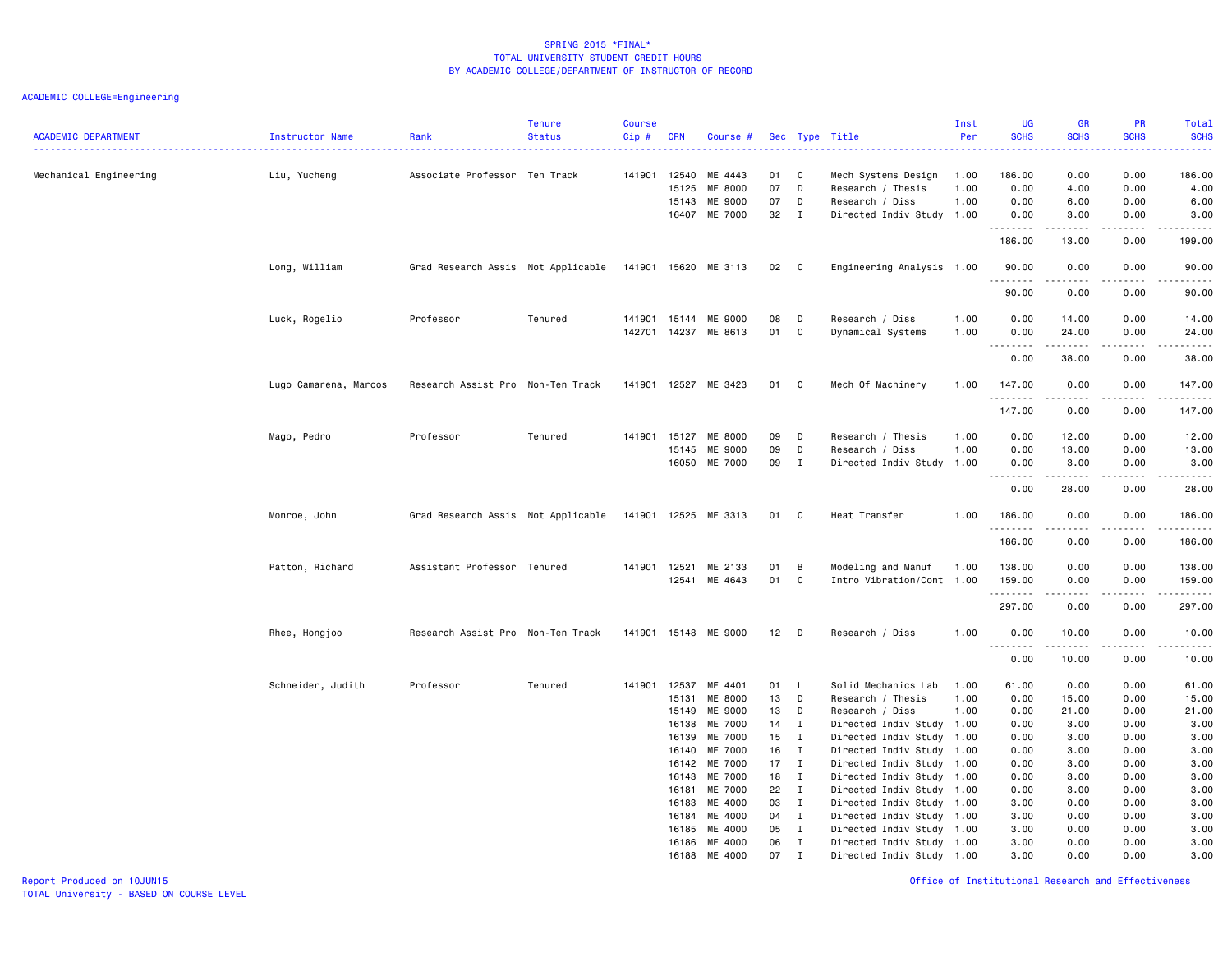| <b>ACADEMIC DEPARTMENT</b> | Instructor Name       | Rank                                                    | <b>Tenure</b><br><b>Status</b> | <b>Course</b><br>Cip# | <b>CRN</b>   | Course #                 |                 |                   | Sec Type Title                               | Inst<br>Per | <b>UG</b><br><b>SCHS</b> | <b>GR</b><br><b>SCHS</b>                                                                                                                                      | PR<br><b>SCHS</b>                   | Total<br><b>SCHS</b> |
|----------------------------|-----------------------|---------------------------------------------------------|--------------------------------|-----------------------|--------------|--------------------------|-----------------|-------------------|----------------------------------------------|-------------|--------------------------|---------------------------------------------------------------------------------------------------------------------------------------------------------------|-------------------------------------|----------------------|
|                            |                       |                                                         |                                |                       |              |                          |                 |                   |                                              |             |                          |                                                                                                                                                               |                                     |                      |
| Mechanical Engineering     | Liu, Yucheng          | Associate Professor Ten Track                           |                                |                       | 141901 12540 | ME 4443                  | 01              | C                 | Mech Systems Design                          | 1.00        | 186.00                   | 0.00                                                                                                                                                          | 0.00                                | 186.00               |
|                            |                       |                                                         |                                |                       | 15125        | ME 8000                  | 07              | D                 | Research / Thesis                            | 1.00        | 0.00                     | 4.00                                                                                                                                                          | 0.00                                | 4.00                 |
|                            |                       |                                                         |                                |                       | 15143        | ME 9000<br>16407 ME 7000 | 07<br>32        | D<br>$\mathbf{I}$ | Research / Diss<br>Directed Indiv Study 1.00 | 1.00        | 0.00<br>0.00             | 6.00<br>3.00                                                                                                                                                  | 0.00<br>0.00                        | 6.00<br>3.00         |
|                            |                       |                                                         |                                |                       |              |                          |                 |                   |                                              |             | <u>.</u>                 | .                                                                                                                                                             | .                                   | .                    |
|                            |                       |                                                         |                                |                       |              |                          |                 |                   |                                              |             | 186.00                   | 13.00                                                                                                                                                         | 0.00                                | 199.00               |
|                            | Long, William         | Grad Research Assis Not Applicable                      |                                |                       |              | 141901 15620 ME 3113     | 02              | $\mathbf{C}$      | Engineering Analysis 1.00                    |             | 90.00<br>--------        | 0.00<br>-----                                                                                                                                                 | 0.00<br>.                           | 90.00<br>.           |
|                            |                       |                                                         |                                |                       |              |                          |                 |                   |                                              |             | 90.00                    | 0.00                                                                                                                                                          | 0.00                                | 90.00                |
|                            | Luck, Rogelio         | Professor                                               | Tenured                        | 141901                | 15144        | ME 9000                  | 08              | D                 | Research / Diss                              | 1.00        | 0.00                     | 14.00                                                                                                                                                         | 0.00                                | 14.00                |
|                            |                       |                                                         |                                |                       | 142701 14237 | ME 8613                  | 01              | C                 | Dynamical Systems                            | 1.00        | 0.00                     | 24.00                                                                                                                                                         | 0.00                                | 24.00                |
|                            |                       |                                                         |                                |                       |              |                          |                 |                   |                                              |             | .<br>0.00                | <u>.</u><br>38.00                                                                                                                                             | .<br>0.00                           | .<br>38.00           |
|                            |                       |                                                         |                                |                       |              |                          |                 |                   |                                              |             |                          |                                                                                                                                                               |                                     |                      |
|                            | Lugo Camarena, Marcos | Research Assist Pro Non-Ten Track                       |                                |                       |              | 141901 12527 ME 3423     | 01              | C                 | Mech Of Machinery                            | 1.00        | 147.00<br>.              | 0.00<br>.                                                                                                                                                     | 0.00<br>$\sim$ $\sim$ $\sim$ $\sim$ | 147.00<br><u>.</u>   |
|                            |                       |                                                         |                                |                       |              |                          |                 |                   |                                              |             | 147.00                   | 0.00                                                                                                                                                          | 0.00                                | 147.00               |
|                            | Mago, Pedro           | Professor                                               | Tenured                        | 141901 15127          |              | ME 8000                  | 09              | D                 | Research / Thesis                            | 1.00        | 0.00                     | 12.00                                                                                                                                                         | 0.00                                | 12.00                |
|                            |                       |                                                         |                                |                       | 15145        | ME 9000                  | 09              | D                 | Research / Diss                              | 1.00        | 0.00                     | 13.00                                                                                                                                                         | 0.00                                | 13.00                |
|                            |                       |                                                         |                                |                       | 16050        | ME 7000                  | 09              | $\mathbf{I}$      | Directed Indiv Study 1.00                    |             | 0.00                     | 3.00                                                                                                                                                          | 0.00                                | 3.00                 |
|                            |                       |                                                         |                                |                       |              |                          |                 |                   |                                              |             | .<br>0.00                | .<br>28.00                                                                                                                                                    | $\sim$ $\sim$ $\sim$ $\sim$<br>0.00 | $\sim$<br>28.00      |
|                            | Monroe, John          | Grad Research Assis Not Applicable 141901 12525 ME 3313 |                                |                       |              |                          | 01 C            |                   | Heat Transfer                                | 1.00        | 186.00                   | 0.00                                                                                                                                                          | 0.00                                | 186.00               |
|                            |                       |                                                         |                                |                       |              |                          |                 |                   |                                              |             | .<br>186.00              | 0.00                                                                                                                                                          | $- - - -$<br>0.00                   | 186.00               |
|                            |                       |                                                         |                                |                       |              |                          |                 |                   |                                              |             |                          |                                                                                                                                                               |                                     |                      |
|                            | Patton, Richard       | Assistant Professor Tenured                             |                                | 141901 12521          |              | ME 2133                  | 01              | В                 | Modeling and Manuf                           | 1.00        | 138.00                   | 0.00                                                                                                                                                          | 0.00                                | 138.00               |
|                            |                       |                                                         |                                |                       | 12541        | ME 4643                  | 01              | C                 | Intro Vibration/Cont 1.00                    |             | 159.00<br>.              | 0.00                                                                                                                                                          | 0.00                                | 159.00<br>.          |
|                            |                       |                                                         |                                |                       |              |                          |                 |                   |                                              |             | 297.00                   | 0.00                                                                                                                                                          | 0.00                                | 297.00               |
|                            | Rhee, Hongjoo         | Research Assist Pro Non-Ten Track                       |                                |                       |              | 141901 15148 ME 9000     | 12 <sub>1</sub> | D                 | Research / Diss                              | 1.00        | 0.00                     | 10.00                                                                                                                                                         | 0.00                                | 10.00                |
|                            |                       |                                                         |                                |                       |              |                          |                 |                   |                                              |             | 1.1.1.1.1.1.1<br>0.00    | $\frac{1}{2} \left( \frac{1}{2} \right) \left( \frac{1}{2} \right) \left( \frac{1}{2} \right) \left( \frac{1}{2} \right) \left( \frac{1}{2} \right)$<br>10.00 | $\sim$ $\sim$ $\sim$<br>0.00        | .<br>10.00           |
|                            | Schneider, Judith     | Professor                                               | Tenured                        |                       | 141901 12537 | ME 4401                  | 01              | L.                | Solid Mechanics Lab                          | 1.00        | 61.00                    | 0.00                                                                                                                                                          | 0.00                                | 61.00                |
|                            |                       |                                                         |                                |                       | 15131        | ME 8000                  | 13              | D                 | Research / Thesis                            | 1.00        | 0.00                     | 15.00                                                                                                                                                         | 0.00                                | 15.00                |
|                            |                       |                                                         |                                |                       | 15149        | ME 9000                  | 13              | D                 | Research / Diss                              | 1.00        | 0.00                     | 21.00                                                                                                                                                         | 0.00                                | 21.00                |
|                            |                       |                                                         |                                |                       | 16138        | ME 7000                  | 14              | I                 | Directed Indiv Study 1.00                    |             | 0.00                     | 3.00                                                                                                                                                          | 0.00                                | 3.00                 |
|                            |                       |                                                         |                                |                       | 16139        | ME 7000                  | 15              | $\mathbf{I}$      | Directed Indiv Study 1.00                    |             | 0.00                     | 3.00                                                                                                                                                          | 0.00                                | 3.00                 |
|                            |                       |                                                         |                                |                       | 16140        | ME 7000                  | 16              | I                 | Directed Indiv Study 1.00                    |             | 0.00                     | 3.00                                                                                                                                                          | 0.00                                | 3.00                 |
|                            |                       |                                                         |                                |                       | 16142        | ME 7000                  | 17              | $\mathbf{I}$      | Directed Indiv Study 1.00                    |             | 0.00                     | 3.00                                                                                                                                                          | 0.00                                | 3.00                 |
|                            |                       |                                                         |                                |                       | 16143        | ME 7000                  | 18              | $\mathbf{I}$      | Directed Indiv Study 1.00                    |             | 0.00                     | 3.00                                                                                                                                                          | 0.00                                | 3.00                 |
|                            |                       |                                                         |                                |                       | 16181        | ME 7000                  | 22              | $\mathbf{I}$      | Directed Indiv Study 1.00                    |             | 0.00                     | 3.00                                                                                                                                                          | 0.00                                | 3.00                 |
|                            |                       |                                                         |                                |                       | 16183        | ME 4000                  | 03              | $\mathbf{I}$      | Directed Indiv Study 1.00                    |             | 3.00                     | 0.00                                                                                                                                                          | 0.00                                | 3.00                 |
|                            |                       |                                                         |                                |                       | 16184        | ME 4000                  | 04              | $\mathbf I$       | Directed Indiv Study 1.00                    |             | 3.00                     | 0.00                                                                                                                                                          | 0.00                                | 3.00                 |
|                            |                       |                                                         |                                |                       | 16185        | ME 4000                  | 05              | $\mathbf{I}$      | Directed Indiv Study 1.00                    |             | 3.00                     | 0.00                                                                                                                                                          | 0.00                                | 3.00                 |
|                            |                       |                                                         |                                |                       | 16186        | ME 4000                  | 06              | $\mathbf I$       | Directed Indiv Study 1.00                    |             | 3.00                     | 0.00                                                                                                                                                          | 0.00                                | 3.00                 |
|                            |                       |                                                         |                                |                       | 16188        | ME 4000                  | 07              | $\mathbf I$       | Directed Indiv Study 1.00                    |             | 3.00                     | 0.00                                                                                                                                                          | 0.00                                | 3.00                 |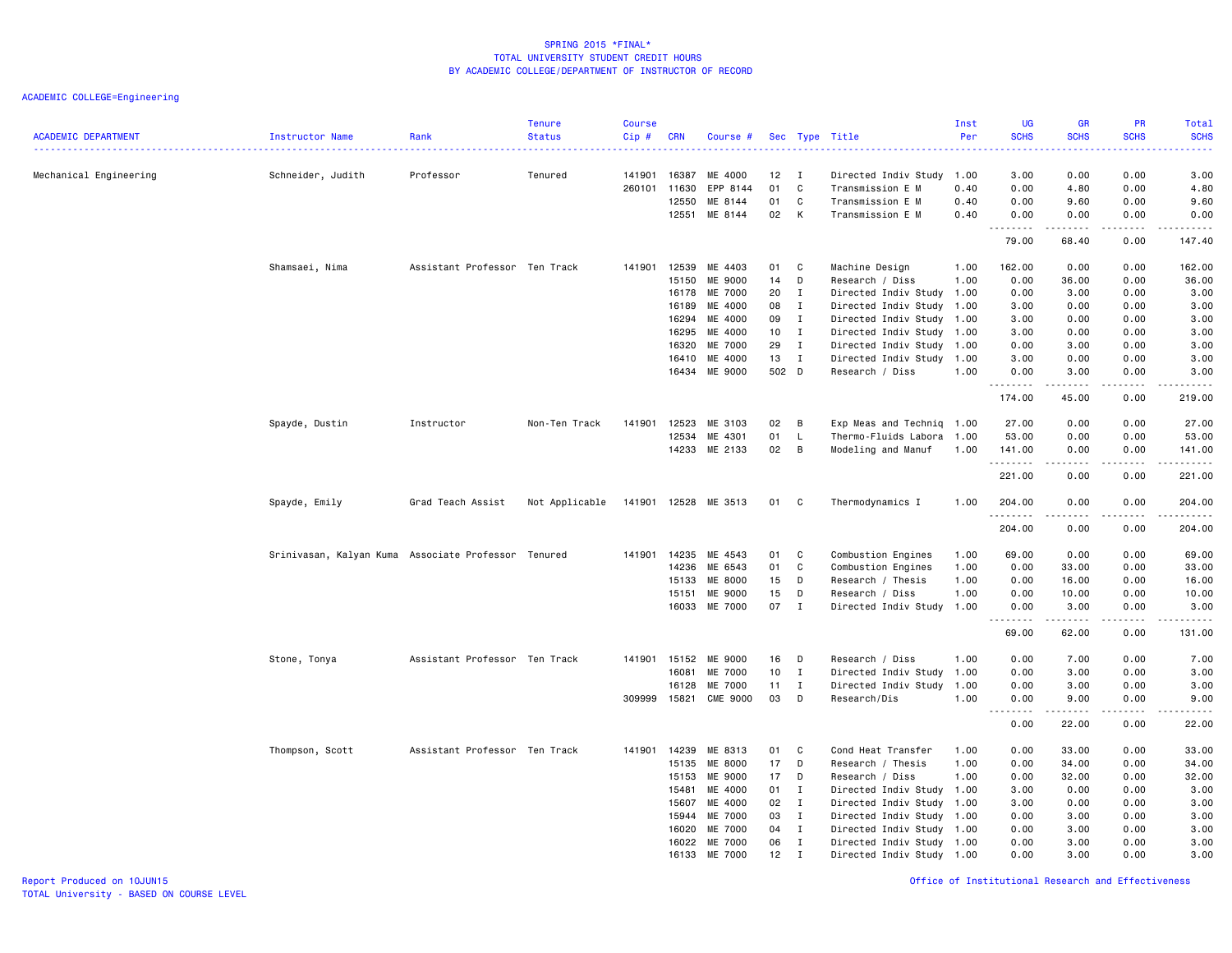| <b>ACADEMIC DEPARTMENT</b> | Instructor Name                                     | Rank                          | <b>Tenure</b><br><b>Status</b> | <b>Course</b><br>$Cip$ # | <b>CRN</b> | Course #        |                 |              | Sec Type Title            | Inst<br>Per | <b>UG</b><br><b>SCHS</b><br>$\sim$ $\sim$ $\sim$ $\sim$ | <b>GR</b><br><b>SCHS</b> | <b>PR</b><br><b>SCHS</b>     | Total<br><b>SCHS</b><br>2222. |
|----------------------------|-----------------------------------------------------|-------------------------------|--------------------------------|--------------------------|------------|-----------------|-----------------|--------------|---------------------------|-------------|---------------------------------------------------------|--------------------------|------------------------------|-------------------------------|
| Mechanical Engineering     | Schneider, Judith                                   | Professor                     | Tenured                        | 141901                   | 16387      | ME 4000         | 12 <sub>2</sub> | I            | Directed Indiv Study      | 1.00        | 3.00                                                    | 0.00                     | 0.00                         | 3.00                          |
|                            |                                                     |                               |                                | 260101                   | 11630      | EPP 8144        | 01              | C            | Transmission E M          | 0.40        | 0.00                                                    | 4.80                     | 0.00                         | 4.80                          |
|                            |                                                     |                               |                                |                          | 12550      | ME 8144         | 01              | C            | Transmission E M          | 0.40        | 0.00                                                    | 9.60                     | 0.00                         | 9.60                          |
|                            |                                                     |                               |                                |                          | 12551      | ME 8144         | 02              | K            | Transmission E M          | 0.40        | 0.00<br>.                                               | 0.00<br>-----            | 0.00                         | 0.00<br>.                     |
|                            |                                                     |                               |                                |                          |            |                 |                 |              |                           |             | 79.00                                                   | 68.40                    | 0.00                         | 147.40                        |
|                            | Shamsaei, Nima                                      | Assistant Professor Ten Track |                                | 141901                   | 12539      | ME 4403         | 01              | C            | Machine Design            | 1.00        | 162.00                                                  | 0.00                     | 0.00                         | 162.00                        |
|                            |                                                     |                               |                                |                          | 15150      | ME 9000         | 14              | D            | Research / Diss           | 1.00        | 0.00                                                    | 36.00                    | 0.00                         | 36.00                         |
|                            |                                                     |                               |                                |                          | 16178      | ME 7000         | 20              | $\mathbf{I}$ | Directed Indiv Study      | 1.00        | 0.00                                                    | 3.00                     | 0.00                         | 3.00                          |
|                            |                                                     |                               |                                |                          | 16189      | ME 4000         | 08              | $\mathbf{I}$ | Directed Indiv Study 1.00 |             | 3.00                                                    | 0.00                     | 0.00                         | 3.00                          |
|                            |                                                     |                               |                                |                          | 16294      | ME 4000         | 09              | $\mathbf{I}$ | Directed Indiv Study      | 1.00        | 3.00                                                    | 0.00                     | 0.00                         | 3.00                          |
|                            |                                                     |                               |                                |                          | 16295      | ME 4000         | 10 <sub>1</sub> | $\mathbf{I}$ | Directed Indiv Study      | 1.00        | 3.00                                                    | 0.00                     | 0.00                         | 3.00                          |
|                            |                                                     |                               |                                |                          | 16320      | ME 7000         | 29              | $\mathbf{I}$ | Directed Indiv Study      | 1.00        | 0.00                                                    | 3.00                     | 0.00                         | 3.00                          |
|                            |                                                     |                               |                                |                          | 16410      | ME 4000         | 13              | $\mathbf{I}$ | Directed Indiv Study      | 1.00        | 3.00                                                    | 0.00                     | 0.00                         | 3.00                          |
|                            |                                                     |                               |                                |                          | 16434      | ME 9000         | 502 D           |              | Research / Diss           | 1.00        | 0.00<br>.                                               | 3.00<br>-----            | 0.00<br>$\sim$ $\sim$ $\sim$ | 3.00<br>.                     |
|                            |                                                     |                               |                                |                          |            |                 |                 |              |                           |             | 174.00                                                  | 45.00                    | 0.00                         | 219.00                        |
|                            | Spayde, Dustin                                      | Instructor                    | Non-Ten Track                  | 141901                   | 12523      | ME 3103         | 02              | B            | Exp Meas and Techniq 1.00 |             | 27.00                                                   | 0.00                     | 0.00                         | 27.00                         |
|                            |                                                     |                               |                                |                          | 12534      | ME 4301         | 01              | L.           | Thermo-Fluids Labora      | 1.00        | 53.00                                                   | 0.00                     | 0.00                         | 53.00                         |
|                            |                                                     |                               |                                |                          | 14233      | ME 2133         | 02              | В            | Modeling and Manuf        | 1.00        | 141.00                                                  | 0.00                     | 0.00                         | 141.00                        |
|                            |                                                     |                               |                                |                          |            |                 |                 |              |                           |             | .<br>221.00                                             | .<br>0.00                | .<br>0.00                    | بالمحموم<br>221.00            |
|                            | Spayde, Emily                                       | Grad Teach Assist             | Not Applicable                 | 141901                   |            | 12528 ME 3513   | 01              | C            | Thermodynamics I          | 1.00        | 204.00<br>.                                             | 0.00                     | 0.00                         | 204.00                        |
|                            |                                                     |                               |                                |                          |            |                 |                 |              |                           |             | 204.00                                                  | 0.00                     | 0.00                         | 204.00                        |
|                            | Srinivasan, Kalyan Kuma Associate Professor Tenured |                               |                                | 141901                   | 14235      | ME 4543         | 01              | C            | Combustion Engines        | 1.00        | 69.00                                                   | 0.00                     | 0.00                         | 69.00                         |
|                            |                                                     |                               |                                |                          | 14236      | ME 6543         | 01              | C            | Combustion Engines        | 1.00        | 0.00                                                    | 33.00                    | 0.00                         | 33.00                         |
|                            |                                                     |                               |                                |                          | 15133      | ME 8000         | 15              | D            | Research / Thesis         | 1.00        | 0.00                                                    | 16.00                    | 0.00                         | 16.00                         |
|                            |                                                     |                               |                                |                          | 15151      | ME 9000         | 15              | D            | Research / Diss           | 1.00        | 0.00                                                    | 10.00                    | 0.00                         | 10.00                         |
|                            |                                                     |                               |                                |                          | 16033      | ME 7000         | 07              | $\mathbf{I}$ | Directed Indiv Study 1.00 |             | 0.00<br>$\sim$ $\sim$ $\sim$ $\sim$                     | 3.00<br>-----            | 0.00<br>$\frac{1}{2}$        | 3.00<br>.                     |
|                            |                                                     |                               |                                |                          |            |                 |                 |              |                           |             | 69.00                                                   | 62.00                    | 0.00                         | 131.00                        |
|                            | Stone, Tonya                                        | Assistant Professor Ten Track |                                | 141901                   | 15152      | ME 9000         | 16              | D            | Research / Diss           | 1.00        | 0.00                                                    | 7.00                     | 0.00                         | 7.00                          |
|                            |                                                     |                               |                                |                          | 16081      | ME 7000         | 10              | $\mathbf{I}$ | Directed Indiv Study      | 1.00        | 0.00                                                    | 3.00                     | 0.00                         | 3.00                          |
|                            |                                                     |                               |                                |                          | 16128      | ME 7000         | 11              | $\mathbf{I}$ | Directed Indiv Study      | 1.00        | 0.00                                                    | 3.00                     | 0.00                         | 3.00                          |
|                            |                                                     |                               |                                | 309999                   | 15821      | <b>CME 9000</b> | 03              | D            | Research/Dis              | 1.00        | 0.00<br>$\sim$ $\sim$<br>د د د د                        | 9.00<br>.                | 0.00<br>.                    | 9.00<br>.                     |
|                            |                                                     |                               |                                |                          |            |                 |                 |              |                           |             | 0.00                                                    | 22.00                    | 0.00                         | 22.00                         |
|                            | Thompson, Scott                                     | Assistant Professor Ten Track |                                | 141901                   | 14239      | ME 8313         | 01              | C            | Cond Heat Transfer        | 1.00        | 0.00                                                    | 33.00                    | 0.00                         | 33.00                         |
|                            |                                                     |                               |                                |                          | 15135      | ME 8000         | 17              | D            | Research / Thesis         | 1.00        | 0.00                                                    | 34.00                    | 0.00                         | 34.00                         |
|                            |                                                     |                               |                                |                          | 15153      | ME 9000         | 17              | D            | Research / Diss           | 1.00        | 0.00                                                    | 32.00                    | 0.00                         | 32.00                         |
|                            |                                                     |                               |                                |                          | 15481      | ME 4000         | 01              | $\mathbf{I}$ | Directed Indiv Study 1.00 |             | 3.00                                                    | 0.00                     | 0.00                         | 3.00                          |
|                            |                                                     |                               |                                |                          | 15607      | ME 4000         | 02              | $\mathbf{I}$ | Directed Indiv Study      | 1.00        | 3.00                                                    | 0.00                     | 0.00                         | 3.00                          |
|                            |                                                     |                               |                                |                          | 15944      | ME 7000         | 03              | $\mathbf{I}$ | Directed Indiv Study      | 1.00        | 0.00                                                    | 3.00                     | 0.00                         | 3.00                          |
|                            |                                                     |                               |                                |                          | 16020      | ME 7000         | 04              | $\mathbf{I}$ | Directed Indiv Study 1.00 |             | 0.00                                                    | 3.00                     | 0.00                         | 3.00                          |
|                            |                                                     |                               |                                |                          | 16022      | ME 7000         | 06              | $\mathbf{I}$ | Directed Indiv Study      | 1.00        | 0.00                                                    | 3.00                     | 0.00                         | 3.00                          |
|                            |                                                     |                               |                                |                          | 16133      | ME 7000         | 12              | $\mathbf I$  | Directed Indiv Study 1.00 |             | 0.00                                                    | 3.00                     | 0.00                         | 3.00                          |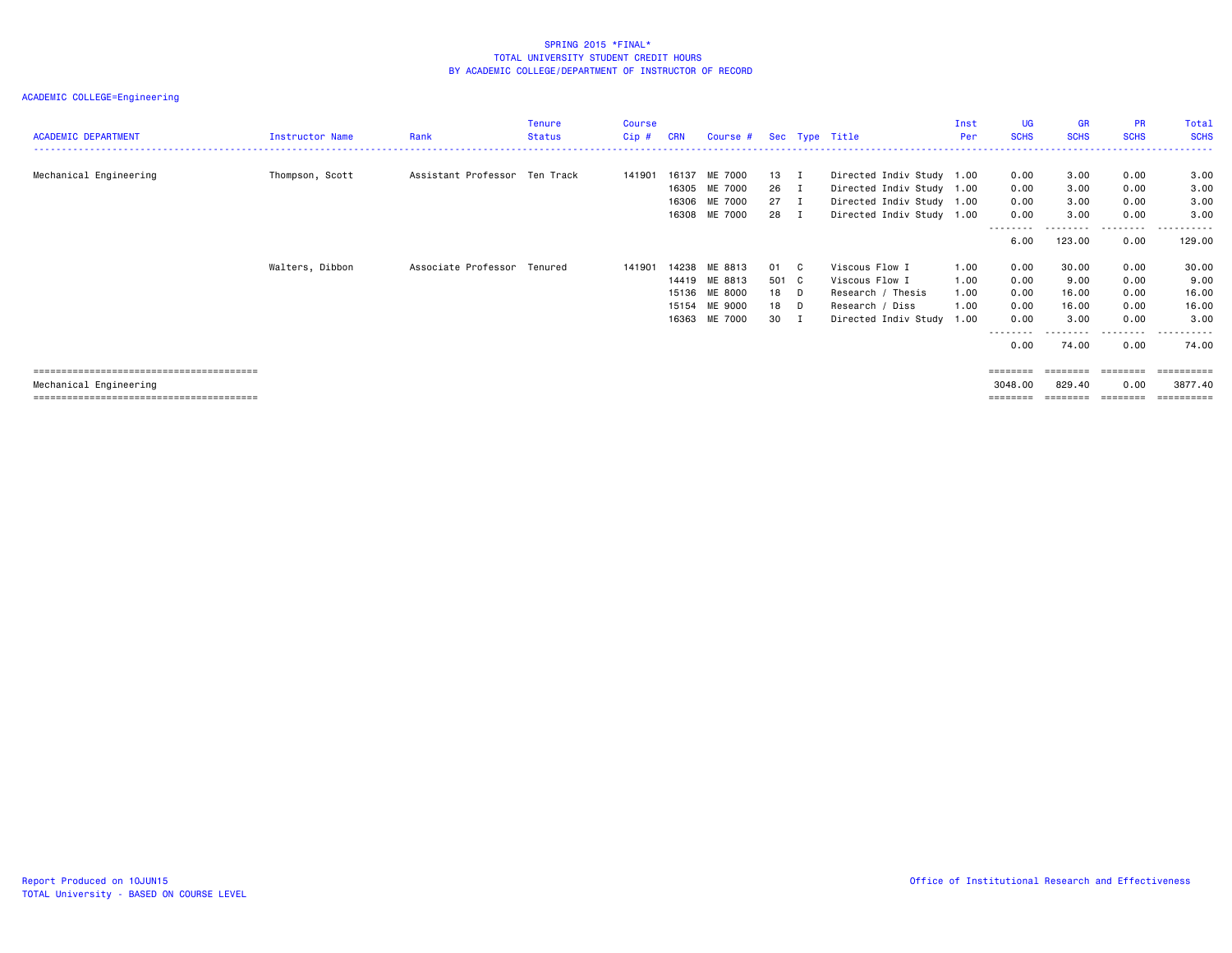| <b>ACADEMIC DEPARTMENT</b> | Instructor Name | Rank                          | <b>Tenure</b><br>Status | <b>Course</b><br>$Cip$ # | <b>CRN</b> | Course # Sec Type Title |        |                           | Inst<br>Per | <b>UG</b><br><b>SCHS</b> | <b>GR</b><br><b>SCHS</b> | <b>PR</b><br><b>SCHS</b> | Total<br><b>SCHS</b> |
|----------------------------|-----------------|-------------------------------|-------------------------|--------------------------|------------|-------------------------|--------|---------------------------|-------------|--------------------------|--------------------------|--------------------------|----------------------|
|                            |                 |                               |                         |                          |            |                         |        |                           |             |                          |                          |                          |                      |
| Mechanical Engineering     | Thompson, Scott | Assistant Professor Ten Track |                         | 141901                   | 16137      | ME 7000                 | 13 I   | Directed Indiv Study 1.00 |             | 0.00                     | 3.00                     | 0.00                     | 3.00                 |
|                            |                 |                               |                         |                          |            | 16305 ME 7000           | 26 I   | Directed Indiv Study 1.00 |             | 0.00                     | 3.00                     | 0.00                     | 3.00                 |
|                            |                 |                               |                         |                          |            | 16306 ME 7000           | $27$ I | Directed Indiv Study 1.00 |             | 0.00                     | 3.00                     | 0.00                     | 3.00                 |
|                            |                 |                               |                         |                          |            | 16308 ME 7000           | 28 I   | Directed Indiv Study 1.00 |             | 0.00<br>--------         | 3.00<br>--------         | 0.00<br>---------        | 3.00<br>.            |
|                            |                 |                               |                         |                          |            |                         |        |                           |             | 6.00                     | 123.00                   | 0.00                     | 129.00               |
|                            | Walters, Dibbon | Associate Professor Tenured   |                         | 141901                   | 14238      | ME 8813                 | 01 C   | Viscous Flow I            | 1.00        | 0.00                     | 30.00                    | 0.00                     | 30.00                |
|                            |                 |                               |                         |                          |            | 14419 ME 8813           | 501 C  | Viscous Flow I            | 1.00        | 0.00                     | 9.00                     | 0.00                     | 9.00                 |
|                            |                 |                               |                         |                          |            | 15136 ME 8000           | 18 D   | Research / Thesis         | 1.00        | 0.00                     | 16.00                    | 0.00                     | 16.00                |
|                            |                 |                               |                         |                          |            | 15154 ME 9000           | 18 D   | Research / Diss           | 1.00        | 0.00                     | 16.00                    | 0.00                     | 16.00                |
|                            |                 |                               |                         |                          |            | 16363 ME 7000           | 30 I   | Directed Indiv Study 1.00 |             | 0.00                     | 3.00                     | 0.00                     | 3,00                 |
|                            |                 |                               |                         |                          |            |                         |        |                           |             | --------<br>0.00         | 74.00                    | . <b>.</b><br>0.00       | ------<br>74.00      |
|                            |                 |                               |                         |                          |            |                         |        |                           |             | $=$ = = = = = = =        | $=$ = = = = = = =        | $=$ = = = = = = =        |                      |
| Mechanical Engineering     |                 |                               |                         |                          |            |                         |        |                           |             | 3048.00                  | 829.40                   | 0.00                     | 3877.40              |
|                            |                 |                               |                         |                          |            |                         |        |                           |             |                          |                          | ========                 |                      |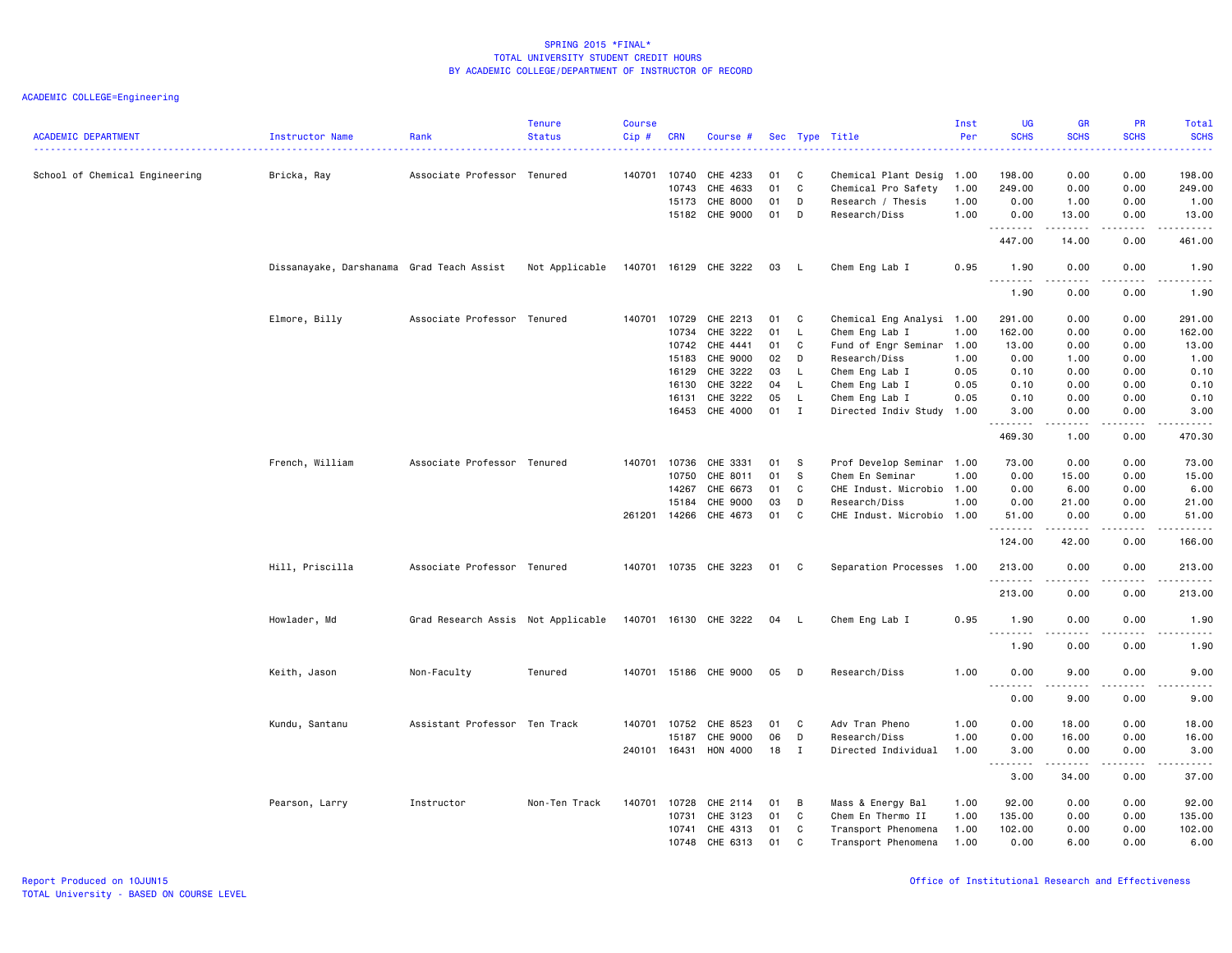| <b>ACADEMIC DEPARTMENT</b>     | Instructor Name                           | Rank                               | <b>Tenure</b><br><b>Status</b> | <b>Course</b><br>Cip# | <b>CRN</b>     | Course #              |          |         | Sec Type Title                             | Inst<br>Per  | <b>UG</b><br><b>SCHS</b>          | <b>GR</b><br><b>SCHS</b>                                                                                                                                      | PR<br><b>SCHS</b><br>المتمام        | Total<br><b>SCHS</b><br>المتمامين |
|--------------------------------|-------------------------------------------|------------------------------------|--------------------------------|-----------------------|----------------|-----------------------|----------|---------|--------------------------------------------|--------------|-----------------------------------|---------------------------------------------------------------------------------------------------------------------------------------------------------------|-------------------------------------|-----------------------------------|
| School of Chemical Engineering | Bricka, Ray                               | Associate Professor Tenured        |                                |                       | 140701 10740   | CHE 4233              | 01       | C       | Chemical Plant Desig 1.00                  |              | 198.00                            | 0.00                                                                                                                                                          | 0.00                                | 198.00                            |
|                                |                                           |                                    |                                |                       | 10743          | CHE 4633              | 01       | C       | Chemical Pro Safety                        | 1.00         | 249.00                            | 0.00                                                                                                                                                          | 0.00                                | 249.00                            |
|                                |                                           |                                    |                                |                       | 15173          | CHE 8000              | 01       | D       | Research / Thesis                          | 1.00         | 0.00                              | 1.00                                                                                                                                                          | 0.00                                | 1.00                              |
|                                |                                           |                                    |                                |                       | 15182          | CHE 9000              | 01       | D       | Research/Diss                              | 1.00         | 0.00                              | 13.00<br>$\frac{1}{2} \left( \frac{1}{2} \right) \left( \frac{1}{2} \right) \left( \frac{1}{2} \right) \left( \frac{1}{2} \right) \left( \frac{1}{2} \right)$ | 0.00<br>$\sim$ $\sim$ $\sim$ $\sim$ | 13.00<br>.                        |
|                                |                                           |                                    |                                |                       |                |                       |          |         |                                            |              | .<br>447.00                       | 14.00                                                                                                                                                         | 0.00                                | 461.00                            |
|                                | Dissanayake, Darshanama Grad Teach Assist |                                    | Not Applicable                 |                       |                | 140701 16129 CHE 3222 | 03       |         | Chem Eng Lab I                             | 0.95         | 1.90<br><u>.</u>                  | 0.00<br>.                                                                                                                                                     | 0.00<br>$\frac{1}{2}$               | 1.90<br><b>.</b>                  |
|                                |                                           |                                    |                                |                       |                |                       |          |         |                                            |              | 1.90                              | 0.00                                                                                                                                                          | 0.00                                | 1.90                              |
|                                | Elmore, Billy                             | Associate Professor Tenured        |                                | 140701                | 10729          | CHE 2213              | 01       | C       | Chemical Eng Analysi 1.00                  |              | 291.00                            | 0.00                                                                                                                                                          | 0.00                                | 291.00                            |
|                                |                                           |                                    |                                |                       | 10734          | CHE 3222              | 01       | L       | Chem Eng Lab I                             | 1.00         | 162.00                            | 0.00                                                                                                                                                          | 0.00                                | 162.00                            |
|                                |                                           |                                    |                                |                       | 10742          | CHE 4441              | 01       | C       | Fund of Engr Seminar 1.00                  |              | 13.00                             | 0.00                                                                                                                                                          | 0.00                                | 13.00                             |
|                                |                                           |                                    |                                |                       | 15183          | CHE 9000              | 02       | D       | Research/Diss                              | 1.00         | 0.00                              | 1.00                                                                                                                                                          | 0.00                                | 1.00                              |
|                                |                                           |                                    |                                |                       | 16129          | CHE 3222              | 03       | L.      | Chem Eng Lab I                             | 0.05         | 0.10                              | 0.00                                                                                                                                                          | 0.00                                | 0.10                              |
|                                |                                           |                                    |                                |                       | 16130          | CHE 3222              | 04       | L       | Chem Eng Lab I                             | 0.05         | 0.10                              | 0.00                                                                                                                                                          | 0.00                                | 0.10                              |
|                                |                                           |                                    |                                |                       | 16131          | CHE 3222              | 05       | L       | Chem Eng Lab I                             | 0.05         | 0.10                              | 0.00                                                                                                                                                          | 0.00                                | 0.10                              |
|                                |                                           |                                    |                                |                       | 16453          | CHE 4000              | 01       | I       | Directed Indiv Study                       | 1.00         | 3.00<br>.                         | 0.00<br>.                                                                                                                                                     | 0.00<br>$- - - -$                   | 3.00<br>-----                     |
|                                |                                           |                                    |                                |                       |                |                       |          |         |                                            |              | 469.30                            | 1.00                                                                                                                                                          | 0.00                                | 470.30                            |
|                                | French, William                           | Associate Professor Tenured        |                                |                       | 140701 10736   | CHE 3331              | 01       | -S      | Prof Develop Seminar 1.00                  |              | 73.00                             | 0.00                                                                                                                                                          | 0.00                                | 73.00                             |
|                                |                                           |                                    |                                |                       | 10750          | CHE 8011              | 01       | S.      | Chem En Seminar                            | 1.00         | 0.00                              | 15.00                                                                                                                                                         | 0.00                                | 15.00                             |
|                                |                                           |                                    |                                |                       | 14267          | CHE 6673              | 01       | C       | CHE Indust. Microbio 1.00                  |              | 0.00                              | 6.00                                                                                                                                                          | 0.00                                | 6.00                              |
|                                |                                           |                                    |                                |                       | 15184          | CHE 9000              | 03<br>01 | D<br>C  | Research/Diss                              | 1.00         | 0.00                              | 21.00                                                                                                                                                         | 0.00                                | 21.00<br>51.00                    |
|                                |                                           |                                    |                                |                       | 261201 14266   | CHE 4673              |          |         | CHE Indust. Microbio 1.00                  |              | 51.00<br>.                        | 0.00<br>$- - - - -$                                                                                                                                           | 0.00<br>.                           | .                                 |
|                                |                                           |                                    |                                |                       |                |                       |          |         |                                            |              | 124.00                            | 42.00                                                                                                                                                         | 0.00                                | 166.00                            |
|                                | Hill, Priscilla                           | Associate Professor Tenured        |                                |                       |                | 140701 10735 CHE 3223 | 01       | C       | Separation Processes 1.00                  |              | 213.00<br>.                       | 0.00                                                                                                                                                          | 0.00<br>.                           | 213.00<br>------                  |
|                                |                                           |                                    |                                |                       |                |                       |          |         |                                            |              | 213.00                            | 0.00                                                                                                                                                          | 0.00                                | 213.00                            |
|                                | Howlader, Md                              | Grad Research Assis Not Applicable |                                |                       |                | 140701 16130 CHE 3222 | 04       |         | Chem Eng Lab I                             | 0.95         | 1.90<br>.                         | 0.00                                                                                                                                                          | 0.00<br>$\frac{1}{2}$               | 1.90<br>-----                     |
|                                |                                           |                                    |                                |                       |                |                       |          |         |                                            |              | 1.90                              | .<br>0.00                                                                                                                                                     | 0.00                                | 1.90                              |
|                                | Keith, Jason                              | Non-Faculty                        | Tenured                        |                       |                | 140701 15186 CHE 9000 | 05       | D       | Research/Diss                              | 1.00         | 0.00                              | 9.00                                                                                                                                                          | 0.00                                | 9.00                              |
|                                |                                           |                                    |                                |                       |                |                       |          |         |                                            |              | $\sim$ $\sim$ $\sim$<br>.<br>0.00 | .<br>9.00                                                                                                                                                     | .<br>0.00                           | -----<br>9.00                     |
|                                | Kundu, Santanu                            | Assistant Professor Ten Track      |                                |                       | 140701 10752   | CHE 8523              | 01       | C       | Adv Tran Pheno                             | 1.00         | 0.00                              | 18.00                                                                                                                                                         | 0.00                                | 18.00                             |
|                                |                                           |                                    |                                |                       | 15187          | CHE 9000              | 06       | D       | Research/Diss                              | 1.00         | 0.00                              | 16.00                                                                                                                                                         | 0.00                                | 16.00                             |
|                                |                                           |                                    |                                |                       | 240101 16431   | HON 4000              | 18       | I       | Directed Individual                        | 1.00         | 3.00                              | 0.00                                                                                                                                                          | 0.00                                | 3.00                              |
|                                |                                           |                                    |                                |                       |                |                       |          |         |                                            |              | <u>.</u><br>3.00                  | <u>.</u><br>34.00                                                                                                                                             | $\frac{1}{2}$<br>0.00               | د د د د د<br>37.00                |
|                                |                                           |                                    |                                |                       |                |                       |          |         |                                            |              |                                   |                                                                                                                                                               |                                     |                                   |
|                                | Pearson, Larry                            | Instructor                         | Non-Ten Track                  | 140701                | 10728          | CHE 2114              | 01       | в       | Mass & Energy Bal                          | 1.00         | 92.00                             | 0.00                                                                                                                                                          | 0.00                                | 92.00                             |
|                                |                                           |                                    |                                |                       | 10731          | CHE 3123              | 01       | C       | Chem En Thermo II                          | 1.00         | 135.00                            | 0.00                                                                                                                                                          | 0.00                                | 135.00                            |
|                                |                                           |                                    |                                |                       | 10741<br>10748 | CHE 4313<br>CHE 6313  | 01<br>01 | C<br>C. | Transport Phenomena<br>Transport Phenomena | 1.00<br>1.00 | 102.00<br>0.00                    | 0.00<br>6.00                                                                                                                                                  | 0.00<br>0.00                        | 102.00<br>6.00                    |
|                                |                                           |                                    |                                |                       |                |                       |          |         |                                            |              |                                   |                                                                                                                                                               |                                     |                                   |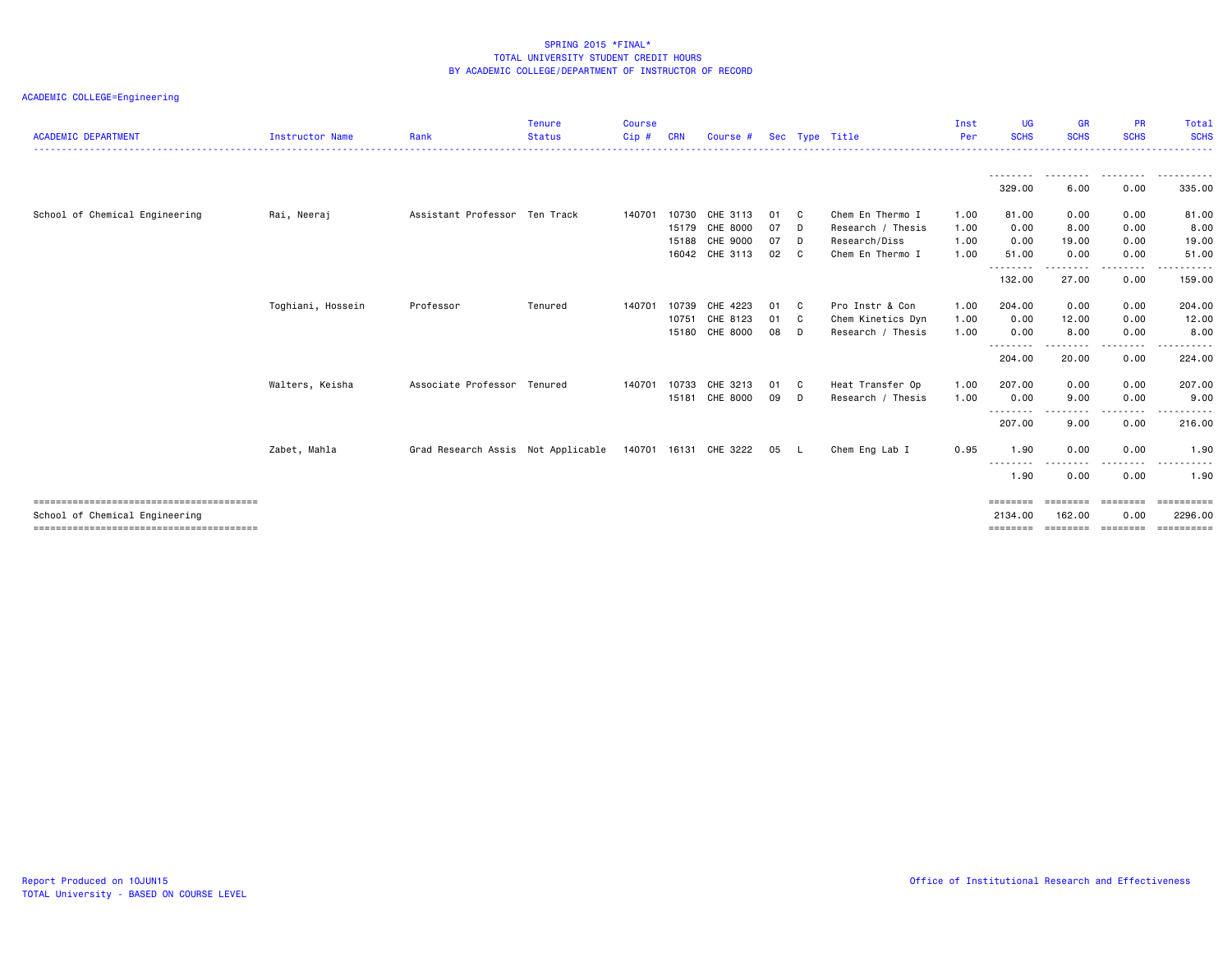| <b>ACADEMIC DEPARTMENT</b>     | <b>Instructor Name</b> | Rank                               | <b>Tenure</b><br><b>Status</b> | <b>Course</b><br>Cip# | <b>CRN</b> | Course #                   |    |              | Sec Type Title    | Inst<br>Per | <b>UG</b><br><b>SCHS</b>   | <b>GR</b><br><b>SCHS</b> | <b>PR</b><br><b>SCHS</b> | Total<br><b>SCHS</b>                                                                                                                                                                                                                                                                                                                                                                                                                                                                              |
|--------------------------------|------------------------|------------------------------------|--------------------------------|-----------------------|------------|----------------------------|----|--------------|-------------------|-------------|----------------------------|--------------------------|--------------------------|---------------------------------------------------------------------------------------------------------------------------------------------------------------------------------------------------------------------------------------------------------------------------------------------------------------------------------------------------------------------------------------------------------------------------------------------------------------------------------------------------|
|                                |                        |                                    |                                |                       |            |                            |    |              |                   |             |                            |                          |                          |                                                                                                                                                                                                                                                                                                                                                                                                                                                                                                   |
|                                |                        |                                    |                                |                       |            |                            |    |              |                   |             | --------<br>329.00         | .<br>6.00                | .<br>0.00                | - - - - - - -<br>335.00                                                                                                                                                                                                                                                                                                                                                                                                                                                                           |
| School of Chemical Engineering | Rai, Neeraj            | Assistant Professor Ten Track      |                                | 140701                | 10730      | CHE 3113                   | 01 | C.           | Chem En Thermo I  | 1.00        | 81.00                      | 0.00                     | 0.00                     | 81.00                                                                                                                                                                                                                                                                                                                                                                                                                                                                                             |
|                                |                        |                                    |                                |                       | 15179      | CHE 8000                   | 07 | D            | Research / Thesis | 1.00        | 0.00                       | 8.00                     | 0.00                     | 8.00                                                                                                                                                                                                                                                                                                                                                                                                                                                                                              |
|                                |                        |                                    |                                |                       | 15188      | CHE 9000                   | 07 | D            | Research/Diss     | 1.00        | 0.00                       | 19.00                    | 0.00                     | 19.00                                                                                                                                                                                                                                                                                                                                                                                                                                                                                             |
|                                |                        |                                    |                                |                       |            | 16042 CHE 3113             | 02 | C.           | Chem En Thermo I  | 1.00        | 51.00                      | 0.00                     | 0.00                     | 51.00                                                                                                                                                                                                                                                                                                                                                                                                                                                                                             |
|                                |                        |                                    |                                |                       |            |                            |    |              |                   |             | --------<br>132.00         | .<br>27.00               | .<br>0.00                | ------<br>159.00                                                                                                                                                                                                                                                                                                                                                                                                                                                                                  |
|                                | Toghiani, Hossein      | Professor                          | Tenured                        | 140701                | 10739      | CHE 4223                   | 01 | C.           | Pro Instr & Con   | 1.00        | 204.00                     | 0.00                     | 0.00                     | 204.00                                                                                                                                                                                                                                                                                                                                                                                                                                                                                            |
|                                |                        |                                    |                                |                       | 10751      | CHE 8123                   | 01 | $\mathbf{C}$ | Chem Kinetics Dyn | 1.00        | 0.00                       | 12.00                    | 0.00                     | 12.00                                                                                                                                                                                                                                                                                                                                                                                                                                                                                             |
|                                |                        |                                    |                                |                       | 15180      | CHE 8000                   | 08 | D            | Research / Thesis | 1.00        | 0.00                       | 8.00                     | 0.00                     | 8.00                                                                                                                                                                                                                                                                                                                                                                                                                                                                                              |
|                                |                        |                                    |                                |                       |            |                            |    |              |                   |             | --------<br>204.00         | --------<br>20.00        | --------<br>0.00         | $\begin{array}{cccccccccccccc} \bullet & \bullet & \bullet & \bullet & \bullet & \bullet & \bullet & \bullet \end{array}$<br>224.00                                                                                                                                                                                                                                                                                                                                                               |
|                                | Walters, Keisha        | Associate Professor Tenured        |                                | 140701                | 10733      | CHE 3213                   | 01 | $\mathbf{C}$ | Heat Transfer Op  | 1.00        | 207.00                     | 0.00                     | 0.00                     | 207.00                                                                                                                                                                                                                                                                                                                                                                                                                                                                                            |
|                                |                        |                                    |                                |                       | 15181      | CHE 8000                   | 09 | D            | Research / Thesis | 1.00        | 0.00                       | 9.00                     | 0.00                     | 9.00                                                                                                                                                                                                                                                                                                                                                                                                                                                                                              |
|                                |                        |                                    |                                |                       |            |                            |    |              |                   |             | --------<br>207.00         | .<br>9.00                | -----<br>0.00            | .<br>216.00                                                                                                                                                                                                                                                                                                                                                                                                                                                                                       |
|                                | Zabet, Mahla           | Grad Research Assis Not Applicable |                                |                       |            | 140701 16131 CHE 3222 05 L |    |              | Chem Eng Lab I    | 0.95        | 1.90                       | 0.00                     | 0.00                     | 1.90                                                                                                                                                                                                                                                                                                                                                                                                                                                                                              |
|                                |                        |                                    |                                |                       |            |                            |    |              |                   |             | --------<br>1.90           | .<br>0.00                | .<br>0.00                | 1.90                                                                                                                                                                                                                                                                                                                                                                                                                                                                                              |
| School of Chemical Engineering |                        |                                    |                                |                       |            |                            |    |              |                   |             | <b>ESSESSES</b><br>2134.00 | -------<br>162.00        | ========<br>0.00         | $\begin{array}{cccccccccc} \multicolumn{2}{c}{} & \multicolumn{2}{c}{} & \multicolumn{2}{c}{} & \multicolumn{2}{c}{} & \multicolumn{2}{c}{} & \multicolumn{2}{c}{} & \multicolumn{2}{c}{} & \multicolumn{2}{c}{} & \multicolumn{2}{c}{} & \multicolumn{2}{c}{} & \multicolumn{2}{c}{} & \multicolumn{2}{c}{} & \multicolumn{2}{c}{} & \multicolumn{2}{c}{} & \multicolumn{2}{c}{} & \multicolumn{2}{c}{} & \multicolumn{2}{c}{} & \multicolumn{2}{c}{} & \multicolumn{2}{c}{} & \mult$<br>2296.00 |
|                                |                        |                                    |                                |                       |            |                            |    |              |                   |             | ========                   | ========                 | ========                 |                                                                                                                                                                                                                                                                                                                                                                                                                                                                                                   |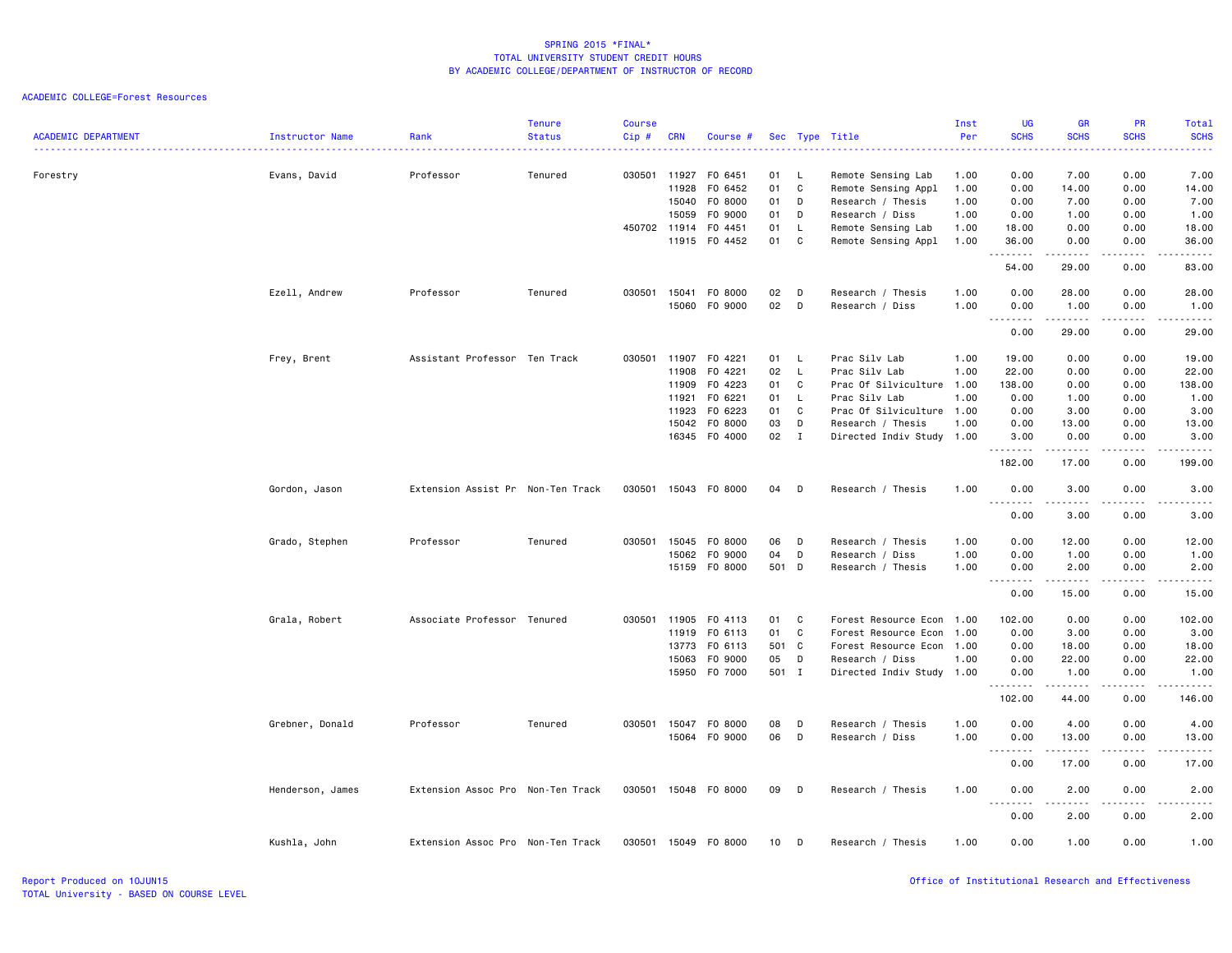| <b>ACADEMIC DEPARTMENT</b> | Instructor Name  | Rank                              | <b>Tenure</b><br><b>Status</b> | <b>Course</b><br>Cip# | <b>CRN</b>                     | Course #                      |                |                | Sec Type Title                                                 | Inst<br>Per          | UG<br><b>SCHS</b><br>$\omega = \omega / \omega$      | GR<br><b>SCHS</b>                                                                                                                                             | PR<br><b>SCHS</b><br>.       | <b>Total</b><br><b>SCHS</b><br>$\frac{1}{2} \left( \frac{1}{2} \right) \left( \frac{1}{2} \right) \left( \frac{1}{2} \right) \left( \frac{1}{2} \right)$     |
|----------------------------|------------------|-----------------------------------|--------------------------------|-----------------------|--------------------------------|-------------------------------|----------------|----------------|----------------------------------------------------------------|----------------------|------------------------------------------------------|---------------------------------------------------------------------------------------------------------------------------------------------------------------|------------------------------|--------------------------------------------------------------------------------------------------------------------------------------------------------------|
| Forestry                   | Evans, David     | Professor                         | Tenured                        |                       | 030501 11927<br>11928<br>15040 | F0 6451<br>F0 6452<br>F0 8000 | 01<br>01<br>01 | L.<br>C<br>D   | Remote Sensing Lab<br>Remote Sensing Appl<br>Research / Thesis | 1.00<br>1.00<br>1.00 | 0.00<br>0.00<br>0.00                                 | 7.00<br>14.00<br>7.00                                                                                                                                         | 0.00<br>0.00<br>0.00         | 7.00<br>14.00<br>7.00                                                                                                                                        |
|                            |                  |                                   |                                |                       | 15059                          | F0 9000                       | 01             | D              | Research / Diss                                                | 1.00                 | 0.00                                                 | 1.00                                                                                                                                                          | 0.00                         | 1.00                                                                                                                                                         |
|                            |                  |                                   |                                |                       | 450702 11914                   | F0 4451                       | 01             | L.             | Remote Sensing Lab                                             | 1.00                 | 18.00                                                | 0.00                                                                                                                                                          | 0.00                         | 18.00                                                                                                                                                        |
|                            |                  |                                   |                                |                       | 11915                          | F0 4452                       | 01             | C              | Remote Sensing Appl                                            | 1.00                 | 36.00<br>.                                           | 0.00<br>$\frac{1}{2} \left( \frac{1}{2} \right) \left( \frac{1}{2} \right) \left( \frac{1}{2} \right) \left( \frac{1}{2} \right) \left( \frac{1}{2} \right)$  | 0.00<br>$- - - -$            | 36.00<br>-----                                                                                                                                               |
|                            |                  |                                   |                                |                       |                                |                               |                |                |                                                                |                      | 54.00                                                | 29.00                                                                                                                                                         | 0.00                         | 83.00                                                                                                                                                        |
|                            | Ezell, Andrew    | Professor                         | Tenured                        | 030501                | 15041                          | F0 8000                       | 02             | D              | Research / Thesis                                              | 1.00                 | 0.00                                                 | 28.00                                                                                                                                                         | 0.00                         | 28.00                                                                                                                                                        |
|                            |                  |                                   |                                |                       | 15060                          | F0 9000                       | 02             | D              | Research / Diss                                                | 1.00                 | 0.00<br>$\sim$ $\sim$ $\sim$<br>-----                | 1.00<br>.                                                                                                                                                     | 0.00<br>.                    | 1.00<br>د د د د د                                                                                                                                            |
|                            |                  |                                   |                                |                       |                                |                               |                |                |                                                                |                      | 0.00                                                 | 29.00                                                                                                                                                         | 0.00                         | 29.00                                                                                                                                                        |
|                            | Frey, Brent      | Assistant Professor Ten Track     |                                | 030501                | 11907                          | F0 4221                       | 01             | L              | Prac Silv Lab                                                  | 1.00                 | 19.00                                                | 0.00                                                                                                                                                          | 0.00                         | 19.00                                                                                                                                                        |
|                            |                  |                                   |                                |                       | 11908                          | F0 4221                       | 02             | L              | Prac Silv Lab                                                  | 1.00                 | 22.00                                                | 0.00                                                                                                                                                          | 0.00                         | 22.00                                                                                                                                                        |
|                            |                  |                                   |                                |                       | 11909                          | F0 4223                       | 01             | C              | Prac Of Silviculture 1.00                                      |                      | 138.00                                               | 0.00                                                                                                                                                          | 0.00                         | 138.00                                                                                                                                                       |
|                            |                  |                                   |                                |                       | 11921                          | F0 6221                       | 01             | $\mathsf{L}$   | Prac Silv Lab                                                  | 1.00                 | 0.00                                                 | 1.00                                                                                                                                                          | 0.00                         | 1.00                                                                                                                                                         |
|                            |                  |                                   |                                |                       | 11923                          | F0 6223                       | 01             | C              | Prac Of Silviculture 1.00                                      |                      | 0.00                                                 | 3.00                                                                                                                                                          | 0.00                         | 3.00                                                                                                                                                         |
|                            |                  |                                   |                                |                       | 15042                          | F0 8000                       | 03             | D              | Research / Thesis                                              | 1.00                 | 0.00                                                 | 13.00                                                                                                                                                         | 0.00                         | 13.00                                                                                                                                                        |
|                            |                  |                                   |                                |                       | 16345                          | F0 4000                       | 02             | $\blacksquare$ | Directed Indiv Study 1.00                                      |                      | 3.00                                                 | 0.00<br>.                                                                                                                                                     | 0.00<br>.                    | 3.00<br>.                                                                                                                                                    |
|                            |                  |                                   |                                |                       |                                |                               |                |                |                                                                |                      | 182.00                                               | 17.00                                                                                                                                                         | 0.00                         | 199.00                                                                                                                                                       |
|                            | Gordon, Jason    | Extension Assist Pr Non-Ten Track |                                |                       |                                | 030501 15043 F0 8000          | 04             | D              | Research / Thesis                                              | 1.00                 | 0.00<br>.                                            | 3.00                                                                                                                                                          | 0.00                         | 3.00<br>$- - - - -$                                                                                                                                          |
|                            |                  |                                   |                                |                       |                                |                               |                |                |                                                                |                      | 0.00                                                 | 3.00                                                                                                                                                          | 0.00                         | 3.00                                                                                                                                                         |
|                            | Grado, Stephen   | Professor                         | Tenured                        |                       | 030501 15045                   | F0 8000                       | 06             | D              | Research / Thesis                                              | 1.00                 | 0.00                                                 | 12.00                                                                                                                                                         | 0.00                         | 12.00                                                                                                                                                        |
|                            |                  |                                   |                                |                       | 15062                          | F0 9000                       | 04             | D              | Research / Diss                                                | 1.00                 | 0.00                                                 | 1.00                                                                                                                                                          | 0.00                         | 1.00                                                                                                                                                         |
|                            |                  |                                   |                                |                       | 15159                          | F0 8000                       | 501 D          |                | Research / Thesis                                              | 1.00                 | 0.00<br>.                                            | 2.00                                                                                                                                                          | 0.00                         | 2.00<br>$\frac{1}{2} \left( \frac{1}{2} \right) \left( \frac{1}{2} \right) \left( \frac{1}{2} \right) \left( \frac{1}{2} \right) \left( \frac{1}{2} \right)$ |
|                            |                  |                                   |                                |                       |                                |                               |                |                |                                                                |                      | 0.00                                                 | 15.00                                                                                                                                                         | 0.00                         | 15.00                                                                                                                                                        |
|                            | Grala, Robert    | Associate Professor Tenured       |                                |                       | 030501 11905                   | F0 4113                       | 01             | C              | Forest Resource Econ 1.00                                      |                      | 102.00                                               | 0.00                                                                                                                                                          | 0.00                         | 102.00                                                                                                                                                       |
|                            |                  |                                   |                                |                       | 11919                          | F0 6113                       | 01             | C              | Forest Resource Econ                                           | 1.00                 | 0.00                                                 | 3.00                                                                                                                                                          | 0.00                         | 3.00                                                                                                                                                         |
|                            |                  |                                   |                                |                       | 13773                          | F0 6113                       | 501            | $\mathbf{C}$   | Forest Resource Econ 1.00                                      |                      | 0.00                                                 | 18.00                                                                                                                                                         | 0.00                         | 18.00                                                                                                                                                        |
|                            |                  |                                   |                                |                       | 15063                          | F0 9000                       | 05             | D              | Research / Diss                                                | 1.00                 | 0.00                                                 | 22.00                                                                                                                                                         | 0.00                         | 22.00                                                                                                                                                        |
|                            |                  |                                   |                                |                       |                                | 15950 F0 7000                 | 501 I          |                | Directed Indiv Study 1.00                                      |                      | 0.00<br>.                                            | 1.00<br>.                                                                                                                                                     | 0.00<br>.                    | 1.00<br><u>.</u>                                                                                                                                             |
|                            |                  |                                   |                                |                       |                                |                               |                |                |                                                                |                      | 102.00                                               | 44.00                                                                                                                                                         | 0.00                         | 146.00                                                                                                                                                       |
|                            | Grebner, Donald  | Professor                         | Tenured                        | 030501                | 15047                          | F0 8000                       | 08             | D              | Research / Thesis                                              | 1.00                 | 0.00                                                 | 4.00                                                                                                                                                          | 0.00                         | 4.00                                                                                                                                                         |
|                            |                  |                                   |                                |                       |                                | 15064 FO 9000                 | 06             | D              | Research / Diss                                                | 1.00                 | 0.00                                                 | 13.00                                                                                                                                                         | 0.00                         | 13.00                                                                                                                                                        |
|                            |                  |                                   |                                |                       |                                |                               |                |                |                                                                |                      | 0.00                                                 | $\frac{1}{2} \left( \frac{1}{2} \right) \left( \frac{1}{2} \right) \left( \frac{1}{2} \right) \left( \frac{1}{2} \right) \left( \frac{1}{2} \right)$<br>17.00 | د د د د<br>0.00              | د د د د د<br>17.00                                                                                                                                           |
|                            | Henderson, James | Extension Assoc Pro Non-Ten Track |                                |                       |                                | 030501 15048 F0 8000          | 09             | D              | Research / Thesis                                              | 1.00                 | 0.00                                                 | 2.00                                                                                                                                                          | 0.00                         | 2.00                                                                                                                                                         |
|                            |                  |                                   |                                |                       |                                |                               |                |                |                                                                |                      | $\sim$ $\sim$<br>$\sim$ $\sim$ $\sim$ $\sim$<br>0.00 | .<br>2.00                                                                                                                                                     | $\sim$ $\sim$ $\sim$<br>0.00 | .<br>2.00                                                                                                                                                    |
|                            | Kushla, John     | Extension Assoc Pro Non-Ten Track |                                | 030501                | 15049                          | F0 8000                       | 10             | D              | Research / Thesis                                              | 1.00                 | 0.00                                                 | 1.00                                                                                                                                                          | 0.00                         | 1.00                                                                                                                                                         |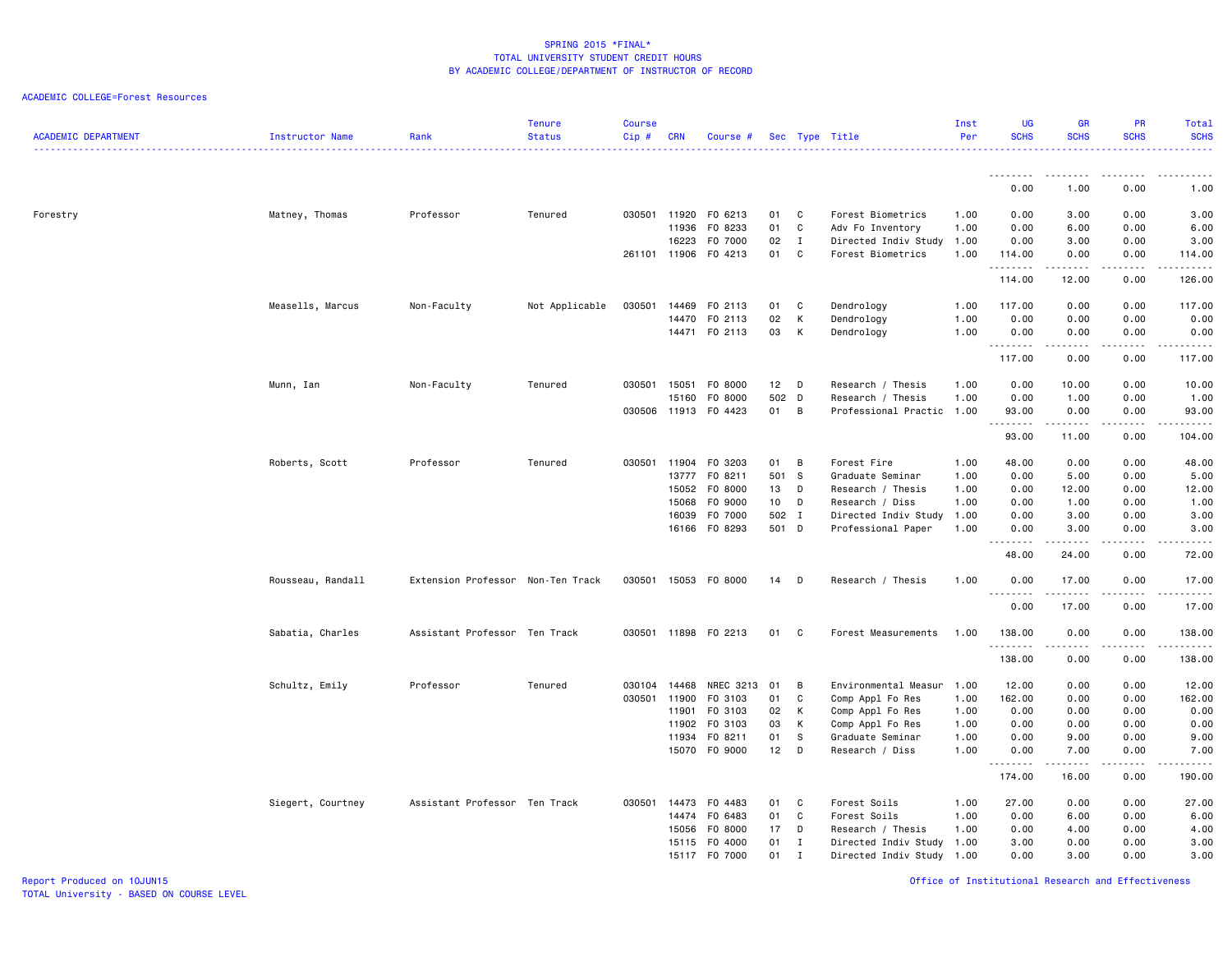| <b>ACADEMIC DEPARTMENT</b> | Instructor Name   | Rank                              | <b>Tenure</b><br><b>Status</b> | <b>Course</b><br>Cip# | <b>CRN</b>   | Course #                 |                 |                | Sec Type Title                                  | Inst<br>Per | <b>UG</b><br><b>SCHS</b> | <b>GR</b><br><b>SCHS</b> | <b>PR</b><br><b>SCHS</b> | Total<br><b>SCHS</b><br>.          |
|----------------------------|-------------------|-----------------------------------|--------------------------------|-----------------------|--------------|--------------------------|-----------------|----------------|-------------------------------------------------|-------------|--------------------------|--------------------------|--------------------------|------------------------------------|
|                            |                   |                                   |                                |                       |              |                          |                 |                |                                                 |             |                          | .                        |                          |                                    |
|                            |                   |                                   |                                |                       |              |                          |                 |                |                                                 |             | 0.00                     | 1.00                     | 0.00                     | 1.00                               |
| Forestry                   | Matney, Thomas    | Professor                         | Tenured                        | 030501                | 11920        | F0 6213                  | 01              | C              | Forest Biometrics                               | 1.00        | 0.00                     | 3.00                     | 0.00                     | 3.00                               |
|                            |                   |                                   |                                |                       | 11936        | F0 8233                  | 01              | C              | Adv Fo Inventory                                | 1.00        | 0.00                     | 6.00                     | 0.00                     | 6.00                               |
|                            |                   |                                   |                                |                       | 16223        | F0 7000                  | 02              | $\mathbf{I}$   | Directed Indiv Study 1.00                       |             | 0.00                     | 3.00                     | 0.00                     | 3.00                               |
|                            |                   |                                   |                                |                       | 261101 11906 | F0 4213                  | 01              | C              | Forest Biometrics                               | 1.00        | 114.00<br>.              | 0.00                     | 0.00                     | 114.00<br>$    -$                  |
|                            |                   |                                   |                                |                       |              |                          |                 |                |                                                 |             | 114.00                   | 12.00                    | 0.00                     | 126.00                             |
|                            | Measells, Marcus  | Non-Faculty                       | Not Applicable                 | 030501                | 14469        | F0 2113                  | 01              | C              | Dendrology                                      | 1.00        | 117.00                   | 0.00                     | 0.00                     | 117.00                             |
|                            |                   |                                   |                                |                       | 14470        | F0 2113                  | 02              | K              | Dendrology                                      | 1.00        | 0.00                     | 0.00                     | 0.00                     | 0.00                               |
|                            |                   |                                   |                                |                       |              | 14471 FO 2113            | 03              | K              | Dendrology                                      | 1.00        | 0.00<br>.                | 0.00<br><u>.</u>         | 0.00<br>.                | 0.00                               |
|                            |                   |                                   |                                |                       |              |                          |                 |                |                                                 |             | 117.00                   | 0.00                     | 0.00                     | 117.00                             |
|                            | Munn, Ian         | Non-Faculty                       | Tenured                        | 030501                | 15051        | F0 8000                  | 12              | D              | Research / Thesis                               | 1.00        | 0.00                     | 10.00                    | 0.00                     | 10.00                              |
|                            |                   |                                   |                                |                       | 15160        | F0 8000                  | 502 D           |                | Research / Thesis                               | 1.00        | 0.00                     | 1.00                     | 0.00                     | 1.00                               |
|                            |                   |                                   |                                | 030506                | 11913        | F0 4423                  | 01              | B              | Professional Practic 1.00                       |             | 93.00<br>.               | 0.00<br>$- - - - -$      | 0.00<br>$\frac{1}{2}$    | 93.00<br>.                         |
|                            |                   |                                   |                                |                       |              |                          |                 |                |                                                 |             | 93.00                    | 11.00                    | 0.00                     | 104.00                             |
|                            | Roberts, Scott    | Professor                         | Tenured                        | 030501                |              | 11904 FO 3203            | 01              | $\overline{B}$ | Forest Fire                                     | 1.00        | 48.00                    | 0.00                     | 0.00                     | 48.00                              |
|                            |                   |                                   |                                |                       | 13777        | F0 8211                  | 501             | <b>S</b>       | Graduate Seminar                                | 1.00        | 0.00                     | 5.00                     | 0.00                     | 5.00                               |
|                            |                   |                                   |                                |                       | 15052        | F0 8000                  | 13              | D              | Research / Thesis                               | 1.00        | 0.00                     | 12.00                    | 0.00                     | 12.00                              |
|                            |                   |                                   |                                |                       | 15068        | F0 9000                  | 10 <sub>1</sub> | D              | Research / Diss                                 | 1.00        | 0.00                     | 1.00                     | 0.00                     | 1.00                               |
|                            |                   |                                   |                                |                       | 16039        | F0 7000<br>16166 FO 8293 | 502 I<br>501 D  |                | Directed Indiv Study 1.00<br>Professional Paper | 1.00        | 0.00<br>0.00             | 3.00<br>3.00             | 0.00<br>0.00             | 3.00<br>3.00                       |
|                            |                   |                                   |                                |                       |              |                          |                 |                |                                                 |             | .                        | د د د د د                | $\sim$ - - -             | $\sim$ $\sim$ $\sim$ $\sim$ $\sim$ |
|                            |                   |                                   |                                |                       |              |                          |                 |                |                                                 |             | 48.00                    | 24.00                    | 0.00                     | 72.00                              |
|                            | Rousseau, Randall | Extension Professor Non-Ten Track |                                | 030501                |              | 15053 FO 8000            | 14              | D              | Research / Thesis                               | 1.00        | 0.00<br>.                | 17.00<br>$   -$          | 0.00<br>$- - -$          | 17.00<br>$    -$                   |
|                            |                   |                                   |                                |                       |              |                          |                 |                |                                                 |             | 0.00                     | 17.00                    | 0.00                     | 17.00                              |
|                            | Sabatia, Charles  | Assistant Professor Ten Track     |                                |                       |              | 030501 11898 FO 2213     | 01              | C              | Forest Measurements                             | 1.00        | 138.00                   | 0.00                     | 0.00                     | 138.00                             |
|                            |                   |                                   |                                |                       |              |                          |                 |                |                                                 |             | .<br>138.00              | 0.00                     | 0.00                     | .<br>138.00                        |
|                            | Schultz, Emily    | Professor                         | Tenured                        | 030104                | 14468        | NREC 3213                | 01              | B              | Environmental Measur 1.00                       |             | 12.00                    | 0.00                     | 0.00                     | 12.00                              |
|                            |                   |                                   |                                | 030501                | 11900        | F0 3103                  | 01              | C              | Comp Appl Fo Res                                | 1.00        | 162.00                   | 0.00                     | 0.00                     | 162.00                             |
|                            |                   |                                   |                                |                       | 11901        | F0 3103                  | 02              | K              | Comp Appl Fo Res                                | 1.00        | 0.00                     | 0.00                     | 0.00                     | 0.00                               |
|                            |                   |                                   |                                |                       | 11902        | F0 3103                  | 03              | K              | Comp Appl Fo Res                                | 1.00        | 0.00                     | 0.00                     | 0.00                     | 0.00                               |
|                            |                   |                                   |                                |                       | 11934        | FO 8211                  | 01              | S              | Graduate Seminar                                | 1.00        | 0.00                     | 9.00                     | 0.00                     | 9.00                               |
|                            |                   |                                   |                                |                       | 15070        | F0 9000                  | 12              | D              | Research / Diss                                 | 1.00        | 0.00<br><u>.</u>         | 7.00                     | 0.00                     | 7.00<br>.                          |
|                            |                   |                                   |                                |                       |              |                          |                 |                |                                                 |             | 174.00                   | 16.00                    | 0.00                     | 190.00                             |
|                            | Siegert, Courtney | Assistant Professor Ten Track     |                                | 030501                | 14473        | F0 4483                  | 01              | C              | Forest Soils                                    | 1.00        | 27.00                    | 0.00                     | 0.00                     | 27.00                              |
|                            |                   |                                   |                                |                       | 14474        | F0 6483                  | 01              | C              | Forest Soils                                    | 1.00        | 0.00                     | 6.00                     | 0.00                     | 6.00                               |
|                            |                   |                                   |                                |                       | 15056        | F0 8000                  | 17              | D              | Research / Thesis                               | 1.00        | 0.00                     | 4.00                     | 0.00                     | 4.00                               |
|                            |                   |                                   |                                |                       | 15115        | F0 4000                  | 01              | $\mathbf{I}$   | Directed Indiv Study 1.00                       |             | 3.00                     | 0.00                     | 0.00                     | 3.00                               |
|                            |                   |                                   |                                |                       |              | 15117 F0 7000            | 01              | $\mathbf I$    | Directed Indiv Study 1.00                       |             | 0.00                     | 3.00                     | 0.00                     | 3.00                               |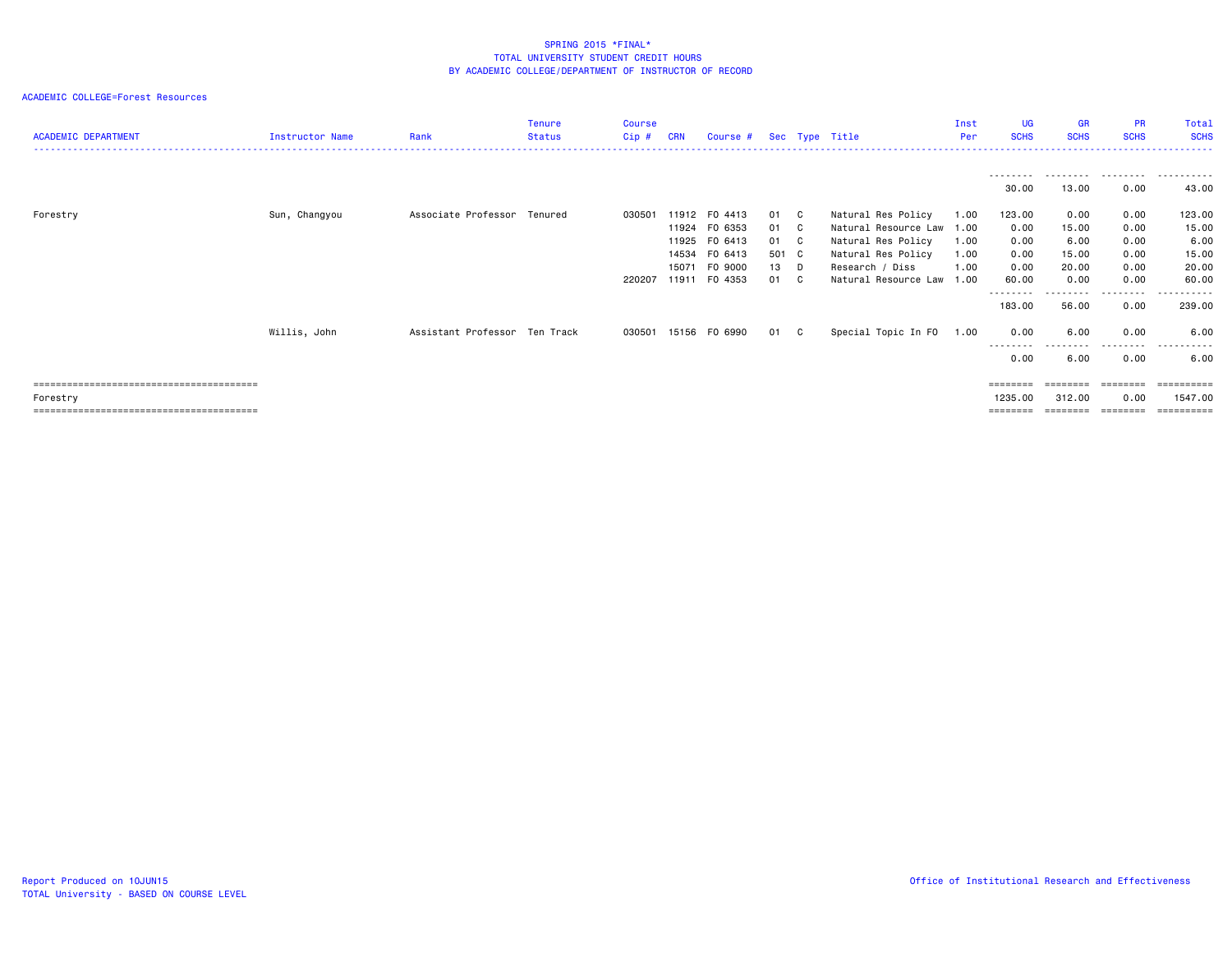| <b>ACADEMIC DEPARTMENT</b> | <b>Instructor Name</b> | Rank                          | <b>Tenure</b><br><b>Status</b> | Course<br>Cip# | <b>CRN</b>     | Course # Sec Type Title             |                       |                                                             | Inst<br>Per          | UG.<br><b>SCHS</b>   | <b>GR</b><br><b>SCHS</b> | <b>PR</b><br><b>SCHS</b>          | Total<br><b>SCHS</b>       |
|----------------------------|------------------------|-------------------------------|--------------------------------|----------------|----------------|-------------------------------------|-----------------------|-------------------------------------------------------------|----------------------|----------------------|--------------------------|-----------------------------------|----------------------------|
|                            |                        |                               |                                |                |                |                                     |                       |                                                             |                      | ---------<br>30.00   | 13.00                    | .<br>0.00                         | .<br>43.00                 |
| Forestry                   | Sun, Changyou          | Associate Professor Tenured   |                                | 030501         |                | 11912 F0 4413<br>11924 FO 6353      | 01 C<br>01 C          | Natural Res Policy<br>Natural Resource Law                  | 1.00<br>1.00         | 123.00<br>0.00       | 0.00<br>15.00            | 0.00<br>0.00                      | 123.00<br>15.00            |
|                            |                        |                               |                                |                | 14534<br>15071 | 11925 FO 6413<br>FO 6413<br>FO 9000 | 01 C<br>501 C<br>13 D | Natural Res Policy<br>Natural Res Policy<br>Research / Diss | 1.00<br>1.00<br>1.00 | 0.00<br>0.00<br>0.00 | 6.00<br>15.00<br>20.00   | 0.00<br>0.00<br>0.00              | 6.00<br>15.00<br>20.00     |
|                            |                        |                               |                                | 220207         |                | 11911 F0 4353                       | 01 C                  | Natural Resource Law                                        | 1.00                 | 60.00<br>183.00      | 0.00<br>56.00            | 0.00<br>- - - - - - - - -<br>0.00 | 60.00<br>-------<br>239.00 |
|                            | Willis, John           | Assistant Professor Ten Track |                                | 030501         |                | 15156 FO 6990                       | 01 C                  | Special Topic In FO                                         | 1.00                 | 0.00<br>---------    | 6.00<br>$- - -$<br>.     | 0.00<br>---------                 | 6.00<br>.                  |
|                            |                        |                               |                                |                |                |                                     |                       |                                                             |                      | 0.00                 | 6.00                     | 0.00                              | 6.00                       |
| Forestry                   |                        |                               |                                |                |                |                                     |                       |                                                             |                      | ========<br>1235.00  | ========<br>312,00       | ========<br>0.00                  | 1547.00<br>==========      |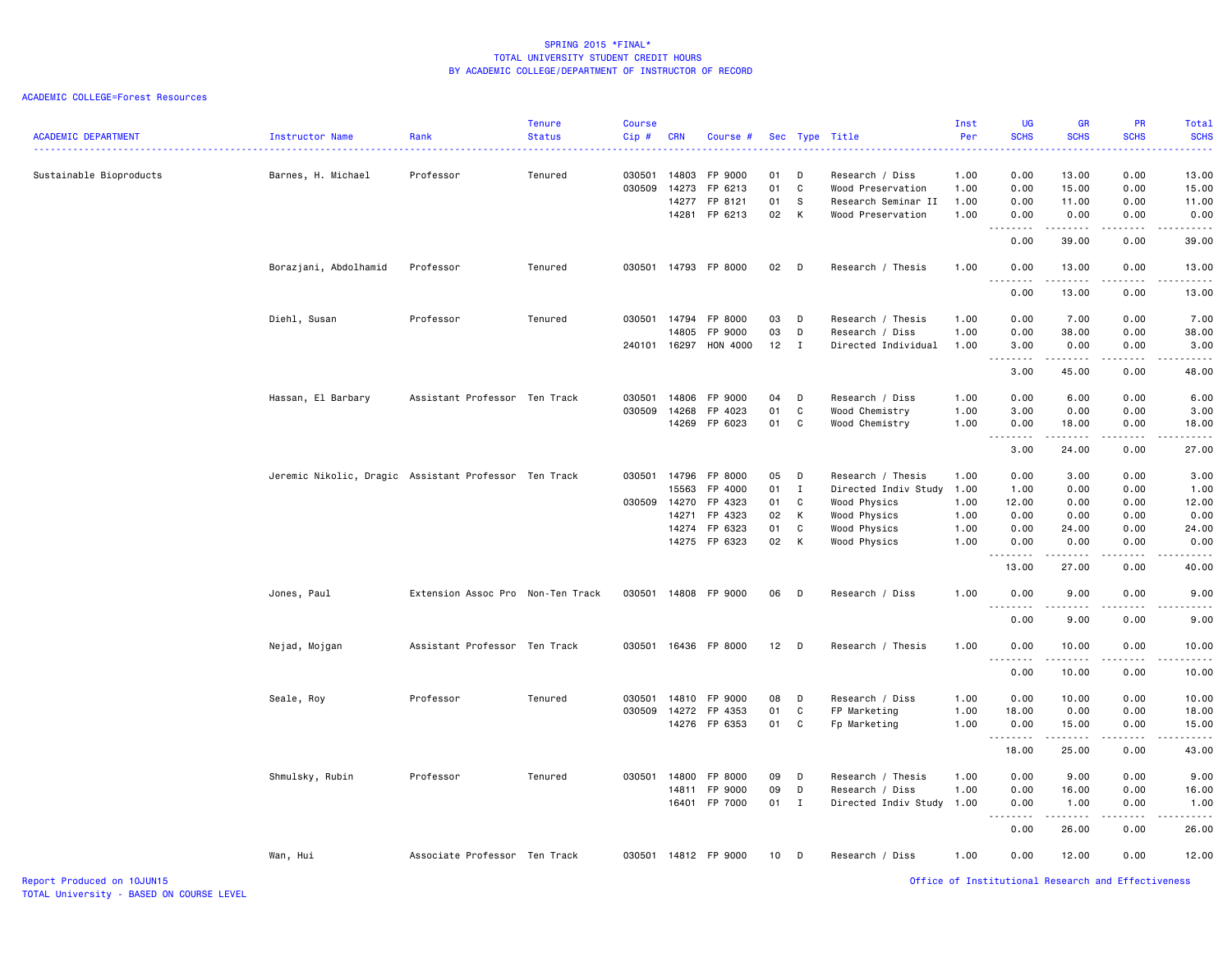| <b>ACADEMIC DEPARTMENT</b> | Instructor Name                                       | Rank                              | <b>Tenure</b><br><b>Status</b> | <b>Course</b><br>Cip# | <b>CRN</b>              | Course #                      |                |                   | Sec Type Title<br>.                                 | Inst<br>Per          | <b>UG</b><br><b>SCHS</b><br>.                        | <b>GR</b><br><b>SCHS</b> | <b>PR</b><br><b>SCHS</b>     | Total<br><b>SCHS</b><br>$\frac{1}{2} \left( \frac{1}{2} \right) \left( \frac{1}{2} \right) \left( \frac{1}{2} \right) \left( \frac{1}{2} \right)$ |
|----------------------------|-------------------------------------------------------|-----------------------------------|--------------------------------|-----------------------|-------------------------|-------------------------------|----------------|-------------------|-----------------------------------------------------|----------------------|------------------------------------------------------|--------------------------|------------------------------|---------------------------------------------------------------------------------------------------------------------------------------------------|
| Sustainable Bioproducts    | Barnes, H. Michael                                    | Professor                         | Tenured                        | 030501<br>030509      | 14803<br>14273          | FP 9000<br>FP 6213            | 01<br>01       | D<br>C            | Research / Diss<br>Wood Preservation                | 1.00<br>1.00         | 0.00<br>0.00                                         | 13.00<br>15.00           | 0.00<br>0.00                 | 13.00<br>15.00                                                                                                                                    |
|                            |                                                       |                                   |                                |                       | 14277<br>14281          | FP 8121<br>FP 6213            | 01<br>02       | s.<br>K           | Research Seminar II<br>Wood Preservation            | 1.00<br>1.00         | 0.00<br>0.00<br>.                                    | 11.00<br>0.00<br>.       | 0.00<br>0.00<br>د د د د      | 11.00<br>0.00<br>.                                                                                                                                |
|                            |                                                       |                                   |                                |                       |                         |                               |                |                   |                                                     |                      | 0.00                                                 | 39.00                    | 0.00                         | 39.00                                                                                                                                             |
|                            | Borazjani, Abdolhamid                                 | Professor                         | Tenured                        | 030501                |                         | 14793 FP 8000                 | 02             | D                 | Research / Thesis                                   | 1.00                 | 0.00                                                 | 13.00<br>-----           | 0.00                         | 13.00<br>$    -$                                                                                                                                  |
|                            |                                                       |                                   |                                |                       |                         |                               |                |                   |                                                     |                      | 0.00                                                 | 13.00                    | 0.00                         | 13.00                                                                                                                                             |
|                            | Diehl, Susan                                          | Professor                         | Tenured                        | 030501 14794          | 14805                   | FP 8000<br>FP 9000            | 03<br>03       | D<br>D            | Research / Thesis<br>Research / Diss                | 1.00<br>1.00         | 0.00<br>0.00                                         | 7.00<br>38.00            | 0.00<br>0.00                 | 7.00<br>38.00                                                                                                                                     |
|                            |                                                       |                                   |                                | 240101 16297          |                         | HON 4000                      | 12             | $\mathbf{I}$      | Directed Individual                                 | 1.00                 | 3.00<br>$\sim$ $\sim$<br>$\sim$ $\sim$ $\sim$ $\sim$ | 0.00                     | 0.00<br>$\sim$ $\sim$ $\sim$ | 3.00<br>.                                                                                                                                         |
|                            |                                                       |                                   |                                |                       |                         |                               |                |                   |                                                     |                      | 3.00                                                 | 45.00                    | 0.00                         | 48.00                                                                                                                                             |
|                            | Hassan, El Barbary                                    | Assistant Professor Ten Track     |                                | 030501<br>030509      | 14806<br>14268<br>14269 | FP 9000<br>FP 4023<br>FP 6023 | 04<br>01<br>01 | D<br>C<br>C       | Research / Diss<br>Wood Chemistry<br>Wood Chemistry | 1.00<br>1.00<br>1.00 | 0.00<br>3.00<br>0.00                                 | 6.00<br>0.00<br>18.00    | 0.00<br>0.00<br>0.00         | 6.00<br>3.00<br>18.00                                                                                                                             |
|                            |                                                       |                                   |                                |                       |                         |                               |                |                   |                                                     |                      | .<br>$\sim$ $\sim$<br>3.00                           | .<br>24.00               | .<br>0.00                    | $\sim$ $\sim$ $\sim$ $\sim$<br>27.00                                                                                                              |
|                            | Jeremic Nikolic, Dragic Assistant Professor Ten Track |                                   |                                | 030501 14796          | 15563                   | FP 8000<br>FP 4000            | 05<br>01       | D<br>$\mathbf{I}$ | Research / Thesis<br>Directed Indiv Study           | 1.00<br>1.00         | 0.00<br>1.00                                         | 3.00<br>0.00             | 0.00<br>0.00                 | 3.00<br>1.00                                                                                                                                      |
|                            |                                                       |                                   |                                | 030509                | 14270                   | FP 4323                       | 01             | C                 | Wood Physics                                        | 1.00                 | 12.00                                                | 0.00                     | 0.00                         | 12.00                                                                                                                                             |
|                            |                                                       |                                   |                                |                       | 14271                   | FP 4323                       | 02             | K                 | Wood Physics                                        | 1.00                 | 0.00                                                 | 0.00                     | 0.00                         | 0.00                                                                                                                                              |
|                            |                                                       |                                   |                                |                       | 14274                   | FP 6323                       | 01             | C                 | Wood Physics                                        | 1.00                 | 0.00                                                 | 24.00                    | 0.00                         | 24.00                                                                                                                                             |
|                            |                                                       |                                   |                                |                       |                         | 14275 FP 6323                 | 02             | K                 | Wood Physics                                        | 1.00                 | 0.00                                                 | 0.00<br>.                | 0.00<br>$\sim$ $\sim$ $\sim$ | 0.00<br>د د د د د                                                                                                                                 |
|                            |                                                       |                                   |                                |                       |                         |                               |                |                   |                                                     |                      | 13.00                                                | 27.00                    | 0.00                         | 40.00                                                                                                                                             |
|                            | Jones, Paul                                           | Extension Assoc Pro Non-Ten Track |                                | 030501                |                         | 14808 FP 9000                 | 06             | D                 | Research / Diss                                     | 1.00                 | 0.00<br>.                                            | 9.00                     | 0.00                         | 9.00                                                                                                                                              |
|                            |                                                       |                                   |                                |                       |                         |                               |                |                   |                                                     |                      | 0.00                                                 | 9.00                     | 0.00                         | 9.00                                                                                                                                              |
|                            | Nejad, Mojgan                                         | Assistant Professor Ten Track     |                                |                       |                         | 030501 16436 FP 8000          | $12$ D         |                   | Research / Thesis                                   | 1.00                 | 0.00<br><b></b>                                      | 10.00<br>$- - - - - - -$ | 0.00<br>.                    | 10.00<br>.                                                                                                                                        |
|                            |                                                       |                                   |                                |                       |                         |                               |                |                   |                                                     |                      | 0.00                                                 | 10.00                    | 0.00                         | 10.00                                                                                                                                             |
|                            | Seale, Roy                                            | Professor                         | Tenured                        | 030501<br>030509      | 14810                   | FP 9000<br>FP 4353            | 08<br>01       | D<br>C            | Research / Diss                                     | 1.00<br>1.00         | 0.00                                                 | 10.00<br>0.00            | 0.00<br>0.00                 | 10.00<br>18.00                                                                                                                                    |
|                            |                                                       |                                   |                                |                       | 14272                   | 14276 FP 6353                 | 01             | C                 | FP Marketing<br>Fp Marketing                        | 1.00                 | 18.00<br>0.00                                        | 15.00                    | 0.00                         | 15.00                                                                                                                                             |
|                            |                                                       |                                   |                                |                       |                         |                               |                |                   |                                                     |                      | .                                                    | .                        | .<br>0.00                    | .                                                                                                                                                 |
|                            |                                                       |                                   |                                |                       |                         |                               |                |                   |                                                     |                      | 18.00                                                | 25.00                    |                              | 43.00                                                                                                                                             |
|                            | Shmulsky, Rubin                                       | Professor                         | Tenured                        | 030501                | 14800<br>14811          | FP 8000<br>FP 9000            | 09<br>09       | D<br>D            | Research / Thesis<br>Research / Diss                | 1.00<br>1.00         | 0.00<br>0.00                                         | 9.00<br>16.00            | 0.00<br>0.00                 | 9.00<br>16.00                                                                                                                                     |
|                            |                                                       |                                   |                                |                       | 16401                   | FP 7000                       | 01 I           |                   | Directed Indiv Study                                | 1.00                 | 0.00<br><u>.</u>                                     | 1.00<br>$- - - - -$      | 0.00<br>$- - - -$            | 1.00<br>.                                                                                                                                         |
|                            |                                                       |                                   |                                |                       |                         |                               |                |                   |                                                     |                      | 0.00                                                 | 26.00                    | 0.00                         | 26.00                                                                                                                                             |
|                            | Wan, Hui                                              | Associate Professor Ten Track     |                                |                       |                         | 030501 14812 FP 9000          | 10             | D                 | Research / Diss                                     | 1.00                 | 0.00                                                 | 12.00                    | 0.00                         | 12.00                                                                                                                                             |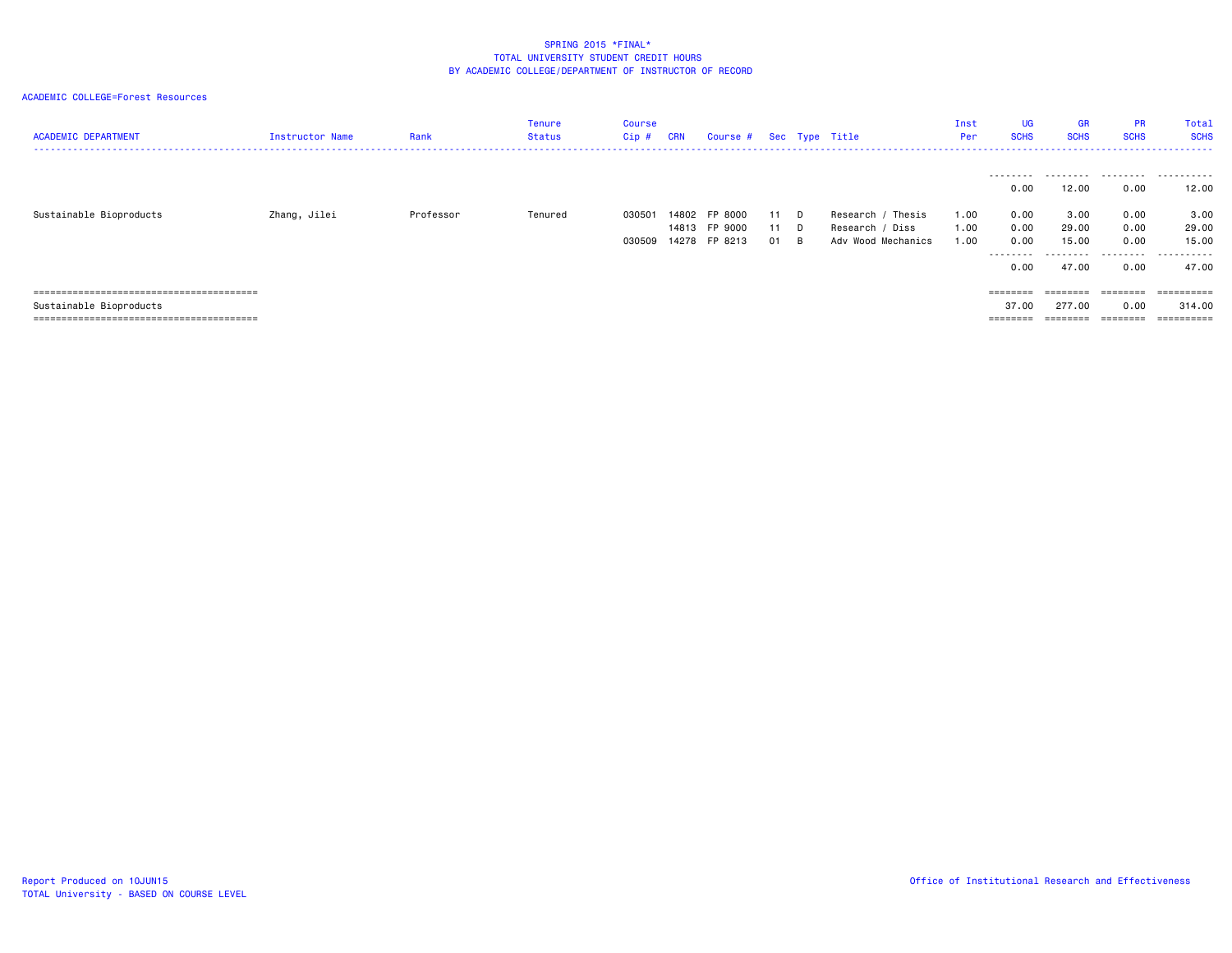| <b>ACADEMIC DEPARTMENT</b> | Instructor Name | Rank      | Tenure<br>Status | Course<br>Cip #  | <b>CRN</b> | Course # Sec Type Title                         |                |               |                                                            | Inst<br>Per          | <b>UG</b><br><b>SCHS</b>                                       | <b>GR</b><br><b>SCHS</b>                           | <b>PR</b><br><b>SCHS</b>                  | Total<br><b>SCHS</b>                               |
|----------------------------|-----------------|-----------|------------------|------------------|------------|-------------------------------------------------|----------------|---------------|------------------------------------------------------------|----------------------|----------------------------------------------------------------|----------------------------------------------------|-------------------------------------------|----------------------------------------------------|
| Sustainable Bioproducts    | Zhang, Jilei    | Professor | Tenured          | 030501<br>030509 |            | 14802 FP 8000<br>14813 FP 9000<br>14278 FP 8213 | 11<br>11<br>01 | D.<br>D.<br>B | Research / Thesis<br>Research / Diss<br>Adv Wood Mechanics | 1.00<br>1.00<br>1.00 | ---------<br>0.00<br>0.00<br>0.00<br>0.00<br>---------<br>0.00 | .<br>12.00<br>3.00<br>29.00<br>15.00<br>.<br>47.00 | 0.00<br>0.00<br>0.00<br>0.00<br>.<br>0.00 | .<br>12.00<br>3.00<br>29.00<br>15.00<br>.<br>47.00 |
|                            |                 |           |                  |                  |            |                                                 |                |               |                                                            |                      | $=$ = = = = = = =                                              | $=$ = = = = = = =                                  | ========                                  | ==========                                         |
| Sustainable Bioproducts    |                 |           |                  |                  |            |                                                 |                |               |                                                            |                      | 37.00                                                          | 277.00                                             | 0.00                                      | 314,00                                             |
|                            |                 |           |                  |                  |            |                                                 |                |               |                                                            |                      |                                                                |                                                    |                                           | ==========                                         |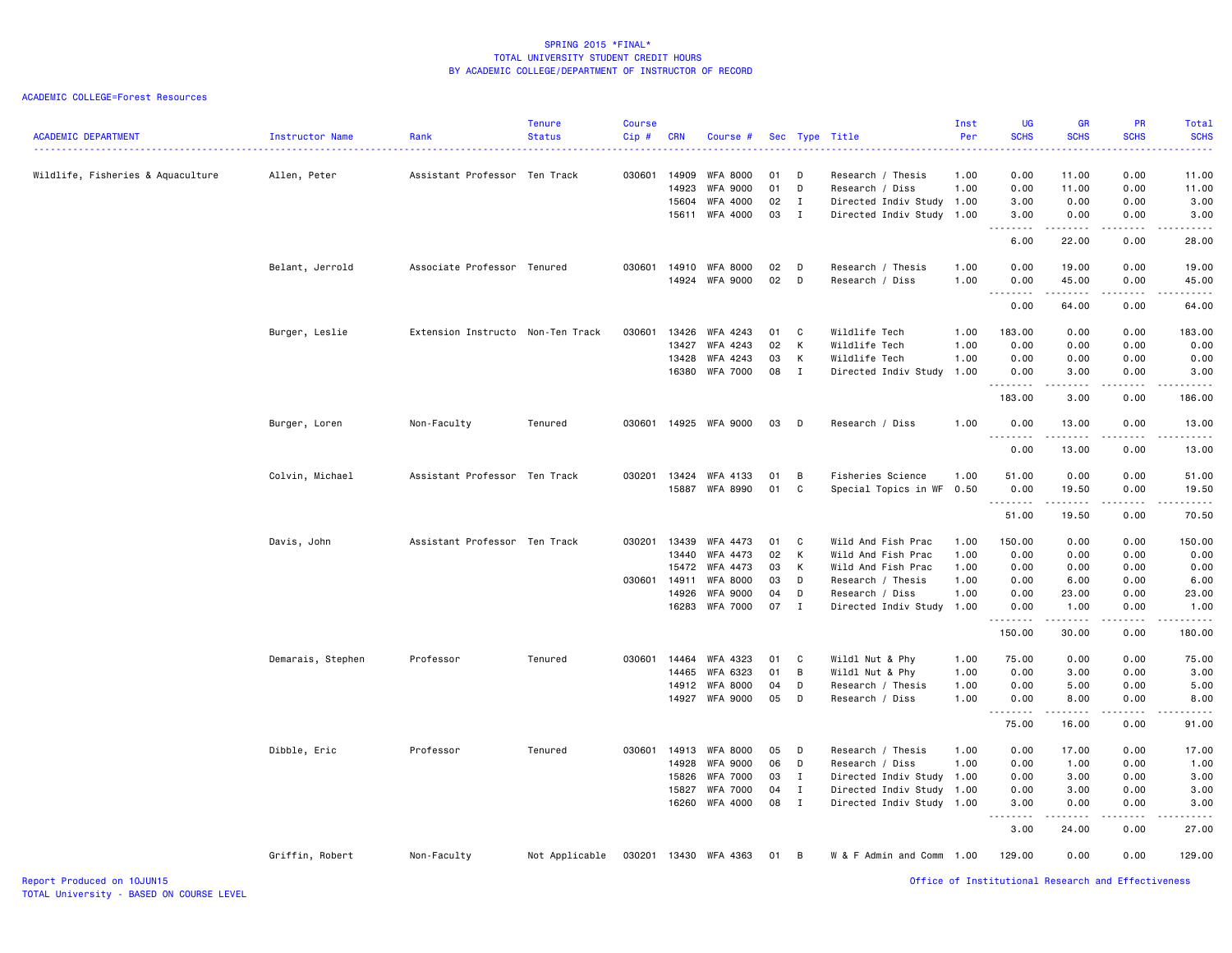| <b>ACADEMIC DEPARTMENT</b>        | Instructor Name   | Rank                              | <b>Tenure</b><br><b>Status</b> | <b>Course</b><br>Cip # | <b>CRN</b>     | Course #                           |          |              | Sec Type Title                       | Inst<br>Per  | <b>UG</b><br><b>SCHS</b>       | <b>GR</b><br><b>SCHS</b> | <b>PR</b><br><b>SCHS</b> | Total<br><b>SCHS</b> |
|-----------------------------------|-------------------|-----------------------------------|--------------------------------|------------------------|----------------|------------------------------------|----------|--------------|--------------------------------------|--------------|--------------------------------|--------------------------|--------------------------|----------------------|
| Wildlife, Fisheries & Aquaculture | Allen, Peter      | Assistant Professor Ten Track     |                                | 030601                 | 14909<br>14923 | <b>WFA 8000</b><br><b>WFA 9000</b> | 01<br>01 | D<br>D       | Research / Thesis<br>Research / Diss | 1.00<br>1.00 | 0.00<br>0.00                   | 11.00<br>11.00           | 0.00<br>0.00             | 11.00<br>11.00       |
|                                   |                   |                                   |                                |                        | 15604          | WFA 4000                           | 02       | $\mathbf{I}$ | Directed Indiv Study                 | 1.00         | 3.00                           | 0.00                     | 0.00                     | 3.00                 |
|                                   |                   |                                   |                                |                        | 15611          | WFA 4000                           | 03       | $\mathbf{I}$ | Directed Indiv Study 1.00            |              | 3.00<br>$\sim$ $\sim$<br>----- | 0.00<br>.                | 0.00                     | 3.00<br>.            |
|                                   |                   |                                   |                                |                        |                |                                    |          |              |                                      |              | 6.00                           | 22.00                    | 0.00                     | 28.00                |
|                                   | Belant, Jerrold   | Associate Professor Tenured       |                                | 030601                 | 14910          | <b>WFA 8000</b>                    | 02       | D            | Research / Thesis                    | 1.00         | 0.00                           | 19.00                    | 0.00                     | 19.00                |
|                                   |                   |                                   |                                |                        |                | 14924 WFA 9000                     | 02       | D            | Research / Diss                      | 1.00         | 0.00<br>.                      | 45.00<br>.               | 0.00<br>.                | 45.00<br>.           |
|                                   |                   |                                   |                                |                        |                |                                    |          |              |                                      |              | 0.00                           | 64.00                    | 0.00                     | 64.00                |
|                                   | Burger, Leslie    | Extension Instructo Non-Ten Track |                                | 030601                 | 13426          | WFA 4243                           | 01       | C            | Wildlife Tech                        | 1.00         | 183.00                         | 0.00                     | 0.00                     | 183.00               |
|                                   |                   |                                   |                                |                        | 13427          | WFA 4243                           | 02       | K            | Wildlife Tech                        | 1.00         | 0.00                           | 0.00                     | 0.00                     | 0.00                 |
|                                   |                   |                                   |                                |                        | 13428          | WFA 4243                           | 03       | К            | Wildlife Tech                        | 1.00         | 0.00                           | 0.00                     | 0.00                     | 0.00                 |
|                                   |                   |                                   |                                |                        | 16380          | <b>WFA 7000</b>                    | 08       | $\mathbf{I}$ | Directed Indiv Study 1.00            |              | 0.00<br><u>.</u>               | 3.00<br><u>.</u>         | 0.00<br>.                | 3.00<br>.            |
|                                   |                   |                                   |                                |                        |                |                                    |          |              |                                      |              | 183.00                         | 3.00                     | 0.00                     | 186.00               |
|                                   | Burger, Loren     | Non-Faculty                       | Tenured                        | 030601                 | 14925          | WFA 9000                           | 03       | D            | Research / Diss                      | 1.00         | 0.00<br>.                      | 13.00<br>.               | 0.00<br>.                | 13.00<br>.           |
|                                   |                   |                                   |                                |                        |                |                                    |          |              |                                      |              | 0.00                           | 13.00                    | 0.00                     | 13.00                |
|                                   | Colvin, Michael   | Assistant Professor Ten Track     |                                | 030201                 | 13424          | WFA 4133                           | 01       | В            | Fisheries Science                    | 1.00         | 51.00                          | 0.00                     | 0.00                     | 51.00                |
|                                   |                   |                                   |                                |                        | 15887          | WFA 8990                           | 01       | $\mathbb C$  | Special Topics in WF                 | 0.50         | 0.00                           | 19.50                    | 0.00                     | 19.50                |
|                                   |                   |                                   |                                |                        |                |                                    |          |              |                                      |              | 51.00                          | .<br>19.50               | .<br>0.00                | .<br>70.50           |
|                                   | Davis, John       | Assistant Professor Ten Track     |                                | 030201                 | 13439          | WFA 4473                           | 01       | C            | Wild And Fish Prac                   | 1.00         | 150.00                         | 0.00                     | 0.00                     | 150.00               |
|                                   |                   |                                   |                                |                        | 13440          | WFA 4473                           | 02       | K            | Wild And Fish Prac                   | 1.00         | 0.00                           | 0.00                     | 0.00                     | 0.00                 |
|                                   |                   |                                   |                                |                        | 15472          | WFA 4473                           | 03       | К            | Wild And Fish Prac                   | 1.00         | 0.00                           | 0.00                     | 0.00                     | 0.00                 |
|                                   |                   |                                   |                                | 030601                 | 14911          | <b>WFA 8000</b>                    | 03       | D            | Research / Thesis                    | 1.00         | 0.00                           | 6.00                     | 0.00                     | 6.00                 |
|                                   |                   |                                   |                                |                        | 14926          | <b>WFA 9000</b>                    | 04       | D            | Research / Diss                      | 1.00         | 0.00                           | 23.00                    | 0.00                     | 23.00                |
|                                   |                   |                                   |                                |                        | 16283          | <b>WFA 7000</b>                    | 07       | $\mathbf{I}$ | Directed Indiv Study 1.00            |              | 0.00                           | 1.00                     | 0.00                     | 1.00                 |
|                                   |                   |                                   |                                |                        |                |                                    |          |              |                                      |              | 150.00                         | .<br>30.00               | .<br>0.00                | .<br>180.00          |
|                                   | Demarais, Stephen | Professor                         | Tenured                        | 030601                 | 14464          | WFA 4323                           | 01       | C            | Wildl Nut & Phy                      | 1.00         | 75.00                          | 0.00                     | 0.00                     | 75.00                |
|                                   |                   |                                   |                                |                        | 14465          | WFA 6323                           | 01       | B            | Wildl Nut & Phy                      | 1.00         | 0.00                           | 3.00                     | 0.00                     | 3.00                 |
|                                   |                   |                                   |                                |                        | 14912          | <b>WFA 8000</b>                    | 04       | D            | Research / Thesis                    | 1.00         | 0.00                           | 5.00                     | 0.00                     | 5.00                 |
|                                   |                   |                                   |                                |                        | 14927          | <b>WFA 9000</b>                    | 05       | D            | Research / Diss                      | 1.00         | 0.00                           | 8.00                     | 0.00                     | 8.00                 |
|                                   |                   |                                   |                                |                        |                |                                    |          |              |                                      |              | 75.00                          | <b>.</b> .<br>16.00      | .<br>0.00                | $    -$<br>91.00     |
|                                   | Dibble, Eric      | Professor                         | Tenured                        | 030601                 | 14913          | WFA 8000                           | 05       | D            | Research / Thesis                    | 1.00         | 0.00                           | 17.00                    | 0.00                     | 17.00                |
|                                   |                   |                                   |                                |                        | 14928          | <b>WFA 9000</b>                    | 06       | D            | Research / Diss                      | 1.00         | 0.00                           | 1.00                     | 0.00                     | 1.00                 |
|                                   |                   |                                   |                                |                        | 15826          | <b>WFA 7000</b>                    | 03       | $\mathbf I$  | Directed Indiv Study 1.00            |              | 0.00                           | 3.00                     | 0.00                     | 3.00                 |
|                                   |                   |                                   |                                |                        | 15827          | <b>WFA 7000</b>                    | 04       | $\mathbf{I}$ | Directed Indiv Study 1.00            |              | 0.00                           | 3.00                     | 0.00                     | 3.00                 |
|                                   |                   |                                   |                                |                        | 16260          | WFA 4000                           | 08       | $\mathbf{I}$ | Directed Indiv Study                 | 1.00         | 3.00                           | 0.00                     | 0.00                     | 3.00                 |
|                                   |                   |                                   |                                |                        |                |                                    |          |              |                                      |              | 3.00                           | 24.00                    | 0.00                     | 27.00                |
|                                   | Griffin, Robert   | Non-Faculty                       | Not Applicable                 | 030201                 |                | 13430 WFA 4363                     | 01       | B            | W & F Admin and Comm 1.00            |              | 129.00                         | 0.00                     | 0.00                     | 129.00               |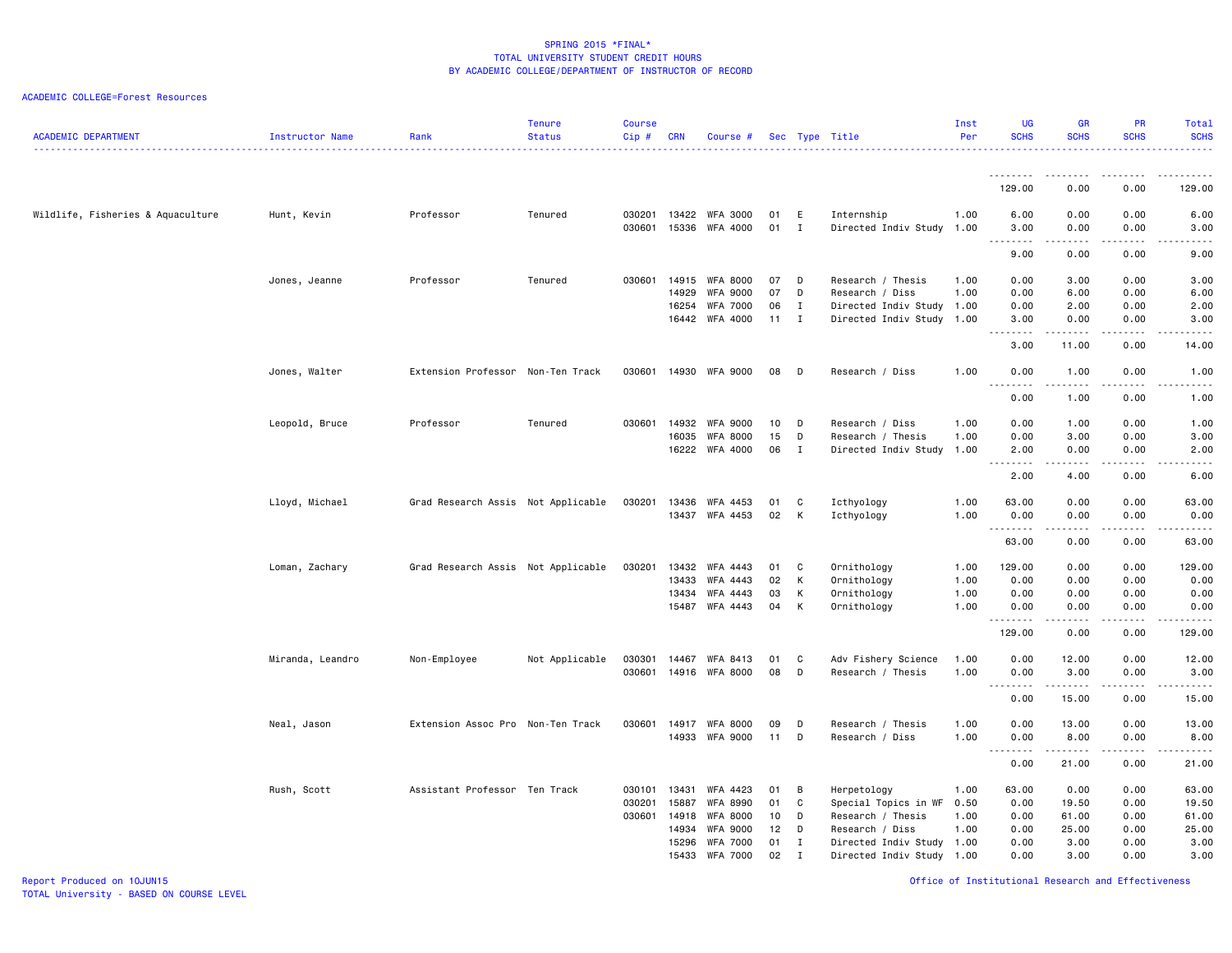| <b>ACADEMIC DEPARTMENT</b>        | Instructor Name  | Rank                               | <b>Tenure</b><br><b>Status</b> | <b>Course</b><br>Cip# | <b>CRN</b>     | Course #                           |          |                | Sec Type Title                          | Inst<br>Per  | <b>UG</b><br><b>SCHS</b>                                                                                                          | <b>GR</b><br><b>SCHS</b> | <b>PR</b><br><b>SCHS</b>            | Total<br><b>SCHS</b>                                                                                                                                         |
|-----------------------------------|------------------|------------------------------------|--------------------------------|-----------------------|----------------|------------------------------------|----------|----------------|-----------------------------------------|--------------|-----------------------------------------------------------------------------------------------------------------------------------|--------------------------|-------------------------------------|--------------------------------------------------------------------------------------------------------------------------------------------------------------|
|                                   |                  |                                    |                                |                       |                |                                    |          |                |                                         |              | .                                                                                                                                 |                          |                                     |                                                                                                                                                              |
|                                   |                  |                                    |                                |                       |                |                                    |          |                |                                         |              | 129.00                                                                                                                            | 0.00                     | 0.00                                | 129.00                                                                                                                                                       |
| Wildlife, Fisheries & Aquaculture | Hunt, Kevin      | Professor                          | Tenured                        | 030201<br>030601      | 13422<br>15336 | WFA 3000<br>WFA 4000               | 01<br>01 | E<br>I         | Internship<br>Directed Indiv Study 1.00 | 1.00         | 6.00<br>3.00                                                                                                                      | 0.00<br>0.00             | 0.00<br>0.00                        | 6.00<br>3.00                                                                                                                                                 |
|                                   |                  |                                    |                                |                       |                |                                    |          |                |                                         |              | $\frac{1}{2} \left( \frac{1}{2} \right) \left( \frac{1}{2} \right) \left( \frac{1}{2} \right) \left( \frac{1}{2} \right)$<br>9.00 | .<br>0.00                | $\sim$ $\sim$ $\sim$<br>0.00        | .<br>9.00                                                                                                                                                    |
|                                   | Jones, Jeanne    | Professor                          | Tenured                        | 030601                | 14915<br>14929 | <b>WFA 8000</b><br><b>WFA 9000</b> | 07<br>07 | D<br>D         | Research / Thesis<br>Research / Diss    | 1.00<br>1.00 | 0.00<br>0.00                                                                                                                      | 3.00<br>6.00             | 0.00<br>0.00                        | 3.00<br>6.00                                                                                                                                                 |
|                                   |                  |                                    |                                |                       | 16254          | <b>WFA 7000</b>                    | 06       | $\mathbf{I}$   | Directed Indiv Study 1.00               |              | 0.00                                                                                                                              | 2.00                     | 0.00                                | 2.00                                                                                                                                                         |
|                                   |                  |                                    |                                |                       | 16442          | WFA 4000                           | 11       | $\mathbf{I}$   | Directed Indiv Study 1.00               |              | 3.00<br>.                                                                                                                         | 0.00<br>$   -$           | 0.00<br>.                           | 3.00<br>.                                                                                                                                                    |
|                                   |                  |                                    |                                |                       |                |                                    |          |                |                                         |              | 3.00                                                                                                                              | 11.00                    | 0.00                                | 14.00                                                                                                                                                        |
|                                   | Jones, Walter    | Extension Professor Non-Ten Track  |                                | 030601                | 14930          | <b>WFA 9000</b>                    | 08       | D              | Research / Diss                         | 1.00         | 0.00<br>.<br>$\sim$ $\sim$ $\sim$                                                                                                 | 1.00<br>.                | 0.00<br>$- - - -$                   | 1.00<br>.                                                                                                                                                    |
|                                   |                  |                                    |                                |                       |                |                                    |          |                |                                         |              | 0.00                                                                                                                              | 1.00                     | 0.00                                | 1.00                                                                                                                                                         |
|                                   | Leopold, Bruce   | Professor                          | Tenured                        | 030601                | 14932          | <b>WFA 9000</b>                    | 10       | D              | Research / Diss                         | 1.00         | 0.00                                                                                                                              | 1.00                     | 0.00                                | 1.00                                                                                                                                                         |
|                                   |                  |                                    |                                |                       | 16035          | <b>WFA 8000</b>                    | 15       | D              | Research / Thesis                       | 1.00         | 0.00                                                                                                                              | 3.00                     | 0.00                                | 3.00                                                                                                                                                         |
|                                   |                  |                                    |                                |                       | 16222          | WFA 4000                           | 06       | $\mathbf{I}$   | Directed Indiv Study 1.00               |              | 2.00<br>د د د د<br>$\sim$ $\sim$                                                                                                  | 0.00<br>.                | 0.00<br>$\sim$ $\sim$ $\sim$ $\sim$ | 2.00<br>.                                                                                                                                                    |
|                                   |                  |                                    |                                |                       |                |                                    |          |                |                                         |              | 2.00                                                                                                                              | 4.00                     | 0.00                                | 6.00                                                                                                                                                         |
|                                   | Lloyd, Michael   | Grad Research Assis Not Applicable |                                | 030201                | 13436          | WFA 4453                           | 01       | C              | Icthyology                              | 1.00         | 63.00                                                                                                                             | 0.00                     | 0.00                                | 63.00                                                                                                                                                        |
|                                   |                  |                                    |                                |                       | 13437          | WFA 4453                           | 02       | K              | Icthyology                              | 1.00         | 0.00<br>.                                                                                                                         | 0.00<br>.                | 0.00<br>$- - - -$                   | 0.00<br>د د د د د                                                                                                                                            |
|                                   |                  |                                    |                                |                       |                |                                    |          |                |                                         |              | 63.00                                                                                                                             | 0.00                     | 0.00                                | 63.00                                                                                                                                                        |
|                                   | Loman, Zachary   | Grad Research Assis Not Applicable |                                | 030201                | 13432          | WFA 4443                           | 01       | C              | Ornithology                             | 1.00         | 129.00                                                                                                                            | 0.00                     | 0.00                                | 129.00                                                                                                                                                       |
|                                   |                  |                                    |                                |                       | 13433          | WFA 4443                           | 02       | K              | Ornithology                             | 1.00         | 0.00                                                                                                                              | 0.00                     | 0.00                                | 0.00                                                                                                                                                         |
|                                   |                  |                                    |                                |                       | 13434          | WFA 4443                           | 03       | K              | Ornithology                             | 1.00         | 0.00                                                                                                                              | 0.00                     | 0.00                                | 0.00                                                                                                                                                         |
|                                   |                  |                                    |                                |                       | 15487          | WFA 4443                           | 04       | K              | Ornithology                             | 1.00         | 0.00                                                                                                                              | 0.00                     | 0.00                                | 0.00                                                                                                                                                         |
|                                   |                  |                                    |                                |                       |                |                                    |          |                |                                         |              | 129.00                                                                                                                            | 0.00                     | 0.00                                | 129.00                                                                                                                                                       |
|                                   | Miranda, Leandro | Non-Employee                       | Not Applicable                 | 030301                | 14467          | WFA 8413                           | 01       | C              | Adv Fishery Science                     | 1.00         | 0.00                                                                                                                              | 12.00                    | 0.00                                | 12.00                                                                                                                                                        |
|                                   |                  |                                    |                                | 030601                | 14916          | <b>WFA 8000</b>                    | 08       | D              | Research / Thesis                       | 1.00         | 0.00<br>.                                                                                                                         | 3.00                     | 0.00                                | 3.00<br>$\frac{1}{2} \left( \frac{1}{2} \right) \left( \frac{1}{2} \right) \left( \frac{1}{2} \right) \left( \frac{1}{2} \right) \left( \frac{1}{2} \right)$ |
|                                   |                  |                                    |                                |                       |                |                                    |          |                |                                         |              | 0.00                                                                                                                              | 15.00                    | 0.00                                | 15.00                                                                                                                                                        |
|                                   | Neal, Jason      | Extension Assoc Pro Non-Ten Track  |                                | 030601                | 14917          | <b>WFA 8000</b>                    | 09       | D              | Research / Thesis                       | 1.00         | 0.00                                                                                                                              | 13.00                    | 0.00                                | 13.00                                                                                                                                                        |
|                                   |                  |                                    |                                |                       | 14933          | <b>WFA 9000</b>                    | 11       | D              | Research / Diss                         | 1.00         | 0.00                                                                                                                              | 8.00                     | 0.00                                | 8.00                                                                                                                                                         |
|                                   |                  |                                    |                                |                       |                |                                    |          |                |                                         |              | $\sim$ $\sim$<br>.<br>0.00                                                                                                        | .<br>21.00               | .<br>0.00                           | د د د د د<br>21.00                                                                                                                                           |
|                                   | Rush, Scott      | Assistant Professor Ten Track      |                                | 030101                | 13431          | WFA 4423                           | 01       | $\overline{B}$ | Herpetology                             | 1.00         | 63.00                                                                                                                             | 0.00                     | 0.00                                | 63.00                                                                                                                                                        |
|                                   |                  |                                    |                                | 030201                | 15887          | WFA 8990                           | 01       | C              | Special Topics in WF                    | 0.50         | 0.00                                                                                                                              | 19.50                    | 0.00                                | 19.50                                                                                                                                                        |
|                                   |                  |                                    |                                |                       | 030601 14918   | <b>WFA 8000</b>                    | 10       | D              | Research / Thesis                       | 1.00         | 0.00                                                                                                                              | 61.00                    | 0.00                                | 61.00                                                                                                                                                        |
|                                   |                  |                                    |                                |                       | 14934          | <b>WFA 9000</b>                    | 12       | D              | Research / Diss                         | 1.00         | 0.00                                                                                                                              | 25.00                    | 0.00                                | 25.00                                                                                                                                                        |
|                                   |                  |                                    |                                |                       | 15296          | <b>WFA 7000</b>                    | 01       | $\mathbf{I}$   | Directed Indiv Study 1.00               |              | 0.00                                                                                                                              | 3.00                     | 0.00                                | 3.00                                                                                                                                                         |
|                                   |                  |                                    |                                |                       | 15433          | <b>WFA 7000</b>                    | 02       | $\mathbf{I}$   | Directed Indiv Study 1.00               |              | 0.00                                                                                                                              | 3.00                     | 0.00                                | 3.00                                                                                                                                                         |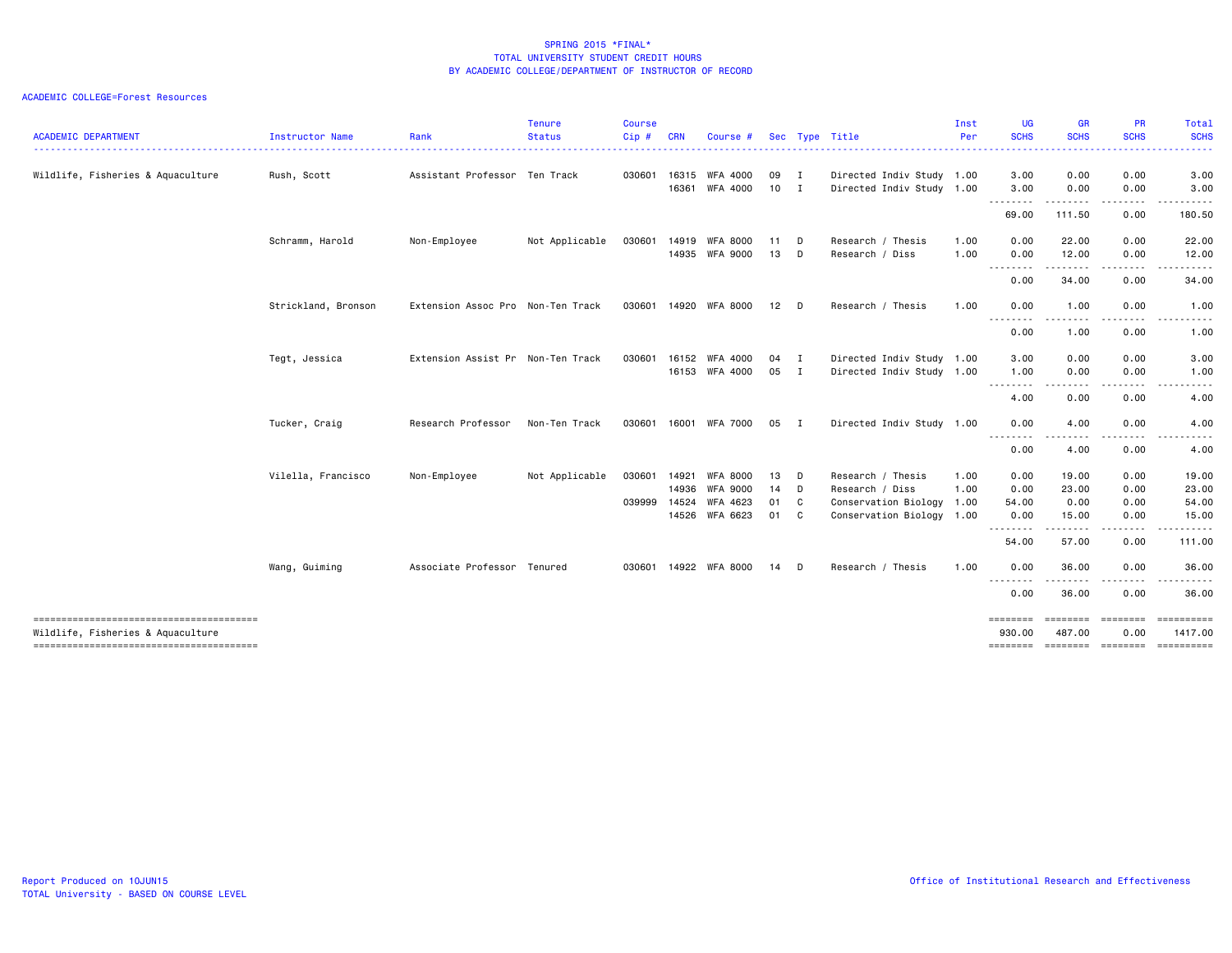| <b>ACADEMIC DEPARTMENT</b>             | Instructor Name     | Rank                              | <b>Tenure</b><br><b>Status</b> | <b>Course</b><br>Cip# | CRN   | Course #        |        |                | Sec Type Title            | Inst<br>Per | <b>UG</b><br><b>SCHS</b> | <b>GR</b><br><b>SCHS</b>                                                                                                                                     | PR<br><b>SCHS</b>      | Total<br><b>SCHS</b>  |
|----------------------------------------|---------------------|-----------------------------------|--------------------------------|-----------------------|-------|-----------------|--------|----------------|---------------------------|-------------|--------------------------|--------------------------------------------------------------------------------------------------------------------------------------------------------------|------------------------|-----------------------|
| Wildlife, Fisheries & Aquaculture      | Rush, Scott         | Assistant Professor Ten Track     |                                | 030601                | 16315 | WFA 4000        | 09     | $\blacksquare$ | Directed Indiv Study 1.00 |             | .<br>3.00                | .<br>0.00                                                                                                                                                    | 0.00                   | -----<br>3.00         |
|                                        |                     |                                   |                                |                       | 16361 | WFA 4000        | $10$ I |                | Directed Indiv Study 1.00 |             | 3.00                     | 0.00                                                                                                                                                         | 0.00                   | 3.00                  |
|                                        |                     |                                   |                                |                       |       |                 |        |                |                           |             | <u>.</u><br>69.00        | <u>.</u><br>111.50                                                                                                                                           | . <b>.</b><br>0.00     | 180.50                |
|                                        | Schramm, Harold     | Non-Employee                      | Not Applicable                 | 030601                | 14919 | <b>WFA 8000</b> | 11     | D              | Research / Thesis         | 1.00        | 0.00                     | 22.00                                                                                                                                                        | 0.00                   | 22.00                 |
|                                        |                     |                                   |                                |                       | 14935 | WFA 9000        | 13     | D              | Research / Diss           | 1.00        | 0.00                     | 12.00                                                                                                                                                        | 0.00                   | 12.00                 |
|                                        |                     |                                   |                                |                       |       |                 |        |                |                           |             | --------<br>0.00         | .<br>34.00                                                                                                                                                   | .<br>0.00              | 34.00                 |
|                                        | Strickland, Bronson | Extension Assoc Pro Non-Ten Track |                                | 030601                | 14920 | WFA 8000        | 12     | D              | Research / Thesis         | 1.00        | 0.00                     | 1.00                                                                                                                                                         | 0.00                   | 1.00                  |
|                                        |                     |                                   |                                |                       |       |                 |        |                |                           |             | 0.00                     | - - -<br>1.00                                                                                                                                                | 0.00                   | 1.00                  |
|                                        | Tegt, Jessica       | Extension Assist Pr Non-Ten Track |                                | 030601                | 16152 | WFA 4000        | 04     | $\blacksquare$ | Directed Indiv Study 1.00 |             | 3.00                     | 0.00                                                                                                                                                         | 0.00                   | 3.00                  |
|                                        |                     |                                   |                                |                       | 16153 | WFA 4000        | 05     | $\mathbf{I}$   | Directed Indiv Study 1.00 |             | 1.00                     | 0.00                                                                                                                                                         | 0.00                   | 1.00                  |
|                                        |                     |                                   |                                |                       |       |                 |        |                |                           |             | .<br>4.00                | $\sim$ $\sim$ $\sim$<br>0.00                                                                                                                                 | 0.00                   | .<br>4.00             |
|                                        | Tucker, Craig       | Research Professor                | Non-Ten Track                  | 030601                |       | 16001 WFA 7000  | 05     | $\mathbf I$    | Directed Indiv Study 1.00 |             | 0.00                     | 4.00                                                                                                                                                         | 0.00                   | 4.00                  |
|                                        |                     |                                   |                                |                       |       |                 |        |                |                           |             | --------<br>0.00         | $\frac{1}{2} \left( \frac{1}{2} \right) \left( \frac{1}{2} \right) \left( \frac{1}{2} \right) \left( \frac{1}{2} \right) \left( \frac{1}{2} \right)$<br>4.00 | 0.00                   | <u>.</u><br>4.00      |
|                                        | Vilella, Francisco  | Non-Employee                      | Not Applicable                 | 030601                | 14921 | <b>WFA 8000</b> | 13     | D              | Research / Thesis         | 1.00        | 0.00                     | 19.00                                                                                                                                                        | 0.00                   | 19.00                 |
|                                        |                     |                                   |                                |                       | 14936 | <b>WFA 9000</b> | 14     | $\mathsf{D}$   | Research / Diss           | 1.00        | 0.00                     | 23.00                                                                                                                                                        | 0.00                   | 23.00                 |
|                                        |                     |                                   |                                | 039999                | 14524 | WFA 4623        | 01     | C              | Conservation Biology 1.00 |             | 54.00                    | 0.00                                                                                                                                                         | 0.00                   | 54.00                 |
|                                        |                     |                                   |                                |                       | 14526 | WFA 6623        | 01     | $\mathbf{C}$   | Conservation Biology 1.00 |             | 0.00<br><u>.</u>         | 15.00<br>. <u>.</u>                                                                                                                                          | 0.00<br>.              | 15.00<br>.            |
|                                        |                     |                                   |                                |                       |       |                 |        |                |                           |             | 54.00                    | 57.00                                                                                                                                                        | 0.00                   | 111.00                |
|                                        | Wang, Guiming       | Associate Professor Tenured       |                                | 030601                | 14922 | WFA 8000        | 14     | D              | Research / Thesis         | 1.00        | 0.00                     | 36.00                                                                                                                                                        | 0.00                   | 36.00                 |
|                                        |                     |                                   |                                |                       |       |                 |        |                |                           |             | .<br>0.00                | .<br>36.00                                                                                                                                                   | 0.00                   | .<br>36.00            |
| Wildlife, Fisheries & Aquaculture      |                     |                                   |                                |                       |       |                 |        |                |                           |             | <b>EDESSER</b><br>930.00 | $=$ = = = = = = =<br>487.00                                                                                                                                  | <b>EEEEEEE</b><br>0.00 | ==========<br>1417.00 |
| -------------------------------------- |                     |                                   |                                |                       |       |                 |        |                |                           |             | ========                 |                                                                                                                                                              | ==================     | -----------           |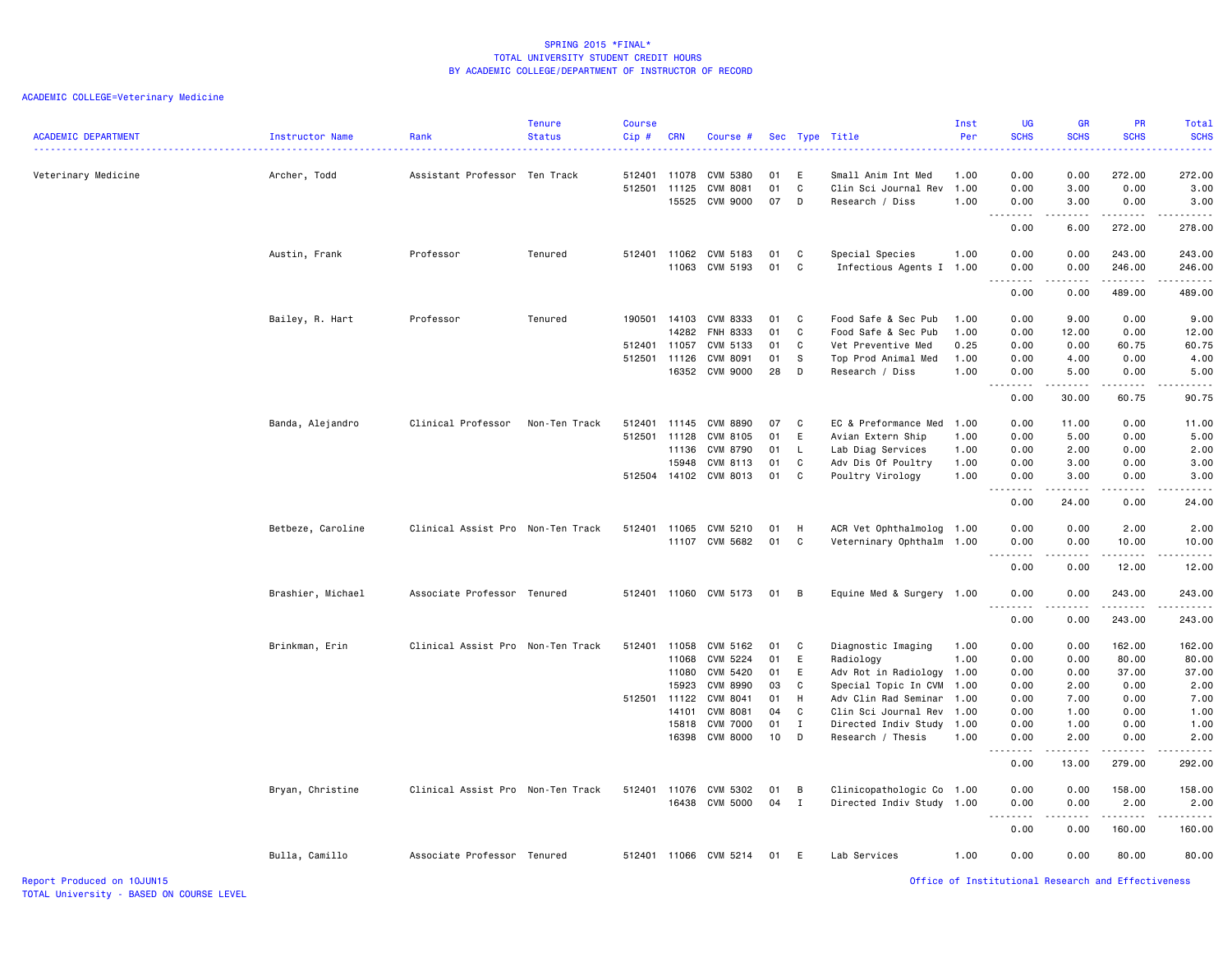# ACADEMIC COLLEGE=Veterinary Medicine

| <b>ACADEMIC DEPARTMENT</b> | Instructor Name   | Rank                              | <b>Tenure</b><br><b>Status</b> | <b>Course</b><br>Cip# | <b>CRN</b> | Course #              |    |              | Sec Type Title            | Inst<br>Per | <b>UG</b><br><b>SCHS</b>                                                                                                                                                     | <b>GR</b><br><b>SCHS</b>                                                                                                                                     | PR<br><b>SCHS</b> | Total<br><b>SCHS</b><br>.                                                                                                       |
|----------------------------|-------------------|-----------------------------------|--------------------------------|-----------------------|------------|-----------------------|----|--------------|---------------------------|-------------|------------------------------------------------------------------------------------------------------------------------------------------------------------------------------|--------------------------------------------------------------------------------------------------------------------------------------------------------------|-------------------|---------------------------------------------------------------------------------------------------------------------------------|
| Veterinary Medicine        | Archer, Todd      | Assistant Professor Ten Track     |                                | 512401                | 11078      | CVM 5380              | 01 | E            | Small Anim Int Med        | 1.00        | 0.00                                                                                                                                                                         | 0.00                                                                                                                                                         | 272.00            | 272.00                                                                                                                          |
|                            |                   |                                   |                                | 512501                | 11125      | <b>CVM 8081</b>       | 01 | C            | Clin Sci Journal Rev      | 1.00        | 0.00                                                                                                                                                                         | 3.00                                                                                                                                                         | 0.00              | 3.00                                                                                                                            |
|                            |                   |                                   |                                |                       | 15525      | CVM 9000              | 07 | D            | Research / Diss           | 1.00        | 0.00                                                                                                                                                                         | 3.00<br>$\frac{1}{2} \left( \frac{1}{2} \right) \left( \frac{1}{2} \right) \left( \frac{1}{2} \right) \left( \frac{1}{2} \right) \left( \frac{1}{2} \right)$ | 0.00<br>.         | 3.00                                                                                                                            |
|                            |                   |                                   |                                |                       |            |                       |    |              |                           |             | .<br>0.00                                                                                                                                                                    | 6.00                                                                                                                                                         | 272.00            | 278.00                                                                                                                          |
|                            | Austin, Frank     | Professor                         | Tenured                        | 512401                | 11062      | CVM 5183              | 01 | C            | Special Species           | 1.00        | 0.00                                                                                                                                                                         | 0.00                                                                                                                                                         | 243.00            | 243.00                                                                                                                          |
|                            |                   |                                   |                                |                       | 11063      | CVM 5193              | 01 | C            | Infectious Agents I 1.00  |             | 0.00                                                                                                                                                                         | 0.00                                                                                                                                                         | 246.00            | 246.00                                                                                                                          |
|                            |                   |                                   |                                |                       |            |                       |    |              |                           |             | .<br>0.00                                                                                                                                                                    | 0.00                                                                                                                                                         | 489.00            | $\begin{array}{cccccccccc} \bullet & \bullet & \bullet & \bullet & \bullet & \bullet & \bullet & \bullet \end{array}$<br>489.00 |
|                            | Bailey, R. Hart   | Professor                         | Tenured                        | 190501 14103          |            | CVM 8333              | 01 | C            | Food Safe & Sec Pub       | 1.00        | 0.00                                                                                                                                                                         | 9.00                                                                                                                                                         | 0.00              | 9.00                                                                                                                            |
|                            |                   |                                   |                                |                       | 14282      | FNH 8333              | 01 | $\mathbf c$  | Food Safe & Sec Pub       | 1.00        | 0.00                                                                                                                                                                         | 12.00                                                                                                                                                        | 0.00              | 12.00                                                                                                                           |
|                            |                   |                                   |                                | 512401                | 11057      | CVM 5133              | 01 | C            | Vet Preventive Med        | 0.25        | 0.00                                                                                                                                                                         | 0.00                                                                                                                                                         | 60.75             | 60.75                                                                                                                           |
|                            |                   |                                   |                                | 512501                | 11126      | CVM 8091              | 01 | -S           | Top Prod Animal Med       | 1.00        | 0.00                                                                                                                                                                         | 4.00                                                                                                                                                         | 0.00              | 4.00                                                                                                                            |
|                            |                   |                                   |                                |                       | 16352      | <b>CVM 9000</b>       | 28 | D            | Research / Diss           | 1.00        | 0.00                                                                                                                                                                         | 5.00                                                                                                                                                         | 0.00              | 5.00                                                                                                                            |
|                            |                   |                                   |                                |                       |            |                       |    |              |                           |             | $\sim$ $\sim$<br>-----<br>0.00                                                                                                                                               | .<br>30.00                                                                                                                                                   | .<br>60.75        | .<br>90.75                                                                                                                      |
|                            | Banda, Alejandro  | Clinical Professor                | Non-Ten Track                  | 512401                | 11145      | <b>CVM 8890</b>       | 07 | C            | EC & Preformance Med      | 1.00        | 0.00                                                                                                                                                                         | 11.00                                                                                                                                                        | 0.00              | 11.00                                                                                                                           |
|                            |                   |                                   |                                | 512501                | 11128      | CVM 8105              | 01 | E            | Avian Extern Ship         | 1.00        | 0.00                                                                                                                                                                         | 5.00                                                                                                                                                         | 0.00              | 5.00                                                                                                                            |
|                            |                   |                                   |                                |                       | 11136      | CVM 8790              | 01 | L.           | Lab Diag Services         | 1.00        | 0.00                                                                                                                                                                         | 2.00                                                                                                                                                         | 0.00              | 2.00                                                                                                                            |
|                            |                   |                                   |                                |                       | 15948      | CVM 8113              | 01 | C            | Adv Dis Of Poultry        | 1.00        | 0.00                                                                                                                                                                         | 3.00                                                                                                                                                         | 0.00              | 3.00                                                                                                                            |
|                            |                   |                                   |                                | 512504                | 14102      | CVM 8013              | 01 | C            | Poultry Virology          | 1.00        | 0.00                                                                                                                                                                         | 3.00                                                                                                                                                         | 0.00              | 3.00                                                                                                                            |
|                            |                   |                                   |                                |                       |            |                       |    |              |                           |             | $\sim$ $\sim$<br>.<br>0.00                                                                                                                                                   | .<br>24.00                                                                                                                                                   | $- - - -$<br>0.00 | .<br>24.00                                                                                                                      |
|                            | Betbeze, Caroline | Clinical Assist Pro Non-Ten Track |                                | 512401                | 11065      | CVM 5210              | 01 | H            | ACR Vet Ophthalmolog 1.00 |             | 0.00                                                                                                                                                                         | 0.00                                                                                                                                                         | 2.00              | 2.00                                                                                                                            |
|                            |                   |                                   |                                |                       | 11107      | CVM 5682              | 01 | C            | Veterninary Ophthalm 1.00 |             | 0.00                                                                                                                                                                         | 0.00                                                                                                                                                         | 10.00             | 10.00                                                                                                                           |
|                            |                   |                                   |                                |                       |            |                       |    |              |                           |             | $\sim$ $\sim$ $\sim$<br>$\frac{1}{2} \left( \frac{1}{2} \right) \left( \frac{1}{2} \right) \left( \frac{1}{2} \right) \left( \frac{1}{2} \right) \left( \frac{1}{2} \right)$ | . <u>.</u> .                                                                                                                                                 | .                 | .                                                                                                                               |
|                            |                   |                                   |                                |                       |            |                       |    |              |                           |             | 0.00                                                                                                                                                                         | 0.00                                                                                                                                                         | 12.00             | 12.00                                                                                                                           |
|                            | Brashier, Michael | Associate Professor Tenured       |                                | 512401 11060          |            | CVM 5173              | 01 | B            | Equine Med & Surgery 1.00 |             | 0.00<br>.                                                                                                                                                                    | 0.00                                                                                                                                                         | 243.00<br>.       | 243.00                                                                                                                          |
|                            |                   |                                   |                                |                       |            |                       |    |              |                           |             | 0.00                                                                                                                                                                         | 0.00                                                                                                                                                         | 243.00            | 243.00                                                                                                                          |
|                            | Brinkman, Erin    | Clinical Assist Pro Non-Ten Track |                                | 512401                | 11058      | CVM 5162              | 01 | C            | Diagnostic Imaging        | 1.00        | 0.00                                                                                                                                                                         | 0.00                                                                                                                                                         | 162.00            | 162.00                                                                                                                          |
|                            |                   |                                   |                                |                       | 11068      | CVM 5224              | 01 | E            | Radiology                 | 1.00        | 0.00                                                                                                                                                                         | 0.00                                                                                                                                                         | 80.00             | 80.00                                                                                                                           |
|                            |                   |                                   |                                |                       | 11080      | CVM 5420              | 01 | E            | Adv Rot in Radiology 1.00 |             | 0.00                                                                                                                                                                         | 0.00                                                                                                                                                         | 37.00             | 37.00                                                                                                                           |
|                            |                   |                                   |                                |                       | 15923      | <b>CVM 8990</b>       | 03 | C            | Special Topic In CVM 1.00 |             | 0.00                                                                                                                                                                         | 2.00                                                                                                                                                         | 0.00              | 2.00                                                                                                                            |
|                            |                   |                                   |                                | 512501                | 11122      | CVM 8041              | 01 | н            | Adv Clin Rad Seminar 1.00 |             | 0.00                                                                                                                                                                         | 7.00                                                                                                                                                         | 0.00              | 7.00                                                                                                                            |
|                            |                   |                                   |                                |                       | 14101      | CVM 8081              | 04 | C            | Clin Sci Journal Rev 1.00 |             | 0.00                                                                                                                                                                         | 1.00                                                                                                                                                         | 0.00              | 1.00                                                                                                                            |
|                            |                   |                                   |                                |                       | 15818      | <b>CVM 7000</b>       | 01 | I            | Directed Indiv Study      | 1.00        | 0.00                                                                                                                                                                         | 1.00                                                                                                                                                         | 0.00              | 1.00                                                                                                                            |
|                            |                   |                                   |                                |                       | 16398      | <b>CVM 8000</b>       | 10 | D            | Research / Thesis         | 1.00        | 0.00<br>.                                                                                                                                                                    | 2.00<br>.                                                                                                                                                    | 0.00              | 2.00                                                                                                                            |
|                            |                   |                                   |                                |                       |            |                       |    |              |                           |             | 0.00                                                                                                                                                                         | 13.00                                                                                                                                                        | 279.00            | 292.00                                                                                                                          |
|                            | Bryan, Christine  | Clinical Assist Pro Non-Ten Track |                                | 512401                | 11076      | CVM 5302              | 01 | B            | Clinicopathologic Co 1.00 |             | 0.00                                                                                                                                                                         | 0.00                                                                                                                                                         | 158.00            | 158.00                                                                                                                          |
|                            |                   |                                   |                                |                       | 16438      | <b>CVM 5000</b>       | 04 | $\mathbf{I}$ | Directed Indiv Study 1.00 |             | 0.00                                                                                                                                                                         | 0.00                                                                                                                                                         | 2.00              | 2.00                                                                                                                            |
|                            |                   |                                   |                                |                       |            |                       |    |              |                           |             | $\sim$ $\sim$<br>0.00                                                                                                                                                        | 0.00                                                                                                                                                         | .<br>160.00       | 160.00                                                                                                                          |
|                            | Bulla, Camillo    | Associate Professor Tenured       |                                |                       |            | 512401 11066 CVM 5214 | 01 | E            | Lab Services              | 1.00        | 0.00                                                                                                                                                                         | 0.00                                                                                                                                                         | 80.00             | 80.00                                                                                                                           |

Report Produced on 10JUN15 Office of Institutional Research and Effectiveness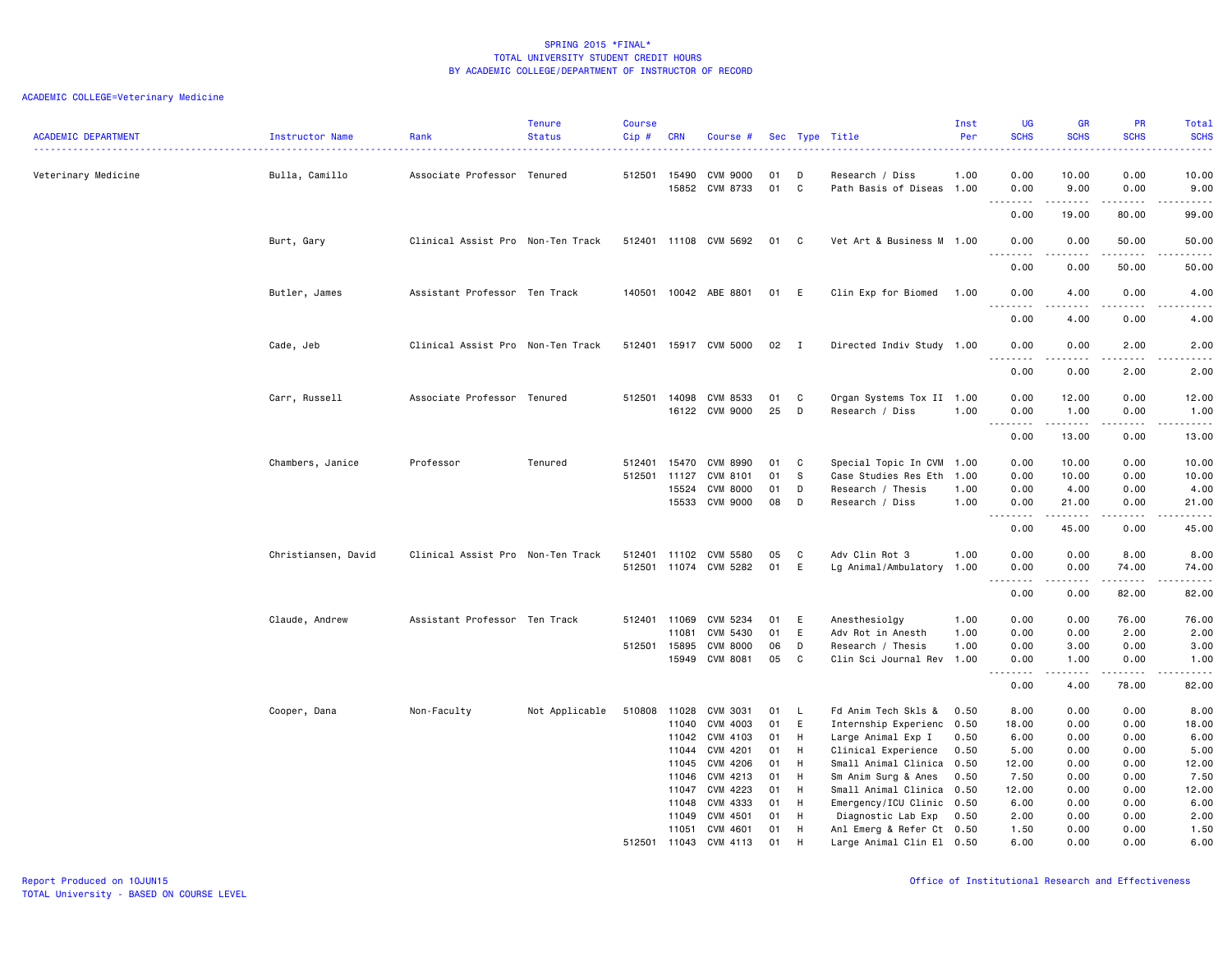| <b>ACADEMIC DEPARTMENT</b> | <b>Instructor Name</b> | Rank                              | <b>Tenure</b><br><b>Status</b> | <b>Course</b><br>Cip # | <b>CRN</b>     | Course #                    |          |              | Sec Type Title                                  | Inst<br>Per | <b>UG</b><br><b>SCHS</b>                                    | <b>GR</b><br><b>SCHS</b>                                                                                                                                      | PR<br><b>SCHS</b>                                                                                                                                             | Total<br><b>SCHS</b><br>.                                                                                                                                                                |
|----------------------------|------------------------|-----------------------------------|--------------------------------|------------------------|----------------|-----------------------------|----------|--------------|-------------------------------------------------|-------------|-------------------------------------------------------------|---------------------------------------------------------------------------------------------------------------------------------------------------------------|---------------------------------------------------------------------------------------------------------------------------------------------------------------|------------------------------------------------------------------------------------------------------------------------------------------------------------------------------------------|
| Veterinary Medicine        | Bulla, Camillo         | Associate Professor Tenured       |                                | 512501 15490           | 15852          | <b>CVM 9000</b><br>CVM 8733 | 01<br>01 | D<br>C       | Research / Diss<br>Path Basis of Diseas 1.00    | 1.00        | 0.00<br>0.00                                                | 10.00<br>9.00                                                                                                                                                 | 0.00<br>0.00                                                                                                                                                  | 10.00<br>9.00                                                                                                                                                                            |
|                            |                        |                                   |                                |                        |                |                             |          |              |                                                 |             | د د د د<br>0.00                                             | .<br>19.00                                                                                                                                                    | .<br>80.00                                                                                                                                                    | $\omega_{\alpha}=\omega_{\alpha}=\omega_{\alpha}$<br>99.00                                                                                                                               |
|                            |                        |                                   |                                |                        |                |                             |          |              |                                                 |             |                                                             |                                                                                                                                                               |                                                                                                                                                               |                                                                                                                                                                                          |
|                            | Burt, Gary             | Clinical Assist Pro Non-Ten Track |                                |                        |                | 512401 11108 CVM 5692       | 01       | $\mathbf{C}$ | Vet Art & Business M 1.00                       |             | 0.00<br>$\sim$ $\sim$                                       | 0.00                                                                                                                                                          | 50.00                                                                                                                                                         | 50.00<br>د د د د د                                                                                                                                                                       |
|                            |                        |                                   |                                |                        |                |                             |          |              |                                                 |             | 0.00                                                        | 0.00                                                                                                                                                          | 50.00                                                                                                                                                         | 50.00                                                                                                                                                                                    |
|                            | Butler, James          | Assistant Professor Ten Track     |                                |                        |                | 140501 10042 ABE 8801       | 01       | E            | Clin Exp for Biomed                             | 1.00        | 0.00                                                        | 4.00                                                                                                                                                          | 0.00                                                                                                                                                          | 4.00                                                                                                                                                                                     |
|                            |                        |                                   |                                |                        |                |                             |          |              |                                                 |             | $\sim$ $\sim$ $\sim$<br>$\sim$ $\sim$ $\sim$ $\sim$<br>0.00 | 4.00                                                                                                                                                          | .<br>0.00                                                                                                                                                     | .<br>4.00                                                                                                                                                                                |
|                            | Cade, Jeb              | Clinical Assist Pro Non-Ten Track |                                |                        |                | 512401 15917 CVM 5000       | 02       | $\mathbf{I}$ | Directed Indiv Study 1.00                       |             | 0.00                                                        | 0.00                                                                                                                                                          | 2.00                                                                                                                                                          | 2.00                                                                                                                                                                                     |
|                            |                        |                                   |                                |                        |                |                             |          |              |                                                 |             | .<br>0.00                                                   | .<br>0.00                                                                                                                                                     | .<br>2.00                                                                                                                                                     | .<br>2.00                                                                                                                                                                                |
|                            | Carr, Russell          | Associate Professor Tenured       |                                | 512501                 | 14098          | CVM 8533                    | 01       | C            | Organ Systems Tox II 1.00                       |             | 0.00                                                        | 12.00                                                                                                                                                         | 0.00                                                                                                                                                          | 12.00                                                                                                                                                                                    |
|                            |                        |                                   |                                |                        |                | 16122 CVM 9000              | 25       | D            | Research / Diss                                 | 1.00        | 0.00                                                        | 1.00                                                                                                                                                          | 0.00                                                                                                                                                          | 1.00                                                                                                                                                                                     |
|                            |                        |                                   |                                |                        |                |                             |          |              |                                                 |             | $\omega$ $\omega$ $\omega$<br>.<br>0.00                     | $\frac{1}{2} \left( \frac{1}{2} \right) \left( \frac{1}{2} \right) \left( \frac{1}{2} \right) \left( \frac{1}{2} \right) \left( \frac{1}{2} \right)$<br>13.00 | $\sim$ $\sim$ $\sim$ $\sim$<br>0.00                                                                                                                           | $\frac{1}{2} \left( \frac{1}{2} \right) \left( \frac{1}{2} \right) \left( \frac{1}{2} \right) \left( \frac{1}{2} \right) \left( \frac{1}{2} \right) \left( \frac{1}{2} \right)$<br>13.00 |
|                            | Chambers, Janice       | Professor                         | Tenured                        | 512401                 | 15470          | CVM 8990                    | 01       | C            | Special Topic In CVM 1.00                       |             | 0.00                                                        | 10.00                                                                                                                                                         | 0.00                                                                                                                                                          | 10.00                                                                                                                                                                                    |
|                            |                        |                                   |                                | 512501 11127           |                | CVM 8101                    | 01       | S            | Case Studies Res Eth 1.00                       |             | 0.00                                                        | 10.00                                                                                                                                                         | 0.00                                                                                                                                                          | 10.00                                                                                                                                                                                    |
|                            |                        |                                   |                                |                        | 15524          | CVM 8000                    | 01       | D            | Research / Thesis                               | 1.00        | 0.00                                                        | 4.00                                                                                                                                                          | 0.00                                                                                                                                                          | 4.00                                                                                                                                                                                     |
|                            |                        |                                   |                                |                        | 15533          | CVM 9000                    | 08       | D            | Research / Diss                                 | 1.00        | 0.00<br>.                                                   | 21.00<br>المتمامين                                                                                                                                            | 0.00<br>.                                                                                                                                                     | 21.00<br>.                                                                                                                                                                               |
|                            |                        |                                   |                                |                        |                |                             |          |              |                                                 |             | 0.00                                                        | 45.00                                                                                                                                                         | 0.00                                                                                                                                                          | 45.00                                                                                                                                                                                    |
|                            | Christiansen, David    | Clinical Assist Pro Non-Ten Track |                                |                        |                | 512401 11102 CVM 5580       | 05       | C            | Adv Clin Rot 3                                  | 1.00        | 0.00                                                        | 0.00                                                                                                                                                          | 8.00                                                                                                                                                          | 8.00                                                                                                                                                                                     |
|                            |                        |                                   |                                |                        |                | 512501 11074 CVM 5282       | 01       | E            | Lg Animal/Ambulatory                            | 1.00        | 0.00                                                        | 0.00                                                                                                                                                          | 74.00                                                                                                                                                         | 74.00                                                                                                                                                                                    |
|                            |                        |                                   |                                |                        |                |                             |          |              |                                                 |             | $\sim$ $\sim$ $\sim$<br>$\sim$ $\sim$ $\sim$ $\sim$<br>0.00 | .<br>0.00                                                                                                                                                     | $\frac{1}{2} \left( \frac{1}{2} \right) \left( \frac{1}{2} \right) \left( \frac{1}{2} \right) \left( \frac{1}{2} \right) \left( \frac{1}{2} \right)$<br>82.00 | $\frac{1}{2} \left( \frac{1}{2} \right) \left( \frac{1}{2} \right) \left( \frac{1}{2} \right) \left( \frac{1}{2} \right) \left( \frac{1}{2} \right)$<br>82.00                            |
|                            | Claude, Andrew         | Assistant Professor Ten Track     |                                |                        | 512401 11069   | CVM 5234                    | 01       | E            | Anesthesiolgy                                   | 1.00        | 0.00                                                        | 0.00                                                                                                                                                          | 76.00                                                                                                                                                         | 76.00                                                                                                                                                                                    |
|                            |                        |                                   |                                |                        | 11081          | CVM 5430                    | 01       | E            | Adv Rot in Anesth                               | 1.00        | 0.00                                                        | 0.00                                                                                                                                                          | 2.00                                                                                                                                                          | 2.00                                                                                                                                                                                     |
|                            |                        |                                   |                                | 512501 15895           |                | <b>CVM 8000</b>             | 06       | D            | Research / Thesis                               | 1.00        | 0.00                                                        | 3.00                                                                                                                                                          | 0.00                                                                                                                                                          | 3.00                                                                                                                                                                                     |
|                            |                        |                                   |                                |                        | 15949          | <b>CVM 8081</b>             | 05       | C            | Clin Sci Journal Rev 1.00                       |             | 0.00                                                        | 1.00                                                                                                                                                          | 0.00                                                                                                                                                          | 1.00                                                                                                                                                                                     |
|                            |                        |                                   |                                |                        |                |                             |          |              |                                                 |             | .<br>0.00                                                   | .<br>4.00                                                                                                                                                     | .<br>78.00                                                                                                                                                    | $\frac{1}{2} \left( \frac{1}{2} \right) \left( \frac{1}{2} \right) \left( \frac{1}{2} \right) \left( \frac{1}{2} \right) \left( \frac{1}{2} \right)$<br>82.00                            |
|                            | Cooper, Dana           | Non-Faculty                       | Not Applicable                 | 510808 11028           |                | CVM 3031                    | 01       | L.           | Fd Anim Tech Skls &                             | 0.50        | 8.00                                                        | 0.00                                                                                                                                                          | 0.00                                                                                                                                                          | 8.00                                                                                                                                                                                     |
|                            |                        |                                   |                                |                        | 11040          | CVM 4003                    | 01       | Ε            | Internship Experienc 0.50                       |             | 18.00                                                       | 0.00                                                                                                                                                          | 0.00                                                                                                                                                          | 18.00                                                                                                                                                                                    |
|                            |                        |                                   |                                |                        | 11042          | CVM 4103                    | 01       | H            | Large Animal Exp I                              | 0.50        | 6.00                                                        | 0.00                                                                                                                                                          | 0.00                                                                                                                                                          | 6.00                                                                                                                                                                                     |
|                            |                        |                                   |                                |                        | 11044          | CVM 4201                    | 01       | H            | Clinical Experience                             | 0.50        | 5.00                                                        | 0.00                                                                                                                                                          | 0.00                                                                                                                                                          | 5.00                                                                                                                                                                                     |
|                            |                        |                                   |                                |                        | 11045          | CVM 4206                    | 01       | H            | Small Animal Clinica 0.50                       |             | 12.00                                                       | 0.00                                                                                                                                                          | 0.00                                                                                                                                                          | 12.00                                                                                                                                                                                    |
|                            |                        |                                   |                                |                        | 11046          | CVM 4213                    | 01       | H            | Sm Anim Surg & Anes                             | 0.50        | 7.50                                                        | 0.00                                                                                                                                                          | 0.00                                                                                                                                                          | 7.50                                                                                                                                                                                     |
|                            |                        |                                   |                                |                        | 11047          | CVM 4223                    | 01       | H            | Small Animal Clinica 0.50                       |             | 12.00                                                       | 0.00                                                                                                                                                          | 0.00                                                                                                                                                          | 12.00                                                                                                                                                                                    |
|                            |                        |                                   |                                |                        | 11048<br>11049 | CVM 4333<br>CVM 4501        | 01<br>01 | H<br>H       | Emergency/ICU Clinic 0.50<br>Diagnostic Lab Exp | 0.50        | 6.00<br>2.00                                                | 0.00<br>0.00                                                                                                                                                  | 0.00<br>0.00                                                                                                                                                  | 6.00<br>2.00                                                                                                                                                                             |
|                            |                        |                                   |                                |                        | 11051          | CVM 4601                    | 01       | H            | Anl Emerg & Refer Ct 0.50                       |             | 1.50                                                        | 0.00                                                                                                                                                          | 0.00                                                                                                                                                          | 1.50                                                                                                                                                                                     |
|                            |                        |                                   |                                |                        | 512501 11043   | CVM 4113                    | 01       | H            | Large Animal Clin El 0.50                       |             | 6.00                                                        | 0.00                                                                                                                                                          | 0.00                                                                                                                                                          | 6.00                                                                                                                                                                                     |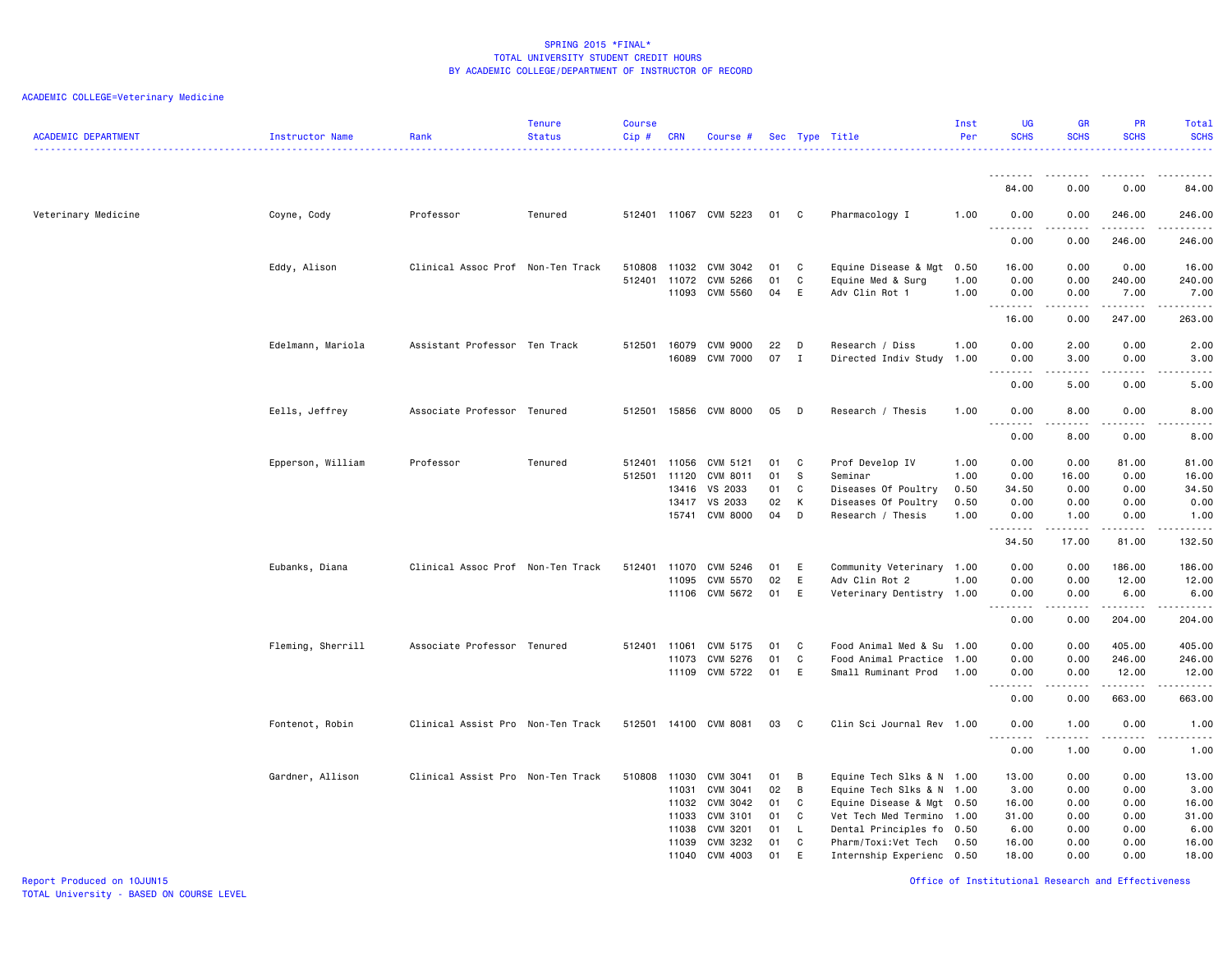| <b>ACADEMIC DEPARTMENT</b> | Instructor Name   | Rank                              | Tenure<br><b>Status</b> | <b>Course</b><br>$Cip \#$ | CRN            | Course #              |          |                  | Sec Type Title                                 | Inst<br>Per  | UG<br><b>SCHS</b>                                                                                                                                                                                                                                                                                                                                                                                                                                                                              | <b>GR</b><br><b>SCHS</b>                                                                                                                                      | PR<br><b>SCHS</b>                                                                                                                                             | Total<br><b>SCHS</b><br><u>.</u> |
|----------------------------|-------------------|-----------------------------------|-------------------------|---------------------------|----------------|-----------------------|----------|------------------|------------------------------------------------|--------------|------------------------------------------------------------------------------------------------------------------------------------------------------------------------------------------------------------------------------------------------------------------------------------------------------------------------------------------------------------------------------------------------------------------------------------------------------------------------------------------------|---------------------------------------------------------------------------------------------------------------------------------------------------------------|---------------------------------------------------------------------------------------------------------------------------------------------------------------|----------------------------------|
|                            |                   |                                   |                         |                           |                |                       |          |                  |                                                |              | --------                                                                                                                                                                                                                                                                                                                                                                                                                                                                                       | 0.00                                                                                                                                                          | 0.00                                                                                                                                                          | 84.00                            |
|                            |                   |                                   |                         |                           |                |                       |          |                  |                                                |              | 84.00                                                                                                                                                                                                                                                                                                                                                                                                                                                                                          |                                                                                                                                                               |                                                                                                                                                               |                                  |
| Veterinary Medicine        | Coyne, Cody       | Professor                         | Tenured                 |                           |                | 512401 11067 CVM 5223 | 01       | $\mathbf{C}$     | Pharmacology I                                 | 1.00         | 0.00<br>.                                                                                                                                                                                                                                                                                                                                                                                                                                                                                      | 0.00<br>$\frac{1}{2}$                                                                                                                                         | 246.00<br>.                                                                                                                                                   | 246.00<br>.                      |
|                            |                   |                                   |                         |                           |                |                       |          |                  |                                                |              | 0.00                                                                                                                                                                                                                                                                                                                                                                                                                                                                                           | 0.00                                                                                                                                                          | 246.00                                                                                                                                                        | 246.00                           |
|                            | Eddy, Alison      | Clinical Assoc Prof Non-Ten Track |                         | 510808<br>512401          | 11032<br>11072 | CVM 3042<br>CVM 5266  | 01<br>01 | C<br>$\mathbf C$ | Equine Disease & Mgt 0.50<br>Equine Med & Surg | 1.00         | 16.00<br>0.00                                                                                                                                                                                                                                                                                                                                                                                                                                                                                  | 0.00<br>0.00                                                                                                                                                  | 0.00<br>240.00                                                                                                                                                | 16.00<br>240.00                  |
|                            |                   |                                   |                         |                           | 11093          | CVM 5560              | 04       | E                | Adv Clin Rot 1                                 | 1.00         | 0.00                                                                                                                                                                                                                                                                                                                                                                                                                                                                                           | 0.00                                                                                                                                                          | 7.00                                                                                                                                                          | 7.00                             |
|                            |                   |                                   |                         |                           |                |                       |          |                  |                                                |              | .<br>16.00                                                                                                                                                                                                                                                                                                                                                                                                                                                                                     | -----<br>0.00                                                                                                                                                 | .<br>247.00                                                                                                                                                   | .<br>263.00                      |
|                            | Edelmann, Mariola | Assistant Professor Ten Track     |                         | 512501                    | 16079          | CVM 9000              | 22       | D                | Research / Diss                                | 1.00         | 0.00                                                                                                                                                                                                                                                                                                                                                                                                                                                                                           | 2.00                                                                                                                                                          | 0.00                                                                                                                                                          | 2.00                             |
|                            |                   |                                   |                         |                           |                | 16089 CVM 7000        | 07       | $\mathbf I$      | Directed Indiv Study                           | 1.00         | 0.00<br>$\sim$ $\sim$ $\sim$<br>$\frac{1}{2} \left( \frac{1}{2} \right) \left( \frac{1}{2} \right) \left( \frac{1}{2} \right) \left( \frac{1}{2} \right) \left( \frac{1}{2} \right)$                                                                                                                                                                                                                                                                                                           | 3.00<br>$\frac{1}{2} \left( \frac{1}{2} \right) \left( \frac{1}{2} \right) \left( \frac{1}{2} \right) \left( \frac{1}{2} \right) \left( \frac{1}{2} \right)$  | 0.00<br>.                                                                                                                                                     | 3.00<br>.                        |
|                            |                   |                                   |                         |                           |                |                       |          |                  |                                                |              | 0.00                                                                                                                                                                                                                                                                                                                                                                                                                                                                                           | 5.00                                                                                                                                                          | 0.00                                                                                                                                                          | 5.00                             |
|                            | Eells, Jeffrey    | Associate Professor Tenured       |                         | 512501                    |                | 15856 CVM 8000        | 05       | D                | Research / Thesis                              | 1.00         | 0.00<br>$\begin{array}{cccccccccccccc} \multicolumn{2}{c}{} & \multicolumn{2}{c}{} & \multicolumn{2}{c}{} & \multicolumn{2}{c}{} & \multicolumn{2}{c}{} & \multicolumn{2}{c}{} & \multicolumn{2}{c}{} & \multicolumn{2}{c}{} & \multicolumn{2}{c}{} & \multicolumn{2}{c}{} & \multicolumn{2}{c}{} & \multicolumn{2}{c}{} & \multicolumn{2}{c}{} & \multicolumn{2}{c}{} & \multicolumn{2}{c}{} & \multicolumn{2}{c}{} & \multicolumn{2}{c}{} & \multicolumn{2}{c}{} & \multicolumn{2}{c}{} & \$ | 8.00<br>$\frac{1}{2} \left( \frac{1}{2} \right) \left( \frac{1}{2} \right) \left( \frac{1}{2} \right) \left( \frac{1}{2} \right) \left( \frac{1}{2} \right)$  | 0.00<br>.                                                                                                                                                     | 8.00<br>.                        |
|                            |                   |                                   |                         |                           |                |                       |          |                  |                                                |              | 0.00                                                                                                                                                                                                                                                                                                                                                                                                                                                                                           | 8.00                                                                                                                                                          | 0.00                                                                                                                                                          | 8.00                             |
|                            | Epperson, William | Professor                         | Tenured                 | 512401                    | 11056          | CVM 5121              | 01       | C                | Prof Develop IV                                | 1.00         | 0.00                                                                                                                                                                                                                                                                                                                                                                                                                                                                                           | 0.00                                                                                                                                                          | 81.00                                                                                                                                                         | 81.00                            |
|                            |                   |                                   |                         | 512501                    | 11120          | CVM 8011              | 01       | -S               | Seminar                                        | 1.00         | 0.00                                                                                                                                                                                                                                                                                                                                                                                                                                                                                           | 16.00                                                                                                                                                         | 0.00                                                                                                                                                          | 16.00                            |
|                            |                   |                                   |                         |                           | 13416<br>13417 | VS 2033<br>VS 2033    | 01<br>02 | C<br>К           | Diseases Of Poultry<br>Diseases Of Poultry     | 0.50<br>0.50 | 34.50<br>0.00                                                                                                                                                                                                                                                                                                                                                                                                                                                                                  | 0.00<br>0.00                                                                                                                                                  | 0.00<br>0.00                                                                                                                                                  | 34.50<br>0.00                    |
|                            |                   |                                   |                         |                           | 15741          | CVM 8000              | 04       | D                | Research / Thesis                              | 1.00         | 0.00                                                                                                                                                                                                                                                                                                                                                                                                                                                                                           | 1.00                                                                                                                                                          | 0.00                                                                                                                                                          | 1.00                             |
|                            |                   |                                   |                         |                           |                |                       |          |                  |                                                |              | .<br>34.50                                                                                                                                                                                                                                                                                                                                                                                                                                                                                     | $\frac{1}{2} \left( \frac{1}{2} \right) \left( \frac{1}{2} \right) \left( \frac{1}{2} \right) \left( \frac{1}{2} \right) \left( \frac{1}{2} \right)$<br>17.00 | $\frac{1}{2} \left( \frac{1}{2} \right) \left( \frac{1}{2} \right) \left( \frac{1}{2} \right) \left( \frac{1}{2} \right) \left( \frac{1}{2} \right)$<br>81.00 | بالمحموم<br>132.50               |
|                            | Eubanks, Diana    | Clinical Assoc Prof Non-Ten Track |                         | 512401 11070              |                | CVM 5246              | 01       | E                | Community Veterinary 1.00                      |              | 0.00                                                                                                                                                                                                                                                                                                                                                                                                                                                                                           | 0.00                                                                                                                                                          | 186.00                                                                                                                                                        | 186.00                           |
|                            |                   |                                   |                         |                           | 11095          | CVM 5570              | 02       | E                | Adv Clin Rot 2                                 | 1.00         | 0.00                                                                                                                                                                                                                                                                                                                                                                                                                                                                                           | 0.00                                                                                                                                                          | 12.00                                                                                                                                                         | 12.00                            |
|                            |                   |                                   |                         |                           | 11106          | CVM 5672              | 01       | E                | Veterinary Dentistry 1.00                      |              | 0.00<br>.                                                                                                                                                                                                                                                                                                                                                                                                                                                                                      | 0.00<br>.                                                                                                                                                     | 6.00<br>.                                                                                                                                                     | 6.00                             |
|                            |                   |                                   |                         |                           |                |                       |          |                  |                                                |              | 0.00                                                                                                                                                                                                                                                                                                                                                                                                                                                                                           | 0.00                                                                                                                                                          | 204.00                                                                                                                                                        | 204.00                           |
|                            | Fleming, Sherrill | Associate Professor Tenured       |                         | 512401 11061              |                | CVM 5175              | 01       | C                | Food Animal Med & Su 1.00                      |              | 0.00                                                                                                                                                                                                                                                                                                                                                                                                                                                                                           | 0.00                                                                                                                                                          | 405.00                                                                                                                                                        | 405.00                           |
|                            |                   |                                   |                         |                           | 11073          | CVM 5276              | 01       | C                | Food Animal Practice 1.00                      |              | 0.00                                                                                                                                                                                                                                                                                                                                                                                                                                                                                           | 0.00                                                                                                                                                          | 246.00                                                                                                                                                        | 246.00                           |
|                            |                   |                                   |                         |                           | 11109          | CVM 5722              | 01       | E                | Small Ruminant Prod                            | 1.00         | 0.00                                                                                                                                                                                                                                                                                                                                                                                                                                                                                           | 0.00<br>$\frac{1}{2}$                                                                                                                                         | 12.00<br>2.2.2.2.2.2                                                                                                                                          | 12.00<br>.                       |
|                            |                   |                                   |                         |                           |                |                       |          |                  |                                                |              | 0.00                                                                                                                                                                                                                                                                                                                                                                                                                                                                                           | 0.00                                                                                                                                                          | 663.00                                                                                                                                                        | 663.00                           |
|                            | Fontenot, Robin   | Clinical Assist Pro Non-Ten Track |                         |                           |                | 512501 14100 CVM 8081 | 03       | C                | Clin Sci Journal Rev 1.00                      |              | 0.00<br>.<br>$\sim$ $\sim$                                                                                                                                                                                                                                                                                                                                                                                                                                                                     | 1.00<br>.                                                                                                                                                     | 0.00                                                                                                                                                          | 1.00<br>-----                    |
|                            |                   |                                   |                         |                           |                |                       |          |                  |                                                |              | 0.00                                                                                                                                                                                                                                                                                                                                                                                                                                                                                           | 1.00                                                                                                                                                          | 0.00                                                                                                                                                          | 1.00                             |
|                            | Gardner, Allison  | Clinical Assist Pro Non-Ten Track |                         | 510808                    | 11030          | CVM 3041              | 01       | В                | Equine Tech Slks & N 1.00                      |              | 13.00                                                                                                                                                                                                                                                                                                                                                                                                                                                                                          | 0.00                                                                                                                                                          | 0.00                                                                                                                                                          | 13.00                            |
|                            |                   |                                   |                         |                           | 11031          | CVM 3041              | 02       | B                | Equine Tech Slks & N 1.00                      |              | 3.00                                                                                                                                                                                                                                                                                                                                                                                                                                                                                           | 0.00                                                                                                                                                          | 0.00                                                                                                                                                          | 3.00                             |
|                            |                   |                                   |                         |                           | 11032          | CVM 3042              | 01       | C                | Equine Disease & Mgt 0.50                      |              | 16.00                                                                                                                                                                                                                                                                                                                                                                                                                                                                                          | 0.00                                                                                                                                                          | 0.00                                                                                                                                                          | 16.00                            |
|                            |                   |                                   |                         |                           | 11033          | CVM 3101              | 01       | C                | Vet Tech Med Termino 1.00                      |              | 31.00                                                                                                                                                                                                                                                                                                                                                                                                                                                                                          | 0.00                                                                                                                                                          | 0.00                                                                                                                                                          | 31.00                            |
|                            |                   |                                   |                         |                           | 11038          | CVM 3201              | 01       | <b>L</b>         | Dental Principles fo 0.50                      |              | 6.00                                                                                                                                                                                                                                                                                                                                                                                                                                                                                           | 0.00                                                                                                                                                          | 0.00                                                                                                                                                          | 6.00                             |
|                            |                   |                                   |                         |                           | 11039          | CVM 3232              | 01       | C                | Pharm/Toxi:Vet Tech                            | 0.50         | 16.00                                                                                                                                                                                                                                                                                                                                                                                                                                                                                          | 0.00                                                                                                                                                          | 0.00                                                                                                                                                          | 16.00                            |
|                            |                   |                                   |                         |                           |                | 11040 CVM 4003        | 01       | E                | Internship Experienc 0.50                      |              | 18.00                                                                                                                                                                                                                                                                                                                                                                                                                                                                                          | 0.00                                                                                                                                                          | 0.00                                                                                                                                                          | 18.00                            |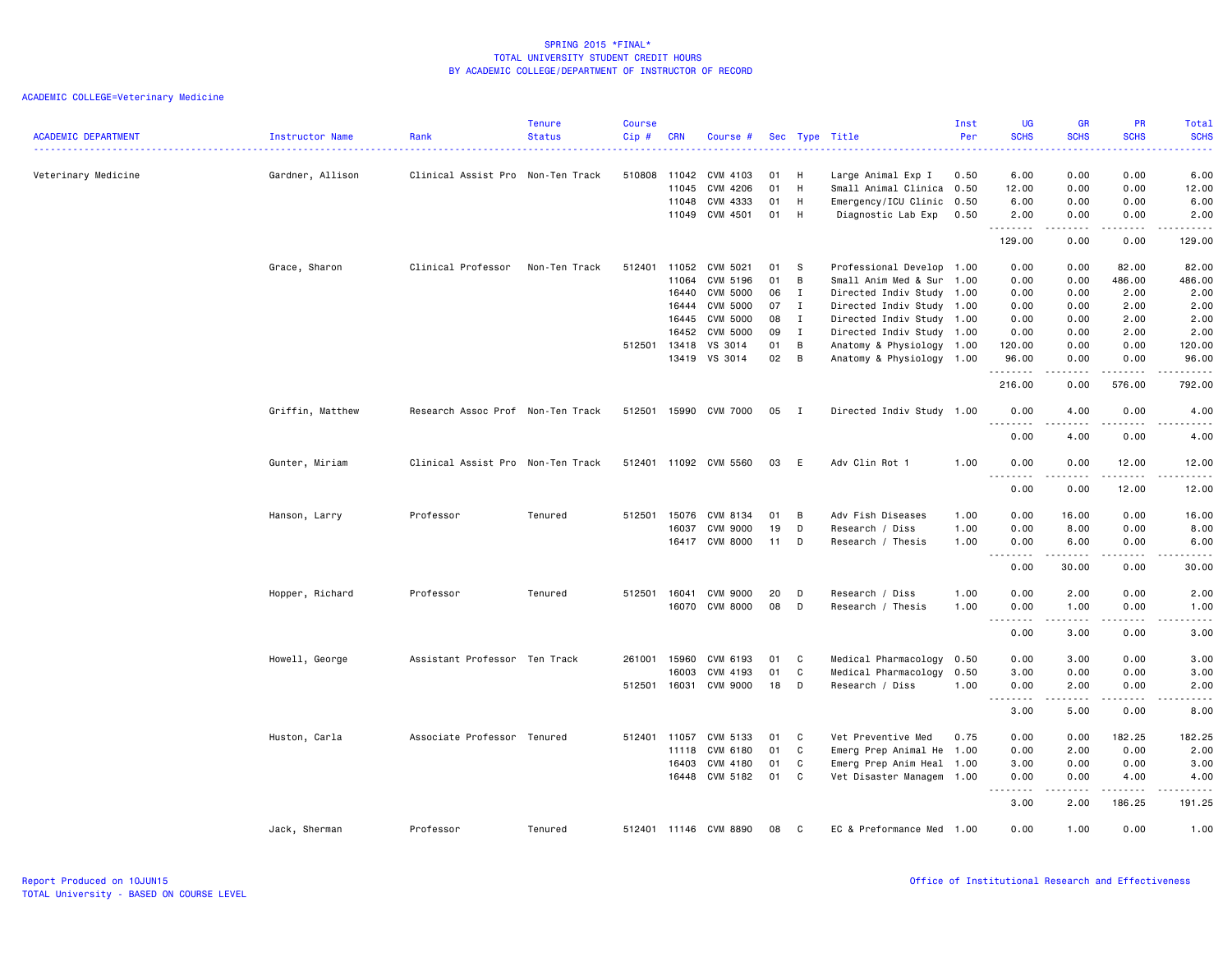| <b>ACADEMIC DEPARTMENT</b> | Instructor Name  | Rank                              | <b>Tenure</b><br><b>Status</b> | <b>Course</b><br>Cip# | <b>CRN</b>   | Course #              |      |                | Sec Type Title            | Inst<br>Per | <b>UG</b><br><b>SCHS</b>              | <b>GR</b><br><b>SCHS</b>                                                                                                                                     | <b>PR</b><br><b>SCHS</b>            | Total<br><b>SCHS</b>                                                                                                                                         |
|----------------------------|------------------|-----------------------------------|--------------------------------|-----------------------|--------------|-----------------------|------|----------------|---------------------------|-------------|---------------------------------------|--------------------------------------------------------------------------------------------------------------------------------------------------------------|-------------------------------------|--------------------------------------------------------------------------------------------------------------------------------------------------------------|
|                            |                  |                                   |                                |                       |              |                       |      |                |                           |             | .                                     |                                                                                                                                                              | $\sim$ $\sim$ $\sim$ $\sim$         | $\frac{1}{2} \left( \frac{1}{2} \right) \left( \frac{1}{2} \right) \left( \frac{1}{2} \right) \left( \frac{1}{2} \right)$                                    |
| Veterinary Medicine        | Gardner, Allison | Clinical Assist Pro Non-Ten Track |                                | 510808                | 11042        | CVM 4103              | 01   | H              | Large Animal Exp I        | 0.50        | 6.00                                  | 0.00                                                                                                                                                         | 0.00                                | 6.00                                                                                                                                                         |
|                            |                  |                                   |                                |                       | 11045        | CVM 4206              | 01   | H              | Small Animal Clinica      | 0.50        | 12.00                                 | 0.00                                                                                                                                                         | 0.00                                | 12.00                                                                                                                                                        |
|                            |                  |                                   |                                |                       | 11048        | CVM 4333              | 01   | H              | Emergency/ICU Clinic      | 0.50        | 6.00                                  | 0.00                                                                                                                                                         | 0.00                                | 6.00                                                                                                                                                         |
|                            |                  |                                   |                                |                       | 11049        | CVM 4501              | 01   | H              | Diagnostic Lab Exp        | 0.50        | 2.00<br>.                             | 0.00                                                                                                                                                         | 0.00<br>$\sim$ $\sim$ $\sim$ $\sim$ | 2.00<br>والمناصبات                                                                                                                                           |
|                            |                  |                                   |                                |                       |              |                       |      |                |                           |             | 129.00                                | 0.00                                                                                                                                                         | 0.00                                | 129.00                                                                                                                                                       |
|                            | Grace, Sharon    | Clinical Professor                | Non-Ten Track                  | 512401                | 11052        | CVM 5021              | 01   | $\mathbf{s}$   | Professional Develop 1.00 |             | 0.00                                  | 0.00                                                                                                                                                         | 82.00                               | 82.00                                                                                                                                                        |
|                            |                  |                                   |                                |                       | 11064        | CVM 5196              | 01   | B              | Small Anim Med & Sur      | 1.00        | 0.00                                  | 0.00                                                                                                                                                         | 486.00                              | 486.00                                                                                                                                                       |
|                            |                  |                                   |                                |                       | 16440        | <b>CVM 5000</b>       | 06   | $\mathbf{I}$   | Directed Indiv Study 1.00 |             | 0.00                                  | 0.00                                                                                                                                                         | 2.00                                | 2.00                                                                                                                                                         |
|                            |                  |                                   |                                |                       | 16444        | <b>CVM 5000</b>       | 07   | $\mathbf{I}$   | Directed Indiv Study 1.00 |             | 0.00                                  | 0.00                                                                                                                                                         | 2.00                                | 2.00                                                                                                                                                         |
|                            |                  |                                   |                                |                       | 16445        | <b>CVM 5000</b>       | 08   | $\mathbf{I}$   | Directed Indiv Study 1.00 |             | 0.00                                  | 0.00                                                                                                                                                         | 2.00                                | 2.00                                                                                                                                                         |
|                            |                  |                                   |                                |                       | 16452        | <b>CVM 5000</b>       | 09   | $\mathbf{I}$   | Directed Indiv Study 1.00 |             | 0.00                                  | 0.00                                                                                                                                                         | 2.00                                | 2.00                                                                                                                                                         |
|                            |                  |                                   |                                | 512501                | 13418        | VS 3014               | 01   | $\overline{B}$ | Anatomy & Physiology 1.00 |             | 120.00                                | 0.00                                                                                                                                                         | 0.00                                | 120.00                                                                                                                                                       |
|                            |                  |                                   |                                |                       | 13419        | VS 3014               | 02 B |                | Anatomy & Physiology 1.00 |             | 96.00<br>.                            | 0.00<br>.                                                                                                                                                    | 0.00<br>.                           | 96.00<br>.                                                                                                                                                   |
|                            |                  |                                   |                                |                       |              |                       |      |                |                           |             | 216.00                                | 0.00                                                                                                                                                         | 576.00                              | 792.00                                                                                                                                                       |
|                            | Griffin, Matthew | Research Assoc Prof Non-Ten Track |                                | 512501                |              | 15990 CVM 7000        | 05 I |                | Directed Indiv Study 1.00 |             | 0.00                                  | 4.00                                                                                                                                                         | 0.00                                | 4.00                                                                                                                                                         |
|                            |                  |                                   |                                |                       |              |                       |      |                |                           |             | .<br>0.00                             | .<br>4.00                                                                                                                                                    | .<br>0.00                           | $\frac{1}{2} \left( \frac{1}{2} \right) \left( \frac{1}{2} \right) \left( \frac{1}{2} \right) \left( \frac{1}{2} \right) \left( \frac{1}{2} \right)$<br>4.00 |
|                            | Gunter, Miriam   | Clinical Assist Pro Non-Ten Track |                                |                       |              | 512401 11092 CVM 5560 | 03 E |                | Adv Clin Rot 1            | 1.00        | 0.00                                  | 0.00                                                                                                                                                         | 12.00                               | 12.00                                                                                                                                                        |
|                            |                  |                                   |                                |                       |              |                       |      |                |                           |             | .<br>0.00                             | $\frac{1}{2} \left( \frac{1}{2} \right) \left( \frac{1}{2} \right) \left( \frac{1}{2} \right) \left( \frac{1}{2} \right) \left( \frac{1}{2} \right)$<br>0.00 | .<br>12.00                          | .<br>12.00                                                                                                                                                   |
|                            | Hanson, Larry    | Professor                         | Tenured                        |                       | 512501 15076 | CVM 8134              | 01   | B              | Adv Fish Diseases         | 1.00        | 0.00                                  | 16.00                                                                                                                                                        | 0.00                                | 16.00                                                                                                                                                        |
|                            |                  |                                   |                                |                       | 16037        | <b>CVM 9000</b>       | 19   | D              | Research / Diss           | 1.00        | 0.00                                  | 8.00                                                                                                                                                         | 0.00                                | 8.00                                                                                                                                                         |
|                            |                  |                                   |                                |                       | 16417        | <b>CVM 8000</b>       | 11   | D              | Research / Thesis         | 1.00        | 0.00                                  | 6.00                                                                                                                                                         | 0.00                                | 6.00                                                                                                                                                         |
|                            |                  |                                   |                                |                       |              |                       |      |                |                           |             | $\sim$ $\sim$ $\sim$<br>.             |                                                                                                                                                              |                                     | $\frac{1}{2} \left( \frac{1}{2} \right) \left( \frac{1}{2} \right) \left( \frac{1}{2} \right) \left( \frac{1}{2} \right) \left( \frac{1}{2} \right)$         |
|                            |                  |                                   |                                |                       |              |                       |      |                |                           |             | 0.00                                  | 30.00                                                                                                                                                        | 0.00                                | 30.00                                                                                                                                                        |
|                            | Hopper, Richard  | Professor                         | Tenured                        | 512501 16041          |              | <b>CVM 9000</b>       | 20   | D              | Research / Diss           | 1.00        | 0.00                                  | 2.00                                                                                                                                                         | 0.00                                | 2.00                                                                                                                                                         |
|                            |                  |                                   |                                |                       | 16070        | CVM 8000              | 08   | D              | Research / Thesis         | 1.00        | 0.00<br>$\sim$ $\sim$ $\sim$<br>.     | 1.00<br>-----                                                                                                                                                | 0.00<br>د د د د                     | 1.00<br>.                                                                                                                                                    |
|                            |                  |                                   |                                |                       |              |                       |      |                |                           |             | 0.00                                  | 3.00                                                                                                                                                         | 0.00                                | 3.00                                                                                                                                                         |
|                            | Howell, George   | Assistant Professor Ten Track     |                                | 261001 15960          |              | CVM 6193              | 01   | C              | Medical Pharmacology      | 0.50        | 0.00                                  | 3.00                                                                                                                                                         | 0.00                                | 3.00                                                                                                                                                         |
|                            |                  |                                   |                                |                       | 16003        | CVM 4193              | 01   | C              | Medical Pharmacology      | 0.50        | 3.00                                  | 0.00                                                                                                                                                         | 0.00                                | 3.00                                                                                                                                                         |
|                            |                  |                                   |                                | 512501 16031          |              | CVM 9000              | 18   | D              | Research / Diss           | 1.00        | 0.00                                  | 2.00                                                                                                                                                         | 0.00                                | 2.00                                                                                                                                                         |
|                            |                  |                                   |                                |                       |              |                       |      |                |                           |             | $\sim$ $\sim$<br>. <u>.</u> .<br>3.00 | .<br>5.00                                                                                                                                                    | 0.00                                | .<br>8.00                                                                                                                                                    |
|                            | Huston, Carla    | Associate Professor Tenured       |                                | 512401 11057          |              | CVM 5133              | 01   | C              | Vet Preventive Med        | 0.75        | 0.00                                  | 0.00                                                                                                                                                         | 182.25                              | 182.25                                                                                                                                                       |
|                            |                  |                                   |                                |                       | 11118        | CVM 6180              | 01   | C              | Emerg Prep Animal He 1.00 |             | 0.00                                  | 2.00                                                                                                                                                         | 0.00                                | 2.00                                                                                                                                                         |
|                            |                  |                                   |                                |                       | 16403        | CVM 4180              | 01   | C              | Emerg Prep Anim Heal 1.00 |             | 3.00                                  | 0.00                                                                                                                                                         | 0.00                                | 3.00                                                                                                                                                         |
|                            |                  |                                   |                                |                       |              | 16448 CVM 5182        | 01   | C              | Vet Disaster Managem 1.00 |             | 0.00                                  | 0.00                                                                                                                                                         | 4.00                                | 4.00                                                                                                                                                         |
|                            |                  |                                   |                                |                       |              |                       |      |                |                           |             | .<br>$\sim$ $\sim$                    | $- - - - -$                                                                                                                                                  | .                                   | .                                                                                                                                                            |
|                            |                  |                                   |                                |                       |              |                       |      |                |                           |             | 3.00                                  | 2.00                                                                                                                                                         | 186.25                              | 191.25                                                                                                                                                       |
|                            | Jack, Sherman    | Professor                         | Tenured                        |                       |              | 512401 11146 CVM 8890 | 08   | C              | EC & Preformance Med 1.00 |             | 0.00                                  | 1.00                                                                                                                                                         | 0.00                                | 1.00                                                                                                                                                         |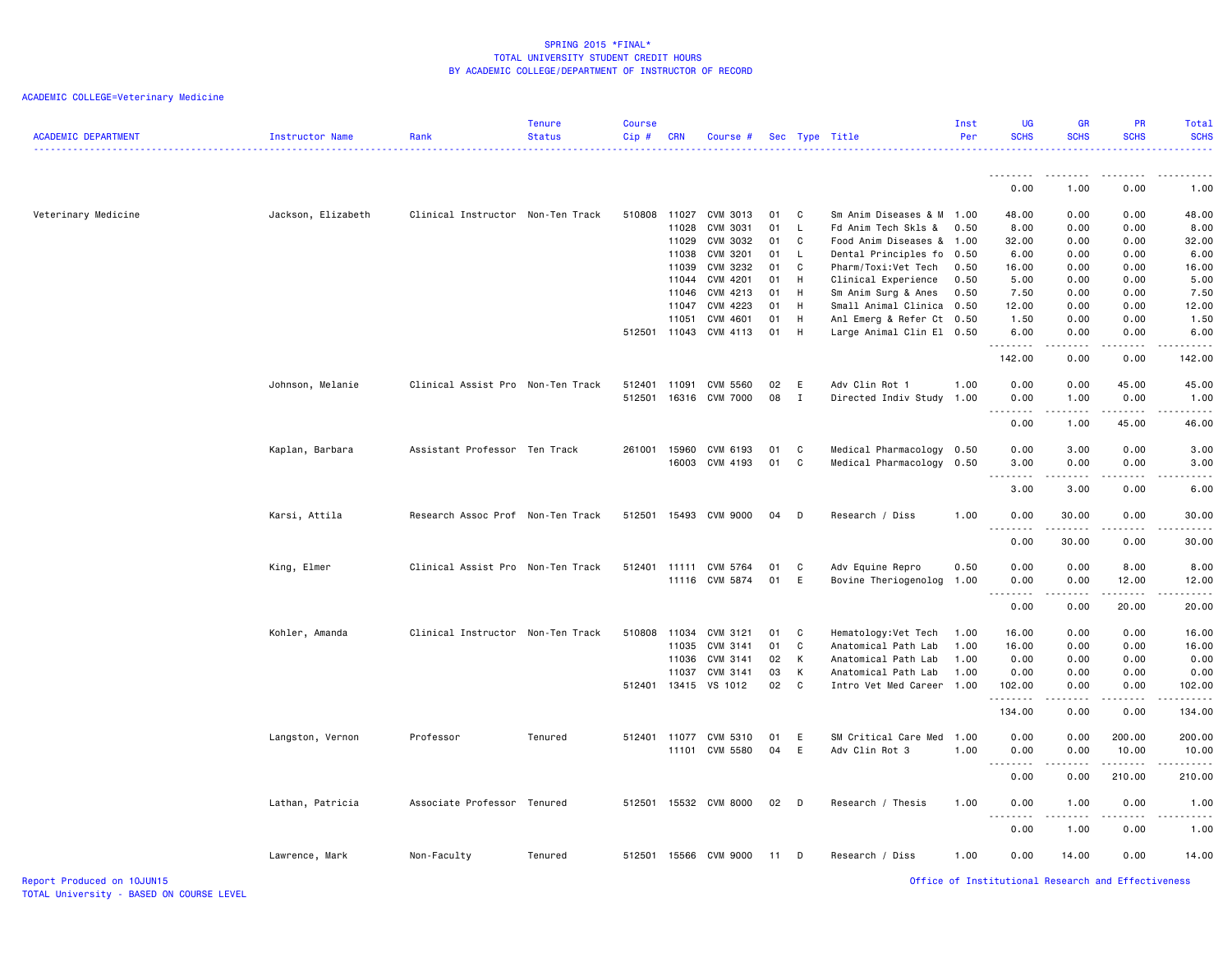# ACADEMIC COLLEGE=Veterinary Medicine

| <b>ACADEMIC DEPARTMENT</b> | Instructor Name    | Rank                              | <b>Tenure</b><br><b>Status</b> | <b>Course</b><br>Cip# | <b>CRN</b> | Course #              |      |                | Sec Type Title            | Inst<br>Per | <b>UG</b><br><b>SCHS</b>                                                                                                                                     | <b>GR</b><br><b>SCHS</b>                                                                                                          | PR<br><b>SCHS</b> | Total<br><b>SCHS</b>                                                                                                                                                            |
|----------------------------|--------------------|-----------------------------------|--------------------------------|-----------------------|------------|-----------------------|------|----------------|---------------------------|-------------|--------------------------------------------------------------------------------------------------------------------------------------------------------------|-----------------------------------------------------------------------------------------------------------------------------------|-------------------|---------------------------------------------------------------------------------------------------------------------------------------------------------------------------------|
|                            |                    |                                   |                                |                       |            |                       |      |                |                           |             | <u>.</u>                                                                                                                                                     | $\frac{1}{2}$                                                                                                                     |                   | $\frac{1}{2} \left( \frac{1}{2} \right) \left( \frac{1}{2} \right) \left( \frac{1}{2} \right) \left( \frac{1}{2} \right) \left( \frac{1}{2} \right) \left( \frac{1}{2} \right)$ |
|                            |                    |                                   |                                |                       |            |                       |      |                |                           |             | 0.00                                                                                                                                                         | 1.00                                                                                                                              | 0.00              | 1.00                                                                                                                                                                            |
| Veterinary Medicine        | Jackson, Elizabeth | Clinical Instructor Non-Ten Track |                                | 510808 11027          |            | CVM 3013              | 01   | C <sub>c</sub> | Sm Anim Diseases & M 1.00 |             | 48.00                                                                                                                                                        | 0.00                                                                                                                              | 0.00              | 48.00                                                                                                                                                                           |
|                            |                    |                                   |                                |                       | 11028      | CVM 3031              | 01   | L              | Fd Anim Tech Skls &       | 0.50        | 8.00                                                                                                                                                         | 0.00                                                                                                                              | 0.00              | 8.00                                                                                                                                                                            |
|                            |                    |                                   |                                |                       | 11029      | CVM 3032              | 01   | $\mathbf{C}$   | Food Anim Diseases & 1.00 |             | 32.00                                                                                                                                                        | 0.00                                                                                                                              | 0.00              | 32.00                                                                                                                                                                           |
|                            |                    |                                   |                                |                       | 11038      | CVM 3201              | 01   | - L            | Dental Principles fo      | 0.50        | 6.00                                                                                                                                                         | 0.00                                                                                                                              | 0.00              | 6.00                                                                                                                                                                            |
|                            |                    |                                   |                                |                       | 11039      | CVM 3232              | 01   | C              | Pharm/Toxi:Vet Tech       | 0.50        | 16.00                                                                                                                                                        | 0.00                                                                                                                              | 0.00              | 16.00                                                                                                                                                                           |
|                            |                    |                                   |                                |                       | 11044      | CVM 4201              | 01   | H              | Clinical Experience       | 0.50        | 5.00                                                                                                                                                         | 0.00                                                                                                                              | 0.00              | 5.00                                                                                                                                                                            |
|                            |                    |                                   |                                |                       | 11046      | CVM 4213              | 01   | H              | Sm Anim Surg & Anes       | 0.50        | 7.50                                                                                                                                                         | 0.00                                                                                                                              | 0.00              | 7.50                                                                                                                                                                            |
|                            |                    |                                   |                                |                       | 11047      | CVM 4223              | 01   | H              | Small Animal Clinica 0.50 |             | 12.00                                                                                                                                                        | 0.00                                                                                                                              | 0.00              | 12.00                                                                                                                                                                           |
|                            |                    |                                   |                                |                       | 11051      | CVM 4601              | 01   | H              | Anl Emerg & Refer Ct 0.50 |             | 1.50                                                                                                                                                         | 0.00                                                                                                                              | 0.00              | 1.50                                                                                                                                                                            |
|                            |                    |                                   |                                | 512501 11043          |            | CVM 4113              | 01   | H              | Large Animal Clin El 0.50 |             | 6.00<br>.                                                                                                                                                    | 0.00<br>$\omega$ is a $\omega$                                                                                                    | 0.00<br>.         | 6.00<br>.                                                                                                                                                                       |
|                            |                    |                                   |                                |                       |            |                       |      |                |                           |             | 142.00                                                                                                                                                       | 0.00                                                                                                                              | 0.00              | 142.00                                                                                                                                                                          |
|                            | Johnson, Melanie   | Clinical Assist Pro Non-Ten Track |                                | 512401                | 11091      | CVM 5560              | 02   | E              | Adv Clin Rot 1            | 1.00        | 0.00                                                                                                                                                         | 0.00                                                                                                                              | 45.00             | 45.00                                                                                                                                                                           |
|                            |                    |                                   |                                | 512501                |            | 16316 CVM 7000        | 08   | $\mathbf{I}$   | Directed Indiv Study      | 1.00        | 0.00                                                                                                                                                         | 1.00                                                                                                                              | 0.00              | 1.00                                                                                                                                                                            |
|                            |                    |                                   |                                |                       |            |                       |      |                |                           |             |                                                                                                                                                              |                                                                                                                                   |                   |                                                                                                                                                                                 |
|                            |                    |                                   |                                |                       |            |                       |      |                |                           |             | 0.00                                                                                                                                                         | 1.00                                                                                                                              | 45.00             | 46.00                                                                                                                                                                           |
|                            | Kaplan, Barbara    | Assistant Professor Ten Track     |                                | 261001                |            | 15960 CVM 6193        | 01   | $\mathbf{C}$   | Medical Pharmacology 0.50 |             | 0.00                                                                                                                                                         | 3.00                                                                                                                              | 0.00              | 3.00                                                                                                                                                                            |
|                            |                    |                                   |                                |                       |            | 16003 CVM 4193        | 01 C |                | Medical Pharmacology 0.50 |             | 3.00                                                                                                                                                         | 0.00                                                                                                                              | 0.00              | 3.00                                                                                                                                                                            |
|                            |                    |                                   |                                |                       |            |                       |      |                |                           |             | .                                                                                                                                                            | .                                                                                                                                 | .                 | $\frac{1}{2}$                                                                                                                                                                   |
|                            |                    |                                   |                                |                       |            |                       |      |                |                           |             | 3.00                                                                                                                                                         | 3.00                                                                                                                              | 0.00              | 6.00                                                                                                                                                                            |
|                            | Karsi, Attila      | Research Assoc Prof Non-Ten Track |                                |                       |            | 512501 15493 CVM 9000 | 04   | $\Box$         | Research / Diss           | 1.00        | 0.00                                                                                                                                                         | 30.00                                                                                                                             | 0.00              | 30.00                                                                                                                                                                           |
|                            |                    |                                   |                                |                       |            |                       |      |                |                           |             | .<br>0.00                                                                                                                                                    | .<br>30.00                                                                                                                        | .<br>0.00         | 30.00                                                                                                                                                                           |
|                            |                    |                                   |                                |                       |            |                       |      |                |                           |             |                                                                                                                                                              |                                                                                                                                   |                   |                                                                                                                                                                                 |
|                            | King, Elmer        | Clinical Assist Pro Non-Ten Track |                                |                       |            | 512401 11111 CVM 5764 | 01   | C              | Adv Equine Repro          | 0.50        | 0.00                                                                                                                                                         | 0.00                                                                                                                              | 8.00              | 8.00                                                                                                                                                                            |
|                            |                    |                                   |                                |                       |            | 11116 CVM 5874        | 01   | E              | Bovine Theriogenolog      | 1.00        | 0.00<br>.                                                                                                                                                    | 0.00<br>.                                                                                                                         | 12.00             | 12.00                                                                                                                                                                           |
|                            |                    |                                   |                                |                       |            |                       |      |                |                           |             | 0.00                                                                                                                                                         | 0.00                                                                                                                              | 20.00             | 20.00                                                                                                                                                                           |
|                            | Kohler, Amanda     | Clinical Instructor Non-Ten Track |                                | 510808                | 11034      | CVM 3121              | 01   | C              | Hematology: Vet Tech      | 1.00        | 16.00                                                                                                                                                        | 0.00                                                                                                                              | 0.00              | 16.00                                                                                                                                                                           |
|                            |                    |                                   |                                |                       | 11035      | CVM 3141              | 01   | C              | Anatomical Path Lab       | 1.00        | 16.00                                                                                                                                                        | 0.00                                                                                                                              | 0.00              | 16.00                                                                                                                                                                           |
|                            |                    |                                   |                                |                       | 11036      | CVM 3141              | 02   | $\mathsf{K}$   | Anatomical Path Lab       | 1.00        | 0.00                                                                                                                                                         | 0.00                                                                                                                              | 0.00              | 0.00                                                                                                                                                                            |
|                            |                    |                                   |                                |                       | 11037      | CVM 3141              | 03   | K              | Anatomical Path Lab       | 1.00        | 0.00                                                                                                                                                         | 0.00                                                                                                                              | 0.00              | 0.00                                                                                                                                                                            |
|                            |                    |                                   |                                |                       |            | 512401 13415 VS 1012  | 02 C |                | Intro Vet Med Career 1.00 |             | 102.00                                                                                                                                                       | 0.00                                                                                                                              | 0.00              | 102.00                                                                                                                                                                          |
|                            |                    |                                   |                                |                       |            |                       |      |                |                           |             | .<br>134.00                                                                                                                                                  | $\frac{1}{2}$<br>0.00                                                                                                             | .<br>0.00         | .<br>134.00                                                                                                                                                                     |
|                            |                    |                                   |                                |                       |            |                       |      |                |                           |             |                                                                                                                                                              |                                                                                                                                   |                   |                                                                                                                                                                                 |
|                            | Langston, Vernon   | Professor                         | Tenured                        |                       |            | 512401 11077 CVM 5310 | 01   | E              | SM Critical Care Med      | 1.00        | 0.00                                                                                                                                                         | 0.00                                                                                                                              | 200.00            | 200.00                                                                                                                                                                          |
|                            |                    |                                   |                                |                       |            | 11101 CVM 5580        | 04   | E              | Adv Clin Rot 3            | 1.00        | 0.00                                                                                                                                                         | 0.00                                                                                                                              | 10.00             | 10.00                                                                                                                                                                           |
|                            |                    |                                   |                                |                       |            |                       |      |                |                           |             | .                                                                                                                                                            | .                                                                                                                                 | .                 | $\frac{1}{2} \left( \frac{1}{2} \right) \left( \frac{1}{2} \right) \left( \frac{1}{2} \right) \left( \frac{1}{2} \right) \left( \frac{1}{2} \right)$                            |
|                            |                    |                                   |                                |                       |            |                       |      |                |                           |             | 0.00                                                                                                                                                         | 0.00                                                                                                                              | 210.00            | 210.00                                                                                                                                                                          |
|                            | Lathan, Patricia   | Associate Professor Tenured       |                                | 512501                |            | 15532 CVM 8000        | 02   | $\Box$         | Research / Thesis         | 1.00        | 0.00<br>$\frac{1}{2} \left( \frac{1}{2} \right) \left( \frac{1}{2} \right) \left( \frac{1}{2} \right) \left( \frac{1}{2} \right) \left( \frac{1}{2} \right)$ | 1.00<br>$\frac{1}{2} \left( \frac{1}{2} \right) \left( \frac{1}{2} \right) \left( \frac{1}{2} \right) \left( \frac{1}{2} \right)$ | 0.00<br>.         | 1.00<br>.                                                                                                                                                                       |
|                            |                    |                                   |                                |                       |            |                       |      |                |                           |             | 0.00                                                                                                                                                         | 1.00                                                                                                                              | 0.00              | 1.00                                                                                                                                                                            |
|                            | Lawrence, Mark     | Non-Faculty                       | Tenured                        |                       |            | 512501 15566 CVM 9000 | 11   | D              | Research / Diss           | 1.00        | 0.00                                                                                                                                                         | 14.00                                                                                                                             | 0.00              | 14.00                                                                                                                                                                           |
|                            |                    |                                   |                                |                       |            |                       |      |                |                           |             |                                                                                                                                                              |                                                                                                                                   |                   |                                                                                                                                                                                 |

Report Produced on 10JUN15 Office of Institutional Research and Effectiveness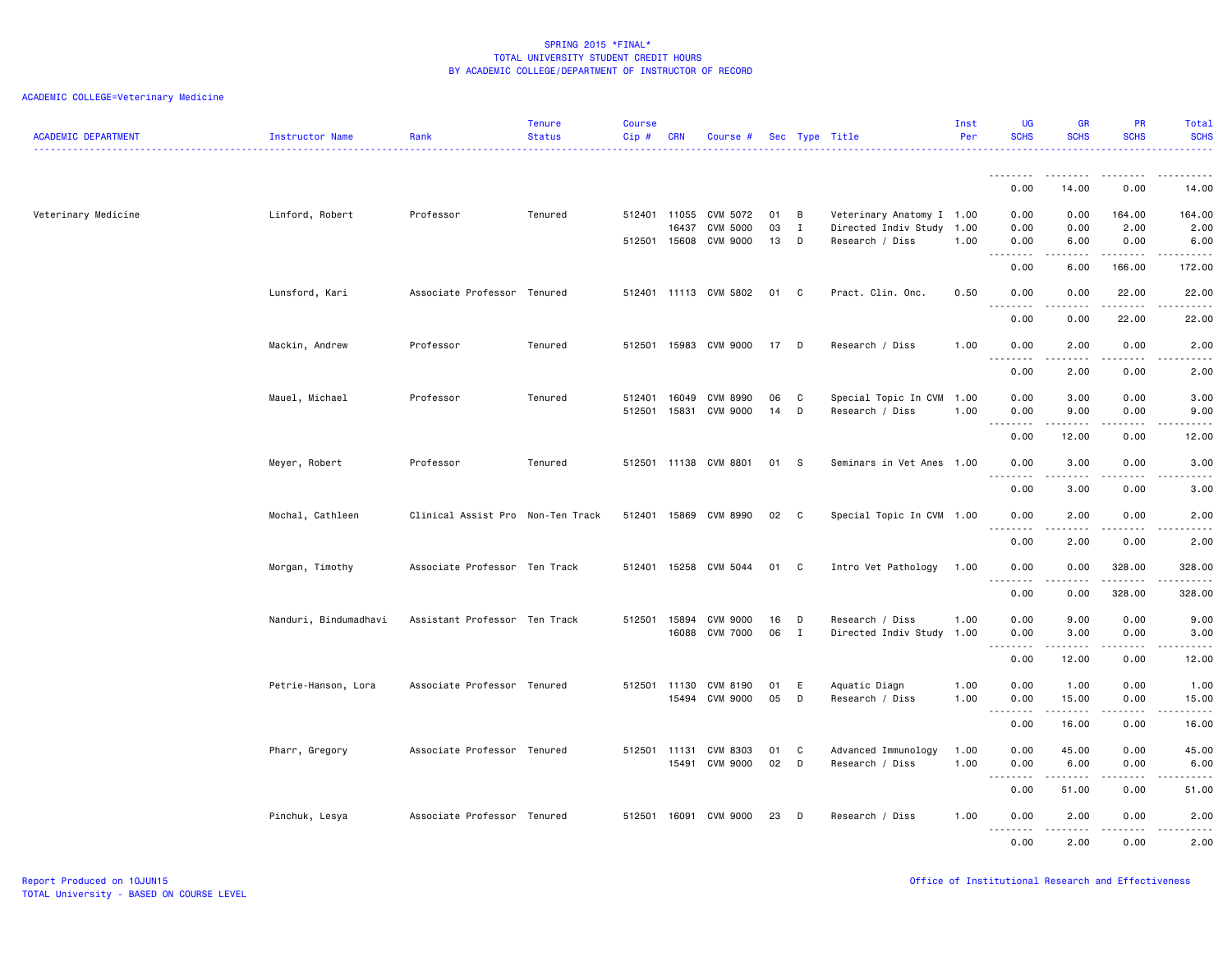| <b>ACADEMIC DEPARTMENT</b> | <b>Instructor Name</b> | Rank                              | <b>Tenure</b><br><b>Status</b> | <b>Course</b><br>Cip# | <b>CRN</b> | Course #                    |          |                   | Sec Type Title                               | Inst<br>Per | <b>UG</b><br><b>SCHS</b>               | <b>GR</b><br><b>SCHS</b>            | <b>PR</b><br><b>SCHS</b>  | Total<br><b>SCHS</b>                                                                                                                                         |
|----------------------------|------------------------|-----------------------------------|--------------------------------|-----------------------|------------|-----------------------------|----------|-------------------|----------------------------------------------|-------------|----------------------------------------|-------------------------------------|---------------------------|--------------------------------------------------------------------------------------------------------------------------------------------------------------|
|                            |                        |                                   |                                |                       |            |                             |          |                   |                                              |             | .                                      | ------                              | ----                      | .                                                                                                                                                            |
|                            |                        |                                   |                                |                       |            |                             |          |                   |                                              |             | 0.00                                   | 14.00                               | 0.00                      | 14.00                                                                                                                                                        |
| Veterinary Medicine        | Linford, Robert        | Professor                         | Tenured                        | 512401 11055          |            | CVM 5072                    | 01       | B                 | Veterinary Anatomy I 1.00                    |             | 0.00                                   | 0.00                                | 164.00                    | 164.00                                                                                                                                                       |
|                            |                        |                                   |                                | 512501 15608          | 16437      | <b>CVM 5000</b><br>CVM 9000 | 03<br>13 | $\mathbf{I}$<br>D | Directed Indiv Study 1.00<br>Research / Diss | 1.00        | 0.00<br>0.00                           | 0.00<br>6.00                        | 2.00<br>0.00              | 2.00<br>6.00                                                                                                                                                 |
|                            |                        |                                   |                                |                       |            |                             |          |                   |                                              |             | .                                      | -----                               | .                         | .                                                                                                                                                            |
|                            |                        |                                   |                                |                       |            |                             |          |                   |                                              |             | 0.00                                   | 6.00                                | 166.00                    | 172.00                                                                                                                                                       |
|                            | Lunsford, Kari         | Associate Professor Tenured       |                                |                       |            | 512401 11113 CVM 5802       | 01       | C                 | Pract. Clin. Onc.                            | 0.50        | 0.00<br>$\sim$ $\sim$<br>$\frac{1}{2}$ | 0.00<br>$\sim$ $\sim$ $\sim$ $\sim$ | 22.00<br>.                | 22.00<br>$    -$                                                                                                                                             |
|                            |                        |                                   |                                |                       |            |                             |          |                   |                                              |             | 0.00                                   | 0.00                                | 22.00                     | 22.00                                                                                                                                                        |
|                            | Mackin, Andrew         | Professor                         | Tenured                        |                       |            | 512501 15983 CVM 9000       | 17 D     |                   | Research / Diss                              | 1.00        | 0.00                                   | 2.00                                | 0.00                      | 2.00                                                                                                                                                         |
|                            |                        |                                   |                                |                       |            |                             |          |                   |                                              |             | $\sim$ $\sim$ $\sim$<br>0.00           | .<br>2.00                           | .<br>0.00                 | $- - - - -$<br>2.00                                                                                                                                          |
|                            | Mauel, Michael         | Professor                         | Tenured                        | 512401                | 16049      | <b>CVM 8990</b>             | 06       | C                 | Special Topic In CVM                         | 1.00        | 0.00                                   | 3.00                                | 0.00                      | 3.00                                                                                                                                                         |
|                            |                        |                                   |                                | 512501                | 15831      | CVM 9000                    | 14       | D                 | Research / Diss                              | 1.00        | 0.00                                   | 9.00                                | 0.00                      | 9.00                                                                                                                                                         |
|                            |                        |                                   |                                |                       |            |                             |          |                   |                                              |             | .<br>0.00                              | $- - - - -$<br>12.00                | $- - - -$<br>0.00         | $- - - - -$<br>12.00                                                                                                                                         |
|                            | Meyer, Robert          | Professor                         | Tenured                        |                       |            | 512501 11138 CVM 8801       | 01 S     |                   | Seminars in Vet Anes 1.00                    |             | 0.00                                   | 3.00                                | 0.00                      | 3.00                                                                                                                                                         |
|                            |                        |                                   |                                |                       |            |                             |          |                   |                                              |             | .<br>0.00                              | .<br>3.00                           | .<br>0.00                 | $\frac{1}{2} \left( \frac{1}{2} \right) \left( \frac{1}{2} \right) \left( \frac{1}{2} \right) \left( \frac{1}{2} \right) \left( \frac{1}{2} \right)$<br>3.00 |
|                            | Mochal, Cathleen       | Clinical Assist Pro Non-Ten Track |                                | 512401                | 15869      | CVM 8990                    | 02 C     |                   | Special Topic In CVM 1.00                    |             | 0.00                                   | 2.00                                | 0.00                      | 2.00                                                                                                                                                         |
|                            |                        |                                   |                                |                       |            |                             |          |                   |                                              |             | المنابذة<br>0.00                       | 2.00                                | 0.00                      | 2.00                                                                                                                                                         |
|                            | Morgan, Timothy        | Associate Professor Ten Track     |                                |                       |            | 512401 15258 CVM 5044       | 01       | $\mathbf{C}$      | Intro Vet Pathology                          | 1.00        | 0.00                                   | 0.00                                | 328.00                    | 328.00                                                                                                                                                       |
|                            |                        |                                   |                                |                       |            |                             |          |                   |                                              |             | .<br>0.00                              | -----<br>0.00                       | $- - - - - - -$<br>328.00 | .<br>328.00                                                                                                                                                  |
|                            | Nanduri, Bindumadhavi  | Assistant Professor Ten Track     |                                | 512501 15894          |            | CVM 9000                    | 16       | D                 | Research / Diss                              | 1.00        | 0.00                                   | 9.00                                | 0.00                      | 9.00                                                                                                                                                         |
|                            |                        |                                   |                                |                       | 16088      | <b>CVM 7000</b>             | 06       | $\mathbf{I}$      | Directed Indiv Study                         | 1.00        | 0.00                                   | 3.00                                | 0.00                      | 3.00                                                                                                                                                         |
|                            |                        |                                   |                                |                       |            |                             |          |                   |                                              |             | .<br>$\sim$ $\sim$ $\sim$              |                                     | $\sim$ $\sim$ $\sim$      | د د د د د                                                                                                                                                    |
|                            |                        |                                   |                                |                       |            |                             |          |                   |                                              |             | 0.00                                   | 12.00                               | 0.00                      | 12.00                                                                                                                                                        |
|                            | Petrie-Hanson, Lora    | Associate Professor Tenured       |                                | 512501                | 11130      | CVM 8190                    | 01       | E                 | Aquatic Diagn                                | 1.00        | 0.00                                   | 1.00                                | 0.00                      | 1.00                                                                                                                                                         |
|                            |                        |                                   |                                |                       |            | 15494 CVM 9000              | 05       | D                 | Research / Diss                              | 1.00        | 0.00<br>.<br>$\sim$ $\sim$             | 15.00<br>.                          | 0.00<br>.                 | 15.00<br>.                                                                                                                                                   |
|                            |                        |                                   |                                |                       |            |                             |          |                   |                                              |             | 0.00                                   | 16.00                               | 0.00                      | 16.00                                                                                                                                                        |
|                            | Pharr, Gregory         | Associate Professor Tenured       |                                | 512501 11131          |            | CVM 8303                    | 01       | C                 | Advanced Immunology                          | 1.00        | 0.00                                   | 45.00                               | 0.00                      | 45.00                                                                                                                                                        |
|                            |                        |                                   |                                |                       |            | 15491 CVM 9000              | 02       | D                 | Research / Diss                              | 1.00        | 0.00                                   | 6.00<br>.                           | 0.00<br>.                 | 6.00<br>د د د د د                                                                                                                                            |
|                            |                        |                                   |                                |                       |            |                             |          |                   |                                              |             | 0.00                                   | 51.00                               | 0.00                      | 51.00                                                                                                                                                        |
|                            | Pinchuk, Lesya         | Associate Professor Tenured       |                                |                       |            | 512501 16091 CVM 9000       | 23       | D                 | Research / Diss                              | 1.00        | 0.00<br><u>.</u>                       | 2.00<br>-----                       | 0.00<br>.                 | 2.00<br>$- - - - -$                                                                                                                                          |
|                            |                        |                                   |                                |                       |            |                             |          |                   |                                              |             | 0.00                                   | 2.00                                | 0.00                      | 2.00                                                                                                                                                         |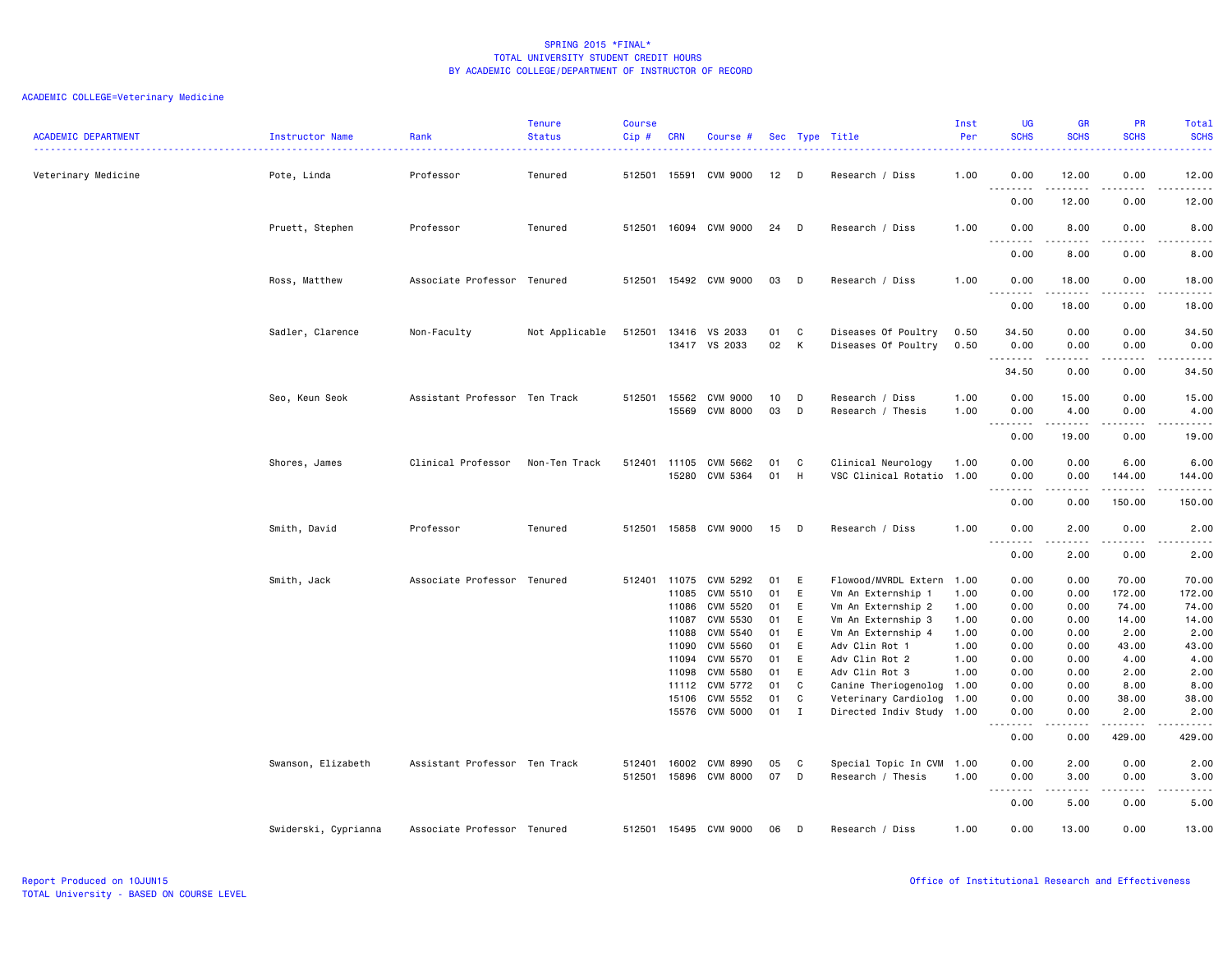| <b>ACADEMIC DEPARTMENT</b> | Instructor Name      | Rank                          | <b>Tenure</b><br><b>Status</b> | <b>Course</b><br>Cip# | <b>CRN</b>            | Course #                           |          |        | Sec Type Title                                  | Inst<br>Per  | <b>UG</b><br><b>SCHS</b>                                                                                                                                                                                                                                                                                                                                                                                                                                                                       | <b>GR</b><br><b>SCHS</b>                    | PR<br><b>SCHS</b>                | Total<br><b>SCHS</b>                 |
|----------------------------|----------------------|-------------------------------|--------------------------------|-----------------------|-----------------------|------------------------------------|----------|--------|-------------------------------------------------|--------------|------------------------------------------------------------------------------------------------------------------------------------------------------------------------------------------------------------------------------------------------------------------------------------------------------------------------------------------------------------------------------------------------------------------------------------------------------------------------------------------------|---------------------------------------------|----------------------------------|--------------------------------------|
| Veterinary Medicine        | Pote, Linda          | Professor                     | Tenured                        |                       | 512501 15591          | CVM 9000                           | 12       | D      | Research / Diss                                 | 1.00         | 0.00<br>$\sim$ $\sim$<br>.                                                                                                                                                                                                                                                                                                                                                                                                                                                                     | 12.00                                       | 0.00                             | 12.00<br>.                           |
|                            |                      |                               |                                |                       |                       |                                    |          |        |                                                 |              | 0.00                                                                                                                                                                                                                                                                                                                                                                                                                                                                                           | 12.00                                       | 0.00                             | 12.00                                |
|                            | Pruett, Stephen      | Professor                     | Tenured                        |                       |                       | 512501 16094 CVM 9000              | 24       | D      | Research / Diss                                 | 1.00         | 0.00<br>$ -$<br>.                                                                                                                                                                                                                                                                                                                                                                                                                                                                              | 8.00<br>.                                   | 0.00<br>$\frac{1}{2}$            | 8.00<br>.                            |
|                            |                      |                               |                                |                       |                       |                                    |          |        |                                                 |              | 0.00                                                                                                                                                                                                                                                                                                                                                                                                                                                                                           | 8.00                                        | 0.00                             | 8.00                                 |
|                            | Ross, Matthew        | Associate Professor Tenured   |                                | 512501                |                       | 15492 CVM 9000                     | 03       | D      | Research / Diss                                 | 1.00         | 0.00                                                                                                                                                                                                                                                                                                                                                                                                                                                                                           | 18.00<br>-----                              | 0.00                             | 18.00<br>د د د د د                   |
|                            |                      |                               |                                |                       |                       |                                    |          |        |                                                 |              | 0.00                                                                                                                                                                                                                                                                                                                                                                                                                                                                                           | 18.00                                       | 0.00                             | 18.00                                |
|                            | Sadler, Clarence     | Non-Faculty                   | Not Applicable                 | 512501                | 13416<br>13417        | VS 2033<br>VS 2033                 | 01<br>02 | C<br>К | Diseases Of Poultry<br>Diseases Of Poultry      | 0.50<br>0.50 | 34.50<br>0.00                                                                                                                                                                                                                                                                                                                                                                                                                                                                                  | 0.00<br>0.00                                | 0.00<br>0.00                     | 34.50<br>0.00                        |
|                            |                      |                               |                                |                       |                       |                                    |          |        |                                                 |              | 34.50                                                                                                                                                                                                                                                                                                                                                                                                                                                                                          | 0.00                                        | $\sim$ $\sim$ $\sim$<br>0.00     | $\cdots \cdots$<br>34.50             |
|                            | Seo, Keun Seok       | Assistant Professor Ten Track |                                | 512501                | 15562<br>15569        | <b>CVM 9000</b><br><b>CVM 8000</b> | 10<br>03 | D<br>D | Research / Diss<br>Research / Thesis            | 1.00<br>1.00 | 0.00<br>0.00                                                                                                                                                                                                                                                                                                                                                                                                                                                                                   | 15.00<br>4.00                               | 0.00<br>0.00                     | 15.00<br>4.00                        |
|                            |                      |                               |                                |                       |                       |                                    |          |        |                                                 |              | $\begin{array}{cccccccccccccc} \multicolumn{2}{c}{} & \multicolumn{2}{c}{} & \multicolumn{2}{c}{} & \multicolumn{2}{c}{} & \multicolumn{2}{c}{} & \multicolumn{2}{c}{} & \multicolumn{2}{c}{} & \multicolumn{2}{c}{} & \multicolumn{2}{c}{} & \multicolumn{2}{c}{} & \multicolumn{2}{c}{} & \multicolumn{2}{c}{} & \multicolumn{2}{c}{} & \multicolumn{2}{c}{} & \multicolumn{2}{c}{} & \multicolumn{2}{c}{} & \multicolumn{2}{c}{} & \multicolumn{2}{c}{} & \multicolumn{2}{c}{} & \$<br>0.00 | $\sim$ $\sim$ $\sim$ $\sim$ $\sim$<br>19.00 | $\omega = \omega/\omega$<br>0.00 | $\sim$ $\sim$ $\sim$ $\sim$<br>19.00 |
|                            | Shores, James        | Clinical Professor            | Non-Ten Track                  | 512401                | 11105<br>15280        | CVM 5662<br><b>CVM 5364</b>        | 01<br>01 | C<br>H | Clinical Neurology<br>VSC Clinical Rotatio 1.00 | 1.00         | 0.00<br>0.00                                                                                                                                                                                                                                                                                                                                                                                                                                                                                   | 0.00<br>0.00                                | 6.00<br>144.00<br>$   -$         | 6.00<br>144.00<br>-----              |
|                            |                      |                               |                                |                       |                       |                                    |          |        |                                                 |              | .<br>0.00                                                                                                                                                                                                                                                                                                                                                                                                                                                                                      | 0.00                                        | 150.00                           | 150.00                               |
|                            | Smith, David         | Professor                     | Tenured                        | 512501                | 15858                 | CVM 9000                           | 15       | D      | Research / Diss                                 | 1.00         | 0.00<br>$ -$<br>$- - - -$                                                                                                                                                                                                                                                                                                                                                                                                                                                                      | 2.00<br>.                                   | 0.00<br>$\frac{1}{2}$            | 2.00<br>.                            |
|                            |                      |                               |                                |                       |                       |                                    |          |        |                                                 |              | 0.00                                                                                                                                                                                                                                                                                                                                                                                                                                                                                           | 2.00                                        | 0.00                             | 2.00                                 |
|                            | Smith, Jack          | Associate Professor Tenured   |                                |                       | 512401 11075<br>11085 | CVM 5292<br>CVM 5510               | 01<br>01 | Ε<br>E | Flowood/MVRDL Extern<br>Vm An Externship 1      | 1.00<br>1.00 | 0.00<br>0.00                                                                                                                                                                                                                                                                                                                                                                                                                                                                                   | 0.00<br>0.00                                | 70.00<br>172.00                  | 70.00<br>172.00                      |
|                            |                      |                               |                                |                       | 11086                 | CVM 5520                           | 01       | E      | Vm An Externship 2                              | 1.00         | 0.00                                                                                                                                                                                                                                                                                                                                                                                                                                                                                           | 0.00                                        | 74.00                            | 74.00                                |
|                            |                      |                               |                                |                       | 11087<br>11088        | CVM 5530<br>CVM 5540               | 01<br>01 | E<br>E | Vm An Externship 3<br>Vm An Externship 4        | 1.00<br>1.00 | 0.00<br>0.00                                                                                                                                                                                                                                                                                                                                                                                                                                                                                   | 0.00<br>0.00                                | 14.00<br>2.00                    | 14.00<br>2.00                        |
|                            |                      |                               |                                |                       | 11090                 | CVM 5560                           | 01       | E      | Adv Clin Rot 1                                  | 1.00         | 0.00                                                                                                                                                                                                                                                                                                                                                                                                                                                                                           | 0.00                                        | 43.00                            | 43.00                                |
|                            |                      |                               |                                |                       | 11094                 | CVM 5570                           | 01       | E      | Adv Clin Rot 2                                  | 1.00         | 0.00                                                                                                                                                                                                                                                                                                                                                                                                                                                                                           | 0.00                                        | 4.00                             | 4.00                                 |
|                            |                      |                               |                                |                       | 11098                 | CVM 5580                           | 01       | E      | Adv Clin Rot 3                                  | 1.00         | 0.00                                                                                                                                                                                                                                                                                                                                                                                                                                                                                           | 0.00                                        | 2.00                             | 2.00                                 |
|                            |                      |                               |                                |                       | 11112                 | CVM 5772                           | 01       | C      | Canine Theriogenolog                            | 1.00         | 0.00                                                                                                                                                                                                                                                                                                                                                                                                                                                                                           | 0.00                                        | 8.00                             | 8.00                                 |
|                            |                      |                               |                                |                       | 15106                 | CVM 5552                           | 01       | C      | Veterinary Cardiolog 1.00                       |              | 0.00                                                                                                                                                                                                                                                                                                                                                                                                                                                                                           | 0.00                                        | 38.00                            | 38.00                                |
|                            |                      |                               |                                |                       | 15576                 | <b>CVM 5000</b>                    | 01       | Ι.     | Directed Indiv Study 1.00                       |              | 0.00<br>-----<br>$\sim$ $\sim$ $\sim$                                                                                                                                                                                                                                                                                                                                                                                                                                                          | 0.00<br>.                                   | 2.00<br>.                        | 2.00<br>------                       |
|                            |                      |                               |                                |                       |                       |                                    |          |        |                                                 |              | 0.00                                                                                                                                                                                                                                                                                                                                                                                                                                                                                           | 0.00                                        | 429.00                           | 429.00                               |
|                            | Swanson, Elizabeth   | Assistant Professor Ten Track |                                | 512401                | 16002                 | CVM 8990                           | 05       | C      | Special Topic In CVM 1.00                       |              | 0.00                                                                                                                                                                                                                                                                                                                                                                                                                                                                                           | 2.00                                        | 0.00                             | 2.00                                 |
|                            |                      |                               |                                |                       | 512501 15896          | CVM 8000                           | 07       | D      | Research / Thesis                               | 1.00         | 0.00<br>$\sim$ $\sim$ $\sim$<br>د د د د                                                                                                                                                                                                                                                                                                                                                                                                                                                        | 3.00<br>.                                   | 0.00<br>$\frac{1}{2}$            | 3.00<br>.                            |
|                            |                      |                               |                                |                       |                       |                                    |          |        |                                                 |              | 0.00                                                                                                                                                                                                                                                                                                                                                                                                                                                                                           | 5.00                                        | 0.00                             | 5.00                                 |
|                            | Swiderski, Cyprianna | Associate Professor Tenured   |                                |                       |                       | 512501 15495 CVM 9000              | 06       | D      | Research / Diss                                 | 1.00         | 0.00                                                                                                                                                                                                                                                                                                                                                                                                                                                                                           | 13.00                                       | 0.00                             | 13.00                                |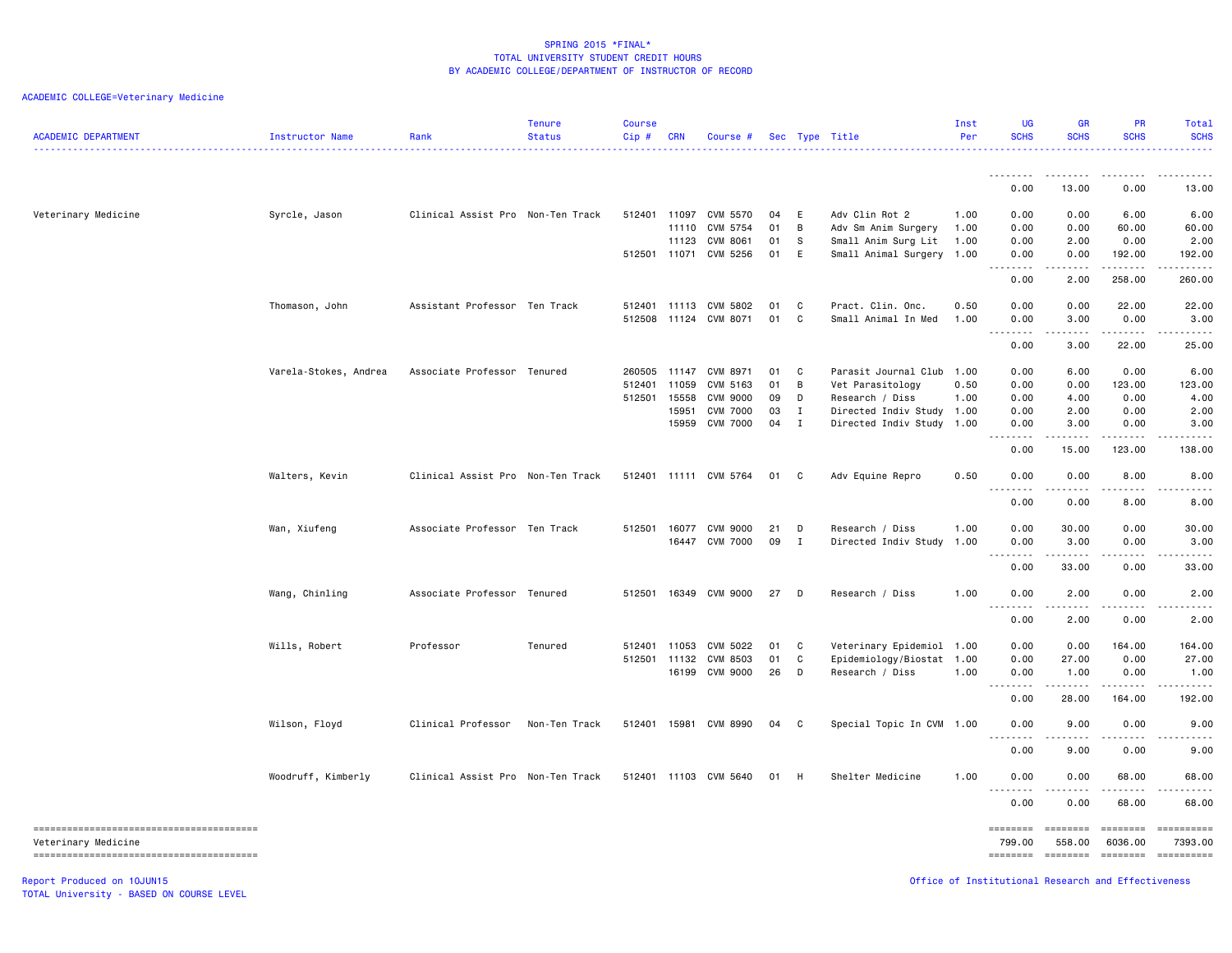# ACADEMIC COLLEGE=Veterinary Medicine

| <b>ACADEMIC DEPARTMENT</b> | Instructor Name       | Rank                              | <b>Tenure</b><br><b>Status</b> | <b>Course</b><br>Cip# | <b>CRN</b> | Course #              |    |                | Sec Type Title            | Inst<br>Per | <b>UG</b><br><b>SCHS</b>                              | <b>GR</b><br><b>SCHS</b>                                                                                                                                     | <b>PR</b><br><b>SCHS</b>                           | Total<br><b>SCHS</b>                                                                                                                                                                                                                                                                                                                                                                                                                |
|----------------------------|-----------------------|-----------------------------------|--------------------------------|-----------------------|------------|-----------------------|----|----------------|---------------------------|-------------|-------------------------------------------------------|--------------------------------------------------------------------------------------------------------------------------------------------------------------|----------------------------------------------------|-------------------------------------------------------------------------------------------------------------------------------------------------------------------------------------------------------------------------------------------------------------------------------------------------------------------------------------------------------------------------------------------------------------------------------------|
|                            |                       |                                   |                                |                       |            |                       |    |                |                           |             | 0.00                                                  | 13.00                                                                                                                                                        | 0.00                                               | 13.00                                                                                                                                                                                                                                                                                                                                                                                                                               |
|                            |                       |                                   |                                |                       |            |                       |    |                |                           |             |                                                       |                                                                                                                                                              |                                                    |                                                                                                                                                                                                                                                                                                                                                                                                                                     |
| Veterinary Medicine        | Syrcle, Jason         | Clinical Assist Pro Non-Ten Track |                                | 512401 11097          |            | CVM 5570              | 04 | E              | Adv Clin Rot 2            | 1.00        | 0.00                                                  | 0.00                                                                                                                                                         | 6.00                                               | 6.00                                                                                                                                                                                                                                                                                                                                                                                                                                |
|                            |                       |                                   |                                |                       | 11110      | CVM 5754              | 01 | B              | Adv Sm Anim Surgery       | 1.00        | 0.00                                                  | 0.00                                                                                                                                                         | 60.00                                              | 60.00                                                                                                                                                                                                                                                                                                                                                                                                                               |
|                            |                       |                                   |                                |                       | 11123      | CVM 8061              | 01 | S              | Small Anim Surg Lit       | 1.00        | 0.00                                                  | 2.00                                                                                                                                                         | 0.00                                               | 2.00                                                                                                                                                                                                                                                                                                                                                                                                                                |
|                            |                       |                                   |                                | 512501 11071          |            | CVM 5256              | 01 | E              | Small Animal Surgery 1.00 |             | 0.00<br>.                                             | 0.00<br>.                                                                                                                                                    | 192.00<br>.                                        | 192.00<br>.                                                                                                                                                                                                                                                                                                                                                                                                                         |
|                            |                       |                                   |                                |                       |            |                       |    |                |                           |             | 0.00                                                  | 2.00                                                                                                                                                         | 258.00                                             | 260.00                                                                                                                                                                                                                                                                                                                                                                                                                              |
|                            | Thomason, John        | Assistant Professor Ten Track     |                                | 512401                | 11113      | CVM 5802              | 01 | C              | Pract. Clin. Onc.         | 0.50        | 0.00                                                  | 0.00                                                                                                                                                         | 22.00                                              | 22.00                                                                                                                                                                                                                                                                                                                                                                                                                               |
|                            |                       |                                   |                                | 512508                | 11124      | CVM 8071              | 01 | C              | Small Animal In Med       | 1.00        | 0.00<br>.<br>$\frac{1}{2} \left( \frac{1}{2} \right)$ | 3.00<br>.                                                                                                                                                    | 0.00<br>.                                          | 3.00<br>$\cdots$                                                                                                                                                                                                                                                                                                                                                                                                                    |
|                            |                       |                                   |                                |                       |            |                       |    |                |                           |             | 0.00                                                  | 3.00                                                                                                                                                         | 22.00                                              | 25.00                                                                                                                                                                                                                                                                                                                                                                                                                               |
|                            | Varela-Stokes, Andrea | Associate Professor Tenured       |                                | 260505                | 11147      | CVM 8971              | 01 | C              | Parasit Journal Club      | 1.00        | 0.00                                                  | 6.00                                                                                                                                                         | 0.00                                               | 6.00                                                                                                                                                                                                                                                                                                                                                                                                                                |
|                            |                       |                                   |                                | 512401                | 11059      | CVM 5163              | 01 | B              | Vet Parasitology          | 0.50        | 0.00                                                  | 0.00                                                                                                                                                         | 123.00                                             | 123.00                                                                                                                                                                                                                                                                                                                                                                                                                              |
|                            |                       |                                   |                                | 512501                | 15558      | <b>CVM 9000</b>       | 09 | D              | Research / Diss           | 1.00        | 0.00                                                  | 4.00                                                                                                                                                         | 0.00                                               | 4.00                                                                                                                                                                                                                                                                                                                                                                                                                                |
|                            |                       |                                   |                                |                       | 15951      | <b>CVM 7000</b>       | 03 | $\mathbf{I}$   | Directed Indiv Study      | 1.00        | 0.00                                                  | 2.00                                                                                                                                                         | 0.00                                               | 2.00                                                                                                                                                                                                                                                                                                                                                                                                                                |
|                            |                       |                                   |                                |                       | 15959      | <b>CVM 7000</b>       | 04 | $\mathbf{I}$   | Directed Indiv Study 1.00 |             | 0.00                                                  | 3.00                                                                                                                                                         | 0.00                                               | 3.00                                                                                                                                                                                                                                                                                                                                                                                                                                |
|                            |                       |                                   |                                |                       |            |                       |    |                |                           |             | 0.00                                                  | 15.00                                                                                                                                                        | 123.00                                             | $\frac{1}{2} \left( \frac{1}{2} \right) \left( \frac{1}{2} \right) \left( \frac{1}{2} \right) \left( \frac{1}{2} \right) \left( \frac{1}{2} \right)$<br>138.00                                                                                                                                                                                                                                                                      |
|                            | Walters, Kevin        | Clinical Assist Pro Non-Ten Track |                                |                       |            | 512401 11111 CVM 5764 | 01 | C              | Adv Equine Repro          | 0.50        | 0.00                                                  | 0.00                                                                                                                                                         | 8.00                                               | 8.00                                                                                                                                                                                                                                                                                                                                                                                                                                |
|                            |                       |                                   |                                |                       |            |                       |    |                |                           |             | 0.00                                                  | 0.00                                                                                                                                                         | 8.00                                               | 8.00                                                                                                                                                                                                                                                                                                                                                                                                                                |
|                            | Wan, Xiufeng          | Associate Professor Ten Track     |                                | 512501                | 16077      | CVM 9000              | 21 | D              | Research / Diss           | 1.00        | 0.00                                                  | 30.00                                                                                                                                                        | 0.00                                               | 30.00                                                                                                                                                                                                                                                                                                                                                                                                                               |
|                            |                       |                                   |                                |                       | 16447      | <b>CVM 7000</b>       | 09 | $\mathbf{I}$   | Directed Indiv Study 1.00 |             | 0.00                                                  | 3.00                                                                                                                                                         | 0.00                                               | 3.00                                                                                                                                                                                                                                                                                                                                                                                                                                |
|                            |                       |                                   |                                |                       |            |                       |    |                |                           |             | $- - - - -$<br>0.00                                   | .<br>33.00                                                                                                                                                   | .<br>0.00                                          | .<br>33.00                                                                                                                                                                                                                                                                                                                                                                                                                          |
|                            | Wang, Chinling        | Associate Professor Tenured       |                                | 512501                |            | 16349 CVM 9000        | 27 | D              | Research / Diss           | 1.00        | 0.00                                                  | 2.00                                                                                                                                                         | 0.00                                               | 2.00                                                                                                                                                                                                                                                                                                                                                                                                                                |
|                            |                       |                                   |                                |                       |            |                       |    |                |                           |             | $-$ - - - $-$<br>0.00                                 | $\frac{1}{2} \left( \frac{1}{2} \right) \left( \frac{1}{2} \right) \left( \frac{1}{2} \right) \left( \frac{1}{2} \right) \left( \frac{1}{2} \right)$<br>2.00 | .<br>0.00                                          | والمناصبات<br>2.00                                                                                                                                                                                                                                                                                                                                                                                                                  |
|                            |                       |                                   |                                |                       |            |                       |    |                |                           |             |                                                       |                                                                                                                                                              |                                                    |                                                                                                                                                                                                                                                                                                                                                                                                                                     |
|                            | Wills, Robert         | Professor                         | Tenured                        | 512401                | 11053      | CVM 5022              | 01 | C              | Veterinary Epidemiol 1.00 |             | 0.00                                                  | 0.00                                                                                                                                                         | 164.00                                             | 164.00                                                                                                                                                                                                                                                                                                                                                                                                                              |
|                            |                       |                                   |                                | 512501 11132          |            | CVM 8503              | 01 | C              | Epidemiology/Biostat      | 1.00        | 0.00                                                  | 27.00                                                                                                                                                        | 0.00                                               | 27.00                                                                                                                                                                                                                                                                                                                                                                                                                               |
|                            |                       |                                   |                                |                       | 16199      | CVM 9000              | 26 | D              | Research / Diss           | 1.00        | 0.00<br>.                                             | 1.00<br>.                                                                                                                                                    | 0.00<br>.                                          | 1.00<br><u>.</u>                                                                                                                                                                                                                                                                                                                                                                                                                    |
|                            |                       |                                   |                                |                       |            |                       |    |                |                           |             | 0.00                                                  | 28.00                                                                                                                                                        | 164.00                                             | 192.00                                                                                                                                                                                                                                                                                                                                                                                                                              |
|                            | Wilson, Floyd         | Clinical Professor                | Non-Ten Track                  | 512401 15981          |            | CVM 8990              | 04 | C <sub>1</sub> | Special Topic In CVM 1.00 |             | 0.00<br>$\cdots$                                      | 9.00<br>.                                                                                                                                                    | 0.00<br>.                                          | 9.00<br>$\frac{1}{2}$                                                                                                                                                                                                                                                                                                                                                                                                               |
|                            |                       |                                   |                                |                       |            |                       |    |                |                           |             | 0.00                                                  | 9.00                                                                                                                                                         | 0.00                                               | 9.00                                                                                                                                                                                                                                                                                                                                                                                                                                |
|                            | Woodruff, Kimberly    | Clinical Assist Pro Non-Ten Track |                                |                       |            | 512401 11103 CVM 5640 | 01 | H              | Shelter Medicine          | 1.00        | 0.00                                                  | 0.00                                                                                                                                                         | 68.00                                              | 68.00                                                                                                                                                                                                                                                                                                                                                                                                                               |
|                            |                       |                                   |                                |                       |            |                       |    |                |                           |             | .<br>0.00                                             | $\frac{1}{2}$<br>0.00                                                                                                                                        | .<br>68.00                                         | $\cdots$<br>68.00                                                                                                                                                                                                                                                                                                                                                                                                                   |
|                            |                       |                                   |                                |                       |            |                       |    |                |                           |             | ========                                              | ========                                                                                                                                                     | ========                                           | $\begin{minipage}{0.9\linewidth} \hspace*{-0.2cm} \textbf{1} & \textbf{2} & \textbf{3} & \textbf{5} & \textbf{6} & \textbf{7} & \textbf{8} \\ \textbf{1} & \textbf{2} & \textbf{3} & \textbf{5} & \textbf{5} & \textbf{7} & \textbf{8} & \textbf{8} \\ \textbf{3} & \textbf{4} & \textbf{5} & \textbf{5} & \textbf{6} & \textbf{7} & \textbf{8} & \textbf{8} \\ \textbf{5} & \textbf{5} & \textbf{6} & \textbf{7} & \textbf{8} & \$ |
| Veterinary Medicine        |                       |                                   |                                |                       |            |                       |    |                |                           |             | 799.00                                                | 558.00                                                                                                                                                       | 6036.00<br><b>ESSESSE</b>                          | 7393.00<br>==========                                                                                                                                                                                                                                                                                                                                                                                                               |
| Report Produced on 10JUN15 |                       |                                   |                                |                       |            |                       |    |                |                           |             |                                                       |                                                                                                                                                              | Office of Institutional Research and Effectiveness |                                                                                                                                                                                                                                                                                                                                                                                                                                     |

TOTAL University - BASED ON COURSE LEVEL